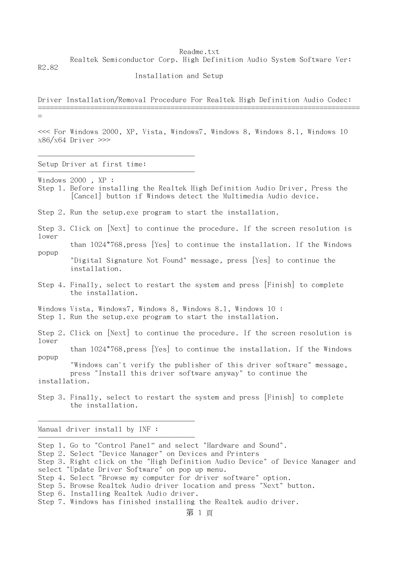Realtek Semiconductor Corp. High Definition Audio System Software Ver:

R2.82

Installation and Setup

Driver Installation/Removal Procedure For Realtek High Definition Audio Codec: ================================================================================

=

popup

<<< For Windows 2000, XP, Vista, Windows7, Windows 8, Windows 8.1, Windows 10  $x86/x64$  Driver  $\gg$ 

Setup Driver at first time: ---------------------------------------

---------------------------------------

Windows 2000 , XP :

Step 1. Before installing the Realtek High Definition Audio Driver, Press the [Cancel] button if Windows detect the Multimedia Audio device.

Step 2. Run the setup.exe program to start the installation.

Step 3. Click on [Next] to continue the procedure. If the screen resolution is lower

than 1024\*768,press [Yes] to continue the installation. If the Windows

- "Digital Signature Not Found" message, press [Yes] to continue the installation.
- Step 4. Finally, select to restart the system and press [Finish] to complete the installation.

Windows Vista, Windows7, Windows 8, Windows 8.1, Windows 10 : Step 1. Run the setup.exe program to start the installation.

Step 2. Click on [Next] to continue the procedure. If the screen resolution is lower

 than 1024\*768,press [Yes] to continue the installation. If the Windows popup

 "Windows can't verify the publisher of this driver software" message, press "Install this driver software anyway" to continue the installation.

Step 3. Finally, select to restart the system and press [Finish] to complete the installation.

Manual driver install by INF :

---------------------------------------

---------------------------------------

- Step 4. Select "Browse my computer for driver software" option.
- Step 5. Browse Realtek Audio driver location and press "Next" button.

Step 1. Go to "Control Panel" and select "Hardware and Sound".

Step 2. Select "Device Manager" on Devices and Printers

Step 3. Right click on the "High Definition Audio Device" of Device Manager and select "Update Driver Software" on pop up menu.

Step 6. Installing Realtek Audio driver.

Step 7. Windows has finished installing the Realtek audio driver.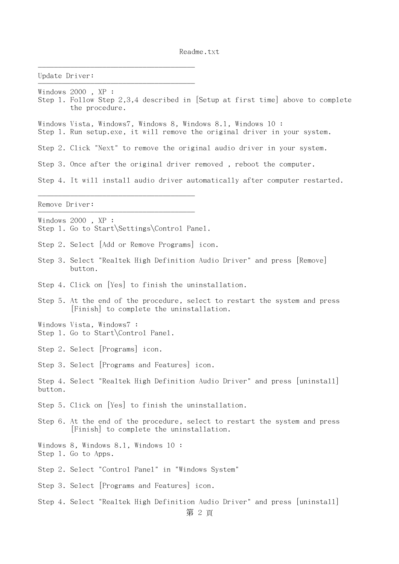| Update Driver: |                                                                                                                                           |
|----------------|-------------------------------------------------------------------------------------------------------------------------------------------|
|                | Windows 2000, XP:<br>Step 1. Follow Step 2,3,4 described in [Setup at first time] above to complete<br>the procedure.                     |
|                | Windows Vista, Windows7, Windows 8, Windows 8.1, Windows 10:<br>Step 1. Run setup.exe, it will remove the original driver in your system. |
|                | Step 2. Click "Next" to remove the original audio driver in your system.                                                                  |
|                | Step 3. Once after the original driver removed, reboot the computer.                                                                      |
|                | Step 4. It will install audio driver automatically after computer restarted.                                                              |
| Remove Driver: |                                                                                                                                           |
|                | Windows 2000, XP :<br>Step 1. Go to Start Settings Control Pane1.                                                                         |
|                | Step 2. Select   Add or Remove Programs  icon.                                                                                            |
|                | Step 3. Select "Realtek High Definition Audio Driver" and press [Remove]<br>button.                                                       |
|                | Step 4. Click on [Yes] to finish the uninstallation.                                                                                      |
|                | Step 5. At the end of the procedure, select to restart the system and press<br>Finish to complete the uninstallation.                     |
|                | Windows Vista, Windows7 :<br>Step 1. Go to Start\Control Pane1.                                                                           |
|                | Step 2. Select Programs icon.                                                                                                             |
|                | Step 3. Select [Programs and Features] icon.                                                                                              |
| button.        | Step 4. Select "Realtek High Definition Audio Driver" and press [uninstal1]                                                               |
|                | Step 5. Click on [Yes] to finish the uninstallation.                                                                                      |
|                | Step 6. At the end of the procedure, select to restart the system and press<br>[Finish] to complete the uninstallation.                   |
|                | Windows 8, Windows 8.1, Windows 10 :<br>Step 1. Go to Apps.                                                                               |
|                | Step 2. Select "Control Panel" in "Windows System"                                                                                        |
|                | Step 3. Select Programs and Features icon.                                                                                                |
|                | Step 4. Select "Realtek High Definition Audio Driver" and press [uninstal1]                                                               |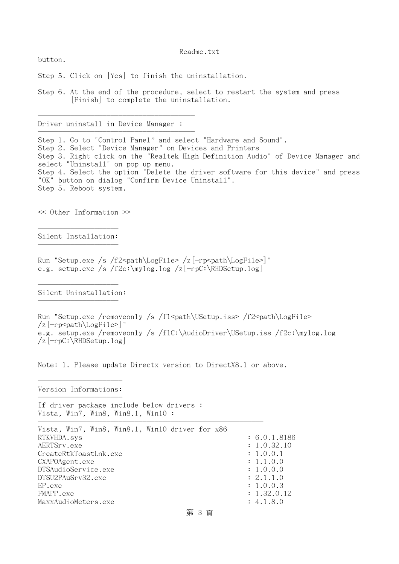button.

Step 5. Click on [Yes] to finish the uninstallation.

Step 6. At the end of the procedure, select to restart the system and press [Finish] to complete the uninstallation.

Driver uninstall in Device Manager :

---------------------------------------

---------------------------------------

Step 1. Go to "Control Panel" and select "Hardware and Sound". Step 2. Select "Device Manager" on Devices and Printers Step 3. Right click on the "Realtek High Definition Audio" of Device Manager and select "Uninstall" on pop up menu. Step 4. Select the option "Delete the driver software for this device" and press "OK" button on dialog "Confirm Device Uninstall". Step 5. Reboot system.

<< Other Information >>

-------------------- Silent Installation: --------------------

Run "Setup.exe /s /f2<path\LogFile> /z[-rp<path\LogFile>]" e.g. setup.exe /s /f2c:\mylog.log /z[-rpC:\RHDSetup.log]

-------------------- Silent Uninstallation: --------------------

Run "Setup.exe /removeonly /s /fl  $\delta$  /fl  $\delta$  /USetup.iss> /f2  $\epsilon$  /f2  $\delta$  /LogFile>  $\sqrt{z}$ [-rp<path\LogFile>]" e.g. setup.exe /removeonly /s /f1C:\AudioDriver\USetup.iss /f2c:\mylog.log /z[-rpC:\RHDSetup.log]

Note: 1. Please update Directx version to DirectX8.1 or above.

--------------------- Version Informations: ---------------------

If driver package include below drivers : Vista, Win7, Win8, Win8.1, Win10 :

| Vista, Win7, Win8, Win8.1, Win10 driver for x86 |              |
|-------------------------------------------------|--------------|
| RTKVHDA.sys                                     | : 6.0.1.8186 |
| AERTSrv.exe                                     | : 1.0.32.10  |
| CreateRtkToastLnk.exe                           | : 1.0.0.1    |
| CXAPOAgent.exe                                  | : 1.1.0.0    |
| DTSAudioService.exe                             | : 1.0.0.0    |
| DTSU2PAuSrv32.exe                               | : 2.1.1.0    |
| EP.exe                                          | : 1.0.0.3    |
| FMAPP.exe                                       | : 1.32.0.12  |
| MaxxAudioMeters.exe                             | : 4.1.8.0    |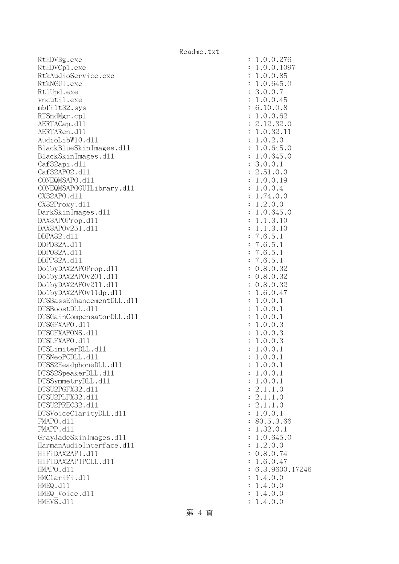RtHDVBg.exe RtHDVCp1.exe RtkAudioService.exe RtkNGUI.exe Rt1Upd.exe vncutil.exe mbfilt32.sys RTSndMgr.cp1 AERTACap.d11 AERTARen.d11 AudioLibW10.dl1 BlackBlueSkinImages.dll BlackSkinImages.dl1 Caf32api.dll Caf32AP02.d11 CONEQMSAPO.d11 CONEQMSAPOGUILibrary.dll CX32APO.d11  $CX32$ Proxy.dll DarkSkinImages.dl1 DAX3APOProp.dl1 DAX3APOv251.d11 DDPA32.d11 DDPD32A.d11 DDP032A.d11 DDPP32A.d11 Do1byDAX2APOProp.dl1 DolbyDAX2APOv201.dl1 DolbyDAX2APOv211.dl1 DolbyDAX2APOv11dp.dl1 DTSBassEnhancementDLL.dl1 DTSBoostDLL.d11 DTSGainCompensatorDLL.dl1 DTSGFXAPO.d11 DTSGFXAPONS.d11 DTSLFXAPO.d11 DTSLimiterDLL.dl1 DTSNeoPCDLL.d11 DTSS2HeadphoneDLL.d11 DTSS2SpeakerDLL.dl1 DTSSymmetryDLL.dl1 DTSU2PGFX32.d11 DTSU2PLFX32.d11 DTSU2PREC32.d11 DTSVoiceClarityDLL.dl1  $FMAPO. d11$ FMAPP.d11 GrayJadeSkinImages.dl1 HarmanAudioInterface.dl1 HiFiDAX2API.d11 HiFiDAX2APIPCLL.dl1 HMAPO.dll : 6.3.9600.17246 HMClariFi.dll  $HMEQ$ .  $d11$ HMEQ Voice.dll HMHVS.d11

| $\ddot{\cdot}$      | .0.0.276<br>1                                                     |
|---------------------|-------------------------------------------------------------------|
| $\ddot{\cdot}$      | .0.0.1097<br>1                                                    |
|                     |                                                                   |
| $\ddot{\cdot}$      | .0.0.85<br>$\mathbf{1}$                                           |
| $\ddot{\cdot}$      | .0.645.0<br>1                                                     |
|                     |                                                                   |
| $\vdots$            | 3.0.0.7                                                           |
|                     | .0.0.45<br>1                                                      |
|                     | 6.10.0.8<br>1.0.0.62                                              |
|                     |                                                                   |
|                     |                                                                   |
| :: :: :: ::         | $.12.32.0$<br>$.0.32.11$<br>$.0.2.0$<br>2.                        |
|                     | $\mathbf 1$                                                       |
|                     |                                                                   |
|                     | $\mathbf 1$                                                       |
|                     | .0.645<br>$\mathbf{1}$<br>$\cdot$ 0                               |
| : : : : : : : :     | $\mathbf{1}$                                                      |
|                     | .0.645.0                                                          |
|                     | 3.0.0.1                                                           |
|                     | $.51.0.0$<br>$.0.0.19$<br>$.0.0.4$<br>$\mathbf{C}$                |
|                     |                                                                   |
| $\vdots$            | $\mathbf 1$                                                       |
| $\vdots$            | $\mathbf 1$                                                       |
| $\ddot{\cdot}$      | $\mathbf 1$                                                       |
|                     | $.74.0.0$<br>$.2.0.0$                                             |
| $\ddot{\cdot}$      | $\mathbf 1$                                                       |
|                     | $\ddot{\phantom{0}}$<br>$\mathbf 1$                               |
|                     | $0.645.0$<br>$1.3.10$                                             |
|                     | $\cdot$ 1<br>$\mathbf{1}$                                         |
|                     | .3.<br>$\mathbf{1}$<br>$\ddot{\phantom{0}}$<br>10<br>$\mathbf{1}$ |
|                     | $\frac{1}{2}$ . 5.<br>$\cdot$ 6<br>$\overline{7}$<br>$\mathbf 1$  |
|                     |                                                                   |
|                     | $\overline{7}$<br>$\cdot$ 6<br>$\mathbf 1$                        |
|                     | $\cdot$ 6<br>.5.<br>$\overline{7}$<br>$\mathbf{1}$                |
|                     | .5.<br>$\overline{7}$<br>$\cdot$ 6<br>$\mathbf{1}$                |
| : : : : : : : : : : |                                                                   |
|                     | 0.8.0.32                                                          |
| $\ddot{\cdot}$      | $0.8.0.32$<br>$0.8.0.32$                                          |
|                     |                                                                   |
| $\vdots$            |                                                                   |
| $\ddot{\cdot}$      | .6.0.47<br>$\mathbf 1$                                            |
| $\ddot{\cdot}$      | .0.0.<br>$\mathbf 1$<br>$\mathbf{1}$                              |
|                     |                                                                   |
| $\ddot{\cdot}$      | .0.0.<br>$\mathbf{1}$<br>$\mathbf 1$                              |
| $\ddot{\cdot}$      | .0.0.<br>$\mathbf{1}$<br>$\mathbf 1$                              |
| $\ddot{\cdot}$      | .0.0.3<br>$\mathbf 1$                                             |
|                     |                                                                   |
| $\ddot{\cdot}$      | .0.0.3<br>$\mathbf{1}$                                            |
| $\ddot{\cdot}$      | .0.0.3<br>$\mathbf{1}$                                            |
| $\ddot{\cdot}$      | .0.0.<br>1<br>$\mathbf{1}$                                        |
|                     |                                                                   |
| :                   | 1<br>.0.0.1                                                       |
| $\ddot{\cdot}$      | .0.0.1<br>1                                                       |
|                     | .0.0.<br>$\mathbf 1$<br>$\mathbf 1$                               |
| $\ddot{\cdot}$      |                                                                   |
| .                   | .0.0.1<br>$\mathbf 1$                                             |
|                     | 2.1.1.0                                                           |
|                     |                                                                   |
|                     | 2.1.1.0                                                           |
|                     | 2.1.1.0                                                           |
|                     | 1.0.0.1                                                           |
|                     |                                                                   |
|                     | 80.5.3.66                                                         |
|                     | 1.32.0.1                                                          |
|                     | 1.0.645.0                                                         |
|                     |                                                                   |
|                     | 1.2.0.0                                                           |
|                     | 0.8.0.74                                                          |
|                     |                                                                   |
|                     |                                                                   |
|                     | 1.6.0.47                                                          |
|                     |                                                                   |
|                     | 6.3.9600.17246                                                    |
|                     | 1.4.0.0                                                           |
| .                   | 1.4.0.0                                                           |
| $\ddot{\cdot}$      |                                                                   |
| $\vdots$            | 1.4.0.0<br>1.4.0.0                                                |

第 4 頁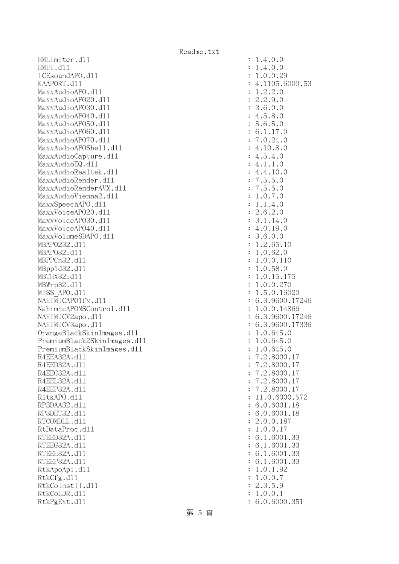HMLimiter.dll : 1.4.0.0 HMUI.dll : 1.4.0.0 ICEsoundAPO.d11 : 1.0.0.29 KAAPORT.d11 : 4.1105.6000.53 MaxxAudioAPO.dl1 : 1.2.2.0<br>MaxxAudioAPO2O.dl1 : 2.2.9.0 MaxxAudioAP020.dll MaxxAudioAPO30.dll : 3.6.0.0 MaxxAudioAPO40.dll : 4.5.8.0 MaxxAudioAPO50.dll : 5.6.5.0 MaxxAudioAPO60.dll : 6.1.17.0 MaxxAudioAPO70.dl1 : 7.0.24.0 MaxxAudioAPOShell.dll : 4.10.8.0 MaxxAudioCapture.dll  $\cdot$  4.5.4.0 MaxxAudioEQ.dl1 : 4.1.1.0 MaxxAudioRealtek.dll : 4.4.10.0 MaxxAudioRender.dll  $\cdot$  7.5.5.0 MaxxAudioRenderAVX.dll : 7.5.5.0 MaxxAudioVienna2.dll MaxxSpeechAPO.dll : 1.1.4.0  $\text{MaxVoice}$ APO2O.dll  $\text{maxVoice}$ MaxxVoiceAPO30.dl1 : 3.1.14.0 MaxxVoiceAPO40.dll : 4.0.19.0 MaxxVolumeSDAPO.d11 3.6.0.0 MBAPO232.dll : 1.2.65.10 MBAPO32.dll : 1.0.62.0 MBPPCn32.dll : 1.0.0.110 MBppld32.dll : 1.0.58.0 MBTHX32.d11 : 1.0.15.175 MBWrp32.d11 : 1.0.0.270 MISS APO.d11 : 1.5.0.16020 NAHIMICAPO1fx.dl1 : 6.3.9600.17246 NahimicAPONSControl.dll : 1.0.0.14866 NAHIMICV2apo.dll : 6.3.9600.17246 NAHIMICV3apo.dll : 6.3.9600.17336 OrangeBlackSkinImages.dll : 1.0.645.0 PremiumBlack2SkinImages.dll : 1.0.645.0 PremiumBlackSkinImages.dll : 1.0.645.0 R4EEA32A.d11 : 7.2.8000.17 R4EED32A.d11 : 7.2.8000.17 R4EEG32A.d11 : 7.2.8000.17 R4EEL32A.d11 : 7.2.8000.17 R4EEP32A.d11 : 7.2.8000.17 R1tkAPO.d11 : 11.0.6000.572 RP3DAA32.d11 : 6.0.6001.18 RP3DHT32.d11 : 6.0.6001.18 RTCOMDLL.d11 : 2.0.0.187 RtDataProc.dl1 : 1.0.0.17 RTEED32A.d11 : 6.1.6001.33 RTEEG32A.d11 : 6.1.6001.33 RTEEL32A.d11 : 6.1.6001.33 RTEEP32A.d11 : 6.1.6001.33 RtkApoApi.dl1 : 1.0.1.92 RtkCfg.dl1 : 1.0.0.7 RtkCoInstII.dl1 : 2.3.5.9 RtkCoLDR.d11 : 1.0.0.1 RtkPgExt.dll : 6.0.6000.351

第 5 頁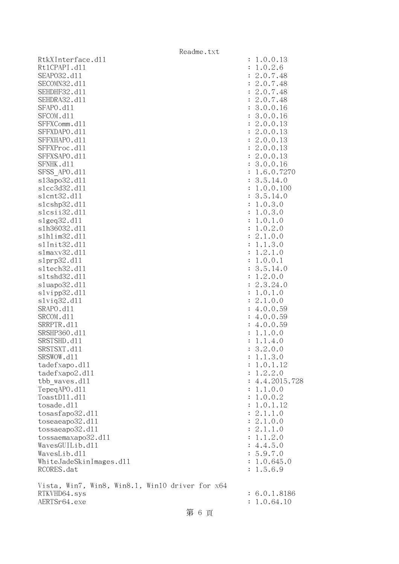| Readme.txt                                      |                             |
|-------------------------------------------------|-----------------------------|
| RtkXInterface.d11                               | : 1.0.0.13                  |
| Rt1CPAPI.d11                                    | : 1.0.2.6                   |
| SEAP032.d11                                     | : 2.0.7.48                  |
| SECOMN32.d11                                    | : 2.0.7.48                  |
| SEHDHF32.d11                                    | : 2.0.7.48                  |
| SEHDRA32.d11                                    | : 2.0.7.48                  |
| SFAPO.d11                                       | : 3.0.0.16                  |
| SFCOM.d11                                       | : 3.0.0.16                  |
| SFFXComm.d11                                    | : 2.0.0.13                  |
| SFFXDAPO.d11                                    | : 2.0.0.13                  |
| SFFXHAPO.d11                                    | : 2.0.0.13                  |
| SFFXProc.d11                                    | : 2.0.0.13                  |
| SFFXSAPO.d11                                    | : 2.0.0.13                  |
| SFNHK.d11                                       | : 3.0.0.16                  |
| SFSS APO.d11                                    | : 1.6.0.7270                |
| s13apo32.d11                                    | : 3.5.14.0                  |
| s1cc3d32.d11                                    | : 1.0.0.100                 |
| s1cnt32.d11                                     | : 3.5.14.0                  |
| s1cshp32.d11                                    | : 1.0.3.0                   |
| slcsii32.dl1                                    | : 1.0.3.0                   |
| $slgeq32$ .dll                                  | : 1.0.1.0                   |
| s1h36032.d11                                    | : 1.0.2.0                   |
| s1h1im32.d11                                    | : 2.1.0.0                   |
| s1Init32.d11                                    | : 1.1.3.0                   |
| s1maxv32.d11                                    | 1.2.1.0                     |
| slprp32.d11                                     | : 1.0.0.1                   |
| s1tech32.d11                                    | : 3.5.14.0                  |
| s1tshd32.d11                                    | : 1.2.0.0                   |
| s1uapo32.d11                                    | 2.3.24.0                    |
| slvipp32.d11                                    | : 1.0.1.0                   |
| s1viq32.d11                                     | : 2.1.0.0                   |
| SRAPO.d11                                       | : 4.0.0.59                  |
| SRCOM.d11                                       | : 4.0.0.59                  |
| SRRPTR.d11                                      | : 4.0.0.59                  |
| SRSHP360.d11                                    | 1.1.0.0                     |
| SRSTSHD.d11                                     | : 1.1.4.0                   |
| SRSTSXT.d11                                     | 3.2.0.0                     |
| SRSWOW.d11                                      | 1.1.3.0                     |
| tadefxapo.d11                                   | 1.0.1.12                    |
| tadefxapo2.d11                                  | 1.2.2.0<br>$\ddot{\cdot}$   |
| tbb waves.dll                                   | 4.4.2015.728                |
| TepegAPO.d11                                    | : 1.1.0.0                   |
| ToastD11.d11<br>tosade.d11                      | : 1.0.0.2                   |
|                                                 | : 1.0.1.12                  |
| tosasfapo32.d11                                 | : 2.1.1.0                   |
| to sea apo32.d11<br>tossaeapo32.d11             | : 2.1.0.0                   |
|                                                 | : 2.1.1.0                   |
| tossaemaxapo32.d11<br>WavesGUILib.d11           | : 1.1.2.0<br>: 4.4.5.0      |
| WavesLib.d11                                    | : 5.9.7.0                   |
| WhiteJadeSkinImages.d11                         | : 1.0.645.0                 |
| RCORES.dat                                      | 1.5.6.9                     |
|                                                 |                             |
| Vista, Win7, Win8, Win8.1, Win10 driver for x64 |                             |
| RTKVHD64.sys<br>AERTSr64.exe                    | : 6.0.1.8186<br>: 1.0.64.10 |
|                                                 |                             |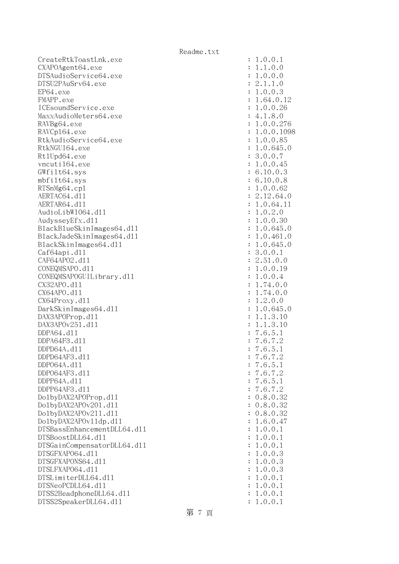| CreateRtkToastLnk.exe       |                | 1.0.0.1      |
|-----------------------------|----------------|--------------|
| CXAPOAgent64.exe            |                | 1.1.0.0      |
| DTSAudioService64.exe       |                | 1.0.0.0      |
| DTSU2PAuSrv64.exe           | $\ddot{\cdot}$ | 2.1.1.0      |
| EP64.exe                    |                | : 1.0.0.3    |
| FMAPP.exe                   |                | : 1.64.0.12  |
| ICEsoundService.exe         |                | : 1.0.0.26   |
| MaxxAudioMeters64.exe       |                | : 4.1.8.0    |
| RAVBg64.exe                 |                | : 1.0.0.276  |
| RAVCp164.exe                |                | : 1.0.0.1098 |
| RtkAudioService64.exe       |                | : 1.0.0.85   |
| RtkNGUI64.exe               |                | : 1.0.645.0  |
| Rt1Upd64.exe                |                | : 3.0.0.7    |
| vncuti164.exe               |                | : 1.0.0.45   |
|                             |                |              |
| GWfilt64.sys                |                | : 6.10.0.3   |
| mbfilt64.sys                |                | : 6.10.0.8   |
| RTSnMg64.cp1                |                | : 1.0.0.62   |
| AERTAC64.d11                |                | : 2.12.64.0  |
| AERTAR64.d11                |                | : 1.0.64.11  |
| AudioLibW1064.dl1           |                | : 1.0.2.0    |
| AudysseyEfx.d11             |                | : 1.0.0.30   |
| BlackBlueSkinImages64.dll   |                | : 1.0.645.0  |
| BlackJadeSkinImages64.dl1   |                | : 1.0.461.0  |
| BlackSkinImages64.dl1       |                | : 1.0.645.0  |
| Caf64api.d11                |                | : 3.0.0.1    |
| CAF64AP02.d11               |                | : 2.51.0.0   |
| CONEQMSAPO.d11              |                | : 1.0.0.19   |
| CONEQMSAPOGUILibrary.d11    |                | : 1.0.0.4    |
| CX32APO.d11                 |                | 1.74.0.0     |
| CX64APO.d11                 | $\ddot{\cdot}$ | 1.74.0.0     |
| CX64Proxy.d11               |                | : 1.2.0.0    |
| DarkSkinImages64.d11        |                | : 1.0.645.0  |
| DAX3APOProp.d11             |                | 1.1.3.10     |
| DAX3APOv251.d11             |                | 1.1.3.10     |
| DDPA64.d11                  | :              | 7.6.5.1      |
| DDPA64F3.d11                |                | 7.6.7.2      |
| DDPD64A.d11                 |                | : 7.6.5.1    |
| DDPD64AF3.d11               |                | 7.6.7.2      |
| DDP064A.d11                 |                | 7.6.5.1      |
| DDP064AF3.d11               |                | 7.6.7.2      |
| DDPP64A.d11                 |                | 7.6.5.1      |
| DDPP64AF3.d11               |                | 7.6.7.2      |
| Do1byDAX2APOProp.d11        |                | 0.8.0.32     |
| Do1byDAX2APOv201.d11        |                | : 0.8.0.32   |
| Do1byDAX2APOv211.d11        |                | 0.8.0.32     |
| Do1byDAX2APOv11dp.d11       |                | 1.6.0.47     |
| DTSBassEnhancementDLL64.d11 | $\ddot{\cdot}$ | 1.0.0.1      |
| DTSBoostDLL64.d11           | $\ddot{\cdot}$ | 1.0.0.1      |
| DTSGainCompensatorDLL64.d11 | $\ddot{\cdot}$ | 1.0.0.1      |
| DTSGFXAP064.d11             | $\ddot{\cdot}$ | 1.0.0.3      |
| DTSGFXAPONS64.d11           | $\ddot{\cdot}$ | 1.0.0.3      |
| DTSLFXAP064.d11             | $\ddot{\cdot}$ | 1.0.0.3      |
| DTSLimiterDLL64.d11         |                | 1.0.0.1      |
| DTSNeoPCDLL64.d11           | $\ddot{\cdot}$ | 1.0.0.1      |
| DTSS2HeadphoneDLL64.d11     | :              | 1.0.0.1      |
| DTSS2SpeakerDLL64.d11       |                | 1.0.0.1      |
|                             |                |              |

| $\ddot{\cdot}$ | 1<br>0.0<br>1                                                                                                                                                                                                                                                                                                                                                                              |
|----------------|--------------------------------------------------------------------------------------------------------------------------------------------------------------------------------------------------------------------------------------------------------------------------------------------------------------------------------------------------------------------------------------------|
| $\ddot{\cdot}$ | 1.0.<br>$\frac{1}{1}$<br>$\overline{O}$                                                                                                                                                                                                                                                                                                                                                    |
| $\ddot{\cdot}$ | 0.0<br>$\overline{0}$ .<br>$\ddot{\phantom{0}}$                                                                                                                                                                                                                                                                                                                                            |
| $\ddot{\cdot}$ | 1.1.0<br>$\overline{c}$<br>$\ddot{\phantom{0}}$                                                                                                                                                                                                                                                                                                                                            |
| $\ddot{\cdot}$ | 0.0.3<br>$\ddot{\phantom{0}}$                                                                                                                                                                                                                                                                                                                                                              |
| $\ddot{\cdot}$ | $\begin{smallmatrix}1\1\1\end{smallmatrix}$<br>64.0.<br>$\ddot{\phantom{0}}$<br>12                                                                                                                                                                                                                                                                                                         |
| $\ddot{\cdot}$ | $\ddot{\phantom{0}}$                                                                                                                                                                                                                                                                                                                                                                       |
|                | $0.0.26$<br>1.8.0<br>0.0.276<br>$\ddot{\phantom{0}}$                                                                                                                                                                                                                                                                                                                                       |
|                | $\begin{array}{c} 4 \\ 1 \\ 1 \\ 1 \end{array}$                                                                                                                                                                                                                                                                                                                                            |
|                | $\ddot{\phantom{0}}$                                                                                                                                                                                                                                                                                                                                                                       |
|                | 0.0.1098<br>$\ddot{\phantom{0}}$                                                                                                                                                                                                                                                                                                                                                           |
|                | 0.0.<br>85                                                                                                                                                                                                                                                                                                                                                                                 |
|                | 0.645.0<br>$\ddot{\phantom{0}}$                                                                                                                                                                                                                                                                                                                                                            |
|                | $.0.0.7$<br>$.0.0.45$<br>3                                                                                                                                                                                                                                                                                                                                                                 |
|                | $\mathbf{1}$                                                                                                                                                                                                                                                                                                                                                                               |
|                | $10.0.3$<br>$10.0.8$<br>$\ddot{\phantom{0}}$<br>6                                                                                                                                                                                                                                                                                                                                          |
|                | $\ddot{\phantom{0}}$<br>6                                                                                                                                                                                                                                                                                                                                                                  |
|                |                                                                                                                                                                                                                                                                                                                                                                                            |
| $\ddot{\cdot}$ | $\frac{1}{2}$<br>$\ddot{\phantom{0}}$                                                                                                                                                                                                                                                                                                                                                      |
| $\ddot{\cdot}$ | $\ddot{\phantom{0}}$                                                                                                                                                                                                                                                                                                                                                                       |
|                | $\ddot{\phantom{0}}$                                                                                                                                                                                                                                                                                                                                                                       |
| $\ddot{\cdot}$ |                                                                                                                                                                                                                                                                                                                                                                                            |
| $\ddot{\cdot}$ | $\ddot{\phantom{0}}$                                                                                                                                                                                                                                                                                                                                                                       |
| $\ddot{\cdot}$ | $[0.3em] \begin{array}{l} \text{0.0.8}\ 0.0.62\\ \text{0.0.62}\ 12.64.0\\ \text{0.0.64.11}\ 0.2.0\\ \text{0.0.30}\ 0.645.0\\ \text{0.0.461.0}\ 0.645.0\\ \text{0.0.1}\ 51.0.0\\ \text{0.0.1}\ 51.0.0\\ \text{0.0.4}\ 74.0.0\\ \text{0.0.4}\ 74.0.0\\ \text{0.0.645.0}\\ \text{0.0.645.0}\\ \text{0.0.645.0}\\ \text{$<br>$\frac{1}{1}$ $\frac{1}{1}$ $\frac{1}{3}$<br>$\ddot{\phantom{0}}$ |
| $\vdots$       | $\ddot{\phantom{0}}$                                                                                                                                                                                                                                                                                                                                                                       |
| $\vdots$       |                                                                                                                                                                                                                                                                                                                                                                                            |
| $\ddot{\cdot}$ | $\ddot{\cdot}$                                                                                                                                                                                                                                                                                                                                                                             |
| $\ddot{\cdot}$ | 2111111117777                                                                                                                                                                                                                                                                                                                                                                              |
|                | $\ddot{\phantom{0}}$                                                                                                                                                                                                                                                                                                                                                                       |
|                |                                                                                                                                                                                                                                                                                                                                                                                            |
|                |                                                                                                                                                                                                                                                                                                                                                                                            |
|                |                                                                                                                                                                                                                                                                                                                                                                                            |
|                |                                                                                                                                                                                                                                                                                                                                                                                            |
|                |                                                                                                                                                                                                                                                                                                                                                                                            |
|                | $\ddot{\phantom{0}}$                                                                                                                                                                                                                                                                                                                                                                       |
|                |                                                                                                                                                                                                                                                                                                                                                                                            |
|                |                                                                                                                                                                                                                                                                                                                                                                                            |
|                |                                                                                                                                                                                                                                                                                                                                                                                            |
|                | $\ddot{\phantom{0}}$                                                                                                                                                                                                                                                                                                                                                                       |
|                | $\overline{\phantom{a}}$                                                                                                                                                                                                                                                                                                                                                                   |
| $\ddot{\cdot}$ | $\ddot{\phantom{0}}$                                                                                                                                                                                                                                                                                                                                                                       |
| $\ddot{\cdot}$ |                                                                                                                                                                                                                                                                                                                                                                                            |
| $\ddot{\cdot}$ | 77770                                                                                                                                                                                                                                                                                                                                                                                      |
| $\ddot{\cdot}$ |                                                                                                                                                                                                                                                                                                                                                                                            |
| $\ddot{\cdot}$ |                                                                                                                                                                                                                                                                                                                                                                                            |
| $\ddot{\cdot}$ |                                                                                                                                                                                                                                                                                                                                                                                            |
| $\ddot{\cdot}$ | $\frac{1}{32}$<br>8<br>$\overline{O}$<br>$\overline{O}$                                                                                                                                                                                                                                                                                                                                    |
| $\ddot{\cdot}$ | 8<br>32<br>$\overline{0}$<br>$\overline{0}$ .<br>$\ddot{\phantom{0}}$<br>$\ddot{\phantom{0}}$                                                                                                                                                                                                                                                                                              |
| $\ddot{\cdot}$ | $\overline{6}$ .<br>$\overline{0}$ .<br>$\overline{a}$                                                                                                                                                                                                                                                                                                                                     |
|                | $\frac{4}{1}$<br>$\frac{1}{1}$                                                                                                                                                                                                                                                                                                                                                             |
| $\ddot{\cdot}$ | $\overline{0}$ .<br>$\overline{O}$<br>$\ddot{\phantom{0}}$                                                                                                                                                                                                                                                                                                                                 |
| $\ddot{\cdot}$ | $\overline{1}$<br>$\overline{0}$ .<br>$\overline{O}$<br>$\overline{1}$<br>$\ddot{\phantom{0}}$                                                                                                                                                                                                                                                                                             |
| $\ddot{\cdot}$ | $\mathbf 1$<br>$\mathbf{1}$<br>$\overline{0}$ .<br>$\overline{O}$<br>$\ddot{\phantom{0}}$                                                                                                                                                                                                                                                                                                  |
| $\ddot{\cdot}$ | $\mathbf 1$<br>$\overline{0}$ .<br>$\overline{O}$<br>3<br>$\ddot{\phantom{0}}$                                                                                                                                                                                                                                                                                                             |
| $\ddot{\cdot}$ | $\mathbf{1}$<br>$\overline{0}$ .<br>$\overline{O}$<br>3<br>$\ddot{\phantom{0}}$                                                                                                                                                                                                                                                                                                            |
| $\ddot{\cdot}$ | $\mathbf{1}$<br>$\overline{0}$ .<br>$\mathbf 0$<br>3<br>$\ddot{\phantom{0}}$                                                                                                                                                                                                                                                                                                               |
| $\ddot{\cdot}$ | $\mathbf{1}$<br>$\mathbf 1$<br>$\overline{O}$<br>$\overline{0}$ .<br>$\ddot{\phantom{0}}$                                                                                                                                                                                                                                                                                                  |
| $\ddot{\cdot}$ | $\mathbf 1$<br>$\overline{O}$<br>$\mathbf{1}$<br>$\overline{0}$ .<br>$\ddot{\phantom{a}}$                                                                                                                                                                                                                                                                                                  |
| $\ddot{\cdot}$ | $\mathbf{1}$<br>$\overline{O}$<br>$\mathbf 1$<br>$\overline{0}$ .<br>$\ddot{\phantom{a}}$                                                                                                                                                                                                                                                                                                  |
|                |                                                                                                                                                                                                                                                                                                                                                                                            |
| $\ddot{\cdot}$ | $\mathbf{1}$<br>.0.0.<br>$\mathbf{1}$                                                                                                                                                                                                                                                                                                                                                      |

第 7 頁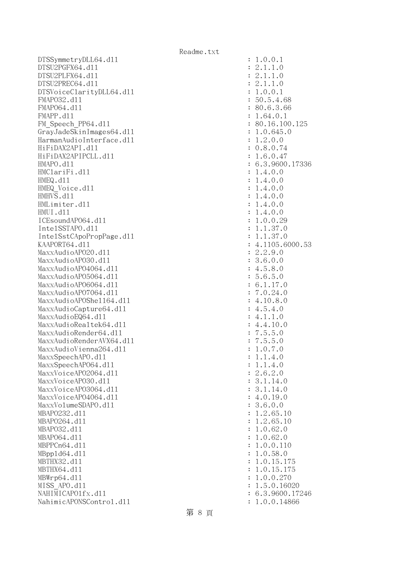DTSSymmetryDLL64.dl1 : 1.0.0.1  $DTSU2PGFX64. d11$  :  $2.1.1.0$ DTSU2PLFX64.dll : 2.1.1.0 DTSU2PREC64.dll : 2.1.1.0 DTSVoiceClarityDLL64.dll : 1.0.0.1 FMAPO32.dll : 50.5.4.68 FMAP064.d11 : 80.6.3.66 FMAPP.d11 : 1.64.0.1 FM Speech PP64.dll : 80.16.100.125 GrayJadeSkinImages64.dl1 : 1.0.645.0 HarmanAudioInterface.dll : 1.2.0.0 HiFiDAX2API.dll : 0.8.0.74 HiFiDAX2APIPCLL.dll : 1.6.0.47 HMAPO.d11 : 6.3.9600.17336 HMClariFi.dll : 1.4.0.0  $HMEQ. d11$  :  $1.4.0.0$ HMEQ\_Voice.dl1 : 1.4.0.0 HMHVS.d11 : 1.4.0.0 HMLimiter.dll : 1.4.0.0 HMUI.dll : 1.4.0.0 ICEsoundAPO64.dll : 1.0.0.29 IntelSSTAPO.dll : 1.1.37.0 IntelSstCApoPropPage.dll : 1.1.37.0 KAAPORT64.d11 : 4.1105.6000.53 MaxxAudioAPO20.dll : 2.2.9.0 MaxxAudioAPO30.dll : 3.6.0.0  $\text{MaxAudio}$ APO4064.dll  $\qquad \qquad$  : 4.5.8.0 MaxxAudioAPO5064.dll : 5.6.5.0 MaxxAudioAPO6064.dll : 6.1.17.0 MaxxAudioAPO7064.dll : 7.0.24.0 MaxxAudioAPOShell64.dll : 4.10.8.0  $MaxAudioCapture64. d11$  : 4.5.4.0  $\text{MaxAudioEQ64. d11}$  : 4.1.1.0 MaxxAudioRealtek64.dll : 4.4.10.0 MaxxAudioRender64.dll : 7.5.5.0 MaxxAudioRenderAVX64.dll : 7.5.5.0 MaxxAudioVienna264.dll : 1.0.7.0 MaxxSpeechAPO.d11 : 1.1.4.0 MaxxSpeechAPO64.dll : 1.1.4.0 MaxxVoiceAP02064.dll : 2.6.2.0 MaxxVoiceAPO30.dll : 3.1.14.0 MaxxVoiceAP03064.dll : 3.1.14.0 MaxxVoiceAP04064.dll : 4.0.19.0 MaxxVolumeSDAPO.dll : 3.6.0.0 MBAPO232.dll : 1.2.65.10 MBAPO264.dll : 1.2.65.10 MBAPO32.dll : 1.0.62.0 MBAP064.d11 : 1.0.62.0 MBPPCn64.dll : 1.0.0.110 MBppld64.dll : 1.0.58.0 MBTHX32.d11 : 1.0.15.175 MBTHX64.d11 : 1.0.15.175 MBWrp64.dll : 1.0.0.270 MISS APO.d11 : 1.5.0.16020 NAHIMICAPO1fx.dl1 : 6.3.9600.17246 NahimicAPONSControl.dll : 1.0.0.14866

第 8 頁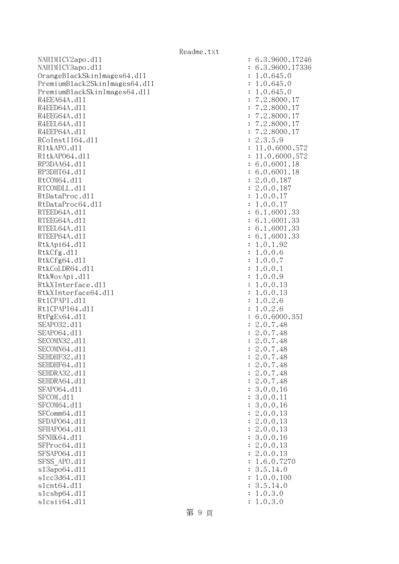NAHIMICV2apo.dll : 6.3.9600.17246 NAHIMICV3apo.dll : 6.3.9600.17336 OrangeBlackSkinImages64.dll : 1.0.645.0 PremiumBlack2SkinImages64.dll : 1.0.645.0 PremiumBlackSkinImages64.dll : 1.0.645.0 R4EEA64A.d11 : 7.2.8000.17 R4EED64A.d11 : 7.2.8000.17 R4EEG64A.d11 : 7.2.8000.17 R4EEL64A.d11 : 7.2.8000.17 R4EEP64A.d11 : 7.2.8000.17 RCoInstII64.d11 : 2.3.5.9 R1tkAPO.d11 : 11.0.6000.572 R1tkAP064.d11 : 11.0.6000.572 RP3DAA64.d11 : 6.0.6001.18 RP3DHT64.d11 : 6.0.6001.18 RtCOM64.d11 : 2.0.0.187 RTCOMDLL.d11 : 2.0.0.187 RtDataProc.dl1 : 1.0.0.17 RtDataProc64.dl1 : 1.0.0.17 RTEED64A.d11 : 6.1.6001.33 RTEEG64A.d11 : 6.1.6001.33 RTEEL64A.d11 : 6.1.6001.33 RTEEP64A.d11 : 6.1.6001.33 RtkApi64.dl1 : 1.0.1.92 RtkCfg.dll : 1.0.0.6 RtkCfg64.dl1 : 1.0.0.7 RtkCoLDR64.d11 : 1.0.0.1 RtkWovApi.dll : 1.0.0.9 RtkXInterface.dl1 : 1.0.0.13 RtkXInterface64.dl1 : 1.0.0.13 RtlCPAPI.dll : 1.0.2.6 Rt1CPAPI64.d11 : 1.0.2.6 RtPgEx64.d11 : 6.0.6000.351 SEAPO32.d11 : 2.0.7.48 SEAPO64.d11 : 2.0.7.48 SECOMN32.d11 : 2.0.7.48 SECOMN64.d11 : 2.0.7.48 SEHDHF32.d11 : 2.0.7.48 SEHDHF64.d11 : 2.0.7.48 SEHDRA32.d11 : 2.0.7.48 SEHDRA64.d11 : 2.0.7.48 SFAP064.d11 : 3.0.0.16 SFCOM.d11 : 3.0.0.11 SFCOM64.d11 : 3.0.0.16 SFComm64.d11 : 2.0.0.13 SFDAP064.d11 : 2.0.0.13 SFHAPO64.d11 : 2.0.0.13 SFNHK64.d11 : 3.0.0.16 SFProc64.d11 : 2.0.0.13 SFSAP064.d11 : 2.0.0.13 SFSS APO.d11 : 1.6.0.7270 sl3apo64.dll : 3.5.14.0 slcc3d64.dl1 : 1.0.0.100 slcnt64.dll : 3.5.14.0 slcshp64.dll : 1.0.3.0 slcsii64.dll : 1.0.3.0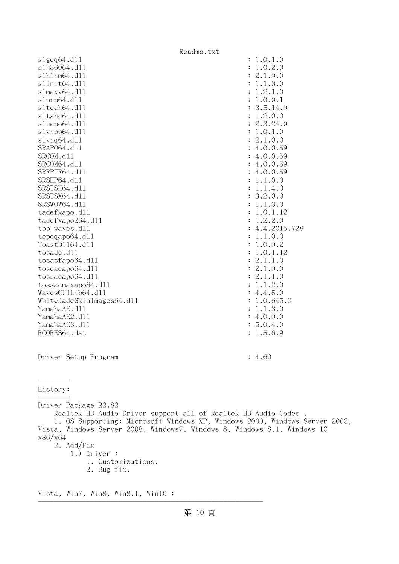| Readme.txt                                                                 |                                       |
|----------------------------------------------------------------------------|---------------------------------------|
| slgeq64. d11                                                               | : 1.0.1.0                             |
| s1h36064.d11                                                               | 1.0.2.0<br>$\ddot{\cdot}$             |
| s1h1im64.d11                                                               | 2.1.0.0<br>:                          |
| s1Init64.d11                                                               | 1.1.3.0<br>$\ddot{\cdot}$             |
| s1maxv64.d11                                                               | 1.2.1.0                               |
| slprp64.d11                                                                | 1.0.0.1<br>$\ddot{\cdot}$             |
| sltech64.dll                                                               | 3.5.14.0                              |
| sltshd64.dll                                                               | 1.2.0.0<br>$\ddot{\cdot}$             |
| sluapo64.dll                                                               | 2.3.24.0                              |
| slvipp64.d11                                                               | 1.0.1.0<br>$\ddot{\cdot}$             |
| $s1$ viq $64. d11$<br>SRAP064.d11                                          | 2.1.0.0<br>$\ddot{\cdot}$<br>4.0.0.59 |
| SRCOM.d11                                                                  | : 4.0.0.59                            |
| SRCOM64.d11                                                                | : 4.0.0.59                            |
| SRRPTR64.d11                                                               | : 4.0.0.59                            |
| SRSHP64.d11                                                                | 1.1.0.0                               |
| SRSTSH64.d11                                                               | 1.1.4.0<br>$\ddot{\cdot}$             |
| SRSTSX64.d11                                                               | 3.2.0.0                               |
| SRSWOW64.d11                                                               | 1.1.3.0                               |
| tadefxapo.dl1                                                              | 1.0.1.12                              |
| tadefxapo264.dl1                                                           | 1.2.2.0                               |
| tbb waves.dll                                                              | 4.4.2015.728                          |
| tepeqapo64.dl1                                                             | 1.1.0.0                               |
| ToastD1164.d11                                                             | 1.0.0.2                               |
| tosade.d11                                                                 | 1.0.1.12                              |
| tosasfapo64.dl1                                                            | 2.1.1.0                               |
| toseaeapo64.d11                                                            | 2.1.0.0<br>$\ddot{\cdot}$             |
| tossaeapo64.d11                                                            | 2.1.1.0                               |
| tossaemaxapo64.dll                                                         | 1.1.2.0<br>$\ddot{\cdot}$             |
| WavesGUILib64.d11                                                          | 4.4.5.0                               |
| WhiteJadeSkinImages64.dl1                                                  | 1.0.645.0                             |
| YamahaAE.d11                                                               | 1.1.3.0                               |
| YamahaAE2.d11                                                              | : 4.0.0.0                             |
| YamahaAE3.d11                                                              | 5.0.4.0                               |
| RCORES64.dat                                                               | 1.5.6.9                               |
|                                                                            |                                       |
|                                                                            |                                       |
| Driver Setup Program                                                       | : 4.60                                |
|                                                                            |                                       |
|                                                                            |                                       |
| History:                                                                   |                                       |
|                                                                            |                                       |
| Driver Package R2.82                                                       |                                       |
| Realtek HD Audio Driver support all of Realtek HD Audio Codec.             |                                       |
| 1. OS Supporting: Microsoft Windows XP, Windows 2000, Windows Server 2003, |                                       |
| Vista, Windows Server 2008, Windows7, Windows 8, Windows 8.1, Windows 10 - |                                       |
| x86/x64                                                                    |                                       |
| 2. $\text{Add}/\text{Fix}$                                                 |                                       |
| $1.)$ Driver :                                                             |                                       |
| 1. Customizations.                                                         |                                       |
| 2. Bug fix.                                                                |                                       |
|                                                                            |                                       |

Vista, Win7, Win8, Win8.1, Win10 : --------------------------------------------------------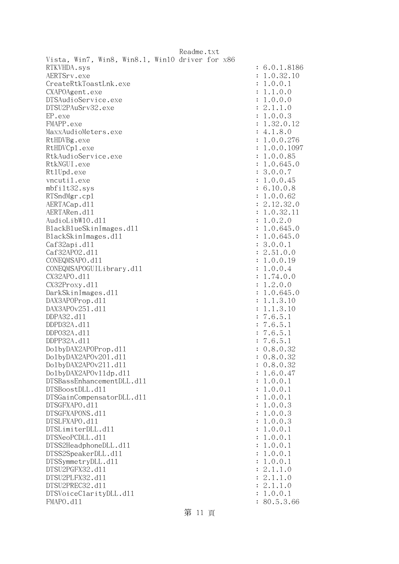|                                                 | Readme.txt |  |              |
|-------------------------------------------------|------------|--|--------------|
| Vista, Win7, Win8, Win8.1, Win10 driver for x86 |            |  |              |
| RTKVHDA.sys                                     |            |  | : 6.0.1.8186 |
| AERTSrv.exe                                     |            |  | : 1.0.32.10  |
| CreateRtkToastLnk.exe                           |            |  | : 1.0.0.1    |
| CXAPOAgent.exe                                  |            |  | : 1.1.0.0    |
| DTSAudioService.exe                             |            |  | : 1.0.0.0    |
| DTSU2PAuSrv32.exe                               |            |  | : 2.1.1.0    |
| EP.exe                                          |            |  | : 1.0.0.3    |
| FMAPP.exe                                       |            |  | : 1.32.0.12  |
| MaxxAudioMeters.exe                             |            |  | : 4.1.8.0    |
| RtHDVBg.exe                                     |            |  | : 1.0.0.276  |
| RtHDVCp1.exe                                    |            |  | : 1.0.0.1097 |
| RtkAudioService.exe                             |            |  | : 1.0.0.85   |
| RtkNGUI.exe                                     |            |  | : 1.0.645.0  |
| Rt1Upd.exe                                      |            |  | : 3.0.0.7    |
| vncutil.exe                                     |            |  | : 1.0.0.45   |
| mbfilt32.sys                                    |            |  | : 6.10.0.8   |
| RTSndMgr.cp1                                    |            |  | : 1.0.0.62   |
| AERTACap.d11                                    |            |  | : 2.12.32.0  |
| AERTARen.d11                                    |            |  | : 1.0.32.11  |
| AudioLibW10.d11                                 |            |  | : 1.0.2.0    |
| BlackBlueSkinImages.dl1                         |            |  | : 1.0.645.0  |
| BlackSkinImages.dl1                             |            |  | : 1.0.645.0  |
| Caf32api.d11                                    |            |  | : 3.0.0.1    |
| Caf32AP02.d11                                   |            |  | : 2.51.0.0   |
| CONEQMSAPO.d11                                  |            |  | : 1.0.0.19   |
| CONEQMSAPOGUILibrary.d11                        |            |  | : 1.0.0.4    |
| CX32APO.d11                                     |            |  | : 1.74.0.0   |
| CX32Proxy.d11                                   |            |  | : 1.2.0.0    |
| DarkSkinImages.d11                              |            |  | : 1.0.645.0  |
| DAX3APOProp.d11                                 |            |  | : 1.1.3.10   |
| DAX3APOv251.d11                                 |            |  | : 1.1.3.10   |
| DDPA32.d11                                      |            |  | : 7.6.5.1    |
| DDPD32A.d11                                     |            |  | : 7.6.5.1    |
| DDP032A.d11                                     |            |  | : 7.6.5.1    |
| DDPP32A.d11                                     |            |  | : 7.6.5.1    |
| Do1byDAX2APOProp.d11                            |            |  | : 0.8.0.32   |
| Do1byDAX2APOv201.d11                            |            |  | : 0.8.0.32   |
| Do1byDAX2APOv211.d11                            |            |  | : 0.8.0.32   |
| Do1byDAX2APOv11dp.d11                           |            |  | : 1.6.0.47   |
| DTSBassEnhancementDLL.d11                       |            |  | : 1.0.0.1    |
| DTSBoostDLL.d11                                 |            |  | : 1.0.0.1    |
| DTSGainCompensatorDLL.d11                       |            |  | : 1.0.0.1    |
| DTSGFXAPO.d11                                   |            |  | : 1.0.0.3    |
| DTSGFXAPONS.d11                                 |            |  | : 1.0.0.3    |
| DTSLFXAPO.d11                                   |            |  | : 1.0.0.3    |
| DTSLimiterDLL.d11                               |            |  | : 1.0.0.1    |
| DTSNeoPCDLL.d11                                 |            |  | : 1.0.0.1    |
| DTSS2HeadphoneDLL.d11                           |            |  | : 1.0.0.1    |
| DTSS2SpeakerDLL.d11                             |            |  | : 1.0.0.1    |
| DTSSymmetryDLL.d11                              |            |  | : 1.0.0.1    |
| DTSU2PGFX32.d11                                 |            |  | : 2.1.1.0    |
| DTSU2PLFX32.d11                                 |            |  | : 2.1.1.0    |
| DTSU2PREC32.d11                                 |            |  | : 2.1.1.0    |
| DTSVoiceClarityDLL.dl1                          |            |  | : 1.0.0.1    |
| FMAPO.d11                                       |            |  | : 80.5.3.66  |
|                                                 |            |  |              |

第 11 頁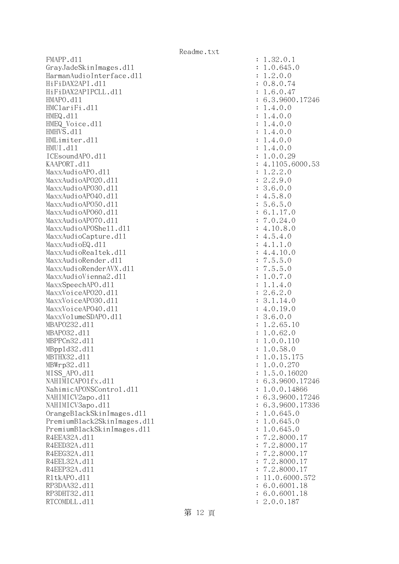FMAPP.d11 : 1.32.0.1 GrayJadeSkinImages.dll : 1.0.645.0 HarmanAudioInterface.dll : 1.2.0.0 HiFiDAX2API.dll : 0.8.0.74 HiFiDAX2APIPCLL.dll : 1.6.0.47 HMAPO.dll : 6.3.9600.17246 HMClariFi.dll : 1.4.0.0 HMEQ.dll : 1.4.0.0 HMEQ\_Voice.dl1 : 1.4.0.0 HMHVS.dll : 1.4.0.0 HMLimiter.dll : 1.4.0.0 HMUI.dll : 1.4.0.0 ICEsoundAPO.dll : 1.0.0.29 KAAPORT.d11 : 4.1105.6000.53 MaxxAudioAPO.dll : 1.2.2.0 MaxxAudioAPO20.dll : 2.2.9.0 MaxxAudioAPO30.dll : 3.6.0.0 MaxxAudioAPO40.dll : 4.5.8.0 MaxxAudioAPO50.dll : 5.6.5.0 MaxxAudioAPO60.dll : 6.1.17.0 MaxxAudioAPO70.dll : 7.0.24.0 MaxxAudioAPOShe11.dl1 : 4.10.8.0 MaxxAudioCapture.dll  $\qquad \qquad$  : 4.5.4.0  $MaxAudioEQ. d11$  : 4.1.1.0 MaxxAudioRealtek.dll  $4.4.10.0$ MaxxAudioRender.dll i 7.5.5.0 MaxxAudioRenderAVX.dll : 7.5.5.0 MaxxAudioVienna2.dl1 : 1.0.7.0 MaxxSpeechAPO.dl1 : 1.1.4.0 MaxxVoiceAP020.dll : 2.6.2.0 MaxxVoiceAP030.dll : 3.1.14.0 MaxxVoiceAPO40.dl1 : 4.0.19.0 MaxxVolumeSDAPO.dl1 : 3.6.0.0 MBAPO232.dll : 1.2.65.10 MBAPO32.dll : 1.0.62.0 MBPPCn32.d11 : 1.0.0.110 MBppld32.dll : 1.0.58.0 MBTHX32.d11 : 1.0.15.175 MBWrp32.d11 : 1.0.0.270 MISS APO.d11 : 1.5.0.16020 NAHIMICAPO1fx.dl1 : 6.3.9600.17246 NahimicAPONSControl.dl1 : 1.0.0.14866 NAHIMICV2apo.d11 : 6.3.9600.17246 NAHIMICV3apo.dll : 6.3.9600.17336 OrangeBlackSkinImages.dll : 1.0.645.0 PremiumBlack2SkinImages.dll : 1.0.645.0 PremiumBlackSkinImages.dll : 1.0.645.0 R4EEA32A.d11 : 7.2.8000.17 R4EED32A.d11 : 7.2.8000.17 R4EEG32A.d11 : 7.2.8000.17 R4EEL32A.d11 : 7.2.8000.17 R4EEP32A.d11 : 7.2.8000.17 R1tkAPO.d11 : 11.0.6000.572 RP3DAA32.d11 : 6.0.6001.18 RP3DHT32.d11 : 6.0.6001.18 RTCOMDLL.d11 : 2.0.0.187

第 12 頁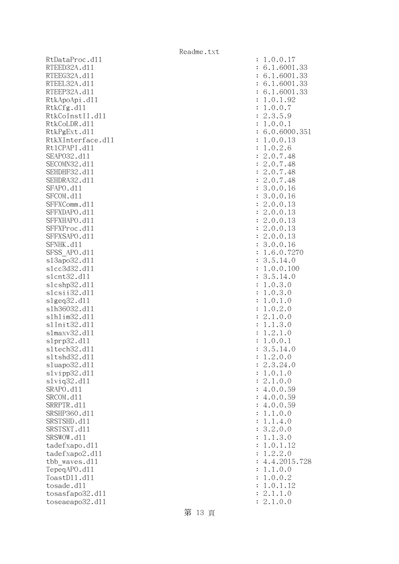RtDataProc.dll RTEED32A.d11 RTEEG32A.d11 RTEEL32A.d11 RTEEP32A.d11 RtkApoApi.dl1 RtkCfg.dll RtkCoInstII.d11 RtkCoLDR.d11 RtkPgExt.dl1 RtkXInterface.dl1 Rt1CPAPI.d11 SEAP032.d11 SECOMN32.d11 SEHDHF32.d11 SEHDRA32.d11 SFAPO.d11 SFCOM.d11 SFFXComm.d11 SFFXDAPO.d11 SFFXHAPO.d11 SFFXProc.dl1 SFFXSAPO.d11 SFNHK.d11 SFSS APO.dl1 s13apo32.d11 slcc3d32.d11 slcnt32.dl1 slcshp32.dl1 slcsii32.dl1 slgeq32.dl1 slh36032.dl1 slhlim32.dl1 s1Init32.d11 slmaxv32.dl1 slprp32.dl1 sltech32.d11 s1tshd32.d11 sluapo32.dl1  $slvipp32$ .dll slviq32.dl1 SRAPO.d11 SRCOM.d11 SRRPTR.d11 SRSHP360.d11 SRSTSHD.d11 SRSTSXT.d11 SRSWOW.d11 tadefxapo.dl1 tadefxapo2.dl1 tbb waves.dll TepeqAPO.d11 ToastD11.d11 tosade.d11 tosasfapo32.dl1 toseaeapo32.dl1

| $\ddot{\cdot}$ | 0.0.17<br>1                                                                                                        |
|----------------|--------------------------------------------------------------------------------------------------------------------|
| $\ddot{\cdot}$ | $\ddot{\phantom{0}}$<br>.6001<br>6<br>1<br>33                                                                      |
| $\ddot{\cdot}$ | $\ddot{\phantom{0}}$<br>$\mathbf 1$<br>6<br>.6001<br>33                                                            |
| $\ddot{\cdot}$ | $\mathbf{1}$<br>33<br>$\ddot{\phantom{a}}$<br>.6001<br>6                                                           |
|                | $\mathbf 1$<br>$\ddot{\phantom{0}}$<br>$\ddot{\phantom{a}}$<br>33<br>6                                             |
| $\ddot{\cdot}$ | 6001                                                                                                               |
| $\ddot{\cdot}$ | $\overline{92}$<br>$\ddot{\phantom{0}}$<br>$\cdot$ 1.<br>$\mathbf{1}$<br>$\overline{0}$                            |
| $\ddot{\cdot}$ | $\mathbf 1$<br>$\ddot{\phantom{a}}$<br>$\overline{0}$ .<br>$\overline{7}$<br>$\ddot{\phantom{a}}$<br>$\mathcal{O}$ |
| $\ddot{\cdot}$ | $\overline{c}$<br>$\ddot{\phantom{a}}$<br>$\ddot{\phantom{0}}$<br>$\ddot{\phantom{a}}$<br>5<br>3<br>9              |
| $\ddot{\cdot}$ | $\mathbf 1$<br>$\ddot{\phantom{a}}$<br>0.0<br>$\mathbf{1}$                                                         |
| $\ddot{\cdot}$ | .0.6000.<br>6<br>351                                                                                               |
|                | .0.0                                                                                                               |
| $\ddot{\cdot}$ | $\frac{1}{2}$<br>.13                                                                                               |
| $\ddot{\cdot}$ | .0.2<br>$\ddot{\phantom{a}}$<br>6                                                                                  |
| $\ddot{\cdot}$ | $\ddot{\phantom{0}}$<br>48                                                                                         |
| $\ddot{\cdot}$ | $.0.7$<br>$.0.7$<br>2 2 2 3 3<br>48                                                                                |
| $\ddot{\cdot}$ | .0.<br>$\overline{7}$<br>48                                                                                        |
| $\ddot{\cdot}$ | $\cdot$ 0<br>$\ddot{\phantom{a}}$<br>$\overline{7}$<br>48                                                          |
| $\ddot{\cdot}$ | .0.0<br>$\ddot{\phantom{0}}$<br>16                                                                                 |
|                |                                                                                                                    |
| $\ddot{\cdot}$ | .0.0<br>$\ddot{\phantom{a}}$<br>16                                                                                 |
| $\ddot{\cdot}$ | .0.0<br>$\ddot{\phantom{a}}$<br>13                                                                                 |
| $\ddot{\cdot}$ | .0.0.<br>13                                                                                                        |
| $\ddot{\cdot}$ | .0.0.<br>13                                                                                                        |
| $\ddot{\cdot}$ | 222231<br>$\cdot$ 0<br>13<br>.0.                                                                                   |
| $\ddot{\cdot}$ | $\cdot$ 0<br>13<br>.0.                                                                                             |
|                | $\frac{1}{6}$<br>.0.0.                                                                                             |
| $\ddot{\cdot}$ |                                                                                                                    |
| $\ddot{\cdot}$ | $\cdot$ 6<br>.0.<br>7270                                                                                           |
| $\ddot{\cdot}$ | .14.0<br>3                                                                                                         |
| $\ddot{\cdot}$ | $\frac{1}{6}$ .<br>$\frac{5}{6}$ .<br>$\mathbf{1}$<br>0.100                                                        |
| $\ddot{\cdot}$ | 3<br>$\frac{1}{2}$ .<br>$\ddot{\phantom{0}}$<br>14.0                                                               |
| $\ddot{\cdot}$ | 3<br>$\cdot$ <sup>0</sup>                                                                                          |
| $\ddot{\cdot}$ | $\frac{1}{1}$<br>3<br>$\ddot{\phantom{a}}$<br>$\cdot$ <sup>0</sup><br>$\cdot$ 0                                    |
| $\ddot{\cdot}$ | $\mathbf{1}$<br>$\mathbf 1$<br>$\cdot$ 0<br>$\ddot{\phantom{a}}$<br>$\ddot{\phantom{0}}$<br>$\overline{O}$         |
|                |                                                                                                                    |
| $\ddot{\cdot}$ | $\frac{2}{0}$<br>$\ddot{\phantom{0}}$<br>$\overline{1}$<br>$\cdot$ 0<br>$\ddot{\phantom{0}}$<br>$\mathcal{O}$      |
| $\ddot{\cdot}$ | $\overline{c}$<br>$\ddot{\phantom{0}}$<br>$\cdot$ <sup>0</sup><br>$\mathbf 1$                                      |
| $\ddot{\cdot}$ | $\mathbf{1}$<br>$\ddot{\phantom{0}}$<br>$\cdot$ <sup>0</sup><br>$\frac{3}{1}$<br>$\mathbf{1}$                      |
| $\ddot{\cdot}$ | $\overline{c}$<br>$\mathbf{1}$<br>$\ddot{\phantom{0}}$<br>$\ddot{\phantom{a}}$<br>$\mathcal{O}$                    |
| $\ddot{\cdot}$ | $\overline{0}$ .<br>$\mathbf 1$<br>$\ddot{\phantom{0}}$<br>$\overline{0}$ .<br>$\mathbf 1$                         |
| $\ddot{\cdot}$ | 5<br>$\ddot{\phantom{0}}$<br>3<br>$\overline{\phantom{a}}$<br>14<br>$\cdot$ 0                                      |
|                | $\overline{1}$<br>$\cdot$ 2<br>.0.0                                                                                |
| $\ddot{\cdot}$ |                                                                                                                    |
| $\ddot{\cdot}$ | .3.24.0<br>$\overline{c}$                                                                                          |
| $\ddot{\cdot}$ | 0.1.0<br>$\ddot{\phantom{a}}$<br>$\mathbf 1$                                                                       |
| $\ddot{\cdot}$ | $\overline{c}$<br>$\ddot{\phantom{0}}$<br>$1$ .<br>0.0                                                             |
| $\ddot{\cdot}$ | 0.0.<br>59<br>4.                                                                                                   |
| $\ddot{\cdot}$ | 4.0.0.<br>59                                                                                                       |
| $\ddot{\cdot}$ | 4.0.0.59                                                                                                           |
| $\ddot{\cdot}$ | 1.0.0<br>$\mathbf 1$<br>$\ddot{\phantom{0}}$                                                                       |
|                | $\mathbf{1}$<br>$\mathbf 1$<br>$\ddot{\phantom{0}}$<br>.4.0                                                        |
| $\ddot{\cdot}$ |                                                                                                                    |
| $\ddot{\cdot}$ | $\ddot{\phantom{a}}$<br>$\overline{c}$<br>.0.0<br>3                                                                |
| $\ddot{\cdot}$ | $\cdot$ 1.<br>3.0<br>$\mathbf 1$                                                                                   |
| $\ddot{\cdot}$ | 0.1<br>$\mathbf{1}$<br>$\ddot{\phantom{0}}$<br>.12                                                                 |
| $\ddot{\cdot}$ | 2.0<br>$\ddot{\phantom{a}}$<br>$\ddot{\phantom{a}}$<br>$\mathbf 1$<br>$\overline{c}$                               |
| $\ddot{\cdot}$ | 4.4.2015                                                                                                           |
| $\ddot{\cdot}$ | .1.0.0<br>1                                                                                                        |
| $\ddot{\cdot}$ | 0.0.<br>$\mathbf 1$<br>$\ddot{\phantom{a}}$<br>$\overline{c}$                                                      |
|                |                                                                                                                    |
| $\ddot{\cdot}$ | $\overline{0}$ .<br>$\ddot{\phantom{0}}$<br>.12<br>1<br>$\mathbf 1$                                                |
| $\ddot{\cdot}$ | $\overline{c}$<br>$\ddot{\phantom{a}}$<br>$1$ .<br>$\ddot{\phantom{0}}$<br>$\mathbf 1$<br>$\overline{O}$           |
| $\ddot{\cdot}$ | $\ddot{\phantom{a}}$<br>1.0.0<br>$\overline{c}$                                                                    |

第 13 頁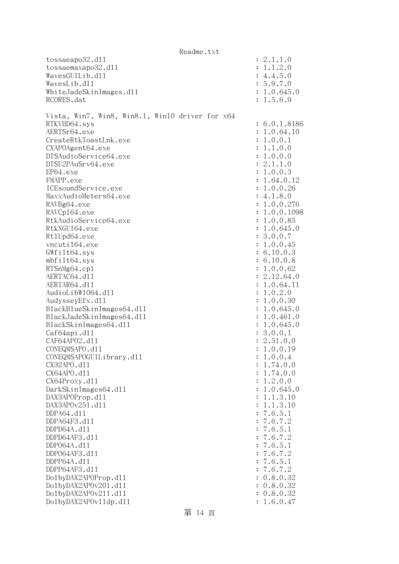|                                                 | Readme.txt |                |              |
|-------------------------------------------------|------------|----------------|--------------|
| tossaeapo32.d11                                 |            |                | : 2.1.1.0    |
| tossaemaxapo32.d11                              |            |                | : 1.1.2.0    |
| WavesGUILib.d11                                 |            |                | : 4.4.5.0    |
| WavesLib.d11                                    |            |                | : 5.9.7.0    |
| WhiteJadeSkinImages.dl1                         |            |                | : 1.0.645.0  |
| RCORES.dat                                      |            |                | : 1.5.6.9    |
|                                                 |            |                |              |
| Vista, Win7, Win8, Win8.1, Win10 driver for x64 |            |                |              |
| RTKVHD64.sys                                    |            |                | : 6.0.1.8186 |
| AERTSr64.exe                                    |            |                | : 1.0.64.10  |
| CreateRtkToastLnk.exe                           |            |                |              |
|                                                 |            |                | : 1.0.0.1    |
| CXAPOAgent64.exe                                |            |                | : 1.1.0.0    |
| DTSAudioService64.exe                           |            |                | : 1.0.0.0    |
| DTSU2PAuSrv64.exe                               |            |                | : 2.1.1.0    |
| EP64.exe                                        |            |                | : 1.0.0.3    |
| FMAPP.exe                                       |            |                | : 1.64.0.12  |
| ICEsoundService.exe                             |            |                | : 1.0.0.26   |
| MaxxAudioMeters64.exe                           |            |                | : 4.1.8.0    |
| RAVBg64.exe                                     |            |                | : 1.0.0.276  |
| RAVCp164.exe                                    |            |                | : 1.0.0.1098 |
| RtkAudioService64.exe                           |            |                | : 1.0.0.85   |
| RtkNGUI64.exe                                   |            |                | : 1.0.645.0  |
| Rt1Upd64.exe                                    |            |                | : 3.0.0.7    |
| vncuti164.exe                                   |            |                | : 1.0.0.45   |
| GWfilt64.sys                                    |            |                | : 6.10.0.3   |
| $mbf$ ilt $64$ .sys                             |            |                | : 6.10.0.8   |
| RTSnMg64.cp1                                    |            |                | : 1.0.0.62   |
| AERTAC64.d11                                    |            |                | : 2.12.64.0  |
| AERTAR64.d11                                    |            |                | : 1.0.64.11  |
| AudioLibW1064.dl1                               |            |                | : 1.0.2.0    |
| AudysseyEfx.d11                                 |            |                | : 1.0.0.30   |
| BlackBlueSkinImages64.dll                       |            |                | : 1.0.645.0  |
| BlackJadeSkinImages64.dl1                       |            |                | : 1.0.461.0  |
| BlackSkinImages64.dll                           |            |                | : 1.0.645.0  |
| Caf64api.d11                                    |            |                | : 3.0.0.1    |
| CAF64AP02.d11                                   |            |                | : 2.51.0.0   |
| CONEQMSAPO.d11                                  |            |                | 1.0.0.19     |
| CONEQMSAPOGUILibrary.d11                        |            | $\ddot{\cdot}$ | 1.0.0.4      |
| CX32APO.d11                                     |            | :              | 1.74.0.0     |
| CX64APO.d11                                     |            | $\ddot{\cdot}$ | 1.74.0.0     |
| CX64Proxy.d11                                   |            |                | : 1.2.0.0    |
| DarkSkinImages64.d11                            |            |                | : 1.0.645.0  |
| DAX3APOProp.d11                                 |            | $\ddot{\cdot}$ | 1.1.3.10     |
| DAX3APOv251.d11                                 |            | :              | 1.1.3.10     |
| DDPA64.d11                                      |            | :              | 7.6.5.1      |
|                                                 |            |                |              |
| DDPA64F3.d11                                    |            | :              | 7.6.7.2      |
| DDPD64A.d11                                     |            | :              | 7.6.5.1      |
| DDPD64AF3.d11                                   |            | :              | 7.6.7.2      |
| DDP064A.d11                                     |            | :              | 7.6.5.1      |
| DDP064AF3.d11                                   |            | :              | 7.6.7.2      |
| DDPP64A.d11                                     |            | :              | 7.6.5.1      |
| DDPP64AF3.d11                                   |            | :              | 7.6.7.2      |
| Do1byDAX2APOProp.d11                            |            |                | 0.8.0.32     |
| Do1byDAX2APOv201.d11                            |            |                | 0.8.0.32     |
| Do1byDAX2APOv211.d11                            |            |                | 0.8.0.32     |
| Do1byDAX2APOv11dp.d11                           |            |                | 1.6.0.47     |

第 14 頁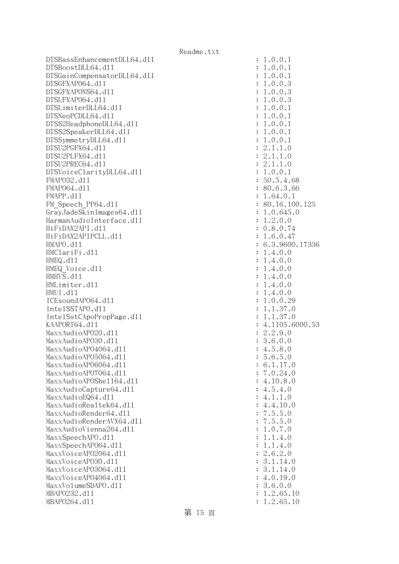DTSBassEnhancementDLL64.dll DTSBoostDLL64.dl1 DTSGainCompensatorDLL64.dl1 DTSGFXAP064.dl1 DTSGFXAPONS64.dl1 DTSLFXAP064.dl1 DTSLimiterDLL64.dl1 DTSNeoPCDLL64.dl1 DTSS2HeadphoneDLL64.dl1 DTSS2SpeakerDLL64.dl1 DTSSymmetryDLL64.dl1 DTSU2PGFX64.dl1 DTSU2PLFX64.d11 DTSU2PREC64.d11 DTSVoiceClarityDLL64.dl1 FMAP032.d11 FMAP064.d11 FMAPP.d11 FM Speech PP64.dll GrayJadeSkinImages64.dll HarmanAudioInterface.dl1 HiFiDAX2API.d11 HiFiDAX2APIPCLL.dll : 1.6.0.47 HMAPO.d11 HMClariFi.dll HMEQ.d11 : 1.4.0.0 HMEQ Voice.dll HMHVS.d11 HMLimiter.dl1 HMUI.d11 : 1.4.0.0 ICEsoundAP064.dl1 IntelSSTAPO.dl1 IntelSstCApoPropPage.dll KAAPORT64.dll MaxxAudioAP020.dll MaxxAudioAP030.dll MaxxAudioAPO4064.dll MaxxAudioAP05064.dll MaxxAudioAP06064.dll MaxxAudioAPO7064.dll MaxxAudioAPOShe1164.dll MaxxAudioCapture64.dll MaxxAudioEQ64.dll MaxxAudioRealtek64.dll MaxxAudioRender64.dll MaxxAudioRenderAVX64.dll MaxxAudioVienna264.dll MaxxSpeechAPO.d11 MaxxSpeechAP064.dl1 MaxxVoiceAP02064.dll MaxxVoiceAP030.dll MaxxVoiceAP03064.dll MaxxVoiceAPO4064.dll MaxxVolumeSDAPO.dl1 MBAP0232.d11 MBAP0264.dl1

| $\ddot{\cdot}$      | T<br>.0.0.1                                             |
|---------------------|---------------------------------------------------------|
| $\ddot{\cdot}$      | .0.0.1<br>1                                             |
|                     | .0.0.1<br>1                                             |
| $\ddot{\cdot}$      |                                                         |
| $\ddot{\cdot}$      | .0.0.3<br>1                                             |
| $\ddot{\cdot}$      | .0.0.3<br>1                                             |
| $\ddot{\cdot}$      | .0.0.3<br>1                                             |
|                     | .0.0.1<br>1                                             |
| $\ddot{\cdot}$      |                                                         |
| $\ddot{\cdot}$      | .0.0.1<br>1                                             |
| $\ddot{\cdot}$      | .0.0.1<br>1                                             |
| $\ddot{\cdot}$      | .0.0.1<br>$\mathbf 1$                                   |
| $\ddot{\cdot}$      | $\mathbf 1$<br>.0.0.1                                   |
|                     | 2.1.1.0                                                 |
| $\vdots$ : $\vdots$ |                                                         |
|                     | 2.1.1.0                                                 |
|                     | 2.1.1.0                                                 |
| $\ddot{\cdot}$      | 1.0.0.1                                                 |
| $\ddot{\cdot}$      | 50.5.4.68                                               |
|                     | 80.6.3.66                                               |
| $\vdots$            |                                                         |
|                     | 1.64.0.1                                                |
| $\ddot{\cdot}$      | 80.16.100.125                                           |
| $\ddot{\cdot}$      | 1.0.645.0                                               |
| $\ddot{\cdot}$      | 1.2.0.0                                                 |
| $\ddot{\cdot}$      | 0.8.0.74                                                |
|                     | 1.6.0.47                                                |
| $\ddot{\cdot}$      |                                                         |
| $\ddot{\cdot}$      | 6.3.9600.17336                                          |
| $\ddot{\cdot}$      | 1.4.0.0                                                 |
| $\ddot{\cdot}$      | 1.4.0.0                                                 |
| $\ddot{\cdot}$      | .4.0.0<br>1                                             |
| $\ddot{\cdot}$      | .4.0.0<br>1                                             |
|                     | .4.0.0<br>1                                             |
| $\ddot{\cdot}$      |                                                         |
| $\ddot{\cdot}$      | .4.0.0<br>1                                             |
| $\ddot{\cdot}$      | .0.0.29<br>1                                            |
| $\ddot{\cdot}$      | .1.37.0<br>$\mathbf 1$                                  |
| $\ddot{\cdot}$      | 1.37.0<br>$\mathbf 1$<br>$\ddot{\phantom{0}}$           |
| $\ddot{\cdot}$      | 1105.6000.53<br>4.                                      |
|                     |                                                         |
|                     | 2.2.9.0                                                 |
| $\vdots$ :          | 3.6.0.0                                                 |
|                     | 4.5.8.0                                                 |
| $\vdots$            | 5.6.<br>5.<br>0                                         |
| $\ddot{\cdot}$      | 6.1.17.0                                                |
| $\ddot{\cdot}$      | 7.0.24.0                                                |
|                     |                                                         |
| $\ddot{\cdot}$      | 4.10.8.0                                                |
| $\ddot{\cdot}$      | 4.5.4.0                                                 |
| $\ddot{\cdot}$      | 4.1.1.0                                                 |
| $\ddot{\cdot}$      | 4.4.10.0                                                |
| $\ddot{\cdot}$      | 7.5.5.<br>$\overline{O}$                                |
| $\ddot{\cdot}$      | 7.5.5.<br>$\overline{O}$                                |
|                     |                                                         |
| $\ddot{\cdot}$      | .0.7.<br>$\overline{O}$<br>$\mathbf 1$                  |
| $\ddot{\cdot}$      | .1.4.0<br>$\mathbf 1$                                   |
| $\ddot{\cdot}$      | 1.4<br>$\cdot$ 0<br>$\mathbf 1$<br>$\ddot{\phantom{0}}$ |
| $\ddot{\cdot}$      | 2.6.2.0                                                 |
| $\ddot{\cdot}$      | 3.1.<br>14.0                                            |
|                     |                                                         |
| $\ddot{\cdot}$      | 3.1.<br>14.0                                            |
| $\ddot{\cdot}$      | 4.0.19.0                                                |
| $\ddot{\cdot}$      | 3.6.0.0                                                 |
| $\ddot{\cdot}$      | 1.2.65.10                                               |
| $\ddot{\cdot}$      | 1.2.65.10                                               |
|                     |                                                         |

第 15 頁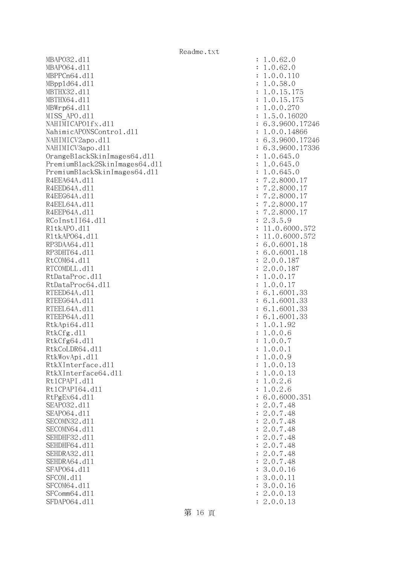MBAPO32.d11 : 1.0.62.0 MBAP064.d11 : 1.0.62.0 MBPPCn64.d11 : 1.0.0.110 MBppld64.dll : 1.0.58.0 MBTHX32.d11 : 1.0.15.175 MBTHX64.d11 : 1.0.15.175 MBWrp64.dll : 1.0.0.270 MISS APO.d11 : 1.5.0.16020 NAHIMICAPO1fx.dl1 : 6.3.9600.17246 NahimicAPONSControl.dl1 : 1.0.0.14866 NAHIMICV2apo.dll : 6.3.9600.17246 NAHIMICV3apo.dll : 6.3.9600.17336 OrangeBlackSkinImages64.dll : 1.0.645.0 PremiumBlack2SkinImages64.dll : 1.0.645.0 PremiumBlackSkinImages64.dll : 1.0.645.0 R4EEA64A.d11 : 7.2.8000.17 R4EED64A.d11 : 7.2.8000.17 R4EEG64A.d11 : 7.2.8000.17 R4EEL64A.d11 : 7.2.8000.17 R4EEP64A.d11 : 7.2.8000.17 RCoInstII64.dl1 : 2.3.5.9 R1tkAPO.d11 : 11.0.6000.572 R1tkAP064.d11 : 11.0.6000.572 RP3DAA64.d11 : 6.0.6001.18 RP3DHT64.d11 : 6.0.6001.18 RtCOM64.d11 : 2.0.0.187 RTCOMDLL.d11 : 2.0.0.187 RtDataProc.d11 : 1.0.0.17 RtDataProc64.dl1 : 1.0.0.17 RTEED64A.d11 : 6.1.6001.33 RTEEG64A.d11 : 6.1.6001.33 RTEEL64A.d11 : 6.1.6001.33 RTEEP64A.d11 : 6.1.6001.33 RtkApi64.dl1 : 1.0.1.92 RtkCfg.dl1 : 1.0.0.6 RtkCfg64.dll : 1.0.0.7 RtkCoLDR64.d11 : 1.0.0.1 RtkWovApi.dll : 1.0.0.9 RtkXInterface.dll : 1.0.0.13 RtkXInterface64.dll : 1.0.0.13 Rt1CPAPI.d11 : 1.0.2.6 Rt1CPAPI64.d11 : 1.0.2.6 RtPgEx64.d11 : 6.0.6000.351 SEAPO32.d11 : 2.0.7.48 SEAPO64.d11 : 2.0.7.48 SECOMN32.d11 : 2.0.7.48 SECOMN64.d11 : 2.0.7.48 SEHDHF32.d11 : 2.0.7.48 SEHDHF64.d11 : 2.0.7.48 SEHDRA32.d11 : 2.0.7.48 SEHDRA64.d11 : 2.0.7.48 SFAP064.d11 : 3.0.0.16 SFCOM.d11 : 3.0.0.11 : 3.0.0.11 SFCOM64.d11 : 3.0.0.16 SFComm64.d11 : 2.0.0.13 SFDAP064.d11 : 2.0.0.13

第 16 頁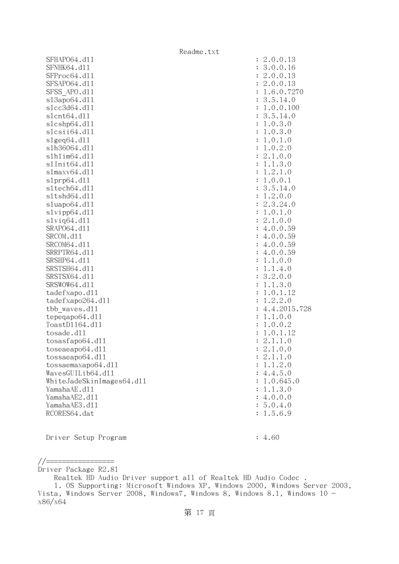|                           | Readme.txt |                |
|---------------------------|------------|----------------|
| SFHAP064.d11              |            | : 2.0.0.13     |
| SFNHK64.d11               |            | 3.0.0.16       |
| SFProc64.d11              |            | 2.0.0.13       |
| SFSAP064.d11              |            | 2.0.0.13       |
| SFSS APO.d11              |            | 1.6.0.7270     |
| s13apo64.d11              |            | 3.5.14.0       |
| s1cc3d64.d11              |            | 1.0.0.100      |
| s1cnt64.d11               |            | 3.5.14.0       |
| s1cshp64.d11              |            | 1.0.3.0        |
| slcsii64.dll              |            | 1.0.3.0        |
| slgeq64. d11              |            | 1.0.1.0        |
| s1h36064.d11              |            | 1.0.2.0        |
| s1h1im64.d11              |            | 2.1.0.0        |
| s1Init64.d11              |            | 1.1.3.0        |
| slmaxv64.dll              |            | 1.2.1.0        |
| slprp64.d11               |            | 1.0.0.1        |
| s1tech64.d11              |            | : 3.5.14.0     |
| sltshd64.dll              |            | : 1.2.0.0      |
| sluapo64.dll              |            | 2.3.24.0       |
| slvipp64.dll              |            | : 1.0.1.0      |
| $s1$ viq $64. d11$        |            | 2.1.0.0        |
| SRAP064.d11               |            | : 4.0.0.59     |
| SRCOM.d11                 |            | : 4.0.0.59     |
| SRCOM64.d11               |            | : 4.0.0.59     |
| SRRPTR64.d11              |            | : 4.0.0.59     |
|                           |            |                |
| SRSHP64.d11               |            | 1.1.0.0        |
| SRSTSH64.d11              |            | : 1.1.4.0      |
| SRSTSX64.d11              |            | : 3.2.0.0      |
| SRSWOW64.d11              |            | 1.1.3.0        |
| tadefxapo.d11             |            | 1.0.1.12       |
| tadefxapo264.dll          |            | 1.2.2.0        |
| tbb waves.dll             |            | : 4.4.2015.728 |
| tepeqapo64.dll            |            | 1.1.0.0        |
| ToastD1164.d11            |            | 1.0.0.2        |
| tosade.d11                |            | 1.0.1.12       |
| tosasfapo64.dll           |            | 2.1.1.0        |
| toseaeapo64.dll           |            | 2.1.0.0        |
| tossaeapo64.dll           |            | 2.1.1.0        |
| tossaemaxapo64.dll        |            | : 1.1.2.0      |
| WavesGUILib64.d11         |            | : 4.4.5.0      |
| WhiteJadeSkinImages64.dll |            | : 1.0.645.0    |
| YamahaAE.d11              |            | : 1.1.3.0      |
| YamahaAE2.d11             |            | : 4.0.0.0      |
| YamahaAE3.d11             |            | : 5.0.4.0      |
| RCORES64.dat              |            | : 1.5.6.9      |
|                           |            |                |

Driver Setup Program : 4.60

//================= Driver Package R2.81

Realtek HD Audio Driver support all of Realtek HD Audio Codec .

 <sup>1.</sup> OS Supporting: Microsoft Windows XP, Windows 2000, Windows Server 2003, Vista, Windows Server 2008, Windows7, Windows 8, Windows 8.1, Windows 10 x86/x64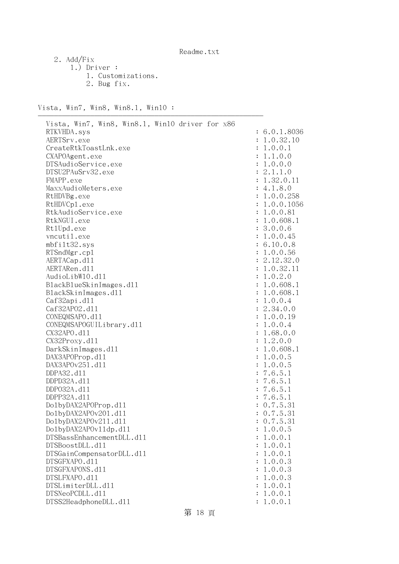2. Add/Fix

 1.) Driver : 1. Customizations. 2. Bug fix.

--------------------------------------------------------

Vista, Win7, Win8, Win8.1, Win10 :

| Vista, Win7, Win8, Win8.1, Win10 driver for x86 |                |              |
|-------------------------------------------------|----------------|--------------|
| RTKVHDA.sys                                     |                | : 6.0.1.8036 |
| AERTSrv.exe                                     |                | : 1.0.32.10  |
| CreateRtkToastLnk.exe                           |                | 1.0.0.1      |
| CXAPOAgent.exe                                  |                | 1.1.0.0      |
| DTSAudioService.exe                             |                | : 1.0.0.0    |
| DTSU2PAuSrv32.exe                               |                | : 2.1.1.0    |
| FMAPP.exe                                       |                | : 1.32.0.11  |
| MaxxAudioMeters.exe                             |                | : 4.1.8.0    |
| RtHDVBg.exe                                     |                | : 1.0.0.258  |
| RtHDVCp1.exe                                    |                | : 1.0.0.1056 |
| RtkAudioService.exe                             |                | : 1.0.0.81   |
| RtkNGUI.exe                                     |                | : 1.0.608.1  |
|                                                 |                |              |
| Rt1Upd.exe                                      |                | : 3.0.0.6    |
| vncutil.exe                                     |                | : 1.0.0.45   |
| mbfilt32.sys                                    |                | : 6.10.0.8   |
| RTSndMgr.cp1                                    |                | : 1.0.0.56   |
| AERTACap.d11                                    |                | : 2.12.32.0  |
| AERTARen.d11                                    |                | : 1.0.32.11  |
| AudioLibW10.d11                                 | $\ddot{\cdot}$ | 1.0.2.0      |
| BlackBlueSkinImages.dl1                         |                | : 1.0.608.1  |
| BlackSkinImages.dl1                             | $\ddot{\cdot}$ | 1.0.608.1    |
| Caf32api.d11                                    |                | : 1.0.0.4    |
| Caf32AP02.d11                                   |                | : 2.34.0.0   |
| CONEQMSAPO.d11                                  |                | : 1.0.0.19   |
| CONEQMSAPOGUILibrary.d11                        |                | : 1.0.0.4    |
| CX32APO.d11                                     | $\ddot{\cdot}$ | 1.68.0.0     |
| CX32Proxy.d11                                   | $\ddot{\cdot}$ | 1.2.0.0      |
| DarkSkinImages.d11                              |                | : 1.0.608.1  |
| DAX3APOProp.d11                                 |                | : 1.0.0.5    |
| DAX3APOv251.d11                                 | $\ddot{\cdot}$ | 1.0.0.5      |
| DDPA32.d11                                      |                | : 7.6.5.1    |
| DDPD32A.d11                                     |                | : 7.6.5.1    |
| DDP032A.d11                                     |                | : 7.6.5.1    |
| DDPP32A.d11                                     |                | : 7.6.5.1    |
| Do1byDAX2APOProp.d11                            |                | : 0.7.5.31   |
| Do1byDAX2APOv201.d11                            |                | : 0.7.5.31   |
| Do1byDAX2APOv211.d11                            |                | : 0.7.5.31   |
| Do1byDAX2APOv11dp.d11                           |                | 1.0.0.5      |
| DTSBassEnhancementDLL.d11                       |                | 1.0.0.1      |
| DTSBoostDLL.d11                                 |                | 1.0.0.1      |
| DTSGainCompensatorDLL.d11                       |                | 1.0.0.1      |
| DTSGFXAPO.d11                                   |                | 1.0.0.3      |
| DTSGFXAPONS.d11                                 |                | 1.0.0.3      |
| DTSLFXAPO.d11                                   |                | 1.0.0.3      |
| DTSLimiterDLL.d11                               |                | 1.0.0.1      |
| DTSNeoPCDLL.d11                                 |                | 1.0.0.1      |
| DTSS2HeadphoneDLL.d11                           |                | 1.0.0.1      |
|                                                 |                |              |

第 18 頁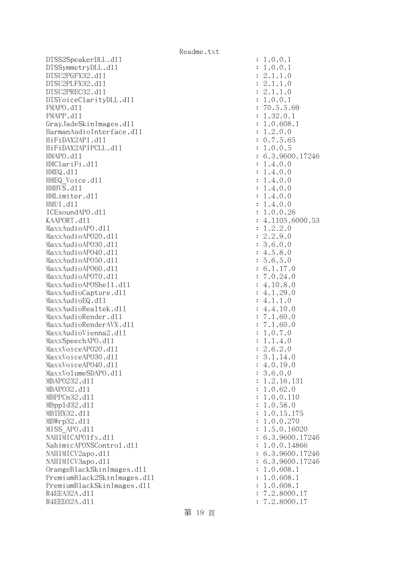DTSS2SpeakerDLL.dll : 1.0.0.1 DTSSymmetryDLL.dl1 : 1.0.0.1 DTSU2PGFX32.dll : 2.1.1.0 DTSU2PLFX32.dll : 2.1.1.0 DTSU2PREC32.dll : 2.1.1.0 DTSVoiceClarityDLL.dll : 1.0.0.1 FMAPO.d11 : 70.5.5.69 FMAPP.d11 : 1.32.0.1 GrayJadeSkinImages.dll : 1.0.608.1 HarmanAudioInterface.dll : 1.2.0.0 HiFiDAX2API.dll : 0.7.5.65 HiFiDAX2APIPCLL.dll : 1.0.0.5 HMAPO.dll : 6.3.9600.17246 HMClariFi.dl1 : 1.4.0.0 HMEQ.dll : 1.4.0.0 HMEQ Voice.dl1 : 1.4.0.0 HMHVS.dll : 1.4.0.0 HMLimiter.dl1 : 1.4.0.0 HMUI.dll : 1.4.0.0  $ICEsoundAPO. d11$  :  $1.0.0.26$ KAAPORT.d11 : 4.1105.6000.53 MaxxAudioAPO.dl1 : 1.2.2.0 MaxxAudioAPO20.dll : 2.2.9.0 MaxxAudioAPO30.dll : 3.6.0.0 MaxxAudioAPO40.dll : 4.5.8.0 MaxxAudioAPO50.dll : 5.6.5.0  $\text{MaxAudio}$ APO60.dll : 6.1.17.0 MaxxAudioAPO70.dll : 7.0.24.0 MaxxAudioAPOShe11.dl1 : 4.10.8.0 MaxxAudioCapture.dll  $4.1.29.0$  $MaxAudioEQ. d11$  : 4.1.1.0 MaxxAudioRealtek.dll : 4.4.10.0 MaxxAudioRender.dl1 : 7.1.60.0 MaxxAudioRenderAVX.dll : 7.1.60.0 MaxxAudioVienna2.dl1 : 1.0.7.0 MaxxSpeechAPO.d11 : 1.1.4.0 MaxxVoiceAP020.dl1 : 2.6.2.0 MaxxVoiceAPO30.d11 : 3.1.14.0 MaxxVoiceAPO40.dl1 : 4.0.19.0 MaxxVolumeSDAPO.dl1 : 3.6.0.0 MBAPO232.d11 : 1.2.16.131 MBAPO32.dll : 1.0.62.0 MBPPCn32.d11 : 1.0.0.110 MBppld32.dll : 1.0.58.0 MBTHX32.d11 : 1.0.15.175 MBWrp32.dll : 1.0.0.270 MISS APO.d11 : 1.5.0.16020 NAHIMICAPO1fx.d11 : 6.3.9600.17246 NahimicAPONSControl.dll : 1.0.0.14866 NAHIMICV2apo.d11 : 6.3.9600.17246 NAHIMICV3apo.dll : 6.3.9600.17246 OrangeBlackSkinImages.dll : 1.0.608.1 PremiumBlack2SkinImages.dl1 : 1.0.608.1 PremiumBlackSkinImages.dll : 1.0.608.1 R4EEA32A.d11 : 7.2.8000.17 R4EED32A.d11 : 7.2.8000.17

## 第 19 頁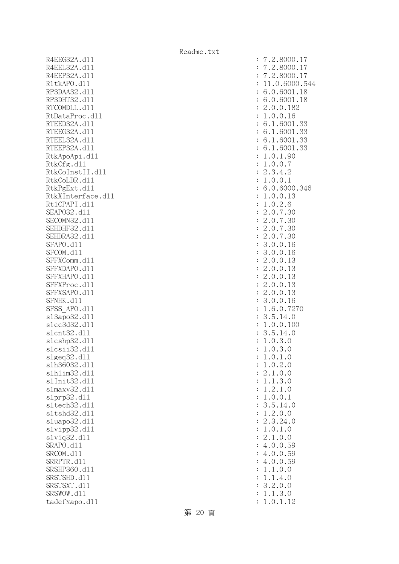R4EEG32A.d11 R4EEL32A.d11 R4EEP32A.d11 R1tkAPO.d11 : 11.0.6000.544 RP3DAA32.d11 RP3DHT32.d11 RTCOMDLL.d11 RtDataProc.dll RTEED32A.d11 RTEEG32A.d11 RTEEL32A.d11 RTEEP32A.d11 RtkApoApi.dl1 RtkCfg.dll RtkCoInstII.d11 RtkCoLDR.d11 RtkPgExt.dl1 RtkXInterface.d11 Rt1CPAPI.d11 SEAP032.d11 SECOMN32.d11 SEHDHF32.d11 SEHDRA32.d11 SFAPO.d11 SFCOM.d11 SFFXComm.dl1 SFFXDAPO.d11 SFFXHAPO.d11 SFFXProc.dl1 SFFXSAPO.d11 SFNHK.d11 SFSS\_APO.d11 s13apo32.d11 slcc3d32.d11 slcnt32.dl1 slcshp32.dl1 slcsii32.dl1 slgeq32.dl1 slh36032.dl1 slhlim32.dl1 s1Init32.d11 slmaxv32.dl1 slprp32.dll s1tech32.d11 s1tshd32.d11 sluapo32.dl1 slvipp32.dll slviq32.dl1 SRAPO.d11 SRCOM.d11 SRRPTR.d11 SRSHP360.d11 SRSTSHD.d11 SRSTSXT.d11 SRSWOW.dl1 tadefxapo.dl1

| $\ddot{\cdot}$                   | 2.8000.17                                                                                                                                    |
|----------------------------------|----------------------------------------------------------------------------------------------------------------------------------------------|
| $\ddot{\cdot}$                   | .8000.                                                                                                                                       |
| $\ddot{\cdot}$                   | $.2.8000.17$<br>$.2.8000.17$<br>$1.0.6000.544$                                                                                               |
| $\ddot{\cdot}$                   | $\mathbf 1$                                                                                                                                  |
| $\ddot{\cdot}$                   | 18<br>.0.6001.<br>6                                                                                                                          |
| $\ddot{\cdot}$                   | .0.6001.18<br>6                                                                                                                              |
| $\ddot{\cdot}$                   | $\overline{c}$<br>.0.0.182                                                                                                                   |
| $\ddot{\cdot}$                   | .0.0.16<br>$\mathbf{1}$                                                                                                                      |
| $\ddot{\cdot}$                   | $\ddot{\phantom{0}}$<br>1.6001.<br>6<br>33                                                                                                   |
|                                  | 1.6001.<br>$\ddot{\phantom{a}}$<br>6<br>33                                                                                                   |
| $\ddot{\cdot}$                   | $\overline{33}$<br>$\ddot{\phantom{a}}$<br>$\ddot{\phantom{a}}$                                                                              |
| $\ddot{\cdot}$                   | 1.6001<br>6<br>33<br>$\ddot{\phantom{a}}$                                                                                                    |
| $\ddot{\cdot}$                   | .1.6001<br>6                                                                                                                                 |
| $\ddot{\cdot}$                   | .0.1.90<br>$\mathbf{1}$                                                                                                                      |
| $\ddot{\cdot}$                   | $\frac{1}{1}$<br>.0.0.7                                                                                                                      |
| $\ddot{\cdot}$                   | $\overline{c}$<br>$\overline{c}$<br>.3<br>.4.                                                                                                |
| $\ddot{\cdot}$                   | .0.0.1<br>$\mathbf 1$                                                                                                                        |
| $\ddot{\cdot}$                   | .0.6000.346<br>6                                                                                                                             |
| $\ddot{\cdot}$                   | .0.0<br>.13<br>$\frac{1}{1}$                                                                                                                 |
| $\ddot{\cdot}$                   | $\cdot$ 0<br>6<br>$\cdot$ 2<br>$\ddot{\phantom{a}}$                                                                                          |
| $\ddot{\cdot}$                   | $\bar{2}$<br>$\overline{a}$<br>$\cdot$ 0<br>$\ddot{\phantom{0}}$<br>$\overline{7}$<br>30                                                     |
| $\ddot{\cdot}$                   | $\overline{c}$<br>$\cdot$ 0<br>$\ddot{\phantom{a}}$<br>$\overline{a}$<br>30<br>$\overline{7}$                                                |
| $\ddot{\cdot}$                   | $\overline{c}$<br>$\cdot$ 0.<br>$\overline{\phantom{a}}$<br>30<br>$\overline{7}$                                                             |
| $\ddot{\cdot}$                   | .0.<br>$\overline{c}$<br>$\overline{\phantom{a}}$<br>30<br>$\overline{7}$                                                                    |
| $\ddot{\cdot}$                   | $\begin{array}{c} 3 \\ 2 \end{array}$<br>0.0.<br>16<br>$\ddot{\phantom{0}}$                                                                  |
| $\ddot{\cdot}$                   | 16<br>.0.0<br>$\ddot{\phantom{a}}$                                                                                                           |
| $\ddot{\cdot}$                   | .0.0.<br>13                                                                                                                                  |
| $\ddot{\cdot}$                   | $\overline{c}$<br>.0.0.<br>13                                                                                                                |
| $\ddot{\cdot}$                   | $\overline{c}$<br>.0.0.<br>13                                                                                                                |
| $\ddot{\cdot}$                   | $\overline{c}$<br>.0.0.<br>13                                                                                                                |
| $\ddot{\cdot}$                   | $\overline{c}$<br>.0.0.<br>13                                                                                                                |
| $\ddot{\cdot}$                   | $\cdot$ 0<br>.0.<br>16                                                                                                                       |
| $\ddot{\cdot}$                   | 3<br>1<br>.0.<br>$\cdot$ 6<br>7270                                                                                                           |
| $\ddot{\cdot}$                   | $\ddot{\phantom{0}}$<br>.14.0                                                                                                                |
| $\ddot{\cdot}$                   | $5.14$<br>$0.0$ .<br>$\frac{3}{1}$<br>$\overline{a}$<br>100                                                                                  |
| $\ddot{\cdot}$                   | 3<br>$\ddot{\phantom{0}}$<br>$\ddot{\phantom{a}}$<br>14.0                                                                                    |
| $\ddot{\cdot}$                   | $rac{5}{0}$ .<br>3<br>$\overline{a}$<br>$\overline{a}$<br>$\mathbf{1}$<br>$\overline{O}$                                                     |
| $\ddot{\cdot}$                   | 3<br>$\overline{0}$ .<br>$\mathbf 1$<br>$\overline{a}$<br>$\ddot{\phantom{a}}$<br>$\overline{0}$                                             |
|                                  | $\ddot{\phantom{a}}$<br>$\mathbf 1$<br>$\cdot$ 0<br>$\cdot$ <sup>0</sup><br>1                                                                |
| $\ddot{\cdot}$<br>$\ddot{\cdot}$ | $\overline{c}$<br>$\ddot{\phantom{a}}$<br>$\overline{a}$<br>$\ddot{\phantom{0}}$<br>$\overline{O}$<br>1<br>$\overline{O}$                    |
| $\ddot{\cdot}$                   | $\overline{c}$<br>$\ddot{\phantom{a}}$<br>$\cdot$ 0<br>$\overline{O}$                                                                        |
| $\ddot{\cdot}$                   | $\frac{1}{2}$<br>$\ddot{\phantom{0}}$<br>$\ddot{\phantom{a}}$<br>$\overline{a}$<br>$\overline{O}$<br>$\mathbf{1}$                            |
| $\ddot{\cdot}$                   | $\frac{3}{1}$<br>$\ddot{\phantom{0}}$<br>$\mathbf{1}$<br>$\ddot{\phantom{a}}$<br>$\ddot{\phantom{a}}$<br>$\overline{O}$                      |
| $\ddot{\cdot}$                   | $\mathbf{1}$<br>$\ddot{\phantom{a}}$<br>$\ddot{\phantom{0}}$<br>$\overline{O}$<br>$\overline{0}$ .<br>1                                      |
| $\ddot{\cdot}$                   | $\ddot{\phantom{0}}$                                                                                                                         |
|                                  | $\frac{5}{2}$<br>$\begin{array}{c} 3 \\ 1 \\ 2 \end{array}$<br>$\ddot{\cdot}$<br>14.0<br>$\ddot{\phantom{0}}$<br>$\overline{O}$<br>$\cdot$ 0 |
| $\ddot{\cdot}$                   | $\overline{\phantom{a}}$<br>$\ddot{\phantom{0}}$                                                                                             |
| $\ddot{\cdot}$                   | 24<br>$\cdot$ <sup>0</sup><br>$\overline{\phantom{a}}$                                                                                       |
| $\ddot{\cdot}$                   | $\frac{1}{2}$<br>$\overline{O}$<br>$1\, .0$<br>$\ddot{\phantom{a}}$                                                                          |
| $\ddot{\cdot}$                   | 1.<br>0.0<br>$\overline{a}$                                                                                                                  |
| $\ddot{\cdot}$                   | 0.0<br>$\ddot{\phantom{a}}$<br>59<br>4.<br>4.<br>4.                                                                                          |
| $\ddot{\cdot}$                   | 59<br>59<br>59<br>0.0<br>$\ddot{\phantom{a}}$                                                                                                |
| $\ddot{\cdot}$                   | 0.0.                                                                                                                                         |
| $\ddot{\cdot}$                   | $\frac{1}{1}$<br>$\ddot{\phantom{a}}$<br>$\cdot$ <sup>0</sup><br>$\frac{1}{1}$<br>$\ddot{\phantom{0}}$<br>$\overline{O}$                     |
| $\ddot{\cdot}$                   | $\overline{a}$<br>$\overline{a}$<br>$\overline{4}$<br>$\ddot{\phantom{a}}$<br>$\overline{O}$                                                 |
| $\ddot{\cdot}$                   | $\frac{1}{2}$<br>$\overline{a}$<br>3<br>.0.<br>$\overline{O}$                                                                                |
| $\ddot{\cdot}$                   | $\overline{a}$<br>$\overline{\phantom{a}}$<br>$\mathbf{1}$<br>3<br>$\overline{a}$<br>$\mathbf{1}$<br>$\mathcal{O}$                           |
| $\ddot{\cdot}$                   | $\mathbf{1}$<br>$\mathbf 1$<br>$\overline{0}$ .<br>12                                                                                        |

第 20 頁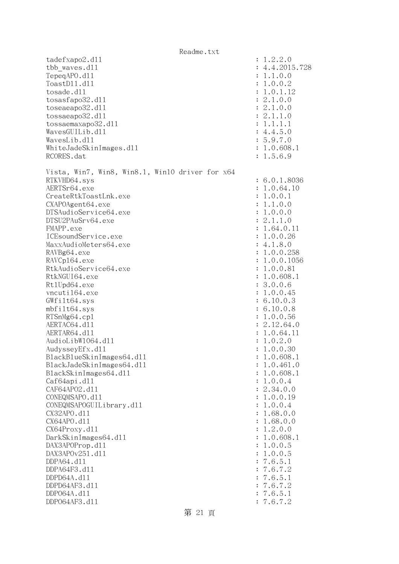|                              |                                                 | Readme.txt |                |                           |
|------------------------------|-------------------------------------------------|------------|----------------|---------------------------|
| tadefxapo2.d11               |                                                 |            |                | : 1.2.2.0                 |
| tbb waves.d11                |                                                 |            |                | : 4.4.2015.728            |
| TepeqAPO.d11                 |                                                 |            |                | : 1.1.0.0                 |
| ToastD11.d11                 |                                                 |            |                | : 1.0.0.2                 |
| tosade.d11                   |                                                 |            |                | : 1.0.1.12                |
| tosasfapo32.d11              |                                                 |            |                | : 2.1.0.0                 |
| toseaeapo32.d11              |                                                 |            |                | : 2.1.0.0                 |
| tossaeapo32.d11              |                                                 |            |                | : 2.1.1.0                 |
| tossaemaxapo32.d11           |                                                 |            |                | : 1.1.1.1                 |
| WavesGUILib.d11              |                                                 |            |                | : 4.4.5.0                 |
| WavesLib.d11                 |                                                 |            |                | : 5.9.7.0                 |
| WhiteJadeSkinImages.dl1      |                                                 |            |                | : 1.0.608.1               |
| RCORES.dat                   |                                                 |            |                | : 1.5.6.9                 |
|                              | Vista, Win7, Win8, Win8.1, Win10 driver for x64 |            |                |                           |
| RTKVHD64.sys                 |                                                 |            |                | : 6.0.1.8036              |
| AERTSr64.exe                 |                                                 |            |                | : 1.0.64.10               |
| CreateRtkToastLnk.exe        |                                                 |            |                | : 1.0.0.1                 |
| CXAPOAgent64.exe             |                                                 |            |                | : 1.1.0.0                 |
| DTSAudioService64.exe        |                                                 |            |                | : 1.0.0.0                 |
| DTSU2PAuSrv64.exe            |                                                 |            |                | : 2.1.1.0                 |
| FMAPP.exe                    |                                                 |            |                | : 1.64.0.11               |
| ICEsoundService.exe          |                                                 |            |                | : 1.0.0.26                |
| MaxxAudioMeters64.exe        |                                                 |            |                | : 4.1.8.0                 |
| RAVBg64.exe                  |                                                 |            |                | : 1.0.0.258               |
| RAVCp164.exe                 |                                                 |            |                | : 1.0.0.1056              |
| RtkAudioService64.exe        |                                                 |            |                | : 1.0.0.81                |
| RtkNGUI64.exe                |                                                 |            |                | : 1.0.608.1               |
| Rt1Upd64.exe                 |                                                 |            |                | : 3.0.0.6                 |
| vncuti164.exe                |                                                 |            |                | : 1.0.0.45                |
| GWfilt64.sys                 |                                                 |            |                | : 6.10.0.3                |
| mbfilt64.sys                 |                                                 |            |                | : 6.10.0.8                |
| RTSnMg64.cp1<br>AERTAC64.d11 |                                                 |            |                | : 1.0.0.56<br>: 2.12.64.0 |
| AERTAR64.d11                 |                                                 |            |                | : 1.0.64.11               |
| AudioLibW1064.dl1            |                                                 |            |                | : 1.0.2.0                 |
| AudysseyEfx.d11              |                                                 |            |                | 1.0.0.30                  |
| BlackBlueSkinImages64.dll    |                                                 |            |                | 1.0.608.1                 |
| BlackJadeSkinImages64.dll    |                                                 |            |                | 1.0.461.0                 |
| BlackSkinImages64.dll        |                                                 |            |                | 1.0.608.1                 |
| Caf64api.d11                 |                                                 |            |                | : 1.0.0.4                 |
| CAF64AP02.d11                |                                                 |            |                | : 2.34.0.0                |
| CONEQMSAPO.d11               |                                                 |            |                | : 1.0.0.19                |
| CONEQMSAPOGUILibrary.d11     |                                                 |            |                | : 1.0.0.4                 |
| CX32APO.d11                  |                                                 |            |                | : 1.68.0.0                |
| CX64APO.d11                  |                                                 |            |                | : 1.68.0.0                |
| CX64Proxy.d11                |                                                 |            |                | : 1.2.0.0                 |
| DarkSkinImages64.d11         |                                                 |            |                | 1.0.608.1                 |
| DAX3APOProp.d11              |                                                 |            |                | : 1.0.0.5                 |
| DAX3APOv251.d11              |                                                 |            |                | : 1.0.0.5                 |
| DDPA64.d11                   |                                                 |            |                | : 7.6.5.1                 |
| DDPA64F3.d11                 |                                                 |            |                | : 7.6.7.2                 |
| DDPD64A.d11                  |                                                 |            |                | 7.6.5.1                   |
| DDPD64AF3.d11                |                                                 |            | $\ddot{\cdot}$ | 7.6.7.2                   |
| DDP064A.d11                  |                                                 |            |                | : 7.6.5.1                 |
| DDP064AF3.d11                |                                                 |            |                | : 7.6.7.2                 |
|                              |                                                 |            |                |                           |

第 21 頁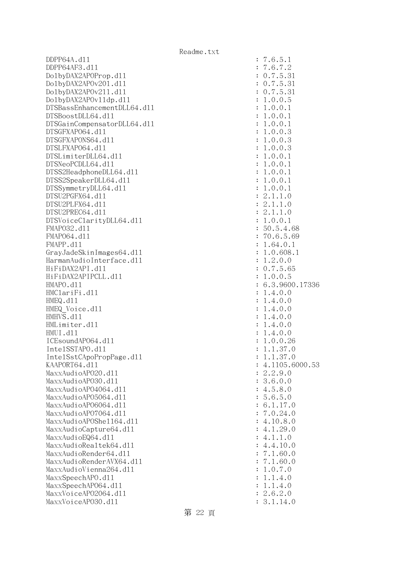DDPP64A.dll : 7.6.5.1 DDPP64AF3.dll : 7.6.7.2 DolbyDAX2APOProp.dl1 : 0.7.5.31 DolbyDAX2APOv201.dll : 0.7.5.31 DolbyDAX2APOv211.dll : 0.7.5.31 DolbyDAX2APOvlldp.dll : 1.0.0.5 DTSBassEnhancementDLL64.dl1 : 1.0.0.1 DTSBoostDLL64.dll : 1.0.0.1 DTSGainCompensatorDLL64.dll : 1.0.0.1 DTSGFXAPO64.dll : 1.0.0.3 DTSGFXAPONS64.dll : 1.0.0.3 DTSLFXAPO64.dll : 1.0.0.3 DTSLimiterDLL64.dll : 1.0.0.1 DTSNeoPCDLL64.dl1 : 1.0.0.1 DTSS2HeadphoneDLL64.dl1 : 1.0.0.1 DTSS2SpeakerDLL64.dl1 : 1.0.0.1 DTSSymmetryDLL64.dl1 : 1.0.0.1 DTSU2PGFX64.dll : 2.1.1.0 DTSU2PLFX64.dll : 2.1.1.0 DTSU2PREC64.dll : 2.1.1.0 DTSVoiceClarityDLL64.dll : 1.0.0.1 FMAPO32.d11 : 50.5.4.68 FMAP064.d11 : 70.6.5.69 FMAPP.d11 : 1.64.0.1 GrayJadeSkinImages64.dl1 : 1.0.608.1 HarmanAudioInterface.dll  $\qquad \qquad : 1.2.0.0$  HiFiDAX2API.dll : 0.7.5.65 HiFiDAX2APIPCLL.dll : 1.0.0.5 HMAPO.dll : 6.3.9600.17336 HMClariFi.dll : 1.4.0.0 HMEQ.dll : 1.4.0.0 HMEQ Voice.dl1 : 1.4.0.0 HMHVS.dll : 1.4.0.0 HMLimiter.dl1 : 1.4.0.0 HMUI.dll : 1.4.0.0 ICEsoundAP064.dl1 : 1.0.0.26 IntelSSTAPO.dll : 1.1.37.0 IntelSstCApoPropPage.dll : 1.1.37.0 KAAPORT64.d11 : 4.1105.6000.53 MaxxAudioAP020.dl1 : 2.2.9.0 MaxxAudioAPO30.dll : 3.6.0.0 MaxxAudioAPO4064.dll : 4.5.8.0 MaxxAudioAP05064.dll : 5.6.5.0 MaxxAudioAPO6064.dll : 6.1.17.0 MaxxAudioAPO7064.dll : 7.0.24.0 MaxxAudioAPOShe1164.dl1 : 4.10.8.0  $MaxAudioCapture64. d11$  : 4.1.29.0  $\text{MaxAudioEQ64. d11}$  : 4.1.1.0  $\text{MaxAudioReal}$ tek64.dll : 4.4.10.0 MaxxAudioRender64.dll : 7.1.60.0 MaxxAudioRenderAVX64.dll MaxxAudioVienna264.dll : 1.0.7.0 MaxxSpeechAPO.d11 : 1.1.4.0 MaxxSpeechAP064.d11 : 1.1.4.0 MaxxVoiceAP02064.dll : 2.6.2.0 MaxxVoiceAPO30.dl1 : 3.1.14.0

第 22 頁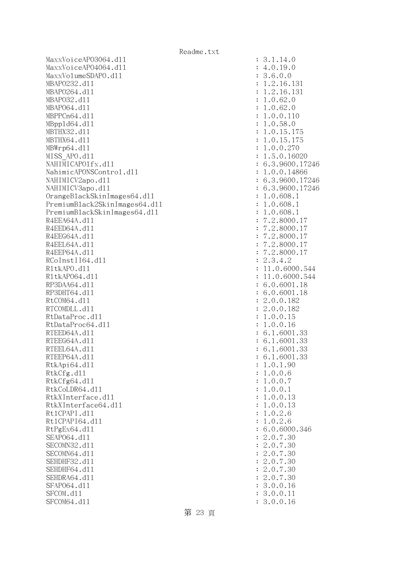MaxxVoiceAPO3064.dll : 3.1.14.0 MaxxVoiceAPO4064.dll : 4.0.19.0 MaxxVolumeSDAPO.dll : 3.6.0.0 MBAPO232.d11 : 1.2.16.131 MBAPO264.d11 : 1.2.16.131 MBAPO32.dll : 1.0.62.0 MBAPO64.dll : 1.0.62.0 MBPPCn64.d11 : 1.0.0.110 MBppld64.dll : 1.0.58.0 MBTHX32.d11 : 1.0.15.175 MBTHX64.d11 : 1.0.15.175 MBWrp64.dll : 1.0.0.270 MISS APO.d11 : 1.5.0.16020 NAHIMICAPO1fx.dl1 : 6.3.9600.17246 NahimicAPONSControl.dll : 1.0.0.14866 NAHIMICV2apo.d11 : 6.3.9600.17246 NAHIMICV3apo.dll : 6.3.9600.17246 OrangeBlackSkinImages64.dll : 1.0.608.1 PremiumBlack2SkinImages64.dll : 1.0.608.1 PremiumBlackSkinImages64.dll : 1.0.608.1 R4EEA64A.d11 : 7.2.8000.17 R4EED64A.d11 : 7.2.8000.17 R4EEG64A.d11 : 7.2.8000.17 R4EEL64A.d11 : 7.2.8000.17 R4EEP64A.d11 : 7.2.8000.17 RCoInstII64.dl1 : 2.3.4.2 R1tkAPO.d11 : 11.0.6000.544 R1tkAP064.d11 : 11.0.6000.544 RP3DAA64.d11 : 6.0.6001.18 RP3DHT64.d11 : 6.0.6001.18 RtCOM64.d11 : 2.0.0.182 RTCOMDLL.d11 : 2.0.0.182 RtDataProc.dl1 : 1.0.0.15 RtDataProc64.dl1 : 1.0.0.16 RTEED64A.d11 : 6.1.6001.33 RTEEG64A.d11 : 6.1.6001.33 RTEEL64A.d11 : 6.1.6001.33 RTEEP64A.d11 : 6.1.6001.33 RtkApi64.dl1 : 1.0.1.90 RtkCfg.dl1 : 1.0.0.6 RtkCfg64.dl1 : 1.0.0.7 RtkCoLDR64.d11 : 1.0.0.1 RtkXInterface.dll : 1.0.0.13 RtkXInterface64.dl1 : 1.0.0.13 Rt1CPAPI.d11 : 1.0.2.6 Rt1CPAPI64.d11 : 1.0.2.6 RtPgEx64.d11 : 6.0.6000.346 SEAPO64.d11 : 2.0.7.30 SECOMN32.d11 : 2.0.7.30 SECOMN64.d11 : 2.0.7.30 SEHDHF32.d11 : 2.0.7.30 SEHDHF64.d11 : 2.0.7.30 SEHDRA64.d11 : 2.0.7.30 SFAP064.d11 : 3.0.0.16 SFCOM.d11 : 3.0.0.11 : 3.0.0.11 SFCOM64.d11 : 3.0.0.16

第 23 頁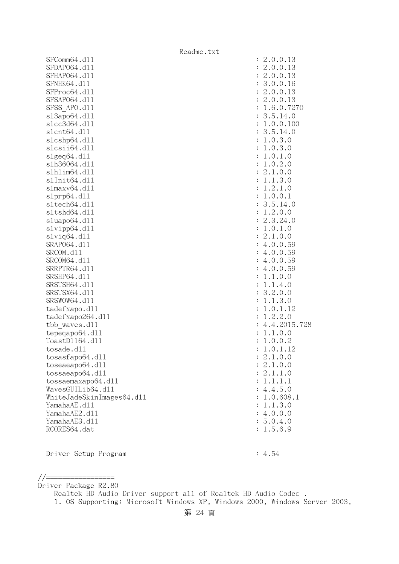|                           | Readme.txt |              |
|---------------------------|------------|--------------|
| SFComm64.d11              |            | : 2.0.0.13   |
| SFDAP064.d11              |            | 2.0.0.13     |
| SFHAP064.d11              |            | 2.0.0.13     |
| SFNHK64.d11               |            | 3.0.0.16     |
| SFProc64.d11              |            | 2.0.0.13     |
| SFSAP064.d11              |            | 2.0.0.13     |
| SFSS APO.d11              |            | 1.6.0.7270   |
| s13apo64.d11              |            | 3.5.14.0     |
| s1cc3d64.d11              |            | 1.0.0.100    |
| s1cnt64.d11               |            | 3.5.14.0     |
| s1cshp64.d11              |            | 1.0.3.0      |
| slcsii64.dll              |            | 1.0.3.0      |
| slgeq64. d11              |            | 1.0.1.0      |
| s1h36064.d11              |            | 1.0.2.0      |
| s1h1im64.d11              |            | 2.1.0.0      |
| s1Init64.d11              |            | 1.1.3.0      |
| s1maxv64.d11              |            | 1.2.1.0      |
| slprp64.d11               |            | 1.0.0.1      |
| s1tech64.d11              |            | 3.5.14.0     |
| s1tshd64.d11              |            | 1.2.0.0      |
| sluapo64.d11              |            | 2.3.24.0     |
| slvipp64.d11              |            | 1.0.1.0      |
| s1viq64.d11               |            | 2.1.0.0      |
| SRAP064.d11               |            | 4.0.0.59     |
| SRCOM.d11                 |            | 4.0.0.59     |
| SRCOM64.d11               |            | 4.0.0.59     |
| SRRPTR64.d11              |            | 4.0.0.59     |
| SRSHP64.d11               |            | 1.1.0.0      |
| SRSTSH64.d11              |            | 1.1.4.0      |
| SRSTSX64.d11              |            | 3.2.0.0      |
| SRSWOW64.d11              |            | 1.1.3.0      |
| tadefxapo.d11             |            | 1.0.1.12     |
| tadefxapo264.dll          |            | 1.2.2.0      |
| tbb waves.dll             |            | 4.4.2015.728 |
| tepeqapo64.dll            |            | 1.1.0.0      |
| ToastD1164.d11            |            | 1.0.0.2      |
| tosade.d11                |            | 1.0.1.12     |
| tosasfapo64.dll           |            | 2.1.0.0      |
| toseaeapo64.d11           |            | 2.1.0.0      |
| tossaeapo64.dl1           |            | 2.1.1.0      |
| tossaemaxapo64.dll        |            | : 1.1.1.1    |
| WavesGUILib64.d11         |            | : 4.4.5.0    |
| WhiteJadeSkinImages64.dl1 |            | : 1.0.608.1  |
| YamahaAE.d11              |            | : 1.1.3.0    |
| YamahaAE2.d11             |            | : 4.0.0.0    |
| YamahaAE3.d11             |            | : 5.0.4.0    |
| RCORES64.dat              |            | 1.5.6.9      |
|                           |            |              |

Driver Setup Program : 4.54

//================= Driver Package R2.80

Realtek HD Audio Driver support all of Realtek HD Audio Codec .

1. OS Supporting: Microsoft Windows XP, Windows 2000, Windows Server 2003,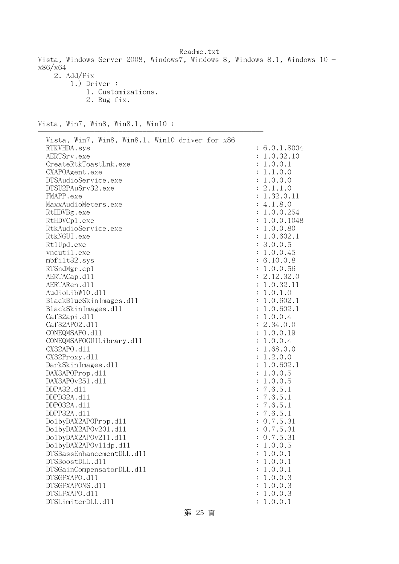Readme.txt Vista, Windows Server 2008, Windows7, Windows 8, Windows 8.1, Windows 10 x86/x64 2. Add/Fix 1.) Driver : 1. Customizations. 2. Bug fix.

Vista, Win7, Win8, Win8.1, Win10 :

| Vista, Win7, Win8, Win8.1, Win10 driver for x86<br>RTKVHDA.sys<br>AERTSrv.exe<br>CreateRtkToastLnk.exe<br>CXAPOAgent.exe<br>DTSAudioService.exe<br>DTSU2PAuSrv32.exe<br>FMAPP.exe<br>MaxxAudioMeters.exe<br>RtHDVBg.exe<br>RtHDVCp1.exe<br>RtkAudioService.exe<br>RtkNGUI.exe<br>Rt1Upd.exe<br>vncutil.exe<br>mbfilt32.sys<br>RTSndMgr.cp1<br>AERTACap.d11<br>AERTARen.d11<br>AudioLibW10.d11<br>BlackBlueSkinImages.dll<br>BlackSkinImages.dl1<br>Caf32api.d11<br>Caf32AP02.d11<br>CONEQMSAPO.d11<br>CONEQMSAPOGUILibrary.d11<br>CX32APO.d11<br>CX32Proxy.d11<br>DarkSkinImages.d11<br>DAX3APOProp.d11<br>DAX3APOv251.d11<br>DDPA32.d11<br>DDPD32A.d11<br>DDP032A.d11<br>DDPP32A.d11<br>Do1byDAX2APOProp.d11 | : 6.0.1.8004<br>1.0.32.10<br>1.0.0.1<br>1.1.0.0<br>1.0.0.0<br>: 2.1.1.0<br>1.32.0.11<br>: 4.1.8.0<br>: 1.0.0.254<br>1.0.0.1048<br>: 1.0.0.80<br>: 1.0.602.1<br>: 3.0.0.5<br>: 1.0.0.45<br>: 6.10.0.8<br>1.0.0.56<br>: 2.12.32.0<br>1.0.32.11<br>1.0.1.0<br>1.0.602.1<br>1.0.602.1<br>1.0.0.4<br>: 2.34.0.0<br>1.0.0.19<br>1.0.0.4<br>1.68.0.0<br>1.2.0.0<br>1.0.602.1<br>1.0.0.5<br>1.0.0.5<br>7.6.5.1<br>7.6.5.1<br>7.6.5.1<br>: 7.6.5.1<br>: 0.7.5.31 |
|---------------------------------------------------------------------------------------------------------------------------------------------------------------------------------------------------------------------------------------------------------------------------------------------------------------------------------------------------------------------------------------------------------------------------------------------------------------------------------------------------------------------------------------------------------------------------------------------------------------------------------------------------------------------------------------------------------------|---------------------------------------------------------------------------------------------------------------------------------------------------------------------------------------------------------------------------------------------------------------------------------------------------------------------------------------------------------------------------------------------------------------------------------------------------------|
|                                                                                                                                                                                                                                                                                                                                                                                                                                                                                                                                                                                                                                                                                                               |                                                                                                                                                                                                                                                                                                                                                                                                                                                         |
|                                                                                                                                                                                                                                                                                                                                                                                                                                                                                                                                                                                                                                                                                                               |                                                                                                                                                                                                                                                                                                                                                                                                                                                         |
|                                                                                                                                                                                                                                                                                                                                                                                                                                                                                                                                                                                                                                                                                                               |                                                                                                                                                                                                                                                                                                                                                                                                                                                         |
|                                                                                                                                                                                                                                                                                                                                                                                                                                                                                                                                                                                                                                                                                                               |                                                                                                                                                                                                                                                                                                                                                                                                                                                         |
|                                                                                                                                                                                                                                                                                                                                                                                                                                                                                                                                                                                                                                                                                                               |                                                                                                                                                                                                                                                                                                                                                                                                                                                         |
|                                                                                                                                                                                                                                                                                                                                                                                                                                                                                                                                                                                                                                                                                                               |                                                                                                                                                                                                                                                                                                                                                                                                                                                         |
|                                                                                                                                                                                                                                                                                                                                                                                                                                                                                                                                                                                                                                                                                                               |                                                                                                                                                                                                                                                                                                                                                                                                                                                         |
| Do1byDAX2APOv201.d11<br>Do1byDAX2APOv211.d11                                                                                                                                                                                                                                                                                                                                                                                                                                                                                                                                                                                                                                                                  | 0.7.5.31<br>0.7.5.31                                                                                                                                                                                                                                                                                                                                                                                                                                    |
| Do1byDAX2APOv11dp.d11                                                                                                                                                                                                                                                                                                                                                                                                                                                                                                                                                                                                                                                                                         | 1.0.0.5                                                                                                                                                                                                                                                                                                                                                                                                                                                 |
| DTSBassEnhancementDLL.d11                                                                                                                                                                                                                                                                                                                                                                                                                                                                                                                                                                                                                                                                                     | 1.0.0.1                                                                                                                                                                                                                                                                                                                                                                                                                                                 |
| DTSBoostDLL.d11                                                                                                                                                                                                                                                                                                                                                                                                                                                                                                                                                                                                                                                                                               | 1.0.0.1                                                                                                                                                                                                                                                                                                                                                                                                                                                 |
| DTSGainCompensatorDLL.d11                                                                                                                                                                                                                                                                                                                                                                                                                                                                                                                                                                                                                                                                                     | 1.0.0.1                                                                                                                                                                                                                                                                                                                                                                                                                                                 |
| DTSGFXAPO.d11                                                                                                                                                                                                                                                                                                                                                                                                                                                                                                                                                                                                                                                                                                 | 1.0.0.3                                                                                                                                                                                                                                                                                                                                                                                                                                                 |
| DTSGFXAPONS.d11                                                                                                                                                                                                                                                                                                                                                                                                                                                                                                                                                                                                                                                                                               | 1.0.0.3                                                                                                                                                                                                                                                                                                                                                                                                                                                 |
| DTSLFXAPO.d11                                                                                                                                                                                                                                                                                                                                                                                                                                                                                                                                                                                                                                                                                                 | 1.0.0.3                                                                                                                                                                                                                                                                                                                                                                                                                                                 |
| DTSLimiterDLL.d11                                                                                                                                                                                                                                                                                                                                                                                                                                                                                                                                                                                                                                                                                             | 1.0.0.1                                                                                                                                                                                                                                                                                                                                                                                                                                                 |

第 25 頁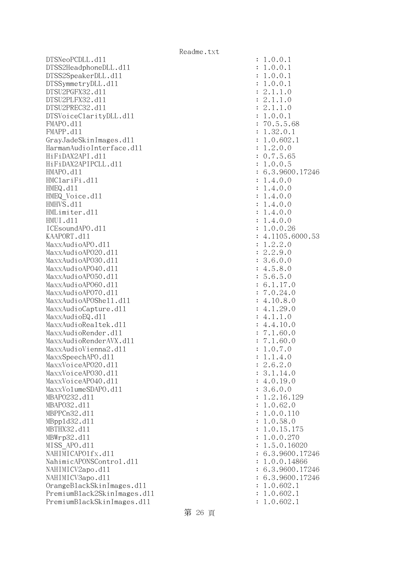$DTSNeoPCDLL. d11$  :  $1.0.0.1$ DTSS2HeadphoneDLL.dl1 : 1.0.0.1 DTSS2SpeakerDLL.d11 : 1.0.0.1 DTSSymmetryDLL.dl1 : 1.0.0.1 DTSU2PGFX32.dll : 2.1.1.0 DTSU2PLFX32.dll : 2.1.1.0 DTSU2PREC32.d11 : 2.1.1.0 DTSVoiceClarityDLL.dll : 1.0.0.1 FMAPO.dll : 70.5.5.68 FMAPP.d11 : 1.32.0.1 GrayJadeSkinImages.dll : 1.0.602.1 HarmanAudioInterface.dll : 1.2.0.0 HiFiDAX2API.dll : 0.7.5.65 HiFiDAX2APIPCLL.d11 : 1.0.0.5 HMAPO.dll : 6.3.9600.17246 HMClariFi.dll : 1.4.0.0 HMEQ.dll : 1.4.0.0 HMEQ Voice.dl1 : 1.4.0.0 HMHVS.dll : 1.4.0.0 HMLimiter.dll : 1.4.0.0 HMUI.dll : 1.4.0.0 ICEsoundAPO.d11 : 1.0.0.26 KAAPORT.d11 : 4.1105.6000.53 MaxxAudioAPO.dll : 1.2.2.0 MaxxAudioAPO20.dll : 2.2.9.0 MaxxAudioAPO30.dll : 3.6.0.0  $\text{MaxAudio}$ APO40.dll  $\qquad \qquad$  : 4.5.8.0  $\text{MaxAudio}$ APO50.dll : 5.6.5.0 MaxxAudioAPO60.dll : 6.1.17.0 MaxxAudioAPO70.dll : 7.0.24.0 MaxxAudioAPOShell.dll : 4.10.8.0 MaxxAudioCapture.dll : 4.1.29.0  $\text{MaxAudioEQ}.d11$  : 4.1.1.0 MaxxAudioRealtek.dll  $4.4.10.0$ MaxxAudioRender.dll intervalsed in the set of the set of the set of the set of the set of the set of the set of the set of the set of the set of the set of the set of the set of the set of the set of the set of the set of MaxxAudioRenderAVX.dll : 7.1.60.0 MaxxAudioVienna2.dl1 : 1.0.7.0  $\text{MaxSpeech}$ PO.dll  $\text{MaxSpeech}$ MaxxVoiceAP020.dl1 : 2.6.2.0 MaxxVoiceAPO30.dl1 : 3.1.14.0 MaxxVoiceAPO40.dll : 4.0.19.0 MaxxVolumeSDAPO.d11 intervalue of the state of the state of the state of the state of the state of the state of the state of the state of the state of the state of the state of the state of the state of the state of the st MBAP0232.d11 : 1.2.16.129 MBAPO32.d11 : 1.0.62.0 MBPPCn32.dll : 1.0.0.110 MBppld32.dll : 1.0.58.0 MBTHX32.d11 : 1.0.15.175 MBWrp32.dll : 1.0.0.270 MISS\_APO.dll : 1.5.0.16020 NAHIMICAPO1fx.dl1 : 6.3.9600.17246 NahimicAPONSControl.dll : 1.0.0.14866 NAHIMICV2apo.dll : 6.3.9600.17246 NAHIMICV3apo.d11 : 6.3.9600.17246 OrangeBlackSkinImages.dll : 1.0.602.1 PremiumBlack2SkinImages.dll : 1.0.602.1 PremiumBlackSkinImages.dll : 1.0.602.1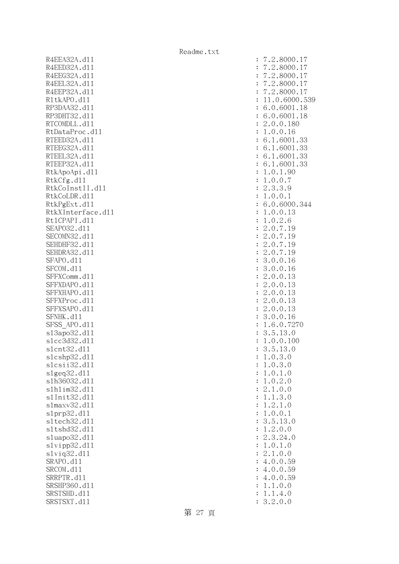R4EEA32A.d11 R4EED32A.d11 R4EEG32A.d11 R4EEL32A.d11 R4EEP32A.d11 R1tkAPO.d11 : 11.0.6000.539 RP3DAA32.d11 RP3DHT32.d11 RTCOMDLL.d11 RtDataProc.dl1 RTEED32A.d11 RTEEG32A.d11 RTEEL32A.d11 RTEEP32A.d11 RtkApoApi.dll RtkCfg.dll RtkCoInstII.d11 RtkCoLDR.d11 RtkPgExt.dl1 RtkXInterface.d11 Rt1CPAPI.d11 SEAP032.d11 SECOMN32.d11 SEHDHF32.d11 SEHDRA32.d11 SFAPO.d11 SFCOM.d11 SFFXComm.d11 SFFXDAPO.d11 SFFXHAPO.d11 SFFXProc.dl1 SFFXSAPO.d11 SFNHK.d11 SFSS APO.dl1 s13apo32.dl1 slcc3d32.d11 slcnt32.dl1 slcshp32.dl1 slcsii32.dll : 1.0.3.0 slgeq32.dl1 s1h36032.dl1 slhlim32.dll s1Init32.d11 s1maxv32.d11 slprp32.dl1 sltech32.dll sltshd32.d11 sluapo32.dl1 slvipp32.dl1 slviq32.dl1 SRAPO.d11 SRCOM.d11 SRRPTR.d11 SRSHP360.d11 SRSTSHD.d11 SRSTSXT.d11

| $\ddot{\cdot}$ | 2.8000.17<br>$\overline{7}$                                                                               |
|----------------|-----------------------------------------------------------------------------------------------------------|
|                | .2.8000.                                                                                                  |
| $\ddot{\cdot}$ | $\mathbf 1$<br>$\overline{7}$                                                                             |
| $\ddot{\cdot}$ | .2.8000.<br>$\overline{7}$<br>$\mathbf 1$                                                                 |
| $\ddot{\cdot}$ | .2.8000.<br>17<br>$\overline{7}$                                                                          |
| $\ddot{\cdot}$ | 17<br>.2.8000.<br>$\overline{7}$                                                                          |
| $\ddot{\cdot}$ | 0.6000.53<br>1.<br>1                                                                                      |
| $\ddot{\cdot}$ | .0.6001.<br>18<br>6                                                                                       |
|                |                                                                                                           |
| $\ddot{\cdot}$ | 6.0.6001.18                                                                                               |
| $\ddot{\cdot}$ | .0.0.180<br>$\overline{c}$                                                                                |
| $\ddot{\cdot}$ | .0.0.16<br>$\mathbf 1$                                                                                    |
| $\ddot{\cdot}$ | 6.1.6001.33                                                                                               |
| $\ddot{\cdot}$ | 6.1.6001.<br>33                                                                                           |
| $\ddot{\cdot}$ | 6.1.6001<br>33<br>$\ddot{\phantom{a}}$                                                                    |
| $\ddot{\cdot}$ | 6.1.6001.<br>33                                                                                           |
|                |                                                                                                           |
| $\ddot{\cdot}$ | .0.1.90<br>$\mathbf 1$                                                                                    |
| $\ddot{\cdot}$ | 0.7<br>$\mathbf 1$<br>$\cdot$ $0$ .                                                                       |
| $\ddot{\cdot}$ | .3.3.9<br>$\overline{c}$                                                                                  |
| $\ddot{\cdot}$ | .0.0.<br>$\mathbf 1$<br>$\mathbf 1$                                                                       |
| $\colon$       | 6.0.6000.344                                                                                              |
| $\ddot{\cdot}$ | .0.0.13<br>$\mathbf{1}$                                                                                   |
| $\ddot{\cdot}$ | $\mathbf 1$<br>.0.2.6                                                                                     |
|                |                                                                                                           |
| $\ddot{\cdot}$ | $\overline{c}$<br>$\overline{7}$<br>$\cdot$ 0 .<br>$\ddot{\phantom{0}}$<br>19                             |
| $\ddot{\cdot}$ | .0.7.<br>$\overline{c}$<br>19                                                                             |
| $\ddot{\cdot}$ | $\overline{c}$<br>.0.7.<br>19                                                                             |
| $\ddot{\cdot}$ | $\overline{c}$<br>.0.7.<br>19                                                                             |
| $\ddot{\cdot}$ | 3.0.0.16                                                                                                  |
| $\ddot{\cdot}$ | 3.0.0.16                                                                                                  |
| $\ddot{\cdot}$ | $\overline{c}$<br>.0.0.13                                                                                 |
|                |                                                                                                           |
| $\ddot{\cdot}$ | $\overline{c}$<br>.0.0.13                                                                                 |
| $\ddot{\cdot}$ | $\overline{c}$<br>.0.0.13                                                                                 |
| $\vdots$       | $\overline{c}$<br>.0.0.13                                                                                 |
| $\vdots$       | $\overline{c}$<br>.0.0.13                                                                                 |
| $\vdots$       | 0.0.<br>3<br>$\ddot{\phantom{0}}$<br>16                                                                   |
| $\vdots$       | $\mathbf{1}$<br>6.0.<br>7270<br>$\ddot{\phantom{0}}$                                                      |
| $\vdots$       | 5.13.0<br>3.                                                                                              |
|                | $\mathbf 1$<br>0.100<br>$\ddot{\phantom{0}}$<br>$0$ .                                                     |
| $\colon$       |                                                                                                           |
| $\ddot{\cdot}$ | 3.<br>5.13<br>$\cdot$ 0                                                                                   |
| $\ddot{\cdot}$ | $\mathbf{1}$<br>$\mathcal{O}$<br>$\ddot{\phantom{0}}$<br>3<br>$\overline{O}$                              |
| $\ddot{\cdot}$ | $\overline{0}$ .<br>3<br>$\ddot{\phantom{0}}$<br>$\ddot{\phantom{0}}$<br>$\overline{O}$<br>1              |
| $\ddot{\cdot}$ | $\mathbf{1}$<br>$\overline{0}$ .<br>$\ddot{\phantom{0}}$<br>$\ddot{\phantom{0}}$<br>$\overline{O}$<br>1   |
| $\ddot{\cdot}$ | $\overline{0}$ .<br>$\overline{c}$<br>$\ddot{\phantom{0}}$<br>1<br>$\ddot{\phantom{0}}$<br>$\overline{O}$ |
| $\ddot{\cdot}$ | $\overline{0}$ .<br>$1$ .<br>$\overline{c}$<br>$\ddot{\phantom{0}}$<br>$\overline{O}$                     |
| $\ddot{\cdot}$ | $\mathbf{1}$<br>3.<br>$\ddot{\phantom{0}}$<br>$\mathbf 1$<br>$\ddot{\phantom{0}}$<br>$\circ$              |
|                | $\mathbf 1$<br>$\ddot{\phantom{0}}$<br>$\ddot{\phantom{a}}$                                               |
| $\ddot{\cdot}$ | $\mathbf{1}$ .<br>$\overline{c}$<br>$\circ$                                                               |
| $\ddot{\cdot}$ | $\mathbf{1}$<br>$\mathbf{0}$ .<br>$0$ .<br>$\ddot{\phantom{0}}$<br>$\mathbf 1$                            |
| $\ddot{\cdot}$ | 5.<br>13.0<br>3<br>$\ddot{\phantom{0}}$                                                                   |
| $\ddot{\cdot}$ | 2.<br>$\mathbf{1}$<br>$\ddot{\phantom{0}}$<br>0.0                                                         |
| $\ddot{\cdot}$ | $\mathbf{c}$<br>$\ddot{\phantom{a}}$<br>3.<br>24.0                                                        |
| $\ddot{\cdot}$ | $\mathbf 1$<br>$\overline{0}$ .<br>$\ddot{\phantom{0}}$<br>1.<br>$\mathcal{O}$                            |
| $\ddot{\cdot}$ | 0.0<br>2.<br>$1$ .                                                                                        |
| $\ddot{\cdot}$ | $\boldsymbol{0}$ .<br>$\overline{0}$ .<br>4.<br>59                                                        |
|                |                                                                                                           |
| $\ddot{\cdot}$ | $\cdot$ $0$ .<br>$\overline{0}$ .<br>59<br>$\overline{4}$                                                 |
| $\ddot{\cdot}$ | 59<br>$0$ .<br>$\overline{0}$ .<br>$\ddot{\phantom{0}}$<br>$\overline{4}$                                 |
| $\ddot{\cdot}$ | $\ddot{\phantom{a}}$<br>$\overline{0}$ .<br>1<br>$\ddot{\phantom{0}}$<br>$\mathbf 1$<br>$\circ$           |
| $\ddot{\cdot}$ | $\mathbf{1}$<br>$\ddot{\phantom{0}}$<br>4.<br>$\ddot{\phantom{0}}$<br>$\mathbf 1$<br>$\mathcal{O}$        |
| $\vdots$       | 3.2.<br>$\overline{0}$ .<br>0                                                                             |
|                |                                                                                                           |

第 27 頁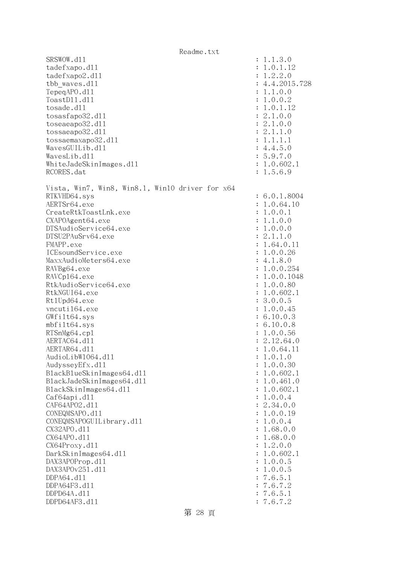Readme.txt SRSWOW.d11 : 1.1.3.0 tadefxapo.dl1 : 1.0.1.12 tadefxapo2.dll : 1.2.2.0 tbb\_waves.dll : 4.4.2015.728 TepeqAPO.dll : 1.1.0.0 ToastDll.dll : 1.0.0.2 tosade.dl1 : 1.0.1.12 tosasfapo32.dl1 : 2.1.0.0 toseaeapo32.dll : 2.1.0.0 tossaeapo32.dl1 : 2.1.1.0 tossaemaxapo32.dll : 1.1.1.1  $Waves GULLib. d11$  : 4.4.5.0 WavesLib.dll : 5.9.7.0 WhiteJadeSkinImages.dll : 1.0.602.1 RCORES.dat : 1.5.6.9 Vista, Win7, Win8, Win8.1, Win10 driver for x64 RTKVHD64.sys : 6.0.1.8004 AERTSr64.exe : 1.0.64.10 CreateRtkToastLnk.exe : 1.0.0.1 CXAPOAgent64.exe : 1.1.0.0 DTSAudioService64.exe : 1.0.0.0 DTSU2PAuSrv64.exe : 2.1.1.0 FMAPP.exe : 1.64.0.11 ICEsoundService.exe : 1.0.0.26 MaxxAudioMeters64.exe : 4.1.8.0 RAVBg64.exe : 1.0.0.254 RAVCp164.exe : 1.0.0.1048 RtkAudioService64.exe : 1.0.0.80 RtkNGUI64.exe : 1.0.602.1 Rt1Upd64.exe : 3.0.0.5 vncuti164.exe : 1.0.0.45 GWfilt64.sys : 6.10.0.3 mbfilt64.sys : 6.10.0.8 RTSnMg64.cp1 : 1.0.0.56 AERTAC64.d11 : 2.12.64.0 AERTAR64.d11 : 1.0.64.11 : 1.0.64.11 AudioLibW1064.d11 : 1.0.1.0 AudysseyEfx.dl1 : 1.0.0.30 : 1.0.0.30 BlackBlueSkinImages64.dll : 1.0.602.1 BlackJadeSkinImages64.dll : 1.0.461.0 BlackSkinImages64.dll : 1.0.602.1 Caf64api.dl1 : 1.0.0.4 CAF64APO2.d11 : 2.34.0.0 CONEQMSAPO.dll : 1.0.0.19 CONEQMSAPOGUILibrary.dll : 1.0.0.4 CX32APO.dll : 1.68.0.0 CX64APO.dll : 1.68.0.0 CX64Proxy.dll : 1.2.0.0 DarkSkinImages64.dll : 1.0.602.1 DAX3APOProp.dl1 : 1.0.0.5 DAX3APOv251.dll : 1.0.0.5 DDPA64.dll : 7.6.5.1 DDPA64F3.dll : 7.6.7.2 DDPD64A.dll : 7.6.5.1 DDPD64AF3.dll : 7.6.7.2

## 第 28 頁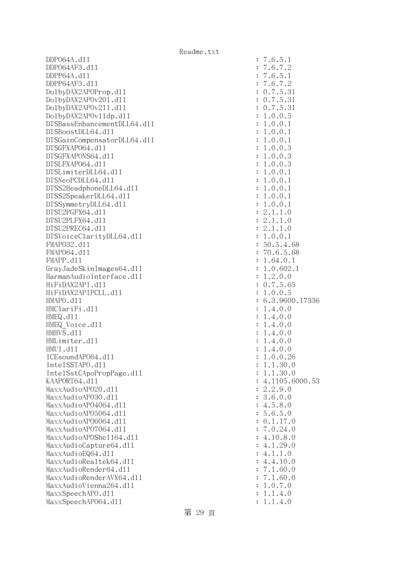DDPO64A.dll : 7.6.5.1 DDPO64AF3.dll : 7.6.7.2 DDPP64A.dll : 7.6.5.1 DDPP64AF3.dll : 7.6.7.2 DolbyDAX2APOProp.dll : 0.7.5.31 DolbyDAX2APOv201.dll : 0.7.5.31 DolbyDAX2APOv211.dll : 0.7.5.31  $D \text{objDAX2}$ APOv11dp.d11 : 1.0.0.5 DTSBassEnhancementDLL64.dll : 1.0.0.1 DTSBoostDLL64.dll : 1.0.0.1 DTSGainCompensatorDLL64.dll : 1.0.0.1 DTSGFXAPO64.dll : 1.0.0.3 DTSGFXAPONS64.dll : 1.0.0.3 DTSLFXAPO64.dll : 1.0.0.3 DTSLimiterDLL64.dll : 1.0.0.1  $DTSNeoPCDLL64. d11$  :  $1.0.0.1$ DTSS2HeadphoneDLL64.dl1 : 1.0.0.1 DTSS2SpeakerDLL64.dl1 : 1.0.0.1  $DTSSymmetry DLL64. d11$  :  $1.0.0.1$  $DTSU2PGFX64. d11$  :  $2.1.1.0$  DTSU2PLFX64.dll : 2.1.1.0 DTSU2PREC64.dll : 2.1.1.0 DTSVoiceClarityDLL64.dll : 1.0.0.1 FMAPO32.dll : 50.5.4.68 FMAPO64.dll : 70.6.5.68 FMAPP.d11 : 1.64.0.1 GrayJadeSkinImages64.dll : 1.0.602.1 HarmanAudioInterface.dll : 1.2.0.0 HiFiDAX2API.dll : 0.7.5.65 HiFiDAX2APIPCLL.dll : 1.0.0.5 HMAPO.dll : 6.3.9600.17336 HMClariFi.dl1 : 1.4.0.0 HMEQ.d11 : 1.4.0.0  $HMEQ$  Voice.dll  $\qquad \qquad$  : 1.4.0.0 HMHVS.d11 : 1.4.0.0 HMLimiter.dl1 : 1.4.0.0 HMUI.dll : 1.4.0.0  $ICEsoundAP064. d11$  :  $1.0.0.26$  IntelSSTAPO.dll : 1.1.30.0 IntelSstCApoPropPage.dll : 1.1.30.0 KAAPORT64.d11 : 4.1105.6000.53 MaxxAudioAPO20.dll : 2.2.9.0 MaxxAudioAPO30.dll : 3.6.0.0 MaxxAudioAPO4064.dll : 4.5.8.0 MaxxAudioAPO5064.dll : 5.6.5.0 MaxxAudioAPO6064.dll : 6.1.17.0 MaxxAudioAPO7064.dll : 7.0.24.0 MaxxAudioAPOShell64.dll : 4.10.8.0  $\text{MaxAudioCanture64.}d11$  : 4.1.29.0  $MaxAudioEQ64. d11$  : 4.1.1.0 MaxxAudioRealtek64.dll : 4.4.10.0 MaxxAudioRender64.dll : 7.1.60.0 MaxxAudioRenderAVX64.dll : 7.1.60.0 MaxxAudioVienna264.dll : 1.0.7.0 MaxxSpeechAPO.d11 : 1.1.4.0 MaxxSpeechAP064.dll : 1.1.4.0

第 29 頁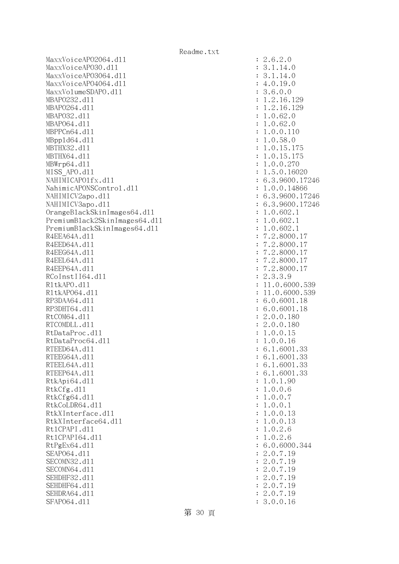MaxxVoiceAP02064.dll : 2.6.2.0 MaxxVoiceAPO30.d11 : 3.1.14.0 MaxxVoiceAPO3064.dll : 3.1.14.0 MaxxVoiceAPO4064.dll : 4.0.19.0 MaxxVolumeSDAPO.dll : 3.6.0.0 MBAPO232.dll : 1.2.16.129 MBAPO264.d11 : 1.2.16.129 MBAPO32.d11 : 1.0.62.0 MBAPO64.dll : 1.0.62.0 MBPPCn64.dll : 1.0.0.110 MBpp1d64.d11 : 1.0.58.0 MBTHX32.dll : 1.0.15.175 MBTHX64.d11 : 1.0.15.175 MBWrp64.dl1 : 1.0.0.270 MISS APO.d11 : 1.5.0.16020 NAHIMICAPO1fx.dl1 : 6.3.9600.17246 NahimicAPONSControl.dl1 : 1.0.0.14866 NAHIMICV2apo.dll : 6.3.9600.17246 NAHIMICV3apo.dll : 6.3.9600.17246 OrangeBlackSkinImages64.dll : 1.0.602.1 PremiumBlack2SkinImages64.dll : 1.0.602.1 PremiumBlackSkinImages64.dll : 1.0.602.1 R4EEA64A.d11 : 7.2.8000.17 R4EED64A.d11 : 7.2.8000.17 R4EEG64A.d11 : 7.2.8000.17 R4EEL64A.d11 : 7.2.8000.17 R4EEP64A.d11 : 7.2.8000.17 RCoInstII64.dl1 : 2.3.3.9 R1tkAPO.d11 : 11.0.6000.539 R1tkAP064.d11 : 11.0.6000.539 RP3DAA64.d11 : 6.0.6001.18 RP3DHT64.d11 : 6.0.6001.18 RtCOM64.d11 : 2.0.0.180 RTCOMDLL.d11 : 2.0.0.180 RtDataProc.dl1 : 1.0.0.15 RtDataProc64.dl1 : 1.0.0.16 RTEED64A.d11 : 6.1.6001.33 RTEEG64A.d11 : 6.1.6001.33 RTEEL64A.d11 : 6.1.6001.33 RTEEP64A.d11 : 6.1.6001.33 RtkApi64.dl1 : 1.0.1.90 : 1.0.1.90 RtkCfg.dl1 : 1.0.0.6 RtkCfg64.d11 : 1.0.0.7 RtkCoLDR64.d11 : 1.0.0.1 RtkXInterface.dll : 1.0.0.13 RtkXInterface64.dll : 1.0.0.13 Rt1CPAPI.d11 : 1.0.2.6 Rt1CPAPI64.d11 : 1.0.2.6 RtPgEx64.dll : 6.0.6000.344 SEAPO64.d11 : 2.0.7.19 SECOMN32.d11 : 2.0.7.19 SECOMN64.d11 : 2.0.7.19 SEHDHF32.d11 : 2.0.7.19 SEHDHF64.d11 : 2.0.7.19 SEHDRA64.d11 : 2.0.7.19 SFAP064.d11 : 3.0.0.16

第 30 頁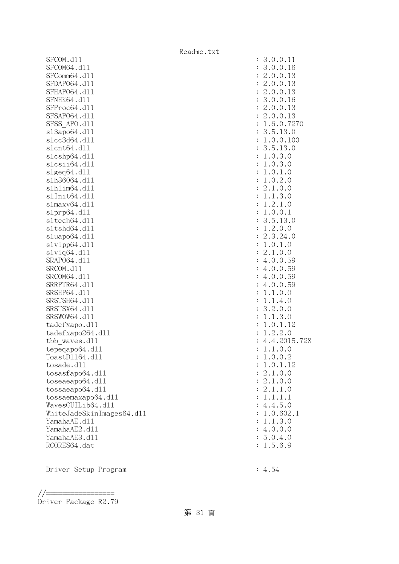|                                   | Readme.txt |                     |
|-----------------------------------|------------|---------------------|
| SFCOM.d11                         |            | : 3.0.0.11          |
| SFCOM64.d11                       |            | 3.0.0.16            |
| SFComm64.d11                      |            | 2.0.0.13            |
| SFDAP064.d11                      |            | 2.0.0.13            |
| SFHAP064.d11                      |            | 2.0.0.13            |
| SFNHK64.d11                       |            | 3.0.0.16            |
| SFProc64.d11                      |            | 2.0.0.13            |
| SFSAP064.d11                      |            | 2.0.0.13            |
| SFSS APO.d11                      |            | 1.6.0.7270          |
| s13apo64.d11                      |            | 3.5.13.0            |
| s1cc3d64.d11                      |            | 1.0.0.100           |
| s1cnt64.d11                       |            | 3.5.13.0            |
| s1cshp64.d11                      |            | 1.0.3.0             |
| slcsii64.dll                      |            | 1.0.3.0             |
| slgeq64. d11                      |            | 1.0.1.0             |
| s1h36064.d11                      |            | 1.0.2.0             |
| s1h1im64.d11                      |            | 2.1.0.0             |
| s1Init64.d11                      |            | 1.1.3.0             |
| s1maxv64.d11                      |            | 1.2.1.0             |
| slprp64.d11                       |            | 1.0.0.1             |
| s1tech64.d11                      |            | 3.5.13.0            |
| sltshd64.dll                      |            | 1.2.0.0             |
| sluapo64.d11                      |            | 2.3.24.0            |
| slvipp64.dll                      |            | 1.0.1.0             |
| $s1$ viq $64. d11$                |            | 2.1.0.0             |
| SRAP064.d11                       |            | 4.0.0.59            |
| SRCOM.d11                         |            | 4.0.0.59            |
| SRCOM64.d11                       |            | 4.0.0.59            |
| SRRPTR64.d11                      |            | 4.0.0.59            |
| SRSHP64.d11                       |            | 1.1.0.0             |
| SRSTSH64.d11                      |            | 1.1.4.0             |
| SRSTSX64.d11                      |            | 3.2.0.0             |
| SRSWOW64.d11                      |            | 1.1.3.0             |
| tadefxapo.d11                     |            | 1.0.1.12<br>1.2.2.0 |
| tadefxapo264.dll<br>tbb waves.dll |            | 4.4.2015.728        |
| tepeqapo64.d11                    |            | 1.1.0.0             |
| ToastD1164.d11                    |            | 1.0.0.2             |
| tosade.d11                        |            | 1.0.1.12            |
| tosasfapo64.dll                   |            | 2.1.0.0             |
| toseaeapo64.d11                   |            | : 2.1.0.0           |
| tossaeapo64.d11                   |            | : 2.1.1.0           |
| tossaemaxapo64.dll                |            | : 1.1.1.1           |
| WavesGUILib64.d11                 |            | : 4.4.5.0           |
| WhiteJadeSkinImages64.dl1         |            | 1.0.602.1           |
| YamahaAE.d11                      |            | 1.1.3.0             |
| YamahaAE2.d11                     |            | : 4.0.0.0           |
| YamahaAE3.d11                     |            | : 5.0.4.0           |
| RCORES64.dat                      |            | : 1.5.6.9           |
|                                   |            |                     |
|                                   |            |                     |

Driver Setup Program : 4.54

<sup>//=================</sup> Driver Package R2.79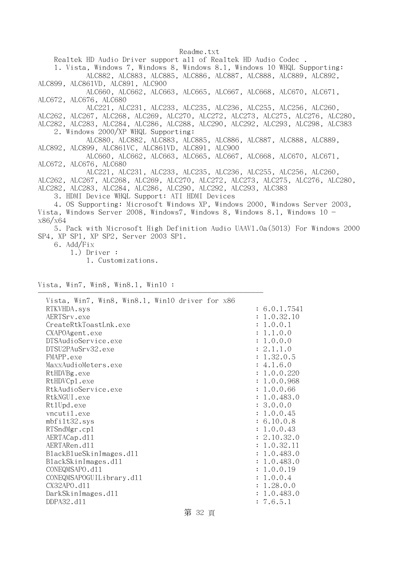Realtek HD Audio Driver support all of Realtek HD Audio Codec .

 1. Vista, Windows 7, Windows 8, Windows 8.1, Windows 10 WHQL Supporting: ALC882, ALC883, ALC885, ALC886, ALC887, ALC888, ALC889, ALC892,

ALC899, ALC861VD, ALC891, ALC900

 ALC660, ALC662, ALC663, ALC665, ALC667, ALC668, ALC670, ALC671, ALC672, ALC676, ALC680

ALC221, ALC231, ALC233, ALC235, ALC236, ALC255, ALC256, ALC260,

ALC262, ALC267, ALC268, ALC269, ALC270, ALC272, ALC273, ALC275, ALC276, ALC280, ALC282, ALC283, ALC284, ALC286, ALC288, ALC290, ALC292, ALC293, ALC298, ALC383 2. Windows 2000/XP WHQL Supporting:

 ALC880, ALC882, ALC883, ALC885, ALC886, ALC887, ALC888, ALC889, ALC892, ALC899, ALC861VC, ALC861VD, ALC891, ALC900

 ALC660, ALC662, ALC663, ALC665, ALC667, ALC668, ALC670, ALC671, ALC672, ALC676, ALC680

 ALC221, ALC231, ALC233, ALC235, ALC236, ALC255, ALC256, ALC260, ALC262, ALC267, ALC268, ALC269, ALC270, ALC272, ALC273, ALC275, ALC276, ALC280, ALC282, ALC283, ALC284, ALC286, ALC290, ALC292, ALC293, ALC383

3. HDMI Device WHQL Support: ATI HDMI Devices

 4. OS Supporting: Microsoft Windows XP, Windows 2000, Windows Server 2003, Vista, Windows Server 2008, Windows7, Windows 8, Windows 8.1, Windows  $10$ x86/x64

 5. Pack with Microsoft High Definition Audio UAAV1.0a(5013) For Windows 2000 SP4, XP SP1, XP SP2, Server 2003 SP1.

6. Add/Fix

1.) Driver :

1. Customizations.

Vista, Win7, Win8, Win8.1, Win10 :

| Vista, Win7, Win8, Win8.1, Win10 driver for x86<br>RTKVHDA.sys | : 6.0.1.7541 |
|----------------------------------------------------------------|--------------|
| AERTSrv.exe                                                    | : 1.0.32.10  |
| CreateRtkToastLnk.exe                                          | : 1.0.0.1    |
|                                                                |              |
| CXAPOAgent.exe                                                 | : 1.1.0.0    |
| DTSAudioService.exe                                            | : 1.0.0.0    |
| DTSU2PAuSrv32.exe                                              | : 2.1.1.0    |
| FMAPP.exe                                                      | : 1.32.0.5   |
| MaxxAudioMeters.exe                                            | : 4.1.6.0    |
| RtHDVBg.exe                                                    | : 1.0.0.220  |
| RtHDVCp1.exe                                                   | : 1.0.0.968  |
| RtkAudioService.exe                                            | : 1.0.0.66   |
| RtkNGUI.exe                                                    | : 1.0.483.0  |
| Rt1Upd.exe                                                     | : 3.0.0.0    |
| vncutil.exe                                                    | : 1.0.0.45   |
| mbfilt32.sys                                                   | : 6.10.0.8   |
| RTSndMgr.cp1                                                   | : 1.0.0.43   |
| AERTACap.d11                                                   | : 2.10.32.0  |
| AERTARen.d11                                                   | : 1.0.32.11  |
| BlackBlueSkinImages.dl1                                        | : 1.0.483.0  |
| BlackSkinImages.d11                                            | : 1.0.483.0  |
| CONEQMSAPO.d11                                                 | : 1.0.0.19   |
| CONEQMSAPOGUILibrary.d11                                       | : 1.0.0.4    |
| CX32APO.d11                                                    | : 1.28.0.0   |
| DarkSkinImages.d11                                             | : 1.0.483.0  |
| DDPA32.d11                                                     | : 7.6.5.1    |
|                                                                |              |

第 32 頁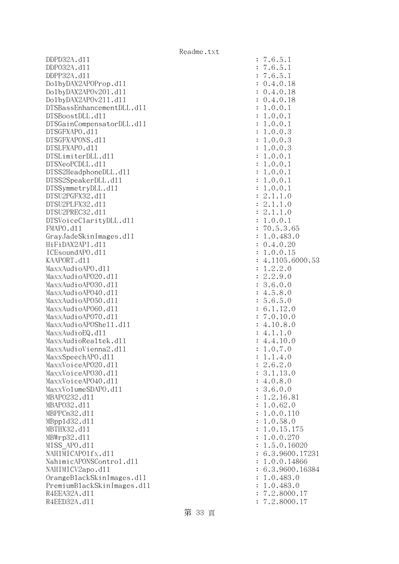DDPD32A.dll : 7.6.5.1 DDPO32A.dll : 7.6.5.1 DDPP32A.dll : 7.6.5.1 DolbyDAX2APOProp.dll : 0.4.0.18 DolbyDAX2APOv201.dll : 0.4.0.18 DolbyDAX2AP0v211.d11 : 0.4.0.18 DTSBassEnhancementDLL.dl1 : 1.0.0.1  $DTSBoostDLL. d11$  :  $1.0.0.1$ DTSGainCompensatorDLL.dl1 : 1.0.0.1 DTSGFXAPO.dll : 1.0.0.3 DTSGFXAPONS.dll : 1.0.0.3 DTSLFXAPO.dll : 1.0.0.3 DTSLimiterDLL.dl1 : 1.0.0.1 DTSNeoPCDLL.d11 : 1.0.0.1 DTSS2HeadphoneDLL.dl1 : 1.0.0.1 DTSS2SpeakerDLL.d11 : 1.0.0.1 DTSSymmetryDLL.dl1 : 1.0.0.1 DTSU2PGFX32.dll : 2.1.1.0 DTSU2PLFX32.dll : 2.1.1.0 DTSU2PREC32.dll : 2.1.1.0 DTSVoiceClarityDLL.dl1 : 1.0.0.1 FMAPO.d11 : 70.5.3.65 GrayJadeSkinImages.dll : 1.0.483.0 HiFiDAX2API.dll : 0.4.0.20 ICEsoundAPO.dll : 1.0.0.15 KAAPORT.d11 : 4.1105.6000.53  $\text{MaxAudio}$ APO.dll  $\text{MaxAudio}$  $\text{MaxAudio}$ APO2O.dll  $\text{maxAudio}$  MaxxAudioAPO30.dll : 3.6.0.0 MaxxAudioAPO40.dll : 4.5.8.0 MaxxAudioAP050.dll : 5.6.5.0 MaxxAudioAPO60.dll : 6.1.12.0 MaxxAudioAPO70.dll : 7.0.10.0 MaxxAudioAPOShe11.dl1 : 4.10.8.0  $MaxAudioEQ. d11$  : 4.1.1.0 MaxxAudioRealtek.dll  $4.4.10.0$ MaxxAudioVienna2.dl1 : 1.0.7.0  $\text{MaxSpeech}$ PO.dll  $\text{MaxSpeech}$ MaxxVoiceAP020.dl1 : 2.6.2.0 MaxxVoiceAPO30.dl1 : 3.1.13.0 MaxxVoiceAP040.dll : 4.0.8.0 MaxxVolumeSDAPO.d11 intervalue of the state of the state of the state of the state of the state of the state of the state of the state of the state of the state of the state of the state of the state of the state of the st MBAP0232.d11 : 1.2.16.81 MBAPO32.d11 : 1.0.62.0 MBPPCn32.dll : 1.0.0.110 MBppld32.dll : 1.0.58.0 MBTHX32.d11 : 1.0.15.175 MBWrp32.dll : 1.0.0.270 MISS\_APO.dll : 1.5.0.16020 NAHIMICAPO1fx.dl1 : 6.3.9600.17231 NahimicAPONSControl.dl1 : 1.0.0.14866 NAHIMICV2apo.dll : 6.3.9600.16384 OrangeBlackSkinImages.dll : 1.0.483.0 PremiumBlackSkinImages.dll : 1.0.483.0 R4EEA32A.d11 : 7.2.8000.17 R4EED32A.d11 : 7.2.8000.17

## 第 33 頁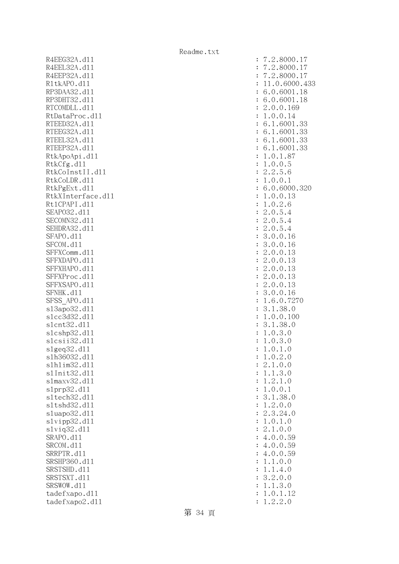R4EEG32A.d11 : 7.2.8000.17 R4EEL32A.d11 : 7.2.8000.17 R4EEP32A.d11 : 7.2.8000.17 R1tkAPO.d11 : 11.0.6000.433 RP3DAA32.d11 : 6.0.6001.18 RP3DHT32.d11 : 6.0.6001.18 RTCOMDLL.d11 : 2.0.0.169 RtDataProc.dl1 : 1.0.0.14 RTEED32A.d11 : 6.1.6001.33 RTEEG32A.d11 : 6.1.6001.33 RTEEL32A.d11 : 6.1.6001.33 RTEEP32A.d11 : 6.1.6001.33 RtkApoApi.dl1 : 1.0.1.87 RtkCfg.dl1 : 1.0.0.5 RtkCoInstII.dl1 : 2.2.5.6 RtkCoLDR.d11 : 1.0.0.1 RtkPgExt.dll : 6.0.6000.320 RtkXInterface.dl1 : 1.0.0.13 Rt1CPAPI.d11 : 1.0.2.6 SEAPO32.d11 : 2.0.5.4 SECOMN32.d11 : 2.0.5.4 SEHDRA32.d11 : 2.0.5.4 SFAPO.d11 : 3.0.0.16 SFCOM.d11 : 3.0.0.16 SFFXComm.d11 : 2.0.0.13 SFFXDAPO.d11 : 2.0.0.13 SFFXHAPO.d11 : 2.0.0.13 SFFXProc.d11 : 2.0.0.13 SFFXSAPO.d11 : 2.0.0.13 SFNHK.d11 : 3.0.0.16 SFSS APO.d11 : 1.6.0.7270 sl3apo32.dl1 : 3.1.38.0 slcc3d32.dll : 1.0.0.100 slcnt32.dll : 3.1.38.0 slcshp32.dl1 : 1.0.3.0 slcsii32.dll : 1.0.3.0 slgeq32.dll : 1.0.1.0 slh36032.dll : 1.0.2.0 slhlim32.dll : 2.1.0.0 slInit32.dll : 1.1.3.0 slmaxv32.dll : 1.2.1.0 slprp32.dll : 1.0.0.1 sltech32.dl1 : 3.1.38.0 sltshd32.dll : 1.2.0.0 sluapo32.dll : 2.3.24.0 slvipp32.dll : 1.0.1.0 slviq32.dll : 2.1.0.0 SRAPO.d11 : 4.0.0.59 SRCOM.d11 : 4.0.0.59 SRRPTR.d11 : 4.0.0.59 SRSHP360.d11 : 1.1.0.0 SRSTSHD.d11 : 1.1.4.0 SRSTSXT.d11 : 3.2.0.0 SRSWOW.dl1 : 1.1.3.0 tadefxapo.dl1 : 1.0.1.12 tadefxapo2.dl1 : 1.2.2.0

第 34 頁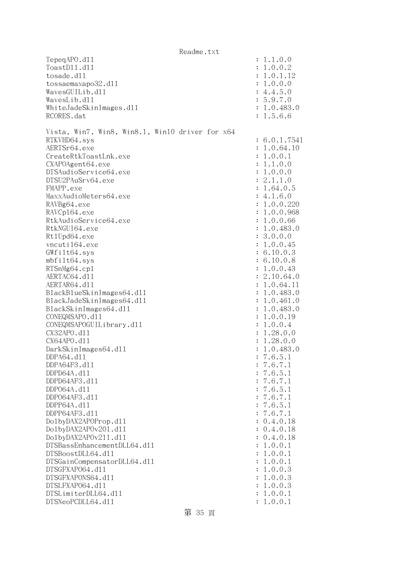|                                                 | Readme.txt |  |              |
|-------------------------------------------------|------------|--|--------------|
| TepeqAPO.d11                                    |            |  | : 1.1.0.0    |
| ToastD11.d11                                    |            |  | 1.0.0.2      |
| tosade.d11                                      |            |  | : 1.0.1.12   |
| tossaemaxapo32.d11                              |            |  | 1.0.0.0      |
| WavesGUILib.d11                                 |            |  | : 4.4.5.0    |
| WavesLib.d11                                    |            |  | : 5.9.7.0    |
| WhiteJadeSkinImages.dl1                         |            |  | : 1.0.483.0  |
| RCORES.dat                                      |            |  | : 1.5.6.6    |
|                                                 |            |  |              |
| Vista, Win7, Win8, Win8.1, Win10 driver for x64 |            |  |              |
| RTKVHD64.sys                                    |            |  | : 6.0.1.7541 |
| AERTSr64.exe                                    |            |  | 1.0.64.10    |
| CreateRtkToastLnk.exe                           |            |  | 1.0.0.1      |
| CXAPOAgent64.exe                                |            |  | 1.1.0.0      |
| DTSAudioService64.exe                           |            |  | 1.0.0.0      |
| DTSU2PAuSrv64.exe                               |            |  | : 2.1.1.0    |
| FMAPP.exe                                       |            |  | 1.64.0.5     |
| MaxxAudioMeters64.exe                           |            |  | : 4.1.6.0    |
| RAVBg64.exe                                     |            |  | 1.0.0.220    |
| RAVCp164.exe                                    |            |  | 1.0.0.968    |
| RtkAudioService64.exe                           |            |  | 1.0.0.66     |
| RtkNGUI64.exe                                   |            |  | 1.0.483.0    |
| Rt1Upd64.exe                                    |            |  | 3.0.0.0      |
| vncuti164.exe                                   |            |  | 1.0.0.45     |
| GWfilt64.sys                                    |            |  | : 6.10.0.3   |
| $mbf$ ilt $64$ .sys                             |            |  | : 6.10.0.8   |
| RTSnMg64.cp1                                    |            |  | 1.0.0.43     |
| AERTAC64.d11                                    |            |  | 2.10.64.0    |
| AERTAR64.d11                                    |            |  | 1.0.64.11    |
| BlackBlueSkinImages64.dll                       |            |  | 1.0.483.0    |
| BlackJadeSkinImages64.dl1                       |            |  | 1.0.461.0    |
| BlackSkinImages64.dl1                           |            |  | 1.0.483.0    |
| CONEQMSAPO.d11                                  |            |  | 1.0.0.19     |
| CONEQMSAPOGUILibrary.d11                        |            |  | 1.0.0.4      |
| CX32APO.d11                                     |            |  | 1.28.0.0     |
| CX64APO.d11                                     |            |  | 1.28.0.0     |
| DarkSkinImages64.d11                            |            |  | 1.0.483.0    |
| DDPA64.d11                                      |            |  | 7.6.5.1      |
| DDPA64F3.d11                                    |            |  | 7.6.7.1      |
| DDPD64A.d11                                     |            |  | 7.6.5.1      |
| DDPD64AF3.d11                                   |            |  | 7.6.7.1      |
| DDP064A.d11                                     |            |  | 7.6.5.1      |
| DDP064AF3.d11                                   |            |  | 7.6.7.1      |
| DDPP64A.d11                                     |            |  | 7.6.5.1      |
| DDPP64AF3.d11                                   |            |  | 7.6.7.1      |
| Do1byDAX2APOProp.d11                            |            |  | 0.4.0.18     |
| Do1byDAX2APOv201.d11                            |            |  | : 0.4.0.18   |
| Do1byDAX2APOv211.d11                            |            |  | : 0.4.0.18   |
| DTSBassEnhancementDLL64.d11                     |            |  | 1.0.0.1      |
| DTSBoostDLL64.d11                               |            |  | 1.0.0.1      |
| DTSGainCompensatorDLL64.d11                     |            |  | 1.0.0.1      |
| DTSGFXAP064.d11                                 |            |  | 1.0.0.3      |
| DTSGFXAPONS64.d11                               |            |  | 1.0.0.3      |
| DTSLFXAP064.d11                                 |            |  | 1.0.0.3      |
| DTSLimiterDLL64.d11                             |            |  | 1.0.0.1      |
| DTSNeoPCDLL64.d11                               |            |  | 1.0.0.1      |
|                                                 |            |  |              |

第 35 頁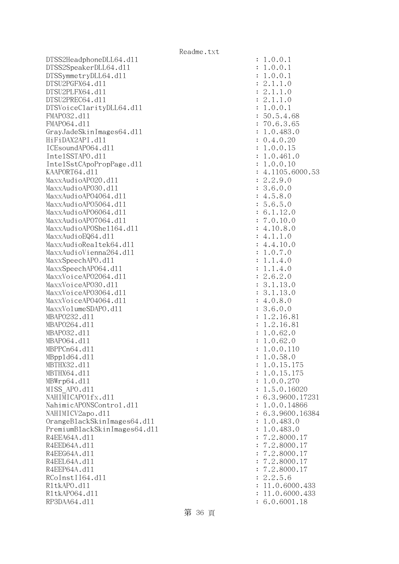DTSS2HeadphoneDLL64.dll : 1.0.0.1 DTSS2SpeakerDLL64.dl1 : 1.0.0.1 DTSSymmetryDLL64.dl1 : 1.0.0.1 DTSU2PGFX64.dll : 2.1.1.0 DTSU2PLFX64.dll : 2.1.1.0  $DTSU2PREC64. d11$  :  $2.1.1.0$ DTSVoiceClarityDLL64.dl1 : 1.0.0.1 FMAPO32.dll : 50.5.4.68 FMAPO64.dll : 70.6.3.65 GrayJadeSkinImages64.dl1 : 1.0.483.0 HiFiDAX2API.dll : 0.4.0.20 ICEsoundAPO64.dll : 1.0.0.15 IntelSSTAPO.dll : 1.0.461.0 IntelSstCApoPropPage.dll : 1.0.0.10 KAAPORT64.d11 : 4.1105.6000.53 MaxxAudioAPO20.dll : 2.2.9.0  $\text{MaxAudio}$ APO30.d11 : 3.6.0.0 MaxxAudioAPO4064.dll : 4.5.8.0 MaxxAudioAPO5064.dll : 5.6.5.0 MaxxAudioAPO6064.dll : 6.1.12.0 MaxxAudioAPO7064.dll : 7.0.10.0 MaxxAudioAPOShell64.dll : 4.10.8.0  $\text{MaxAudioEQ64. d11}$  : 4.1.1.0  $MaxAudioRealtek64. d11$  : 4.4.10.0 MaxxAudioVienna264.dll : 1.0.7.0 MaxxSpeechAPO.dl1 : 1.1.4.0  $\text{MaxX}\text{Spech}$ APO64.dll  $\qquad \qquad$  : 1.1.4.0 MaxxVoiceAP02064.dl1 : 2.6.2.0 MaxxVoiceAPO30.dl1 : 3.1.13.0 MaxxVoiceAPO3064.dll : 3.1.13.0 MaxxVoiceAP04064.dll : 4.0.8.0 MaxxVolumeSDAPO.dll : 3.6.0.0 MBAP0232.d11 : 1.2.16.81 MBAPO264.d11 : 1.2.16.81 MBAPO32.dll : 1.0.62.0 MBAP064.d11 : 1.0.62.0 MBPPCn64.dll : 1.0.0.110 MBppld64.dll : 1.0.58.0 MBTHX32.d11 : 1.0.15.175 MBTHX64.d11 : 1.0.15.175 MBWrp64.dll : 1.0.0.270 MISS APO.d11 : 1.5.0.16020 NAHIMICAPO1fx.dl1 : 6.3.9600.17231 NahimicAPONSControl.dl1 : 1.0.0.14866 NAHIMICV2apo.dl1 : 6.3.9600.16384 OrangeBlackSkinImages64.dll : 1.0.483.0 PremiumBlackSkinImages64.dll : 1.0.483.0 R4EEA64A.d11 : 7.2.8000.17 R4EED64A.d11 : 7.2.8000.17 R4EEG64A.d11 : 7.2.8000.17 R4EEL64A.d11 : 7.2.8000.17 R4EEP64A.d11 : 7.2.8000.17 RCoInstII64.dll : 2.2.5.6 R1tkAPO.d11 : 11.0.6000.433 R1tkAP064.d11 : 11.0.6000.433 RP3DAA64.d11 : 6.0.6001.18

Readme.txt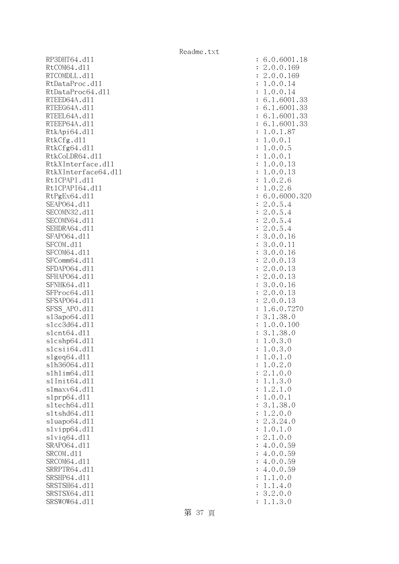RP3DHT64.d11 RtCOM64.d11 RTCOMDLL.d11 RtDataProc.dl1 RtDataProc64.dll RTEED64A.dl1 RTEEG64A.d11 RTEEL64A.d11 RTEEP64A.d11 RtkApi64.dl1 RtkCfg.dll  $R$ tk $C$ fg $64$ .dll RtkCoLDR64.dl1 RtkXInterface.d11 RtkXInterface64.dl1 Rt1CPAPI.d11 Rt1CPAPI64.dl1 RtPgEx64.dll : 6.0.6000.320 SEAP064.d11 SECOMN32.d11 SECOMN64.dl1 SEHDRA64.d11 SFAP064.d11 SFCOM.d11 SFCOM64.d11 SFComm64.dl1 SFDAP064.dl1 SFHAP064.d11 SFNHK64.d11 SFProc64.d11 SFSAP064.d11 SFSS\_APO.d11 s13apo64.dl1 slcc3d64.dl1 slcnt64.dl1 slcshp64.dll slcsii64.dll  $slgeq64$ .dll s1h36064.dl1 slhlim64.dll s1Init64.d11 s1maxv64.d11 slprp64.dll sltech64.dl1 s1tshd64.dl1 sluapo64.dl1  $s1$ vipp $64.d11$ slvig64.dll SRAP064.d11 SRCOM.d11 SRCOM64.d11 SRRPTR64.d11 SRSHP64.d11 SRSTSH64.d11 SRSTSX64.d11 SRSWOW64.dl1

| $\ddot{\cdot}$     | 6.0.6001.18                                                                              |
|--------------------|------------------------------------------------------------------------------------------|
| $\ddot{\cdot}$     | 0.0.169<br>2.                                                                            |
|                    | 0.0.169                                                                                  |
| $\ddot{\cdot}$     | $\mathbf{c}$<br>$\ddot{\phantom{0}}$                                                     |
| $\ddot{\cdot}$     | 0.0.14<br>1<br>$\ddot{\phantom{0}}$                                                      |
| $\ddot{\cdot}$     | 0.0.14<br>1.                                                                             |
| $\ddot{\cdot}$     | 1.6001.33<br>6.                                                                          |
| $\ddot{\cdot}$     | .6001<br>6.<br>33<br>$\mathbf{1}$<br>$\ddot{\phantom{0}}$                                |
| $\ddot{\cdot}$     | 1.6001.<br>33<br>6.                                                                      |
| $\ddot{\cdot}$     | 6001<br>6.<br>.33<br>1.                                                                  |
| $\ddot{\cdot}$     | 1.87<br>$\mathbf 1$<br>$\boldsymbol{0}$ .<br>$\ddot{\phantom{0}}$                        |
| $\ddot{\cdot}$     | 0.0.1<br>1                                                                               |
| $\ddot{\cdot}$     | 0.0.5<br>1.                                                                              |
| $\ddot{\cdot}$     | 0.0.<br>1.<br>$\mathbf{1}$                                                               |
| $\ddot{\cdot}$     | 0.0.13<br>1.                                                                             |
| $\ddot{\cdot}$     | 0.0.13<br>1                                                                              |
| $\ddot{\cdot}$     | 0.2.6<br>1                                                                               |
| $\ddot{\cdot}$     | 0.2.6<br>1                                                                               |
| $\ddot{\cdot}$     | 6.<br>0.6000.<br>321                                                                     |
| $\ddot{\cdot}$     | $\mathbf{c}$<br>0.5.4<br>$\ddot{\phantom{0}}$                                            |
| $\ddot{\cdot}$     | $\overline{c}$<br>0.5.4<br>$\ddot{\phantom{0}}$                                          |
| $\ddot{\cdot}$     | $\overline{c}$<br>$\overline{4}$<br>$\ddot{\phantom{0}}$                                 |
| $\ddot{\cdot}$     | $0.5.$<br>$0.5.$<br>2.<br>$\overline{4}$                                                 |
| $\ddot{\cdot}$     | 3.<br>0.0.16                                                                             |
| $\ddot{\cdot}$     | 3.<br>0.0.11                                                                             |
| $\ddot{\cdot}$     | 3.<br>0.0.16                                                                             |
| $\ddot{\cdot}$     | 0.0.13                                                                                   |
| $\ddot{\cdot}$     | $\frac{2}{2}$ .<br>0.0.13                                                                |
| $\ddot{\cdot}$     | 2.<br>0.0.13                                                                             |
| $\ddot{\cdot}$     | 3.<br>0.0.16                                                                             |
|                    | 2.<br>0.0.<br>13                                                                         |
| $\ddot{\cdot}$     | $\overline{c}$                                                                           |
| $\ddot{\cdot}$     | 0.0.13<br>$\ddot{\phantom{0}}$                                                           |
| $\ddot{\cdot}$     | 6.0.727<br>1.                                                                            |
| $\ddot{\cdot}$     | 3.<br>1.38.0                                                                             |
| $\ddot{\cdot}$     | $\mathbf 1$<br>0.0.100                                                                   |
| $\ddot{\cdot}$     | 3.<br>1.38.<br>0                                                                         |
| $\ddot{\cdot}$     | $\mathbf 1$<br>0.3.0<br>$\ddot{\phantom{a}}$                                             |
| $\ddot{\cdot}$     | .3.0<br>1.<br>0                                                                          |
| $\ddot{\cdot}$     | 0.1<br>$\cdot$ <sup>0</sup><br>$\mathbf 1$                                               |
| $\ddot{\cdot}$     | $\mathbf{0}$ .<br>2.<br>$\mathbf 1$<br>$\circ$                                           |
| $\ddot{\cdot}$     | $\ddot{\phantom{0}}$<br>$\mathbf{0}$ .<br>$\mathbf{c}$<br>$\mathbf{1}$<br>$\circ$        |
| $\ddot{\cdot}$     | $\ddot{\cdot}$<br>$\mathbf{1}$<br>3.<br>$\circ$<br>$\mathbf{1}$                          |
| $\ddot{\cdot}$     | $\frac{2}{0}$ .<br>$\mathbf{1}$<br>$\mathbf{1}$<br>$\ddot{\phantom{0}}$<br>$\mathcal{O}$ |
| $\ddot{\cdot}$     | $\mathbf{1}$<br>$\mathbf 0$ .<br>.<br>.<br>.<br>$\mathbf 1$                              |
| $\ddot{\cdot}$     | $\frac{1}{2}$ .                                                                          |
| $\ddot{\cdot}$     |                                                                                          |
| $\ddot{\cdot}$     |                                                                                          |
| $\ddot{\cdot}$     | $\frac{3}{0}$ .                                                                          |
| $\ddot{\cdot}$     | $38.0$<br>0.0<br>24.0<br>1.0<br>0.0<br>0.59<br>3.12.1.2.4.4.4.4.1.<br>$1$ .              |
| $\ddot{\cdot}$     | 59<br>59<br>59<br>59<br>$\mathbf{0}$ .                                                   |
|                    | $\mathbf{0}$ .<br>$\mathbf 0$ .                                                          |
|                    | $\mathbf{0}$ .<br>$\overline{0}$ .                                                       |
| $\vdots$ : : : : : | $\mathbf{0}$ .<br>$\mathbf{0}$ .                                                         |
|                    | 59<br>0<br>$\mathbf{0}$ .<br>$\ddot{\phantom{0}}$<br>$\mathbf{1}$                        |
| $\ddot{\cdot}$     | 4.<br>$\mathbf{1}$<br>$\ddot{\phantom{0}}$<br>$\mathbf{1}$<br>$\circ$                    |
| $\ddot{\cdot}$     | 2.0.<br>3.<br>$\circ$                                                                    |
| $\ddot{\cdot}$     | $\cdot$ 1<br>.3.0<br>$\mathbf 1$                                                         |
|                    |                                                                                          |

第 37 頁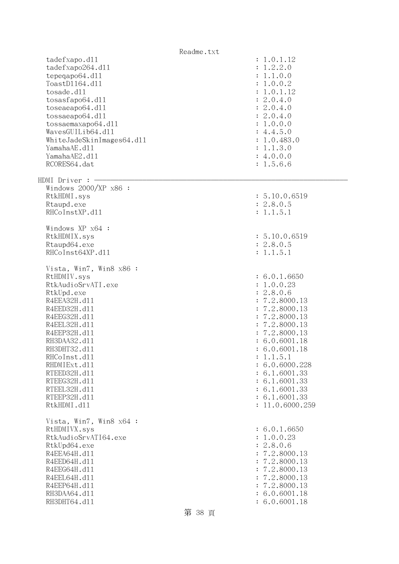Readme.txt tadefxapo.dl1 : 1.0.1.12 tadefxapo264.dll : 1.2.2.0 tepeqapo64.dll : 1.1.0.0 ToastDll64.dll : 1.0.0.2 tosade.dll : 1.0.1.12 tosasfapo64.dll : 2.0.4.0 toseaeapo64.dl1 : 2.0.4.0 tossaeapo64.dll : 2.0.4.0 tossaemaxapo64.dll : 1.0.0.0  $Waves GUILib64. d11$  :  $4.4.5.0$ WhiteJadeSkinImages64.dll : 1.0.483.0 YamahaAE.dll : 1.1.3.0 YamahaAE2.dll : 4.0.0.0 RCORES64.dat : 1.5.6.6  $HDMI$  Driver :  $-$  Windows 2000/XP x86 : RtkHDMI.sys : 5.10.0.6519 Rtaupd.exe : 2.8.0.5 RHCoInstXP.d11 : 1.1.5.1 Windows XP x64 : RtkHDMIX.sys : 5.10.0.6519 Rtaupd64.exe : 2.8.0.5 RHCoInst64XP.d11 : 1.1.5.1 Vista, Win7, Win8 x86 : RtHDMIV.sys : 6.0.1.6650 RtkAudioSrvATI.exe : 1.0.0.23 RtkUpd.exe : 2.8.0.6 R4EEA32H.d11 : 7.2.8000.13 R4EED32H.d11 : 7.2.8000.13 R4EEG32H.d11 : 7.2.8000.13 R4EEL32H.d11 : 7.2.8000.13 R4EEP32H.d11 : 7.2.8000.13 RH3DAA32.d11 : 6.0.6001.18 RH3DHT32.d11 : 6.0.6001.18 RHCoInst.d11 : 1.1.5.1 RHDMIExt.d11 : 6.0.6000.228 RTEED32H.d11 : 6.1.6001.33 RTEEG32H.d11 : 6.1.6001.33 RTEEL32H.d11 : 6.1.6001.33 RTEEP32H.d11 : 6.1.6001.33 RtkHDMI.d11 : 11.0.6000.259 Vista, Win7, Win8 x64 : RtHDMIVX.sys : 6.0.1.6650 RtkAudioSrvATI64.exe : 1.0.0.23 RtkUpd64.exe : 2.8.0.6 R4EEA64H.d11 : 7.2.8000.13 R4EED64H.d11 : 7.2.8000.13 R4EEG64H.d11 : 7.2.8000.13 R4EEL64H.d11 : 7.2.8000.13 R4EEP64H.d11 : 7.2.8000.13 RH3DAA64.d11 : 6.0.6001.18 RH3DHT64.d11 : 6.0.6001.18

第 38 頁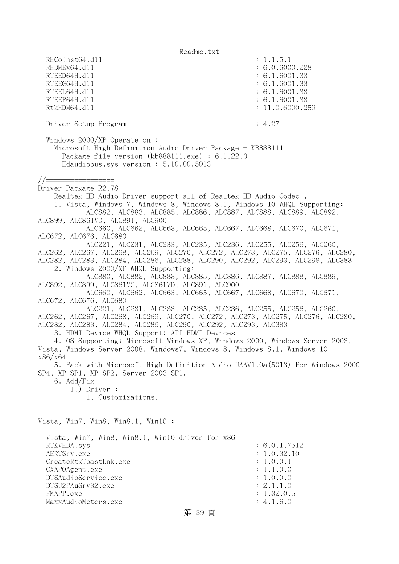RHCoInst64.d11 : 1.1.5.1 RHDMEx64.d11 : 6.0.6000.228 RTEED64H.d11 : 6.1.6001.33 RTEEG64H.d11 : 6.1.6001.33 RTEEL64H.d11 : 6.1.6001.33 RTEEP64H.dl1 : 6.1.6001.33 RtkHDM64.dll : 11.0.6000.259 Driver Setup Program : 4.27 Windows 2000/XP Operate on : Microsoft High Definition Audio Driver Package - KB888111 Package file version (kb888111.exe) : 6.1.22.0 Hdaudiobus.sys version : 5.10.00.5013 //================= Driver Package R2.78 Realtek HD Audio Driver support all of Realtek HD Audio Codec . 1. Vista, Windows 7, Windows 8, Windows 8.1, Windows 10 WHQL Supporting: ALC882, ALC883, ALC885, ALC886, ALC887, ALC888, ALC889, ALC892, ALC899, ALC861VD, ALC891, ALC900 ALC660, ALC662, ALC663, ALC665, ALC667, ALC668, ALC670, ALC671, ALC672, ALC676, ALC680 ALC221, ALC231, ALC233, ALC235, ALC236, ALC255, ALC256, ALC260, ALC262, ALC267, ALC268, ALC269, ALC270, ALC272, ALC273, ALC275, ALC276, ALC280, ALC282, ALC283, ALC284, ALC286, ALC288, ALC290, ALC292, ALC293, ALC298, ALC383 2. Windows 2000/XP WHQL Supporting: ALC880, ALC882, ALC883, ALC885, ALC886, ALC887, ALC888, ALC889, ALC892, ALC899, ALC861VC, ALC861VD, ALC891, ALC900 ALC660, ALC662, ALC663, ALC665, ALC667, ALC668, ALC670, ALC671, ALC672, ALC676, ALC680 ALC221, ALC231, ALC233, ALC235, ALC236, ALC255, ALC256, ALC260, ALC262, ALC267, ALC268, ALC269, ALC270, ALC272, ALC273, ALC275, ALC276, ALC280, ALC282, ALC283, ALC284, ALC286, ALC290, ALC292, ALC293, ALC383 3. HDMI Device WHQL Support: ATI HDMI Devices 4. OS Supporting: Microsoft Windows XP, Windows 2000, Windows Server 2003, Vista, Windows Server 2008, Windows7, Windows 8, Windows 8.1, Windows 10 x86/x64 5. Pack with Microsoft High Definition Audio UAAV1.0a(5013) For Windows 2000 SP4, XP SP1, XP SP2, Server 2003 SP1. 6. Add/Fix 1.) Driver : 1. Customizations. Vista, Win7, Win8, Win8.1, Win10 : -------------------------------------------------------- Vista, Win7, Win8, Win8.1, Win10 driver for x86 RTKVHDA.sys : 6.0.1.7512 AERTSrv.exe : 1.0.32.10 CreateRtkToastLnk.exe : 1.0.0.1 CXAPOAgent.exe : 1.1.0.0 DTSAudioService.exe : 1.0.0.0 DTSU2PAuSrv32.exe : 2.1.1.0 FMAPP.exe : 1.32.0.5 MaxxAudioMeters.exe : 4.1.6.0

## 第 39 頁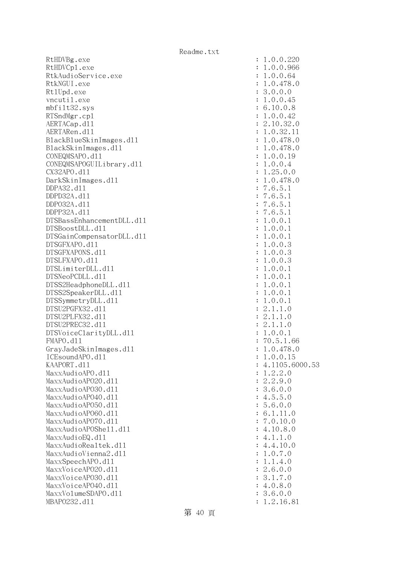RtHDVBg.exe : 1.0.0.220 RtHDVCp1.exe : 1.0.0.966 RtkAudioService.exe : 1.0.0.64 RtkNGUI.exe : 1.0.478.0 RtlUpd.exe : 3.0.0.0 vncutil.exe : 1.0.0.45 mbfilt32.sys : 6.10.0.8 RTSndMgr.cp1 : 1.0.0.42 AERTACap.d11 : 2.10.32.0 AERTARen.d11 : 1.0.32.11 : 1.0.32.11 BlackBlueSkinImages.dll : 1.0.478.0 BlackSkinImages.dll : 1.0.478.0 CONEQMSAPO.dll : 1.0.0.19 CONEQMSAPOGUILibrary.dll : 1.0.0.4 CX32APO.dll : 1.25.0.0 DarkSkinImages.dll : 1.0.478.0 DDPA32.dll : 7.6.5.1 DDPD32A.dll : 7.6.5.1 DDPO32A.dll : 7.6.5.1 DDPP32A.dll : 7.6.5.1 DTSBassEnhancementDLL.dl1  $\qquad \qquad \qquad : 1.0.0.1$  DTSBoostDLL.dll : 1.0.0.1 DTSGainCompensatorDLL.dll  $\qquad \qquad$  : 1.0.0.1 DTSGFXAPO.dll : 1.0.0.3 DTSGFXAPONS.dll : 1.0.0.3 DTSLFXAPO.dll : 1.0.0.3  $DTSLimiterDLL. d11$  :  $1.0.0.1$  $DTSNeoPCDLL. d11$  :  $1.0.0.1$ DTSS2HeadphoneDLL.d11 : 1.0.0.1 DTSS2SpeakerDLL.dll : 1.0.0.1 DTSSymmetryDLL.dll : 1.0.0.1 DTSU2PGFX32.dll : 2.1.1.0 DTSU2PLFX32.dll : 2.1.1.0 DTSU2PREC32.dll : 2.1.1.0 DTSVoiceClarityDLL.dl1 : 1.0.0.1 FMAPO.dll : 70.5.1.66 GrayJadeSkinImages.dll : 1.0.478.0  $ICEsoundAPO. d11$  :  $1.0.0.15$  KAAPORT.dll : 4.1105.6000.53 MaxxAudioAPO.dll : 1.2.2.0 MaxxAudioAPO20.dll : 2.2.9.0 MaxxAudioAPO30.dll : 3.6.0.0 MaxxAudioAPO40.dl1 : 4.5.5.0 MaxxAudioAPO50.dll : 5.6.0.0 MaxxAudioAPO60.dll : 6.1.11.0 MaxxAudioAPO70.dll : 7.0.10.0 MaxxAudioAPOShe11.dl1 : 4.10.8.0  $\text{MaxAudioEQ}.d11$  : 4.1.1.0  $\text{MaxAudioRealtek}.d11$  : 4.4.10.0 MaxxAudioVienna2.dl1 : 1.0.7.0 MaxxSpeechAPO.dl1 : 1.1.4.0 MaxxVoiceAP020.dll : 2.6.0.0 MaxxVoiceAP030.dl1 : 3.1.7.0 MaxxVoiceAPO40.dl1 : 4.0.8.0 MaxxVolumeSDAPO.dll : 3.6.0.0 MBAPO232.d11 : 1.2.16.81

第 40 頁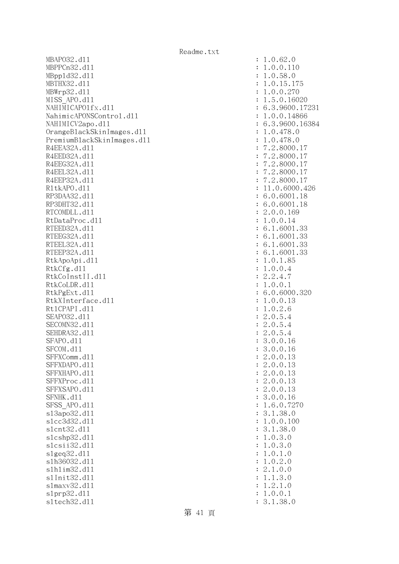MBAPO32.d11 : 1.0.62.0 MBPPCn32.d11 : 1.0.0.110 MBppld32.dll : 1.0.58.0 MBTHX32.d11 : 1.0.15.175 MBWrp32.dll : 1.0.0.270 MISS APO.d11 : 1.5.0.16020 NAHIMICAPO1fx.d11 : 6.3.9600.17231 NahimicAPONSControl.dl1 : 1.0.0.14866 NAHIMICV2apo.dll : 6.3.9600.16384 OrangeBlackSkinImages.dll : 1.0.478.0 PremiumBlackSkinImages.dll : 1.0.478.0 R4EEA32A.d11 : 7.2.8000.17 R4EED32A.d11 : 7.2.8000.17 R4EEG32A.d11 : 7.2.8000.17 R4EEL32A.d11 : 7.2.8000.17 R4EEP32A.d11 : 7.2.8000.17 R1tkAPO.d11 : 11.0.6000.426 RP3DAA32.d11 : 6.0.6001.18 RP3DHT32.d11 : 6.0.6001.18 RTCOMDLL.d11 : 2.0.0.169 RtDataProc.dl1 : 1.0.0.14 RTEED32A.d11 : 6.1.6001.33 RTEEG32A.d11 : 6.1.6001.33 RTEEL32A.d11 : 6.1.6001.33 RTEEP32A.d11 : 6.1.6001.33 RtkApoApi.dl1 : 1.0.1.85 RtkCfg.dl 1 : 1.0.0.4  $R$ tkCoInstII.dl1 : 2.2.4.7 RtkCoLDR.d11 : 1.0.0.1 RtkPgExt.dll : 6.0.6000.320 RtkXInterface.dl1 : 1.0.0.13 RtlCPAPI.dll : 1.0.2.6 SEAPO32.d11 : 2.0.5.4 SECOMN32.d11 : 2.0.5.4 SEHDRA32.d11 : 2.0.5.4 SFAPO.d11 : 3.0.0.16 SFCOM.d11 : 3.0.0.16 SFFXComm.d11 : 2.0.0.13 SFFXDAPO.d11 : 2.0.0.13 SFFXHAPO.d11 : 2.0.0.13 SFFXProc.d11 : 2.0.0.13 SFFXSAPO.d11 : 2.0.0.13 SFNHK.d11 : 3.0.0.16 SFSS APO.d11 : 1.6.0.7270 sl3apo32.dll : 3.1.38.0 slcc3d32.dll : 1.0.0.100 slcnt32.dll : 3.1.38.0 slcshp32.dll : 1.0.3.0 slcsii32.dll : 1.0.3.0 slgeq32.dll : 1.0.1.0 slh36032.dll : 1.0.2.0 slhlim32.dll : 2.1.0.0 slInit32.dll : 1.1.3.0 slmaxv32.dll : 1.2.1.0 slprp32.dll : 1.0.0.1 sltech32.dll : 3.1.38.0

第 41 頁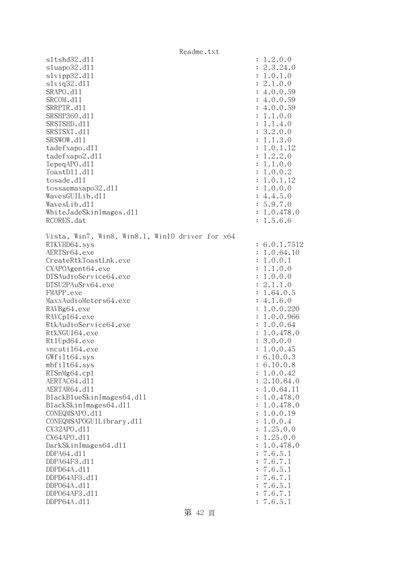Readme.txt sltshd32.dll : 1.2.0.0 sluapo32.dll : 2.3.24.0 slvipp32.dll : 1.0.1.0 slviq32.dll : 2.1.0.0 SRAPO.d11 : 4.0.0.59 SRCOM.d11 : 4.0.0.59 SRRPTR.d11 : 4.0.0.59 SRSHP360.d11 : 1.1.0.0 SRSTSHD.d11 : 1.1.4.0 SRSTSXT.d11 : 3.2.0.0 SRSWOW.d11 : 1.1.3.0 tadefxapo.dl1 : 1.0.1.12 tadefxapo2.dll : 1.2.2.0 TepeqAPO.dll : 1.1.0.0 ToastDll.dll : 1.0.0.2 tosade.dll : 1.0.1.12 tossaemaxapo32.dll : 1.0.0.0  $Waves GULib. d11$  : 4.4.5.0 WavesLib.dll : 5.9.7.0 WhiteJadeSkinImages.dll  $\cdot$  1.0.478.0 RCORES.dat : 1.5.6.6 Vista, Win7, Win8, Win8.1, Win10 driver for x64 RTKVHD64.sys : 6.0.1.7512 AERTSr64.exe : 1.0.64.10 CreateRtkToastLnk.exe : 1.0.0.1 CXAPOAgent64.exe : 1.1.0.0 DTSAudioService64.exe : 1.0.0.0 DTSU2PAuSrv64.exe : 2.1.1.0 FMAPP.exe : 1.64.0.5 MaxxAudioMeters64.exe : 4.1.6.0 RAVBg64.exe : 1.0.0.220 RAVCp164.exe : 1.0.0.966 RtkAudioService64.exe : 1.0.0.64 RtkNGUI64.exe : 1.0.478.0 Rt1Upd64.exe : 3.0.0.0 vncuti164.exe : 1.0.0.45 GWfilt64.sys : 6.10.0.3 mbfilt64.sys : 6.10.0.8 RTSnMg64.cp1 : 1.0.0.42 AERTAC64.d11 : 2.10.64.0 AERTAR64.d11 : 1.0.64.11 BlackBlueSkinImages64.dll : 1.0.478.0 BlackSkinImages64.dll : 1.0.478.0 CONEQMSAPO.dll : 1.0.0.19 CONEQMSAPOGUILibrary.dll : 1.0.0.4 CX32APO.dll : 1.25.0.0 CX64APO.dll : 1.25.0.0 DarkSkinImages64.dll : 1.0.478.0 DDPA64.dll : 7.6.5.1 DDPA64F3.dll : 7.6.7.1 DDPD64A.dll : 7.6.5.1 DDPD64AF3.dll : 7.6.7.1 DDPO64A.dll : 7.6.5.1 DDPO64AF3.dll : 7.6.7.1 DDPP64A.dll : 7.6.5.1

第 42 頁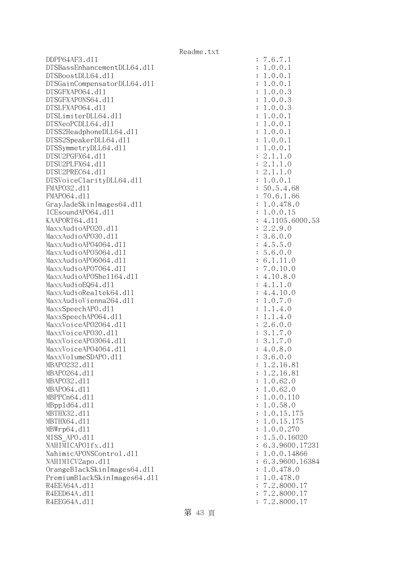DDPP64AF3.dll : 7.6.7.1 DTSBassEnhancementDLL64.dll : 1.0.0.1 DTSBoostDLL64.dll : 1.0.0.1 DTSGainCompensatorDLL64.dll : 1.0.0.1 DTSGFXAPO64.dll : 1.0.0.3 DTSGFXAPONS64.dll : 1.0.0.3 DTSLFXAPO64.dll : 1.0.0.3 DTSLimiterDLL64.dll : 1.0.0.1  $DTSNeoPCDLL64. d11$  :  $1.0.0.1$ DTSS2HeadphoneDLL64.dl1 : 1.0.0.1 DTSS2SpeakerDLL64.dl1 : 1.0.0.1  $DTSSymmetryDLL64. d11$  :  $1.0.0.1$  $DTSU2PGFX64. d11$  :  $2.1.1.0$  DTSU2PLFX64.dll : 2.1.1.0 DTSU2PREC64.d11 : 2.1.1.0 DTSVoiceClarityDLL64.dll : 1.0.0.1 FMAPO32.dll : 50.5.4.68 FMAP064.d11 : 70.6.1.66 GrayJadeSkinImages64.dll : 1.0.478.0 ICEsoundAPO64.dll : 1.0.0.15 KAAPORT64.d11 : 4.1105.6000.53 MaxxAudioAPO20.dll : 2.2.9.0 MaxxAudioAPO30.dll : 3.6.0.0 MaxxAudioAP04064.dl1 : 4.5.5.0 MaxxAudioAP05064.dll : 5.6.0.0 MaxxAudioAPO6064.dll : 6.1.11.0  $\text{MaxAudio}$ APO7064.dll  $\ddot{1}$   $\ddot{1}$   $\ddot{1}$   $\ddot{2}$   $\ddot{2}$   $\ddot{3}$   $\ddot{4}$   $\ddot{1}$   $\ddot{1}$   $\ddot{2}$   $\ddot{3}$   $\ddot{1}$   $\ddot{2}$   $\ddot{3}$   $\ddot{4}$   $\ddot{2}$   $\ddot{3}$   $\ddot{4}$   $\ddot{2}$   $\ddot{3}$   $\ddot{4}$   $\ddot{2}$   $\text{MaxAudio}$ APOShe $1164.$ dll  $\text{maxAudio}$ APOShe $1164.$ dll  $\text{maxAudio}$  $MaxAudioEQ64. d11$  : 4.1.1.0 MaxxAudioRealtek64.dll : 4.4.10.0 MaxxAudioVienna264.dll : 1.0.7.0 MaxxSpeechAPO.d11 : 1.1.4.0 MaxxSpeechAP064.d11 : 1.1.4.0 MaxxVoiceAP02064.dl1 : 2.6.0.0 MaxxVoiceAPO30.dll : 3.1.7.0 MaxxVoiceAP03064.dll : 3.1.7.0 MaxxVoiceAPO4064.dll : 4.0.8.0  $\text{MaxVO1umeSDAPO. d11}$  : 3.6.0.0 MBAPO232.d11 : 1.2.16.81 MBAPO264.d11 : 1.2.16.81 MBAPO32.dll : 1.0.62.0 MBAP064.d11 : 1.0.62.0 MBPPCn64.dl1 : 1.0.0.110 MBpp1d64.d11 : 1.0.58.0 MBTHX32.d11 : 1.0.15.175 MBTHX64.d11 : 1.0.15.175 MBWrp64.dll : 1.0.0.270 MISS APO.d11 : 1.5.0.16020 NAHIMICAPO1fx.d11 : 6.3.9600.17231 NahimicAPONSControl.dl1 : 1.0.0.14866 NAHIMICV2apo.d11 : 6.3.9600.16384 OrangeBlackSkinImages64.dll : 1.0.478.0 PremiumBlackSkinImages64.dll : 1.0.478.0 R4EEA64A.d11 : 7.2.8000.17 R4EED64A.d11 : 7.2.8000.17 R4EEG64A.d11 : 7.2.8000.17

第 43 頁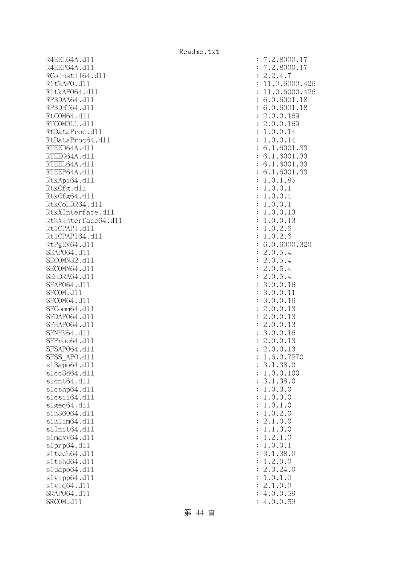R4EEL64A.d11 R4EEP64A.d11 RCoInstII64.dl1 R1tkAPO.d11 : 11.0.6000.426 R1tkAP064.d11 : 11.0.6000.426 RP3DAA64.d11 RP3DHT64.d11 RtCOM64.d11 RTCOMDLL.d11 RtDataProc.dl1 RtDataProc64.dll RTEED64A.d11 RTEEG64A.dl1 RTEEL64A.d11 RTEEP64A.d11 RtkApi64.dl1 RtkCfg.dll RtkCfg64.dl1 RtkCoLDR64.d11 RtkXInterface.d11 RtkXInterface64.dl1 Rt1CPAPI.d11 Rt1CPAPI64.d11 RtPgEx64.dl1 SEAP064.d11 SECOMN32.d11 SECOMN64.d11 SEHDRA64.d11 SFAP064.dl1 SFCOM.d11 SFCOM64.d11 SFComm64.dl1 SFDAP064.d11 SFHAP064.d11 SFNHK64.d11 SFProc64.d11 SFSAP064.dl1 SFSS APO.dl1 s13apo64.dl1 slcc3d64.dl1 s1cnt64.d11 slcshp64.dll slcsii64.dll slgeq $64$ .dll slh36064.dl1 slhlim64.dll s1Init64.d11 slmaxv64.dl1 s1prp64.dl1 s1tech64.dl1 sltshd64.dl1 sluapo64.dl1  $s1$ vipp $64. d11$ slviq64.dll SRAP064.d11 SRCOM.d11

| $\ddot{\cdot}$                   | 2.8000.17                                                                                                                         |
|----------------------------------|-----------------------------------------------------------------------------------------------------------------------------------|
| $\ddot{\cdot}$                   | 2.8000.17                                                                                                                         |
| $\ddot{\cdot}$                   | $\overline{c}$<br>$\ddot{\phantom{a}}$<br>.4.7<br>$\overline{c}$                                                                  |
| $\ddot{\cdot}$                   | 1.0.6000.426<br>$\mathbf 1$                                                                                                       |
| $\ddot{\cdot}$                   | 1.0.6000.426<br>$\mathbf 1$                                                                                                       |
| $\ddot{\cdot}$                   | .0.6001.<br>6<br>18                                                                                                               |
| $\ddot{\cdot}$                   | .0.6001.18<br>6                                                                                                                   |
| $\ddot{\cdot}$                   | .0.0.169<br>$\overline{c}$                                                                                                        |
| $\ddot{\cdot}$                   | .0.0.169<br>$\overline{c}$                                                                                                        |
| $\ddot{\cdot}$                   | .0.0.14<br>$\mathbf 1$<br>.0.0.14                                                                                                 |
| $\ddot{\cdot}$<br>$\ddot{\cdot}$ | 1<br>6.<br>1.6001.33                                                                                                              |
| $\ddot{\cdot}$                   | $\mathbf{1}$<br>6.<br>.6001.33                                                                                                    |
| $\ddot{\cdot}$                   | .6001.33<br>$\mathbf{1}$<br>6.                                                                                                    |
| $\ddot{\cdot}$                   | 6.1.6001.33                                                                                                                       |
| $\ddot{\cdot}$                   | .0.1.85<br>1                                                                                                                      |
| $\ddot{\cdot}$                   | .0.0.1<br>1                                                                                                                       |
| $\ddot{\cdot}$                   | .0.0.4<br>1                                                                                                                       |
| $\ddot{\cdot}$                   | .0.0.1<br>1                                                                                                                       |
| $\ddot{\cdot}$                   | 13<br>.0.0.<br>1                                                                                                                  |
| $\ddot{\cdot}$                   | .0.0.13<br>1                                                                                                                      |
| $\ddot{\cdot}$                   | .0.2.6<br>1                                                                                                                       |
| $\ddot{\cdot}$                   | .0.2.6<br>1                                                                                                                       |
| $\ddot{\cdot}$                   | 6.0.6000.320                                                                                                                      |
| $\ddot{\cdot}$                   | .0.5.4<br>$\overline{c}$                                                                                                          |
| $\ddot{\cdot}$                   | $\overline{c}$                                                                                                                    |
| $\ddot{\cdot}$                   | $0.5.4$<br>$0.5.4$<br>$0.5.4$<br>$0.5.4$<br>$\overline{c}$                                                                        |
| $\ddot{\cdot}$                   | $\overline{c}$                                                                                                                    |
| $\ddot{\cdot}$<br>$\ddot{\cdot}$ | 3.0.0.16<br>3.0.0.11                                                                                                              |
| $\ddot{\cdot}$                   | 16<br>3.0.0.                                                                                                                      |
| $\ddot{\cdot}$                   | 13<br>$\overline{c}$<br>.0.0.                                                                                                     |
| $\ddot{\cdot}$                   | .0.0.<br>$\overline{c}$<br>13                                                                                                     |
| $\ddot{\cdot}$                   | .0.0.<br>$\overline{c}$<br>13                                                                                                     |
| $\ddot{\cdot}$                   | 3.0.0.<br>16                                                                                                                      |
| $\ddot{\cdot}$                   | $\overline{c}$<br>.0.0.<br>13                                                                                                     |
| $\ddot{\cdot}$                   | $\overline{c}$<br>.0.0.<br>13                                                                                                     |
| $\ddot{\cdot}$                   | $\cdot$ 6<br>.0.7270<br>1                                                                                                         |
| $\ddot{\cdot}$                   | .1.38.0<br>3                                                                                                                      |
| $\ddot{\cdot}$                   | $\ddot{\phantom{a}}$<br>0.0.<br>100<br>1                                                                                          |
| $\ddot{\cdot}$                   | 38.0<br>$\cdot$ 1.<br>3                                                                                                           |
| $\ddot{\cdot}$                   | 0.3.0<br>$\ddot{\phantom{a}}$<br>1                                                                                                |
| $\vdots$                         | $\overline{0}$ .<br>$\begin{array}{c} 3 \\ 1 \\ 2 \end{array}$<br>$\ddot{\phantom{a}}$<br>$\cdot$ 0<br>1                          |
| $\ddot{\cdot}$                   | $\cdot$ <sup>0</sup><br>$\ddot{\phantom{a}}$<br>$\overline{0}$ .<br>1<br>$\ddot{\phantom{0}}$<br>$\ddot{\phantom{a}}$             |
| $\ddot{\cdot}$                   | $\cdot$ <sup>0</sup><br>1<br>$\mathcal{O}$<br>$\overline{c}$<br>.0.0                                                              |
| $\ddot{\cdot}$<br>$\ddot{\cdot}$ | $\ddot{\phantom{0}}$<br>$\frac{1}{1}$<br>$\ddot{\phantom{0}}$<br>$\ddot{\phantom{a}}$<br>3<br>$\cdot$ <sup>0</sup><br>$\mathbf 1$ |
| $\ddot{\cdot}$                   | .1.0<br>$\overline{c}$<br>$\ddot{\phantom{a}}$<br>1                                                                               |
| $\ddot{\cdot}$                   | $\ddot{\phantom{a}}$<br>$\ddot{\phantom{a}}$<br>$\overline{0}$ .<br>1<br>$\mathcal{O}$<br>$\mathbf 1$                             |
| $\ddot{\cdot}$                   | 38.0<br>$\ddot{\phantom{0}}$<br>3<br>$\cdot$ 1                                                                                    |
| $\ddot{\cdot}$                   | $\overline{c}$<br>$\overline{a}$<br>$\ddot{\phantom{a}}$<br>0.0<br>1                                                              |
| $\ddot{\cdot}$                   | $\overline{c}$<br>$\ddot{\phantom{a}}$<br>3.<br>24.0                                                                              |
| $\ddot{\cdot}$                   | 0.1.0<br>$\overline{a}$<br>1                                                                                                      |
| $\ddot{\cdot}$                   | $\overline{c}$<br>.0.0<br>$\ddot{\phantom{a}}$<br>$\mathbf{1}$                                                                    |
| $\ddot{\cdot}$                   | 4.0.0.<br>59                                                                                                                      |
| $\ddot{\cdot}$                   | 4.0.0.59                                                                                                                          |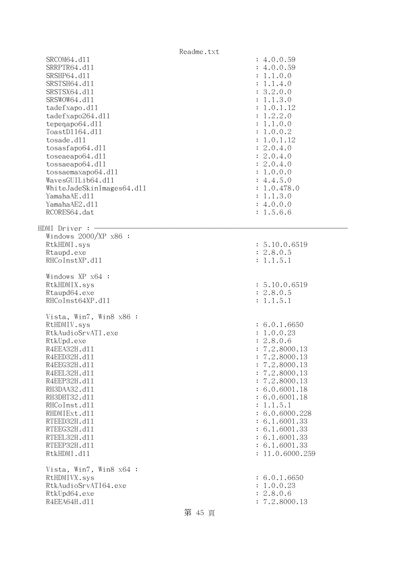|                                                                                                                                                                                                                                                                                                                                    | Readme.txt                                                                                                                                                                                                                                                                                                   |  |
|------------------------------------------------------------------------------------------------------------------------------------------------------------------------------------------------------------------------------------------------------------------------------------------------------------------------------------|--------------------------------------------------------------------------------------------------------------------------------------------------------------------------------------------------------------------------------------------------------------------------------------------------------------|--|
| SRCOM64.d11<br>SRRPTR64.d11<br>SRSHP64.d11<br>SRSTSH64.d11<br>SRSTSX64.d11<br>SRSWOW64.d11<br>tadefxapo.dl1<br>tadefxapo264.dl1<br>tepeqapo64.dl1<br>ToastD1164.d11<br>tosade.d11<br>tosasfapo64.dll<br>toseaeapo64.d11<br>tossaeapo64.dl1<br>tossaemaxapo64.dl1<br>WavesGUILib64.dl1<br>WhiteJadeSkinImages64.dll<br>YamahaAE.d11 | : 4.0.0.59<br>: 4.0.0.59<br>: 1.1.0.0<br>: 1.1.4.0<br>: 3.2.0.0<br>: 1.1.3.0<br>: 1.0.1.12<br>: 1.2.2.0<br>: 1.1.0.0<br>: 1.0.0.2<br>: 1.0.1.12<br>: 2.0.4.0<br>: 2.0.4.0<br>: 2.0.4.0<br>: 1.0.0.0<br>: 4.4.5.0<br>: 1.0.478.0<br>: 1.1.3.0                                                                 |  |
| YamahaAE2.d11                                                                                                                                                                                                                                                                                                                      | : 4.0.0.0                                                                                                                                                                                                                                                                                                    |  |
| RCORES64.dat<br><code>HDMI</code> Driver : $-$                                                                                                                                                                                                                                                                                     | : 1.5.6.6                                                                                                                                                                                                                                                                                                    |  |
| Windows $2000/XP$ x86 :<br>RtkHDMI.sys<br>Rtaupd.exe<br>RHCoInstXP.d11                                                                                                                                                                                                                                                             | : 5.10.0.6519<br>: 2.8.0.5<br>: 1.1.5.1                                                                                                                                                                                                                                                                      |  |
| Windows XP x64 :<br>RtkHDMIX.sys<br>Rtaupd64.exe<br>RHCoInst64XP.d11                                                                                                                                                                                                                                                               | : 5.10.0.6519<br>: 2.8.0.5<br>: 1.1.5.1                                                                                                                                                                                                                                                                      |  |
| Vista, Win7, Win8 x86 :<br>RtHDMIV.sys<br>RtkAudioSrvATI.exe<br>RtkUpd.exe<br>R4EEA32H.d11<br>R4EED32H.d11<br>R4EEG32H.d11<br>R4EEL32H.d11<br>R4EEP32H.d11<br>RH3DAA32.d11<br>RH3DHT32.d11<br>RHCoInst.d11<br>RHDMIExt.d11<br>RTEED32H.d11<br>RTEEG32H.d11<br>RTEEL32H.d11<br>RTEEP32H.d11<br>RtkHDMI.d11                          | : 6.0.1.6650<br>: 1.0.0.23<br>: 2.8.0.6<br>7.2.8000.13<br>7.2.8000.13<br>7.2.8000.13<br>7.2.8000.13<br>7.2.8000.13<br>$\ddot{\cdot}$<br>: 6.0.6001.18<br>: 6.0.6001.18<br>1.1.5.1<br>$\ddot{\cdot}$<br>: 6.0.6000.228<br>: 6.1.6001.33<br>: 6.1.6001.33<br>: 6.1.6001.33<br>: 6.1.6001.33<br>: 11.0.6000.259 |  |
| Vista, Win7, Win8 x64 :<br>RtHDMIVX.sys<br>RtkAudioSrvATI64.exe<br>RtkUpd64.exe<br>R4EEA64H.d11                                                                                                                                                                                                                                    | : 6.0.1.6650<br>: 1.0.0.23<br>: 2.8.0.6<br>: 7.2.8000.13<br>第 45 頁                                                                                                                                                                                                                                           |  |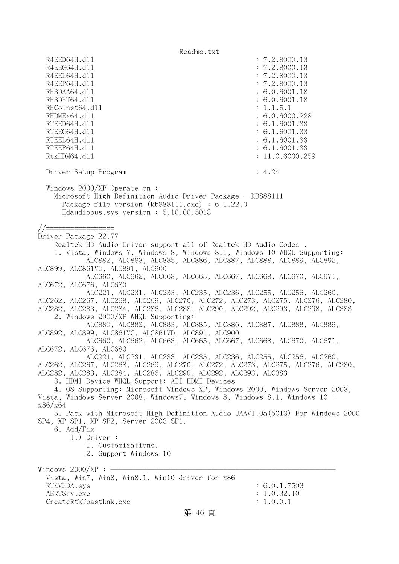R4EED64H.dl1 : 7.2.8000.13 R4EEG64H.d11 : 7.2.8000.13 R4EEL64H.d11 : 7.2.8000.13 R4EEP64H.d11 : 7.2.8000.13 RH3DAA64.d11 : 6.0.6001.18

RH3DHT64.d11 : 6.0.6001.18 RHCoInst64.d11 : 1.1.5.1 RHDMEx64.d11 : 6.0.6000.228 RTEED64H.dl1 : 6.1.6001.33 RTEEG64H.d11 : 6.1.6001.33 RTEEL64H.d11 : 6.1.6001.33 RTEEP64H.d11 : 6.1.6001.33 RtkHDM64.d11 : 11.0.6000.259 Driver Setup Program : 4.24 Windows 2000/XP Operate on : Microsoft High Definition Audio Driver Package - KB888111 Package file version (kb888111.exe) : 6.1.22.0 Hdaudiobus.sys version : 5.10.00.5013 //================= Driver Package R2.77 Realtek HD Audio Driver support all of Realtek HD Audio Codec . 1. Vista, Windows 7, Windows 8, Windows 8.1, Windows 10 WHQL Supporting: ALC882, ALC883, ALC885, ALC886, ALC887, ALC888, ALC889, ALC892, ALC899, ALC861VD, ALC891, ALC900 ALC660, ALC662, ALC663, ALC665, ALC667, ALC668, ALC670, ALC671, ALC672, ALC676, ALC680 ALC221, ALC231, ALC233, ALC235, ALC236, ALC255, ALC256, ALC260, ALC262, ALC267, ALC268, ALC269, ALC270, ALC272, ALC273, ALC275, ALC276, ALC280,

ALC282, ALC283, ALC284, ALC286, ALC288, ALC290, ALC292, ALC293, ALC298, ALC383 2. Windows 2000/XP WHQL Supporting:

 ALC880, ALC882, ALC883, ALC885, ALC886, ALC887, ALC888, ALC889, ALC892, ALC899, ALC861VC, ALC861VD, ALC891, ALC900

 ALC660, ALC662, ALC663, ALC665, ALC667, ALC668, ALC670, ALC671, ALC672, ALC676, ALC680

 ALC221, ALC231, ALC233, ALC235, ALC236, ALC255, ALC256, ALC260, ALC262, ALC267, ALC268, ALC269, ALC270, ALC272, ALC273, ALC275, ALC276, ALC280, ALC282, ALC283, ALC284, ALC286, ALC290, ALC292, ALC293, ALC383

3. HDMI Device WHQL Support: ATI HDMI Devices

 4. OS Supporting: Microsoft Windows XP, Windows 2000, Windows Server 2003, Vista, Windows Server 2008, Windows7, Windows 8, Windows 8.1, Windows  $10$ x86/x64

 5. Pack with Microsoft High Definition Audio UAAV1.0a(5013) For Windows 2000 SP4, XP SP1, XP SP2, Server 2003 SP1.

6. Add/Fix

1.) Driver :

 1. Customizations. 2. Support Windows 10

Windows  $2000/XP:$  -

| Vista, Win7, Win8, Win8.1, Win10 driver for x86 |              |
|-------------------------------------------------|--------------|
| RTKVHDA.svs                                     | : 6.0.1.7503 |
| AERTSrv.exe                                     | : 1.0.32.10  |
| CreateRtkToastLnk.exe                           | : 1.0.0.1    |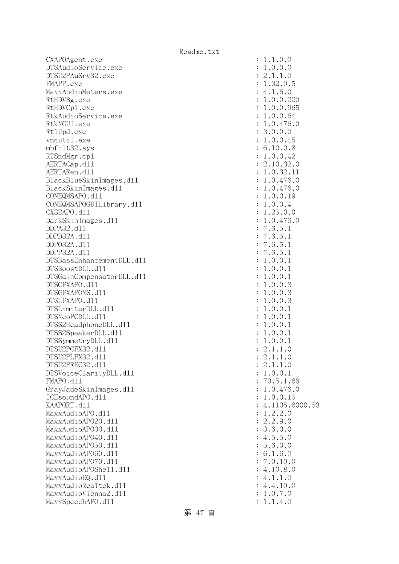CXAPOAgent.exe DTSAudioService.exe DTSU2PAuSrv32.exe FMAPP.exe MaxxAudioMeters.exe RtHDVBg.exe RtHDVCp1.exe RtkAudioService.exe RtkNGUI.exe Rt1Upd.exe vncutil.exe  $mbf$ ilt $32$ .sys RTSndMgr.cp1 AERTACap.d11 AERTARen.d11 BlackBlueSkinImages.dll BlackSkinImages.dl1 CONEQMSAPO.d11 CONEQMSAPOGUILibrary.dll CX32APO.d11 DarkSkinImages.dl1 DDPA32.d11 DDPD32A.d11 DDP032A.d11 DDPP32A.d11 DTSBassEnhancementDLL.dl1 DTSBoostDLL.d11 DTSGainCompensatorDLL.dl1 DTSGFXAPO.d11 DTSGFXAPONS.d11 DTSLFXAPO.d11 DTSLimiterDLL.dl1 DTSNeoPCDLL.d11 DTSS2HeadphoneDLL.d11 DTSS2SpeakerDLL.dl1 DTSSymmetryDLL.dl1 DTSU2PGFX32.d11 DTSU2PLFX32.d11 DTSU2PREC32.d11 DTSVoiceClarityDLL.dl1 FMAPO.d11 GrayJadeSkinImages.dl1 ICEsoundAPO.d11 KAAPORT.d11 : 4.1105.6000.53 MaxxAudioAPO.dll MaxxAudioAP020.dll MaxxAudioAP030.dll MaxxAudioAPO40.dll MaxxAudioAP050.dll MaxxAudioAP060.dll MaxxAudioAPO70.dll MaxxAudioAPOShe11.dl1 MaxxAudioEQ.dll MaxxAudioRealtek.dll MaxxAudioVienna2.dll MaxxSpeechAPO.d11

| $\ddot{\cdot}$ | .0.0<br>1<br>$\mathbf{1}$                                                                                                                                                                                                                                                                                                                                  |
|----------------|------------------------------------------------------------------------------------------------------------------------------------------------------------------------------------------------------------------------------------------------------------------------------------------------------------------------------------------------------------|
| $\ddot{\cdot}$ | $\cdot$ 0<br>$\mathcal{O}$<br>1<br>$\mathcal{O}$                                                                                                                                                                                                                                                                                                           |
| $\ddot{\cdot}$ | $\cdot$ 0<br>$\ddot{\phantom{a}}$<br>$\overline{c}$<br>$\mathbf{1}$<br>$\mathbf{1}$                                                                                                                                                                                                                                                                        |
| $\ddot{\cdot}$ | $\ddot{\phantom{0}}$<br>$\mathbf 1$                                                                                                                                                                                                                                                                                                                        |
| $\ddot{\cdot}$ | $\frac{1}{0.5}$<br>6.0<br>$\frac{32}{1.6}$<br>$\ddot{\phantom{0}}$<br>$\overline{4}$                                                                                                                                                                                                                                                                       |
| $\ddot{\cdot}$ | $\ddot{\phantom{0}}$<br>220<br>1                                                                                                                                                                                                                                                                                                                           |
| $\ddot{\cdot}$ | $0.0.$<br>$0.0.$<br>965<br>64<br>$\ddot{\phantom{0}}$<br>$\mathbf 1$                                                                                                                                                                                                                                                                                       |
| $\ddot{\cdot}$ | 0.0.<br>$\ddot{\phantom{0}}$<br>$\mathbf 1$                                                                                                                                                                                                                                                                                                                |
| $\ddot{\cdot}$ | $.0.476.0$<br>$.0.0.0$<br>$.0.0.45$<br>1                                                                                                                                                                                                                                                                                                                   |
| $\ddot{\cdot}$ | 3                                                                                                                                                                                                                                                                                                                                                          |
| $\ddot{\cdot}$ | $\mathbf{1}$                                                                                                                                                                                                                                                                                                                                               |
| $\ddot{\cdot}$ | 10.0.8<br>$\ddot{\phantom{0}}$<br>6                                                                                                                                                                                                                                                                                                                        |
| $\ddot{\cdot}$ | 0.0.42<br>$\mathbf 1$                                                                                                                                                                                                                                                                                                                                      |
| $\ddot{\cdot}$ | 10.<br>32<br>$\overline{c}$<br>$\cdot$ <sup>0</sup>                                                                                                                                                                                                                                                                                                        |
| $\ddot{\cdot}$ | $.10.32$<br>$.0.32$<br>$.0.476$<br>$.0.476$<br>$\mathbf{1}$<br>$\mathbf{1}$<br>$\mathbf{1}$                                                                                                                                                                                                                                                                |
| $\ddot{\cdot}$ | $\ddot{\cdot}$<br>$\overline{O}$<br>$\mathbf 1$                                                                                                                                                                                                                                                                                                            |
| $\ddot{\cdot}$ | $\mathbf 1$<br>$\overline{0}$                                                                                                                                                                                                                                                                                                                              |
| $\ddot{\cdot}$ | .0.0.<br>$\mathbf{1}$<br>19                                                                                                                                                                                                                                                                                                                                |
| $\ddot{\cdot}$ | $0.0.4$<br>25.0.<br>$\ddot{\phantom{0}}$<br>$\mathbf{1}$                                                                                                                                                                                                                                                                                                   |
| $\ddot{\cdot}$ | $\cdot$ <sup>0</sup><br>$\mathbf{1}$                                                                                                                                                                                                                                                                                                                       |
| $\ddot{\cdot}$ | $\mathbf{1}$<br>$\cdot$ <sup>0</sup>                                                                                                                                                                                                                                                                                                                       |
| $\ddot{\cdot}$ | $\overline{7}$                                                                                                                                                                                                                                                                                                                                             |
| $\ddot{\cdot}$ | $.25.0$ .<br>$.25.0$ .<br>$.6.476$<br>$.6.5.1$<br>$.6.5.1$<br>$.6.5.1$<br>$.0.0.1$<br>$\overline{7}$                                                                                                                                                                                                                                                       |
| $\ddot{\cdot}$ | $\overline{7}$                                                                                                                                                                                                                                                                                                                                             |
| $\ddot{\cdot}$ | $\overline{7}$                                                                                                                                                                                                                                                                                                                                             |
| $\ddot{\cdot}$ | $\mathbf 1$                                                                                                                                                                                                                                                                                                                                                |
| $\ddot{\cdot}$ | $\ddot{\phantom{0}}$<br>$\frac{1}{1}$<br>$\cdot$ 0<br>$\cdot$ <sup>0</sup><br>$\mathbf 1$                                                                                                                                                                                                                                                                  |
| $\ddot{\cdot}$ | $\ddot{ }$ $\ddot{ }$ $\ddot{ }$ $\ddot{ }$ $\ddot{ }$ $\ddot{ }$ $\ddot{ }$ $\ddot{ }$ $\ddot{ }$ $\ddot{ }$ $\ddot{ }$ $\ddot{ }$ $\ddot{ }$ $\ddot{ }$ $\ddot{ }$ $\ddot{ }$ $\ddot{ }$ $\ddot{ }$ $\ddot{ }$ $\ddot{ }$ $\ddot{ }$ $\ddot{ }$ $\ddot{ }$ $\ddot{ }$ $\ddot{ }$ $\ddot{ }$ $\ddot{ }$ $\ddot{$<br>$\cdot$ 0<br>$\cdot$ 0<br>$\mathbf 1$ |
| $\ddot{\cdot}$ | $\cdot$ 0<br>3<br>$\cdot$ 0<br>1                                                                                                                                                                                                                                                                                                                           |
| $\ddot{\cdot}$ | $\cdot$ 0<br>$\ddot{\phantom{a}}$<br>3<br>$\overline{O}$<br>$\mathbf 1$                                                                                                                                                                                                                                                                                    |
| $\ddot{\cdot}$ | $\cdot$ 0<br>$\ddot{\phantom{a}}$<br>3111110<br>$\overline{O}$<br>$\mathbf 1$                                                                                                                                                                                                                                                                              |
| $\ddot{\cdot}$ | $\cdot$ 0<br>$\ddot{\phantom{a}}$<br>$\overline{O}$<br>$\mathbf 1$                                                                                                                                                                                                                                                                                         |
| $\ddot{\cdot}$ | $\ddot{\cdot}$<br>$\ddot{\phantom{a}}$<br>$\overline{O}$<br>$\overline{O}$<br>$\mathbf{1}$                                                                                                                                                                                                                                                                 |
| $\ddot{\cdot}$ | $\ddot{\phantom{0}}$<br>$\ddot{\phantom{a}}$<br>$\mathbf{1}$<br>$\overline{O}$<br>$\mathcal{O}$                                                                                                                                                                                                                                                            |
| $\ddot{\cdot}$ | $\ddot{\phantom{a}}$<br>$\ddot{\phantom{a}}$<br>$\overline{O}$<br>$\overline{O}$<br>$\mathbf{1}$                                                                                                                                                                                                                                                           |
| $\ddot{\cdot}$ | $\ddot{\phantom{0}}$<br>$\ddot{\phantom{0}}$<br>$\overline{a}$<br>$\mathbf 1$<br>$\overline{O}$<br>$\begin{matrix} 0 \\ 1 \end{matrix}$                                                                                                                                                                                                                    |
| $\ddot{\cdot}$ | $\overline{\phantom{a}}$<br>$^{-}_{2}$<br>$\ddot{\phantom{a}}$<br>$\overline{a}$<br>$\mathbf 1$                                                                                                                                                                                                                                                            |
| $\ddot{\cdot}$ | 2.1.1.0<br>2.1.1.0                                                                                                                                                                                                                                                                                                                                         |
| $\ddot{\cdot}$ |                                                                                                                                                                                                                                                                                                                                                            |
| $\ddot{\cdot}$ | .0.0.1<br>$\mathbf 1$                                                                                                                                                                                                                                                                                                                                      |
| $\ddot{\cdot}$ | 70.5.1.66                                                                                                                                                                                                                                                                                                                                                  |
| $\ddot{\cdot}$ | 1.0.476.0                                                                                                                                                                                                                                                                                                                                                  |
| $\ddot{\cdot}$ | 1.0.0.15                                                                                                                                                                                                                                                                                                                                                   |
| $\ddot{\cdot}$ | $4.1105.6000.5$<br>1.2.2.0                                                                                                                                                                                                                                                                                                                                 |
| $\ddot{\cdot}$ |                                                                                                                                                                                                                                                                                                                                                            |
| $\ddot{\cdot}$ | 2.2<br>.9.0                                                                                                                                                                                                                                                                                                                                                |
| $\ddot{\cdot}$ | 3.6<br>.0.0                                                                                                                                                                                                                                                                                                                                                |
| $\ddot{\cdot}$ |                                                                                                                                                                                                                                                                                                                                                            |
| $\ddot{\cdot}$ | $4.5.5.0$<br>$5.6.0.0$<br>$6.1.6.0$                                                                                                                                                                                                                                                                                                                        |
| $\ddot{\cdot}$ |                                                                                                                                                                                                                                                                                                                                                            |
| $\ddot{\cdot}$ | 7.0.10.0                                                                                                                                                                                                                                                                                                                                                   |
| $\ddot{\cdot}$ | 10.8.0<br>4.                                                                                                                                                                                                                                                                                                                                               |
| $\ddot{\cdot}$ | 4.1.<br>1.0                                                                                                                                                                                                                                                                                                                                                |
| $\ddot{\cdot}$ | 4.4.10.0                                                                                                                                                                                                                                                                                                                                                   |
| $\ddot{\cdot}$ | 1.0.7.0                                                                                                                                                                                                                                                                                                                                                    |
| $\vdots$       | 1.1.4.0                                                                                                                                                                                                                                                                                                                                                    |

第 47 頁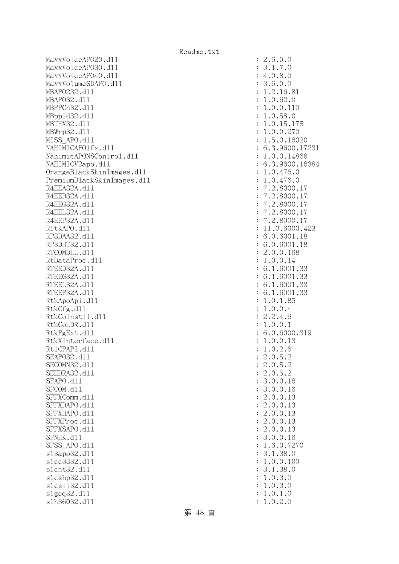MaxxVoiceAP020.d11 : 2.6.0.0 MaxxVoiceAPO30.dll : 3.1.7.0 MaxxVoiceAPO40.dll : 4.0.8.0 MaxxVolumeSDAPO.dll : 3.6.0.0 MBAPO232.d11 : 1.2.16.81 MBAPO32.dll : 1.0.62.0 MBPPCn32.d11 : 1.0.0.110 MBppld32.dll : 1.0.58.0 MBTHX32.d11 : 1.0.15.175 MBWrp32.dll : 1.0.0.270 MISS\_APO.d11 : 1.5.0.16020 NAHIMICAPO1fx.d11 : 6.3.9600.17231 NahimicAPONSControl.dl1 : 1.0.0.14866 NAHIMICV2apo.dl1 : 6.3.9600.16384 OrangeBlackSkinImages.dll : 1.0.476.0 PremiumBlackSkinImages.dll : 1.0.476.0 R4EEA32A.d11 : 7.2.8000.17 R4EED32A.d11 : 7.2.8000.17 R4EEG32A.d11 : 7.2.8000.17 R4EEL32A.d11 : 7.2.8000.17 R4EEP32A.d11 : 7.2.8000.17 R1tkAPO.d11 : 11.0.6000.423 RP3DAA32.d11 : 6.0.6001.18 RP3DHT32.d11 : 6.0.6001.18 RTCOMDLL.d11 : 2.0.0.168 RtDataProc.dl1 : 1.0.0.14 RTEED32A.d11 : 6.1.6001.33 RTEEG32A.d11 : 6.1.6001.33 RTEEL32A.d11 : 6.1.6001.33 RTEEP32A.d11 : 6.1.6001.33 RtkApoApi.dl1 : 1.0.1.85 RtkCfg.dl1 : 1.0.0.4 RtkCoInstII.dll : 2.2.4.6 RtkCoLDR.d11 : 1.0.0.1 RtkPgExt.d11 : 6.0.6000.319 RtkXInterface.dll : 1.0.0.13 Rt1CPAPI.d11 : 1.0.2.6 SEAPO32.d11 : 2.0.5.2 SECOMN32.d11 : 2.0.5.2 SEHDRA32.d11 : 2.0.5.2 SFAPO.d11 : 3.0.0.16 SFCOM.d11 : 3.0.0.16 SFFXComm.d11 : 2.0.0.13 SFFXDAPO.d11 : 2.0.0.13 SFFXHAPO.d11 : 2.0.0.13 SFFXProc.d11 : 2.0.0.13 SFFXSAPO.d11 : 2.0.0.13 SFNHK.d11 : 3.0.0.16 SFSS APO.d11 : 1.6.0.7270 sl3apo32.dl1 : 3.1.38.0 slcc3d32.dl1 : 1.0.0.100 slcnt32.dl1 : 3.1.38.0 slcshp32.dll : 1.0.3.0 slcsii32.dl1 : 1.0.3.0 slgeq32.dll : 1.0.1.0 slh36032.dll : 1.0.2.0

第 48 頁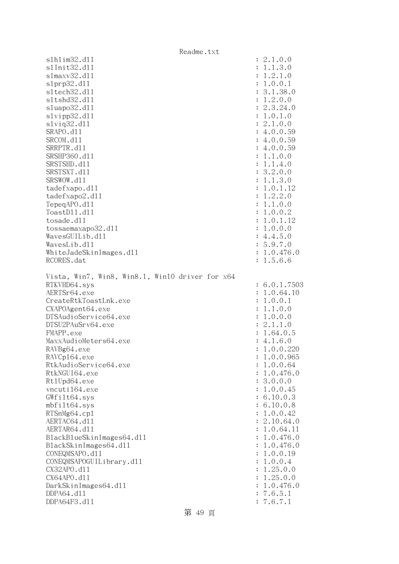|                                                 | Readme.txt |                       |
|-------------------------------------------------|------------|-----------------------|
| s1h1im32.d11                                    |            | : 2.1.0.0             |
| s1Init32.d11                                    |            | 1.1.3.0               |
| s1maxv32.d11                                    |            | 1.2.1.0               |
| slprp32.d11                                     |            | 1.0.0.1               |
| s1tech32.d11                                    |            | 3.1.38.0              |
| sltshd32.d11                                    |            | 1.2.0.0               |
| sluapo32.dl1                                    |            | 2.3.24.0              |
| slvipp32.dll                                    |            | 1.0.1.0               |
| $s1$ viq $32.d11$                               |            | 2.1.0.0               |
| SRAPO.d11                                       |            | 4.0.0.59              |
| SRCOM.d11                                       |            | 4.0.0.59              |
| SRRPTR.d11                                      |            | 4.0.0.59              |
| SRSHP360.d11                                    |            | 1.1.0.0               |
| SRSTSHD.d11                                     |            | 1.1.4.0               |
| SRSTSXT.d11                                     |            | 3.2.0.0               |
| SRSWOW.d11                                      |            | 1.1.3.0               |
| tadefxapo.d11                                   |            | 1.0.1.12              |
| tadefxapo2.d11                                  |            | 1.2.2.0               |
| TepeqAPO.d11                                    |            | 1.1.0.0               |
| ToastD11.d11                                    |            | 1.0.0.2               |
| tosade.d11                                      |            | 1.0.1.12              |
|                                                 |            | 1.0.0.0               |
| tossaemaxapo32.d11<br>WavesGUILib.d11           |            | : 4.4.5.0             |
| WavesLib.dll                                    |            | 5.9.7.0               |
|                                                 |            | 1.0.476.0             |
| WhiteJadeSkinImages.dl1                         |            |                       |
| RCORES.dat                                      |            | 1.5.6.6               |
| Vista, Win7, Win8, Win8.1, Win10 driver for x64 |            |                       |
| RTKVHD64.sys                                    |            | 6.0.1.7503            |
| AERTSr64.exe                                    |            | 1.0.64.10             |
| CreateRtkToastLnk.exe                           |            | 1.0.0.1               |
| CXAPOAgent64.exe                                |            | 1.1.0.0               |
| DTSAudioService64.exe                           |            | 1.0.0.0               |
| DTSU2PAuSrv64.exe                               |            | 2.1.1.0               |
| FMAPP.exe                                       |            | 1.64.0.5              |
| MaxxAudioMeters64.exe                           |            | 4.1.6.0               |
| RAVBg64.exe                                     |            | 1.0.0.220             |
| RAVCp164.exe                                    |            | 1.0.0.965             |
| RtkAudioService64.exe                           |            |                       |
| RtkNGUI64.exe                                   |            | 1.0.0.64<br>1.0.476.0 |
|                                                 |            |                       |
| Rt1Upd64.exe                                    |            | 3.0.0.0               |
| vncuti164.exe                                   |            | 1.0.0.45              |
| GWfilt64.sys                                    |            | 6.10.0.3              |
| $mbf$ ilt $64$ .sys                             |            | 6.10.0.8              |
| RTSnMg64.cp1                                    |            | 1.0.0.42              |
| AERTAC64.d11                                    |            | 2.10.64.0             |
| AERTAR64.d11                                    |            | 1.0.64.11             |
| BlackBlueSkinImages64.dll                       |            | 1.0.476.0             |
| BlackSkinImages64.dl1                           |            | 1.0.476.0             |
| CONEQMSAPO.d11                                  |            | 1.0.0.19              |
| CONEQMSAPOGUILibrary.d11                        |            | 1.0.0.4               |
| CX32APO.d11                                     |            | 1.25.0.0              |
| CX64APO.d11                                     |            | 1.25.0.0              |
| DarkSkinImages64.d11                            |            | 1.0.476.0             |
| DDPA64.d11                                      |            | 7.6.5.1               |
| DDPA64F3.d11                                    |            | 7.6.7.1               |

## 第 49 頁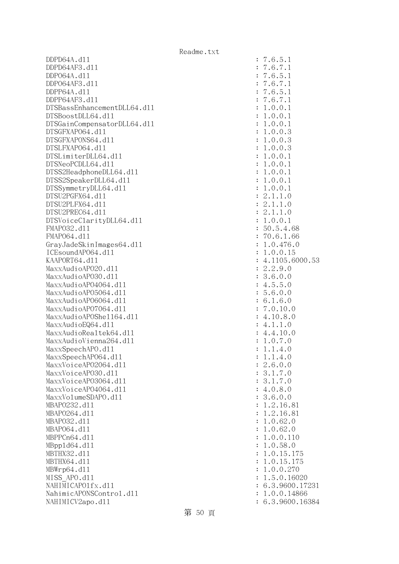DDPD64A.dll : 7.6.5.1 DDPD64AF3.dll : 7.6.7.1 DDPO64A.dll : 7.6.5.1 DDPO64AF3.dll : 7.6.7.1 DDPP64A.dll : 7.6.5.1 DDPP64AF3.dll : 7.6.7.1 DTSBassEnhancementDLL64.dl1 : 1.0.0.1 DTSBoostDLL64.dll : 1.0.0.1 DTSGainCompensatorDLL64.dll : 1.0.0.1 DTSGFXAPO64.dll : 1.0.0.3 DTSGFXAPONS64.dll : 1.0.0.3 DTSLFXAPO64.dll : 1.0.0.3 DTSLimiterDLL64.dll : 1.0.0.1 DTSNeoPCDLL64.dl1 : 1.0.0.1 DTSS2HeadphoneDLL64.dl1 : 1.0.0.1 DTSS2SpeakerDLL64.dl1 : 1.0.0.1 DTSSymmetryDLL64.dll : 1.0.0.1 DTSU2PGFX64.dll : 2.1.1.0 DTSU2PLFX64.dll : 2.1.1.0 DTSU2PREC64.dll : 2.1.1.0 DTSVoiceClarityDLL64.dll : 1.0.0.1 FMAPO32.d11 : 50.5.4.68 FMAP064.d11 : 70.6.1.66 GrayJadeSkinImages64.dll : 1.0.476.0 ICEsoundAP064.dl1 : 1.0.0.15 KAAPORT64.d11 : 4.1105.6000.53  $\text{MaxAudio}$ APO20.dll  $\text{MaxAudio}$  MaxxAudioAPO30.dll : 3.6.0.0 MaxxAudioAP04064.dl1 : 4.5.5.0 MaxxAudioAPO5064.dll : 5.6.0.0 MaxxAudioAPO6064.dll : 6.1.6.0 MaxxAudioAP07064.dll : 7.0.10.0 MaxxAudioAPOShell64.dll : 4.10.8.0  $MaxAudioEQ64. d11$  : 4.1.1.0  $MaxAudioRealtek64. d11$  : 4.4.10.0 MaxxAudioVienna264.dll : 1.0.7.0 MaxxSpeechAPO.d11 : 1.1.4.0 MaxxSpeechAPO64.dll : 1.1.4.0 MaxxVoiceAP02064.dl1 : 2.6.0.0 MaxxVoiceAP030.dl1 : 3.1.7.0 MaxxVoiceAP03064.dll : 3.1.7.0 MaxxVoiceAP04064.dll : 4.0.8.0 MaxxVolumeSDAPO.dll : 3.6.0.0 MBAPO232.d11 : 1.2.16.81 MBAPO264.d11 : 1.2.16.81 MBAPO32.d11 : 1.0.62.0 MBAPO64.dll : 1.0.62.0 MBPPCn64.dll : 1.0.0.110 MBppld64.dll : 1.0.58.0 MBTHX32.d11 : 1.0.15.175 MBTHX64.d11 : 1.0.15.175 MBWrp64.dll : 1.0.0.270 MISS APO.d11 : 1.5.0.16020 NAHIMICAPO1fx.dl1 : 6.3.9600.17231 NahimicAPONSControl.dl1 : 1.0.0.14866 NAHIMICV2apo.dll : 6.3.9600.16384

第 50 頁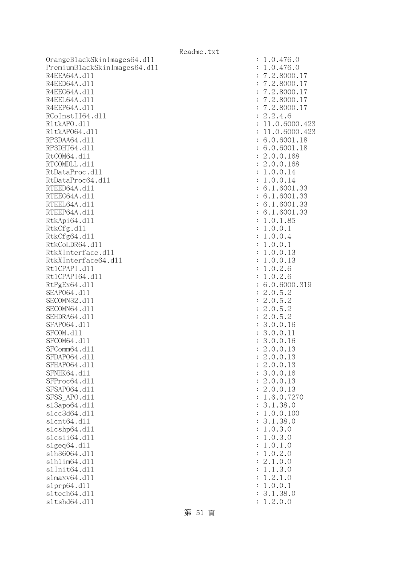OrangeBlackSkinImages64.dll : 1.0.476.0 PremiumBlackSkinImages64.dll : 1.0.476.0 R4EEA64A.d11 : 7.2.8000.17 R4EED64A.d11 : 7.2.8000.17 R4EEG64A.d11 : 7.2.8000.17 R4EEL64A.d11 : 7.2.8000.17 R4EEP64A.d11 : 7.2.8000.17 RCoInstII64.dl1 : 2.2.4.6 RltkAPO.dll : 11.0.6000.423 R1tkAP064.d11 : 11.0.6000.423 RP3DAA64.d11 : 6.0.6001.18 RP3DHT64.d11 : 6.0.6001.18 RtCOM64.d11 : 2.0.0.168 RTCOMDLL.d11 : 2.0.0.168 RtDataProc.dl1 : 1.0.0.14 RtDataProc64.dl1 : 1.0.0.14 RTEED64A.d11 : 6.1.6001.33 RTEEG64A.d11 : 6.1.6001.33 RTEEL64A.d11 : 6.1.6001.33 RTEEP64A.d11 : 6.1.6001.33 RtkApi64.dl1 : 1.0.1.85 RtkCfg.dl1 : 1.0.0.1 RtkCfg64.dl1 : 1.0.0.4 RtkCoLDR64.d11 : 1.0.0.1 RtkXInterface.dl1 : 1.0.0.13 RtkXInterface64.dll : 1.0.0.13 Rt1CPAPI.d11 : 1.0.2.6 Rt1CPAPI64.d11 : 1.0.2.6 RtPgEx64.dl1 : 6.0.6000.319 SEAPO64.d11 : 2.0.5.2 SECOMN32.d11 : 2.0.5.2 SECOMN64.d11 : 2.0.5.2 SEHDRA64.d11 : 2.0.5.2 SFAP064.d11 : 3.0.0.16 SFCOM.d11 : 3.0.0.11 SFCOM64.d11 : 3.0.0.16 SFComm64.d11 : 2.0.0.13 SFDAP064.d11 : 2.0.0.13 SFHAPO64.d11 : 2.0.0.13 SFNHK64.d11 : 3.0.0.16 SFProc64.d11 : 2.0.0.13 SFSAP064.d11 : 2.0.0.13 SFSS APO.d11 : 1.6.0.7270 sl3apo64.dll : 3.1.38.0 slcc3d64.dll : 1.0.0.100 slcnt64.dll : 3.1.38.0 slcshp64.dll : 1.0.3.0 slcsii64.dll : 1.0.3.0  $s1geq 64. d11$  :  $1.0.1.0$ slh36064.dll : 1.0.2.0 slhlim64.dll : 2.1.0.0 slInit64.dll : 1.1.3.0 slmaxv64.dll : 1.2.1.0 slprp64.dll : 1.0.0.1 sltech64.dll : 3.1.38.0 sltshd64.dll : 1.2.0.0

第 51 頁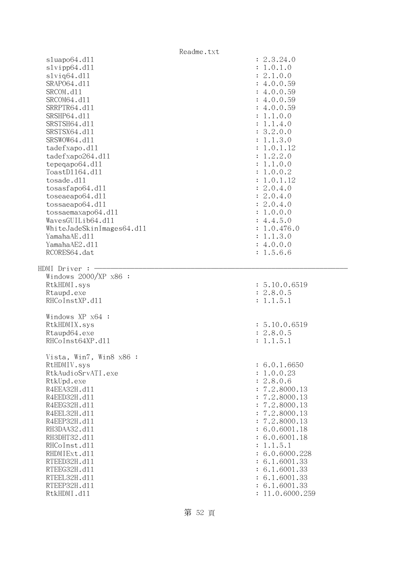|                              | Readme.txt                       |
|------------------------------|----------------------------------|
| sluapo64.d11                 | : 2.3.24.0                       |
| slvipp64.dll                 | : 1.0.1.0                        |
| $s1$ viq $64. d11$           | : 2.1.0.0                        |
| SRAP064.d11                  | : 4.0.0.59                       |
| SRCOM.d11                    | : 4.0.0.59                       |
| SRCOM64.d11                  | : 4.0.0.59                       |
| SRRPTR64.d11                 | : 4.0.0.59                       |
| SRSHP64.d11                  | : 1.1.0.0                        |
| SRSTSH64.d11<br>SRSTSX64.d11 | : 1.1.4.0<br>: 3.2.0.0           |
| SRSWOW64.d11                 | : 1.1.3.0                        |
| tadefxapo.d11                | : 1.0.1.12                       |
| tadefxapo264.dl1             | : 1.2.2.0                        |
| tepeqapo64.dll               | : 1.1.0.0                        |
| ToastD1164.d11               | : 1.0.0.2                        |
| tosade.d11                   | : 1.0.1.12                       |
| tosasfapo64.dll              | : 2.0.4.0                        |
| toseaeapo64.d11              | : 2.0.4.0                        |
| tossaeapo64.dl1              | : 2.0.4.0                        |
| tossaemaxapo64.dl1           | : 1.0.0.0                        |
| WavesGUILib64.dl1            | : 4.4.5.0                        |
| WhiteJadeSkinImages64.dll    | : 1.0.476.0                      |
| YamahaAE.d11                 | : 1.1.3.0                        |
| YamahaAE2.d11                | : 4.0.0.0                        |
| RCORES64.dat                 | : 1.5.6.6                        |
|                              |                                  |
|                              |                                  |
| HDMI Driver :                |                                  |
| Windows $2000/XP$ x86 :      |                                  |
| RtkHDMI.sys                  | : 5.10.0.6519                    |
| Rtaupd.exe<br>RHCoInstXP.d11 | : 2.8.0.5<br>: 1.1.5.1           |
|                              |                                  |
| Windows XP x64 :             |                                  |
| RtkHDMIX.sys                 | : 5.10.0.6519                    |
| Rtaupd64.exe                 | : 2.8.0.5                        |
| RHCoInst64XP.d11             | : 1.1.5.1                        |
|                              |                                  |
| Vista, Win7, Win8 x86 :      |                                  |
| RtHDMIV.sys                  | : 6.0.1.6650                     |
| RtkAudioSrvATI.exe           | : 1.0.0.23                       |
| RtkUpd.exe                   | : 2.8.0.6                        |
| R4EEA32H.d11                 | : 7.2.8000.13                    |
| R4EED32H.d11                 | : 7.2.8000.13                    |
| R4EEG32H.d11                 | : 7.2.8000.13                    |
| R4EEL32H.d11                 | : 7.2.8000.13                    |
| R4EEP32H.d11<br>RH3DAA32.d11 | : 7.2.8000.13<br>: 6.0.6001.18   |
| RH3DHT32.d11                 | : 6.0.6001.18                    |
| RHCoInst.d11                 | : 1.1.5.1                        |
| RHDMIExt.d11                 | : 6.0.6000.228                   |
| RTEED32H.d11                 | : 6.1.6001.33                    |
| RTEEG32H.d11                 | : 6.1.6001.33                    |
| RTEEL32H.d11                 | : 6.1.6001.33                    |
| RTEEP32H.d11<br>RtkHDMI.d11  | : 6.1.6001.33<br>: 11.0.6000.259 |

第 52 頁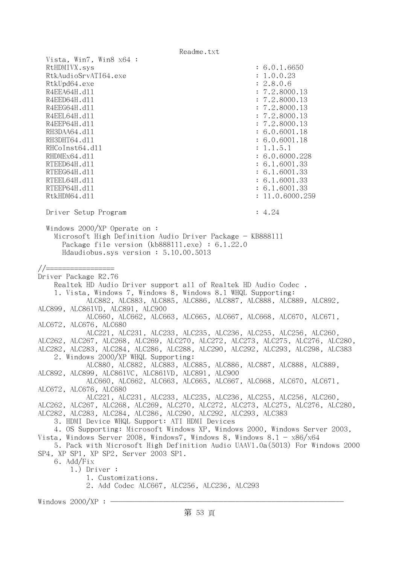| Vista, Win7, Win8 x64 :<br>RtHDMIVX.sys<br>RtkAudioSrvATI64.exe<br>RtkUpd64.exe<br>R4EEA64H.d11<br>R4EED64H.d11<br>R4EEG64H.d11<br>R4EEL64H.d11<br>R4EEP64H.d11<br>RH3DAA64.d11<br>RH3DHT64.d11<br>RHCoInst64.d11<br>RHDMEx64.d11<br>RTEED64H.d11<br>RTEEG64H.d11<br>RTEEL64H.d11<br>RTEEP64H.d11<br>RtkHDM64.d11                                                                                                                                                                                                                                                                                                                                                                                                                                                                                                                                                                                                                                                                                                                            | : 6.0.1.6650<br>: 1.0.0.23<br>: 2.8.0.6<br>: 7.2.8000.13<br>: 7.2.8000.13<br>: 7.2.8000.13<br>: 7.2.8000.13<br>: 7.2.8000.13<br>: 6.0.6001.18<br>: 6.0.6001.18<br>: 1.1.5.1<br>: 6.0.6000.228<br>: 6.1.6001.33<br>: 6.1.6001.33<br>: 6.1.6001.33<br>: 6.1.6001.33<br>: 11.0.6000.259 |
|----------------------------------------------------------------------------------------------------------------------------------------------------------------------------------------------------------------------------------------------------------------------------------------------------------------------------------------------------------------------------------------------------------------------------------------------------------------------------------------------------------------------------------------------------------------------------------------------------------------------------------------------------------------------------------------------------------------------------------------------------------------------------------------------------------------------------------------------------------------------------------------------------------------------------------------------------------------------------------------------------------------------------------------------|--------------------------------------------------------------------------------------------------------------------------------------------------------------------------------------------------------------------------------------------------------------------------------------|
| Driver Setup Program                                                                                                                                                                                                                                                                                                                                                                                                                                                                                                                                                                                                                                                                                                                                                                                                                                                                                                                                                                                                                         | : 4.24                                                                                                                                                                                                                                                                               |
| Windows $2000/XP$ Operate on:<br>Microsoft High Definition Audio Driver Package - KB888111<br>Package file version $(kb888111.\text{exe}) : 6.1.22.0$<br>Hdaudiobus.sys version: 5.10.00.5013                                                                                                                                                                                                                                                                                                                                                                                                                                                                                                                                                                                                                                                                                                                                                                                                                                                |                                                                                                                                                                                                                                                                                      |
| //=================<br>Driver Package R2.76<br>Realtek HD Audio Driver support all of Realtek HD Audio Codec.<br>1. Vista, Windows 7, Windows 8, Windows 8.1 WHQL Supporting:<br>ALC882, ALC883, ALC885, ALC886, ALC887, ALC888, ALC889, ALC892,<br>ALC899, ALC861VD, ALC891, ALC900<br>ALC660, ALC662, ALC663, ALC665, ALC667, ALC668, ALC670, ALC671,<br>ALC672, ALC676, ALC680<br>ALC221, ALC231, ALC233, ALC235, ALC236, ALC255, ALC256, ALC260,<br>ALC262, ALC267, ALC268, ALC269, ALC270, ALC272, ALC273, ALC275, ALC276, ALC280,<br>ALC282, ALC283, ALC284, ALC286, ALC288, ALC290, ALC292, ALC293, ALC298, ALC383<br>2. Windows 2000/XP WHQL Supporting:<br>ALC880, ALC882, ALC883, ALC885, ALC886, ALC887, ALC888, ALC889,<br>ALC892, ALC899, ALC861VC, ALC861VD, ALC891, ALC900<br>ALC660, ALC662, ALC663, ALC665, ALC667, ALC668, ALC670, ALC671,<br>ALC672, ALC676, ALC680<br>ALC221, ALC231, ALC233, ALC235, ALC236, ALC255, ALC256, ALC260,<br>ALC262, ALC267, ALC268, ALC269, ALC270, ALC272, ALC273, ALC275, ALC276, ALC280, |                                                                                                                                                                                                                                                                                      |
| ALC282, ALC283, ALC284, ALC286, ALC290, ALC292, ALC293, ALC383<br>3. HDMI Device WHQL Support: ATI HDMI Devices<br>4. OS Supporting: Microsoft Windows XP, Windows 2000, Windows Server 2003,<br>Vista, Windows Server 2008, Windows7, Windows 8, Windows 8.1 - $\rm x86/x64$<br>5. Pack with Microsoft High Definition Audio UAAV1.0a(5013) For Windows 2000<br>SP4, XP SP1, XP SP2, Server 2003 SP1.<br>6. Add/Fix<br>$1.)$ Driver :<br>1. Customizations.<br>2. Add Codec ALC667, ALC256, ALC236, ALC293                                                                                                                                                                                                                                                                                                                                                                                                                                                                                                                                  |                                                                                                                                                                                                                                                                                      |
| Windows 2000/XP $: \; \; \cdot$                                                                                                                                                                                                                                                                                                                                                                                                                                                                                                                                                                                                                                                                                                                                                                                                                                                                                                                                                                                                              |                                                                                                                                                                                                                                                                                      |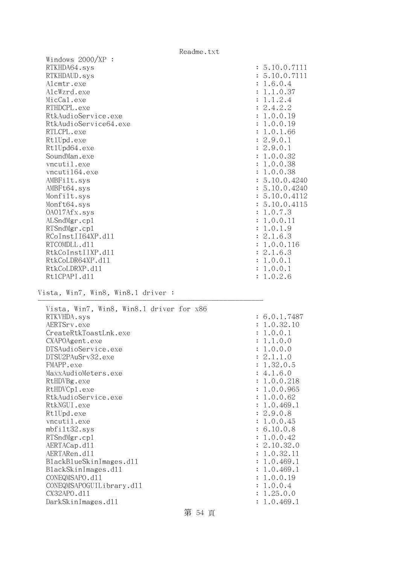| Windows $2000/XP$ :   |               |
|-----------------------|---------------|
| RTKHDA64.sys          | : 5.10.0.7111 |
| RTKHDAUD.sys          | : 5.10.0.7111 |
| Alcmtr.exe            | : 1.6.0.4     |
| AlcWzrd.exe           | : 1.1.0.37    |
| MicCal.exe            | : 1.1.2.4     |
| RTHDCPL.exe           | : 2.4.2.2     |
| RtkAudioService.exe   | : 1.0.0.19    |
| RtkAudioService64.exe | : 1.0.0.19    |
| RTLCPL.exe            | : 1.0.1.66    |
| Rt1Upd.exe            | : 2.9.0.1     |
| Rt1Upd64.exe          | : 2.9.0.1     |
| SoundMan.exe          | : 1.0.0.32    |
| vncutil.exe           | : 1.0.0.38    |
| vncuti164.exe         | : 1.0.0.38    |
| AMBFilt.sys           | : 5.10.0.4240 |
| AMBFt64.sys           | : 5.10.0.4240 |
| Monfilt.sys           | : 5.10.0.4112 |
| Monft64.sys           | : 5.10.0.4115 |
| OAO17Afx.sys          | : 1.0.7.3     |
| ALSndMgr.cp1          | : 1.0.0.11    |
| RTSndMgr.cp1          | : 1.0.1.9     |
| RCoInstII64XP.d11     | : 2.1.6.3     |
| RTCOMDLL.d11          | : 1.0.0.116   |
| RtkCoInstIIXP.d11     | : 2.1.6.3     |
| RtkCoLDR64XP.d11      | : 1.0.0.1     |
| RtkCoLDRXP.d11        | : 1.0.0.1     |
| Rt1CPAPI.d11          | : 1.0.2.6     |
|                       |               |

Vista, Win7, Win8, Win8.1 driver :

| Vista, Win7, Win8, Win8.1 driver for x86 |              |
|------------------------------------------|--------------|
| RTKVHDA.sys                              | : 6.0.1.7487 |
| AERTSrv.exe                              | : 1.0.32.10  |
| CreateRtkToastLnk.exe                    | : 1.0.0.1    |
| CXAPOAgent.exe                           | : 1.1.0.0    |
| DTSAudioService.exe                      | : 1.0.0.0    |
| DTSU2PAuSrv32.exe                        | : 2.1.1.0    |
| FMAPP.exe                                | : 1.32.0.5   |
| MaxxAudioMeters.exe                      | : 4.1.6.0    |
| RtHDVBg.exe                              | : 1.0.0.218  |
| RtHDVCp1.exe                             | : 1.0.0.965  |
| RtkAudioService.exe                      | : 1.0.0.62   |
| RtkNGUI.exe                              | : 1.0.469.1  |
| Rt1Upd.exe                               | : 2.9.0.8    |
| vncutil.exe                              | : 1.0.0.45   |
| mbfilt32.sys                             | : 6.10.0.8   |
| RTSndMgr.cp1                             | : 1.0.0.42   |
| AERTACap.d11                             | : 2.10.32.0  |
| AERTARen.d11                             | : 1.0.32.11  |
| BlackBlueSkinImages.dll                  | : 1.0.469.1  |
| BlackSkinImages.d11                      | : 1.0.469.1  |
| CONEQMSAPO.d11                           | : 1.0.0.19   |
| CONEQMSAPOGUILibrary.d11                 | : 1.0.0.4    |
| CX32APO.d11                              | : 1.25.0.0   |
| DarkSkinImages.d11                       | : 1.0.469.1  |
|                                          |              |

第 54 頁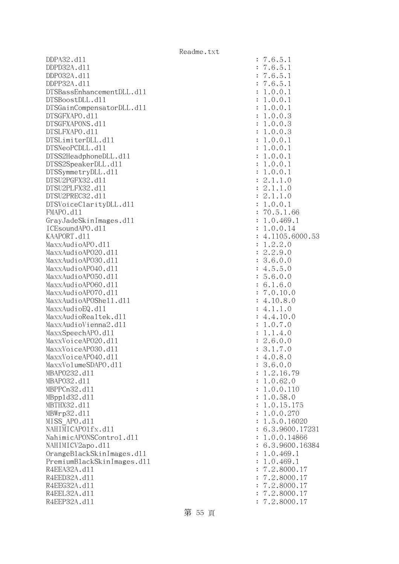DDPA32.dll : 7.6.5.1 DDPD32A.dll : 7.6.5.1 DDPO32A.dll : 7.6.5.1 DDPP32A.dll : 7.6.5.1 DTSBassEnhancementDLL.dl1 : 1.0.0.1  $DTSBoostDL. d11$  :  $1.0.0.1$ DTSGainCompensatorDLL.dll : 1.0.0.1 DTSGFXAPO.dll : 1.0.0.3 DTSGFXAPONS.dll : 1.0.0.3 DTSLFXAPO.dll : 1.0.0.3 DTSLimiterDLL.dl1 : 1.0.0.1  $DTSNeoPCDLL. d11$  :  $1.0.0.1$ DTSS2HeadphoneDLL.dl1 : 1.0.0.1 DTSS2SpeakerDLL.d11 : 1.0.0.1 DTSSymmetryDLL.dl1 : 1.0.0.1  $DTSU2PGFX32. d11$  :  $2.1.1.0$  DTSU2PLFX32.dll : 2.1.1.0 DTSU2PREC32.dll : 2.1.1.0 DTSVoiceClarityDLL.dll : 1.0.0.1 FMAPO.dll : 70.5.1.66 GrayJadeSkinImages.dl1 : 1.0.469.1 ICEsoundAPO.dll : 1.0.0.14 KAAPORT.d11 : 4.1105.6000.53 MaxxAudioAPO.dll : 1.2.2.0 MaxxAudioAP020.dl1 : 2.2.9.0 MaxxAudioAPO30.dll : 3.6.0.0  $\text{MaxAudio}$ APO40.dll  $\qquad \qquad$  : 4.5.5.0  $\text{MaxAudio}$ APO50.dll : 5.6.0.0 MaxxAudioAPO60.dll : 6.1.6.0 MaxxAudioAPO70.dll : 7.0.10.0 MaxxAudioAPOShell.dll : 4.10.8.0  $MaxAudioEQ. d11$  : 4.1.1.0 MaxxAudioRealtek.dll : 4.4.10.0 MaxxAudioVienna2.dl1 : 1.0.7.0 MaxxSpeechAPO.d11 : 1.1.4.0 MaxxVoiceAP020.dll : 2.6.0.0 MaxxVoiceAP030.dll : 3.1.7.0  $\text{MaxVoice}$ APO40.dll : 4.0.8.0 MaxxVolumeSDAPO.dll : 3.6.0.0 MBAPO232.dll : 1.2.16.79 MBAPO32.dll : 1.0.62.0 MBPPCn32.d11 : 1.0.0.110 MBppld32.dll : 1.0.58.0 MBTHX32.d11 : 1.0.15.175 MBWrp32.d11 : 1.0.0.270 MISS APO.d11 : 1.5.0.16020 NAHIMICAPO1fx.dl1 : 6.3.9600.17231 NahimicAPONSControl.dl1 : 1.0.0.14866 NAHIMICV2apo.dll : 6.3.9600.16384 OrangeBlackSkinImages.dll : 1.0.469.1 PremiumBlackSkinImages.dll : 1.0.469.1 R4EEA32A.d11 : 7.2.8000.17 R4EED32A.d11 : 7.2.8000.17 R4EEG32A.d11 : 7.2.8000.17 R4EEL32A.d11 : 7.2.8000.17 R4EEP32A.d11 : 7.2.8000.17

第 55 頁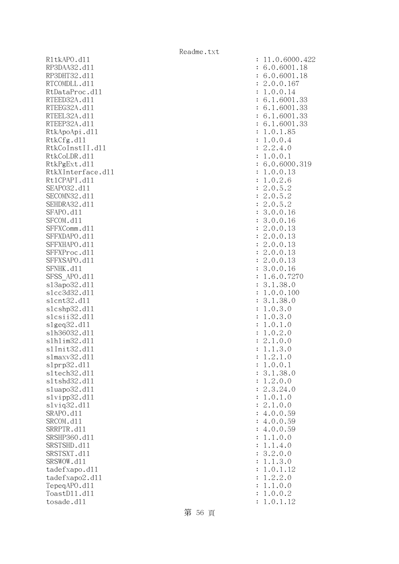R1tkAPO.d11 : 11.0.6000.422 RP3DAA32.d11 RP3DHT32.d11 RTCOMDLL.dl1 RtDataProc.dl1 RTEED32A.d11 RTEEG32A.d11 RTEEL32A.d11 RTEEP32A.d11 RtkApoApi.dl1 RtkCfg.dll  $RtkCoInstII.d11$ RtkCoLDR.d11 RtkPgExt.dll RtkXInterface.dl1 Rt1CPAPI.d11 SEAP032.d11 SECOMN32.d11 SEHDRA32.d11 SFAPO.d11 SFCOM.d11 SFFXComm.dl1 SFFXDAPO.d11 SFFXHAPO.d11 SFFXProc.dl1 SFFXSAPO.d11 SFNHK.d11 SFSS\_APO.d11 s13apo32.dl1 slcc3d32.d11 slcnt32.dl1 slcshp32.dll slcsii32.dl1 slgeq32.dl1 slh36032.dl1 slhlim32.dll s1Init32.d11 s1maxv32.d11 slprp32.dl1 sltech32.dl1 s1tshd32.d11 sluapo32.dl1 slvipp32.dll slviq32.dll SRAPO.d11 SRCOM.d11 SRRPTR.d11 SRSHP360.d11 SRSTSHD.d11 SRSTSXT.d11 SRSWOW.dl1 tadefxapo.dl1 tadefxapo2.dl1 TepeqAPO.d11 ToastD11.d11 tosade.d11

| $\ddot{\cdot}$ | 11.0.6000.42                                                                                                     |
|----------------|------------------------------------------------------------------------------------------------------------------|
|                |                                                                                                                  |
| $\ddot{\cdot}$ | 6.0.6001.<br>18                                                                                                  |
| $\ddot{\cdot}$ | 6.0.6001.18                                                                                                      |
|                |                                                                                                                  |
| $\ddot{\cdot}$ | .0.0.167<br>$\mathbf{c}$                                                                                         |
| $\ddot{\cdot}$ | 1.0.0.14                                                                                                         |
| $\ddot{\cdot}$ | 6.1.6001<br>.33                                                                                                  |
|                |                                                                                                                  |
| $\ddot{\cdot}$ | .6001.33<br>6.1                                                                                                  |
| $\ddot{\cdot}$ | .6001.33<br>6.1                                                                                                  |
| $\ddot{\cdot}$ | 6.1.6001.33                                                                                                      |
|                |                                                                                                                  |
| $\ddot{\cdot}$ | 1.0.1.85                                                                                                         |
| $\ddot{\cdot}$ | 1.0.0.4                                                                                                          |
|                |                                                                                                                  |
| $\ddot{\cdot}$ | .2.4.0<br>$\mathbf{C}$                                                                                           |
| $\ddot{\cdot}$ | 1.0.0.1                                                                                                          |
| $\ddot{\cdot}$ | 6.0.6000.319                                                                                                     |
|                |                                                                                                                  |
| $\ddot{\cdot}$ |                                                                                                                  |
| $\ddot{\cdot}$ | $1.0.0.13$<br>1.0.2.6<br>2.0.5.2<br>2.0.5.2<br>2.0.5.2<br>3.0.0.16                                               |
|                |                                                                                                                  |
| $\ddot{\cdot}$ |                                                                                                                  |
| $\ddot{\cdot}$ |                                                                                                                  |
| $\ddot{\cdot}$ |                                                                                                                  |
|                |                                                                                                                  |
| $\ddot{\cdot}$ |                                                                                                                  |
| $\ddot{\cdot}$ | 3.0.0.16                                                                                                         |
| $\ddot{\cdot}$ | .0.0.13                                                                                                          |
|                | $\overline{c}$                                                                                                   |
| $\ddot{\cdot}$ | .0.0.13<br>$\mathbf{c}$                                                                                          |
| $\ddot{\cdot}$ | .0.0.13<br>$\overline{c}$                                                                                        |
|                |                                                                                                                  |
| $\ddot{\cdot}$ | .0.0.13<br>$\overline{c}$                                                                                        |
| $\ddot{\cdot}$ | 2.0.0.13                                                                                                         |
| $\ddot{\cdot}$ | 3.0.0.16                                                                                                         |
|                |                                                                                                                  |
| $\ddot{\cdot}$ | 1.6.0.7270                                                                                                       |
| $\ddot{\cdot}$ | 3.1.38.0                                                                                                         |
| $\ddot{\cdot}$ |                                                                                                                  |
|                | 1.0.0.100                                                                                                        |
| $\ddot{\cdot}$ | 3.1.38.0                                                                                                         |
| $\ddot{\cdot}$ | 1.0.3.0                                                                                                          |
|                |                                                                                                                  |
| $\ddot{\cdot}$ | .0.3.0<br>1                                                                                                      |
| $\ddot{\cdot}$ | .0.1.<br>$\mathcal{O}$<br>$\mathbf{1}$                                                                           |
| $\ddot{\cdot}$ | .0.2<br>1<br>$\mathcal{O}$                                                                                       |
|                | $\ddot{\phantom{a}}$                                                                                             |
| $\vdots$       | $\ddot{\phantom{0}}$<br>1.0.0                                                                                    |
| $\ddot{\cdot}$ | $\mathcal{S}$<br>$\mathcal{O}$<br>$\mathbf{1}$<br>$\mathbf{1}$<br>$\cdot$                                        |
|                | $\bullet$                                                                                                        |
| $\ddot{\cdot}$ | 1.2                                                                                                              |
| $\ddot{\cdot}$ | $\ddot{\phantom{0}}$<br>1                                                                                        |
| $\ddot{\cdot}$ | 38.0<br>3.                                                                                                       |
|                | $2.1.0$<br>0.0.1<br>1.38.<br>2.0.0<br>3.24.                                                                      |
| $\ddot{\cdot}$ | $\ddot{\cdot}$<br>1                                                                                              |
| $\ddot{\cdot}$ | 2.<br>24.0                                                                                                       |
| $\ddot{\cdot}$ | $\overline{0}$ .<br>$1$ .<br>$\ddot{\phantom{0}}$<br>$\overline{O}$<br>$\mathbf 1$                               |
|                |                                                                                                                  |
| $\ddot{\cdot}$ | 0.0<br>$\overline{c}$<br>$\mathbf 1$                                                                             |
| $\ddot{\cdot}$ | 59<br>$\overline{4}$<br>$\ddot{\phantom{0}}$                                                                     |
| $\ddot{\cdot}$ |                                                                                                                  |
|                | $0.0.$<br>0.0.<br>0.0.<br>0.0.<br>1.0.<br>4.<br>59                                                               |
| $\ddot{\cdot}$ | $\ddot{\phantom{0}}$<br>59<br>$\overline{4}$                                                                     |
| $\ddot{\cdot}$ | $\mathcal{O}$<br>$\mathbf{1}$                                                                                    |
|                |                                                                                                                  |
| $\ddot{\cdot}$ | $\ddot{\phantom{0}}$<br>$\mathbf 1$<br>$\mathcal{O}$                                                             |
| $\ddot{\cdot}$ | $\ddot{\cdot}$<br>3<br>$\mathcal{O}$                                                                             |
| $\ddot{\cdot}$ | $\mathbf{1}$<br>$\circ$                                                                                          |
|                |                                                                                                                  |
| $\ddot{\cdot}$ | $\mathbf 1$<br>12                                                                                                |
| $\ddot{\cdot}$ | $1.4.$<br>$2.0.$<br>$1.3.$<br>$0.1.$<br>$2.2.$<br>$1.0.$<br>$0.0.$<br>$\ddot{\phantom{0}}$<br>$\mathcal{O}$<br>1 |
| $\ddot{\cdot}$ | $\mathcal{O}$<br>1                                                                                               |
|                |                                                                                                                  |
| $\ddot{\cdot}$ | $\mathbf{c}$<br>1                                                                                                |
| $\ddot{\cdot}$ | $\ddot{\phantom{a}}$<br>$0$ .<br>1.<br>1<br>12                                                                   |
|                |                                                                                                                  |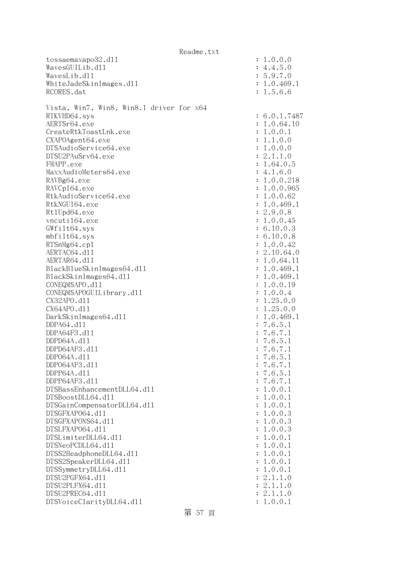|                                           | Readme.txt |                        |
|-------------------------------------------|------------|------------------------|
| tossaemaxapo32.d11                        |            | : 1.0.0.0              |
| WavesGUILib.d11                           |            | : 4.4.5.0              |
| WavesLib.d11                              |            | : 5.9.7.0              |
| WhiteJadeSkinImages.d11                   |            | : 1.0.469.1            |
| RCORES.dat                                |            | : 1.5.6.6              |
|                                           |            |                        |
| Vista, Win7, Win8, Win8.1 driver for x64  |            |                        |
| RTKVHD64.sys                              |            | : 6.0.1.7487           |
| AERTSr64.exe<br>CreateRtkToastLnk.exe     |            | : 1.0.64.10            |
|                                           |            | : 1.0.0.1<br>: 1.1.0.0 |
| CXAPOAgent64.exe<br>DTSAudioService64.exe |            | : 1.0.0.0              |
| DTSU2PAuSrv64.exe                         |            | : 2.1.1.0              |
| FMAPP.exe                                 |            | : 1.64.0.5             |
| MaxxAudioMeters64.exe                     |            | : 4.1.6.0              |
| RAVBg64.exe                               |            | : 1.0.0.218            |
| RAVCp164.exe                              |            | : 1.0.0.965            |
| RtkAudioService64.exe                     |            | : 1.0.0.62             |
| RtkNGUI64.exe                             |            | : 1.0.469.1            |
| Rt1Upd64.exe                              |            | : 2.9.0.8              |
| vncuti164.exe                             |            | : 1.0.0.45             |
| GWfilt64.sys                              |            | : 6.10.0.3             |
| mbfilt64.sys                              |            | : 6.10.0.8             |
| RTSnMg64.cp1                              |            | : 1.0.0.42             |
| AERTAC64.d11                              |            | : 2.10.64.0            |
| AERTAR64.d11                              |            | : 1.0.64.11            |
| BlackBlueSkinImages64.dll                 |            | : 1.0.469.1            |
| BlackSkinImages64.d11                     |            | : 1.0.469.1            |
| CONEQMSAPO.d11                            |            | : 1.0.0.19             |
| CONEQMSAPOGUILibrary.d11                  |            | : 1.0.0.4              |
| CX32APO.d11                               |            | : 1.25.0.0             |
| CX64APO.d11                               |            | : 1.25.0.0             |
| DarkSkinImages64.d11                      |            | : 1.0.469.1            |
| DDPA64.d11                                |            | : 7.6.5.1              |
| DDPA64F3.d11                              |            | : 7.6.7.1              |
| DDPD64A.d11                               |            | : 7.6.5.1              |
| DDPD64AF3.d11                             |            | 7.6.7.1                |
| DDP064A.d11                               |            | : 7.6.5.1              |
| DDP064AF3.d11<br>DDPP64A.d11              |            | : 7.6.7.1              |
| DDPP64AF3.d11                             |            | : 7.6.5.1<br>: 7.6.7.1 |
| DTSBassEnhancementDLL64.d11               |            | 1.0.0.1                |
| DTSBoostDLL64.d11                         |            | 1.0.0.1                |
| DTSGainCompensatorDLL64.d11               |            | 1.0.0.1                |
| DTSGFXAP064.d11                           |            | 1.0.0.3                |
| DTSGFXAPONS64.d11                         |            | 1.0.0.3                |
| DTSLFXAP064.d11                           |            | 1.0.0.3                |
| DTSLimiterDLL64.d11                       |            | 1.0.0.1                |
| DTSNeoPCDLL64.d11                         |            | 1.0.0.1                |
| DTSS2HeadphoneDLL64.d11                   |            | 1.0.0.1                |
| DTSS2SpeakerDLL64.d11                     |            | 1.0.0.1                |
| DTSSymmetryDLL64.d11                      |            | 1.0.0.1                |
| DTSU2PGFX64.d11                           |            | 2.1.1.0                |
| DTSU2PLFX64.d11                           |            | : 2.1.1.0              |
| DTSU2PREC64.d11                           |            | 2.1.1.0                |
| DTSVoiceClarityDLL64.dl1                  |            | : 1.0.0.1              |

第 57 頁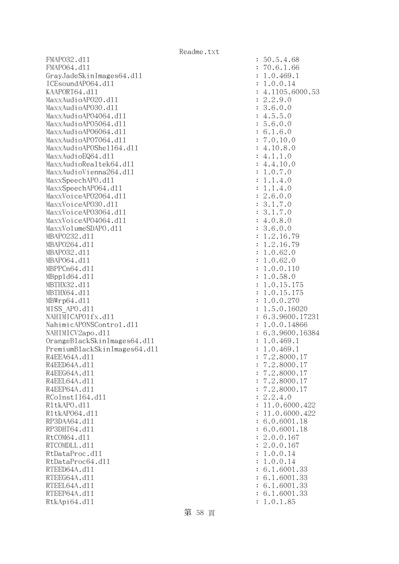FMAPO32.dll : 50.5.4.68 FMAP064.d11 : 70.6.1.66 GrayJadeSkinImages64.dll : 1.0.469.1 ICEsoundAPO64.dll : 1.0.0.14 KAAPORT64.d11 : 4.1105.6000.53 MaxxAudioAPO20.dll : 2.2.9.0 MaxxAudioAPO30.dll : 3.6.0.0 MaxxAudioAPO4064.dll : 4.5.5.0 MaxxAudioAPO5064.dll : 5.6.0.0 MaxxAudioAP06064.dll : 6.1.6.0 MaxxAudioAP07064.dll : 7.0.10.0 MaxxAudioAPOShell64.dll : 4.10.8.0  $\text{MaxAudioEQ64. d11}$  : 4.1.1.0 MaxxAudioRealtek64.dll : 4.4.10.0 MaxxAudioVienna264.dll : 1.0.7.0 MaxxSpeechAPO.d11 : 1.1.4.0 MaxxSpeechAPO64.dll : 1.1.4.0 MaxxVoiceAP02064.dll : 2.6.0.0 MaxxVoiceAPO30.dll : 3.1.7.0 MaxxVoiceAPO3064.dll : 3.1.7.0 MaxxVoiceAP04064.dl1 : 4.0.8.0 MaxxVolumeSDAPO.dl1 : 3.6.0.0 MBAPO232.dll : 1.2.16.79 MBAPO264.d11 : 1.2.16.79 MBAPO32.d11 : 1.0.62.0 MBAP064.d11 : 1.0.62.0 MBPPCn64.dll : 1.0.0.110 MBppld64.dll : 1.0.58.0 MBTHX32.d11 : 1.0.15.175 MBTHX64.d11 : 1.0.15.175 MBWrp64.dll : 1.0.0.270 MISS APO.d11 : 1.5.0.16020 NAHIMICAPO1fx.d11 : 6.3.9600.17231 NahimicAPONSControl.dl1 : 1.0.0.14866 NAHIMICV2apo.dl1 : 6.3.9600.16384 OrangeBlackSkinImages64.dll : 1.0.469.1 PremiumBlackSkinImages64.dll : 1.0.469.1 R4EEA64A.d11 : 7.2.8000.17 R4EED64A.d11 : 7.2.8000.17 R4EEG64A.d11 : 7.2.8000.17 R4EEL64A.d11 : 7.2.8000.17 R4EEP64A.d11 : 7.2.8000.17 RCoInstII64.dl1 : 2.2.4.0 R1tkAPO.d11 : 11.0.6000.422 R1tkAP064.d11 : 11.0.6000.422 RP3DAA64.d11 : 6.0.6001.18 RP3DHT64.d11 : 6.0.6001.18 RtCOM64.d11 : 2.0.0.167 RTCOMDLL.d11 : 2.0.0.167 RtDataProc.dl1 : 1.0.0.14 RtDataProc64.dll : 1.0.0.14 RTEED64A.d11 : 6.1.6001.33 RTEEG64A.d11 : 6.1.6001.33 RTEEL64A.d11 : 6.1.6001.33 RTEEP64A.d11 : 6.1.6001.33 RtkApi64.dl1 : 1.0.1.85

第 58 頁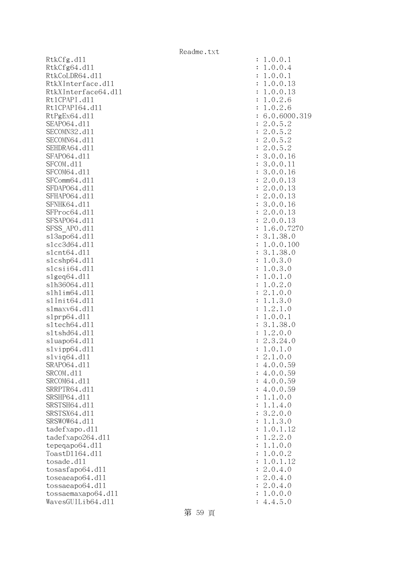RtkCfg.dll RtkCfg64.dl1 RtkCoLDR64.dl1 RtkXInterface.dl1 RtkXInterface64.dl1 Rt1CPAPI.d11 Rt1CPAPI64.dl1 RtPgEx64.d11 : 6.0.6000.319 SEAP064.d11 SECOMN32.d11 SECOMN64.dll SEHDRA64.d11 SFAP064.d11 SFCOM.dl1 SFCOM64.d11 SFComm64.dl1 SFDAP064.dl1 SFHAP064.d11 SFNHK64.d11 SFProc64.d11 SFSAP064.dl1 SFSS APO.dl1 s13apo64.dl1 slcc3d64.dl1 slcnt64.dl1  $slcshp64.d11$ slcsii64.dll slgeq64.dll slh36064.dll s1h1im64.d11 s1Init64.d11 s1maxv64.dl1 s1prp64.dl1 sltech64.dll sltshd64.dl1 sluapo64.dl1  $slvipp64.d11$ slviq64.dll SRAP064.d11 SRCOM.d11 SRCOM64.d11 SRRPTR64.d11 SRSHP64.d11 SRSTSH64.d11 SRSTSX64.d11 SRSWOW64.d11 tadefxapo.dl1 tadefxapo264.dll  $tepeqapo64.d11$ ToastD1164.d11 tosade.dl1  $t$ osas $f$ apo $64.d11$ toseaeapo64.dl1 tossaeapo64.dll tossaemaxapo64.dll WavesGUILib64.dll

| $\ddot{\cdot}$ | $\mathcal{O}$<br>.0.1<br>$\mathbf 1$                                                                           |
|----------------|----------------------------------------------------------------------------------------------------------------|
| $\ddot{\cdot}$ | $\circ$<br>$\ddot{\phantom{0}}$<br>$\overline{0}$<br>1<br>$\overline{4}$                                       |
|                | $\mathbf{1}$<br>$\mathbf{1}$                                                                                   |
| $\ddot{\cdot}$ | $\circ$<br>$\circ$                                                                                             |
| $\ddot{\cdot}$ | $\circ$<br>$\ddot{\phantom{0}}$<br>$\circ$<br>$\mathbf{1}$<br>13                                               |
| $\ddot{\cdot}$ | $\circ$<br>$\circ$<br>$\ddot{\phantom{0}}$<br>$\mathbf{1}$<br>13                                               |
| $\ddot{\cdot}$ | $\mathbf{1}$                                                                                                   |
| $\ddot{\cdot}$ | $\mathbf{1}$                                                                                                   |
| $\ddot{\cdot}$ | 6<br>31                                                                                                        |
| $\ddot{\cdot}$ | $0.2.6$<br>$0.2.6$<br>$0.2.6$<br>$0.6000$<br>$0.5.2$<br>$0.5.2$<br>$0.5.2$<br>$0.0.16$<br>$0.0.11$<br>$0.0.16$ |
| $\ddot{\cdot}$ | 2222332223221                                                                                                  |
| $\ddot{\cdot}$ |                                                                                                                |
|                |                                                                                                                |
| $\ddot{\cdot}$ | $\ddot{\phantom{0}}$                                                                                           |
| $\vdots$ :     |                                                                                                                |
|                |                                                                                                                |
|                | 0.0.<br>16                                                                                                     |
|                | 0.0.                                                                                                           |
|                |                                                                                                                |
|                | $\ddot{\phantom{0}}$                                                                                           |
|                |                                                                                                                |
|                |                                                                                                                |
|                |                                                                                                                |
|                |                                                                                                                |
|                | 13<br>13<br>13<br>16<br>13<br>7270<br>.0<br>.0<br>.0<br>$0.0.$<br>0.0.<br>0.0.<br>0.0.<br>0.0.<br>6.0.<br>1.38 |
|                | 3<br>1<br>$1.38$<br>0.0.                                                                                       |
|                | $\frac{100}{10}$                                                                                               |
|                | 3<br>$\,1$                                                                                                     |
|                | $\mathbf{1}$<br>$\overline{O}$<br>$\mathcal{O}$                                                                |
|                | $.38$<br>$.3$<br>$.3$<br>$.1$<br>$\mathbf{1}$<br>$\mathcal{O}$<br>$\circ$                                      |
|                |                                                                                                                |
|                | $\mathbf{1}$<br>$\mathcal{O}$                                                                                  |
|                | 2.0.3.1.<br>$\mathbf{1}$<br>$\mathcal{O}$                                                                      |
|                | $\overline{c}$<br>$\mathbf{1}$                                                                                 |
|                | $\mathbf{1}$<br>$\mathbf{1}$                                                                                   |
|                | $\mathbf{c}$<br>$\mathbf{1}$                                                                                   |
|                | $\mathbf{1}$<br>$\overline{O}$<br>$\overline{O}$                                                               |
|                | $\begin{matrix}1\\0\end{matrix}$<br>$\mathbf{1}$<br>3                                                          |
|                | 38<br>0.<br>24<br>1.<br>$\mathbf{c}$                                                                           |
|                | $\frac{1}{2}$<br>$\frac{0}{\cdot}$                                                                             |
| $\vdots$       | $\frac{3}{0}$<br>$\mathbf 1$<br>$\ddot{\phantom{0}}$<br>$\overline{O}$                                         |
|                |                                                                                                                |
| $\ddot{\cdot}$ | $\mathbf{c}$<br>.1.0.0                                                                                         |
| $\ddot{\cdot}$ | 4.0.0.59                                                                                                       |
|                | 0.0.59<br>4.                                                                                                   |
|                | 0.0.59<br>4.                                                                                                   |
|                | 0.0.59<br>4.                                                                                                   |
|                | 1.<br>1.<br>$0$ .<br>$\circ$                                                                                   |
|                | $\mathbf 1$<br>1.<br>4.<br>$\overline{O}$<br>$\ddot{\phantom{0}}$                                              |
|                | 2.0.<br>3.<br>$\mathcal{O}$                                                                                    |
|                | .1.                                                                                                            |
|                | $\mathbf 1$<br>3.<br>$\circ$                                                                                   |
|                | 1.0.1<br>$\ddot{\phantom{0}}$<br>12                                                                            |
|                | 2.<br>2.<br>$\mathbf 1$<br>$\mathcal{O}$                                                                       |
|                | $\mathbf 0$ .<br>$\mathbf 1$<br>$1$ .<br>$\mathcal{O}$                                                         |
|                | 0.0.<br>$\mathbf 1$<br>$\overline{c}$<br>$\ddot{\phantom{0}}$                                                  |
|                | 0.1.<br>$\mathbf{1}$<br>12                                                                                     |
|                | $\mathcal{O}$                                                                                                  |
|                | $2.0.4.$<br>$2.0.4.$<br>$\mathcal{O}$                                                                          |
|                |                                                                                                                |
|                | $2.0.4$ .<br>$\circ$                                                                                           |
|                | 1.<br>0.0.<br>$\circ$                                                                                          |
| $\ddot{\cdot}$ | 4.4.5.<br>$\mathcal{O}$                                                                                        |

第 59 頁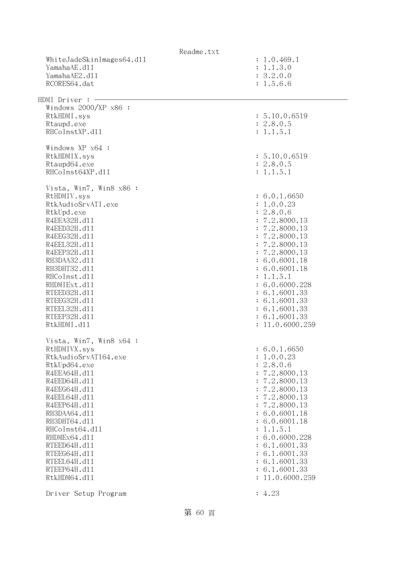|                              | Readme.txt                                  |
|------------------------------|---------------------------------------------|
| WhiteJadeSkinImages64.dll    | : 1.0.469.1                                 |
| YamahaAE.d11                 | : 1.1.3.0                                   |
| YamahaAE2.d11                | : 3.2.0.0                                   |
| RCORES64.dat                 | : 1.5.6.6                                   |
|                              |                                             |
| HDMI Driver : -              |                                             |
| Windows $2000/XP$ x86 :      |                                             |
| RtkHDMI.sys                  | : 5.10.0.6519                               |
| Rtaupd.exe                   | : 2.8.0.5                                   |
| RHCoInstXP.d11               | : 1.1.5.1                                   |
|                              |                                             |
| Windows XP x64 :             |                                             |
| RtkHDMIX.sys                 | : 5.10.0.6519                               |
| Rtaupd64.exe                 | : 2.8.0.5                                   |
| RHCoInst64XP.d11             | : 1.1.5.1                                   |
| Vista, Win7, Win8 x86 :      |                                             |
| RtHDMIV.sys                  | : 6.0.1.6650                                |
| RtkAudioSrvATI.exe           | : 1.0.0.23                                  |
| RtkUpd.exe                   | : 2.8.0.6                                   |
| R4EEA32H.d11                 | : 7.2.8000.13                               |
| R4EED32H.d11                 | : 7.2.8000.13                               |
| R4EEG32H.d11                 | : 7.2.8000.13                               |
| R4EEL32H.d11                 | : 7.2.8000.13                               |
| R4EEP32H.d11                 | : 7.2.8000.13                               |
| RH3DAA32.d11                 | : 6.0.6001.18                               |
| RH3DHT32.d11                 | : 6.0.6001.18                               |
| RHCoInst.d11                 | : 1.1.5.1                                   |
| RHDMIExt.d11                 | : 6.0.6000.228                              |
| RTEED32H.d11                 | : 6.1.6001.33                               |
| RTEEG32H.d11                 | : 6.1.6001.33                               |
| RTEEL32H.d11                 | : 6.1.6001.33                               |
| RTEEP32H.d11                 | : 6.1.6001.33                               |
| RtkHDMI.d11                  | : 11.0.6000.259                             |
|                              |                                             |
| Vista, Win7, Win8 x64 :      |                                             |
| RtHDMIVX.sys                 | : 6.0.1.6650                                |
| RtkAudioSrvATI64.exe         | 1.0.0.23                                    |
| RtkUpd64.exe                 | 2.8.0.6<br>$\ddot{\cdot}$                   |
| R4EEA64H.d11                 | : 7.2.8000.13                               |
| R4EED64H.d11                 | 7.2.8000.13<br>$\ddot{\cdot}$               |
| R4EEG64H.d11<br>R4EEL64H.d11 | 7.2.8000.13<br>÷<br>: 7.2.8000.13           |
|                              |                                             |
| R4EEP64H.d11<br>RH3DAA64.d11 | : 7.2.8000.13<br>: 6.0.6001.18              |
| RH3DHT64.d11                 | : 6.0.6001.18                               |
| RHCoInst64.d11               |                                             |
| RHDMEx64.d11                 | 1.1.5.1<br>$\ddot{\cdot}$<br>: 6.0.6000.228 |
| RTEED64H.d11                 | : 6.1.6001.33                               |
| RTEEG64H.d11                 | : 6.1.6001.33                               |
| RTEEL64H.d11                 | : 6.1.6001.33                               |
| RTEEP64H.d11                 | : 6.1.6001.33                               |
| RtkHDM64.d11                 | : 11.0.6000.259                             |
|                              |                                             |
| Driver Setup Program         | : 4.23                                      |
|                              |                                             |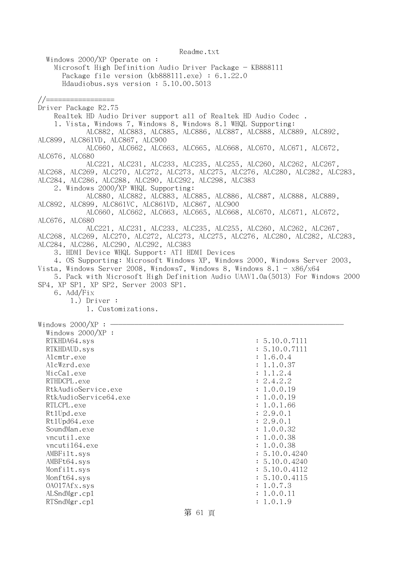Windows 2000/XP Operate on : Microsoft High Definition Audio Driver Package - KB888111 Package file version (kb888111.exe) : 6.1.22.0 Hdaudiobus.sys version : 5.10.00.5013 //================= Driver Package R2.75 Realtek HD Audio Driver support all of Realtek HD Audio Codec . 1. Vista, Windows 7, Windows 8, Windows 8.1 WHQL Supporting: ALC882, ALC883, ALC885, ALC886, ALC887, ALC888, ALC889, ALC892, ALC899, ALC861VD, ALC867, ALC900 ALC660, ALC662, ALC663, ALC665, ALC668, ALC670, ALC671, ALC672, ALC676, ALC680 ALC221, ALC231, ALC233, ALC235, ALC255, ALC260, ALC262, ALC267, ALC268, ALC269, ALC270, ALC272, ALC273, ALC275, ALC276, ALC280, ALC282, ALC283, ALC284, ALC286, ALC288, ALC290, ALC292, ALC298, ALC383 2. Windows 2000/XP WHQL Supporting: ALC880, ALC882, ALC883, ALC885, ALC886, ALC887, ALC888, ALC889, ALC892, ALC899, ALC861VC, ALC861VD, ALC867, ALC900 ALC660, ALC662, ALC663, ALC665, ALC668, ALC670, ALC671, ALC672, ALC676, ALC680 ALC221, ALC231, ALC233, ALC235, ALC255, ALC260, ALC262, ALC267, ALC268, ALC269, ALC270, ALC272, ALC273, ALC275, ALC276, ALC280, ALC282, ALC283, ALC284, ALC286, ALC290, ALC292, ALC383 3. HDMI Device WHQL Support: ATI HDMI Devices 4. OS Supporting: Microsoft Windows XP, Windows 2000, Windows Server 2003, Vista, Windows Server 2008, Windows7, Windows 8, Windows  $8.1 - x86/x64$  5. Pack with Microsoft High Definition Audio UAAV1.0a(5013) For Windows 2000 SP4, XP SP1, XP SP2, Server 2003 SP1. 6. Add/Fix 1.) Driver : 1. Customizations. Windows  $2000/XP : -$  Windows 2000/XP : RTKHDA64.sys : 5.10.0.7111 RTKHDAUD.sys : 5.10.0.7111 Alcmtr.exe : 1.6.0.4 AlcWzrd.exe : 1.1.0.37 MicCal.exe : 1.1.2.4 RTHDCPL.exe : 2.4.2.2 RtkAudioService.exe : 1.0.0.19 RtkAudioService64.exe : 1.0.0.19 RTLCPL.exe : 1.0.1.66 RtlUpd.exe : 2.9.0.1 Rt1Upd64.exe : 2.9.0.1 SoundMan.exe : 1.0.0.32 vncutil.exe : 1.0.0.38 vncuti164.exe : 1.0.0.38 AMBFilt.sys : 5.10.0.4240 AMBFt64.sys : 5.10.0.4240 Monfilt.sys : 5.10.0.4112 Monft64.sys : 5.10.0.4115 OAO17Afx.sys : 1.0.7.3 ALSndMgr.cp1 : 1.0.0.11

RTSndMgr.cpl : 1.0.1.9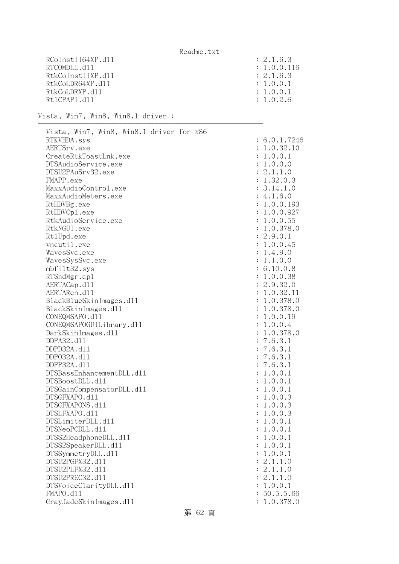| RCoInstII64XP.d11 | : 2.1.6.3   |
|-------------------|-------------|
| RTCOMDLL, d11     | : 1.0.0.116 |
| RtkCoInstIIXP.d11 | : 2.1.6.3   |
| RtkCoLDR64XP.d11  | : 1.0.0.1   |
| RtkCoLDRXP.d11    | : 1.0.0.1   |
| Rt1CPAPL.d11      | : 1.0.2.6   |

--------------------------------------------------------

Vista, Win7, Win8, Win8.1 driver :

| Vista, Win7, Win8, Win8.1 driver for x86 |              |
|------------------------------------------|--------------|
| RTKVHDA.sys                              | : 6.0.1.7246 |
| AERTSrv.exe                              | : 1.0.32.10  |
| CreateRtkToastLnk.exe                    | : 1.0.0.1    |
| DTSAudioService.exe                      | : 1.0.0.0    |
| DTSU2PAuSrv32.exe                        | : 2.1.1.0    |
| FMAPP.exe                                | : 1.32.0.3   |
| MaxxAudioControl.exe                     | : 3.14.1.0   |
| MaxxAudioMeters.exe                      | : 4.1.6.0    |
| RtHDVBg.exe                              | : 1.0.0.193  |
| RtHDVCp1.exe                             | : 1.0.0.927  |
| RtkAudioService.exe                      | : 1.0.0.55   |
| RtkNGUI.exe                              | : 1.0.378.0  |
| Rt1Upd.exe                               | : 2.9.0.1    |
| vncutil.exe                              | : 1.0.0.45   |
| WavesSvc.exe                             | : 1.4.9.0    |
| WavesSysSvc.exe                          | : 1.1.0.0    |
| mbfilt32.sys                             | : 6.10.0.8   |
| RTSndMgr.cp1                             | : 1.0.0.38   |
| AERTACap.d11                             | : 2.9.32.0   |
| AERTARen.d11                             | : 1.0.32.11  |
| BlackBlueSkinImages.dl1                  | : 1.0.378.0  |
| BlackSkinImages.dl1                      | : 1.0.378.0  |
| CONEQMSAPO.d11                           | : 1.0.0.19   |
| CONEQMSAPOGUILibrary.d11                 | : 1.0.0.4    |
| DarkSkinImages.d11                       | : 1.0.378.0  |
| DDPA32.d11                               | : 7.6.3.1    |
| DDPD32A.d11                              | : 7.6.3.1    |
| DDP032A.d11                              | : 7.6.3.1    |
| DDPP32A.d11                              | : 7.6.3.1    |
| DTSBassEnhancementDLL.d11                | : 1.0.0.1    |
| DTSBoostDLL.d11                          | : 1.0.0.1    |
| DTSGainCompensatorDLL.d11                | : 1.0.0.1    |
| DTSGFXAPO.d11                            | : 1.0.0.3    |
| DTSGFXAPONS.d11                          | : 1.0.0.3    |
| DTSLFXAPO.d11                            | : 1.0.0.3    |
| DTSLimiterDLL.d11                        | : 1.0.0.1    |
| DTSNeoPCDLL.d11                          | : 1.0.0.1    |
| DTSS2HeadphoneDLL.d11                    |              |
| DTSS2SpeakerDLL.d11                      | 1.0.0.1      |
|                                          | 1.0.0.1      |
| DTSSymmetryDLL.d11                       | 1.0.0.1      |
| DTSU2PGFX32.d11                          | 2.1.1.0      |
| DTSU2PLFX32.d11                          | 2.1.1.0      |
| DTSU2PREC32.d11                          | 2.1.1.0      |
| DTSVoiceClarityDLL.dl1                   | 1.0.0.1      |
| FMAPO.d11                                | 50.5.5.66    |
| GrayJadeSkinImages.d11                   | 1.0.378.0    |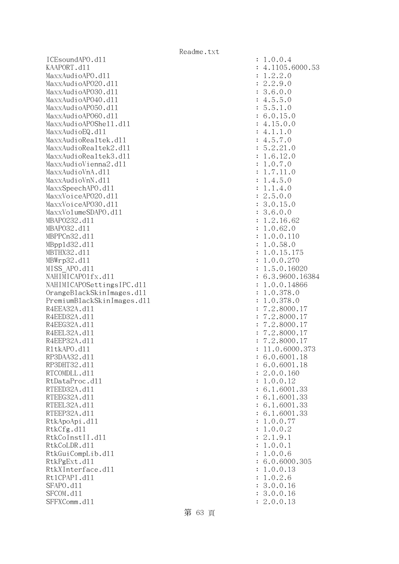ICEsoundAPO.dll : 1.0.0.4 KAAPORT.d11 : 4.1105.6000.53 MaxxAudioAPO.dll : 1.2.2.0 MaxxAudioAPO2O.dl1 : 2.2.9.0 MaxxAudioAPO30.dll : 3.6.0.0  $\text{MaxAudio}$ APO40.dll : 4.5.5.0 MaxxAudioAPO50.dll : 5.5.1.0 MaxxAudioAPO60.dll : 6.0.15.0  $\text{MaxAudio}$ APOShe $11.$ d $11$  :  $4.15.0.0$ MaxxAudioEQ.dl1 : 4.1.1.0 MaxxAudioRealtek.dll  $\cdot$  4.5.7.0 MaxxAudioRealtek2.dll : 5.2.21.0 MaxxAudioRealtek3.dll  $\qquad \qquad : 1.6.12.0$ MaxxAudioVienna2.dl1 : 1.0.7.0 MaxxAudioVnA.dl1 : 1.7.11.0  $\text{MaxAudioVnN.}d11$  :  $1.4.5.0$ MaxxSpeechAPO.d11 : 1.1.4.0 MaxxVoiceAP020.dl1 : 2.5.0.0 MaxxVoiceAPO30.dl1 : 3.0.15.0  $\text{MaxxVo1}$ umeSDAPO.dl1 : 3.6.0.0 MBAP0232.d11 : 1.2.16.62 MBAPO32.d11 : 1.0.62.0 MBPPCn32.d11 : 1.0.0.110 MBppld32.dll : 1.0.58.0 MBTHX32.d11 : 1.0.15.175 MBWrp32.dll : 1.0.0.270 MISS\_APO.dll : 1.5.0.16020 NAHIMICAPO1fx.dl1 : 6.3.9600.16384 NAHIMICAPOSettingsIPC.dll : 1.0.0.14866 OrangeBlackSkinImages.dll : 1.0.378.0 PremiumBlackSkinImages.dll : 1.0.378.0 R4EEA32A.d11 : 7.2.8000.17 R4EED32A.d11 : 7.2.8000.17 R4EEG32A.d11 : 7.2.8000.17 R4EEL32A.d11 : 7.2.8000.17 R4EEP32A.d11 : 7.2.8000.17 R1tkAPO.d11 : 11.0.6000.373 RP3DAA32.d11 : 6.0.6001.18 RP3DHT32.d11 : 6.0.6001.18 RTCOMDLL.d11 : 2.0.0.160 RtDataProc.dl1 : 1.0.0.12 RTEED32A.d11 : 6.1.6001.33 RTEEG32A.d11 : 6.1.6001.33 RTEEL32A.d11 : 6.1.6001.33 RTEEP32A.d11 : 6.1.6001.33 RtkApoApi.dll : 1.0.0.77 RtkCfg.dl1 : 1.0.0.2  $R$ tkCoInstII.dll  $\qquad \qquad$  : 2.1.9.1 RtkCoLDR.dll : 1.0.0.1 RtkGuiCompLib.dll : 1.0.0.6 RtkPgExt.dll : 6.0.6000.305 RtkXInterface.dl1 : 1.0.0.13 Rt1CPAPI.d11 : 1.0.2.6 SFAPO.d11 : 3.0.0.16 SFCOM.d11 : 3.0.0.16 SFFXComm.d11 : 2.0.0.13

第 63 頁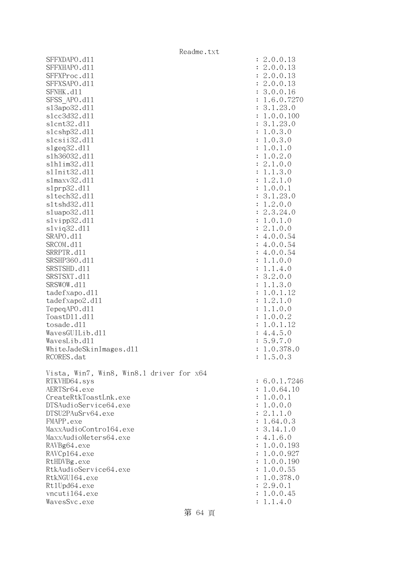|                                          | Readme.txt |                      |              |
|------------------------------------------|------------|----------------------|--------------|
| SFFXDAPO.d11                             |            |                      | : 2.0.0.13   |
| SFFXHAPO.d11                             |            |                      | : 2.0.0.13   |
| SFFXProc.d11                             |            |                      | : 2.0.0.13   |
| SFFXSAPO.d11                             |            |                      | : 2.0.0.13   |
| SFNHK.d11                                |            |                      | : 3.0.0.16   |
| SFSS APO.d11                             |            |                      | : 1.6.0.7270 |
| s13apo32.d11                             |            |                      | : 3.1.23.0   |
| s1cc3d32.d11                             |            |                      | : 1.0.0.100  |
| s1cnt32.d11                              |            |                      | : 3.1.23.0   |
| s1cshp32.d11                             |            |                      | : 1.0.3.0    |
| slcsii32.dll                             |            |                      | : 1.0.3.0    |
| slgeq32.d11                              |            |                      | : 1.0.1.0    |
| s1h36032.d11                             |            |                      | : 1.0.2.0    |
| s1h1im32.d11                             |            |                      | : 2.1.0.0    |
| s1Init32.d11                             |            |                      | : 1.1.3.0    |
| s1maxv32.d11                             |            |                      | : 1.2.1.0    |
| slprp32.d11                              |            |                      | : 1.0.0.1    |
| s1tech32.d11                             |            |                      | : 3.1.23.0   |
| s1tshd32.d11                             |            |                      | : 1.2.0.0    |
| sluapo32.dll                             |            |                      | : 2.3.24.0   |
| slvipp32.dll                             |            |                      | : 1.0.1.0    |
| slviq32.d11                              |            |                      | : 2.1.0.0    |
| SRAPO.d11                                |            |                      | : 4.0.0.54   |
| SRCOM.d11                                |            |                      | : 4.0.0.54   |
| SRRPTR.d11                               |            |                      | : 4.0.0.54   |
| SRSHP360.d11                             |            |                      | : 1.1.0.0    |
| SRSTSHD.d11                              |            |                      | : 1.1.4.0    |
| SRSTSXT.d11                              |            |                      | : 3.2.0.0    |
| SRSWOW.d11                               |            |                      | : 1.1.3.0    |
| tadefxapo.d11                            |            |                      | : 1.0.1.12   |
| tadefxapo2.d11                           |            | $\ddot{\cdot}$       | 1.2.1.0      |
| TepeqAPO.d11                             |            |                      | : 1.1.0.0    |
| ToastD11.d11                             |            | $\ddot{\cdot}$       | 1.0.0.2      |
| tosade.d11                               |            | $\ddot{\phantom{a}}$ | 1.0.1.12     |
| WavesGUILib.d11                          |            |                      | : 4.4.5.0    |
| WavesLib.d11                             |            | $\ddot{\phantom{a}}$ | 5.9.7.0      |
| WhiteJadeSkinImages.dl1                  |            |                      | : 1.0.378.0  |
| RCORES.dat                               |            |                      | : 1.5.0.3    |
|                                          |            |                      |              |
| Vista, Win7, Win8, Win8.1 driver for x64 |            |                      |              |
| RTKVHD64.sys                             |            |                      | : 6.0.1.7246 |
| AERTSr64.exe                             |            |                      | : 1.0.64.10  |
| CreateRtkToastLnk.exe                    |            |                      | : 1.0.0.1    |
| DTSAudioService64.exe                    |            |                      | : 1.0.0.0    |
| DTSU2PAuSrv64.exe                        |            |                      | : 2.1.1.0    |
| FMAPP.exe                                |            |                      | : 1.64.0.3   |
| MaxxAudioContro164.exe                   |            |                      | : 3.14.1.0   |
| MaxxAudioMeters64.exe                    |            |                      | : 4.1.6.0    |
| RAVBg64.exe                              |            |                      | : 1.0.0.193  |
| RAVCp164.exe                             |            |                      | : 1.0.0.927  |
| RtHDVBg.exe                              |            |                      | : 1.0.0.190  |
| RtkAudioService64.exe                    |            |                      | : 1.0.0.55   |
| RtkNGUI64.exe                            |            |                      | : 1.0.378.0  |
| Rt1Upd64.exe                             |            |                      | : 2.9.0.1    |
| vncuti164.exe                            |            |                      | : 1.0.0.45   |
| WavesSvc.exe                             |            |                      | : 1.1.4.0    |

第 64 頁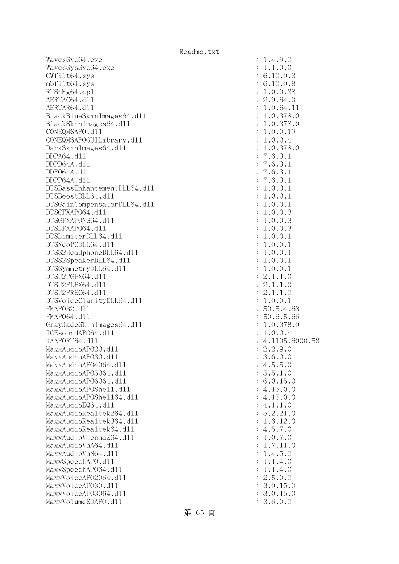$W$ avesSvc $64$ .exe  $: 1.4.9.0$ WavesSysSvc64.exe : 1.1.0.0 GWfilt64.sys : 6.10.0.3 mbfilt64.sys : 6.10.0.8 RTSnMg64.cp1 : 1.0.0.38 AERTAC64.d11 : 2.9.64.0 AERTAR64.d11 : 1.0.64.11 : 1.0.64.11 BlackBlueSkinImages64.dll : 1.0.378.0 BlackSkinImages64.dll : 1.0.378.0 CONEQMSAPO.dll : 1.0.0.19 CONEQMSAPOGUILibrary.dll : 1.0.0.4 DarkSkinImages64.dll : 1.0.378.0 DDPA64.dll : 7.6.3.1 DDPD64A.dll : 7.6.3.1 DDPO64A.dll : 7.6.3.1 DDPP64A.dll : 7.6.3.1 DTSBassEnhancementDLL64.dll : 1.0.0.1 DTSBoostDLL64.dll : 1.0.0.1 DTSGainCompensatorDLL64.dll : 1.0.0.1 DTSGFXAPO64.dll : 1.0.0.3 DTSGFXAPONS64.dll : 1.0.0.3 DTSLFXAPO64.dll : 1.0.0.3 DTSLimiterDLL64.dll : 1.0.0.1 DTSNeoPCDLL64.d11 : 1.0.0.1<br>DTSS2HeadphoneDLL64.d11 : 1.0.0.1 DTSS2HeadphoneDLL64.dl1 DTSS2SpeakerDLL64.dll : 1.0.0.1 DTSSymmetryDLL64.dll : 1.0.0.1 DTSU2PGFX64.dll : 2.1.1.0 DTSU2PLFX64.dll : 2.1.1.0 DTSU2PREC64.d11 : 2.1.1.0 DTSVoiceClarityDLL64.dll : 1.0.0.1 FMAP032.d11 : 50.5.4.68 FMAP064.d11 : 50.6.5.66 GrayJadeSkinImages64.dll : 1.0.378.0 ICEsoundAPO64.dll : 1.0.0.4 KAAPORT64.d11 : 4.1105.6000.53  $MaxAudioAPO20. d11$  : 2.2.9.0 MaxxAudioAPO30.dll : 3.6.0.0 MaxxAudioAP04064.dl1 : 4.5.5.0 MaxxAudioAPO5064.dll : 5.5.1.0 MaxxAudioAPO6064.dll : 6.0.15.0  $MaxAudioAPOShe11.d11$  : 4.15.0.0 MaxxAudioAPOShe1164.dl1 : 4.15.0.0  $\text{MaxAudioEQ64. d11}$  : 4.1.1.0 MaxxAudioRealtek264.dll : 5.2.21.0 MaxxAudioRealtek364.dll : 1.6.12.0  $MaxAudioRealtek64. d11$  : 4.5.7.0 MaxxAudioVienna264.dll : 1.0.7.0  $\text{MaxAudioV}$ n $\text{AG4. d11}$  : 1.7.11.0 MaxxAudioVnN64.dll : 1.4.5.0 MaxxSpeechAPO.dl1 : 1.1.4.0 MaxxSpeechAPO64.dll : 1.1.4.0 MaxxVoiceAP02064.dll : 2.5.0.0 MaxxVoiceAPO30.dl1 : 3.0.15.0 MaxxVoiceAP03064.dll : 3.0.15.0 MaxxVolumeSDAPO.dll : 3.6.0.0

第 65 頁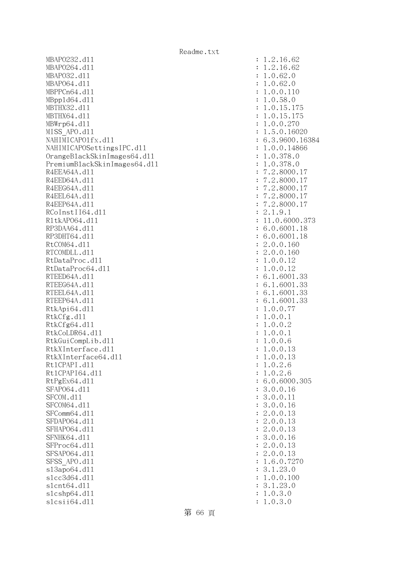MBAPO232.dll : 1.2.16.62 MBAPO264.d11 : 1.2.16.62 MBAPO32.d11 : 1.0.62.0 MBAPO64.dll : 1.0.62.0 MBPPCn64.dll : 1.0.0.110 MBppld64.dll : 1.0.58.0 MBTHX32.d11 : 1.0.15.175 MBTHX64.d11 : 1.0.15.175 MBWrp64.dll : 1.0.0.270 MISS APO.d11 : 1.5.0.16020 NAHIMICAPO1fx.dl1 : 6.3.9600.16384 NAHIMICAPOSettingsIPC.dll : 1.0.0.14866 OrangeBlackSkinImages64.dll : 1.0.378.0 PremiumBlackSkinImages64.dll : 1.0.378.0 R4EEA64A.d11 : 7.2.8000.17 R4EED64A.d11 : 7.2.8000.17 R4EEG64A.d11 : 7.2.8000.17 R4EEL64A.d11 : 7.2.8000.17 R4EEP64A.d11 : 7.2.8000.17  $RCoInstI164. d11$  : 2.1.9.1 R1tkAP064.d11 : 11.0.6000.373 RP3DAA64.d11 : 6.0.6001.18 RP3DHT64.d11 : 6.0.6001.18 RtCOM64.d11 : 2.0.0.160 RTCOMDLL.d11 : 2.0.0.160 RtDataProc.dl1 : 1.0.0.12 RtDataProc64.dl1 : 1.0.0.12 RTEED64A.d11 : 6.1.6001.33 RTEEG64A.d11 : 6.1.6001.33 RTEEL64A.d11 : 6.1.6001.33 RTEEP64A.d11 : 6.1.6001.33 RtkApi64.dl1 : 1.0.0.77 RtkCfg.d11 : 1.0.0.1 RtkCfg64.dl1 : 1.0.0.2 RtkCoLDR64.d11 : 1.0.0.1 RtkGuiCompLib.dll : 1.0.0.6 RtkXInterface.dl1 : 1.0.0.13 RtkXInterface64.dl1 : 1.0.0.13 Rt1CPAPI.d11 : 1.0.2.6 Rt1CPAPI64.d11 : 1.0.2.6 RtPgEx64.d11 : 6.0.6000.305 SFAP064.d11 : 3.0.0.16 SFCOM.d11 : 3.0.0.11 SFCOM64.d11 : 3.0.0.16 SFComm64.d11 : 2.0.0.13 SFDAP064.d11 : 2.0.0.13 SFHAPO64.d11 : 2.0.0.13 SFNHK64.d11 : 3.0.0.16 SFProc64.dll : 2.0.0.13 SFSAP064.d11 : 2.0.0.13 SFSS APO.d11 : 1.6.0.7270 sl3apo64.dll : 3.1.23.0 slcc3d64.dll : 1.0.0.100 slcnt64.dll : 3.1.23.0 slcshp64.dll : 1.0.3.0 slcsii64.dll : 1.0.3.0

第 66 頁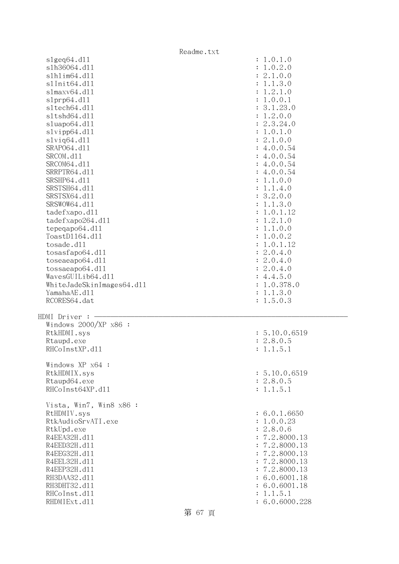|                                  | Readme.txt                |
|----------------------------------|---------------------------|
| slgeq64. d11                     | : 1.0.1.0                 |
| s1h36064.d11                     | 1.0.2.0                   |
| s1h1im64.d11                     | : 2.1.0.0                 |
| s1Init64.d11                     | 1.1.3.0                   |
| s1maxv64.d11                     | 1.2.1.0                   |
| slprp64.d11                      | 1.0.0.1                   |
| s1tech64.d11                     | 3.1.23.0                  |
| s1tshd64.d11                     | 1.2.0.0                   |
| sluapo64.d11                     | : 2.3.24.0                |
| slvipp64.d11                     | 1.0.1.0                   |
| $s1$ viq $64. d11$               | : 2.1.0.0                 |
| SRAP064.d11                      | 4.0.0.54                  |
| SRCOM.d11                        | 4.0.0.54                  |
| SRCOM64.d11                      | 4.0.0.54                  |
| SRRPTR64.d11                     | 4.0.0.54                  |
| SRSHP64.d11                      | 1.1.0.0                   |
| SRSTSH64.d11                     | 1.1.4.0                   |
| SRSTSX64.d11                     | : 3.2.0.0                 |
| SRSWOW64.d11                     | 1.1.3.0<br>$\ddot{\cdot}$ |
| tadefxapo.d11                    | 1.0.1.12                  |
| tadefxapo264.dll                 | 1.2.1.0                   |
| tepeqapo $64. d11$               | 1.1.0.0                   |
| ToastD1164.d11                   | 1.0.0.2                   |
| tosade.d11                       | 1.0.1.12                  |
| tosasfapo64.dll                  | : 2.0.4.0                 |
| to sea apo64.d11                 | : 2.0.4.0                 |
| tossaeapo64.d11                  | : 2.0.4.0                 |
| WavesGUILib64.d11                | : 4.4.5.0                 |
| WhiteJadeSkinImages64.dll        | 1.0.378.0                 |
| YamahaAE.d11                     | 1.1.3.0<br>$\ddot{\cdot}$ |
| RCORES64.dat                     | : 1.5.0.3                 |
|                                  |                           |
| HDMI Driver :                    |                           |
| Windows 2000/XP x86 :            |                           |
| RtkHDMI.sys                      | : 5.10.0.6519             |
| Rtaupd.exe                       | : 2.8.0.5                 |
| RHCoInstXP.d11                   | : 1.1.5.1                 |
|                                  |                           |
| Windows XP x64 :<br>RtkHDMIX.sys | : 5.10.0.6519             |
| Rtaupd64.exe                     | : 2.8.0.5                 |
| RHCoInst64XP.d11                 | : 1.1.5.1                 |
|                                  |                           |
| Vista, Win7, Win8 x86 :          |                           |
| RtHDMIV.sys                      | : 6.0.1.6650              |
| RtkAudioSrvATI.exe               | : 1.0.0.23                |
| RtkUpd.exe                       | : 2.8.0.6                 |
| R4EEA32H.d11                     | : 7.2.8000.13             |
| R4EED32H.d11                     | : 7.2.8000.13             |
| R4EEG32H.d11                     | : 7.2.8000.13             |
| R4EEL32H.d11                     | : 7.2.8000.13             |
| R4EEP32H.d11                     | : 7.2.8000.13             |
| RH3DAA32.d11                     | : 6.0.6001.18             |
| RH3DHT32.d11                     | : 6.0.6001.18             |
| RHCoInst.d11                     | : 1.1.5.1                 |
| RHDMIExt.d11                     | : 6.0.6000.228            |

第 67 頁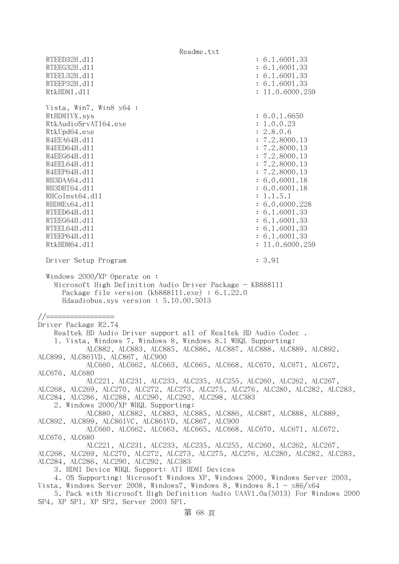Readme.txt RTEED32H.d11 : 6.1.6001.33 RTEEG32H.d11 : 6.1.6001.33 RTEEL32H.d11 : 6.1.6001.33 RTEEP32H.d11 : 6.1.6001.33 RtkHDMI.d11 : 11.0.6000.259 Vista, Win7, Win8 x64 : RtHDMIVX.sys : 6.0.1.6650 RtkAudioSrvATI64.exe : 1.0.0.23 RtkUpd64.exe : 2.8.0.6 R4EEA64H.d11 : 7.2.8000.13 R4EED64H.d11 : 7.2.8000.13 R4EEG64H.d11 : 7.2.8000.13 R4EEL64H.d11 : 7.2.8000.13 R4EEP64H.d11 : 7.2.8000.13 RH3DAA64.d11 : 6.0.6001.18 RH3DHT64.d11 : 6.0.6001.18 RHCoInst64.dl1 : 1.1.5.1 RHDMEx64.d11 : 6.0.6000.228 RTEED64H.d11 : 6.1.6001.33 RTEEG64H.d11 : 6.1.6001.33 RTEEL64H.d11 : 6.1.6001.33 RTEEP64H.d11 : 6.1.6001.33 RtkHDM64.dll : 11.0.6000.259 Driver Setup Program : 3.91 Windows 2000/XP Operate on : Microsoft High Definition Audio Driver Package - KB888111 Package file version (kb888111.exe) : 6.1.22.0 Hdaudiobus.sys version : 5.10.00.5013 //================= Driver Package R2.74 Realtek HD Audio Driver support all of Realtek HD Audio Codec . 1. Vista, Windows 7, Windows 8, Windows 8.1 WHQL Supporting: ALC882, ALC883, ALC885, ALC886, ALC887, ALC888, ALC889, ALC892, ALC899, ALC861VD, ALC867, ALC900 ALC660, ALC662, ALC663, ALC665, ALC668, ALC670, ALC671, ALC672, ALC676, ALC680 ALC221, ALC231, ALC233, ALC235, ALC255, ALC260, ALC262, ALC267, ALC268, ALC269, ALC270, ALC272, ALC273, ALC275, ALC276, ALC280, ALC282, ALC283, ALC284, ALC286, ALC288, ALC290, ALC292, ALC298, ALC383 2. Windows 2000/XP WHQL Supporting: ALC880, ALC882, ALC883, ALC885, ALC886, ALC887, ALC888, ALC889, ALC892, ALC899, ALC861VC, ALC861VD, ALC867, ALC900 ALC660, ALC662, ALC663, ALC665, ALC668, ALC670, ALC671, ALC672, ALC676, ALC680 ALC221, ALC231, ALC233, ALC235, ALC255, ALC260, ALC262, ALC267, ALC268, ALC269, ALC270, ALC272, ALC273, ALC275, ALC276, ALC280, ALC282, ALC283, ALC284, ALC286, ALC290, ALC292, ALC383 3. HDMI Device WHQL Support: ATI HDMI Devices 4. OS Supporting: Microsoft Windows XP, Windows 2000, Windows Server 2003, Vista, Windows Server 2008, Windows7, Windows 8, Windows 8.1 -  $x86/x64$  5. Pack with Microsoft High Definition Audio UAAV1.0a(5013) For Windows 2000 SP4, XP SP1, XP SP2, Server 2003 SP1.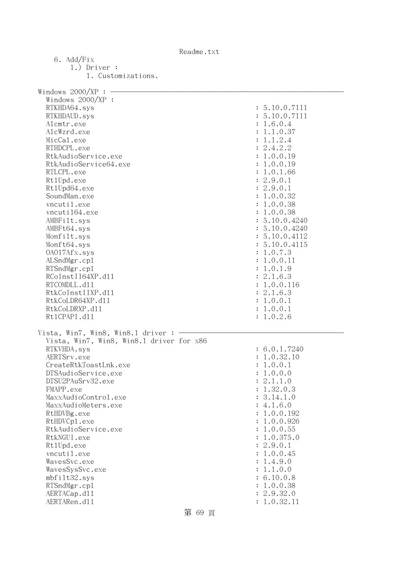Readme.txt

| 6. Add/Fix                               |               |
|------------------------------------------|---------------|
| $1.)$ Driver :                           |               |
| 1. Customizations.                       |               |
|                                          |               |
| Windows 2000/XP :                        |               |
| Windows $2000/XP$ :                      |               |
| RTKHDA64.sys                             | : 5.10.0.7111 |
| RTKHDAUD.sys                             | : 5.10.0.7111 |
| Alcmtr.exe                               | : 1.6.0.4     |
| AlcWzrd.exe                              | 1.1.0.37      |
| MicCal.exe                               |               |
|                                          | 1.1.2.4       |
| RTHDCPL.exe                              | 2.4.2.2       |
| RtkAudioService.exe                      | : 1.0.0.19    |
| RtkAudioService64.exe                    | 1.0.0.19      |
| RTLCPL.exe                               | 1.0.1.66      |
| Rt1Upd.exe                               | : 2.9.0.1     |
| Rt1Upd64.exe                             | : 2.9.0.1     |
| SoundMan.exe                             | : 1.0.0.32    |
| vncutil.exe                              | 1.0.0.38      |
| vncuti164.exe                            | : 1.0.0.38    |
| AMBFilt.sys                              | : 5.10.0.4240 |
| AMBFt64.sys                              | : 5.10.0.4240 |
| Monfilt.sys                              | : 5.10.0.4112 |
| Monft64.sys                              | : 5.10.0.4115 |
| 0A017Afx.sys                             | : 1.0.7.3     |
| ALSndMgr.cp1                             | 1.0.0.11      |
| RTSndMgr.cp1                             | 1.0.1.9       |
| RCoInstII64XP.d11                        | : 2.1.6.3     |
| RTCOMDLL.d11                             | : 1.0.0.116   |
| RtkCoInstIIXP.d11                        | : 2.1.6.3     |
| RtkCoLDR64XP.d11                         | : 1.0.0.1     |
| RtkCoLDRXP.d11                           | : 1.0.0.1     |
| Rt1CPAPI.d11                             | : 1.0.2.6     |
|                                          |               |
| Vista, Win7, Win8, Win8.1 driver:        |               |
| Vista, Win7, Win8, Win8.1 driver for x86 |               |
| RTKVHDA.sys                              | : 6.0.1.7240  |
| AERTSrv.exe                              | : 1.0.32.10   |
| CreateRtkToastLnk.exe                    | 1.0.0.1       |
| DTSAudioService.exe                      | 1.0.0.0       |
| DTSU2PAuSrv32.exe                        | : 2.1.1.0     |
| FMAPP.exe                                | : 1.32.0.3    |
| MaxxAudioControl.exe                     | : 3.14.1.0    |
| MaxxAudioMeters.exe                      | : 4.1.6.0     |
| RtHDVBg.exe                              | : 1.0.0.192   |
| RtHDVCp1.exe                             | : 1.0.0.926   |
| RtkAudioService.exe                      | : 1.0.0.55    |
| RtkNGUI.exe                              | : 1.0.375.0   |
| Rt1Upd.exe                               | : 2.9.0.1     |
| vncutil.exe                              | : 1.0.0.45    |
| WavesSvc.exe                             | : 1.4.9.0     |
| WavesSysSvc.exe                          | : 1.1.0.0     |
| mbfilt32.sys                             | : 6.10.0.8    |
| RTSndMgr.cp1                             | : 1.0.0.38    |
| AERTACap.d11                             | : 2.9.32.0    |
| AERTARen.d11                             | : 1.0.32.11   |

第 69 頁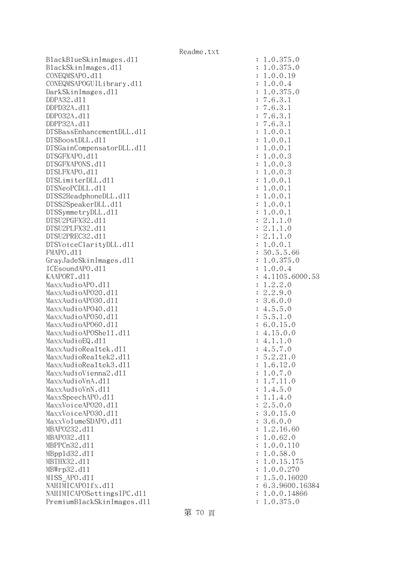BlackBlueSkinImages.dll BlackSkinImages.dll CONEQMSAPO.dl1 CONEQMSAPOGUILibrary.dl1 DarkSkinImages.dll DDPA32.d11 DDPD32A.d11 DDP032A.d11 DDPP32A.d11 DTSBassEnhancementDLL.dl1 DTSBoostDLL.d11 DTSGainCompensatorDLL.dl1 DTSGFXAPO.d11 DTSGFXAPONS.d11 DTSLFXAPO.d11 DTSLimiterDLL.d11 DTSNeoPCDLL.d11 DTSS2HeadphoneDLL.d11 DTSS2SpeakerDLL.dl1 DTSSymmetryDLL.dl1 DTSU2PGFX32.d11 DTSU2PLFX32.d11 DTSU2PREC32.d11 DTSVoiceClarityDLL.dl1  $FMAPO. d11$ GrayJadeSkinImages.dl1 ICEsoundAPO.d11 KAAPORT.d11 MaxxAudioAPO.dll MaxxAudioAP020.dll MaxxAudioAPO30.dll MaxxAudioAPO40.dll MaxxAudioAP050.dll MaxxAudioAP060.dll MaxxAudioAPOShe11.dl1 MaxxAudioEQ.dll MaxxAudioRealtek.dll MaxxAudioRealtek2.dll MaxxAudioRealtek3.dll MaxxAudioVienna2.dll MaxxAudioVnA.dll MaxxAudioVnN.dll MaxxSpeechAPO.dl1 MaxxVoiceAP020.dll MaxxVoiceAP030.dll MaxxVolumeSDAPO.dl1 MBAP0232.d11 MBAP032.d11 MBPPCn32.d11 MBpp1d32.d11 MBTHX32.d11 MBWrp32.d11 MISS APO.dl1 NAHIMICAPO1fx.dll NAHIMICAPOSettingsIPC.dl1 PremiumBlackSkinImages.dll

| $\ddot{\cdot}$ |                                                                                                                                                                                                                                                                                                             |
|----------------|-------------------------------------------------------------------------------------------------------------------------------------------------------------------------------------------------------------------------------------------------------------------------------------------------------------|
| $\ddot{\cdot}$ |                                                                                                                                                                                                                                                                                                             |
|                |                                                                                                                                                                                                                                                                                                             |
|                |                                                                                                                                                                                                                                                                                                             |
|                |                                                                                                                                                                                                                                                                                                             |
|                |                                                                                                                                                                                                                                                                                                             |
|                |                                                                                                                                                                                                                                                                                                             |
|                |                                                                                                                                                                                                                                                                                                             |
|                |                                                                                                                                                                                                                                                                                                             |
|                | 1.0.375.0<br>1.0.375.0<br>1.0.0.19<br>1.0.0.1<br>1.0.375.0<br>7.6.3.1<br>7.6.3.1<br>7.6.3.1<br>7.6.3.1<br>7.6.3.1<br>1.0.0.1<br>1.0.0.1<br>1.0.0.3<br>1.0.0.3<br>1.0.0.3<br>1.0.0.3<br>1.0.0.1<br>1.0.0.1<br>1.0.0.1<br>1.0.0.1<br>1.0.0.1<br>1.0.0.1<br>1.0.0.1<br>1.0.0.1<br>1.0.0.1<br>1.0.0.1<br>1.0.0. |
|                |                                                                                                                                                                                                                                                                                                             |
|                |                                                                                                                                                                                                                                                                                                             |
|                |                                                                                                                                                                                                                                                                                                             |
|                |                                                                                                                                                                                                                                                                                                             |
|                |                                                                                                                                                                                                                                                                                                             |
|                |                                                                                                                                                                                                                                                                                                             |
|                |                                                                                                                                                                                                                                                                                                             |
|                |                                                                                                                                                                                                                                                                                                             |
|                |                                                                                                                                                                                                                                                                                                             |
|                |                                                                                                                                                                                                                                                                                                             |
|                |                                                                                                                                                                                                                                                                                                             |
|                |                                                                                                                                                                                                                                                                                                             |
|                |                                                                                                                                                                                                                                                                                                             |
|                |                                                                                                                                                                                                                                                                                                             |
|                |                                                                                                                                                                                                                                                                                                             |
|                |                                                                                                                                                                                                                                                                                                             |
|                |                                                                                                                                                                                                                                                                                                             |
|                |                                                                                                                                                                                                                                                                                                             |
|                |                                                                                                                                                                                                                                                                                                             |
|                | 53                                                                                                                                                                                                                                                                                                          |
|                |                                                                                                                                                                                                                                                                                                             |
|                |                                                                                                                                                                                                                                                                                                             |
|                |                                                                                                                                                                                                                                                                                                             |
|                |                                                                                                                                                                                                                                                                                                             |
|                |                                                                                                                                                                                                                                                                                                             |
|                |                                                                                                                                                                                                                                                                                                             |
|                |                                                                                                                                                                                                                                                                                                             |
|                |                                                                                                                                                                                                                                                                                                             |
| $\vdots$       |                                                                                                                                                                                                                                                                                                             |
| $\ddot{\cdot}$ | 5.2.21.0                                                                                                                                                                                                                                                                                                    |
| $\ddot{\cdot}$ | 1.6.12.0                                                                                                                                                                                                                                                                                                    |
|                |                                                                                                                                                                                                                                                                                                             |
|                | $1.0.7.0$<br>$1.7.11.0$                                                                                                                                                                                                                                                                                     |
|                | $1.4.5.0$<br>$1.1.4.0$<br>$2.5.0.0$                                                                                                                                                                                                                                                                         |
|                |                                                                                                                                                                                                                                                                                                             |
|                |                                                                                                                                                                                                                                                                                                             |
|                | 3.0.15.0                                                                                                                                                                                                                                                                                                    |
|                | 3.6.0.0                                                                                                                                                                                                                                                                                                     |
|                | 1.2.16.60                                                                                                                                                                                                                                                                                                   |
|                | 1.0.62.0                                                                                                                                                                                                                                                                                                    |
|                | 1.0.0.110                                                                                                                                                                                                                                                                                                   |
|                | 1.0.58.<br>$\circ$                                                                                                                                                                                                                                                                                          |
|                | .0.15.<br>175<br>$\mathbf 1$                                                                                                                                                                                                                                                                                |
|                | .0.0.270<br>$\mathbf 1$                                                                                                                                                                                                                                                                                     |
|                | 1.5.0.16020                                                                                                                                                                                                                                                                                                 |
|                | 6.3.9600.16384                                                                                                                                                                                                                                                                                              |
| $\ddot{\cdot}$ | 1.0.0.14866                                                                                                                                                                                                                                                                                                 |
| $\ddot{\cdot}$ | 1.0.375.0                                                                                                                                                                                                                                                                                                   |
|                |                                                                                                                                                                                                                                                                                                             |

第 70 頁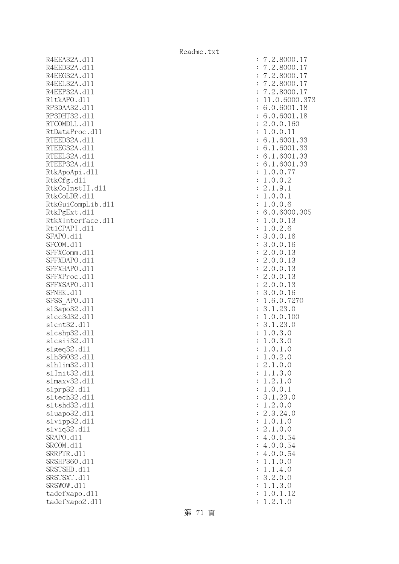R4EEA32A.d11 R4EED32A.d11 R4EEG32A.d11 R4EEL32A.d11 R4EEP32A.d11 R1tkAPO.d11 : 11.0.6000.373 RP3DAA32.d11 RP3DHT32.d11 RTCOMDLL.d11 RtDataProc.dl1 RTEED32A.d11 RTEEG32A.d11 RTEEL32A.d11 RTEEP32A.d11 RtkApoApi.dll RtkCfg.dll RtkCoInstII.d11 RtkCoLDR.d11 RtkGuiCompLib.dl1 RtkPgExt.d11 RtkXInterface.d11 Rt1CPAPI.d11 SFAPO.d11 SFCOM.dl1 SFFXComm.dl1 SFFXDAPO.d11 SFFXHAPO.d11 SFFXProc.dl1 SFFXSAPO.d11 SFNHK.d11 SFSS\_APO.d11 s13apo32.dl1 slcc3d32.d11 slcnt32.dl1 slcshp32.dl1 slcsii32.dl1 slgeq32.dll slh36032.dl1 slhlim32.dll s1Init32.d11 s1maxv32.d11 slprp32.dl1 sltech32.dll sltshd32.d11 sluapo32.dl1 slvipp32.dll slviq32.dl1 SRAPO.d11 SRCOM.d11 SRRPTR.d11 SRSHP360.d11 SRSTSHD.d11 SRSTSXT.d11 SRSWOW.dl1 tadefxapo.dl1 tadefxapo2.dl1

| $\ddot{\cdot}$ | 2.8000.17                                                                 |
|----------------|---------------------------------------------------------------------------|
| $\ddot{\cdot}$ | 2.8000.<br>$\ddot{\phantom{0}}$<br>$\mathbf 1$                            |
| $\ddot{\cdot}$ | 2.8000.<br>$\ddot{\phantom{0}}$<br>1                                      |
| $\ddot{\cdot}$ | $\overline{7}$<br>2.8000.<br>$\ddot{\phantom{0}}$<br>17                   |
|                | $\cdot$ 2<br>.8000.                                                       |
| $\ddot{\cdot}$ | 17                                                                        |
| $\ddot{\cdot}$ | 1.0.6000.37<br>$\mathbf 1$                                                |
| $\ddot{\cdot}$ | .0.6001.<br>18<br>6                                                       |
| $\ddot{\cdot}$ | 6.0.6001.<br>18                                                           |
| $\ddot{\cdot}$ | .0.0.160<br>$\overline{c}$                                                |
| $\ddot{\cdot}$ | 0.0.11<br>$\mathbf 1$<br>$\ddot{\phantom{a}}$                             |
| $\ddot{\cdot}$ | 1.6001<br>6.<br>33                                                        |
| $\ddot{\cdot}$ | 1.6001.<br>6.<br>33                                                       |
| $\ddot{\cdot}$ | 1.6001.<br>33<br>6.                                                       |
| $\ddot{\cdot}$ | 6.1.6001<br>.33                                                           |
| $\ddot{\cdot}$ | $\ddot{\phantom{a}}$<br>0.0.77<br>$\,1$                                   |
| $\ddot{\cdot}$ | .0.0.2<br>$\,1$                                                           |
| $\ddot{\cdot}$ | $\overline{c}$<br>.1.9.1                                                  |
| $\ddot{\cdot}$ | 0.0.1<br>$\ddot{\phantom{a}}$<br>$\mathbf 1$                              |
| $\ddot{\cdot}$ | $\mathbf 1$<br>.0.0.6                                                     |
| $\ddot{\cdot}$ | .0.6000.305<br>6                                                          |
| $\ddot{\cdot}$ | .0.0.13<br>$\mathbf 1$                                                    |
| $\ddot{\cdot}$ | .0.2.6<br>$\mathbf{1}$                                                    |
| $\ddot{\cdot}$ | 3<br>.0.0.<br>16                                                          |
| $\ddot{\cdot}$ | .0.0.16<br>3                                                              |
| $\ddot{\cdot}$ | $\overline{c}$<br>.0.0.13                                                 |
| $\ddot{\cdot}$ | $\overline{c}$<br>.0.0.13                                                 |
| $\ddot{\cdot}$ | $\overline{c}$<br>.0.0.13                                                 |
| $\ddot{\cdot}$ | $\overline{c}$<br>.0.0.13                                                 |
| $\ddot{\cdot}$ | $\overline{c}$<br>.0.0.13                                                 |
| $\ddot{\cdot}$ | 3<br>16<br>.0.0.                                                          |
| $\ddot{\cdot}$ | $\mathbf{1}$<br>.6.0.<br>7270                                             |
| $\ddot{\cdot}$ | 23.0<br>3<br>$\cdot$ 1<br>$\ddot{\phantom{a}}$                            |
| $\ddot{\cdot}$ | $\mathbf 1$<br>$\ddot{\phantom{0}}$<br>0.0.100                            |
| $\ddot{\cdot}$ | 23.0<br>3<br>$\ddot{\phantom{0}}$<br>$\ddot{\phantom{a}}$<br>$\mathbf{1}$ |
| $\ddot{\cdot}$ | 0.3.0<br>$\ddot{\phantom{0}}$<br>1                                        |
| $\ddot{\cdot}$ | .0.3.0<br>$\mathbf 1$                                                     |
| $\ddot{\cdot}$ | 0.1<br>1<br>$\ddot{\phantom{a}}$<br>$\cdot$ <sup>0</sup>                  |
| $\ddot{\cdot}$ | $\mathbf 1$<br>0.2<br>$\cdot$ 0                                           |
| $\ddot{\cdot}$ | 1.0.0<br>$\mathbf{c}$<br>$\ddot{\phantom{0}}$                             |
| $\ddot{\cdot}$ | 1.3.0<br>$\ddot{\phantom{0}}$<br>1                                        |
| $\ddot{\cdot}$ | 2.1.0<br>$\mathbf 1$<br>$\ddot{\phantom{0}}$                              |
| $\ddot{\cdot}$ | 1.<br>0.0.1                                                               |
| $\ddot{\cdot}$ | 3.1.<br>23.0                                                              |
| $\ddot{\cdot}$ | 2.0.0<br>$\mathbf 1$<br>$\ddot{\phantom{a}}$                              |
| $\ddot{\cdot}$ | 3.24.0<br>2.                                                              |
| $\ddot{\cdot}$ | 1.<br>0.1.0                                                               |
| $\ddot{\cdot}$ | 2.1.0.0                                                                   |
| $\ddot{\cdot}$ | 4.0.0.54                                                                  |
| $\ddot{\cdot}$ | 4.0.0.54                                                                  |
| $\ddot{\cdot}$ | 4.0.0.54                                                                  |
| $\ddot{\cdot}$ | 1.1.0.0                                                                   |
| $\ddot{\cdot}$ | 1.<br>1.<br>4.0                                                           |
| $\ddot{\cdot}$ | 2.0.<br>3.<br>$\overline{O}$                                              |
| $\ddot{\cdot}$ | $\cdot\,1$ .<br>3.0<br>$\mathbf 1$                                        |
| $\ddot{\cdot}$ | 1.<br>$0$ .<br>$1$ .<br>12                                                |
| $\ddot{\cdot}$ | 1.2.1.0                                                                   |
|                |                                                                           |

第 71 頁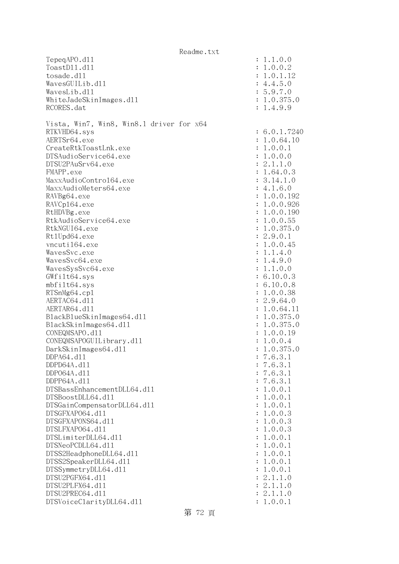|                                          | Readme.txt           |                          |
|------------------------------------------|----------------------|--------------------------|
| TepeqAPO.d11                             |                      | : 1.1.0.0                |
| ToastD11.d11                             |                      | : 1.0.0.2                |
| tosade.d11                               |                      | : 1.0.1.12               |
| WavesGUILib.d11                          |                      | : 4.4.5.0                |
| WavesLib.d11                             |                      | : 5.9.7.0                |
| WhiteJadeSkinImages.dl1                  |                      | : 1.0.375.0              |
| RCORES.dat                               |                      | : 1.4.9.9                |
|                                          |                      |                          |
| Vista, Win7, Win8, Win8.1 driver for x64 |                      |                          |
| RTKVHD64.sys                             |                      | : 6.0.1.7240             |
| AERTSr64.exe                             |                      | : 1.0.64.10              |
| CreateRtkToastLnk.exe                    |                      | : 1.0.0.1                |
| DTSAudioService64.exe                    |                      | : 1.0.0.0                |
| DTSU2PAuSrv64.exe<br>FMAPP.exe           |                      | : 2.1.1.0                |
| MaxxAudioContro164.exe                   |                      | : 1.64.0.3<br>: 3.14.1.0 |
| MaxxAudioMeters64.exe                    |                      | : 4.1.6.0                |
| RAVBg64.exe                              |                      | : 1.0.0.192              |
| RAVCp164.exe                             |                      | : 1.0.0.926              |
| RtHDVBg.exe                              |                      | : 1.0.0.190              |
| RtkAudioService64.exe                    |                      | : 1.0.0.55               |
| RtkNGUI64.exe                            |                      | : 1.0.375.0              |
| Rt1Upd64.exe                             |                      | : 2.9.0.1                |
| vncuti164.exe                            |                      | : 1.0.0.45               |
| WavesSvc.exe                             |                      | : 1.1.4.0                |
| WavesSvc64.exe                           |                      | : 1.4.9.0                |
| WavesSysSvc64.exe                        |                      | : 1.1.0.0                |
| GWfilt64.sys                             |                      | : 6.10.0.3               |
| mbfilt64.sys                             |                      | : 6.10.0.8               |
| RTSnMg64.cp1                             |                      | : 1.0.0.38               |
| AERTAC64.d11                             |                      | : 2.9.64.0               |
| AERTAR64.d11                             |                      | : 1.0.64.11              |
| BlackBlueSkinImages64.dll                |                      | : 1.0.375.0              |
| BlackSkinImages64.dl1                    |                      | : 1.0.375.0              |
| CONEQMSAPO.d11                           |                      | : 1.0.0.19               |
| CONEQMSAPOGUILibrary.d11                 |                      | : 1.0.0.4                |
| DarkSkinImages64.d11                     |                      | 1.0.375.0                |
| DDPA64.d11                               |                      | : 7.6.3.1                |
| DDPD64A.d11<br>DDP064A.d11               |                      | : 7.6.3.1<br>: 7.6.3.1   |
| DDPP64A.d11                              |                      | : 7.6.3.1                |
| DTSBassEnhancementDLL64.d11              | $\ddot{\phantom{a}}$ | 1.0.0.1                  |
| DTSBoostDLL64.d11                        | $\ddot{\cdot}$       | 1.0.0.1                  |
| DTSGainCompensatorDLL64.d11              | $\ddot{\cdot}$       | 1.0.0.1                  |
| DTSGFXAP064.d11                          | $\ddot{\cdot}$       | 1.0.0.3                  |
| DTSGFXAPONS64.d11                        | $\ddot{\phantom{a}}$ | 1.0.0.3                  |
| DTSLFXAP064.d11                          | $\ddot{\cdot}$       | 1.0.0.3                  |
| DTSLimiterDLL64.d11                      |                      | : 1.0.0.1                |
| DTSNeoPCDLL64.d11                        |                      | : 1.0.0.1                |
| DTSS2HeadphoneDLL64.d11                  |                      | : 1.0.0.1                |
| DTSS2SpeakerDLL64.d11                    |                      | : 1.0.0.1                |
| DTSSymmetryDLL64.d11                     |                      | : 1.0.0.1                |
| DTSU2PGFX64.d11                          |                      | : 2.1.1.0                |
| DTSU2PLFX64.d11                          |                      | : 2.1.1.0                |
| DTSU2PREC64.d11                          |                      | : 2.1.1.0                |
| DTSVoiceClarityDLL64.dl1                 |                      | : 1.0.0.1                |

## 第 72 頁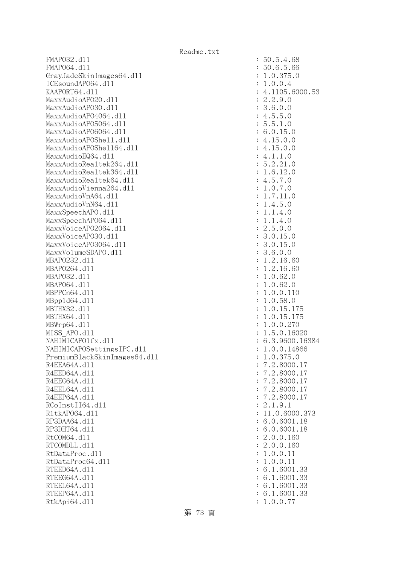FMAPO32.d11 : 50.5.4.68 FMAP064.d11 : 50.6.5.66 GrayJadeSkinImages64.dl1 : 1.0.375.0 ICEsoundAPO64.dll : 1.0.0.4 KAAPORT64.d11 : 4.1105.6000.53 MaxxAudioAPO20.dll : 2.2.9.0 MaxxAudioAPO30.dll : 3.6.0.0 MaxxAudioAPO4064.dll : 4.5.5.0 MaxxAudioAPO5064.dll : 5.5.1.0 MaxxAudioAPO6064.dll : 6.0.15.0 MaxxAudioAPOShe11.dl1 : 4.15.0.0 MaxxAudioAPOShe1164.dl1 : 4.15.0.0  $\text{MaxAudioEQ64. d11}$  : 4.1.1.0 MaxxAudioRealtek264.dll : 5.2.21.0 MaxxAudioRealtek364.dll : 1.6.12.0 MaxxAudioRealtek64.dll : 4.5.7.0 MaxxAudioVienna264.dll : 1.0.7.0 MaxxAudioVnA64.dl1 : 1.7.11.0 MaxxAudioVnN64.dll : 1.4.5.0 MaxxSpeechAPO.d11 in the state of the state of the state of the state of the state of the state of the state of the state of the state of the state of the state of the state of the state of the state of the state of the st MaxxSpeechAP064.dll : 1.1.4.0 MaxxVoiceAP02064.dll : 2.5.0.0 MaxxVoiceAP030.d11 : 3.0.15.0 MaxxVoiceAP03064.dll : 3.0.15.0 MaxxVolumeSDAPO.dl1 : 3.6.0.0 MBAPO232.d11 : 1.2.16.60 MBAPO264.d11 : 1.2.16.60 MBAPO32.dll : 1.0.62.0 MBAP064.dll : 1.0.62.0 MBPPCn64.dll : 1.0.0.110 MBppld64.dll : 1.0.58.0 MBTHX32.d11 : 1.0.15.175 MBTHX64.d11 : 1.0.15.175 MBWrp64.dll : 1.0.0.270 MISS APO.d11 : 1.5.0.16020 NAHIMICAPO1fx.dl1 : 6.3.9600.16384 NAHIMICAPOSettingsIPC.dll : 1.0.0.14866 PremiumBlackSkinImages64.dll : 1.0.375.0 R4EEA64A.d11 : 7.2.8000.17 R4EED64A.d11 : 7.2.8000.17 R4EEG64A.d11 : 7.2.8000.17 R4EEL64A.d11 : 7.2.8000.17 R4EEP64A.d11 : 7.2.8000.17 RCoInstII64.dll : 2.1.9.1 R1tkAP064.d11 : 11.0.6000.373 RP3DAA64.d11 : 6.0.6001.18 RP3DHT64.d11 : 6.0.6001.18 RtCOM64.d11 : 2.0.0.160 RTCOMDLL.d11 : 2.0.0.160 RtDataProc.dl1 : 1.0.0.11 : 1.0.0.11 RtDataProc64.dl1 : 1.0.0.11 : 1.0.0.11 RTEED64A.d11 : 6.1.6001.33 RTEEG64A.d11 : 6.1.6001.33 RTEEL64A.d11 : 6.1.6001.33 RTEEP64A.d11 : 6.1.6001.33 RtkApi64.dl1 : 1.0.0.77

第 73 頁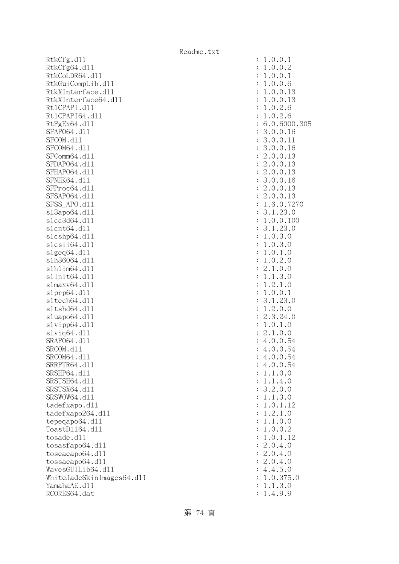RtkCfg.dll RtkCfg64.dl1 RtkCoLDR64.dl1 RtkGuiCompLib.dl1 RtkXInterface.dl1 RtkXInterface64.dl1 Rt1CPAPI.d11 Rt1CPAPI64.dl1 RtPgEx64.dll : 6.0.6000.305 SFAP064.dl1 SFCOM.d11 SFCOM64.d11 SFComm64.dl1 SFDAP064.d11 SFHAP064.d11 SFNHK64.d11 SFProc64.dl1 SFSAP064.d11 SFSS APO.dl1 s13apo64.dl1 slcc3d64.dl1 slcnt64.dl1  $s1c$ shp $64.d11$ slcsii64.dll slgeq64.dll s1h36064.dl1  $s1h1im64.d11$ s1Init64.d11 s1maxv64.dl1 s1prp64.dl1 sltech64.dl1 sltshd64.dl1 sluapo64.dl1  $s1$ vipp $64.d11$ slviq64.dll SRAP064.d11 SRCOM.d11 SRCOM64.d11 SRRPTR64.d11 SRSHP64.d11 SRSTSH64.d11 SRSTSX64.d11 SRSWOW64.d11 tadefxapo.dl1 tadefxapo264.dll tepeqapo64.dl1 ToastD1164.d11 tosade.dl1  $t$ osasfapo $64. d11$ toseaeapo64.dl1  $t$ ossaeapo $64$ .dll WavesGUILib64.dll WhiteJadeSkinImages64.dll YamahaAE.d11 RCORES64.dat

| $\ddot{\cdot}$ | $\mathbf{1}$                                                                                                            |
|----------------|-------------------------------------------------------------------------------------------------------------------------|
| $\ddot{\cdot}$ | $\mathbf{1}$                                                                                                            |
| $\ddot{\cdot}$ | $\mathbf{1}$                                                                                                            |
| $\ddot{\cdot}$ | $\mathbf{1}$                                                                                                            |
| $\ddot{\cdot}$ | $\mathbf{1}$                                                                                                            |
|                | $\mathbf{1}$                                                                                                            |
|                |                                                                                                                         |
|                |                                                                                                                         |
|                |                                                                                                                         |
|                |                                                                                                                         |
|                |                                                                                                                         |
|                |                                                                                                                         |
|                |                                                                                                                         |
|                |                                                                                                                         |
|                |                                                                                                                         |
|                |                                                                                                                         |
|                |                                                                                                                         |
|                |                                                                                                                         |
|                |                                                                                                                         |
|                |                                                                                                                         |
|                |                                                                                                                         |
|                |                                                                                                                         |
|                |                                                                                                                         |
|                | $11633322232131311121$                                                                                                  |
|                |                                                                                                                         |
|                |                                                                                                                         |
|                |                                                                                                                         |
|                |                                                                                                                         |
|                |                                                                                                                         |
|                |                                                                                                                         |
|                |                                                                                                                         |
|                |                                                                                                                         |
|                |                                                                                                                         |
|                |                                                                                                                         |
|                |                                                                                                                         |
|                | 113121244                                                                                                               |
|                |                                                                                                                         |
|                |                                                                                                                         |
| $\ddot{\cdot}$ |                                                                                                                         |
| $\ddot{\cdot}$ | $\overline{4}$<br>$\ddot{\phantom{0}}$                                                                                  |
| $\ddot{\cdot}$ | $\overline{4}$<br>$\ddot{\phantom{0}}$                                                                                  |
| $\ddot{\cdot}$ | $\mathbf{1}$                                                                                                            |
| $\ddot{\cdot}$ | $\overline{4}$<br>$\circ$<br>$\mathbf 1$<br>1<br>$\ddot{\phantom{0}}$                                                   |
| $\ddot{\cdot}$ | $\overline{c}$<br>$\cdot$ 0 .<br>3.<br>$\mathcal{O}$                                                                    |
| $\ddot{\cdot}$ | 3.<br>$1$ .<br>$\circ$<br>$\mathbf{1}$                                                                                  |
| $\ddot{\cdot}$ | $\circ$<br>$\cdot$ 1<br>$\mathbf{1}$<br>$^{12}$                                                                         |
|                | $\mathbf{C}$<br>.1.<br>$\circ$                                                                                          |
| $\ddot{\cdot}$ | $\mathbf{1}$                                                                                                            |
| $\ddot{\cdot}$ | $\mathbf{1}$<br>$\mathbf 0$ .<br>$\mathcal{O}$<br>$\mathbf{1}$<br>$\ddot{\phantom{0}}$                                  |
| $\ddot{\cdot}$ | $\overline{O}$<br>$\cdot$ 0 .<br>$\mathbf{C}$<br>$\mathbf{1}$                                                           |
| $\ddot{\cdot}$ | 0.1<br>12<br>1<br>$\ddot{\phantom{0}}$                                                                                  |
| $\ddot{\cdot}$ | $\boldsymbol{0}$ .<br>$\overline{c}$<br>$\overline{4}$<br>$\circ$<br>$\ddot{\phantom{0}}$<br>$\ddot{\phantom{0}}$       |
| $\ddot{\cdot}$ | $\overline{c}$<br>$\boldsymbol{0}$ .<br>$\mathcal{O}$<br>$\overline{4}$<br>$\ddot{\phantom{0}}$<br>$\ddot{\phantom{0}}$ |
| $\ddot{\cdot}$ | $\mathbf{c}$<br>$\boldsymbol{0}$ .<br>$\overline{4}$<br>$\mathcal{O}$<br>$\ddot{\phantom{0}}$<br>$\ddot{\phantom{0}}$   |
| $\ddot{\cdot}$ | 5<br>$\overline{4}$<br>$\mathcal{O}$<br>$\overline{4}$<br>$\ddot{\phantom{0}}$                                          |
| $\ddot{\cdot}$ | 375<br>$\mathbf{0}$ .<br>$\mathbf{1}$                                                                                   |
| $\ddot{\cdot}$ | 1.3.0<br>$\mathbf{1}$                                                                                                   |
| $\ddot{\cdot}$ | 4.9.9<br>$\mathbf 1$<br>$\ddot{\phantom{0}}$                                                                            |
|                |                                                                                                                         |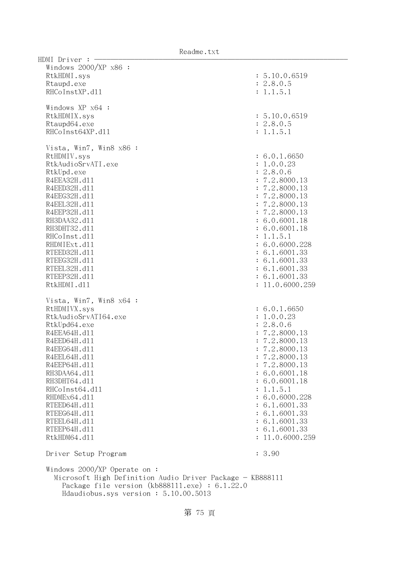$HDMI$  Driver :  $-$  Windows 2000/XP x86 : RtkHDMI.sys : 5.10.0.6519 Rtaupd.exe : 2.8.0.5 RHCoInstXP.d11 : 1.1.5.1 Windows XP x64 : RtkHDMIX.sys : 5.10.0.6519 Rtaupd64.exe : 2.8.0.5 RHCoInst64XP.d11 : 1.1.5.1 Vista, Win7, Win8 x86 : RtHDMIV.sys : 6.0.1.6650 RtkAudioSrvATI.exe : 1.0.0.23 RtkUpd.exe : 2.8.0.6 R4EEA32H.d11 : 7.2.8000.13 R4EED32H.d11 : 7.2.8000.13 R4EEG32H.d11 : 7.2.8000.13 R4EEL32H.d11 : 7.2.8000.13 R4EEP32H.d11 : 7.2.8000.13 RH3DAA32.d11 : 6.0.6001.18 RH3DHT32.d11 : 6.0.6001.18 RHCoInst.d11 : 1.1.5.1 RHDMIExt.d11 : 6.0.6000.228 RTEED32H.d11 : 6.1.6001.33 RTEEG32H.d11 : 6.1.6001.33 RTEEL32H.d11 : 6.1.6001.33 RTEEP32H.d11 : 6.1.6001.33 RtkHDMI.dl1 : 11.0.6000.259 Vista, Win7, Win8 x64 : RtHDMIVX.sys : 6.0.1.6650 RtkAudioSrvATI64.exe : 1.0.0.23 RtkUpd64.exe : 2.8.0.6 R4EEA64H.d11 : 7.2.8000.13 R4EED64H.dl1 : 7.2.8000.13 R4EEG64H.d11 : 7.2.8000.13 R4EEL64H.d11 : 7.2.8000.13 R4EEP64H.d11 : 7.2.8000.13 RH3DAA64.d11 : 6.0.6001.18 RH3DHT64.d11 : 6.0.6001.18 RHCoInst64.dl1 : 1.1.5.1 RHDMEx64.d11 : 6.0.6000.228 RTEED64H.d11 : 6.1.6001.33 RTEEG64H.d11 : 6.1.6001.33 RTEEL64H.d11 : 6.1.6001.33 RTEEP64H.d11 : 6.1.6001.33 RtkHDM64.d11 : 11.0.6000.259 Driver Setup Program : 3.90 Windows 2000/XP Operate on : Microsoft High Definition Audio Driver Package - KB888111 Package file version (kb888111.exe) : 6.1.22.0 Hdaudiobus.sys version : 5.10.00.5013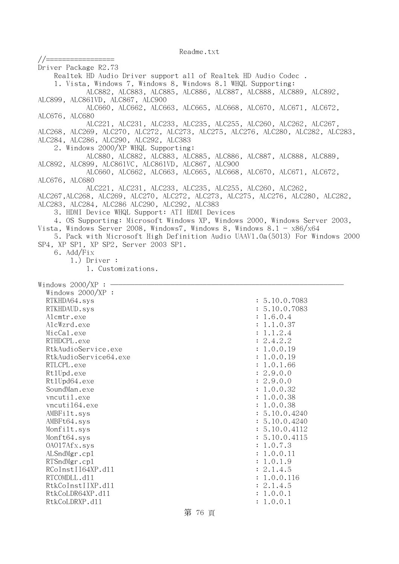//=================

Driver Package R2.73 Realtek HD Audio Driver support all of Realtek HD Audio Codec . 1. Vista, Windows 7, Windows 8, Windows 8.1 WHQL Supporting: ALC882, ALC883, ALC885, ALC886, ALC887, ALC888, ALC889, ALC892, ALC899, ALC861VD, ALC867, ALC900 ALC660, ALC662, ALC663, ALC665, ALC668, ALC670, ALC671, ALC672, ALC676, ALC680 ALC221, ALC231, ALC233, ALC235, ALC255, ALC260, ALC262, ALC267, ALC268, ALC269, ALC270, ALC272, ALC273, ALC275, ALC276, ALC280, ALC282, ALC283, ALC284, ALC286, ALC290, ALC292, ALC383 2. Windows 2000/XP WHQL Supporting: ALC880, ALC882, ALC883, ALC885, ALC886, ALC887, ALC888, ALC889, ALC892, ALC899, ALC861VC, ALC861VD, ALC867, ALC900 ALC660, ALC662, ALC663, ALC665, ALC668, ALC670, ALC671, ALC672, ALC676, ALC680 ALC221, ALC231, ALC233, ALC235, ALC255, ALC260, ALC262, ALC267,ALC268, ALC269, ALC270, ALC272, ALC273, ALC275, ALC276, ALC280, ALC282, ALC283, ALC284, ALC286 ALC290, ALC292, ALC383 3. HDMI Device WHQL Support: ATI HDMI Devices 4. OS Supporting: Microsoft Windows XP, Windows 2000, Windows Server 2003, Vista, Windows Server 2008, Windows7, Windows 8, Windows 8.1 -  $x86/x64$  5. Pack with Microsoft High Definition Audio UAAV1.0a(5013) For Windows 2000 SP4, XP SP1, XP SP2, Server 2003 SP1. 6. Add/Fix 1.) Driver : 1. Customizations. Windows  $2000/XP : -$  Windows 2000/XP : RTKHDA64.sys : 5.10.0.7083 RTKHDAUD.sys : 5.10.0.7083 Alcmtr.exe : 1.6.0.4 AlcWzrd.exe : 1.1.0.37  $\text{MicCal.}$ exe : 1.1.2.4 RTHDCPL.exe : 2.4.2.2 RtkAudioService.exe : 1.0.0.19 RtkAudioService64.exe : 1.0.0.19 RTLCPL.exe : 1.0.1.66 RtlUpd.exe : 2.9.0.0 Rt1Upd64.exe : 2.9.0.0 SoundMan.exe : 1.0.0.32 vncutil.exe : 1.0.0.38 vncuti164.exe : 1.0.0.38 AMBFilt.sys : 5.10.0.4240 AMBFt64.sys : 5.10.0.4240 Monfilt.sys : 5.10.0.4112 Monft64.sys : 5.10.0.4115  $0A017Afx \, sys \hspace{1.5cm} : \hspace{.1cm} 1.0.7.3$ ALSndMgr.cp1 : 1.0.0.11 RTSndMgr.cpl : 1.0.1.9 RCoInstII64XP.d11 : 2.1.4.5 RTCOMDLL.d11 : 1.0.0.116 RtkCoInstIIXP.d11 : 2.1.4.5 RtkCoLDR64XP.d11 : 1.0.0.1 RtkCoLDRXP.d11 : 1.0.0.1

第 76 頁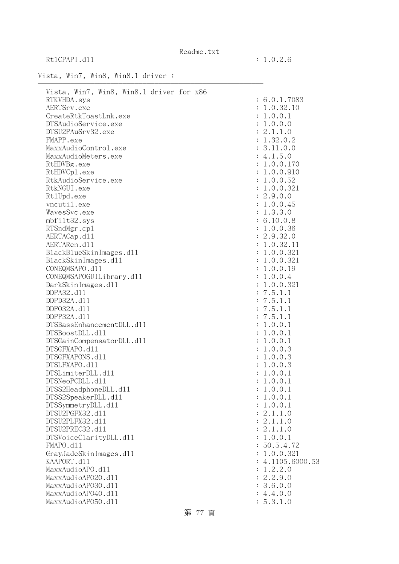RtlCPAPI.dll : 1.0.2.6

Readme.txt

## Vista, Win7, Win8, Win8.1 driver :

| Vista, Win7, Win8, Win8.1 driver for x86 |                  |
|------------------------------------------|------------------|
| RTKVHDA.sys                              | : 6.0.1.7083     |
| AERTSrv.exe                              | : 1.0.32.10      |
| CreateRtkToastLnk.exe                    | : 1.0.0.1        |
| DTSAudioService.exe                      | : 1.0.0.0        |
| DTSU2PAuSrv32.exe                        | : 2.1.1.0        |
| FMAPP.exe                                | : 1.32.0.2       |
| MaxxAudioControl.exe                     | : 3.11.0.0       |
| MaxxAudioMeters.exe                      | : 4.1.5.0        |
| RtHDVBg.exe                              | : 1.0.0.170      |
| RtHDVCp1.exe                             | : 1.0.0.910      |
| RtkAudioService.exe                      | : 1.0.0.52       |
| RtkNGUI.exe                              | : 1.0.0.321      |
| Rt1Upd.exe                               | : 2.9.0.0        |
| vncutil.exe                              | : 1.0.0.45       |
| WavesSvc.exe                             | : 1.3.3.0        |
| mbfilt32.sys                             | : 6.10.0.8       |
| RTSndMgr.cp1                             | : 1.0.0.36       |
| AERTACap.d11                             | : 2.9.32.0       |
| AERTARen.d11                             | : 1.0.32.11      |
| BlackBlueSkinImages.dl1                  | : 1.0.0.321      |
| BlackSkinImages.dl1                      | : 1.0.0.321      |
| CONEQMSAPO.d11                           | : 1.0.0.19       |
| CONEQMSAPOGUILibrary.d11                 | : 1.0.0.4        |
| DarkSkinImages.d11                       | : 1.0.0.321      |
| DDPA32.d11                               | : 7.5.1.1        |
| DDPD32A.d11                              | : 7.5.1.1        |
| DDP032A.d11                              | : 7.5.1.1        |
| DDPP32A.d11                              | : 7.5.1.1        |
| DTSBassEnhancementDLL.d11                | : 1.0.0.1        |
| DTSBoostDLL.d11                          | : 1.0.0.1        |
| DTSGainCompensatorDLL.d11                | : 1.0.0.1        |
| DTSGFXAPO.d11                            | : 1.0.0.3        |
| DTSGFXAPONS.d11                          | : 1.0.0.3        |
| DTSLFXAPO.d11                            | : 1.0.0.3        |
| DTSLimiterDLL.d11                        | : 1.0.0.1        |
| DTSNeoPCDLL.d11                          | : 1.0.0.1        |
| DTSS2HeadphoneDLL.d11                    | : 1.0.0.1        |
| DTSS2SpeakerDLL.d11                      | : 1.0.0.1        |
| DTSSymmetryDLL.d11                       | : 1.0.0.1        |
| DTSU2PGFX32.d11                          | : 2.1.1.0        |
| DTSU2PLFX32.d11                          | : 2.1.1.0        |
| DTSU2PREC32.d11                          | : 2.1.1.0        |
| DTSVoiceClarityDLL.dl1                   | : 1.0.0.1        |
| FMAPO.d11                                | : 50.5.4.72      |
| GrayJadeSkinImages.d11                   | : 1.0.0.321      |
| KAAPORT.d11                              | : 4.1105.6000.53 |
| MaxxAudioAPO.d11                         | : 1.2.2.0        |
| MaxxAudioAP020.dll                       | : 2.2.9.0        |
| MaxxAudioAP030.dll                       | : 3.6.0.0        |
| MaxxAudioAP040.dll                       | : 4.4.0.0        |
| MaxxAudioAP050.dll                       | : 5.3.1.0        |
|                                          |                  |

第 77 頁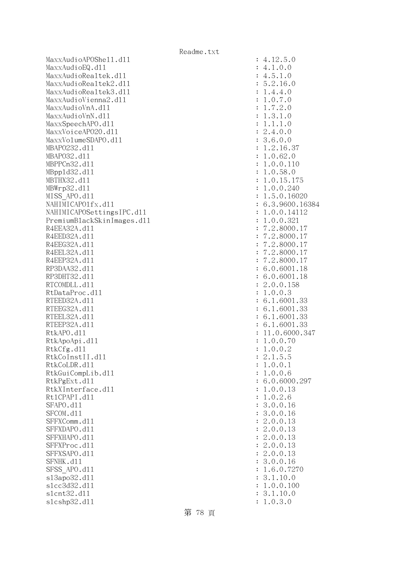MaxxAudioAPOShe11.dl1 : 4.12.5.0 MaxxAudioEQ.dll : 4.1.0.0 MaxxAudioRealtek.dll MaxxAudioRealtek2.dll : 5.2.16.0 MaxxAudioRealtek3.dll : 1.4.4.0 MaxxAudioVienna2.dll : 1.0.7.0 MaxxAudioVnA.dll : 1.7.2.0 MaxxAudioVnN.dll : 1.3.1.0 MaxxSpeechAPO.d11 : 1.1.1.0 MaxxVoiceAP020.dll : 2.4.0.0 MaxxVolumeSDAPO.dll : 3.6.0.0 MBAPO232.d11 : 1.2.16.37 MBAPO32.d11 : 1.0.62.0 MBPPCn32.d11 : 1.0.0.110 MBppld32.dll : 1.0.58.0 MBTHX32.d11 : 1.0.15.175 MBWrp32.d11 : 1.0.0.240 MISS APO.d11 : 1.5.0.16020 NAHIMICAPO1fx.d11 : 6.3.9600.16384 NAHIMICAPOSettingsIPC.dll : 1.0.0.14112 PremiumBlackSkinImages.dll : 1.0.0.321 R4EEA32A.d11 : 7.2.8000.17 R4EED32A.d11 : 7.2.8000.17 R4EEG32A.d11 : 7.2.8000.17 R4EEL32A.d11 : 7.2.8000.17 R4EEP32A.d11 : 7.2.8000.17 RP3DAA32.d11 : 6.0.6001.18 RP3DHT32.d11 : 6.0.6001.18 RTCOMDLL.d11 : 2.0.0.158 RtDataProc.dl1 : 1.0.0.3 RTEED32A.d11 : 6.1.6001.33 RTEEG32A.d11 : 6.1.6001.33 RTEEL32A.d11 : 6.1.6001.33 RTEEP32A.d11 : 6.1.6001.33 RtkAPO.d11 : 11.0.6000.347 RtkApoApi.dl1 : 1.0.0.70 : 1.0.0.70 RtkCfg.dl1 : 1.0.0.2  $R$ tkCoInstII.dll  $\qquad \qquad$  : 2.1.5.5 RtkCoLDR.dll : 1.0.0.1 RtkGuiCompLib.dl1 : 1.0.0.6 RtkPgExt.dll : 6.0.6000.297 RtkXInterface.dl1 : 1.0.0.13 RtlCPAPI.dll : 1.0.2.6 SFAPO.d11 : 3.0.0.16 SFCOM.d11 : 3.0.0.16 SFFXComm.d11 : 2.0.0.13 SFFXDAPO.d11 : 2.0.0.13 SFFXHAPO.d11 : 2.0.0.13 SFFXProc.d11 : 2.0.0.13 SFFXSAPO.d11 : 2.0.0.13 SFNHK.d11 : 3.0.0.16 SFSS APO.d11 : 1.6.0.7270 sl3apo32.dll : 3.1.10.0 slcc3d32.d11 : 1.0.0.100 slcnt32.dl1 : 3.1.10.0 slcshp32.dl1 : 1.0.3.0

第 78 頁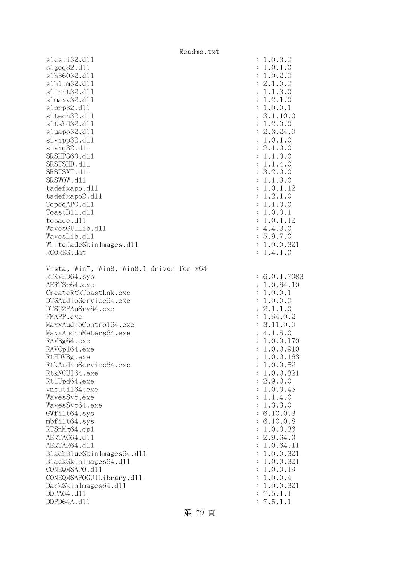|                                                                                                                  | Readme.txt |                                                      |                                         |
|------------------------------------------------------------------------------------------------------------------|------------|------------------------------------------------------|-----------------------------------------|
| slcsi32. d11                                                                                                     |            | : 1.0.3.0                                            |                                         |
| slgeq32.d11                                                                                                      |            | : 1.0.1.0                                            |                                         |
| s1h36032.d11                                                                                                     |            | : 1.0.2.0                                            |                                         |
| s1h1im32.d11                                                                                                     |            | : 2.1.0.0                                            |                                         |
| s1Init32.d11                                                                                                     |            | 1.1.3.0                                              |                                         |
| $slmaxv32$ .dll                                                                                                  |            | 1.2.1.0                                              |                                         |
| slprp32.d11                                                                                                      |            | 1.0.0.1<br>$\ddot{\cdot}$                            |                                         |
| s1tech32.d11                                                                                                     |            |                                                      | 3.1.10.0                                |
| s1tshd32.d11                                                                                                     |            | 1.2.0.0<br>$\ddot{\cdot}$                            |                                         |
| sluapo32.dl1                                                                                                     |            | : 2.3.24.0                                           |                                         |
| slvipp32.dll                                                                                                     |            | 1.0.1.0<br>$\ddot{\cdot}$                            |                                         |
| $s1$ viq $32.d11$                                                                                                |            | : 2.1.0.0                                            |                                         |
| SRSHP360.d11                                                                                                     |            | 1.1.0.0<br>$\ddot{\cdot}$                            |                                         |
| SRSTSHD.d11                                                                                                      |            | 1.1.4.0<br>$\ddot{\cdot}$                            |                                         |
| SRSTSXT.d11                                                                                                      |            | : 3.2.0.0                                            |                                         |
| SRSWOW.d11                                                                                                       |            | 1.1.3.0                                              |                                         |
| tadefxapo.dl1                                                                                                    |            | :                                                    | 1.0.1.12                                |
| tadefxapo2.d11                                                                                                   |            | 1.2.1.0<br>$\ddot{\cdot}$                            |                                         |
| TepeqAPO.d11                                                                                                     |            | 1.1.0.0<br>:                                         |                                         |
| ToastD11.d11                                                                                                     |            | 1.0.0.1<br>$\ddot{\cdot}$                            |                                         |
| tosade.d11                                                                                                       |            | $\ddot{\cdot}$                                       | 1.0.1.12                                |
| WavesGUILib.d11                                                                                                  |            | : 4.4.3.0                                            |                                         |
| WavesLib.d11                                                                                                     |            | : 5.9.7.0                                            |                                         |
| WhiteJadeSkinImages.dl1                                                                                          |            |                                                      | 1.0.0.321                               |
| RCORES.dat                                                                                                       |            | 1.4.1.0                                              |                                         |
| RTKVHD64.sys<br>AERTSr64.exe<br>CreateRtkToastLnk.exe<br>DTSAudioService64.exe<br>DTSU2PAuSrv64.exe<br>FMAPP.exe |            | 1.0.0.1<br>$\ddot{\cdot}$<br>1.0.0.0<br>:<br>2.1.1.0 | : 6.0.1.7083<br>: 1.0.64.10<br>1.64.0.2 |
| MaxxAudioContro164.exe                                                                                           |            |                                                      | 3.11.0.0                                |
| MaxxAudioMeters64.exe                                                                                            |            | : 4.1.5.0                                            |                                         |
| RAVBg64.exe                                                                                                      |            |                                                      | 1.0.0.170                               |
| RAVCp164.exe                                                                                                     |            |                                                      | 1.0.0.910                               |
| RtHDVBg.exe                                                                                                      |            |                                                      | 1.0.0.163                               |
| RtkAudioService64.exe                                                                                            |            |                                                      | 1.0.0.52                                |
| RtkNGUI64.exe                                                                                                    |            |                                                      | 1.0.0.321                               |
| Rt1Upd64.exe                                                                                                     |            | 2.9.0.0                                              |                                         |
| vncuti164.exe                                                                                                    |            |                                                      | 1.0.0.45                                |
| WavesSvc.exe                                                                                                     |            |                                                      | 1.1.4.0                                 |
| WavesSvc64.exe                                                                                                   |            |                                                      | 1.3.3.0                                 |
| GWfilt64.sys                                                                                                     |            |                                                      | 6.10.0.3                                |
| mbfilt64.sys                                                                                                     |            |                                                      | 6.10.0.8                                |
| RTSnMg64.cp1                                                                                                     |            |                                                      | 1.0.0.36                                |
| AERTAC64.d11                                                                                                     |            |                                                      | 2.9.64.0                                |
| AERTAR64.d11                                                                                                     |            |                                                      | 1.0.64.11                               |
| BlackBlueSkinImages64.dll                                                                                        |            |                                                      | 1.0.0.321                               |
| BlackSkinImages64.dl1                                                                                            |            |                                                      | 1.0.0.321                               |
| CONEQMSAPO.d11                                                                                                   |            |                                                      | 1.0.0.19                                |
| CONEQMSAPOGUILibrary.d11                                                                                         |            |                                                      | 1.0.0.4                                 |
| DarkSkinImages64.d11                                                                                             |            |                                                      | 1.0.0.321                               |
| DDPA64.d11                                                                                                       |            | 7.5.1.1                                              |                                         |
| DDPD64A.d11                                                                                                      |            | 7.5.1.1                                              |                                         |

第 79 頁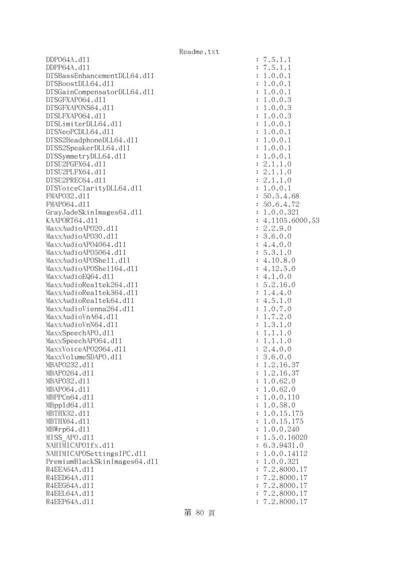DDPO64A.dll : 7.5.1.1 DDPP64A.dll : 7.5.1.1 DTSBassEnhancementDLL64.dll : 1.0.0.1 DTSBoostDLL64.dll : 1.0.0.1 DTSGainCompensatorDLL64.dll : 1.0.0.1 DTSGFXAPO64.dll : 1.0.0.3 DTSGFXAPONS64.dll : 1.0.0.3 DTSLFXAPO64.dll : 1.0.0.3 DTSLimiterDLL64.dll : 1.0.0.1 DTSNeoPCDLL64.d11 : 1.0.0.1 DTSS2HeadphoneDLL64.dll : 1.0.0.1 DTSS2SpeakerDLL64.dll : 1.0.0.1 DTSSymmetryDLL64.dl1 : 1.0.0.1 DTSU2PGFX64.dll : 2.1.1.0 DTSU2PLFX64.dll : 2.1.1.0  $DTSU2PREC64. d11$  :  $2.1.1.0$ DTSVoiceClarityDLL64.dll : 1.0.0.1 FMAPO32.dll : 50.5.4.68 FMAP064.d11 : 50.6.4.72 GrayJadeSkinImages64.dll : 1.0.0.321 KAAPORT64.d11 : 4.1105.6000.53 MaxxAudioAPO20.dll : 2.2.9.0 MaxxAudioAPO30.dll : 3.6.0.0 MaxxAudioAPO4064.dll : 4.4.0.0 MaxxAudioAP05064.dll : 5.3.1.0 MaxxAudioAPOShe11.dl1 : 4.10.8.0  $\text{MaxAudio}$ APOShe $1164$ .dll  $\text{MaxAudio}$  $\text{MaxAudioEQ64. d11}$  : 4.1.0.0 MaxxAudioRealtek264.dll : 5.2.16.0 MaxxAudioRealtek364.dll : 1.4.4.0  $\text{MaxAudioReal}$ tek64.dll : 4.5.1.0 MaxxAudioVienna264.dll : 1.0.7.0 MaxxAudioVnA64.dll : 1.7.2.0 MaxxAudioVnN64.dll : 1.3.1.0 MaxxSpeechAPO.d11 : 1.1.1.0 MaxxSpeechAP064.dll : 1.1.1.0 MaxxVoiceAP02064.dll : 2.4.0.0  $\text{MaxVO1umeSDAPO. d11}$  : 3.6.0.0 MBAP0232.d11 : 1.2.16.37 MBAPO264.d11 : 1.2.16.37 MBAPO32.dll : 1.0.62.0 MBAPO64.dll : 1.0.62.0 MBPPCn64.dll : 1.0.0.110 MBpp1d64.d11 : 1.0.58.0 MBTHX32.d11 : 1.0.15.175 MBTHX64.d11 : 1.0.15.175 MBWrp64.dll : 1.0.0.240 MISS APO.d11 : 1.5.0.16020 NAHIMICAPO1fx.dl1 : 6.3.9431.0 NAHIMICAPOSettingsIPC.dll : 1.0.0.14112 PremiumBlackSkinImages64.dll : 1.0.0.321 R4EEA64A.d11 : 7.2.8000.17 R4EED64A.d11 : 7.2.8000.17 R4EEG64A.d11 : 7.2.8000.17 R4EEL64A.d11 : 7.2.8000.17 R4EEP64A.d11 : 7.2.8000.17

第 80 頁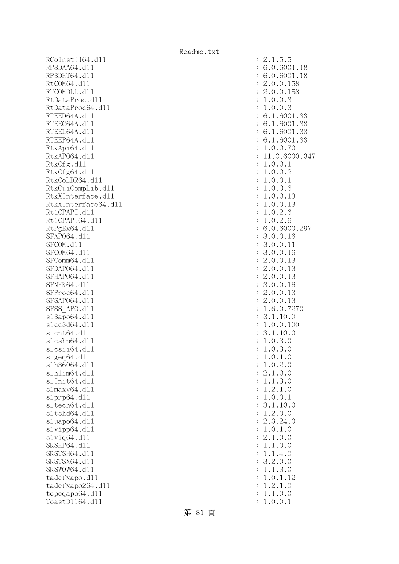RCoInstII64.dl1 RP3DAA64.d11 RP3DHT64.d11 RtCOM64.d11 RTCOMDLL.d11 RtDataProc.dl1 RtDataProc64.dll RTEED64A.dl1 RTEEG64A.dl1 RTEEL64A.d11 RTEEP64A.d11 RtkApi64.dll RtkAP064.dl1 : 11.0.6000.347 RtkCfg.dl1 RtkCfg64.dl1 RtkCoLDR64.d11 RtkGuiCompLib.dl1 RtkXInterface.dl1 RtkXInterface64.dl1 Rt1CPAPI.d11 Rt1CPAPI64.dl1 RtPgEx64.dl1 SFAP064.d11 SFCOM.d11 SFCOM64.d11 SFComm64.dl1 SFDAP064.dl1 SFHAP064.d11 SFNHK64.d11 SFProc64.d11 SFSAP064.d11 SFSS\_APO.d11 s13apo64.dl1 slcc3d64.dl1 slcnt64.dll slcshp64.dll slcsii64.dll  $slgeq64$ .dll slh36064.dl1 slhlim64.dll s1Init64.d11 s1maxv64.dl1 s1prp64.dl1 sltech64.dl1 s1tshd64.dl1 sluapo64.dl1  $s1$ vipp $64.d11$ slvig64.dll SRSHP64.d11 SRSTSH64.d11 SRSTSX64.d11 SRSWOW64.d11 tadefxapo.dl1  $t$ adefxapo $264$ .dll tepeqapo64.dll ToastD1164.d11

| $\ddot{\cdot}$                   | $\mathbf{c}$<br>.1.5.5                                                                                                                                              |
|----------------------------------|---------------------------------------------------------------------------------------------------------------------------------------------------------------------|
|                                  | .0.6001.18<br>6                                                                                                                                                     |
| $\ddot{\cdot}$                   |                                                                                                                                                                     |
| $\ddot{\cdot}$                   | 6.0.6001.18                                                                                                                                                         |
|                                  | 2.0.0.158                                                                                                                                                           |
| $\ddot{\cdot}$                   |                                                                                                                                                                     |
| $\ddot{\cdot}$                   | 2.0.0.158                                                                                                                                                           |
|                                  |                                                                                                                                                                     |
| $\ddot{\cdot}$                   | .0.0.<br>3<br>$\mathbf 1$                                                                                                                                           |
| $\ddot{\cdot}$                   | .0.0.<br>$\mathbf 1$<br>3                                                                                                                                           |
|                                  |                                                                                                                                                                     |
| $\ddot{\cdot}$                   | $6.1.6001.33$<br>$6.1.6001.33$<br>$6.1.6001.33$<br>$6.1.6001.33$<br>$1.0.0.70$<br>$11.0.6000.34$                                                                    |
| $\ddot{\cdot}$                   |                                                                                                                                                                     |
|                                  |                                                                                                                                                                     |
| $\ddot{\cdot}$                   |                                                                                                                                                                     |
| $\ddot{\cdot}$                   |                                                                                                                                                                     |
|                                  |                                                                                                                                                                     |
| $\ddot{\cdot}$                   |                                                                                                                                                                     |
| $\ddot{\cdot}$                   |                                                                                                                                                                     |
|                                  |                                                                                                                                                                     |
| $\vdots$                         | .0.0.1<br>1                                                                                                                                                         |
| $\ddot{\cdot}$                   | .0.0.2<br>$\mathbf 1$                                                                                                                                               |
|                                  |                                                                                                                                                                     |
| $\ddot{\cdot}$                   | .0.0.1<br>$\mathbf 1$                                                                                                                                               |
|                                  | $\mathbf 1$                                                                                                                                                         |
| $\ddot{\cdot}$                   | .0.0.<br>6                                                                                                                                                          |
| $\ddot{\cdot}$                   | $\mathbf 1$<br>.0.0.13                                                                                                                                              |
|                                  |                                                                                                                                                                     |
| $\ddot{\cdot}$                   | $\mathbf 1$<br>.0.0.13                                                                                                                                              |
| $\ddot{\cdot}$                   | $\mathbf 1$<br>.0.2.<br>6                                                                                                                                           |
|                                  |                                                                                                                                                                     |
| $\ddot{\cdot}$                   | .0.2.6<br>$\mathbf 1$                                                                                                                                               |
| $\ddot{\cdot}$                   | 6.0.6000.                                                                                                                                                           |
|                                  |                                                                                                                                                                     |
| $\ddot{\cdot}$                   | 3.0.0.16                                                                                                                                                            |
| $\ddot{\cdot}$                   | 3.0.0.11                                                                                                                                                            |
|                                  |                                                                                                                                                                     |
| $\ddot{\cdot}$                   | 3.0.0.16                                                                                                                                                            |
| $\ddot{\cdot}$                   |                                                                                                                                                                     |
|                                  | $2.0.0.13$<br>$2.0.0.13$<br>$2.0.0.13$<br>$3.0.0.16$                                                                                                                |
| $\ddot{\cdot}$                   |                                                                                                                                                                     |
| $\ddot{\cdot}$                   |                                                                                                                                                                     |
|                                  |                                                                                                                                                                     |
| $\ddot{\cdot}$                   |                                                                                                                                                                     |
| $\ddot{\cdot}$                   | 2.0.0.13                                                                                                                                                            |
|                                  |                                                                                                                                                                     |
| $\ddot{\cdot}$                   | $\overline{c}$<br>.0.0.13                                                                                                                                           |
| $\ddot{\cdot}$                   | $\mathbf{1}$<br>7270<br>.6.0.                                                                                                                                       |
|                                  |                                                                                                                                                                     |
| $\ddot{\cdot}$                   | 3.1.10.0                                                                                                                                                            |
| $\ddot{\cdot}$                   | $\mathbf 1$<br>0.0.100<br>$\ddot{\phantom{a}}$                                                                                                                      |
|                                  |                                                                                                                                                                     |
| $\ddot{\cdot}$                   | 3.1.10.0                                                                                                                                                            |
| $\ddot{\cdot}$                   | $\mathbf 1$<br>.0.3.<br>$\overline{O}$                                                                                                                              |
|                                  |                                                                                                                                                                     |
| $\ddot{\cdot}$                   | .0.3.<br>$\mathbf 1$<br>$\overline{0}$                                                                                                                              |
|                                  | 1<br>$\ddot{\phantom{0}}$<br>$\mathcal{O}$<br>$\cdot$ 1<br>$\overline{O}$                                                                                           |
| $\ddot{\cdot}$                   |                                                                                                                                                                     |
| $\ddot{\cdot}$                   | 0.2.<br>$\ddot{\phantom{0}}$<br>$\overline{O}$<br>1                                                                                                                 |
| $\ddot{\cdot}$                   | $\overline{0}$ .<br>$\cdot\,1$ .<br>$\overline{O}$<br>$\mathbf{c}$                                                                                                  |
|                                  |                                                                                                                                                                     |
| $\ddot{\cdot}$                   | $\cdot$ 1.<br>3.<br>$\overline{O}$<br>$\mathbf 1$                                                                                                                   |
| $\ddot{\cdot}$                   | 2.<br>$1$ .<br>$\mathbf{1}$<br>$\ddot{\phantom{0}}$<br>$\overline{O}$                                                                                               |
|                                  |                                                                                                                                                                     |
| $\ddot{\cdot}$                   | 0.1                                                                                                                                                                 |
|                                  | $1.\overline{0}.$<br>$3.1.\overline{0}$<br>10.0                                                                                                                     |
| $\ddot{\cdot}$                   |                                                                                                                                                                     |
|                                  | 2.<br>$\mathbf{1}$<br>$\ddot{\phantom{0}}$<br>0.0                                                                                                                   |
|                                  | 3.<br>$\ddot{\phantom{0}}$<br>24.0                                                                                                                                  |
|                                  |                                                                                                                                                                     |
|                                  | $\begin{bmatrix} 2 \\ 1 \\ 2 \end{bmatrix}$<br>$\mathbf{0}$ .<br>$\ddot{\phantom{0}}$<br>$\begin{smallmatrix} 1.0 \\ 0.0 \end{smallmatrix}$                         |
|                                  | $1\,.$                                                                                                                                                              |
|                                  | $\ddot{\phantom{0}}$                                                                                                                                                |
|                                  | 1.<br>$\overline{0}$ .<br>$\overline{O}$<br>$\ddot{\phantom{a}}$                                                                                                    |
|                                  | $\frac{1}{1}$                                                                                                                                                       |
|                                  | $\cdot$ 1<br>$\ddot{\phantom{0}}$<br>$\overline{4}$<br>$\ddot{\phantom{0}}$<br>$\overline{O}$                                                                       |
|                                  |                                                                                                                                                                     |
|                                  |                                                                                                                                                                     |
|                                  | 2.<br>$\overline{0}$ .<br>3.<br>$\overline{O}$                                                                                                                      |
|                                  | 1.<br>3.<br>$\mathbf 1$<br>$\ddot{\phantom{a}}$<br>$\mathcal{O}$                                                                                                    |
|                                  |                                                                                                                                                                     |
|                                  | $\overline{O}$<br>$\mathbf 1$<br>1.<br>$\ddot{\phantom{0}}$<br>$\ddot{\phantom{a}}$<br>12                                                                           |
|                                  | $\mathbf 1$<br>2.<br>1.<br>$\mathcal{O}$                                                                                                                            |
|                                  |                                                                                                                                                                     |
| $\ddot{\cdot}$<br>$\ddot{\cdot}$ | $\overline{0}$ .<br>1.<br>$\mathbf 1$<br>$\ddot{\phantom{0}}$<br>$\mathcal{O}$<br>$\overline{0}$ .<br>$\overline{0}$ .<br>1<br>$\ddot{\phantom{0}}$<br>$\mathbf{1}$ |

第 81 頁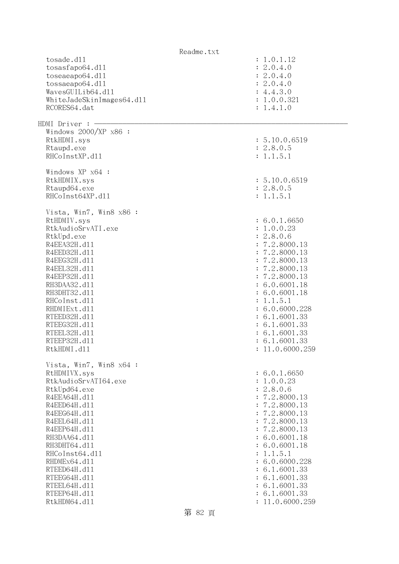| Readme.txt                |                 |
|---------------------------|-----------------|
| tosade.d11                | : 1.0.1.12      |
| tosasfapo64.dll           | : 2.0.4.0       |
| toseaeapo64.d11           | : 2.0.4.0       |
| tossaeapo64.dl1           | : 2.0.4.0       |
| WavesGUILib64.dl1         | : 4.4.3.0       |
| WhiteJadeSkinImages64.dll | : 1.0.0.321     |
| RCORES64.dat              | : 1.4.1.0       |
|                           |                 |
| HDMI Driver : -           |                 |
| Windows $2000/XP$ x86 :   |                 |
| RtkHDMI.sys               | : 5.10.0.6519   |
| Rtaupd.exe                | : 2.8.0.5       |
| RHCoInstXP.d11            | : 1.1.5.1       |
|                           |                 |
| Windows XP x64 :          |                 |
| RtkHDMIX.sys              | : 5.10.0.6519   |
| Rtaupd64.exe              | : 2.8.0.5       |
| RHCoInst64XP.d11          | : 1.1.5.1       |
|                           |                 |
| Vista, Win7, Win8 x86 :   | : 6.0.1.6650    |
| RtHDMIV.sys               |                 |
| RtkAudioSrvATI.exe        | : 1.0.0.23      |
| RtkUpd.exe                | : 2.8.0.6       |
| R4EEA32H.d11              | : 7.2.8000.13   |
| R4EED32H.d11              | : 7.2.8000.13   |
| R4EEG32H.d11              | : 7.2.8000.13   |
| R4EEL32H.d11              | : 7.2.8000.13   |
| R4EEP32H.d11              | : 7.2.8000.13   |
| RH3DAA32.d11              | : 6.0.6001.18   |
| RH3DHT32.d11              | : 6.0.6001.18   |
| RHCoInst.d11              | : 1.1.5.1       |
| RHDMIExt.d11              | : 6.0.6000.228  |
| RTEED32H.d11              | : 6.1.6001.33   |
| RTEEG32H.d11              | : 6.1.6001.33   |
| RTEEL32H.d11              | : 6.1.6001.33   |
| RTEEP32H.d11              | : 6.1.6001.33   |
| RtkHDMI.d11               | 11.0.6000.259   |
|                           |                 |
| Vista, Win7, Win8 x64 :   |                 |
| RtHDMIVX.sys              | : 6.0.1.6650    |
| RtkAudioSrvATI64.exe      | : 1.0.0.23      |
| RtkUpd64.exe              | : 2.8.0.6       |
| R4EEA64H.d11              | : 7.2.8000.13   |
| R4EED64H.d11              | : 7.2.8000.13   |
| R4EEG64H.d11              | : 7.2.8000.13   |
| R4EEL64H.d11              | : 7.2.8000.13   |
| R4EEP64H.d11              | : 7.2.8000.13   |
| RH3DAA64.d11              | : 6.0.6001.18   |
| RH3DHT64.d11              | : 6.0.6001.18   |
| RHCoInst64.d11            | : 1.1.5.1       |
| RHDMEx64.d11              | : 6.0.6000.228  |
| RTEED64H.d11              | : 6.1.6001.33   |
| RTEEG64H.d11              | : 6.1.6001.33   |
| RTEEL64H.d11              | : 6.1.6001.33   |
| RTEEP64H.d11              | : 6.1.6001.33   |
| RtkHDM64.d11              | : 11.0.6000.259 |
|                           |                 |

第 82 頁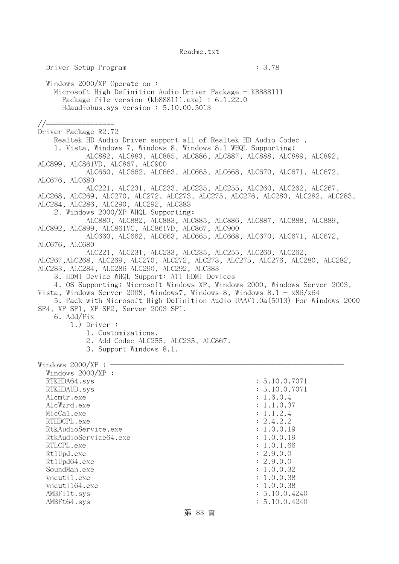Driver Setup Program : 3.78 Windows 2000/XP Operate on : Microsoft High Definition Audio Driver Package - KB888111 Package file version (kb888111.exe) : 6.1.22.0 Hdaudiobus.sys version : 5.10.00.5013 //================= Driver Package R2.72 Realtek HD Audio Driver support all of Realtek HD Audio Codec . 1. Vista, Windows 7, Windows 8, Windows 8.1 WHQL Supporting: ALC882, ALC883, ALC885, ALC886, ALC887, ALC888, ALC889, ALC892, ALC899, ALC861VD, ALC867, ALC900 ALC660, ALC662, ALC663, ALC665, ALC668, ALC670, ALC671, ALC672, ALC676, ALC680 ALC221, ALC231, ALC233, ALC235, ALC255, ALC260, ALC262, ALC267, ALC268, ALC269, ALC270, ALC272, ALC273, ALC275, ALC276, ALC280, ALC282, ALC283, ALC284, ALC286, ALC290, ALC292, ALC383 2. Windows 2000/XP WHQL Supporting: ALC880, ALC882, ALC883, ALC885, ALC886, ALC887, ALC888, ALC889, ALC892, ALC899, ALC861VC, ALC861VD, ALC867, ALC900 ALC660, ALC662, ALC663, ALC665, ALC668, ALC670, ALC671, ALC672, ALC676, ALC680 ALC221, ALC231, ALC233, ALC235, ALC255, ALC260, ALC262, ALC267,ALC268, ALC269, ALC270, ALC272, ALC273, ALC275, ALC276, ALC280, ALC282, ALC283, ALC284, ALC286 ALC290, ALC292, ALC383 3. HDMI Device WHQL Support: ATI HDMI Devices 4. OS Supporting: Microsoft Windows XP, Windows 2000, Windows Server 2003, Vista, Windows Server 2008, Windows7, Windows 8, Windows 8.1 -  $x86/x64$  5. Pack with Microsoft High Definition Audio UAAV1.0a(5013) For Windows 2000 SP4, XP SP1, XP SP2, Server 2003 SP1. 6. Add/Fix 1.) Driver : 1. Customizations. 2. Add Codec ALC255, ALC235, ALC867. 3. Support Windows 8.1. Windows  $2000/XP : -$  Windows 2000/XP : RTKHDA64.sys : 5.10.0.7071 RTKHDAUD.sys : 5.10.0.7071 Alcmtr.exe : 1.6.0.4 AlcWzrd.exe : 1.1.0.37  $\text{MicCal.}$ exe : 1.1.2.4 RTHDCPL.exe : 2.4.2.2 RtkAudioService.exe : 1.0.0.19 RtkAudioService64.exe : 1.0.0.19 RTLCPL.exe : 1.0.1.66 Rt1Upd.exe : 2.9.0.0<br>Rt1Upd64.exe : 2.9.0.0 Rt1Upd64.exe SoundMan.exe : 1.0.0.32 vncutil.exe : 1.0.0.38 vncuti164.exe : 1.0.0.38 AMBFilt.sys : 5.10.0.4240 AMBFt64.sys : 5.10.0.4240

## 第 83 頁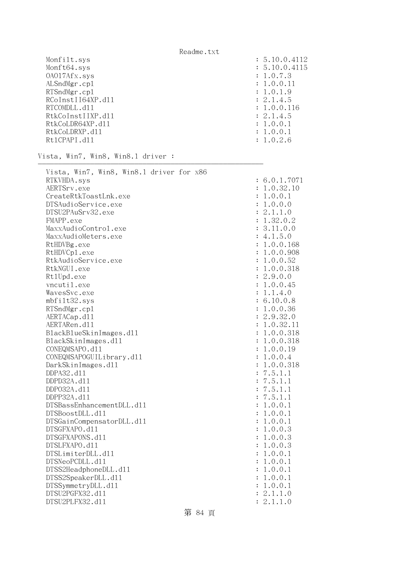| Monfilt.sys       | : 5.10.0.4112 |
|-------------------|---------------|
| Monft64.sys       | : 5.10.0.4115 |
| 0A017Afx.sys      | : 1.0.7.3     |
| ALSndMgr.cp1      | : 1.0.0.11    |
| RTSndMgr.cp1      | : 1.0.1.9     |
| RCoInstII64XP.d11 | : 2.1.4.5     |
| RTCOMDLL, d11     | : 1.0.0.116   |
| RtkCoInstIIXP.d11 | : 2.1.4.5     |
| RtkCoLDR64XP.d11  | : 1.0.0.1     |
| RtkCoLDRXP.d11    | : 1.0.0.1     |
| Rt1CPAPI.d11      | : 1.0.2.6     |
|                   |               |

--------------------------------------------------------

Vista, Win7, Win8, Win8.1 driver :

| Vista, Win7, Win8, Win8.1 driver for x86 |                             |
|------------------------------------------|-----------------------------|
| RTKVHDA.sys                              | : 6.0.1.7071                |
| AERTSrv.exe                              | 1.0.32.10<br>:              |
| CreateRtkToastLnk.exe                    | 1.0.0.1                     |
| DTSAudioService.exe                      | 1.0.0.0<br>$\ddot{\cdot}$   |
| DTSU2PAuSrv32.exe                        | 2.1.1.0<br>$\ddot{\cdot}$   |
| FMAPP.exe                                | 1.32.0.2<br>$\ddot{\cdot}$  |
| MaxxAudioControl.exe                     | 3.11.0.0<br>$\ddot{\cdot}$  |
| MaxxAudioMeters.exe                      | 4.1.5.0<br>$\ddot{\cdot}$   |
| RtHDVBg.exe                              | 1.0.0.168<br>$\ddot{\cdot}$ |
| RtHDVCp1.exe                             | 1.0.0.908<br>$\ddot{\cdot}$ |
| RtkAudioService.exe                      | 1.0.0.52<br>:               |
| RtkNGUI.exe                              | 1.0.0.318                   |
| Rt1Upd.exe                               | 2.9.0.0<br>:                |
| vncutil.exe                              | $\ddot{\cdot}$<br>1.0.0.45  |
| WavesSvc.exe                             | 1.1.4.0<br>$\ddot{\cdot}$   |
| mbfilt32.sys                             | 6.10.0.8<br>$\ddot{\cdot}$  |
| RTSndMgr.cp1                             | 1.0.0.36<br>$\ddot{\cdot}$  |
| AERTACap.d11                             | 2.9.32.0<br>$\ddot{\cdot}$  |
| AERTARen.d11                             | 1.0.32.11<br>$\ddot{\cdot}$ |
| BlackBlueSkinImages.dll                  | 1.0.0.318<br>:              |
| BlackSkinImages.dl1                      | 1.0.0.318                   |
| CONEQMSAPO.d11                           | 1.0.0.19<br>:               |
| CONEQMSAPOGUILibrary.d11                 | 1.0.0.4<br>:                |
| DarkSkinImages.d11                       | $\ddot{\cdot}$<br>1.0.0.318 |
| DDPA32.d11                               | 7.5.1.1                     |
| DDPD32A.d11                              | 7.5.1.1                     |
| DDP032A.d11                              | 7.5.1.1<br>$\ddot{\cdot}$   |
| DDPP32A.d11                              | 7.5.1.1<br>:                |
| DTSBassEnhancementDLL.d11                | 1.0.0.1<br>:                |
| DTSBoostDLL.d11                          | 1.0.0.1<br>:                |
| DTSGainCompensatorDLL.d11                | 1.0.0.1<br>:                |
| DTSGFXAPO.d11                            | :<br>1.0.0.3                |
| DTSGFXAPONS.d11                          | 1.0.0.3<br>$\ddot{\cdot}$   |
| DTSLFXAPO.d11                            | 1.0.0.3<br>$\ddot{\cdot}$   |
| DTSLimiterDLL.d11                        | 1.0.0.1<br>:                |
| DTSNeoPCDLL.d11                          | 1.0.0.1<br>$\ddot{\cdot}$   |
| DTSS2HeadphoneDLL.d11                    | 1.0.0.1<br>:                |
| DTSS2SpeakerDLL.d11                      | 1.0.0.1                     |
| DTSSymmetryDLL.d11                       | 1.0.0.1<br>$\ddot{\cdot}$   |
| DTSU2PGFX32.d11                          | 2.1.1.0<br>$\ddot{\cdot}$   |
| DTSU2PLFX32.d11                          | 2.1.1.0<br>$\mathbf{L}$     |

第 84 頁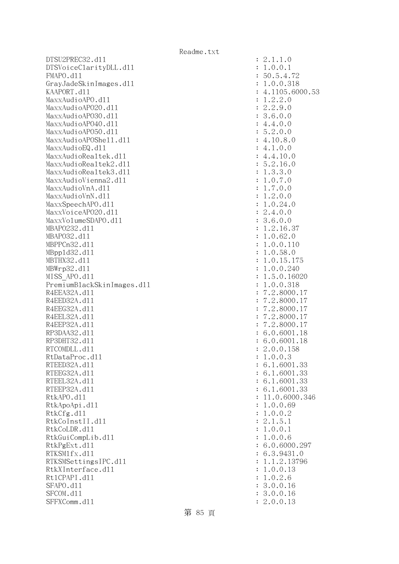$DTSU2PREC32. d11$  :  $2.1.1.0$ DTSVoiceClarityDLL.dll : 1.0.0.1 FMAPO.dll : 50.5.4.72 GrayJadeSkinImages.dll : 1.0.0.318 KAAPORT.d11 : 4.1105.6000.53  $\text{MaxAudio}$ APO.dll  $\qquad \qquad \text{MaxAudio}$ APO.dll  $\qquad \qquad \text{MaxAudio}$ MaxxAudioAP020.dll : 2.2.9.0 MaxxAudioAP030.dll : 3.6.0.0  $\text{MaxAudio}$ APO40.dll : 4.4.0.0 MaxxAudioAPO50.dll : 5.2.0.0 MaxxAudioAPOShe11.dl1 : 4.10.8.0  $\text{MaxAudioEQ.d11}$  : 4.1.0.0 MaxxAudioRealtek.dll : 4.4.10.0 MaxxAudioRealtek2.dl1 : 5.2.16.0 MaxxAudioRealtek3.dll  $\qquad \qquad$  : 1.3.3.0 MaxxAudioVienna2.dll : 1.0.7.0  $\text{MaxAudioVnA. d11}$  : 1.7.0.0  $MaxAudioVnN. d11$  :  $1.2.0.0$ MaxxSpeechAPO.dll  $\qquad \qquad \vdots \qquad \qquad 1.0.24.0$ MaxxVoiceAP020.dl1 : 2.4.0.0 MaxxVolumeSDAPO.dll : 3.6.0.0 MBAPO232.d11 : 1.2.16.37 MBAPO32.dll : 1.0.62.0 MBPPCn32.dll : 1.0.0.110 MBppld32.dll : 1.0.58.0 MBTHX32.dll : 1.0.15.175 MBWrp32.dll : 1.0.0.240 MISS APO.d11 : 1.5.0.16020 PremiumBlackSkinImages.dll : 1.0.0.318 R4EEA32A.d11 : 7.2.8000.17 R4EED32A.d11 : 7.2.8000.17 R4EEG32A.d11 : 7.2.8000.17 R4EEL32A.d11 : 7.2.8000.17 R4EEP32A.d11 : 7.2.8000.17 RP3DAA32.d11 : 6.0.6001.18 RP3DHT32.d11 : 6.0.6001.18 RTCOMDLL.d11 : 2.0.0.158 RtDataProc.dll : 1.0.0.3 RTEED32A.d11 : 6.1.6001.33 RTEEG32A.d11 : 6.1.6001.33 RTEEL32A.d11 : 6.1.6001.33 RTEEP32A.d11 : 6.1.6001.33 RtkAPO.d11 : 11.0.6000.346 RtkApoApi.dl1 : 1.0.0.69 RtkCfg.dl1 : 1.0.0.2 RtkCoInstII.dl1 : 2.1.5.1 RtkCoLDR.dll : 1.0.0.1 RtkGuiCompLib.dl1 : 1.0.0.6 RtkPgExt.dll : 6.0.6000.297 RTKSM1fx.d11 : 6.3.9431.0 RTKSMSettingsIPC.d11 : 1.1.2.13796 RtkXInterface.dl1 : 1.0.0.13 Rt1CPAPI.d11 : 1.0.2.6 SFAPO.d11 : 3.0.0.16 SFCOM.d11 : 3.0.0.16 SFFXComm.d11 : 2.0.0.13

第 85 頁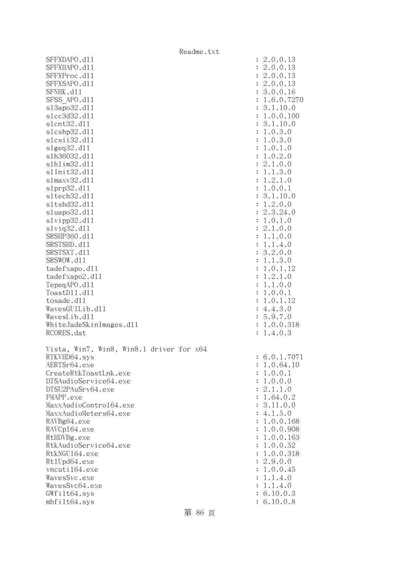|                                          | Readme.txt           |                             |
|------------------------------------------|----------------------|-----------------------------|
| SFFXDAPO.d11                             |                      | : 2.0.0.13                  |
| SFFXHAPO.d11                             |                      | : 2.0.0.13                  |
| SFFXProc.d11                             |                      | : 2.0.0.13                  |
| SFFXSAPO.d11                             |                      | : 2.0.0.13                  |
| SFNHK.d11                                |                      | : 3.0.0.16                  |
| SFSS APO.d11                             |                      | : 1.6.0.7270                |
| s13apo32.d11                             |                      | : 3.1.10.0                  |
| s1cc3d32.d11                             |                      | : 1.0.0.100                 |
| s1cnt32.d11                              |                      | : 3.1.10.0                  |
| s1cshp32.d11                             |                      | : 1.0.3.0                   |
| slcsii32.d11                             |                      | : 1.0.3.0                   |
| slgeq32.d11                              |                      | : 1.0.1.0                   |
| s1h36032.d11                             |                      | : 1.0.2.0                   |
| s1h1im32.d11                             |                      | : 2.1.0.0                   |
| s1Init32.d11                             |                      | : 1.1.3.0                   |
| s1maxv32.d11                             |                      | : 1.2.1.0                   |
| slprp32.d11                              |                      | : 1.0.0.1                   |
| s1tech32.d11                             |                      | : 3.1.10.0                  |
| s1tshd32.d11                             | $\ddot{\cdot}$       | 1.2.0.0                     |
| sluapo32.d11                             |                      | : 2.3.24.0                  |
| slvipp32.dll                             | $\ddot{\cdot}$       | 1.0.1.0                     |
| slviq32.d11                              |                      | : 2.1.0.0                   |
| SRSHP360.d11                             | $\ddot{\phantom{a}}$ | 1.1.0.0                     |
| SRSTSHD.d11                              | $\ddot{\phantom{a}}$ | 1.1.4.0                     |
| SRSTSXT.d11                              |                      | : 3.2.0.0                   |
| SRSWOW.d11                               | $\ddot{\cdot}$       | 1.1.3.0                     |
| tadefxapo.d11                            | $\ddot{\phantom{a}}$ | 1.0.1.12                    |
| tadefxapo2.d11                           | $\ddot{\phantom{a}}$ | 1.2.1.0                     |
| TepeqAPO.d11                             | $\ddot{\phantom{a}}$ | 1.1.0.0                     |
| ToastD11.d11                             | $\ddot{\cdot}$       | 1.0.0.1                     |
| tosade.d11                               | $\ddot{\phantom{a}}$ | 1.0.1.12                    |
| WavesGUILib.d11                          |                      | : 4.4.3.0                   |
| WavesLib.d11                             |                      | : 5.9.7.0                   |
| WhiteJadeSkinImages.dl1                  |                      | : 1.0.0.318                 |
| RCORES.dat                               | $\ddot{\cdot}$       | 1.4.0.3                     |
|                                          |                      |                             |
| Vista, Win7, Win8, Win8.1 driver for x64 |                      |                             |
| RTKVHD64.sys<br>AERTSr64.exe             |                      | : 6.0.1.7071<br>: 1.0.64.10 |
| CreateRtkToastLnk.exe                    |                      | : 1.0.0.1                   |
| DTSAudioService64.exe                    |                      | : 1.0.0.0                   |
| DTSU2PAuSrv64.exe                        |                      | : 2.1.1.0                   |
| FMAPP.exe                                |                      | : 1.64.0.2                  |
| MaxxAudioContro164.exe                   |                      | : 3.11.0.0                  |
| MaxxAudioMeters64.exe                    |                      | : 4.1.5.0                   |
| RAVBg64.exe                              |                      | : 1.0.0.168                 |
| RAVCp164.exe                             |                      | : 1.0.0.908                 |
| RtHDVBg.exe                              |                      | : 1.0.0.163                 |
| RtkAudioService64.exe                    |                      | : 1.0.0.52                  |
| RtkNGUI64.exe                            |                      | : 1.0.0.318                 |
| Rt1Upd64.exe                             |                      | : 2.9.0.0                   |
| vncuti164.exe                            |                      | : 1.0.0.45                  |
| WavesSvc.exe                             |                      | : 1.1.4.0                   |
| WavesSvc64.exe                           |                      | : 1.1.4.0                   |
| GWfilt64.sys                             |                      | : 6.10.0.3                  |
| mbfilt64.sys                             |                      | : 6.10.0.8                  |

第 86 頁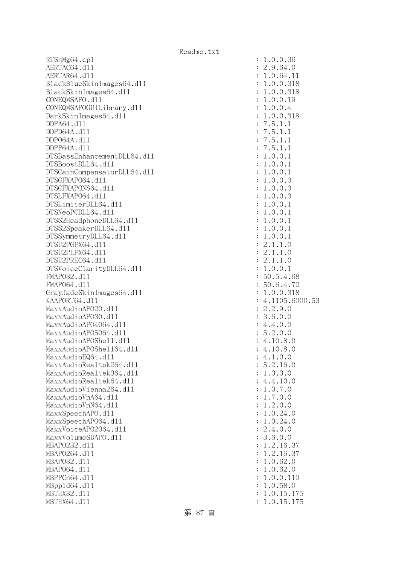RTSnMg64.cp1 : 1.0.0.36 AERTAC64.d11 : 2.9.64.0 AERTAR64.d11 : 1.0.64.11 BlackBlueSkinImages64.dll : 1.0.0.318 BlackSkinImages64.dll : 1.0.0.318 CONEQMSAPO.dll : 1.0.0.19 CONEQMSAPOGUILibrary.dll : 1.0.0.4 DarkSkinImages64.dll : 1.0.0.318 DDPA64.dll : 7.5.1.1 DDPD64A.dll : 7.5.1.1 DDPO64A.dll : 7.5.1.1 DDPP64A.dll : 7.5.1.1 DTSBassEnhancementDLL64.dll : 1.0.0.1 DTSBoostDLL64.dll : 1.0.0.1 DTSGainCompensatorDLL64.dll : 1.0.0.1 DTSGFXAPO64.dll : 1.0.0.3 DTSGFXAPONS64.dll : 1.0.0.3 DTSLFXAPO64.dll : 1.0.0.3 DTSLimiterDLL64.dll : 1.0.0.1  $DTSNeoPCDLL64. d11$  :  $1.0.0.1$ DTSS2HeadphoneDLL64.dl1 : 1.0.0.1 DTSS2SpeakerDLL64.dll : 1.0.0.1  $DTSSymmetryDLL64. d11$  :  $1.0.0.1$  DTSU2PGFX64.dll : 2.1.1.0 DTSU2PLFX64.dll : 2.1.1.0  $DTSU2PREC64. d11$  :  $2.1.1.0$ DTSVoiceClarityDLL64.dll : 1.0.0.1 FMAP032.d11 : 50.5.4.68 FMAPO64.dll : 50.6.4.72 GrayJadeSkinImages64.dll : 1.0.0.318 KAAPORT64.d11 : 4.1105.6000.53 MaxxAudioAPO20.dll : 2.2.9.0 MaxxAudioAPO30.dll : 3.6.0.0 MaxxAudioAPO4064.dl1 : 4.4.0.0 MaxxAudioAPO5064.dll : 5.2.0.0 MaxxAudioAPOShe11.dl1 : 4.10.8.0  $\text{MaxAudio}$ APOShe $1164$ .dll  $\text{maxAudio}$  $\text{MaxAudioEQ64. d11}$  : 4.1.0.0  $\text{MaxAudioRealtek264.} \text{d11}$  : 5.2.16.0 MaxxAudioRealtek364.dll : 1.3.3.0 MaxxAudioRealtek64.dll : 4.4.10.0 MaxxAudioVienna264.dll : 1.0.7.0 MaxxAudioVnA64.dll : 1.7.0.0 MaxxAudioVnN64.dll : 1.2.0.0 MaxxSpeechAPO.dll  $\qquad \qquad \vdots \qquad \qquad 1.0.24.0$  MaxxSpeechAPO64.dll : 1.0.24.0 MaxxVoiceAP02064.dl1 : 2.4.0.0 MaxxVolumeSDAPO.d11 intervalue of the state of the state of the state of the state of the state of the state of the state of the state of the state of the state of the state of the state of the state of the state of the st MBAPO232.dll : 1.2.16.37 MBAPO264.d11 : 1.2.16.37 MBAPO32.dll : 1.0.62.0 MBAP064.d11 : 1.0.62.0 MBPPCn64.d11 : 1.0.0.110 MBppld64.dll : 1.0.58.0 MBTHX32.dll : 1.0.15.175 MBTHX64.d11 : 1.0.15.175

第 87 頁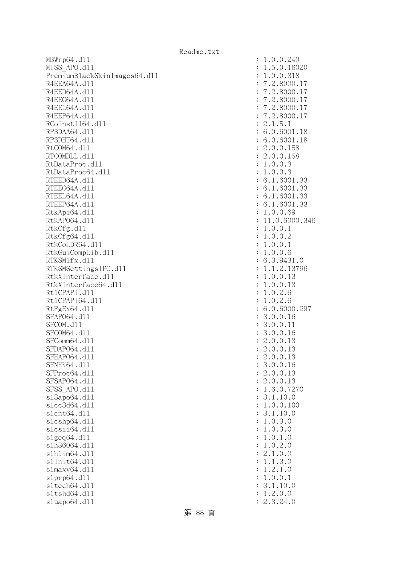MBWrp64.d11 : 1.0.0.240 MISS\_APO.dll : 1.5.0.16020 PremiumBlackSkinImages64.dll : 1.0.0.318 R4EEA64A.d11 : 7.2.8000.17 R4EED64A.d11 : 7.2.8000.17 R4EEG64A.d11 : 7.2.8000.17 R4EEL64A.d11 : 7.2.8000.17 R4EEP64A.d11 : 7.2.8000.17 RCoInstII64.dl1 : 2.1.5.1 RP3DAA64.d11 : 6.0.6001.18 RP3DHT64.d11 : 6.0.6001.18 RtCOM64.d11 : 2.0.0.158 RTCOMDLL.d11 : 2.0.0.158 RtDataProc.dl1 : 1.0.0.3 RtDataProc64.dl1 : 1.0.0.3 RTEED64A.d11 : 6.1.6001.33 RTEEG64A.d11 : 6.1.6001.33 RTEEL64A.d11 : 6.1.6001.33 RTEEP64A.d11 : 6.1.6001.33 RtkApi64.dl1 : 1.0.0.69 RtkAP064.d11 : 11.0.6000.346 RtkCfg.dl1 : 1.0.0.1 RtkCfg64.dl1 : 1.0.0.2 RtkCoLDR64.d11 : 1.0.0.1 RtkGuiCompLib.dll : 1.0.0.6 RTKSM1fx.d11 : 6.3.9431.0 RTKSMSettingsIPC.dll : 1.1.2.13796 RtkXInterface.dll : 1.0.0.13 RtkXInterface64.dll : 1.0.0.13 Rt1CPAPI.d11 : 1.0.2.6 Rt1CPAPI64.d11 : 1.0.2.6 RtPgEx64.d11 : 6.0.6000.297 SFAP064.d11 : 3.0.0.16 SFCOM.d11 : 3.0.0.11 SFCOM64.d11 : 3.0.0.16 SFComm64.d11 : 2.0.0.13 SFDAP064.d11 : 2.0.0.13 SFHAPO64.d11 : 2.0.0.13 SFNHK64.d11 : 3.0.0.16 SFProc64.d11 : 2.0.0.13 SFSAP064.d11 : 2.0.0.13 SFSS APO.d11 : 1.6.0.7270 sl3apo64.dl1 : 3.1.10.0 slcc3d64.dll : 1.0.0.100 slcnt64.dll : 3.1.10.0 slcshp64.dll : 1.0.3.0 slcsii64.dll : 1.0.3.0  $s1geq64. d11$  :  $1.0.1.0$ slh36064.dll : 1.0.2.0 slhlim64.dll : 2.1.0.0 slInit64.dl1 : 1.1.3.0 slmaxv64.dll : 1.2.1.0 slprp64.dll : 1.0.0.1 sltech64.dll : 3.1.10.0 sltshd64.dll : 1.2.0.0 sluapo64.dll : 2.3.24.0

第 88 頁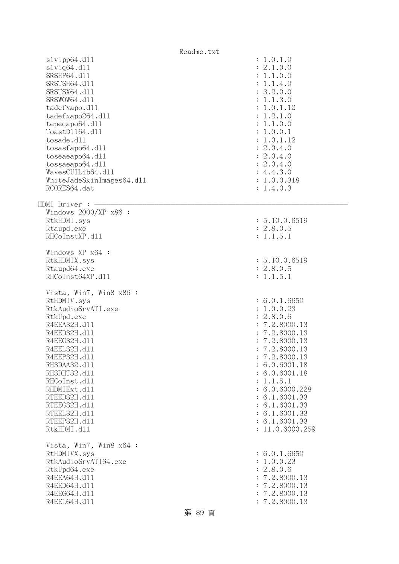|                                                                                                                                                                                                                                                                                                                                      | Readme.txt |                                                                                                                                                                                                                                                                                  |
|--------------------------------------------------------------------------------------------------------------------------------------------------------------------------------------------------------------------------------------------------------------------------------------------------------------------------------------|------------|----------------------------------------------------------------------------------------------------------------------------------------------------------------------------------------------------------------------------------------------------------------------------------|
| slvipp64.d11<br>$s1$ viq $64. d11$<br>SRSHP64.d11<br>SRSTSH64.d11<br>SRSTSX64.d11<br>SRSWOW64.d11<br>tadefxapo.d11<br>tadefxapo264.dl1<br>tepeqapo64.dll<br>ToastD1164.d11<br>tosade.d11<br>tosasfapo64.dll<br>toseaeapo64.d11<br>tossaeapo64.dl1<br>WavesGUILib64.dl1<br>WhiteJadeSkinImages64.dll<br>RCORES64.dat<br>HDMI Driver : |            | : 1.0.1.0<br>: 2.1.0.0<br>: 1.1.0.0<br>: 1.1.4.0<br>: 3.2.0.0<br>: 1.1.3.0<br>: 1.0.1.12<br>: 1.2.1.0<br>: 1.1.0.0<br>: 1.0.0.1<br>: 1.0.1.12<br>: 2.0.4.0<br>: 2.0.4.0<br>: 2.0.4.0<br>: 4.4.3.0<br>: 1.0.0.318<br>: 1.4.0.3                                                    |
| Windows $2000/XP$ x86 :<br>RtkHDMI.sys<br>Rtaupd.exe<br>RHCoInstXP.d11                                                                                                                                                                                                                                                               |            | : 5.10.0.6519<br>: 2.8.0.5<br>: 1.1.5.1                                                                                                                                                                                                                                          |
| Windows XP x64 :<br>RtkHDMIX.sys<br>Rtaupd64.exe<br>RHCoInst64XP.d11                                                                                                                                                                                                                                                                 |            | : 5.10.0.6519<br>: 2.8.0.5<br>: 1.1.5.1                                                                                                                                                                                                                                          |
| Vista, Win7, Win8 x86 :<br>RtHDMIV.sys<br>RtkAudioSrvATI.exe<br>RtkUpd.exe<br>R4EEA32H.d11<br>R4EED32H.d11<br>R4EEG32H.d11<br>R4EEL32H.d11<br>R4EEP32H.d11<br>RH3DAA32.d11<br>RH3DHT32.d11<br>RHCoInst.d11<br>RHDMIExt.d11<br>RTEED32H.d11<br>RTEEG32H.d11<br>RTEEL32H.d11<br>RTEEP32H.d11<br>RtkHDMI.d11                            |            | : 6.0.1.6650<br>: 1.0.0.23<br>: 2.8.0.6<br>: 7.2.8000.13<br>7.2.8000.13<br>: 7.2.8000.13<br>: 7.2.8000.13<br>7.2.8000.13<br>: 6.0.6001.18<br>: 6.0.6001.18<br>: 1.1.5.1<br>: 6.0.6000.228<br>: 6.1.6001.33<br>: 6.1.6001.33<br>: 6.1.6001.33<br>: 6.1.6001.33<br>: 11.0.6000.259 |
| Vista, Win7, Win8 x64 :<br>RtHDMIVX.sys<br>RtkAudioSrvATI64.exe<br>RtkUpd64.exe<br>R4EEA64H.d11<br>R4EED64H.d11<br>R4EEG64H.d11<br>R4EEL64H.d11                                                                                                                                                                                      | 第 89 頁     | : 6.0.1.6650<br>: 1.0.0.23<br>: 2.8.0.6<br>: 7.2.8000.13<br>: 7.2.8000.13<br>: 7.2.8000.13<br>: 7.2.8000.13                                                                                                                                                                      |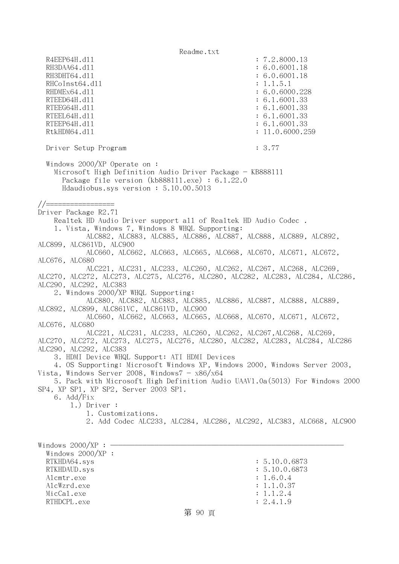Readme.txt R4EEP64H.dl1 : 7.2.8000.13 RH3DAA64.d11 : 6.0.6001.18 RH3DHT64.d11 : 6.0.6001.18 RHCoInst64.d11 : 1.1.5.1 RHDMEx64.d11 : 6.0.6000.228 RTEED64H.dll : 6.1.6001.33 RTEEG64H.d11 : 6.1.6001.33 RTEEL64H.d11 : 6.1.6001.33 RTEEP64H.dll : 6.1.6001.33 RtkHDM64.d11 : 11.0.6000.259 Driver Setup Program : 3.77 Windows 2000/XP Operate on : Microsoft High Definition Audio Driver Package - KB888111 Package file version (kb888111.exe) : 6.1.22.0 Hdaudiobus.sys version : 5.10.00.5013 //================= Driver Package R2.71 Realtek HD Audio Driver support all of Realtek HD Audio Codec . 1. Vista, Windows 7, Windows 8 WHQL Supporting: ALC882, ALC883, ALC885, ALC886, ALC887, ALC888, ALC889, ALC892, ALC899, ALC861VD, ALC900 ALC660, ALC662, ALC663, ALC665, ALC668, ALC670, ALC671, ALC672, ALC676, ALC680 ALC221, ALC231, ALC233, ALC260, ALC262, ALC267, ALC268, ALC269, ALC270, ALC272, ALC273, ALC275, ALC276, ALC280, ALC282, ALC283, ALC284, ALC286, ALC290, ALC292, ALC383 2. Windows 2000/XP WHQL Supporting: ALC880, ALC882, ALC883, ALC885, ALC886, ALC887, ALC888, ALC889, ALC892, ALC899, ALC861VC, ALC861VD, ALC900 ALC660, ALC662, ALC663, ALC665, ALC668, ALC670, ALC671, ALC672, ALC676, ALC680 ALC221, ALC231, ALC233, ALC260, ALC262, ALC267,ALC268, ALC269, ALC270, ALC272, ALC273, ALC275, ALC276, ALC280, ALC282, ALC283, ALC284, ALC286 ALC290, ALC292, ALC383 3. HDMI Device WHQL Support: ATI HDMI Devices 4. OS Supporting: Microsoft Windows XP, Windows 2000, Windows Server 2003, Vista, Windows Server 2008, Windows $7 - x86/x64$  5. Pack with Microsoft High Definition Audio UAAV1.0a(5013) For Windows 2000 SP4, XP SP1, XP SP2, Server 2003 SP1. 6. Add/Fix 1.) Driver : 1. Customizations. 2. Add Codec ALC233, ALC284, ALC286, ALC292, ALC383, ALC668, ALC900 Windows  $2000/XP : -$  Windows 2000/XP : RTKHDA64.sys : 5.10.0.6873 RTKHDAUD.sys : 5.10.0.6873 Alcmtr.exe : 1.6.0.4 AlcWzrd.exe : 1.1.0.37 MicCal.exe : 1.1.2.4 RTHDCPL.exe : 2.4.1.9

第 90 頁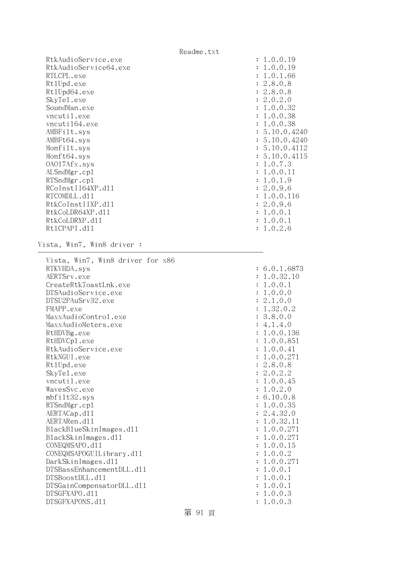Readme.txt RtkAudioService.exe : 1.0.0.19 RtkAudioService64.exe : 1.0.0.19 RTLCPL.exe : 1.0.1.66 Rt1Upd.exe : 2.8.0.8 Rt1Upd64.exe : 2.8.0.8 SkyTel.exe : 2.0.2.0 SoundMan.exe : 1.0.0.32 vncutil.exe : 1.0.0.38 vncuti164.exe : 1.0.0.38 AMBFilt.sys : 5.10.0.4240 AMBFt64.sys : 5.10.0.4240 Monfilt.sys : 5.10.0.4112 Monft64.sys : 5.10.0.4115 OAO17Afx.sys : 1.0.7.3 ALSndMgr.cp1 : 1.0.0.11 RTSndMgr.cp1 : 1.0.1.9 RCoInstII64XP.d11 : 2.0.9.6 RTCOMDLL.d11 : 1.0.0.116 RtkCoInstIIXP.dll : 2.0.9.6 RtkCoLDR64XP.dll : 1.0.0.1 RtkCoLDRXP.d11 : 1.0.0.1 RtlCPAPI.dll : 1.0.2.6 Vista, Win7, Win8 driver : -------------------------------------------------------- Vista, Win7, Win8 driver for x86 RTKVHDA.sys : 6.0.1.6873 AERTSrv.exe : 1.0.32.10 CreateRtkToastLnk.exe : 1.0.0.1 DTSAudioService.exe : 1.0.0.0 DTSU2PAuSrv32.exe : 2.1.0.0 FMAPP.exe : 1.32.0.2 MaxxAudioControl.exe : 3.8.0.0 MaxxAudioMeters.exe : 4.1.4.0 RtHDVBg.exe : 1.0.0.136 RtHDVCp1.exe : 1.0.0.851 RtkAudioService.exe : 1.0.0.41 RtkNGUI.exe : 1.0.0.271 RtlUpd.exe : 2.8.0.8 SkyTel.exe : 2.0.2.2 vncutil.exe : 1.0.0.45 WavesSvc.exe : 1.0.2.0 mbfilt32.sys : 6.10.0.8 RTSndMgr.cp1 : 1.0.0.35 AERTACap.d11 : 2.4.32.0 AERTARen.d11 : 1.0.32.11 : 1.0.32.11 BlackBlueSkinImages.dll : 1.0.0.271 BlackSkinImages.dll : 1.0.0.271 CONEQMSAPO.dll : 1.0.0.15 CONEQMSAPOGUILibrary.dll : 1.0.0.2 DarkSkinImages.dll : 1.0.0.271 DTSBassEnhancementDLL.dl1 : 1.0.0.1  $DTSBoostDLL. d11$  :  $1.0.0.1$ DTSGainCompensatorDLL.dll : 1.0.0.1 DTSGFXAPO.dll : 1.0.0.3 DTSGFXAPONS.dll : 1.0.0.3

第 91 頁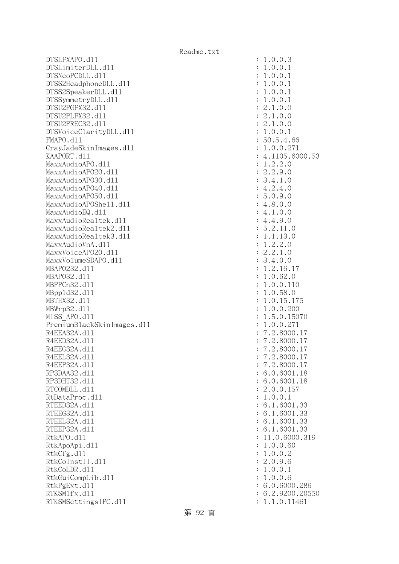DTSLFXAPO.dll : 1.0.0.3 DTSLimiterDLL.dl1 : 1.0.0.1 DTSNeoPCDLL.d11 : 1.0.0.1 DTSS2HeadphoneDLL.dl1 : 1.0.0.1 DTSS2SpeakerDLL.d11 : 1.0.0.1 DTSSymmetryDLL.dl1 : 1.0.0.1 DTSU2PGFX32.dll : 2.1.0.0 DTSU2PLFX32.dll : 2.1.0.0 DTSU2PREC32.d11 : 2.1.0.0 DTSVoiceClarityDLL.dl1 : 1.0.0.1 FMAPO.d11 : 50.5.4.66 GrayJadeSkinImages.dll : 1.0.0.271 KAAPORT.d11 : 4.1105.6000.53 MaxxAudioAPO.dl1 : 1.2.2.0 MaxxAudioAPO20.dll : 2.2.9.0 MaxxAudioAPO30.dll : 3.4.1.0  $\text{MaxAudio}$ APO40.dll : 4.2.4.0 MaxxAudioAPO50.dll : 5.0.9.0 MaxxAudioAPOShe11.dl1 : 4.8.0.0  $\text{MaxAudioEQ}.d11$  : 4.1.0.0 MaxxAudioRealtek.dll  $4.4.9.0$ MaxxAudioRealtek2.dll  $\qquad \qquad$  : 5.2.11.0 MaxxAudioRealtek3.dll : 1.1.13.0  $MaxAudioVnA. d11$  :  $1.2.2.0$ MaxxVoiceAP020.dll : 2.2.1.0 MaxxVolumeSDAPO.dl1 : 3.4.0.0 MBAPO232.dll : 1.2.16.17 MBAPO32.dll : 1.0.62.0 MBPPCn32.dll : 1.0.0.110 MBppld32.dll : 1.0.58.0 MBTHX32.d11 : 1.0.15.175 MBWrp32.dll : 1.0.0.200 MISS APO.d11 : 1.5.0.15070 PremiumBlackSkinImages.dll : 1.0.0.271 R4EEA32A.d11 : 7.2.8000.17 R4EED32A.d11 : 7.2.8000.17 R4EEG32A.d11 : 7.2.8000.17 R4EEL32A.d11 : 7.2.8000.17 R4EEP32A.d11 : 7.2.8000.17 RP3DAA32.d11 : 6.0.6001.18 RP3DHT32.d11 : 6.0.6001.18 RTCOMDLL.d11 : 2.0.0.157 RtDataProc.d11 : 1.0.0.1 RTEED32A.d11 : 6.1.6001.33 RTEEG32A.d11 : 6.1.6001.33 RTEEL32A.d11 : 6.1.6001.33 RTEEP32A.d11 : 6.1.6001.33 RtkAPO.d11 : 11.0.6000.319 RtkApoApi.dl1 : 1.0.0.60 RtkCfg.dl1 : 1.0.0.2 RtkCoInstII.dl1 : 2.0.9.6 RtkCoLDR.d11 : 1.0.0.1 RtkGuiCompLib.dl1 : 1.0.0.6 RtkPgExt.dll : 6.0.6000.286 RTKSMlfx.dll : 6.2.9200.20550 RTKSMSettingsIPC.d11 : 1.1.0.11461

第 92 頁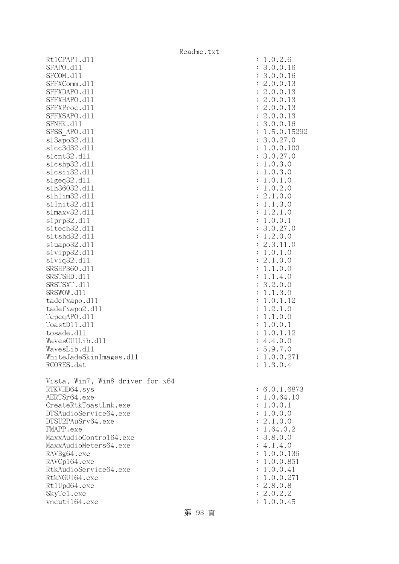|                                   | Readme.txt |                           |
|-----------------------------------|------------|---------------------------|
| Rt1CPAPI.d11                      |            | : 1.0.2.6                 |
| SFAPO.d11                         |            | 3.0.0.16                  |
| SFCOM.d11                         |            | 3.0.0.16                  |
| SFFXComm.d11                      |            | 2.0.0.13                  |
| SFFXDAPO.d11                      |            | 2.0.0.13                  |
| SFFXHAPO.d11                      |            | 2.0.0.13                  |
| SFFXProc.d11                      |            | 2.0.0.13                  |
| SFFXSAPO.d11                      |            | 2.0.0.13                  |
| SFNHK.d11                         |            | 3.0.0.16                  |
| SFSS APO.d11                      |            | 1.5.0.15292               |
| s13apo32.d11                      |            | 3.0.27.0                  |
| s1cc3d32.d11                      |            | 1.0.0.100                 |
| s1cnt32.d11                       |            | 3.0.27.0                  |
| slcshp32.d11                      |            | 1.0.3.0                   |
| slcsii32.dll                      |            | 1.0.3.0                   |
| slgeq32.d11                       |            | 1.0.1.0                   |
| s1h36032.d11                      |            | 1.0.2.0                   |
| s1h1im32.d11                      |            | 2.1.0.0                   |
| s1Init32.d11                      |            | 1.1.3.0                   |
| s1maxv32.d11                      |            | 1.2.1.0                   |
| slprp32.d11                       |            | 1.0.0.1                   |
| s1tech32.d11                      |            | 3.0.27.0                  |
| s1tshd32.d11                      |            | 1.2.0.0                   |
| sluapo32.d11                      |            | 2.3.11.0                  |
| slvipp32.d11<br>$s1$ viq $32.d11$ |            | 1.0.1.0<br>2.1.0.0        |
| SRSHP360.d11                      |            | 1.1.0.0                   |
| SRSTSHD.d11                       |            | 1.1.4.0                   |
| SRSTSXT.d11                       |            | 3.2.0.0                   |
| SRSWOW.d11                        |            | 1.1.3.0                   |
| tadefxapo.d11                     |            | 1.0.1.12                  |
| tadefxapo2.d11                    |            | 1.2.1.0                   |
| TepegAPO.d11                      |            | 1.1.0.0                   |
| ToastD11.d11                      |            | 1.0.0.1                   |
| tosade.d11                        |            | 1.0.1.12                  |
| WavesGUILib.d11                   |            | 4.4.0.0                   |
| WavesLib.dl1                      |            | : 5.9.7.0                 |
| WhiteJadeSkinImages.dl1           |            | 1.0.0.271                 |
| RCORES.dat                        |            | : 1.3.0.4                 |
|                                   |            |                           |
| Vista, Win7, Win8 driver for x64  |            |                           |
| RTKVHD64.sys                      |            | : 6.0.1.6873              |
| AERTSr64.exe                      |            | : 1.0.64.10               |
| CreateRtkToastLnk.exe             |            | : 1.0.0.1                 |
| DTSAudioService64.exe             |            | : 1.0.0.0                 |
| DTSU2PAuSrv64.exe                 |            | : 2.1.0.0                 |
| FMAPP.exe                         |            | : 1.64.0.2                |
| MaxxAudioContro164.exe            |            | : 3.8.0.0                 |
| MaxxAudioMeters64.exe             |            | : 4.1.4.0                 |
| RAVBg64.exe                       |            | : 1.0.0.136               |
| RAVCp164.exe                      |            | : 1.0.0.851               |
| RtkAudioService64.exe             |            | : 1.0.0.41                |
| RtkNGUI64.exe                     |            | : 1.0.0.271               |
| Rt1Upd64.exe                      |            | : 2.8.0.8                 |
| SkyTe1.exe                        |            | 2.0.2.2<br>$\ddot{\cdot}$ |
| vncuti164.exe                     |            | : 1.0.0.45                |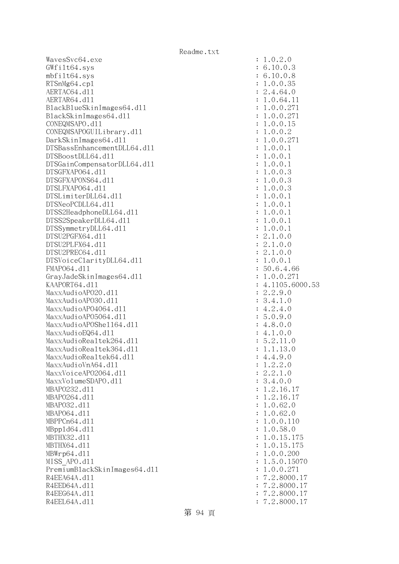WavesSvc64.exe : 1.0.2.0 GWfilt64.sys : 6.10.0.3 mbfilt64.sys : 6.10.0.8 RTSnMg64.cpl : 1.0.0.35 AERTAC64.d11 : 2.4.64.0 AERTAR64.d11 : 1.0.64.11 BlackBlueSkinImages64.dll : 1.0.0.271 BlackSkinImages64.dl1 : 1.0.0.271 CONEQMSAPO.dll : 1.0.0.15 CONEQMSAPOGUILibrary.dll : 1.0.0.2 DarkSkinImages64.dl1 : 1.0.0.271 DTSBassEnhancementDLL64.dll : 1.0.0.1 DTSBoostDLL64.dll : 1.0.0.1 DTSGainCompensatorDLL64.dll : 1.0.0.1 DTSGFXAPO64.dll : 1.0.0.3 DTSGFXAPONS64.dll : 1.0.0.3 DTSLFXAPO64.dll : 1.0.0.3 DTSLimiterDLL64.dll : 1.0.0.1 DTSNeoPCDLL64.dll : 1.0.0.1 DTSS2HeadphoneDLL64.dll : 1.0.0.1 DTSS2SpeakerDLL64.dl1 : 1.0.0.1 DTSSymmetryDLL64.dl1 : 1.0.0.1 DTSU2PGFX64.dll : 2.1.0.0 DTSU2PLFX64.dll : 2.1.0.0 DTSU2PREC64.dl1 : 2.1.0.0 DTSVoiceClarityDLL64.dll : 1.0.0.1 FMAPO64.dll : 50.6.4.66 GrayJadeSkinImages64.dl1 : 1.0.0.271 KAAPORT64.d11 : 4.1105.6000.53 MaxxAudioAPO20.dll : 2.2.9.0 MaxxAudioAPO30.dll : 3.4.1.0 MaxxAudioAP04064.dl1 : 4.2.4.0 MaxxAudioAPO5064.dll : 5.0.9.0 MaxxAudioAPOShe1164.dl1 : 4.8.0.0  $\text{MaxAudioEQ64.}d11$  : 4.1.0.0 MaxxAudioRealtek264.dll : 5.2.11.0 MaxxAudioRealtek364.dll : 1.1.13.0  $\text{MaxAudioReal}$ tek64.dll : 4.4.9.0  $\text{MaxAudioVnA64.} \text{d}11$  : 1.2.2.0 MaxxVoiceAP02064.dl1 : 2.2.1.0 MaxxVolumeSDAPO.dl1 : 3.4.0.0 MBAPO232.dll : 1.2.16.17 MBAPO264.d11 : 1.2.16.17 MBAPO32.d11 : 1.0.62.0 MBAP064.d11 : 1.0.62.0 MBPPCn64.dll : 1.0.0.110 MBppld64.dll : 1.0.58.0 MBTHX32.dll : 1.0.15.175 MBTHX64.dll : 1.0.15.175 MBWrp64.dll : 1.0.0.200 MISS\_APO.d11 : 1.5.0.15070 PremiumBlackSkinImages64.dll : 1.0.0.271 R4EEA64A.d11 : 7.2.8000.17 R4EED64A.d11 : 7.2.8000.17 R4EEG64A.d11 : 7.2.8000.17 R4EEL64A.d11 : 7.2.8000.17

第 94 頁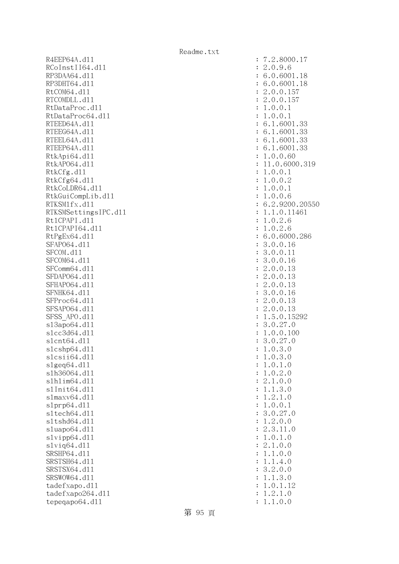R4EEP64A.d11 : 7.2.8000.17 RCoInstII64.d11 : 2.0.9.6 RP3DAA64.d11 : 6.0.6001.18 RP3DHT64.d11 : 6.0.6001.18 RtCOM64.d11 : 2.0.0.157 RTCOMDLL.d11 : 2.0.0.157 RtDataProc.dll : 1.0.0.1 RtDataProc64.dl1 : 1.0.0.1 RTEED64A.d11 : 6.1.6001.33 RTEEG64A.d11 : 6.1.6001.33 RTEEL64A.d11 : 6.1.6001.33 RTEEP64A.d11 : 6.1.6001.33 RtkApi64.dl1 : 1.0.0.60 RtkAP064.dl1 : 11.0.6000.319 RtkCfg.dl1 : 1.0.0.1 RtkCfg64.d11 : 1.0.0.2 RtkCoLDR64.d11 : 1.0.0.1 RtkGuiCompLib.dl1 : 1.0.0.6 RTKSM1fx.d11 : 6.2.9200.20550 RTKSMSettingsIPC.dll : 1.1.0.11461 RtlCPAPI.dll : 1.0.2.6 Rt1CPAPI64.d11 : 1.0.2.6 RtPgEx64.d11 : 6.0.6000.286 SFAP064.d11 : 3.0.0.16 SFCOM.d11 : 3.0.0.11 SFCOM64.d11 : 3.0.0.16 SFComm64.d11 : 2.0.0.13 SFDAP064.d11 : 2.0.0.13 SFHAPO64.d11 : 2.0.0.13 SFNHK64.d11 : 3.0.0.16 SFProc64.d11 : 2.0.0.13 SFSAP064.d11 : 2.0.0.13 SFSS APO.d11 : 1.5.0.15292 sl3apo64.dll : 3.0.27.0 slcc3d64.dll : 1.0.0.100 slcnt64.dll : 3.0.27.0 slcshp64.dll : 1.0.3.0  $s1csi64. d11$  :  $1.0.3.0$  $s1geq64. d11$  :  $1.0.1.0$ slh36064.dll : 1.0.2.0 slhlim64.dll : 2.1.0.0 slInit64.dll : 1.1.3.0 slmaxv64.dll : 1.2.1.0 slprp64.dll : 1.0.0.1 sltech64.dll : 3.0.27.0 sltshd64.dll : 1.2.0.0 sluapo64.dll : 2.3.11.0 slvipp64.dll : 1.0.1.0 slviq64.dll : 2.1.0.0 SRSHP64.d11 : 1.1.0.0 SRSTSH64.dl1 : 1.1.4.0 SRSTSX64.d11 : 3.2.0.0 SRSWOW64.d11 : 1.1.3.0 tadefxapo.dl1 : 1.0.1.12 tadefxapo264.dll : 1.2.1.0 tepeqapo64.dll : 1.1.0.0

第 95 頁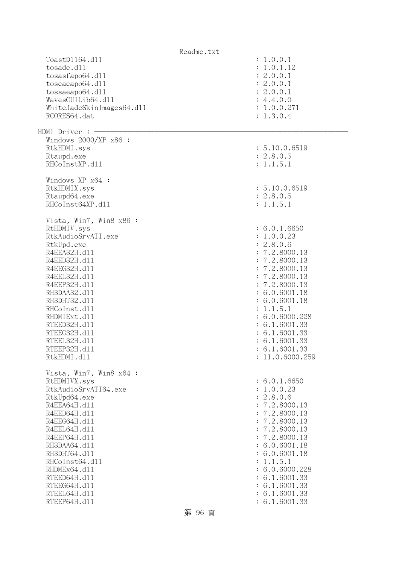|                           | Readme.txt                     |
|---------------------------|--------------------------------|
| ToastD1164.d11            | : 1.0.0.1                      |
| tosade.d11                | : 1.0.1.12                     |
| tosasfapo64.dll           | : 2.0.0.1                      |
| toseaeapo64.d11           | : 2.0.0.1                      |
| tossaeapo64.d11           | : 2.0.0.1                      |
| WavesGUILib64.d11         | : 4.4.0.0                      |
| WhiteJadeSkinImages64.dll | : 1.0.0.271                    |
| RCORES64.dat              | : 1.3.0.4                      |
|                           |                                |
| HDMI Driver : -           |                                |
| Windows 2000/XP x86 :     |                                |
| RtkHDMI.sys               | : 5.10.0.6519                  |
| Rtaupd.exe                | : 2.8.0.5                      |
| RHCoInstXP.d11            | : 1.1.5.1                      |
|                           |                                |
| Windows XP x64 :          |                                |
| RtkHDMIX.sys              | : 5.10.0.6519                  |
| Rtaupd64.exe              | : 2.8.0.5                      |
| RHCoInst64XP.d11          | : 1.1.5.1                      |
|                           |                                |
| Vista, Win7, Win8 x86 :   |                                |
| RtHDMIV.sys               | : 6.0.1.6650                   |
| RtkAudioSrvATI.exe        | : 1.0.0.23                     |
| RtkUpd.exe                | : 2.8.0.6                      |
| R4EEA32H.d11              | : 7.2.8000.13                  |
| R4EED32H.d11              | : 7.2.8000.13                  |
| R4EEG32H.d11              | : 7.2.8000.13                  |
| R4EEL32H.d11              | : 7.2.8000.13                  |
| R4EEP32H.d11              | : 7.2.8000.13                  |
| RH3DAA32.d11              | : 6.0.6001.18                  |
| RH3DHT32.d11              | : 6.0.6001.18                  |
| RHCoInst.d11              | : 1.1.5.1                      |
|                           |                                |
| RHDMIExt.d11              | : 6.0.6000.228                 |
| RTEED32H.d11              | : 6.1.6001.33                  |
| RTEEG32H.d11              | : 6.1.6001.33                  |
| RTEEL32H.d11              | : 6.1.6001.33                  |
| RTEEP32H.d11              | : 6.1.6001.33                  |
| RtkHDMI.d11               | : 11.0.6000.259                |
| Vista, Win7, Win8 x64 :   |                                |
| RtHDMIVX.sys              | : 6.0.1.6650                   |
| RtkAudioSrvATI64.exe      | : 1.0.0.23                     |
|                           | : 2.8.0.6                      |
| RtkUpd64.exe              |                                |
| R4EEA64H.d11              | : 7.2.8000.13<br>: 7.2.8000.13 |
| R4EED64H.d11              |                                |
| R4EEG64H.d11              | : 7.2.8000.13                  |
| R4EEL64H.d11              | : 7.2.8000.13                  |
| R4EEP64H.d11              | : 7.2.8000.13                  |
| RH3DAA64.d11              | : 6.0.6001.18                  |
| RH3DHT64.d11              | : 6.0.6001.18                  |
| RHCoInst64.d11            | : 1.1.5.1                      |
| RHDMEx64.d11              | : 6.0.6000.228                 |
| RTEED64H.d11              | : 6.1.6001.33                  |
| RTEEG64H.d11              | : 6.1.6001.33                  |
| RTEEL64H.d11              | : 6.1.6001.33                  |
| RTEEP64H.d11              | : 6.1.6001.33                  |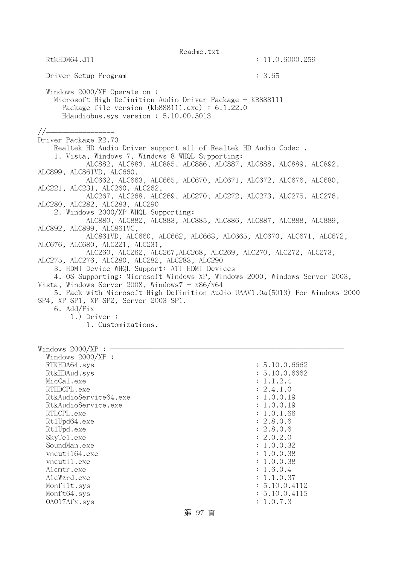Readme.txt RtkHDM64.d11 : 11.0.6000.259 Driver Setup Program : 3.65 Windows 2000/XP Operate on : Microsoft High Definition Audio Driver Package - KB888111 Package file version (kb888111.exe) : 6.1.22.0 Hdaudiobus.sys version : 5.10.00.5013 //================= Driver Package R2.70 Realtek HD Audio Driver support all of Realtek HD Audio Codec . 1. Vista, Windows 7, Windows 8 WHQL Supporting: ALC882, ALC883, ALC885, ALC886, ALC887, ALC888, ALC889, ALC892, ALC899, ALC861VD, ALC660, ALC662, ALC663, ALC665, ALC670, ALC671, ALC672, ALC676, ALC680, ALC221, ALC231, ALC260, ALC262, ALC267, ALC268, ALC269, ALC270, ALC272, ALC273, ALC275, ALC276, ALC280, ALC282, ALC283, ALC290 2. Windows 2000/XP WHQL Supporting: ALC880, ALC882, ALC883, ALC885, ALC886, ALC887, ALC888, ALC889, ALC892, ALC899, ALC861VC, ALC861VD, ALC660, ALC662, ALC663, ALC665, ALC670, ALC671, ALC672, ALC676, ALC680, ALC221, ALC231, ALC260, ALC262, ALC267,ALC268, ALC269, ALC270, ALC272, ALC273, ALC275, ALC276, ALC280, ALC282, ALC283, ALC290 3. HDMI Device WHQL Support: ATI HDMI Devices 4. OS Supporting: Microsoft Windows XP, Windows 2000, Windows Server 2003, Vista, Windows Server 2008, Windows $7 - x86/x64$  5. Pack with Microsoft High Definition Audio UAAV1.0a(5013) For Windows 2000 SP4, XP SP1, XP SP2, Server 2003 SP1. 6. Add/Fix 1.) Driver : 1. Customizations. Windows  $2000/XP : -$  Windows 2000/XP : RTKHDA64.sys : 5.10.0.6662 RtkHDAud.sys : 5.10.0.6662 MicCal.exe : 1.1.2.4 RTHDCPL.exe : 2.4.1.0 RtkAudioService64.exe : 1.0.0.19 RtkAudioService.exe : 1.0.0.19 RTLCPL.exe : 1.0.1.66 Rt1Upd64.exe : 2.8.0.6 Rt1Upd.exe : 2.8.0.6 SkyTel.exe : 2.0.2.0 SoundMan.exe : 1.0.0.32 vncuti164.exe : 1.0.0.38 vncutil.exe : 1.0.0.38 Alcmtr.exe : 1.6.0.4 AlcWzrd.exe : 1.1.0.37 Monfilt.sys : 5.10.0.4112 Monft64.sys : 5.10.0.4115 OAO17Afx.sys : 1.0.7.3 第 97 頁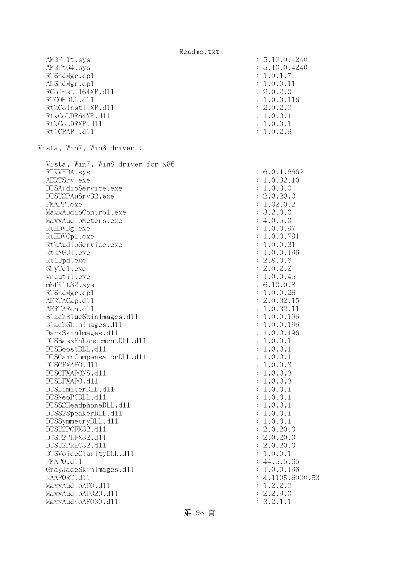| AMBFilt.sys       | : 5.10.0.4240 |
|-------------------|---------------|
| AMBFt64.sys       | : 5.10.0.4240 |
| RTSndMgr.cp1      | : 1.0.1.7     |
| ALSndMgr.cp1      | : 1.0.0.11    |
| RCoInstII64XP.d11 | : 2.0.2.0     |
| RTCOMDLL.d11      | : 1.0.0.116   |
| RtkCoInstIIXP.d11 | : 2.0.2.0     |
| RtkCoLDR64XP.d11  | : 1.0.0.1     |
| RtkCoLDRXP.d11    | : 1.0.0.1     |
| Rt1CPAPI.d11      | : 1.0.2.6     |

--------------------------------------------------------

Vista, Win7, Win8 driver :

| Vista, Win7, Win8 driver for x86 |                      |                |
|----------------------------------|----------------------|----------------|
| RTKVHDA.sys                      |                      | : 6.0.1.6662   |
| AERTSrv.exe                      |                      | : 1.0.32.10    |
| DTSAudioService.exe              |                      | : 1.0.0.0      |
| DTSU2PAuSrv32.exe                |                      | : 2.0.20.0     |
| FMAPP.exe                        |                      | : 1.32.0.2     |
| MaxxAudioControl.exe             |                      | : 3.2.0.0      |
| MaxxAudioMeters.exe              |                      | : 4.0.5.0      |
| RtHDVBg.exe                      |                      | : 1.0.0.97     |
| RtHDVCp1.exe                     |                      | : 1.0.0.791    |
| RtkAudioService.exe              |                      | : 1.0.0.31     |
| RtkNGUI.exe                      |                      | : 1.0.0.196    |
| Rt1Upd.exe                       |                      | : 2.8.0.6      |
| SkyTe1.exe                       |                      | : 2.0.2.2      |
| vncutil.exe                      |                      | : 1.0.0.45     |
| mbfilt32.sys                     |                      | : 6.10.0.8     |
| RTSndMgr.cp1                     |                      | : 1.0.0.26     |
| AERTACap.d11                     |                      | : 2.0.32.15    |
| AERTARen.d11                     |                      | : 1.0.32.11    |
| BlackBlueSkinImages.dl1          |                      | : 1.0.0.196    |
| BlackSkinImages.dl1              |                      | : 1.0.0.196    |
| DarkSkinImages.d11               |                      | : 1.0.0.196    |
| DTSBassEnhancementDLL.d11        |                      | : 1.0.0.1      |
| DTSBoostDLL.d11                  |                      | : 1.0.0.1      |
| DTSGainCompensatorDLL.d11        |                      | : 1.0.0.1      |
| DTSGFXAPO.d11                    |                      | : 1.0.0.3      |
| DTSGFXAPONS.d11                  |                      | : 1.0.0.3      |
| DTSLFXAPO.d11                    |                      | : 1.0.0.3      |
| DTSLimiterDLL.d11                |                      | : 1.0.0.1      |
| DTSNeoPCDLL.d11                  |                      | : 1.0.0.1      |
| DTSS2HeadphoneDLL.d11            |                      | : 1.0.0.1      |
| DTSS2SpeakerDLL.d11              | $\ddot{\cdot}$       | 1.0.0.1        |
| DTSSymmetryDLL.d11               | $\ddot{\cdot}$       | 1.0.0.1        |
| DTSU2PGFX32.d11                  |                      | : 2.0.20.0     |
| DTSU2PLFX32.d11                  |                      | : 2.0.20.0     |
| DTSU2PREC32.d11                  |                      | : 2.0.20.0     |
| DTSVoiceClarityDLL.d11           |                      | : 1.0.0.1      |
| FMAPO.d11                        |                      | : 44.5.5.65    |
| GrayJadeSkinImages.d11           |                      | : 1.0.0.196    |
| KAAPORT.d11                      | $\ddot{\phantom{a}}$ | 4.1105.6000.53 |
| MaxxAudioAPO.d11                 |                      | : 1.2.2.0      |
| MaxxAudioAP020.dl1               |                      | : 2.2.9.0      |
| MaxxAudioAP030.dll               |                      | : 3.2.1.1      |
|                                  |                      |                |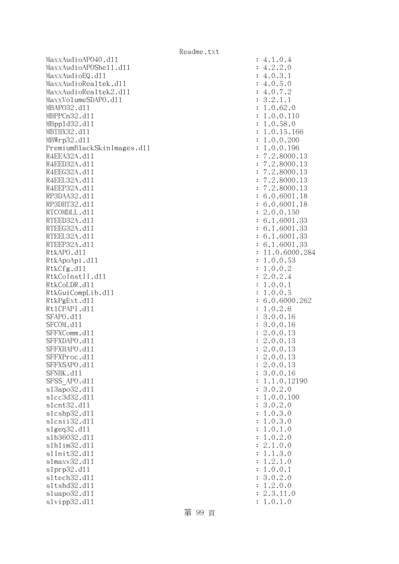MaxxAudioAPO40.dll : 4.1.0.4 MaxxAudioAPOShell.dll : 4.2.2.0  $MaxAudioEQ. d11$  : 4.0.3.1 MaxxAudioRealtek.dll  $\cdot$  4.0.5.0 MaxxAudioRealtek2.dll : 4.0.7.2 MaxxVolumeSDAPO.dll : 3.2.1.1 MBAPO32.d11 : 1.0.62.0 MBPPCn32.d11 : 1.0.0.110 MBppld32.dll : 1.0.58.0 MBTHX32.d11 : 1.0.15.166 MBWrp32.d11 : 1.0.0.200 PremiumBlackSkinImages.dll : 1.0.0.196 R4EEA32A.d11 : 7.2.8000.13 R4EED32A.d11 : 7.2.8000.13 R4EEG32A.d11 : 7.2.8000.13 R4EEL32A.d11 : 7.2.8000.13 R4EEP32A.d11 : 7.2.8000.13 RP3DAA32.d11 : 6.0.6001.18 RP3DHT32.d11 : 6.0.6001.18 RTCOMDLL.d11 : 2.0.0.150 RTEED32A.d11 : 6.1.6001.33 RTEEG32A.d11 : 6.1.6001.33 RTEEL32A.d11 : 6.1.6001.33 RTEEP32A.d11 : 6.1.6001.33 RtkAPO.dll : 11.0.6000.284 RtkApoApi.dl1 : 1.0.0.53 RtkCfg.dl 1 : 1.0.0.2 RtkCoInstII.dl1 : 2.0.2.4 RtkCoLDR.d11 : 1.0.0.1 RtkGuiCompLib.dl1 : 1.0.0.5 RtkPgExt.d11 : 6.0.6000.262 Rt1CPAPI.d11 : 1.0.2.6 SFAPO.dll : 3.0.0.16 SFCOM.d11 : 3.0.0.16 SFFXComm.d11 : 2.0.0.13 SFFXDAPO.d11 : 2.0.0.13 SFFXHAPO.d11 : 2.0.0.13 SFFXProc.d11 : 2.0.0.13 SFFXSAPO.d11 : 2.0.0.13 SFNHK.d11 : 3.0.0.16 SFSS APO.d11 : 1.1.0.12190 sl3apo32.dll : 3.0.2.0 slcc3d32.d11 : 1.0.0.100 slcnt32.dll : 3.0.2.0 slcshp32.dll : 1.0.3.0 slcsii32.dll : 1.0.3.0 slgeq32.dll : 1.0.1.0 slh36032.dll : 1.0.2.0 slhlim32.dll : 2.1.0.0 slInit32.dl1 : 1.1.3.0 slmaxv32.dl1 : 1.2.1.0 slprp32.dll : 1.0.0.1 sltech32.dll : 3.0.2.0 sltshd32.dll : 1.2.0.0 sluapo32.dll : 2.3.11.0 slvipp32.dll : 1.0.1.0

第 99 頁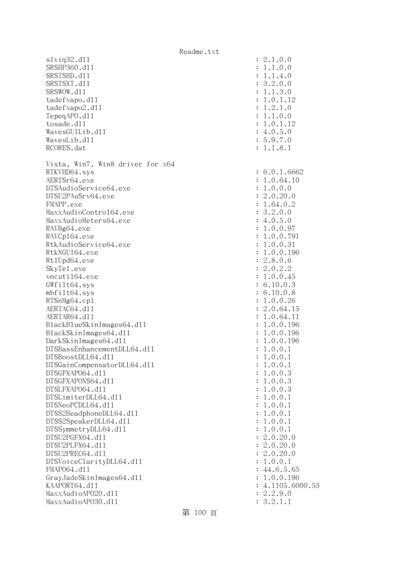| s1viq32.d11                      | : 2.1.0.0        |
|----------------------------------|------------------|
| SRSHP360.d11                     | : 1.1.0.0        |
| SRSTSHD.d11                      | : 1.1.4.0        |
| SRSTSXT.d11                      | : 3.2.0.0        |
| SRSWOW.d11                       | : 1.1.3.0        |
| tadefxapo.dl1                    | : 1.0.1.12       |
| tadefxapo2.d11                   | : 1.2.1.0        |
| TepeqAPO.d11                     | : 1.1.0.0        |
| tosade.d11                       | : 1.0.1.12       |
| WavesGUILib.d11                  | : 4.0.5.0        |
| WavesLib.dl1                     | : 5.9.7.0        |
|                                  |                  |
| RCORES.dat                       | : 1.1.8.1        |
| Vista, Win7, Win8 driver for x64 |                  |
| RTKVHD64.sys                     | : 6.0.1.6662     |
| AERTSr64.exe                     | : 1.0.64.10      |
| DTSAudioService64.exe            | : 1.0.0.0        |
|                                  |                  |
| DTSU2PAuSrv64.exe                | : 2.0.20.0       |
| FMAPP.exe                        | : 1.64.0.2       |
| MaxxAudioContro164.exe           | : 3.2.0.0        |
| MaxxAudioMeters64.exe            | : 4.0.5.0        |
| RAVBg64.exe                      | : 1.0.0.97       |
| RAVCp164.exe                     | : 1.0.0.791      |
| RtkAudioService64.exe            | : 1.0.0.31       |
| RtkNGUI64.exe                    | : 1.0.0.196      |
| Rt1Upd64.exe                     | : 2.8.0.6        |
| SkyTe1.exe                       | : 2.0.2.2        |
| vncuti164.exe                    | : 1.0.0.45       |
| GWfilt64.sys                     | : 6.10.0.3       |
| $mbf$ ilt $64$ .sys              | : 6.10.0.8       |
| RTSnMg64.cp1                     | : 1.0.0.26       |
| AERTAC64.d11                     | : 2.0.64.15      |
| AERTAR64.d11                     | : 1.0.64.11      |
| BlackBlueSkinImages64.dll        | : 1.0.0.196      |
| BlackSkinImages64.dll            | : 1.0.0.196      |
| DarkSkinImages64.d11             | : 1.0.0.196      |
| DTSBassEnhancementDLL64.d11      | : 1.0.0.1        |
| DTSBoostDLL64.d11                | : 1.0.0.1        |
| DTSGainCompensatorDLL64.d11      | : 1.0.0.1        |
| DTSGFXAP064.d11                  |                  |
|                                  | : 1.0.0.3        |
| DTSGFXAPONS64.d11                | : 1.0.0.3        |
| DTSLFXAP064.d11                  | : 1.0.0.3        |
| DTSLimiterDLL64.d11              | : 1.0.0.1        |
| DTSNeoPCDLL64.d11                | : 1.0.0.1        |
| DTSS2HeadphoneDLL64.d11          | : 1.0.0.1        |
| DTSS2SpeakerDLL64.d11            | : 1.0.0.1        |
| DTSSymmetryDLL64.d11             | : 1.0.0.1        |
| DTSU2PGFX64.d11                  | : 2.0.20.0       |
| DTSU2PLFX64.d11                  | : 2.0.20.0       |
| DTSU2PREC64.d11                  | : 2.0.20.0       |
| DTSVoiceClarityDLL64.dl1         | : 1.0.0.1        |
| FMAP064.d11                      | : 44.6.5.65      |
| GrayJadeSkinImages64.dll         | : 1.0.0.196      |
| KAAPORT64.d11                    | : 4.1105.6000.53 |
| MaxxAudioAP020.dll               | : 2.2.9.0        |
| MaxxAudioAP030.dll               | : 3.2.1.1        |
|                                  |                  |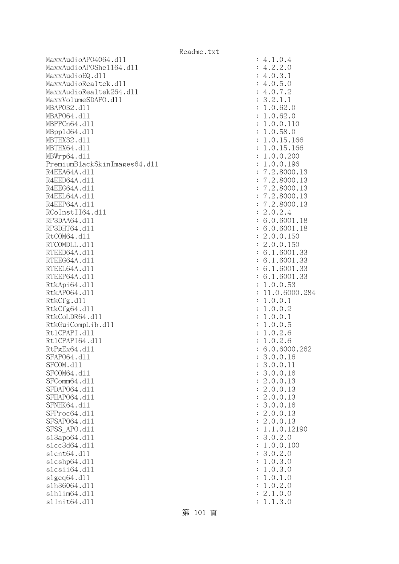MaxxAudioAPO4064.dll : 4.1.0.4 MaxxAudioAPOShe1164.dl1 : 4.2.2.0  $MaxAudioEQ. d11$  : 4.0.3.1 MaxxAudioRealtek.dl1 : 4.0.5.0 MaxxAudioRealtek264.dll : 4.0.7.2 MaxxVolumeSDAPO.dll : 3.2.1.1 MBAPO32.dll : 1.0.62.0 MBAP064.d11 : 1.0.62.0 MBPPCn64.dll : 1.0.0.110 MBppld64.dll : 1.0.58.0 MBTHX32.d11 : 1.0.15.166 MBTHX64.d11 : 1.0.15.166 MBWrp64.dll : 1.0.0.200 PremiumBlackSkinImages64.dl1 : 1.0.0.196 R4EEA64A.d11 : 7.2.8000.13 R4EED64A.d11 : 7.2.8000.13 R4EEG64A.d11 : 7.2.8000.13 R4EEL64A.d11 : 7.2.8000.13 R4EEP64A.d11 : 7.2.8000.13  $RCoInstI164. d11$  : 2.0.2.4 RP3DAA64.d11 : 6.0.6001.18 RP3DHT64.d11 : 6.0.6001.18 RtCOM64.d11 : 2.0.0.150 RTCOMDLL.d11 : 2.0.0.150 RTEED64A.d11 : 6.1.6001.33 RTEEG64A.d11 : 6.1.6001.33 RTEEL64A.d11 : 6.1.6001.33 RTEEP64A.d11 : 6.1.6001.33 RtkApi64.dl1 : 1.0.0.53 RtkAP064.d11 : 11.0.6000.284 RtkCfg.dl1 : 1.0.0.1 RtkCfg64.dl1 : 1.0.0.2 RtkCoLDR64.d11 : 1.0.0.1 RtkGuiCompLib.dl1 : 1.0.0.5 Rt1CPAPI.d11 : 1.0.2.6 Rt1CPAPI64.d11 : 1.0.2.6 RtPgEx64.d11 : 6.0.6000.262 SFAP064.d11 : 3.0.0.16 SFCOM.d11 : 3.0.0.11 SFCOM64.d11 : 3.0.0.16 SFComm64.d11 : 2.0.0.13 SFDAP064.d11 : 2.0.0.13 SFHAPO64.d11 : 2.0.0.13 SFNHK64.d11 : 3.0.0.16 SFProc64.d11 : 2.0.0.13 SFSAP064.d11 : 2.0.0.13 SFSS APO.d11 : 1.1.0.12190 sl3apo64.dll : 3.0.2.0 slcc3d64.dll : 1.0.0.100 slcnt64.dll : 3.0.2.0 slcshp64.dll : 1.0.3.0 slcsii64.dll : 1.0.3.0 slgeq64.dll : 1.0.1.0 slh36064.dll : 1.0.2.0 slhlim64.dll : 2.1.0.0 slInit64.dll : 1.1.3.0

第 101 頁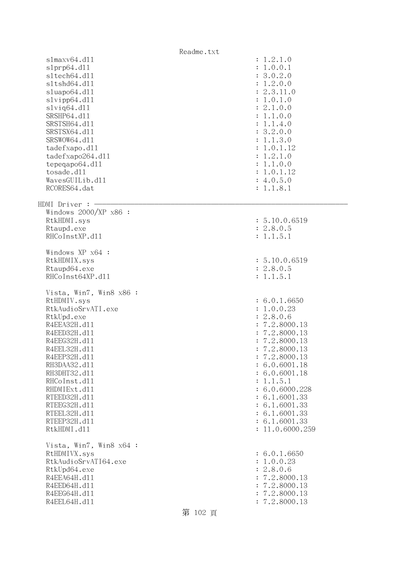Readme.txt slmaxv64.dll : 1.2.1.0 slprp64.dll : 1.0.0.1 sltech64.dll : 3.0.2.0 sltshd64.dll : 1.2.0.0 sluapo64.dll : 2.3.11.0 slvipp64.dll : 1.0.1.0 slviq64.dll : 2.1.0.0 SRSHP64.d11 : 1.1.0.0 SRSTSH64.d11 : 1.1.4.0 SRSTSX64.d11 : 3.2.0.0 SRSWOW64.d11 : 1.1.3.0 tadefxapo.dl1 : 1.0.1.12 tadefxapo264.dll : 1.2.1.0 tepeqapo64.dl1 : 1.1.0.0 tosade.dll : 1.0.1.12  $Waves GUILib. d11$  : 4.0.5.0 RCORES64.dat : 1.1.8.1  $HDMI$  Driver :  $-$  Windows 2000/XP x86 : RtkHDMI.sys : 5.10.0.6519 Rtaupd.exe : 2.8.0.5 RHCoInstXP.d11 : 1.1.5.1 Windows XP x64 : RtkHDMIX.sys : 5.10.0.6519 Rtaupd64.exe : 2.8.0.5 RHCoInst64XP.d11 : 1.1.5.1 Vista, Win7, Win8 x86 : RtHDMIV.sys : 6.0.1.6650 RtkAudioSrvATI.exe : 1.0.0.23 RtkUpd.exe : 2.8.0.6 R4EEA32H.d11 : 7.2.8000.13 R4EED32H.d11 : 7.2.8000.13 R4EEG32H.d11 : 7.2.8000.13 R4EEL32H.d11 : 7.2.8000.13 R4EEP32H.d11 : 7.2.8000.13 RH3DAA32.d11 : 6.0.6001.18 RH3DHT32.d11 : 6.0.6001.18 RHCoInst.d11 : 1.1.5.1 RHDMIExt.d11 : 6.0.6000.228 RTEED32H.d11 : 6.1.6001.33 RTEEG32H.d11 : 6.1.6001.33 RTEEL32H.d11 : 6.1.6001.33 RTEEP32H.d11 : 6.1.6001.33 RtkHDMI.dl1 : 11.0.6000.259 Vista, Win7, Win8 x64 : RtHDMIVX.sys : 6.0.1.6650 RtkAudioSrvATI64.exe : 1.0.0.23 RtkUpd64.exe : 2.8.0.6 R4EEA64H.d11 : 7.2.8000.13 R4EED64H.d11 : 7.2.8000.13 R4EEG64H.d11 : 7.2.8000.13 R4EEL64H.d11 : 7.2.8000.13 第 102 頁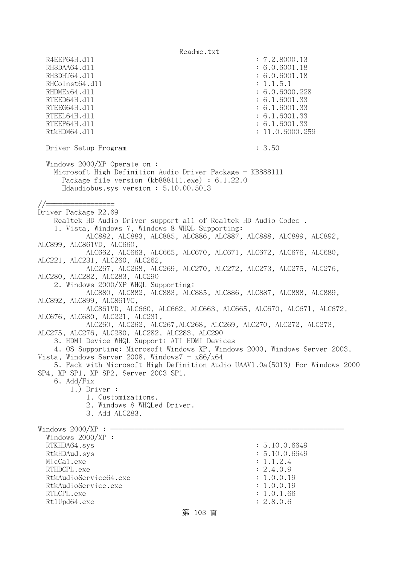Readme.txt R4EEP64H.d11 : 7.2.8000.13 RH3DAA64.d11 : 6.0.6001.18 RH3DHT64.d11 : 6.0.6001.18 RHCoInst64.d11 : 1.1.5.1 RHDMEx64.d11 : 6.0.6000.228 RTEED64H.dll : 6.1.6001.33 RTEEG64H.d11 : 6.1.6001.33 RTEEL64H.d11 : 6.1.6001.33 RTEEP64H.dll : 6.1.6001.33 RtkHDM64.d11 : 11.0.6000.259 Driver Setup Program : 3.50 Windows 2000/XP Operate on : Microsoft High Definition Audio Driver Package - KB888111 Package file version (kb888111.exe) : 6.1.22.0 Hdaudiobus.sys version : 5.10.00.5013 //================= Driver Package R2.69 Realtek HD Audio Driver support all of Realtek HD Audio Codec . 1. Vista, Windows 7, Windows 8 WHQL Supporting: ALC882, ALC883, ALC885, ALC886, ALC887, ALC888, ALC889, ALC892, ALC899, ALC861VD, ALC660, ALC662, ALC663, ALC665, ALC670, ALC671, ALC672, ALC676, ALC680, ALC221, ALC231, ALC260, ALC262, ALC267, ALC268, ALC269, ALC270, ALC272, ALC273, ALC275, ALC276, ALC280, ALC282, ALC283, ALC290 2. Windows 2000/XP WHQL Supporting: ALC880, ALC882, ALC883, ALC885, ALC886, ALC887, ALC888, ALC889, ALC892, ALC899, ALC861VC, ALC861VD, ALC660, ALC662, ALC663, ALC665, ALC670, ALC671, ALC672, ALC676, ALC680, ALC221, ALC231, ALC260, ALC262, ALC267,ALC268, ALC269, ALC270, ALC272, ALC273, ALC275, ALC276, ALC280, ALC282, ALC283, ALC290 3. HDMI Device WHQL Support: ATI HDMI Devices 4. OS Supporting: Microsoft Windows XP, Windows 2000, Windows Server 2003, Vista, Windows Server 2008, Windows $7 - x86/x64$  5. Pack with Microsoft High Definition Audio UAAV1.0a(5013) For Windows 2000 SP4, XP SP1, XP SP2, Server 2003 SP1. 6. Add/Fix 1.) Driver : 1. Customizations. 2. Windows 8 WHQLed Driver. 3. Add ALC283. Windows  $2000/XP : -$  Windows 2000/XP : RTKHDA64.sys : 5.10.0.6649 RtkHDAud.sys : 5.10.0.6649  $\text{MicCal.}$ exe : 1.1.2.4 RTHDCPL.exe : 2.4.0.9 RtkAudioService64.exe : 1.0.0.19 RtkAudioService.exe : 1.0.0.19 RTLCPL.exe : 1.0.1.66 Rt1Upd64.exe : 2.8.0.6

第 103 頁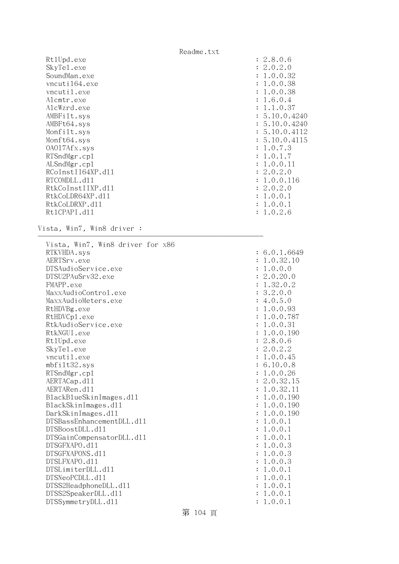Readme.txt RtlUpd.exe : 2.8.0.6 SkyTel.exe : 2.0.2.0 SoundMan.exe : 1.0.0.32 vncuti164.exe : 1.0.0.38 vncutil.exe : 1.0.0.38 Alcmtr.exe : 1.6.0.4 AlcWzrd.exe : 1.1.0.37 AMBFilt.sys : 5.10.0.4240 AMBFt64.sys : 5.10.0.4240 Monfilt.sys : 5.10.0.4112 Monft64.sys : 5.10.0.4115 OAO17Afx.sys : 1.0.7.3 RTSndMgr.cp1 : 1.0.1.7 ALSndMgr.cp1 : 1.0.0.11 RCoInstII64XP.d11 : 2.0.2.0 RTCOMDLL.d11 : 1.0.0.116 RtkCoInstIIXP.d11 : 2.0.2.0 RtkCoLDR64XP.d11 : 1.0.0.1 RtkCoLDRXP.d11 : 1.0.0.1 RtlCPAPI.dll : 1.0.2.6 Vista, Win7, Win8 driver : -------------------------------------------------------- Vista, Win7, Win8 driver for x86 RTKVHDA.sys : 6.0.1.6649 AERTSrv.exe : 1.0.32.10 DTSAudioService.exe : 1.0.0.0 DTSU2PAuSrv32.exe : 2.0.20.0 FMAPP.exe : 1.32.0.2 MaxxAudioControl.exe : 3.2.0.0 MaxxAudioMeters.exe : 4.0.5.0 RtHDVBg.exe : 1.0.0.93 RtHDVCp1.exe : 1.0.0.787 RtkAudioService.exe : 1.0.0.31 RtkNGUI.exe : 1.0.0.190 Rt1Upd.exe : 2.8.0.6 SkyTel.exe : 2.0.2.2 vncutil.exe : 1.0.0.45 mbfilt32.sys : 6.10.0.8 RTSndMgr.cp1 : 1.0.0.26 AERTACap.d11 : 2.0.32.15 AERTARen.d11 : 1.0.32.11 : 1.0.32.11 BlackBlueSkinImages.dll : 1.0.0.190 BlackSkinImages.dll : 1.0.0.190 DarkSkinImages.dll : 1.0.0.190 DTSBassEnhancementDLL.dl1  $\qquad \qquad \qquad : 1.0.0.1$  DTSBoostDLL.dll : 1.0.0.1 DTSGainCompensatorDLL.dl1 : 1.0.0.1 DTSGFXAPO.dll : 1.0.0.3 DTSGFXAPONS.dll : 1.0.0.3 DTSLFXAPO.dll : 1.0.0.3 DTSLimiterDLL.dl1 : 1.0.0.1  $DTSNeoPCDLL. d11$  :  $1.0.0.1$ DTSS2HeadphoneDLL.dl1 : 1.0.0.1 DTSS2SpeakerDLL.d11 : 1.0.0.1 DTSSymmetryDLL.dll : 1.0.0.1

## 第 104 頁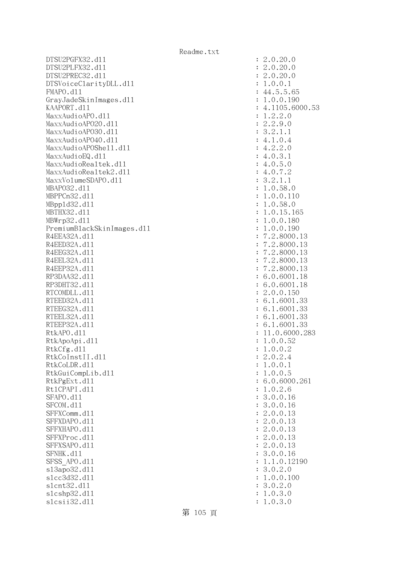$DTSU2PGFX32. d11$  : 2.0.20.0 DTSU2PLFX32.dll : 2.0.20.0 DTSU2PREC32.dll : 2.0.20.0 DTSVoiceClarityDLL.dl1 : 1.0.0.1 FMAPO.dll : 44.5.5.65 GrayJadeSkinImages.dll  $\qquad \qquad \qquad : 1.0.0.190$ KAAPORT.d11 : 4.1105.6000.53 MaxxAudioAPO.dl1 : 1.2.2.0 MaxxAudioAPO20.dll : 2.2.9.0 MaxxAudioAPO30.dl1 : 3.2.1.1 MaxxAudioAPO40.dll : 4.1.0.4 MaxxAudioAPOShe11.dl1 : 4.2.2.0  $\text{MaxAudioEQ}.d11$  : 4.0.3.1 MaxxAudioRealtek.dll : 4.0.5.0  $MaxAudioRealtek2.d11$  : 4.0.7.2 MaxxVolumeSDAPO.dll : 3.2.1.1 MBAPO32.dll : 1.0.58.0 MBPPCn32.dll : 1.0.0.110 MBppld32.dll : 1.0.58.0 MBTHX32.dll : 1.0.15.165 MBWrp32.d11 : 1.0.0.180 PremiumBlackSkinImages.dll : 1.0.0.190 R4EEA32A.d11 : 7.2.8000.13 R4EED32A.d11 : 7.2.8000.13 R4EEG32A.d11 : 7.2.8000.13 R4EEL32A.d11 : 7.2.8000.13 R4EEP32A.d11 : 7.2.8000.13 RP3DAA32.d11 : 6.0.6001.18 RP3DHT32.d11 : 6.0.6001.18 RTCOMDLL.d11 : 2.0.0.150 RTEED32A.d11 : 6.1.6001.33 RTEEG32A.d11 : 6.1.6001.33 RTEEL32A.d11 : 6.1.6001.33 RTEEP32A.d11 : 6.1.6001.33 RtkAPO.dll : 11.0.6000.283 RtkApoApi.dll : 1.0.0.52 RtkCfg.dl1 : 1.0.0.2  $R$ tkCoInstII.dll  $\qquad \qquad$  : 2.0.2.4 RtkCoLDR.dll : 1.0.0.1 RtkGuiCompLib.dl1 : 1.0.0.5 RtkPgExt.d11 : 6.0.6000.261 Rt1CPAPI.d11 : 1.0.2.6 SFAPO.d11 : 3.0.0.16 SFCOM.d11 : 3.0.0.16 SFFXComm.d11 : 2.0.0.13 SFFXDAPO.d11 : 2.0.0.13 SFFXHAPO.d11 : 2.0.0.13 SFFXProc.d11 : 2.0.0.13 SFFXSAPO.d11 : 2.0.0.13 SFNHK.d11 : 3.0.0.16 SFSS APO.d11 : 1.1.0.12190 sl3apo32.dll : 3.0.2.0 slcc3d32.d11 : 1.0.0.100 slcnt32.dll : 3.0.2.0 slcshp32.dll : 1.0.3.0 slcsii32.dll : 1.0.3.0

第 105 頁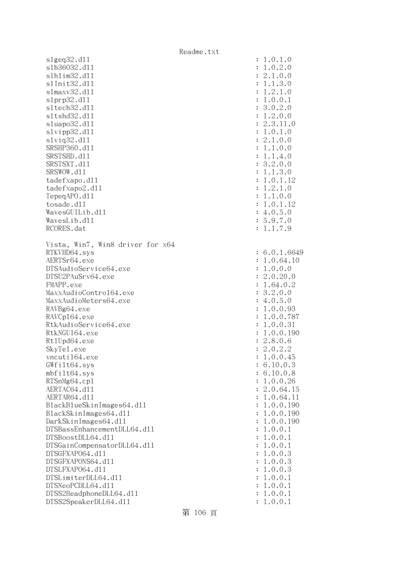Readme.txt slgeq32.dll : 1.0.1.0 slh36032.dll : 1.0.2.0 slhlim32.dll : 2.1.0.0 slInit32.dll : 1.1.3.0 slmaxv32.dll : 1.2.1.0 slprp32.dll : 1.0.0.1 sltech32.dl1 : 3.0.2.0 sltshd32.dll : 1.2.0.0 sluapo32.dll : 2.3.11.0 slvipp32.dll : 1.0.1.0 slviq32.dll : 2.1.0.0 SRSHP360.d11 : 1.1.0.0 SRSTSHD.d11 : 1.1.4.0 SRSTSXT.d11 : 3.2.0.0 SRSWOW.d11 : 1.1.3.0 tadefxapo.dl1 : 1.0.1.12 tadefxapo2.dll : 1.2.1.0 TepeqAPO.dll : 1.1.0.0 tosade.dl1 : 1.0.1.12  $Waves GUI Lib. d11$  : 4.0.5.0 WavesLib.dl1 : 5.9.7.0 RCORES.dat : 1.1.7.9 Vista, Win7, Win8 driver for x64 RTKVHD64.sys : 6.0.1.6649 AERTSr64.exe : 1.0.64.10 DTSAudioService64.exe : 1.0.0.0 DTSU2PAuSrv64.exe : 2.0.20.0 FMAPP.exe : 1.64.0.2 MaxxAudioControl64.exe : 3.2.0.0 MaxxAudioMeters64.exe : 4.0.5.0 RAVBg64.exe : 1.0.0.93 RAVCp164.exe : 1.0.0.787 RtkAudioService64.exe : 1.0.0.31<br>RtkNGUI64.exe : 1.0.0.190 RtkNGUI64.exe Rt1Upd64.exe : 2.8.0.6 SkyTe1.exe : 2.0.2.2 vncuti164.exe : 1.0.0.45 GWfilt64.sys : 6.10.0.3 mbfilt64.sys : 6.10.0.8 RTSnMg64.cp1 : 1.0.0.26 AERTAC64.d11 : 2.0.64.15 AERTAR64.d11 : 1.0.64.11 BlackBlueSkinImages64.dll : 1.0.0.190 BlackSkinImages64.dll : 1.0.0.190 DarkSkinImages64.dll : 1.0.0.190 DTSBassEnhancementDLL64.dl1 : 1.0.0.1  $DTSBoostDLL64. d11$  :  $1.0.0.1$ DTSGainCompensatorDLL64.dll : 1.0.0.1 DTSGFXAPO64.dll : 1.0.0.3 DTSGFXAPONS64.dll : 1.0.0.3 DTSLFXAPO64.dll : 1.0.0.3 DTSLimiterDLL64.dll : 1.0.0.1 DTSNeoPCDLL64.dll : 1.0.0.1 DTSS2HeadphoneDLL64.dl1 : 1.0.0.1 DTSS2SpeakerDLL64.dl1 : 1.0.0.1

## 第 106 頁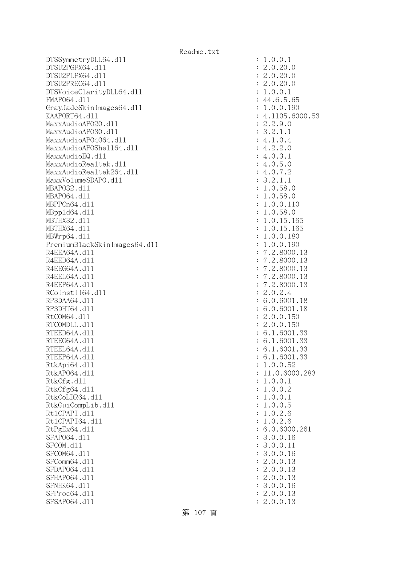DTSSymmetryDLL64.dl1 : 1.0.0.1 DTSU2PGFX64.dll : 2.0.20.0 DTSU2PLFX64.dll : 2.0.20.0 DTSU2PREC64.dll : 2.0.20.0 DTSVoiceClarityDLL64.dll : 1.0.0.1 FMAPO64.d11 : 44.6.5.65 GrayJadeSkinImages64.dll : 1.0.0.190 KAAPORT64.d11 : 4.1105.6000.53 MaxxAudioAPO20.dll : 2.2.9.0 MaxxAudioAPO30.dl1 : 3.2.1.1 MaxxAudioAPO4064.dll : 4.1.0.4 MaxxAudioAPOShell64.dll : 4.2.2.0  $\text{MaxAudioEQ}.d11$  : 4.0.3.1 MaxxAudioRealtek.dll : 4.0.5.0 MaxxAudioRealtek264.dll : 4.0.7.2 MaxxVolumeSDAPO.dll : 3.2.1.1 MBAPO32.dll : 1.0.58.0 MBAP064.d11 : 1.0.58.0 MBPPCn64.d11 : 1.0.0.110 MBppld64.dll : 1.0.58.0 MBTHX32.d11 : 1.0.15.165 MBTHX64.d11 : 1.0.15.165 MBWrp64.dll : 1.0.0.180 PremiumBlackSkinImages64.dll : 1.0.0.190 R4EEA64A.d11 : 7.2.8000.13 R4EED64A.d11 : 7.2.8000.13 R4EEG64A.d11 : 7.2.8000.13 R4EEL64A.d11 : 7.2.8000.13 R4EEP64A.d11 : 7.2.8000.13 RCoInstII64.dll : 2.0.2.4 RP3DAA64.d11 : 6.0.6001.18 RP3DHT64.d11 : 6.0.6001.18 RtCOM64.d11 : 2.0.0.150 RTCOMDLL.d11 : 2.0.0.150 RTEED64A.d11 : 6.1.6001.33 RTEEG64A.d11 : 6.1.6001.33 RTEEL64A.d11 : 6.1.6001.33 RTEEP64A.d11 : 6.1.6001.33 RtkApi64.dl1 : 1.0.0.52 RtkAP064.d11 : 11.0.6000.283 RtkCfg.dl1 : 1.0.0.1 RtkCfg64.d11 : 1.0.0.2 RtkCoLDR64.d11 : 1.0.0.1 RtkGuiCompLib.dll : 1.0.0.5 Rt1CPAPI.d11 : 1.0.2.6 Rt1CPAPI64.d11 : 1.0.2.6 RtPgEx64.d11 : 6.0.6000.261 SFAP064.d11 : 3.0.0.16 SFCOM.d11 : 3.0.0.11 SFCOM64.d11 : 3.0.0.16 SFComm64.d11 : 2.0.0.13 SFDAP064.d11 : 2.0.0.13 SFHAPO64.d11 : 2.0.0.13 SFNHK64.d11 : 3.0.0.16 SFProc64.d11 : 2.0.0.13 SFSAP064.d11 : 2.0.0.13

第 107 頁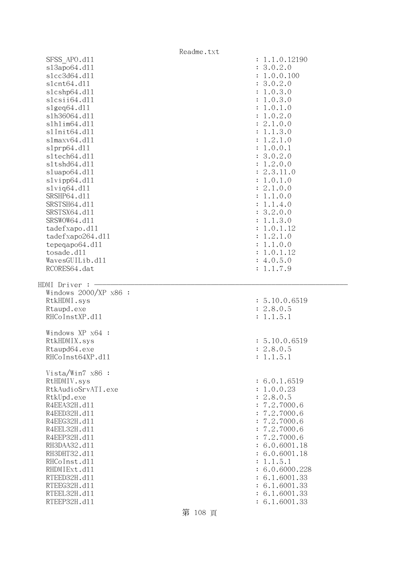|                              | Readme.txt                                             |
|------------------------------|--------------------------------------------------------|
| SFSS APO.d11                 | : 1.1.0.12190                                          |
| s13apo64.d11                 | 3.0.2.0<br>$\ddot{\cdot}$                              |
| s1cc3d64.d11                 | 1.0.0.100<br>:                                         |
| s1cnt64.d11                  | 3.0.2.0<br>$\ddot{\cdot}$                              |
| s1cshp64.d11                 | 1.0.3.0<br>:                                           |
| slcsii64.dll                 | 1.0.3.0<br>$\ddot{\cdot}$                              |
| slgeq64.d11                  | 1.0.1.0<br>$\ddot{\cdot}$                              |
| s1h36064.d11                 | 1.0.2.0<br>$\ddot{\cdot}$                              |
| s1h1im64.d11                 | 2.1.0.0<br>$\ddot{\cdot}$                              |
| s1Init64.d11                 | 1.1.3.0<br>$\ddot{\cdot}$                              |
| slmaxv64.d11                 | 1.2.1.0<br>$\ddot{\cdot}$                              |
| slprp64.d11                  | 1.0.0.1<br>$\ddot{\cdot}$                              |
| s1tech64.d11                 | 3.0.2.0<br>$\ddot{\cdot}$                              |
| s1tshd64.d11                 | 1.2.0.0<br>$\ddot{\cdot}$                              |
| sluapo64.d11                 | 2.3.11.0<br>$\ddot{\cdot}$                             |
| slvipp64.d11                 | 1.0.1.0<br>$\ddot{\cdot}$                              |
| slviq64.d11                  | 2.1.0.0<br>$\ddot{\cdot}$                              |
| SRSHP64.d11<br>SRSTSH64.d11  | 1.1.0.0<br>$\ddot{\cdot}$                              |
|                              | 1.1.4.0<br>$\ddot{\cdot}$                              |
| SRSTSX64.d11<br>SRSWOW64.d11 | 3.2.0.0<br>$\ddot{\cdot}$<br>1.1.3.0<br>$\ddot{\cdot}$ |
| tadefxapo.d11                | 1.0.1.12<br>$\ddot{\cdot}$                             |
| tadefxapo264.dl1             | 1.2.1.0<br>$\ddot{\cdot}$                              |
| tepeqapo64.dll               | 1.1.0.0<br>$\ddot{\cdot}$                              |
| tosade.d11                   | 1.0.1.12<br>$\ddot{\cdot}$                             |
| WavesGUILib.d11              | : 4.0.5.0                                              |
| RCORES64.dat                 | : 1.1.7.9                                              |
|                              |                                                        |
| HDMI Driver :                |                                                        |
| Windows 2000/XP x86 :        |                                                        |
| RtkHDMI.sys<br>Rtaupd.exe    | : 5.10.0.6519<br>: 2.8.0.5                             |
| RHCoInstXP.d11               | : 1.1.5.1                                              |
|                              |                                                        |
| Windows XP x64 :             |                                                        |
| RtkHDMIX.sys                 | : 5.10.0.6519                                          |
| Rtaupd64.exe                 | : 2.8.0.5                                              |
| RHCoInst64XP.d11             | : 1.1.5.1                                              |
|                              |                                                        |
| Vista/Win7 x86 :             |                                                        |
| RtHDMIV.sys                  | : 6.0.1.6519                                           |
| RtkAudioSrvATI.exe           | : 1.0.0.23                                             |
| RtkUpd.exe                   | : 2.8.0.5                                              |
| R4EEA32H.d11                 | : 7.2.7000.6                                           |
| R4EED32H.d11                 | : 7.2.7000.6                                           |
| R4EEG32H.d11<br>R4EEL32H.d11 | : 7.2.7000.6<br>: 7.2.7000.6                           |
| R4EEP32H.d11                 | : 7.2.7000.6                                           |
| RH3DAA32.d11                 | : 6.0.6001.18                                          |
| RH3DHT32.d11                 | : 6.0.6001.18                                          |
| RHCoInst.d11                 | : 1.1.5.1                                              |
| RHDMIExt.d11                 | : 6.0.6000.228                                         |
| RTEED32H.d11                 | : 6.1.6001.33                                          |
| RTEEG32H.d11                 | : 6.1.6001.33                                          |
| RTEEL32H.d11<br>RTEEP32H.d11 | : 6.1.6001.33<br>: 6.1.6001.33                         |

第 108 頁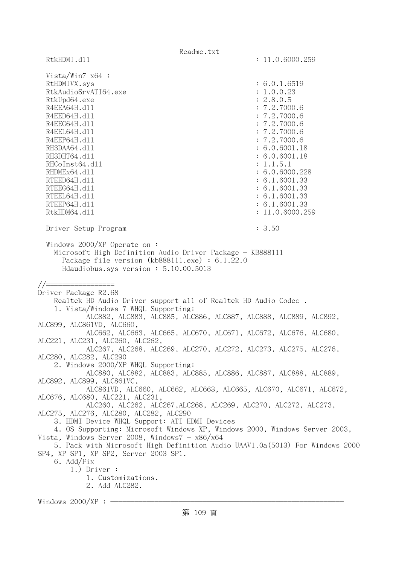Readme.txt RtkHDMI.dl1 : 11.0.6000.259 Vista/Win7 x64 : RtHDMIVX.sys : 6.0.1.6519 RtkAudioSrvATI64.exe : 1.0.0.23 RtkUpd64.exe : 2.8.0.5 R4EEA64H.d11 : 7.2.7000.6 R4EED64H.dl1 : 7.2.7000.6 R4EEG64H.d11 : 7.2.7000.6 R4EEL64H.d11 : 7.2.7000.6 R4EEP64H.d11 : 7.2.7000.6 RH3DAA64.d11 : 6.0.6001.18 RH3DHT64.d11 : 6.0.6001.18 RHCoInst64.dl1 : 1.1.5.1 RHDMEx64.d11 : 6.0.6000.228 RTEED64H.dll : 6.1.6001.33 RTEEG64H.d11 : 6.1.6001.33 RTEEL64H.d11 : 6.1.6001.33 RTEEP64H.d11 : 6.1.6001.33 RtkHDM64.dll : 11.0.6000.259 Driver Setup Program : 3.50 Windows 2000/XP Operate on : Microsoft High Definition Audio Driver Package - KB888111 Package file version (kb888111.exe) : 6.1.22.0 Hdaudiobus.sys version : 5.10.00.5013 //================= Driver Package R2.68 Realtek HD Audio Driver support all of Realtek HD Audio Codec . 1. Vista/Windows 7 WHQL Supporting: ALC882, ALC883, ALC885, ALC886, ALC887, ALC888, ALC889, ALC892, ALC899, ALC861VD, ALC660, ALC662, ALC663, ALC665, ALC670, ALC671, ALC672, ALC676, ALC680, ALC221, ALC231, ALC260, ALC262, ALC267, ALC268, ALC269, ALC270, ALC272, ALC273, ALC275, ALC276, ALC280, ALC282, ALC290 2. Windows 2000/XP WHQL Supporting: ALC880, ALC882, ALC883, ALC885, ALC886, ALC887, ALC888, ALC889, ALC892, ALC899, ALC861VC, ALC861VD, ALC660, ALC662, ALC663, ALC665, ALC670, ALC671, ALC672, ALC676, ALC680, ALC221, ALC231, ALC260, ALC262, ALC267,ALC268, ALC269, ALC270, ALC272, ALC273, ALC275, ALC276, ALC280, ALC282, ALC290 3. HDMI Device WHQL Support: ATI HDMI Devices 4. OS Supporting: Microsoft Windows XP, Windows 2000, Windows Server 2003, Vista, Windows Server 2008, Windows7 -  $x86/x64$  5. Pack with Microsoft High Definition Audio UAAV1.0a(5013) For Windows 2000 SP4, XP SP1, XP SP2, Server 2003 SP1. 6. Add/Fix 1.) Driver : 1. Customizations. 2. Add ALC282. Windows  $2000/XP :$  -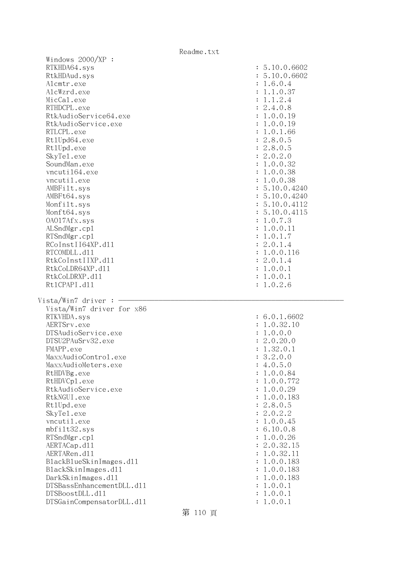| Readme.LXL                |               |
|---------------------------|---------------|
| Windows $2000/XP$ :       |               |
| RTKHDA64.sys              | : 5.10.0.6602 |
| RtkHDAud.sys              | : 5.10.0.6602 |
| Alcmtr.exe                | : 1.6.0.4     |
| AlcWzrd.exe               | : 1.1.0.37    |
| MicCal.exe                | : 1.1.2.4     |
| RTHDCPL.exe               | : 2.4.0.8     |
| RtkAudioService64.exe     | : 1.0.0.19    |
| RtkAudioService.exe       | : 1.0.0.19    |
| RTLCPL.exe                | : 1.0.1.66    |
| Rt1Upd64.exe              | : 2.8.0.5     |
| Rt1Upd.exe                | : 2.8.0.5     |
| SkyTe1.exe                | : 2.0.2.0     |
|                           |               |
| SoundMan.exe              | : 1.0.0.32    |
| vncuti164.exe             | : 1.0.0.38    |
| vncutil.exe               | : 1.0.0.38    |
| AMBFilt.sys               | : 5.10.0.4240 |
| AMBFt64.sys               | : 5.10.0.4240 |
| Monfilt.sys               | : 5.10.0.4112 |
| Monft64.sys               | : 5.10.0.4115 |
| 0A017Afx.sys              | : 1.0.7.3     |
| ALSndMgr.cp1              | : 1.0.0.11    |
| RTSndMgr.cp1              | : 1.0.1.7     |
| RCoInstII64XP.d11         | : 2.0.1.4     |
| RTCOMDLL.d11              | : 1.0.0.116   |
| RtkCoInstIIXP.d11         | : 2.0.1.4     |
| RtkCoLDR64XP.d11          | : 1.0.0.1     |
| RtkCoLDRXP.d11            | : 1.0.0.1     |
| Rt1CPAPI.d11              | : 1.0.2.6     |
|                           |               |
| Vista/Win7 driver :       |               |
| Vista/Win7 driver for x86 |               |
| RTKVHDA.sys               | : 6.0.1.6602  |
| AERTSrv.exe               | : 1.0.32.10   |
| DTSAudioService.exe       | : 1.0.0.0     |
| DTSU2PAuSrv32.exe         | : 2.0.20.0    |
|                           |               |
| FMAPP.exe                 | : 1.32.0.1    |
| MaxxAudioControl.exe      | : 3.2.0.0     |
| MaxxAudioMeters.exe       | 4.0.5.0       |
| RtHDVBg.exe               | 1.0.0.84      |
| RtHDVCp1.exe              | 1.0.0.772     |
| RtkAudioService.exe       | 1.0.0.29      |
| RtkNGUI.exe               | 1.0.0.183     |
| Rt1Upd.exe                | 2.8.0.5       |
| SkyTe1.exe                | 2.0.2.2       |
| vncutil.exe               | 1.0.0.45      |
| mbfilt32.sys              | 6.10.0.8      |
| RTSndMgr.cp1              | 1.0.0.26      |
| AERTACap.d11              | 2.0.32.15     |
| AERTARen.d11              | 1.0.32.11     |
| BlackBlueSkinImages.dl1   | 1.0.0.183     |
| BlackSkinImages.d11       | 1.0.0.183     |
| DarkSkinImages.d11        | 1.0.0.183     |
| DTSBassEnhancementDLL.d11 | 1.0.0.1       |
| DTSBoostDLL.d11           | 1.0.0.1       |
|                           |               |
| DTSGainCompensatorDLL.d11 | : 1.0.0.1     |

## 第 110 頁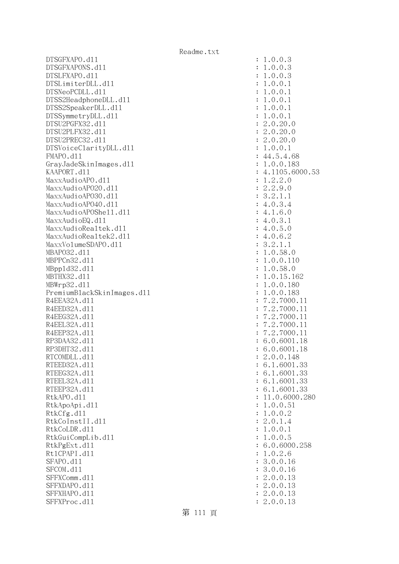DTSGFXAPO.dll : 1.0.0.3 DTSGFXAPONS.dll : 1.0.0.3 DTSLFXAPO.dll : 1.0.0.3 DTSLimiterDLL.dl1 : 1.0.0.1 DTSNeoPCDLL.d11 : 1.0.0.1 DTSS2HeadphoneDLL.dl1 : 1.0.0.1 DTSS2SpeakerDLL.d11 : 1.0.0.1 DTSSymmetryDLL.dll : 1.0.0.1 DTSU2PGFX32.dll : 2.0.20.0 DTSU2PLFX32.dll : 2.0.20.0 DTSU2PREC32.dll : 2.0.20.0 DTSVoiceClarityDLL.dll : 1.0.0.1 FMAPO.d11 : 44.5.4.68 GrayJadeSkinImages.dll : 1.0.0.183 KAAPORT.d11 : 4.1105.6000.53  $\text{MaxAudio}$ APO.dll  $\qquad \qquad \text{MaxAudio}$ APO.dll  $\qquad \qquad \text{MaxAudio}$  $\text{MaxAudio}$ APO2O.dll  $\text{maxAudio}$ MaxxAudioAPO30.dl1 : 3.2.1.1 MaxxAudioAPO40.dll : 4.0.3.4  $\text{MaxAudio}$ APOShe $11.$ d $11$  : 4.1.6.0  $MaxAudioEQ. d11$  : 4.0.3.1 MaxxAudioRealtek.dll  $\cdot$  4.0.5.0  $MaxXAudioReadtek2.d11$  : 4.0.6.2 MaxxVolumeSDAPO.dll : 3.2.1.1 MBAPO32.dll : 1.0.58.0 MBPPCn32.dll : 1.0.0.110 MBppld32.dll : 1.0.58.0 MBTHX32.d11 : 1.0.15.162 MBWrp32.dll : 1.0.0.180 PremiumBlackSkinImages.dll : 1.0.0.183 R4EEA32A.d11 : 7.2.7000.11 R4EED32A.d11 : 7.2.7000.11 R4EEG32A.d11 : 7.2.7000.11 R4EEL32A.d11 : 7.2.7000.11 R4EEP32A.d11 : 7.2.7000.11 RP3DAA32.d11 : 6.0.6001.18 RP3DHT32.d11 : 6.0.6001.18 RTCOMDLL.d11 : 2.0.0.148 RTEED32A.d11 : 6.1.6001.33 RTEEG32A.d11 : 6.1.6001.33 RTEEL32A.d11 : 6.1.6001.33 RTEEP32A.d11 : 6.1.6001.33 RtkAPO.d11 : 11.0.6000.280 RtkApoApi.dl1 : 1.0.0.51 RtkCfg.dl1 : 1.0.0.2 RtkCoInstII.dl1 : 2.0.1.4 RtkCoLDR.dll : 1.0.0.1 RtkGuiCompLib.dl1 : 1.0.0.5 RtkPgExt.dll : 6.0.6000.258 Rt1CPAPI.d11 : 1.0.2.6 SFAPO.d11 : 3.0.0.16 SFCOM.d11 : 3.0.0.16 SFFXComm.d11 : 2.0.0.13 SFFXDAPO.d11 : 2.0.0.13 SFFXHAPO.d11 : 2.0.0.13 SFFXProc.d11 : 2.0.0.13

第 111 頁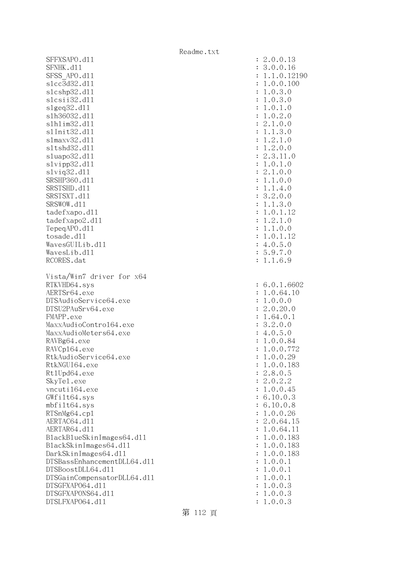| SFFXSAPO.d11               |                             |                | : 2.0.0.13                 |
|----------------------------|-----------------------------|----------------|----------------------------|
| SFNHK.d11                  |                             |                | 3.0.0.16                   |
| SFSS APO.d11               |                             |                | 1.1.0.12190                |
| s1cc3d32.d11               |                             |                | 1.0.0.100                  |
| s1cshp32.d11               |                             | $\ddot{\cdot}$ | 1.0.3.0                    |
| s1csii32.d11               |                             | $\ddot{\cdot}$ | 1.0.3.0                    |
| slgeq32. d11               |                             |                | 1.0.1.0                    |
| s1h36032.d11               |                             | $\ddot{\cdot}$ | 1.0.2.0                    |
| s1h1im32.d11               |                             | $\ddot{\cdot}$ | 2.1.0.0                    |
| s1Init32.d11               |                             | $\ddot{\cdot}$ | 1.1.3.0                    |
| s1maxv32.d11               |                             | :              | 1.2.1.0                    |
| s1tshd32.d11               |                             | $\ddot{\cdot}$ | 1.2.0.0                    |
| sluapo32.dll               |                             | $\ddot{\cdot}$ | 2.3.11.0                   |
| slvipp32.dll               |                             | $\ddot{\cdot}$ | 1.0.1.0                    |
| $s1$ viq $32.d11$          |                             | $\ddot{\cdot}$ | 2.1.0.0                    |
| SRSHP360.d11               |                             | $\ddot{\cdot}$ | 1.1.0.0                    |
| SRSTSHD.d11                |                             |                | : 1.1.4.0                  |
| SRSTSXT.d11                |                             |                | : 3.2.0.0                  |
| SRSWOW.d11                 |                             |                | : 1.1.3.0                  |
| tadefxapo.dl1              |                             | $\ddot{\cdot}$ | 1.0.1.12                   |
| tadefxapo2.d11             |                             | $\ddot{\cdot}$ | 1.2.1.0                    |
| TepeqAPO.d11               |                             | $\ddot{\cdot}$ | 1.1.0.0                    |
| tosade.d11                 |                             | $\ddot{\cdot}$ | 1.0.1.12                   |
| WavesGUILib.d11            |                             |                | : 4.0.5.0                  |
| WavesLib.d11               |                             |                | : 5.9.7.0                  |
| RCORES.dat                 |                             |                | : 1.1.6.9                  |
|                            |                             |                |                            |
|                            | Vista/Win7 driver for x64   |                |                            |
| RTKVHD64.sys               |                             |                | : 6.0.1.6602               |
| AERTSr64.exe               |                             |                | : 1.0.64.10                |
| DTSAudioService64.exe      |                             | $\ddot{\cdot}$ | 1.0.0.0                    |
| DTSU2PAuSrv64.exe          |                             | $\ddot{\cdot}$ | 2.0.20.0                   |
| FMAPP.exe                  |                             |                | : 1.64.0.1                 |
| MaxxAudioContro164.exe     |                             | $\ddot{\cdot}$ | 3.2.0.0                    |
| MaxxAudioMeters64.exe      |                             |                | : 4.0.5.0                  |
| RAVBg64.exe                |                             | $\ddot{\cdot}$ | 1.0.0.84                   |
| RAVCp164.exe               |                             |                | 1.0.0.772                  |
| RtkAudioService64.exe      |                             |                | 1.0.0.29                   |
| RtkNGUI64.exe              |                             |                | 1.0.0.183                  |
| Rt1Upd64.exe<br>SkyTe1.exe |                             |                | : 2.8.0.5                  |
| vncuti164.exe              |                             |                | : 2.0.2.2                  |
|                            |                             |                | : 1.0.0.45                 |
| GWfilt64.sys               |                             |                | : 6.10.0.3                 |
| $mbf$ ilt $64$ .sys        |                             |                | : 6.10.0.8                 |
| RTSnMg64.cp1               |                             |                | : 1.0.0.26                 |
| AERTAC64.d11               |                             |                | : 2.0.64.15<br>: 1.0.64.11 |
| AERTAR64.d11               |                             |                |                            |
|                            | BlackBlueSkinImages64.dll   |                | : 1.0.0.183                |
| BlackSkinImages64.dll      |                             |                | : 1.0.0.183                |
| DarkSkinImages64.d11       |                             |                | : 1.0.0.183                |
|                            | DTSBassEnhancementDLL64.d11 |                | : 1.0.0.1                  |
| DTSBoostDLL64.d11          |                             |                | : 1.0.0.1                  |
|                            | DTSGainCompensatorDLL64.d11 |                | : 1.0.0.1                  |
| DTSGFXAP064.d11            |                             |                | : 1.0.0.3                  |
| DTSGFXAPONS64.d11          |                             | $\ddot{\cdot}$ | 1.0.0.3                    |
| DTSLFXAP064.d11            |                             |                | : 1.0.0.3                  |

| $\ddot{\cdot}$<br>$\ddot{\cdot}$<br>$\ddot{\cdot}$<br>$\ddot{\cdot}$<br>$\ddot{\cdot}$<br>$\ddot{\cdot}$<br>$\ddot{\cdot}$<br>$\ddot{\cdot}$<br>$\ddot{\cdot}$<br>$\ddot{\cdot}$<br>$\ddot{\cdot}$<br>$\ddot{\cdot}$<br>$\ddot{\cdot}$<br>$\ddot{\cdot}$<br>$\ddot{\cdot}$<br>$\ddot{\cdot}$<br>$\ddot{\cdot}$<br>$\ddot{\cdot}$<br>$\ddot{\cdot}$<br>$\ddot{\cdot}$<br>$\ddot{\cdot}$<br>$\ddot{\cdot}$<br>$\ddot{\cdot}$<br>$\vdots$<br>$\vdots$<br>$\ddot{\cdot}$ | 2.0.0.15<br>3.0.0.16<br>1.1.0.12190<br>1.0.0.100<br>1.0.3.0<br>3<br>3.0<br>$\mathbf{1}$<br>$0.3.0$<br>$0.1.0$<br>$0.2.0$<br>$1.0.0$<br>$1.3.0$<br>$2.1.0$<br>$\mathbf 1$<br>$\overline{1}$<br>$\overline{c}$<br>$\mathbf{1}$<br>$\frac{1}{1}$<br>$\ddot{\cdot}$<br>$1.2.1.0$<br>$1.2.0.0$<br>$2.3.11.0$<br>$1.0.1.0$<br>$\overline{c}$<br>$1.0.0$<br>$1.0.0$<br>$1.4.0$<br>$2.0.0$<br>$\overline{c}$<br>2.<br>1.<br>1.<br>$\frac{2}{1}$ .<br>3<br>$3.$<br>$1.1$<br>$1.0.1$<br>$1.2.1.0$<br>$1.1.0.0$<br>$1.0.1.12$<br>$4.0.5.0$<br>$5.9.7.0$<br>$1.6.9$<br>6.0.1.6602 |
|----------------------------------------------------------------------------------------------------------------------------------------------------------------------------------------------------------------------------------------------------------------------------------------------------------------------------------------------------------------------------------------------------------------------------------------------------------------------|-----------------------------------------------------------------------------------------------------------------------------------------------------------------------------------------------------------------------------------------------------------------------------------------------------------------------------------------------------------------------------------------------------------------------------------------------------------------------------------------------------------------------------------------------------------------------|
| $\ddot{\cdot}$<br>$\ddot{\cdot}$<br>$\ddot{\cdot}$                                                                                                                                                                                                                                                                                                                                                                                                                   | .0.64.10<br>$\mathbf{1}$<br>.0.0.0<br>$\mathbf 1$<br>.0.20.0<br>$\overline{c}$                                                                                                                                                                                                                                                                                                                                                                                                                                                                                        |
| $\ddot{\cdot}$<br>$\ddot{\cdot}$                                                                                                                                                                                                                                                                                                                                                                                                                                     | .64.0.1<br>$\mathbf{1}$<br>$\ddot{\phantom{0}}$<br>3<br>2.0.0                                                                                                                                                                                                                                                                                                                                                                                                                                                                                                         |
| $\ddot{\cdot}$                                                                                                                                                                                                                                                                                                                                                                                                                                                       | $4.0.5.0$<br>$1.0.0.84$<br>$1.0.0.772$                                                                                                                                                                                                                                                                                                                                                                                                                                                                                                                                |
| $\ddot{\cdot}$<br>$\ddot{\cdot}$                                                                                                                                                                                                                                                                                                                                                                                                                                     |                                                                                                                                                                                                                                                                                                                                                                                                                                                                                                                                                                       |
|                                                                                                                                                                                                                                                                                                                                                                                                                                                                      |                                                                                                                                                                                                                                                                                                                                                                                                                                                                                                                                                                       |
|                                                                                                                                                                                                                                                                                                                                                                                                                                                                      |                                                                                                                                                                                                                                                                                                                                                                                                                                                                                                                                                                       |
| $\ddot{\cdot}$<br>$\ddot{\cdot}$                                                                                                                                                                                                                                                                                                                                                                                                                                     |                                                                                                                                                                                                                                                                                                                                                                                                                                                                                                                                                                       |
| $\ddot{\cdot}$                                                                                                                                                                                                                                                                                                                                                                                                                                                       | 1.0.0.29<br>1.0.0.183<br>$\ddot{\phantom{0}}$<br>8.0.<br>5<br>$\overline{c}$                                                                                                                                                                                                                                                                                                                                                                                                                                                                                          |
| $\ddot{\cdot}$                                                                                                                                                                                                                                                                                                                                                                                                                                                       | 0.2.2<br>$\ddot{\cdot}$<br>$\mathbf{c}$                                                                                                                                                                                                                                                                                                                                                                                                                                                                                                                               |
| $\ddot{\cdot}$<br>$\ddot{\cdot}$                                                                                                                                                                                                                                                                                                                                                                                                                                     | 0.0.45<br>$\mathbf{1}$<br>$\ddot{\phantom{0}}$                                                                                                                                                                                                                                                                                                                                                                                                                                                                                                                        |
| $\ddot{\cdot}$                                                                                                                                                                                                                                                                                                                                                                                                                                                       | $\ddot{\phantom{a}}$<br>10.0.3<br>6<br>10.0.<br>$\ddot{\phantom{a}}$<br>6<br>8                                                                                                                                                                                                                                                                                                                                                                                                                                                                                        |
| $\ddot{\cdot}$                                                                                                                                                                                                                                                                                                                                                                                                                                                       | $\overline{a}$<br>0.0.26                                                                                                                                                                                                                                                                                                                                                                                                                                                                                                                                              |
| $\ddot{\cdot}$                                                                                                                                                                                                                                                                                                                                                                                                                                                       | $\frac{1}{2}$<br>.0.64.<br>15                                                                                                                                                                                                                                                                                                                                                                                                                                                                                                                                         |
| $\ddot{\cdot}$<br>$\ddot{\cdot}$                                                                                                                                                                                                                                                                                                                                                                                                                                     | .0.64.<br>11<br>0.0.<br>$\ddot{\phantom{0}}$<br>183                                                                                                                                                                                                                                                                                                                                                                                                                                                                                                                   |
| $\ddot{\cdot}$                                                                                                                                                                                                                                                                                                                                                                                                                                                       | $\frac{1}{1}$<br>0.0.<br>$\ddot{\phantom{0}}$<br>$\mathbf{1}$                                                                                                                                                                                                                                                                                                                                                                                                                                                                                                         |
| $\ddot{\cdot}$                                                                                                                                                                                                                                                                                                                                                                                                                                                       | .<br>183<br>0.0.<br>$\ddot{\phantom{0}}$<br>$\mathbf 1$<br>183                                                                                                                                                                                                                                                                                                                                                                                                                                                                                                        |
| $\ddot{\cdot}$                                                                                                                                                                                                                                                                                                                                                                                                                                                       | 0.0.<br>$\mathbf{1}$<br>$\ddot{\phantom{0}}$<br>$\mathbf 1$                                                                                                                                                                                                                                                                                                                                                                                                                                                                                                           |
| $\ddot{\cdot}$<br>$\ddot{\cdot}$                                                                                                                                                                                                                                                                                                                                                                                                                                     | 0.0.<br>$\ddot{\phantom{a}}$<br>$\mathbf 1$<br>$\mathbf{1}$<br>$\ddot{\phantom{a}}$                                                                                                                                                                                                                                                                                                                                                                                                                                                                                   |
| $\ddot{\cdot}$                                                                                                                                                                                                                                                                                                                                                                                                                                                       | 0.0.<br>$\mathbf 1$<br>$\mathbf 1$<br>.0.0.<br>3<br>$\mathbf 1$                                                                                                                                                                                                                                                                                                                                                                                                                                                                                                       |
| $\ddot{\cdot}$<br>$\ddot{\cdot}$                                                                                                                                                                                                                                                                                                                                                                                                                                     | .0.0.3<br>1<br>1.0.0.3                                                                                                                                                                                                                                                                                                                                                                                                                                                                                                                                                |

第 112 頁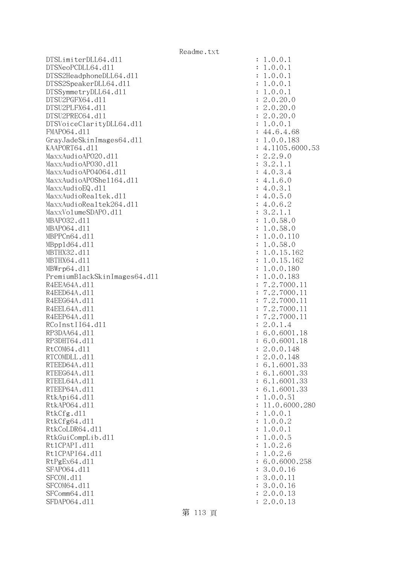DTSLimiterDLL64.dll : 1.0.0.1 DTSNeoPCDLL64.dll : 1.0.0.1 DTSS2HeadphoneDLL64.dl1 : 1.0.0.1 DTSS2SpeakerDLL64.dl1 : 1.0.0.1 DTSSymmetryDLL64.dl1 : 1.0.0.1  $DTSU2PGFX64. d11$  : 2.0.20.0 DTSU2PLFX64.dll : 2.0.20.0 DTSU2PREC64.dll : 2.0.20.0 DTSVoiceClarityDLL64.dll : 1.0.0.1 FMAPO64.d11 : 44.6.4.68 GrayJadeSkinImages64.dll : 1.0.0.183 KAAPORT64.d11 : 4.1105.6000.53 MaxxAudioAPO20.dll : 2.2.9.0 MaxxAudioAPO30.dl1 : 3.2.1.1 MaxxAudioAPO4064.dll : 4.0.3.4  $\text{MaxAudio}$ APOShe $1164$ .dll  $\qquad \qquad$  : 4.1.6.0  $\text{MaxAudioEQ}.d11$  : 4.0.3.1 MaxxAudioRealtek.dll  $\qquad \qquad$  : 4.0.5.0 MaxxAudioRealtek264.dll : 4.0.6.2  $MaxXVolumeSDAPO. d11$  :  $3.2.1.1$  MBAPO32.dll : 1.0.58.0 MBAP064.d11 : 1.0.58.0 MBPPCn64.d11 : 1.0.0.110 MBppld64.dll : 1.0.58.0 MBTHX32.d11 : 1.0.15.162 MBTHX64.d11 : 1.0.15.162 MBWrp64.dll : 1.0.0.180 PremiumBlackSkinImages64.dll : 1.0.0.183 R4EEA64A.d11 : 7.2.7000.11 R4EED64A.d11 : 7.2.7000.11 R4EEG64A.d11 : 7.2.7000.11 R4EEL64A.d11 : 7.2.7000.11 R4EEP64A.d11 : 7.2.7000.11 RCoInstII64.dl1 : 2.0.1.4 RP3DAA64.d11 : 6.0.6001.18 RP3DHT64.d11 : 6.0.6001.18 RtCOM64.d11 : 2.0.0.148 RTCOMDLL.d11 : 2.0.0.148 RTEED64A.d11 : 6.1.6001.33 RTEEG64A.d11 : 6.1.6001.33 RTEEL64A.d11 : 6.1.6001.33 RTEEP64A.d11 : 6.1.6001.33 RtkApi64.dl1 : 1.0.0.51 RtkAP064.d11 : 11.0.6000.280 RtkCfg.dl1 : 1.0.0.1 RtkCfg64.d11 : 1.0.0.2 RtkCoLDR64.dl1 : 1.0.0.1 RtkGuiCompLib.dl1 : 1.0.0.5 Rt1CPAPI.d11 : 1.0.2.6 Rt1CPAPI64.dl1 : 1.0.2.6 RtPgEx64.d11 : 6.0.6000.258 SFAP064.d11 : 3.0.0.16 SFCOM.d11 : 3.0.0.11 : 3.0.0.11 SFCOM64.d11 : 3.0.0.16 SFComm64.d11 : 2.0.0.13 SFDAP064.d11 : 2.0.0.13

第 113 頁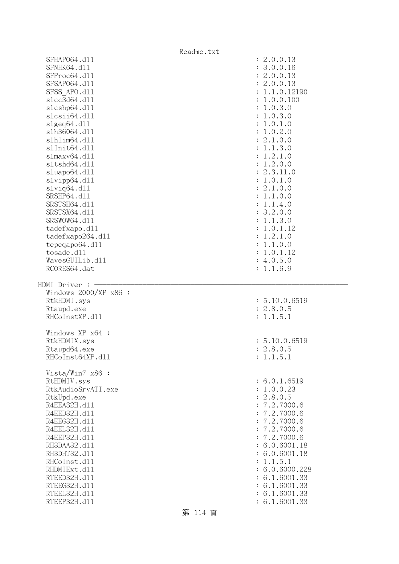|                              | Readme.txt                     |
|------------------------------|--------------------------------|
| SFHAP064.d11                 | : 2.0.0.13                     |
| SFNHK64.d11                  | : 3.0.0.16                     |
| SFProc64.d11                 | : 2.0.0.13                     |
| SFSAP064.d11                 | : 2.0.0.13                     |
| SFSS APO.d11                 | : 1.1.0.12190                  |
| s1cc3d64.d11                 | : 1.0.0.100                    |
| s1cshp64.d11                 | : 1.0.3.0                      |
| slcsii64.dll                 | : 1.0.3.0                      |
| slgeq64. d11                 | : 1.0.1.0                      |
| s1h36064.d11                 | : 1.0.2.0                      |
| s1h1im64.d11                 | : 2.1.0.0                      |
| s1Init64.d11                 | : 1.1.3.0                      |
| slmaxv64.d11                 | : 1.2.1.0                      |
| s1tshd64.d11                 | : 1.2.0.0                      |
| sluapo64.dll                 | : 2.3.11.0                     |
| slvipp64.dll                 | : 1.0.1.0                      |
| $s1$ viq $64. d11$           | : 2.1.0.0                      |
| SRSHP64.d11                  | : 1.1.0.0                      |
| SRSTSH64.d11                 |                                |
| SRSTSX64.d11                 | : 1.1.4.0                      |
|                              | : 3.2.0.0                      |
| SRSWOW64.d11                 | : 1.1.3.0                      |
| tadefxapo.d11                | : 1.0.1.12                     |
| tadefxapo264.dl1             | : 1.2.1.0                      |
| tepeqapo64.dll               | : 1.1.0.0                      |
| tosade.d11                   | : 1.0.1.12                     |
| WavesGUILib.d11              | : 4.0.5.0                      |
| RCORES64.dat                 | : 1.1.6.9                      |
|                              |                                |
|                              |                                |
| HDMI Driver :                |                                |
| Windows $2000/XP$ x86 :      |                                |
| RtkHDMI.sys                  | : 5.10.0.6519                  |
| Rtaupd.exe                   | : 2.8.0.5                      |
| RHCoInstXP.d11               | : 1.1.5.1                      |
|                              |                                |
| Windows XP x64 :             |                                |
| RtkHDMIX.sys                 | : 5.10.0.6519                  |
| Rtaupd64.exe                 | : 2.8.0.5                      |
| RHCoInst64XP.d11             | : 1.1.5.1                      |
|                              |                                |
| Vista/Win7 $x86$ :           |                                |
| RtHDMIV.sys                  | : 6.0.1.6519                   |
| RtkAudioSrvATI.exe           | : 1.0.0.23                     |
| RtkUpd.exe                   | : 2.8.0.5                      |
| R4EEA32H.d11                 | : 7.2.7000.6                   |
| R4EED32H.d11                 | : 7.2.7000.6                   |
| R4EEG32H.d11                 | : 7.2.7000.6                   |
| R4EEL32H.d11                 | : 7.2.7000.6                   |
| R4EEP32H.d11                 | : 7.2.7000.6                   |
| RH3DAA32.d11                 | : 6.0.6001.18                  |
| RH3DHT32.d11                 | : 6.0.6001.18                  |
| RHCoInst.d11                 | : 1.1.5.1                      |
| RHDMIExt.d11                 | : 6.0.6000.228                 |
| RTEED32H.d11                 | : 6.1.6001.33                  |
| RTEEG32H.d11                 | : 6.1.6001.33                  |
| RTEEL32H.d11<br>RTEEP32H.d11 | : 6.1.6001.33<br>: 6.1.6001.33 |

第 114 頁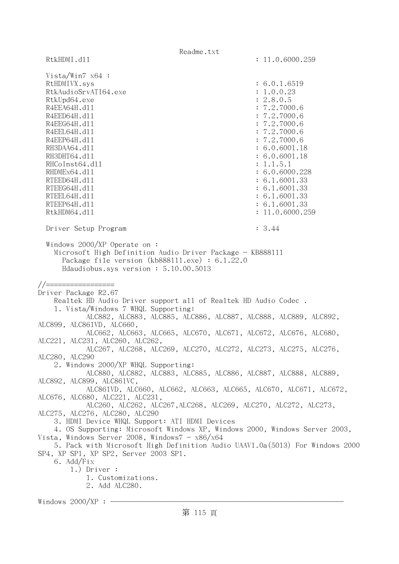Readme.txt RtkHDMI.dl1 : 11.0.6000.259 Vista/Win7 x64 : RtHDMIVX.sys : 6.0.1.6519 RtkAudioSrvATI64.exe : 1.0.0.23 RtkUpd64.exe : 2.8.0.5 R4EEA64H.d11 : 7.2.7000.6 R4EED64H.dl1 : 7.2.7000.6 R4EEG64H.d11 : 7.2.7000.6 R4EEL64H.d11 : 7.2.7000.6 R4EEP64H.d11 : 7.2.7000.6 RH3DAA64.d11 : 6.0.6001.18 RH3DHT64.d11 : 6.0.6001.18 RHCoInst64.dl1 : 1.1.5.1 RHDMEx64.d11 : 6.0.6000.228 RTEED64H.dll : 6.1.6001.33 RTEEG64H.d11 : 6.1.6001.33 RTEEL64H.d11 : 6.1.6001.33 RTEEP64H.d11 : 6.1.6001.33 RtkHDM64.dll : 11.0.6000.259 Driver Setup Program : 3.44 Windows 2000/XP Operate on : Microsoft High Definition Audio Driver Package - KB888111 Package file version (kb888111.exe) : 6.1.22.0 Hdaudiobus.sys version : 5.10.00.5013 //================= Driver Package R2.67 Realtek HD Audio Driver support all of Realtek HD Audio Codec . 1. Vista/Windows 7 WHQL Supporting: ALC882, ALC883, ALC885, ALC886, ALC887, ALC888, ALC889, ALC892, ALC899, ALC861VD, ALC660, ALC662, ALC663, ALC665, ALC670, ALC671, ALC672, ALC676, ALC680, ALC221, ALC231, ALC260, ALC262, ALC267, ALC268, ALC269, ALC270, ALC272, ALC273, ALC275, ALC276, ALC280, ALC290 2. Windows 2000/XP WHQL Supporting: ALC880, ALC882, ALC883, ALC885, ALC886, ALC887, ALC888, ALC889, ALC892, ALC899, ALC861VC, ALC861VD, ALC660, ALC662, ALC663, ALC665, ALC670, ALC671, ALC672, ALC676, ALC680, ALC221, ALC231, ALC260, ALC262, ALC267,ALC268, ALC269, ALC270, ALC272, ALC273, ALC275, ALC276, ALC280, ALC290 3. HDMI Device WHQL Support: ATI HDMI Devices 4. OS Supporting: Microsoft Windows XP, Windows 2000, Windows Server 2003, Vista, Windows Server 2008, Windows7 -  $x86/x64$  5. Pack with Microsoft High Definition Audio UAAV1.0a(5013) For Windows 2000 SP4, XP SP1, XP SP2, Server 2003 SP1. 6. Add/Fix 1.) Driver : 1. Customizations. 2. Add ALC280. Windows  $2000/XP:$  -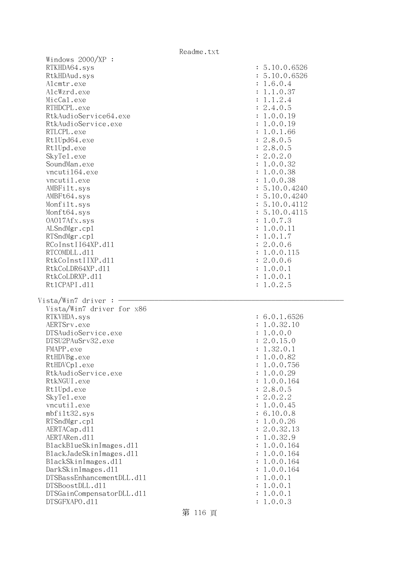| Windows 2000/XP :                          |                    |
|--------------------------------------------|--------------------|
| RTKHDA64.sys                               | : 5.10.0.6526      |
| RtkHDAud.sys                               | : 5.10.0.6526      |
| Alcmtr.exe                                 | : 1.6.0.4          |
| AlcWzrd.exe                                | : 1.1.0.37         |
| MicCal.exe                                 | : 1.1.2.4          |
| RTHDCPL.exe                                | : 2.4.0.5          |
| RtkAudioService64.exe                      | : 1.0.0.19         |
|                                            |                    |
| RtkAudioService.exe                        | : 1.0.0.19         |
| RTLCPL.exe                                 | : 1.0.1.66         |
| Rt1Upd64.exe                               | : 2.8.0.5          |
| Rt1Upd.exe                                 | : 2.8.0.5          |
| SkyTe1.exe                                 | : 2.0.2.0          |
| SoundMan.exe                               | : 1.0.0.32         |
| vncuti164.exe                              | : 1.0.0.38         |
| vncutil.exe                                | : 1.0.0.38         |
| AMBFilt.sys                                | : 5.10.0.4240      |
| AMBFt64.sys                                | : 5.10.0.4240      |
| Monfilt.sys                                | : 5.10.0.4112      |
| Monft64.sys                                | : 5.10.0.4115      |
| 0A017Afx.sys                               | : 1.0.7.3          |
| ALSndMgr.cp1                               | : 1.0.0.11         |
| RTSndMgr.cp1                               | : 1.0.1.7          |
| RCoInstII64XP.d11                          | : 2.0.0.6          |
|                                            |                    |
| RTCOMDLL.d11                               | : 1.0.0.115        |
| RtkCoInstIIXP.d11                          | : 2.0.0.6          |
| RtkCoLDR64XP.d11                           | : 1.0.0.1          |
| RtkCoLDRXP.d11                             | : 1.0.0.1          |
| Rt1CPAPI.d11                               | : 1.0.2.5          |
|                                            |                    |
|                                            |                    |
| Vista/Win7 driver :                        |                    |
| Vista/Win7 driver for x86                  |                    |
| RTKVHDA.sys                                | : 6.0.1.6526       |
| AERTSrv.exe                                | : 1.0.32.10        |
| DTSAudioService.exe                        | : 1.0.0.0          |
| DTSU2PAuSrv32.exe                          | : 2.0.15.0         |
|                                            |                    |
| FMAPP.exe                                  | : 1.32.0.1         |
| RtHDVBg.exe                                | : 1.0.0.82         |
| RtHDVCp1.exe                               | 1.0.0.756          |
| RtkAudioService.exe                        | 1.0.0.29           |
| RtkNGUI.exe                                | 1.0.0.164          |
| Rt1Upd.exe                                 | 2.8.0.5            |
| SkyTe1.exe                                 | 2.0.2.2            |
| vncutil.exe                                | 1.0.0.45           |
| mbfilt32.sys                               | 6.10.0.8           |
| RTSndMgr.cp1                               | 1.0.0.26           |
| AERTACap.d11                               | 2.0.32.13          |
| AERTARen.d11                               | 1.0.32.9           |
| BlackBlueSkinImages.dl1                    | 1.0.0.164          |
| BlackJadeSkinImages.dl1                    | 1.0.0.164          |
| BlackSkinImages.d11                        | 1.0.0.164          |
| DarkSkinImages.d11                         | 1.0.0.164          |
| DTSBassEnhancementDLL.d11                  | 1.0.0.1            |
| DTSBoostDLL.d11                            | 1.0.0.1            |
|                                            |                    |
| DTSGainCompensatorDLL.d11<br>DTSGFXAPO.d11 | 1.0.0.1<br>1.0.0.3 |

## 第 116 頁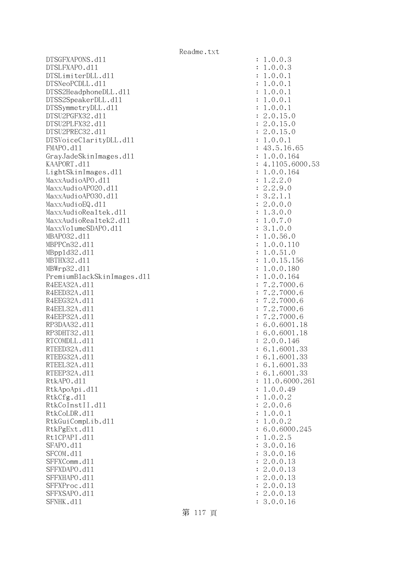DTSGFXAPONS.dll : 1.0.0.3 DTSLFXAPO.dll : 1.0.0.3 DTSLimiterDLL.dll : 1.0.0.1 DTSNeoPCDLL.dll : 1.0.0.1 DTSS2HeadphoneDLL.dl1 : 1.0.0.1 DTSS2SpeakerDLL.d11 : 1.0.0.1 DTSSymmetryDLL.dl1 : 1.0.0.1 DTSU2PGFX32.dll : 2.0.15.0 DTSU2PLFX32.dll : 2.0.15.0 DTSU2PREC32.dll : 2.0.15.0 DTSVoiceClarityDLL.dll : 1.0.0.1 FMAPO.d11 : 43.5.16.65 GrayJadeSkinImages.dll : 1.0.0.164 KAAPORT.d11 : 4.1105.6000.53 LightSkinImages.dll : 1.0.0.164  $\text{MaxAudio}$ APO.dll  $\qquad \qquad \text{MaxAudio}$ APO.dll  $\qquad \qquad \text{MaxAudio}$  $\text{MaxAudio}$ APO2O.dll  $\text{maxAudio}$ MaxxAudioAPO30.dl1 : 3.2.1.1 MaxxAudioEQ.d11 : 2.0.0.0 MaxxAudioRealtek.dll  $\qquad \qquad \qquad$  : 1.3.0.0 MaxxAudioRealtek2.dl1 : 1.0.7.0 MaxxVolumeSDAPO.dll : 3.1.0.0 MBAPO32.dll : 1.0.56.0 MBPPCn32.dll : 1.0.0.110 MBppld32.dll : 1.0.51.0 MBTHX32.dll : 1.0.15.156 MBWrp32.dll : 1.0.0.180 PremiumBlackSkinImages.dll : 1.0.0.164 R4EEA32A.d11 : 7.2.7000.6 R4EED32A.d11 : 7.2.7000.6 R4EEG32A.d11 : 7.2.7000.6 R4EEL32A.d11 : 7.2.7000.6 R4EEP32A.d11 : 7.2.7000.6 RP3DAA32.d11 : 6.0.6001.18 RP3DHT32.d11 : 6.0.6001.18 RTCOMDLL.d11 : 2.0.0.146 RTEED32A.d11 : 6.1.6001.33 RTEEG32A.d11 : 6.1.6001.33 RTEEL32A.d11 : 6.1.6001.33 RTEEP32A.d11 : 6.1.6001.33 RtkAPO.d11 : 11.0.6000.261 RtkApoApi.dl1 : 1.0.0.49 RtkCfg.dl1 : 1.0.0.2 RtkCoInstII.dll : 2.0.0.6 RtkCoLDR.d11 : 1.0.0.1 RtkGuiCompLib.dl1 : 1.0.0.2 RtkPgExt.d11 : 6.0.6000.245 Rt1CPAPI.d11 : 1.0.2.5 SFAPO.d11 : 3.0.0.16 SFCOM.d11 : 3.0.0.16 SFFXComm.d11 : 2.0.0.13 SFFXDAPO.d11 : 2.0.0.13 SFFXHAPO.d11 : 2.0.0.13 SFFXProc.d11 : 2.0.0.13 SFFXSAPO.d11 : 2.0.0.13 SFNHK.d11 : 3.0.0.16

第 117 頁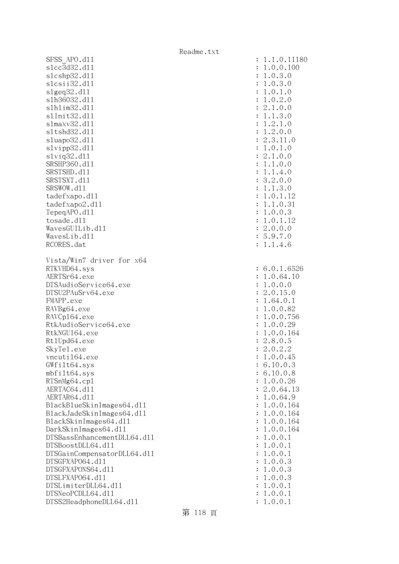| SFSS APO.d11                | 1.1.0.11180                |
|-----------------------------|----------------------------|
| s1cc3d32.d11                | 1.0.0.100                  |
| s1cshp32.d11                | 1.0.3.0<br>:               |
| slcsii32.dll                | 1.0.3.0<br>:               |
| slgeq32. d11                | 1.0.1.0<br>:               |
| s1h36032.d11                | 1.0.2.0<br>$\ddot{\cdot}$  |
| s1h1im32.d11                | : 2.1.0.0                  |
| s1Init32.d11                | : 1.1.3.0                  |
| s1maxv32.d11                | 1.2.1.0<br>:               |
| s1tshd32.d11                | 1.2.0.0<br>$\ddot{\cdot}$  |
| sluapo32.dll                | 2.3.11.0<br>$\ddot{\cdot}$ |
| slvipp32.dll                | : 1.0.1.0                  |
| $s1$ viq $32.d11$           | : 2.1.0.0                  |
| SRSHP360.d11                | : 1.1.0.0                  |
| SRSTSHD.d11                 | : 1.1.4.0                  |
| SRSTSXT.d11                 | : 3.2.0.0                  |
| SRSWOW.d11                  | : 1.1.3.0                  |
|                             | 1.0.1.12<br>:              |
| tadefxapo.d11               |                            |
| tadefxapo2.d11              | 1.1.0.31<br>:              |
| TepeqAPO.d11                | 1.0.0.3<br>:               |
| tosade.d11                  | 1.0.1.12<br>$\ddot{\cdot}$ |
| WavesGUILib.d11             | : 2.0.0.0                  |
| WavesLib.dll                | : 5.9.7.0                  |
| RCORES.dat                  | : 1.1.4.6                  |
| Vista/Win7 driver for x64   |                            |
| RTKVHD64.sys                | : 6.0.1.6526               |
| AERTSr64.exe                | 1.0.64.10                  |
| DTSAudioService64.exe       |                            |
|                             | 1.0.0.0<br>$\ddot{\cdot}$  |
| DTSU2PAuSrv64.exe           | 2.0.15.0<br>:              |
| FMAPP.exe                   | 1.64.0.1<br>$\ddot{\cdot}$ |
| RAVBg64.exe                 | 1.0.0.82<br>:              |
| RAVCp164.exe                | 1.0.0.756<br>:             |
| RtkAudioService64.exe       | 1.0.0.29<br>:              |
| RtkNGUI64.exe               | 1.0.0.164<br>:             |
| Rt1Upd64.exe                | 2.8.0.5<br>$\ddot{\cdot}$  |
| SkyTe1.exe                  | : 2.0.2.2                  |
| vncuti164.exe               | 1.0.0.45                   |
| GWfilt64.sys                | 6.10.0.3                   |
| $mbf$ ilt $64$ .sys         | 6.10.0.8                   |
| RTSnMg64.cp1                | 1.0.0.26<br>:              |
| AERTAC64.d11                | 2.0.64.13<br>:             |
| AERTAR64.d11                | 1.0.64.9<br>:              |
| BlackBlueSkinImages64.dll   | 1.0.0.164<br>:             |
| BlackJadeSkinImages64.dl1   | 1.0.0.164<br>:             |
| BlackSkinImages64.dl1       | 1.0.0.164<br>:             |
| DarkSkinImages64.d11        | 1.0.0.164<br>:             |
| DTSBassEnhancementDLL64.d11 | 1.0.0.1<br>:               |
| DTSBoostDLL64.d11           | 1.0.0.1<br>:               |
| DTSGainCompensatorDLL64.d11 | 1.0.0.1<br>:               |
| DTSGFXAP064.d11             | 1.0.0.3<br>:               |
| DTSGFXAPONS64.d11           | 1.0.0.3<br>:               |
| DTSLFXAP064.d11             | 1.0.0.3<br>:               |
| DTSLimiterDLL64.d11         | 1.0.0.1<br>:               |
| DTSNeoPCDLL64.d11           | 1.0.0.1<br>:               |
| DTSS2HeadphoneDLL64.d11     | : 1.0.0.1                  |

第 118 頁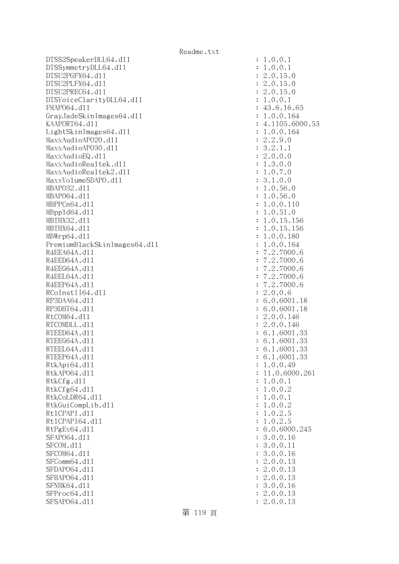DTSS2SpeakerDLL64.dll : 1.0.0.1 DTSSymmetryDLL64.dl1 : 1.0.0.1 DTSU2PGFX64.dll : 2.0.15.0 DTSU2PLFX64.dll : 2.0.15.0 DTSU2PREC64.dll : 2.0.15.0 DTSVoiceClarityDLL64.dll : 1.0.0.1 FMAPO64.d11 : 43.6.16.65 GrayJadeSkinImages64.dl1 : 1.0.0.164 KAAPORT64.d11 : 4.1105.6000.53 LightSkinImages64.dll : 1.0.0.164 MaxxAudioAPO20.dll : 2.2.9.0 MaxxAudioAPO30.dll : 3.2.1.1  $\text{MaxAudioEQ}.d11$  : 2.0.0.0 MaxxAudioRealtek.dll : 1.3.0.0 MaxxAudioRealtek2.dll : 1.0.7.0 MaxxVolumeSDAPO.dll : 3.1.0.0 MBAPO32.dll : 1.0.56.0 MBAP064.d11 : 1.0.56.0 MBPPCn64.dll : 1.0.0.110 MBppld64.dll : 1.0.51.0 MBTHX32.d11 : 1.0.15.156 MBTHX64.d11 : 1.0.15.156 MBWrp64.dll : 1.0.0.180 PremiumBlackSkinImages64.dll : 1.0.0.164 R4EEA64A.d11 : 7.2.7000.6 R4EED64A.d11 : 7.2.7000.6 R4EEG64A.d11 : 7.2.7000.6 R4EEL64A.d11 : 7.2.7000.6 R4EEP64A.d11 : 7.2.7000.6 RCoInstII64.dll : 2.0.0.6 RP3DAA64.d11 : 6.0.6001.18 RP3DHT64.d11 : 6.0.6001.18 RtCOM64.d11 : 2.0.0.146 RTCOMDLL.d11 : 2.0.0.146 RTEED64A.d11 : 6.1.6001.33 RTEEG64A.d11 : 6.1.6001.33 RTEEL64A.d11 : 6.1.6001.33 RTEEP64A.d11 : 6.1.6001.33 RtkApi64.dl1 : 1.0.0.49 RtkAP064.d11 : 11.0.6000.261 RtkCfg.dl1 : 1.0.0.1 RtkCfg64.d11 : 1.0.0.2 RtkCoLDR64.d11 : 1.0.0.1 RtkGuiCompLib.dll : 1.0.0.2 Rt1CPAPI.d11 : 1.0.2.5 Rt1CPAPI64.dl1 : 1.0.2.5 RtPgEx64.dll : 6.0.6000.245 SFAP064.d11 : 3.0.0.16 SFCOM.d11 : 3.0.0.11 SFCOM64.d11 : 3.0.0.16 SFComm64.d11 : 2.0.0.13 SFDAP064.d11 : 2.0.0.13 SFHAPO64.d11 : 2.0.0.13 SFNHK64.d11 : 3.0.0.16 SFProc64.d11 : 2.0.0.13 SFSAP064.d11 : 2.0.0.13

第 119 頁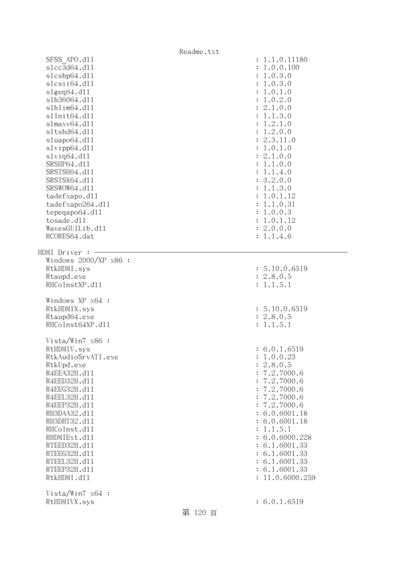|                              | Readme.txt |                                |
|------------------------------|------------|--------------------------------|
| SFSS APO.d11                 |            | : 1.1.0.11180                  |
| s1cc3d64.d11                 |            | : 1.0.0.100                    |
| slcshp64.dll                 |            | : 1.0.3.0                      |
| slcsii64.dll                 |            | : 1.0.3.0                      |
| slgeq64. d11                 |            | : 1.0.1.0                      |
| s1h36064.d11                 |            | : 1.0.2.0                      |
| s1h1im64.d11                 |            | : 2.1.0.0                      |
| s1Init64.d11                 |            | : 1.1.3.0                      |
| slmaxv64.dll                 |            | : 1.2.1.0                      |
| sltshd64.dll                 |            | : 1.2.0.0                      |
| sluapo64.dll                 |            | : 2.3.11.0                     |
| slvipp64.dll                 |            | : 1.0.1.0                      |
| slviq64.d11                  |            | : 2.1.0.0                      |
| SRSHP64.d11                  |            | : 1.1.0.0                      |
| SRSTSH64.d11                 |            | : 1.1.4.0                      |
| SRSTSX64.d11                 |            | : 3.2.0.0                      |
| SRSWOW64.d11                 |            | : 1.1.3.0                      |
| tadefxapo.d11                |            | : 1.0.1.12                     |
| tadefxapo264.dl1             |            | : 1.1.0.31                     |
| tepeqapo64.dl1               |            | : 1.0.0.3                      |
| tosade.d11                   |            | : 1.0.1.12                     |
| WavesGUILib.d11              |            | : 2.0.0.0                      |
| RCORES64.dat                 |            | : 1.1.4.6                      |
| HDMI Driver :                |            |                                |
| Windows $2000/XP$ x86 :      |            |                                |
| RtkHDMI.sys                  |            | : 5.10.0.6519                  |
| Rtaupd.exe                   |            | : 2.8.0.5                      |
| RHCoInstXP.d11               |            | : 1.1.5.1                      |
| Windows XP x64 :             |            |                                |
|                              |            | : 5.10.0.6519                  |
| RtkHDMIX.sys<br>Rtaupd64.exe |            | : 2.8.0.5                      |
| RHCoInst64XP.d11             |            | : 1.1.5.1                      |
|                              |            |                                |
| Vista/Win7 x86 :             |            |                                |
| RtHDMIV.sys                  |            | : 6.0.1.6519                   |
| RtkAudioSrvATI.exe           |            | : 1.0.0.23                     |
| RtkUpd.exe                   |            | : 2.8.0.5                      |
| R4EEA32H.d11                 |            | : 7.2.7000.6                   |
| R4EED32H.d11                 |            | : 7.2.7000.6                   |
| R4EEG32H.d11                 |            | : 7.2.7000.6                   |
| R4EEL32H.d11                 |            | : 7.2.7000.6                   |
| R4EEP32H.d11                 |            | : 7.2.7000.6                   |
| RH3DAA32.d11                 |            | : 6.0.6001.18                  |
| RH3DHT32.d11                 |            | : 6.0.6001.18                  |
| RHCoInst.d11                 |            | : 1.1.5.1                      |
| RHDMIExt.d11                 |            | : 6.0.6000.228                 |
| RTEED32H.d11                 |            | : 6.1.6001.33                  |
| RTEEG32H.d11<br>RTEEL32H.d11 |            | : 6.1.6001.33<br>: 6.1.6001.33 |
| RTEEP32H.d11                 |            | : 6.1.6001.33                  |
| RtkHDMI.d11                  |            | : 11.0.6000.259                |
|                              |            |                                |
| Vista/Win7 $x64$ :           |            |                                |
| RtHDMIVX.sys                 |            | : 6.0.1.6519                   |
|                              | 第 120 頁    |                                |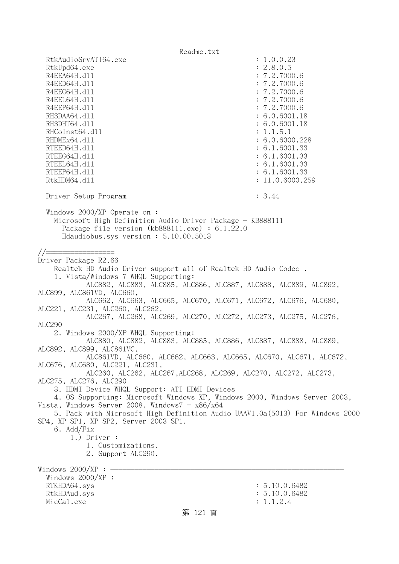Readme.txt RtkAudioSrvATI64.exe : 1.0.0.23 RtkUpd64.exe : 2.8.0.5 R4EEA64H.d11 : 7.2.7000.6 R4EED64H.d11 : 7.2.7000.6 R4EEG64H.d11 : 7.2.7000.6 R4EEL64H.d11 : 7.2.7000.6 R4EEP64H.d11 : 7.2.7000.6 RH3DAA64.d11 : 6.0.6001.18 RH3DHT64.d11 : 6.0.6001.18 RHCoInst64.d11 : 1.1.5.1 RHDMEx64.d11 : 6.0.6000.228 RTEED64H.d11 : 6.1.6001.33 RTEEG64H.dl1 : 6.1.6001.33 RTEEL64H.dl1 : 6.1.6001.33 RTEEP64H.d11 : 6.1.6001.33 RtkHDM64.dll : 11.0.6000.259 Driver Setup Program : 3.44 Windows 2000/XP Operate on : Microsoft High Definition Audio Driver Package - KB888111 Package file version (kb888111.exe) : 6.1.22.0 Hdaudiobus.sys version : 5.10.00.5013  $//======$ Driver Package R2.66 Realtek HD Audio Driver support all of Realtek HD Audio Codec . 1. Vista/Windows 7 WHQL Supporting: ALC882, ALC883, ALC885, ALC886, ALC887, ALC888, ALC889, ALC892, ALC899, ALC861VD, ALC660, ALC662, ALC663, ALC665, ALC670, ALC671, ALC672, ALC676, ALC680, ALC221, ALC231, ALC260, ALC262, ALC267, ALC268, ALC269, ALC270, ALC272, ALC273, ALC275, ALC276, ALC290 2. Windows 2000/XP WHQL Supporting: ALC880, ALC882, ALC883, ALC885, ALC886, ALC887, ALC888, ALC889, ALC892, ALC899, ALC861VC, ALC861VD, ALC660, ALC662, ALC663, ALC665, ALC670, ALC671, ALC672, ALC676, ALC680, ALC221, ALC231, ALC260, ALC262, ALC267,ALC268, ALC269, ALC270, ALC272, ALC273, ALC275, ALC276, ALC290 3. HDMI Device WHQL Support: ATI HDMI Devices 4. OS Supporting: Microsoft Windows XP, Windows 2000, Windows Server 2003, Vista, Windows Server 2008, Windows $7 - x86/x64$  5. Pack with Microsoft High Definition Audio UAAV1.0a(5013) For Windows 2000 SP4, XP SP1, XP SP2, Server 2003 SP1. 6. Add/Fix 1.) Driver : 1. Customizations. 2. Support ALC290. Windows  $2000/XP : -$  Windows 2000/XP : RTKHDA64.sys : 5.10.0.6482 RtkHDAud.sys : 5.10.0.6482  $\text{MicCal.}$ exe : 1.1.2.4 第 121 頁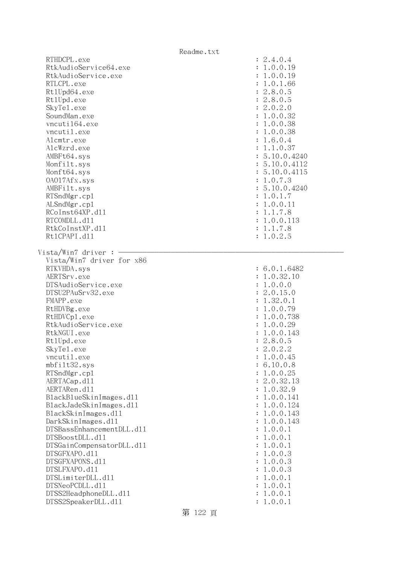|                                              | Readme.txt         |
|----------------------------------------------|--------------------|
| RTHDCPL.exe                                  | : 2.4.0.4          |
| RtkAudioService64.exe                        | : 1.0.0.19         |
| RtkAudioService.exe                          | : 1.0.0.19         |
| RTLCPL.exe                                   | : 1.0.1.66         |
| Rt1Upd64.exe                                 | : 2.8.0.5          |
| Rt1Upd.exe                                   | : 2.8.0.5          |
| SkyTe1.exe                                   | : 2.0.2.0          |
| SoundMan.exe                                 | : 1.0.0.32         |
| vncuti164.exe                                | : 1.0.0.38         |
| vncutil.exe                                  | : 1.0.0.38         |
| Alcmtr.exe                                   | : 1.6.0.4          |
| AlcWzrd.exe                                  | : 1.1.0.37         |
| AMBFt64.sys                                  | : 5.10.0.4240      |
| Monfilt.sys                                  | : 5.10.0.4112      |
| Monft64.sys                                  | : 5.10.0.4115      |
| 0A017Afx.sys                                 | : 1.0.7.3          |
| AMBFilt.sys                                  | : 5.10.0.4240      |
| RTSndMgr.cp1                                 | : 1.0.1.7          |
| ALSndMgr.cp1                                 | : 1.0.0.11         |
| RCoInst64XP.d11                              | : 1.1.7.8          |
| RTCOMDLL.d11                                 | : 1.0.0.113        |
| RtkCoInstXP.d11<br>Rt1CPAPI.d11              | : 1.1.7.8          |
|                                              | : 1.0.2.5          |
| Vista/Win7 driver :                          |                    |
| Vista/Win7 driver for x86                    |                    |
| RTKVHDA.sys                                  | : 6.0.1.6482       |
| AERTSrv.exe                                  | : 1.0.32.10        |
| DTSAudioService.exe                          | : 1.0.0.0          |
| DTSU2PAuSrv32.exe                            | : 2.0.15.0         |
| FMAPP.exe                                    | : 1.32.0.1         |
| RtHDVBg.exe                                  | : 1.0.0.79         |
| RtHDVCp1.exe                                 | : 1.0.0.738        |
| RtkAudioService.exe                          | : 1.0.0.29         |
| RtkNGUI.exe                                  | : 1.0.0.143        |
| Rt1Upd.exe                                   | : 2.8.0.5          |
| SkyTe1.exe                                   | 2.0.2.2            |
| vncutil.exe                                  | 1.0.0.45           |
| mbfilt32.sys                                 | 6.10.0.8           |
| RTSndMgr.cp1                                 | 1.0.0.25           |
| AERTACap.d11                                 | 2.0.32.13          |
| AERTARen.d11                                 | 1.0.32.9           |
| BlackBlueSkinImages.dl1                      | 1.0.0.141          |
| BlackJadeSkinImages.d11                      | 1.0.0.124          |
| BlackSkinImages.dl1                          | 1.0.0.143          |
| DarkSkinImages.d11                           | 1.0.0.143          |
| DTSBassEnhancementDLL.d11                    | 1.0.0.1            |
| DTSBoostDLL.d11                              | 1.0.0.1            |
| DTSGainCompensatorDLL.d11                    | 1.0.0.1            |
| DTSGFXAPO.d11                                | 1.0.0.3            |
| DTSGFXAPONS.d11                              | 1.0.0.3            |
| DTSLFXAPO.d11                                | 1.0.0.3            |
| DTSLimiterDLL.d11                            | 1.0.0.1            |
| DTSNeoPCDLL.d11                              | 1.0.0.1            |
| DTSS2HeadphoneDLL.d11<br>DTSS2SpeakerDLL.d11 | 1.0.0.1<br>1.0.0.1 |
|                                              |                    |

第 122 頁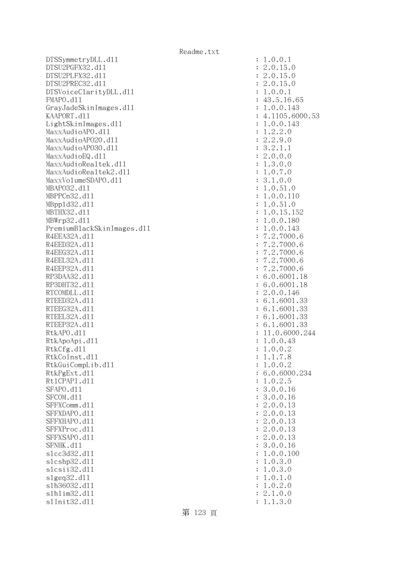DTSSymmetryDLL.dll : 1.0.0.1 DTSU2PGFX32.dll : 2.0.15.0 DTSU2PLFX32.dll : 2.0.15.0 DTSU2PREC32.dll : 2.0.15.0 DTSVoiceClarityDLL.dll : 1.0.0.1 FMAPO.d11 : 43.5.16.65 GrayJadeSkinImages.dll : 1.0.0.143 KAAPORT.d11 : 4.1105.6000.53 LightSkinImages.dll : 1.0.0.143 MaxxAudioAPO.dll : 1.2.2.0 MaxxAudioAPO20.dll : 2.2.9.0 MaxxAudioAPO30.dll : 3.2.1.1  $\text{MaxAudioEQ}.d11$  : 2.0.0.0 MaxxAudioRealtek.dll : 1.3.0.0 MaxxAudioRealtek2.dll  $\qquad \qquad$  : 1.0.7.0 MaxxVolumeSDAPO.dll : 3.1.0.0 MBAPO32.dll : 1.0.51.0 MBPPCn32.dll : 1.0.0.110 MBppld32.dll : 1.0.51.0 MBTHX32.dll : 1.0.15.152 MBWrp32.dll : 1.0.0.180 PremiumBlackSkinImages.dll : 1.0.0.143 R4EEA32A.d11 : 7.2.7000.6 R4EED32A.d11 : 7.2.7000.6 R4EEG32A.d11 : 7.2.7000.6 R4EEL32A.d11 : 7.2.7000.6 R4EEP32A.d11 : 7.2.7000.6 RP3DAA32.d11 : 6.0.6001.18 RP3DHT32.d11 : 6.0.6001.18 RTCOMDLL.d11 : 2.0.0.146 RTEED32A.d11 : 6.1.6001.33 RTEEG32A.d11 : 6.1.6001.33 RTEEL32A.d11 : 6.1.6001.33 RTEEP32A.d11 : 6.1.6001.33 RtkAPO.d11 : 11.0.6000.244 RtkApoApi.dl1 : 1.0.0.43 RtkCfg.dl1 : 1.0.0.2 RtkCoInst.dll : 1.1.7.8 RtkGuiCompLib.dl1 : 1.0.0.2 RtkPgExt.d11 : 6.0.6000.234 Rt1CPAPI.d11 : 1.0.2.5 SFAPO.d11 : 3.0.0.16 SFCOM.d11 : 3.0.0.16 SFFXComm.d11 : 2.0.0.13 SFFXDAPO.d11 : 2.0.0.13 SFFXHAPO.d11 : 2.0.0.13 SFFXProc.d11 : 2.0.0.13 SFFXSAPO.d11 : 2.0.0.13 SFNHK.d11 : 3.0.0.16 slcc3d32.dll : 1.0.0.100 slcshp32.dl1 : 1.0.3.0 slcsii32.dll : 1.0.3.0 slgeq32.dll : 1.0.1.0 slh36032.dll : 1.0.2.0 slhlim32.dll : 2.1.0.0 slInit32.dll : 1.1.3.0

第 123 頁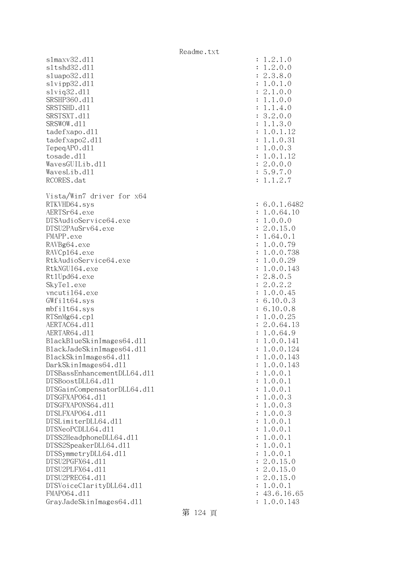|                             | Readme.txt |                      |              |
|-----------------------------|------------|----------------------|--------------|
| $slmaxv32$ .dll             |            |                      | : 1.2.1.0    |
| s1tshd32.d11                |            | $\ddot{\cdot}$       | 1.2.0.0      |
| sluapo32.dl1                |            |                      | : 2.3.8.0    |
| slvipp32.dll                |            |                      | 1.0.1.0      |
| slviq32.d11                 |            |                      | : 2.1.0.0    |
| SRSHP360.d11                |            | $\ddot{\cdot}$       | 1.1.0.0      |
| SRSTSHD.d11                 |            |                      | 1.1.4.0      |
| SRSTSXT.d11                 |            |                      | 3.2.0.0      |
| SRSWOW.d11                  |            |                      | 1.1.3.0      |
| tadefxapo.d11               |            |                      | 1.0.1.12     |
| tadefxapo2.d11              |            |                      | : 1.1.0.31   |
| TepeqAPO.d11                |            |                      | : 1.0.0.3    |
| tosade.d11                  |            |                      | : 1.0.1.12   |
| WavesGUILib.d11             |            |                      | : 2.0.0.0    |
| WavesLib.d11                |            |                      | : 5.9.7.0    |
| RCORES.dat                  |            |                      | : 1.1.2.7    |
| Vista/Win7 driver for x64   |            |                      |              |
| RTKVHD64.sys                |            |                      | : 6.0.1.6482 |
| AERTSr64.exe                |            |                      | : 1.0.64.10  |
| DTSAudioService64.exe       |            |                      | 1.0.0.0      |
| DTSU2PAuSrv64.exe           |            |                      | : 2.0.15.0   |
| FMAPP.exe                   |            |                      | 1.64.0.1     |
| RAVBg64.exe                 |            |                      | 1.0.0.79     |
| RAVCp164.exe                |            |                      | 1.0.0.738    |
| RtkAudioService64.exe       |            |                      | 1.0.0.29     |
| RtkNGUI64.exe               |            |                      | 1.0.0.143    |
| Rt1Upd64.exe                |            |                      | : 2.8.0.5    |
| SkyTe1.exe                  |            |                      | 2.0.2.2      |
| vncuti164.exe               |            |                      | 1.0.0.45     |
| GWfilt64.sys                |            |                      | : 6.10.0.3   |
| mbfilt64.sys                |            |                      | : 6.10.0.8   |
| RTSnMg64.cp1                |            |                      | 1.0.0.25     |
| AERTAC64.d11                |            |                      | : 2.0.64.13  |
| AERTAR64.d11                |            |                      | 1.0.64.9     |
| BlackBlueSkinImages64.dl1   |            |                      | : 1.0.0.141  |
| BlackJadeSkinImages64.dl1   |            |                      | 1.0.0.124    |
| BlackSkinImages64.dll       |            |                      | 1.0.0.143    |
| DarkSkinImages64.d11        |            |                      | 1.0.0.143    |
| DTSBassEnhancementDLL64.d11 |            |                      | 1.0.0.1      |
| DTSBoostDLL64.d11           |            |                      | 1.0.0.1      |
| DTSGainCompensatorDLL64.d11 |            |                      | 1.0.0.1      |
| DTSGFXAP064.d11             |            |                      | 1.0.0.3      |
| DTSGFXAPONS64.d11           |            |                      | 1.0.0.3      |
| DTSLFXAP064.d11             |            |                      | 1.0.0.3      |
| DTSLimiterDLL64.d11         |            |                      | 1.0.0.1      |
| DTSNeoPCDLL64.d11           |            |                      | 1.0.0.1      |
| DTSS2HeadphoneDLL64.d11     |            |                      | 1.0.0.1      |
| DTSS2SpeakerDLL64.d11       |            |                      | 1.0.0.1      |
| DTSSymmetryDLL64.d11        |            |                      | 1.0.0.1      |
| DTSU2PGFX64.d11             |            |                      | 2.0.15.0     |
| DTSU2PLFX64.d11             |            |                      | 2.0.15.0     |
| DTSU2PREC64.d11             |            |                      | 2.0.15.0     |
| DTSVoiceClarityDLL64.dl1    |            | $\ddot{\phantom{a}}$ | 1.0.0.1      |
| FMAP064.d11                 |            |                      | : 43.6.16.65 |
| GrayJadeSkinImages64.dll    |            |                      | 1.0.0.143    |
|                             |            |                      |              |

第 124 頁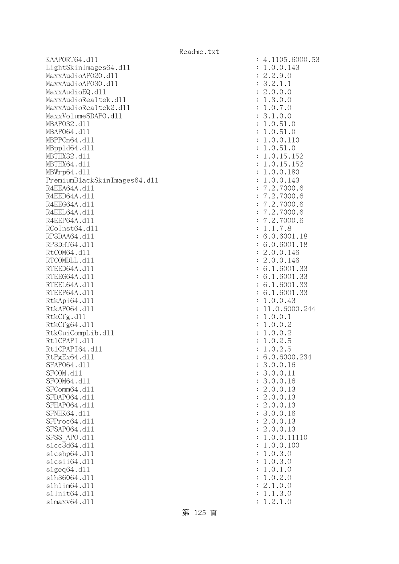KAAPORT64.d11 : 4.1105.6000.53 LightSkinImages64.dl1 : 1.0.0.143 MaxxAudioAPO20.dll : 2.2.9.0 MaxxAudioAPO30.dl1 : 3.2.1.1 MaxxAudioEQ.dl1 : 2.0.0.0 MaxxAudioRealtek.dll : 1.3.0.0 MaxxAudioRealtek2.dll : 1.0.7.0 MaxxVolumeSDAPO.dl1 : 3.1.0.0 MBAPO32.dll : 1.0.51.0 MBAP064.d11 : 1.0.51.0 MBPPCn64.d11 : 1.0.0.110 MBppld64.dll : 1.0.51.0 MBTHX32.d11 : 1.0.15.152 MBTHX64.d11 : 1.0.15.152 MBWrp64.dll : 1.0.0.180 PremiumBlackSkinImages64.dll : 1.0.0.143 R4EEA64A.d11 : 7.2.7000.6 R4EED64A.d11 : 7.2.7000.6 R4EEG64A.d11 : 7.2.7000.6 R4EEL64A.d11 : 7.2.7000.6 R4EEP64A.d11 : 7.2.7000.6 RCoInst64.d11 : 1.1.7.8 RP3DAA64.d11 : 6.0.6001.18 RP3DHT64.d11 : 6.0.6001.18 RtCOM64.d11 : 2.0.0.146 RTCOMDLL.d11 : 2.0.0.146 RTEED64A.d11 : 6.1.6001.33 RTEEG64A.d11 : 6.1.6001.33 RTEEL64A.d11 : 6.1.6001.33 RTEEP64A.d11 : 6.1.6001.33 RtkApi64.d11 : 1.0.0.43 RtkAP064.dl1 : 11.0.6000.244 RtkCfg.dl1 : 1.0.0.1 RtkCfg64.d11 : 1.0.0.2 RtkGuiCompLib.dl1 : 1.0.0.2 Rt1CPAPI.d11 : 1.0.2.5 Rt1CPAPI64.d11 : 1.0.2.5 RtPgEx64.dll : 6.0.6000.234 SFAP064.d11 : 3.0.0.16 SFCOM.d11 : 3.0.0.11 : 3.0.0.11 SFCOM64.d11 : 3.0.0.16 SFComm64.d11 : 2.0.0.13 SFDAPO64.d11 : 2.0.0.13 SFHAPO64.d11 : 2.0.0.13 SFNHK64.d11 : 3.0.0.16 SFProc64.d11 : 2.0.0.13 SFSAP064.d11 : 2.0.0.13 SFSS APO.d11 : 1.0.0.11110 slcc3d64.dll : 1.0.0.100 slcshp64.dll : 1.0.3.0 slcsii64.dll : 1.0.3.0  $s1geq64. d11$  :  $1.0.1.0$ slh36064.dll : 1.0.2.0 slhlim64.dll : 2.1.0.0 slInit64.dll : 1.1.3.0 slmaxv64.dll : 1.2.1.0

第 125 頁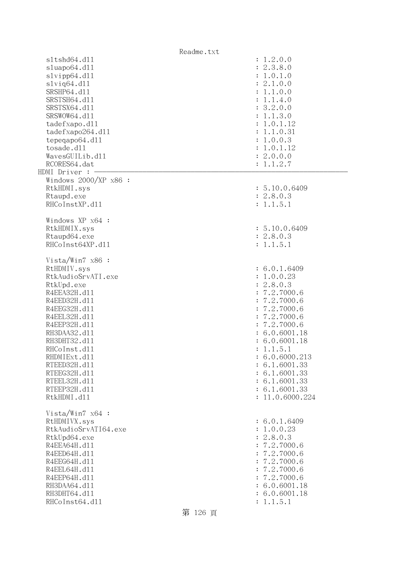|                         | Readme.txt                   |
|-------------------------|------------------------------|
| s1tshd64.d11            | : 1.2.0.0                    |
| sluapo64.dll            | : 2.3.8.0                    |
| slvipp64.dll            | : 1.0.1.0                    |
| $s1$ viq $64. d11$      | : 2.1.0.0                    |
| SRSHP64.d11             | : 1.1.0.0                    |
| SRSTSH64.d11            | : 1.1.4.0                    |
| SRSTSX64.d11            | : 3.2.0.0                    |
| SRSWOW64.d11            | : 1.1.3.0                    |
| tadefxapo.d11           | : 1.0.1.12                   |
|                         |                              |
| tadefxapo264.dl1        | : 1.1.0.31                   |
| tepeqapo64.dll          | : 1.0.0.3                    |
| tosade.d11              | : 1.0.1.12                   |
| WavesGUILib.d11         | : 2.0.0.0                    |
| RCORES64.dat            | : 1.1.2.7                    |
| HDMI Driver :           |                              |
| Windows $2000/XP$ x86 : |                              |
| RtkHDMI.sys             | : 5.10.0.6409                |
| Rtaupd.exe              | : 2.8.0.3                    |
| RHCoInstXP.d11          | : 1.1.5.1                    |
|                         |                              |
| Windows XP x64 :        |                              |
| RtkHDMIX.sys            | : 5.10.0.6409                |
| Rtaupd64.exe            | : 2.8.0.3                    |
| RHCoInst64XP.d11        | : 1.1.5.1                    |
|                         |                              |
| Vista/Win7 $x86$ :      |                              |
| RtHDMIV.sys             | : 6.0.1.6409                 |
| RtkAudioSrvATI.exe      | : 1.0.0.23                   |
| RtkUpd.exe              | : 2.8.0.3                    |
| R4EEA32H.d11            | : 7.2.7000.6                 |
| R4EED32H.d11            | : 7.2.7000.6                 |
| R4EEG32H.d11            | : 7.2.7000.6                 |
| R4EEL32H.d11            | 7.2.7000.6<br>$\ddot{\cdot}$ |
|                         | : 7.2.7000.6                 |
| R4EEP32H.d11            |                              |
| RH3DAA32.d11            | : 6.0.6001.18                |
| RH3DHT32.d11            | : 6.0.6001.18                |
| RHCoInst.d11            | : 1.1.5.1                    |
| RHDMIExt.d11            | : 6.0.6000.213               |
| RTEED32H.d11            | : 6.1.6001.33                |
| RTEEG32H.d11            | : 6.1.6001.33                |
| RTEEL32H.d11            | : 6.1.6001.33                |
| RTEEP32H.d11            | : 6.1.6001.33                |
| RtkHDMI.d11             | : 11.0.6000.224              |
|                         |                              |
| Vista/Win7 $x64$ :      |                              |
| RtHDMIVX.sys            | : 6.0.1.6409                 |
| RtkAudioSrvATI64.exe    | : 1.0.0.23                   |
| RtkUpd64.exe            | : 2.8.0.3                    |
| R4EEA64H.d11            | : 7.2.7000.6                 |
| R4EED64H.d11            | : 7.2.7000.6                 |
| R4EEG64H.d11            | : 7.2.7000.6                 |
| R4EEL64H.d11            | : 7.2.7000.6                 |
| R4EEP64H.d11            | : 7.2.7000.6                 |
| RH3DAA64.d11            | : 6.0.6001.18                |
| RH3DHT64.d11            | : 6.0.6001.18                |
| RHCoInst64.d11          | : 1.1.5.1                    |
|                         |                              |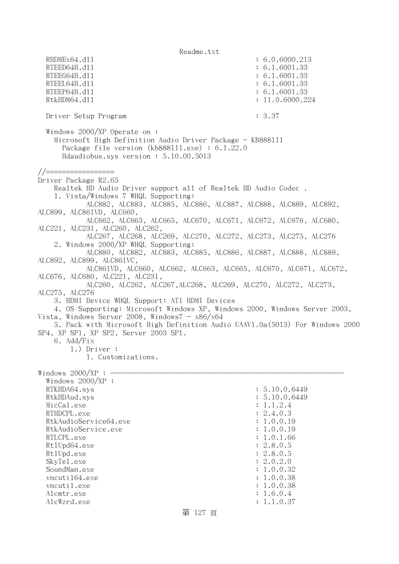Readme.txt RHDMEx64.d11 : 6.0.6000.213 RTEED64H.dl1 : 6.1.6001.33 RTEEG64H.d11 : 6.1.6001.33 RTEEL64H.d11 : 6.1.6001.33 RTEEP64H.d11 : 6.1.6001.33 RtkHDM64.dll : 11.0.6000.224 Driver Setup Program : 3.37 Windows 2000/XP Operate on : Microsoft High Definition Audio Driver Package - KB888111 Package file version (kb888111.exe) : 6.1.22.0 Hdaudiobus.sys version : 5.10.00.5013 //================= Driver Package R2.65 Realtek HD Audio Driver support all of Realtek HD Audio Codec . 1. Vista/Windows 7 WHQL Supporting: ALC882, ALC883, ALC885, ALC886, ALC887, ALC888, ALC889, ALC892, ALC899, ALC861VD, ALC660, ALC662, ALC663, ALC665, ALC670, ALC671, ALC672, ALC676, ALC680, ALC221, ALC231, ALC260, ALC262, ALC267, ALC268, ALC269, ALC270, ALC272, ALC273, ALC275, ALC276 2. Windows 2000/XP WHQL Supporting: ALC880, ALC882, ALC883, ALC885, ALC886, ALC887, ALC888, ALC889, ALC892, ALC899, ALC861VC, ALC861VD, ALC660, ALC662, ALC663, ALC665, ALC670, ALC671, ALC672, ALC676, ALC680, ALC221, ALC231, ALC260, ALC262, ALC267,ALC268, ALC269, ALC270, ALC272, ALC273, ALC275, ALC276 3. HDMI Device WHQL Support: ATI HDMI Devices 4. OS Supporting: Microsoft Windows XP, Windows 2000, Windows Server 2003, Vista, Windows Server 2008, Windows $7 - x86/x64$  5. Pack with Microsoft High Definition Audio UAAV1.0a(5013) For Windows 2000 SP4, XP SP1, XP SP2, Server 2003 SP1. 6. Add/Fix 1.) Driver : 1. Customizations. Windows  $2000/XP : -$  Windows 2000/XP : RTKHDA64.sys : 5.10.0.6449 RtkHDAud.sys : 5.10.0.6449 MicCal.exe : 1.1.2.4 RTHDCPL.exe : 2.4.0.3 RtkAudioService64.exe : 1.0.0.19 RtkAudioService.exe : 1.0.0.19 RTLCPL.exe : 1.0.1.66 Rt1Upd64.exe : 2.8.0.5 RtlUpd.exe : 2.8.0.5 SkyTel.exe : 2.0.2.0 SoundMan.exe : 1.0.0.32 vncuti164.exe : 1.0.0.38 vncutil.exe : 1.0.0.38 Alcmtr.exe : 1.6.0.4 AlcWzrd.exe : 1.1.0.37

## 第 127 頁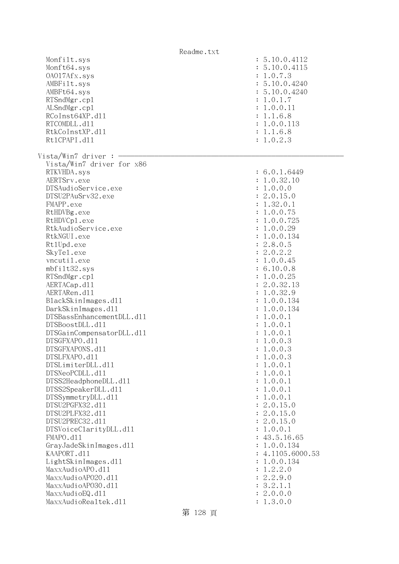|                           | Readme.txt                  |
|---------------------------|-----------------------------|
| Monfilt.sys               | : 5.10.0.4112               |
| Monft64.sys               | : 5.10.0.4115               |
| 0A017Afx.sys              | : 1.0.7.3                   |
| AMBFilt.sys               | : 5.10.0.4240               |
| AMBFt64.sys               | : 5.10.0.4240               |
| RTSndMgr.cp1              | : 1.0.1.7                   |
| ALSndMgr.cp1              | : 1.0.0.11                  |
| RCoInst64XP.d11           | : 1.1.6.8                   |
| RTCOMDLL.d11              | : 1.0.0.113                 |
|                           |                             |
| RtkCoInstXP.d11           | : 1.1.6.8                   |
| Rt1CPAPI.d11              | : 1.0.2.3                   |
| Vista/Win7 driver :       |                             |
| Vista/Win7 driver for x86 |                             |
| RTKVHDA.sys               | : 6.0.1.6449                |
| AERTSrv.exe               | : 1.0.32.10                 |
|                           |                             |
| DTSAudioService.exe       | : 1.0.0.0                   |
| DTSU2PAuSrv32.exe         | : 2.0.15.0                  |
| FMAPP.exe                 | : 1.32.0.1                  |
| RtHDVBg.exe               | : 1.0.0.75                  |
| RtHDVCp1.exe              | : 1.0.0.725                 |
| RtkAudioService.exe       | : 1.0.0.29                  |
| RtkNGUI.exe               | 1.0.0.134<br>$\ddot{\cdot}$ |
| Rt1Upd.exe                | : 2.8.0.5                   |
| SkyTe1.exe                | : 2.0.2.2                   |
| vncutil.exe               | 1.0.0.45                    |
| mbfilt32.sys              | : 6.10.0.8                  |
|                           |                             |
| RTSndMgr.cp1              | : 1.0.0.25                  |
| AERTACap.d11              | 2.0.32.13<br>$\ddot{\cdot}$ |
| AERTARen.d11              | : 1.0.32.9                  |
| BlackSkinImages.d11       | : 1.0.0.134                 |
| DarkSkinImages.d11        | : 1.0.0.134                 |
| DTSBassEnhancementDLL.d11 | : 1.0.0.1                   |
| DTSBoostDLL.d11           | : 1.0.0.1                   |
| DTSGainCompensatorDLL.d11 | : 1.0.0.1                   |
| DTSGFXAPO.d11             | : 1.0.0.3                   |
| DTSGFXAPONS.d11           | 1.0.0.3                     |
| DTSLFXAPO.d11             | 1.0.0.3                     |
| DTSLimiterDLL.d11         | 1.0.0.1                     |
| DTSNeoPCDLL.d11           | 1.0.0.1                     |
|                           | 1.0.0.1                     |
| DTSS2HeadphoneDLL.d11     |                             |
| DTSS2SpeakerDLL.d11       | 1.0.0.1                     |
| DTSSymmetryDLL.d11        | 1.0.0.1                     |
| DTSU2PGFX32.d11           | 2.0.15.0                    |
| DTSU2PLFX32.d11           | 2.0.15.0                    |
| DTSU2PREC32.d11           | 2.0.15.0                    |
| DTSVoiceClarityDLL.dl1    | 1.0.0.1                     |
| FMAPO.d11                 | 43.5.16.65                  |
| GrayJadeSkinImages.d11    | 1.0.0.134                   |
| KAAPORT.d11               | 4.1105.6000.53              |
| LightSkinImages.d11       | 1.0.0.134                   |
| MaxxAudioAPO.dll          | 1.2.2.0                     |
| MaxxAudioAP020.dll        | 2.2.9.0                     |
|                           |                             |
| MaxxAudioAP030.dll        | 3.2.1.1                     |
| MaxxAudioEQ.d11           | 2.0.0.0                     |
| MaxxAudioRealtek.dll      | 1.3.0.0                     |

第 128 頁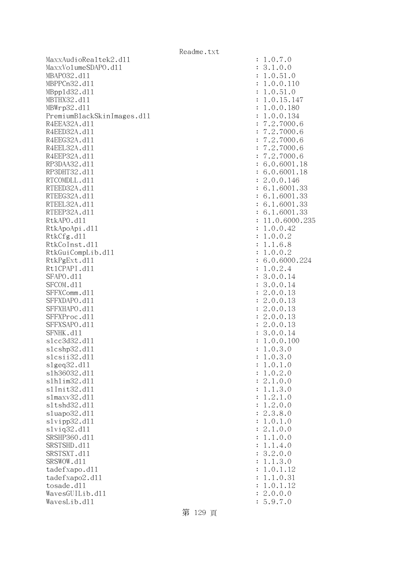| Readme.txt |
|------------|
|------------|

MaxxAudioRealtek2.dll MaxxVolumeSDAPO.dl1 MBAP032.d11 MBPPCn32.d11 MBpp1d32.d11 MBTHX32.d11 MBWrp32.d11 PremiumBlackSkinImages.dl1 R4EEA32A.d11 R4EED32A.d11 R4EEG32A.d11 R4EEL32A.d11 R4EEP32A.d11 RP3DAA32.d11 RP3DHT32.d11 RTCOMDLL.d11 RTEED32A.d11 RTEEG32A.d11 RTEEL32A.d11 RTEEP32A.d11 RtkAPO.d11 : 11.0.6000.235 RtkApoApi.dl1 RtkCfg.dll RtkCoInst.d11 RtkGuiCompLib.dl1 RtkPgExt.dll Rt1CPAPI.d11 SFAPO.d11 SFCOM.d11 SFFXComm.dl1 SFFXDAPO.d11 SFFXHAPO.d11 SFFXProc.dl1 SFFXSAPO.d11 SFNHK.d11 slcc3d32.d11 slcshp32.dl1 slcsii32.dl1 slgeq32.dl1 s1h36032.dl1 slhlim32.dll s1Init32.d11 slmaxv32.dl1 sltshd32.d11 sluapo32.dl1 slvipp32.dl1 slviq32.dl1 SRSHP360.d11 SRSTSHD.d11 SRSTSXT.d11 SRSWOW.dl1 tadefxapo.dl1 tadefxapo2.dl1 tosade.d11 WavesGUILib.d11 WavesLib.dl1

| $\ddot{\cdot}$ | .0.7<br>$\cdot$ <sup>0</sup><br>1                                                                                                                                                                                                                                    |
|----------------|----------------------------------------------------------------------------------------------------------------------------------------------------------------------------------------------------------------------------------------------------------------------|
| $\ddot{\cdot}$ | 1.0.0<br>3                                                                                                                                                                                                                                                           |
|                |                                                                                                                                                                                                                                                                      |
| $\ddot{\cdot}$ |                                                                                                                                                                                                                                                                      |
| $\ddot{\cdot}$ |                                                                                                                                                                                                                                                                      |
|                |                                                                                                                                                                                                                                                                      |
| $\ddot{\cdot}$ |                                                                                                                                                                                                                                                                      |
| $\ddot{\cdot}$ |                                                                                                                                                                                                                                                                      |
| $\ddot{\cdot}$ |                                                                                                                                                                                                                                                                      |
|                |                                                                                                                                                                                                                                                                      |
| $\ddot{\cdot}$ |                                                                                                                                                                                                                                                                      |
| $\ddot{\cdot}$ |                                                                                                                                                                                                                                                                      |
| $\ddot{\cdot}$ |                                                                                                                                                                                                                                                                      |
|                |                                                                                                                                                                                                                                                                      |
| $\ddot{\cdot}$ |                                                                                                                                                                                                                                                                      |
| $\ddot{\cdot}$ |                                                                                                                                                                                                                                                                      |
| $\ddot{\cdot}$ |                                                                                                                                                                                                                                                                      |
|                |                                                                                                                                                                                                                                                                      |
| $\ddot{\cdot}$ |                                                                                                                                                                                                                                                                      |
| $\ddot{\cdot}$ |                                                                                                                                                                                                                                                                      |
| $\ddot{\cdot}$ |                                                                                                                                                                                                                                                                      |
|                |                                                                                                                                                                                                                                                                      |
| $\ddot{\cdot}$ |                                                                                                                                                                                                                                                                      |
| $\ddot{\cdot}$ |                                                                                                                                                                                                                                                                      |
| $\ddot{\cdot}$ |                                                                                                                                                                                                                                                                      |
|                |                                                                                                                                                                                                                                                                      |
| $\ddot{\cdot}$ | 1.0.51.0<br>1.0.51.0<br>1.0.51.0<br>1.0.15.147<br>1.0.0.180<br>1.0.0.134<br>7.2.7000.6<br>7.2.7000.6<br>7.2.7000.6<br>7.2.7000.6<br>7.2.7000.6<br>7.2.7000.6<br>7.2.7000.6<br>7.2.7000.6<br>7.2.7000.6<br>7.2.7000.6<br>7.2.7000.6<br>7.2.7000.6<br>7.2.7000.6<br>7. |
| $\ddot{\cdot}$ |                                                                                                                                                                                                                                                                      |
| $\ddot{\cdot}$ |                                                                                                                                                                                                                                                                      |
|                |                                                                                                                                                                                                                                                                      |
| $\ddot{\cdot}$ |                                                                                                                                                                                                                                                                      |
| $\ddot{\cdot}$ |                                                                                                                                                                                                                                                                      |
| $\ddot{\cdot}$ |                                                                                                                                                                                                                                                                      |
|                |                                                                                                                                                                                                                                                                      |
| $\ddot{\cdot}$ |                                                                                                                                                                                                                                                                      |
| $\ddot{\cdot}$ |                                                                                                                                                                                                                                                                      |
| $\ddot{\cdot}$ |                                                                                                                                                                                                                                                                      |
|                |                                                                                                                                                                                                                                                                      |
| $\ddot{\cdot}$ |                                                                                                                                                                                                                                                                      |
| $\ddot{\cdot}$ |                                                                                                                                                                                                                                                                      |
| $\ddot{\cdot}$ |                                                                                                                                                                                                                                                                      |
|                |                                                                                                                                                                                                                                                                      |
| $\ddot{\cdot}$ |                                                                                                                                                                                                                                                                      |
| $\ddot{\cdot}$ |                                                                                                                                                                                                                                                                      |
| $\vdots$       |                                                                                                                                                                                                                                                                      |
|                |                                                                                                                                                                                                                                                                      |
|                |                                                                                                                                                                                                                                                                      |
| $\vdots$       |                                                                                                                                                                                                                                                                      |
| $\ddot{\cdot}$ | $\ddot{\phantom{0}}$<br>0.3.<br>1<br>$\overline{O}$                                                                                                                                                                                                                  |
|                |                                                                                                                                                                                                                                                                      |
| $\ddot{\cdot}$ | $\theta$<br>$\cdot$ <sup>0</sup><br>1                                                                                                                                                                                                                                |
|                | $\frac{3}{1}$<br>$\circ$<br>$\mathbf{1}$                                                                                                                                                                                                                             |
| $\vdots$       | $\begin{matrix}0\\0\end{matrix}$<br>$\overline{O}$<br>$\mathbf{1}$                                                                                                                                                                                                   |
|                | $\frac{2}{0}$                                                                                                                                                                                                                                                        |
|                | $\frac{2}{1}$<br>$\overline{0}$<br>$\mathbf{1}$                                                                                                                                                                                                                      |
|                | $\frac{3}{1}$<br>$\begin{matrix} 0 \\ 0 \end{matrix}$                                                                                                                                                                                                                |
|                | $\mathbf{1}$                                                                                                                                                                                                                                                         |
|                | $\frac{1}{2}$ $\frac{2}{3}$ $\frac{3}{0}$                                                                                                                                                                                                                            |
|                | $\overline{O}$                                                                                                                                                                                                                                                       |
|                |                                                                                                                                                                                                                                                                      |
|                | $\begin{matrix} 0 \\ 8 \\ 1 \end{matrix}$                                                                                                                                                                                                                            |
|                | .<br>.<br>.<br>.<br>.<br>$\frac{1}{2}$ $\frac{2}{1}$<br>$\begin{matrix} 0 \\ 0 \\ 0 \end{matrix}$                                                                                                                                                                    |
|                | $\mathbf{1}$                                                                                                                                                                                                                                                         |
|                | $\begin{matrix} 0 \\ 0 \end{matrix}$<br>$\overline{O}$<br>$\mathbf{1}$                                                                                                                                                                                               |
|                | .<br>.<br>$\mathbf{1}$<br>$\overline{0}$<br>$\mathbf{1}$                                                                                                                                                                                                             |
|                | $\frac{4}{0}$<br>.<br>.<br>.                                                                                                                                                                                                                                         |
|                | 3<br>$\overline{0}$<br>$\mathbf{C}$<br>$\ddot{\cdot}$                                                                                                                                                                                                                |
|                | 3<br>$\mathbf{1}$<br>$\mathbf{1}$<br>$\circ$                                                                                                                                                                                                                         |
|                | $\circ$<br>$\mathbf{1}$<br>12<br>$\mathbf{1}$                                                                                                                                                                                                                        |
|                |                                                                                                                                                                                                                                                                      |
|                | 31<br>$\circ$<br>$\mathbf{1}$<br>$\mathbf{1}$                                                                                                                                                                                                                        |
|                | $\ddot{\cdot}$<br>$\circ$<br>$\mathbf{1}$<br>12<br>$\mathbf{1}$                                                                                                                                                                                                      |
|                | $\overline{0}$ .<br>$\circ$<br>$\circ$                                                                                                                                                                                                                               |
|                | $\ddot{\cdot}$<br>$\ddot{\cdot}$                                                                                                                                                                                                                                     |
|                | $\overline{7}$<br>$\overline{O}$<br>9.                                                                                                                                                                                                                               |

第 129 頁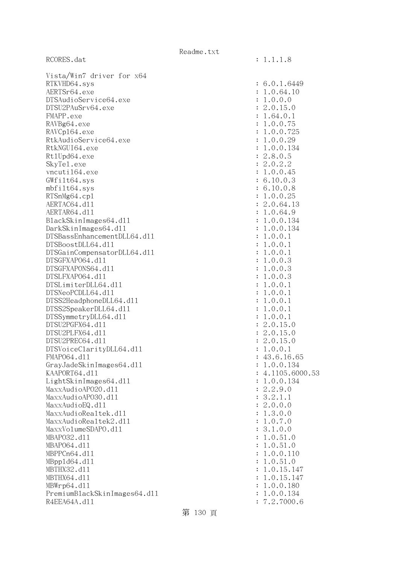RCORES.dat : 1.1.1.8

| Vista/Win7 driver for x64    |                  |
|------------------------------|------------------|
| RTKVHD64.sys                 | : 6.0.1.6449     |
| AERTSr64.exe                 | : 1.0.64.10      |
| DTSAudioService64.exe        | : 1.0.0.0        |
| DTSU2PAuSrv64.exe            | : 2.0.15.0       |
| FMAPP.exe                    | : 1.64.0.1       |
| RAVBg64.exe                  | : 1.0.0.75       |
| RAVCp164.exe                 | : 1.0.0.725      |
| RtkAudioService64.exe        | : 1.0.0.29       |
| RtkNGUI64.exe                | : 1.0.0.134      |
| Rt1Upd64.exe                 | : 2.8.0.5        |
| SkyTe1.exe                   | : 2.0.2.2        |
| vncuti164.exe                | : 1.0.0.45       |
| GWfilt64.sys                 | : 6.10.0.3       |
| mbfilt64.sys                 | : 6.10.0.8       |
| RTSnMg64.cp1                 | : 1.0.0.25       |
| AERTAC64.d11                 | : 2.0.64.13      |
| AERTAR64.d11                 | : 1.0.64.9       |
| BlackSkinImages64.dll        | : 1.0.0.134      |
| DarkSkinImages64.d11         | : 1.0.0.134      |
|                              |                  |
| DTSBassEnhancementDLL64.d11  | : 1.0.0.1        |
| DTSBoostDLL64.d11            | : 1.0.0.1        |
| DTSGainCompensatorDLL64.d11  | : 1.0.0.1        |
| DTSGFXAP064.d11              | : 1.0.0.3        |
| DTSGFXAPONS64.d11            | : 1.0.0.3        |
| DTSLFXAP064.d11              | : 1.0.0.3        |
| DTSLimiterDLL64.d11          | : 1.0.0.1        |
| DTSNeoPCDLL64.d11            | : 1.0.0.1        |
| DTSS2HeadphoneDLL64.d11      | : 1.0.0.1        |
| DTSS2SpeakerDLL64.d11        | : 1.0.0.1        |
| DTSSymmetryDLL64.d11         | : 1.0.0.1        |
| DTSU2PGFX64.d11              | : 2.0.15.0       |
| DTSU2PLFX64.d11              | : 2.0.15.0       |
| DTSU2PREC64.d11              | : 2.0.15.0       |
| DTSVoiceClarityDLL64.dl1     | : 1.0.0.1        |
| FMAP064.d11                  | : 43.6.16.65     |
| GrayJadeSkinImages64.d11     | : 1.0.0.134      |
| KAAPORT64.d11                | : 4.1105.6000.53 |
| LightSkinImages64.dl1        | 1.0.0.134        |
| MaxxAudioAP020.dll           | : 2.2.9.0        |
| MaxxAudioAP030.dll           | : 3.2.1.1        |
| MaxxAudioEQ.d11              | : 2.0.0.0        |
| MaxxAudioRealtek.dll         | : 1.3.0.0        |
| MaxxAudioRealtek2.dl1        | : 1.0.7.0        |
| MaxxVolumeSDAPO.d11          | : 3.1.0.0        |
| MBAP032.d11                  | : 1.0.51.0       |
| MBAP064.d11                  | : 1.0.51.0       |
| MBPPCn64.d11                 | : 1.0.0.110      |
| MBpp1d64.d11                 | : 1.0.51.0       |
| MBTHX32.d11                  | : 1.0.15.147     |
| MBTHX64.d11                  |                  |
|                              | 1.0.15.147       |
| MBWrp64.dl1                  | 1.0.0.180        |
| PremiumBlackSkinImages64.dl1 | : 1.0.0.134      |
| R4EEA64A.d11                 | : 7.2.7000.6     |
|                              |                  |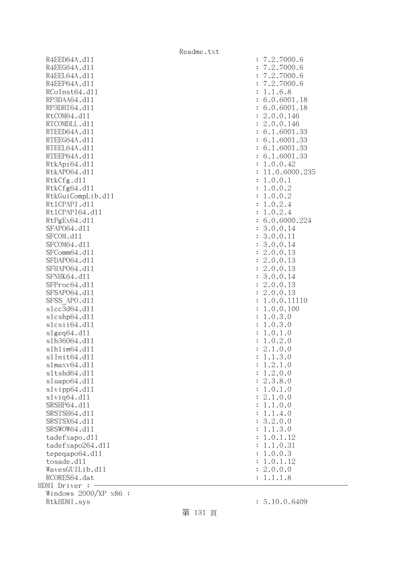R4EED64A.d11 : 7.2.7000.6 R4EEG64A.d11 : 7.2.7000.6 R4EEL64A.d11 : 7.2.7000.6 R4EEP64A.d11 : 7.2.7000.6 RCoInst64.d11 : 1.1.6.8 RP3DAA64.d11 : 6.0.6001.18 RP3DHT64.d11 : 6.0.6001.18 RtCOM64.d11 : 2.0.0.146 RTCOMDLL.d11 : 2.0.0.146 RTEED64A.d11 : 6.1.6001.33 RTEEG64A.d11 : 6.1.6001.33 RTEEL64A.d11 : 6.1.6001.33 RTEEP64A.d11 : 6.1.6001.33 RtkApi64.dl1 : 1.0.0.42 RtkAP064.d11 : 11.0.6000.235 RtkCfg.dl1 : 1.0.0.1 RtkCfg64.d11 : 1.0.0.2 RtkGuiCompLib.dl1 : 1.0.0.2 Rt1CPAPI.d11 : 1.0.2.4 Rt1CPAPI64.d11 : 1.0.2.4 RtPgEx64.dll : 6.0.6000.224 SFAP064.d11 : 3.0.0.14 SFCOM.d11 : 3.0.0.11 SFCOM64.d11 : 3.0.0.14 SFComm64.d11 : 2.0.0.13 SFDAP064.d11 : 2.0.0.13 SFHAPO64.d11 : 2.0.0.13 SFNHK64.d11 : 3.0.0.14 SFProc64.d11 : 2.0.0.13 SFSAP064.d11 : 2.0.0.13 SFSS APO.d11 : 1.0.0.11110 slcc3d64.dl1 : 1.0.0.100 slcshp64.dll : 1.0.3.0 slcsii64.dll : 1.0.3.0 slgeq64.dll : 1.0.1.0 slh36064.dll : 1.0.2.0 slhlim64.dll : 2.1.0.0 slInit64.dll : 1.1.3.0 slmaxv64.dll : 1.2.1.0 sltshd64.dll : 1.2.0.0 sluapo64.dll : 2.3.8.0 slvipp64.dll : 1.0.1.0 slviq64.dll : 2.1.0.0 SRSHP64.d11 : 1.1.0.0 SRSTSH64.d11 : 1.1.4.0 SRSTSX64.d11 : 3.2.0.0 SRSWOW64.d11 : 1.1.3.0 tadefxapo.dl1 : 1.0.1.12 tadefxapo264.dll : 1.1.0.31 tepeqapo64.dll : 1.0.0.3 tosade.dll : 1.0.1.12  $Waves GUILib. d11$  :  $2.0.0.0$ RCORES64.dat : 1.1.1.8 HDMI Driver : - Windows 2000/XP x86 : RtkHDMI.sys : 5.10.0.6409

第 131 頁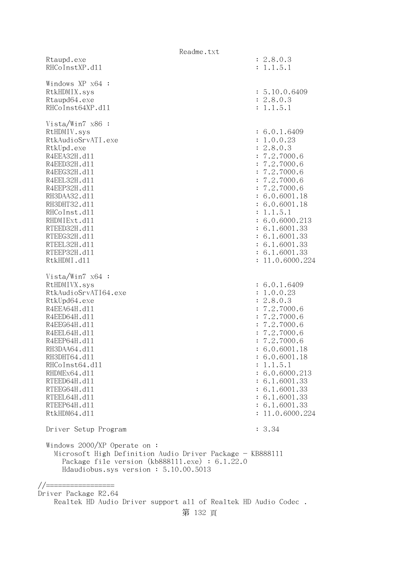|                                                                                        | Readme.txt                  |
|----------------------------------------------------------------------------------------|-----------------------------|
| Rtaupd.exe<br>RHCoInstXP.d11                                                           | : 2.8.0.3<br>: 1.1.5.1      |
| Windows XP x64 :                                                                       |                             |
| RtkHDMIX.sys                                                                           | : 5.10.0.6409               |
| Rtaupd64.exe                                                                           | : 2.8.0.3                   |
| RHCoInst64XP.d11                                                                       | : 1.1.5.1                   |
| Vista/Win7 $x86$ :                                                                     |                             |
| RtHDMIV.sys                                                                            | : 6.0.1.6409                |
| RtkAudioSrvATI.exe                                                                     | : 1.0.0.23                  |
| RtkUpd.exe                                                                             | : 2.8.0.3                   |
| R4EEA32H.d11                                                                           | : 7.2.7000.6                |
| R4EED32H.d11                                                                           | : 7.2.7000.6                |
| R4EEG32H.d11                                                                           | : 7.2.7000.6                |
| R4EEL32H.d11                                                                           | : 7.2.7000.6                |
| R4EEP32H.d11                                                                           | : 7.2.7000.6                |
| RH3DAA32.d11                                                                           | : 6.0.6001.18               |
| RH3DHT32.d11                                                                           | : 6.0.6001.18               |
| RHCoInst.d11                                                                           | : 1.1.5.1                   |
| RHDMIExt.d11                                                                           | : 6.0.6000.213              |
| RTEED32H.d11                                                                           | : 6.1.6001.33               |
| RTEEG32H.d11                                                                           | : 6.1.6001.33               |
| RTEEL32H.d11                                                                           | : 6.1.6001.33               |
| RTEEP32H.d11                                                                           | : 6.1.6001.33               |
| RtkHDMI.d11                                                                            | : 11.0.6000.224             |
| Vista/Win7 $x64$ :                                                                     |                             |
| RtHDMIVX.sys                                                                           | : 6.0.1.6409                |
| RtkAudioSrvATI64.exe                                                                   | : 1.0.0.23                  |
| RtkUpd64.exe                                                                           | : 2.8.0.3                   |
| R4EEA64H.d11                                                                           | : 7.2.7000.6                |
| R4EED64H.d11                                                                           | : 7.2.7000.6                |
| R4EEG64H.d11                                                                           | : 7.2.7000.6                |
| R4EEL64H.d11                                                                           | : 7.2.7000.6                |
| R4EEP64H.d11                                                                           | : 7.2.7000.6                |
| RH3DAA64.d11                                                                           | : 6.0.6001.18               |
| RH3DHT64.d11                                                                           | : 6.0.6001.18               |
| RHCoInst64.d11<br>RHDMEx64.d11                                                         | : 1.1.5.1<br>: 6.0.6000.213 |
| RTEED64H.d11                                                                           | : 6.1.6001.33               |
| RTEEG64H.d11                                                                           | : 6.1.6001.33               |
| RTEEL64H.d11                                                                           | : 6.1.6001.33               |
| RTEEP64H.d11                                                                           | : 6.1.6001.33               |
| RtkHDM64.d11                                                                           | : 11.0.6000.224             |
|                                                                                        |                             |
| Driver Setup Program                                                                   | : 3.34                      |
| Windows 2000/XP Operate on:                                                            |                             |
| Microsoft High Definition Audio Driver Package - KB888111                              |                             |
| Package file version $(kb888111.\text{exe}) : 6.1.22.0$                                |                             |
| Hdaudiobus.sys version: 5.10.00.5013                                                   |                             |
|                                                                                        |                             |
| //==                                                                                   |                             |
| Driver Package R2.64<br>Realtek HD Audio Driver support all of Realtek HD Audio Codec. |                             |
|                                                                                        |                             |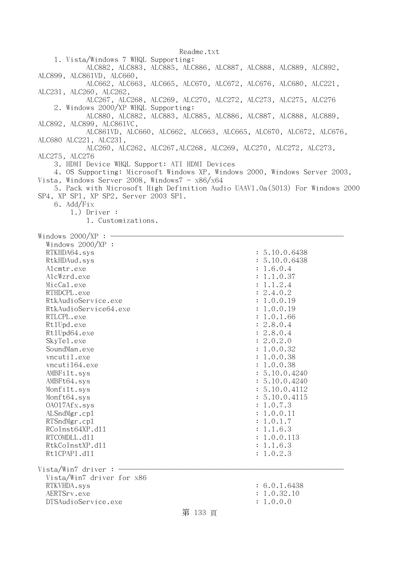1. Vista/Windows 7 WHQL Supporting: ALC882, ALC883, ALC885, ALC886, ALC887, ALC888, ALC889, ALC892, ALC899, ALC861VD, ALC660, ALC662, ALC663, ALC665, ALC670, ALC672, ALC676, ALC680, ALC221, ALC231, ALC260, ALC262, ALC267, ALC268, ALC269, ALC270, ALC272, ALC273, ALC275, ALC276 2. Windows 2000/XP WHQL Supporting: ALC880, ALC882, ALC883, ALC885, ALC886, ALC887, ALC888, ALC889, ALC892, ALC899, ALC861VC, ALC861VD, ALC660, ALC662, ALC663, ALC665, ALC670, ALC672, ALC676, ALC680 ALC221, ALC231, ALC260, ALC262, ALC267,ALC268, ALC269, ALC270, ALC272, ALC273, ALC275, ALC276 3. HDMI Device WHQL Support: ATI HDMI Devices 4. OS Supporting: Microsoft Windows XP, Windows 2000, Windows Server 2003, Vista, Windows Server 2008, Windows $7 - x86/x64$  5. Pack with Microsoft High Definition Audio UAAV1.0a(5013) For Windows 2000 SP4, XP SP1, XP SP2, Server 2003 SP1. 6. Add/Fix 1.) Driver : 1. Customizations. Windows  $2000/XP : -$  Windows 2000/XP : RTKHDA64.sys : 5.10.0.6438 RtkHDAud.sys : 5.10.0.6438 Alcmtr.exe : 1.6.0.4 AlcWzrd.exe : 1.1.0.37  $\text{MicCal.}$ exe : 1.1.2.4 RTHDCPL.exe : 2.4.0.2 RtkAudioService.exe : 1.0.0.19 RtkAudioService64.exe : 1.0.0.19 RTLCPL.exe : 1.0.1.66 RtlUpd.exe : 2.8.0.4 Rt1Upd64.exe : 2.8.0.4 SkyTe1.exe : 2.0.2.0 SoundMan.exe : 1.0.0.32 vncutil.exe : 1.0.0.38 vncuti164.exe : 1.0.0.38 AMBFilt.sys : 5.10.0.4240 AMBFt64.sys : 5.10.0.4240 Monfilt.sys : 5.10.0.4112 Monft64.sys : 5.10.0.4115 OAO17Afx.sys : 1.0.7.3 ALSndMgr.cp1 : 1.0.0.11 RTSndMgr.cp1 : 1.0.1.7 RCoInst64XP.d11 : 1.1.6.3 RTCOMDLL.d11 : 1.0.0.113 RtkCoInstXP.d11 : 1.1.6.3 RtlCPAPI.dll : 1.0.2.3  $Vista/Win7$  driver :  $-$  Vista/Win7 driver for x86 RTKVHDA.sys : 6.0.1.6438 AERTSrv.exe : 1.0.32.10 DTSAudioService.exe : 1.0.0.0 第 133 頁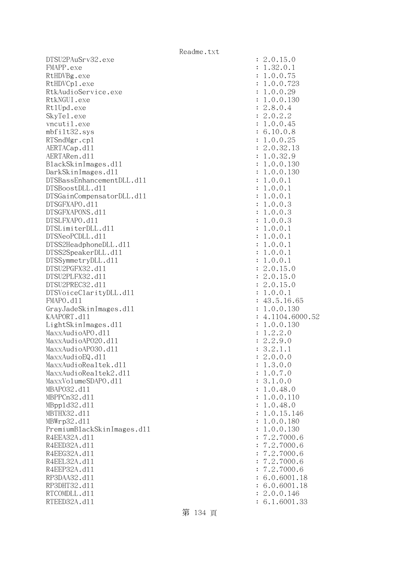DTSU2PAuSrv32.exe : 2.0.15.0 FMAPP.exe : 1.32.0.1 RtHDVBg.exe : 1.0.0.75 RtHDVCp1.exe : 1.0.0.723 RtkAudioService.exe : 1.0.0.29 RtkNGUI.exe : 1.0.0.130 Rt1Upd.exe : 2.8.0.4 SkyTel.exe : 2.0.2.2 vncutil.exe : 1.0.0.45 mbfilt32.sys : 6.10.0.8 RTSndMgr.cpl  $: 1.0.0.25$ AERTACap.d11 : 2.0.32.13 AERTARen.d11 : 1.0.32.9 BlackSkinImages.dll : 1.0.0.130 DarkSkinImages.dll : 1.0.0.130 DTSBassEnhancementDLL.dl1 : 1.0.0.1  $DTSBoostDLL. d11$  :  $1.0.0.1$ DTSGainCompensatorDLL.dll : 1.0.0.1 DTSGFXAPO.dll : 1.0.0.3 DTSGFXAPONS.dll : 1.0.0.3 DTSLFXAPO.dll : 1.0.0.3 DTSLimiterDLL.dll : 1.0.0.1  $DTSNeoPCDLL. d11$  :  $1.0.0.1$ DTSS2HeadphoneDLL.d11 : 1.0.0.1 DTSS2SpeakerDLL.d11 : 1.0.0.1 DTSSymmetryDLL.dll : 1.0.0.1 DTSU2PGFX32.dll : 2.0.15.0 DTSU2PLFX32.dll : 2.0.15.0 DTSU2PREC32.dll : 2.0.15.0 DTSVoiceClarityDLL.dl1 : 1.0.0.1 FMAPO.d11 : 43.5.16.65 GrayJadeSkinImages.dll : 1.0.0.130 KAAPORT.d11 : 4.1104.6000.52 LightSkinImages.dll : 1.0.0.130 MaxxAudioAPO.dl1 : 1.2.2.0 MaxxAudioAPO20.dll : 2.2.9.0 MaxxAudioAPO30.dll : 3.2.1.1  $\text{MaxAudioEQ}.d11$  : 2.0.0.0 MaxxAudioRealtek.dll  $\qquad \qquad \qquad$  : 1.3.0.0 MaxxAudioRealtek2.dll : 1.0.7.0 MaxxVolumeSDAPO.dl1 : 3.1.0.0 MBAPO32.dll : 1.0.48.0 MBPPCn32.d11 : 1.0.0.110 MBppld32.dll : 1.0.48.0 MBTHX32.d11 : 1.0.15.146 MBWrp32.dll : 1.0.0.180 PremiumBlackSkinImages.dll : 1.0.0.130 R4EEA32A.d11 : 7.2.7000.6 R4EED32A.d11 : 7.2.7000.6 R4EEG32A.d11 : 7.2.7000.6 R4EEL32A.d11 : 7.2.7000.6 R4EEP32A.d11 : 7.2.7000.6 RP3DAA32.d11 : 6.0.6001.18 RP3DHT32.d11 : 6.0.6001.18 RTCOMDLL.d11 : 2.0.0.146 RTEED32A.d11 : 6.1.6001.33

第 134 頁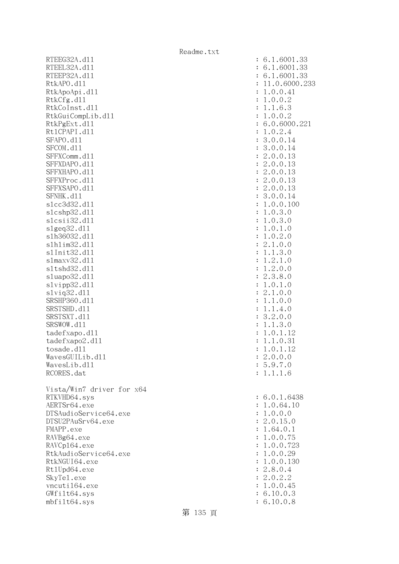RTEEG32A.d11 RTEEL32A.d11 RTEEP32A.d11 RtkAPO.d11 : 11.0.6000.233 RtkApoApi.dl1 RtkCfg.dl1 RtkCoInst.dl1 RtkGuiCompLib.dl1 RtkPgExt.dl1 Rt1CPAPI.d11 SFAPO.d11 SFCOM.d11 SFFXComm.dl1 SFFXDAPO.d11 SFFXHAPO.d11 SFFXProc.dl1 SFFXSAPO.d11 SFNHK.d11 slcc3d32.d11 slcshp32.dl1 slcsii32.dl1 slgeq32.dl1 s1h36032.dl1 slhlim32.dl1 s1Init32.d11 s1maxv32.d11 s1tshd32.d11 sluapo32.dl1 slvipp32.dll slviq32.dl1 SRSHP360.d11 SRSTSHD.d11 SRSTSXT.d11 SRSWOW.d11 tadefxapo.dll tadefxapo2.dl1 tosade.d11 WavesGUILib.dl1 WavesLib.dll RCORES.dat Vista/Win7 driver for x64 RTKVHD64.sys AERTSr64.exe DTSAudioService64.exe DTSU2PAuSrv64.exe FMAPP.exe RAVBg64.exe RAVCp164.exe RtkAudioService64.exe RtkNGUI64.exe Rt1Upd64.exe SkyTel.exe vncuti164.exe  $GWfilt64.sys$ mbfilt64.sys : 6.10.0.8

| $\ddot{\cdot}$<br>$\ddot{\cdot}$<br>$\ddot{\cdot}$<br>$\ddot{\cdot}$<br>$\ddot{\cdot}$<br>$\ddot{\cdot}$<br>$\ddot{\cdot}$<br>$\ddot{\cdot}$<br>$\ddot{\cdot}$<br>$\ddot{\cdot}$<br>$\ddot{\cdot}$<br>$\ddot{\cdot}$<br>$\ddot{\cdot}$<br>$\ddot{\cdot}$<br>$\ddot{\cdot}$<br>$\ddot{\cdot}$<br>$\ddot{\cdot}$<br>$\ddot{\cdot}$<br>$\ddot{\cdot}$<br>$\ddot{\cdot}$<br>$\ddot{\cdot}$<br>$\ddot{\cdot}$<br>$\ddot{\cdot}$<br>$\ddot{\cdot}$<br>$\ddot{\cdot}$<br>$\ddot{\cdot}$<br>$\ddot{\cdot}$<br>$\ddot{\cdot}$<br>$\ddot{\cdot}$<br>$\ddot{\cdot}$<br>$\ddot{\cdot}$<br>$\ddot{\cdot}$<br>$\ddot{\cdot}$<br>$\ddot{\cdot}$<br>$\ddot{\cdot}$<br>$\ddot{\cdot}$<br>$\ddot{\cdot}$<br>$\ddot{\cdot}$<br>$\ddot{\cdot}$<br>$\ddot{\cdot}$ | 1.6001<br>.33<br>6.<br>33<br>6.<br>1.6001<br>$\ddot{\phantom{0}}$<br>.33<br>.6001<br>6.<br>1<br>.0.6000.23<br>11<br>0.<br>0.41<br>$\mathbf 1$<br>0.2<br>$\mathbf 1$<br>$\ddot{\phantom{0}}$<br>$0$ .<br>6.<br>$\mathbf 1$<br>$\ddot{\phantom{0}}$<br>3<br>1<br>0.2<br>$\mathbf 1$<br>$\mathcal{O}$<br>$\ddot{\phantom{0}}$<br>0.6000<br>6<br>$\ddot{\phantom{0}}$<br>$\mathbf 1$<br>$\ddot{\phantom{0}}$<br>$0$ .<br>2.4<br>$\boldsymbol{0}$ .<br>3<br>$0$ .<br>14<br>0.0.<br>3<br>$\ddot{\phantom{0}}$<br>14<br>$\overline{c}$<br>$\boldsymbol{0}$ .<br>$\ddot{\phantom{0}}$<br>$\mathbf 0$ .<br>13<br>$\overline{c}$<br>$0$ .<br>$\ddot{\phantom{0}}$<br>$\mathbf 0$ .<br>13<br>$\mathbf{C}$<br>0.0.<br>13<br>$\ddot{\phantom{0}}$<br>$\mathbf{c}$<br>0.0.<br>$\ddot{\cdot}$<br>13<br>$\overline{c}$<br>$\ddot{\phantom{0}}$<br>0.0.<br>13<br>3.<br>0.0.<br>14<br>$0$ .<br>$0$ .<br>$\mathbf 1$<br>$\ddot{\phantom{0}}$<br>100<br>$\ddot{\phantom{0}}$<br>3.<br>$\,1$<br>$\boldsymbol{0}$ .<br>$\circ$<br>$\ddot{\phantom{0}}$<br>3.<br>$\mathbf 1$<br>$0$ .<br>$\mathcal{O}$<br>$\ddot{\phantom{0}}$<br>$\ddot{\phantom{0}}$<br>$0$ .<br>$\mathbf 1$<br>$\mathbf 1$<br>$\mathcal{O}$<br>$\theta$ .<br>2.<br>$\ddot{\phantom{0}}$<br>$\mathbf 1$<br>$\mathcal{O}$<br>$\ddot{\phantom{0}}$<br>$\ddot{\phantom{0}}$<br>$\overline{0}$<br>$\mathbf{c}$<br>$\mathbf{1}$<br>$\mathcal{O}$<br>$\mathbf{1}$<br>$\ddot{\phantom{0}}$<br>3.<br>$\ddot{\phantom{0}}$<br>$\mathbf 1$<br>$\mathcal{O}$<br>$\ddot{\phantom{0}}$<br>$\ddot{\phantom{0}}$<br>$\ddot{\phantom{0}}$<br>$\overline{c}$<br>$\mathbf 1$<br>$\mathbf 1$<br>$\mathcal{O}$<br>2.<br>$\ddot{\phantom{0}}$<br>$\overline{0}$<br>$\mathbf 1$<br>$\mathcal{O}$<br>$\ddot{\phantom{0}}$<br>3.<br>$\mathbf{C}$<br>8.<br>$\mathcal{O}$<br>$\ddot{\phantom{0}}$<br>$\mathbf 1$<br>0<br>$\mathbf 1$<br>$\mathcal{O}$<br>$\ddot{\phantom{0}}$<br>$\mathbf{C}$<br>$\overline{0}$<br>$\mathbf 1$<br>$\mathcal{O}$<br>$\ddot{\phantom{0}}$<br>$\mathbf 1$<br>$\theta$ .<br>$\mathbf 1$<br>$\mathcal{O}$<br>$\ddot{\phantom{0}}$<br>$\mathbf 1$<br>1<br>$\overline{4}$<br>$\mathcal{O}$<br>$\overline{c}$<br>$\ddot{\phantom{0}}$<br>3<br>0<br>$\mathcal{O}$<br>3.<br>$\mathbf 1$<br>$\mathbf 1$<br>$\overline{O}$<br>$\ddot{\phantom{0}}$<br>$\ddot{\phantom{0}}$<br>$\overline{0}$<br>$\mathbf 1$<br>$\mathbf 1$<br>12<br>$\ddot{\phantom{0}}$<br>1<br>$\ddot{\phantom{0}}$<br>$\overline{0}$<br>31<br>$\mathbf 1$<br>$\ddot{\phantom{0}}$<br>$0$ .<br>$\ddot{\phantom{0}}$<br>12<br>1<br>$\mathbf 1$<br>2.0.0.0<br>5.9.7.0<br>1.1.1.6 |
|----------------------------------------------------------------------------------------------------------------------------------------------------------------------------------------------------------------------------------------------------------------------------------------------------------------------------------------------------------------------------------------------------------------------------------------------------------------------------------------------------------------------------------------------------------------------------------------------------------------------------------------------------------------------------------------------------------------------------------------------|---------------------------------------------------------------------------------------------------------------------------------------------------------------------------------------------------------------------------------------------------------------------------------------------------------------------------------------------------------------------------------------------------------------------------------------------------------------------------------------------------------------------------------------------------------------------------------------------------------------------------------------------------------------------------------------------------------------------------------------------------------------------------------------------------------------------------------------------------------------------------------------------------------------------------------------------------------------------------------------------------------------------------------------------------------------------------------------------------------------------------------------------------------------------------------------------------------------------------------------------------------------------------------------------------------------------------------------------------------------------------------------------------------------------------------------------------------------------------------------------------------------------------------------------------------------------------------------------------------------------------------------------------------------------------------------------------------------------------------------------------------------------------------------------------------------------------------------------------------------------------------------------------------------------------------------------------------------------------------------------------------------------------------------------------------------------------------------------------------------------------------------------------------------------------------------------------------------------------------------------------------------------------------------------------------------------------------------------------------------------------------------------------------------------------------------------------------------------------------------------------------------------------------------------------------------------------------------|
| $\ddot{\cdot}$<br>$\ddot{\cdot}$<br>$\ddot{\cdot}$<br>$\ddot{\cdot}$<br>$\ddot{\cdot}$<br>$\ddot{\cdot}$<br>$\ddot{\cdot}$<br>$\ddot{\cdot}$<br>$\ddot{\cdot}$<br>$\ddot{\cdot}$<br>$\ddot{\cdot}$<br>$\ddot{\cdot}$<br>$\ddot{\cdot}$                                                                                                                                                                                                                                                                                                                                                                                                                                                                                                       | 6.0.1.6438<br>1.0.64.10<br>1.0.0.0<br>2.0.15.0<br>1.64.0.1<br>1.0.0.75<br>1.0.0.723<br>1.0.0.29<br>1.0.0.130<br>2.8.0.4<br>2.0.2.2<br>1.0.0.45<br>6.10.0.3<br>6 10 0 8                                                                                                                                                                                                                                                                                                                                                                                                                                                                                                                                                                                                                                                                                                                                                                                                                                                                                                                                                                                                                                                                                                                                                                                                                                                                                                                                                                                                                                                                                                                                                                                                                                                                                                                                                                                                                                                                                                                                                                                                                                                                                                                                                                                                                                                                                                                                                                                                                |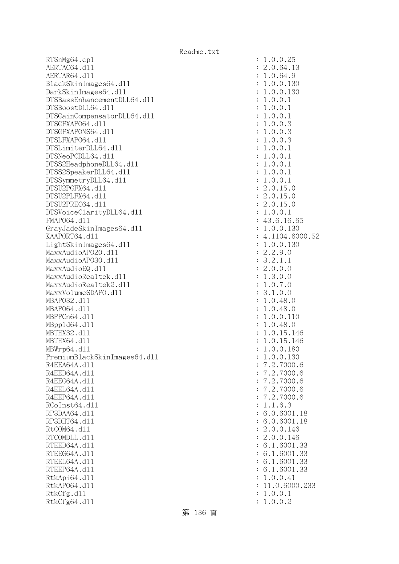RTSnMg64.cp1 AERTAC64.d11 AERTAR64.dl1 BlackSkinImages64.dll DarkSkinImages64.dll DTSBassEnhancementDLL64.dl1 DTSBoostDLL64.dl1 DTSGainCompensatorDLL64.dll DTSGFXAPO64.dl1 DTSGFXAPONS64.dl1 DTSLFXAP064.dl1 DTSLimiterDLL64.dl1 DTSNeoPCDLL64.dl1 DTSS2HeadphoneDLL64.d11 DTSS2SpeakerDLL64.dl1 DTSSymmetryDLL64.dl1 DTSU2PGFX64.d11 DTSU2PLFX64.dl1 DTSU2PREC64.d11 DTSVoiceClarityDLL64.dll FMAP064.dl1 GrayJadeSkinImages64.dll KAAPORT64.d11 : 4.1104.6000.52 LightSkinImages64.dl1 MaxxAudioAPO20.dll MaxxAudioAP030.dll MaxxAudioEQ.dll MaxxAudioRealtek.dll MaxxAudioRealtek2.dll MaxxVolumeSDAPO.dll MBAP032.d11 MBAP064.d11 MBPPCn64.d11 MBpp1d64.dl1 MBTHX32.d11 MBTHX64.d11 MBWrp64.dl1 PremiumBlackSkinImages64.dll R4EEA64A.d11 R4EED64A.d11 R4EEG64A.d11 R4EEL64A.d11 R4EEP64A.d11 RCoInst64.dl1 RP3DAA64.d11 RP3DHT64.d11 RtCOM64.d11 RTCOMDLL.d11 RTEED64A.d11 RTEEG64A.dl1 RTEEL64A.d11 RTEEP64A.dl1 RtkApi64.dll RtkAP064.dl1 RtkCfg.dll RtkCfg64.dl1

| $\ddot{\cdot}$        | 1<br>$\ddot{\phantom{0}}$<br>0.0.25                                                 |
|-----------------------|-------------------------------------------------------------------------------------|
| $\ddot{\cdot}$        | 2.0.64.13                                                                           |
| $\ddot{\cdot}$        | .0.64.<br>9<br>$\mathbf 1$                                                          |
|                       |                                                                                     |
| $\vdots$              | .0.0.130<br>$\mathbf 1$                                                             |
| $\vdots$              | .0.0.<br>130<br>$\mathbf{1}$                                                        |
| $\ddot{\cdot}$        | .0.0.<br>$\mathbf 1$<br>$\mathbf{1}$                                                |
| $\ddot{\cdot}$        | .0.0.<br>$\mathbf 1$<br>$\mathbf{1}$                                                |
| $\ddot{\cdot}$        | .0.0.<br>$\mathbf{1}$<br>$\mathbf{1}$                                               |
| $\ddot{\cdot}$        | .0.0.3<br>$\mathbf{1}$                                                              |
| $\ddot{\cdot}$        | .0.0.3<br>$\mathbf{1}$                                                              |
|                       |                                                                                     |
| $\ddot{\cdot}$        | .0.0.3<br>$\mathbf{1}$                                                              |
| $\ddot{\cdot}$        | .0.0.<br>$\mathbf{1}$<br>$\mathbf{1}$                                               |
| $\ddot{\cdot}$        | .0.0.<br>$\mathbf{1}$<br>$\mathbf{1}$                                               |
| $\ddot{\cdot}$        | .0.0.<br>$\mathbf{1}$<br>$\mathbf{1}$                                               |
| $\ddot{\cdot}$        | .0.0.<br>$\mathbf{1}$<br>$\mathbf{1}$                                               |
| $\ddot{\cdot}$        | .0.0.<br>$\mathbf{1}$<br>$\mathbf{1}$                                               |
| $\ddot{\cdot}$        | .0.15<br>$\overline{c}$<br>$\cdot$ <sup>0</sup>                                     |
|                       |                                                                                     |
| $\ddot{\cdot}$        |                                                                                     |
| $\ddot{\cdot}$        |                                                                                     |
| $\ddot{\cdot}$        | $2.0.15.0$<br>$2.0.15.0$<br>$1.0.0.1$                                               |
| $\ddot{\cdot}$        | 43.6.16.65                                                                          |
| $\ddot{\cdot}$        | $1.0.0.130$<br>$4.1104.6000$ .                                                      |
| $\ddot{\cdot}$        | 52                                                                                  |
| $\ddot{\cdot}$        | .0.0.130                                                                            |
|                       |                                                                                     |
| $\ddot{\cdot}$        |                                                                                     |
| $\ddot{\cdot}$        |                                                                                     |
| $\ddot{\cdot}$        | $\begin{array}{r} . & 1 \\ . & 2.9.0 \\ 3.2.1.1 \\ 2.0.0.0 \\ 1.3.0 \\ \end{array}$ |
| $\ddot{\cdot}$        |                                                                                     |
| $\ddot{\cdot}$        |                                                                                     |
| $\ddot{\cdot}$        | 3.1.0.0                                                                             |
| $\ddot{\cdot}$        | 1.0.48.0                                                                            |
| $\ddot{\cdot}$        | $\mathbf{1}$<br>.0.48.0                                                             |
|                       | $\mathbf{1}$<br>.0.0.1<br>10                                                        |
| $\ddot{\cdot}$        |                                                                                     |
| $\vdots$ : $\vdots$ : | $\mathbf{1}$<br>.0.48<br>$\ddot{\phantom{0}}$<br>$\circ$                            |
|                       | $\mathbf{1}$<br>$.0.15.$<br>$.0.15.$<br>146                                         |
|                       | $\mathbf{1}$<br>146                                                                 |
|                       | $\mathbf{1}$<br>.0.0.180                                                            |
| $\ddot{\cdot}$        | 1.0.0.<br>130                                                                       |
| $\ddot{\cdot}$        | 7.2.7000.6                                                                          |
| $\ddot{\cdot}$        | 7.2.7000.6                                                                          |
| $\vdots$              | 7.2.7000.6                                                                          |
|                       |                                                                                     |
| $\colon$              | 7.2.7000.6                                                                          |
| $\colon$              | 7.2.7000.6                                                                          |
| $\vdots$              | 1.1.6.3                                                                             |
| $\vdots$              | 6.0.6001.18                                                                         |
| $\vdots$              | 6.0.6001.18                                                                         |
| $\vdots$              | 2.0.0.146                                                                           |
| $\vdots$              | 2.0.0.146                                                                           |
| $\vdots$              | 6.1.6001.33                                                                         |
|                       |                                                                                     |
| $\vdots$              | 6.1.6001.33                                                                         |
| $\vdots$              | 6.1.6001.33                                                                         |
| $\vdots$              | 6.1.6001.33                                                                         |
| $\vdots$              | 1.0.0.41                                                                            |
| $\ddot{\cdot}$        | 11.0.6000.233                                                                       |
| $\vdots$              | 1.0.0.1                                                                             |
| $\ddot{\cdot}$        | 1.0.0.2                                                                             |
|                       |                                                                                     |

第 136 頁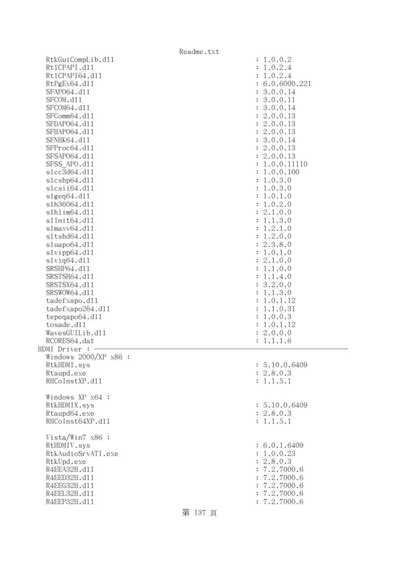| Readme.txt              |               |  |  |  |
|-------------------------|---------------|--|--|--|
| RtkGuiCompLib.d11       | : 1.0.0.2     |  |  |  |
| Rt1CPAPI.d11            | 1.0.2.4       |  |  |  |
| Rt1CPAPI64.d11          | 1.0.2.4       |  |  |  |
| RtPgEx64.d11            | 6.0.6000.221  |  |  |  |
| SFAP064.d11             | 3.0.0.14      |  |  |  |
| SFCOM.d11               | 3.0.0.11      |  |  |  |
| SFCOM64.d11             | 3.0.0.14      |  |  |  |
| SFComm64.d11            |               |  |  |  |
|                         | 2.0.0.13      |  |  |  |
| SFDAP064.d11            | 2.0.0.13      |  |  |  |
| SFHAP064.d11            | : 2.0.0.13    |  |  |  |
| SFNHK64.d11             | 3.0.0.14      |  |  |  |
| SFProc64.d11            | : 2.0.0.13    |  |  |  |
| SFSAP064.d11            | : 2.0.0.13    |  |  |  |
| SFSS APO.d11            | 1.0.0.11110   |  |  |  |
| s1cc3d64.d11            | 1.0.0.100     |  |  |  |
| s1cshp64.d11            | 1.0.3.0       |  |  |  |
| slcsii64.dll            | : 1.0.3.0     |  |  |  |
| slgeq64. d11            | 1.0.1.0       |  |  |  |
| s1h36064.d11            | 1.0.2.0       |  |  |  |
| s1h1im64.d11            | : 2.1.0.0     |  |  |  |
| s1Init64.d11            | : 1.1.3.0     |  |  |  |
| slmaxv64.dll            | : 1.2.1.0     |  |  |  |
| sltshd64.dll            | : 1.2.0.0     |  |  |  |
|                         |               |  |  |  |
| sluapo64.dll            | : 2.3.8.0     |  |  |  |
| slvipp64.dll            | 1.0.1.0       |  |  |  |
| $s1$ viq $64. d11$      | : 2.1.0.0     |  |  |  |
| SRSHP64.d11             | 1.1.0.0       |  |  |  |
| SRSTSH64.d11            | : 1.1.4.0     |  |  |  |
| SRSTSX64.d11            | : 3.2.0.0     |  |  |  |
| SRSWOW64.d11            | 1.1.3.0       |  |  |  |
| tadefxapo.dl1           | 1.0.1.12      |  |  |  |
| tadefxapo264.dl1        | 1.1.0.31      |  |  |  |
| tepeqapo64.dl1          | 1.0.0.3       |  |  |  |
| tosade.d11              | 1.0.1.12      |  |  |  |
| WavesGUILib.d11         | 2.0.0.0       |  |  |  |
| RCORES64.dat            | : 1.1.1.6     |  |  |  |
| HDMI Driver : .         |               |  |  |  |
| Windows $2000/XP$ x86 : |               |  |  |  |
| RtkHDMI.sys             | : 5.10.0.6409 |  |  |  |
| Rtaupd.exe              | : 2.8.0.3     |  |  |  |
| RHCoInstXP.d11          | : 1.1.5.1     |  |  |  |
|                         |               |  |  |  |
| Windows XP x64 :        |               |  |  |  |
| RtkHDMIX.sys            | : 5.10.0.6409 |  |  |  |
| Rtaupd64.exe            | : 2.8.0.3     |  |  |  |
| RHCoInst64XP.d11        | : 1.1.5.1     |  |  |  |
|                         |               |  |  |  |
| Vista/Win7 x86 :        |               |  |  |  |
| RtHDMIV.sys             | : 6.0.1.6409  |  |  |  |
| RtkAudioSrvATI.exe      | : 1.0.0.23    |  |  |  |
|                         |               |  |  |  |
| RtkUpd.exe              | : 2.8.0.3     |  |  |  |
| R4EEA32H.d11            | : 7.2.7000.6  |  |  |  |
| R4EED32H.d11            | : 7.2.7000.6  |  |  |  |
| R4EEG32H.d11            | : 7.2.7000.6  |  |  |  |
| R4EEL32H.d11            | : 7.2.7000.6  |  |  |  |
| R4EEP32H.d11            | : 7.2.7000.6  |  |  |  |
|                         |               |  |  |  |

第 137 頁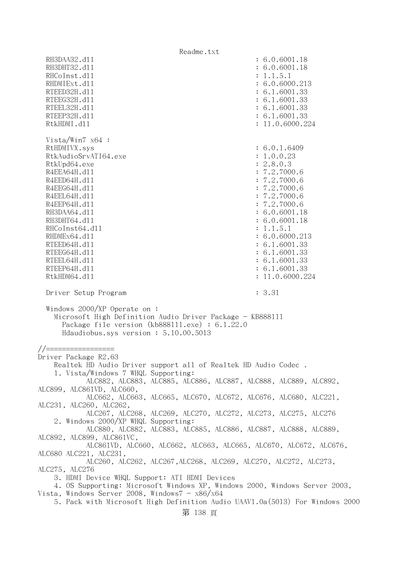Readme.txt RH3DAA32.d11 : 6.0.6001.18 RH3DHT32.d11 : 6.0.6001.18 RHCoInst.d11 : 1.1.5.1 RHDMIExt.d11 : 6.0.6000.213 RTEED32H.d11 : 6.1.6001.33 RTEEG32H.d11 : 6.1.6001.33 RTEEL32H.d11 : 6.1.6001.33 RTEEP32H.d11 : 6.1.6001.33 RtkHDMI.d11 : 11.0.6000.224 Vista/Win7 x64 : RtHDMIVX.sys : 6.0.1.6409 RtkAudioSrvATI64.exe : 1.0.0.23 RtkUpd64.exe : 2.8.0.3 R4EEA64H.d11 : 7.2.7000.6 R4EED64H.d11 : 7.2.7000.6 R4EEG64H.d11 : 7.2.7000.6 R4EEL64H.d11 : 7.2.7000.6 R4EEP64H.d11 : 7.2.7000.6 RH3DAA64.d11 : 6.0.6001.18 RH3DHT64.d11 : 6.0.6001.18 RHCoInst64.dl1 : 1.1.5.1 RHDMEx64.d11 : 6.0.6000.213 RTEED64H.d11 : 6.1.6001.33 RTEEG64H.d11 : 6.1.6001.33 RTEEL64H.d11 : 6.1.6001.33 RTEEP64H.dll : 6.1.6001.33 RtkHDM64.d11 : 11.0.6000.224 Driver Setup Program : 3.31 Windows 2000/XP Operate on : Microsoft High Definition Audio Driver Package - KB888111 Package file version (kb888111.exe) : 6.1.22.0 Hdaudiobus.sys version : 5.10.00.5013 //================= Driver Package R2.63 Realtek HD Audio Driver support all of Realtek HD Audio Codec . 1. Vista/Windows 7 WHQL Supporting: ALC882, ALC883, ALC885, ALC886, ALC887, ALC888, ALC889, ALC892, ALC899, ALC861VD, ALC660, ALC662, ALC663, ALC665, ALC670, ALC672, ALC676, ALC680, ALC221, ALC231, ALC260, ALC262, ALC267, ALC268, ALC269, ALC270, ALC272, ALC273, ALC275, ALC276 2. Windows 2000/XP WHQL Supporting: ALC880, ALC882, ALC883, ALC885, ALC886, ALC887, ALC888, ALC889, ALC892, ALC899, ALC861VC, ALC861VD, ALC660, ALC662, ALC663, ALC665, ALC670, ALC672, ALC676, ALC680 ALC221, ALC231, ALC260, ALC262, ALC267,ALC268, ALC269, ALC270, ALC272, ALC273, ALC275, ALC276 3. HDMI Device WHQL Support: ATI HDMI Devices 4. OS Supporting: Microsoft Windows XP, Windows 2000, Windows Server 2003, Vista, Windows Server 2008, Windows $7 - x86/x64$  5. Pack with Microsoft High Definition Audio UAAV1.0a(5013) For Windows 2000 第 138 頁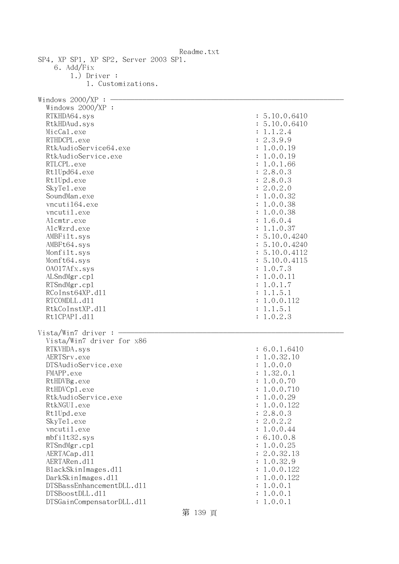| Readme.txt                            |               |
|---------------------------------------|---------------|
| SP4, XP SP1, XP SP2, Server 2003 SP1. |               |
| 6. Add/Fix                            |               |
| $1.)$ Driver :                        |               |
| 1. Customizations.                    |               |
|                                       |               |
| Windows $2000/XP:$                    |               |
| Windows 2000/XP :                     |               |
| RTKHDA64.sys                          | : 5.10.0.6410 |
| RtkHDAud.sys                          | : 5.10.0.6410 |
| MicCal.exe                            | : 1.1.2.4     |
| RTHDCPL.exe                           | : 2.3.9.9     |
| RtkAudioService64.exe                 | : 1.0.0.19    |
| RtkAudioService.exe                   | : 1.0.0.19    |
| RTLCPL.exe                            | : 1.0.1.66    |
| Rt1Upd64.exe                          | : 2.8.0.3     |
|                                       |               |
| Rt1Upd.exe                            | : 2.8.0.3     |
| SkyTe1.exe                            | : 2.0.2.0     |
| SoundMan.exe                          | : 1.0.0.32    |
| vncuti164.exe                         | : 1.0.0.38    |
| vncutil.exe                           | : 1.0.0.38    |
| Alcmtr.exe                            | : 1.6.0.4     |
| AlcWzrd.exe                           | : 1.1.0.37    |
| AMBFilt.sys                           | : 5.10.0.4240 |
| AMBFt64.sys                           | : 5.10.0.4240 |
| Monfilt.sys                           | : 5.10.0.4112 |
| Monft64.sys                           | : 5.10.0.4115 |
| 0A017Afx.sys                          | : 1.0.7.3     |
| ALSndMgr.cp1                          | : 1.0.0.11    |
| RTSndMgr.cp1                          | : 1.0.1.7     |
| RCoInst64XP.d11                       | : 1.1.5.1     |
| RTCOMDLL.d11                          | : 1.0.0.112   |
| RtkCoInstXP.d11                       | : 1.1.5.1     |
| Rt1CPAPI.d11                          | : 1.0.2.3     |
|                                       |               |
| Vista/Win7 driver:                    |               |
| Vista/Win7 driver for x86             |               |
| RTKVHDA.sys                           | : 6.0.1.6410  |
| AERTSrv.exe                           | 1.0.32.10     |
| DTSAudioService.exe                   | : 1.0.0.0     |
| FMAPP.exe                             | : 1.32.0.1    |
| RtHDVBg.exe                           | : 1.0.0.70    |
| RtHDVCp1.exe                          | : 1.0.0.710   |
| RtkAudioService.exe                   | : 1.0.0.29    |
| RtkNGUI.exe                           |               |
|                                       | : 1.0.0.122   |
| Rt1Upd.exe                            | : 2.8.0.3     |
| SkyTe1.exe                            | : 2.0.2.2     |
| vncutil.exe                           | : 1.0.0.44    |
| mbfilt32.sys                          | : 6.10.0.8    |
| RTSndMgr.cp1                          | : 1.0.0.25    |
| AERTACap.d11                          | : 2.0.32.13   |
| AERTARen.d11                          | : 1.0.32.9    |
| BlackSkinImages.d11                   | : 1.0.0.122   |
| DarkSkinImages.d11                    | : 1.0.0.122   |
| DTSBassEnhancementDLL.d11             | : 1.0.0.1     |
| DTSBoostDLL.d11                       | : 1.0.0.1     |
| DTSGainCompensatorDLL.d11             | : 1.0.0.1     |

第 139 頁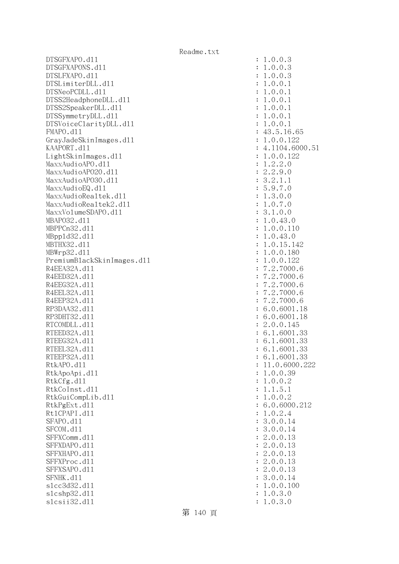DTSGFXAPO.dll : 1.0.0.3 DTSGFXAPONS.dll : 1.0.0.3 DTSLFXAPO.dll : 1.0.0.3 DTSLimiterDLL.dl1 : 1.0.0.1 DTSNeoPCDLL.dll : 1.0.0.1 DTSS2HeadphoneDLL.dl1 : 1.0.0.1 DTSS2SpeakerDLL.d11 : 1.0.0.1 DTSSymmetryDLL.dll : 1.0.0.1 DTSVoiceClarityDLL.dl1 : 1.0.0.1 FMAPO.d11 : 43.5.16.65 GrayJadeSkinImages.dl1 : 1.0.0.122 KAAPORT.d11 : 4.1104.6000.51 LightSkinImages.dll : 1.0.0.122 MaxxAudioAPO.dll MaxxAudioAP020.dl1 : 2.2.9.0 MaxxAudioAPO30.dll : 3.2.1.1  $\text{MaxAudioEQ}.d11$  : 5.9.7.0 MaxxAudioRealtek.dll  $\qquad \qquad \qquad$  : 1.3.0.0 MaxxAudioRealtek2.dll  $\qquad \qquad$  : 1.0.7.0 MaxxVolumeSDAPO.dll : 3.1.0.0 MBAPO32.dll : 1.0.43.0 MBPPCn32.d11 : 1.0.0.110 MBppld32.dll : 1.0.43.0 MBTHX32.d11 : 1.0.15.142 MBWrp32.d11 : 1.0.0.180 PremiumBlackSkinImages.dll : 1.0.0.122 R4EEA32A.d11 : 7.2.7000.6 R4EED32A.d11 : 7.2.7000.6 R4EEG32A.d11 : 7.2.7000.6 R4EEL32A.d11 : 7.2.7000.6 R4EEP32A.d11 : 7.2.7000.6 RP3DAA32.d11 : 6.0.6001.18 RP3DHT32.d11 : 6.0.6001.18 RTCOMDLL.d11 : 2.0.0.145 RTEED32A.d11 : 6.1.6001.33 RTEEG32A.d11 : 6.1.6001.33 RTEEL32A.d11 : 6.1.6001.33 RTEEP32A.d11 : 6.1.6001.33 RtkAPO.dll : 11.0.6000.222 RtkApoApi.dl1 : 1.0.0.39 RtkCfg.dl1 : 1.0.0.2 RtkCoInst.d11 : 1.1.5.1 RtkGuiCompLib.dl1 : 1.0.0.2 RtkPgExt.d11 : 6.0.6000.212 Rt1CPAPI.d11 : 1.0.2.4 SFAPO.d11 : 3.0.0.14 SFCOM.d11 : 3.0.0.14 SFFXComm.d11 : 2.0.0.13 SFFXDAPO.d11 : 2.0.0.13 SFFXHAPO.d11 : 2.0.0.13 SFFXProc.d11 : 2.0.0.13 SFFXSAPO.d11 : 2.0.0.13 SFNHK.dl1 : 3.0.0.14 slcc3d32.dll : 1.0.0.100 slcshp32.dll : 1.0.3.0 slcsii32.dll : 1.0.3.0

第 140 頁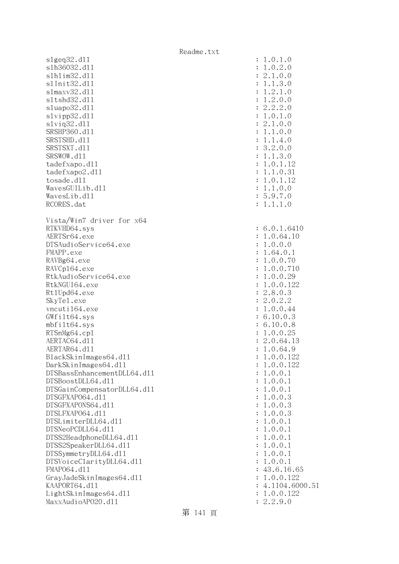Readme.txt slgeq32.dll : 1.0.1.0 slh36032.dll : 1.0.2.0 slhlim32.dll : 2.1.0.0 slInit32.dll : 1.1.3.0 slmaxv32.dll : 1.2.1.0 sltshd32.dll : 1.2.0.0 sluapo32.dl1 : 2.2.2.0 slvipp32.dll : 1.0.1.0 slviq32.dl1 : 2.1.0.0 SRSHP360.d11 : 1.1.0.0 SRSTSHD.d11 : 1.1.4.0 SRSTSXT.d11 : 3.2.0.0 SRSWOW.d11 : 1.1.3.0 tadefxapo.dl1 : 1.0.1.12 tadefxapo2.d11 : 1.1.0.31 : 1.1.0.31 tosade.dll : 1.0.1.12  $Waves GUI Lib. d11$  :  $1.1.0.0$  WavesLib.dll : 5.9.7.0 RCORES.dat : 1.1.1.0 Vista/Win7 driver for x64 RTKVHD64.sys : 6.0.1.6410 AERTSr64.exe : 1.0.64.10 DTSAudioService64.exe : 1.0.0.0 FMAPP.exe : 1.64.0.1 RAVBg64.exe : 1.0.0.70 RAVCp164.exe : 1.0.0.710 RtkAudioService64.exe : 1.0.0.29 RtkNGUI64.exe : 1.0.0.122 Rt1Upd64.exe : 2.8.0.3 SkyTe1.exe : 2.0.2.2 vncuti164.exe : 1.0.0.44 GWfilt64.sys : 6.10.0.3 mbfilt64.sys : 6.10.0.8 RTSnMg64.cpl : 1.0.0.25 AERTAC64.d11 : 2.0.64.13 AERTAR64.d11 : 1.0.64.9 BlackSkinImages64.dll : 1.0.0.122 DarkSkinImages64.dll : 1.0.0.122 DTSBassEnhancementDLL64.dll : 1.0.0.1 DTSBoostDLL64.dll : 1.0.0.1 DTSGainCompensatorDLL64.dll : 1.0.0.1 DTSGFXAPO64.dll : 1.0.0.3 DTSGFXAPONS64.dll : 1.0.0.3 DTSLFXAPO64.dll : 1.0.0.3 DTSLimiterDLL64.dll : 1.0.0.1 DTSNeoPCDLL64.dll : 1.0.0.1 DTSS2HeadphoneDLL64.dll : 1.0.0.1 DTSS2SpeakerDLL64.dll : 1.0.0.1 DTSSymmetryDLL64.dl1 : 1.0.0.1 DTSVoiceClarityDLL64.dll : 1.0.0.1 FMAP064.d11 : 43.6.16.65 GrayJadeSkinImages64.dl1 : 1.0.0.122 KAAPORT64.dll : 4.1104.6000.51 LightSkinImages64.dll : 1.0.0.122 MaxxAudioAP020.dl1 : 2.2.9.0

第 141 頁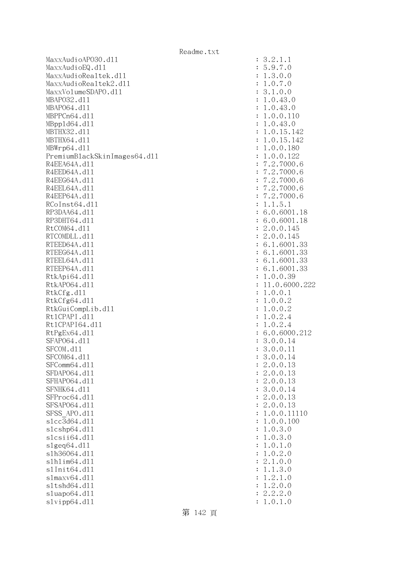MaxxAudioAPO30.dll : 3.2.1.1 MaxxAudioEQ.dll : 5.9.7.0 MaxxAudioRealtek.dll  $\qquad \qquad$  : 1.3.0.0 MaxxAudioRealtek2.dll  $\qquad \qquad$  : 1.0.7.0 MaxxVolumeSDAPO.dll : 3.1.0.0 MBAPO32.dll : 1.0.43.0 MBAP064.d11 : 1.0.43.0 MBPPCn64.dll : 1.0.0.110 MBppld64.dll : 1.0.43.0 MBTHX32.d11 : 1.0.15.142 MBTHX64.d11 : 1.0.15.142 MBWrp64.dll : 1.0.0.180 PremiumBlackSkinImages64.dll : 1.0.0.122 R4EEA64A.d11 : 7.2.7000.6 R4EED64A.d11 : 7.2.7000.6 R4EEG64A.d11 : 7.2.7000.6 R4EEL64A.d11 : 7.2.7000.6 R4EEP64A.d11 : 7.2.7000.6 RCoInst64.dl1 : 1.1.5.1 RP3DAA64.d11 : 6.0.6001.18 RP3DHT64.d11 : 6.0.6001.18 RtCOM64.d11 : 2.0.0.145 RTCOMDLL.d11 : 2.0.0.145 RTEED64A.d11 : 6.1.6001.33 RTEEG64A.d11 : 6.1.6001.33 RTEEL64A.d11 : 6.1.6001.33 RTEEP64A.d11 : 6.1.6001.33 RtkApi64.dl1 : 1.0.0.39 RtkAPO64.dll : 11.0.6000.222 RtkCfg.dl1 : 1.0.0.1 RtkCfg64.dll : 1.0.0.2 RtkGuiCompLib.dl1 : 1.0.0.2 Rt1CPAPI.d11 : 1.0.2.4 Rt1CPAPI64.d11 : 1.0.2.4 RtPgEx64.dl1 : 6.0.6000.212 SFAP064.d11 : 3.0.0.14 SFCOM.d11 : 3.0.0.11 SFCOM64.d11 : 3.0.0.14 SFComm64.d11 : 2.0.0.13 SFDAP064.d11 : 2.0.0.13 SFHAPO64.d11 : 2.0.0.13 SFNHK64.d11 : 3.0.0.14 SFProc64.d11 : 2.0.0.13 SFSAP064.d11 : 2.0.0.13 SFSS APO.d11 : 1.0.0.11110 slcc3d64.dll : 1.0.0.100 slcshp64.dll : 1.0.3.0 slcsii64.dll : 1.0.3.0  $s1geq64. d11$  :  $1.0.1.0$ slh36064.dll : 1.0.2.0 slhlim64.dll : 2.1.0.0 slInit64.dll : 1.1.3.0 slmaxv64.dll : 1.2.1.0 sltshd64.dll : 1.2.0.0 sluapo64.dll : 2.2.2.0 slvipp64.dll : 1.0.1.0

第 142 頁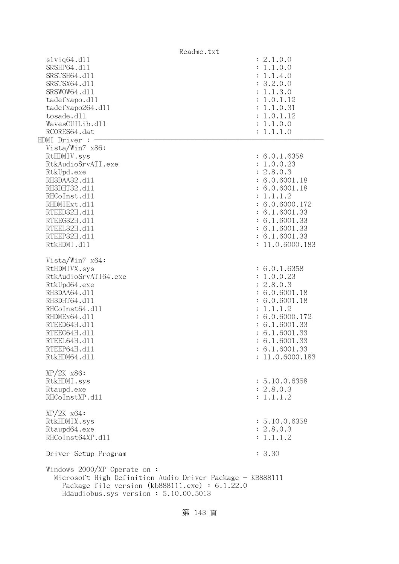| Readme.txt                                                                                                                                                                                    |                 |
|-----------------------------------------------------------------------------------------------------------------------------------------------------------------------------------------------|-----------------|
| $s1$ viq $64.$ d $11$                                                                                                                                                                         | : 2.1.0.0       |
| SRSHP64.d11                                                                                                                                                                                   | : 1.1.0.0       |
| SRSTSH64.d11                                                                                                                                                                                  | : 1.1.4.0       |
| SRSTSX64.d11                                                                                                                                                                                  | : 3.2.0.0       |
| SRSWOW64.d11                                                                                                                                                                                  | : 1.1.3.0       |
| tadefxapo.dl1                                                                                                                                                                                 | : 1.0.1.12      |
| tadefxapo264.dll                                                                                                                                                                              | : 1.1.0.31      |
| tosade.d11                                                                                                                                                                                    | : 1.0.1.12      |
| WavesGUILib.d11                                                                                                                                                                               | : 1.1.0.0       |
| RCORES64.dat                                                                                                                                                                                  | : 1.1.1.0       |
| HDMI Driver :                                                                                                                                                                                 |                 |
| Vista/Win7 x86:                                                                                                                                                                               |                 |
| RtHDMIV.sys                                                                                                                                                                                   | : 6.0.1.6358    |
|                                                                                                                                                                                               |                 |
| RtkAudioSrvATI.exe                                                                                                                                                                            | : 1.0.0.23      |
| RtkUpd.exe                                                                                                                                                                                    | : 2.8.0.3       |
| RH3DAA32.d11                                                                                                                                                                                  | : 6.0.6001.18   |
| RH3DHT32.d11                                                                                                                                                                                  | : 6.0.6001.18   |
| RHCoInst.d11                                                                                                                                                                                  | : 1.1.1.2       |
| RHDMIExt.d11                                                                                                                                                                                  | : 6.0.6000.172  |
| RTEED32H.d11                                                                                                                                                                                  | : 6.1.6001.33   |
| RTEEG32H.d11                                                                                                                                                                                  | : 6.1.6001.33   |
| RTEEL32H.d11                                                                                                                                                                                  | : 6.1.6001.33   |
| RTEEP32H.d11                                                                                                                                                                                  | : 6.1.6001.33   |
| RtkHDMI.d11                                                                                                                                                                                   | : 11.0.6000.183 |
| Vista/Win7 $x64$ :                                                                                                                                                                            |                 |
| RtHDMIVX.sys                                                                                                                                                                                  | : 6.0.1.6358    |
| RtkAudioSrvATI64.exe                                                                                                                                                                          | : 1.0.0.23      |
| RtkUpd64.exe                                                                                                                                                                                  | : 2.8.0.3       |
| RH3DAA64.d11                                                                                                                                                                                  | : 6.0.6001.18   |
| RH3DHT64.d11                                                                                                                                                                                  | : 6.0.6001.18   |
| RHCoInst64.d11                                                                                                                                                                                | : 1.1.1.2       |
|                                                                                                                                                                                               |                 |
| RHDMEx64.d11                                                                                                                                                                                  | : 6.0.6000.172  |
| RTEED64H.d11                                                                                                                                                                                  | : 6.1.6001.33   |
| RTEEG64H.d11                                                                                                                                                                                  | : 6.1.6001.33   |
| RTEEL64H.d11                                                                                                                                                                                  | : 6.1.6001.33   |
| RTEEP64H.d11                                                                                                                                                                                  | : 6.1.6001.33   |
| RtkHDM64.d11                                                                                                                                                                                  | : 11.0.6000.183 |
| $XP/2K$ $x86$ :                                                                                                                                                                               |                 |
| RtkHDMI.sys                                                                                                                                                                                   | : 5.10.0.6358   |
| Rtaupd.exe                                                                                                                                                                                    | : 2.8.0.3       |
| RHCoInstXP.d11                                                                                                                                                                                | : 1.1.1.2       |
| $XP/ZK$ $x64$ :                                                                                                                                                                               |                 |
| RtkHDMIX.sys                                                                                                                                                                                  | : 5.10.0.6358   |
| Rtaupd64.exe                                                                                                                                                                                  | : 2.8.0.3       |
| RHCoInst64XP.d11                                                                                                                                                                              | : 1.1.1.2       |
|                                                                                                                                                                                               |                 |
| Driver Setup Program                                                                                                                                                                          | : 3.30          |
| Windows $2000/XP$ Operate on:<br>Microsoft High Definition Audio Driver Package - KB888111<br>Package file version $(kb888111.\text{exe}) : 6.1.22.0$<br>Hdaudiobus.sys version: 5.10.00.5013 |                 |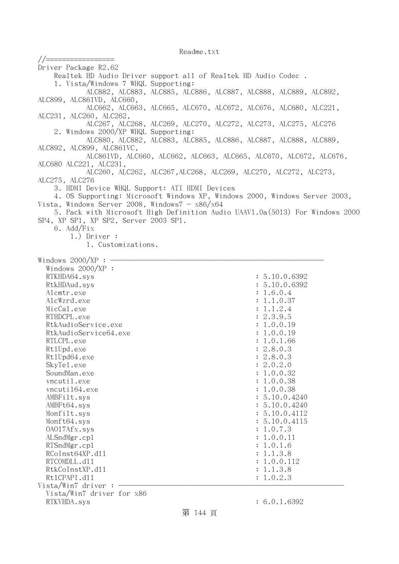//================= Driver Package R2.62 Realtek HD Audio Driver support all of Realtek HD Audio Codec . 1. Vista/Windows 7 WHQL Supporting: ALC882, ALC883, ALC885, ALC886, ALC887, ALC888, ALC889, ALC892, ALC899, ALC861VD, ALC660, ALC662, ALC663, ALC665, ALC670, ALC672, ALC676, ALC680, ALC221, ALC231, ALC260, ALC262, ALC267, ALC268, ALC269, ALC270, ALC272, ALC273, ALC275, ALC276 2. Windows 2000/XP WHQL Supporting: ALC880, ALC882, ALC883, ALC885, ALC886, ALC887, ALC888, ALC889, ALC892, ALC899, ALC861VC, ALC861VD, ALC660, ALC662, ALC663, ALC665, ALC670, ALC672, ALC676, ALC680 ALC221, ALC231, ALC260, ALC262, ALC267,ALC268, ALC269, ALC270, ALC272, ALC273, ALC275, ALC276 3. HDMI Device WHQL Support: ATI HDMI Devices 4. OS Supporting: Microsoft Windows XP, Windows 2000, Windows Server 2003, Vista, Windows Server 2008, Windows $7 - x86/x64$  5. Pack with Microsoft High Definition Audio UAAV1.0a(5013) For Windows 2000 SP4, XP SP1, XP SP2, Server 2003 SP1. 6. Add/Fix 1.) Driver : 1. Customizations. Windows  $2000/XP:$  -Windows  $2000/XP$  : RTKHDA64.sys : 5.10.0.6392 RtkHDAud.sys : 5.10.0.6392 Alcmtr.exe : 1.6.0.4 AlcWzrd.exe : 1.1.0.37 MicCal.exe : 1.1.2.4 RTHDCPL.exe : 2.3.9.5 RtkAudioService.exe : 1.0.0.19 RtkAudioService64.exe : 1.0.0.19 RTLCPL.exe : 1.0.1.66 RtlUpd.exe : 2.8.0.3 Rt1Upd64.exe : 2.8.0.3 SkyTel.exe : 2.0.2.0 SoundMan.exe : 1.0.0.32 vncutil.exe : 1.0.0.38 vncuti164.exe : 1.0.0.38 AMBFilt.sys : 5.10.0.4240 AMBFt64.sys : 5.10.0.4240 Monfilt.sys : 5.10.0.4112 Monft64.sys : 5.10.0.4115 OAO17Afx.sys : 1.0.7.3 ALSndMgr.cp1 : 1.0.0.11 RTSndMgr.cpl  $\qquad \qquad$  : 1.0.1.6 RCoInst64XP.d11 : 1.1.3.8 RTCOMDLL.d11 : 1.0.0.112 RtkCoInstXP.d11 : 1.1.3.8 Rt1CPAPI.d11 : 1.0.2.3  $Vista/Win7$  driver :  $-$  Vista/Win7 driver for x86 RTKVHDA.sys : 6.0.1.6392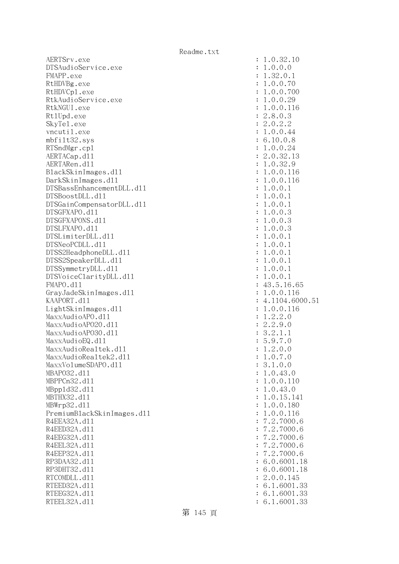AERTSrv.exe : 1.0.32.10 DTSAudioService.exe : 1.0.0.0 FMAPP.exe : 1.32.0.1 RtHDVBg.exe : 1.0.0.70 RtHDVCp1.exe : 1.0.0.700 RtkAudioService.exe : 1.0.0.29 RtkNGUI.exe : 1.0.0.116 RtlUpd.exe : 2.8.0.3 SkyTel.exe : 2.0.2.2 vncutil.exe  $\qquad \qquad \qquad : 1.0.0.44$  mbfilt32.sys : 6.10.0.8 RTSndMgr.cp1 : 1.0.0.24 AERTACap.d11 : 2.0.32.13 AERTARen.d11 : 1.0.32.9 BlackSkinImages.dll : 1.0.0.116 DarkSkinImages.dll : 1.0.0.116 DTSBassEnhancementDLL.dl1 : 1.0.0.1 DTSBoostDLL.dll : 1.0.0.1 DTSGainCompensatorDLL.dll : 1.0.0.1 DTSGFXAPO.dll : 1.0.0.3 DTSGFXAPONS.dll : 1.0.0.3 DTSLFXAPO.dll : 1.0.0.3 DTSLimiterDLL.dl1 : 1.0.0.1 DTSNeoPCDLL.dll : 1.0.0.1 DTSS2HeadphoneDLL.dl1 : 1.0.0.1 DTSS2SpeakerDLL.dl1 : 1.0.0.1 DTSSymmetryDLL.dll  $\qquad \qquad$  : 1.0.0.1 DTSVoiceClarityDLL.dl1 : 1.0.0.1 FMAPO.d11 : 43.5.16.65 GrayJadeSkinImages.dl1 : 1.0.0.116 KAAPORT.d11 : 4.1104.6000.51 LightSkinImages.dll : 1.0.0.116 MaxxAudioAPO.dll : 1.2.2.0 MaxxAudioAP020.dl1 : 2.2.9.0 MaxxAudioAPO30.dl1 : 3.2.1.1 MaxxAudioEQ.dl1 : 5.9.7.0 MaxxAudioRealtek.dll  $\qquad \qquad : 1.2.0.0$  $MaxAudioRealtek2. d11$  :  $1.0.7.0$  MaxxVolumeSDAPO.dll : 3.1.0.0 MBAPO32.dll : 1.0.43.0 MBPPCn32.d11 : 1.0.0.110 MBppld32.dll : 1.0.43.0 MBTHX32.d11 : 1.0.15.141 MBWrp32.dll : 1.0.0.180 PremiumBlackSkinImages.dll : 1.0.0.116 R4EEA32A.d11 : 7.2.7000.6 R4EED32A.d11 : 7.2.7000.6 R4EEG32A.d11 : 7.2.7000.6 R4EEL32A.d11 : 7.2.7000.6 R4EEP32A.d11 : 7.2.7000.6 RP3DAA32.d11 : 6.0.6001.18 RP3DHT32.d11 : 6.0.6001.18 RTCOMDLL.d11 : 2.0.0.145 RTEED32A.d11 : 6.1.6001.33 RTEEG32A.d11 : 6.1.6001.33 RTEEL32A.d11 : 6.1.6001.33

第 145 頁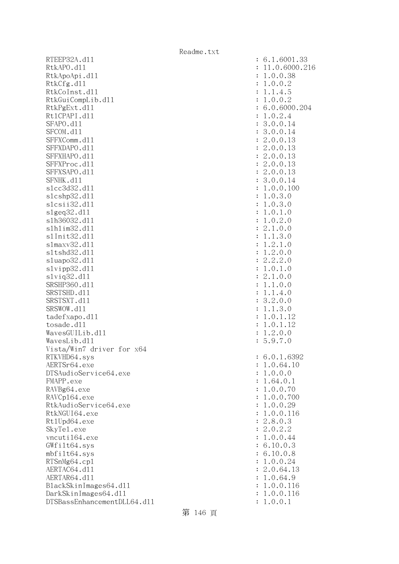RTEEP32A.d11 : 6.1.6001.33 RtkAPO.d11 : 11.0.6000.216 RtkApoApi.dl1 : 1.0.0.38 RtkCfg.dl1 : 1.0.0.2 RtkCoInst.d11 : 1.1.4.5 RtkGuiCompLib.dl1 : 1.0.0.2 RtkPgExt.d11 : 6.0.6000.204 Rt1CPAPI.d11 : 1.0.2.4 SFAPO.d11 : 3.0.0.14 SFCOM.d11 : 3.0.0.14 SFFXComm.d11 : 2.0.0.13 SFFXDAPO.d11 : 2.0.0.13 SFFXHAPO.d11 : 2.0.0.13 SFFXProc.d11 : 2.0.0.13 SFFXSAPO.d11 : 2.0.0.13 SFNHK.d11 : 3.0.0.14 slcc3d32.dll : 1.0.0.100 slcshp32.dl1 : 1.0.3.0 slcsii32.dll : 1.0.3.0 slgeq32.dll : 1.0.1.0 slh36032.dll : 1.0.2.0 slhlim32.dll : 2.1.0.0 slInit32.dll : 1.1.3.0 slmaxv32.dll : 1.2.1.0 sltshd32.dl1 : 1.2.0.0 sluapo32.dll : 2.2.2.0 slvipp32.dll : 1.0.1.0 slviq32.dll : 2.1.0.0 SRSHP360.d11 : 1.1.0.0 SRSTSHD.d11 : 1.1.4.0 SRSTSXT.d11 : 3.2.0.0 SRSWOW.dll : 1.1.3.0 tadefxapo.dl1 : 1.0.1.12 tosade.dll : 1.0.1.12  $Waves GULlib. d11$  :  $1.2.0.0$ WavesLib.dl1 : 5.9.7.0 Vista/Win7 driver for x64 RTKVHD64.sys : 6.0.1.6392 AERTSr64.exe : 1.0.64.10 DTSAudioService64.exe : 1.0.0.0 FMAPP.exe : 1.64.0.1 RAVBg64.exe : 1.0.0.70 RAVCp164.exe : 1.0.0.700 RtkAudioService64.exe : 1.0.0.29 RtkNGUI64.exe : 1.0.0.116 Rt1Upd64.exe : 2.8.0.3 SkyTel.exe : 2.0.2.2 vncuti164.exe : 1.0.0.44 GWfilt64.sys : 6.10.0.3 mbfilt64.sys : 6.10.0.8 RTSnMg64.cp1 : 1.0.0.24 AERTAC64.d11 : 2.0.64.13 AERTAR64.d11 : 1.0.64.9 BlackSkinImages64.dll : 1.0.0.116 DarkSkinImages64.dll : 1.0.0.116 DTSBassEnhancementDLL64.dll : 1.0.0.1

第 146 頁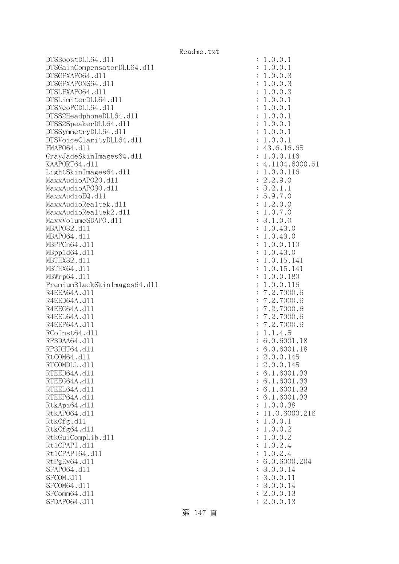DTSBoostDLL64.dll : 1.0.0.1 DTSGainCompensatorDLL64.dll : 1.0.0.1 DTSGFXAPO64.dll : 1.0.0.3 DTSGFXAPONS64.dll : 1.0.0.3 DTSLFXAPO64.dll : 1.0.0.3 DTSLimiterDLL64.dll : 1.0.0.1 DTSNeoPCDLL64.dll : 1.0.0.1 DTSS2HeadphoneDLL64.dll : 1.0.0.1 DTSS2SpeakerDLL64.dl1 : 1.0.0.1 DTSSymmetryDLL64.dl1 : 1.0.0.1 DTSVoiceClarityDLL64.dll : 1.0.0.1 FMAP064.d11 : 43.6.16.65 GrayJadeSkinImages64.dl1 : 1.0.0.116 KAAPORT64.dl1 : 4.1104.6000.51 LightSkinImages64.dll : 1.0.0.116 MaxxAudioAPO20.dll : 2.2.9.0  $\text{MaxAudio}$ APO30.d11 : 3.2.1.1 MaxxAudioEQ.dl1 : 5.9.7.0 MaxxAudioRealtek.dll  $\qquad \qquad$  : 1.2.0.0  $MaxAudioRealtek2. d11$  :  $1.0.7.0$ MaxxVolumeSDAPO.dll : 3.1.0.0 MBAPO32.d11 : 1.0.43.0 MBAPO64.dll : 1.0.43.0 MBPPCn64.dll : 1.0.0.110 MBppld64.dll : 1.0.43.0 MBTHX32.d11 : 1.0.15.141 MBTHX64.dll : 1.0.15.141 MBWrp64.dll : 1.0.0.180 PremiumBlackSkinImages64.dll : 1.0.0.116 R4EEA64A.d11 : 7.2.7000.6 R4EED64A.d11 : 7.2.7000.6 R4EEG64A.d11 : 7.2.7000.6 R4EEL64A.d11 : 7.2.7000.6 R4EEP64A.d11 : 7.2.7000.6 RCoInst64.d11 : 1.1.4.5 RP3DAA64.d11 : 6.0.6001.18 RP3DHT64.d11 : 6.0.6001.18 RtCOM64.d11 : 2.0.0.145 RTCOMDLL.d11 : 2.0.0.145 RTEED64A.d11 : 6.1.6001.33 RTEEG64A.d11 : 6.1.6001.33 RTEEL64A.d11 : 6.1.6001.33 RTEEP64A.d11 : 6.1.6001.33 RtkApi64.dl1 : 1.0.0.38 RtkAP064.d11 : 11.0.6000.216 RtkCfg.dl1 : 1.0.0.1 RtkCfg64.dll : 1.0.0.2 RtkGuiCompLib.dl1 : 1.0.0.2 Rt1CPAPI.d11 : 1.0.2.4 Rt1CPAPI64.d11 : 1.0.2.4 RtPgEx64.d11 : 6.0.6000.204 SFAP064.d11 : 3.0.0.14 SFCOM.d11 : 3.0.0.11 : 3.0.0.11 SFCOM64.d11 : 3.0.0.14 SFComm64.d11 : 2.0.0.13 SFDAP064.d11 : 2.0.0.13

第 147 頁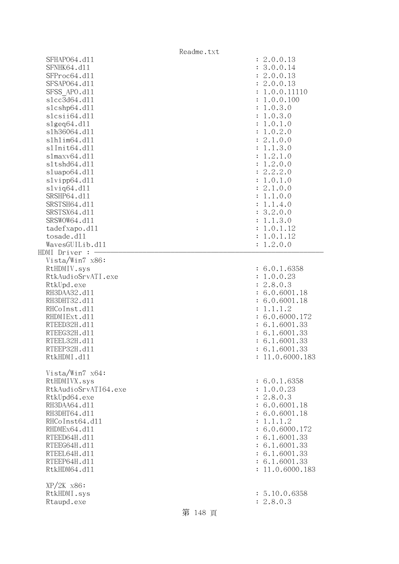|                       | Readme.txt |                            |  |
|-----------------------|------------|----------------------------|--|
| SFHAP064.d11          |            | : 2.0.0.13                 |  |
| SFNHK64.d11           |            | 3.0.0.14<br>$\ddot{\cdot}$ |  |
| SFProc64.d11          |            | 2.0.0.13<br>$\ddot{\cdot}$ |  |
| SFSAP064.d11          |            | 2.0.0.13<br>$\ddot{\cdot}$ |  |
| SFSS APO.d11          |            | 1.0.0.11110                |  |
| s1cc3d64.d11          |            | 1.0.0.100                  |  |
| s1cshp64.d11          |            | 1.0.3.0<br>$\ddot{\cdot}$  |  |
| slcsii64.dll          |            | 1.0.3.0<br>$\ddot{\cdot}$  |  |
| slgeq64. d11          |            | 1.0.1.0                    |  |
| s1h36064.d11          |            | 1.0.2.0<br>$\ddot{\cdot}$  |  |
| s1h1im64.d11          |            | 2.1.0.0                    |  |
| s1Init64.d11          |            | 1.1.3.0                    |  |
| s1maxv64.d11          |            |                            |  |
|                       |            | 1.2.1.0                    |  |
| s1tshd64.d11          |            | 1.2.0.0<br>$\ddot{\cdot}$  |  |
| sluapo64.d11          |            | 2.2.2.0<br>$\ddot{\cdot}$  |  |
| slvipp64.d11          |            | 1.0.1.0<br>:               |  |
| $s1$ viq $64.$ d $11$ |            | 2.1.0.0                    |  |
| SRSHP64.d11           |            | 1.1.0.0                    |  |
| SRSTSH64.d11          |            | 1.1.4.0                    |  |
| SRSTSX64.d11          |            | 3.2.0.0<br>$\ddot{\cdot}$  |  |
| SRSWOW64.d11          |            | 1.1.3.0                    |  |
| tadefxapo.dl1         |            | 1.0.1.12<br>:              |  |
| tosade.d11            |            | 1.0.1.12<br>:              |  |
| WavesGUILib.d11       |            | 1.2.0.0<br>$\ddot{\cdot}$  |  |
| HDMI Driver : -       |            |                            |  |
| Vista/Win7 x86:       |            |                            |  |
| RtHDMIV.sys           |            | : 6.0.1.6358               |  |
| RtkAudioSrvATI.exe    |            | 1.0.0.23<br>÷              |  |
| RtkUpd.exe            |            | 2.8.0.3<br>$\ddot{\cdot}$  |  |
| RH3DAA32.d11          |            | 6.0.6001.18                |  |
| RH3DHT32.d11          |            | 6.0.6001.18                |  |
| RHCoInst.d11          |            | 1.1.1.2                    |  |
| RHDMIExt.d11          |            | 6.0.6000.172               |  |
| RTEED32H.d11          |            | 6.1.6001.33                |  |
| RTEEG32H.d11          |            | 6.1.6001.33                |  |
| RTEEL32H.d11          |            | : 6.1.6001.33              |  |
| RTEEP32H.d11          |            | : 6.1.6001.33              |  |
| RtkHDMI.d11           |            | : 11.0.6000.183            |  |
|                       |            |                            |  |
| Vista/Win7 x64:       |            |                            |  |
| RtHDMIVX.sys          |            | : 6.0.1.6358               |  |
| RtkAudioSrvATI64.exe  |            | : 1.0.0.23                 |  |
| RtkUpd64.exe          |            | : 2.8.0.3                  |  |
| RH3DAA64.d11          |            | : 6.0.6001.18              |  |
| RH3DHT64.d11          |            | : 6.0.6001.18              |  |
| RHCoInst64.d11        |            | 1.1.1.2<br>$\ddot{\cdot}$  |  |
| RHDMEx64.d11          |            | : 6.0.6000.172             |  |
| RTEED64H.d11          |            | : 6.1.6001.33              |  |
| RTEEG64H.d11          |            | : 6.1.6001.33              |  |
| RTEEL64H.d11          |            | : 6.1.6001.33              |  |
| RTEEP64H.d11          |            | : 6.1.6001.33              |  |
| RtkHDM64.d11          |            | : 11.0.6000.183            |  |
|                       |            |                            |  |
| $XP/2K$ $x86$ :       |            |                            |  |
| RtkHDMI.sys           |            | : 5.10.0.6358              |  |
| Rtaupd.exe            |            | : 2.8.0.3                  |  |
|                       | 第 148 頁    |                            |  |
|                       |            |                            |  |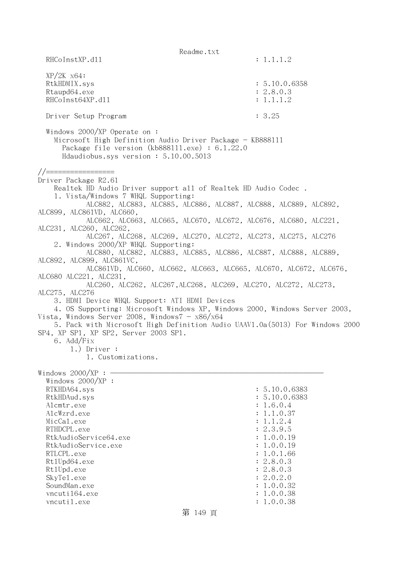Readme.txt RHCoInstXP.d11 : 1.1.1.2 XP/2K x64: RtkHDMIX.sys : 5.10.0.6358 Rtaupd64.exe : 2.8.0.3 RHCoInst64XP.d11 : 1.1.1.2 Driver Setup Program : 3.25 Windows 2000/XP Operate on : Microsoft High Definition Audio Driver Package - KB888111 Package file version (kb888111.exe) : 6.1.22.0 Hdaudiobus.sys version : 5.10.00.5013 //================= Driver Package R2.61 Realtek HD Audio Driver support all of Realtek HD Audio Codec . 1. Vista/Windows 7 WHQL Supporting: ALC882, ALC883, ALC885, ALC886, ALC887, ALC888, ALC889, ALC892, ALC899, ALC861VD, ALC660, ALC662, ALC663, ALC665, ALC670, ALC672, ALC676, ALC680, ALC221, ALC231, ALC260, ALC262, ALC267, ALC268, ALC269, ALC270, ALC272, ALC273, ALC275, ALC276 2. Windows 2000/XP WHQL Supporting: ALC880, ALC882, ALC883, ALC885, ALC886, ALC887, ALC888, ALC889, ALC892, ALC899, ALC861VC, ALC861VD, ALC660, ALC662, ALC663, ALC665, ALC670, ALC672, ALC676, ALC680 ALC221, ALC231, ALC260, ALC262, ALC267,ALC268, ALC269, ALC270, ALC272, ALC273, ALC275, ALC276 3. HDMI Device WHQL Support: ATI HDMI Devices 4. OS Supporting: Microsoft Windows XP, Windows 2000, Windows Server 2003, Vista, Windows Server 2008, Windows $7 - x86/x64$  5. Pack with Microsoft High Definition Audio UAAV1.0a(5013) For Windows 2000 SP4, XP SP1, XP SP2, Server 2003 SP1. 6. Add/Fix 1.) Driver : 1. Customizations. Windows  $2000/XP : -$  Windows 2000/XP : RTKHDA64.sys : 5.10.0.6383 RtkHDAud.sys : 5.10.0.6383 Alcmtr.exe : 1.6.0.4 AlcWzrd.exe : 1.1.0.37  $\text{MicCal.}$ exe : 1.1.2.4 RTHDCPL.exe : 2.3.9.5 RtkAudioService64.exe : 1.0.0.19 RtkAudioService.exe : 1.0.0.19 RTLCPL.exe : 1.0.1.66<br>Rt1Upd64.exe : 2.8.0.3 Rt1Upd64.exe Rt1Upd.exe : 2.8.0.3 SkyTel.exe : 2.0.2.0 SoundMan.exe : 1.0.0.32 vncuti164.exe : 1.0.0.38 vncutil.exe : 1.0.0.38 第 149 頁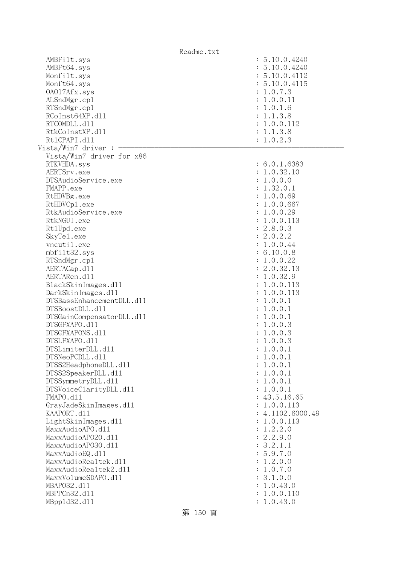|                                              | Readme.txt             |
|----------------------------------------------|------------------------|
| AMBFilt.sys                                  | : 5.10.0.4240          |
| AMBFt64.sys                                  | : 5.10.0.4240          |
| Monfilt.sys                                  | : 5.10.0.4112          |
| Monft64.sys                                  | : 5.10.0.4115          |
| 0A017Afx.sys                                 | : 1.0.7.3              |
| ALSndMgr.cp1                                 | : 1.0.0.11             |
| RTSndMgr.cp1                                 | : 1.0.1.6              |
| RCoInst64XP.d11                              | : 1.1.3.8              |
| RTCOMDLL.d11                                 | : 1.0.0.112            |
| RtkCoInstXP.d11                              | : 1.1.3.8              |
| Rt1CPAPI.d11                                 | : 1.0.2.3              |
| Vista/Win7 driver :                          |                        |
| Vista/Win7 driver for x86                    |                        |
| RTKVHDA.sys                                  | : 6.0.1.6383           |
| AERTSrv.exe                                  | : 1.0.32.10            |
| DTSAudioService.exe                          | : 1.0.0.0              |
| FMAPP.exe                                    | : 1.32.0.1             |
| RtHDVBg.exe                                  | : 1.0.0.69             |
| RtHDVCp1.exe                                 | : 1.0.0.667            |
| RtkAudioService.exe                          | : 1.0.0.29             |
| RtkNGUI.exe                                  | : 1.0.0.113            |
| Rt1Upd.exe                                   | : 2.8.0.3              |
| SkyTe1.exe                                   | : 2.0.2.2              |
| vncutil.exe                                  | : 1.0.0.44             |
| mbfilt32.sys                                 | : 6.10.0.8             |
| RTSndMgr.cp1                                 | : 1.0.0.22             |
| AERTACap.d11                                 | : 2.0.32.13            |
| AERTARen.d11                                 | : 1.0.32.9             |
| BlackSkinImages.dl1                          | : 1.0.0.113            |
| DarkSkinImages.d11                           | : 1.0.0.113            |
| DTSBassEnhancementDLL.d11                    | : 1.0.0.1              |
| DTSBoostDLL.d11                              | : 1.0.0.1              |
| DTSGainCompensatorDLL.d11                    | : 1.0.0.1              |
| DTSGFXAPO.d11                                | : 1.0.0.3              |
| DTSGFXAPONS.d11                              | : 1.0.0.3              |
| DTSLFXAPO.d11                                | : 1.0.0.3              |
| DTSLimiterDLL.d11                            | : 1.0.0.1              |
| DTSNeoPCDLL.d11                              | : 1.0.0.1              |
| DTSS2HeadphoneDLL.d11<br>DTSS2SpeakerDLL.d11 | : 1.0.0.1<br>: 1.0.0.1 |
| DTSSymmetryDLL.d11                           | : 1.0.0.1              |
| DTSVoiceClarityDLL.dl1                       | : 1.0.0.1              |
| FMAPO.d11                                    | : 43.5.16.65           |
| GrayJadeSkinImages.d11                       | : 1.0.0.113            |
| KAAPORT.d11                                  | : 4.1102.6000.49       |
| LightSkinImages.d11                          | : 1.0.0.113            |
| MaxxAudioAPO.dll                             | : 1.2.2.0              |
| MaxxAudioAP020.dll                           | : 2.2.9.0              |
| MaxxAudioAP030.dll                           | : 3.2.1.1              |
| MaxxAudioEQ.d11                              | : 5.9.7.0              |
| MaxxAudioRealtek.dll                         | : 1.2.0.0              |
| MaxxAudioRealtek2.dl1                        | : 1.0.7.0              |
| MaxxVolumeSDAPO.d11                          | : 3.1.0.0              |
| MBAP032.d11                                  | 1.0.43.0               |
| MBPPCn32.d11                                 | 1.0.0.110              |
| MBpp1d32.d11                                 | : 1.0.43.0             |
|                                              |                        |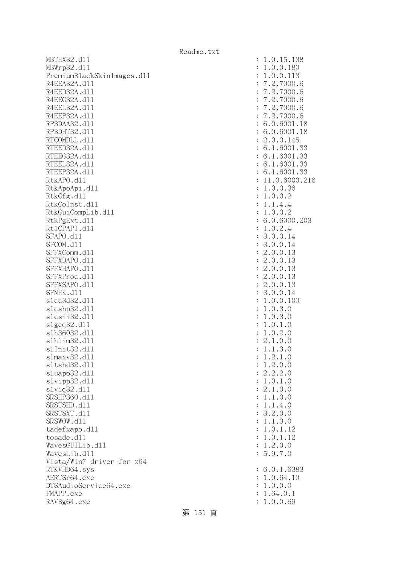| MBTHX32.d11                | : 1.0.15.138    |
|----------------------------|-----------------|
| MBWrp32.d11                | : 1.0.0.180     |
| PremiumBlackSkinImages.d11 | : 1.0.0.113     |
| R4EEA32A.d11               | : 7.2.7000.6    |
| R4EED32A.d11               | : 7.2.7000.6    |
| R4EEG32A.d11               | : 7.2.7000.6    |
| R4EEL32A.d11               | : 7.2.7000.6    |
| R4EEP32A.d11               | : 7.2.7000.6    |
|                            |                 |
| RP3DAA32.d11               | : 6.0.6001.18   |
| RP3DHT32.d11               | : 6.0.6001.18   |
| RTCOMDLL.d11               | : 2.0.0.145     |
| RTEED32A.d11               | : 6.1.6001.33   |
| RTEEG32A.d11               | : 6.1.6001.33   |
| RTEEL32A.d11               | : 6.1.6001.33   |
| RTEEP32A.d11               | : 6.1.6001.33   |
| RtkAPO.d11                 | : 11.0.6000.216 |
| RtkApoApi.d11              | : 1.0.0.36      |
| RtkCfg.d11                 | : 1.0.0.2       |
| RtkCoInst.d11              | : 1.1.4.4       |
| RtkGuiCompLib.d11          | : 1.0.0.2       |
| RtkPgExt.d11               | : 6.0.6000.203  |
| Rt1CPAPI.d11               |                 |
|                            | : 1.0.2.4       |
| SFAPO.d11                  | : 3.0.0.14      |
| SFCOM.d11                  | : 3.0.0.14      |
| SFFXComm.d11               | : 2.0.0.13      |
| SFFXDAPO.d11               | : 2.0.0.13      |
| SFFXHAPO.d11               | : 2.0.0.13      |
| SFFXProc.d11               | : 2.0.0.13      |
| SFFXSAPO.d11               | : 2.0.0.13      |
| SFNHK.d11                  | : 3.0.0.14      |
| s1cc3d32.d11               | : 1.0.0.100     |
| s1cshp32.d11               | : 1.0.3.0       |
| slcsii32.dll               | : 1.0.3.0       |
| slgeq32.d11                | : 1.0.1.0       |
| s1h36032.d11               | : 1.0.2.0       |
| s1h1im32.d11               |                 |
|                            | : 2.1.0.0       |
| s1Init32.d11               | : 1.1.3.0       |
| s1maxv32.d11               | : 1.2.1.0       |
| s1tshd32.d11               | : 1.2.0.0       |
| s1uapo32.d11               | : 2.2.2.0       |
| slvipp32.dll               | : 1.0.1.0       |
| s1vig32.d11                | : 2.1.0.0       |
| SRSHP360.d11               | : 1.1.0.0       |
| SRSTSHD.d11                | : 1.1.4.0       |
| SRSTSXT.d11                | : 3.2.0.0       |
| SRSWOW.d11                 | : 1.1.3.0       |
| tadefxapo.d11              | : 1.0.1.12      |
| tosade.d11                 | : 1.0.1.12      |
| WavesGUILib.d11            | : 1.2.0.0       |
| WavesLib.d11               | : 5.9.7.0       |
|                            |                 |
| Vista/Win7 driver for x64  |                 |
| RTKVHD64.sys               | : 6.0.1.6383    |
| AERTSr64.exe               | : 1.0.64.10     |
| DTSAudioService64.exe      | : 1.0.0.0       |
| FMAPP.exe                  | : 1.64.0.1      |
| RAVBg64.exe                | : 1.0.0.69      |
|                            |                 |

|                | .0.15.138                                                                      |
|----------------|--------------------------------------------------------------------------------|
| $\ddot{\cdot}$ | 1                                                                              |
| $\ddot{\cdot}$ | .0.0.180<br>1                                                                  |
| $\ddot{\cdot}$ | .0.0.113<br>1                                                                  |
| $\ddot{\cdot}$ | 7.2.7000.6                                                                     |
| $\ddot{\cdot}$ | $\overline{7}$<br>.2.7000.6                                                    |
| $\ddot{\cdot}$ | $\overline{7}$<br>.2.7000.<br>6                                                |
| $\ddot{\cdot}$ | $\overline{7}$<br>.2.7000.<br>6                                                |
| $\ddot{\cdot}$ | $\overline{7}$<br>.2.7000.<br>6                                                |
| $\ddot{\cdot}$ | 6.0.6001.<br>18                                                                |
| $\ddot{\cdot}$ | $\ddot{\phantom{a}}$<br>18                                                     |
| $\ddot{\cdot}$ | 6.0.6001.<br>2.0.0.145                                                         |
|                |                                                                                |
| $\ddot{\cdot}$ | 6.1.6001.33                                                                    |
| $\ddot{\cdot}$ | 6.<br>1.6001.33                                                                |
| $\ddot{\cdot}$ | 1.6001.33<br>6.                                                                |
| $\ddot{\cdot}$ | 6.1.6001.33                                                                    |
| $\ddot{\cdot}$ | 11.0.6000.216                                                                  |
| $\ddot{\cdot}$ | 1.0.0.36                                                                       |
| $\ddot{\cdot}$ | 1.0.0.2                                                                        |
| $\ddot{\cdot}$ | .1.4.4<br>$\mathbf 1$                                                          |
| $\ddot{\cdot}$ | 1.0.0.2                                                                        |
| $\ddot{\cdot}$ | 6.0.6000.203                                                                   |
|                | 1.0.2.4                                                                        |
| $\ddot{\cdot}$ |                                                                                |
| $\ddot{\cdot}$ | .0.0.14<br>3                                                                   |
| $\ddot{\cdot}$ | .0.0.<br>3<br>14                                                               |
| $\ddot{\cdot}$ | 2.0.0.<br>13                                                                   |
| $\ddot{\cdot}$ | $\mathbf{c}$<br>.0.0.<br>13                                                    |
| $\ddot{\cdot}$ | $\mathbf{c}$<br>13<br>.0.0.                                                    |
| $\ddot{\cdot}$ | $\mathbf{c}$<br>13<br>.0.0.                                                    |
| $\ddot{\cdot}$ | 2.0.0.<br>13                                                                   |
| $\ddot{\cdot}$ | 3.0.0.14                                                                       |
| $\ddot{\cdot}$ | 1.0.0.<br>100                                                                  |
|                | .0.3.<br>$\mathbf 1$<br>$\overline{O}$                                         |
| $\ddot{\cdot}$ |                                                                                |
| $\ddot{\cdot}$ | 1.0.3.<br>$\overline{O}$                                                       |
| $\ddot{\cdot}$ | 0.1.<br>1<br>$\ddot{\phantom{0}}$<br>$\overline{O}$                            |
| $\ddot{\cdot}$ | 0.2.<br>1<br>$\ddot{\phantom{0}}$<br>$\overline{O}$                            |
| $\colon$       | 2.1.0.<br>0                                                                    |
| $\ddot{\cdot}$ | $\ddot{\phantom{0}}$<br>$\ddot{\phantom{a}}$<br>3.<br>1<br>$\overline{O}$<br>1 |
| $\ddot{\cdot}$ | 1<br>.2.1.0                                                                    |
| $\ddot{\cdot}$ | 1.2.0.0                                                                        |
| $\ddot{\cdot}$ | 2.2.2.0                                                                        |
| $\ddot{\cdot}$ | 1.0.1.0                                                                        |
| $\ddot{\cdot}$ | 2.1.0.0                                                                        |
| $\ddot{\cdot}$ | 1.1.0.0                                                                        |
|                | 1.1.4.0                                                                        |
| $\ddot{\cdot}$ |                                                                                |
| $\ddot{\cdot}$ | 3.2.0.0                                                                        |
| $\ddot{\cdot}$ | 1.1.3.0                                                                        |
| $\ddot{\cdot}$ | 1.0.1.12                                                                       |
| $\ddot{\cdot}$ | 1.0.1.12                                                                       |
| $\ddot{\cdot}$ | 1.2.0.0                                                                        |
| $\vdots$       | 5.9.7.0                                                                        |
|                |                                                                                |
| $\ddot{\cdot}$ | 6.0.1.6383                                                                     |
| $\ddot{\cdot}$ | 1.0.64.10                                                                      |
| $\ddot{\cdot}$ | 1.0.0.0                                                                        |
| $\ddot{\cdot}$ | 1.64.0.1                                                                       |
|                |                                                                                |
| $\vdots$       | 1.0.0.69                                                                       |

第 151 頁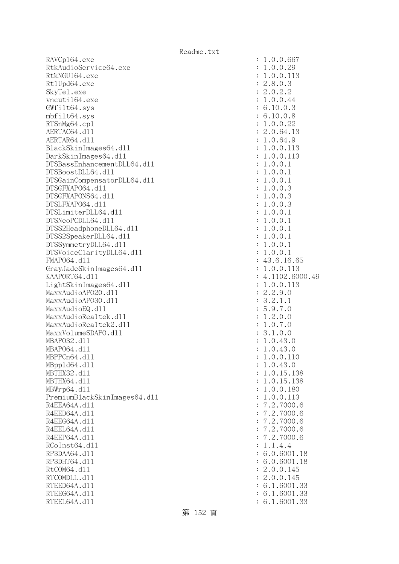RAVCp164.exe : 1.0.0.667 RtkAudioService64.exe : 1.0.0.29 RtkNGUI64.exe : 1.0.0.113 Rt1Upd64.exe : 2.8.0.3 SkyTel.exe : 2.0.2.2 vncuti164.exe : 1.0.0.44 GWfilt64.sys : 6.10.0.3 mbfilt64.sys : 6.10.0.8 RTSnMg64.cp1 : 1.0.0.22 AERTAC64.d11 : 2.0.64.13 AERTAR64.d11 : 1.0.64.9 BlackSkinImages64.dll : 1.0.0.113 DarkSkinImages64.dll : 1.0.0.113 DTSBassEnhancementDLL64.dl1 : 1.0.0.1 DTSBoostDLL64.dll : 1.0.0.1 DTSGainCompensatorDLL64.dll : 1.0.0.1 DTSGFXAPO64.dll : 1.0.0.3 DTSGFXAPONS64.dll : 1.0.0.3 DTSLFXAPO64.dll : 1.0.0.3  $DTSLimiterDLL64. d11$  :  $1.0.0.1$  DTSNeoPCDLL64.dll : 1.0.0.1 DTSS2HeadphoneDLL64.dl1 : 1.0.0.1 DTSS2SpeakerDLL64.dll : 1.0.0.1 DTSSymmetryDLL64.dl1 : 1.0.0.1 DTSVoiceClarityDLL64.dll : 1.0.0.1 FMAP064.d11 : 43.6.16.65 GrayJadeSkinImages64.dll : 1.0.0.113 KAAPORT64.d11 : 4.1102.6000.49 LightSkinImages64.dll : 1.0.0.113 MaxxAudioAPO20.dll : 2.2.9.0 MaxxAudioAPO30.dl1 : 3.2.1.1 MaxxAudioEQ.dl1 : 5.9.7.0 MaxxAudioRealtek.dll  $\qquad \qquad \vdots \qquad \qquad 1.2.0.0$ MaxxAudioRealtek2.dll : 1.0.7.0 MaxxVolumeSDAPO.dll : 3.1.0.0 MBAPO32.dll : 1.0.43.0 MBAP064.d11 : 1.0.43.0 MBPPCn64.dll : 1.0.0.110 MBppld64.dll : 1.0.43.0 MBTHX32.dll : 1.0.15.138 MBTHX64.d11 : 1.0.15.138 MBWrp64.dll : 1.0.0.180 PremiumBlackSkinImages64.dll : 1.0.0.113 R4EEA64A.d11 : 7.2.7000.6 R4EED64A.d11 : 7.2.7000.6 R4EEG64A.d11 : 7.2.7000.6 R4EEL64A.d11 : 7.2.7000.6 R4EEP64A.d11 : 7.2.7000.6  $RCOInst64. d11$  :  $1.1.4.4$ RP3DAA64.d11 : 6.0.6001.18 RP3DHT64.d11 : 6.0.6001.18 RtCOM64.d11 : 2.0.0.145 RTCOMDLL.d11 : 2.0.0.145 RTEED64A.d11 : 6.1.6001.33 RTEEG64A.d11 : 6.1.6001.33 RTEEL64A.d11 : 6.1.6001.33

第 152 頁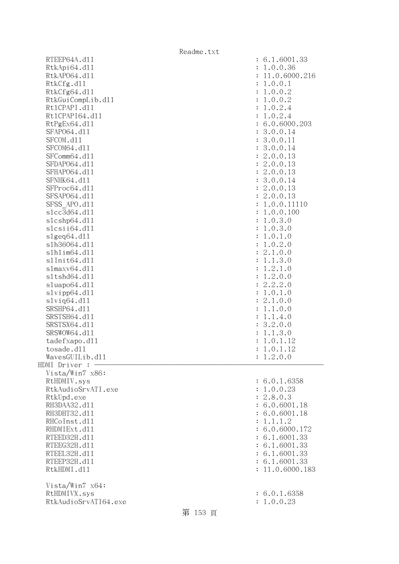|                       | Readme.txt |                               |
|-----------------------|------------|-------------------------------|
| RTEEP64A.d11          |            | : 6.1.6001.33                 |
| RtkApi64.dl1          |            | : 1.0.0.36                    |
| RtkAP064.d11          |            | 11.0.6000.216                 |
| RtkCfg.d11            |            | 1.0.0.1<br>$\ddot{\cdot}$     |
| RtkCfg64.d11          |            | 1.0.0.2<br>$\ddot{\cdot}$     |
| RtkGuiCompLib.d11     |            | 1.0.0.2<br>$\ddot{\cdot}$     |
| Rt1CPAPI.d11          |            | 1.0.2.4<br>$\ddot{\cdot}$     |
| Rt1CPAPI64.d11        |            | 1.0.2.4<br>$\ddot{\cdot}$     |
| RtPgEx64.d11          |            | : 6.0.6000.203                |
| SFAP064.d11           |            | : 3.0.0.14                    |
| SFCOM.d11             |            | : 3.0.0.11                    |
| SFCOM64.d11           |            | : 3.0.0.14                    |
| SFComm64.d11          |            | : 2.0.0.13                    |
| SFDAP064.d11          |            | : 2.0.0.13                    |
| SFHAP064.d11          |            | : 2.0.0.13                    |
| SFNHK64.d11           |            | : 3.0.0.14                    |
|                       |            |                               |
| SFProc64.d11          |            | : 2.0.0.13                    |
| SFSAP064.d11          |            | : 2.0.0.13                    |
| SFSS APO.d11          |            | 1.0.0.11110<br>$\ddot{\cdot}$ |
| s1cc3d64.d11          |            | 1.0.0.100<br>$\ddot{\cdot}$   |
| s1cshp64.d11          |            | 1.0.3.0<br>$\ddot{\cdot}$     |
| slcsii64.dll          |            | 1.0.3.0<br>$\ddot{\cdot}$     |
| slgeq64. d11          |            | 1.0.1.0<br>$\ddot{\cdot}$     |
| s1h36064.d11          |            | 1.0.2.0<br>$\ddot{\cdot}$     |
| s1h1im64.d11          |            | 2.1.0.0<br>÷                  |
| s1Init64.d11          |            | 1.1.3.0<br>$\ddot{\cdot}$     |
| slmaxv64.d11          |            | 1.2.1.0<br>:                  |
| s1tshd64.d11          |            | 1.2.0.0<br>$\ddot{\cdot}$     |
| sluapo64.d11          |            | 2.2.2.0<br>$\ddot{\cdot}$     |
| slvipp64.d11          |            | 1.0.1.0<br>$\ddot{\cdot}$     |
| $s1$ viq $64.$ d $11$ |            | 2.1.0.0                       |
| SRSHP64.d11           |            | 1.1.0.0<br>$\ddot{\cdot}$     |
| SRSTSH64.d11          |            | 1.1.4.0<br>$\ddot{\cdot}$     |
| SRSTSX64.d11          |            | 3.2.0.0<br>÷                  |
| SRSWOW64.d11          |            | 1.1.3.0                       |
| tadefxapo.d11         |            | 1.0.1.12                      |
| tosade.d11            |            | 1.0.1.12                      |
| WavesGUILib.d11       |            | : 1.2.0.0                     |
| HDMI Driver :         |            |                               |
| Vista/Win7 x86:       |            |                               |
| RtHDMIV.sys           |            | : 6.0.1.6358                  |
| RtkAudioSrvATI.exe    |            | : 1.0.0.23                    |
| RtkUpd.exe            |            | : 2.8.0.3                     |
| RH3DAA32.d11          |            | : 6.0.6001.18                 |
| RH3DHT32.d11          |            | : 6.0.6001.18                 |
| RHCoInst.d11          |            | : 1.1.1.2                     |
| RHDMIExt.d11          |            | : 6.0.6000.172                |
| RTEED32H.d11          |            | : 6.1.6001.33                 |
| RTEEG32H.d11          |            | : 6.1.6001.33                 |
| RTEEL32H.d11          |            | : 6.1.6001.33                 |
| RTEEP32H.d11          |            | : 6.1.6001.33                 |
| RtkHDMI.d11           |            | : 11.0.6000.183               |
|                       |            |                               |
| Vista/Win7 x64:       |            |                               |
| RtHDMIVX.sys          |            | : 6.0.1.6358                  |
| RtkAudioSrvATI64.exe  |            | : 1.0.0.23                    |
|                       | 第 153 頁    |                               |
|                       |            |                               |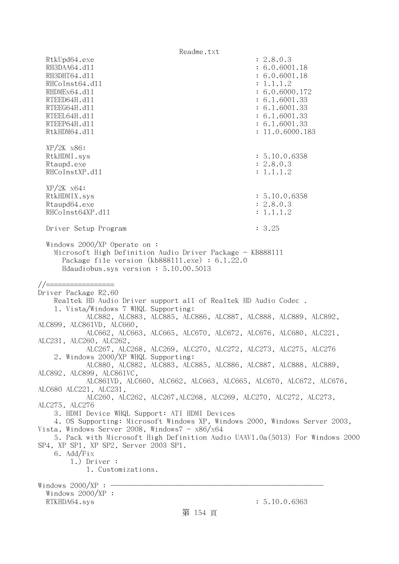RtkUpd64.exe : 2.8.0.3 RH3DAA64.d11 : 6.0.6001.18 RH3DHT64.d11 : 6.0.6001.18 RHCoInst64.d11 : 1.1.1.2 RHDMEx64.d11 : 6.0.6000.172 RTEED64H.dl1 : 6.1.6001.33 RTEEG64H.d11 : 6.1.6001.33 RTEEL64H.d11 : 6.1.6001.33 RTEEP64H.dll : 6.1.6001.33 RtkHDM64.d11 : 11.0.6000.183 XP/2K x86: RtkHDMI.sys : 5.10.0.6358 Rtaupd.exe : 2.8.0.3 RHCoInstXP.d11 : 1.1.1.2 XP/2K x64: RtkHDMIX.sys : 5.10.0.6358 Rtaupd64.exe : 2.8.0.3 RHCoInst64XP.d11 : 1.1.1.2 Driver Setup Program : 3.25 Windows 2000/XP Operate on : Microsoft High Definition Audio Driver Package - KB888111 Package file version (kb888111.exe) : 6.1.22.0 Hdaudiobus.sys version : 5.10.00.5013 //================= Driver Package R2.60 Realtek HD Audio Driver support all of Realtek HD Audio Codec . 1. Vista/Windows 7 WHQL Supporting: ALC882, ALC883, ALC885, ALC886, ALC887, ALC888, ALC889, ALC892, ALC899, ALC861VD, ALC660, ALC662, ALC663, ALC665, ALC670, ALC672, ALC676, ALC680, ALC221, ALC231, ALC260, ALC262, ALC267, ALC268, ALC269, ALC270, ALC272, ALC273, ALC275, ALC276 2. Windows 2000/XP WHQL Supporting: ALC880, ALC882, ALC883, ALC885, ALC886, ALC887, ALC888, ALC889, ALC892, ALC899, ALC861VC, ALC861VD, ALC660, ALC662, ALC663, ALC665, ALC670, ALC672, ALC676, ALC680 ALC221, ALC231, ALC260, ALC262, ALC267,ALC268, ALC269, ALC270, ALC272, ALC273, ALC275, ALC276 3. HDMI Device WHQL Support: ATI HDMI Devices 4. OS Supporting: Microsoft Windows XP, Windows 2000, Windows Server 2003, Vista, Windows Server 2008, Windows $7 - x86/x64$  5. Pack with Microsoft High Definition Audio UAAV1.0a(5013) For Windows 2000 SP4, XP SP1, XP SP2, Server 2003 SP1. 6. Add/Fix 1.) Driver : 1. Customizations. Windows  $2000/XP : -$  Windows 2000/XP : RTKHDA64.sys : 5.10.0.6363 第 154 頁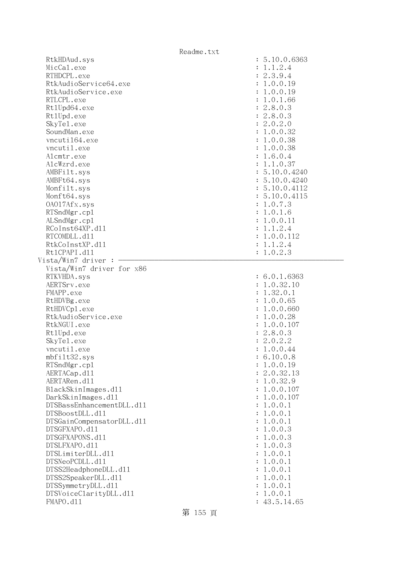|                             | Readme.txt           |
|-----------------------------|----------------------|
| RtkHDAud.sys                | : 5.10.0.6363        |
| MicCal.exe                  | : 1.1.2.4            |
| RTHDCPL.exe                 | : 2.3.9.4            |
| RtkAudioService64.exe       | : 1.0.0.19           |
| RtkAudioService.exe         | : 1.0.0.19           |
| RTLCPL.exe                  | : 1.0.1.66           |
| Rt1Upd64.exe                | : 2.8.0.3            |
| Rt1Upd.exe                  | : 2.8.0.3            |
| SkyTe1.exe                  | : 2.0.2.0            |
| SoundMan.exe                | : 1.0.0.32           |
| vncuti164.exe               | : 1.0.0.38           |
| vncutil.exe                 | : 1.0.0.38           |
| Alcmtr.exe                  | : 1.6.0.4            |
| AlcWzrd.exe                 | : 1.1.0.37           |
| AMBFilt.sys                 | : 5.10.0.4240        |
| AMBFt64.sys                 | : 5.10.0.4240        |
| Monfilt.sys                 | : 5.10.0.4112        |
| Monft64.sys                 | : 5.10.0.4115        |
| 0A017Afx.sys                | : 1.0.7.3            |
| RTSndMgr.cp1                | : 1.0.1.6            |
| ALSndMgr.cp1                | : 1.0.0.11           |
| RCoInst64XP.d11             | : 1.1.2.4            |
| RTCOMDLL.d11                | : 1.0.0.112          |
| RtkCoInstXP.d11             | : 1.1.2.4            |
| Rt1CPAPI.d11                | : 1.0.2.3            |
| Vista/Win7 driver :         |                      |
| Vista/Win7 driver for x86   |                      |
| RTKVHDA.sys                 | : 6.0.1.6363         |
| AERTSrv.exe                 | : 1.0.32.10          |
| FMAPP.exe                   | : 1.32.0.1           |
| RtHDVBg.exe                 | : 1.0.0.65           |
| RtHDVCp1.exe                | : 1.0.0.660          |
| RtkAudioService.exe         | : 1.0.0.28           |
| RtkNGUI.exe                 | : 1.0.0.107          |
| Rt1Upd.exe                  | : 2.8.0.3            |
| SkyTe1.exe                  | : 2.0.2.2            |
| vncutil.exe<br>mbfilt32.sys | 1.0.0.44             |
| RTSndMgr.cp1                | 6.10.0.8<br>1.0.0.19 |
| AERTACap.d11                | 2.0.32.13            |
| AERTARen.d11                | 1.0.32.9             |
| BlackSkinImages.dl1         | 1.0.0.107            |
| DarkSkinImages.d11          | 1.0.0.107            |
| DTSBassEnhancementDLL.d11   | 1.0.0.1              |
| DTSBoostDLL.d11             | 1.0.0.1              |
| DTSGainCompensatorDLL.d11   | 1.0.0.1              |
| DTSGFXAPO.d11               | 1.0.0.3              |
| DTSGFXAPONS.d11             | 1.0.0.3              |
| DTSLFXAPO.d11               | 1.0.0.3              |
| DTSLimiterDLL.d11           | 1.0.0.1              |
| DTSNeoPCDLL.d11             | 1.0.0.1              |
| DTSS2HeadphoneDLL.d11       | 1.0.0.1              |
| DTSS2SpeakerDLL.d11         | 1.0.0.1              |
| DTSSymmetryDLL.d11          | 1.0.0.1              |
| DTSVoiceClarityDLL.dl1      |                      |
|                             | 1.0.0.1              |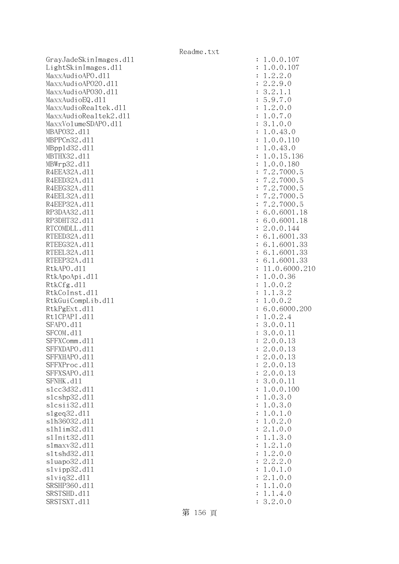GrayJadeSkinImages.dl1 LightSkinImages.dl1 MaxxAudioAPO.dll MaxxAudioAPO20.dll MaxxAudioAP030.dll MaxxAudioEQ.dll MaxxAudioRealtek.dll MaxxAudioRealtek2.dll MaxxVolumeSDAPO.dl1 MBAP032.d11 MBPPCn32.d11 MBpp1d32.d11 MBTHX32.d11 MBWrp32.d11 R4EEA32A.d11 R4EED32A.d11 R4EEG32A.d11 R4EEL32A.d11 R4EEP32A.d11 RP3DAA32.d11 RP3DHT32.d11 RTCOMDLL.d11 RTEED32A.d11 RTEEG32A.d11 RTEEL32A.d11 RTEEP32A.d11 RtkAPO.dll : 11.0.6000.210 RtkApoApi.dl1 RtkCfg.dll RtkCoInst.dl1 RtkGuiCompLib.dl1 RtkPgExt.dl1 Rt1CPAPI.d11 SFAPO.d11 SFCOM.d11 SFFXComm.d11 SFFXDAPO.d11 SFFXHAPO.d11 SFFXProc.dl1 SFFXSAPO.d11 SFNHK.d11 slcc3d32.d11 slcshp32.dll slcsii32.dll : 1.0.3.0 slgeq32.dl1 s1h36032.dl1 slhlim32.dll s1Init32.d11 s1maxv32.d11 s1tshd32.d11 sluapo32.dl1  $slvipp32$ .dll slviq32.dl1 SRSHP360.d11 SRSTSHD.d11 SRSTSXT.d11

| $\ddot{\cdot}$ | 1.0.0.107                                                                                 |
|----------------|-------------------------------------------------------------------------------------------|
| $\ddot{\cdot}$ | 1.0.0.107                                                                                 |
|                |                                                                                           |
| $\ddot{\cdot}$ | 1.2.2.0                                                                                   |
| $\ddot{\cdot}$ | 2.2.9.0                                                                                   |
|                |                                                                                           |
| $\ddot{\cdot}$ | 3.2.1.1                                                                                   |
| $\ddot{\cdot}$ | 5.9.7.0                                                                                   |
| $\ddot{\cdot}$ | 1.2.0.0                                                                                   |
|                |                                                                                           |
| $\ddot{\cdot}$ | 1.0.7.0                                                                                   |
| $\ddot{\cdot}$ | 3.1.0.0                                                                                   |
| $\ddot{\cdot}$ | 1.0.43.0                                                                                  |
|                |                                                                                           |
| $\ddot{\cdot}$ | 1.0.0.110                                                                                 |
| $\ddot{\cdot}$ | 1.0.43.0                                                                                  |
| $\ddot{\cdot}$ | 1.0.15.136                                                                                |
|                |                                                                                           |
| $\ddot{\cdot}$ | 1.0.0.180                                                                                 |
| $\ddot{\cdot}$ | 7.2.7000.5                                                                                |
| $\ddot{\cdot}$ | 7.2.7000.5                                                                                |
|                |                                                                                           |
| $\ddot{\cdot}$ | 7.2.7000.<br>5                                                                            |
| $\ddot{\cdot}$ | 7.2.7000.<br>5                                                                            |
| $\ddot{\cdot}$ | 7.2.7000.5                                                                                |
|                |                                                                                           |
| $\ddot{\cdot}$ | 6.0.6001.18                                                                               |
| $\ddot{\cdot}$ | 6.0.6001.18                                                                               |
| $\ddot{\cdot}$ | 2.0.0.144                                                                                 |
|                |                                                                                           |
| $\ddot{\cdot}$ | 6.1.6001.33                                                                               |
| $\ddot{\cdot}$ | 6.1.6001.33                                                                               |
| $\ddot{\cdot}$ | 6.1.6001.33                                                                               |
|                |                                                                                           |
| $\ddot{\cdot}$ | 6.1.6001.33                                                                               |
| $\ddot{\cdot}$ | 11.0.6000.21                                                                              |
| $\ddot{\cdot}$ | 1.0.0.36                                                                                  |
| $\ddot{\cdot}$ | 1.0.0.2                                                                                   |
|                |                                                                                           |
| $\ddot{\cdot}$ | 1.1.3.2                                                                                   |
| $\ddot{\cdot}$ | 1.0.0.2                                                                                   |
| $\ddot{\cdot}$ | 6.0.6000.200                                                                              |
|                |                                                                                           |
| $\ddot{\cdot}$ | 1.0.2.4                                                                                   |
| $\ddot{\cdot}$ | 3.0.0.11                                                                                  |
| $\ddot{\cdot}$ | 3.0.0.11                                                                                  |
|                |                                                                                           |
| $\vdots$       | 2.0.0.13                                                                                  |
|                | $\overline{c}$<br>13<br>.0.0.                                                             |
| $\ddot{\cdot}$ | .0.0.<br>$\overline{c}$<br>13                                                             |
|                | .0.0.<br>$\overline{c}$<br>13                                                             |
| $\ddot{\cdot}$ |                                                                                           |
| $\ddot{\cdot}$ | .0.0.<br>$\overline{c}$<br>13                                                             |
| $\ddot{\cdot}$ | .0.0.<br>11<br>3                                                                          |
| $\ddot{\cdot}$ | .0.0.<br>100<br>1                                                                         |
|                |                                                                                           |
| $\ddot{\cdot}$ | .0.3.<br>1<br>$\mathcal{O}$                                                               |
| $\ddot{\cdot}$ | .0.3.0<br>1                                                                               |
| $\ddot{\cdot}$ | $\mathbf{1}$<br>1<br>$\cdot$ 0 .<br>$\ddot{\phantom{0}}$<br>$\overline{O}$                |
|                |                                                                                           |
| $\ddot{\cdot}$ | .0.2<br>$\mathbf 1$<br>$\cdot$ 0                                                          |
| $\ddot{\cdot}$ | 0.0<br>$\overline{c}$<br>.1.                                                              |
| $\ddot{\cdot}$ | $\mathbf{1}$<br>.3.0<br>$\ddot{\phantom{0}}$<br>1                                         |
|                |                                                                                           |
| $\ddot{\cdot}$ | .2<br>$\mathbf{1}$<br>$\ddot{\phantom{0}}$<br>$\ddot{\phantom{0}}$<br>1<br>$\overline{O}$ |
| $\ddot{\cdot}$ | .0.0<br>$\overline{c}$<br>$\ddot{\phantom{0}}$<br>1                                       |
| $\ddot{\cdot}$ | $\cdot$ 2<br>$\cdot$ 2<br>$\overline{c}$<br>$\cdot$ 0                                     |
|                | $\ddot{\phantom{0}}$<br>0.1<br>$\ddot{\phantom{0}}$<br>$\overline{O}$                     |
| $\ddot{\cdot}$ | 1                                                                                         |
| $\ddot{\cdot}$ | 0.0<br>$\ddot{\phantom{a}}$<br>2.1                                                        |
| $\ddot{\cdot}$ | 1.0.0<br>$\ddot{\phantom{a}}$<br>1                                                        |
| $\ddot{\cdot}$ | 1.4.0<br>$\ddot{\phantom{a}}$<br>1                                                        |
|                |                                                                                           |
| $\ddot{\cdot}$ | 3.2.0.0                                                                                   |

第 156 頁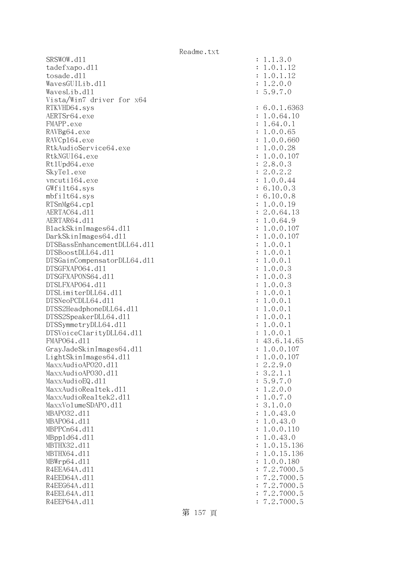SRSWOW.d11 : 1.1.3.0 tadefxapo.dl1 : 1.0.1.12 tosade.dl1 : 1.0.1.12  $Waves GUILib. d11$  :  $1.2.0.0$  WavesLib.dll : 5.9.7.0 Vista/Win7 driver for x64 RTKVHD64.sys : 6.0.1.6363 AERTSr64.exe : 1.0.64.10 FMAPP.exe : 1.64.0.1 RAVBg64.exe : 1.0.0.65 RAVCp164.exe : 1.0.0.660 RtkAudioService64.exe : 1.0.0.28 RtkNGUI64.exe : 1.0.0.107 Rt1Upd64.exe : 2.8.0.3 SkyTel.exe : 2.0.2.2 vncuti164.exe : 1.0.0.44 GWfilt64.sys : 6.10.0.3 mbfilt64.sys : 6.10.0.8 RTSnMg64.cp1 : 1.0.0.19 AERTAC64.d11 : 2.0.64.13 AERTAR64.d11 : 1.0.64.9 BlackSkinImages64.dll : 1.0.0.107 DarkSkinImages64.dll : 1.0.0.107 DTSBassEnhancementDLL64.dll : 1.0.0.1 DTSBoostDLL64.dl1 DTSGainCompensatorDLL64.dll : 1.0.0.1 DTSGFXAPO64.dll : 1.0.0.3 DTSGFXAPONS64.dll : 1.0.0.3 DTSLFXAPO64.dll : 1.0.0.3 DTSLimiterDLL64.dll : 1.0.0.1  $DTSNeoPCDLL64. d11$  :  $1.0.0.1$ DTSS2HeadphoneDLL64.d11 : 1.0.0.1 DTSS2SpeakerDLL64.dll : 1.0.0.1 DTSSymmetryDLL64.dll : 1.0.0.1 DTSVoiceClarityDLL64.dll : 1.0.0.1 FMAPO64.d11 : 43.6.14.65 GrayJadeSkinImages64.dll : 1.0.0.107 LightSkinImages64.dl1 : 1.0.0.107 MaxxAudioAP020.dl1 : 2.2.9.0 MaxxAudioAPO30.dl1 : 3.2.1.1  $MaxAudioEQ. d11$   $\qquad \qquad \qquad$  : 5.9.7.0 MaxxAudioRealtek.dll  $\qquad \qquad \vdots \qquad \qquad 1.2.0.0$ MaxxAudioRealtek2.dl1 : 1.0.7.0 MaxxVolumeSDAPO.dl1 : 3.1.0.0 MBAPO32.dll : 1.0.43.0 MBAP064.d11 : 1.0.43.0 MBPPCn64.dll : 1.0.0.110 MBppld64.dll : 1.0.43.0 MBTHX32.dll : 1.0.15.136 MBTHX64.d11 : 1.0.15.136 MBWrp64.dll : 1.0.0.180 R4EEA64A.d11 : 7.2.7000.5 R4EED64A.d11 : 7.2.7000.5 R4EEG64A.d11 : 7.2.7000.5 R4EEL64A.d11 : 7.2.7000.5 R4EEP64A.d11 : 7.2.7000.5

第 157 頁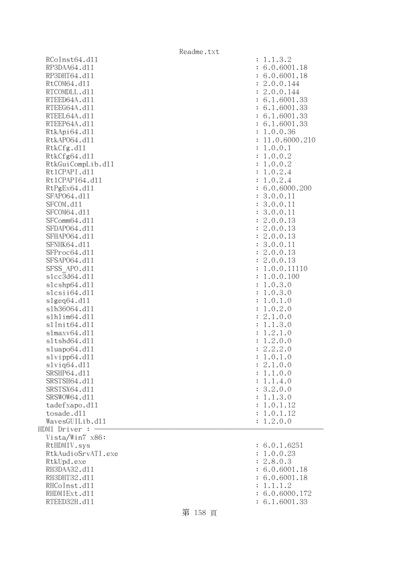RCoInst64.d11 : 1.1.3.2 RP3DAA64.d11 : 6.0.6001.18 RP3DHT64.d11 : 6.0.6001.18 RtCOM64.d11 : 2.0.0.144 RTCOMDLL.d11 : 2.0.0.144 RTEED64A.d11 : 6.1.6001.33 RTEEG64A.d11 : 6.1.6001.33 RTEEL64A.d11 : 6.1.6001.33 RTEEP64A.d11 : 6.1.6001.33 RtkApi64.dl1 : 1.0.0.36 RtkAP064.dl1 : 11.0.6000.210 RtkCfg.dl1 : 1.0.0.1 RtkCfg64.dl1 : 1.0.0.2 RtkGuiCompLib.dl1 : 1.0.0.2 Rt1CPAPI.d11 : 1.0.2.4 Rt1CPAPI64.d11 : 1.0.2.4 RtPgEx64.dll : 6.0.6000.200 SFAP064.d11 : 3.0.0.11 : 3.0.0.11 SFCOM.d11 : 3.0.0.11 SFCOM64.d11 : 3.0.0.11 SFComm64.d11 : 2.0.0.13 SFDAP064.d11 : 2.0.0.13 SFHAPO64.d11 : 2.0.0.13 SFNHK64.d11 : 3.0.0.11 : 3.0.0.11 SFProc64.d11 : 2.0.0.13 SFSAP064.d11 : 2.0.0.13 SFSS APO.d11 : 1.0.0.11110 slcc3d64.dl1 : 1.0.0.100 slcshp64.dll : 1.0.3.0 slcsii64.dll : 1.0.3.0  $s1geq64. d11$  :  $1.0.1.0$ slh36064.dll : 1.0.2.0 slhlim64.dll : 2.1.0.0 slInit64.dll : 1.1.3.0 slmaxv64.dll : 1.2.1.0 sltshd64.dll : 1.2.0.0 sluapo64.dll : 2.2.2.0 slvipp64.dll : 1.0.1.0  $s1$ viq $64. d11$  :  $2.1.0.0$ SRSHP64.d11 : 1.1.0.0 SRSTSH64.d11 : 1.1.4.0 SRSTSX64.d11 : 3.2.0.0 SRSWOW64.d11 : 1.1.3.0 tadefxapo.dl1 : 1.0.1.12 tosade.dll : 1.0.1.12  $Waves GULlib. d11$  :  $1.2.0.0$ HDMI Driver : - Vista/Win7 x86: RtHDMIV.sys : 6.0.1.6251 RtkAudioSrvATI.exe : 1.0.0.23 RtkUpd.exe : 2.8.0.3 RH3DAA32.d11 : 6.0.6001.18 RH3DHT32.d11 : 6.0.6001.18 RHCoInst.d11 : 1.1.1.2 RHDMIExt.d11 : 6.0.6000.172 RTEED32H.d11 : 6.1.6001.33

## 第 158 頁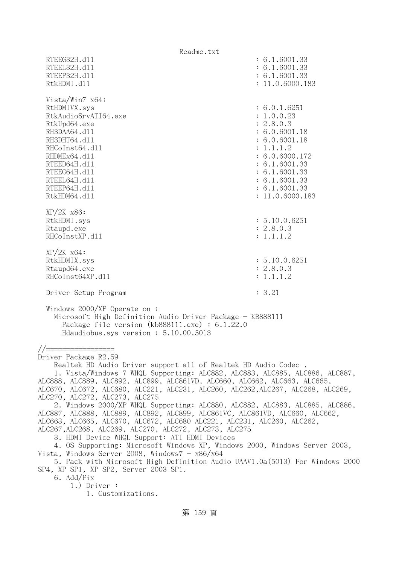Readme.txt RTEEG32H.d11 : 6.1.6001.33 RTEEL32H.d11 : 6.1.6001.33 RTEEP32H.d11 : 6.1.6001.33 RtkHDMI.d11 : 11.0.6000.183 Vista/Win7 x64: RtHDMIVX.sys : 6.0.1.6251 RtkAudioSrvATI64.exe : 1.0.0.23 RtkUpd64.exe : 2.8.0.3 RH3DAA64.d11 : 6.0.6001.18 RH3DHT64.d11 : 6.0.6001.18 RHCoInst64.dl1 : 1.1.1.2 RHDMEx64.d11 : 6.0.6000.172 RTEED64H.dl1 : 6.1.6001.33 RTEEG64H.d11 : 6.1.6001.33 RTEEL64H.dl1 : 6.1.6001.33 RTEEP64H.dl1 : 6.1.6001.33 RtkHDM64.dll : 11.0.6000.183 XP/2K x86: RtkHDMI.sys : 5.10.0.6251 Rtaupd.exe : 2.8.0.3 RHCoInstXP.d11 : 1.1.1.2 XP/2K x64: RtkHDMIX.sys : 5.10.0.6251 Rtaupd64.exe : 2.8.0.3 RHCoInst64XP.d11 : 1.1.1.2 Driver Setup Program : 3.21 Windows 2000/XP Operate on : Microsoft High Definition Audio Driver Package - KB888111 Package file version (kb888111.exe) : 6.1.22.0 Hdaudiobus.sys version : 5.10.00.5013 //================= Driver Package R2.59 Realtek HD Audio Driver support all of Realtek HD Audio Codec . 1. Vista/Windows 7 WHQL Supporting: ALC882, ALC883, ALC885, ALC886, ALC887, ALC888, ALC889, ALC892, ALC899, ALC861VD, ALC660, ALC662, ALC663, ALC665, ALC670, ALC672, ALC680, ALC221, ALC231, ALC260, ALC262,ALC267, ALC268, ALC269, ALC270, ALC272, ALC273, ALC275 2. Windows 2000/XP WHQL Supporting: ALC880, ALC882, ALC883, ALC885, ALC886, ALC887, ALC888, ALC889, ALC892, ALC899, ALC861VC, ALC861VD, ALC660, ALC662, ALC663, ALC665, ALC670, ALC672, ALC680 ALC221, ALC231, ALC260, ALC262, ALC267,ALC268, ALC269, ALC270, ALC272, ALC273, ALC275 3. HDMI Device WHQL Support: ATI HDMI Devices 4. OS Supporting: Microsoft Windows XP, Windows 2000, Windows Server 2003, Vista, Windows Server 2008, Windows $7 - x86/x64$  5. Pack with Microsoft High Definition Audio UAAV1.0a(5013) For Windows 2000 SP4, XP SP1, XP SP2, Server 2003 SP1. 6. Add/Fix 1.) Driver : 1. Customizations.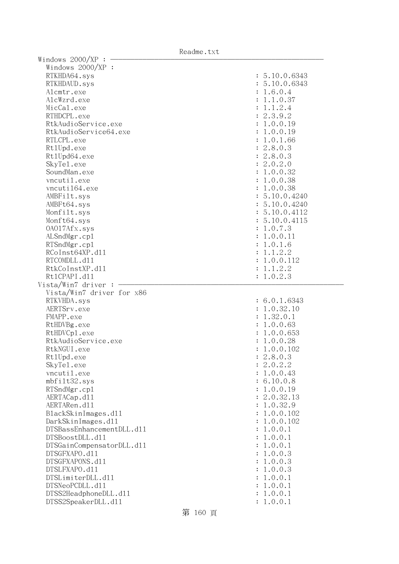Readme.txt

| Windows $2000/XP:$ -<br>Windows 2000/XP : |               |
|-------------------------------------------|---------------|
|                                           | : 5.10.0.6343 |
| RTKHDA64.sys                              |               |
| RTKHDAUD.sys                              | : 5.10.0.6343 |
| Alcmtr.exe                                | : 1.6.0.4     |
| AlcWzrd.exe                               | : 1.1.0.37    |
| MicCal.exe                                | : 1.1.2.4     |
| RTHDCPL.exe                               | : 2.3.9.2     |
| RtkAudioService.exe                       | : 1.0.0.19    |
| RtkAudioService64.exe                     | : 1.0.0.19    |
| RTLCPL.exe                                | : 1.0.1.66    |
| Rt1Upd.exe                                | : 2.8.0.3     |
| Rt1Upd64.exe                              | : 2.8.0.3     |
| SkyTe1.exe                                | : 2.0.2.0     |
| SoundMan.exe                              | : 1.0.0.32    |
| vncutil.exe                               | : 1.0.0.38    |
| vncuti164.exe                             | : 1.0.0.38    |
| AMBFilt.sys                               | : 5.10.0.4240 |
| AMBFt64.sys                               | : 5.10.0.4240 |
| Monfilt.sys                               | : 5.10.0.4112 |
| Monft64.sys                               | : 5.10.0.4115 |
| 0A017Afx.sys                              | : 1.0.7.3     |
| ALSndMgr.cp1                              | : 1.0.0.11    |
| RTSndMgr.cp1                              | : 1.0.1.6     |
| RCoInst64XP.d11                           | : 1.1.2.2     |
| RTCOMDLL.d11                              | : 1.0.0.112   |
| RtkCoInstXP.d11                           | : 1.1.2.2     |
| Rt1CPAPI.d11                              | : 1.0.2.3     |
| Vista/Win7 driver : $-$                   |               |
| Vista/Win7 driver for x86                 |               |
| RTKVHDA.sys                               | : 6.0.1.6343  |
| AERTSrv.exe                               | : 1.0.32.10   |
| FMAPP.exe                                 | : 1.32.0.1    |
| RtHDVBg.exe                               | : 1.0.0.63    |
| RtHDVCp1.exe                              | : 1.0.0.653   |
| RtkAudioService.exe                       | : 1.0.0.28    |
| RtkNGUI.exe                               | : 1.0.0.102   |
| Rt1Upd.exe                                | : 2.8.0.3     |
| SkyTel.exe                                | : 2.0.2.2     |
| vncutil.exe                               | : 1.0.0.43    |
| mbfilt32.sys                              | : 6.10.0.8    |
| RTSndMgr.cp1                              | : 1.0.0.19    |
| AERTACap.d11                              | : 2.0.32.13   |
| AERTARen.d11                              | : 1.0.32.9    |
| BlackSkinImages.dl1                       | : 1.0.0.102   |
| DarkSkinImages.d11                        | : 1.0.0.102   |
| DTSBassEnhancementDLL.d11                 | : 1.0.0.1     |
| DTSBoostDLL.d11                           | : 1.0.0.1     |
|                                           | : 1.0.0.1     |
| DTSGainCompensatorDLL.d11                 |               |
| DTSGFXAPO.d11                             | : 1.0.0.3     |
| DTSGFXAPONS.d11                           | : 1.0.0.3     |
| DTSLFXAPO.d11                             | : 1.0.0.3     |
| DTSLimiterDLL.d11                         | : 1.0.0.1     |
| DTSNeoPCDLL.d11                           | : 1.0.0.1     |
| DTSS2HeadphoneDLL.d11                     | : 1.0.0.1     |
| DTSS2SpeakerDLL.d11                       | : 1.0.0.1     |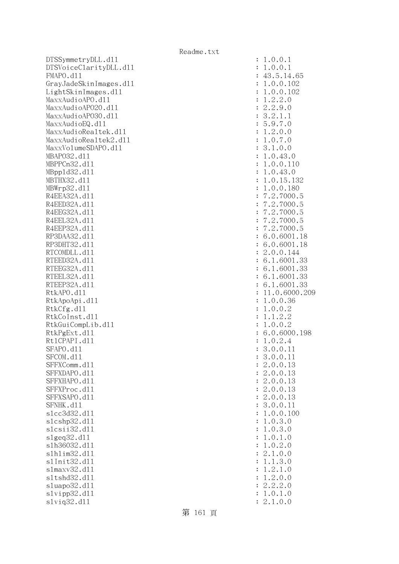DTSSymmetryDLL.dl1 DTSVoiceClarityDLL.dl1 FMAPO.d11 GrayJadeSkinImages.dl1 LightSkinImages.dl1 MaxxAudioAPO.dll MaxxAudioAPO20.dll MaxxAudioAP030.dll MaxxAudioEQ.dll MaxxAudioRealtek.dll MaxxAudioRealtek2.dll MaxxVolumeSDAPO.dll MBAP032.d11 MBPPCn32.d11 MBpp1d32.d11 MBTHX32.d11 MBWrp32.d11 R4EEA32A.d11 R4EED32A.d11 R4EEG32A.d11 R4EEL32A.d11 R4EEP32A.d11 RP3DAA32.d11 RP3DHT32.d11 RTCOMDLL.d11 RTEED32A.d11 RTEEG32A.d11 RTEEL32A.d11 RTEEP32A.d11 RtkAPO.dll : 11.0.6000.209 RtkApoApi.dl1 RtkCfg.dll RtkCoInst.dl1 RtkGuiCompLib.d11 RtkPgExt.dl1 Rt1CPAPI.d11 SFAPO.d11 SFCOM.d11 SFFXComm.dl1 SFFXDAPO.d11 SFFXHAPO.d11 SFFXProc.dl1 SFFXSAPO.d11 SFNHK.d11 slcc3d32.d11 slcshp32.dl1 slcsii32.dll : 1.0.3.0  $slgeq32$ .dll s1h36032.dl1 slhlim32.dll s1Init32.d11 s1maxv32.d11 s1tshd32.d11 sluapo32.dl1 slvipp32.dl1 slviq32.dll : 2.1.0.0

| $\ddot{\cdot}$ | 1.0.0.1                                                                                                                                                          |
|----------------|------------------------------------------------------------------------------------------------------------------------------------------------------------------|
| $\ddot{\cdot}$ | 1.0.0.1                                                                                                                                                          |
| $\ddot{\cdot}$ |                                                                                                                                                                  |
| $\ddot{\cdot}$ | $43.5.14.65$<br>$1.0.0.102$                                                                                                                                      |
|                | .0.0.102                                                                                                                                                         |
| $\ddot{\cdot}$ | $\mathbf 1$                                                                                                                                                      |
| $\ddot{\cdot}$ | $.2.0$<br>$.9.0$<br>$\cdot$ 2<br>1                                                                                                                               |
| $\ddot{\cdot}$ | $\overline{2}$<br>$\cdot$ 2                                                                                                                                      |
| $\ddot{\cdot}$ | $\cdot$ 1<br>$\cdot$ 2<br>$\cdot$ 1<br>3                                                                                                                         |
| $\ddot{\cdot}$ | .9.7.0<br>$\frac{7}{5}$                                                                                                                                          |
| $\ddot{\cdot}$ | .0.0<br>1.2                                                                                                                                                      |
| $\ddot{\cdot}$ | 1.0.7.0                                                                                                                                                          |
| $\ddot{\cdot}$ | 3.1.0.0                                                                                                                                                          |
| $\ddot{\cdot}$ | .0.43.0<br>$\mathbf 1$                                                                                                                                           |
| $\ddot{\cdot}$ | .0.0.110<br>$\mathbf 1$                                                                                                                                          |
| $\ddot{\cdot}$ | .0.43.0<br>1                                                                                                                                                     |
| $\ddot{\cdot}$ | $\mathbf 1$                                                                                                                                                      |
| $\ddot{\cdot}$ | $.0.15.132$<br>$.0.0.180$<br>$\mathbf{1}$                                                                                                                        |
| $\ddot{\cdot}$ | $\cdot$ 2<br>.7000.5                                                                                                                                             |
|                | $\cdot$ 2                                                                                                                                                        |
| $\ddot{\cdot}$ | $\begin{array}{c} 7 \\ 7 \\ 7 \\ 7 \end{array}$<br>$.7000.5$<br>$.7000.5$                                                                                        |
| $\ddot{\cdot}$ | $\cdot$ 2                                                                                                                                                        |
| $\ddot{\cdot}$ | $\cdot$ 2<br>.7000.                                                                                                                                              |
| $\ddot{\cdot}$ | $\cdot$ 2<br>.7000.<br>$\overline{7}$                                                                                                                            |
| $\ddot{\cdot}$ | 6                                                                                                                                                                |
| $\ddot{\cdot}$ | $.2118$<br>0.6001.18<br>0.6001.18<br>6                                                                                                                           |
| $\ddot{\cdot}$ | .0.0.144<br>$\overline{c}$                                                                                                                                       |
| $\ddot{\cdot}$ | .1.6001.33<br>6                                                                                                                                                  |
| $\ddot{\cdot}$ | $.1.6001.33$<br>$.1.6001.33$<br>6                                                                                                                                |
| $\ddot{\cdot}$ | 6                                                                                                                                                                |
| $\ddot{\cdot}$ | $6.1.6001.33$<br>$11.0.6000.209$                                                                                                                                 |
| $\ddot{\cdot}$ |                                                                                                                                                                  |
| $\ddot{\cdot}$ | 1.0.0.36                                                                                                                                                         |
| $\ddot{\cdot}$ | .0.0.2<br>1                                                                                                                                                      |
| $\ddot{\cdot}$ | .1.2.2<br>1                                                                                                                                                      |
| $\ddot{\cdot}$ | 1.0.0.2                                                                                                                                                          |
| $\ddot{\cdot}$ | .0.6000.198<br>6                                                                                                                                                 |
| $\ddot{\cdot}$ | 1.0.2.4                                                                                                                                                          |
| $\ddot{\cdot}$ | .0.0.11<br>3                                                                                                                                                     |
|                |                                                                                                                                                                  |
| $\ddot{\cdot}$ | 0.0<br>3<br>$\mathbf 1$<br>1<br>$\ddot{\phantom{0}}$<br>$\ddot{\phantom{a}}$                                                                                     |
| $\ddot{\cdot}$ | $\cdot$ <sup>0</sup><br>$\ddot{\phantom{0}}$<br>$\overline{c}$<br>$\mathcal{O}$<br>3<br>$\mathbf 1$                                                              |
| $\ddot{\cdot}$ | $\cdot$ <sup>0</sup><br>$\cdot$ <sup>0</sup><br>$\ddot{\phantom{0}}$<br>$\overline{c}$<br>3<br>1                                                                 |
| $\ddot{\cdot}$ | $\cdot$ <sup>0</sup><br>$\cdot$ <sup>0</sup><br>$\overline{c}$<br>$\ddot{\phantom{a}}$<br>3<br>1                                                                 |
| $\ddot{\cdot}$ | $\cdot$ <sup>0</sup><br>$\cdot$ <sup>0</sup><br>$\overline{c}$<br>$\ddot{\phantom{0}}$<br>3<br>$\mathbf{1}$                                                      |
| $\ddot{\cdot}$ | $\cdot$ <sup>0</sup><br>$\cdot$ <sup>0</sup><br>$\overline{c}$<br>$\ddot{\phantom{a}}$<br>3<br>$\mathbf{1}$                                                      |
| $\ddot{\cdot}$ | $\cdot$ <sup>0</sup><br>$\cdot$ <sup>0</sup><br>$\ddot{\phantom{a}}$<br>3<br>$\mathbf 1$<br>$\mathbf 1$                                                          |
| $\ddot{\cdot}$ | $\cdot$ <sup>0</sup><br>$\ddot{\phantom{a}}$<br>$\ddot{\phantom{0}}$<br>$\overline{O}$<br>$\mathbf{1}$<br>100                                                    |
| $\ddot{\cdot}$ | $\ddot{\phantom{0}}$<br>$\ddot{\phantom{0}}$<br>$\ddot{\phantom{0}}$<br>$\overline{O}$<br>3<br>$\overline{O}$<br>$\mathbf{1}$                                    |
| $\ddot{\cdot}$ | $\ddot{\phantom{0}}$<br>$\ddot{\phantom{0}}$<br>$\overline{O}$<br>$\ddot{\phantom{0}}$<br>$\overline{O}$<br>1                                                    |
| $\ddot{\cdot}$ | $\begin{array}{c} 3 \\ 1 \\ 2 \end{array}$<br>$\ddot{\phantom{0}}$<br>$\overline{a}$<br>$\ddot{\phantom{0}}$<br>$\overline{O}$<br>$\overline{O}$<br>$\mathbf{1}$ |
| $\ddot{\cdot}$ | $\ddot{\phantom{0}}$<br>$\ddot{\phantom{0}}$<br>$\overline{O}$<br>$\ddot{\phantom{0}}$<br>$\overline{O}$<br>1                                                    |
| $\ddot{\cdot}$ | $\ddot{\phantom{0}}$<br>$\cdot$ 0<br>$\overline{O}$<br>$\overline{c}$                                                                                            |
| $\ddot{\cdot}$ | $\ddot{\phantom{0}}$<br>$\ddot{\phantom{0}}$<br>3<br>$\cdot$ <sup>0</sup><br>$\mathbf 1$                                                                         |
| $\ddot{\cdot}$ | $\frac{1}{2}$<br>$\ddot{\phantom{0}}$<br>$\ddot{\phantom{0}}$<br>$\ddot{\phantom{a}}$<br>$\mathbf{1}$<br>$\overline{O}$<br>$\mathbf{1}$                          |
| $\ddot{\cdot}$ | $\ddot{\phantom{0}}$<br>$\ddot{\phantom{a}}$<br>$\overline{c}$<br>$\ddot{\phantom{0}}$<br>$\overline{O}$<br>$\overline{O}$<br>1                                  |
| $\ddot{\cdot}$ | $\ddot{\phantom{0}}$<br>$\ddot{\phantom{a}}$<br>$\overline{c}$<br>$\overline{c}$<br>$\overline{c}$<br>$\overline{O}$                                             |
| $\ddot{\cdot}$ | $\overline{a}$<br>$\ddot{\phantom{a}}$<br>$0$ .<br>$\mathbf 1$<br>$\overline{O}$<br>1                                                                            |
|                |                                                                                                                                                                  |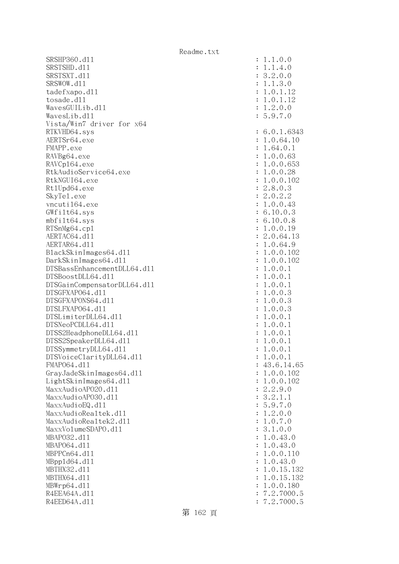SRSHP360.d11 : 1.1.0.0 SRSTSHD.d11 : 1.1.4.0 SRSTSXT.d11 : 3.2.0.0 SRSWOW.d11 : 1.1.3.0 tadefxapo.dl1 : 1.0.1.12 tosade.dll : 1.0.1.12  $Waves GUILib. d11$  :  $1.2.0.0$  WavesLib.dll : 5.9.7.0 Vista/Win7 driver for x64 RTKVHD64.sys : 6.0.1.6343 AERTSr64.exe : 1.0.64.10 FMAPP.exe : 1.64.0.1 RAVBg64.exe : 1.0.0.63 RAVCp164.exe : 1.0.0.653 RtkAudioService64.exe : 1.0.0.28 RtkNGUI64.exe : 1.0.0.102 Rt1Upd64.exe : 2.8.0.3 SkyTel.exe : 2.0.2.2 vncuti164.exe : 1.0.0.43 GWfilt64.sys : 6.10.0.3 mbfilt64.sys : 6.10.0.8 RTSnMg64.cpl : 1.0.0.19 AERTAC64.d11 : 2.0.64.13 AERTAR64.d11 : 1.0.64.9 BlackSkinImages64.dll : 1.0.0.102 DarkSkinImages64.dll : 1.0.0.102 DTSBassEnhancementDLL64.dll : 1.0.0.1  $DTSBoostDL64. d11$  :  $1.0.0.1$ DTSGainCompensatorDLL64.dll : 1.0.0.1 DTSGFXAPO64.dll : 1.0.0.3 DTSGFXAPONS64.dll : 1.0.0.3 DTSLFXAPO64.dll : 1.0.0.3 DTSLimiterDLL64.dll : 1.0.0.1 DTSNeoPCDLL64.dll : 1.0.0.1 DTSS2HeadphoneDLL64.d11 : 1.0.0.1 DTSS2SpeakerDLL64.dl1 : 1.0.0.1 DTSSymmetryDLL64.dl1 : 1.0.0.1 DTSVoiceClarityDLL64.dll : 1.0.0.1 FMAPO64.d11 : 43.6.14.65 GrayJadeSkinImages64.dl1 : 1.0.0.102 LightSkinImages64.dl1 : 1.0.0.102 MaxxAudioAPO20.dll : 2.2.9.0 MaxxAudioAPO30.dl1 : 3.2.1.1 MaxxAudioEQ.dll : 5.9.7.0 MaxxAudioRealtek.dll  $\qquad \qquad \qquad$  : 1.2.0.0 MaxxAudioRealtek2.dll  $\qquad \qquad$  : 1.0.7.0 MaxxVolumeSDAPO.dll : 3.1.0.0 MBAPO32.dll : 1.0.43.0 MBAPO64.dll : 1.0.43.0 MBPPCn64.dll : 1.0.0.110 MBppld64.dll : 1.0.43.0 MBTHX32.dll : 1.0.15.132 MBTHX64.d11 : 1.0.15.132 MBWrp64.dll : 1.0.0.180 R4EEA64A.d11 : 7.2.7000.5 R4EED64A.d11 : 7.2.7000.5

第 162 頁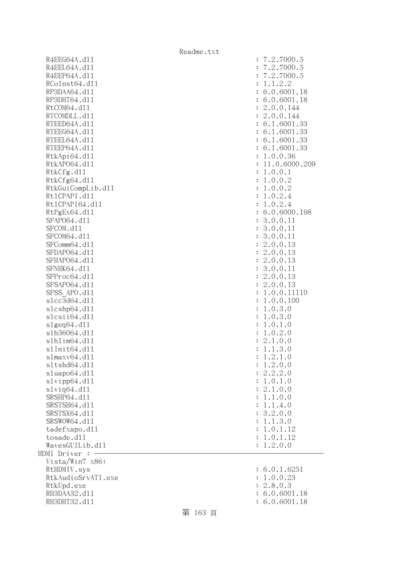R4EEG64A.d11 R4EEL64A.d11 R4EEP64A.d11 RCoInst64.dl1 RP3DAA64.d11 RP3DHT64.d11 RtCOM64.d11 RTCOMDLL.d11 RTEED64A.dl1 RTEEG64A.dl1 RTEEL64A.d11 RTEEP64A.dll RtkApi64.dll RtkAP064.d11 RtkCfg.dll RtkCfg64.dl1 RtkGuiCompLib.d11 Rt1CPAPI.d11 Rt1CPAPI64.d11 RtPgEx64.dll SFAP064.d11 SFCOM.dl1 SFCOM64.d11 SFComm64.dl1 SFDAP064.dl1 SFHAP064.d11 SFNHK64.d11 SFProc64.dl1 SFSAP064.d11 SFSS APO.dl1 slcc3d64.dl1 slcshp64.dll  $s$ lcsii $64.$ d $11$ slgeq64.dll slh36064.dl1 slhlim64.dll s1Init64.d11 s1maxv64.dl1 s1tshd64.dl1 sluapo64.dl1  $slvipp64.d11$ slviq64.dll SRSHP64.d11 SRSTSH64.d11 SRSTSX64.d11 SRSWOW64.d11 tadefxapo.dl1 tosade.dl1 WavesGUILib.d11  $HDMI$  Driver :  $-$  Vista/Win7 x86: RtHDMIV.sys RtkAudioSrvATI.exe RtkUpd.exe RH3DAA32.d11 RH3DHT32.d11 : 6.0.6001.18

| $\ddot{\cdot}$<br>$\ddot{\cdot}$<br>$\ddot{\cdot}$<br>$\ddot{\cdot}$<br>$\ddot{\cdot}$<br>$\ddot{\cdot}$ | 7.2.7000.5<br>7.2.7000.5<br>7.2.7000.5<br>1.1.2.2<br>6.0.6001.18<br>6.0.6001.18 |
|----------------------------------------------------------------------------------------------------------|---------------------------------------------------------------------------------|
| $\ddot{\cdot}$                                                                                           | 2.0.0.144                                                                       |
| $\ddot{\cdot}$                                                                                           | 2.0.0.144                                                                       |
| $\ddot{\cdot}$                                                                                           | 6.1.6001.33                                                                     |
| $\ddot{\cdot}$                                                                                           | 6.1.6001.33                                                                     |
|                                                                                                          |                                                                                 |
| $\ddot{\cdot}$                                                                                           | 6.1.6001.33                                                                     |
| $\ddot{\cdot}$                                                                                           | 6.1.6001.33                                                                     |
| $\ddot{\cdot}$                                                                                           | 1.0.0.36                                                                        |
| $\ddot{\cdot}$                                                                                           | 11.0.6000.209                                                                   |
| $\ddot{\cdot}$                                                                                           | 1.0.0.1                                                                         |
| $\ddot{\cdot}$                                                                                           | 1.0.0.2                                                                         |
| $\ddot{\cdot}$                                                                                           | 1.0.0.2                                                                         |
| $\ddot{\cdot}$                                                                                           | 1.0.2.4                                                                         |
| $\ddot{\cdot}$                                                                                           | 1.0.2.4                                                                         |
| $\ddot{\cdot}$                                                                                           | 6.0.6000.198                                                                    |
| $\ddot{\cdot}$                                                                                           | 3.0.0.11                                                                        |
| $\ddot{\cdot}$                                                                                           | 3.0.0.11                                                                        |
|                                                                                                          | 3.0.0.11                                                                        |
| $\ddot{\cdot}$                                                                                           |                                                                                 |
| $\ddot{\cdot}$                                                                                           | 2.0.0.13                                                                        |
| $\ddot{\cdot}$                                                                                           | 2.0.0.13                                                                        |
| $\ddot{\cdot}$                                                                                           | 2.0.0.13                                                                        |
| $\ddot{\cdot}$                                                                                           | 3.0.0.11                                                                        |
| $\ddot{\cdot}$                                                                                           | 2.0.0.13                                                                        |
| $\ddot{\cdot}$                                                                                           | 2.0.0.13                                                                        |
| $\ddot{\cdot}$                                                                                           | 1.0.0.11110                                                                     |
| $\ddot{\cdot}$                                                                                           | 1.0.0.100                                                                       |
| $\ddot{\cdot}$                                                                                           | 1.0.3.0                                                                         |
| $\ddot{\cdot}$                                                                                           | 1.0.3.0                                                                         |
| $\ddot{\cdot}$                                                                                           | 1.0.1.0                                                                         |
| $\vdots$                                                                                                 | 1.0.2.0                                                                         |
| $\ddot{\cdot}$                                                                                           | 2.1.0.0                                                                         |
| $\colon$                                                                                                 | 1.1.3.0                                                                         |
| $\ddot{\cdot}$                                                                                           | $\mathbf 1$<br>.2.1.0                                                           |
| $\ddot{\cdot}$                                                                                           | 1.2.0.0                                                                         |
| $\ddot{\cdot}$                                                                                           | 2.2.2.0                                                                         |
| $\ddot{\cdot}$                                                                                           | 1.0.1.0                                                                         |
|                                                                                                          | 2.1.0.0                                                                         |
| $\ddot{\cdot}$                                                                                           | 1.1.0.0                                                                         |
| $\ddot{\cdot}$                                                                                           |                                                                                 |
| $\ddot{\cdot}$                                                                                           | 1.1.4.0                                                                         |
| $\ddot{\cdot}$                                                                                           | 3.2.0.0                                                                         |
| $\ddot{\cdot}$                                                                                           | 1.1.3.0                                                                         |
| $\ddot{\cdot}$                                                                                           | 1.0.1.12                                                                        |
| $\colon$                                                                                                 | 1.0.1.12                                                                        |
| $\colon$                                                                                                 | 1.2.0.0                                                                         |
|                                                                                                          |                                                                                 |
| $\ddot{\cdot}$<br>$\ddot{\cdot}$<br>$\ddot{\cdot}$                                                       | 6.0.1.6251<br>1.0.0.23<br>2.8.0.3                                               |
|                                                                                                          | $6.0.6001$ .                                                                    |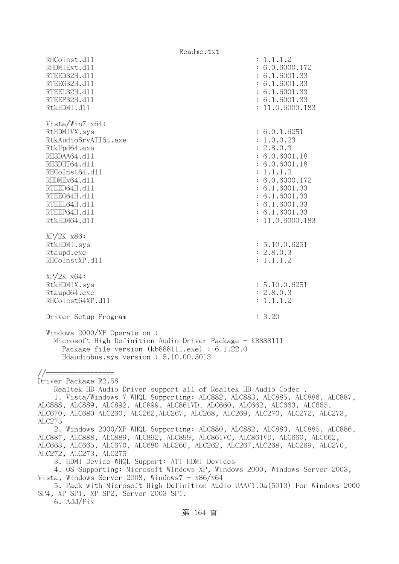Readme.txt RHCoInst.d11 : 1.1.1.2 RHDMIExt.d11 : 6.0.6000.172 RTEED32H.d11 : 6.1.6001.33 RTEEG32H.d11 : 6.1.6001.33 RTEEL32H.d11 : 6.1.6001.33 RTEEP32H.d11 : 6.1.6001.33 RtkHDMI.d11 : 11.0.6000.183 Vista/Win7 x64: RtHDMIVX.sys : 6.0.1.6251 RtkAudioSrvATI64.exe : 1.0.0.23 RtkUpd64.exe : 2.8.0.3 RH3DAA64.d11 : 6.0.6001.18 RH3DHT64.d11 : 6.0.6001.18 RHCoInst64.d11 : 1.1.1.2 RHDMEx64.d11 : 6.0.6000.172 RTEED64H.d11 : 6.1.6001.33 RTEEG64H.d11 : 6.1.6001.33 RTEEL64H.d11 : 6.1.6001.33 RTEEP64H.dl1 : 6.1.6001.33 RtkHDM64.dll : 11.0.6000.183 XP/2K x86: RtkHDMI.sys : 5.10.0.6251 Rtaupd.exe : 2.8.0.3 RHCoInstXP.d11 : 1.1.1.2 XP/2K x64: RtkHDMIX.sys : 5.10.0.6251 Rtaupd64.exe : 2.8.0.3 RHCoInst64XP.d11 : 1.1.1.2 Driver Setup Program : 3.20 Windows 2000/XP Operate on : Microsoft High Definition Audio Driver Package - KB888111 Package file version (kb888111.exe) : 6.1.22.0 Hdaudiobus.sys version : 5.10.00.5013 //================= Driver Package R2.58 Realtek HD Audio Driver support all of Realtek HD Audio Codec . 1. Vista/Windows 7 WHQL Supporting: ALC882, ALC883, ALC885, ALC886, ALC887, ALC888, ALC889, ALC892, ALC899, ALC861VD, ALC660, ALC662, ALC663, ALC665, ALC670, ALC680 ALC260, ALC262,ALC267, ALC268, ALC269, ALC270, ALC272, ALC273, ALC275 2. Windows 2000/XP WHQL Supporting: ALC880, ALC882, ALC883, ALC885, ALC886, ALC887, ALC888, ALC889, ALC892, ALC899, ALC861VC, ALC861VD, ALC660, ALC662, ALC663, ALC665, ALC670, ALC680 ALC260, ALC262, ALC267,ALC268, ALC269, ALC270, ALC272, ALC273, ALC275 3. HDMI Device WHQL Support: ATI HDMI Devices 4. OS Supporting: Microsoft Windows XP, Windows 2000, Windows Server 2003, Vista, Windows Server 2008, Windows $7 - x86/x64$  5. Pack with Microsoft High Definition Audio UAAV1.0a(5013) For Windows 2000 SP4, XP SP1, XP SP2, Server 2003 SP1. 6. Add/Fix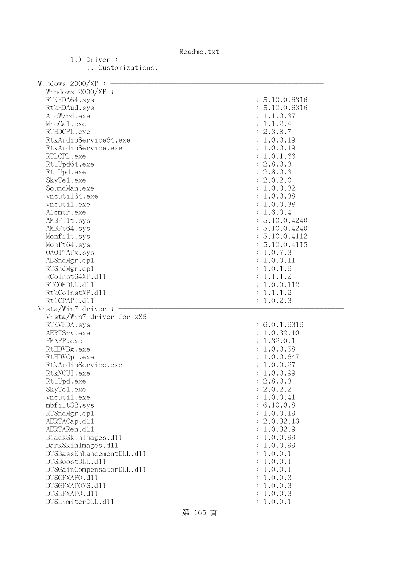1.) Driver : 1. Customizations.

| Windows $2000/XP: -$        |                            |
|-----------------------------|----------------------------|
| Windows 2000/XP :           |                            |
| RTKHDA64.sys                | : 5.10.0.6316              |
| RtkHDAud.sys                | : 5.10.0.6316              |
| AlcWzrd.exe                 | : 1.1.0.37                 |
| MicCal.exe                  | : 1.1.2.4                  |
| RTHDCPL.exe                 | : 2.3.8.7                  |
| RtkAudioService64.exe       | : 1.0.0.19                 |
| RtkAudioService.exe         | : 1.0.0.19                 |
| RTLCPL.exe                  | : 1.0.1.66                 |
| Rt1Upd64.exe                | : 2.8.0.3                  |
| Rt1Upd.exe                  | : 2.8.0.3                  |
| SkyTe1.exe                  | : 2.0.2.0                  |
| SoundMan.exe                | : 1.0.0.32                 |
| vncuti164.exe               | : 1.0.0.38                 |
| vncutil.exe                 | : 1.0.0.38                 |
| Alcmtr.exe                  |                            |
| AMBFilt.sys                 | : 1.6.0.4<br>: 5.10.0.4240 |
| AMBFt64.sys                 | : 5.10.0.4240              |
| Monfilt.sys                 | : 5.10.0.4112              |
|                             |                            |
| Monft64.sys<br>0A017Afx.sys | : 5.10.0.4115<br>: 1.0.7.3 |
|                             |                            |
| ALSndMgr.cp1                | : 1.0.0.11                 |
| RTSndMgr.cp1                | : 1.0.1.6                  |
| RCoInst64XP.d11             | : 1.1.1.2                  |
| RTCOMDLL.d11                | : 1.0.0.112                |
| RtkCoInstXP.d11             | : 1.1.1.2                  |
| Rt1CPAPI.d11                | : 1.0.2.3                  |
| Vista/Win7 driver:          |                            |
| Vista/Win7 driver for x86   |                            |
| RTKVHDA.sys                 | : 6.0.1.6316               |
| AERTSrv.exe                 | : 1.0.32.10                |
| FMAPP.exe                   | : 1.32.0.1                 |
| RtHDVBg.exe                 | : 1.0.0.58                 |
| RtHDVCp1.exe                | : 1.0.0.647                |
| RtkAudioService.exe         | : 1.0.0.27                 |
| RtkNGUI.exe                 | : 1.0.0.99                 |
| Rt1Upd.exe                  | : 2.8.0.3                  |
| SkyTe1.exe                  | : 2.0.2.2                  |
| vncutil.exe                 | : 1.0.0.41                 |
| mbfilt32.sys                | : 6.10.0.8                 |
| RTSndMgr.cp1                | : 1.0.0.19                 |
| AERTACap.d11                | : 2.0.32.13                |
| AERTARen.d11                | : 1.0.32.9                 |
| BlackSkinImages.d11         | 1.0.0.99                   |
| DarkSkinImages.d11          | 1.0.0.99                   |
| DTSBassEnhancementDLL.d11   | : 1.0.0.1                  |
| DTSBoostDLL.d11             | 1.0.0.1                    |
| DTSGainCompensatorDLL.d11   | : 1.0.0.1                  |
| DTSGFXAPO.d11               | 1.0.0.3                    |
| DTSGFXAPONS.d11             | : 1.0.0.3                  |
| DTSLFXAPO.d11               | 1.0.0.3                    |
| DTSLimiterDLL.d11           | : 1.0.0.1                  |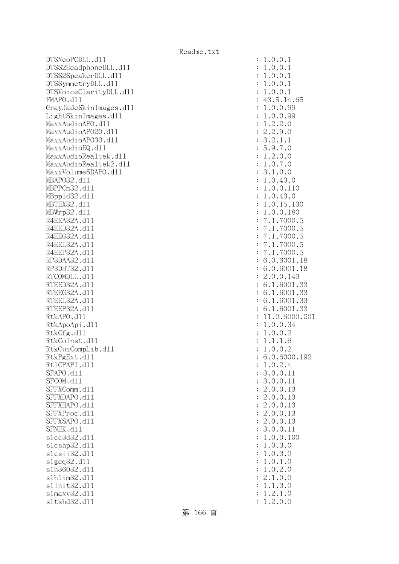DTSNeoPCDLL.dl1 DTSS2HeadphoneDLL.d11 DTSS2SpeakerDLL.dl1 DTSSymmetryDLL.dl1 DTSVoiceClarityDLL.dl1 FMAPO.d11 GrayJadeSkinImages.dl1  $LightSkinImages.d11$ MaxxAudioAPO.dll MaxxAudioAPO20.dll MaxxAudioAPO30.dll MaxxAudioEQ.dll MaxxAudioRealtek.dll MaxxAudioRealtek2.dll MaxxVolumeSDAPO.dl1 MBAP032.d11 MBPPCn32.d11 MBpp1d32.d11 MBTHX32.d11 MBWrp32.d11 R4EEA32A.d11 R4EED32A.d11 R4EEG32A.d11 R4EEL32A.d11 R4EEP32A.d11 RP3DAA32.d11 RP3DHT32.d11 RTCOMDLL.d11 RTEED32A.d11 RTEEG32A.d11 RTEEL32A.d11 RTEEP32A.d11 RtkAPO.d11 : 11.0.6000.201 RtkApoApi.dl1 RtkCfg.dll RtkCoInst.d11 RtkGuiCompLib.dl1 RtkPgExt.dll Rt1CPAPI.d11 SFAPO.d11 SFCOM.d11 SFFXComm.dl1 SFFXDAPO.d11 SFFXHAPO.d11 SFFXProc.dl1 SFFXSAPO.d11 SFNHK.d11 slcc3d32.d11 slcshp32.dl1 slcsii32.dl1 slgeq32.dl1 s1h36032.dl1 slhlim32.dll s1Init32.d11 s1maxv32.d11 sltshd32.dll : 1.2.0.0

| $\ddot{\cdot}$ | .0.0.1<br>1                                                                                                  |
|----------------|--------------------------------------------------------------------------------------------------------------|
| $\ddot{\cdot}$ | 1.0.0.1                                                                                                      |
| $\ddot{\cdot}$ | 1.0.0.<br>1                                                                                                  |
| $\ddot{\cdot}$ | 1.0.0.1                                                                                                      |
| $\ddot{\cdot}$ | 0.0.1<br>$\ddot{\phantom{0}}$<br>1                                                                           |
| $\ddot{\cdot}$ |                                                                                                              |
| $\ddot{\cdot}$ |                                                                                                              |
| $\ddot{\cdot}$ | $43.5.14.65$<br>$1.0.0.99$<br>$1.0.0.99$                                                                     |
| $\ddot{\cdot}$ |                                                                                                              |
| $\ddot{\cdot}$ | $1.2.2.0$<br>2.2.9.0<br>3.2.1.1                                                                              |
|                |                                                                                                              |
| $\ddot{\cdot}$ |                                                                                                              |
| $\ddot{\cdot}$ | 5.9.7.0<br>5.9.7.0<br>1.2.0.0<br>3.1.0.0                                                                     |
| $\ddot{\cdot}$ |                                                                                                              |
| $\ddot{\cdot}$ |                                                                                                              |
| $\ddot{\cdot}$ |                                                                                                              |
| $\ddot{\cdot}$ | 1.0.43.0<br>1.0.0.110                                                                                        |
| $\ddot{\cdot}$ |                                                                                                              |
| $\ddot{\cdot}$ | 1.0.43.0                                                                                                     |
| $\ddot{\cdot}$ |                                                                                                              |
| $\ddot{\cdot}$ | 1.0.15.130<br>1.0.0.180                                                                                      |
| $\ddot{\cdot}$ |                                                                                                              |
| $\ddot{\cdot}$ | $7.1.7000.5$<br>$7.1.7000.5$<br>$7.1.7000.5$<br>$7.1.7000.5$<br>$7.1.7000.5$<br>$6.0.6001.1$<br>$6.0.6001.1$ |
| $\ddot{\cdot}$ |                                                                                                              |
| $\ddot{\cdot}$ |                                                                                                              |
| $\ddot{\cdot}$ |                                                                                                              |
| $\ddot{\cdot}$ | 18                                                                                                           |
| $\ddot{\cdot}$ | 18                                                                                                           |
| $\ddot{\cdot}$ | 6.0.6001.<br>2.0.0.143                                                                                       |
| $\ddot{\cdot}$ | 2.0.0.143<br>6.1.6001.33<br>6.1.6001.33<br>6.1.6001.33<br>11.0.6000.20<br>1.0.0.34<br>1.0.0.2<br>1.1.1.6     |
| $\ddot{\cdot}$ |                                                                                                              |
| $\ddot{\cdot}$ |                                                                                                              |
| $\ddot{\cdot}$ |                                                                                                              |
|                |                                                                                                              |
| $\ddot{\cdot}$ |                                                                                                              |
| $\ddot{\cdot}$ |                                                                                                              |
| $\ddot{\cdot}$ |                                                                                                              |
| $\ddot{\cdot}$ |                                                                                                              |
| $\ddot{\cdot}$ | 0.0.2<br>$\ddot{\phantom{0}}$<br>$\mathbf 1$                                                                 |
| $\ddot{\cdot}$ | 6.0.6000.192                                                                                                 |
| $\ddot{\cdot}$ | 1.0.2.4                                                                                                      |
| $\ddot{\cdot}$ | 3.0.0.11                                                                                                     |
| $\ddot{\cdot}$ | 0.0.<br>11<br>3.                                                                                             |
| $\ddot{\cdot}$ | 2.<br>0.0.<br>13                                                                                             |
| $\ddot{\cdot}$ |                                                                                                              |
| $\ddot{\cdot}$ |                                                                                                              |
| $\ddot{\cdot}$ |                                                                                                              |
| $\ddot{\cdot}$ | 2.0.0.13<br>2.0.0.13<br>2.0.0.13<br>2.0.0.13<br>2.0.0.13                                                     |
| $\ddot{\cdot}$ | 3.0.0.11                                                                                                     |
| $\ddot{\cdot}$ | 1.<br>0.0.100                                                                                                |
| $\ddot{\cdot}$ | 1.<br>0.3.<br>$\mathcal{O}$                                                                                  |
| $\ddot{\cdot}$ | $\overline{0}$ .<br>1.<br>3.0                                                                                |
| $\ddot{\cdot}$ | 0.1.<br>1.<br>$\overline{O}$                                                                                 |
| $\ddot{\cdot}$ | 2.0<br>$\mathbf 1$<br>$\overline{0}$ .                                                                       |
| $\ddot{\cdot}$ | 2.<br>0.0<br>1.                                                                                              |
| $\ddot{\cdot}$ | 1.3.0<br>1.                                                                                                  |
| $\ddot{\cdot}$ | 2.1.0<br>1.                                                                                                  |
|                |                                                                                                              |

第 166 頁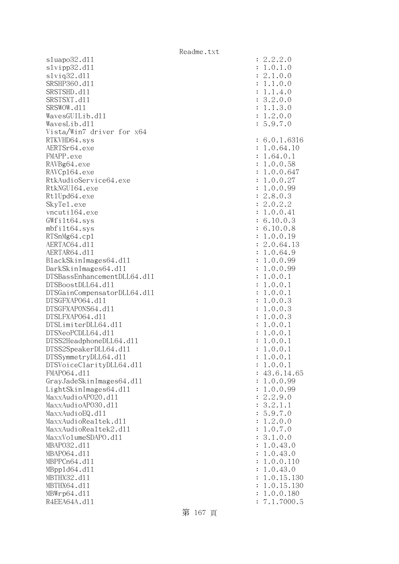sluapo32.dll : 2.2.2.0 slvipp32.dll : 1.0.1.0 slviq32.dll : 2.1.0.0 SRSHP360.d11 : 1.1.0.0 SRSTSHD.d11 : 1.1.4.0 SRSTSXT.d11 : 3.2.0.0 SRSWOW.d11 : 1.1.3.0  $Waves GUILib. d11$  :  $1.2.0.0$  WavesLib.dll : 5.9.7.0 Vista/Win7 driver for x64 RTKVHD64.sys : 6.0.1.6316 AERTSr64.exe : 1.0.64.10 FMAPP.exe : 1.64.0.1 RAVBg64.exe : 1.0.0.58 RAVCp164.exe : 1.0.0.647 RtkAudioService64.exe : 1.0.0.27 RtkNGUI64.exe : 1.0.0.99 Rt1Upd64.exe : 2.8.0.3 SkyTel.exe : 2.0.2.2 vncuti164.exe : 1.0.0.41 GWfilt64.sys : 6.10.0.3 mbfilt64.sys : 6.10.0.8 RTSnMg64.cp1 : 1.0.0.19 AERTAC64.d11 : 2.0.64.13 AERTAR64.d11 : 1.0.64.9 BlackSkinImages64.dl1 : 1.0.0.99 DarkSkinImages64.dll : 1.0.0.99 DTSBassEnhancementDLL64.dll : 1.0.0.1 DTSBoostDLL64.dll : 1.0.0.1 DTSGainCompensatorDLL64.dll : 1.0.0.1 DTSGFXAPO64.dll : 1.0.0.3 DTSGFXAPONS64.dll : 1.0.0.3 DTSLFXAPO64.dll : 1.0.0.3 DTSLimiterDLL64.dll : 1.0.0.1 DTSNeoPCDLL64.dll : 1.0.0.1 DTSS2HeadphoneDLL64.d11 : 1.0.0.1 DTSS2SpeakerDLL64.dl1 : 1.0.0.1 DTSSymmetryDLL64.dl1 : 1.0.0.1 DTSVoiceClarityDLL64.dll : 1.0.0.1 FMAPO64.d11 : 43.6.14.65 GrayJadeSkinImages64.dll : 1.0.0.99 LightSkinImages64.dll : 1.0.0.99 MaxxAudioAPO20.dll : 2.2.9.0 MaxxAudioAPO30.dl1 : 3.2.1.1 MaxxAudioEQ.dl1 : 5.9.7.0 MaxxAudioRealtek.dll  $\qquad \qquad \qquad$  : 1.2.0.0 MaxxAudioRealtek2.dll : 1.0.7.0 MaxxVolumeSDAPO.dl1 : 3.1.0.0 MBAPO32.dll : 1.0.43.0 MBAP064.d11 : 1.0.43.0 MBPPCn64.dll : 1.0.0.110 MBppld64.dll : 1.0.43.0 MBTHX32.d11 : 1.0.15.130 MBTHX64.d11 : 1.0.15.130 MBWrp64.dll : 1.0.0.180 R4EEA64A.d11 : 7.1.7000.5

第 167 頁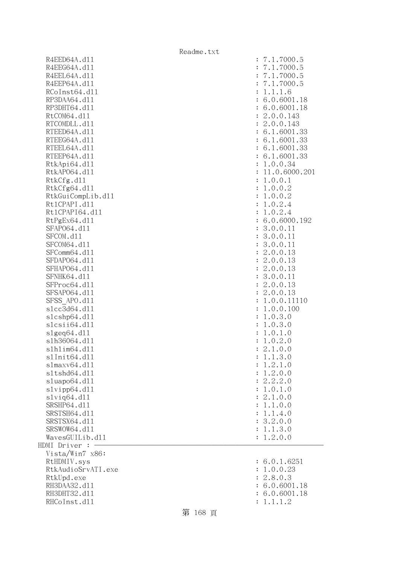| R4EED64A.d11       | : 7.1.7000.5    |
|--------------------|-----------------|
| R4EEG64A.d11       | 7.1.7000.5      |
| R4EEL64A.d11       | 7.1.7000.5      |
| R4EEP64A.d11       | 7.1.7000.5      |
| RCoInst64.d11      | : 1.1.1.6       |
| RP3DAA64.d11       | : 6.0.6001.18   |
| RP3DHT64.d11       | : 6.0.6001.18   |
| RtCOM64.d11        | : 2.0.0.143     |
| RTCOMDLL.d11       | : 2.0.0.143     |
| RTEED64A.d11       | : 6.1.6001.33   |
| RTEEG64A.d11       | : 6.1.6001.33   |
| RTEEL64A.d11       | : 6.1.6001.33   |
| RTEEP64A.d11       | : 6.1.6001.33   |
| RtkApi64.dl1       | : 1.0.0.34      |
| RtkAP064.d11       | : 11.0.6000.201 |
| RtkCfg.d11         | : 1.0.0.1       |
| RtkCfg64.d11       | : 1.0.0.2       |
| RtkGuiCompLib.d11  | : 1.0.0.2       |
| Rt1CPAPI.d11       | : 1.0.2.4       |
| Rt1CPAPI64.d11     | : 1.0.2.4       |
| RtPgEx64.d11       | : 6.0.6000.192  |
| SFAP064.d11        | : 3.0.0.11      |
| SFCOM.d11          | : 3.0.0.11      |
| SFCOM64.d11        | : 3.0.0.11      |
| SFComm64.d11       | : 2.0.0.13      |
|                    |                 |
| SFDAP064.d11       | : 2.0.0.13      |
| SFHAP064.d11       | : 2.0.0.13      |
| SFNHK64.d11        | : 3.0.0.11      |
| SFProc64.d11       | : 2.0.0.13      |
| SFSAP064.d11       | : 2.0.0.13      |
| SFSS APO.d11       | : 1.0.0.11110   |
| s1cc3d64.d11       | : 1.0.0.100     |
| slcshp64.dll       | : 1.0.3.0       |
| slcsii64.dll       | : 1.0.3.0       |
| slgeq64. d11       | : 1.0.1.0       |
| s1h36064.d11       | : 1.0.2.0       |
| s1h1im64.d11       | : 2.1.0.0       |
| s1Init64.d11       | 1.1.3.0         |
| slmaxv64.d11       | 1.2.1.0         |
| s1tshd64.d11       | 1.2.0.0         |
| sluapo64.dll       | 2.2.2.0         |
| slvipp64.dll       | : 1.0.1.0       |
| $s1$ viq $64. d11$ | : 2.1.0.0       |
| SRSHP64.d11        | : 1.1.0.0       |
| SRSTSH64.d11       | : 1.1.4.0       |
| SRSTSX64.d11       | : 3.2.0.0       |
| SRSWOW64.d11       | : 1.1.3.0       |
| WavesGUILib.d11    | : 1.2.0.0       |
| HDMI Driver :      |                 |
| Vista/Win7 x86:    |                 |
| RtHDMIV.sys        | : 6.0.1.6251    |
| RtkAudioSrvATI.exe | : 1.0.0.23      |
| RtkUpd.exe         | : 2.8.0.3       |
| RH3DAA32.d11       | 6.0.6001.18     |
| RH3DHT32.d11       | : 6.0.6001.18   |

| R4EED64A.d11                 |                      | 7.1.7000.5    |
|------------------------------|----------------------|---------------|
| R4EEG64A.d11                 |                      | 7.1.7000.5    |
| R4EEL64A.d11                 |                      | 7.1.7000.5    |
| R4EEP64A.d11                 |                      | 7.1.7000.5    |
| RCoInst64.d11                | $\ddot{\cdot}$       | 1.1.1.6       |
| RP3DAA64.d11                 |                      | 6.0.6001.18   |
| RP3DHT64.d11                 |                      | 6.0.6001.18   |
| RtCOM64.d11                  | $\ddot{\cdot}$       | 2.0.0.143     |
| RTCOMDLL.d11                 | $\ddot{\cdot}$       | 2.0.0.143     |
| RTEED64A.d11                 |                      | : 6.1.6001.33 |
| RTEEG64A.d11                 |                      | 6.1.6001.33   |
| RTEEL64A.d11                 |                      | 6.1.6001.33   |
| RTEEP64A.d11                 |                      | 6.1.6001.33   |
| RtkApi64.d11                 | $\ddot{\cdot}$       | 1.0.0.34      |
| RtkAP064.d11                 | $\ddot{\cdot}$       | 11.0.6000.201 |
| RtkCfg.d11                   | $\ddot{\cdot}$       | 1.0.0.1       |
| RtkCfg64.d11                 | $\ddot{\cdot}$       | 1.0.0.2       |
| RtkGuiCompLib.d11            |                      | : 1.0.0.2     |
| Rt1CPAPI.d11                 | $\ddot{\cdot}$       | 1.0.2.4       |
| Rt1CPAPI64.d11               | $\ddot{\cdot}$       | 1.0.2.4       |
| RtPgEx64.d11                 | $\ddot{\cdot}$       | 6.0.6000.192  |
| SFAP064.d11                  | $\ddot{\cdot}$       | 3.0.0.11      |
| SFCOM.d11                    |                      | : 3.0.0.11    |
| SFCOM64.d11                  |                      | : 3.0.0.11    |
| SFComm64.d11                 | $\ddot{\cdot}$       | 2.0.0.13      |
| SFDAP064.d11                 |                      | : 2.0.0.13    |
| SFHAP064.d11                 |                      | : 2.0.0.13    |
| SFNHK64.d11                  |                      | : 3.0.0.11    |
| SFProc64.d11                 | $\ddot{\cdot}$       | 2.0.0.13      |
| SFSAP064.d11                 | $\ddot{\cdot}$       | 2.0.0.13      |
| SFSS APO.d11                 | $\ddot{\cdot}$       | 1.0.0.11110   |
| s1cc3d64.d11                 | $\ddot{\cdot}$       | 1.0.0.100     |
| slcshp64.dll                 | $\ddot{\phantom{a}}$ | 1.0.3.0       |
| slcsii64.dll                 | $\ddot{\phantom{a}}$ | 1.0.3.0       |
| slgeq64.d11                  | $\ddot{\phantom{a}}$ | 1.0.1.0       |
| s1h36064.d11                 | $\ddot{\cdot}$       | 1.0.2.0       |
| s1h1im64.d11                 | $\ddot{\cdot}$       | 2.1.0.0       |
| s1Init64.d11                 |                      | 1.1.3.0       |
| slmaxv64.dll                 | $\ddot{\cdot}$       | 1.2.1.0       |
| s1tshd64.d11                 | $\ddot{\cdot}$       | 1.2.0.0       |
| sluapo64.dll                 | $\ddot{\cdot}$       | 2.2.2.0       |
| slvipp64.d11                 |                      | : 1.0.1.0     |
| $s1$ viq $64. d11$           |                      | : 2.1.0.0     |
| SRSHP64.d11                  |                      | : 1.1.0.0     |
| SRSTSH64.d11                 |                      | : 1.1.4.0     |
| SRSTSX64.d11                 |                      | : 3.2.0.0     |
| SRSWOW64.d11                 |                      | : 1.1.3.0     |
| WavesGUILib.d11              | $\ddot{\cdot}$       | 1.2.0.0       |
| MI Driver :                  |                      |               |
| Vista/Win7 x86:              |                      |               |
| RtHDMIV.sys                  |                      | : 6.0.1.6251  |
| RtkAudioSrvATI.exe           | $\ddot{\cdot}$       | 1.0.0.23      |
|                              |                      | 2.8.0.3       |
| RtkUpd.exe                   | $\ddot{\cdot}$       | : 6.0.6001.18 |
| RH3DAA32.d11<br>RH3DHT32.d11 |                      |               |
|                              |                      | 6.0.6001.18   |
| RHCoInst.d11                 | $\ddot{\cdot}$       | 1.1.1.2       |

## 第 168 頁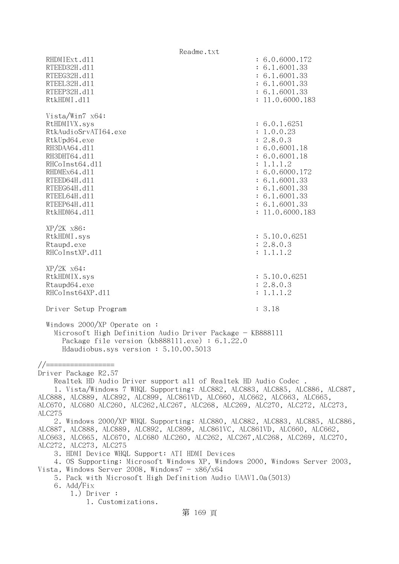Readme.txt RHDMIExt.d11 : 6.0.6000.172 RTEED32H.d11 : 6.1.6001.33 RTEEG32H.d11 : 6.1.6001.33 RTEEL32H.d11 : 6.1.6001.33 RTEEP32H.d11 : 6.1.6001.33 RtkHDMI.dl1 : 11.0.6000.183 Vista/Win7 x64: RtHDMIVX.sys : 6.0.1.6251 RtkAudioSrvATI64.exe : 1.0.0.23 RtkUpd64.exe : 2.8.0.3 RH3DAA64.d11 : 6.0.6001.18 RH3DHT64.d11 : 6.0.6001.18 RHCoInst64.d11 : 1.1.1.2 RHDMEx64.d11 : 6.0.6000.172 RTEED64H.dl1 : 6.1.6001.33 RTEEG64H.d11 : 6.1.6001.33 RTEEL64H.d11 : 6.1.6001.33 RTEEP64H.d11 : 6.1.6001.33 RtkHDM64.dll : 11.0.6000.183 XP/2K x86: RtkHDMI.sys : 5.10.0.6251 Rtaupd.exe : 2.8.0.3 RHCoInstXP.d11 : 1.1.1.2 XP/2K x64: RtkHDMIX.sys : 5.10.0.6251 Rtaupd64.exe : 2.8.0.3 RHCoInst64XP.d11 : 1.1.1.2 Driver Setup Program : 3.18 Windows 2000/XP Operate on : Microsoft High Definition Audio Driver Package - KB888111 Package file version (kb888111.exe) : 6.1.22.0 Hdaudiobus.sys version : 5.10.00.5013 //================= Driver Package R2.57 Realtek HD Audio Driver support all of Realtek HD Audio Codec . 1. Vista/Windows 7 WHQL Supporting: ALC882, ALC883, ALC885, ALC886, ALC887, ALC888, ALC889, ALC892, ALC899, ALC861VD, ALC660, ALC662, ALC663, ALC665, ALC670, ALC680 ALC260, ALC262,ALC267, ALC268, ALC269, ALC270, ALC272, ALC273, ALC275 2. Windows 2000/XP WHQL Supporting: ALC880, ALC882, ALC883, ALC885, ALC886, ALC887, ALC888, ALC889, ALC892, ALC899, ALC861VC, ALC861VD, ALC660, ALC662, ALC663, ALC665, ALC670, ALC680 ALC260, ALC262, ALC267,ALC268, ALC269, ALC270, ALC272, ALC273, ALC275 3. HDMI Device WHQL Support: ATI HDMI Devices 4. OS Supporting: Microsoft Windows XP, Windows 2000, Windows Server 2003, Vista, Windows Server 2008, Windows $7 - x86/x64$  5. Pack with Microsoft High Definition Audio UAAV1.0a(5013) 6. Add/Fix 1.) Driver : 1. Customizations. 第 169 頁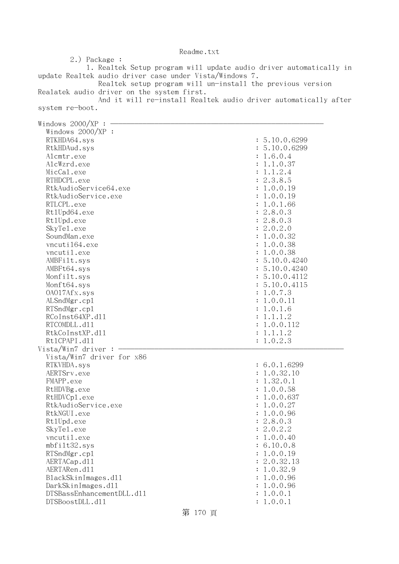2.) Package : 1. Realtek Setup program will update audio driver automatically in update Realtek audio driver case under Vista/Windows 7. Realtek setup program will un-install the previous version Realatek audio driver on the system first. And it will re-install Realtek audio driver automatically after system re-boot. Windows  $2000/XP$  :  $-$  Windows 2000/XP : RTKHDA64.sys : 5.10.0.6299 RtkHDAud.sys : 5.10.0.6299 Alcmtr.exe : 1.6.0.4 AlcWzrd.exe : 1.1.0.37 MicCal.exe : 1.1.2.4 RTHDCPL.exe : 2.3.8.5 RtkAudioService64.exe : 1.0.0.19 RtkAudioService.exe : 1.0.0.19 RTLCPL.exe : 1.0.1.66 Rt1Upd64.exe : 2.8.0.3 RtlUpd.exe : 2.8.0.3 SkyTel.exe : 2.0.2.0 SoundMan.exe : 1.0.0.32 vncuti164.exe : 1.0.0.38 vncutil.exe : 1.0.0.38 AMBFilt.sys : 5.10.0.4240 AMBFt64.sys : 5.10.0.4240 Monfilt.sys : 5.10.0.4112 Monft64.sys : 5.10.0.4115 OAO17Afx.sys : 1.0.7.3 ALSndMgr.cp1 : 1.0.0.11 RTSndMgr.cpl : 1.0.1.6  $RCoInst64XP.d11$  :  $1.1.1.2$ RTCOMDLL.d11 : 1.0.0.112 RtkCoInstXP.d11 : 1.1.1.2 RtlCPAPI.dll : 1.0.2.3  $Vista/Win7$  driver :  $-$  Vista/Win7 driver for x86 RTKVHDA.sys : 6.0.1.6299 AERTSrv.exe : 1.0.32.10 FMAPP.exe : 1.32.0.1 RtHDVBg.exe : 1.0.0.58 RtHDVCp1.exe : 1.0.0.637 RtkAudioService.exe : 1.0.0.27 RtkNGUI.exe : 1.0.0.96 RtlUpd.exe : 2.8.0.3 SkyTel.exe : 2.0.2.2 vncutil.exe : 1.0.0.40 : 1.0.0.40 mbfilt32.sys : 6.10.0.8 RTSndMgr.cp1 : 1.0.0.19 AERTACap.d11 : 2.0.32.13 AERTARen.d11 : 1.0.32.9 BlackSkinImages.dll : 1.0.0.96 DarkSkinImages.dll : 1.0.0.96 DTSBassEnhancementDLL.dl1 : 1.0.0.1 DTSBoostDLL.dll : 1.0.0.1

## Readme.txt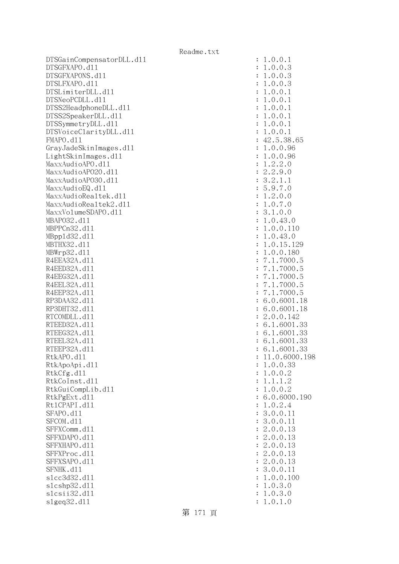DTSGainCompensatorDLL.dl1 DTSGFXAPO.d11 DTSGFXAPONS.d11 DTSLFXAPO.d11 DTSLimiterDLL.dl1 DTSNeoPCDLL.d11 DTSS2HeadphoneDLL.d11 DTSS2SpeakerDLL.d11 DTSSymmetryDLL.dl1 DTSVoiceClarityDLL.dl1 FMAPO.d11 GrayJadeSkinImages.dl1 LightSkinImages.dl1 MaxxAudioAPO.dll MaxxAudioAPO20.dll MaxxAudioAP030.dll MaxxAudioEQ.dll MaxxAudioRealtek.dll MaxxAudioRealtek2.dll MaxxVolumeSDAPO.dl1 MBAP032.d11 MBPPCn32.d11 MBpp1d32.d11 MBTHX32.d11 MBWrp32.d11 R4EEA32A.d11 R4EED32A.d11 R4EEG32A.d11 R4EEL32A.d11 R4EEP32A.d11 RP3DAA32.d11 RP3DHT32.d11 RTCOMDLL.d11 RTEED32A.d11 RTEEG32A.d11 RTEEL32A.d11 RTEEP32A.d11 RtkAPO.dll : 11.0.6000.198 RtkApoApi.dl1 RtkCfg.dl1 RtkCoInst.d11 RtkGuiCompLib.d11 RtkPgExt.dl1 Rt1CPAPI.d11 SFAPO.d11 SFCOM.d11 SFFXComm.d11 SFFXDAPO.d11 SFFXHAPO.d11 SFFXProc.dl1 SFFXSAPO.d11 SFNHK.d11 slcc3d32.d11 slcshp32.dl1 slcsii32.dl1 slgeq32.dll : 1.0.1.0

| $\ddot{\cdot}$ | .0.0.<br>$\mathbf{1}$<br>$\mathbf{1}$                                                                                                                                                                                                                                |
|----------------|----------------------------------------------------------------------------------------------------------------------------------------------------------------------------------------------------------------------------------------------------------------------|
| $\ddot{\cdot}$ |                                                                                                                                                                                                                                                                      |
|                |                                                                                                                                                                                                                                                                      |
| $\ddot{\cdot}$ |                                                                                                                                                                                                                                                                      |
| $\ddot{\cdot}$ |                                                                                                                                                                                                                                                                      |
| $\ddot{\cdot}$ |                                                                                                                                                                                                                                                                      |
| $\ddot{\cdot}$ |                                                                                                                                                                                                                                                                      |
|                |                                                                                                                                                                                                                                                                      |
|                |                                                                                                                                                                                                                                                                      |
|                | $1.0.0.3$<br>$1.0.0.3$<br>$1.0.0.1$<br>$1.0.0.1$<br>$1.0.0.1$<br>$1.0.0.1$<br>$1.0.0.1$<br>$1.0.0.1$<br>$1.0.0.1$<br>$1.0.0.1$<br>$1.0.0.1$<br>$1.0.0.1$<br>$1.0.0.96$<br>$1.0.0.96$<br>$1.0.0.96$<br>$1.0.0.96$<br>$1.0.0.96$<br>$1.0.0.96$<br>$1.2.2.0$<br>$2.2.9$ |
|                |                                                                                                                                                                                                                                                                      |
|                |                                                                                                                                                                                                                                                                      |
|                |                                                                                                                                                                                                                                                                      |
|                |                                                                                                                                                                                                                                                                      |
|                |                                                                                                                                                                                                                                                                      |
|                |                                                                                                                                                                                                                                                                      |
|                |                                                                                                                                                                                                                                                                      |
|                |                                                                                                                                                                                                                                                                      |
|                |                                                                                                                                                                                                                                                                      |
|                |                                                                                                                                                                                                                                                                      |
|                |                                                                                                                                                                                                                                                                      |
|                |                                                                                                                                                                                                                                                                      |
|                |                                                                                                                                                                                                                                                                      |
|                |                                                                                                                                                                                                                                                                      |
|                |                                                                                                                                                                                                                                                                      |
|                |                                                                                                                                                                                                                                                                      |
|                |                                                                                                                                                                                                                                                                      |
|                |                                                                                                                                                                                                                                                                      |
|                |                                                                                                                                                                                                                                                                      |
|                |                                                                                                                                                                                                                                                                      |
|                |                                                                                                                                                                                                                                                                      |
|                |                                                                                                                                                                                                                                                                      |
|                |                                                                                                                                                                                                                                                                      |
|                | 555588                                                                                                                                                                                                                                                               |
|                |                                                                                                                                                                                                                                                                      |
|                |                                                                                                                                                                                                                                                                      |
|                |                                                                                                                                                                                                                                                                      |
|                |                                                                                                                                                                                                                                                                      |
|                |                                                                                                                                                                                                                                                                      |
|                | $\begin{array}{c} 33 \\ 33 \\ 33 \\ \hline \end{array}$                                                                                                                                                                                                              |
|                |                                                                                                                                                                                                                                                                      |
|                |                                                                                                                                                                                                                                                                      |
|                |                                                                                                                                                                                                                                                                      |
| $\ddot{\cdot}$ | 1<br>1.0.6000.198                                                                                                                                                                                                                                                    |
| $\ddot{\cdot}$ | .0.0.33<br>$\mathbf 1$                                                                                                                                                                                                                                               |
| $\ddot{\cdot}$ | 0.0.2<br>1.                                                                                                                                                                                                                                                          |
| $\ddot{\cdot}$ | .1.1.2<br>1                                                                                                                                                                                                                                                          |
| $\ddot{\cdot}$ | 0.0.2<br>1<br>$\ddot{\phantom{0}}$                                                                                                                                                                                                                                   |
| $\ddot{\cdot}$ | 6.<br>0.6000.190                                                                                                                                                                                                                                                     |
|                |                                                                                                                                                                                                                                                                      |
| $\ddot{\cdot}$ | $\mathbf 1$<br>0.2.4<br>$\ddot{\phantom{0}}$                                                                                                                                                                                                                         |
| $\ddot{\cdot}$ | 3.0.0.11                                                                                                                                                                                                                                                             |
| $\ddot{\cdot}$ | 3.0.0.11                                                                                                                                                                                                                                                             |
| $\ddot{\cdot}$ | 2.0.0.<br>13                                                                                                                                                                                                                                                         |
| $\ddot{\cdot}$ | 2.0.0.<br>13                                                                                                                                                                                                                                                         |
| $\ddot{\cdot}$ | 2.0.0.13                                                                                                                                                                                                                                                             |
| $\ddot{\cdot}$ | 2.<br>0.0.13                                                                                                                                                                                                                                                         |
|                |                                                                                                                                                                                                                                                                      |
| $\ddot{\cdot}$ | 2.<br>0.0.13                                                                                                                                                                                                                                                         |
| $\ddot{\cdot}$ | 0.0.<br>3.<br>11                                                                                                                                                                                                                                                     |
| $\ddot{\cdot}$ | 0.0.<br>1.<br>100                                                                                                                                                                                                                                                    |
| $\ddot{\cdot}$ | 0.3.<br>1.<br>$\mathcal{O}$                                                                                                                                                                                                                                          |
| $\ddot{\cdot}$ | 1.0.3.0                                                                                                                                                                                                                                                              |
|                | $\cap$ 1<br>$\bigcap$<br>1.                                                                                                                                                                                                                                          |

第 171 頁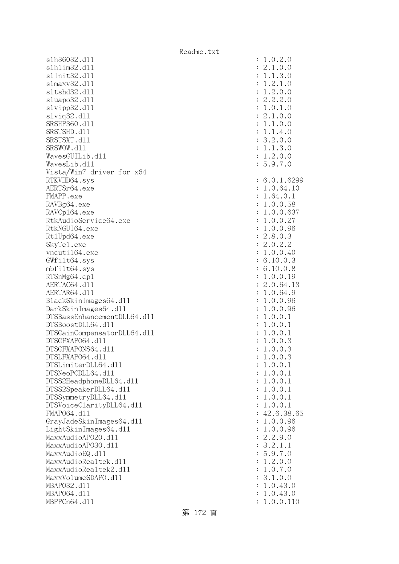s1h36032.dl1 slhlim32.dll s1Init32.d11 slmaxv32.dl1 sltshd32.d11 sluapo32.dl1 slvipp32.dl1 slviq32.dl1 SRSHP360.d11 SRSTSHD.d11 SRSTSXT.d11 SRSWOW.dl1 WavesGUILib.d11 WavesLib.dl1 Vista/Win7 driver for x64 RTKVHD64.svs AERTSr64.exe FMAPP.exe RAVBg64.exe RAVCp164.exe RtkAudioService64.exe RtkNGUI64.exe Rt1Upd64.exe SkyTel.exe vncuti164.exe  $GWfilt64.sys$  $mbf$ ilt $64.sys$ RTSnMg64.cp1 AERTAC64.dl1 AERTAR64.d11 BlackSkinImages64.dll DarkSkinImages64.dll DTSBassEnhancementDLL64.dl1 DTSBoostDLL64.d11 DTSGainCompensatorDLL64.dll DTSGFXAPO64.dl1 DTSGFXAPONS64.dl1 DTSLFXAP064.dl1 DTSLimiterDLL64.dl1 DTSNeoPCDLL64.dl1 DTSS2HeadphoneDLL64.dl1 DTSS2SpeakerDLL64.dl1 DTSSymmetryDLL64.dl1 DTSVoiceClarityDLL64.dll FMAP064.d11 GrayJadeSkinImages64.dll  $LightSkinImages64. d11$ MaxxAudioAP020.dll MaxxAudioAPO30.dll MaxxAudioEQ.dll MaxxAudioRealtek.dll MaxxAudioRealtek2.dll MaxxVolumeSDAPO.dl1 MBAP032.d11 MBAP064.dl1 MBPPCn64.d11

| $\ddot{\cdot}$<br>$\ddot{\cdot}$<br>$\ddot{\cdot}$<br>$\ddot{\cdot}$<br>$\ddot{\cdot}$<br>$\ddot{\cdot}$<br>$\ddot{\cdot}$<br>$\ddot{\cdot}$<br>$\ddot{\cdot}$<br>$\ddot{\cdot}$<br>$\ddot{\cdot}$<br>$\ddot{\cdot}$<br>$\ddot{\cdot}$<br>$\ddot{\cdot}$                   | 1.0.2.0<br>2.1.0.0<br>.1.<br>$\overline{O}$<br>3.<br>$\mathbf 1$<br>2.1.<br>$\overline{O}$<br>$\mathbf 1$<br>$\ddot{\phantom{0}}$<br>2.0.<br>$\overline{O}$<br>$\mathbf 1$<br>$\ddot{\phantom{0}}$<br>2.2.2.<br>$\overline{O}$<br>1.0.1.<br>$\overline{O}$<br>2.1.0.<br>$\overline{O}$<br>1.1.0.<br>$\overline{O}$<br>$\mathbf 1$<br>.1.4.<br>$\overline{O}$<br>3.2.0.<br>$\overline{O}$<br>1.1.<br>3.0<br>2.0.0<br>1.<br>5.9.7.0 |
|----------------------------------------------------------------------------------------------------------------------------------------------------------------------------------------------------------------------------------------------------------------------------|-----------------------------------------------------------------------------------------------------------------------------------------------------------------------------------------------------------------------------------------------------------------------------------------------------------------------------------------------------------------------------------------------------------------------------------|
| $\ddot{\cdot}$<br>$\ddot{\cdot}$<br>$\ddot{\cdot}$<br>$\ddot{\cdot}$<br>$\ddot{\cdot}$<br>$\ddot{\cdot}$<br>$\ddot{\cdot}$<br>$\ddot{\cdot}$<br>$\ddot{\cdot}$<br>$\ddot{\cdot}$<br>$\ddot{\cdot}$<br>$\ddot{\cdot}$<br>$\ddot{\cdot}$<br>$\ddot{\cdot}$<br>$\ddot{\cdot}$ | 6.0.1.6299<br>1.0.64.10<br>1.64.0.1<br>1.0.0.58<br>1.0.0.637<br>1.0.0.27<br>1.0.0.<br>96<br>2.8.0.3<br>2.0.2.2<br>1.0.0.40<br>6.10.0.3<br>6.10.0.8<br>1.0.0.19<br>2.0.64.13<br>1.0.64.9                                                                                                                                                                                                                                           |
| $\ddot{\cdot}$<br>$\ddot{\cdot}$<br>$\ddot{\cdot}$<br>$\ddot{\cdot}$<br>$\ddot{\cdot}$<br>$\vdots$<br>$\ddot{\cdot}$<br>$\ddot{\cdot}$<br>$\ddot{\cdot}$<br>$\ddot{\cdot}$<br>$\ddot{\cdot}$<br>$\ddot{\cdot}$<br>$\ddot{\cdot}$                                           | 1.0.0.96<br>1.0.0.96<br>1.0.0.<br>$\mathbf{1}$<br>1.0.0.<br>$\mathbf{1}$<br>0.0.<br>$\mathbf{1}$<br>1.<br>.0.0.<br>$\mathbf 1$<br>3<br>1.0.0.<br>3<br>3<br>1.0.0.<br>.0.0.<br>$\mathbf{1}$<br>1<br>1.0.0.<br>$\mathbf{1}$<br>1.0.0.<br>$\mathbf{1}$<br>1.0.0.<br>$\mathbf{1}$<br>1.0.0.<br>$\mathbf{1}$<br>1.0.0.<br>$\mathbf{1}$                                                                                                 |
| $\ddot{\cdot}$<br>$\ddot{\cdot}$<br>$\ddot{\cdot}$<br>$\ddot{\cdot}$<br>$\ddot{\cdot}$<br>$\ddot{\cdot}$<br>$\ddot{\cdot}$<br>$\ddot{\cdot}$<br>$\ddot{\cdot}$<br>$\ddot{\cdot}$<br>$\ddot{\cdot}$<br>$\ddot{\cdot}$                                                       | 42.6.38.65<br>1.0.0.96<br>1.0.0.96<br>2.2.9.0<br>3.2.1.<br>$\mathbf 1$<br>5.9.7.0<br>5.9.7.0<br>1.2.0.0<br>1.0.7.0<br>3.1.0.0<br>1.0.43.0<br>1.0.43.0<br>1.0.0.110                                                                                                                                                                                                                                                                |

第 172 頁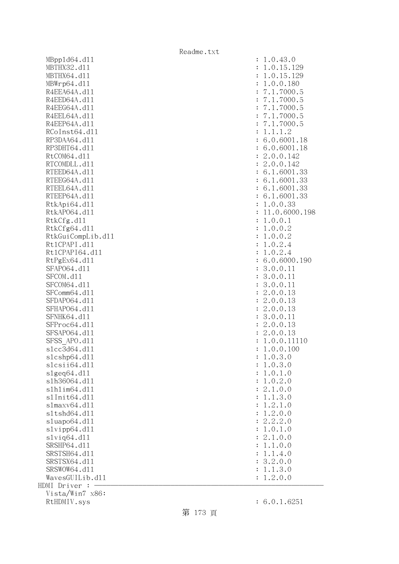| MBpp1d64.d11      |                | 1.0.43.0                     |
|-------------------|----------------|------------------------------|
| MBTHX32.d11       |                | 1.0.15.129                   |
| MBTHX64.d11       |                | 1.0.15.129                   |
| MBWrp64.dl1       | $\ddot{\cdot}$ | 1.0.0.180                    |
| R4EEA64A.d11      | $\ddot{\cdot}$ | 7.1.7000.5                   |
| R4EED64A.d11      |                | 7.1.7000.5                   |
| R4EEG64A.d11      |                | 7.1.7000.5                   |
| R4EEL64A.d11      |                | 7.1.7000.5                   |
| R4EEP64A.d11      |                | 7.1.7000.5                   |
| RCoInst64.d11     |                | 1.1.1.2                      |
| RP3DAA64.d11      |                | : 6.0.6001.18                |
| RP3DHT64.d11      |                | : 6.0.6001.18                |
| RtCOM64.d11       |                | : 2.0.0.142                  |
| RTCOMDLL.d11      |                |                              |
| RTEED64A.d11      |                | : 2.0.0.142<br>: 6.1.6001.33 |
|                   |                |                              |
| RTEEG64A.d11      |                | : 6.1.6001.33                |
| RTEEL64A.d11      |                | : 6.1.6001.33                |
| RTEEP64A.d11      |                | : 6.1.6001.33                |
| RtkApi64.dl1      |                | 1.0.0.33                     |
| RtkAP064.d11      |                | 11.0.6000.198                |
| RtkCfg.d11        |                | 1.0.0.1                      |
| RtkCfg64.d11      |                | : 1.0.0.2                    |
| RtkGuiCompLib.d11 |                | : 1.0.0.2                    |
| Rt1CPAPI.d11      |                | 1.0.2.4                      |
| Rt1CPAPI64.d11    |                | 1.0.2.4                      |
| RtPgEx64.d11      |                | : 6.0.6000.190               |
| SFAP064.d11       |                | 3.0.0.11                     |
| SFCOM.d11         |                | 3.0.0.11                     |
| SFCOM64.d11       |                | 3.0.0.11                     |
| SFComm64.d11      |                | 2.0.0.13                     |
| SFDAP064.d11      | $\ddot{\cdot}$ | 2.0.0.13                     |
| SFHAP064.d11      | $\ddot{\cdot}$ | 2.0.0.13                     |
| SFNHK64.d11       |                | 3.0.0.11                     |
| SFProc64.d11      |                | : 2.0.0.13                   |
| SFSAP064.d11      |                | : 2.0.0.13                   |
| SFSS APO.d11      |                | : 1.0.0.11110                |
| s1cc3d64.d11      |                | 1.0.0.100                    |
| slcshp64.dll      |                | 1.0.3.0                      |
| slcsii64.dll      |                | 1.0.3.0                      |
| slgeq64. d11      |                | 1.0.1.0                      |
| s1h36064.d11      |                | 1.0.2.0                      |
| s1h1im64.d11      |                | 2.1.0.0                      |
| s1Init64.d11      |                | 1.1.3.0                      |
| s1maxv64.d11      |                | 1.2.1.0                      |
| s1tshd64.d11      |                | 1.2.0.0                      |
| sluapo64.d11      |                | 2.2.2.0                      |
| slvipp64.d11      |                | 1.0.1.0                      |
| slviq64.d11       |                | 2.1.0.0                      |
| SRSHP64.d11       |                | 1.1.0.0                      |
| SRSTSH64.d11      |                | 1.1.4.0                      |
| SRSTSX64.d11      |                | 3.2.0.0                      |
| SRSWOW64.d11      |                | 1.1.3.0                      |
| WavesGUILib.d11   |                | 1.2.0.0                      |
| HDMI Driver :     |                |                              |
| Vista/Win7 x86:   |                |                              |
| $+$ IIDMTI        |                |                              |

| :              | 1<br>.0.43.0                                                                                                                                        |
|----------------|-----------------------------------------------------------------------------------------------------------------------------------------------------|
| $\ddot{\cdot}$ | .0.15.129<br>1                                                                                                                                      |
| $\ddot{\cdot}$ | 1.0.15.129                                                                                                                                          |
| $\ddot{\cdot}$ | .0.0.180<br>$\mathbf 1$                                                                                                                             |
| $\ddot{\cdot}$ | $\overline{7}$<br>.1.7000.5                                                                                                                         |
| $\ddot{\cdot}$ | $\overline{7}$<br>1.7000.<br>5<br>$\ddot{\phantom{0}}$                                                                                              |
| $\ddot{\cdot}$ | 7.<br>5<br>$\mathbf 1$<br>.7000.                                                                                                                    |
| $\ddot{\cdot}$ | 7.<br>$\mathbf 1$<br>5<br>$\ddot{\phantom{a}}$<br>7000.                                                                                             |
| $\ddot{\cdot}$ | 7000.5<br>7.<br>$\mathbf 1$<br>$\ddot{\phantom{a}}$                                                                                                 |
| $\ddot{\cdot}$ | $\mathbf 1$<br>.1.2<br>$\ddot{\phantom{0}}$<br>$\mathbf 1$                                                                                          |
| $\ddot{\cdot}$ | 6.0.6001.18                                                                                                                                         |
| $\ddot{\cdot}$ | 6.0.6001.18                                                                                                                                         |
| $\ddot{\cdot}$ | 2.0.0.142                                                                                                                                           |
| $\ddot{\cdot}$ | 2.0.0.142                                                                                                                                           |
| $\ddot{\cdot}$ | 6.1.6001<br>.33                                                                                                                                     |
| $\ddot{\cdot}$ | 1.6001<br>6.<br>.33                                                                                                                                 |
|                |                                                                                                                                                     |
| $\ddot{\cdot}$ | 6.<br>$\mathbf{1}$<br>.6001<br>$\ddot{\phantom{a}}$<br>33                                                                                           |
| $\ddot{\cdot}$ | 6.<br>.33<br>1.6001                                                                                                                                 |
| $\ddot{\cdot}$ | .0.0.33<br>$\mathbf 1$                                                                                                                              |
| $\ddot{\cdot}$ | 11.0.6000.198                                                                                                                                       |
| $\ddot{\cdot}$ | $\mathbf 1$<br>.0.0.1                                                                                                                               |
| $\ddot{\cdot}$ | .0.0.2<br>$\mathbf 1$                                                                                                                               |
| $\ddot{\cdot}$ | 1.0.0.2                                                                                                                                             |
| $\ddot{\cdot}$ | 1.0.2.4                                                                                                                                             |
| $\ddot{\cdot}$ | .0.2.4<br>$\mathbf 1$                                                                                                                               |
| $\ddot{\cdot}$ | 6.0.6000.190                                                                                                                                        |
| $\ddot{\cdot}$ | 3.0.0.11                                                                                                                                            |
| $\ddot{\cdot}$ | 3.0.0.11                                                                                                                                            |
| $\ddot{\cdot}$ | 3.0.0.11                                                                                                                                            |
| $\ddot{\cdot}$ | 2.0.0.<br>13                                                                                                                                        |
| $\ddot{\cdot}$ | $\overline{c}$<br>.0.0.<br>13                                                                                                                       |
| $\ddot{\cdot}$ | $\overline{c}$<br>.0.0.<br>13                                                                                                                       |
| $\colon$       | 3<br>.0.0.<br>11                                                                                                                                    |
| $\colon$       | 2.0.0.13                                                                                                                                            |
| $\vdots$       | 2.0.0.13                                                                                                                                            |
| $\ddot{\cdot}$ | .0.0.11110                                                                                                                                          |
| $\vdots$       | $\frac{1}{1}$<br>.0.0.100                                                                                                                           |
| ÷              | 1.0.3<br>$\cdot$ $0$                                                                                                                                |
| $\ddot{\cdot}$ | $\mathbf{1}$                                                                                                                                        |
| $\ddot{\cdot}$ | $0.3.0$<br>$0.1.0$<br>$0.2.0$<br>$\mathbf{1}$                                                                                                       |
| $\ddot{\cdot}$ | $\mathbf 1$                                                                                                                                         |
| $\ddot{\cdot}$ | $\overline{c}$<br>$\ddot{\phantom{0}}$<br>$\mathcal{O}$                                                                                             |
|                | $.0$<br>$.3$<br>$.1$<br>$.0$<br>$\begin{array}{c} .1 \\ .2 \\ .2 \\ .2 \\ .0 \end{array}$<br>$\mathbf{1}$<br>$\ddot{\phantom{0}}$<br>$\overline{0}$ |
| $\ddot{\cdot}$ | $\ddot{\phantom{0}}$<br>$\overline{0}$                                                                                                              |
| $\ddot{\cdot}$ | $\frac{1}{1}$                                                                                                                                       |
| $\ddot{\cdot}$ | $\ddot{\phantom{0}}$<br>$\overline{O}$                                                                                                              |
| $\ddot{\cdot}$ | $\overline{c}$<br>$\cdot$ 2<br>$\ddot{\phantom{0}}$<br>$\overline{0}$                                                                               |
| $\ddot{\cdot}$ | $\mathbf{1}$<br>$\frac{1}{1}$ .<br>0.<br>$\overline{0}$                                                                                             |
| $\ddot{\cdot}$ | $\overline{c}$<br>$\ddot{\phantom{0}}$<br>$\overline{O}$                                                                                            |
| $\ddot{\cdot}$ | $\begin{array}{c} 1 \\ 1 \\ 1 \end{array}$<br>$\ddot{\phantom{0}}$<br>.0.<br>$\overline{O}$<br>$\mathbf{1}$                                         |
| $\ddot{\cdot}$ | .4.<br>$\mathbf 1$<br>$\ddot{\phantom{0}}$<br>$\overline{O}$                                                                                        |
| $\ddot{\cdot}$ | $\overline{c}$<br>.0.<br>$\ddot{\phantom{0}}$<br>3<br>$\overline{O}$                                                                                |
| $\ddot{\cdot}$ | $1.3.0$<br>$.2.0.0$<br>$\mathbf 1$                                                                                                                  |
| $\ddot{\cdot}$ | $\mathbf 1$                                                                                                                                         |
|                |                                                                                                                                                     |

第 173 頁

RtHDMIV.sys : 6.0.1.6251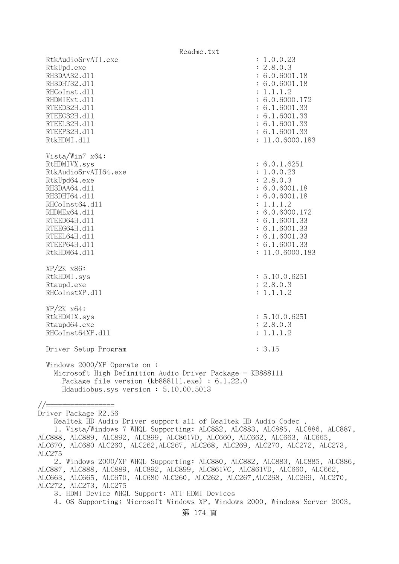Readme.txt RtkAudioSrvATI.exe : 1.0.0.23 RtkUpd.exe : 2.8.0.3 RH3DAA32.d11 : 6.0.6001.18 RH3DHT32.d11 : 6.0.6001.18 RHCoInst.d11 : 1.1.1.2 RHDMIExt.d11 : 6.0.6000.172 RTEED32H.d11 : 6.1.6001.33 RTEEG32H.d11 : 6.1.6001.33 RTEEL32H.d11 : 6.1.6001.33 RTEEP32H.d11 : 6.1.6001.33 RtkHDMI.d11 : 11.0.6000.183 Vista/Win7 x64: RtHDMIVX.sys : 6.0.1.6251 RtkAudioSrvATI64.exe : 1.0.0.23 RtkUpd64.exe : 2.8.0.3 RH3DAA64.d11 : 6.0.6001.18 RH3DHT64.d11 : 6.0.6001.18 RHCoInst64.d11 : 1.1.1.2 RHDMEx64.d11 : 6.0.6000.172 RTEED64H.d11 : 6.1.6001.33 RTEEG64H.d11 : 6.1.6001.33 RTEEL64H.d11 : 6.1.6001.33 RTEEP64H.d11 : 6.1.6001.33 RtkHDM64.dll : 11.0.6000.183 XP/2K x86: RtkHDMI.sys : 5.10.0.6251<br>Rtaupd.exe : 2.8.0.3 Rtaupd.exe RHCoInstXP.d11 : 1.1.1.2 XP/2K x64: RtkHDMIX.sys : 5.10.0.6251 Rtaupd64.exe : 2.8.0.3 RHCoInst64XP.d11 : 1.1.1.2 Driver Setup Program : 3.15 Windows 2000/XP Operate on : Microsoft High Definition Audio Driver Package - KB888111 Package file version (kb888111.exe) : 6.1.22.0 Hdaudiobus.sys version : 5.10.00.5013 //================= Driver Package R2.56 Realtek HD Audio Driver support all of Realtek HD Audio Codec . 1. Vista/Windows 7 WHQL Supporting: ALC882, ALC883, ALC885, ALC886, ALC887, ALC888, ALC889, ALC892, ALC899, ALC861VD, ALC660, ALC662, ALC663, ALC665, ALC670, ALC680 ALC260, ALC262,ALC267, ALC268, ALC269, ALC270, ALC272, ALC273, ALC275 2. Windows 2000/XP WHQL Supporting: ALC880, ALC882, ALC883, ALC885, ALC886, ALC887, ALC888, ALC889, ALC892, ALC899, ALC861VC, ALC861VD, ALC660, ALC662, ALC663, ALC665, ALC670, ALC680 ALC260, ALC262, ALC267,ALC268, ALC269, ALC270, ALC272, ALC273, ALC275 3. HDMI Device WHQL Support: ATI HDMI Devices

4. OS Supporting: Microsoft Windows XP, Windows 2000, Windows Server 2003,

第 174 頁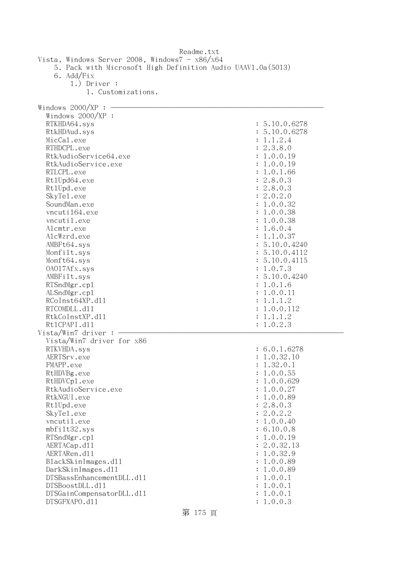|                                                                                                                                                                                                                                                                                                                                                                                                                                                                                  | Readme.txt                                                                                                                                                                                                                                                                                                                                                       |
|----------------------------------------------------------------------------------------------------------------------------------------------------------------------------------------------------------------------------------------------------------------------------------------------------------------------------------------------------------------------------------------------------------------------------------------------------------------------------------|------------------------------------------------------------------------------------------------------------------------------------------------------------------------------------------------------------------------------------------------------------------------------------------------------------------------------------------------------------------|
| Vista, Windows Server 2008, Windows $7 - x86/x64$<br>5. Pack with Microsoft High Definition Audio UAAV1.0a(5013)<br>6. Add/Fix<br>$1.)$ Driver :<br>1. Customizations.                                                                                                                                                                                                                                                                                                           |                                                                                                                                                                                                                                                                                                                                                                  |
|                                                                                                                                                                                                                                                                                                                                                                                                                                                                                  |                                                                                                                                                                                                                                                                                                                                                                  |
| Windows $2000/XP$ :<br>Windows $2000/XP$ :<br>RTKHDA64.sys<br>RtkHDAud.sys<br>MicCal.exe<br>RTHDCPL.exe<br>RtkAudioService64.exe<br>RtkAudioService.exe<br>RTLCPL.exe<br>Rt1Upd64.exe<br>Rt1Upd.exe<br>SkyTe1.exe<br>SoundMan.exe<br>vncuti164.exe<br>vncutil.exe<br>Alcmtr.exe<br>AlcWzrd.exe<br>AMBFt64.sys<br>Monfilt.sys<br>Monft64.sys<br>0A017Afx.sys<br>AMBFilt.sys<br>RTSndMgr.cp1<br>ALSndMgr.cp1<br>RCoInst64XP.d11<br>RTCOMDLL.d11<br>RtkCoInstXP.d11<br>Rt1CPAPI.d11 | : 5.10.0.6278<br>: 5.10.0.6278<br>: 1.1.2.4<br>: 2.3.8.0<br>: 1.0.0.19<br>1.0.0.19<br>1.0.1.66<br>: 2.8.0.3<br>: 2.8.0.3<br>: 2.0.2.0<br>: 1.0.0.32<br>1.0.0.38<br>: 1.0.0.38<br>: 1.6.0.4<br>: 1.1.0.37<br>: 5.10.0.4240<br>: 5.10.0.4112<br>: 5.10.0.4115<br>: 1.0.7.3<br>: 5.10.0.4240<br>1.0.1.6<br>1.0.0.11<br>1.1.1.2<br>1.0.0.112<br>1.1.1.2<br>: 1.0.2.3 |
| Vista/Win7 driver:                                                                                                                                                                                                                                                                                                                                                                                                                                                               |                                                                                                                                                                                                                                                                                                                                                                  |
| Vista/Win7 driver for x86<br>RTKVHDA.sys<br>AERTSrv.exe<br>FMAPP.exe<br>RtHDVBg.exe<br>RtHDVCp1.exe<br>RtkAudioService.exe<br>RtkNGUI.exe<br>Rt1Upd.exe<br>SkyTe1.exe<br>vncutil.exe<br>mbfilt32.sys<br>RTSndMgr.cp1<br>AERTACap.d11<br>AERTARen.d11<br>BlackSkinImages.dl1<br>DarkSkinImages.d11<br>DTSBassEnhancementDLL.d11<br>DTSBoostDLL.d11<br>DTSGainCompensatorDLL.d11<br>DTSGFXAPO.d11                                                                                  | 6.0.1.6278<br>1.0.32.10<br>1.32.0.1<br>1.0.0.55<br>1.0.0.629<br>1.0.0.27<br>1.0.0.89<br>: 2.8.0.3<br>: 2.0.2.2<br>1.0.0.40<br>: 6.10.0.8<br>: 1.0.0.19<br>: 2.0.32.13<br>1.0.32.9<br>1.0.0.89<br>1.0.0.89<br>1.0.0.1<br>1.0.0.1<br>1.0.0.1<br>1.0.0.3                                                                                                            |

第 175 頁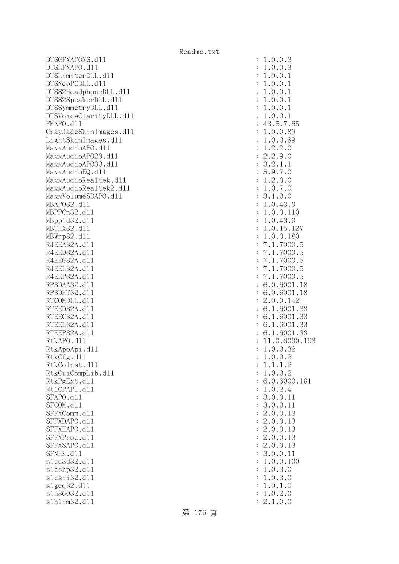DTSGFXAPONS.d11 DTSLFXAPO.d11 DTSLimiterDLL.dl1 DTSNeoPCDLL.d11 DTSS2HeadphoneDLL.d11 DTSS2SpeakerDLL.dl1 DTSSymmetryDLL.dl1 DTSVoiceClarityDLL.dl1 FMAPO.d11 GrayJadeSkinImages.dl1 LightSkinImages.dl1 MaxxAudioAPO.dll MaxxAudioAP020.dll MaxxAudioAPO30.dll MaxxAudioEQ.dll MaxxAudioRealtek.dll MaxxAudioRealtek2.dll MaxxVolumeSDAPO.dl1 MBAP032.d11 MBPPCn32.d11 MBpp1d32.d11 MBTHX32.d11 MBWrp32.d11 R4EEA32A.d11 R4EED32A.d11 R4EEG32A.d11 R4EEL32A.d11 R4EEP32A.d11 RP3DAA32.d11 RP3DHT32.d11 RTCOMDLL.d11 RTEED32A.d11 RTEEG32A.d11 RTEEL32A.d11 RTEEP32A.d11 RtkAPO.d11 : 11.0.6000.193 RtkApoApi.dl1 RtkCfg.dl1 RtkCoInst.dl1 RtkGuiCompLib.d11 RtkPgExt.dll Rt1CPAPI.d11 SFAPO.d11 SFCOM.d11 SFFXComm.dl1 SFFXDAPO.d11 SFFXHAPO.d11 SFFXProc.dl1 SFFXSAPO.d11 SFNHK.d11 slcc3d32.d11 slcshp32.dl1 slcsii32.dll slgeq32.dl1 slh36032.dl1 slhlim32.dl1

| $\ddot{\cdot}$ | 1                                                                                                                                                                                                                                                                                                                                                                                                                                                                                                            |
|----------------|--------------------------------------------------------------------------------------------------------------------------------------------------------------------------------------------------------------------------------------------------------------------------------------------------------------------------------------------------------------------------------------------------------------------------------------------------------------------------------------------------------------|
| $\ddot{\cdot}$ | 1                                                                                                                                                                                                                                                                                                                                                                                                                                                                                                            |
| $\ddot{\cdot}$ | $\mathbf{1}$                                                                                                                                                                                                                                                                                                                                                                                                                                                                                                 |
| $\ddot{\cdot}$ | $\mathbf{1}$                                                                                                                                                                                                                                                                                                                                                                                                                                                                                                 |
| $\ddot{\cdot}$ | $\mathbf{1}$                                                                                                                                                                                                                                                                                                                                                                                                                                                                                                 |
| $\ddot{\cdot}$ | $\mathbf{1}$                                                                                                                                                                                                                                                                                                                                                                                                                                                                                                 |
|                | $\mathbf{1}$                                                                                                                                                                                                                                                                                                                                                                                                                                                                                                 |
|                |                                                                                                                                                                                                                                                                                                                                                                                                                                                                                                              |
|                |                                                                                                                                                                                                                                                                                                                                                                                                                                                                                                              |
|                |                                                                                                                                                                                                                                                                                                                                                                                                                                                                                                              |
|                |                                                                                                                                                                                                                                                                                                                                                                                                                                                                                                              |
|                |                                                                                                                                                                                                                                                                                                                                                                                                                                                                                                              |
|                |                                                                                                                                                                                                                                                                                                                                                                                                                                                                                                              |
|                |                                                                                                                                                                                                                                                                                                                                                                                                                                                                                                              |
|                |                                                                                                                                                                                                                                                                                                                                                                                                                                                                                                              |
|                |                                                                                                                                                                                                                                                                                                                                                                                                                                                                                                              |
|                |                                                                                                                                                                                                                                                                                                                                                                                                                                                                                                              |
|                |                                                                                                                                                                                                                                                                                                                                                                                                                                                                                                              |
|                |                                                                                                                                                                                                                                                                                                                                                                                                                                                                                                              |
|                |                                                                                                                                                                                                                                                                                                                                                                                                                                                                                                              |
|                |                                                                                                                                                                                                                                                                                                                                                                                                                                                                                                              |
|                |                                                                                                                                                                                                                                                                                                                                                                                                                                                                                                              |
|                | $\begin{array}{l} .0 \, .0 \, .3 \\ .0 \, .0 \, .3 \\ .0 \, .0 \, .1 \\ .0 \, .0 \, .1 \\ .0 \, .0 \, .1 \\ .0 \, .0 \, .1 \\ .0 \, .0 \, .1 \\ .0 \, .0 \, .1 \\ .0 \, .0 \, .1 \\ .0 \, .0 \, .89 \\ .2 \, .2 \, .0 \\ .2 \, .0 \, .0 \\ .2 \, .0 \, .0 \\ .2 \, .0 \, .0 \\ .2 \, .0 \, .0 \\ .2 \, .0 \, .0 \\ .2 \, .0 \, .0 \\ .2 \, .0 \, .0 \\ .2 \, .0 \, .0 \\ .2 \$<br>$-1.4$ $1$ $1$ $1$ $2$ $3$ $5$ $1$ $1$ $3$ $1$ $1$ $1$ $1$ $1$ $1$ $7$ $7$ $7$ $7$ $7$ $6$ $6$ $2$ $6$ $6$ $6$ $6$ $1$ $1$ |
|                |                                                                                                                                                                                                                                                                                                                                                                                                                                                                                                              |
|                |                                                                                                                                                                                                                                                                                                                                                                                                                                                                                                              |
|                |                                                                                                                                                                                                                                                                                                                                                                                                                                                                                                              |
|                |                                                                                                                                                                                                                                                                                                                                                                                                                                                                                                              |
|                |                                                                                                                                                                                                                                                                                                                                                                                                                                                                                                              |
|                |                                                                                                                                                                                                                                                                                                                                                                                                                                                                                                              |
|                |                                                                                                                                                                                                                                                                                                                                                                                                                                                                                                              |
|                |                                                                                                                                                                                                                                                                                                                                                                                                                                                                                                              |
|                |                                                                                                                                                                                                                                                                                                                                                                                                                                                                                                              |
|                |                                                                                                                                                                                                                                                                                                                                                                                                                                                                                                              |
|                |                                                                                                                                                                                                                                                                                                                                                                                                                                                                                                              |
|                |                                                                                                                                                                                                                                                                                                                                                                                                                                                                                                              |
|                |                                                                                                                                                                                                                                                                                                                                                                                                                                                                                                              |
|                |                                                                                                                                                                                                                                                                                                                                                                                                                                                                                                              |
|                |                                                                                                                                                                                                                                                                                                                                                                                                                                                                                                              |
|                | -<br>33<br>.19:                                                                                                                                                                                                                                                                                                                                                                                                                                                                                              |
|                | $\mathbf{1}$<br>$\cdot$ 0                                                                                                                                                                                                                                                                                                                                                                                                                                                                                    |
|                | .0.0.2<br>1                                                                                                                                                                                                                                                                                                                                                                                                                                                                                                  |
| $\ddot{\cdot}$ |                                                                                                                                                                                                                                                                                                                                                                                                                                                                                                              |
| $\ddot{\cdot}$ | .1.1.2<br>$\mathbf 1$                                                                                                                                                                                                                                                                                                                                                                                                                                                                                        |
| $\ddot{\cdot}$ | .0.0.2<br>1                                                                                                                                                                                                                                                                                                                                                                                                                                                                                                  |
| $\ddot{\cdot}$ | 6.0.6000.181                                                                                                                                                                                                                                                                                                                                                                                                                                                                                                 |
| $\ddot{\cdot}$ | 0.2.4<br>$\mathbf 1$                                                                                                                                                                                                                                                                                                                                                                                                                                                                                         |
| $\ddot{\cdot}$ | 3.<br>0.0.11                                                                                                                                                                                                                                                                                                                                                                                                                                                                                                 |
| $\ddot{\cdot}$ | 3.0.0.<br>11                                                                                                                                                                                                                                                                                                                                                                                                                                                                                                 |
| $\ddot{\cdot}$ | $\mathbf{c}$<br>.0.0.<br>13                                                                                                                                                                                                                                                                                                                                                                                                                                                                                  |
| $\ddot{\cdot}$ | $\mathbf{c}$<br>.0.0.13                                                                                                                                                                                                                                                                                                                                                                                                                                                                                      |
| $\ddot{\cdot}$ | $\mathbf{c}$<br>.0.0.13                                                                                                                                                                                                                                                                                                                                                                                                                                                                                      |
|                | $\overline{c}$                                                                                                                                                                                                                                                                                                                                                                                                                                                                                               |
| $\ddot{\cdot}$ | .0.0.13                                                                                                                                                                                                                                                                                                                                                                                                                                                                                                      |
| $\ddot{\cdot}$ | 2.0.0.<br>13                                                                                                                                                                                                                                                                                                                                                                                                                                                                                                 |
| $\ddot{\cdot}$ | 3.0.0.<br>11                                                                                                                                                                                                                                                                                                                                                                                                                                                                                                 |
| $\ddot{\cdot}$ | 0.0.<br>$\mathbf{1}$<br>$\ddot{\phantom{0}}$<br>100                                                                                                                                                                                                                                                                                                                                                                                                                                                          |
| $\ddot{\cdot}$ | 0.3.<br>$\mathbf{1}$<br>$\mathcal{O}$                                                                                                                                                                                                                                                                                                                                                                                                                                                                        |
| $\ddot{\cdot}$ | $\mathbf{1}$<br>0.3.<br>$\mathcal{O}$                                                                                                                                                                                                                                                                                                                                                                                                                                                                        |
| $\ddot{\cdot}$ | 0.1<br>$\mathbf{1}$<br>$\ddot{\phantom{0}}$<br>$\mathcal{O}$                                                                                                                                                                                                                                                                                                                                                                                                                                                 |
| $\ddot{\cdot}$ | 0.2.0<br>1<br>$\ddot{\phantom{0}}$                                                                                                                                                                                                                                                                                                                                                                                                                                                                           |
| $\ddot{\cdot}$ | $\overline{2}$<br>0.0<br>1.                                                                                                                                                                                                                                                                                                                                                                                                                                                                                  |
|                |                                                                                                                                                                                                                                                                                                                                                                                                                                                                                                              |

第 176 頁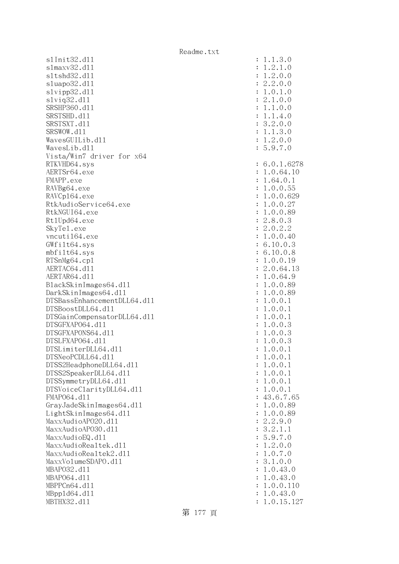s1Init32.d11 slmaxv32.dl1 sltshd32.d11 sluapo32.dl1  $s1$ vipp $32.d11$ slviq32.dl1 SRSHP360.d11 SRSTSHD.d11 SRSTSXT.d11 SRSWOW.d11 WavesGUILib.d11 WavesLib.d11 Vista/Win7 driver for x64 RTKVHD64.sys AERTSr64.exe FMAPP.exe RAVBg64.exe RAVCp164.exe RtkAudioService64.exe RtkNGUI64.exe Rt1Upd64.exe SkyTe1.exe vncuti164.exe  $GWfilt64.sys$ mbfilt64.sys RTSnMg64.cp1 AERTAC64.d11 AERTAR64.d11 BlackSkinImages64.dll DarkSkinImages64.dll DTSBassEnhancementDLL64.dl1 DTSBoostDLL64.dl1 DTSGainCompensatorDLL64.dl1 DTSGFXAPO64.dl1 DTSGFXAPONS64.dl1 DTSLFXAP064.d11 DTSLimiterDLL64.dl1 DTSNeoPCDLL64.dl1 DTSS2HeadphoneDLL64.d11 DTSS2SpeakerDLL64.dl1 DTSSymmetryDLL64.dl1 DTSVoiceClarityDLL64.dll FMAP064.d11 GrayJadeSkinImages64.dll LightSkinImages64.dl1 MaxxAudioAPO20.dll MaxxAudioAPO30.dll MaxxAudioEQ.dll MaxxAudioRealtek.dll MaxxAudioRealtek2.dll MaxxVolumeSDAPO.dl1 MBAP032.d11 MBAP064.d11 MBPPCn64.d11 MBpp1d64.dl1 MBTHX32.d11

| $\ddot{\cdot}$<br>$\ddot{\cdot}$<br>$\ddot{\cdot}$<br>$\ddot{\cdot}$<br>$\ddot{\cdot}$<br>$\ddot{\cdot}$<br>$\vdots$<br>$\ddot{\cdot}$<br>$\ddot{\cdot}$<br>$\ddot{\cdot}$<br>$\ddot{\cdot}$                         | $\begin{array}{c} 1.1.3.0 \\ 1.2.1.0 \\ 1.2.0.0 \\ 2.2.0.0 \\ 1.0.1.0 \\ 2.1.0.0 \\ 1.1.4.0 \\ 3.2.0.0 \\ 1.1.3.0 \\ 1.2.0.0 \\ 5.9.7.0 \end{array}$                                                                                                                                                         |
|----------------------------------------------------------------------------------------------------------------------------------------------------------------------------------------------------------------------|--------------------------------------------------------------------------------------------------------------------------------------------------------------------------------------------------------------------------------------------------------------------------------------------------------------|
| $\ddot{\cdot}$<br>$\ddot{\cdot}$<br>$\ddot{\cdot}$<br>$\ddot{\cdot}$<br>$\ddot{\cdot}$<br>$\ddot{\cdot}$<br>$\ddot{\cdot}$<br>$\ddot{\cdot}$<br>$\ddot{\cdot}$<br>$\ddot{\cdot}$<br>$\ddot{\cdot}$<br>$\ddot{\cdot}$ | .0.1.6278<br>6<br>$1.0.64.10$<br>$1.64.0.1$<br>$1.64.0.1$<br>$1.0.0.55$<br>$1.0.0.629$<br>$1.0.0.27$<br>$1.0.0.89$<br>$2.8.0.3$<br>$2.0.2.2$<br>$1.0.0.40$<br>$6.10.0.3$<br>$6.10.0.8$<br>$1.0.0.1$<br>$2.0.64.13$<br>$1.0.64.9$<br>$1.0.0.89$<br>$1.0.0.89$<br>$1.0.0.89$<br>$1.0.0.3$<br>$1.0.0.3$<br>$1.$ |
| $\ddot{\cdot}$<br>$\ddot{\cdot}$<br>$\ddot{\cdot}$<br>$\ddot{\cdot}$<br>$\ddot{\cdot}$<br>$\ddot{\cdot}$<br>$\ddot{\cdot}$<br>: : : : :                                                                              | $0.1$<br>$0.3$<br>$0.3$<br>$0.3$<br>$0.1$                                                                                                                                                                                                                                                                    |
| $\ddot{\cdot}$<br>$\ddot{\cdot}$<br>$\ddot{\cdot}$<br>$\ddot{\cdot}$<br>$\ddot{\cdot}$<br>$\ddot{\cdot}$<br>$\ddot{\cdot}$<br>$\ddot{\cdot}$<br>$\ddot{\cdot}$                                                       | $\ddot{\phantom{0}}$<br>$\overline{0}$ .<br>1<br>$\mathbf{0}$ .<br>$\circ$ .<br>$\mathbf{1}$<br>$\mathbf{1}$ .<br>.0.0.1<br>$\mathbf 1$<br>0.0.1<br>$\mathbf 1$<br>$\ddot{\phantom{0}}$<br>.0.0.1<br>$\mathbf{1}$<br>.0.0.<br>1<br>1                                                                         |
| $\ddot{\cdot}$<br>$\ddot{\cdot}$<br>$\ddot{\cdot}$<br>$\ddot{\cdot}$<br>$\ddot{\cdot}$<br>$\ddot{\cdot}$<br>$\ddot{\cdot}$<br>$\ddot{\cdot}$<br>$\ddot{\cdot}$<br>$\ddot{\cdot}$<br>$\ddot{\cdot}$                   | $1.0.0.1$<br>$43.6.7.65$<br>$1.0.0.89$<br>$2.2.9.0$<br>$3.2.1.1$<br>$5.9.7.0$<br>$1.2.0.0$<br>$1.0.7.0$<br>$3.1.0.0$<br>3.1.0.0<br>.0.43.0<br>$\mathbf{1}$<br>0.43.0<br>$\mathbf{1}$<br>0.0.<br>$\mathbf{1}$<br>110<br>$\ddot{\phantom{0}}$<br>.0.43.0<br>$\mathbf{1}$<br>0.15.<br>1<br>127                  |
|                                                                                                                                                                                                                      |                                                                                                                                                                                                                                                                                                              |

第 177 頁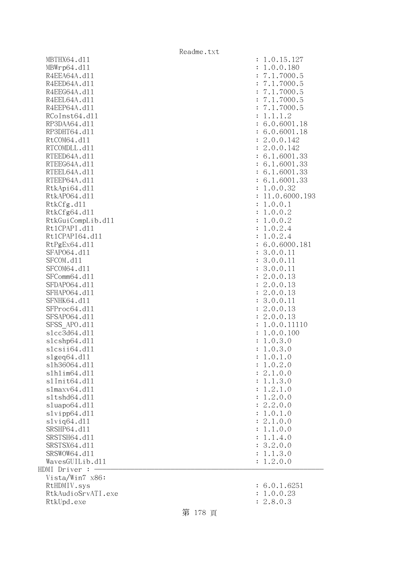| MBWrp64.d11           | : 1.0.0.180                   |
|-----------------------|-------------------------------|
| R4EEA64A.d11          | : 7.1.7000.5                  |
| R4EED64A.d11          | : 7.1.7000.5                  |
| R4EEG64A.d11          | : 7.1.7000.5                  |
| R4EEL64A.d11          | : 7.1.7000.5                  |
| R4EEP64A.d11          | : 7.1.7000.5                  |
| RCoInst64.d11         | 1.1.1.2                       |
| RP3DAA64.d11          | : 6.0.6001.18                 |
| RP3DHT64.d11          | : 6.0.6001.18                 |
| RtCOM64.d11           |                               |
|                       | : 2.0.0.142                   |
| RTCOMDLL.d11          | : 2.0.0.142                   |
| RTEED64A.d11          | : 6.1.6001.33                 |
| RTEEG64A.d11          | : 6.1.6001.33                 |
| RTEEL64A.d11          | : 6.1.6001.33                 |
| RTEEP64A.d11          | : 6.1.6001.33                 |
| RtkApi64.dl1          | : 1.0.0.32                    |
| RtkAP064.d11          | : 11.0.6000.193               |
| RtkCfg.d11            | 1.0.0.1<br>$\ddot{\cdot}$     |
| RtkCfg64.d11          | : 1.0.0.2                     |
| RtkGuiCompLib.d11     | : 1.0.0.2                     |
| Rt1CPAPI.d11          | : 1.0.2.4                     |
| Rt1CPAPI64.d11        | 1.0.2.4<br>$\ddot{\cdot}$     |
| RtPgEx64.d11          | : 6.0.6000.181                |
| SFAP064.d11           | : 3.0.0.11                    |
| SFCOM.d11             | : 3.0.0.11                    |
| SFCOM64.d11           | 3.0.0.11<br>$\ddot{\cdot}$    |
| SFComm64.d11          | 2.0.0.13<br>$\ddot{\cdot}$    |
| SFDAP064.d11          | 2.0.0.13<br>$\ddot{\cdot}$    |
| SFHAP064.d11          | : 2.0.0.13                    |
| SFNHK64.d11           | 3.0.0.11<br>$\ddot{\cdot}$    |
| SFProc64.d11          | : 2.0.0.13                    |
| SFSAP064.d11          | : 2.0.0.13                    |
| SFSS APO.d11          | 1.0.0.11110<br>$\ddot{\cdot}$ |
| s1cc3d64.d11          | 1.0.0.100<br>$\ddot{\cdot}$   |
| s1cshp64.d11          | 1.0.3.0<br>$\ddot{\cdot}$     |
| slcsii64.dll          | 1.0.3.0<br>$\ddot{\cdot}$     |
| slgeq64.d11           | 1.0.1.0<br>$\ddot{\cdot}$     |
| s1h36064.d11          | : 1.0.2.0                     |
| s1h1im64.d11          | : 2.1.0.0                     |
| s1Init64.d11          | : 1.1.3.0                     |
| slmaxv64.d11          | 1.2.1.0                       |
| s1tshd64.d11          | $\ddot{\cdot}$                |
|                       | 1.2.0.0<br>$\ddot{\cdot}$     |
| sluapo64.d11          | : 2.2.0.0                     |
| slvipp64.d11          | : 1.0.1.0                     |
| $s1$ viq $64.$ d $11$ | : 2.1.0.0                     |
| SRSHP64.d11           | 1.1.0.0                       |
| SRSTSH64.d11          | 1.1.4.0<br>$\ddot{\cdot}$     |
| SRSTSX64.d11          | : 3.2.0.0                     |
| SRSWOW64.d11          | 1.1.3.0<br>÷                  |
| WavesGUILib.d11       | 1.2.0.0                       |
| HDMI Driver :         |                               |
| Vista/Win7 x86:       |                               |
| RtHDMIV.sys           | : 6.0.1.6251                  |
| RtkAudioSrvATI.exe    | 1.0.0.23                      |
| RtkUpd.exe            | 2.8.0.3                       |

MBTHX64.d11 : 1.0.15.127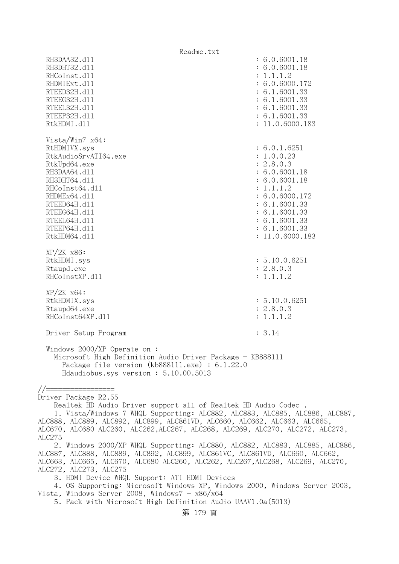Readme.txt RH3DAA32.d11 : 6.0.6001.18 RH3DHT32.d11 : 6.0.6001.18 RHCoInst.d11 : 1.1.1.2 RHDMIExt.d11 : 6.0.6000.172 RTEED32H.d11 : 6.1.6001.33 RTEEG32H.d11 : 6.1.6001.33 RTEEL32H.d11 : 6.1.6001.33 RTEEP32H.d11 : 6.1.6001.33 RtkHDMI.dl1 : 11.0.6000.183 Vista/Win7 x64: RtHDMIVX.sys : 6.0.1.6251 RtkAudioSrvATI64.exe : 1.0.0.23 RtkUpd64.exe : 2.8.0.3 RH3DAA64.d11 : 6.0.6001.18 RH3DHT64.d11 : 6.0.6001.18 RHCoInst64.d11 : 1.1.1.2 RHDMEx64.d11 : 6.0.6000.172 RTEED64H.d11 : 6.1.6001.33 RTEEG64H.dll : 6.1.6001.33 RTEEL64H.d11 : 6.1.6001.33 RTEEP64H.d11 : 6.1.6001.33 RtkHDM64.d11 : 11.0.6000.183 XP/2K x86: RtkHDMI.sys : 5.10.0.6251 Rtaupd.exe : 2.8.0.3 RHCoInstXP.d11 : 1.1.1.2 XP/2K x64: RtkHDMIX.sys : 5.10.0.6251 Rtaupd64.exe : 2.8.0.3 RHCoInst64XP.d11 : 1.1.1.2 Driver Setup Program : 3.14 Windows 2000/XP Operate on : Microsoft High Definition Audio Driver Package - KB888111 Package file version (kb888111.exe) : 6.1.22.0 Hdaudiobus.sys version : 5.10.00.5013 //================= Driver Package R2.55 Realtek HD Audio Driver support all of Realtek HD Audio Codec . 1. Vista/Windows 7 WHQL Supporting: ALC882, ALC883, ALC885, ALC886, ALC887, ALC888, ALC889, ALC892, ALC899, ALC861VD, ALC660, ALC662, ALC663, ALC665, ALC670, ALC680 ALC260, ALC262,ALC267, ALC268, ALC269, ALC270, ALC272, ALC273, ALC275 2. Windows 2000/XP WHQL Supporting: ALC880, ALC882, ALC883, ALC885, ALC886, ALC887, ALC888, ALC889, ALC892, ALC899, ALC861VC, ALC861VD, ALC660, ALC662, ALC663, ALC665, ALC670, ALC680 ALC260, ALC262, ALC267,ALC268, ALC269, ALC270, ALC272, ALC273, ALC275 3. HDMI Device WHQL Support: ATI HDMI Devices 4. OS Supporting: Microsoft Windows XP, Windows 2000, Windows Server 2003, Vista, Windows Server 2008, Windows $7 - x86/x64$ 5. Pack with Microsoft High Definition Audio UAAV1.0a(5013)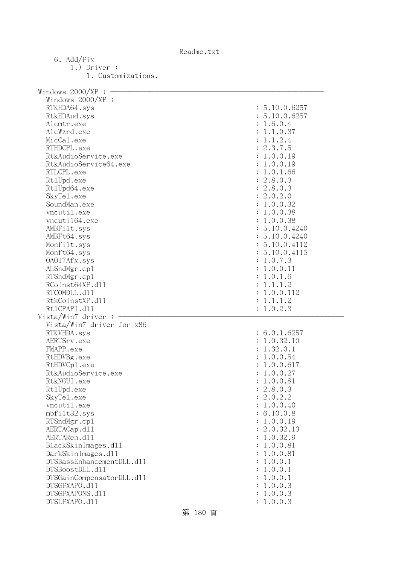Readme.txt

| 6. Add/Fix                                      |                      |
|-------------------------------------------------|----------------------|
| $1.)$ Driver :                                  |                      |
| 1. Customizations.                              |                      |
|                                                 |                      |
| Windows $2000/XP$ : -                           |                      |
| Windows $2000/XP$ :                             |                      |
| RTKHDA64.sys                                    | : 5.10.0.6257        |
| RtkHDAud.sys                                    | : 5.10.0.6257        |
| Alcmtr.exe                                      | : 1.6.0.4            |
| AlcWzrd.exe                                     | 1.1.0.37             |
| MicCal.exe                                      | 1.1.2.4              |
| RTHDCPL.exe                                     | : 2.3.7.5            |
| RtkAudioService.exe                             | 1.0.0.19             |
| RtkAudioService64.exe                           | 1.0.0.19             |
| RTLCPL.exe                                      | 1.0.1.66             |
| Rt1Upd.exe                                      | : 2.8.0.3            |
| Rt1Upd64.exe                                    | : 2.8.0.3            |
| SkyTe1.exe                                      | : 2.0.2.0            |
| SoundMan.exe                                    | 1.0.0.32             |
| vncutil.exe                                     | 1.0.0.38             |
| vncuti164.exe                                   | : 1.0.0.38           |
| AMBFilt.sys                                     | : 5.10.0.4240        |
| AMBFt64.sys                                     | : 5.10.0.4240        |
| Monfilt.sys                                     | : 5.10.0.4112        |
| Monft64.sys                                     | : 5.10.0.4115        |
| 0A017Afx.sys                                    | 1.0.7.3              |
| ALSndMgr.cp1                                    | 1.0.0.11             |
| RTSndMgr.cp1                                    | 1.0.1.6              |
| RCoInst64XP.d11                                 | 1.1.1.2              |
| RTCOMDLL.d11                                    | 1.0.0.112            |
| RtkCoInstXP.d11                                 | 1.1.1.2              |
| Rt1CPAPI.d11                                    | : 1.0.2.3            |
| Vista/Win7 driver:                              |                      |
| Vista/Win7 driver for x86                       |                      |
| RTKVHDA.sys                                     | : 6.0.1.6257         |
| AERTSrv.exe                                     | 1.0.32.10            |
| FMAPP.exe                                       | : 1.32.0.1           |
| RtHDVBg.exe                                     | : 1.0.0.54           |
| RtHDVCp1.exe                                    | 1.0.0.617            |
| RtkAudioService.exe                             | 1.0.0.27             |
| RtkNGUI.exe                                     | 1.0.0.81             |
| Rt1Upd.exe                                      | : 2.8.0.3            |
| SkyTe1.exe                                      | : 2.0.2.2            |
| vncutil.exe                                     | 1.0.0.40             |
| mbfilt32.sys                                    | : 6.10.0.8           |
|                                                 | 1.0.0.19             |
| RTSndMgr.cp1<br>AERTACap.d11                    | : 2.0.32.13          |
| AERTARen.d11                                    |                      |
|                                                 | 1.0.32.9<br>1.0.0.81 |
| BlackSkinImages.d11                             | 1.0.0.81             |
| DarkSkinImages.d11<br>DTSBassEnhancementDLL.d11 | 1.0.0.1              |
| DTSBoostDLL.d11                                 |                      |
|                                                 | 1.0.0.1              |
| DTSGainCompensatorDLL.d11                       | 1.0.0.1              |
| DTSGFXAPO.d11                                   | 1.0.0.3              |
| DTSGFXAPONS.d11                                 | 1.0.0.3              |
| DTSLFXAPO.d11                                   | : 1.0.0.3            |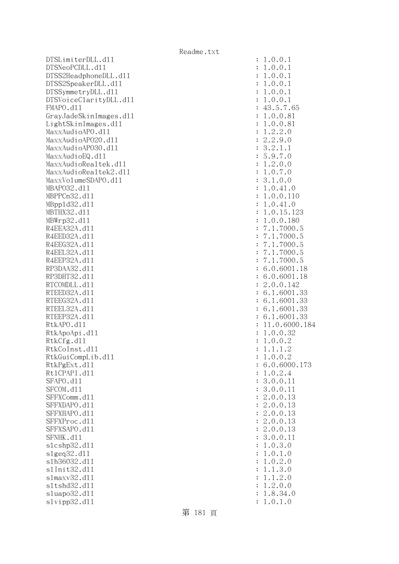DTSLimiterDLL.dl1 : 1.0.0.1  $DTSNeoPCDLL. d11$  :  $1.0.0.1$ DTSS2HeadphoneDLL.dl1 : 1.0.0.1 DTSS2SpeakerDLL.d11 : 1.0.0.1 DTSSymmetryDLL.dl1 : 1.0.0.1 DTSVoiceClarityDLL.dll : 1.0.0.1 FMAPO.d11 : 43.5.7.65 GrayJadeSkinImages.dll  $\qquad \qquad \qquad : 1.0.0.81$ LightSkinImages.dl1 : 1.0.0.81 MaxxAudioAPO.dll : 1.2.2.0 MaxxAudioAPO20.dll : 2.2.9.0 MaxxAudioAPO30.dll : 3.2.1.1  $MaxAudioEQ. d11$  : 5.9.7.0 MaxxAudioRealtek.dll : 1.2.0.0 MaxxAudioRealtek2.dll : 1.0.7.0 MaxxVolumeSDAPO.dll : 3.1.0.0 MBAPO32.dll : 1.0.41.0 MBPPCn32.dll : 1.0.0.110 MBppld32.dll : 1.0.41.0 MBTHX32.d11 : 1.0.15.123 MBWrp32.dll : 1.0.0.180 R4EEA32A.d11 : 7.1.7000.5 R4EED32A.d11 : 7.1.7000.5 R4EEG32A.d11 : 7.1.7000.5 R4EEL32A.d11 : 7.1.7000.5 R4EEP32A.d11 : 7.1.7000.5 RP3DAA32.d11 : 6.0.6001.18 RP3DHT32.d11 : 6.0.6001.18 RTCOMDLL.d11 : 2.0.0.142 RTEED32A.d11 : 6.1.6001.33 RTEEG32A.d11 : 6.1.6001.33 RTEEL32A.d11 : 6.1.6001.33 RTEEP32A.d11 : 6.1.6001.33 RtkAPO.dll : 11.0.6000.184 RtkApoApi.dl1 : 1.0.0.32 RtkCfg.dl1 : 1.0.0.2 RtkCoInst.d11 : 1.1.1.2 RtkGuiCompLib.dl1 : 1.0.0.2 RtkPgExt.dll : 6.0.6000.173 Rt1CPAPI.d11 : 1.0.2.4 SFAPO.d11 : 3.0.0.11 : 3.0.0.11 SFCOM.d11 : 3.0.0.11 SFFXComm.d11 : 2.0.0.13 SFFXDAPO.d11 : 2.0.0.13 SFFXHAPO.d11 : 2.0.0.13 SFFXProc.d11 : 2.0.0.13 SFFXSAPO.d11 : 2.0.0.13 SFNHK.d11 : 3.0.0.11 slcshp32.dll : 1.0.3.0 slgeq32.dll : 1.0.1.0 slh36032.dll : 1.0.2.0 slInit32.dll : 1.1.3.0 slmaxv32.dll : 1.1.2.0 sltshd32.dl1 : 1.2.0.0 sluapo32.dll : 1.8.34.0 slvipp32.dll : 1.0.1.0

第 181 頁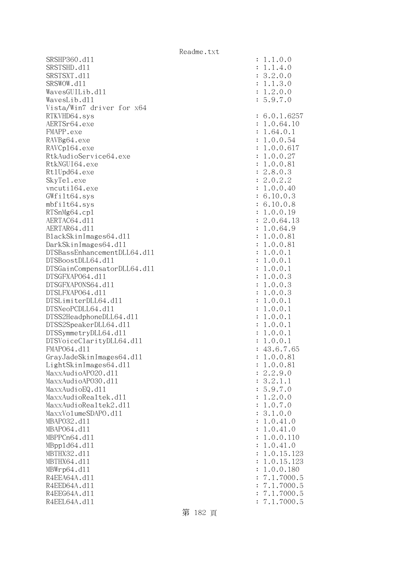SRSHP360.d11 SRSTSHD.d11 SRSTSXT.d11 SRSWOW.dl1 WavesGUILib.d11 WavesLib.dl1 Vista/Win7 driver for x64 RTKVHD64.sys AERTSr64.exe FMAPP.exe RAVBg64.exe RAVCp164.exe RtkAudioService64.exe RtkNGUI64.exe Rt1Upd64.exe SkyTel.exe vncuti164.exe GWfilt64.sys  $mbf$ ilt $64.sys$ RTSnMg64.cp1 AERTAC64.dl1 AERTAR64.d11 BlackSkinImages64.dll DarkSkinImages64.dll DTSBassEnhancementDLL64.dl1 DTSBoostDLL64.d11 DTSGainCompensatorDLL64.dll DTSGFXAP064.dl1 DTSGFXAPONS64.dl1 DTSLFXAP064.dl1 DTSLimiterDLL64.dl1 DTSNeoPCDLL64.dl1 DTSS2HeadphoneDLL64.dl1 DTSS2SpeakerDLL64.dl1 DTSSymmetryDLL64.dl1 DTSVoiceClarityDLL64.dl1 FMAP064.d11 GrayJadeSkinImages64.dll LightSkinImages64.dl1 MaxxAudioAP020.dll MaxxAudioAP030.dll MaxxAudioEQ.dll MaxxAudioRealtek.dll MaxxAudioRealtek2.dll MaxxVolumeSDAPO.dl1 MBAP032.d11 MBAP064.d11 MBPPCn64.d11 MBpp1d64.dl1 MBTHX32.d11 MBTHX64.d11 MBWrp64.dl1 R4EEA64A.d11 R4EED64A.d11 R4EEG64A.d11 R4EEL64A.d11

| $\ddot{\cdot}$                   | .0.0<br>$\mathbf 1$<br>1<br>$\ddot{\phantom{0}}$                                                                  |
|----------------------------------|-------------------------------------------------------------------------------------------------------------------|
| $\ddot{\cdot}$                   | $\ddot{\phantom{0}}$<br>.4.0<br>$\mathbf{1}$<br>1                                                                 |
| $\ddot{\cdot}$                   | $\ddot{\phantom{0}}$<br>.0.0<br>$\overline{c}$<br>3                                                               |
| $\ddot{\cdot}$                   | $\ddot{\phantom{0}}$<br>3.0<br>$\ddot{\phantom{a}}$<br>$\mathbf{1}$<br>$\mathbf{1}$                               |
| $\ddot{\cdot}$                   | $\overline{c}$<br>.0.0<br>$\ddot{\phantom{0}}$<br>1                                                               |
| $\ddot{\cdot}$                   | 9.7<br>$\cdot$ <sup>0</sup><br>$\ddot{\phantom{a}}$<br>5                                                          |
| $\ddot{\cdot}$                   | .0.1.625<br>6<br>7                                                                                                |
| $\ddot{\cdot}$                   | .0.64.10<br>$\mathbf 1$                                                                                           |
| $\ddot{\cdot}$                   | .64.0.<br>$\mathbf 1$<br>1                                                                                        |
| $\ddot{\cdot}$                   | 0.0.54<br>$\ddot{\phantom{a}}$<br>1                                                                               |
| $\ddot{\cdot}$                   | 0.0.617<br>$\ddot{\phantom{0}}$<br>1                                                                              |
| $\ddot{\cdot}$                   | 0.0.27<br>$\ddot{\phantom{0}}$<br>$\mathbf 1$                                                                     |
| $\ddot{\cdot}$                   | $0.0.$<br>8.0.<br>0.2.<br>$\ddot{\phantom{a}}$<br>81<br>1                                                         |
| $\ddot{\cdot}$                   | $\overline{c}$<br>3                                                                                               |
| $\ddot{\cdot}$                   | $\ddot{\cdot}$<br>$\mathbf{c}$<br>$\mathbf{C}$                                                                    |
| $\ddot{\cdot}$                   | 0.0.40<br>$\mathbf 1$                                                                                             |
| $\ddot{\cdot}$                   | 10.0.3<br>6                                                                                                       |
| $\ddot{\cdot}$                   | 10.0.8<br>6<br>$\ddot{\phantom{0}}$                                                                               |
| $\ddot{\cdot}$                   | $\ddot{\phantom{0}}$<br>0.0.19<br>1                                                                               |
| $\ddot{\cdot}$                   | 0.64.13<br>$\ddot{\cdot}$<br>$\overline{c}$                                                                       |
| $\ddot{\cdot}$                   | .0.64.9<br>$\mathbf{1}$                                                                                           |
| $\ddot{\cdot}$                   | 0.0.81<br>$\ddot{\phantom{0}}$<br>$\mathbf 1$                                                                     |
| $\ddot{\cdot}$                   | 0.0.81<br>$\ddot{\phantom{0}}$<br>$\mathbf 1$                                                                     |
| $\ddot{\cdot}$                   | $0.0.1$<br>0.0.1<br>$\ddot{\phantom{0}}$<br>1                                                                     |
| $\ddot{\cdot}$                   | $\ddot{\phantom{0}}$<br>1                                                                                         |
| $\ddot{\cdot}$                   | 0.0.<br>$\ddot{\phantom{0}}$<br>$\mathbf 1$<br>1                                                                  |
| $\ddot{\cdot}$                   | $0.0.$<br>$0.0.$<br>$\ddot{\phantom{0}}$<br>3<br>$\mathbf 1$                                                      |
| $\ddot{\cdot}$                   | $\ddot{\phantom{0}}$<br>3<br>$\mathbf 1$                                                                          |
| $\ddot{\cdot}$                   | 0.0.<br>$\ddot{\phantom{0}}$<br>3<br>$\mathbf 1$                                                                  |
| $\ddot{\cdot}$                   | 0.0.<br>$\ddot{\phantom{0}}$<br>$\mathbf 1$<br>$\mathbf{1}$                                                       |
| $\ddot{\cdot}$                   | 0.0.<br>$\ddot{\phantom{0}}$<br>$\mathbf 1$<br>$\mathbf{1}$                                                       |
| $\ddot{\cdot}$                   | 0.0.<br>$\ddot{\phantom{0}}$<br>$\mathbf 1$<br>$\mathbf{1}$                                                       |
| $\ddot{\cdot}$                   | $0.0.$<br>$0.0.$<br>$\ddot{\phantom{0}}$<br>$\mathbf{1}$<br>$\mathbf{1}$                                          |
| $\ddot{\cdot}$                   | $\mathbf{1}$<br>$\mathbf{1}$<br>.0.0.                                                                             |
| $\ddot{\cdot}$                   | $\mathbf{1}$<br>$\mathbf{1}$                                                                                      |
| $\ddot{\cdot}$                   | 43.6.<br>$\overline{7}$<br>.65                                                                                    |
| $\ddot{\cdot}$                   | 1.0.0.81<br>1.0.0.81                                                                                              |
| $\ddot{\cdot}$                   | $\overline{c}$                                                                                                    |
| $\ddot{\cdot}$                   | 2.9.0<br>$\overline{c}$<br>$\ddot{\phantom{0}}$<br>$\ddot{\phantom{0}}$                                           |
| $\ddot{\cdot}$<br>$\ddot{\cdot}$ | $\cdot$ 1<br>$\frac{3}{5}$<br>$\mathbf{1}$<br>9<br>$\ddot{\phantom{a}}$<br>$\ddot{\phantom{0}}$<br>$\overline{O}$ |
| $\ddot{\cdot}$                   | $\frac{7}{10}$<br>$\overline{c}$<br>$\cdot$ 0<br>$\ddot{\phantom{0}}$                                             |
| $\ddot{\cdot}$                   | l<br>1<br>$\ddot{\phantom{a}}$<br>$\overline{7}$<br>$\cdot$ 0<br>$\overline{O}$<br>$\ddot{\phantom{0}}$           |
| $\ddot{\cdot}$                   | 1.0.0<br>3<br>$\ddot{\phantom{0}}$                                                                                |
| $\ddot{\cdot}$                   | $\ddot{\phantom{a}}$<br>0.41<br>$\cdot$ 0<br>$\mathbf{1}$                                                         |
| $\ddot{\cdot}$                   | $\cdot$ 0<br>$\ddot{\phantom{0}}$<br>0.41<br>$\mathbf{1}$                                                         |
| $\ddot{\cdot}$                   | 0.0.<br>$\ddot{\phantom{0}}$<br>110<br>1                                                                          |
| $\ddot{\cdot}$                   | $\ddot{\phantom{0}}$<br>$\mathbf{1}$                                                                              |
| $\ddot{\cdot}$                   | $\ddot{\phantom{0}}$<br>$\mathbf{1}$                                                                              |
| $\ddot{\cdot}$                   | 123<br>123<br>$\ddot{\phantom{a}}$<br>$\mathbf{1}$                                                                |
| $\ddot{\cdot}$                   | 0.41.0<br>0.15.12<br>0.15.12<br>0.0.180<br>$\mathbf{1}$<br>$\ddot{\phantom{0}}$                                   |
| $\ddot{\cdot}$                   | $\ddot{\phantom{0}}$<br>7000.5<br>$\overline{a}$<br>$\mathbf 1$                                                   |
| $\ddot{\cdot}$                   | $\begin{array}{c} 7 \\ 7 \\ 7 \\ 7 \end{array}$<br>7000.5<br>$\ddot{\phantom{a}}$<br>$\mathbf 1$                  |
| $\ddot{\cdot}$                   | 7000.5<br>$\ddot{\phantom{a}}$<br>1                                                                               |
| $\ddot{\cdot}$                   | $\ddot{\phantom{0}}$<br>7000.5<br>$\overline{a}$<br>1                                                             |
|                                  |                                                                                                                   |

第 182 頁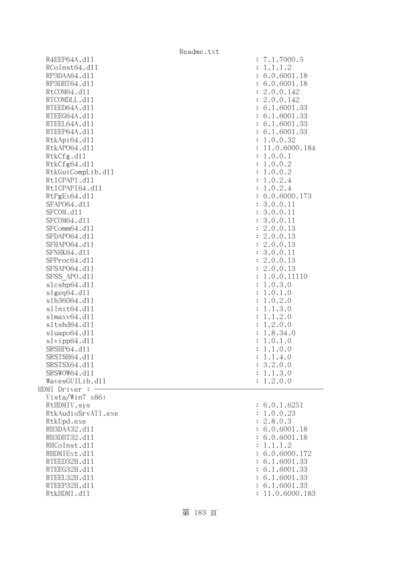|                    | Readme.txt                    |
|--------------------|-------------------------------|
| R4EEP64A.d11       | : 7.1.7000.5                  |
| RCoInst64.d11      | 1.1.1.2<br>$\ddot{\cdot}$     |
| RP3DAA64.d11       | : 6.0.6001.18                 |
| RP3DHT64.d11       | : 6.0.6001.18                 |
| RtCOM64.d11        | : 2.0.0.142                   |
| RTCOMDLL.d11       | : 2.0.0.142                   |
| RTEED64A.d11       | : 6.1.6001.33                 |
| RTEEG64A.d11       | : 6.1.6001.33                 |
| RTEEL64A.d11       | : 6.1.6001.33                 |
| RTEEP64A.d11       | : 6.1.6001.33                 |
| RtkApi64.dl1       | : 1.0.0.32                    |
| RtkAP064.d11       | : 11.0.6000.184               |
| RtkCfg.d11         | : 1.0.0.1                     |
| RtkCfg64.d11       | : 1.0.0.2                     |
| RtkGuiCompLib.d11  | : 1.0.0.2                     |
| Rt1CPAPI.d11       | 1.0.2.4<br>$\ddot{\cdot}$     |
| Rt1CPAPI64.d11     | 1.0.2.4<br>$\ddot{\cdot}$     |
| RtPgEx64.d11       | : 6.0.6000.173                |
| SFAP064.d11        | : 3.0.0.11                    |
| SFCOM.d11          | : 3.0.0.11                    |
| SFCOM64.d11        | : 3.0.0.11                    |
| SFComm64.d11       | : 2.0.0.13                    |
| SFDAP064.d11       | : 2.0.0.13                    |
| SFHAP064.d11       | : 2.0.0.13                    |
| SFNHK64.d11        | : 3.0.0.11                    |
| SFProc64.d11       | : 2.0.0.13                    |
| SFSAP064.d11       | : 2.0.0.13                    |
| SFSS APO.d11       | 1.0.0.11110<br>$\ddot{\cdot}$ |
| s1cshp64.d11       | 1.0.3.0<br>$\ddot{\cdot}$     |
| s1geq64. d11       | 1.0.1.0<br>$\ddot{\cdot}$     |
| s1h36064.d11       | 1.0.2.0<br>$\ddot{\cdot}$     |
| s1Init64.d11       | 1.1.3.0<br>$\ddot{\cdot}$     |
| slmaxv64. d11      | 1.1.2.0<br>$\ddot{\cdot}$     |
| s1tshd64.d11       | 1.2.0.0<br>$\ddot{\cdot}$     |
| sluapo64.dll       | 1.8.34.0<br>$\ddot{\cdot}$    |
| slvipp64.d11       | 1.0.1.0<br>$\ddot{\cdot}$     |
| SRSHP64.d11        | 1.1.0.0                       |
| SRSTSH64.d11       | 1.1.4.0                       |
| SRSTSX64.d11       | : 3.2.0.0                     |
| SRSWOW64.d11       | : 1.1.3.0                     |
| WavesGUILib.d11    | 1.2.0.0                       |
| HDMI Driver :      |                               |
| Vista/Win7 x86:    |                               |
| RtHDMIV.sys        | : 6.0.1.6251                  |
| RtkAudioSrvATI.exe | : 1.0.0.23                    |
| RtkUpd.exe         | : 2.8.0.3                     |
| RH3DAA32.d11       | : 6.0.6001.18                 |
| RH3DHT32.d11       | : 6.0.6001.18                 |
| RHCoInst.d11       | 1.1.1.2                       |
| RHDMIExt.d11       | : 6.0.6000.172                |
| RTEED32H.d11       | : 6.1.6001.33                 |
| RTEEG32H.d11       | : 6.1.6001.33                 |
| RTEEL32H.d11       | : 6.1.6001.33                 |
| RTEEP32H.d11       | : 6.1.6001.33                 |
| RtkHDMI.d11        | : 11.0.6000.183               |

# 第 183 頁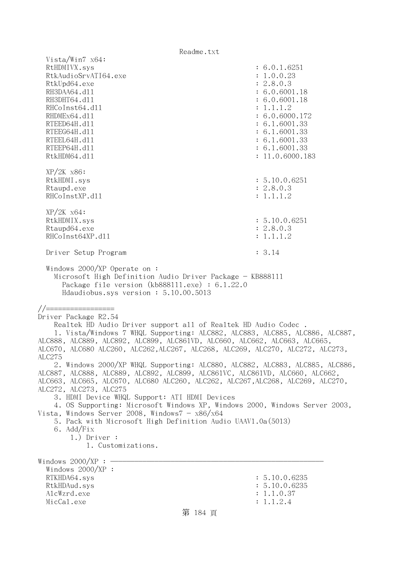| Vista/Win7 $x64$ :                                                                                                                                                                            |                                  |  |
|-----------------------------------------------------------------------------------------------------------------------------------------------------------------------------------------------|----------------------------------|--|
| RtHDMIVX.sys                                                                                                                                                                                  | : 6.0.1.6251                     |  |
| RtkAudioSrvATI64.exe<br>RtkUpd64.exe                                                                                                                                                          | : 1.0.0.23<br>: 2.8.0.3          |  |
| RH3DAA64.d11                                                                                                                                                                                  | : 6.0.6001.18                    |  |
| RH3DHT64.d11                                                                                                                                                                                  | : 6.0.6001.18                    |  |
| RHCoInst64.d11                                                                                                                                                                                | : 1.1.1.2                        |  |
| RHDMEx64.d11                                                                                                                                                                                  | : 6.0.6000.172                   |  |
| RTEED64H.d11                                                                                                                                                                                  | : 6.1.6001.33                    |  |
| RTEEG64H.d11                                                                                                                                                                                  | : 6.1.6001.33                    |  |
| RTEEL64H.d11                                                                                                                                                                                  | : 6.1.6001.33                    |  |
| RTEEP64H.d11<br>RtkHDM64.d11                                                                                                                                                                  | : 6.1.6001.33<br>: 11.0.6000.183 |  |
|                                                                                                                                                                                               |                                  |  |
| $XP/2K$ $x86$ :                                                                                                                                                                               |                                  |  |
| RtkHDMI.sys                                                                                                                                                                                   | : 5.10.0.6251                    |  |
| Rtaupd.exe                                                                                                                                                                                    | : 2.8.0.3                        |  |
| RHCoInstXP.d11                                                                                                                                                                                | : 1.1.1.2                        |  |
|                                                                                                                                                                                               |                                  |  |
| $XP/2K$ $x64$ :<br>RtkHDMIX.sys                                                                                                                                                               | : 5.10.0.6251                    |  |
| Rtaupd64.exe                                                                                                                                                                                  | : 2.8.0.3                        |  |
| RHCoInst64XP.d11                                                                                                                                                                              | : 1.1.1.2                        |  |
|                                                                                                                                                                                               |                                  |  |
| Driver Setup Program                                                                                                                                                                          | : 3.14                           |  |
| Windows $2000/XP$ Operate on:<br>Microsoft High Definition Audio Driver Package - KB888111<br>Package file version $(kb888111.\text{exe}) : 6.1.22.0$<br>Hdaudiobus.sys version: 5.10.00.5013 |                                  |  |
| //==================                                                                                                                                                                          |                                  |  |
| Driver Package R2.54                                                                                                                                                                          |                                  |  |
| Realtek HD Audio Driver support all of Realtek HD Audio Codec.                                                                                                                                |                                  |  |
| 1. Vista/Windows 7 WHQL Supporting: ALC882, ALC883, ALC885, ALC886, ALC887,                                                                                                                   |                                  |  |
| ALC888, ALC889, ALC892, ALC899, ALC861VD, ALC660, ALC662, ALC663, ALC665,                                                                                                                     |                                  |  |
| ALC670, ALC680 ALC260, ALC262,ALC267, ALC268, ALC269, ALC270, ALC272, ALC273,                                                                                                                 |                                  |  |
| ALC275                                                                                                                                                                                        |                                  |  |
| 2. Windows 2000/XP WHQL Supporting: ALC880, ALC882, ALC883, ALC885, ALC886,                                                                                                                   |                                  |  |
| ALC887, ALC888, ALC889, ALC892, ALC899, ALC861VC, ALC861VD, ALC660, ALC662,<br>ALC663, ALC665, ALC670, ALC680 ALC260, ALC262, ALC267, ALC268, ALC269, ALC270,                                 |                                  |  |
| ALC272, ALC273, ALC275                                                                                                                                                                        |                                  |  |
| 3. HDMI Device WHQL Support: ATI HDMI Devices                                                                                                                                                 |                                  |  |
| 4. OS Supporting: Microsoft Windows XP, Windows 2000, Windows Server 2003,                                                                                                                    |                                  |  |
| Vista, Windows Server 2008, Windows $7 - x86/x64$                                                                                                                                             |                                  |  |
| 5. Pack with Microsoft High Definition Audio UAAV1.0a(5013)                                                                                                                                   |                                  |  |
| 6. Add/Fix<br>$1.)$ Driver :                                                                                                                                                                  |                                  |  |
| 1. Customizations.                                                                                                                                                                            |                                  |  |
|                                                                                                                                                                                               |                                  |  |
| Windows $2000/XP$ : $\cdot$                                                                                                                                                                   |                                  |  |
| Windows $2000/XP$ :                                                                                                                                                                           |                                  |  |
| RTKHDA64.sys                                                                                                                                                                                  | : 5.10.0.6235                    |  |
| RtkHDAud.sys<br>AlcWzrd.exe                                                                                                                                                                   | : 5.10.0.6235<br>: 1.1.0.37      |  |
| MicCal.exe                                                                                                                                                                                    | : 1.1.2.4                        |  |
| 第 184 頁                                                                                                                                                                                       |                                  |  |
|                                                                                                                                                                                               |                                  |  |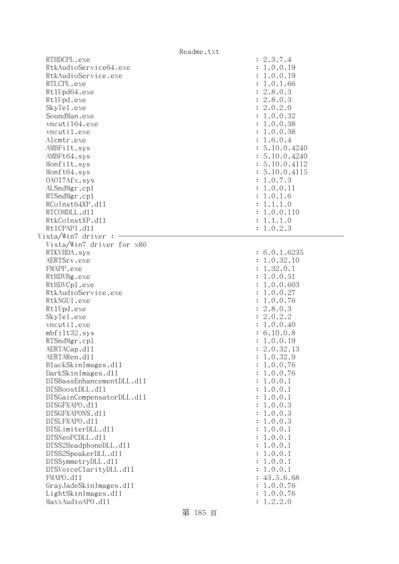|                                                                                                                                                                                                                                                                                                                                                                                                                                                                                                                                                                                                                                                               | Readme.txt                                                                                                                                                                                                                                                                                                                                                                                                                          |
|---------------------------------------------------------------------------------------------------------------------------------------------------------------------------------------------------------------------------------------------------------------------------------------------------------------------------------------------------------------------------------------------------------------------------------------------------------------------------------------------------------------------------------------------------------------------------------------------------------------------------------------------------------------|-------------------------------------------------------------------------------------------------------------------------------------------------------------------------------------------------------------------------------------------------------------------------------------------------------------------------------------------------------------------------------------------------------------------------------------|
| RTHDCPL.exe<br>RtkAudioService64.exe<br>RtkAudioService.exe<br>RTLCPL.exe<br>Rt1Upd64.exe<br>Rt1Upd.exe<br>SkyTe1.exe<br>SoundMan.exe<br>vncuti164.exe<br>vncutil.exe<br>Alcmtr.exe<br>AMBFilt.sys<br>AMBFt64.sys<br>Monfilt.sys<br>Monft64.sys<br>0A017Afx.sys<br>ALSndMgr.cp1<br>RTSndMgr.cp1<br>RCoInst64XP.d11<br>RTCOMDLL.d11<br>RtkCoInstXP.d11<br>Rt1CPAPI.d11<br>Vista/Win7 driver :                                                                                                                                                                                                                                                                  | : 2.3.7.4<br>: 1.0.0.19<br>: 1.0.0.19<br>: 1.0.1.66<br>: 2.8.0.3<br>: 2.8.0.3<br>: 2.0.2.0<br>: 1.0.0.32<br>: 1.0.0.38<br>: 1.0.0.38<br>: 1.6.0.4<br>: 5.10.0.4240<br>: 5.10.0.4240<br>: 5.10.0.4112<br>: 5.10.0.4115<br>: 1.0.7.3<br>: 1.0.0.11<br>: 1.0.1.6<br>: 1.1.1.0<br>: 1.0.0.110<br>: 1.1.1.0<br>: 1.0.2.3                                                                                                                 |
| Vista/Win7 driver for x86<br>RTKVHDA.sys<br>AERTSrv.exe<br>FMAPP.exe<br>RtHDVBg.exe<br>RtHDVCp1.exe<br>RtkAudioService.exe<br>RtkNGUI.exe<br>Rt1Upd.exe<br>SkyTe1.exe<br>vncutil.exe<br>mbfilt32.sys<br>RTSndMgr.cp1<br>AERTACap.d11<br>AERTARen.d11<br>BlackSkinImages.dl1<br>DarkSkinImages.d11<br>DTSBassEnhancementDLL.d11<br>DTSBoostDLL.d11<br>DTSGainCompensatorDLL.d11<br>DTSGFXAPO.d11<br>DTSGFXAPONS.d11<br>DTSLFXAPO.d11<br>DTSLimiterDLL.d11<br>DTSNeoPCDLL.d11<br>DTSS2HeadphoneDLL.d11<br>DTSS2SpeakerDLL.d11<br>DTSSymmetryDLL.d11<br>DTSVoiceClarityDLL.dl1<br>FMAPO.d11<br>GrayJadeSkinImages.d11<br>LightSkinImages.d11<br>MaxxAudioAPO.d11 | : 6.0.1.6235<br>: 1.0.32.10<br>: 1.32.0.1<br>: 1.0.0.51<br>: 1.0.0.603<br>: 1.0.0.27<br>: 1.0.0.76<br>: 2.8.0.3<br>: 2.0.2.2<br>: 1.0.0.40<br>: 6.10.0.8<br>: 1.0.0.19<br>2.0.32.13<br>1.0.32.9<br>1.0.0.76<br>1.0.0.76<br>: 1.0.0.1<br>: 1.0.0.1<br>1.0.0.1<br>: 1.0.0.3<br>: 1.0.0.3<br>: 1.0.0.3<br>: 1.0.0.1<br>: 1.0.0.1<br>: 1.0.0.1<br>: 1.0.0.1<br>: 1.0.0.1<br>1.0.0.1<br>: 43.5.6.68<br>: 1.0.0.76<br>1.0.0.76<br>1.2.2.0 |

第 185 頁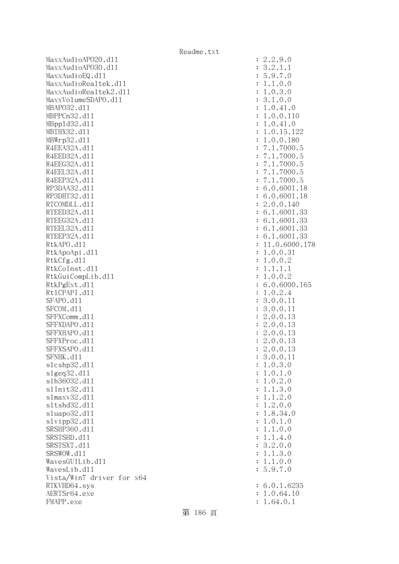MaxxAudioAPO20.dll : 2.2.9.0 MaxxAudioAPO30.dll : 3.2.1.1 MaxxAudioEQ.dl1 : 5.9.7.0 MaxxAudioRealtek.dl1 : 1.1.0.0 MaxxAudioRealtek2.dll : 1.0.3.0 MaxxVolumeSDAPO.dll : 3.1.0.0 MBAPO32.dll : 1.0.41.0 MBPPCn32.dll : 1.0.0.110 MBppld32.dll : 1.0.41.0 MBTHX32.d11 : 1.0.15.122 MBWrp32.d11 : 1.0.0.180 R4EEA32A.d11 : 7.1.7000.5 R4EED32A.d11 : 7.1.7000.5 R4EEG32A.d11 : 7.1.7000.5 R4EEL32A.d11 : 7.1.7000.5 R4EEP32A.d11 : 7.1.7000.5 RP3DAA32.d11 : 6.0.6001.18 RP3DHT32.d11 : 6.0.6001.18 RTCOMDLL.d11 : 2.0.0.140 RTEED32A.d11 : 6.1.6001.33 RTEEG32A.d11 : 6.1.6001.33 RTEEL32A.d11 : 6.1.6001.33 RTEEP32A.d11 : 6.1.6001.33 RtkAPO.dll : 11.0.6000.178 RtkApoApi.dl1 : 1.0.0.31 RtkCfg.dl1 : 1.0.0.2 RtkCoInst.d11 : 1.1.1.1 RtkGuiCompLib.dl1 : 1.0.0.2 RtkPgExt.dll : 6.0.6000.165 Rt1CPAPI.d11 : 1.0.2.4 SFAPO.d11 : 3.0.0.11 : 3.0.0.11 SFCOM.d11 : 3.0.0.11 SFFXComm.d11 : 2.0.0.13 SFFXDAPO.d11 : 2.0.0.13 SFFXHAPO.d11 : 2.0.0.13 SFFXProc.d11 : 2.0.0.13 SFFXSAPO.d11 : 2.0.0.13 SFNHK.d11 : 3.0.0.11 slcshp32.dll : 1.0.3.0  $s1geq32. d11$  :  $1.0.1.0$  slh36032.dll : 1.0.2.0 slInit32.dll : 1.1.3.0 slmaxv32.dl1 : 1.1.2.0 sltshd32.dll : 1.2.0.0 sluapo32.dl1 : 1.8.34.0 slvipp32.dll : 1.0.1.0 SRSHP360.d11 : 1.1.0.0 SRSTSHD.d11 : 1.1.4.0 SRSTSXT.d11 : 3.2.0.0 SRSWOW.dll : 1.1.3.0 WavesGUILib.dl1 : 1.1.0.0 WavesLib.dll : 5.9.7.0 Vista/Win7 driver for x64 RTKVHD64.sys : 6.0.1.6235 AERTSr64.exe : 1.0.64.10 FMAPP.exe : 1.64.0.1

第 186 頁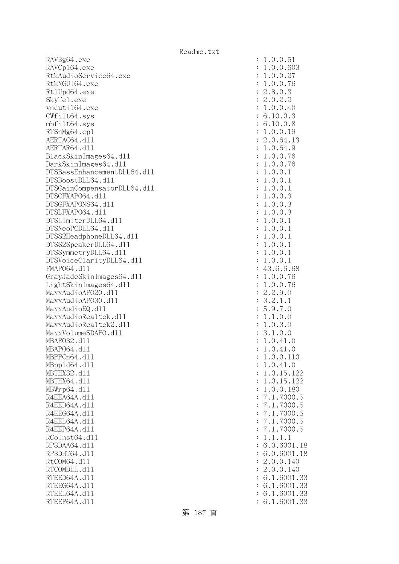RAVBg64.exe RAVCp164.exe RtkAudioService64.exe RtkNGUI64.exe Rt1Upd64.exe SkyTe1.exe vncuti164.exe  $GWfilt64.sys$ mbfilt64.sys RTSnMg64.cp1 AERTAC64.dll AERTAR64.d11 BlackSkinImages64.dll DarkSkinImages64.dl1 DTSBassEnhancementDLL64.dl1 DTSBoostDLL64.dl1 DTSGainCompensatorDLL64.dll DTSGFXAPO64.dl1 DTSGFXAPONS64.dl1 DTSLFXAP064.dl1 DTSLimiterDLL64.dl1 DTSNeoPCDLL64.dl1 DTSS2HeadphoneDLL64.dl1 DTSS2SpeakerDLL64.dl1 DTSSymmetryDLL64.dl1 DTSVoiceClarityDLL64.dll FMAP064.d11 GrayJadeSkinImages64.dll LightSkinImages64.dll MaxxAudioAP020.dll MaxxAudioAPO30.dll MaxxAudioEQ.dll MaxxAudioRealtek.dll MaxxAudioRealtek2.dll MaxxVolumeSDAPO.dl1 MBAP032.d11 MBAP064.dl1 MBPPCn64.d11 MBpp1d64.dl1 MBTHX32.d11 MBTHX64.d11 MBWrp64.dl1 R4EEA64A.d11 R4EED64A.d11 R4EEG64A.d11 R4EEL64A.d11 R4EEP64A.d11 RCoInst64.d11 RP3DAA64.d11 RP3DHT64.d11 RtCOM64.d11 RTCOMDLL.d11 RTEED64A.dl1 RTEEG64A.dl1 RTEEL64A.d11 RTEEP64A.d11

| $\ddot{\cdot}$ | 1<br>$\overline{0}$<br>$\ddot{\phantom{0}}$<br>$\circ$<br>51                                                                                                                                       |
|----------------|----------------------------------------------------------------------------------------------------------------------------------------------------------------------------------------------------|
| $\ddot{\cdot}$ | $\overline{0}$ .<br>$\ddot{\phantom{0}}$<br>603<br>27<br>76<br>3<br>2<br>$\overline{O}$<br>$\mathbf 1$                                                                                             |
| $\ddot{\cdot}$ | $\overline{0}$ .<br>$\overline{O}$<br>$\mathbf{1}$                                                                                                                                                 |
| $\ddot{\cdot}$ | $\overline{0}$ .<br>$\overline{0}$ .<br>$\mathbf{1}$                                                                                                                                               |
| $\ddot{\cdot}$ | $\overline{O}$<br>$\overline{c}$<br>8.                                                                                                                                                             |
| $\ddot{\cdot}$ | $\ddot{\phantom{0}}$                                                                                                                                                                               |
|                | $\frac{2}{1}$                                                                                                                                                                                      |
| $\ddot{\cdot}$ |                                                                                                                                                                                                    |
| $\ddot{\cdot}$ | 6                                                                                                                                                                                                  |
| $\ddot{\cdot}$ | $\ddot{\phantom{0}}$<br>6                                                                                                                                                                          |
| $\ddot{\cdot}$ |                                                                                                                                                                                                    |
| $\ddot{\cdot}$ | $0.2.2$<br>$0.0.40$<br>$10.0.3$<br>$10.0.8$<br>$0.0.19$<br>$0.64.1$<br>$0.64.9$<br>$0.0.76$<br>$0.0.76$<br>121111<br>9<br>13<br>$\ddot{\cdot}$                                                     |
| $\ddot{\cdot}$ |                                                                                                                                                                                                    |
| $\ddot{\cdot}$ |                                                                                                                                                                                                    |
| $\ddot{\cdot}$ |                                                                                                                                                                                                    |
| $\ddot{\cdot}$ | 0.0<br>$\mathbf{1}$                                                                                                                                                                                |
| $\ddot{\cdot}$ | $\mathbf{1}$                                                                                                                                                                                       |
|                |                                                                                                                                                                                                    |
| $\ddot{\cdot}$ | $\mathbf{1}$                                                                                                                                                                                       |
| $\ddot{\cdot}$ | 3                                                                                                                                                                                                  |
| $\ddot{\cdot}$ |                                                                                                                                                                                                    |
| $\ddot{\cdot}$ |                                                                                                                                                                                                    |
| $\ddot{\cdot}$ |                                                                                                                                                                                                    |
| $\ddot{\cdot}$ | .<br>$\begin{array}{c} 3 \\ 3 \\ 1 \end{array}$                                                                                                                                                    |
| $\ddot{\cdot}$ | $\mathbf{1}$                                                                                                                                                                                       |
| $\ddot{\cdot}$ | $1.0.0.$<br>$1.0.0.$<br>$1.0.0.$<br>$1.0.0.$<br>$1.0.0.$<br>$1.0.0.$<br>$1.0.0.$<br>$1.0.0.$<br>$1.0.0.$<br>$43.6.6$<br>$1.0.0.$<br>$2.2.9.$<br>$3.2.1.$<br>$5.9.7.$<br>$1.1.0.3.$<br>$\mathbf{1}$ |
| $\ddot{\cdot}$ | $\mathbf{1}$                                                                                                                                                                                       |
|                |                                                                                                                                                                                                    |
| $\ddot{\cdot}$ | $\frac{1}{1}$ .68                                                                                                                                                                                  |
| $\ddot{\cdot}$ |                                                                                                                                                                                                    |
| $\ddot{\cdot}$ | 76<br>76<br>0<br>0<br>1                                                                                                                                                                            |
| $\ddot{\cdot}$ |                                                                                                                                                                                                    |
| $\ddot{\cdot}$ |                                                                                                                                                                                                    |
| $\ddot{\cdot}$ |                                                                                                                                                                                                    |
| $\ddot{\cdot}$ | $\overline{O}$                                                                                                                                                                                     |
| $\ddot{\cdot}$ | $\circ$                                                                                                                                                                                            |
| $\ddot{\cdot}$ | $\frac{3}{0}$ .<br>$0$<br>$0$<br>$\cdot$ 0<br>$\cdot$                                                                                                                                              |
| $\ddot{\cdot}$ | $\ddot{\phantom{0}}$<br>$\ddot{\phantom{0}}$<br>3                                                                                                                                                  |
|                | $\begin{smallmatrix} 1 \\ 0 \\ 0 \\ \end{smallmatrix}$<br>$\frac{41}{41}$                                                                                                                          |
| $\vdots$       | $\frac{1}{1}$<br>$\ddot{\phantom{0}}$                                                                                                                                                              |
| $\ddot{\cdot}$ | 0.0.<br>1.<br>$\mathbf 1$                                                                                                                                                                          |
|                | 10                                                                                                                                                                                                 |
| $\ddot{\cdot}$ | .0.41.0<br>1                                                                                                                                                                                       |
| $\ddot{\cdot}$ | 0.15.122<br>$\ddot{\phantom{0}}$<br>1                                                                                                                                                              |
| $\ddot{\cdot}$ | 0.15.122<br>1<br>$\ddot{\phantom{0}}$                                                                                                                                                              |
| $\ddot{\cdot}$ | 0.0.180<br>1<br>$\ddot{\phantom{0}}$                                                                                                                                                               |
| $\ddot{\cdot}$ | 1.7000.5<br>$\overline{7}$                                                                                                                                                                         |
| $\ddot{\cdot}$ | 1.7000.<br>$\overline{7}$<br>5                                                                                                                                                                     |
| $\ddot{\cdot}$ | $\overline{7}$<br>1.7000.<br>5<br>$\ddot{\phantom{0}}$                                                                                                                                             |
| $\ddot{\cdot}$ | $\overline{7}$<br>1.7000.<br>5<br>$\ddot{\phantom{0}}$                                                                                                                                             |
| $\ddot{\cdot}$ | $\overline{7}$<br>$\cdot$ 1.<br>7000.<br>5                                                                                                                                                         |
| $\ddot{\cdot}$ | 1.1.1<br>$\ddot{\phantom{0}}$<br>$\mathbf 1$                                                                                                                                                       |
| $\ddot{\cdot}$ | .0.6001.18<br>6                                                                                                                                                                                    |
|                |                                                                                                                                                                                                    |
| $\ddot{\cdot}$ | 0.6001.18<br>$\ddot{\phantom{0}}$<br>6                                                                                                                                                             |
| $\ddot{\cdot}$ | $\overline{c}$<br>0.0.140<br>$\ddot{\phantom{0}}$                                                                                                                                                  |
| $\ddot{\cdot}$ | 0.0.140<br>$\overline{c}$<br>$\ddot{\phantom{0}}$                                                                                                                                                  |
| $\ddot{\cdot}$ | 1.6001.33<br>6<br>$\ddot{\phantom{a}}$                                                                                                                                                             |
| $\ddot{\cdot}$ | 1.6001.33<br>6.                                                                                                                                                                                    |
| $\ddot{\cdot}$ | 6.1.6001.33                                                                                                                                                                                        |
| $\ddot{\cdot}$ | 6.1.6001.33                                                                                                                                                                                        |
|                |                                                                                                                                                                                                    |

第 187 頁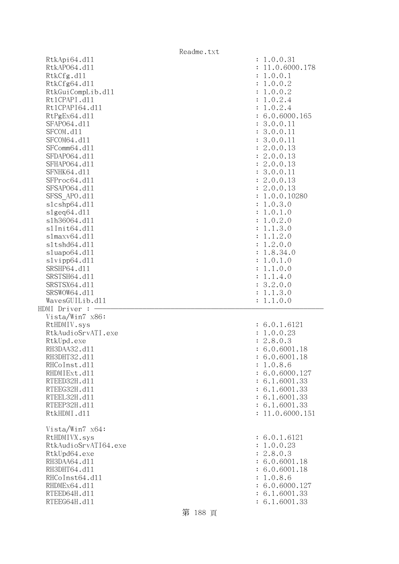|                                   | Readme.txt                     |
|-----------------------------------|--------------------------------|
| RtkApi64.dl1                      | : 1.0.0.31                     |
| RtkAP064.d11                      | : 11.0.6000.178                |
| RtkCfg.d11                        | 1.0.0.1<br>÷                   |
| RtkCfg64.d11                      | : 1.0.0.2                      |
| RtkGuiCompLib.d11                 | 1.0.0.2<br>$\ddot{\cdot}$      |
| Rt1CPAPI.d11                      | 1.0.2.4<br>$\ddot{\cdot}$      |
| Rt1CPAPI64.d11                    | 1.0.2.4<br>$\ddot{\cdot}$      |
| RtPgEx64.d11                      | : 6.0.6000.165                 |
| SFAP064.d11                       | : 3.0.0.11                     |
| SFCOM.d11                         | : 3.0.0.11                     |
| SFCOM64.d11                       | : 3.0.0.11                     |
| SFComm64.d11                      | : 2.0.0.13                     |
| SFDAP064.d11                      | : 2.0.0.13                     |
| SFHAP064.d11                      | : 2.0.0.13                     |
| SFNHK64.d11                       | : 3.0.0.11                     |
| SFProc64.d11                      | : 2.0.0.13                     |
| SFSAP064.d11                      | : 2.0.0.13                     |
| SFSS APO.d11                      | : 1.0.0.10280                  |
| s1cshp64.d11                      | 1.0.3.0<br>$\ddot{\cdot}$      |
| s1geq64. d11                      | 1.0.1.0<br>$\ddot{\cdot}$      |
| s1h36064.d11                      | 1.0.2.0<br>$\ddot{\cdot}$      |
| s1Init64.d11                      | 1.1.3.0<br>$\ddot{\cdot}$      |
| slmaxv64.d11                      | 1.1.2.0<br>$\ddot{\cdot}$      |
| s1tshd64.d11                      | 1.2.0.0<br>$\ddot{\cdot}$      |
| sluapo64.d11                      | 1.8.34.0<br>$\ddot{\cdot}$     |
| slvipp64.d11                      | 1.0.1.0<br>$\ddot{\cdot}$      |
| SRSHP64.d11                       | 1.1.0.0                        |
| SRSTSH64.d11                      | 1.1.4.0<br>$\ddot{\cdot}$      |
| SRSTSX64.d11                      | : 3.2.0.0                      |
| SRSWOW64.d11                      | 1.1.3.0                        |
|                                   |                                |
| WavesGUILib.d11<br>HDMI Driver :  | 1.1.0.0                        |
| Vista/Win7 x86:                   |                                |
|                                   |                                |
| RtHDMIV.sys<br>RtkAudioSrvATI.exe | : 6.0.1.6121                   |
|                                   | : 1.0.0.23                     |
| RtkUpd.exe                        | : 2.8.0.3<br>: 6.0.6001.18     |
| RH3DAA32.d11                      |                                |
| RH3DHT32.d11                      | : 6.0.6001.18                  |
| RHCoInst.d11                      | : 1.0.8.6<br>: 6.0.6000.127    |
| RHDMIExt.d11                      |                                |
| RTEED32H.d11                      | : 6.1.6001.33                  |
| RTEEG32H.d11                      | : 6.1.6001.33                  |
| RTEEL32H.d11                      | : 6.1.6001.33                  |
| RTEEP32H.d11                      | : 6.1.6001.33                  |
| RtkHDMI.d11                       | : 11.0.6000.151                |
| Vista/Win7 x64:                   |                                |
|                                   |                                |
|                                   |                                |
| RtHDMIVX.sys                      | : 6.0.1.6121                   |
| RtkAudioSrvATI64.exe              | : 1.0.0.23                     |
| RtkUpd64.exe                      | : 2.8.0.3                      |
| RH3DAA64.d11                      | : 6.0.6001.18                  |
| RH3DHT64.d11                      | : 6.0.6001.18                  |
| RHCoInst64.d11                    | 1.0.8.6<br>÷                   |
| RHDMEx64.d11                      | : 6.0.6000.127                 |
| RTEED64H.d11<br>RTEEG64H.d11      | : 6.1.6001.33<br>: 6.1.6001.33 |

第 188 頁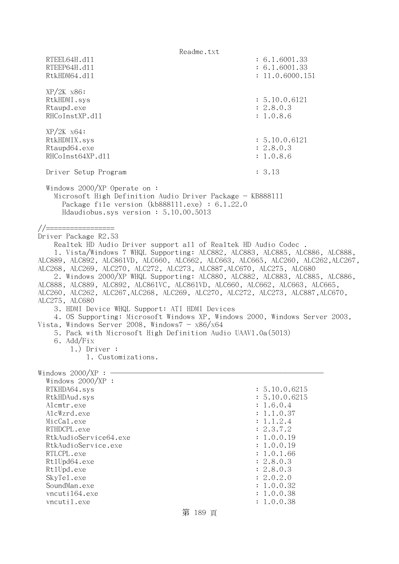Readme.txt RTEEL64H.d11 : 6.1.6001.33 RTEEP64H.dll : 6.1.6001.33 RtkHDM64.d11 : 11.0.6000.151 XP/2K x86: RtkHDMI.sys : 5.10.0.6121 Rtaupd.exe : 2.8.0.3 RHCoInstXP.d11 : 1.0.8.6 XP/2K x64: RtkHDMIX.sys : 5.10.0.6121 Rtaupd64.exe : 2.8.0.3 RHCoInst64XP.d11 : 1.0.8.6 Driver Setup Program : 3.13 Windows 2000/XP Operate on : Microsoft High Definition Audio Driver Package - KB888111 Package file version (kb888111.exe) : 6.1.22.0 Hdaudiobus.sys version : 5.10.00.5013 //================= Driver Package R2.53 Realtek HD Audio Driver support all of Realtek HD Audio Codec . 1. Vista/Windows 7 WHQL Supporting: ALC882, ALC883, ALC885, ALC886, ALC888, ALC889, ALC892, ALC861VD, ALC660, ALC662, ALC663, ALC665, ALC260, ALC262,ALC267, ALC268, ALC269, ALC270, ALC272, ALC273, ALC887,ALC670, ALC275, ALC680 2. Windows 2000/XP WHQL Supporting: ALC880, ALC882, ALC883, ALC885, ALC886, ALC888, ALC889, ALC892, ALC861VC, ALC861VD, ALC660, ALC662, ALC663, ALC665, ALC260, ALC262, ALC267,ALC268, ALC269, ALC270, ALC272, ALC273, ALC887,ALC670, ALC275, ALC680 3. HDMI Device WHQL Support: ATI HDMI Devices 4. OS Supporting: Microsoft Windows XP, Windows 2000, Windows Server 2003, Vista, Windows Server 2008, Windows $7 - x86/x64$  5. Pack with Microsoft High Definition Audio UAAV1.0a(5013) 6. Add/Fix 1.) Driver : 1. Customizations. Windows  $2000/XP : -$  Windows 2000/XP : RTKHDA64.sys : 5.10.0.6215 RtkHDAud.sys : 5.10.0.6215 Alcmtr.exe : 1.6.0.4 AlcWzrd.exe : 1.1.0.37  $\text{MicCal.}$ exe : 1.1.2.4 RTHDCPL.exe : 2.3.7.2 RtkAudioService64.exe : 1.0.0.19 RtkAudioService.exe : 1.0.0.19 RTLCPL.exe : 1.0.1.66 Rt1Upd64.exe : 2.8.0.3 Rt1Upd.exe : 2.8.0.3 SkyTel.exe : 2.0.2.0 SoundMan.exe : 1.0.0.32 vncuti164.exe : 1.0.0.38 vncutil.exe : 1.0.0.38 第 189 頁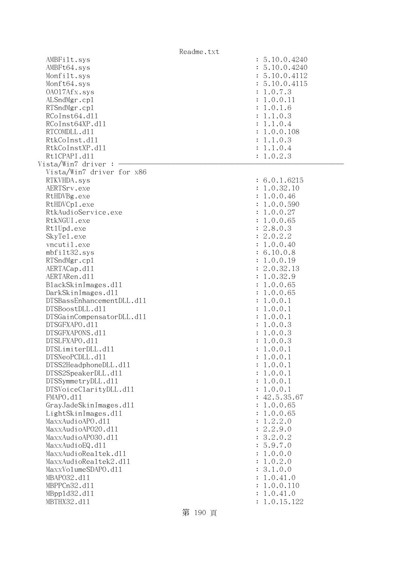|                                              | Readme.txt                     |  |
|----------------------------------------------|--------------------------------|--|
| AMBFilt.sys<br>AMBFt64.sys                   | : 5.10.0.4240<br>: 5.10.0.4240 |  |
| Monfilt.sys                                  | : 5.10.0.4112                  |  |
| Monft64.sys                                  | : 5.10.0.4115                  |  |
| 0A017Afx.sys                                 | : 1.0.7.3                      |  |
| ALSndMgr.cp1                                 | : 1.0.0.11                     |  |
| RTSndMgr.cp1                                 | : 1.0.1.6                      |  |
| RCoInst64.d11                                | : 1.1.0.3                      |  |
| RCoInst64XP.d11                              | : 1.1.0.4                      |  |
| RTCOMDLL.d11                                 | : 1.0.0.108                    |  |
| RtkCoInst.d11                                | : 1.1.0.3                      |  |
| RtkCoInstXP.d11                              | : 1.1.0.4                      |  |
| Rt1CPAPI.d11                                 | : 1.0.2.3                      |  |
| Vista/Win7 driver :                          |                                |  |
| Vista/Win7 driver for x86                    |                                |  |
| RTKVHDA.sys                                  | : 6.0.1.6215                   |  |
| AERTSrv.exe                                  | : 1.0.32.10                    |  |
| RtHDVBg.exe                                  | : 1.0.0.46                     |  |
| RtHDVCp1.exe                                 | 1.0.0.590                      |  |
| RtkAudioService.exe                          | 1.0.0.27                       |  |
| RtkNGUI.exe                                  | 1.0.0.65                       |  |
| Rt1Upd.exe                                   | 2.8.0.3<br>$\ddot{\cdot}$      |  |
| SkyTe1.exe                                   | 2.0.2.2                        |  |
| vncutil.exe                                  | 1.0.0.40                       |  |
| mbfilt32.sys                                 | : 6.10.0.8                     |  |
| RTSndMgr.cp1                                 | 1.0.0.19                       |  |
| AERTACap.d11                                 | 2.0.32.13                      |  |
| AERTARen.d11                                 | 1.0.32.9<br>$\ddot{\cdot}$     |  |
| BlackSkinImages.d11                          | 1.0.0.65                       |  |
| DarkSkinImages.d11                           | 1.0.0.65                       |  |
| DTSBassEnhancementDLL.d11<br>DTSBoostDLL.d11 | 1.0.0.1                        |  |
| DTSGainCompensatorDLL.d11                    | 1.0.0.1<br>1.0.0.1             |  |
| DTSGFXAPO.d11                                | : 1.0.0.3                      |  |
| DTSGFXAPONS.d11                              | 1.0.0.3<br>$\ddot{\cdot}$      |  |
| DTSLFXAPO.d11                                | : 1.0.0.3                      |  |
| DTSLimiterDLL.d11                            | 1.0.0.1                        |  |
| DTSNeoPCDLL.d11                              | 1.0.0.1                        |  |
| DTSS2HeadphoneDLL.d11                        | 1.0.0.1                        |  |
| DTSS2SpeakerDLL.d11                          | 1.0.0.1                        |  |
| DTSSymmetryDLL.d11                           | 1.0.0.1                        |  |
| DTSVoiceClarityDLL.dl1                       | 1.0.0.1                        |  |
| FMAPO.d11                                    | : 42.5.35.67                   |  |
| GrayJadeSkinImages.d11                       | 1.0.0.65                       |  |
| LightSkinImages.d11                          | 1.0.0.65                       |  |
| MaxxAudioAPO.dl1                             | 1.2.2.0                        |  |
| MaxxAudioAP020.dll                           | 2.2.9.0                        |  |
| MaxxAudioAP030.dll                           | 3.2.0.2                        |  |
| MaxxAudioEQ.d11                              | 5.9.7.0                        |  |
| MaxxAudioRealtek.dll                         | 1.0.0.0                        |  |
| MaxxAudioRealtek2.dl1                        | 1.0.2.0                        |  |
| MaxxVo1umeSDAPO.d11                          | 3.1.0.0                        |  |
| MBAP032.d11                                  | 1.0.41.0                       |  |
| MBPPCn32.d11                                 | 1.0.0.110                      |  |
| MBpp1d32.d11                                 | 1.0.41.0                       |  |
| MBTHX32.d11                                  | 1.0.15.122                     |  |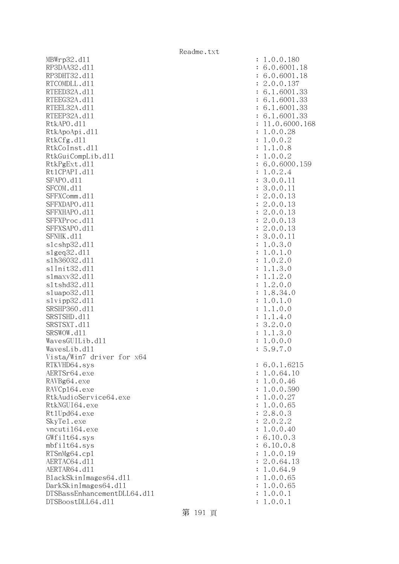MBWrp32.dll : 1.0.0.180 RP3DAA32.d11 : 6.0.6001.18 RP3DHT32.d11 : 6.0.6001.18 RTCOMDLL.d11 : 2.0.0.137 RTEED32A.d11 : 6.1.6001.33 RTEEG32A.d11 : 6.1.6001.33 RTEEL32A.d11 : 6.1.6001.33 RTEEP32A.d11 : 6.1.6001.33 RtkAPO.dll : 11.0.6000.168 RtkApoApi.dll : 1.0.0.28 RtkCfg.dl1 : 1.0.0.2 RtkCoInst.d11 : 1.1.0.8 RtkGuiCompLib.dl1 : 1.0.0.2 RtkPgExt.dl1 : 6.0.6000.159 Rt1CPAPI.d11 : 1.0.2.4 SFAPO.d11 : 3.0.0.11 : 3.0.0.11 SFCOM.d11 : 3.0.0.11 SFFXComm.d11 : 2.0.0.13 SFFXDAPO.d11 : 2.0.0.13 SFFXHAPO.d11 : 2.0.0.13 SFFXProc.d11 : 2.0.0.13 SFFXSAPO.d11 : 2.0.0.13 SFNHK.d11 : 3.0.0.11 slcshp32.dll : 1.0.3.0 slgeq32.dll : 1.0.1.0 slh36032.dll : 1.0.2.0 slInit32.dll : 1.1.3.0 slmaxv32.dll : 1.1.2.0 sltshd32.dll : 1.2.0.0 sluapo32.dll : 1.8.34.0 slvipp32.dll : 1.0.1.0 SRSHP360.d11 : 1.1.0.0 SRSTSHD.d11 : 1.1.4.0 SRSTSXT.d11 : 3.2.0.0 SRSWOW.d11 : 1.1.3.0 WavesGUILib.dl1 : 1.0.0.0  $WavesLib. d11$  : 5.9.7.0 Vista/Win7 driver for x64 RTKVHD64.sys : 6.0.1.6215 AERTSr64.exe : 1.0.64.10 RAVBg64.exe : 1.0.0.46 RAVCp164.exe : 1.0.0.590 RtkAudioService64.exe : 1.0.0.27 RtkNGUI64.exe : 1.0.0.65 Rt1Upd64.exe : 2.8.0.3 SkyTel.exe : 2.0.2.2 vncuti164.exe : 1.0.0.40 GWfilt64.sys : 6.10.0.3 mbfilt64.sys : 6.10.0.8 RTSnMg64.cpl : 1.0.0.19 AERTAC64.d11 : 2.0.64.13 AERTAR64.d11 : 1.0.64.9 BlackSkinImages64.dl1 : 1.0.0.65 DarkSkinImages64.dll : 1.0.0.65 DTSBassEnhancementDLL64.dll : 1.0.0.1 DTSBoostDLL64.dll : 1.0.0.1

### 第 191 頁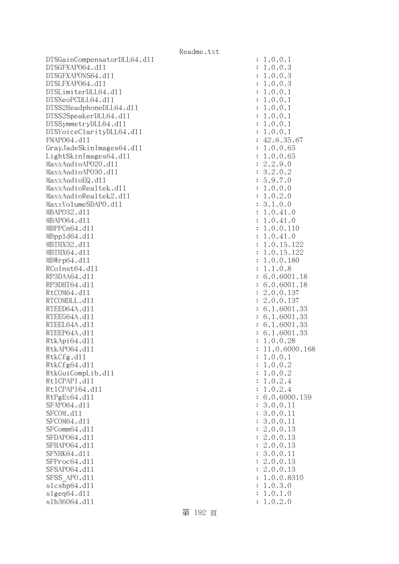DTSGainCompensatorDLL64.dll : 1.0.0.1 DTSGFXAPO64.dll : 1.0.0.3 DTSGFXAPONS64.dll : 1.0.0.3 DTSLFXAPO64.dll : 1.0.0.3 DTSLimiterDLL64.dll : 1.0.0.1  $DTSNeoPCDLL64. d11$  :  $1.0.0.1$ DTSS2HeadphoneDLL64.dl1 : 1.0.0.1 DTSS2SpeakerDLL64.dll : 1.0.0.1 DTSSymmetryDLL64.dl1 : 1.0.0.1 DTSVoiceClarityDLL64.dll : 1.0.0.1 FMAP064.d11 : 42.6.35.67 GrayJadeSkinImages64.dll : 1.0.0.65 LightSkinImages64.dll : 1.0.0.65 MaxxAudioAP020.dll : 2.2.9.0 MaxxAudioAP030.dll : 3.2.0.2  $\text{MaxAudioEQ}.d11$  : 5.9.7.0 MaxxAudioRealtek.dll : 1.0.0.0 MaxxAudioRealtek2.dll : 1.0.2.0 MaxxVolumeSDAPO.dll : 3.1.0.0 MBAPO32.dll : 1.0.41.0 MBAP064.d11 : 1.0.41.0 MBPPCn64.d11 : 1.0.0.110 MBppld64.dll : 1.0.41.0 MBTHX32.d11 : 1.0.15.122 MBTHX64.d11 : 1.0.15.122 MBWrp64.dll : 1.0.0.180  $RCoInst64. d11$  :  $1.1.0.8$ RP3DAA64.d11 : 6.0.6001.18 RP3DHT64.d11 : 6.0.6001.18 RtCOM64.d11 : 2.0.0.137 RTCOMDLL.d11 : 2.0.0.137 RTEED64A.d11 : 6.1.6001.33 RTEEG64A.d11 : 6.1.6001.33 RTEEL64A.d11 : 6.1.6001.33 RTEEP64A.d11 : 6.1.6001.33 RtkApi64.dl1 : 1.0.0.28 RtkAP064.dl1 : 11.0.6000.168 RtkCfg.dl1 : 1.0.0.1 RtkCfg64.d11 : 1.0.0.2 RtkGuiCompLib.dl1 : 1.0.0.2 Rt1CPAPI.d11 : 1.0.2.4 Rt1CPAPI64.d11 : 1.0.2.4 RtPgEx64.dll : 6.0.6000.159 SFAP064.d11 : 3.0.0.11 : 3.0.0.11 SFCOM.d11 : 3.0.0.11 SFCOM64.d11 : 3.0.0.11 : 3.0.0.11 SFComm64.d11 : 2.0.0.13 SFDAP064.d11 : 2.0.0.13 SFHAPO64.d11 : 2.0.0.13 SFNHK64.d11 : 3.0.0.11 : 3.0.0.11 SFProc64.d11 : 2.0.0.13 SFSAP064.d11 : 2.0.0.13 SFSS\_APO.d11 : 1.0.0.8310 slcshp64.dll : 1.0.3.0 slgeq64.dll : 1.0.1.0 slh36064.dll : 1.0.2.0

第 192 頁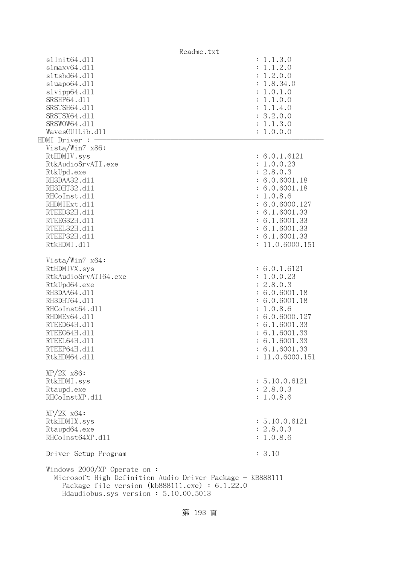| Readme.txt                                                                                                                                                                                    |                 |
|-----------------------------------------------------------------------------------------------------------------------------------------------------------------------------------------------|-----------------|
| s1Init64.d11                                                                                                                                                                                  | : 1.1.3.0       |
| slmaxv64.d11                                                                                                                                                                                  | : 1.1.2.0       |
| s1tshd64.d11                                                                                                                                                                                  | : 1.2.0.0       |
| sluapo64.dll                                                                                                                                                                                  | : 1.8.34.0      |
| slvipp64.dll                                                                                                                                                                                  | : 1.0.1.0       |
| SRSHP64.d11                                                                                                                                                                                   | : 1.1.0.0       |
| SRSTSH64.d11                                                                                                                                                                                  | : 1.1.4.0       |
| SRSTSX64.d11                                                                                                                                                                                  | : 3.2.0.0       |
| SRSWOW64.d11                                                                                                                                                                                  | : 1.1.3.0       |
| WavesGUILib.d11                                                                                                                                                                               | : 1.0.0.0       |
| HDMI Driver : -                                                                                                                                                                               |                 |
| Vista/Win7 x86:                                                                                                                                                                               |                 |
| RtHDMIV.sys                                                                                                                                                                                   | : 6.0.1.6121    |
| RtkAudioSrvATI.exe                                                                                                                                                                            | : 1.0.0.23      |
|                                                                                                                                                                                               | : 2.8.0.3       |
| RtkUpd.exe<br>RH3DAA32.d11                                                                                                                                                                    |                 |
|                                                                                                                                                                                               | : 6.0.6001.18   |
| RH3DHT32.d11                                                                                                                                                                                  | : 6.0.6001.18   |
| RHCoInst.d11                                                                                                                                                                                  | : 1.0.8.6       |
| RHDMIExt.d11                                                                                                                                                                                  | : 6.0.6000.127  |
| RTEED32H.d11                                                                                                                                                                                  | : 6.1.6001.33   |
| RTEEG32H.d11                                                                                                                                                                                  | : 6.1.6001.33   |
| RTEEL32H.d11                                                                                                                                                                                  | : 6.1.6001.33   |
| RTEEP32H.d11                                                                                                                                                                                  | : 6.1.6001.33   |
| RtkHDMI.d11                                                                                                                                                                                   | : 11.0.6000.151 |
| Vista/Win7 x64:                                                                                                                                                                               |                 |
| RtHDMIVX.sys                                                                                                                                                                                  | : 6.0.1.6121    |
| RtkAudioSrvATI64.exe                                                                                                                                                                          | : 1.0.0.23      |
| RtkUpd64.exe                                                                                                                                                                                  | : 2.8.0.3       |
| RH3DAA64.d11                                                                                                                                                                                  | : 6.0.6001.18   |
| RH3DHT64.d11                                                                                                                                                                                  | : 6.0.6001.18   |
| RHCoInst64.d11                                                                                                                                                                                | : 1.0.8.6       |
|                                                                                                                                                                                               |                 |
| RHDMEx64.d11                                                                                                                                                                                  | : 6.0.6000.127  |
| RTEED64H.d11                                                                                                                                                                                  | : 6.1.6001.33   |
| RTEEG64H.d11                                                                                                                                                                                  | : 6.1.6001.33   |
| RTEEL64H.d11                                                                                                                                                                                  | : 6.1.6001.33   |
| RTEEP64H.d11                                                                                                                                                                                  | : 6.1.6001.33   |
| RtkHDM64.d11                                                                                                                                                                                  | : 11.0.6000.151 |
| $XP/2K$ $x86$ :                                                                                                                                                                               |                 |
| RtkHDMI.sys                                                                                                                                                                                   | : 5.10.0.6121   |
| Rtaupd.exe                                                                                                                                                                                    | : 2.8.0.3       |
| RHCoInstXP.d11                                                                                                                                                                                | : 1.0.8.6       |
| $XP/ZK$ $x64$ :                                                                                                                                                                               |                 |
|                                                                                                                                                                                               |                 |
| RtkHDMIX.sys                                                                                                                                                                                  | : 5.10.0.6121   |
| Rtaupd64.exe                                                                                                                                                                                  | : 2.8.0.3       |
| RHCoInst64XP.d11                                                                                                                                                                              | : 1.0.8.6       |
| Driver Setup Program                                                                                                                                                                          | : 3.10          |
| Windows $2000/XP$ Operate on:<br>Microsoft High Definition Audio Driver Package - KB888111<br>Package file version $(kb888111.\text{exe}) : 6.1.22.0$<br>Hdaudiobus.sys version: 5.10.00.5013 |                 |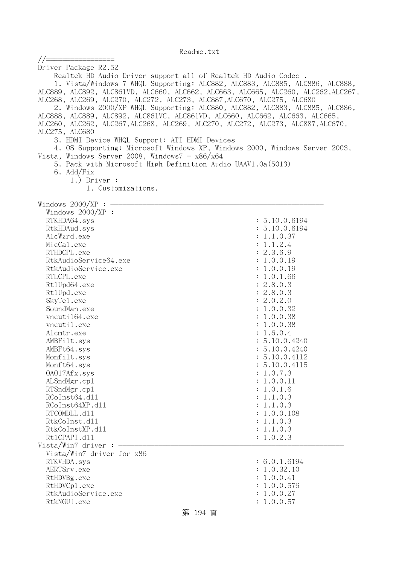| //=================                                                             |                                                                                   |
|---------------------------------------------------------------------------------|-----------------------------------------------------------------------------------|
| Driver Package R2.52                                                            |                                                                                   |
| Realtek HD Audio Driver support all of Realtek HD Audio Codec.                  |                                                                                   |
|                                                                                 | 1. Vista/Windows 7 WHQL Supporting: ALC882, ALC883, ALC885, ALC886, ALC888,       |
|                                                                                 | ALC889, ALC892, ALC861VD, ALC660, ALC662, ALC663, ALC665, ALC260, ALC262, ALC267, |
| ALC268, ALC269, ALC270, ALC272, ALC273, ALC887, ALC670, ALC275, ALC680          |                                                                                   |
|                                                                                 | 2. Windows 2000/XP WHQL Supporting: ALC880, ALC882, ALC883, ALC885, ALC886,       |
| ALC888, ALC889, ALC892, ALC861VC, ALC861VD, ALC660, ALC662, ALC663, ALC665,     |                                                                                   |
| ALC260, ALC262, ALC267, ALC268, ALC269, ALC270, ALC272, ALC273, ALC887, ALC670, |                                                                                   |
| ALC275, ALC680                                                                  |                                                                                   |
| 3. HDMI Device WHQL Support: ATI HDMI Devices                                   |                                                                                   |
|                                                                                 | 4. OS Supporting: Microsoft Windows XP, Windows 2000, Windows Server 2003,        |
| Vista, Windows Server 2008, Windows $7 - x86/x64$                               |                                                                                   |
| 5. Pack with Microsoft High Definition Audio UAAV1.0a(5013)                     |                                                                                   |
| 6. Add/Fix                                                                      |                                                                                   |
| $1.)$ Driver :                                                                  |                                                                                   |
| 1. Customizations.                                                              |                                                                                   |
|                                                                                 |                                                                                   |
| Windows $2000/XP:$ -                                                            |                                                                                   |
| Windows 2000/XP :                                                               |                                                                                   |
| RTKHDA64.sys                                                                    | : 5.10.0.6194                                                                     |
| RtkHDAud.sys                                                                    | : 5.10.0.6194                                                                     |
| AlcWzrd.exe                                                                     | : 1.1.0.37                                                                        |
| MicCal.exe                                                                      | : 1.1.2.4                                                                         |
| RTHDCPL.exe                                                                     | : 2.3.6.9                                                                         |
| RtkAudioService64.exe                                                           | : 1.0.0.19                                                                        |
| RtkAudioService.exe                                                             | : 1.0.0.19                                                                        |
| RTLCPL.exe                                                                      | : 1.0.1.66                                                                        |
| Rt1Upd64.exe                                                                    | : 2.8.0.3                                                                         |
| Rt1Upd.exe                                                                      | : 2.8.0.3                                                                         |
| SkyTe1.exe                                                                      | : 2.0.2.0                                                                         |
| SoundMan.exe                                                                    | : 1.0.0.32                                                                        |
| vncuti164.exe<br>vncutil.exe                                                    | : 1.0.0.38<br>: 1.0.0.38                                                          |
|                                                                                 |                                                                                   |
| Alcmtr.exe<br>AMBFilt.sys                                                       | : 1.6.0.4<br>: 5.10.0.4240                                                        |
| AMBFt64.sys                                                                     | : 5.10.0.4240                                                                     |
| Monfilt.sys                                                                     | : 5.10.0.4112                                                                     |
| Monft64.sys                                                                     | : 5.10.0.4115                                                                     |
| 0A017Afx.sys                                                                    | : 1.0.7.3                                                                         |
| ALSndMgr.cp1                                                                    | : 1.0.0.11                                                                        |
| RTSndMgr.cp1                                                                    | : 1.0.1.6                                                                         |
| RCoInst64.d11                                                                   | : 1.1.0.3                                                                         |
| RCoInst64XP.d11                                                                 | : 1.1.0.3                                                                         |
| RTCOMDLL.d11                                                                    | : 1.0.0.108                                                                       |
| RtkCoInst.d11                                                                   | : 1.1.0.3                                                                         |
| RtkCoInstXP.d11                                                                 | : 1.1.0.3                                                                         |
| Rt1CPAPI.d11                                                                    | : 1.0.2.3                                                                         |
| Vista/Win7 driver:                                                              |                                                                                   |
| Vista/Win7 driver for x86                                                       |                                                                                   |
| RTKVHDA.sys                                                                     | : 6.0.1.6194                                                                      |
| AERTSrv.exe                                                                     | : 1.0.32.10                                                                       |
| RtHDVBg.exe                                                                     | : 1.0.0.41                                                                        |
| RtHDVCp1.exe                                                                    | : 1.0.0.576                                                                       |
| RtkAudioService.exe                                                             | : 1.0.0.27                                                                        |
| RtkNGUI.exe                                                                     | : 1.0.0.57                                                                        |
|                                                                                 |                                                                                   |

# 第 194 頁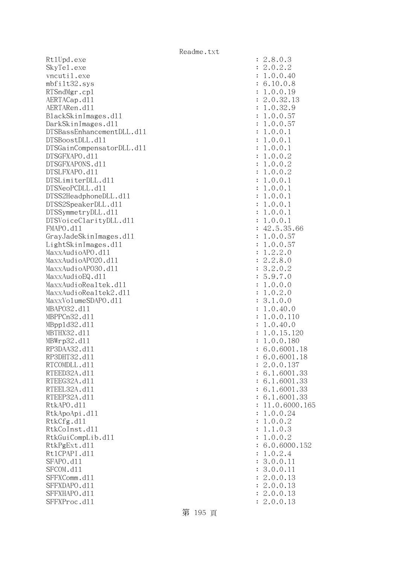Rt1Upd.exe SkyTe1.exe vncutil.exe  $mbf$ ilt $32$ .sys RTSndMgr.cp1 AERTACap.d11 AERTARen.d11 BlackSkinImages.dl1 DarkSkinImages.dl1 DTSBassEnhancementDLL.dl1 DTSBoostDLL.d11 DTSGainCompensatorDLL.dl1 DTSGFXAPO.d11 DTSGFXAPONS.d11 DTSLFXAPO.d11 DTSLimiterDLL.d11 DTSNeoPCDLL.d11 DTSS2HeadphoneDLL.d11 DTSS2SpeakerDLL.dl1 DTSSymmetryDLL.dl1 DTSVoiceClarityDLL.dl1 FMAPO.d11 GrayJadeSkinImages.dl1 LightSkinImages.dl1 MaxxAudioAPO.dll MaxxAudioAPO20.dll MaxxAudioAPO30.dll MaxxAudioEQ.dll MaxxAudioRealtek.dll MaxxAudioRealtek2.dll MaxxVolumeSDAPO.dl1 MBAP032.d11 MBPPCn32.d11 MBpp1d32.d11 MBTHX32.d11 MBWrp32.d11 RP3DAA32.d11 RP3DHT32.d11 RTCOMDLL.d11 RTEED32A.d11 RTEEG32A.d11 RTEEL32A.d11 RTEEP32A.d11 RtkAPO.d11 : 11.0.6000.165 RtkApoApi.dl1 RtkCfg.dll RtkCoInst.d11 RtkGuiCompLib.d11 RtkPgExt.dll Rt1CPAPI.d11 SFAPO.d11 SFCOM.d11 SFFXComm.d11 SFFXDAPO.d11 SFFXHAPO.d11 SFFXProc.dl1

|                | $\begin{array}{r} .3\\ -0.2.2\\ 1.0.0.40\\ 6.10.0.8\\ 1.0.0.19\\ 2.0.32.1\\ 1.0.32.9\\ 1.0.0.57\\ 1.0.0.1\\ 1.0.0.1\\ 1.0.0.1\\ 1.0.0.1\\ 1.0.0.2\\ 1.0.0.2\\ 1.0.0.2\\ 1.0.0.1\\ 1.0.0.1\\ 1.0.0.1\\ 1.0.0.1\\ 1.0.0.1\\ 1.0.0.1\\ 1.0.0.1\\ 1.0.0.1\\ 2.5.35.$ |
|----------------|------------------------------------------------------------------------------------------------------------------------------------------------------------------------------------------------------------------------------------------------------------------|
|                |                                                                                                                                                                                                                                                                  |
|                |                                                                                                                                                                                                                                                                  |
|                |                                                                                                                                                                                                                                                                  |
|                |                                                                                                                                                                                                                                                                  |
|                |                                                                                                                                                                                                                                                                  |
|                |                                                                                                                                                                                                                                                                  |
|                |                                                                                                                                                                                                                                                                  |
|                |                                                                                                                                                                                                                                                                  |
|                |                                                                                                                                                                                                                                                                  |
|                |                                                                                                                                                                                                                                                                  |
| $\vdots$       |                                                                                                                                                                                                                                                                  |
|                |                                                                                                                                                                                                                                                                  |
|                |                                                                                                                                                                                                                                                                  |
| $\ddot{\cdot}$ |                                                                                                                                                                                                                                                                  |
| $\ddot{\cdot}$ |                                                                                                                                                                                                                                                                  |
| $\ddot{\cdot}$ |                                                                                                                                                                                                                                                                  |
| $\ddot{\cdot}$ |                                                                                                                                                                                                                                                                  |
|                |                                                                                                                                                                                                                                                                  |
| $\ddot{\cdot}$ | 11.0.6000.16                                                                                                                                                                                                                                                     |
| $\ddot{\cdot}$ | .0.0.24<br>1                                                                                                                                                                                                                                                     |
| $\ddot{\cdot}$ | .0.0.2<br>1                                                                                                                                                                                                                                                      |
| $\ddot{\cdot}$ | .1.0.3<br>1                                                                                                                                                                                                                                                      |
| $\ddot{\cdot}$ | .0.0.2<br>1                                                                                                                                                                                                                                                      |
| $\ddot{\cdot}$ | 6.0.6000.152                                                                                                                                                                                                                                                     |
| $\ddot{\cdot}$ | 1.0.2.4                                                                                                                                                                                                                                                          |
|                |                                                                                                                                                                                                                                                                  |
| $\ddot{\cdot}$ | 3.0.0.11                                                                                                                                                                                                                                                         |
| $\ddot{\cdot}$ | 3.0.0.11                                                                                                                                                                                                                                                         |
| $\ddot{\cdot}$ | 2.0.0.13                                                                                                                                                                                                                                                         |
| $\ddot{\cdot}$ | 2.0.0.13                                                                                                                                                                                                                                                         |
| $\ddot{\cdot}$ | 2.0.0.13                                                                                                                                                                                                                                                         |
|                | 2.0.0.13                                                                                                                                                                                                                                                         |

第 195 頁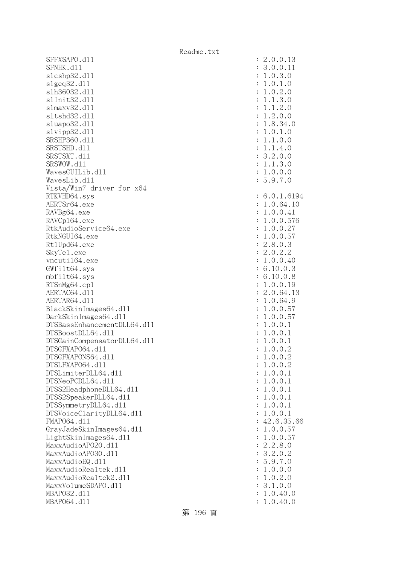SFFXSAPO.d11 SFNHK.d11 slcshp32.dl1 slgeq32.dll slh36032.dl1 s1Init32.d11 s1maxv32.d11 s1tshd32.d11 sluapo32.dl1 slvipp32.dll SRSHP360.d11 SRSTSHD.d11 SRSTSXT.d11 SRSWOW.dl1 WavesGUILib.d11 WavesLib.dll Vista/Win7 driver for x64 RTKVHD64.sys AERTSr64.exe RAVBg64.exe RAVCp164.exe RtkAudioService64.exe RtkNGUI64.exe Rt1Upd64.exe SkyTel.exe vncuti164.exe  $GWfi1t64$ .svs mbfilt64.sys RTSnMg64.cp1 AERTAC64.dl1 AERTAR64.d11 BlackSkinImages64.dll DarkSkinImages64.dll DTSBassEnhancementDLL64.dl1 DTSBoostDLL64.dl1 DTSGainCompensatorDLL64.dll DTSGFXAPO64.dl1 DTSGFXAPONS64.dl1 DTSLFXAP064.d11 DTSLimiterDLL64.dl1 DTSNeoPCDLL64.dl1 DTSS2HeadphoneDLL64.d11 DTSS2SpeakerDLL64.dl1 DTSSymmetryDLL64.dl1 DTSVoiceClarityDLL64.dll FMAP064.d11 GrayJadeSkinImages64.dll  $LightSkinImages 64. d11$ MaxxAudioAPO20.dll MaxxAudioAP030.dll MaxxAudioEQ.dll MaxxAudioRealtek.dll MaxxAudioRealtek2.dll MaxxVolumeSDAPO.dl1 MBAP032.d11 MBAP064.d11

| $\ddot{\cdot}$<br>$\ddot{\cdot}$<br>$\ddot{\cdot}$<br>$\ddot{\cdot}$<br>$\ddot{\cdot}$<br>$\ddot{\cdot}$<br>$\ddot{\cdot}$<br>$\ddot{\cdot}$<br>$\ddot{\cdot}$<br>$\ddot{\cdot}$<br>$\ddot{\cdot}$<br>$\ddot{\cdot}$<br>$\ddot{\cdot}$<br>$\ddot{\cdot}$<br>$\ddot{\cdot}$<br>$\ddot{\cdot}$                                                                         | $\mathbf{c}$<br>.0.0.13<br>3.0.0.11<br>1.0.<br>3.0<br>$\mathbf{1}$<br>$\mathbf 1$<br>$\cdot$ 0 .<br>$\cdot$ 0<br>2.0<br>1.0.<br>3.0<br>$\mathbf 1$<br>1.<br>$\ddot{\phantom{a}}$<br>$\cdot$ 1<br>2.0<br>$\mathbf 1$<br>$\ddot{\phantom{a}}$<br>2.0.0<br>$\mathbf 1$<br>$\ddot{\phantom{0}}$<br>1.8.34.0<br>1.0.1.0<br>1.1.<br>0.0<br>$\mathbf{1}$<br>$\mathbf{1}$<br>$\ddot{\phantom{0}}$<br>$\ddot{\phantom{a}}$<br>4.0<br>3.<br>2.0.0<br>1.1.<br>3.0<br>1.0.0.0<br>5.9.7.0                                                                                                       |
|----------------------------------------------------------------------------------------------------------------------------------------------------------------------------------------------------------------------------------------------------------------------------------------------------------------------------------------------------------------------|------------------------------------------------------------------------------------------------------------------------------------------------------------------------------------------------------------------------------------------------------------------------------------------------------------------------------------------------------------------------------------------------------------------------------------------------------------------------------------------------------------------------------------------------------------------------------------|
| $\ddot{\cdot}$<br>$\ddot{\cdot}$<br>$\ddot{\cdot}$<br>$\ddot{\cdot}$<br>$\ddot{\cdot}$<br>$\ddot{\cdot}$<br>$\ddot{\cdot}$<br>$\ddot{\cdot}$<br>$\ddot{\cdot}$<br>$\ddot{\cdot}$<br>$\ddot{\cdot}$<br>$\ddot{\cdot}$<br>$\ddot{\cdot}$<br>$\ddot{\cdot}$<br>$\ddot{\cdot}$<br>$\ddot{\cdot}$<br>$\ddot{\cdot}$<br>$\ddot{\cdot}$<br>$\ddot{\cdot}$                   | 6.0.1.6194<br>1.0.64.10<br>1.0.0.41<br>1.0.0.576<br>$0.0.27$<br>$0.0.57$<br>$\mathbf 1$<br>$\mathbf 1$<br>.8.0.3<br>$\overline{c}$<br>.0.2.2<br>$\overline{c}$<br>1.0.0.40<br>.10.0.3<br>6<br>6.10.0.8<br>.0.0.19<br>1<br>.0.64.13<br>$\overline{c}$<br>1.0.64.<br>9<br>$\mathbf{1}$<br>.0.0.57<br>$1.0.0.57$<br>$1.0.0.1$<br>$\mathbf{1}$<br>.0.0.<br>$\mathbf 1$<br>$\overline{1}$<br>.0.0.<br>$\mathbf 1$                                                                                                                                                                       |
| $\ddot{\cdot}$<br>$\ddot{\cdot}$<br>$\ddot{\cdot}$<br>$\ddot{\cdot}$<br>$\ddot{\cdot}$<br>$\ddot{\cdot}$<br>$\ddot{\cdot}$<br>$\ddot{\cdot}$<br>$\ddot{\cdot}$<br>$\ddot{\cdot}$<br>$\ddot{\cdot}$<br>$\ddot{\cdot}$<br>$\ddot{\cdot}$<br>$\ddot{\cdot}$<br>$\ddot{\cdot}$<br>$\ddot{\cdot}$<br>$\ddot{\cdot}$<br>$\ddot{\cdot}$<br>$\ddot{\cdot}$<br>$\ddot{\cdot}$ | $\mathbf{1}$<br>$\overline{c}$<br>.0.0.<br>$1.0.0.2$<br>$1.0.0.2$<br>.0.0.<br>$\mathbf{1}$<br>1<br>$\mathbf{1}$<br>.0.0.<br>$\mathbf 1$<br>$\mathbf{1}$<br>$\mathbf 1$<br>.0.0.<br>$\overline{1}$<br>$\mathbf 1$<br>.0.0.<br>$\mathbf{1}$<br>$\mathbf 1$<br>.0.0.<br>.0.0.<br>$\mathbf{1}$<br>$\mathbf 1$<br>$42.6.35.66$<br>$1.0.0.57$<br>$1.0.0.57$<br>.8.0<br>$\overline{c}$<br>$\overline{c}$<br>$.2.0$<br>$.9.7$<br>.0.<br>3<br>$\overline{c}$<br>5<br>1<br>1<br>$\overline{O}$<br>$\ddot{\phantom{a}}$<br>.0.0<br>$\cdot$ 0<br>.0.2.0<br>.1.0.0<br>3<br>1.0.40.0<br>1.0.40.0 |

第 196 頁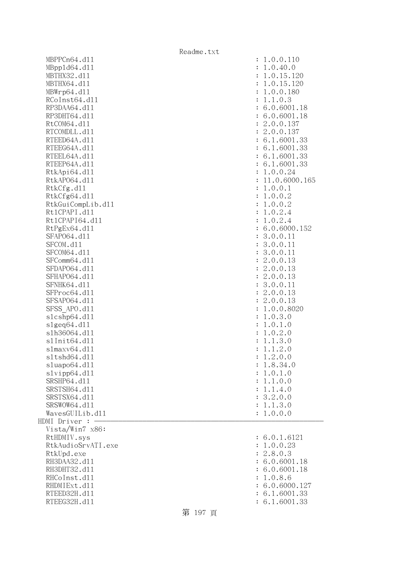|                    | Readme.txt                 |
|--------------------|----------------------------|
| MBPPCn64.d11       | : 1.0.0.110                |
| MBpp1d64.d11       | 1.0.40.0<br>$\ddot{\cdot}$ |
| MBTHX32.d11        | 1.0.15.120                 |
| MBTHX64.d11        | 1.0.15.120                 |
| MBWrp64.dl1        | 1.0.0.180                  |
| RCoInst64.d11      | 1.1.0.3                    |
| RP3DAA64.d11       | : 6.0.6001.18              |
| RP3DHT64.d11       | : 6.0.6001.18              |
| RtCOM64.d11        | : 2.0.0.137                |
| RTCOMDLL.d11       | : 2.0.0.137                |
| RTEED64A.d11       | : 6.1.6001.33              |
| RTEEG64A.d11       | : 6.1.6001.33              |
| RTEEL64A.d11       | : 6.1.6001.33              |
| RTEEP64A.d11       | : 6.1.6001.33              |
| RtkApi64.d11       | 1.0.0.24                   |
| RtkAP064.d11       | 11.0.6000.165              |
| RtkCfg.d11         | 1.0.0.1<br>$\ddot{\cdot}$  |
| RtkCfg64.d11       | 1.0.0.2<br>$\ddot{\cdot}$  |
| RtkGuiCompLib.d11  | 1.0.0.2<br>:               |
| Rt1CPAPI.d11       | 1.0.2.4<br>:               |
| Rt1CPAPI64.d11     | 1.0.2.4<br>$\ddot{\cdot}$  |
| RtPgEx64.d11       | 6.0.6000.152               |
| SFAP064.d11        | 3.0.0.11<br>$\ddot{\cdot}$ |
| SFCOM.d11          | 3.0.0.11<br>$\ddot{\cdot}$ |
| SFCOM64.d11        | 3.0.0.11<br>$\ddot{\cdot}$ |
| SFComm64.d11       | 2.0.0.13<br>$\ddot{\cdot}$ |
| SFDAP064.d11       | 2.0.0.13<br>$\ddot{\cdot}$ |
| SFHAP064.d11       | 2.0.0.13<br>$\ddot{\cdot}$ |
| SFNHK64.d11        | 3.0.0.11<br>$\ddot{\cdot}$ |
| SFProc64.d11       | 2.0.0.13<br>$\ddot{\cdot}$ |
| SFSAP064.d11       | 2.0.0.13<br>$\ddot{\cdot}$ |
| SFSS APO.d11       | 1.0.0.8020                 |
| s1cshp64.d11       | 1.0.3.0<br>:               |
| slgeq64. d11       | 1.0.1.0<br>:               |
| s1h36064.d11       | 1.0.2.0<br>:               |
| s1Init64.d11       | 1.1.3.0<br>$\ddot{\cdot}$  |
| $slmaxv64$ .dll    | 1.1.2.0                    |
| s1tshd64.d11       | 1.2.0.0                    |
| sluapo64.d11       | 1.8.34.0                   |
| slvipp64.d11       | 1.0.1.0                    |
| SRSHP64.d11        | 1.1.0.0                    |
| SRSTSH64.d11       | 1.1.4.0                    |
| SRSTSX64.d11       | 3.2.0.0<br>$\ddot{\cdot}$  |
| SRSWOW64.d11       | 1.1.3.0<br>$\ddot{\cdot}$  |
| WavesGUILib.d11    | 1.0.0.0                    |
| HDMI Driver :      |                            |
| Vista/Win7 x86:    |                            |
| RtHDMIV.sys        | : 6.0.1.6121               |
| RtkAudioSrvATI.exe | 1.0.0.23                   |
| RtkUpd.exe         | 2.8.0.3<br>$\ddot{\cdot}$  |
| RH3DAA32.d11       | 6.0.6001.18                |
| RH3DHT32.d11       | 6.0.6001.18                |
| RHCoInst.d11       | 1.0.8.6                    |
| RHDMIExt.d11       | 6.0.6000.127               |
| RTEED32H.d11       | 6.1.6001.33                |
| RTEEG32H.d11       | 6.1.6001.33                |

# 第 197 頁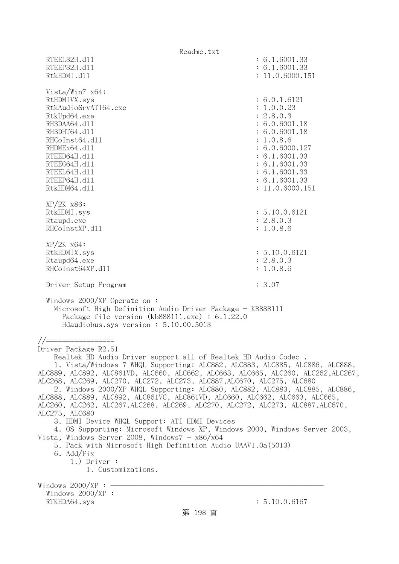Readme.txt RTEEL32H.d11 : 6.1.6001.33 RTEEP32H.d11 : 6.1.6001.33 RtkHDMI.d11 : 11.0.6000.151 Vista/Win7 x64: RtHDMIVX.sys : 6.0.1.6121 RtkAudioSrvATI64.exe : 1.0.0.23 RtkUpd64.exe : 2.8.0.3 RH3DAA64.d11 : 6.0.6001.18 RH3DHT64.d11 : 6.0.6001.18 RHCoInst64.d11 : 1.0.8.6 RHDMEx64.d11 : 6.0.6000.127 RTEED64H.dl1 : 6.1.6001.33 RTEEG64H.dl1 : 6.1.6001.33 RTEEL64H.d11 : 6.1.6001.33 RTEEP64H.dl1 : 6.1.6001.33 RtkHDM64.d11 : 11.0.6000.151 XP/2K x86: RtkHDMI.sys : 5.10.0.6121 Rtaupd.exe : 2.8.0.3 RHCoInstXP.d11 : 1.0.8.6 XP/2K x64: RtkHDMIX.sys : 5.10.0.6121 Rtaupd64.exe : 2.8.0.3 RHCoInst64XP.d11 : 1.0.8.6 Driver Setup Program : 3.07 Windows 2000/XP Operate on : Microsoft High Definition Audio Driver Package - KB888111 Package file version (kb888111.exe) : 6.1.22.0 Hdaudiobus.sys version : 5.10.00.5013 //================= Driver Package R2.51 Realtek HD Audio Driver support all of Realtek HD Audio Codec . 1. Vista/Windows 7 WHQL Supporting: ALC882, ALC883, ALC885, ALC886, ALC888, ALC889, ALC892, ALC861VD, ALC660, ALC662, ALC663, ALC665, ALC260, ALC262,ALC267, ALC268, ALC269, ALC270, ALC272, ALC273, ALC887,ALC670, ALC275, ALC680 2. Windows 2000/XP WHQL Supporting: ALC880, ALC882, ALC883, ALC885, ALC886, ALC888, ALC889, ALC892, ALC861VC, ALC861VD, ALC660, ALC662, ALC663, ALC665, ALC260, ALC262, ALC267,ALC268, ALC269, ALC270, ALC272, ALC273, ALC887,ALC670, ALC275, ALC680 3. HDMI Device WHQL Support: ATI HDMI Devices 4. OS Supporting: Microsoft Windows XP, Windows 2000, Windows Server 2003, Vista, Windows Server 2008, Windows $7 - x86/x64$  5. Pack with Microsoft High Definition Audio UAAV1.0a(5013) 6. Add/Fix 1.) Driver : 1. Customizations. Windows  $2000/XP : -$  Windows 2000/XP : RTKHDA64.sys : 5.10.0.6167 第 198 頁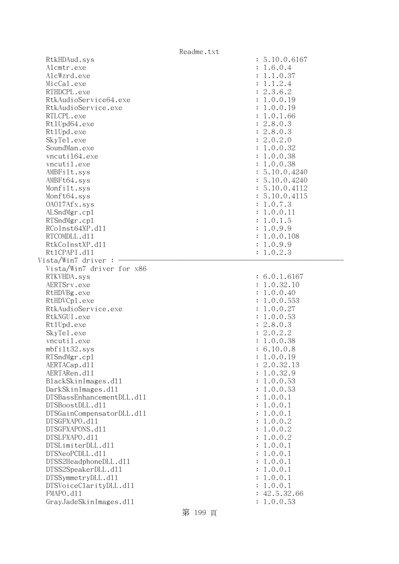| RtkHDAud.sys              | : 5.10.0.6167 |
|---------------------------|---------------|
| Alcmtr.exe                | : 1.6.0.4     |
| AlcWzrd.exe               | : 1.1.0.37    |
| MicCal.exe                | : 1.1.2.4     |
| RTHDCPL.exe               | : 2.3.6.2     |
| RtkAudioService64.exe     | : 1.0.0.19    |
| RtkAudioService.exe       | : 1.0.0.19    |
| RTLCPL.exe                | : 1.0.1.66    |
| Rt1Upd64.exe              | : 2.8.0.3     |
| Rt1Upd.exe                | : 2.8.0.3     |
| SkyTe1.exe                | : 2.0.2.0     |
| SoundMan.exe              | : 1.0.0.32    |
| vncuti164.exe             | : 1.0.0.38    |
| vncutil.exe               | : 1.0.0.38    |
| AMBFilt.sys               | : 5.10.0.4240 |
| AMBFt64.sys               | : 5.10.0.4240 |
| Monfilt.sys               | : 5.10.0.4112 |
|                           |               |
| Monft64.sys               | : 5.10.0.4115 |
| 0A017Afx.sys              | : 1.0.7.3     |
| ALSndMgr.cp1              | : 1.0.0.11    |
| RTSndMgr.cp1              | : 1.0.1.5     |
| RCoInst64XP.d11           | : 1.0.9.9     |
| RTCOMDLL.d11              | : 1.0.0.108   |
| RtkCoInstXP.d11           | : 1.0.9.9     |
| Rt1CPAPI.d11              | : 1.0.2.3     |
| Vista/Win7 driver :       |               |
| Vista/Win7 driver for x86 |               |
| RTKVHDA.sys               | : 6.0.1.6167  |
| AERTSrv.exe               | : 1.0.32.10   |
| RtHDVBg.exe               | : 1.0.0.40    |
| RtHDVCp1.exe              | : 1.0.0.553   |
| RtkAudioService.exe       | : 1.0.0.27    |
| RtkNGUI.exe               | : 1.0.0.53    |
| Rt1Upd.exe                | : 2.8.0.3     |
| SkyTe1.exe                | : 2.0.2.2     |
| vncutil.exe               | : 1.0.0.38    |
| mbfilt32.sys              | : 6.10.0.8    |
| RTSndMgr.cp1              | : 1.0.0.19    |
| AERTACap.d11              | 2.0.32.13     |
| AERTARen.d11              | 1.0.32.9      |
| BlackSkinImages.dl1       | 1.0.0.53      |
| DarkSkinImages.d11        | 1.0.0.53      |
| DTSBassEnhancementDLL.d11 | 1.0.0.1       |
| DTSBoostDLL.d11           | 1.0.0.1       |
| DTSGainCompensatorDLL.d11 | 1.0.0.1       |
| DTSGFXAPO.d11             | 1.0.0.2       |
| DTSGFXAPONS.d11           | 1.0.0.2       |
| DTSLFXAPO.d11             | 1.0.0.2       |
| DTSLimiterDLL.d11         | 1.0.0.1       |
| DTSNeoPCDLL.d11           | 1.0.0.1       |
| DTSS2HeadphoneDLL.d11     | 1.0.0.1       |
| DTSS2SpeakerDLL.d11       | 1.0.0.1       |
| DTSSymmetryDLL.d11        | 1.0.0.1       |
| DTSVoiceClarityDLL.dl1    | 1.0.0.1       |
| FMAPO.d11                 | : 42.5.32.66  |
| GrayJadeSkinImages.d11    | 1.0.0.53      |
|                           |               |

第 199 頁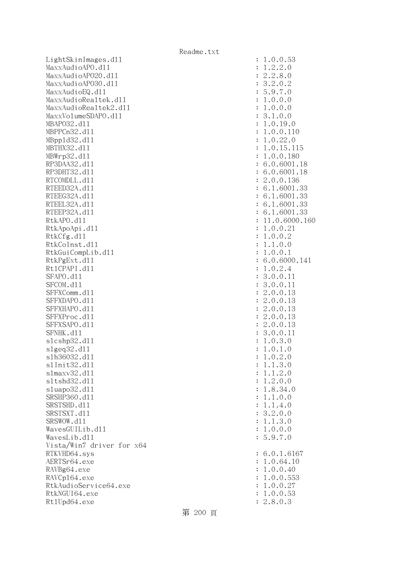LightSkinImages.dl1 : 1.0.0.53 MaxxAudioAPO.dll : 1.2.2.0 MaxxAudioAPO20.dll : 2.2.8.0 MaxxAudioAPO30.dll : 3.2.0.2 MaxxAudioEQ.dl1 : 5.9.7.0 MaxxAudioRealtek.dll : 1.0.0.0 MaxxAudioRealtek2.dll : 1.0.0.0 MaxxVolumeSDAPO.dl1 : 3.1.0.0 MBAPO32.dll : 1.0.19.0 MBPPCn32.d11 : 1.0.0.110 MBppld32.dll : 1.0.22.0 MBTHX32.d11 : 1.0.15.115 MBWrp32.dll : 1.0.0.180 RP3DAA32.d11 : 6.0.6001.18 RP3DHT32.d11 : 6.0.6001.18 RTCOMDLL.d11 : 2.0.0.136 RTEED32A.d11 : 6.1.6001.33 RTEEG32A.d11 : 6.1.6001.33 RTEEL32A.d11 : 6.1.6001.33 RTEEP32A.d11 : 6.1.6001.33 RtkAPO.d11 : 11.0.6000.160 RtkApoApi.dl1 : 1.0.0.21 : 1.0.0.21 RtkCfg.dl1 : 1.0.0.2 RtkCoInst.d11 : 1.1.0.0 RtkGuiCompLib.dl1 : 1.0.0.1 RtkPgExt.d11 : 6.0.6000.141 Rt1CPAPI.d11 : 1.0.2.4 SFAPO.d11 : 3.0.0.11 SFCOM.d11 : 3.0.0.11 SFFXComm.d11 : 2.0.0.13 SFFXDAPO.d11 : 2.0.0.13 SFFXHAPO.d11 : 2.0.0.13 SFFXProc.d11 : 2.0.0.13 SFFXSAPO.d11 : 2.0.0.13 SFNHK.d11 : 3.0.0.11 : 3.0.0.11 slcshp32.dll : 1.0.3.0 slgeq32.dll : 1.0.1.0 slh36032.dll : 1.0.2.0 slInit32.dll : 1.1.3.0 slmaxv32.dll : 1.1.2.0 sltshd32.dll : 1.2.0.0 sluapo32.dl1 : 1.8.34.0 SRSHP360.d11 : 1.1.0.0 SRSTSHD.d11 : 1.1.4.0 SRSTSXT.dll : 3.2.0.0 SRSWOW.d11 : 1.1.3.0  $Waves GUL1b. d11$  :  $1.0.0.0$  WavesLib.dll : 5.9.7.0 Vista/Win7 driver for x64 RTKVHD64.sys : 6.0.1.6167 AERTSr64.exe : 1.0.64.10 RAVBg64.exe : 1.0.0.40 RAVCp164.exe : 1.0.0.553 RtkAudioService64.exe : 1.0.0.27 RtkNGUI64.exe : 1.0.0.53 Rt1Upd64.exe : 2.8.0.3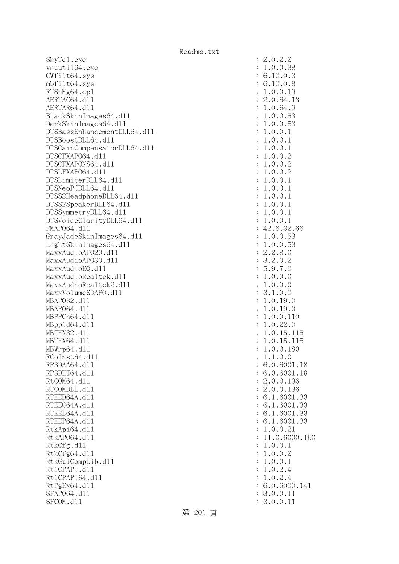SkyTel.exe : 2.0.2.2 vncutil64.exe : 1.0.0.38 GWfilt64.sys : 6.10.0.3 mbfilt64.sys : 6.10.0.8 RTSnMg64.cp1 : 1.0.0.19 AERTAC64.d11 : 2.0.64.13 AERTAR64.d11 : 1.0.64.9 BlackSkinImages64.dll : 1.0.0.53 DarkSkinImages64.dll : 1.0.0.53 DTSBassEnhancementDLL64.dll : 1.0.0.1 DTSBoostDLL64.dll : 1.0.0.1 DTSGainCompensatorDLL64.dll : 1.0.0.1 DTSGFXAPO64.dll : 1.0.0.2 DTSGFXAPONS64.dll : 1.0.0.2 DTSLFXAPO64.dll : 1.0.0.2 DTSLimiterDLL64.dll : 1.0.0.1 DTSNeoPCDLL64.dll : 1.0.0.1 DTSS2HeadphoneDLL64.d11 : 1.0.0.1 DTSS2SpeakerDLL64.dll : 1.0.0.1 DTSSymmetryDLL64.dl1 : 1.0.0.1 DTSVoiceClarityDLL64.dll : 1.0.0.1 FMAP064.d11 : 42.6.32.66 GrayJadeSkinImages64.dll : 1.0.0.53 LightSkinImages64.dl1 : 1.0.0.53 MaxxAudioAPO20.dll : 2.2.8.0 MaxxAudioAPO30.dll : 3.2.0.2  $\text{MaxAudioEQ}.d11$   $\qquad \qquad \text{3.9.7.0}$ MaxxAudioRealtek.dll  $\qquad \qquad \vdots \qquad \qquad 1.0.0.0$ MaxxAudioRealtek2.dl1 : 1.0.0.0 MaxxVolumeSDAPO.dl1 : 3.1.0.0 MBAPO32.dll : 1.0.19.0 MBAPO64.dll : 1.0.19.0 MBPPCn64.d11 : 1.0.0.110 MBppld64.dll : 1.0.22.0 MBTHX32.d11 : 1.0.15.115 MBTHX64.d11 : 1.0.15.115 MBWrp64.dll : 1.0.0.180  $RCoInst64. d11$  :  $1.1.0.0$ RP3DAA64.d11 : 6.0.6001.18 RP3DHT64.d11 : 6.0.6001.18 RtCOM64.d11 : 2.0.0.136 RTCOMDLL.d11 : 2.0.0.136 RTEED64A.d11 : 6.1.6001.33 RTEEG64A.d11 : 6.1.6001.33 RTEEL64A.d11 : 6.1.6001.33 RTEEP64A.d11 : 6.1.6001.33 RtkApi64.dl1 : 1.0.0.21 : 1.0.0.21 RtkAP064.d11 : 11.0.6000.160 RtkCfg.dl1 : 1.0.0.1 RtkCfg64.dll : 1.0.0.2 RtkGuiCompLib.dl1 : 1.0.0.1 Rt1CPAPI.d11 : 1.0.2.4 Rt1CPAPI64.d11 : 1.0.2.4 RtPgEx64.dl1 : 6.0.6000.141 SFAP064.d11 : 3.0.0.11 : 3.0.0.11 SFCOM.d11 : 3.0.0.11

第 201 頁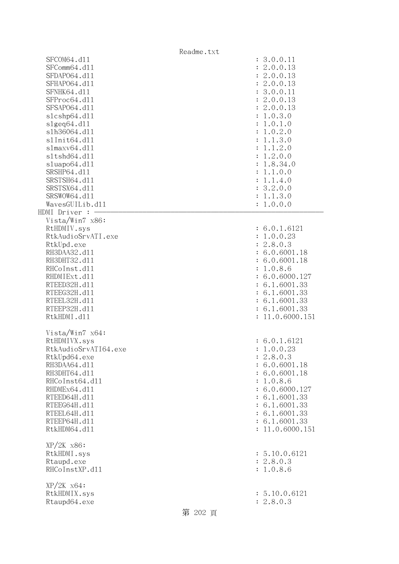|                                                                                                                                                                                                                           | Readme.txt |                                                                                                                                                                                             |
|---------------------------------------------------------------------------------------------------------------------------------------------------------------------------------------------------------------------------|------------|---------------------------------------------------------------------------------------------------------------------------------------------------------------------------------------------|
| SFCOM64.d11<br>SFComm64.d11<br>SFDAP064.d11<br>SFHAP064.d11<br>SFNHK64.d11<br>SFProc64.d11<br>SFSAP064.d11                                                                                                                |            | : 3.0.0.11<br>2.0.0.13<br>÷<br>: 2.0.0.13<br>: 2.0.0.13<br>: 3.0.0.11<br>: 2.0.0.13<br>: 2.0.0.13                                                                                           |
| s1cshp64.d11<br>slgeq64. d11<br>s1h36064.d11<br>s1Init64.d11<br>slmaxv64.d11<br>s1tshd64.d11<br>sluapo64.d11<br>SRSHP64.d11<br>SRSTSH64.d11<br>SRSTSX64.d11<br>SRSWOW64.d11                                               |            | : 1.0.3.0<br>: 1.0.1.0<br>1.0.2.0<br>$\ddot{\cdot}$<br>1.1.3.0<br>1.1.2.0<br>: 1.2.0.0<br>: 1.8.34.0<br>1.1.0.0<br>: 1.1.4.0<br>: 3.2.0.0<br>: 1.1.3.0                                      |
| WavesGUILib.d11                                                                                                                                                                                                           |            | : 1.0.0.0                                                                                                                                                                                   |
| HDMI Driver : -                                                                                                                                                                                                           |            |                                                                                                                                                                                             |
| Vista/Win7 x86:<br>RtHDMIV.sys<br>RtkAudioSrvATI.exe                                                                                                                                                                      |            | : 6.0.1.6121<br>: 1.0.0.23                                                                                                                                                                  |
| RtkUpd.exe<br>RH3DAA32.d11<br>RH3DHT32.d11<br>RHCoInst.d11<br>RHDMIExt.d11<br>RTEED32H.d11<br>RTEEG32H.d11<br>RTEEL32H.d11<br>RTEEP32H.d11<br>RtkHDMI.d11                                                                 |            | : 2.8.0.3<br>: 6.0.6001.18<br>: 6.0.6001.18<br>: 1.0.8.6<br>: 6.0.6000.127<br>: 6.1.6001.33<br>: 6.1.6001.33<br>: 6.1.6001.33<br>: 6.1.6001.33<br>: 11.0.6000.151                           |
| Vista/Win7 x64:<br>RtHDMIVX.sys<br>RtkAudioSrvATI64.exe<br>RtkUpd64.exe<br>RH3DAA64.d11<br>RH3DHT64.d11<br>RHCoInst64.d11<br>RHDMEx64.d11<br>RTEED64H.d11<br>RTEEG64H.d11<br>RTEEL64H.d11<br>RTEEP64H.d11<br>RtkHDM64.d11 |            | : 6.0.1.6121<br>1.0.0.23<br>: 2.8.0.3<br>: 6.0.6001.18<br>: 6.0.6001.18<br>1.0.8.6<br>: 6.0.6000.127<br>: 6.1.6001.33<br>: 6.1.6001.33<br>: 6.1.6001.33<br>: 6.1.6001.33<br>: 11.0.6000.151 |
| XP/2K x86:<br>RtkHDMI.sys<br>Rtaupd.exe<br>RHCoInstXP.d11                                                                                                                                                                 |            | : 5.10.0.6121<br>: 2.8.0.3<br>: 1.0.8.6                                                                                                                                                     |
| $XP/ZK$ $x64$ :<br>RtkHDMIX.sys<br>Rtaupd64.exe                                                                                                                                                                           | 第 202 頁    | : 5.10.0.6121<br>: 2.8.0.3                                                                                                                                                                  |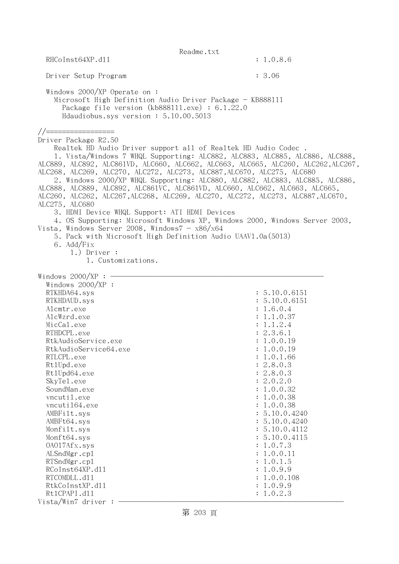|                                                                                                                                                                                                                                                                                                                                                                    | Readme.txt                                                                                                                                                                                                                                                                                                                                                                                                                                                                                                                                                        |
|--------------------------------------------------------------------------------------------------------------------------------------------------------------------------------------------------------------------------------------------------------------------------------------------------------------------------------------------------------------------|-------------------------------------------------------------------------------------------------------------------------------------------------------------------------------------------------------------------------------------------------------------------------------------------------------------------------------------------------------------------------------------------------------------------------------------------------------------------------------------------------------------------------------------------------------------------|
| RHCoInst64XP.d11                                                                                                                                                                                                                                                                                                                                                   | : 1.0.8.6                                                                                                                                                                                                                                                                                                                                                                                                                                                                                                                                                         |
| Driver Setup Program                                                                                                                                                                                                                                                                                                                                               | : 3.06                                                                                                                                                                                                                                                                                                                                                                                                                                                                                                                                                            |
| Windows 2000/XP Operate on:<br>Microsoft High Definition Audio Driver Package - KB888111<br>Package file version $(kb888111.\text{exe}) : 6.1.22.0$<br>Hdaudiobus.sys version: 5.10.00.5013                                                                                                                                                                        |                                                                                                                                                                                                                                                                                                                                                                                                                                                                                                                                                                   |
| //=================<br>Driver Package R2.50<br>ALC268, ALC269, ALC270, ALC272, ALC273, ALC887, ALC670, ALC275, ALC680<br>ALC275, ALC680<br>3. HDMI Device WHQL Support: ATI HDMI Devices<br>Vista, Windows Server 2008, Windows $7 - x86/x64$<br>5. Pack with Microsoft High Definition Audio UAAV1.0a(5013)<br>6. Add/Fix<br>$1.)$ Driver :<br>1. Customizations. | Realtek HD Audio Driver support all of Realtek HD Audio Codec.<br>1. Vista/Windows 7 WHQL Supporting: ALC882, ALC883, ALC885, ALC886, ALC888,<br>ALC889, ALC892, ALC861VD, ALC660, ALC662, ALC663, ALC665, ALC260, ALC262, ALC267,<br>2. Windows 2000/XP WHQL Supporting: ALC880, ALC882, ALC883, ALC885, ALC886,<br>ALC888, ALC889, ALC892, ALC861VC, ALC861VD, ALC660, ALC662, ALC663, ALC665,<br>ALC260, ALC262, ALC267, ALC268, ALC269, ALC270, ALC272, ALC273, ALC887, ALC670,<br>4. OS Supporting: Microsoft Windows XP, Windows 2000, Windows Server 2003, |
| Windows $2000/XP$ : -<br>Windows $2000/XP$ :                                                                                                                                                                                                                                                                                                                       |                                                                                                                                                                                                                                                                                                                                                                                                                                                                                                                                                                   |
| RTKHDA64.sys<br>RTKHDAUD.sys                                                                                                                                                                                                                                                                                                                                       | : 5.10.0.6151<br>: 5.10.0.6151                                                                                                                                                                                                                                                                                                                                                                                                                                                                                                                                    |
| Alcmtr.exe                                                                                                                                                                                                                                                                                                                                                         | : 1.6.0.4                                                                                                                                                                                                                                                                                                                                                                                                                                                                                                                                                         |
| AlcWzrd.exe<br>MicCal.exe                                                                                                                                                                                                                                                                                                                                          | : 1.1.0.37<br>: 1.1.2.4                                                                                                                                                                                                                                                                                                                                                                                                                                                                                                                                           |
| RTHDCPL.exe                                                                                                                                                                                                                                                                                                                                                        | : 2.3.6.1                                                                                                                                                                                                                                                                                                                                                                                                                                                                                                                                                         |
| RtkAudioService.exe                                                                                                                                                                                                                                                                                                                                                | : 1.0.0.19                                                                                                                                                                                                                                                                                                                                                                                                                                                                                                                                                        |
| RtkAudioService64.exe                                                                                                                                                                                                                                                                                                                                              | : 1.0.0.19                                                                                                                                                                                                                                                                                                                                                                                                                                                                                                                                                        |
| RTLCPL.exe                                                                                                                                                                                                                                                                                                                                                         | 1.0.1.66                                                                                                                                                                                                                                                                                                                                                                                                                                                                                                                                                          |
| Rt1Upd.exe<br>Rt1Upd64.exe                                                                                                                                                                                                                                                                                                                                         | : 2.8.0.3<br>: 2.8.0.3                                                                                                                                                                                                                                                                                                                                                                                                                                                                                                                                            |
| SkyTe1.exe                                                                                                                                                                                                                                                                                                                                                         | : 2.0.2.0                                                                                                                                                                                                                                                                                                                                                                                                                                                                                                                                                         |
| SoundMan.exe                                                                                                                                                                                                                                                                                                                                                       | : 1.0.0.32                                                                                                                                                                                                                                                                                                                                                                                                                                                                                                                                                        |
| vncutil.exe                                                                                                                                                                                                                                                                                                                                                        | 1.0.0.38                                                                                                                                                                                                                                                                                                                                                                                                                                                                                                                                                          |
| vncuti164.exe                                                                                                                                                                                                                                                                                                                                                      | : 1.0.0.38                                                                                                                                                                                                                                                                                                                                                                                                                                                                                                                                                        |
| AMBFilt.sys                                                                                                                                                                                                                                                                                                                                                        | : 5.10.0.4240                                                                                                                                                                                                                                                                                                                                                                                                                                                                                                                                                     |
| AMBFt64.sys<br>Monfilt.sys                                                                                                                                                                                                                                                                                                                                         | : 5.10.0.4240<br>: 5.10.0.4112                                                                                                                                                                                                                                                                                                                                                                                                                                                                                                                                    |
| Monft64.sys                                                                                                                                                                                                                                                                                                                                                        | : 5.10.0.4115                                                                                                                                                                                                                                                                                                                                                                                                                                                                                                                                                     |
| 0A017Afx.sys                                                                                                                                                                                                                                                                                                                                                       | : 1.0.7.3                                                                                                                                                                                                                                                                                                                                                                                                                                                                                                                                                         |
| ALSndMgr.cp1                                                                                                                                                                                                                                                                                                                                                       | : 1.0.0.11                                                                                                                                                                                                                                                                                                                                                                                                                                                                                                                                                        |
| RTSndMgr.cp1                                                                                                                                                                                                                                                                                                                                                       | : 1.0.1.5                                                                                                                                                                                                                                                                                                                                                                                                                                                                                                                                                         |
| RCoInst64XP.d11                                                                                                                                                                                                                                                                                                                                                    | : 1.0.9.9                                                                                                                                                                                                                                                                                                                                                                                                                                                                                                                                                         |
| RTCOMDLL.d11<br>RtkCoInstXP.d11                                                                                                                                                                                                                                                                                                                                    | : 1.0.0.108<br>: 1.0.9.9                                                                                                                                                                                                                                                                                                                                                                                                                                                                                                                                          |
| Rt1CPAPI.d11                                                                                                                                                                                                                                                                                                                                                       | : 1.0.2.3                                                                                                                                                                                                                                                                                                                                                                                                                                                                                                                                                         |
| Vista/Win7 driver:                                                                                                                                                                                                                                                                                                                                                 |                                                                                                                                                                                                                                                                                                                                                                                                                                                                                                                                                                   |

第 203 頁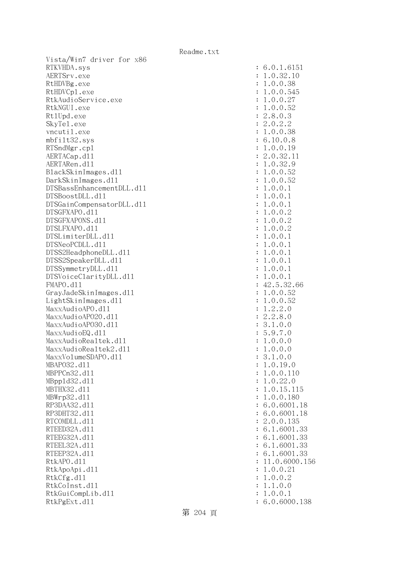Vista/Win7 driver for x86 RTKVHDA.sys : 6.0.1.6151 AERTSrv.exe : 1.0.32.10 RtHDVBg.exe : 1.0.0.38 RtHDVCp1.exe : 1.0.0.545 RtkAudioService.exe : 1.0.0.27 RtkNGUI.exe : 1.0.0.52 RtlUpd.exe : 2.8.0.3 SkyTel.exe : 2.0.2.2 vncutil.exe : 1.0.0.38 mbfilt32.sys : 6.10.0.8 RTSndMgr.cp1 : 1.0.0.19 AERTACap.d11 : 2.0.32.11 AERTARen.d11 : 1.0.32.9 BlackSkinImages.dll : 1.0.0.52 DarkSkinImages.dll : 1.0.0.52 DTSBassEnhancementDLL.dl1 : 1.0.0.1 DTSBoostDLL.dll : 1.0.0.1 DTSGainCompensatorDLL.dll : 1.0.0.1 DTSGFXAPO.dll : 1.0.0.2 DTSGFXAPONS.dll : 1.0.0.2 DTSLFXAPO.dll : 1.0.0.2 DTSLimiterDLL.dl1 : 1.0.0.1 DTSNeoPCDLL.dll : 1.0.0.1 DTSS2HeadphoneDLL.dl1 : 1.0.0.1 DTSS2SpeakerDLL.dl1 : 1.0.0.1 DTSSymmetryDLL.dll  $\qquad \qquad$  : 1.0.0.1 DTSVoiceClarityDLL.dl1 : 1.0.0.1 FMAPO.d11 : 42.5.32.66 GrayJadeSkinImages.dll : 1.0.0.52 LightSkinImages.dll : 1.0.0.52 MaxxAudioAPO.dl1 : 1.2.2.0 MaxxAudioAPO20.dll : 2.2.8.0 MaxxAudioAPO30.dll : 3.1.0.0 MaxxAudioEQ.dl1 : 5.9.7.0 MaxxAudioRealtek.dll  $\qquad \qquad : 1.0.0.0$ MaxxAudioRealtek2.dll : 1.0.0.0 MaxxVolumeSDAPO.dll : 3.1.0.0 MBAPO32.dll : 1.0.19.0 MBPPCn32.dll : 1.0.0.110 MBppld32.dll : 1.0.22.0 MBTHX32.d11 : 1.0.15.115 MBWrp32.dll : 1.0.0.180 RP3DAA32.d11 : 6.0.6001.18 RP3DHT32.d11 : 6.0.6001.18 RTCOMDLL.d11 : 2.0.0.135 RTEED32A.d11 : 6.1.6001.33 RTEEG32A.d11 : 6.1.6001.33 RTEEL32A.d11 : 6.1.6001.33 RTEEP32A.d11 : 6.1.6001.33 RtkAPO.dl1 : 11.0.6000.156 RtkApoApi.dl1 : 1.0.0.21 : 1.0.0.21 RtkCfg.dl1 : 1.0.0.2 RtkCoInst.d11 : 1.1.0.0 RtkGuiCompLib.d11 : 1.0.0.1 RtkPgExt.dll : 6.0.6000.138

第 204 頁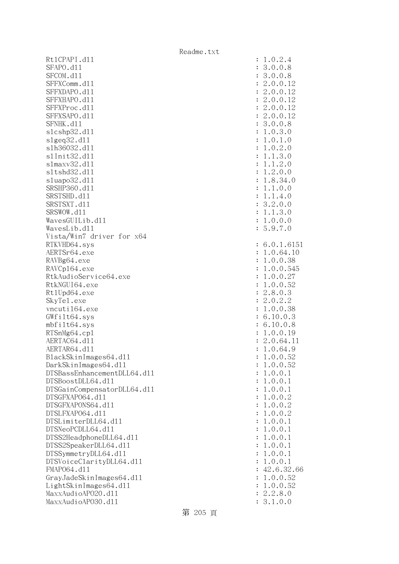Rt1CPAPI.d11 SFAPO.d11 SFCOM.dl1 SFFXComm.dl1 SFFXDAPO.d11 SFFXHAPO.d11 SFFXProc.dl1 SFFXSAPO.d11 SFNHK.d11 slcshp32.dl1 slgeq32.dll slh36032.dll : 1.0.2.0 s1Init32.d11 slmaxv32.dl1 s1tshd32.d11 sluapo32.dl1 SRSHP360.d11 SRSTSHD.d11 SRSTSXT.d11 SRSWOW.d11 WavesGUILib.d11 WavesLib.dll Vista/Win7 driver for x64 RTKVHD64.sys AERTSr64.exe RAVBg64.exe RAVCp164.exe RtkAudioService64.exe RtkNGUI64.exe Rt1Upd64.exe SkyTel.exe vncuti164.exe  $GWfilt64.sys$ mbfilt64.sys RTSnMg64.cp1 AERTAC64.dl1 AERTAR64.d11 BlackSkinImages64.dll DarkSkinImages64.dl1 DTSBassEnhancementDLL64.dl1 DTSBoostDLL64.dl1 DTSGainCompensatorDLL64.dl1 DTSGFXAPO64.dl1 DTSGFXAPONS64.dll DTSLFXAP064.d11 DTSLimiterDLL64.dl1 DTSNeoPCDLL64.dl1 DTSS2HeadphoneDLL64.dl1 DTSS2SpeakerDLL64.dl1 DTSSymmetryDLL64.dl1 DTSVoiceClarityDLL64.dl1 FMAP064.d11 GrayJadeSkinImages64.dl1 LightSkinImages64.dl1 MaxxAudioAPO20.dll MaxxAudioAP030.dll

| $\ddot{\cdot}$<br>$\ddot{\cdot}$<br>$\ddot{\cdot}$                                                                                                                                                                                                                                                                                                                   | 0.2.4<br>$\mathbf 1$<br>$\ddot{\phantom{0}}$<br>$\begin{array}{c} 0.0.8 \\ 0.0.8 \\ 0.0.12 \\ 0.0.12 \\ 0.0.12 \\ 0.0.12 \\ 0.0.12 \\ 0.0.2 \\ 0.12 \\ 0.0.8 \\ 0.1.0 \\ 0.2.0 \\ 1.3.0 \\ 1.2.0 \\ 2.0.0 \\ 8.34.0 \\ 1.0.0 \\ 1.4.0 \\ 0.1 \\ \end{array}$<br>3.3.2.2.2.2.3.1.1.1.1.<br>$\mathbf{1}$<br>.<br>.<br>.<br>$\mathbf{1}$<br>$\mathbf{1}$<br>$\mathbf{1}$<br>3.<br>$2.0.$<br>1.3.<br>0.0.<br>$\circ$<br>$\mathbf{1}$<br>$\circ$<br>$\frac{1}{5}$ .<br>$\circ$<br>$\boldsymbol{9}$ .<br>$\overline{7}$<br>$\ddot{\phantom{a}}$<br>$\mathcal{O}$                                                                                                                                                                                                                                                                                                                                                                                                                                                                                                                                                                                                                                    |
|----------------------------------------------------------------------------------------------------------------------------------------------------------------------------------------------------------------------------------------------------------------------------------------------------------------------------------------------------------------------|-----------------------------------------------------------------------------------------------------------------------------------------------------------------------------------------------------------------------------------------------------------------------------------------------------------------------------------------------------------------------------------------------------------------------------------------------------------------------------------------------------------------------------------------------------------------------------------------------------------------------------------------------------------------------------------------------------------------------------------------------------------------------------------------------------------------------------------------------------------------------------------------------------------------------------------------------------------------------------------------------------------------------------------------------------------------------------------------------------------------------------------------------------------------------------------------------|
| $\ddot{\cdot}$<br>$\ddot{\cdot}$<br>$\ddot{\cdot}$<br>$\ddot{\cdot}$<br>$\ddot{\cdot}$<br>$\ddot{\cdot}$<br>$\ddot{\cdot}$<br>$\ddot{\cdot}$<br>$\ddot{\cdot}$<br>$\ddot{\cdot}$<br>$\ddot{\cdot}$<br>$\ddot{\cdot}$<br>$\ddot{\cdot}$<br>$\ddot{\cdot}$<br>$\ddot{\cdot}$<br>$\ddot{\cdot}$<br>$\ddot{\cdot}$<br>$\ddot{\cdot}$<br>$\ddot{\cdot}$<br>$\ddot{\cdot}$ | 6.0.1.6151<br>0.1.013<br>0.64.10<br>0.0.38<br>0.0.545<br>0.0.27<br>0.0.52<br>8.0.3<br>0.2.2<br>0.0.38<br>10.0.3<br>1.<br>1.<br>$\mathbf{1}$<br>$\mathbf{1}$<br>1.2.2.1.6.6.1.2.1.<br>$10.0.3$<br>10.0.8<br>0.0.19<br>0.64.1<br>0.64.9<br>11<br>.0.0.<br>1<br>$0.0.52$<br>$0.0.52$<br>$\mathbf{1}$<br>$\ddot{\phantom{0}}$<br>0.0.<br>$\mathbf{1}$<br>$\mathbf{1}$<br>$\ddot{\phantom{0}}$<br>0.0.<br>$\mathbf{1}$<br>$\ddot{\phantom{0}}$<br>$\mathbf{1}$<br>0.0.<br>$\mathbf{1}$<br>$\ddot{\phantom{0}}$<br>$\mathbf{1}$<br>$\mathbf 0$ .<br>$\mathbf 0$ .<br>$\mathbf{1}$<br>$\mathbf{c}$<br>$\ddot{\phantom{0}}$<br>$\overline{c}$<br>$\overline{0}$ .<br>$\mathbf 0$ .<br>$\mathbf{1}$<br>$\ddot{\phantom{0}}$<br>$\overline{c}$<br>0.0.<br>$\mathbf{1}$<br>$\ddot{\phantom{0}}$<br>0.0.<br>$\mathbf{1}$<br>$\mathbf{1}$<br>$\ddot{\phantom{0}}$<br>0.0.<br>$\mathbf{1}$<br>$\ddot{\phantom{0}}$<br>$\mathbf{1}$<br>0.0.<br>$\mathbf{1}$<br>$\ddot{\phantom{a}}$<br>$\mathbf{1}$<br>0.0.<br>$\mathbf{1}$<br>$\ddot{\phantom{a}}$<br>$\mathbf 1$<br>0.0.<br>$\mathbf{1}$<br>$\ddot{\phantom{0}}$<br>$\mathbf{1}$<br>.0.0.<br>$\mathbf{1}$<br>$\mathbf{1}$<br>42.6.32<br>66<br>$\mathbf{1}$ |
| $\ddot{\cdot}$<br>$\ddot{\cdot}$<br>$\ddot{\cdot}$                                                                                                                                                                                                                                                                                                                   | $.0.0.52$<br>$.0.0.52$<br>$.2.8.0$<br>$\mathbf{1}$<br>2.<br>3.1.0.0                                                                                                                                                                                                                                                                                                                                                                                                                                                                                                                                                                                                                                                                                                                                                                                                                                                                                                                                                                                                                                                                                                                           |

第 205 頁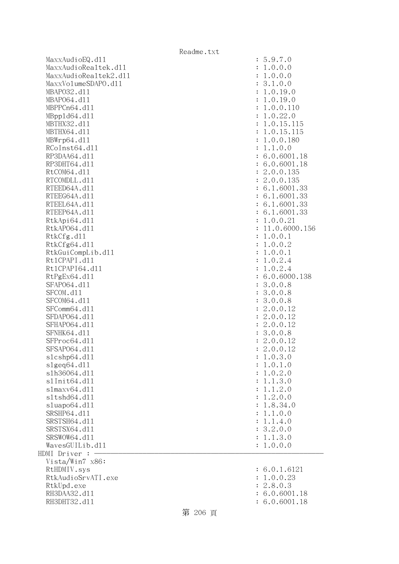MaxxAudioEQ.dll : 5.9.7.0 MaxxAudioRealtek.dll : 1.0.0.0 MaxxAudioRealtek2.dll : 1.0.0.0 MaxxVolumeSDAPO.dll : 3.1.0.0 MBAPO32.dll : 1.0.19.0 MBAPO64.dll : 1.0.19.0 MBPPCn64.d11 : 1.0.0.110 MBppld64.dll : 1.0.22.0 MBTHX32.d11 : 1.0.15.115 MBTHX64.d11 : 1.0.15.115 MBWrp64.dll : 1.0.0.180 RCoInst64.d11 : 1.1.0.0 RP3DAA64.d11 : 6.0.6001.18 RP3DHT64.d11 : 6.0.6001.18 RtCOM64.d11 : 2.0.0.135 RTCOMDLL.d11 : 2.0.0.135 RTEED64A.d11 : 6.1.6001.33 RTEEG64A.d11 : 6.1.6001.33 RTEEL64A.d11 : 6.1.6001.33 RTEEP64A.d11 : 6.1.6001.33 RtkApi64.dl1 : 1.0.0.21 RtkAP064.d11 : 11.0.6000.156 RtkCfg.dl1 : 1.0.0.1 RtkCfg64.dll : 1.0.0.2 RtkGuiCompLib.dl1 : 1.0.0.1 Rt1CPAPI.d11 : 1.0.2.4 Rt1CPAPI64.dl1 : 1.0.2.4 RtPgEx64.d11 : 6.0.6000.138 SFAP064.d11 : 3.0.0.8 SFCOM.d11 : 3.0.0.8 SFCOM64.d11 : 3.0.0.8 SFComm64.d11 : 2.0.0.12 SFDAP064.d11 : 2.0.0.12 SFHAPO64.d11 : 2.0.0.12 SFNHK64.d11 : 3.0.0.8 SFProc64.dl1 : 2.0.0.12 SFSAP064.d11 : 2.0.0.12 slcshp64.dll : 1.0.3.0 slgeq64.dll : 1.0.1.0 slh36064.dll : 1.0.2.0 slInit64.dll : 1.1.3.0 slmaxv64.dll : 1.1.2.0 sltshd64.dll : 1.2.0.0 sluapo64.dll : 1.8.34.0 SRSHP64.d11 : 1.1.0.0 SRSTSH64.d11 : 1.1.4.0 SRSTSX64.dl1 : 3.2.0.0 SRSWOW64.d11 : 1.1.3.0  $Waves GULLi b. d11$  :  $1.0.0.0$  $HDMI$  Driver :  $-$  Vista/Win7 x86: RtHDMIV.sys : 6.0.1.6121 RtkAudioSrvATI.exe : 1.0.0.23 RtkUpd.exe : 2.8.0.3 RH3DAA32.d11 : 6.0.6001.18 RH3DHT32.d11 : 6.0.6001.18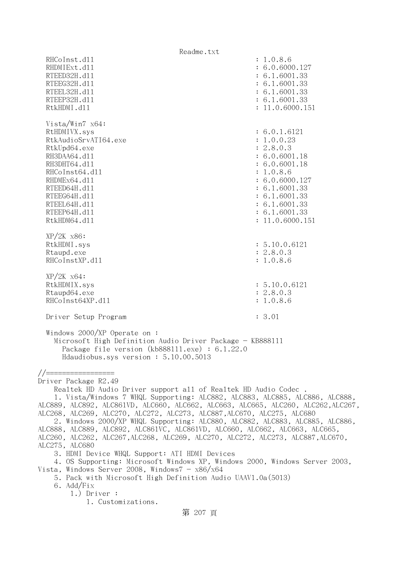Readme.txt RHCoInst.d11 : 1.0.8.6 RHDMIExt.d11 : 6.0.6000.127 RTEED32H.d11 : 6.1.6001.33 RTEEG32H.d11 : 6.1.6001.33 RTEEL32H.d11 : 6.1.6001.33 RTEEP32H.d11 : 6.1.6001.33 RtkHDMI.dl1 : 11.0.6000.151 Vista/Win7 x64: RtHDMIVX.sys : 6.0.1.6121 RtkAudioSrvATI64.exe : 1.0.0.23 RtkUpd64.exe : 2.8.0.3 RH3DAA64.d11 : 6.0.6001.18 RH3DHT64.d11 : 6.0.6001.18 RHCoInst64.d11 : 1.0.8.6 RHDMEx64.d11 : 6.0.6000.127 RTEED64H.d11 : 6.1.6001.33 RTEEG64H.d11 : 6.1.6001.33 RTEEL64H.d11 : 6.1.6001.33 RTEEP64H.d11 : 6.1.6001.33 RtkHDM64.dll : 11.0.6000.151 XP/2K x86: RtkHDMI.sys : 5.10.0.6121<br>Rtaupd.exe : 2.8.0.3 Rtaupd.exe RHCoInstXP.d11 : 1.0.8.6 XP/2K x64: RtkHDMIX.sys : 5.10.0.6121 Rtaupd64.exe : 2.8.0.3 RHCoInst64XP.d11 : 1.0.8.6 Driver Setup Program : 3.01 Windows 2000/XP Operate on : Microsoft High Definition Audio Driver Package - KB888111 Package file version (kb888111.exe) : 6.1.22.0 Hdaudiobus.sys version : 5.10.00.5013 //================= Driver Package R2.49 Realtek HD Audio Driver support all of Realtek HD Audio Codec . 1. Vista/Windows 7 WHQL Supporting: ALC882, ALC883, ALC885, ALC886, ALC888, ALC889, ALC892, ALC861VD, ALC660, ALC662, ALC663, ALC665, ALC260, ALC262,ALC267, ALC268, ALC269, ALC270, ALC272, ALC273, ALC887,ALC670, ALC275, ALC680 2. Windows 2000/XP WHQL Supporting: ALC880, ALC882, ALC883, ALC885, ALC886, ALC888, ALC889, ALC892, ALC861VC, ALC861VD, ALC660, ALC662, ALC663, ALC665, ALC260, ALC262, ALC267,ALC268, ALC269, ALC270, ALC272, ALC273, ALC887,ALC670, ALC275, ALC680 3. HDMI Device WHQL Support: ATI HDMI Devices 4. OS Supporting: Microsoft Windows XP, Windows 2000, Windows Server 2003, Vista, Windows Server 2008, Windows $7 - x86/x64$  5. Pack with Microsoft High Definition Audio UAAV1.0a(5013) 6. Add/Fix 1.) Driver : 1. Customizations.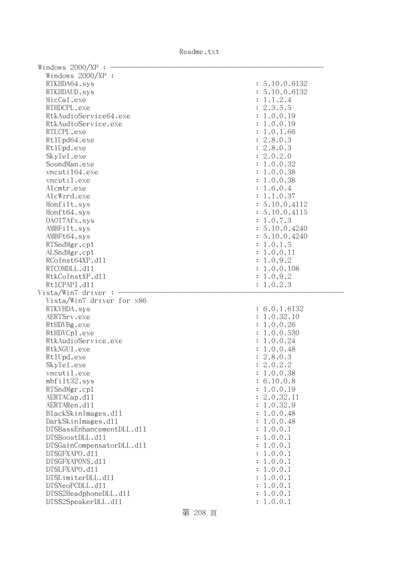Readme.txt

| Windows $2000/XP:$ –      |                             |
|---------------------------|-----------------------------|
| Windows 2000/XP :         |                             |
| RTKHDA64.sys              | : 5.10.0.6132               |
| RTKHDAUD.sys              | : 5.10.0.6132               |
| MicCal.exe                | : 1.1.2.4                   |
| RTHDCPL.exe               | : 2.3.5.5                   |
| RtkAudioService64.exe     | : 1.0.0.19                  |
| RtkAudioService.exe       | : 1.0.0.19                  |
| RTLCPL.exe                | : 1.0.1.66                  |
| Rt1Upd64.exe              | : 2.8.0.3                   |
| Rt1Upd.exe                | : 2.8.0.3                   |
| SkyTe1.exe                | : 2.0.2.0                   |
| SoundMan.exe              | : 1.0.0.32                  |
| vncuti164.exe             | : 1.0.0.38                  |
| vncutil.exe               | : 1.0.0.38                  |
| Alcmtr.exe                | : 1.6.0.4                   |
| AlcWzrd.exe               |                             |
|                           | : 1.1.0.37<br>: 5.10.0.4112 |
| Monfilt.sys               |                             |
| Monft64.sys               | : 5.10.0.4115               |
| 0A017Afx.sys              | : 1.0.7.3                   |
| AMBFilt.sys               | : 5.10.0.4240               |
| AMBFt64.sys               | : 5.10.0.4240               |
| RTSndMgr.cp1              | : 1.0.1.5                   |
| ALSndMgr.cp1              | : 1.0.0.11                  |
| RCoInst64XP.d11           | : 1.0.9.2                   |
| RTCOMDLL.d11              | : 1.0.0.108                 |
| RtkCoInstXP.d11           | : 1.0.9.2                   |
| Rt1CPAPI.d11              | : 1.0.2.3                   |
| Vista/Win7 driver:        |                             |
| Vista/Win7 driver for x86 |                             |
| RTKVHDA.sys               | : 6.0.1.6132                |
| AERTSrv.exe               | : 1.0.32.10                 |
| RtHDVBg.exe               | : 1.0.0.26                  |
| RtHDVCp1.exe              | : 1.0.0.530                 |
| RtkAudioService.exe       | : 1.0.0.24                  |
| RtkNGUI.exe               | : 1.0.0.48                  |
| Rt1Upd.exe                | : 2.8.0.3                   |
| SkyTe1.exe                | : 2.0.2.2                   |
| vncutil.exe               | 1.0.0.38                    |
| mbfilt32.sys              | : 6.10.0.8                  |
| RTSndMgr.cp1              | 1.0.0.19                    |
| AERTACap.d11              | 2.0.32.11                   |
| AERTARen.d11              | 1.0.32.9                    |
| BlackSkinImages.dl1       | 1.0.0.48                    |
| DarkSkinImages.d11        | 1.0.0.48                    |
| DTSBassEnhancementDLL.d11 | 1.0.0.1                     |
| DTSBoostDLL.d11           | 1.0.0.1                     |
| DTSGainCompensatorDLL.d11 | 1.0.0.1                     |
| DTSGFXAPO.d11             | 1.0.0.1                     |
| DTSGFXAPONS.d11           | 1.0.0.1                     |
| DTSLFXAPO.d11             | 1.0.0.1                     |
| DTSLimiterDLL.d11         | 1.0.0.1                     |
| DTSNeoPCDLL.d11           | 1.0.0.1                     |
| DTSS2HeadphoneDLL.d11     | 1.0.0.1                     |
| DTSS2SpeakerDLL.d11       | 1.0.0.1                     |
|                           |                             |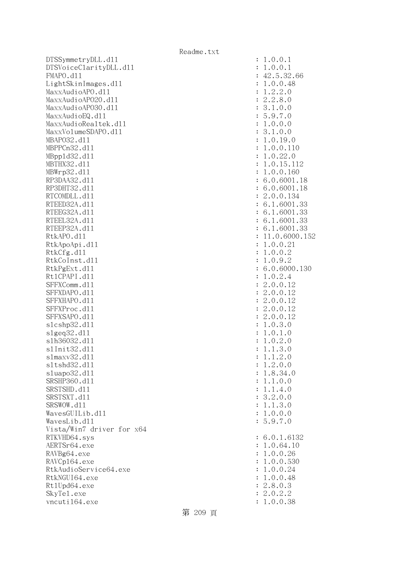DTSSymmetryDLL.dll : 1.0.0.1 DTSVoiceClarityDLL.dll : 1.0.0.1 FMAPO.d11 : 42.5.32.66 LightSkinImages.dll : 1.0.0.48 MaxxAudioAPO.dll : 1.2.2.0 MaxxAudioAPO20.dll : 2.2.8.0 MaxxAudioAP030.dll : 3.1.0.0 MaxxAudioEQ.dl1 : 5.9.7.0 MaxxAudioRealtek.dll  $\qquad \qquad : 1.0.0.0$ MaxxVolumeSDAPO.dll : 3.1.0.0 MBAPO32.dll : 1.0.19.0 MBPPCn32.d11 : 1.0.0.110 MBppld32.dll : 1.0.22.0 MBTHX32.d11 : 1.0.15.112 MBWrp32.dll : 1.0.0.160 RP3DAA32.d11 : 6.0.6001.18 RP3DHT32.d11 : 6.0.6001.18 RTCOMDLL.d11 : 2.0.0.134 RTEED32A.d11 : 6.1.6001.33 RTEEG32A.d11 : 6.1.6001.33 RTEEL32A.d11 : 6.1.6001.33 RTEEP32A.d11 : 6.1.6001.33 RtkAPO.d11 : 11.0.6000.152 RtkApoApi.dl1 : 1.0.0.21 : 1.0.0.21 RtkCfg.dl1 : 1.0.0.2 RtkCoInst.dll : 1.0.9.2 RtkPgExt.dll : 6.0.6000.130 Rt1CPAPI.d11 : 1.0.2.4 SFFXComm.d11 : 2.0.0.12 SFFXDAPO.d11 : 2.0.0.12 SFFXHAPO.d11 : 2.0.0.12 SFFXProc.d11 : 2.0.0.12 SFFXSAPO.d11 : 2.0.0.12 slcshp32.dll : 1.0.3.0 slgeq32.dll : 1.0.1.0 slh36032.dll : 1.0.2.0 slInit32.dll : 1.1.3.0 slmaxv32.dll : 1.1.2.0 sltshd32.dll : 1.2.0.0 sluapo32.dl1 : 1.8.34.0 SRSHP360.dll : 1.1.0.0 SRSTSHD.d11 : 1.1.4.0 SRSTSXT.d11 : 3.2.0.0 SRSWOW.d11 : 1.1.3.0  $Waves GUL1b. d11$  :  $1.0.0.0$  WavesLib.dll : 5.9.7.0 Vista/Win7 driver for x64 RTKVHD64.sys : 6.0.1.6132 AERTSr64.exe : 1.0.64.10 RAVBg64.exe : 1.0.0.26 RAVCp164.exe : 1.0.0.530 RtkAudioService64.exe : 1.0.0.24 RtkNGUI64.exe : 1.0.0.48 Rt1Upd64.exe : 2.8.0.3 SkyTel.exe : 2.0.2.2 vncuti164.exe : 1.0.0.38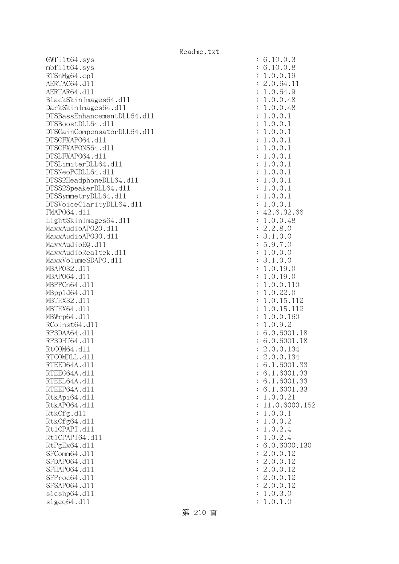$GWfilt64.sys$  $mbfilt64.sys$ RTSnMg64.cp1 AERTAC64.dll AERTAR64.d11 BlackSkinImages64.dll DarkSkinImages64.dll DTSBassEnhancementDLL64.dl1 DTSBoostDLL64.d11 DTSGainCompensatorDLL64.dll DTSGFXAP064.dll DTSGFXAPONS64.dll DTSLFXAP064.dl1 DTSLimiterDLL64.dl1 DTSNeoPCDLL64.dl1 DTSS2HeadphoneDLL64.dl1 DTSS2SpeakerDLL64.dl1 DTSSymmetryDLL64.dl1 DTSVoiceClarityDLL64.dll FMAP064.d11 LightSkinImages64.dll MaxxAudioAPO20.dll MaxxAudioAPO30.dll MaxxAudioEQ.dll MaxxAudioRealtek.dll MaxxVolumeSDAPO.dl1 MBAP032.d11 MBAP064.d11 MBPPCn64.dl1 MBpp1d64.dl1 MBTHX32.d11 MBTHX64.d11 MBWrp64.dl1 RCoInst64.dl1 RP3DAA64.d11 RP3DHT64.d11 RtCOM64.d11 RTCOMDLL.d11 RTEED64A.d11 RTEEG64A.dl1 RTEEL64A.d11 RTEEP64A.d11 RtkApi64.dll RtkAP064.dl1 : 11.0.6000.152 RtkCfg.dl1  $R$ tk $C$ fg $64$ .dll Rt1CPAPI.d11 Rt1CPAPI64.d11 RtPgEx64.dl1 SFComm64.dl1 SFDAP064.d11 SFHAP064.d11 SFProc64.dl1 SFSAP064.dl1 slcshp64.dl1 slgeq64.dll

| $\ddot{\cdot}$ | 10.0.3<br>6                                                                                                                                                                                                                                    |
|----------------|------------------------------------------------------------------------------------------------------------------------------------------------------------------------------------------------------------------------------------------------|
| $\ddot{\cdot}$ | 6.<br>10.0.<br>8                                                                                                                                                                                                                               |
|                |                                                                                                                                                                                                                                                |
| $\ddot{\cdot}$ | $\mathbf 1$                                                                                                                                                                                                                                    |
| $\ddot{\cdot}$ | $\mathbf{c}$<br>11                                                                                                                                                                                                                             |
| $\ddot{\cdot}$ | $\mathbf{1}$                                                                                                                                                                                                                                   |
| $\ddot{\cdot}$ | $\mathbf{1}$                                                                                                                                                                                                                                   |
| $\ddot{\cdot}$ | $\mathbf{1}$                                                                                                                                                                                                                                   |
| $\ddot{\cdot}$ | $\mathbf{1}$                                                                                                                                                                                                                                   |
| $\ddot{\cdot}$ | $\mathbf{1}$                                                                                                                                                                                                                                   |
|                |                                                                                                                                                                                                                                                |
| $\ddot{\cdot}$ | $\mathbf{1}$                                                                                                                                                                                                                                   |
| $\ddot{\cdot}$ | $\mathbf{1}$                                                                                                                                                                                                                                   |
| $\ddot{\cdot}$ | $\mathbf{1}$                                                                                                                                                                                                                                   |
| $\ddot{\cdot}$ | $\mathbf{1}$                                                                                                                                                                                                                                   |
| $\ddot{\cdot}$ | $\mathbf{1}$                                                                                                                                                                                                                                   |
| $\ddot{\cdot}$ | $\mathbf{1}$                                                                                                                                                                                                                                   |
| $\ddot{\cdot}$ | $\mathbf{1}$                                                                                                                                                                                                                                   |
|                |                                                                                                                                                                                                                                                |
| $\ddot{\cdot}$ | $\mathbf{1}$                                                                                                                                                                                                                                   |
| $\ddot{\cdot}$ | 1<br>1                                                                                                                                                                                                                                         |
| $\ddot{\cdot}$ | $0.0.19$<br>$0.64.1$<br>$0.64.9$<br>$0.0.48$<br>$0.0.48$<br>$0.0.1$<br>$0.0.1$<br>$0.0.1$<br>$0.0.1$<br>$0.0.1$<br>$0.0.1$<br>$0.0.1$<br>$0.0.1$<br>$0.0.1$<br>$0.0.1$<br>$0.0.1$<br>$0.0.1$<br>$0.0.1$<br>$0.0.1$<br>$0.0.1$<br>$0.0.1$       |
| $\ddot{\cdot}$ | $42.6.32.66$<br>$1.0.0.48$<br>$2.2.8.0$<br>$3.1.0.0$<br>$5.9.7.0$<br>$1.0.0.0$<br>$3.1.0.0$<br>$1.0.19.0$<br>$1.0.19.0$<br>$1.0.19.0$<br>$1.0.22.0$<br>$1.0.15.112$<br>$1.0.15.112$<br>$1.0.0.160$<br>$1.0.9.2$<br>$6.0.6001.1$<br>$2.0.0.134$ |
| $\ddot{\cdot}$ |                                                                                                                                                                                                                                                |
| $\ddot{\cdot}$ |                                                                                                                                                                                                                                                |
| $\ddot{\cdot}$ |                                                                                                                                                                                                                                                |
| $\ddot{\cdot}$ |                                                                                                                                                                                                                                                |
|                |                                                                                                                                                                                                                                                |
| $\ddot{\cdot}$ |                                                                                                                                                                                                                                                |
| $\ddot{\cdot}$ |                                                                                                                                                                                                                                                |
| $\ddot{\cdot}$ |                                                                                                                                                                                                                                                |
| $\ddot{\cdot}$ |                                                                                                                                                                                                                                                |
| $\ddot{\cdot}$ |                                                                                                                                                                                                                                                |
| $\ddot{\cdot}$ |                                                                                                                                                                                                                                                |
| $\ddot{\cdot}$ |                                                                                                                                                                                                                                                |
| $\ddot{\cdot}$ |                                                                                                                                                                                                                                                |
|                |                                                                                                                                                                                                                                                |
| $\ddot{\cdot}$ |                                                                                                                                                                                                                                                |
| $\ddot{\cdot}$ |                                                                                                                                                                                                                                                |
| $\ddot{\cdot}$ | .18                                                                                                                                                                                                                                            |
| $\ddot{\cdot}$ | 18                                                                                                                                                                                                                                             |
| $\ddot{\cdot}$ |                                                                                                                                                                                                                                                |
|                | 0.0.134<br>$\overline{c}$                                                                                                                                                                                                                      |
| $\ddot{\cdot}$ | 6.1.6001.33                                                                                                                                                                                                                                    |
| $\ddot{\cdot}$ | 6.1.6001.33                                                                                                                                                                                                                                    |
|                |                                                                                                                                                                                                                                                |
| $\ddot{\cdot}$ | 6.1.6001.33                                                                                                                                                                                                                                    |
| $\ddot{\cdot}$ | 6.1.6001.33                                                                                                                                                                                                                                    |
| $\ddot{\cdot}$ | .0.0.21<br>$\mathbf{1}$                                                                                                                                                                                                                        |
| $\ddot{\cdot}$ | 1.0.6000.15<br>$\mathbf{1}$                                                                                                                                                                                                                    |
| $\ddot{\cdot}$ | .0.0.1<br>1                                                                                                                                                                                                                                    |
| $\ddot{\cdot}$ | .0.0.2<br>$\mathbf 1$                                                                                                                                                                                                                          |
| $\ddot{\cdot}$ | .0.2.4<br>$\mathbf 1$                                                                                                                                                                                                                          |
|                |                                                                                                                                                                                                                                                |
| $\ddot{\cdot}$ | .0.2.4<br>1                                                                                                                                                                                                                                    |
| $\ddot{\cdot}$ | 6.0.6000.130                                                                                                                                                                                                                                   |
| $\ddot{\cdot}$ | 2.0.0.12                                                                                                                                                                                                                                       |
| $\ddot{\cdot}$ | .0.0.12<br>$\mathbf{c}$                                                                                                                                                                                                                        |
| $\ddot{\cdot}$ | .0.0.12<br>$\mathbf{C}$                                                                                                                                                                                                                        |
| $\ddot{\cdot}$ | 2.0.0.<br>12                                                                                                                                                                                                                                   |
| $\ddot{\cdot}$ | 2.0.0.12                                                                                                                                                                                                                                       |
|                |                                                                                                                                                                                                                                                |
| $\ddot{\cdot}$ | 1.0.3.0                                                                                                                                                                                                                                        |
| $\ddot{\cdot}$ | 1.0.1.0                                                                                                                                                                                                                                        |

第 210 頁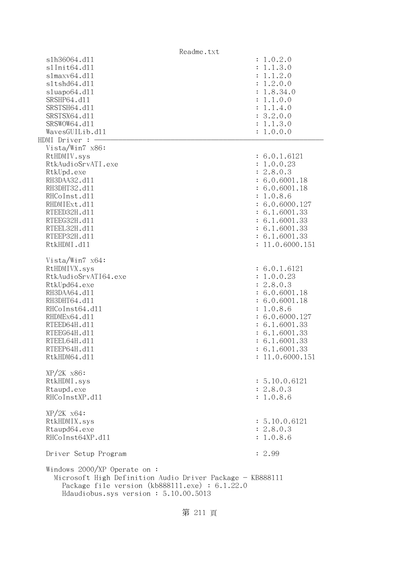|                                                                                                                                                                                               | Readme.txt      |
|-----------------------------------------------------------------------------------------------------------------------------------------------------------------------------------------------|-----------------|
| s1h36064.d11                                                                                                                                                                                  | : 1.0.2.0       |
| s1Init64.d11                                                                                                                                                                                  | 1.1.3.0         |
| slmaxv64.d11                                                                                                                                                                                  | 1.1.2.0         |
| s1tshd64.d11                                                                                                                                                                                  | 1.2.0.0         |
| sluapo64.d11                                                                                                                                                                                  | 1.8.34.0        |
| SRSHP64.d11                                                                                                                                                                                   | 1.1.0.0         |
| SRSTSH64.d11                                                                                                                                                                                  | 1.1.4.0         |
| SRSTSX64.d11                                                                                                                                                                                  | : 3.2.0.0       |
| SRSWOW64.d11                                                                                                                                                                                  | : 1.1.3.0       |
| WavesGUILib.d11                                                                                                                                                                               | : 1.0.0.0       |
| HDMI Driver : -                                                                                                                                                                               |                 |
| Vista/Win7 x86:                                                                                                                                                                               |                 |
| RtHDMIV.sys                                                                                                                                                                                   | : 6.0.1.6121    |
| RtkAudioSrvATI.exe                                                                                                                                                                            | : 1.0.0.23      |
| RtkUpd.exe                                                                                                                                                                                    | : 2.8.0.3       |
| RH3DAA32.d11                                                                                                                                                                                  | : 6.0.6001.18   |
| RH3DHT32.d11                                                                                                                                                                                  | : 6.0.6001.18   |
| RHCoInst.d11                                                                                                                                                                                  |                 |
|                                                                                                                                                                                               | : 1.0.8.6       |
| RHDMIExt.d11                                                                                                                                                                                  | : 6.0.6000.127  |
| RTEED32H.d11                                                                                                                                                                                  | : 6.1.6001.33   |
| RTEEG32H.d11                                                                                                                                                                                  | : 6.1.6001.33   |
| RTEEL32H.d11                                                                                                                                                                                  | : 6.1.6001.33   |
| RTEEP32H.d11                                                                                                                                                                                  | : 6.1.6001.33   |
| RtkHDMI.d11                                                                                                                                                                                   | : 11.0.6000.151 |
| Vista/Win7 x64:                                                                                                                                                                               |                 |
| RtHDMIVX.sys                                                                                                                                                                                  | : 6.0.1.6121    |
| RtkAudioSrvATI64.exe                                                                                                                                                                          | : 1.0.0.23      |
|                                                                                                                                                                                               | : 2.8.0.3       |
| RtkUpd64.exe                                                                                                                                                                                  |                 |
| RH3DAA64.d11                                                                                                                                                                                  | : 6.0.6001.18   |
| RH3DHT64.d11                                                                                                                                                                                  | : 6.0.6001.18   |
| RHCoInst64.d11                                                                                                                                                                                | 1.0.8.6         |
| RHDMEx64.d11                                                                                                                                                                                  | : 6.0.6000.127  |
| RTEED64H.d11                                                                                                                                                                                  | : 6.1.6001.33   |
| RTEEG64H.d11                                                                                                                                                                                  | : 6.1.6001.33   |
| RTEEL64H.d11                                                                                                                                                                                  | : 6.1.6001.33   |
| RTEEP64H.d11                                                                                                                                                                                  | : 6.1.6001.33   |
| RtkHDM64.d11                                                                                                                                                                                  | : 11.0.6000.151 |
| XP/2K x86:                                                                                                                                                                                    |                 |
| RtkHDMI.sys                                                                                                                                                                                   | : 5.10.0.6121   |
| Rtaupd.exe                                                                                                                                                                                    | : 2.8.0.3       |
| RHCoInstXP.d11                                                                                                                                                                                | : 1.0.8.6       |
|                                                                                                                                                                                               |                 |
| $XP/ZK$ $x64$ :                                                                                                                                                                               |                 |
| RtkHDMIX.sys                                                                                                                                                                                  | : 5.10.0.6121   |
| Rtaupd64.exe                                                                                                                                                                                  | : 2.8.0.3       |
| RHCoInst64XP.d11                                                                                                                                                                              | : 1.0.8.6       |
| Driver Setup Program                                                                                                                                                                          | : 2.99          |
| Windows $2000/XP$ Operate on:<br>Microsoft High Definition Audio Driver Package - KB888111<br>Package file version $(kb888111.\text{exe}) : 6.1.22.0$<br>Hdaudiobus.sys version: 5.10.00.5013 |                 |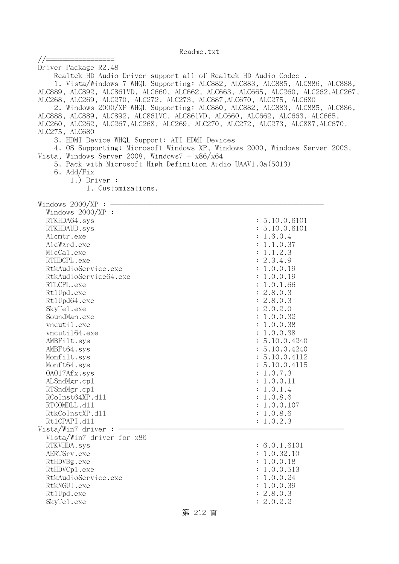| //=================                                                             |                                                                                   |  |
|---------------------------------------------------------------------------------|-----------------------------------------------------------------------------------|--|
| Driver Package R2.48                                                            |                                                                                   |  |
| Realtek HD Audio Driver support all of Realtek HD Audio Codec.                  |                                                                                   |  |
|                                                                                 | 1. Vista/Windows 7 WHQL Supporting: ALC882, ALC883, ALC885, ALC886, ALC888,       |  |
|                                                                                 | ALC889, ALC892, ALC861VD, ALC660, ALC662, ALC663, ALC665, ALC260, ALC262, ALC267, |  |
| ALC268, ALC269, ALC270, ALC272, ALC273, ALC887, ALC670, ALC275, ALC680          |                                                                                   |  |
|                                                                                 | 2. Windows 2000/XP WHQL Supporting: ALC880, ALC882, ALC883, ALC885, ALC886,       |  |
| ALC888, ALC889, ALC892, ALC861VC, ALC861VD, ALC660, ALC662, ALC663, ALC665,     |                                                                                   |  |
| ALC260, ALC262, ALC267, ALC268, ALC269, ALC270, ALC272, ALC273, ALC887, ALC670, |                                                                                   |  |
| ALC275, ALC680                                                                  |                                                                                   |  |
| 3. HDMI Device WHQL Support: ATI HDMI Devices                                   |                                                                                   |  |
| 4. OS Supporting: Microsoft Windows XP, Windows 2000, Windows Server 2003,      |                                                                                   |  |
| Vista, Windows Server 2008, Windows $7 - x86/x64$                               |                                                                                   |  |
| 5. Pack with Microsoft High Definition Audio UAAV1.0a(5013)                     |                                                                                   |  |
| 6. Add/Fix                                                                      |                                                                                   |  |
| $1.)$ Driver :                                                                  |                                                                                   |  |
| 1. Customizations.                                                              |                                                                                   |  |
| Windows $2000/XP$ : $\longrightarrow$                                           |                                                                                   |  |
| Windows 2000/XP :                                                               |                                                                                   |  |
| RTKHDA64.sys                                                                    | : 5.10.0.6101                                                                     |  |
| RTKHDAUD.sys                                                                    | : 5.10.0.6101                                                                     |  |
| Alcmtr.exe                                                                      | : 1.6.0.4                                                                         |  |
| AlcWzrd.exe                                                                     | : 1.1.0.37                                                                        |  |
| MicCal.exe                                                                      | : 1.1.2.3                                                                         |  |
| RTHDCPL.exe                                                                     | : 2.3.4.9                                                                         |  |
| RtkAudioService.exe                                                             | : 1.0.0.19                                                                        |  |
| RtkAudioService64.exe                                                           | : 1.0.0.19                                                                        |  |
| RTLCPL.exe                                                                      | : 1.0.1.66                                                                        |  |
| Rt1Upd.exe                                                                      | : 2.8.0.3                                                                         |  |
| Rt1Upd64.exe                                                                    | : 2.8.0.3                                                                         |  |
| SkyTe1.exe                                                                      | : 2.0.2.0                                                                         |  |
| SoundMan.exe                                                                    | : 1.0.0.32<br>: 1.0.0.38                                                          |  |
| vncutil.exe<br>vncuti164.exe                                                    | : 1.0.0.38                                                                        |  |
| AMBFilt.sys                                                                     | : 5.10.0.4240                                                                     |  |
| AMBFt64.sys                                                                     | : 5.10.0.4240                                                                     |  |
| Monfilt.sys                                                                     | : 5.10.0.4112                                                                     |  |
| Monft64.sys                                                                     | : 5.10.0.4115                                                                     |  |
| 0A017Afx.sys                                                                    | : 1.0.7.3                                                                         |  |
| ALSndMgr.cp1                                                                    | : 1.0.0.11                                                                        |  |
| RTSndMgr.cp1                                                                    | : 1.0.1.4                                                                         |  |
| RCoInst64XP.d11                                                                 | : 1.0.8.6                                                                         |  |
| RTCOMDLL.d11                                                                    | : 1.0.0.107                                                                       |  |
| RtkCoInstXP.d11                                                                 | : 1.0.8.6                                                                         |  |
| Rt1CPAPI.d11                                                                    | : 1.0.2.3                                                                         |  |
| Vista/Win7 driver:                                                              |                                                                                   |  |
| Vista/Win7 driver for x86                                                       |                                                                                   |  |
| RTKVHDA.sys                                                                     | : 6.0.1.6101                                                                      |  |
| AERTSrv.exe                                                                     | : 1.0.32.10                                                                       |  |
| RtHDVBg.exe                                                                     | : 1.0.0.18                                                                        |  |
| RtHDVCp1.exe                                                                    | : 1.0.0.513                                                                       |  |
| RtkAudioService.exe                                                             | : 1.0.0.24                                                                        |  |
| RtkNGUI.exe                                                                     | : 1.0.0.39                                                                        |  |
| Rt1Upd.exe                                                                      | : 2.8.0.3                                                                         |  |
| SkyTe1.exe                                                                      | : 2.0.2.2                                                                         |  |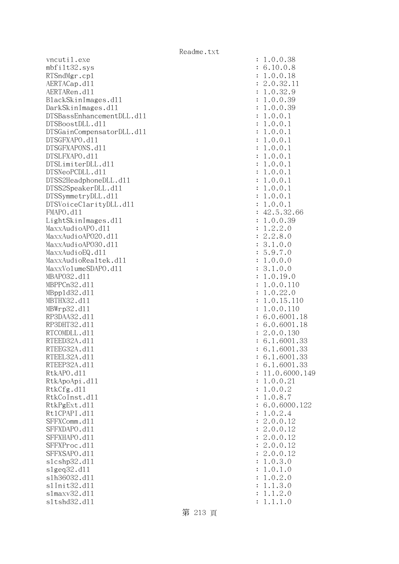vncutil.exe mbfilt32.sys RTSndMgr.cp1 AERTACap.d11 AERTARen.d11 BlackSkinImages.dl1 DarkSkinImages.dl1 DTSBassEnhancementDLL.dl1 DTSBoostDLL.d11 DTSGainCompensatorDLL.dl1 DTSGFXAPO.d11 DTSGFXAPONS.dl1 DTSLFXAPO.d11 DTSLimiterDLL.dl1 DTSNeoPCDLL.d11 DTSS2HeadphoneDLL.d11 DTSS2SpeakerDLL.d11 DTSSymmetryDLL.dl1 DTSVoiceClarityDLL.dl1 FMAPO.d11 LightSkinImages.dl1 MaxxAudioAPO.dll MaxxAudioAPO2O.dll MaxxAudioAPO30.dll MaxxAudioEQ.dll MaxxAudioRealtek.dll MaxxVolumeSDAPO.dl1 MBAP032.d11 MBPPCn32.d11 MBpp1d32.d11 MBTHX32.d11 MBWrp32.d11 RP3DAA32.d11 RP3DHT32.d11 RTCOMDLL.dl1 RTEED32A.d11 RTEEG32A.d11 RTEEL32A.d11 RTEEP32A.d11 RtkAPO.dl1 : 11.0.6000.149 RtkApoApi.dl1 RtkCfg.dll RtkCoInst.dl1 RtkPgExt.dll Rt1CPAPI.d11 SFFXComm.dl1 SFFXDAPO.d11 SFFXHAPO.d11 SFFXProc.dl1 SFFXSAPO.d11 slcshp32.dl1 slgeq32.dl1 slh36032.dl1 s1Init32.d11 slmaxv32.dl1 sltshd32.dl1 : 1.1.1.0

| $\ddot{\cdot}$    | .0.0.38<br>1                                                                          |
|-------------------|---------------------------------------------------------------------------------------|
|                   |                                                                                       |
| $\ddot{\cdot}$    | .10.0.8<br>6                                                                          |
| $\ddot{\cdot}$    | $\ddot{\phantom{0}}$<br>$0$ .<br>$0$ .<br>18<br>1                                     |
|                   | 2.0.32<br>11<br>$\ddot{\cdot}$                                                        |
| $\ddot{\cdot}$    |                                                                                       |
| $\ddot{\cdot}$    | 32<br>9<br>$\boldsymbol{0}$ .<br>$\ddot{\phantom{0}}$<br>$\mathbf 1$                  |
| $\ddot{\cdot}$    | $.0.0.39$<br>$.0.0.39$<br>$\mathbf 1$                                                 |
|                   | $\mathbf 1$                                                                           |
| $\ddot{\cdot}$    |                                                                                       |
|                   | .0.0.<br>$\mathbf 1$<br>$\mathbf{1}$                                                  |
|                   | .0.0.<br>$\mathbf 1$<br>$\mathbf{1}$                                                  |
|                   | $\mathbf{1}$<br>.0.0.<br>$\mathbf{1}$                                                 |
|                   |                                                                                       |
|                   | $\mathbf{1}$<br>.0.0.<br>$\mathbf{1}$                                                 |
|                   | $\mathbf{1}$<br>.0.0.1                                                                |
|                   | .0.0.1<br>$\mathbf{1}$                                                                |
|                   |                                                                                       |
|                   | .0.0.1<br>$\mathbf{1}$                                                                |
|                   | .0.0.1<br>$\mathbf{1}$                                                                |
|                   | .0.0.1<br>$\mathbf{1}$                                                                |
|                   |                                                                                       |
|                   | .0.0.1<br>$\mathbf{1}$                                                                |
| $\ddot{\cdot}$    | $\mathbf{1}$<br>.0.0.<br>$\mathbf{1}$                                                 |
|                   | $\mathbf{1}$<br>.0.0.<br>$\mathbf{1}$                                                 |
|                   |                                                                                       |
|                   | 42<br>.66                                                                             |
|                   | $\mathbf{1}$                                                                          |
| : : : : : : : : : | $2.5.32.$<br>.0.0.39<br>.2.2.0<br>.2.8.0<br>.1.0.0<br>$\mathbf{1}$                    |
|                   |                                                                                       |
|                   |                                                                                       |
|                   |                                                                                       |
|                   | 2.3.5.5.1.<br>$9.7.0$<br>$0.0.0$                                                      |
|                   |                                                                                       |
| $\ddot{\cdot}$    |                                                                                       |
| $\ddot{\cdot}$    | .1.0.0<br>3                                                                           |
| $\ddot{\cdot}$    | $.0.19.0$<br>$.0.0.110$<br>$\mathbf{1}$                                               |
| $\ddot{\cdot}$    | $\mathbf{1}$                                                                          |
|                   |                                                                                       |
| $\ddot{\cdot}$    | $\mathbf{1}$<br>$\cdot$ 0.<br>22<br>$\ddot{\phantom{0}}$<br>0                         |
|                   | $\frac{22}{15}$ .<br>0.1<br>$\mathbf{1}$<br>.0.<br>110                                |
|                   | $\mathbf 1$<br>.0.<br>10                                                              |
|                   |                                                                                       |
| .                 | .0.6001<br>6<br>$\ddot{\phantom{a}}$<br>18                                            |
|                   | $.0.6001$ .<br>$.0.0.130$<br>6<br>18                                                  |
|                   |                                                                                       |
|                   | 2.<br>6.                                                                              |
|                   | 1.6001<br>1.6001<br>33                                                                |
|                   | 6.<br>33                                                                              |
| $\ddot{\cdot}$    | 6.1.6001.33                                                                           |
|                   | 6.1.6001.33                                                                           |
| $\ddot{\cdot}$    |                                                                                       |
| $\ddot{\cdot}$    | 11.0.6000.149                                                                         |
| $\ddot{\cdot}$    | 1.0.0.21                                                                              |
| $\ddot{\cdot}$    | 1.0.0.2                                                                               |
|                   |                                                                                       |
| $\ddot{\cdot}$    | .0.8.7<br>1                                                                           |
| $\ddot{\cdot}$    | 6.0.6000.122                                                                          |
| $\ddot{\cdot}$    | .0.2.4<br>1                                                                           |
|                   |                                                                                       |
| $\ddot{\cdot}$    | 2.0.0.12                                                                              |
| $\ddot{\cdot}$    | $\overline{c}$<br>.0.0.<br>12                                                         |
| $\ddot{\cdot}$    | $\overline{c}$<br>.0.0.<br>12                                                         |
|                   |                                                                                       |
| $\ddot{\cdot}$    | $\overline{c}$<br>.0.0.<br>12                                                         |
| $\ddot{\cdot}$    | $\overline{c}$<br>12<br>.0.0.                                                         |
| $\ddot{\cdot}$    | 0.3.<br>$\ddot{\phantom{0}}$<br>1<br>$\mathcal{O}$                                    |
|                   |                                                                                       |
| $\ddot{\cdot}$    | $\,1$<br>1<br>$\ddot{\phantom{0}}$<br>$0$ .<br>$\ddot{\phantom{0}}$<br>$\overline{O}$ |
| $\ddot{\cdot}$    | 2.0<br>$0$ .<br>1<br>$\ddot{\phantom{0}}$                                             |
| $\ddot{\cdot}$    | 3.0<br>1<br>$\ddot{\phantom{0}}$<br>1.                                                |
| $\ddot{\cdot}$    | 1.2.0<br>1.                                                                           |
|                   |                                                                                       |
|                   | $1\quad1$<br>$\mathbf{1}$<br>$\Omega$                                                 |

第 213 頁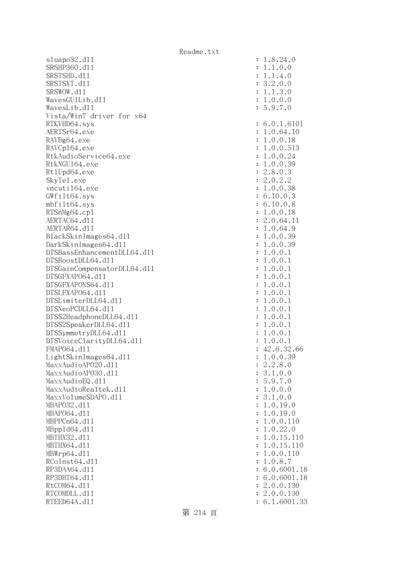sluapo32.dll : 1.8.24.0 SRSHP360.dll : 1.1.0.0 SRSTSHD.d11 : 1.1.4.0 SRSTSXT.d11 : 3.2.0.0 SRSWOW.dll : 1.1.3.0  $Waves GUILib. d11$  :  $1.0.0.0$  WavesLib.dll : 5.9.7.0 Vista/Win7 driver for x64 RTKVHD64.sys : 6.0.1.6101 AERTSr64.exe : 1.0.64.10 RAVBg64.exe : 1.0.0.18 RAVCp164.exe : 1.0.0.513 RtkAudioService64.exe : 1.0.0.24 RtkNGUI64.exe : 1.0.0.39 Rt1Upd64.exe : 2.8.0.3 SkyTel.exe : 2.0.2.2 vncuti164.exe : 1.0.0.38 GWfilt64.sys : 6.10.0.3 mbfilt64.sys : 6.10.0.8 RTSnMg64.cp1 : 1.0.0.18 AERTAC64.d11 : 2.0.64.11 AERTAR64.d11 : 1.0.64.9 BlackSkinImages64.dll : 1.0.0.39 DarkSkinImages64.dll : 1.0.0.39 DTSBassEnhancementDLL64.dll : 1.0.0.1 DTSBoostDLL64.dll : 1.0.0.1 DTSGainCompensatorDLL64.dll : 1.0.0.1 DTSGFXAPO64.dll : 1.0.0.1 DTSGFXAPONS64.dll : 1.0.0.1 DTSLFXAPO64.dll : 1.0.0.1  $DTSLimiterDLL64. d11$  :  $1.0.0.1$  DTSNeoPCDLL64.dll : 1.0.0.1 DTSS2HeadphoneDLL64.dl1 : 1.0.0.1 DTSS2SpeakerDLL64.dll : 1.0.0.1 DTSSymmetryDLL64.dl1 : 1.0.0.1 DTSVoiceClarityDLL64.dll : 1.0.0.1 FMAP064.d11 : 42.6.32.66  $Lightharpoonup$   $1.0.0.39$  MaxxAudioAPO20.dll : 2.2.8.0 MaxxAudioAPO30.dll : 3.1.0.0  $MaxAudioEQ. d11$   $\qquad \qquad \qquad$  : 5.9.7.0 MaxxAudioRealtek.dll : 1.0.0.0 MaxxVolumeSDAPO.dll : 3.1.0.0 MBAPO32.dll : 1.0.19.0 MBAPO64.dll : 1.0.19.0 MBPPCn64.dll : 1.0.0.110 MBppld64.dll : 1.0.22.0 MBTHX32.d11 : 1.0.15.110 MBTHX64.d11 : 1.0.15.110 : 1.0.15.110 MBWrp64.dll : 1.0.0.110 RCoInst64.dl1 : 1.0.8.7 RP3DAA64.d11 : 6.0.6001.18 RP3DHT64.d11 : 6.0.6001.18 RtCOM64.d11 : 2.0.0.130 RTCOMDLL.d11 : 2.0.0.130 RTEED64A.d11 : 6.1.6001.33

第 214 頁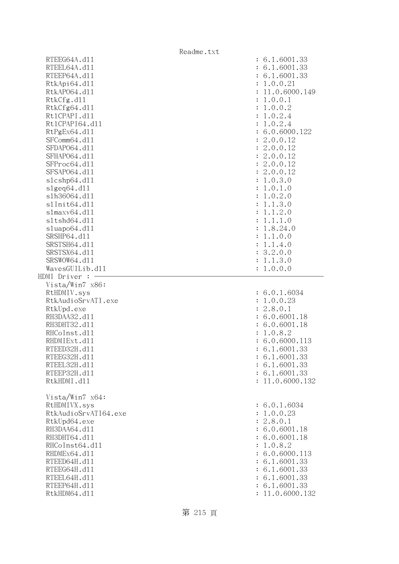|                      | Readme.txt                 |
|----------------------|----------------------------|
| RTEEG64A.d11         | : 6.1.6001.33              |
| RTEEL64A.d11         | : 6.1.6001.33              |
| RTEEP64A.d11         | : 6.1.6001.33              |
| RtkApi64.d11         | : 1.0.0.21                 |
| RtkAP064.d11         | : 11.0.6000.149            |
| RtkCfg.d11           | : 1.0.0.1                  |
| RtkCfg64.d11         | : 1.0.0.2                  |
| Rt1CPAPI.d11         | : 1.0.2.4                  |
| Rt1CPAPI64.d11       | : 1.0.2.4                  |
| RtPgEx64.d11         | : 6.0.6000.122             |
| SFComm64.d11         | : 2.0.0.12                 |
| SFDAP064.d11         | : 2.0.0.12                 |
| SFHAP064.d11         | : 2.0.0.12                 |
| SFProc64.d11         | : 2.0.0.12                 |
| SFSAP064.d11         | : 2.0.0.12                 |
| s1cshp64.d11         | : 1.0.3.0                  |
| s1geq64. d11         | : 1.0.1.0                  |
| s1h36064.d11         | 1.0.2.0<br>$\ddot{\cdot}$  |
| s1Init64.d11         | 1.1.3.0<br>$\ddot{\cdot}$  |
| slmaxv64.d11         | 1.1.2.0<br>$\ddot{\cdot}$  |
| s1tshd64.d11         | 1.1.1.0<br>$\ddot{\cdot}$  |
| sluapo64.d11         | 1.8.24.0<br>$\ddot{\cdot}$ |
| SRSHP64.d11          | 1.1.0.0<br>$\ddot{\cdot}$  |
| SRSTSH64.d11         | 1.1.4.0<br>$\ddot{\cdot}$  |
| SRSTSX64.d11         | : 3.2.0.0                  |
| SRSWOW64.d11         | 1.1.3.0<br>$\ddot{\cdot}$  |
| WavesGUILib.d11      | 1.0.0.0                    |
| HDMI Driver : -      |                            |
| Vista/Win7 x86:      |                            |
| RtHDMIV.sys          | : 6.0.1.6034               |
| RtkAudioSrvATI.exe   | : 1.0.0.23                 |
| RtkUpd.exe           | : 2.8.0.1                  |
| RH3DAA32.d11         | : 6.0.6001.18              |
| RH3DHT32.d11         | : 6.0.6001.18              |
| RHCoInst.d11         | 1.0.8.2                    |
| RHDMIExt.d11         | : 6.0.6000.113             |
| RTEED32H.d11         | : 6.1.6001.33              |
| RTEEG32H.d11         | : 6.1.6001.33              |
| RTEEL32H.d11         | : 6.1.6001.33              |
| RTEEP32H.d11         | : 6.1.6001.33              |
| RtkHDMI.d11          | : 11.0.6000.132            |
|                      |                            |
| Vista/Win7 x64:      |                            |
| RtHDMIVX.sys         | : 6.0.1.6034               |
| RtkAudioSrvATI64.exe | : 1.0.0.23                 |
| RtkUpd64.exe         | : 2.8.0.1                  |
| RH3DAA64.d11         | : 6.0.6001.18              |
| RH3DHT64.d11         | : 6.0.6001.18              |
| RHCoInst64.d11       | : 1.0.8.2                  |
| RHDMEx64.d11         | : 6.0.6000.113             |
| RTEED64H.d11         | : 6.1.6001.33              |
| RTEEG64H.d11         | : 6.1.6001.33              |
| RTEEL64H.d11         | : 6.1.6001.33              |
| RTEEP64H.d11         | : 6.1.6001.33              |
| RtkHDM64.d11         | 11.0.6000.132              |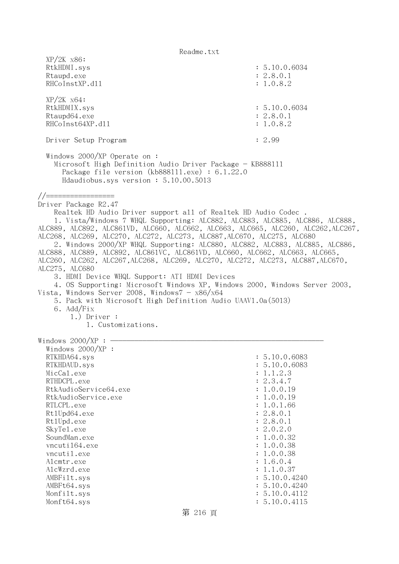| $XP/2K$ $x86$ :<br>RtkHDMI.sys<br>Rtaupd.exe<br>RHCoInstXP.d11                                                                                                                                                                                                                                                                                                                                                                                                                                                                                                                                                                                                                                                                                                                                                                                                                                                   | : 5.10.0.6034<br>: 2.8.0.1<br>: 1.0.8.2                                                                                                                                                                                                                                            |
|------------------------------------------------------------------------------------------------------------------------------------------------------------------------------------------------------------------------------------------------------------------------------------------------------------------------------------------------------------------------------------------------------------------------------------------------------------------------------------------------------------------------------------------------------------------------------------------------------------------------------------------------------------------------------------------------------------------------------------------------------------------------------------------------------------------------------------------------------------------------------------------------------------------|------------------------------------------------------------------------------------------------------------------------------------------------------------------------------------------------------------------------------------------------------------------------------------|
| $XP/2K$ $x64$ :<br>RtkHDMIX.sys<br>Rtaupd64.exe<br>RHCoInst64XP.d11                                                                                                                                                                                                                                                                                                                                                                                                                                                                                                                                                                                                                                                                                                                                                                                                                                              | : 5.10.0.6034<br>: 2.8.0.1<br>: 1.0.8.2                                                                                                                                                                                                                                            |
| Driver Setup Program                                                                                                                                                                                                                                                                                                                                                                                                                                                                                                                                                                                                                                                                                                                                                                                                                                                                                             | : 2.99                                                                                                                                                                                                                                                                             |
| Windows $2000/XP$ Operate on:<br>Microsoft High Definition Audio Driver Package - KB888111<br>Package file version $(kb888111.\text{exe}) : 6.1.22.0$<br>Hdaudiobus.sys version: 5.10.00.5013                                                                                                                                                                                                                                                                                                                                                                                                                                                                                                                                                                                                                                                                                                                    |                                                                                                                                                                                                                                                                                    |
| Driver Package R2.47<br>Realtek HD Audio Driver support all of Realtek HD Audio Codec.<br>1. Vista/Windows 7 WHQL Supporting: ALC882, ALC883, ALC885, ALC886, ALC888,<br>ALC889, ALC892, ALC861VD, ALC660, ALC662, ALC663, ALC665, ALC260, ALC262, ALC267,<br>ALC268, ALC269, ALC270, ALC272, ALC273, ALC887, ALC670, ALC275, ALC680<br>2. Windows 2000/XP WHQL Supporting: ALC880, ALC882, ALC883, ALC885, ALC886,<br>ALC888, ALC889, ALC892, ALC861VC, ALC861VD, ALC660, ALC662, ALC663, ALC665,<br>ALC260, ALC262, ALC267, ALC268, ALC269, ALC270, ALC272, ALC273, ALC887, ALC670,<br>ALC275, ALC680<br>3. HDMI Device WHQL Support: ATI HDMI Devices<br>4. OS Supporting: Microsoft Windows XP, Windows 2000, Windows Server 2003,<br>Vista, Windows Server 2008, Windows $7 - x86/x64$<br>5. Pack with Microsoft High Definition Audio UAAV1.0a(5013)<br>6. Add/Fix<br>$1.)$ Driver :<br>1. Customizations. |                                                                                                                                                                                                                                                                                    |
| Windows $2000/XP:$ -<br>Windows $2000/XP$ :<br>RTKHDA64.sys<br>RTKHDAUD.sys<br>MicCal.exe<br>RTHDCPL.exe<br>RtkAudioService64.exe<br>RtkAudioService.exe<br>RTLCPL.exe<br>Rt1Upd64.exe<br>Rt1Upd.exe<br>SkyTe1.exe<br>SoundMan.exe<br>vncuti164.exe<br>vncutil.exe<br>Alcmtr.exe<br>AlcWzrd.exe<br>AMBFilt.sys<br>AMBFt64.sys<br>Monfilt.sys<br>Monft64.sys                                                                                                                                                                                                                                                                                                                                                                                                                                                                                                                                                      | : 5.10.0.6083<br>: 5.10.0.6083<br>: 1.1.2.3<br>: 2.3.4.7<br>: 1.0.0.19<br>: 1.0.0.19<br>: 1.0.1.66<br>: 2.8.0.1<br>: 2.8.0.1<br>: 2.0.2.0<br>: 1.0.0.32<br>: 1.0.0.38<br>: 1.0.0.38<br>: 1.6.0.4<br>: 1.1.0.37<br>: 5.10.0.4240<br>: 5.10.0.4240<br>: 5.10.0.4112<br>: 5.10.0.4115 |

第 216 頁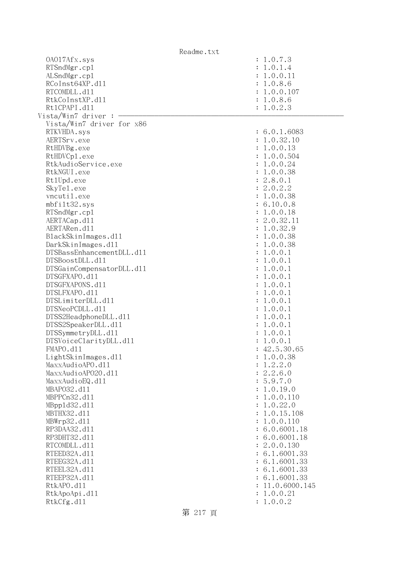|                           | Readme.txt                 |
|---------------------------|----------------------------|
| 0A017Afx.sys              | : 1.0.7.3                  |
| RTSndMgr.cp1              | : 1.0.1.4                  |
| ALSndMgr.cp1              | : 1.0.0.11                 |
| RCoInst64XP.d11           | : 1.0.8.6                  |
| RTCOMDLL.d11              | : 1.0.0.107                |
| RtkCoInstXP.d11           | : 1.0.8.6                  |
| Rt1CPAPI.d11              | : 1.0.2.3                  |
| Vista/Win7 driver :       |                            |
| Vista/Win7 driver for x86 |                            |
| RTKVHDA.sys               | : 6.0.1.6083               |
| AERTSrv.exe               | : 1.0.32.10                |
| RtHDVBg.exe               | : 1.0.0.13                 |
| RtHDVCp1.exe              | : 1.0.0.504                |
| RtkAudioService.exe       | : 1.0.0.24                 |
| RtkNGUI.exe               | : 1.0.0.38                 |
| Rt1Upd.exe                | : 2.8.0.1                  |
| SkyTe1.exe                | : 2.0.2.2                  |
| vncutil.exe               | 1.0.0.38<br>$\ddot{\cdot}$ |
| mbfilt32.sys              | : 6.10.0.8                 |
| RTSndMgr.cp1              | : 1.0.0.18                 |
| AERTACap.d11              | : 2.0.32.11                |
| AERTARen.d11              | 1.0.32.9<br>$\ddot{\cdot}$ |
| BlackSkinImages.dl1       | : 1.0.0.38                 |
| DarkSkinImages.d11        | 1.0.0.38<br>$\ddot{\cdot}$ |
| DTSBassEnhancementDLL.d11 | 1.0.0.1<br>$\ddot{\cdot}$  |
| DTSBoostDLL.d11           | 1.0.0.1<br>$\ddot{\cdot}$  |
| DTSGainCompensatorDLL.d11 | 1.0.0.1<br>$\ddot{\cdot}$  |
| DTSGFXAPO.d11             | 1.0.0.1<br>$\ddot{\cdot}$  |
| DTSGFXAPONS.d11           | 1.0.0.1<br>$\ddot{\cdot}$  |
| DTSLFXAPO.d11             | 1.0.0.1<br>$\ddot{\cdot}$  |
| DTSLimiterDLL.d11         | 1.0.0.1<br>$\ddot{\cdot}$  |
| DTSNeoPCDLL.d11           | 1.0.0.1<br>$\ddot{\cdot}$  |
| DTSS2HeadphoneDLL.d11     | 1.0.0.1<br>$\ddot{\cdot}$  |
| DTSS2SpeakerDLL.d11       | 1.0.0.1<br>$\ddot{\cdot}$  |
| DTSSymmetryDLL.d11        | 1.0.0.1                    |
| DTSVoiceClarityDLL.dl1    | 1.0.0.1                    |
| FMAPO.d11                 | : 42.5.30.65               |
| LightSkinImages.d11       | 1.0.0.38                   |
| MaxxAudioAPO.dll          | 1.2.2.0                    |
| MaxxAudioAP020.dll        | 2.2.6.0                    |
| MaxxAudioEQ.d11           | 5.9.7.0                    |
| MBAP032.d11               | 1.0.19.0                   |
| MBPPCn32.d11              | 1.0.0.110                  |
| MBpp1d32.d11              | 1.0.22.0                   |
| MBTHX32.d11               | 1.0.15.108                 |
| MBWrp32.d11               | 1.0.0.110                  |
| RP3DAA32.d11              | 6.0.6001.18                |
| RP3DHT32.d11              | 6.0.6001.18                |
| RTCOMDLL.d11              | 2.0.0.130                  |
| RTEED32A.d11              | 6.1.6001.33                |
| RTEEG32A.d11              | 6.1.6001.33                |
| RTEEL32A.d11              | 6.1.6001.33                |
| RTEEP32A.d11              | 6.1.6001.33                |
| RtkAPO.d11                | 11.0.6000.145              |
| RtkApoApi.d11             | 1.0.0.21                   |
| RtkCfg.d11                | 1.0.0.2                    |
|                           |                            |

第 217 頁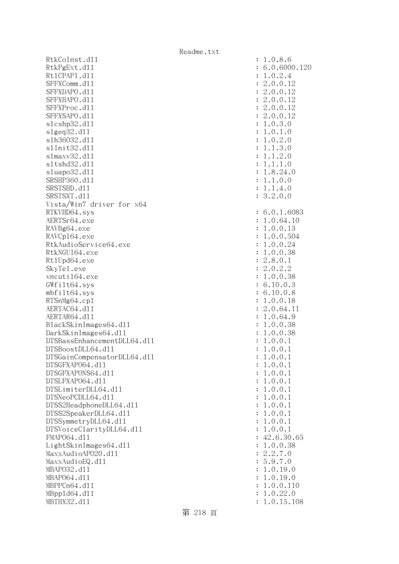RtkCoInst.d11 RtkPgExt.dl1 : 6.0.6000.120 Rt1CPAPI.d11 SFFXComm.dl1 SFFXDAPO.d11 SFFXHAPO.d11 SFFXProc.dl1 SFFXSAPO.d11 slcshp32.dl1 slgeq32.dl1 slh36032.dll s1Init32.d11 s1maxv32.d11 s1tshd32.d11 sluapo32.dl1 SRSHP360.d11 SRSTSHD.d11 SRSTSXT.d11 Vista/Win7 driver for x64 RTKVHD64.sys AERTSr64.exe RAVBg64.exe RAVCp164.exe RtkAudioService64.exe RtkNGUI64.exe Rt1Upd64.exe SkyTe1.exe vncuti164.exe  $GWfilt64.sys$  $mbfilt64.sys$ RTSnMg64.cp1 AERTAC64.dl1 AERTAR64.d11 BlackSkinImages64.dll DarkSkinImages64.dll DTSBassEnhancementDLL64.dl1 DTSBoostDLL64.dl1 DTSGainCompensatorDLL64.dll DTSGFXAPO64.dl1 DTSGFXAPONS64.dl1 DTSLFXAP064.dl1 DTSLimiterDLL64.dl1 DTSNeoPCDLL64.dl1 DTSS2HeadphoneDLL64.dl1 DTSS2SpeakerDLL64.dl1 DTSSymmetryDLL64.dl1 DTSVoiceClarityDLL64.dll FMAP064.d11  $LightSkinImages 64. d11$ MaxxAudioAPO20.dll MaxxAudioEQ.dll MBAP032.d11 MBAP064.d11 MBPPCn64.d11 MBpp1d64.dl1 MBTHX32.d11

| 1.0.8.6<br>$\ddot{\cdot}$<br>6.0.6000.12<br>$\ddot{\cdot}$<br>1.0.2.4<br>$\ddot{\cdot}$<br>2.0.0.12<br>$\ddot{\cdot}$<br>2.0.0.12<br>$\ddot{\cdot}$<br>2.0.0.<br>12<br>$\ddot{\cdot}$<br>2.0.0.<br>12<br>$\ddot{\cdot}$<br>2.0.0.12<br>$\ddot{\cdot}$<br>1.0.3.0<br>$\ddot{\cdot}$<br>1.0.1.<br>$\overline{O}$<br>$\ddot{\cdot}$<br>1.0.2.0<br>$\ddot{\cdot}$<br>1.1.3.0<br>$\ddot{\cdot}$<br>1.1.2.0<br>$\ddot{\cdot}$<br>1.1.1.0<br>$\ddot{\cdot}$<br>1.8.24.0<br>$\ddot{\cdot}$<br>1.1.0.0<br>$\ddot{\cdot}$<br>1.1.4.0<br>$\ddot{\cdot}$<br>3.2.0.0<br>$\vdots$<br>6.0.1.6083<br>$\ddot{\cdot}$<br>1.0.64.10<br>$\ddot{\cdot}$<br>1.0.0.13<br>$\ddot{\cdot}$<br>1.0.0.504<br>$\ddot{\cdot}$<br>1.0.0.24<br>$\ddot{\cdot}$<br>$\mathbf{1}$<br>.0.0.38<br>$\ddot{\cdot}$<br>2.8.0.1<br>$\ddot{\cdot}$<br>2.0.2.2<br>$\ddot{\cdot}$<br>1.0.0.38<br>$\ddot{\cdot}$<br>6.10.0.3<br>$\ddot{\cdot}$<br>6.10.0.8<br>$\ddot{\cdot}$<br>1.0.0.18<br>$\ddot{\cdot}$<br>2.0.64.11<br>$\ddot{\cdot}$<br>1.0.64.9<br>$\ddot{\cdot}$<br>1.0.0.38<br>$\ddot{\cdot}$<br>1.0.0.38<br>$\ddot{\cdot}$<br>$\ddot{\cdot}$<br>1.0.0.1<br>1.0.0.1<br>$\ddot{\cdot}$<br>.0.0.<br>$\mathbf{1}$<br>1<br>$\ddot{\cdot}$<br>.0.0<br>$\mathbf 1$<br>$\ddot{\phantom{0}}$<br>$\mathbf 1$<br>$\ddot{\cdot}$<br>.0.0.<br>$\mathbf 1$<br>$\mathbf{1}$<br>$\ddot{\cdot}$<br>.0.0.<br>$\mathbf 1$<br>1<br>$\ddot{\cdot}$<br>.0.0.<br>$\mathbf{1}$<br>1<br>$\ddot{\cdot}$ |
|------------------------------------------------------------------------------------------------------------------------------------------------------------------------------------------------------------------------------------------------------------------------------------------------------------------------------------------------------------------------------------------------------------------------------------------------------------------------------------------------------------------------------------------------------------------------------------------------------------------------------------------------------------------------------------------------------------------------------------------------------------------------------------------------------------------------------------------------------------------------------------------------------------------------------------------------------------------------------------------------------------------------------------------------------------------------------------------------------------------------------------------------------------------------------------------------------------------------------------------------------------------------------------------------------------------------------------------------------------------------------------------------------------------------------------------|
|                                                                                                                                                                                                                                                                                                                                                                                                                                                                                                                                                                                                                                                                                                                                                                                                                                                                                                                                                                                                                                                                                                                                                                                                                                                                                                                                                                                                                                          |
| .0.0.<br>$\mathbf{1}$<br>$\mathbf 1$<br>$\ddot{\cdot}$<br>.0.0.<br>$\mathbf 1$<br>$\mathbf 1$<br>$\ddot{\cdot}$<br>.0.0.<br>$\mathbf{1}$<br>$\mathbf{1}$<br>$\ddot{\cdot}$<br>$\mathbf{1}$<br>.0.0.<br>$\mathbf{1}$<br>$\ddot{\cdot}$<br>.0.0.<br>$\mathbf 1$<br>$\mathbf 1$<br>$\ddot{\cdot}$<br>42.6.30.<br>$\ddot{\cdot}$                                                                                                                                                                                                                                                                                                                                                                                                                                                                                                                                                                                                                                                                                                                                                                                                                                                                                                                                                                                                                                                                                                             |
| 0.0.38<br>$\ddot{\phantom{0}}$<br>$\ddot{\cdot}$<br>$\mathbf{1}$<br>$\overline{c}$<br>$.2.7.$<br>$.9.7.$<br>$\overline{O}$<br>$\ddot{\cdot}$<br>$\boldsymbol{.9}$ .<br>$\overline{O}$<br>$\frac{5}{1}$<br>$\ddot{\cdot}$<br>.0.19.0<br>$\ddot{\cdot}$<br>$\mathbf{1}$<br>.0.19.0<br>$\ddot{\cdot}$<br>$\mathbf{1}$<br>.0.0.1<br>$\ddot{\cdot}$<br>10<br>$\mathbf 1$<br>.0.22.<br>$\overline{O}$<br>$\ddot{\cdot}$<br>1.0.15.108<br>$\ddot{\cdot}$                                                                                                                                                                                                                                                                                                                                                                                                                                                                                                                                                                                                                                                                                                                                                                                                                                                                                                                                                                                        |

第 218 頁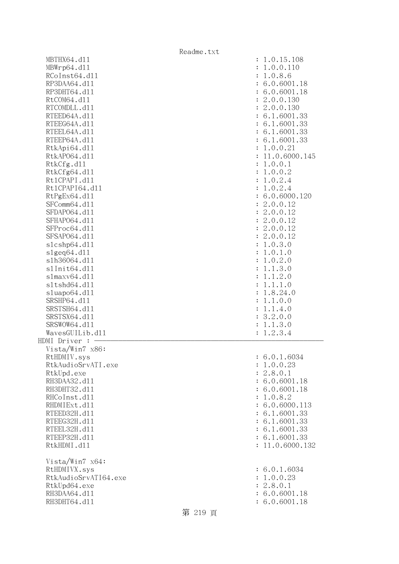|                                   | Readme.txt                  |
|-----------------------------------|-----------------------------|
| MBTHX64.d11                       | : 1.0.15.108                |
| MBWrp64.dl1                       | 1.0.0.110<br>$\ddot{\cdot}$ |
| RCoInst64.d11                     | 1.0.8.6<br>$\ddot{\cdot}$   |
| RP3DAA64.d11                      | : 6.0.6001.18               |
| RP3DHT64.d11                      | : 6.0.6001.18               |
| RtCOM64.d11                       | : 2.0.0.130                 |
| RTCOMDLL.d11                      | : 2.0.0.130                 |
| RTEED64A.d11                      | : 6.1.6001.33               |
| RTEEG64A.d11                      | : 6.1.6001.33               |
| RTEEL64A.d11                      | : 6.1.6001.33               |
| RTEEP64A.d11                      | : 6.1.6001.33               |
| RtkApi64.dl1                      | : 1.0.0.21                  |
| RtkAP064.d11                      | : 11.0.6000.145             |
| RtkCfg.d11                        | : 1.0.0.1                   |
| RtkCfg64.d11                      | : 1.0.0.2                   |
| Rt1CPAPI.d11                      | 1.0.2.4<br>$\ddot{\cdot}$   |
| Rt1CPAPI64.d11                    | 1.0.2.4<br>$\ddot{\cdot}$   |
| RtPgEx64.d11                      | : 6.0.6000.120              |
| SFComm64.d11                      | : 2.0.0.12                  |
| SFDAP064.d11                      | : 2.0.0.12                  |
| SFHAP064.d11                      | : 2.0.0.12                  |
| SFProc64.d11                      | : 2.0.0.12                  |
| SFSAP064.d11                      | : 2.0.0.12                  |
| s1cshp64.d11                      | 1.0.3.0<br>$\ddot{\cdot}$   |
| s1geq64. d11                      | 1.0.1.0<br>$\ddot{\cdot}$   |
| s1h36064.d11                      | 1.0.2.0<br>$\ddot{\cdot}$   |
| s1Init64.d11                      | 1.1.3.0<br>$\ddot{\cdot}$   |
| slmaxv64.d11                      | 1.1.2.0<br>$\ddot{\cdot}$   |
| s1tshd64.d11                      | 1.1.1.0<br>$\ddot{\cdot}$   |
| sluapo64.d11                      | 1.8.24.0<br>$\ddot{\cdot}$  |
| SRSHP64.d11                       | 1.1.0.0<br>$\ddot{\cdot}$   |
| SRSTSH64.d11                      | 1.1.4.0<br>$\ddot{\cdot}$   |
| SRSTSX64.d11                      | : 3.2.0.0                   |
| SRSWOW64.d11                      | 1.1.3.0<br>$\ddot{\cdot}$   |
| WavesGUILib.d11                   | 1.2.3.4<br>$\ddot{\cdot}$   |
| HDMI Driver :                     |                             |
| Vista/Win7 x86:                   |                             |
| RtHDMIV.sys<br>RtkAudioSrvATI.exe | : 6.0.1.6034<br>: 1.0.0.23  |
| RtkUpd.exe                        | : 2.8.0.1                   |
| RH3DAA32.d11                      | : 6.0.6001.18               |
| RH3DHT32.d11                      | : 6.0.6001.18               |
| RHCoInst.d11                      | : 1.0.8.2                   |
| RHDMIExt.d11                      | : 6.0.6000.113              |
| RTEED32H.d11                      | : 6.1.6001.33               |
| RTEEG32H.d11                      | : 6.1.6001.33               |
| RTEEL32H.d11                      | : 6.1.6001.33               |
| RTEEP32H.d11                      | : 6.1.6001.33               |
| RtkHDMI.d11                       | : 11.0.6000.132             |
| Vista/Win7 x64:                   |                             |
| RtHDMIVX.sys                      | : 6.0.1.6034                |
| RtkAudioSrvATI64.exe              | : 1.0.0.23                  |
| RtkUpd64.exe                      | : 2.8.0.1                   |
| RH3DAA64.d11                      | : 6.0.6001.18               |
| RH3DHT64.d11                      | : 6.0.6001.18               |
|                                   |                             |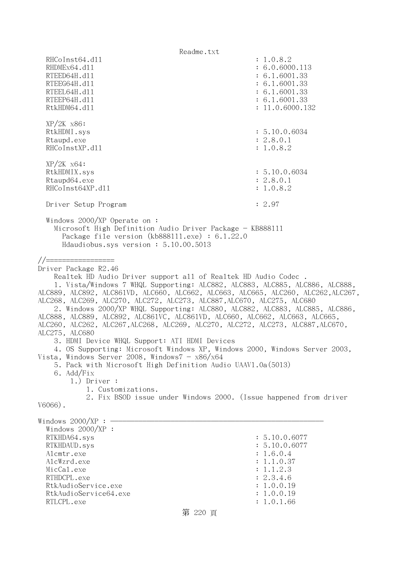Readme.txt RHCoInst64.d11 : 1.0.8.2 RHDMEx64.d11 : 6.0.6000.113 RTEED64H.d11 : 6.1.6001.33 RTEEG64H.d11 : 6.1.6001.33 RTEEL64H.d11 : 6.1.6001.33 RTEEP64H.dl1 : 6.1.6001.33 RtkHDM64.d11 : 11.0.6000.132 XP/2K x86: RtkHDMI.sys : 5.10.0.6034 Rtaupd.exe : 2.8.0.1 RHCoInstXP.d11 : 1.0.8.2 XP/2K x64: RtkHDMIX.sys : 5.10.0.6034 Rtaupd64.exe : 2.8.0.1 RHCoInst64XP.d11 : 1.0.8.2 Driver Setup Program : 2.97 Windows 2000/XP Operate on : Microsoft High Definition Audio Driver Package - KB888111 Package file version (kb888111.exe) : 6.1.22.0 Hdaudiobus.sys version : 5.10.00.5013 //================= Driver Package R2.46 Realtek HD Audio Driver support all of Realtek HD Audio Codec . 1. Vista/Windows 7 WHQL Supporting: ALC882, ALC883, ALC885, ALC886, ALC888, ALC889, ALC892, ALC861VD, ALC660, ALC662, ALC663, ALC665, ALC260, ALC262,ALC267, ALC268, ALC269, ALC270, ALC272, ALC273, ALC887,ALC670, ALC275, ALC680 2. Windows 2000/XP WHQL Supporting: ALC880, ALC882, ALC883, ALC885, ALC886, ALC888, ALC889, ALC892, ALC861VC, ALC861VD, ALC660, ALC662, ALC663, ALC665, ALC260, ALC262, ALC267,ALC268, ALC269, ALC270, ALC272, ALC273, ALC887,ALC670, ALC275, ALC680 3. HDMI Device WHQL Support: ATI HDMI Devices 4. OS Supporting: Microsoft Windows XP, Windows 2000, Windows Server 2003, Vista, Windows Server 2008, Windows $7 - x86/x64$  5. Pack with Microsoft High Definition Audio UAAV1.0a(5013) 6. Add/Fix 1.) Driver : 1. Customizations. 2. Fix BSOD issue under Windows 2000. (Issue happened from driver V6066). Windows  $2000/XP : -$  Windows 2000/XP : RTKHDA64.sys : 5.10.0.6077 RTKHDAUD.sys : 5.10.0.6077 Alcmtr.exe : 1.6.0.4 AlcWzrd.exe : 1.1.0.37 MicCal.exe : 1.1.2.3 RTHDCPL.exe : 2.3.4.6 RtkAudioService.exe : 1.0.0.19 RtkAudioService64.exe : 1.0.0.19 RTLCPL.exe : 1.0.1.66 第 220 頁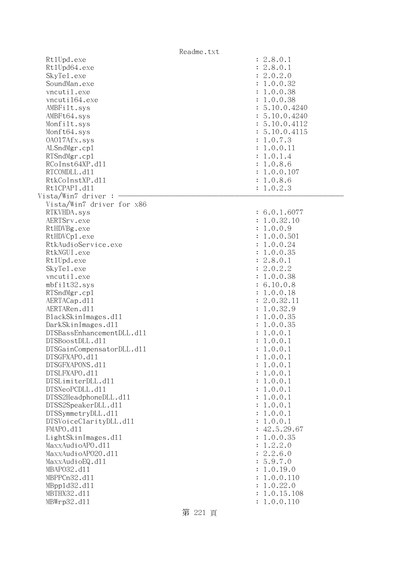|                                  | Readme.txt             |
|----------------------------------|------------------------|
| Rt1Upd.exe                       | : 2.8.0.1              |
| Rt1Upd64.exe                     | : 2.8.0.1              |
| SkyTe1.exe                       | : 2.0.2.0              |
| SoundMan.exe                     | : 1.0.0.32             |
| vncutil.exe                      | : 1.0.0.38             |
| vncuti164.exe                    | : 1.0.0.38             |
| AMBFilt.sys                      | : 5.10.0.4240          |
| AMBFt64.sys                      | : 5.10.0.4240          |
| Monfilt.sys                      | : 5.10.0.4112          |
| Monft64.sys                      | : 5.10.0.4115          |
| 0A017Afx.sys                     | : 1.0.7.3              |
| ALSndMgr.cp1                     | : 1.0.0.11             |
| RTSndMgr.cp1                     | : 1.0.1.4              |
| RCoInst64XP.d11                  | : 1.0.8.6              |
| RTCOMDLL.d11                     | : 1.0.0.107            |
| RtkCoInstXP.d11                  | : 1.0.8.6              |
| Rt1CPAPI.d11                     | : 1.0.2.3              |
| Vista/Win7 driver :              |                        |
| Vista/Win7 driver for x86        |                        |
| RTKVHDA.sys                      | : 6.0.1.6077           |
| AERTSrv.exe                      | : 1.0.32.10            |
| RtHDVBg.exe                      | : 1.0.0.9              |
| RtHDVCp1.exe                     | : 1.0.0.501            |
| RtkAudioService.exe              | : 1.0.0.24             |
| RtkNGUI.exe                      | : 1.0.0.35             |
| Rt1Upd.exe                       | : 2.8.0.1              |
| SkyTe1.exe                       | : 2.0.2.2              |
| vncutil.exe                      | : 1.0.0.38             |
| mbfilt32.sys                     | : 6.10.0.8             |
| RTSndMgr.cp1                     | : 1.0.0.18             |
| AERTACap.d11                     | : 2.0.32.11            |
| AERTARen.d11                     | : 1.0.32.9             |
| BlackSkinImages.d11              | : 1.0.0.35             |
| DarkSkinImages.d11               | : 1.0.0.35             |
| DTSBassEnhancementDLL.d11        | : 1.0.0.1              |
| DTSBoostDLL.d11                  | : 1.0.0.1              |
| DTSGainCompensatorDLL.d11        | : 1.0.0.1              |
| DTSGFXAPO.d11                    | : 1.0.0.1              |
| DTSGFXAPONS.d11<br>DTSLFXAPO.d11 | : 1.0.0.1              |
| DTSLimiterDLL.d11                | : 1.0.0.1<br>: 1.0.0.1 |
| DTSNeoPCDLL.d11                  | : 1.0.0.1              |
| DTSS2HeadphoneDLL.d11            | : 1.0.0.1              |
| DTSS2SpeakerDLL.d11              | : 1.0.0.1              |
| DTSSymmetryDLL.d11               | : 1.0.0.1              |
| DTSVoiceClarityDLL.dl1           | : 1.0.0.1              |
| FMAPO.d11                        | : 42.5.29.67           |
| LightSkinImages.d11              | : 1.0.0.35             |
| MaxxAudioAPO.dll                 | : 1.2.2.0              |
| MaxxAudioAP020.dll               | : 2.2.6.0              |
| MaxxAudioEQ.d11                  | : 5.9.7.0              |
| MBAP032.d11                      | : 1.0.19.0             |
| MBPPCn32.d11                     | : 1.0.0.110            |
| MBpp1d32.d11                     | : 1.0.22.0             |
| MBTHX32.d11                      | : 1.0.15.108           |
| MBWrp32.d11                      | : 1.0.0.110            |
|                                  |                        |

# 第 221 頁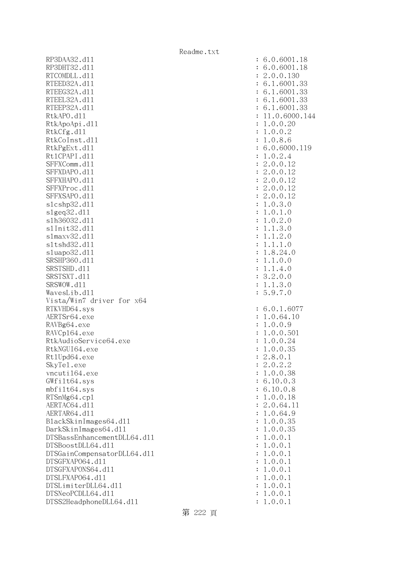RP3DAA32.d11 : 6.0.6001.18 RP3DHT32.d11 : 6.0.6001.18 RTCOMDLL.d11 : 2.0.0.130 RTEED32A.d11 : 6.1.6001.33 RTEEG32A.d11 : 6.1.6001.33 RTEEL32A.d11 : 6.1.6001.33 RTEEP32A.d11 : 6.1.6001.33 RtkAPO.d11 : 11.0.6000.144 RtkApoApi.dl1 : 1.0.0.20 : 1.0.0.20 RtkCfg.dl1 : 1.0.0.2 RtkCoInst.dll : 1.0.8.6 RtkPgExt.dll : 6.0.6000.119 Rt1CPAPI.d11 : 1.0.2.4 SFFXComm.d11 : 2.0.0.12 SFFXDAPO.d11 : 2.0.0.12 SFFXHAPO.d11 : 2.0.0.12 SFFXProc.d11 : 2.0.0.12 SFFXSAPO.d11 : 2.0.0.12 slcshp32.dll : 1.0.3.0 slgeq32.dll : 1.0.1.0 slh36032.dll : 1.0.2.0 slInit32.dll : 1.1.3.0 slmaxv32.dll : 1.1.2.0 sltshd32.dl1 : 1.1.1.0 sluapo32.dl1 : 1.8.24.0 SRSHP360.dll : 1.1.0.0 SRSTSHD.d11 : 1.1.4.0 SRSTSXT.d11 : 3.2.0.0 SRSWOW.dll : 1.1.3.0 WavesLib.dll : 5.9.7.0 Vista/Win7 driver for x64 RTKVHD64.sys : 6.0.1.6077 AERTSr64.exe : 1.0.64.10 RAVBg64.exe : 1.0.0.9 RAVCp164.exe : 1.0.0.501 RtkAudioService64.exe : 1.0.0.24 RtkNGUI64.exe : 1.0.0.35 Rt1Upd64.exe : 2.8.0.1 SkyTel.exe : 2.0.2.2 vncuti164.exe : 1.0.0.38 GWfilt64.sys : 6.10.0.3 mbfilt64.sys : 6.10.0.8 RTSnMg64.cpl : 1.0.0.18 AERTAC64.d11 : 2.0.64.11 AERTAR64.d11 : 1.0.64.9 BlackSkinImages64.dll : 1.0.0.35 DarkSkinImages64.dll : 1.0.0.35 DTSBassEnhancementDLL64.dll : 1.0.0.1  $DTSBoostDLL64. d11$  :  $1.0.0.1$ DTSGainCompensatorDLL64.dll : 1.0.0.1 DTSGFXAP064.dll : 1.0.0.1 DTSGFXAPONS64.dll : 1.0.0.1 DTSLFXAPO64.dll : 1.0.0.1 DTSLimiterDLL64.dll : 1.0.0.1 DTSNeoPCDLL64.dll : 1.0.0.1 DTSS2HeadphoneDLL64.dl1 : 1.0.0.1

#### 第 222 頁

Readme.txt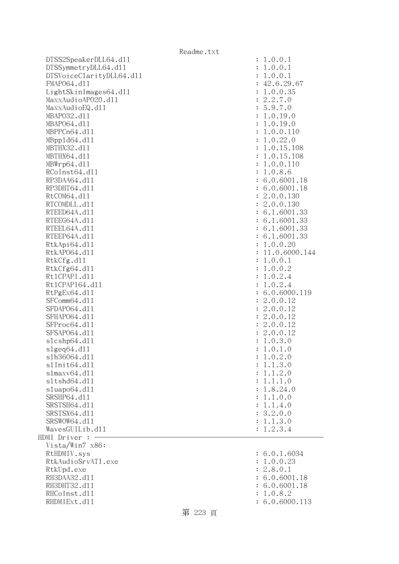| Readme.txt |  |  |
|------------|--|--|
|------------|--|--|

| DTSS2SpeakerDLL64.d11    | : 1.0.0.1                    |
|--------------------------|------------------------------|
| DTSSymmetryDLL64.d11     | 1.0.0.1                      |
| DTSVoiceClarityDLL64.dl1 | 1.0.0.1                      |
| FMAP064.d11              | : 42.6.29.67                 |
| LightSkinImages64.dl1    | : 1.0.0.35                   |
| MaxxAudioAP020.dll       | : 2.2.7.0                    |
| MaxxAudioEQ.d11          | : 5.9.7.0                    |
| MBAP032.d11              | 1.0.19.0<br>$\ddot{\cdot}$   |
| MBAP064.d11              | 1.0.19.0                     |
| MBPPCn64.d11             | 1.0.0.110                    |
| MBpp1d64.d11             | 1.0.22.0<br>$\ddot{\cdot}$   |
| MBTHX32.d11              | 1.0.15.108<br>$\ddot{\cdot}$ |
| MBTHX64.d11              | 1.0.15.108                   |
| MBWrp64.dl1              | 1.0.0.110                    |
| RCoInst64.d11            | 1.0.8.6<br>÷                 |
| RP3DAA64.d11             | : 6.0.6001.18                |
| RP3DHT64.d11             | : 6.0.6001.18                |
|                          |                              |
| RtCOM64.d11              | : 2.0.0.130                  |
| RTCOMDLL.d11             | : 2.0.0.130                  |
| RTEED64A.d11             | : 6.1.6001.33                |
| RTEEG64A.d11             | : 6.1.6001.33                |
| RTEEL64A.d11             | : 6.1.6001.33                |
| RTEEP64A.d11             | : 6.1.6001.33                |
| RtkApi64.dl1             | 1.0.0.20                     |
| RtkAP064.d11             | 11.0.6000.144                |
| RtkCfg.d11               | 1.0.0.1<br>$\ddot{\cdot}$    |
| RtkCfg64.d11             | 1.0.0.2<br>$\ddot{\cdot}$    |
| Rt1CPAPI.d11             | 1.0.2.4<br>$\ddot{\cdot}$    |
| Rt1CPAPI64.d11           | 1.0.2.4<br>$\ddot{\cdot}$    |
| RtPgEx64.d11             | : 6.0.6000.119               |
| SFComm64.d11             | 2.0.0.12<br>÷                |
| SFDAP064.d11             | 2.0.0.12<br>$\ddot{\cdot}$   |
| SFHAP064.d11             | 2.0.0.12<br>÷                |
| SFProc64.d11             | : 2.0.0.12                   |
| SFSAP064.d11             | : 2.0.0.12                   |
| s1cshp64.d11             | 1.0.3.0<br>$\ddot{\cdot}$    |
| slgeq64. d11             | 1.0.1.0<br>$\ddot{\cdot}$    |
| s1h36064.d11             | 1.0.2.0                      |
| slInit64.dl1             | 1.1.3.0                      |
| slmaxv64.d11             | 1.1.2.0                      |
| s1tshd64.d11             | 1.1.1.0                      |
| sluapo64.d11             | 1.8.24.0                     |
| SRSHP64.d11              | 1.1.0.0                      |
| SRSTSH64.d11             | 1.1.4.0                      |
| SRSTSX64.d11             | 3.2.0.0<br>$\ddot{\cdot}$    |
| SRSWOW64.d11             | 1.1.3.0<br>$\ddot{\cdot}$    |
| WavesGUILib.d11          | 1.2.3.4                      |
| HDMI Driver :            |                              |
| Vista/Win7 x86:          |                              |
| RtHDMIV.sys              | : 6.0.1.6034                 |
| RtkAudioSrvATI.exe       | 1.0.0.23                     |
| RtkUpd.exe               | 2.8.0.1<br>$\ddot{\cdot}$    |
| RH3DAA32.d11             | 6.0.6001.18                  |
| RH3DHT32.d11             | 6.0.6001.18                  |
| RHCoInst.d11             | 1.0.8.2                      |
| RHDMIExt.d11             | 6.0.6000.113                 |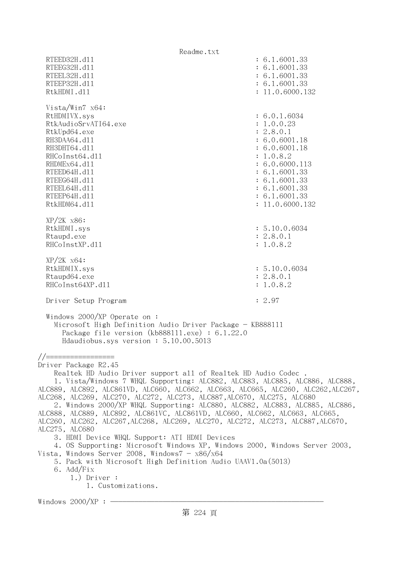Readme.txt RTEED32H.d11 : 6.1.6001.33 RTEEG32H.d11 : 6.1.6001.33 RTEEL32H.d11 : 6.1.6001.33 RTEEP32H.d11 : 6.1.6001.33 RtkHDMI.d11 : 11.0.6000.132 Vista/Win7 x64: RtHDMIVX.sys : 6.0.1.6034 RtkAudioSrvATI64.exe : 1.0.0.23 RtkUpd64.exe : 2.8.0.1 RH3DAA64.d11 : 6.0.6001.18 RH3DHT64.d11 : 6.0.6001.18 RHCoInst64.d11 : 1.0.8.2 RHDMEx64.d11 : 6.0.6000.113 RTEED64H.d11 : 6.1.6001.33 RTEEG64H.dl1 : 6.1.6001.33 RTEEL64H.d11 : 6.1.6001.33 RTEEP64H.d11 : 6.1.6001.33 RtkHDM64.d11 : 11.0.6000.132 XP/2K x86: RtkHDMI.sys : 5.10.0.6034 Rtaupd.exe : 2.8.0.1 RHCoInstXP.d11 : 1.0.8.2 XP/2K x64: RtkHDMIX.sys : 5.10.0.6034 Rtaupd64.exe : 2.8.0.1 RHCoInst64XP.d11 : 1.0.8.2 Driver Setup Program : 2.97 Windows 2000/XP Operate on : Microsoft High Definition Audio Driver Package - KB888111 Package file version (kb888111.exe) : 6.1.22.0 Hdaudiobus.sys version : 5.10.00.5013 //================= Driver Package R2.45 Realtek HD Audio Driver support all of Realtek HD Audio Codec . 1. Vista/Windows 7 WHQL Supporting: ALC882, ALC883, ALC885, ALC886, ALC888, ALC889, ALC892, ALC861VD, ALC660, ALC662, ALC663, ALC665, ALC260, ALC262,ALC267, ALC268, ALC269, ALC270, ALC272, ALC273, ALC887,ALC670, ALC275, ALC680 2. Windows 2000/XP WHQL Supporting: ALC880, ALC882, ALC883, ALC885, ALC886, ALC888, ALC889, ALC892, ALC861VC, ALC861VD, ALC660, ALC662, ALC663, ALC665, ALC260, ALC262, ALC267,ALC268, ALC269, ALC270, ALC272, ALC273, ALC887,ALC670, ALC275, ALC680 3. HDMI Device WHQL Support: ATI HDMI Devices 4. OS Supporting: Microsoft Windows XP, Windows 2000, Windows Server 2003, Vista, Windows Server 2008, Windows $7 - x86/x64$  5. Pack with Microsoft High Definition Audio UAAV1.0a(5013) 6. Add/Fix 1.) Driver : 1. Customizations. Windows  $2000/XP :$  -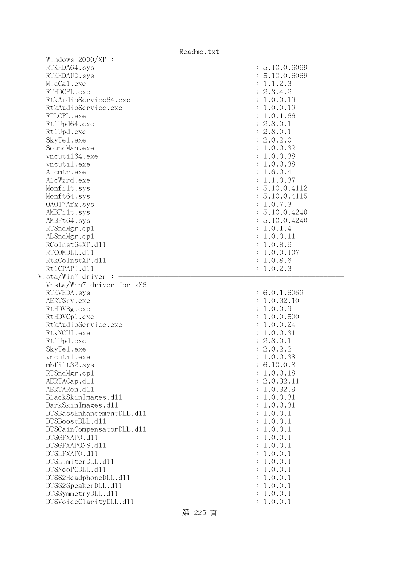| Windows $2000/XP$ :                          |                    |
|----------------------------------------------|--------------------|
| RTKHDA64.sys                                 | : 5.10.0.6069      |
| RTKHDAUD.sys                                 | : 5.10.0.6069      |
| MicCal.exe                                   | : 1.1.2.3          |
| RTHDCPL.exe                                  | : 2.3.4.2          |
| RtkAudioService64.exe                        | : 1.0.0.19         |
| RtkAudioService.exe                          | : 1.0.0.19         |
| RTLCPL.exe                                   | : 1.0.1.66         |
|                                              |                    |
| Rt1Upd64.exe                                 | : 2.8.0.1          |
| Rt1Upd.exe                                   | : 2.8.0.1          |
| SkyTe1.exe                                   | : 2.0.2.0          |
| SoundMan.exe                                 | : 1.0.0.32         |
| vncuti164.exe                                | : 1.0.0.38         |
| vncutil.exe                                  | : 1.0.0.38         |
| Alcmtr.exe                                   | : 1.6.0.4          |
| AlcWzrd.exe                                  | : 1.1.0.37         |
| Monfilt.sys                                  | : 5.10.0.4112      |
| Monft64.sys                                  | : 5.10.0.4115      |
| 0A017Afx.sys                                 | : 1.0.7.3          |
| AMBFilt.sys                                  | : 5.10.0.4240      |
| AMBFt64.sys                                  | : 5.10.0.4240      |
| RTSndMgr.cp1                                 | : 1.0.1.4          |
|                                              |                    |
| ALSndMgr.cp1                                 | : 1.0.0.11         |
| RCoInst64XP.d11                              | : 1.0.8.6          |
| RTCOMDLL.d11                                 | : 1.0.0.107        |
| RtkCoInstXP.d11                              | : 1.0.8.6          |
| Rt1CPAPI.d11                                 | : 1.0.2.3          |
|                                              |                    |
| Vista/Win7 driver :                          |                    |
| Vista/Win7 driver for x86                    |                    |
| RTKVHDA.sys                                  | : 6.0.1.6069       |
| AERTSrv.exe                                  |                    |
|                                              | : 1.0.32.10        |
| RtHDVBg.exe                                  | : 1.0.0.9          |
| RtHDVCp1.exe                                 | : 1.0.0.500        |
| RtkAudioService.exe                          | : 1.0.0.24         |
| RtkNGUI.exe                                  | : 1.0.0.31         |
| Rt1Upd.exe                                   | : 2.8.0.1          |
| SkyTe1.exe                                   | : 2.0.2.2          |
| vncutil.exe                                  | 1.0.0.38           |
| $mbf$ ilt $32$ .sys                          | 6.10.0.8           |
| RTSndMgr.cp1                                 | 1.0.0.18           |
| AERTACap.d11                                 | 2.0.32.11          |
| AERTARen.d11                                 | 1.0.32.9           |
| BlackSkinImages.dl1                          | 1.0.0.31           |
| DarkSkinImages.d11                           | 1.0.0.31           |
| DTSBassEnhancementDLL.d11                    | 1.0.0.1            |
| DTSBoostDLL.d11                              | 1.0.0.1            |
| DTSGainCompensatorDLL.d11                    | 1.0.0.1            |
| DTSGFXAPO.d11                                |                    |
|                                              | 1.0.0.1            |
| DTSGFXAPONS.d11                              | 1.0.0.1            |
| DTSLFXAPO.d11                                | 1.0.0.1            |
| DTSLimiterDLL.d11                            | 1.0.0.1            |
| DTSNeoPCDLL.d11                              | 1.0.0.1            |
| DTSS2HeadphoneDLL.d11                        | 1.0.0.1            |
| DTSS2SpeakerDLL.d11                          | 1.0.0.1            |
| DTSSymmetryDLL.d11<br>DTSVoiceClarityDLL.d11 | 1.0.0.1<br>1.0.0.1 |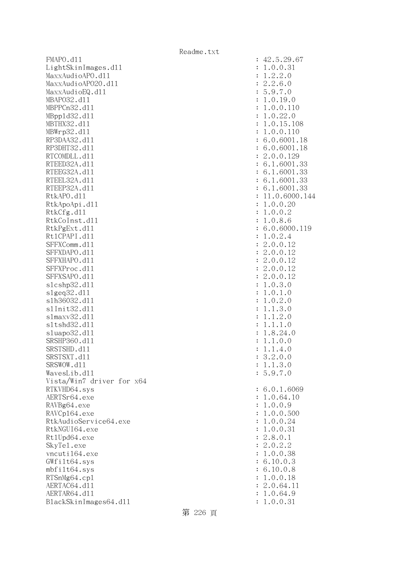FMAPO.d11 : 42.5.29.67 LightSkinImages.dll : 1.0.0.31 MaxxAudioAPO.dll : 1.2.2.0 MaxxAudioAPO20.dll : 2.2.6.0 MaxxAudioEQ.dl1 : 5.9.7.0 MBAPO32.dll : 1.0.19.0 MBPPCn32.d11 : 1.0.0.110 MBppld32.dll : 1.0.22.0 MBTHX32.d11 : 1.0.15.108 MBWrp32.dll : 1.0.0.110 RP3DAA32.d11 : 6.0.6001.18 RP3DHT32.d11 : 6.0.6001.18 RTCOMDLL.d11 : 2.0.0.129 RTEED32A.d11 : 6.1.6001.33 RTEEG32A.d11 : 6.1.6001.33 RTEEL32A.d11 : 6.1.6001.33 RTEEP32A.d11 : 6.1.6001.33 RtkAPO.d11 : 11.0.6000.144 RtkApoApi.dl1 : 1.0.0.20 : 1.0.0.20 RtkCfg.dl1 : 1.0.0.2 RtkCoInst.dll : 1.0.8.6 RtkPgExt.d11 : 6.0.6000.119 Rt1CPAPI.d11 : 1.0.2.4 SFFXComm.d11 : 2.0.0.12 SFFXDAPO.d11 : 2.0.0.12 SFFXHAPO.d11 : 2.0.0.12 SFFXProc.d11 : 2.0.0.12 SFFXSAPO.d11 : 2.0.0.12 slcshp32.dl1 : 1.0.3.0 slgeq32.dll : 1.0.1.0 slh36032.dll : 1.0.2.0 slInit32.dll : 1.1.3.0 slmaxv32.dll : 1.1.2.0 sltshd32.dll : 1.1.1.0 sluapo32.dl1 : 1.8.24.0 SRSHP360.d11 : 1.1.0.0 SRSTSHD.d11 : 1.1.4.0 SRSTSXT.d11 : 3.2.0.0 SRSWOW.dll : 1.1.3.0 WavesLib.dll : 5.9.7.0 Vista/Win7 driver for x64 RTKVHD64.sys : 6.0.1.6069 AERTSr64.exe : 1.0.64.10 RAVBg64.exe : 1.0.0.9 RAVCp164.exe : 1.0.0.500 RtkAudioService64.exe : 1.0.0.24 RtkNGUI64.exe : 1.0.0.31 Rt1Upd64.exe : 2.8.0.1 SkyTel.exe : 2.0.2.2 vncuti164.exe : 1.0.0.38 GWfilt64.sys : 6.10.0.3 mbfilt64.sys : 6.10.0.8 RTSnMg64.cpl : 1.0.0.18 AERTAC64.d11 : 2.0.64.11 AERTAR64.d11 : 1.0.64.9 BlackSkinImages64.dl1 : 1.0.0.31 : 1.0.0.31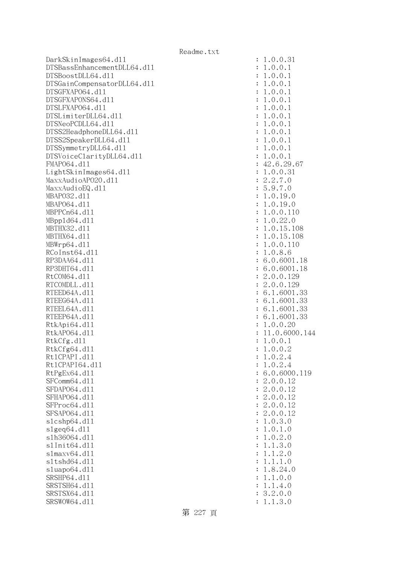DarkSkinImages64.dll : 1.0.0.31 DTSBassEnhancementDLL64.dl1 DTSBoostDLL64.dl1 DTSGainCompensatorDLL64.dl1 DTSGFXAPO64.dl1 DTSGFXAPONS64.dl1 DTSLFXAP064.d11 DTSLimiterDLL64.dl1 DTSNeoPCDLL64.dl1 DTSS2HeadphoneDLL64.d11 DTSS2SpeakerDLL64.dl1 DTSSymmetryDLL64.dl1 DTSVoiceClarityDLL64.dl1 FMAP064.d11 LightSkinImages64.dll MaxxAudioAPO20.dll MaxxAudioEQ.dll MBAP032.d11 MBAP064.dl1 MBPPCn64.d11 MBpp1d64.dl1 MBTHX32.d11 MBTHX64.d11 MBWrp64.dl1 RCoInst64.dl1 RP3DAA64.d11 RP3DHT64.d11 RtCOM64.d11 RTCOMDLL.d11 RTEED64A.dl1 RTEEG64A.d11 RTEEL64A.d11 RTEEP64A.d11 RtkApi64.dll RtkAP064.dl1 : 11.0.6000.144 RtkCfg.dl1 RtkCfg64.dl1 Rt1CPAPI.d11 Rt1CPAPI64.dl1 RtPgEx64.dl1 SFComm64.dl1 SFDAP064.dl1 SFHAP064.d11 SFProc64.d11 SFSAP064.dl1 slcshp64.dll  $slgeq64$ .dll s1h36064.dl1 s1Init64.d11 s1maxv64.d11 s1tshd64.d11  $sluapo64.d11$ SRSHP64.d11 SRSTSH64.d11 SRSTSX64.d11 SRSWOW64.d11 : 1.1.3.0

| $\ddot{\cdot}$ | T<br>.0.0.31                                       |
|----------------|----------------------------------------------------|
| $\ddot{\cdot}$ | .0.0.1<br>1                                        |
| $\ddot{\cdot}$ | .0.0.1<br>1                                        |
| $\ddot{\cdot}$ | .0.0.1<br>1                                        |
| $\ddot{\cdot}$ | .0.0.1<br>1                                        |
| $\ddot{\cdot}$ | .0.0.1<br>1                                        |
|                | .0.0.1<br>1                                        |
|                | .0.0.1<br>1                                        |
|                |                                                    |
|                | .0.0.1<br>1                                        |
|                | .0.0.1<br>1                                        |
| .              | .0.0.1<br>1                                        |
|                | .0.0.1<br>1                                        |
| $\ddot{\cdot}$ | .0.0.1<br>1                                        |
| $\ddot{\cdot}$ | 42.6.29.67                                         |
| $\vdots$       | .0.0.31<br>1                                       |
| $\ddot{\cdot}$ | 2.2.7.0                                            |
|                | 5.9.7.0                                            |
|                | 1.0.19.0                                           |
|                | .0.19.0<br>$\mathbf 1$                             |
|                | .0.0.110<br>1                                      |
|                | .0.22.<br>1<br>$\mathcal{O}$                       |
|                | .0.15.108<br>1                                     |
|                | .0.15.108<br>1                                     |
|                | .0.0.110<br>$\mathbf 1$                            |
|                | .0.8.6<br>$\mathbf 1$                              |
|                | 6.0.6001.18                                        |
| $\vdots$       |                                                    |
|                | 6.0.6001.18                                        |
| $\vdots$       | 2.0.0.129                                          |
| $\vdots$       | 2.0.0.129                                          |
|                | 6.1.6001.33                                        |
| $\vdots$       | 6.<br>1.6001.33                                    |
| $\vdots$       | 1.6001.33<br>6.                                    |
| $\vdots$       | 6.1.6001.33                                        |
|                | 0.0.20<br>1.                                       |
|                | 11.0.6000.14                                       |
|                | .0.0.1<br>$\mathbf 1$                              |
| :: :: :: ::    | .0.0.2<br>$\mathbf 1$                              |
| $\vdots$       | 1.0.2<br>$\cdot$ 4                                 |
| $\ddot{\cdot}$ | .0.2.4<br>1                                        |
| $\ddot{\cdot}$ | 6.0.6000.119                                       |
| $\ddot{\cdot}$ | 2.0.0.12                                           |
| $\ddot{\cdot}$ | 2.0.0.12                                           |
| $\ddot{\cdot}$ | 2.0.0.<br>12                                       |
| $\ddot{\cdot}$ | 2.0.0.<br>12                                       |
| $\ddot{\cdot}$ | 2.0.0.12                                           |
| $\vdots$       | .0.3.0<br>1                                        |
| $\vdots$       | 0.1.                                               |
|                | 1<br>$\ddot{\phantom{0}}$<br>$\mathcal{O}$         |
| $\ddot{\cdot}$ | 0.2.<br>1<br>$\ddot{\phantom{0}}$<br>$\mathcal{O}$ |
| $\vdots$       | 3.0<br>1.<br>1                                     |
| $\vdots$       | 1.2.0<br>1                                         |
| $\vdots$       | .1.0<br>1<br>1                                     |
| $\vdots$       | 8.24.0<br>1                                        |
| $\ddot{\cdot}$ | 1.0.0<br>1<br>$\ddot{\phantom{0}}$                 |
| $\ddot{\cdot}$ | .1.4.0<br>1                                        |
| $\ddot{\cdot}$ | 2.0.0<br>3.                                        |
|                |                                                    |

第 227 頁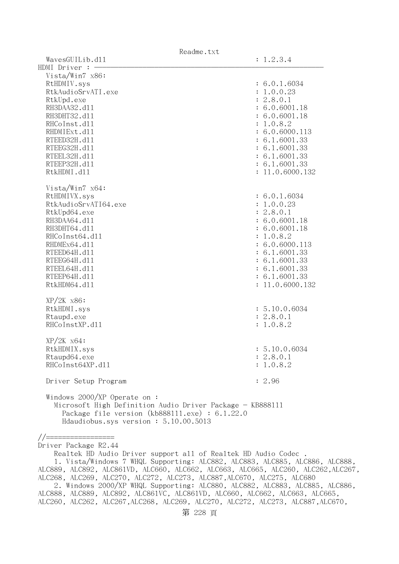|                                                                                                                                                                                             | Readme.txt      |
|---------------------------------------------------------------------------------------------------------------------------------------------------------------------------------------------|-----------------|
| WavesGUILib.d11                                                                                                                                                                             | : 1.2.3.4       |
| HDMI Driver :                                                                                                                                                                               |                 |
| Vista/Win7 x86:                                                                                                                                                                             |                 |
| RtHDMIV.sys                                                                                                                                                                                 | : 6.0.1.6034    |
| RtkAudioSrvATI.exe                                                                                                                                                                          | : 1.0.0.23      |
| RtkUpd.exe                                                                                                                                                                                  | : 2.8.0.1       |
| RH3DAA32.d11                                                                                                                                                                                | : 6.0.6001.18   |
| RH3DHT32.d11                                                                                                                                                                                | : 6.0.6001.18   |
| RHCoInst.d11                                                                                                                                                                                | : 1.0.8.2       |
| RHDMIExt.d11                                                                                                                                                                                | : 6.0.6000.113  |
| RTEED32H.d11                                                                                                                                                                                | : 6.1.6001.33   |
| RTEEG32H.d11                                                                                                                                                                                | : 6.1.6001.33   |
| RTEEL32H.d11                                                                                                                                                                                | : 6.1.6001.33   |
| RTEEP32H.d11                                                                                                                                                                                | : 6.1.6001.33   |
| RtkHDMI.d11                                                                                                                                                                                 | : 11.0.6000.132 |
|                                                                                                                                                                                             |                 |
| Vista/Win7 $x64$ :                                                                                                                                                                          |                 |
| RtHDMIVX.sys                                                                                                                                                                                | : 6.0.1.6034    |
| RtkAudioSrvATI64.exe                                                                                                                                                                        | : 1.0.0.23      |
| RtkUpd64.exe                                                                                                                                                                                | : 2.8.0.1       |
| RH3DAA64.d11                                                                                                                                                                                | : 6.0.6001.18   |
| RH3DHT64.d11                                                                                                                                                                                | : 6.0.6001.18   |
|                                                                                                                                                                                             |                 |
| RHCoInst64.d11                                                                                                                                                                              | : 1.0.8.2       |
| RHDMEx64.d11                                                                                                                                                                                | : 6.0.6000.113  |
| RTEED64H.d11                                                                                                                                                                                | : 6.1.6001.33   |
| RTEEG64H.d11                                                                                                                                                                                | : 6.1.6001.33   |
| RTEEL64H.d11                                                                                                                                                                                | : 6.1.6001.33   |
| RTEEP64H.d11                                                                                                                                                                                | : 6.1.6001.33   |
| RtkHDM64.d11                                                                                                                                                                                | : 11.0.6000.132 |
|                                                                                                                                                                                             |                 |
| $XP/2K$ $x86$ :                                                                                                                                                                             |                 |
| RtkHDMI.sys                                                                                                                                                                                 | : 5.10.0.6034   |
| Rtaupd.exe                                                                                                                                                                                  | : 2.8.0.1       |
| RHCoInstXP.d11                                                                                                                                                                              | : 1.0.8.2       |
| $XP/ZK$ $x64$ :                                                                                                                                                                             |                 |
| RtkHDMIX.sys                                                                                                                                                                                | : 5.10.0.6034   |
| Rtaupd64.exe                                                                                                                                                                                | : 2.8.0.1       |
| RHCoInst64XP.d11                                                                                                                                                                            | : 1.0.8.2       |
|                                                                                                                                                                                             |                 |
| Driver Setup Program                                                                                                                                                                        | : 2.96          |
| Windows 2000/XP Operate on:<br>Microsoft High Definition Audio Driver Package - KB888111<br>Package file version $(kb888111.\text{exe}) : 6.1.22.0$<br>Hdaudiobus.sys version: 5.10.00.5013 |                 |

//================= Driver Package R2.44

 Realtek HD Audio Driver support all of Realtek HD Audio Codec . 1. Vista/Windows 7 WHQL Supporting: ALC882, ALC883, ALC885, ALC886, ALC888, ALC889, ALC892, ALC861VD, ALC660, ALC662, ALC663, ALC665, ALC260, ALC262,ALC267, ALC268, ALC269, ALC270, ALC272, ALC273, ALC887,ALC670, ALC275, ALC680 2. Windows 2000/XP WHQL Supporting: ALC880, ALC882, ALC883, ALC885, ALC886, ALC888, ALC889, ALC892, ALC861VC, ALC861VD, ALC660, ALC662, ALC663, ALC665, ALC260, ALC262, ALC267,ALC268, ALC269, ALC270, ALC272, ALC273, ALC887,ALC670,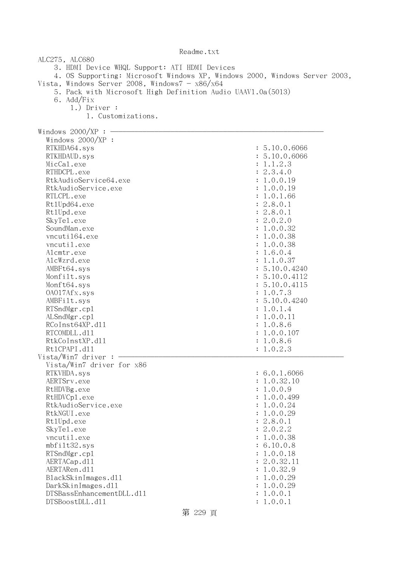| ALC275, ALC680                                                             |               |  |
|----------------------------------------------------------------------------|---------------|--|
| 3. HDMI Device WHQL Support: ATI HDMI Devices                              |               |  |
| 4. OS Supporting: Microsoft Windows XP, Windows 2000, Windows Server 2003, |               |  |
| Vista, Windows Server 2008, Windows $7 - x86/x64$                          |               |  |
| 5. Pack with Microsoft High Definition Audio UAAV1.0a(5013)                |               |  |
| 6. Add/Fix                                                                 |               |  |
| $1.)$ Driver :                                                             |               |  |
| 1. Customizations.                                                         |               |  |
|                                                                            |               |  |
| Windows $2000/XP$ :                                                        |               |  |
| Windows $2000/XP$ :                                                        | : 5.10.0.6066 |  |
| RTKHDA64.sys                                                               | 5.10.0.6066   |  |
| RTKHDAUD.sys<br>MicCal.exe                                                 | 1.1.2.3       |  |
| RTHDCPL.exe                                                                | 2.3.4.0       |  |
| RtkAudioService64.exe                                                      | 1.0.0.19      |  |
| RtkAudioService.exe                                                        | 1.0.0.19      |  |
| RTLCPL.exe                                                                 | 1.0.1.66      |  |
| Rt1Upd64.exe                                                               | : 2.8.0.1     |  |
| Rt1Upd.exe                                                                 | : 2.8.0.1     |  |
| SkyTe1.exe                                                                 | 2.0.2.0       |  |
| SoundMan.exe                                                               | 1.0.0.32      |  |
| vncuti164.exe                                                              | 1.0.0.38      |  |
| vncutil.exe                                                                | 1.0.0.38      |  |
| Alcmtr.exe                                                                 | 1.6.0.4       |  |
| AlcWzrd.exe                                                                | 1.1.0.37      |  |
| AMBFt64.sys                                                                | : 5.10.0.4240 |  |
| Monfilt.sys                                                                | : 5.10.0.4112 |  |
| Monft64.sys                                                                | 5.10.0.4115   |  |
| 0A017Afx.sys                                                               | 1.0.7.3       |  |
| AMBFilt.sys                                                                | 5.10.0.4240   |  |
| RTSndMgr.cp1                                                               | 1.0.1.4       |  |
| ALSndMgr.cp1                                                               | 1.0.0.11      |  |
| RCoInst64XP.d11                                                            | 1.0.8.6       |  |
| RTCOMDLL.d11                                                               | 1.0.0.107     |  |
| RtkCoInstXP.d11<br>1.0.8.6                                                 |               |  |
| Rt1CPAPI.d11<br>: 1.0.2.3                                                  |               |  |
| Vista/Win7 driver :                                                        |               |  |
| Vista/Win7 driver for x86                                                  |               |  |
| RTKVHDA.sys                                                                | : 6.0.1.6066  |  |
| AERTSrv.exe                                                                | : 1.0.32.10   |  |
| RtHDVBg.exe                                                                | : 1.0.0.9     |  |
| RtHDVCp1.exe                                                               | : 1.0.0.499   |  |
| RtkAudioService.exe                                                        | : 1.0.0.24    |  |
| RtkNGUI.exe                                                                | : 1.0.0.29    |  |
| Rt1Upd.exe                                                                 | : 2.8.0.1     |  |
| SkyTe1.exe                                                                 | : 2.0.2.2     |  |
| vncutil.exe                                                                | 1.0.0.38      |  |
| mbfilt32.sys                                                               | : 6.10.0.8    |  |
| RTSndMgr.cp1                                                               | : 1.0.0.18    |  |
| AERTACap.d11                                                               | : 2.0.32.11   |  |
| AERTARen.d11                                                               | : 1.0.32.9    |  |
| BlackSkinImages.dl1                                                        | 1.0.0.29      |  |
| DarkSkinImages.d11                                                         | 1.0.0.29      |  |
| DTSBassEnhancementDLL.d11                                                  | 1.0.0.1       |  |
| DTSBoostDLL.d11                                                            | 1.0.0.1       |  |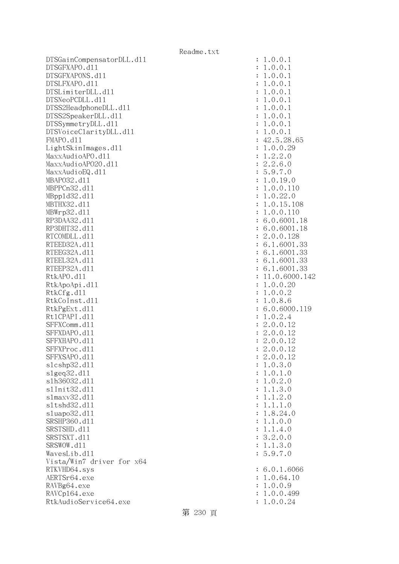DTSGainCompensatorDLL.dl1 : 1.0.0.1 DTSGFXAPO.dll : 1.0.0.1 DTSGFXAPONS.dll : 1.0.0.1 DTSLFXAPO.dll : 1.0.0.1 DTSLimiterDLL.dl1 : 1.0.0.1  $DTSNeoPCDLL. d11$  :  $1.0.0.1$ DTSS2HeadphoneDLL.dl1 : 1.0.0.1 DTSS2SpeakerDLL.dll : 1.0.0.1 DTSSymmetryDLL.dl1 : 1.0.0.1 DTSVoiceClarityDLL.dl1 : 1.0.0.1 FMAPO.d11 : 42.5.28.65 LightSkinImages.dll : 1.0.0.29 MaxxAudioAPO.dll : 1.2.2.0 MaxxAudioAP020.dll : 2.2.6.0 MaxxAudioEQ.dll : 5.9.7.0 MBAPO32.dll : 1.0.19.0 MBPPCn32.dll : 1.0.0.110 MBppld32.dll : 1.0.22.0 MBTHX32.d11 : 1.0.15.108 MBWrp32.dll : 1.0.0.110 RP3DAA32.d11 : 6.0.6001.18 RP3DHT32.d11 : 6.0.6001.18 RTCOMDLL.d11 : 2.0.0.128 RTEED32A.d11 : 6.1.6001.33 RTEEG32A.d11 : 6.1.6001.33 RTEEL32A.d11 : 6.1.6001.33 RTEEP32A.d11 : 6.1.6001.33 RtkAPO.d11 : 11.0.6000.142 RtkApoApi.dl1 : 1.0.0.20 RtkCfg.dl1 : 1.0.0.2 RtkCoInst.dl1 : 1.0.8.6 RtkPgExt.dl1 : 6.0.6000.119 Rt1CPAPI.d11 : 1.0.2.4 SFFXComm.d11 : 2.0.0.12 SFFXDAPO.d11 : 2.0.0.12 SFFXHAPO.d11 : 2.0.0.12 SFFXProc.d11 : 2.0.0.12 SFFXSAPO.d11 : 2.0.0.12 slcshp32.dll : 1.0.3.0  $s1geq32. d11$  :  $1.0.1.0$  slh36032.dll : 1.0.2.0 slInit32.dll : 1.1.3.0 slmaxv32.dl1 : 1.1.2.0 sltshd32.dll : 1.1.1.0 sluapo32.dll : 1.8.24.0 SRSHP360.d11 : 1.1.0.0 SRSTSHD.d11 : 1.1.4.0 SRSTSXT.dll : 3.2.0.0 SRSWOW.d11 : 1.1.3.0 WavesLib.dll : 5.9.7.0 Vista/Win7 driver for x64 RTKVHD64.sys : 6.0.1.6066 AERTSr64.exe : 1.0.64.10 RAVBg64.exe : 1.0.0.9 RAVCp164.exe : 1.0.0.499 RtkAudioService64.exe : 1.0.0.24

Readme.txt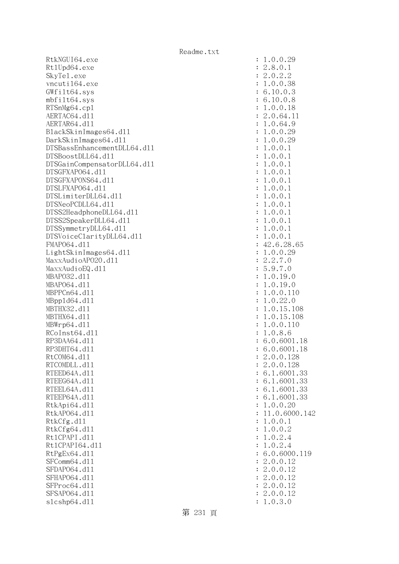RtkNGUI64.exe Rt1Upd64.exe SkyTe1.exe vncuti164.exe  $GWfilt64.sys$ mbfilt64.sys RTSnMg64.cp1 AERTAC64.d11 AERTAR64.dl1 BlackSkinImages64.dll DarkSkinImages64.dl1 DTSBassEnhancementDLL64.dl1 DTSBoostDLL64.dl1 DTSGainCompensatorDLL64.dl1 DTSGFXAP064.dll DTSGFXAPONS64.dll DTSLFXAP064.dl1 DTSLimiterDLL64.dl1 DTSNeoPCDLL64.dl1 DTSS2HeadphoneDLL64.d11 DTSS2SpeakerDLL64.dl1 DTSSymmetryDLL64.dl1 DTSVoiceClarityDLL64.dll FMAP064.d11 LightSkinImages64.dl1 MaxxAudioAP020.dll MaxxAudioEQ.dll MBAP032.d11 MBAP064.d11 MBPPCn64.d11 MBpp1d64.dl1 MBTHX32.d11 MBTHX64.d11 MBWrp64.dl1 RCoInst64.dl1 RP3DAA64.dl1 RP3DHT64.d11 RtCOM64.d11 RTCOMDLL.d11 RTEED64A.dl1 RTEEG64A.dl1 RTEEL64A.d11 RTEEP64A.d11 RtkApi64.dl1 RtkAP064.dl1 : 11.0.6000.142 RtkCfg.dll RtkCfg64.dl1 Rt1CPAPI.d11 Rt1CPAPI64.d11 RtPgEx64.dl1 SFComm64.dl1 SFDAP064.d11 SFHAP064.d11 SFProc64.dl1 SFSAP064.d11 slcshp64.dll

| $\ddot{\cdot}$ | 0.0.29<br>$\mathbf 1$                                                                                    |
|----------------|----------------------------------------------------------------------------------------------------------|
|                |                                                                                                          |
| $\ddot{\cdot}$ | $\cdot$ <sup>0</sup><br>$\overline{c}$<br>1<br>8                                                         |
| $\ddot{\cdot}$ | $\ddot{\phantom{0}}$<br>$\overline{c}$<br>$\ddot{\phantom{0}}$<br>0.2                                    |
| $\ddot{\cdot}$ | $\frac{2}{1}$<br>38<br>$\ddot{\phantom{0}}$                                                              |
| $\ddot{\cdot}$ | $0.0.$<br>10.0<br>10.0<br>$\frac{1}{2}$<br>6<br>3                                                        |
|                | 8                                                                                                        |
| $\vdots$       | 6                                                                                                        |
|                | 0.0.<br>$\mathbf{1}$<br>$\ddot{\phantom{0}}$<br>8                                                        |
|                | .0.64<br>$\mathbf 1$<br>$\mathbf{1}$                                                                     |
| $\vdots$       | 12111111<br>.0.64.1<br>.0.64.9<br>.0.0.29<br>.0.0.29<br>.0.0.1<br>.0.0.1<br>.0.0.1<br>.0.0.1<br>.0.0.1   |
| $\ddot{\cdot}$ |                                                                                                          |
|                |                                                                                                          |
| $\ddot{\cdot}$ |                                                                                                          |
| $\ddot{\cdot}$ |                                                                                                          |
| $\ddot{\cdot}$ |                                                                                                          |
|                |                                                                                                          |
| $\vdots$ :     |                                                                                                          |
|                | $\mathbf{1}$                                                                                             |
|                | $\frac{1}{1}$                                                                                            |
| $\ddot{\cdot}$ |                                                                                                          |
| $\ddot{\cdot}$ | $\mathbf{1}$<br>$\mathbf{1}$<br>.0.0.                                                                    |
|                | $\mathbf{1}$                                                                                             |
|                | $\frac{1}{1}$                                                                                            |
|                |                                                                                                          |
|                | $0.0$ .<br>$0.0$ .<br>$0.0$ .<br>$0.0$ .                                                                 |
|                | $\begin{smallmatrix}1\1\1\end{smallmatrix}$                                                              |
|                |                                                                                                          |
|                |                                                                                                          |
|                |                                                                                                          |
|                |                                                                                                          |
|                |                                                                                                          |
|                | $\ddot{\phantom{0}}$<br>$\overline{O}$                                                                   |
|                | $.2$<br>$.9$<br>$.0$<br>$7.7.19$<br>19<br>19<br>$\ddot{\phantom{0}}$<br>$\cdot$ <sup>0</sup>             |
| $\ddot{\cdot}$ | $\cdot$ <sup>0</sup><br>$\ddot{\phantom{0}}$<br>$\cdot$ 0                                                |
| $\ddot{\cdot}$ | $\mathbf{1}$<br>$\cdot$ 0.<br>$\mathbf{0}$ .<br>10                                                       |
|                | $\cdot$ 0 $\cdot$<br>0.0.11<br>0.22.0<br>0.15.1<br>0.15.1<br>0.0.11<br>0.8.6<br>0.6001<br>$\overline{0}$ |
| $\ddot{\cdot}$ |                                                                                                          |
|                | $\cdot$ 0 $\cdot$<br>108                                                                                 |
|                | 108                                                                                                      |
|                | 10                                                                                                       |
|                |                                                                                                          |
|                | 18                                                                                                       |
|                |                                                                                                          |
|                | $\overline{a}$<br>.6001<br>6<br>$\mathcal{O}$<br>18                                                      |
| $\ddot{\cdot}$ | $\overline{c}$<br>.0.0.128                                                                               |
| $\ddot{\cdot}$ | .0.0.128<br>$\overline{c}$                                                                               |
| $\ddot{\cdot}$ | 6.<br>1.6001.33                                                                                          |
| $\ddot{\cdot}$ | 1.6001.<br>6.<br>33                                                                                      |
|                |                                                                                                          |
| $\ddot{\cdot}$ | 1.6001<br>6.<br>33<br>$\ddot{\phantom{a}}$                                                               |
| $\ddot{\cdot}$ | 1.6001.<br>6.<br>33                                                                                      |
| $\ddot{\cdot}$ | 0.0.20<br>$\ddot{\phantom{a}}$<br>1                                                                      |
| $\ddot{\cdot}$ | 11.0.6000.14                                                                                             |
| $\ddot{\cdot}$ | 1.0.0.1                                                                                                  |
|                | 1.0.0.2                                                                                                  |
| $\ddot{\cdot}$ |                                                                                                          |
| $\ddot{\cdot}$ | 1.0.2.4                                                                                                  |
| $\ddot{\cdot}$ | .0.2.4<br>$\mathbf{1}$                                                                                   |
| $\ddot{\cdot}$ | 6.0.6000.119                                                                                             |
| $\ddot{\cdot}$ | $\overline{c}$<br>.0.0.12                                                                                |
|                | $\overline{c}$<br>.0.0.<br>12                                                                            |
| $\ddot{\cdot}$ |                                                                                                          |
| $\ddot{\cdot}$ | $\overline{c}$<br>.0.0.<br>12                                                                            |
| $\ddot{\cdot}$ | 2.0.0.<br>12                                                                                             |
| $\ddot{\cdot}$ | 2.0.0.<br>12                                                                                             |
| $\ddot{\cdot}$ | 1.0.3.0                                                                                                  |
|                |                                                                                                          |

第 231 頁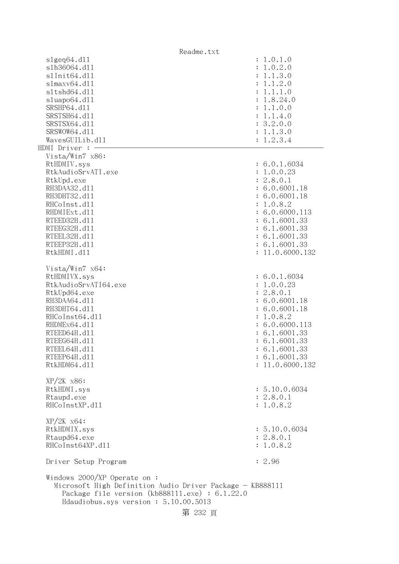Readme.txt  $s1geq64. d11$  :  $1.0.1.0$  slh36064.dll : 1.0.2.0 slInit64.dl1 : 1.1.3.0 slmaxv64.dll : 1.1.2.0 sltshd64.dll : 1.1.1.0 sluapo64.dll : 1.8.24.0 SRSHP64.d11 : 1.1.0.0 SRSTSH64.d11 : 1.1.4.0 SRSTSX64.d11 : 3.2.0.0 SRSWOW64.d11 : 1.1.3.0  $Waves GULLib. d11$  :  $1.2.3.4$  $HDMI$  Driver :  $-$  Vista/Win7 x86: RtHDMIV.sys : 6.0.1.6034 RtkAudioSrvATI.exe : 1.0.0.23 RtkUpd.exe : 2.8.0.1 RH3DAA32.d11 : 6.0.6001.18 RH3DHT32.d11 : 6.0.6001.18 RHCoInst.d11 : 1.0.8.2 RHDMIExt.d11 : 6.0.6000.113 RTEED32H.d11 : 6.1.6001.33 RTEEG32H.d11 : 6.1.6001.33 RTEEL32H.d11 : 6.1.6001.33 RTEEP32H.d11 : 6.1.6001.33 RtkHDMI.dl1 : 11.0.6000.132 Vista/Win7 x64: RtHDMIVX.sys : 6.0.1.6034 RtkAudioSrvATI64.exe : 1.0.0.23 RtkUpd64.exe : 2.8.0.1 RH3DAA64.d11 : 6.0.6001.18 RH3DHT64.d11 : 6.0.6001.18 RHCoInst64.d11 : 1.0.8.2 RHDMEx64.d11 : 6.0.6000.113 RTEED64H.d11 : 6.1.6001.33 RTEEG64H.d11 : 6.1.6001.33 RTEEL64H.d11 : 6.1.6001.33 RTEEP64H.d11 : 6.1.6001.33 RtkHDM64.dll : 11.0.6000.132 XP/2K x86: RtkHDMI.sys : 5.10.0.6034 Rtaupd.exe : 2.8.0.1 RHCoInstXP.d11 : 1.0.8.2 XP/2K x64: RtkHDMIX.sys : 5.10.0.6034 Rtaupd64.exe : 2.8.0.1 RHCoInst64XP.d11 : 1.0.8.2 Driver Setup Program : 2.96 Windows 2000/XP Operate on : Microsoft High Definition Audio Driver Package - KB888111 Package file version (kb888111.exe) : 6.1.22.0 Hdaudiobus.sys version : 5.10.00.5013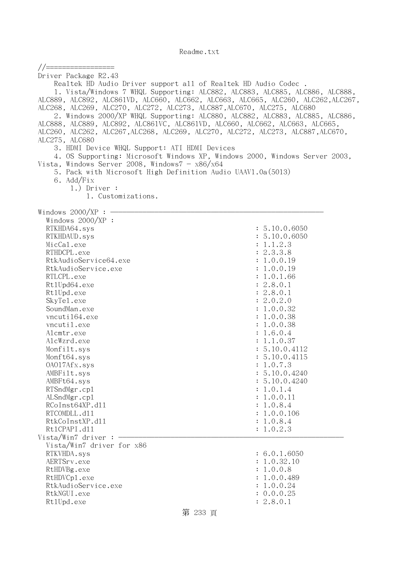//================= Driver Package R2.43 Realtek HD Audio Driver support all of Realtek HD Audio Codec . 1. Vista/Windows 7 WHQL Supporting: ALC882, ALC883, ALC885, ALC886, ALC888, ALC889, ALC892, ALC861VD, ALC660, ALC662, ALC663, ALC665, ALC260, ALC262,ALC267, ALC268, ALC269, ALC270, ALC272, ALC273, ALC887,ALC670, ALC275, ALC680 2. Windows 2000/XP WHQL Supporting: ALC880, ALC882, ALC883, ALC885, ALC886, ALC888, ALC889, ALC892, ALC861VC, ALC861VD, ALC660, ALC662, ALC663, ALC665, ALC260, ALC262, ALC267,ALC268, ALC269, ALC270, ALC272, ALC273, ALC887,ALC670, ALC275, ALC680 3. HDMI Device WHQL Support: ATI HDMI Devices 4. OS Supporting: Microsoft Windows XP, Windows 2000, Windows Server 2003, Vista, Windows Server 2008, Windows $7 - x86/x64$  5. Pack with Microsoft High Definition Audio UAAV1.0a(5013) 6. Add/Fix 1.) Driver : 1. Customizations. Windows  $2000/XP : -$  Windows 2000/XP : RTKHDA64.sys : 5.10.0.6050 : 5.10.0.6050 : 5.10.0.7.10 : 5.10.0.7.10 : 5.10.0.7.10 : 5.10.0.7.10 : 5.10.0.7.10 RTKHDAUD.sys : 5.10.0.6050 MicCal.exe : 1.1.2.3 RTHDCPL.exe : 2.3.3.8 RtkAudioService64.exe : 1.0.0.19 RtkAudioService.exe : 1.0.0.19 RTLCPL.exe : 1.0.1.66 Rt1Upd64.exe : 2.8.0.1 Rt1Upd.exe : 2.8.0.1 SkyTel.exe : 2.0.2.0 SoundMan.exe : 1.0.0.32 vncutil64.exe : 1.0.0.38 vncutil.exe : 1.0.0.38 Alcmtr.exe : 1.6.0.4 AlcWzrd.exe : 1.1.0.37 Monfilt.sys : 5.10.0.4112 Monft64.sys : 5.10.0.4115 OAO17Afx.sys : 1.0.7.3 AMBFilt.sys : 5.10.0.4240 AMBFt64.sys : 5.10.0.4240 RTSndMgr.cp1 : 1.0.1.4 ALSndMgr.cpl : 1.0.0.11 RCoInst64XP.d11 : 1.0.8.4 RTCOMDLL.d11 : 1.0.0.106 RtkCoInstXP.d11 : 1.0.8.4 RtlCPAPI.dll : 1.0.2.3 Vista/Win7 driver :  $-$  Vista/Win7 driver for x86 RTKVHDA.sys : 6.0.1.6050 AERTSrv.exe : 1.0.32.10 RtHDVBg.exe : 1.0.0.8 RtHDVCp1.exe : 1.0.0.489 RtkAudioService.exe : 1.0.0.24 RtkNGUI.exe : 0.0.0.25 RtlUpd.exe : 2.8.0.1

# 第 233 頁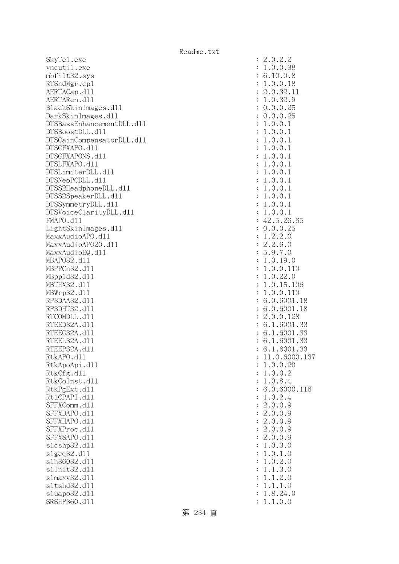SkyTe1.exe vncutil.exe mbfilt32.sys RTSndMgr.cp1 AERTACap.d11 AERTARen.d11 BlackSkinImages.dl1 DarkSkinImages.dl1 DTSBassEnhancementDLL.dl1 DTSBoostDLL.d11 DTSGainCompensatorDLL.dl1 DTSGFXAPO.d11 DTSGFXAPONS.d11 DTSLFXAPO.d11 DTSLimiterDLL.dl1 DTSNeoPCDLL.d11 DTSS2HeadphoneDLL.d11 DTSS2SpeakerDLL.d11 DTSSymmetryDLL.dl1 DTSVoiceClarityDLL.dl1 FMAPO.d11 LightSkinImages.dl1 MaxxAudioAPO.dll MaxxAudioAPO20.dll MaxxAudioEQ.dll MBAP032.d11 MBPPCn32.d11 MBpp1d32.d11 MBTHX32.d11 MBWrp32.d11 RP3DAA32.d11 RP3DHT32.d11 RTCOMDLL.d11 RTEED32A.d11 RTEEG32A.d11 RTEEL32A.d11 RTEEP32A.d11 RtkAPO.dl1 : 11.0.6000.137 RtkApoApi.dl1 RtkCfg.dll RtkCoInst.dl1 RtkPgExt.d11 Rt1CPAPI.d11 SFFXComm.dl1 SFFXDAPO.d11 SFFXHAPO.d11 SFFXProc.dl1 SFFXSAPO.d11 slcshp32.dl1 slgeq32.dl1 slh36032.dl1 s1Init32.d11 slmaxv32.dl1 s1tshd32.d11 sluapo32.dl1 SRSHP360.d11 : 1.1.0.0

| $\ddot{\cdot}$ | .0.2.2                                                                                                                                                                                                                                                       |
|----------------|--------------------------------------------------------------------------------------------------------------------------------------------------------------------------------------------------------------------------------------------------------------|
| $\ddot{\cdot}$ | .0.0.38<br>$\mathbf 1$                                                                                                                                                                                                                                       |
|                | 10.0<br>.8<br>6                                                                                                                                                                                                                                              |
| $\ddot{\cdot}$ |                                                                                                                                                                                                                                                              |
| $\ddot{\cdot}$ | 0.0.<br>18<br>1                                                                                                                                                                                                                                              |
| $\ddot{\cdot}$ | 11<br>2.0.32<br>1.0.32                                                                                                                                                                                                                                       |
| $\ddot{\cdot}$ | 9                                                                                                                                                                                                                                                            |
| $\ddot{\cdot}$ |                                                                                                                                                                                                                                                              |
| $\ddot{\cdot}$ | $0.0.0.25$<br>0.0.0.25<br>1.0.0.1                                                                                                                                                                                                                            |
| $\ddot{\cdot}$ |                                                                                                                                                                                                                                                              |
| $\ddot{\cdot}$ | $\overline{1}$<br>0.0.<br>$\ddot{\phantom{a}}$<br>$\mathbf{1}$                                                                                                                                                                                               |
| $\ddot{\cdot}$ | 0.0.<br>$\overline{1}$<br>$\ddot{\phantom{a}}$<br>$\mathbf{1}$                                                                                                                                                                                               |
| $\ddot{\cdot}$ | 1.<br>0.0.<br>$\mathbf{1}$                                                                                                                                                                                                                                   |
| $\ddot{\cdot}$ | 1.<br>0.0.<br>$\mathbf{1}$                                                                                                                                                                                                                                   |
|                | 1.0.0.<br>$\mathbf{1}$                                                                                                                                                                                                                                       |
| $\ddot{\cdot}$ |                                                                                                                                                                                                                                                              |
| $\ddot{\cdot}$ | 1.0.0.<br>$\mathbf{1}$                                                                                                                                                                                                                                       |
| $\ddot{\cdot}$ | 1.0.0.<br>$\mathbf{1}$                                                                                                                                                                                                                                       |
| $\ddot{\cdot}$ | 1.0.0.<br>$\mathbf{1}$                                                                                                                                                                                                                                       |
| $\ddot{\cdot}$ | 1.0.0.<br>$\overline{1}$                                                                                                                                                                                                                                     |
| $\ddot{\cdot}$ |                                                                                                                                                                                                                                                              |
| $\ddot{\cdot}$ |                                                                                                                                                                                                                                                              |
| $\ddot{\cdot}$ |                                                                                                                                                                                                                                                              |
| $\ddot{\cdot}$ |                                                                                                                                                                                                                                                              |
| $\ddot{\cdot}$ | $1.0.0.1$<br>$42.5.26.65$<br>$0.0.0.25$<br>$1.2.2.0$<br>$2.2.6.0$<br>$5.9.7.0$<br>$1.0.19.0$<br>$1.0.0.110$<br>$1.0.22.0$<br>$1.0.15.106$<br>$1.0.0.110$<br>$6.0.6001.18$<br>$6.0.6001.18$<br>$2.0.0.128$<br>$6.1.6001.33$<br>$6.1.6001.33$<br>$6.1.6001.33$ |
| $\ddot{\cdot}$ |                                                                                                                                                                                                                                                              |
| $\ddot{\cdot}$ |                                                                                                                                                                                                                                                              |
| $\ddot{\cdot}$ |                                                                                                                                                                                                                                                              |
|                |                                                                                                                                                                                                                                                              |
| $\ddot{\cdot}$ |                                                                                                                                                                                                                                                              |
| $\ddot{\cdot}$ |                                                                                                                                                                                                                                                              |
| $\ddot{\cdot}$ |                                                                                                                                                                                                                                                              |
| $\ddot{\cdot}$ |                                                                                                                                                                                                                                                              |
| $\ddot{\cdot}$ |                                                                                                                                                                                                                                                              |
| $\ddot{\cdot}$ | 6626666                                                                                                                                                                                                                                                      |
| $\ddot{\cdot}$ |                                                                                                                                                                                                                                                              |
| $\ddot{\cdot}$ |                                                                                                                                                                                                                                                              |
| $\ddot{\cdot}$ |                                                                                                                                                                                                                                                              |
| $\ddot{\cdot}$ |                                                                                                                                                                                                                                                              |
| $\ddot{\cdot}$ | .<br>33<br>$\ddot{\phantom{a}}$<br>$\mathbf{1}$<br>.6001<br>$\ddot{\phantom{0}}$                                                                                                                                                                             |
|                | 11.0.6000.13                                                                                                                                                                                                                                                 |
| $\ddot{\cdot}$ | .0.0.20                                                                                                                                                                                                                                                      |
| $\ddot{\cdot}$ | 1                                                                                                                                                                                                                                                            |
| $\ddot{\cdot}$ | 0.0.2<br>$\ddot{\phantom{a}}$<br>1                                                                                                                                                                                                                           |
| $\ddot{\cdot}$ | 0.8.4<br>$\ddot{\phantom{a}}$<br>1                                                                                                                                                                                                                           |
| $\ddot{\cdot}$ | .0.6000.116<br>6                                                                                                                                                                                                                                             |
| $\ddot{\cdot}$ | $\overline{0}$ .<br>$\ddot{\phantom{a}}$<br>2.4<br>1                                                                                                                                                                                                         |
| $\ddot{\cdot}$ | .0.0.9<br>$\overline{c}$                                                                                                                                                                                                                                     |
| $\ddot{\cdot}$ | .0.0.9<br>$\overline{c}$                                                                                                                                                                                                                                     |
| $\ddot{\cdot}$ | $\overline{c}$<br>.0.0.9                                                                                                                                                                                                                                     |
| $\ddot{\cdot}$ | $\overline{c}$<br>.0.0.9                                                                                                                                                                                                                                     |
| $\ddot{\cdot}$ | .0.0.9<br>$\overline{c}$                                                                                                                                                                                                                                     |
| $\ddot{\cdot}$ | $\overline{0}$ .<br>3.0<br>$\ddot{\phantom{0}}$<br>$\mathbf 1$                                                                                                                                                                                               |
|                |                                                                                                                                                                                                                                                              |
| $\ddot{\cdot}$ | 0.1<br>$\ddot{\phantom{0}}$<br>$\cdot$ <sup>0</sup><br>1                                                                                                                                                                                                     |
| $\ddot{\cdot}$ | 2.0<br>$\overline{0}$ .<br>$\ddot{\phantom{0}}$<br>1                                                                                                                                                                                                         |
| $\ddot{\cdot}$ | 3.0<br>$\ddot{\phantom{a}}$<br>$\ddot{\phantom{0}}$<br>1<br>1                                                                                                                                                                                                |
| $\ddot{\cdot}$ | $\mathbf 1$<br>2.0<br>$\ddot{\phantom{0}}$<br>$\ddot{\phantom{0}}$<br>1                                                                                                                                                                                      |
| $\ddot{\cdot}$ | 1.0<br>$\ddot{\phantom{0}}$<br>$\mathbf{1}$<br>$\ddot{\phantom{a}}$<br>1                                                                                                                                                                                     |
| $\ddot{\cdot}$ | 8.<br>24.0<br>$\mathbf 1$<br>$\ddot{\phantom{a}}$                                                                                                                                                                                                            |
| ÷              | 1 1 0 0                                                                                                                                                                                                                                                      |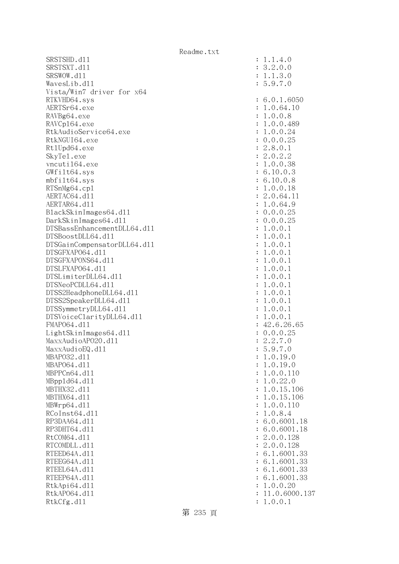SRSTSHD.d11 : 1.1.4.0 SRSTSXT.d11 SRSWOW.dl1 WavesLib.dl1 Vista/Win7 driver for x64 RTKVHD64.svs AERTSr64.exe RAVBg64.exe RAVCp164.exe RtkAudioService64.exe RtkNGUI64.exe Rt1Upd64.exe SkyTe1.exe vncuti164.exe  $GWfilt64.sys$ mbfilt64.sys RTSnMg64.cp1 AERTAC64.dl1 AERTAR64.dl1 BlackSkinImages64.dll DarkSkinImages64.dll DTSBassEnhancementDLL64.dl1 DTSBoostDLL64.dl1 DTSGainCompensatorDLL64.dl1 DTSGFXAPO64.d11 DTSGFXAPONS64.dl1 DTSLFXAPO64.dl1 DTSLimiterDLL64.dl1 DTSNeoPCDLL64.dl1 DTSS2HeadphoneDLL64.dl1 DTSS2SpeakerDLL64.dl1 DTSSymmetryDLL64.dl1 DTSVoiceClarityDLL64.dll FMAP064.d11 LightSkinImages64.dl1 MaxxAudioAPO20.dll MaxxAudioEQ.dll MBAP032.d11 MBAP064.d11 MBPPCn64.d11 MBpp1d64.dl1 MBTHX32.d11 MBTHX64.d11 MBWrp64.dl1 RCoInst64.dl1 RP3DAA64.d11 RP3DHT64.d11 RtCOM64.d11 RTCOMDLL.d11 RTEED64A.d11 RTEEG64A.d11 RTEEL64A.d11 RTEEP64A.d11 RtkApi64.dll RtkAP064.dl1 : 11.0.6000.137 RtkCfg.dl1

| $\ddot{\cdot}$<br>$\ddot{\cdot}$<br>$\ddot{\cdot}$ | $3.2.0.0$<br>$1.1.3.0$<br>5.9.7.0                                                                                                                          |
|----------------------------------------------------|------------------------------------------------------------------------------------------------------------------------------------------------------------|
| $\ddot{\cdot}$                                     | 6.0.1.6050                                                                                                                                                 |
|                                                    |                                                                                                                                                            |
|                                                    |                                                                                                                                                            |
|                                                    | 6.0.1.605<br>1.0.64.10<br>1.0.0.8<br>1.0.0.489<br>1.0.0.24<br>0.0.0.25<br>2.8.0.1<br>2.0.2.2<br>6.10.0.3<br>6.10.0.3<br>1.0.0.18<br>1.0.0.18<br>2.0.644.11 |
|                                                    |                                                                                                                                                            |
|                                                    |                                                                                                                                                            |
|                                                    |                                                                                                                                                            |
|                                                    |                                                                                                                                                            |
|                                                    |                                                                                                                                                            |
|                                                    |                                                                                                                                                            |
|                                                    |                                                                                                                                                            |
|                                                    | 11                                                                                                                                                         |
|                                                    | $2.0.64.1$<br>1.0.64.9<br>0.0.0.25<br>0.0.0.25                                                                                                             |
|                                                    |                                                                                                                                                            |
|                                                    | 0.0.<br>$\ddot{\phantom{0}}$<br>$\mathbf{1}$<br>$\mathbf{1}$                                                                                               |
|                                                    | $\mathbf{1}$<br>.0.0.<br>$\mathbf{1}$                                                                                                                      |
|                                                    | $\mathbf{1}$<br>0.0.<br>$\ddot{\phantom{0}}$<br>$\mathbf 1$                                                                                                |
|                                                    | $\mathbf{1}$<br>0.0.<br>$\ddot{\phantom{0}}$<br>$\mathbf 1$                                                                                                |
|                                                    | $\mathbf{1}$<br>0.0.<br>$\ddot{\phantom{0}}$<br>$\mathbf{1}$                                                                                               |
|                                                    | $\mathbf{1}$<br>0.0.<br>$\ddot{\phantom{0}}$<br>$\mathbf{1}$<br>$\mathbf{1}$<br>$\ddot{\phantom{0}}$<br>$\mathbf{1}$                                       |
|                                                    | 0.0.<br>0.0.<br>$\mathbf{1}$<br>$\ddot{\phantom{0}}$<br>$\mathbf{1}$                                                                                       |
|                                                    | $\mathbf{1}$<br>0.0.<br>$\ddot{\phantom{0}}$<br>$\mathbf{1}$                                                                                               |
|                                                    | 0.0.<br>$\mathbf{1}$<br>$\ddot{\phantom{0}}$<br>$\mathbf{1}$                                                                                               |
|                                                    | $1.0.0.1$<br>$1.0.0.1$<br>$42.6.26$ .<br>$0.0.0.25$<br>$2.2.7.0$<br>$5.9.7.0$<br>$1.0.19.0$                                                                |
|                                                    |                                                                                                                                                            |
|                                                    |                                                                                                                                                            |
|                                                    |                                                                                                                                                            |
|                                                    |                                                                                                                                                            |
| $\ddot{\cdot}$                                     |                                                                                                                                                            |
| $\ddot{\cdot}$                                     | 1<br>.0.19.0                                                                                                                                               |
| $\ddot{\cdot}$                                     | 1.0.0.110                                                                                                                                                  |
| $\ddot{\cdot}$                                     | 1.0.22.0                                                                                                                                                   |
| $\vdots$                                           | 1.0.15.106                                                                                                                                                 |
| $\vdots$                                           | 1.0.15.106                                                                                                                                                 |
| $\vdots$                                           | 1.0.0.110                                                                                                                                                  |
| $\ddot{\cdot}$<br>$\ddot{\cdot}$                   | 1.0.8.4<br>6.0.6001.18                                                                                                                                     |
| $\ddot{\cdot}$                                     | 6.0.6001.18                                                                                                                                                |
| $\ddot{\cdot}$                                     | 2.0.0.128                                                                                                                                                  |
| $\ddot{\cdot}$                                     | 2.0.0.128                                                                                                                                                  |
| $\vdots$                                           | 6.1.6001.33                                                                                                                                                |
| $\ddot{\cdot}$                                     | 6.1.6001.33                                                                                                                                                |
| $\vdots$ : $\vdots$ :                              | 6.1.6001.33                                                                                                                                                |
|                                                    | 6.1.6001.33                                                                                                                                                |
| $\ddot{\cdot}$                                     | 1.0.0.20                                                                                                                                                   |
| $\ddot{\cdot}$                                     | 11.0.6000.13<br>1.0.0.1                                                                                                                                    |
|                                                    |                                                                                                                                                            |

第 235 頁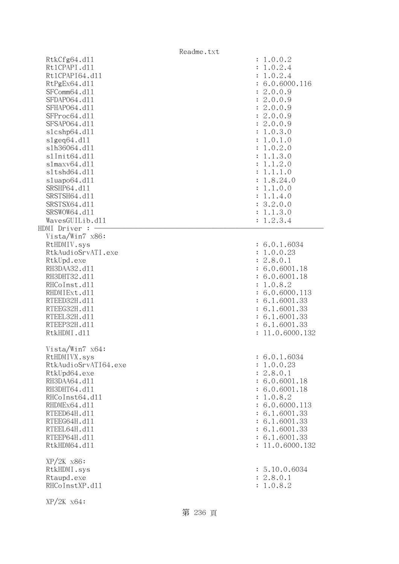|                                                                                                                                                                                                                                   | Readme.txt                                                                                                                                                                                                                    |
|-----------------------------------------------------------------------------------------------------------------------------------------------------------------------------------------------------------------------------------|-------------------------------------------------------------------------------------------------------------------------------------------------------------------------------------------------------------------------------|
| RtkCfg64.d11<br>Rt1CPAPI.d11<br>Rt1CPAPI64.d11<br>RtPgEx64.d11<br>SFComm64.d11<br>SFDAP064.d11<br>SFHAP064.d11<br>SFProc64.d11<br>SFSAP064.d11<br>s1cshp64.d11<br>$slgeq64$ .dll<br>s1h36064.d11<br>s1Init64.d11<br>slmaxv64. d11 | : 1.0.0.2<br>1.0.2.4<br>$\ddot{\cdot}$<br>1.0.2.4<br>: 6.0.6000.116<br>2.0.0.9<br>: 2.0.0.9<br>2.0.0.9<br>$\ddot{\cdot}$<br>: 2.0.0.9<br>: 2.0.0.9<br>: 1.0.3.0<br>1.0.1.0<br>$\ddot{\cdot}$<br>1.0.2.0<br>1.1.3.0<br>1.1.2.0 |
| s1tshd64.d11<br>sluapo64.d11<br>SRSHP64.d11<br>SRSTSH64.d11<br>SRSTSX64.d11<br>SRSWOW64.d11<br>WavesGUILib.d11<br>HDMI Driver : -                                                                                                 | 1.1.1.0<br>1.8.24.0<br>1.1.0.0<br>1.1.4.0<br>$\ddot{\cdot}$<br>3.2.0.0<br>$\ddot{\cdot}$<br>1.1.3.0<br>:<br>1.2.3.4<br>$\ddot{\cdot}$                                                                                         |
| Vista/Win7 x86:<br>RtHDMIV.sys<br>RtkAudioSrvATI.exe<br>RtkUpd.exe<br>RH3DAA32.d11<br>RH3DHT32.d11<br>RHCoInst.d11<br>RHDMIExt.d11<br>RTEED32H.d11<br>RTEEG32H.d11<br>RTEEL32H.d11<br>RTEEP32H.d11<br>RtkHDMI.d11                 | : 6.0.1.6034<br>: 1.0.0.23<br>: 2.8.0.1<br>: 6.0.6001.18<br>: 6.0.6001.18<br>1.0.8.2<br>$\ddot{\cdot}$<br>: 6.0.6000.113<br>: 6.1.6001.33<br>: 6.1.6001.33<br>: 6.1.6001.33<br>: 6.1.6001.33<br>11.0.6000.132                 |
| Vista/Win7 x64:<br>RtHDMIVX.sys<br>RtkAudioSrvATI64.exe<br>RtkUpd64.exe<br>RH3DAA64.d11<br>RH3DHT64.d11<br>RHCoInst64.d11<br>RHDMEx64.d11<br>RTEED64H.d11<br>RTEEG64H.d11<br>RTEEL64H.d11<br>RTEEP64H.d11<br>RtkHDM64.d11         | : 6.0.1.6034<br>: 1.0.0.23<br>: 2.8.0.1<br>: 6.0.6001.18<br>: 6.0.6001.18<br>1.0.8.2<br>÷<br>: 6.0.6000.113<br>: 6.1.6001.33<br>: 6.1.6001.33<br>: 6.1.6001.33<br>: 6.1.6001.33<br>: 11.0.6000.132                            |
| $XP/2K$ $x86$ :<br>RtkHDMI.sys<br>Rtaupd.exe<br>RHCoInstXP.d11<br>$XP/ZK$ $x64$ :                                                                                                                                                 | : 5.10.0.6034<br>: 2.8.0.1<br>: 1.0.8.2                                                                                                                                                                                       |

第 236 頁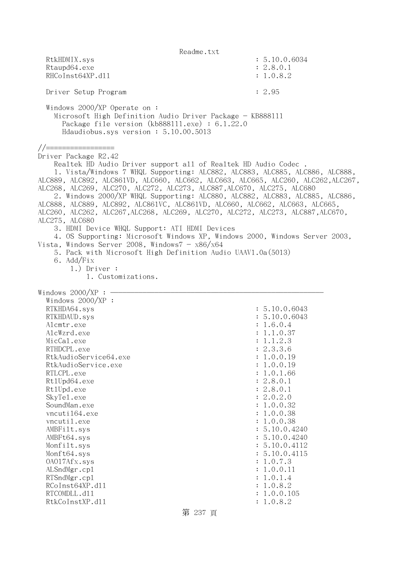Readme.txt RtkHDMIX.sys : 5.10.0.6034 Rtaupd64.exe : 2.8.0.1 RHCoInst64XP.d11 : 1.0.8.2 Driver Setup Program : 2.95 Windows 2000/XP Operate on : Microsoft High Definition Audio Driver Package - KB888111 Package file version (kb888111.exe) : 6.1.22.0 Hdaudiobus.sys version : 5.10.00.5013 //================= Driver Package R2.42 Realtek HD Audio Driver support all of Realtek HD Audio Codec . 1. Vista/Windows 7 WHQL Supporting: ALC882, ALC883, ALC885, ALC886, ALC888, ALC889, ALC892, ALC861VD, ALC660, ALC662, ALC663, ALC665, ALC260, ALC262,ALC267, ALC268, ALC269, ALC270, ALC272, ALC273, ALC887,ALC670, ALC275, ALC680 2. Windows 2000/XP WHQL Supporting: ALC880, ALC882, ALC883, ALC885, ALC886, ALC888, ALC889, ALC892, ALC861VC, ALC861VD, ALC660, ALC662, ALC663, ALC665, ALC260, ALC262, ALC267,ALC268, ALC269, ALC270, ALC272, ALC273, ALC887,ALC670, ALC275, ALC680 3. HDMI Device WHQL Support: ATI HDMI Devices 4. OS Supporting: Microsoft Windows XP, Windows 2000, Windows Server 2003, Vista, Windows Server 2008, Windows $7 - x86/x64$  5. Pack with Microsoft High Definition Audio UAAV1.0a(5013) 6. Add/Fix 1.) Driver : 1. Customizations. Windows  $2000/XP : -$  Windows 2000/XP : RTKHDA64.sys : 5.10.0.6043 RTKHDAUD.sys : 5.10.0.6043 Alcmtr.exe : 1.6.0.4 AlcWzrd.exe : 1.1.0.37 MicCal.exe : 1.1.2.3 RTHDCPL.exe : 2.3.3.6 RtkAudioService64.exe : 1.0.0.19 RtkAudioService.exe : 1.0.0.19 RTLCPL.exe : 1.0.1.66 Rt1Upd64.exe : 2.8.0.1 RtlUpd.exe : 2.8.0.1 SkyTel.exe : 2.0.2.0 SoundMan.exe : 1.0.0.32 vncuti164.exe : 1.0.0.38 vncutil.exe : 1.0.0.38 AMBFilt.sys : 5.10.0.4240 AMBFt64.sys : 5.10.0.4240 Monfilt.sys : 5.10.0.4112 Monft64.sys : 5.10.0.4115 OAO17Afx.sys : 1.0.7.3 ALSndMgr.cp1 : 1.0.0.11 : 1.0.0.11 : 1.0.0.11 : 1.0.0.11 : 1.0.0.11 : 1.0.0.11 : 1.0.0.11 : 1.0.0.11 : 1.0.0.11 : 1.0.0.11 : 1.0.0.11 : 1.0.0.11 : 1.0.0.11 : 1.0.0.11 : 1.0.0.11 : 1.0.0.11 : 1.0.0.11 : 1.0.0.11 : 1.0.0.11 RTSndMgr.cp1 : 1.0.1.4 RCoInst64XP.d11 : 1.0.8.2 RTCOMDLL.d11 : 1.0.0.105 RtkCoInstXP.d11 : 1.0.8.2

第 237 頁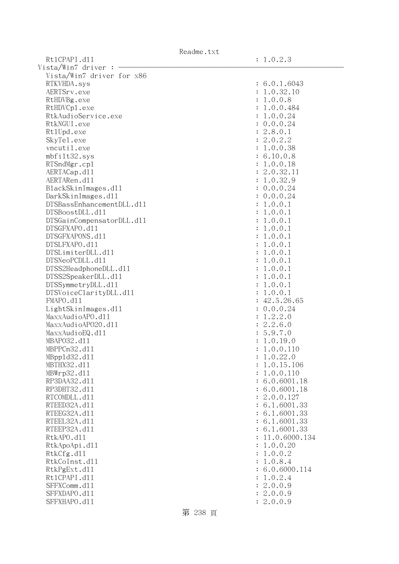| Readme.txt |  |
|------------|--|
|------------|--|

Rt1CPAPI.d11 : 1.0.2.3  $Vista/Win7$  driver :  $-$  Vista/Win7 driver for x86 RTKVHDA.sys : 6.0.1.6043 AERTSrv.exe : 1.0.32.10 RtHDVBg.exe : 1.0.0.8 RtHDVCp1.exe : 1.0.0.484 RtkAudioService.exe : 1.0.0.24 RtkNGUI.exe : 0.0.0.24 Rt1Upd.exe : 2.8.0.1 SkyTel.exe : 2.0.2.2 vncutil.exe : 1.0.0.38 mbfilt32.sys : 6.10.0.8 RTSndMgr.cpl : 1.0.0.18 AERTACap.d11 : 2.0.32.11 : 2.0.32.11 AERTARen.d11 : 1.0.32.9 BlackSkinImages.dll : 0.0.0.24 DarkSkinImages.dll : 0.0.0.24 DTSBassEnhancementDLL.dl1 : 1.0.0.1  $DTSBoostDLL. d11$  :  $1.0.0.1$ DTSGainCompensatorDLL.dll : 1.0.0.1 DTSGFXAPO.dll : 1.0.0.1 DTSGFXAPONS.dll : 1.0.0.1 DTSLFXAPO.dll : 1.0.0.1 DTSLimiterDLL.dll : 1.0.0.1  $DTSNeoPCDLL. d11$  :  $1.0.0.1$ DTSS2HeadphoneDLL.dl1 : 1.0.0.1 DTSS2SpeakerDLL.dl1 : 1.0.0.1 DTSSymmetryDLL.dll : 1.0.0.1 DTSVoiceClarityDLL.dl1 : 1.0.0.1 FMAPO.d11 : 42.5.26.65 LightSkinImages.dll : 0.0.0.24 MaxxAudioAPO.dll : 1.2.2.0 MaxxAudioAPO20.dll : 2.2.6.0 MaxxAudioEQ.dl1 : 5.9.7.0 MBAPO32.dll : 1.0.19.0 MBPPCn32.dll : 1.0.0.110 MBppld32.dll : 1.0.22.0 MBTHX32.d11 : 1.0.15.106 MBWrp32.dll : 1.0.0.110 RP3DAA32.d11 : 6.0.6001.18 RP3DHT32.d11 : 6.0.6001.18 RTCOMDLL.d11 : 2.0.0.127 RTEED32A.d11 : 6.1.6001.33 RTEEG32A.d11 : 6.1.6001.33 RTEEL32A.d11 : 6.1.6001.33 RTEEP32A.d11 : 6.1.6001.33 RtkAPO.d11 : 11.0.6000.134 RtkApoApi.dll : 1.0.0.20 RtkCfg.dl1 : 1.0.0.2 RtkCoInst.dll : 1.0.8.4 RtkPgExt.d11 : 6.0.6000.114 Rt1CPAPI.d11 : 1.0.2.4 SFFXComm.d11 : 2.0.0.9 SFFXDAPO.dll : 2.0.0.9 SFFXHAPO.d11 : 2.0.0.9

第 238 頁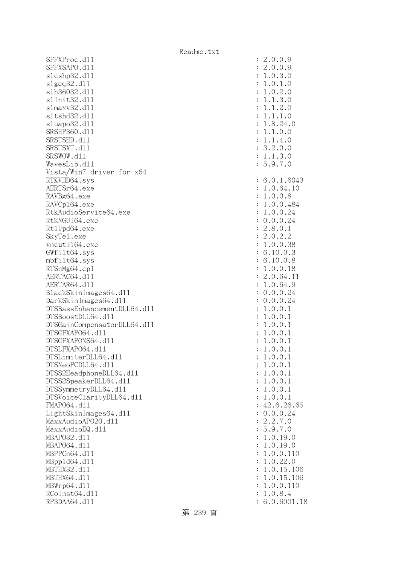SFFXProc.d11 SFFXSAPO.d11 slcshp32.dl1 slgeq32.dl1 slh36032.dl1 s1Init32.d11 slmaxv32.dl1 sltshd32.d11 sluapo32.dl1 SRSHP360.d11 SRSTSHD.d11 SRSTSXT.d11 SRSWOW.d11 WavesLib.dl1 Vista/Win7 driver for x64 RTKVHD64.sys AERTSr64.exe RAVBg64.exe RAVCp164.exe RtkAudioService64.exe RtkNGUI64.exe Rt1Upd64.exe SkyTe1.exe vncuti164.exe  $GWfilt64.sys$  $mbfilt64.sys$ RTSnMg64.cp1 AERTAC64.dl1 AERTAR64.d11 BlackSkinImages64.dll DarkSkinImages64.dll DTSBassEnhancementDLL64.dl1 DTSBoostDLL64.dl1 DTSGainCompensatorDLL64.dll DTSGFXAPO64.dl1 DTSGFXAPONS64.dl1 DTSLFXAP064.dl1 DTSLimiterDLL64.dl1 DTSNeoPCDLL64.dl1 DTSS2HeadphoneDLL64.d11 DTSS2SpeakerDLL64.dl1 DTSSymmetryDLL64.dl1 DTSVoiceClarityDLL64.dl1 FMAP064.d11 LightSkinImages64.dl1 MaxxAudioAPO20.dll MaxxAudioEQ.dll MBAP032.d11 MBAP064.d11 MBPPCn64.d11 MBpp1d64.dl1 MBTHX32.d11 MBTHX64.d11 MBWrp64.dl1 RCoInst64.dl1 RP3DAA64.d11 : 6.0.6001.18

第 239 頁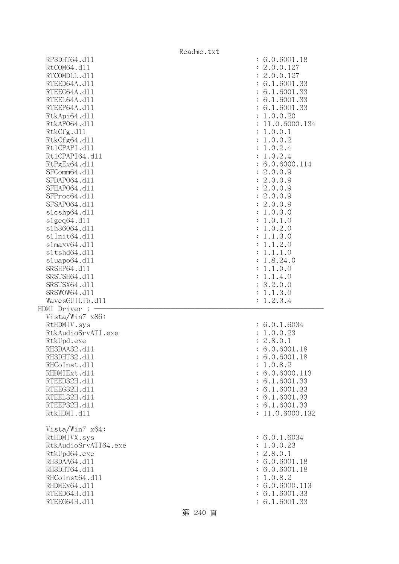|                              | Readme.txt                     |
|------------------------------|--------------------------------|
| RP3DHT64.d11                 | : 6.0.6001.18                  |
| RtCOM64.d11                  | : 2.0.0.127                    |
| RTCOMDLL.d11                 | : 2.0.0.127                    |
| RTEED64A.d11                 | : 6.1.6001.33                  |
| RTEEG64A.d11                 | : 6.1.6001.33                  |
| RTEEL64A.d11                 | : 6.1.6001.33                  |
| RTEEP64A.d11                 | : 6.1.6001.33                  |
| RtkApi64.d11                 | : 1.0.0.20                     |
| RtkAP064.d11                 | : 11.0.6000.134                |
| RtkCfg.d11                   | : 1.0.0.1                      |
|                              |                                |
| RtkCfg64.d11                 | : 1.0.0.2                      |
| Rt1CPAPI.d11                 | : 1.0.2.4                      |
| Rt1CPAPI64.d11               | : 1.0.2.4                      |
| RtPgEx64.d11                 | : 6.0.6000.114                 |
| SFComm64.d11                 | : 2.0.0.9                      |
| SFDAP064.d11                 | : 2.0.0.9                      |
| SFHAP064.d11                 | : 2.0.0.9                      |
| SFProc64.d11                 | : 2.0.0.9                      |
| SFSAP064.d11                 | : 2.0.0.9                      |
| s1cshp64.d11                 | : 1.0.3.0                      |
| s1geq64. d11                 | : 1.0.1.0                      |
| s1h36064.d11                 | 1.0.2.0<br>$\ddot{\cdot}$      |
| s1Init64.d11                 | 1.1.3.0<br>$\ddot{\cdot}$      |
| slmaxv64.d11                 | 1.1.2.0<br>$\ddot{\cdot}$      |
| s1tshd64.d11                 | 1.1.1.0<br>$\ddot{\cdot}$      |
| sluapo64.d11                 | 1.8.24.0<br>$\ddot{\cdot}$     |
| SRSHP64.d11                  | 1.1.0.0<br>$\ddot{\cdot}$      |
| SRSTSH64.d11                 | 1.1.4.0<br>$\ddot{\cdot}$      |
| SRSTSX64.d11                 | : 3.2.0.0                      |
| SRSWOW64.d11                 | 1.1.3.0<br>$\ddot{\cdot}$      |
| WavesGUILib.d11<br>1.2.3.4   |                                |
| HDMI Driver : -              |                                |
| Vista/Win7 x86:              |                                |
|                              |                                |
| RtHDMIV.sys                  | : 6.0.1.6034                   |
| RtkAudioSrvATI.exe           | : 1.0.0.23                     |
| RtkUpd.exe                   | : 2.8.0.1                      |
| RH3DAA32.d11                 | : 6.0.6001.18                  |
| RH3DHT32.d11                 | : 6.0.6001.18                  |
| RHCoInst.d11                 | : 1.0.8.2                      |
| RHDMIExt.d11                 | : 6.0.6000.113                 |
| RTEED32H.d11                 | : 6.1.6001.33                  |
| RTEEG32H.d11                 | : 6.1.6001.33                  |
| RTEEL32H.d11                 | : 6.1.6001.33                  |
| RTEEP32H.d11                 | : 6.1.6001.33                  |
| RtkHDMI.d11                  | : 11.0.6000.132                |
|                              |                                |
| Vista/Win7 x64:              |                                |
| RtHDMIVX.sys                 | : 6.0.1.6034                   |
| RtkAudioSrvATI64.exe         | : 1.0.0.23                     |
| RtkUpd64.exe                 | : 2.8.0.1                      |
| RH3DAA64.d11                 | : 6.0.6001.18                  |
| RH3DHT64.d11                 | : 6.0.6001.18                  |
| RHCoInst64.d11               | 1.0.8.2<br>÷                   |
| RHDMEx64.d11                 |                                |
|                              |                                |
|                              | : 6.0.6000.113                 |
| RTEED64H.d11<br>RTEEG64H.d11 | : 6.1.6001.33<br>: 6.1.6001.33 |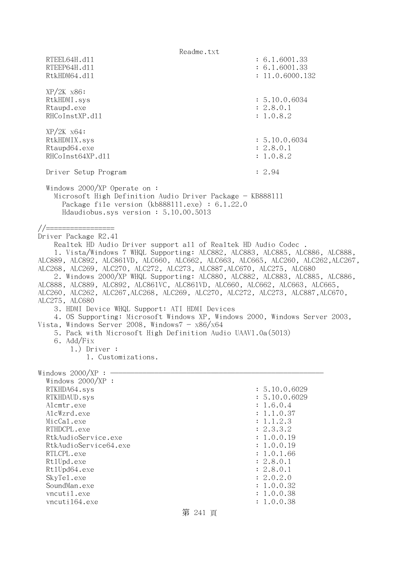Readme.txt RTEEL64H.d11 : 6.1.6001.33 RTEEP64H.dll : 6.1.6001.33 RtkHDM64.d11 : 11.0.6000.132 XP/2K x86: RtkHDMI.sys : 5.10.0.6034 Rtaupd.exe : 2.8.0.1 RHCoInstXP.d11 : 1.0.8.2 XP/2K x64: RtkHDMIX.sys : 5.10.0.6034 Rtaupd64.exe : 2.8.0.1 RHCoInst64XP.d11 : 1.0.8.2 Driver Setup Program : 2.94 Windows 2000/XP Operate on : Microsoft High Definition Audio Driver Package - KB888111 Package file version (kb888111.exe) : 6.1.22.0 Hdaudiobus.sys version : 5.10.00.5013 //================= Driver Package R2.41 Realtek HD Audio Driver support all of Realtek HD Audio Codec . 1. Vista/Windows 7 WHQL Supporting: ALC882, ALC883, ALC885, ALC886, ALC888, ALC889, ALC892, ALC861VD, ALC660, ALC662, ALC663, ALC665, ALC260, ALC262,ALC267, ALC268, ALC269, ALC270, ALC272, ALC273, ALC887,ALC670, ALC275, ALC680 2. Windows 2000/XP WHQL Supporting: ALC880, ALC882, ALC883, ALC885, ALC886, ALC888, ALC889, ALC892, ALC861VC, ALC861VD, ALC660, ALC662, ALC663, ALC665, ALC260, ALC262, ALC267,ALC268, ALC269, ALC270, ALC272, ALC273, ALC887,ALC670, ALC275, ALC680 3. HDMI Device WHQL Support: ATI HDMI Devices 4. OS Supporting: Microsoft Windows XP, Windows 2000, Windows Server 2003, Vista, Windows Server 2008, Windows $7 - x86/x64$  5. Pack with Microsoft High Definition Audio UAAV1.0a(5013) 6. Add/Fix 1.) Driver : 1. Customizations. Windows  $2000/XP : -$  Windows 2000/XP : RTKHDA64.sys : 5.10.0.6029 RTKHDAUD.sys : 5.10.0.6029 Alcmtr.exe : 1.6.0.4 AlcWzrd.exe : 1.1.0.37 MicCal.exe : 1.1.2.3 RTHDCPL.exe : 2.3.3.2 RtkAudioService.exe : 1.0.0.19 RtkAudioService64.exe : 1.0.0.19 RTLCPL.exe : 1.0.1.66 Rt1Upd.exe : 2.8.0.1<br>Rt1Upd64.exe : 2.8.0.1<br>Rt1Upd64.exe : 2.8.0.1 Rt1Upd64.exe SkyTel.exe : 2.0.2.0 SoundMan.exe : 1.0.0.32 vncutil.exe : 1.0.0.38 vncuti164.exe : 1.0.0.38 第 241 頁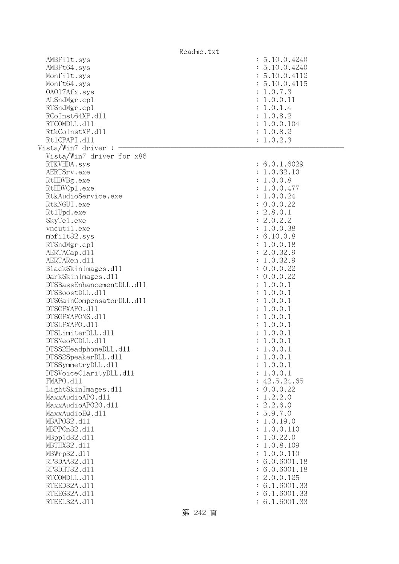| Readme.txt                                                               |                |                                                                               |
|--------------------------------------------------------------------------|----------------|-------------------------------------------------------------------------------|
| AMBFilt.sys<br>AMBFt64.sys<br>Monfilt.sys<br>Monft64.sys<br>0A017Afx.sys |                | : 5.10.0.4240<br>: 5.10.0.4240<br>: 5.10.0.4112<br>: 5.10.0.4115<br>: 1.0.7.3 |
| ALSndMgr.cp1<br>RTSndMgr.cp1                                             |                | : 1.0.0.11<br>: 1.0.1.4                                                       |
| RCoInst64XP.d11<br>RTCOMDLL.d11                                          |                | : 1.0.8.2<br>: 1.0.0.104                                                      |
| RtkCoInstXP.d11                                                          |                | : 1.0.8.2                                                                     |
| Rt1CPAPI.d11<br>Vista/Win7 driver :                                      |                | : 1.0.2.3                                                                     |
| Vista/Win7 driver for x86                                                |                |                                                                               |
| RTKVHDA.sys                                                              |                | : 6.0.1.6029                                                                  |
| AERTSrv.exe                                                              |                | : 1.0.32.10                                                                   |
| RtHDVBg.exe                                                              |                | : 1.0.0.8                                                                     |
| RtHDVCp1.exe                                                             |                | 1.0.0.477                                                                     |
| RtkAudioService.exe                                                      |                | 1.0.0.24                                                                      |
| RtkNGUI.exe                                                              |                | : 0.0.0.22                                                                    |
| Rt1Upd.exe                                                               |                | 2.8.0.1                                                                       |
| SkyTe1.exe                                                               | $\ddot{\cdot}$ | 2.0.2.2                                                                       |
| vncutil.exe                                                              |                | 1.0.0.38                                                                      |
| mbfilt32.sys                                                             |                | : 6.10.0.8                                                                    |
| RTSndMgr.cp1                                                             |                | 1.0.0.18                                                                      |
| AERTACap.d11                                                             | $\ddot{\cdot}$ | 2.0.32.9                                                                      |
| AERTARen.d11                                                             | $\ddot{\cdot}$ | 1.0.32.9                                                                      |
| BlackSkinImages.d11                                                      |                | : 0.0.0.22                                                                    |
| DarkSkinImages.d11                                                       |                | 0.0.0.22                                                                      |
| DTSBassEnhancementDLL.d11                                                |                | 1.0.0.1                                                                       |
| DTSBoostDLL.d11                                                          |                | 1.0.0.1                                                                       |
| DTSGainCompensatorDLL.d11                                                |                | 1.0.0.1                                                                       |
| DTSGFXAPO.d11                                                            |                | 1.0.0.1                                                                       |
| DTSGFXAPONS.d11                                                          |                | 1.0.0.1                                                                       |
| DTSLFXAPO.d11                                                            |                | : 1.0.0.1                                                                     |
| DTSLimiterDLL.d11                                                        | $\ddot{\cdot}$ | 1.0.0.1                                                                       |
| DTSNeoPCDLL.d11                                                          |                | : 1.0.0.1                                                                     |
| DTSS2HeadphoneDLL.d11                                                    |                | 1.0.0.1                                                                       |
| DTSS2SpeakerDLL.d11                                                      |                | 1.0.0.1                                                                       |
| DTSSymmetryDLL.d11<br>DTSVoiceClarityDLL.dl1                             |                | 1.0.0.1<br>1.0.0.1                                                            |
| FMAPO.d11                                                                |                | 42.5.24.65                                                                    |
| LightSkinImages.d11                                                      |                | 0.0.0.22                                                                      |
| MaxxAudioAPO.d11                                                         |                | 1.2.2.0                                                                       |
| MaxxAudioAP020.dll                                                       |                | 2.2.6.0                                                                       |
| MaxxAudioEQ.d11                                                          |                | 5.9.7.0                                                                       |
| MBAP032.d11                                                              |                | 1.0.19.0                                                                      |
| MBPPCn32.d11                                                             |                | 1.0.0.110                                                                     |
| MBpp1d32.d11                                                             |                | 1.0.22.0                                                                      |
| MBTHX32.d11                                                              |                | 1.0.8.109                                                                     |
| MBWrp32.d11                                                              |                | 1.0.0.110                                                                     |
| RP3DAA32.d11                                                             |                | 6.0.6001.18                                                                   |
| RP3DHT32.d11                                                             |                | 6.0.6001.18                                                                   |
| RTCOMDLL.d11                                                             |                | 2.0.0.125                                                                     |
| RTEED32A.d11                                                             |                | 6.1.6001.33                                                                   |
| RTEEG32A.d11                                                             |                | 6.1.6001.33                                                                   |
| RTEEL32A.d11                                                             |                | 6.1.6001.33                                                                   |
|                                                                          |                |                                                                               |

第 242 頁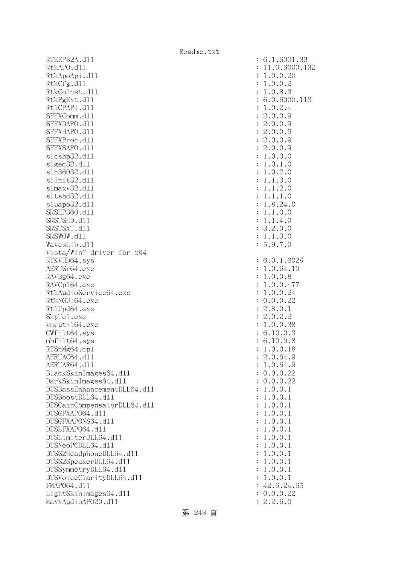RTEEP32A.d11 : 6.1.6001.33 RtkAPO.d11 : 11.0.6000.132 RtkApoApi.dl1 : 1.0.0.20 : 1.0.0.20 RtkCfg.dl1 : 1.0.0.2 RtkCoInst.dl1 : 1.0.8.3 RtkPgExt.dll : 6.0.6000.113 RtlCPAPI.dll : 1.0.2.4 SFFXComm.d11 : 2.0.0.9 SFFXDAPO.dll : 2.0.0.9 SFFXHAPO.d11 : 2.0.0.9 SFFXProc.d11 : 2.0.0.9 SFFXSAPO.d11 : 2.0.0.9 slcshp32.dll : 1.0.3.0 slgeq32.dll : 1.0.1.0 slh36032.dll : 1.0.2.0 slInit32.dll : 1.1.3.0 slmaxv32.dll : 1.1.2.0 sltshd32.dl1 : 1.1.1.0 sluapo32.dll : 1.8.24.0 SRSHP360.d11 : 1.1.0.0 SRSTSHD.d11 : 1.1.4.0 SRSTSXT.d11 : 3.2.0.0 SRSWOW.d11 : 1.1.3.0 WavesLib.dll : 5.9.7.0 Vista/Win7 driver for x64 RTKVHD64.sys : 6.0.1.6029 AERTSr64.exe : 1.0.64.10 RAVBg64.exe : 1.0.0.8 RAVCp164.exe : 1.0.0.477 RtkAudioService64.exe : 1.0.0.24 RtkNGUI64.exe : 0.0.0.22 Rt1Upd64.exe : 2.8.0.1 SkyTel.exe : 2.0.2.2 vncuti164.exe : 1.0.0.38 GWfilt64.sys : 6.10.0.3 mbfilt64.sys : 6.10.0.8 RTSnMg64.cp1 : 1.0.0.18 AERTAC64.d11 : 2.0.64.9 AERTAR64.d11 : 1.0.64.9 BlackSkinImages64.dl1 : 0.0.0.22 DarkSkinImages64.dll : 0.0.0.22 DTSBassEnhancementDLL64.dl1 : 1.0.0.1 DTSBoostDLL64.dll : 1.0.0.1 DTSGainCompensatorDLL64.dll : 1.0.0.1 DTSGFXAPO64.dll : 1.0.0.1 DTSGFXAPONS64.dll : 1.0.0.1 DTSLFXAP064.dl1 : 1.0.0.1  $DTSLimiter DL64. d11$  :  $1.0.0.1$  $DTSNeoPCDLL64. d11$  :  $1.0.0.1$ DTSS2HeadphoneDLL64.dl1 : 1.0.0.1 DTSS2SpeakerDLL64.dl1 : 1.0.0.1 DTSSymmetryDLL64.dl1 : 1.0.0.1 DTSVoiceClarityDLL64.dll : 1.0.0.1 FMAPO64.d11 : 42.6.24.65 LightSkinImages64.dll : 0.0.0.22 MaxxAudioAPO20.dll : 2.2.6.0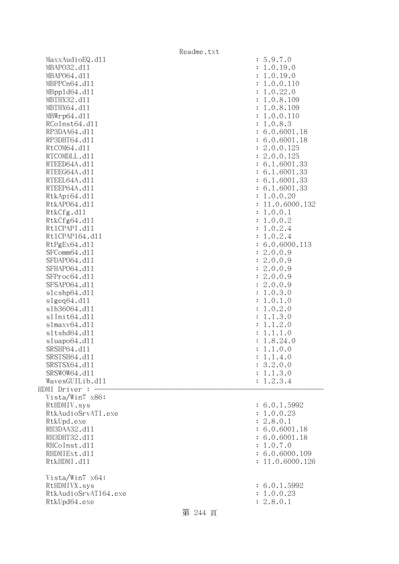|                                  | Readme.txt      |
|----------------------------------|-----------------|
| MaxxAudioEQ.d11                  | : 5.9.7.0       |
| MBAP032.d11                      | : 1.0.19.0      |
| MBAP064.d11                      | : 1.0.19.0      |
| MBPPCn64.d11                     | : 1.0.0.110     |
| MBpp1d64.d11                     | : 1.0.22.0      |
| MBTHX32.d11                      | : 1.0.8.109     |
| MBTHX64.d11                      | : 1.0.8.109     |
| MBWrp64.dl1                      | : 1.0.0.110     |
| RCoInst64.d11                    | : 1.0.8.3       |
| RP3DAA64.d11                     | : 6.0.6001.18   |
| RP3DHT64.d11                     | : 6.0.6001.18   |
| RtCOM64.d11                      | : 2.0.0.125     |
| RTCOMDLL.d11                     | : 2.0.0.125     |
| RTEED64A.d11                     | : 6.1.6001.33   |
| RTEEG64A.d11                     | : 6.1.6001.33   |
| RTEEL64A.d11                     | : 6.1.6001.33   |
| RTEEP64A.d11                     | : 6.1.6001.33   |
| RtkApi64.dl1                     | : 1.0.0.20      |
| RtkAP064.d11                     | : 11.0.6000.132 |
| RtkCfg.d11                       | : 1.0.0.1       |
| RtkCfg64.d11                     | : 1.0.0.2       |
| Rt1CPAPI.d11                     | : 1.0.2.4       |
| Rt1CPAPI64.d11                   | : 1.0.2.4       |
| RtPgEx64.d11                     | : 6.0.6000.113  |
| SFComm64.d11                     | : 2.0.0.9       |
| SFDAP064.d11                     | : 2.0.0.9       |
| SFHAP064.d11                     | : 2.0.0.9       |
| SFProc64.d11                     | : 2.0.0.9       |
| SFSAP064.d11                     | : 2.0.0.9       |
| s1cshp64.d11                     | : 1.0.3.0       |
| slgeq64. d11                     | : 1.0.1.0       |
| s1h36064.d11                     | : 1.0.2.0       |
| s1Init64.d11                     | : 1.1.3.0       |
| slmaxv64. d11                    | : 1.1.2.0       |
| s1tshd64.d11                     | : 1.1.1.0       |
| sluapo64.d11                     | : 1.8.24.0      |
| SRSHP64.d11                      | : 1.1.0.0       |
| SRSTSH64.d11                     | : 1.1.4.0       |
| SRSTSX64.d11                     | : 3.2.0.0       |
| SRSWOW64.d11                     | : 1.1.3.0       |
| WavesGUILib.d11<br>HDMI Driver : | : 1.2.3.4       |
| Vista/Win7 x86:                  |                 |
| RtHDMIV.sys                      | : 6.0.1.5992    |
| RtkAudioSrvATI.exe               | : 1.0.0.23      |
| RtkUpd.exe                       | : 2.8.0.1       |
| RH3DAA32.d11                     | : 6.0.6001.18   |
| RH3DHT32.d11                     | : 6.0.6001.18   |
| RHCoInst.d11                     | : 1.0.7.0       |
| RHDMIExt.d11                     | : 6.0.6000.109  |
| RtkHDMI.d11                      | : 11.0.6000.126 |
|                                  |                 |
| Vista/Win7 x64:                  |                 |
| RtHDMIVX.sys                     | : 6.0.1.5992    |
| RtkAudioSrvATI64.exe             | : 1.0.0.23      |
| RtkUpd64.exe                     | : 2.8.0.1       |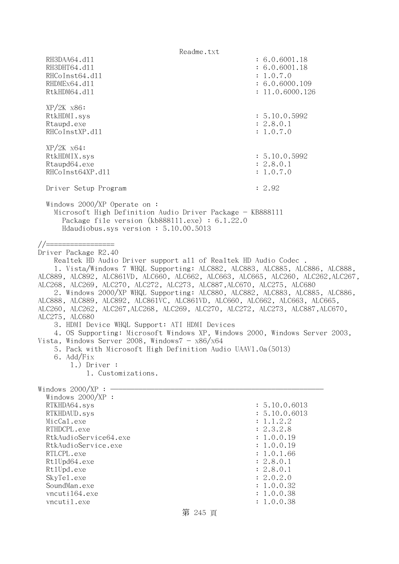Readme.txt RH3DAA64.d11 : 6.0.6001.18 RH3DHT64.d11 : 6.0.6001.18 RHCoInst64.d11 : 1.0.7.0 RHDMEx64.d11 : 6.0.6000.109 RtkHDM64.d11 : 11.0.6000.126 XP/2K x86: RtkHDMI.sys : 5.10.0.5992 Rtaupd.exe : 2.8.0.1 RHCoInstXP.d11 : 1.0.7.0 XP/2K x64: RtkHDMIX.sys : 5.10.0.5992 Rtaupd64.exe : 2.8.0.1 RHCoInst64XP.d11 : 1.0.7.0 Driver Setup Program : 2.92 Windows 2000/XP Operate on : Microsoft High Definition Audio Driver Package - KB888111 Package file version (kb888111.exe) : 6.1.22.0 Hdaudiobus.sys version : 5.10.00.5013 //================= Driver Package R2.40 Realtek HD Audio Driver support all of Realtek HD Audio Codec . 1. Vista/Windows 7 WHQL Supporting: ALC882, ALC883, ALC885, ALC886, ALC888, ALC889, ALC892, ALC861VD, ALC660, ALC662, ALC663, ALC665, ALC260, ALC262,ALC267, ALC268, ALC269, ALC270, ALC272, ALC273, ALC887,ALC670, ALC275, ALC680 2. Windows 2000/XP WHQL Supporting: ALC880, ALC882, ALC883, ALC885, ALC886, ALC888, ALC889, ALC892, ALC861VC, ALC861VD, ALC660, ALC662, ALC663, ALC665, ALC260, ALC262, ALC267,ALC268, ALC269, ALC270, ALC272, ALC273, ALC887,ALC670, ALC275, ALC680 3. HDMI Device WHQL Support: ATI HDMI Devices 4. OS Supporting: Microsoft Windows XP, Windows 2000, Windows Server 2003, Vista, Windows Server 2008, Windows $7 - x86/x64$  5. Pack with Microsoft High Definition Audio UAAV1.0a(5013) 6. Add/Fix 1.) Driver : 1. Customizations. Windows  $2000/XP : -$ Windows  $2000/XP$  : RTKHDA64.sys : 5.10.0.6013 RTKHDAUD.sys : 5.10.0.6013 MicCal.exe : 1.1.2.2 RTHDCPL.exe : 2.3.2.8 RtkAudioService64.exe : 1.0.0.19 RtkAudioService.exe : 1.0.0.19 RTLCPL.exe : 1.0.1.66<br>Rt1Upd64.exe : 2.8.0.1 Rt1Upd64.exe Rt1Upd.exe : 2.8.0.1 SkyTel.exe : 2.0.2.0 SoundMan.exe : 1.0.0.32 vncuti164.exe : 1.0.0.38 vncutil.exe : 1.0.0.38

# 第 245 頁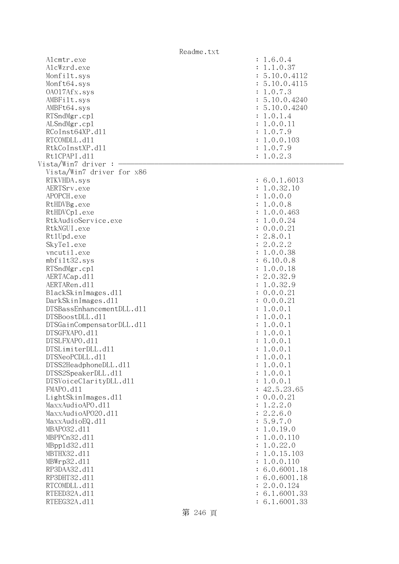|                             | Readme.txt |                          |
|-----------------------------|------------|--------------------------|
| Alcmtr.exe                  |            | : 1.6.0.4                |
| AlcWzrd.exe                 |            | : 1.1.0.37               |
| Monfilt.sys                 |            | : 5.10.0.4112            |
| Monft64.sys                 |            | : 5.10.0.4115            |
| 0A017Afx.sys                |            | : 1.0.7.3                |
| AMBFilt.sys                 |            | : 5.10.0.4240            |
| AMBFt64.sys                 |            | : 5.10.0.4240            |
| RTSndMgr.cp1                |            | : 1.0.1.4                |
| ALSndMgr.cp1                |            | : 1.0.0.11               |
| RCoInst64XP.d11             |            | : 1.0.7.9                |
| RTCOMDLL.d11                |            | : 1.0.0.103              |
| RtkCoInstXP.d11             |            | : 1.0.7.9                |
| Rt1CPAPI.d11                |            | : 1.0.2.3                |
| Vista/Win7 driver :         |            |                          |
| Vista/Win7 driver for x86   |            |                          |
| RTKVHDA.sys                 |            | : 6.0.1.6013             |
| AERTSrv.exe                 |            | : 1.0.32.10              |
| APOPCH.exe                  |            | : 1.0.0.0                |
| RtHDVBg.exe                 |            | : 1.0.0.8                |
| RtHDVCp1.exe                |            | : 1.0.0.463              |
| RtkAudioService.exe         |            | : 1.0.0.24               |
| RtkNGUI.exe                 |            | : 0.0.0.21               |
| Rt1Upd.exe                  |            | : 2.8.0.1                |
| SkyTe1.exe                  |            | : 2.0.2.2                |
| vncutil.exe<br>mbfilt32.sys |            | : 1.0.0.38<br>: 6.10.0.8 |
| RTSndMgr.cp1                |            | : 1.0.0.18               |
| AERTACap.d11                |            | : 2.0.32.9               |
| AERTARen.d11                |            | : 1.0.32.9               |
| BlackSkinImages.dl1         |            | : 0.0.0.21               |
| DarkSkinImages.d11          |            | : 0.0.0.21               |
| DTSBassEnhancementDLL.d11   |            | : 1.0.0.1                |
| DTSBoostDLL.d11             |            | : 1.0.0.1                |
| DTSGainCompensatorDLL.d11   |            | : 1.0.0.1                |
| DTSGFXAPO.d11               |            | : 1.0.0.1                |
| DTSLFXAPO.d11               |            | : 1.0.0.1                |
| DTSLimiterDLL.d11           |            | : 1.0.0.1                |
| DTSNeoPCDLL.d11             |            | : 1.0.0.1                |
| DTSS2HeadphoneDLL.d11       |            | : 1.0.0.1                |
| DTSS2SpeakerDLL.d11         |            | : 1.0.0.1                |
| DTSVoiceClarityDLL.dl1      |            | : 1.0.0.1                |
| FMAPO.d11                   |            | : 42.5.23.65             |
| LightSkinImages.d11         |            | : 0.0.0.21               |
| MaxxAudioAPO.dll            |            | : 1.2.2.0                |
| MaxxAudioAP020.dll          |            | : 2.2.6.0                |
| MaxxAudioEQ.d11             |            | : 5.9.7.0                |
| MBAP032.d11                 |            | : 1.0.19.0               |
| MBPPCn32.d11                |            | : 1.0.0.110              |
| MBpp1d32.d11                |            | : 1.0.22.0               |
| MBTHX32.d11                 |            | : 1.0.15.103             |
| MBWrp32.d11                 |            | : 1.0.0.110              |
| RP3DAA32.d11                |            | : 6.0.6001.18            |
| RP3DHT32.d11                |            | : 6.0.6001.18            |
| RTCOMDLL.d11                |            | : 2.0.0.124              |
| RTEED32A.d11                |            | : 6.1.6001.33            |
| RTEEG32A.d11                |            | : 6.1.6001.33            |
|                             | 第 246 頁    |                          |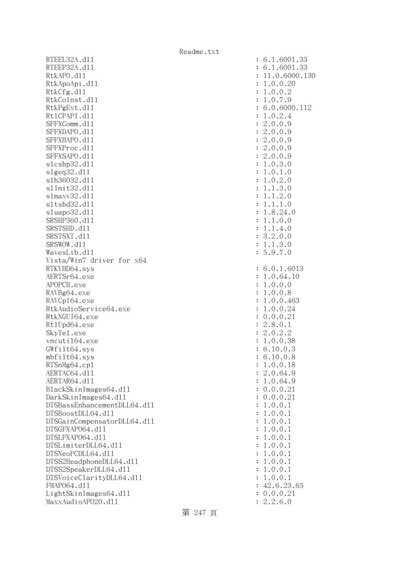RTEEL32A.d11 RTEEP32A.d11 RtkAPO.d11 : 11.0.6000.130 RtkApoApi.dll RtkCfg.dll RtkCoInst.dl1 RtkPgExt.dl1 Rt1CPAPI.d11 SFFXComm.dl1 SFFXDAPO.d11 SFFXHAPO.d11 SFFXProc.dl1 SFFXSAPO.d11 slcshp32.dl1 slgeq32.dll slh36032.dl1 s1Init32.d11 s1maxv32.d11 sltshd32.d11 sluapo32.dl1 SRSHP360.d11 SRSTSHD.d11 SRSTSXT.d11 SRSWOW.dll WavesLib.dl1 Vista/Win7 driver for x64 RTKVHD64.sys AERTSr64.exe APOPCH.exe RAVBg64.exe RAVCp164.exe RtkAudioService64.exe RtkNGUI64.exe Rt1Upd64.exe SkyTel.exe vncuti164.exe  $GWfilt64.sys$ mbfilt64.sys RTSnMg64.cp1 AERTAC64.dl1 AERTAR64.d11 BlackSkinImages64.dll DarkSkinImages64.dll DTSBassEnhancementDLL64.dl1 DTSBoostDLL64.d11 DTSGainCompensatorDLL64.dll DTSGFXAPO64.dl1 DTSLFXAP064.d11 DTSLimiterDLL64.dl1 DTSNeoPCDLL64.dl1 DTSS2HeadphoneDLL64.dl1 DTSS2SpeakerDLL64.dl1 DTSVoiceClarityDLL64.dll FMAP064.d11 LightSkinImages64.dl1 MaxxAudioAP020.dll

| $\ddot{\cdot}$<br>$\ddot{\cdot}$<br>$\ddot{\cdot}$<br>$\ddot{\cdot}$<br>$\ddot{\cdot}$<br>$\ddot{\cdot}$<br>$\ddot{\cdot}$<br>$\ddot{\cdot}$<br>$\ddot{\cdot}$<br>$\ddot{\cdot}$<br>$\ddot{\cdot}$<br>$\ddot{\cdot}$<br>$\ddot{\cdot}$<br>$\ddot{\cdot}$<br>$\ddot{\cdot}$<br>$\ddot{\cdot}$<br>$\ddot{\cdot}$<br>$\ddot{\cdot}$<br>$\ddot{\cdot}$<br>$\ddot{\cdot}$<br>$\ddot{\cdot}$<br>$\ddot{\cdot}$<br>$\ddot{\cdot}$<br>$\ddot{\cdot}$<br>$\vdots$                                                                                                 | 6.1.6001.33<br>6.1.6001.33<br>11.0.6000.13<br>1.0.0.20<br>1.0.0.2<br>.0.7.9<br>$\mathbf{1}$<br>6.0.6000.112<br>.0.2.4<br>$\mathbf 1$<br>$\overline{c}$<br>.0.0.9<br>$\overline{c}$<br>.0.0.9<br>$\overline{c}$<br>.0.0.9<br>$\overline{c}$<br>.0.0.9<br>$\overline{c}$<br>.0.0.9<br>1.0.3.0<br>1.0.<br>$\mathbf 1$<br>$\cdot$ 0<br>1.0.2.0<br>1.3.0<br>$1$ .<br>$1.2.0$<br>$1.1.1.0$<br>$\mathbf 1$<br>$\mathbf 1$<br>.8.24.0<br>$\mathbf{1}$<br>.1.0.0<br>$\mathbf{1}$<br>.1.4.0<br>$\mathbf 1$<br>3.2.0.0<br>.1.3.0<br>$\mathbf 1$<br>5.9.7.0                                                                                                                                                                                                                                                                                                                                                                                                                                                                                                                                                                                                                                                              |
|----------------------------------------------------------------------------------------------------------------------------------------------------------------------------------------------------------------------------------------------------------------------------------------------------------------------------------------------------------------------------------------------------------------------------------------------------------------------------------------------------------------------------------------------------------|--------------------------------------------------------------------------------------------------------------------------------------------------------------------------------------------------------------------------------------------------------------------------------------------------------------------------------------------------------------------------------------------------------------------------------------------------------------------------------------------------------------------------------------------------------------------------------------------------------------------------------------------------------------------------------------------------------------------------------------------------------------------------------------------------------------------------------------------------------------------------------------------------------------------------------------------------------------------------------------------------------------------------------------------------------------------------------------------------------------------------------------------------------------------------------------------------------------|
| $\ddot{\cdot}$<br>$\ddot{\cdot}$<br>$\ddot{\cdot}$<br>$\ddot{\cdot}$<br>$\ddot{\cdot}$<br>$\ddot{\cdot}$<br>$\ddot{\cdot}$<br>$\ddot{\cdot}$<br>$\ddot{\cdot}$<br>$\ddot{\cdot}$<br>$\ddot{\cdot}$<br>$\ddot{\cdot}$<br>$\ddot{\cdot}$<br>$\ddot{\cdot}$<br>$\ddot{\cdot}$<br>$\ddot{\cdot}$<br>$\ddot{\cdot}$<br>$\ddot{\cdot}$<br>$\ddot{\cdot}$<br>$\ddot{\cdot}$<br>$\ddot{\cdot}$<br>$\ddot{\cdot}$<br>$\ddot{\cdot}$<br>$\ddot{\cdot}$<br>$\ddot{\cdot}$<br>$\ddot{\cdot}$<br>$\ddot{\cdot}$<br>$\ddot{\cdot}$<br>$\ddot{\cdot}$<br>$\ddot{\cdot}$ | 6.0.1.6013<br>1.0.64.10<br>$\mathbf 1$<br>.0.0.0<br>$\mathbf 1$<br>.0.0.8<br>.0.0.463<br>$\mathbf 1$<br>.0.0.24<br>$\mathbf 1$<br>21<br>.0.0.<br>$\overline{O}$<br>.8.0.<br>$\mathbf{C}$<br>$\mathbf 1$<br>$\overline{c}$<br>$2.0.2.2$<br>1.0.0.38<br>6.10.0.3<br>6<br>$\ddot{\phantom{0}}$<br>10.0.8<br>$\ddot{\phantom{0}}$<br>0.0.<br>18<br>1<br>$\overline{c}$<br>0.64.<br>$\ddot{\phantom{a}}$<br>9<br>0.64.<br>$\ddot{\phantom{a}}$<br>9<br>$\mathbf 1$<br>0.0.2<br>$\ddot{\phantom{a}}$<br>$\overline{0}$<br>$\mathbf 1$<br>$\overline{c}$<br>0.0.0.<br>$\mathbf{1}$<br>$\ddot{\phantom{a}}$<br>0.0.<br>$\mathbf 1$<br>1<br>$\ddot{\phantom{0}}$<br>0.0.<br>$\mathbf{1}$<br>$\mathbf 1$<br>$\ddot{\phantom{0}}$<br>0.0.<br>$\mathbf 1$<br>1<br>$\ddot{\phantom{0}}$<br>0.0.<br>$\mathbf 1$<br>1<br>$\ddot{\phantom{0}}$<br>0.0.<br>$\mathbf 1$<br>1<br>$\ddot{\phantom{0}}$<br>0.0.<br>$\mathbf 1$<br>1<br>$\ddot{\phantom{0}}$<br>0.0.<br>$\mathbf 1$<br>1<br>$\ddot{\phantom{a}}$<br>0.0.<br>$\mathbf 1$<br>$\mathbf 1$<br>$\ddot{\phantom{a}}$<br>0.0.<br>$\mathbf 1$<br>$\mathbf 1$<br>0.0.<br>$\mathbf{1}$ .<br>$\mathbf 1$<br>.23.65<br>42<br>$\cdot$ 6<br>0.0.0.21<br>.2.6.0<br>$\overline{c}$ |

第 247 頁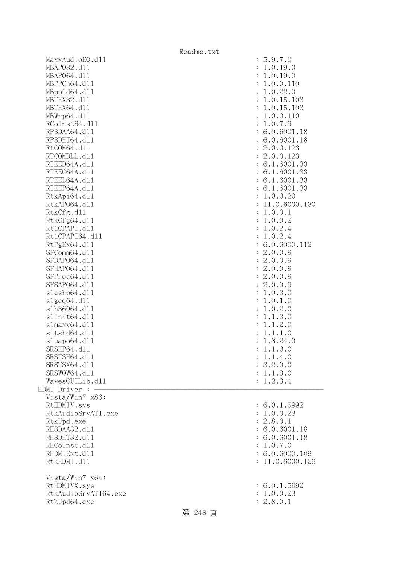|                      | Readme.txt      |
|----------------------|-----------------|
| MaxxAudioEQ.d11      | : 5.9.7.0       |
| MBAP032.d11          | : 1.0.19.0      |
| MBAP064.d11          | : 1.0.19.0      |
| MBPPCn64.d11         | : 1.0.0.110     |
| MBpp1d64.d11         | : 1.0.22.0      |
| MBTHX32.d11          | : 1.0.15.103    |
| MBTHX64.d11          | : 1.0.15.103    |
| MBWrp64.dl1          | : 1.0.0.110     |
| RCoInst64.d11        | : 1.0.7.9       |
| RP3DAA64.d11         | : 6.0.6001.18   |
| RP3DHT64.d11         | : 6.0.6001.18   |
| RtCOM64.d11          | : 2.0.0.123     |
| RTCOMDLL.d11         | : 2.0.0.123     |
| RTEED64A.d11         | : 6.1.6001.33   |
| RTEEG64A.d11         | : 6.1.6001.33   |
| RTEEL64A.d11         | : 6.1.6001.33   |
| RTEEP64A.d11         | : 6.1.6001.33   |
| RtkApi64.dl1         | : 1.0.0.20      |
| RtkAP064.d11         | : 11.0.6000.130 |
| RtkCfg.d11           | : 1.0.0.1       |
| RtkCfg64.d11         | : 1.0.0.2       |
| Rt1CPAPI.d11         | : 1.0.2.4       |
| Rt1CPAPI64.d11       | : 1.0.2.4       |
| RtPgEx64.d11         | : 6.0.6000.112  |
| SFComm64.d11         | : 2.0.0.9       |
| SFDAP064.d11         | : 2.0.0.9       |
| SFHAP064.d11         | : 2.0.0.9       |
| SFProc64.d11         | : 2.0.0.9       |
| SFSAP064.d11         | : 2.0.0.9       |
| s1cshp64.d11         | : 1.0.3.0       |
| slgeq64. d11         | : 1.0.1.0       |
| s1h36064.d11         | : 1.0.2.0       |
| s1Init64.d11         | : 1.1.3.0       |
| slmaxv64.d11         | : 1.1.2.0       |
| s1tshd64.d11         | : 1.1.1.0       |
| sluapo64.d11         | : 1.8.24.0      |
| SRSHP64.d11          | : 1.1.0.0       |
| SRSTSH64.d11         | : 1.1.4.0       |
| SRSTSX64.d11         | : 3.2.0.0       |
| SRSWOW64.d11         | : 1.1.3.0       |
| WavesGUILib.d11      | : 1.2.3.4       |
| HDMI Driver :        |                 |
| Vista/Win7 x86:      |                 |
| RtHDMIV.sys          | : 6.0.1.5992    |
| RtkAudioSrvATI.exe   | : 1.0.0.23      |
| RtkUpd.exe           | : 2.8.0.1       |
| RH3DAA32.d11         | : 6.0.6001.18   |
| RH3DHT32.d11         | : 6.0.6001.18   |
| RHCoInst.d11         | : 1.0.7.0       |
| RHDMIExt.d11         | : 6.0.6000.109  |
| RtkHDMI.d11          | : 11.0.6000.126 |
|                      |                 |
| Vista/Win7 x64:      |                 |
| RtHDMIVX.sys         | : 6.0.1.5992    |
| RtkAudioSrvATI64.exe | : 1.0.0.23      |
| RtkUpd64.exe         | : 2.8.0.1       |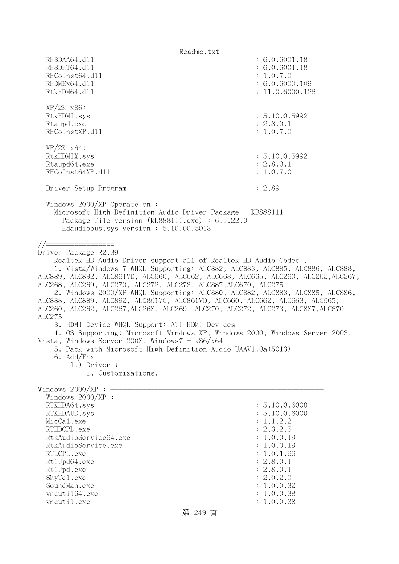Readme.txt RH3DAA64.d11 : 6.0.6001.18 RH3DHT64.d11 : 6.0.6001.18 RHCoInst64.d11 : 1.0.7.0 RHDMEx64.d11 : 6.0.6000.109 RtkHDM64.d11 : 11.0.6000.126 XP/2K x86: RtkHDMI.sys : 5.10.0.5992 Rtaupd.exe : 2.8.0.1 RHCoInstXP.d11 : 1.0.7.0 XP/2K x64: RtkHDMIX.sys : 5.10.0.5992 Rtaupd64.exe : 2.8.0.1 RHCoInst64XP.d11 : 1.0.7.0 Driver Setup Program : 2.89 Windows 2000/XP Operate on : Microsoft High Definition Audio Driver Package - KB888111 Package file version (kb888111.exe) : 6.1.22.0 Hdaudiobus.sys version : 5.10.00.5013 //================= Driver Package R2.39 Realtek HD Audio Driver support all of Realtek HD Audio Codec . 1. Vista/Windows 7 WHQL Supporting: ALC882, ALC883, ALC885, ALC886, ALC888, ALC889, ALC892, ALC861VD, ALC660, ALC662, ALC663, ALC665, ALC260, ALC262,ALC267, ALC268, ALC269, ALC270, ALC272, ALC273, ALC887,ALC670, ALC275 2. Windows 2000/XP WHQL Supporting: ALC880, ALC882, ALC883, ALC885, ALC886, ALC888, ALC889, ALC892, ALC861VC, ALC861VD, ALC660, ALC662, ALC663, ALC665, ALC260, ALC262, ALC267,ALC268, ALC269, ALC270, ALC272, ALC273, ALC887,ALC670, ALC275 3. HDMI Device WHQL Support: ATI HDMI Devices 4. OS Supporting: Microsoft Windows XP, Windows 2000, Windows Server 2003, Vista, Windows Server 2008, Windows $7 - x86/x64$  5. Pack with Microsoft High Definition Audio UAAV1.0a(5013) 6. Add/Fix 1.) Driver : 1. Customizations. Windows  $2000/XP : -$ Windows  $2000/XP$  : RTKHDA64.sys : 5.10.0.6000 RTKHDAUD.sys : 5.10.0.6000 MicCal.exe : 1.1.2.2 RTHDCPL.exe : 2.3.2.5 RtkAudioService64.exe : 1.0.0.19 RtkAudioService.exe : 1.0.0.19 RTLCPL.exe : 1.0.1.66<br>Rt1Upd64.exe : 2.8.0.1 Rt1Upd64.exe Rt1Upd.exe : 2.8.0.1 SkyTel.exe : 2.0.2.0 SoundMan.exe : 1.0.0.32 vncuti164.exe : 1.0.0.38 vncutil.exe : 1.0.0.38

# 第 249 頁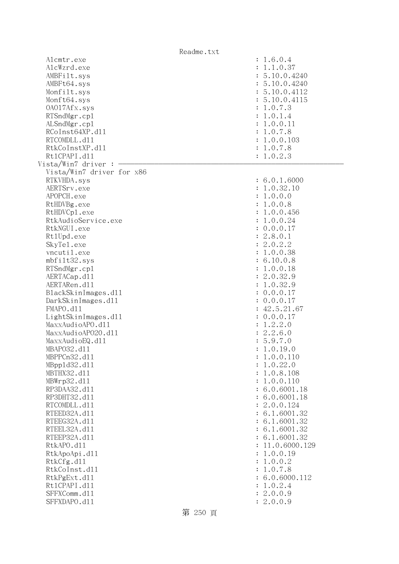| Readme.txt                               |                                          |
|------------------------------------------|------------------------------------------|
| Alcmtr.exe<br>AlcWzrd.exe<br>AMBFilt.sys | : 1.6.0.4<br>: 1.1.0.37<br>: 5.10.0.4240 |
| AMBFt64.sys                              | : 5.10.0.4240                            |
| Monfilt.sys                              | : 5.10.0.4112                            |
| Monft64.sys                              | : 5.10.0.4115                            |
| 0A017Afx.sys                             | : 1.0.7.3                                |
| RTSndMgr.cp1                             | : 1.0.1.4                                |
| ALSndMgr.cp1                             | : 1.0.0.11                               |
| RCoInst64XP.d11                          | : 1.0.7.8                                |
| RTCOMDLL.d11                             | : 1.0.0.103                              |
| RtkCoInstXP.d11                          | : 1.0.7.8                                |
| Rt1CPAPI.d11                             | : 1.0.2.3                                |
| Vista/Win7 driver :                      |                                          |
| Vista/Win7 driver for x86                |                                          |
| RTKVHDA.sys                              | : 6.0.1.6000                             |
| AERTSrv.exe                              | : 1.0.32.10                              |
| APOPCH.exe                               | : 1.0.0.0                                |
| RtHDVBg.exe                              | : 1.0.0.8                                |
| RtHDVCp1.exe                             | : 1.0.0.456                              |
| RtkAudioService.exe                      | : 1.0.0.24                               |
| RtkNGUI.exe                              | : 0.0.0.17                               |
| Rt1Upd.exe                               | : 2.8.0.1                                |
| SkyTe1.exe                               | : 2.0.2.2                                |
| vncutil.exe                              | : 1.0.0.38                               |
| mbfilt32.sys                             | : 6.10.0.8                               |
| RTSndMgr.cp1                             | : 1.0.0.18                               |
| AERTACap.d11                             | : 2.0.32.9                               |
| AERTARen.d11                             | : 1.0.32.9                               |
| BlackSkinImages.dl1                      | : 0.0.0.17                               |
| DarkSkinImages.d11<br>FMAPO.d11          | : 0.0.0.17<br>: 42.5.21.67               |
| LightSkinImages.d11                      | : 0.0.0.17                               |
| MaxxAudioAPO.dl1                         | : 1.2.2.0                                |
| MaxxAudioAP020.dll                       | : 2.2.6.0                                |
| MaxxAudioEQ.d11                          | : 5.9.7.0                                |
| MBAP032.d11                              | 1.0.19.0                                 |
| MBPPCn32.d11                             | 1.0.0.110                                |
| MBpp1d32.d11                             | 1.0.22.0                                 |
| MBTHX32.d11                              | 1.0.8.108                                |
| MBWrp32.d11                              | 1.0.0.110                                |
| RP3DAA32.d11                             | 6.0.6001.18                              |
| RP3DHT32.d11                             | : 6.0.6001.18                            |
| RTCOMDLL.d11                             | : 2.0.0.124                              |
| RTEED32A.d11                             | : 6.1.6001.32                            |
| RTEEG32A.d11                             | : 6.1.6001.32                            |
| RTEEL32A.d11                             | : 6.1.6001.32                            |
| RTEEP32A.d11                             | : 6.1.6001.32                            |
| RtkAPO.d11                               | 11.0.6000.129                            |
| RtkApoApi.d11                            | 1.0.0.19                                 |
| RtkCfg.d11<br>RtkCoInst.d11              | 1.0.0.2                                  |
| RtkPgExt.d11                             | 1.0.7.8<br>: 6.0.6000.112                |
| Rt1CPAPI.d11                             | 1.0.2.4                                  |
| SFFXComm.d11                             | 2.0.0.9                                  |
| SFFXDAPO.d11                             | : 2.0.0.9                                |
| 笠 으어 굴                                   |                                          |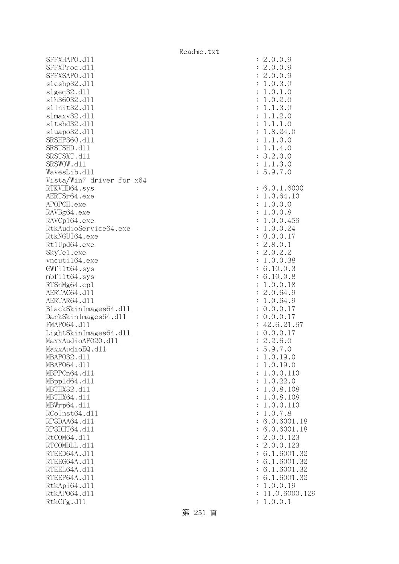SFFXHAPO.d11 SFFXProc.d11 SFFXSAPO.d11 slcshp32.dl1 slgeq32.dl1 slh36032.dl1 s1Init32.d11 slmaxv32.dl1 s1tshd32.d11 sluapo32.dl1 SRSHP360.d11 SRSTSHD.d11 SRSTSXT.d11 SRSWOW.dl1 WavesLib.dll Vista/Win7 driver for x64 RTKVHD64.sys AERTSr64.exe APOPCH.exe RAVBg64.exe RAVCp164.exe RtkAudioService64.exe RtkNGUI64.exe Rt1Upd64.exe SkyTel.exe vncuti164.exe  $GWfilt64.sys$ mbfilt64.sys RTSnMg64.cp1 AERTAC64.dl1 AERTAR64.d11 BlackSkinImages64.dll DarkSkinImages64.dl1 FMAP064.d11 LightSkinImages64.dl1 MaxxAudioAPO20.dll MaxxAudioEQ.dll MBAP032.d11 MBAP064.d11 MBPPCn64.d11 MBpp1d64.dl1 MBTHX32.d11 MBTHX64.d11 MBWrp64.dl1 RCoInst64.dl1 RP3DAA64.d11 RP3DHT64.d11 RtCOM64.d11 RTCOMDLL.d11 RTEED64A.d11 RTEEG64A.d11 RTEEL64A.d11 RTEEP64A.d11 RtkApi64.dll RtkAP064.dl1 : 11.0.6000.129 RtkCfg.dl1

| $\ddot{\cdot}$<br>$\ddot{\cdot}$<br>$\ddot{\cdot}$<br>$\ddot{\cdot}$<br>$\ddot{\cdot}$<br>$\ddot{\cdot}$<br>$\ddot{\cdot}$<br>$\ddot{\cdot}$<br>$\ddot{\cdot}$<br>$\ddot{\cdot}$<br>$\ddot{\cdot}$<br>$\ddot{\cdot}$<br>$\ddot{\cdot}$<br>$\ddot{\cdot}$<br>$\vdots$ | 2.0.0.9<br>2.0.0.9<br>2.0.0.9<br>.0.3.<br>$\mathbf{1}$<br>$\circ$<br>$\ddot{\phantom{0}}$<br>$\mathbf 1$<br>0.1<br>$\ddot{\phantom{0}}$<br>$\mathcal{O}$<br>0.2.<br>$\ddot{\phantom{0}}$<br>$\mathbf 1$<br>$\mathcal{O}$<br>$.3.0$<br>$.2.0$<br>$\mathbf 1$<br>$\ddot{\phantom{0}}$<br>$\mathbf 1$<br>$\mathbf 1$<br>$\ddot{\phantom{0}}$<br>$\mathbf{1}$<br>$\cdot$ 1<br>$\cdot$ 0<br>$\mathbf 1$<br>$\ddot{\phantom{0}}$<br>$\mathbf 1$<br>8.24.0<br>$\mathbf 1$<br>$\ddot{\phantom{0}}$<br>.1.0.0<br>$\mathbf 1$<br>.1.4.0<br>$\mathbf 1$<br>3.2.0.0<br>3.0<br>.1.<br>$\mathbf 1$<br>5.9.7.0 |
|----------------------------------------------------------------------------------------------------------------------------------------------------------------------------------------------------------------------------------------------------------------------|-------------------------------------------------------------------------------------------------------------------------------------------------------------------------------------------------------------------------------------------------------------------------------------------------------------------------------------------------------------------------------------------------------------------------------------------------------------------------------------------------------------------------------------------------------------------------------------------------|
| $\ddot{\cdot}$<br>$\ddot{\cdot}$                                                                                                                                                                                                                                     | 6.0.1.6000<br>1.0.64.10                                                                                                                                                                                                                                                                                                                                                                                                                                                                                                                                                                         |
| $\ddot{\cdot}$                                                                                                                                                                                                                                                       | 1.0.0.0                                                                                                                                                                                                                                                                                                                                                                                                                                                                                                                                                                                         |
| $\ddot{\cdot}$                                                                                                                                                                                                                                                       | 0.0.8<br>$\mathbf 1$<br>$\ddot{\phantom{a}}$                                                                                                                                                                                                                                                                                                                                                                                                                                                                                                                                                    |
| $\ddot{\cdot}$                                                                                                                                                                                                                                                       | 0.0.456<br>$\mathbf 1$<br>$\ddot{\phantom{a}}$                                                                                                                                                                                                                                                                                                                                                                                                                                                                                                                                                  |
| $\ddot{\cdot}$<br>$\ddot{\cdot}$                                                                                                                                                                                                                                     | $\mathbf 1$<br>0.0.24<br>$\ddot{\phantom{0}}$<br>$\overline{0}$<br>.0.0.17                                                                                                                                                                                                                                                                                                                                                                                                                                                                                                                      |
| $\ddot{\cdot}$                                                                                                                                                                                                                                                       | 8.0.1<br>2.                                                                                                                                                                                                                                                                                                                                                                                                                                                                                                                                                                                     |
| $\ddot{\cdot}$                                                                                                                                                                                                                                                       | 2.0.2.2                                                                                                                                                                                                                                                                                                                                                                                                                                                                                                                                                                                         |
| $\ddot{\cdot}$                                                                                                                                                                                                                                                       | 0.0.38<br>$\mathbf 1$<br>$\ddot{\phantom{0}}$                                                                                                                                                                                                                                                                                                                                                                                                                                                                                                                                                   |
| $\ddot{\cdot}$                                                                                                                                                                                                                                                       | 6.10.0.3                                                                                                                                                                                                                                                                                                                                                                                                                                                                                                                                                                                        |
| $\ddot{\cdot}$                                                                                                                                                                                                                                                       | 6.10.0.8                                                                                                                                                                                                                                                                                                                                                                                                                                                                                                                                                                                        |
| $\ddot{\cdot}$                                                                                                                                                                                                                                                       | 0.0.18<br>$\mathbf 1$<br>$\ddot{\phantom{0}}$                                                                                                                                                                                                                                                                                                                                                                                                                                                                                                                                                   |
| $\ddot{\cdot}$<br>$\ddot{\cdot}$                                                                                                                                                                                                                                     | 2.0.64.9<br>1.0.64.9                                                                                                                                                                                                                                                                                                                                                                                                                                                                                                                                                                            |
| $\ddot{\cdot}$                                                                                                                                                                                                                                                       | 0.0.0.1<br>$\overline{7}$                                                                                                                                                                                                                                                                                                                                                                                                                                                                                                                                                                       |
| $\ddot{\cdot}$                                                                                                                                                                                                                                                       | 0.0.0.1<br>$\overline{7}$                                                                                                                                                                                                                                                                                                                                                                                                                                                                                                                                                                       |
| $\ddot{\cdot}$                                                                                                                                                                                                                                                       |                                                                                                                                                                                                                                                                                                                                                                                                                                                                                                                                                                                                 |
| $\ddot{\cdot}$                                                                                                                                                                                                                                                       | $42.6.21.67$<br>0.0.0.17<br>2.2.6.0<br>5.9.7.0                                                                                                                                                                                                                                                                                                                                                                                                                                                                                                                                                  |
| $\vdots$                                                                                                                                                                                                                                                             |                                                                                                                                                                                                                                                                                                                                                                                                                                                                                                                                                                                                 |
| $\vdots$                                                                                                                                                                                                                                                             | 19                                                                                                                                                                                                                                                                                                                                                                                                                                                                                                                                                                                              |
| $\ddot{\cdot}$                                                                                                                                                                                                                                                       | 1.0.<br>$\cdot$ <sup>0</sup><br>1.0.19.0                                                                                                                                                                                                                                                                                                                                                                                                                                                                                                                                                        |
| $\ddot{\cdot}$                                                                                                                                                                                                                                                       | 1.0.0.110                                                                                                                                                                                                                                                                                                                                                                                                                                                                                                                                                                                       |
| $\ddot{\cdot}$                                                                                                                                                                                                                                                       | 1.0.22.0                                                                                                                                                                                                                                                                                                                                                                                                                                                                                                                                                                                        |
| $\ddot{\cdot}$                                                                                                                                                                                                                                                       | 1.0.8.108                                                                                                                                                                                                                                                                                                                                                                                                                                                                                                                                                                                       |
| $\ddot{\cdot}$                                                                                                                                                                                                                                                       | 1.0.8.108                                                                                                                                                                                                                                                                                                                                                                                                                                                                                                                                                                                       |
| $\ddot{\cdot}$                                                                                                                                                                                                                                                       | 1.0.0.110                                                                                                                                                                                                                                                                                                                                                                                                                                                                                                                                                                                       |
| $\ddot{\cdot}$<br>$\ddot{\cdot}$                                                                                                                                                                                                                                     | $\mathbf{1}$<br>.0.7.8<br>6.0.6001.18                                                                                                                                                                                                                                                                                                                                                                                                                                                                                                                                                           |
| $\ddot{\cdot}$                                                                                                                                                                                                                                                       | 6.0.6001.18                                                                                                                                                                                                                                                                                                                                                                                                                                                                                                                                                                                     |
| $\ddot{\cdot}$                                                                                                                                                                                                                                                       | 2.0.0.123                                                                                                                                                                                                                                                                                                                                                                                                                                                                                                                                                                                       |
| $\ddot{\cdot}$                                                                                                                                                                                                                                                       | 2.0.0.123                                                                                                                                                                                                                                                                                                                                                                                                                                                                                                                                                                                       |
| $\ddot{\cdot}$                                                                                                                                                                                                                                                       | 6.1.6001.32                                                                                                                                                                                                                                                                                                                                                                                                                                                                                                                                                                                     |
| $\ddot{\cdot}$                                                                                                                                                                                                                                                       | 6.1.6001.32                                                                                                                                                                                                                                                                                                                                                                                                                                                                                                                                                                                     |
| $\ddot{\cdot}$                                                                                                                                                                                                                                                       | 6.1.6001.32                                                                                                                                                                                                                                                                                                                                                                                                                                                                                                                                                                                     |
| $\ddot{\cdot}$<br>$\ddot{\cdot}$                                                                                                                                                                                                                                     | 6.1.6001.32<br>1.0.0.19                                                                                                                                                                                                                                                                                                                                                                                                                                                                                                                                                                         |
| $\ddot{\cdot}$                                                                                                                                                                                                                                                       | 11.0.6000.12                                                                                                                                                                                                                                                                                                                                                                                                                                                                                                                                                                                    |
| $\ddot{\cdot}$                                                                                                                                                                                                                                                       | 1.0.0.1                                                                                                                                                                                                                                                                                                                                                                                                                                                                                                                                                                                         |
|                                                                                                                                                                                                                                                                      |                                                                                                                                                                                                                                                                                                                                                                                                                                                                                                                                                                                                 |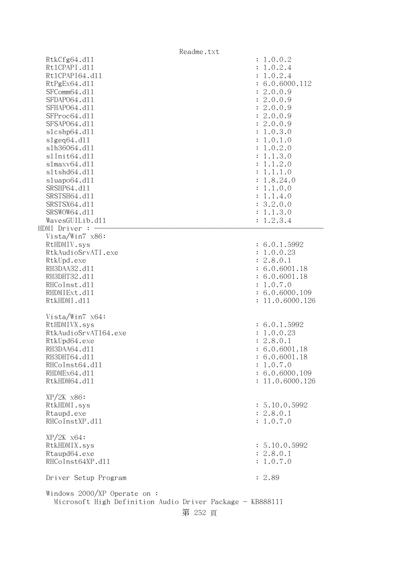|                                                           | Readme.txt                |
|-----------------------------------------------------------|---------------------------|
| RtkCfg64.d11                                              | : 1.0.0.2                 |
| Rt1CPAPI.d11                                              | : 1.0.2.4                 |
| Rt1CPAPI64.d11                                            | 1.0.2.4                   |
| RtPgEx64.d11                                              | : 6.0.6000.112            |
| SFComm64.d11                                              | : 2.0.0.9                 |
| SFDAP064.d11                                              | : 2.0.0.9                 |
| SFHAP064.d11                                              | : 2.0.0.9                 |
| SFProc64.d11                                              | : 2.0.0.9                 |
| SFSAP064.d11                                              | : 2.0.0.9                 |
| s1cshp64.d11                                              | : 1.0.3.0                 |
| slgeq64. d11                                              | : 1.0.1.0                 |
| s1h36064.d11                                              | : 1.0.2.0                 |
| s1Init64.d11                                              | 1.1.3.0                   |
| slmaxv64.d11                                              | 1.1.2.0                   |
| s1tshd64.d11                                              | 1.1.1.0                   |
| sluapo64.d11                                              | 1.8.24.0                  |
| SRSHP64.d11                                               | 1.1.0.0                   |
| SRSTSH64.d11                                              | 1.1.4.0<br>$\ddot{\cdot}$ |
| SRSTSX64.d11                                              | : 3.2.0.0                 |
| SRSWOW64.d11                                              | : 1.1.3.0                 |
| WavesGUILib.d11                                           | : 1.2.3.4                 |
| HDMI Driver : -                                           |                           |
| Vista/Win7 x86:                                           |                           |
| RtHDMIV.sys                                               | : 6.0.1.5992              |
| RtkAudioSrvATI.exe                                        | : 1.0.0.23                |
| RtkUpd.exe                                                | : 2.8.0.1                 |
| RH3DAA32.d11                                              | : 6.0.6001.18             |
| RH3DHT32.d11                                              | : 6.0.6001.18             |
| RHCoInst.d11                                              | : 1.0.7.0                 |
| RHDMIExt.d11                                              | : 6.0.6000.109            |
| RtkHDMI.d11                                               | : 11.0.6000.126           |
|                                                           |                           |
| Vista/Win7 x64:                                           |                           |
| RtHDMIVX.sys                                              | : 6.0.1.5992              |
| RtkAudioSrvATI64.exe                                      | : 1.0.0.23                |
| RtkUpd64.exe                                              | : 2.8.0.1                 |
| RH3DAA64.d11                                              | : 6.0.6001.18             |
| RH3DHT64.d11                                              | : 6.0.6001.18             |
| RHCoInst64.d11                                            | 1.0.7.0                   |
| RHDMEx64.d11                                              | : 6.0.6000.109            |
| RtkHDM64.d11                                              | : 11.0.6000.126           |
| XP/2K x86:                                                |                           |
| RtkHDMI.sys                                               | : 5.10.0.5992             |
| Rtaupd.exe                                                | : 2.8.0.1                 |
| RHCoInstXP.d11                                            | : 1.0.7.0                 |
|                                                           |                           |
| XP/2K x64:                                                |                           |
| RtkHDMIX.sys                                              | : 5.10.0.5992             |
| Rtaupd64.exe                                              | : 2.8.0.1                 |
| RHCoInst64XP.d11                                          | : 1.0.7.0                 |
|                                                           |                           |
| Driver Setup Program                                      | : 2.89                    |
| Windows $2000/XP$ Operate on:                             |                           |
| Microsoft High Definition Audio Driver Package - KB888111 |                           |
| 第 252 頁                                                   |                           |
|                                                           |                           |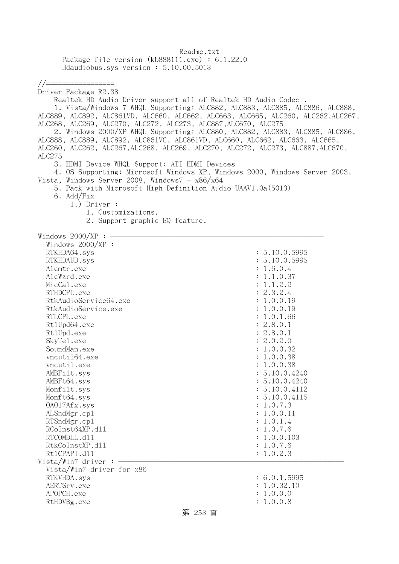Readme.txt Package file version (kb888111.exe) : 6.1.22.0 Hdaudiobus.sys version : 5.10.00.5013

## //=================

Driver Package R2.38 Realtek HD Audio Driver support all of Realtek HD Audio Codec . 1. Vista/Windows 7 WHQL Supporting: ALC882, ALC883, ALC885, ALC886, ALC888, ALC889, ALC892, ALC861VD, ALC660, ALC662, ALC663, ALC665, ALC260, ALC262,ALC267, ALC268, ALC269, ALC270, ALC272, ALC273, ALC887,ALC670, ALC275 2. Windows 2000/XP WHQL Supporting: ALC880, ALC882, ALC883, ALC885, ALC886, ALC888, ALC889, ALC892, ALC861VC, ALC861VD, ALC660, ALC662, ALC663, ALC665, ALC260, ALC262, ALC267,ALC268, ALC269, ALC270, ALC272, ALC273, ALC887,ALC670, ALC275 3. HDMI Device WHQL Support: ATI HDMI Devices 4. OS Supporting: Microsoft Windows XP, Windows 2000, Windows Server 2003, Vista, Windows Server 2008, Windows $7 - x86/x64$  5. Pack with Microsoft High Definition Audio UAAV1.0a(5013) 6. Add/Fix 1.) Driver : 1. Customizations. 2. Support graphic EQ feature. Windows  $2000/XP : -$  Windows 2000/XP : RTKHDA64.sys : 5.10.0.5995 RTKHDAUD.sys : 5.10.0.5995 Alcmtr.exe : 1.6.0.4 AlcWzrd.exe : 1.1.0.37  $\text{MicCal.}$ exe : 1.1.2.2 RTHDCPL.exe : 2.3.2.4 RtkAudioService64.exe : 1.0.0.19 RtkAudioService.exe : 1.0.0.19 RTLCPL.exe : 1.0.1.66 Rt1Upd64.exe : 2.8.0.1 Rt1Upd.exe : 2.8.0.1 SkyTe1.exe : 2.0.2.0 SoundMan.exe : 1.0.0.32 vncuti164.exe : 1.0.0.38 vncutil.exe : 1.0.0.38 AMBFilt.sys : 5.10.0.4240 AMBFt64.sys : 5.10.0.4240 Monfilt.sys : 5.10.0.4112 Monft64.sys : 5.10.0.4115 OAO17Afx.sys : 1.0.7.3 ALSndMgr.cp1 : 1.0.0.11 RTSndMgr.cp1 : 1.0.1.4 RCoInst64XP.d11 : 1.0.7.6 RTCOMDLL.d11 : 1.0.0.103 RtkCoInstXP.dll : 1.0.7.6 RtlCPAPI.dll : 1.0.2.3  $Vista/Win7$  driver : - Vista/Win7 driver for x86 RTKVHDA.sys : 6.0.1.5995 AERTSrv.exe : 1.0.32.10

APOPCH.exe : 1.0.0.0 RtHDVBg.exe : 1.0.0.8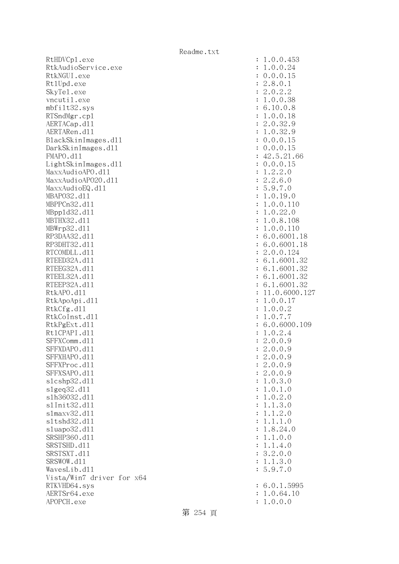RtHDVCp1.exe : 1.0.0.453 RtkAudioService.exe : 1.0.0.24 RtkNGUI.exe : 0.0.0.15 Rt1Upd.exe : 2.8.0.1 SkyTel.exe : 2.0.2.2 vncutil.exe : 1.0.0.38 mbfilt32.sys : 6.10.0.8 RTSndMgr.cp1 : 1.0.0.18 AERTACap.d11 : 2.0.32.9 AERTARen.d11 : 1.0.32.9 BlackSkinImages.dll : 0.0.0.15 DarkSkinImages.dll : 0.0.0.15 FMAPO.d11 : 42.5.21.66 LightSkinImages.dll : 0.0.0.15 MaxxAudioAPO.dll : 1.2.2.0 MaxxAudioAPO20.dll : 2.2.6.0  $\text{MaxAudioEQ}.d11$  : 5.9.7.0 MBAPO32.dll : 1.0.19.0 MBPPCn32.dll : 1.0.0.110 MBppld32.dll : 1.0.22.0 MBTHX32.d11 : 1.0.8.108 MBWrp32.dll : 1.0.0.110 RP3DAA32.d11 : 6.0.6001.18 RP3DHT32.d11 : 6.0.6001.18 RTCOMDLL.d11 : 2.0.0.124 RTEED32A.d11 : 6.1.6001.32 RTEEG32A.d11 : 6.1.6001.32 RTEEL32A.d11 : 6.1.6001.32 RTEEP32A.d11 : 6.1.6001.32 RtkAPO.d11 : 11.0.6000.127 RtkApoApi.dl1 : 1.0.0.17 RtkCfg.dl1 : 1.0.0.2 RtkCoInst.dll : 1.0.7.7 RtkPgExt.dll : 6.0.6000.109 Rt1CPAPI.d11 : 1.0.2.4 SFFXComm.d11 : 2.0.0.9 SFFXDAPO.d11 : 2.0.0.9 SFFXHAPO.dll : 2.0.0.9 SFFXProc.d11 : 2.0.0.9 SFFXSAPO.d11 : 2.0.0.9 slcshp32.dll : 1.0.3.0 slgeq32.dll : 1.0.1.0 slh36032.dll : 1.0.2.0 slInit32.dll : 1.1.3.0 slmaxv32.dll : 1.1.2.0 sltshd32.dll : 1.1.1.0 sluapo32.dll : 1.8.24.0 SRSHP360.dll : 1.1.0.0 SRSTSHD.d11 : 1.1.4.0 SRSTSXT.d11 : 3.2.0.0 SRSWOW.dl1 : 1.1.3.0 WavesLib.dll : 5.9.7.0 Vista/Win7 driver for x64 RTKVHD64.sys : 6.0.1.5995 AERTSr64.exe : 1.0.64.10 APOPCH.exe : 1.0.0.0

第 254 頁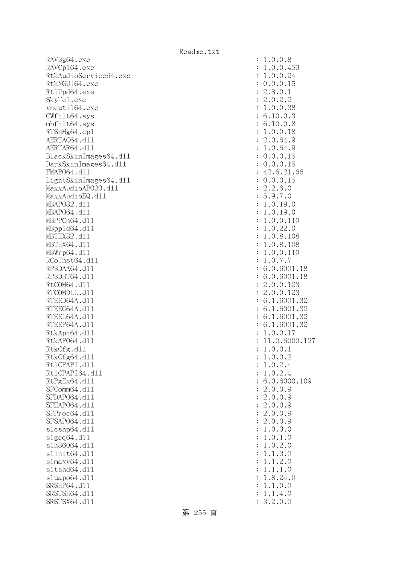RAVBg64.exe RAVCp164.exe RtkAudioService64.exe RtkNGUI64.exe Rt1Upd64.exe SkyTe1.exe vncuti164.exe  $GWfilt64.sys$ mbfilt64.sys RTSnMg64.cp1 AERTAC64.d11 AERTAR64.d11 BlackSkinImages64.dll DarkSkinImages64.dl1 FMAP064.d11 LightSkinImages64.dl1 MaxxAudioAPO20.dll MaxxAudioEQ.dll MBAP032.d11 MBAP064.d11 MBPPCn64.d11 MBpp1d64.dl1 MBTHX32.d11 MBTHX64.d11 MBWrp64.dl1 RCoInst64.dl1 RP3DAA64.d11 RP3DHT64.d11 RtCOM64.d11 RTCOMDLL.d11 RTEED64A.d11 RTEEG64A.dl1 RTEEL64A.d11 RTEEP64A.d11 RtkApi64.dl1 RtkAP064.dl1 : 11.0.6000.127 RtkCfg.dll RtkCfg64.dl1 Rt1CPAPI.d11 Rt1CPAPI64.dl1  $RtPgEx64. d11$ SFComm64.dl1 SFDAP064.d11 SFHAP064.d11 SFProc64.dl1 SFSAP064.d11 slcshp64.dll  $slgeq64$ .dll slh36064.dl1 s1Init64.d11 slmaxv64.dl1 s1tshd64.d11 sluapo64.dll SRSHP64.d11 SRSTSH64.d11 SRSTSX64.d11 : 3.2.0.0

|                | .0.0.8<br>1                                                                                                                  |
|----------------|------------------------------------------------------------------------------------------------------------------------------|
| $\ddot{\cdot}$ |                                                                                                                              |
| $\ddot{\cdot}$ | .0.0.453<br>$\mathbf 1$                                                                                                      |
| $\ddot{\cdot}$ | $\mathbf 1$<br>.0.0.24                                                                                                       |
|                |                                                                                                                              |
| $\ddot{\cdot}$ | .0.0.<br>15<br>$\mathcal{O}$                                                                                                 |
| $\ddot{\cdot}$ | .8.0.1<br>$\overline{c}$                                                                                                     |
| $\ddot{\cdot}$ | $\overline{c}$<br>$\overline{c}$<br>.0.2.                                                                                    |
|                |                                                                                                                              |
| $\ddot{\cdot}$ | .0.0.38<br>$\mathbf 1$                                                                                                       |
| $\ddot{\cdot}$ | $\ddot{\phantom{a}}$<br>10.0<br>.3<br>6                                                                                      |
|                | .10.0.8<br>6                                                                                                                 |
| $\vdots$       |                                                                                                                              |
|                | .0.0.18<br>$\mathbf 1$                                                                                                       |
| $\ddot{\cdot}$ | 2.0.64.9                                                                                                                     |
|                |                                                                                                                              |
| $\ddot{\cdot}$ | .0.64.9<br>$\mathbf 1$                                                                                                       |
| $\ddot{\cdot}$ |                                                                                                                              |
| $\ddot{\cdot}$ | 0.0.0.15<br>0.0.0.15<br>42.6.21.66                                                                                           |
|                |                                                                                                                              |
| $\ddot{\cdot}$ |                                                                                                                              |
| $\ddot{\cdot}$ | 0.0.0.15                                                                                                                     |
| $\ddot{\cdot}$ | .2.6.0<br>$\overline{c}$                                                                                                     |
|                |                                                                                                                              |
| $\ddot{\cdot}$ |                                                                                                                              |
| $\ddot{\cdot}$ |                                                                                                                              |
|                |                                                                                                                              |
| $\ddot{\cdot}$ | $2.5.9.7.0$<br>1.0.19.0<br>1.0.19.0<br>1.0.0.11<br>0.22.0                                                                    |
| $\ddot{\cdot}$ | 110                                                                                                                          |
| $\ddot{\cdot}$ |                                                                                                                              |
|                |                                                                                                                              |
| $\ddot{\cdot}$ | $\mathbf{1}$                                                                                                                 |
| $\ddot{\cdot}$ | $0.22.0$<br>$0.8.108$<br>$0.8.108$<br>$0.0.110$<br>$\mathbf{1}$                                                              |
| $\ddot{\cdot}$ | $\mathbf{1}$                                                                                                                 |
|                |                                                                                                                              |
| $\ddot{\cdot}$ | .0.7.7<br>$\mathbf{1}$                                                                                                       |
| $\ddot{\cdot}$ | $.0.6001$<br>$.0.6001$<br>6<br>.18                                                                                           |
| $\ddot{\cdot}$ | 6<br>$\ddot{\phantom{a}}$<br>18                                                                                              |
|                |                                                                                                                              |
| $\ddot{\cdot}$ | $\begin{array}{c}\n2 \\ 2 \\ 6\n\end{array}$<br>$.0.0.123$<br>$.0.0.123$                                                     |
| $\ddot{\cdot}$ |                                                                                                                              |
|                | $\ddot{\phantom{a}}$<br>1.6001<br>.32                                                                                        |
| $\ddot{\cdot}$ |                                                                                                                              |
| $\ddot{\cdot}$ | $\ddot{\phantom{a}}$<br>32<br>6<br>$\ddot{\phantom{a}}$                                                                      |
| $\ddot{\cdot}$ | $1.6001$<br>$1.6001$<br>32<br>6<br>$\ddot{\phantom{a}}$<br>$\ddot{\phantom{0}}$                                              |
|                | 32                                                                                                                           |
| $\ddot{\cdot}$ | 6                                                                                                                            |
| $\ddot{\cdot}$ | $1.6001.3$<br>$0.0.17$<br>$1.0.6000$ .<br>$\frac{1}{1}$                                                                      |
| $\ddot{\cdot}$ |                                                                                                                              |
| $\ddot{\cdot}$ |                                                                                                                              |
|                | 1.0.0.1                                                                                                                      |
| $\ddot{\cdot}$ | .0.0.<br>$\overline{c}$<br>1                                                                                                 |
| $\ddot{\cdot}$ | $\overline{0}$ .<br>$\overline{c}$<br>$\ddot{\phantom{a}}$<br>$\cdot$ 4<br>1                                                 |
|                |                                                                                                                              |
| $\ddot{\cdot}$ | $\overline{c}$<br>$\ddot{\phantom{0}}$<br>$\overline{0}$ .<br>$\cdot$ 4<br>1                                                 |
| $\ddot{\cdot}$ | $\ddot{\phantom{a}}$<br>6000.109<br>$\overline{0}$ .<br>6                                                                    |
| $\ddot{\cdot}$ | $\overline{c}$<br>$\ddot{\phantom{0}}$<br>$\overline{0}$ .<br>0.9                                                            |
|                |                                                                                                                              |
| $\ddot{\cdot}$ | $\overline{c}$<br>$\ddot{\phantom{0}}$<br>$\overline{0}$ .<br>$\overline{0}$ .<br>9                                          |
| $\ddot{\cdot}$ | $\overline{c}$<br>$\ddot{\phantom{0}}$<br>$\overline{0}$ .<br>$\overline{0}$ .<br>9                                          |
| $\ddot{\cdot}$ | $\overline{c}$<br>$\ddot{\phantom{0}}$<br>$\overline{0}$ .<br>$\overline{0}$ .<br>9                                          |
|                |                                                                                                                              |
| $\ddot{\cdot}$ | $\overline{c}$<br>$\ddot{\phantom{a}}$<br>$\overline{0}$ .<br>$\overline{0}$ .<br>9                                          |
| $\ddot{\cdot}$ | $\overline{0}$ .<br>$\ddot{\phantom{0}}$<br>3.<br>$\overline{O}$<br>$\mathbf 1$                                              |
| $\ddot{\cdot}$ | $\mathbf 1$<br>$\ddot{\phantom{0}}$<br>$\overline{0}$ .<br>$\mathbf 1$<br>$\ddot{\phantom{a}}$<br>$\overline{O}$             |
|                |                                                                                                                              |
| $\ddot{\cdot}$ | $\overline{c}$<br>$\overline{0}$ .<br>$\ddot{\phantom{0}}$<br>$\ddot{\phantom{0}}$<br>$\mathbf 1$<br>$\overline{O}$          |
| $\ddot{\cdot}$ | 3<br>$\ddot{\phantom{a}}$<br>$\ddot{\phantom{a}}$<br>$\ddot{\phantom{0}}$<br>1<br>$\overline{O}$<br>1                        |
|                |                                                                                                                              |
| $\ddot{\cdot}$ | $\overline{c}$<br>$\ddot{\phantom{0}}$<br>$\mathbf 1$<br>$\ddot{\phantom{0}}$<br>$\ddot{\phantom{a}}$<br>1<br>$\overline{O}$ |
| $\ddot{\cdot}$ | $\ddot{\phantom{0}}$<br>$\ddot{\phantom{0}}$<br>$\mathbf 1$<br>$\cdot$ 0<br>$\mathbf 1$<br>1                                 |
| $\ddot{\cdot}$ | $\ddot{\phantom{a}}$<br>$\ddot{\phantom{0}}$<br>24.0<br>8<br>1                                                               |
|                |                                                                                                                              |
| $\ddot{\cdot}$ | 1.<br>$\ddot{\phantom{0}}$<br>0.0<br>1                                                                                       |
| $\ddot{\cdot}$ | 1.<br>4.0<br>1                                                                                                               |
|                |                                                                                                                              |

第 255 頁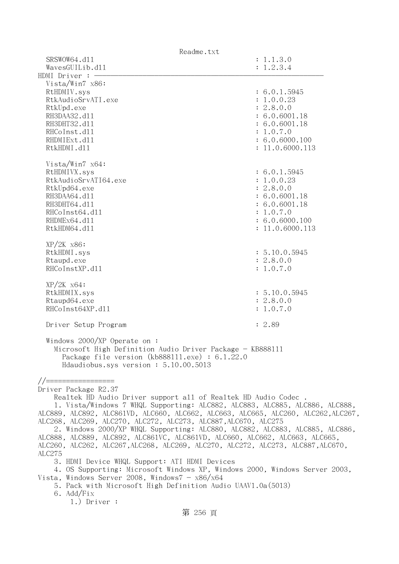| Readme.txt                                                                        |                 |
|-----------------------------------------------------------------------------------|-----------------|
| SRSWOW64.d11                                                                      | : 1.1.3.0       |
| WavesGUILib.d11                                                                   | : 1.2.3.4       |
| HDMI Driver $:-$                                                                  |                 |
| Vista/Win7 x86:                                                                   |                 |
| RtHDMIV.sys                                                                       | : 6.0.1.5945    |
| RtkAudioSrvATI.exe                                                                | : 1.0.0.23      |
| RtkUpd.exe                                                                        | : 2.8.0.0       |
| RH3DAA32.d11                                                                      | : 6.0.6001.18   |
| RH3DHT32.d11                                                                      | : 6.0.6001.18   |
| RHCoInst.d11                                                                      | : 1.0.7.0       |
| RHDMIExt.d11                                                                      | : 6.0.6000.100  |
| RtkHDMI.d11                                                                       | : 11.0.6000.113 |
|                                                                                   |                 |
| Vista/Win7 $x64$ :                                                                |                 |
| RtHDMIVX.sys                                                                      | : 6.0.1.5945    |
| RtkAudioSrvATI64.exe                                                              | : 1.0.0.23      |
| RtkUpd64.exe                                                                      | : 2.8.0.0       |
| RH3DAA64.d11                                                                      | : 6.0.6001.18   |
| RH3DHT64.d11                                                                      | : 6.0.6001.18   |
| RHCoInst64.d11                                                                    | : 1.0.7.0       |
| RHDMEx64.d11                                                                      | : 6.0.6000.100  |
| RtkHDM64.d11                                                                      | : 11.0.6000.113 |
|                                                                                   |                 |
| $XP/2K$ $x86$ :                                                                   |                 |
| RtkHDMI.sys                                                                       | : 5.10.0.5945   |
| Rtaupd.exe                                                                        | : 2.8.0.0       |
| RHCoInstXP.d11                                                                    | : 1.0.7.0       |
|                                                                                   |                 |
| $XP/ZK$ $x64$ :                                                                   |                 |
| RtkHDMIX.sys                                                                      | : 5.10.0.5945   |
| Rtaupd64.exe                                                                      | : 2.8.0.0       |
| RHCoInst64XP.d11                                                                  | : 1.0.7.0       |
|                                                                                   |                 |
| Driver Setup Program                                                              | : 2.89          |
|                                                                                   |                 |
| Windows $2000/XP$ Operate on:                                                     |                 |
| Microsoft High Definition Audio Driver Package - KB888111                         |                 |
| Package file version $(kb888111.\text{exe}) : 6.1.22.0$                           |                 |
| Hdaudiobus.sys version: 5.10.00.5013                                              |                 |
|                                                                                   |                 |
| //==============                                                                  |                 |
| Driver Package R2.37                                                              |                 |
| Realtek HD Audio Driver support all of Realtek HD Audio Codec.                    |                 |
| 1. Vista/Windows 7 WHQL Supporting: ALC882, ALC883, ALC885, ALC886, ALC888,       |                 |
| ALC889, ALC892, ALC861VD, ALC660, ALC662, ALC663, ALC665, ALC260, ALC262, ALC267, |                 |
| ALC268, ALC269, ALC270, ALC272, ALC273, ALC887, ALC670, ALC275                    |                 |
| 2. Windows 2000/XP WHQL Supporting: ALC880, ALC882, ALC883, ALC885, ALC886,       |                 |
| ALC888, ALC889, ALC892, ALC861VC, ALC861VD, ALC660, ALC662, ALC663, ALC665,       |                 |
| ALC260, ALC262, ALC267, ALC268, ALC269, ALC270, ALC272, ALC273, ALC887, ALC670,   |                 |
| ALC275                                                                            |                 |
| 3. HDMI Device WHQL Support: ATI HDMI Devices                                     |                 |
| 4. OS Supporting: Microsoft Windows XP, Windows 2000, Windows Server 2003,        |                 |
| Vista, Windows Server 2008, Windows $7 - x86/x64$                                 |                 |
| 5. Pack with Microsoft High Definition Audio UAAV1.0a (5013)                      |                 |
| 6. Add/Fix                                                                        |                 |
| $1.)$ Driver :                                                                    |                 |
|                                                                                   |                 |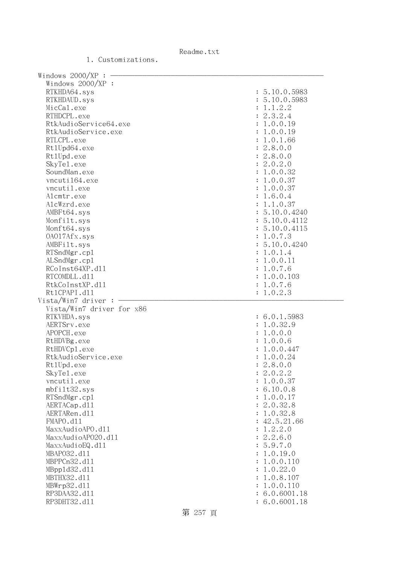| Windows 2000/XP :            |                                |
|------------------------------|--------------------------------|
| Windows $2000/XP$ :          |                                |
| RTKHDA64.sys                 | : 5.10.0.5983                  |
| RTKHDAUD.sys                 | : 5.10.0.5983                  |
| MicCal.exe                   | : 1.1.2.2                      |
| RTHDCPL.exe                  | : 2.3.2.4                      |
| RtkAudioService64.exe        | : 1.0.0.19                     |
| RtkAudioService.exe          | : 1.0.0.19                     |
| RTLCPL.exe                   | : 1.0.1.66                     |
| Rt1Upd64.exe                 | : 2.8.0.0                      |
| Rt1Upd.exe                   | : 2.8.0.0                      |
| SkyTe1.exe                   | : 2.0.2.0                      |
| SoundMan.exe                 | : 1.0.0.32                     |
| vncuti164.exe                | : 1.0.0.37                     |
| vncutil.exe                  | : 1.0.0.37                     |
|                              |                                |
| Alcmtr.exe                   | : 1.6.0.4                      |
| AlcWzrd.exe                  | : 1.1.0.37                     |
| AMBFt64.sys                  | : 5.10.0.4240                  |
| Monfilt.sys                  | : 5.10.0.4112                  |
| Monft64.sys                  | : 5.10.0.4115                  |
| 0A017Afx.sys                 | : 1.0.7.3                      |
| AMBFilt.sys                  | : 5.10.0.4240                  |
| RTSndMgr.cp1                 | : 1.0.1.4                      |
| ALSndMgr.cp1                 | : 1.0.0.11                     |
| RCoInst64XP.d11              | : 1.0.7.6                      |
| RTCOMDLL.d11                 | : 1.0.0.103                    |
| RtkCoInstXP.d11              | : 1.0.7.6                      |
|                              |                                |
| Rt1CPAPI.d11                 | : 1.0.2.3                      |
| Vista/Win7 driver:           |                                |
| Vista/Win7 driver for x86    |                                |
| RTKVHDA.sys                  | : 6.0.1.5983                   |
| AERTSrv.exe                  | : 1.0.32.9                     |
| APOPCH.exe                   | : 1.0.0.0                      |
| RtHDVBg.exe                  | : 1.0.0.6                      |
| RtHDVCp1.exe                 | : 1.0.0.447                    |
| RtkAudioService.exe          | : 1.0.0.24                     |
| Rt1Upd.exe                   |                                |
|                              | : 2.8.0.0                      |
| SkyTe1.exe                   | : 2.0.2.2                      |
| vncutil.exe                  | : 1.0.0.37                     |
| mbfilt32.sys                 | : 6.10.0.8                     |
| RTSndMgr.cp1                 | : 1.0.0.17                     |
| AERTACap.d11                 | : 2.0.32.8                     |
| AERTARen.d11                 | : 1.0.32.8                     |
| FMAPO.d11                    | : 42.5.21.66                   |
| MaxxAudioAPO.dl1             | : 1.2.2.0                      |
| MaxxAudioAP020.dll           | : 2.2.6.0                      |
| MaxxAudioEQ.d11              | : 5.9.7.0                      |
| MBAP032.d11                  | : 1.0.19.0                     |
| MBPPCn32.d11                 | : 1.0.0.110                    |
| MBpp1d32.d11                 | : 1.0.22.0                     |
| MBTHX32.d11                  | : 1.0.8.107                    |
| MBWrp32.d11                  | : 1.0.0.110                    |
| RP3DAA32.d11<br>RP3DHT32.d11 | : 6.0.6001.18<br>: 6.0.6001.18 |

1. Customizations.

第 257 頁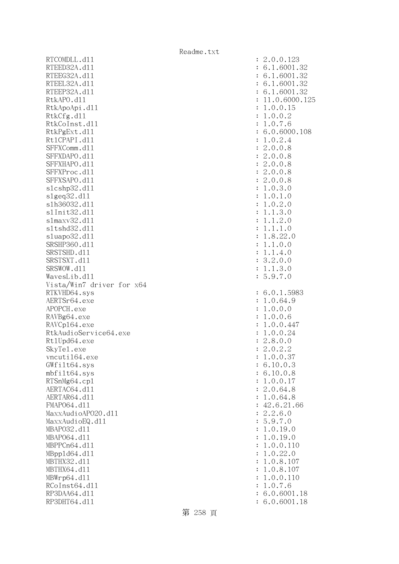RTCOMDLL.d11 : 2.0.0.123 RTEED32A.d11 : 6.1.6001.32 RTEEG32A.d11 : 6.1.6001.32 RTEEL32A.d11 : 6.1.6001.32 RTEEP32A.d11 : 6.1.6001.32 RtkAPO.dll : 11.0.6000.125 RtkApoApi.dl1 : 1.0.0.15 RtkCfg.dl1 : 1.0.0.2 RtkCoInst.dll : 1.0.7.6 RtkPgExt.dl1 : 6.0.6000.108 Rt1CPAPI.d11 : 1.0.2.4 SFFXComm.dll : 2.0.0.8 SFFXDAPO.dll : 2.0.0.8 SFFXHAPO.d11 : 2.0.0.8 SFFXProc.d11 : 2.0.0.8 SFFXSAPO.dll : 2.0.0.8 slcshp32.dll : 1.0.3.0 slgeq32.dll : 1.0.1.0 slh36032.dll : 1.0.2.0 slInit32.dll : 1.1.3.0 slmaxv32.dll : 1.1.2.0 sltshd32.dll : 1.1.1.0 sluapo32.dll : 1.8.22.0 SRSHP360.d11 : 1.1.0.0 SRSTSHD.d11 : 1.1.4.0 SRSTSXT.d11 : 3.2.0.0 SRSWOW.d11 : 1.1.3.0 WavesLib.dll : 5.9.7.0 Vista/Win7 driver for x64 RTKVHD64.sys : 6.0.1.5983 AERTSr64.exe : 1.0.64.9 APOPCH.exe : 1.0.0.0 RAVBg64.exe : 1.0.0.6 RAVCp164.exe : 1.0.0.447 RtkAudioService64.exe : 1.0.0.24 Rt1Upd64.exe : 2.8.0.0 SkyTe1.exe : 2.0.2.2 vncuti164.exe : 1.0.0.37 GWfilt64.sys : 6.10.0.3 mbfilt64.sys : 6.10.0.8 RTSnMg64.cp1 : 1.0.0.17 AERTAC64.d11 : 2.0.64.8 AERTAR64.d11 : 1.0.64.8 FMAP064.d11 : 42.6.21.66 MaxxAudioAPO20.dll : 2.2.6.0 MaxxAudioEQ.dl1 : 5.9.7.0 MBAPO32.dll : 1.0.19.0 MBAPO64.dll : 1.0.19.0 MBPPCn64.dll : 1.0.0.110 MBppld64.dll : 1.0.22.0 MBTHX32.d11 : 1.0.8.107 MBTHX64.dll : 1.0.8.107 MBWrp64.d11 : 1.0.0.110 RCoInst64.dl1 : 1.0.7.6 RP3DAA64.d11 : 6.0.6001.18 RP3DHT64.d11 : 6.0.6001.18

Readme.txt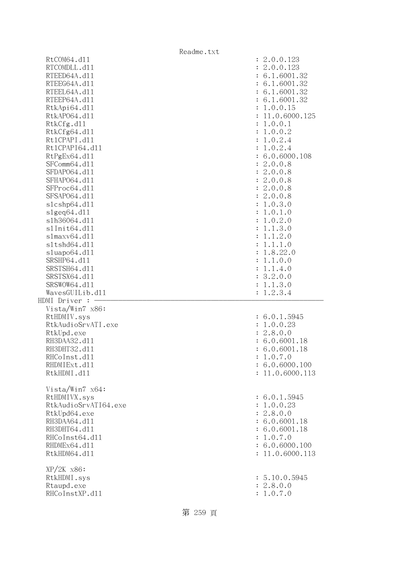|                              | Readme.txt                                  |
|------------------------------|---------------------------------------------|
| RtCOM64.d11                  | : 2.0.0.123                                 |
| RTCOMDLL.d11                 | : 2.0.0.123                                 |
| RTEED64A.d11                 | : 6.1.6001.32                               |
| RTEEG64A.d11                 | : 6.1.6001.32                               |
| RTEEL64A.d11                 | : 6.1.6001.32                               |
| RTEEP64A.d11                 | : 6.1.6001.32                               |
| RtkApi64.d11                 | : 1.0.0.15                                  |
| RtkAP064.d11                 | : 11.0.6000.125                             |
| RtkCfg.d11                   | : 1.0.0.1                                   |
| RtkCfg64.d11                 | : 1.0.0.2                                   |
| Rt1CPAPI.d11                 | : 1.0.2.4                                   |
| Rt1CPAPI64.d11               | : 1.0.2.4                                   |
| RtPgEx64.d11                 | : 6.0.6000.108                              |
| SFComm64.d11                 | : 2.0.0.8                                   |
| SFDAP064.d11                 | : 2.0.0.8                                   |
| SFHAP064.d11                 | : 2.0.0.8                                   |
| SFProc64.d11                 | : 2.0.0.8                                   |
| SFSAP064.d11                 | : 2.0.0.8                                   |
| s1cshp64.d11                 | : 1.0.3.0                                   |
| slgeq64. d11                 | : 1.0.1.0                                   |
| s1h36064.d11<br>s1Init64.d11 | 1.0.2.0<br>$\ddot{\cdot}$                   |
| slmaxv64.d11                 | 1.1.3.0<br>$\ddot{\cdot}$                   |
| s1tshd64.d11                 | 1.1.2.0<br>$\ddot{\cdot}$<br>1.1.1.0        |
| sluapo64.d11                 | $\ddot{\cdot}$<br>1.8.22.0                  |
| SRSHP64.d11                  | $\ddot{\cdot}$<br>1.1.0.0<br>$\ddot{\cdot}$ |
| SRSTSH64.d11                 | 1.1.4.0<br>$\ddot{\cdot}$                   |
| SRSTSX64.d11                 | : 3.2.0.0                                   |
| SRSWOW64.d11                 | 1.1.3.0<br>$\ddot{\cdot}$                   |
| WavesGUILib.d11              | 1.2.3.4                                     |
| HDMI Driver : -              |                                             |
| Vista/Win7 x86:              |                                             |
| RtHDMIV.sys                  | : 6.0.1.5945                                |
| RtkAudioSrvATI.exe           | : 1.0.0.23                                  |
| RtkUpd.exe                   | : 2.8.0.0                                   |
| RH3DAA32.d11                 | : 6.0.6001.18                               |
| RH3DHT32.d11                 | : 6.0.6001.18                               |
| RHCoInst.d11                 | : 1.0.7.0                                   |
| RHDMIExt.d11                 | : 6.0.6000.100                              |
| RtkHDMI.d11                  | : 11.0.6000.113                             |
|                              |                                             |
| Vista/Win7 x64:              |                                             |
| RtHDMIVX.sys                 | : 6.0.1.5945                                |
| RtkAudioSrvATI64.exe         | : 1.0.0.23                                  |
| RtkUpd64.exe                 | : 2.8.0.0                                   |
| RH3DAA64.d11                 | : 6.0.6001.18                               |
| RH3DHT64.d11                 | : 6.0.6001.18                               |
| RHCoInst64.d11               | : 1.0.7.0                                   |
| RHDMEx64.d11                 | : 6.0.6000.100                              |
| RtkHDM64.d11                 | : 11.0.6000.113                             |
| $XP/2K$ $x86$ :              |                                             |
| RtkHDMI.sys                  |                                             |
|                              |                                             |
|                              | : 5.10.0.5945<br>: 2.8.0.0                  |
| Rtaupd.exe<br>RHCoInstXP.d11 | : 1.0.7.0                                   |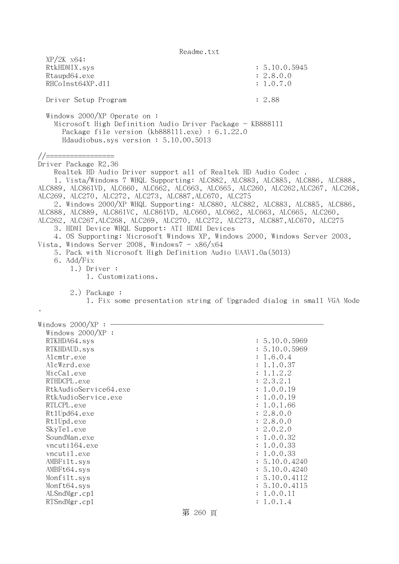| $XP/2K$ $x64$ :<br>RtkHDMIX.sys<br>Rtaupd64.exe<br>RHCoInst64XP.d11                                                                                                                                                                                                                                                                                                                                                                                                                                                                                                                                                                                                                                                                                                                                                                                                                                  | : 5.10.0.5945<br>: 2.8.0.0<br>: 1.0.7.0                                                                                                                                                                                                                                                             |
|------------------------------------------------------------------------------------------------------------------------------------------------------------------------------------------------------------------------------------------------------------------------------------------------------------------------------------------------------------------------------------------------------------------------------------------------------------------------------------------------------------------------------------------------------------------------------------------------------------------------------------------------------------------------------------------------------------------------------------------------------------------------------------------------------------------------------------------------------------------------------------------------------|-----------------------------------------------------------------------------------------------------------------------------------------------------------------------------------------------------------------------------------------------------------------------------------------------------|
| Driver Setup Program                                                                                                                                                                                                                                                                                                                                                                                                                                                                                                                                                                                                                                                                                                                                                                                                                                                                                 | : 2.88                                                                                                                                                                                                                                                                                              |
| Windows 2000/XP Operate on :<br>Microsoft High Definition Audio Driver Package - KB888111<br>Package file version (kb888111.exe) : $6.1.22.0$<br>Hdaudiobus.sys version: 5.10.00.5013                                                                                                                                                                                                                                                                                                                                                                                                                                                                                                                                                                                                                                                                                                                |                                                                                                                                                                                                                                                                                                     |
| //=================<br>Driver Package R2.36<br>Realtek HD Audio Driver support all of Realtek HD Audio Codec.<br>1. Vista/Windows 7 WHQL Supporting: ALC882, ALC883, ALC885, ALC886, ALC888,<br>ALC889, ALC861VD, ALC660, ALC662, ALC663, ALC665, ALC260, ALC262, ALC267, ALC268,<br>ALC269, ALC270, ALC272, ALC273, ALC887, ALC670, ALC275<br>2. Windows 2000/XP WHQL Supporting: ALC880, ALC882, ALC883, ALC885, ALC886,<br>ALC888, ALC889, ALC861VC, ALC861VD, ALC660, ALC662, ALC663, ALC665, ALC260,<br>ALC262, ALC267, ALC268, ALC269, ALC270, ALC272, ALC273, ALC887, ALC670, ALC275<br>3. HDMI Device WHQL Support: ATI HDMI Devices<br>4. OS Supporting: Microsoft Windows XP, Windows 2000, Windows Server 2003,<br>Vista, Windows Server 2008, Windows $7 - x86/x64$<br>5. Pack with Microsoft High Definition Audio UAAV1.0a(5013)<br>6. Add/Fix<br>$1.)$ Driver :<br>1. Customizations. |                                                                                                                                                                                                                                                                                                     |
| 2.) Package :<br>1. Fix some presentation string of Upgraded dialog in small VGA Mode                                                                                                                                                                                                                                                                                                                                                                                                                                                                                                                                                                                                                                                                                                                                                                                                                |                                                                                                                                                                                                                                                                                                     |
| Windows $2000/XP$ :<br>Windows 2000/XP :<br>RTKHDA64.sys<br>RTKHDAUD.sys<br>Alcmtr.exe<br>AlcWzrd.exe<br>MicCal.exe<br>RTHDCPL.exe<br>RtkAudioService64.exe<br>RtkAudioService.exe<br>RTLCPL.exe<br>Rt1Upd64.exe<br>Rt1Upd.exe<br>SkyTe1.exe<br>SoundMan.exe<br>vncuti164.exe<br>vncutil.exe<br>AMBFilt.sys<br>AMBFt64.sys<br>Monfilt.sys<br>Monft64.sys<br>ALSndMgr.cp1<br>RTSndMgr.cp1                                                                                                                                                                                                                                                                                                                                                                                                                                                                                                             | : 5.10.0.5969<br>: 5.10.0.5969<br>1.6.0.4<br>1.1.0.37<br>1.1.2.2<br>: 2.3.2.1<br>: 1.0.0.19<br>1.0.0.19<br>1.0.1.66<br>: 2.8.0.0<br>: 2.8.0.0<br>: 2.0.2.0<br>: 1.0.0.32<br>: 1.0.0.33<br>: 1.0.0.33<br>: 5.10.0.4240<br>: 5.10.0.4240<br>: 5.10.0.4112<br>: 5.10.0.4115<br>: 1.0.0.11<br>: 1.0.1.4 |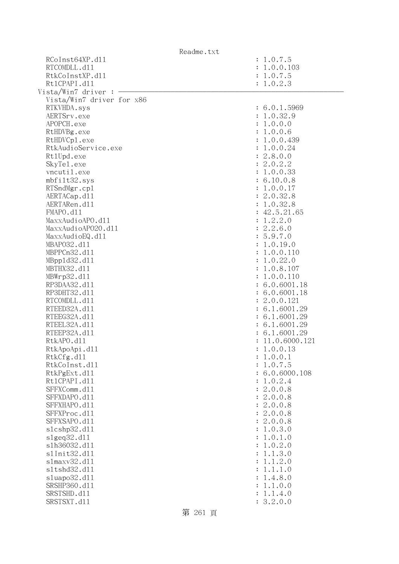| Readme.txt                |                 |
|---------------------------|-----------------|
| RCoInst64XP.d11           | : 1.0.7.5       |
| RTCOMDLL.d11              | : 1.0.0.103     |
| RtkCoInstXP.d11           | : 1.0.7.5       |
| Rt1CPAPI.d11              | : 1.0.2.3       |
| Vista/Win7 driver :       |                 |
| Vista/Win7 driver for x86 |                 |
| RTKVHDA.sys               | : 6.0.1.5969    |
| AERTSrv.exe               | : 1.0.32.9      |
| APOPCH.exe                | : 1.0.0.0       |
| RtHDVBg.exe               | : 1.0.0.6       |
| RtHDVCp1.exe              | : 1.0.0.439     |
| RtkAudioService.exe       | : 1.0.0.24      |
| Rt1Upd.exe                | : 2.8.0.0       |
| SkyTe1.exe                | : 2.0.2.2       |
| vncutil.exe               | : 1.0.0.33      |
| mbfilt32.sys              | : 6.10.0.8      |
| RTSndMgr.cp1              | : 1.0.0.17      |
| AERTACap.d11              | : 2.0.32.8      |
| AERTARen.d11              | : 1.0.32.8      |
| FMAPO.d11                 | : 42.5.21.65    |
| MaxxAudioAPO.dll          | : 1.2.2.0       |
| MaxxAudioAP020.dll        | : 2.2.6.0       |
| MaxxAudioEQ.d11           | : 5.9.7.0       |
| MBAP032.d11               | : 1.0.19.0      |
| MBPPCn32.d11              | : 1.0.0.110     |
| MBpp1d32.d11              | : 1.0.22.0      |
| MBTHX32.d11               | : 1.0.8.107     |
| MBWrp32.d11               | : 1.0.0.110     |
| RP3DAA32.d11              | : 6.0.6001.18   |
| RP3DHT32.d11              | : 6.0.6001.18   |
| RTCOMDLL.d11              | : 2.0.0.121     |
| RTEED32A.d11              | : 6.1.6001.29   |
| RTEEG32A.d11              | : 6.1.6001.29   |
| RTEEL32A.d11              | : 6.1.6001.29   |
| RTEEP32A.d11              | : 6.1.6001.29   |
| RtkAPO.d11                | : 11.0.6000.121 |
| RtkApoApi.d11             | 1.0.0.13        |
| RtkCfg.d11                | 1.0.0.1         |
| RtkCoInst.d11             | 1.0.7.5         |
| RtkPgExt.d11              | 6.0.6000.108    |
| Rt1CPAPI.d11              | 1.0.2.4         |
| SFFXComm.d11              | 2.0.0.8         |
| SFFXDAPO.d11              | 2.0.0.8         |
| SFFXHAPO.d11              | 2.0.0.8         |
| SFFXProc.d11              | 2.0.0.8         |
| SFFXSAPO.d11              | 2.0.0.8         |
| s1cshp32.d11              | 1.0.3.0         |
| slgeq32.d11               | 1.0.1.0         |
| s1h36032.d11              | 1.0.2.0         |
| s1Init32.d11              | 1.1.3.0         |
| s1maxv32.d11              | 1.1.2.0         |
| s1tshd32.d11              | 1.1.1.0         |
| sluapo32.dll              | 1.4.8.0         |
| SRSHP360.d11              | 1.1.0.0         |
| SRSTSHD.d11               | 1.1.4.0         |
| SRSTSXT.d11               | 3.2.0.0         |
|                           |                 |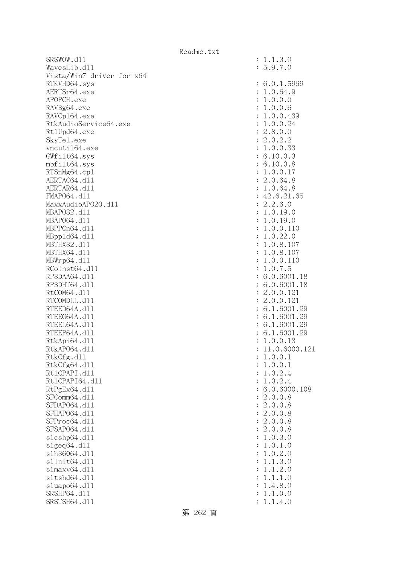| SRSWOW.d11                |                      | : 1.1.3.0       |
|---------------------------|----------------------|-----------------|
| WavesLib.dl1              |                      | : 5.9.7.0       |
| Vista/Win7 driver for x64 |                      |                 |
| RTKVHD64.sys              |                      | : 6.0.1.5969    |
| AERTSr64.exe              |                      | : 1.0.64.9      |
| APOPCH.exe                |                      | : 1.0.0.0       |
| RAVBg64.exe               |                      | : 1.0.0.6       |
| RAVCp164.exe              |                      | : 1.0.0.439     |
| RtkAudioService64.exe     |                      | : 1.0.0.24      |
| Rt1Upd64.exe              |                      | : 2.8.0.0       |
| SkyTe1.exe                |                      | : 2.0.2.2       |
| vncuti164.exe             |                      | : 1.0.0.33      |
| GWfilt64.sys              |                      | : 6.10.0.3      |
| mbfilt64.sys              |                      | : 6.10.0.8      |
| RTSnMg64.cp1              |                      | : 1.0.0.17      |
| AERTAC64.d11              |                      | : 2.0.64.8      |
| AERTAR64.d11              |                      | : 1.0.64.8      |
| FMAP064.d11               |                      | : 42.6.21.65    |
| MaxxAudioAP020.dll        |                      | : 2.2.6.0       |
| MBAP032.d11               |                      | : 1.0.19.0      |
| MBAP064.d11               |                      | : 1.0.19.0      |
| MBPPCn64.d11              |                      | : 1.0.0.110     |
| MBpp1d64.d11              |                      | : 1.0.22.0      |
| MBTHX32.d11               |                      | : 1.0.8.107     |
| MBTHX64.d11               |                      | : 1.0.8.107     |
| MBWrp64.dl1               |                      | : 1.0.0.110     |
| RCoInst64.d11             |                      | : 1.0.7.5       |
| RP3DAA64.d11              |                      | : 6.0.6001.18   |
| RP3DHT64.d11              |                      | : 6.0.6001.18   |
| RtCOM64.d11               |                      | : 2.0.0.121     |
| RTCOMDLL.d11              |                      | : 2.0.0.121     |
| RTEED64A.d11              |                      | : 6.1.6001.29   |
| RTEEG64A.d11              |                      | : 6.1.6001.29   |
| RTEEL64A.d11              |                      | : 6.1.6001.29   |
| RTEEP64A.d11              |                      | : 6.1.6001.29   |
| RtkApi64.dl1              |                      | : 1.0.0.13      |
| RtkAP064.d11              |                      | : 11.0.6000.121 |
| RtkCfg.d11                |                      | 1.0.0.1         |
| RtkCfg64.d11              |                      | : 1.0.0.1       |
| Rt1CPAPI.d11              | ٠.                   | 1.0.2.4         |
| Rt1CPAPI64.d11            | ٠.                   | 1.0.2.4         |
| RtPgEx64.d11              |                      | : 6.0.6000.108  |
| SFComm64.d11              | $\ddot{\phantom{0}}$ | 2.0.0.8         |
| SFDAP064.d11              |                      | : 2.0.0.8       |
| SFHAP064.d11              |                      | : 2.0.0.8       |
| SFProc64.d11              |                      | : 2.0.0.8       |
| SFSAP064.d11              | $\ddot{\phantom{0}}$ | 2.0.0.8         |
| s1cshp64.d11              | $\ddot{\phantom{a}}$ | 1.0.3.0         |
| slgeq64. d11              | $\colon$             | 1.0.1.0         |
| s1h36064.d11              | $\ddot{\cdot}$       | 1.0.2.0         |
| s1Init64.d11              | $\ddot{\phantom{a}}$ | 1.1.3.0         |
| s1maxv64.d11              | $\colon$             | 1.1.2.0         |
| s1tshd64.d11              |                      | 1.1.1.0         |
| sluapo64.d11              | $\ddot{\cdot}$       | 1.4.8.0         |
| SRSHP64.d11               |                      | 1.1.0.0         |
| SRSTSH64.d11              |                      | : 1.1.4.0       |
|                           |                      |                 |

| $\ddot{\cdot}$ | .9.7.<br>0                                                           |
|----------------|----------------------------------------------------------------------|
| $\ddot{\cdot}$ | 6.0.1.5969                                                           |
| $\ddot{\cdot}$ | 1.0.64.9                                                             |
|                | 1.0.0.0                                                              |
| $\ddot{\cdot}$ |                                                                      |
| $\ddot{\cdot}$ | 1.0.0.6                                                              |
| $\ddot{\cdot}$ | 1.0.0.439                                                            |
| $\ddot{\cdot}$ | 1.0.0.24                                                             |
| $\ddot{\cdot}$ | 2.8.0.0                                                              |
| $\ddot{\cdot}$ | 2.0.2.2                                                              |
| $\vdots$       | 1.0.0.33                                                             |
| $\colon$       | 6.10.0.3                                                             |
| $\colon$       | 6.10.0.8                                                             |
| $\colon$       | 1.0.0.17                                                             |
| $\colon$       | 2.0.64.8                                                             |
| $\colon$       | 1.0.64.8                                                             |
|                | 42.6.21.65                                                           |
| $\vdots$       |                                                                      |
| $\vdots$       | 2.2.6.0                                                              |
| $\vdots$       | 1.0.19.0                                                             |
| $\vdots$       | 1.0.19.0                                                             |
| $\vdots$       | 1.0.0.110                                                            |
| $\vdots$       | 1.0.22.0                                                             |
| $\ddot{\cdot}$ | 1.0.8.107                                                            |
| $\ddot{\cdot}$ | 1.0.8.107                                                            |
| $\ddot{\cdot}$ | 1.0.0.110                                                            |
| $\ddot{\cdot}$ | 1.0.7.5                                                              |
| $\vdots$       | 6.0.6001.18                                                          |
| $\vdots$       | 6.0.6001.18                                                          |
| $\vdots$       | 2.0.0.121                                                            |
| $\vdots$       | 2.0.0.121                                                            |
| $\vdots$       | 6.1.6001.29                                                          |
|                | 6.1.6001.29                                                          |
| $\vdots$       |                                                                      |
| $\colon$       | 6.1.6001.29                                                          |
| $\vdots$       | 6.1.6001.29                                                          |
| $\vdots$       | 1.0.0.13                                                             |
| $\vdots$       | 11.0.6000.12                                                         |
| $\vdots$       | 1.0.0.1                                                              |
| ÷              | 1.0.0.1                                                              |
| $\ddot{\cdot}$ | .0.2.4<br>1                                                          |
| $\ddot{\cdot}$ | .0.2.4<br>1                                                          |
| $\ddot{\cdot}$ | 6.0.6000.108                                                         |
| $\ddot{\cdot}$ | 2.0.0.8                                                              |
| $\ddot{\cdot}$ | 2.0.0.8                                                              |
| $\ddot{\cdot}$ | 2.0.0.<br>8                                                          |
| $\ddot{\cdot}$ | 2.0.0.<br>8                                                          |
|                | $\mathbf{c}$<br>.0.0.<br>8                                           |
| $\ddot{\cdot}$ |                                                                      |
| $\ddot{\cdot}$ | .0.3.0<br>1                                                          |
| $\ddot{\cdot}$ | .0.1.<br>$\mathbf 1$<br>0                                            |
| $\ddot{\cdot}$ | .0.2.<br>$\mathbf 1$<br>$\mathcal{O}$                                |
| $\ddot{\cdot}$ | 3.<br>$\mathbf 1$<br>.1.<br>$\mathcal{O}$                            |
| $\ddot{\cdot}$ | .1.2.<br>1<br>$\mathcal{O}$                                          |
| $\ddot{\cdot}$ | 1.<br>$1$ .<br>$\ddot{\phantom{0}}$<br>$\mathbf{1}$<br>$\mathcal{O}$ |
| $\ddot{\cdot}$ | .4.8.0<br>1                                                          |
| $\ddot{\cdot}$ | 1.0.0<br>1.                                                          |
|                | 1.4.0<br>$\mathbf{1}$ .                                              |

 $: 1.1.3.0$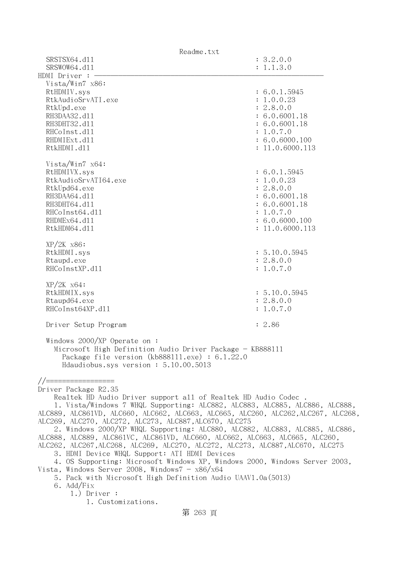| Readme.txt                                                                        |                        |
|-----------------------------------------------------------------------------------|------------------------|
| SRSTSX64.d11<br>SRSWOW64.d11                                                      | : 3.2.0.0<br>: 1.1.3.0 |
| HDMI Driver : -                                                                   |                        |
| Vista/Win7 x86:                                                                   |                        |
| RtHDMIV.sys                                                                       | : 6.0.1.5945           |
| RtkAudioSrvATI.exe                                                                | : 1.0.0.23             |
| RtkUpd.exe                                                                        | : 2.8.0.0              |
| RH3DAA32.d11                                                                      | : 6.0.6001.18          |
| RH3DHT32.d11                                                                      | : 6.0.6001.18          |
| RHCoInst.d11                                                                      | : 1.0.7.0              |
| RHDMIExt.d11                                                                      | : 6.0.6000.100         |
| RtkHDMI.d11                                                                       | : 11.0.6000.113        |
| Vista/Win7 $x64$ :                                                                |                        |
| RtHDMIVX.sys                                                                      | : 6.0.1.5945           |
| RtkAudioSrvATI64.exe                                                              | : 1.0.0.23             |
| RtkUpd64.exe                                                                      | : 2.8.0.0              |
| RH3DAA64.d11                                                                      | : 6.0.6001.18          |
| RH3DHT64.d11                                                                      | : 6.0.6001.18          |
| RHCoInst64.d11                                                                    | : 1.0.7.0              |
| RHDMEx64.d11                                                                      | : 6.0.6000.100         |
| RtkHDM64.d11                                                                      | : 11.0.6000.113        |
| $XP/2K$ $x86$ :                                                                   |                        |
| RtkHDMI.sys                                                                       | : 5.10.0.5945          |
| Rtaupd.exe                                                                        | : 2.8.0.0              |
| RHCoInstXP.d11                                                                    | : 1.0.7.0              |
|                                                                                   |                        |
| $XP/2K$ $x64$ :                                                                   |                        |
| RtkHDMIX.sys                                                                      | : 5.10.0.5945          |
| Rtaupd64.exe                                                                      | : 2.8.0.0              |
| RHCoInst64XP.d11                                                                  | : 1.0.7.0              |
| Driver Setup Program                                                              | : 2.86                 |
| Windows $2000/XP$ Operate on:                                                     |                        |
| Microsoft High Definition Audio Driver Package - KB888111                         |                        |
| Package file version $(kb888111.\text{exe}) : 6.1.22.0$                           |                        |
| Hdaudiobus.sys version: 5.10.00.5013                                              |                        |
| //==============                                                                  |                        |
| Driver Package R2.35                                                              |                        |
| Realtek HD Audio Driver support all of Realtek HD Audio Codec.                    |                        |
| 1. Vista/Windows 7 WHQL Supporting: ALC882, ALC883, ALC885, ALC886, ALC888,       |                        |
| ALC889, ALC861VD, ALC660, ALC662, ALC663, ALC665, ALC260, ALC262, ALC267, ALC268, |                        |
| ALC269, ALC270, ALC272, ALC273, ALC887, ALC670, ALC275                            |                        |
| 2. Windows 2000/XP WHQL Supporting: ALC880, ALC882, ALC883, ALC885, ALC886,       |                        |
| ALC888, ALC889, ALC861VC, ALC861VD, ALC660, ALC662, ALC663, ALC665, ALC260,       |                        |
| ALC262, ALC267,ALC268, ALC269, ALC270, ALC272, ALC273, ALC887,ALC670, ALC275      |                        |
| 3. HDMI Device WHQL Support: ATI HDMI Devices                                     |                        |
| 4. OS Supporting: Microsoft Windows XP, Windows 2000, Windows Server 2003,        |                        |
| Vista, Windows Server 2008, Windows $7 - x86/x64$                                 |                        |
| 5. Pack with Microsoft High Definition Audio UAAV1.0a (5013)                      |                        |
| 6. Add/Fix                                                                        |                        |
| $1.)$ Driver :                                                                    |                        |
| 1. Customizations.                                                                |                        |
| 第 263 頁                                                                           |                        |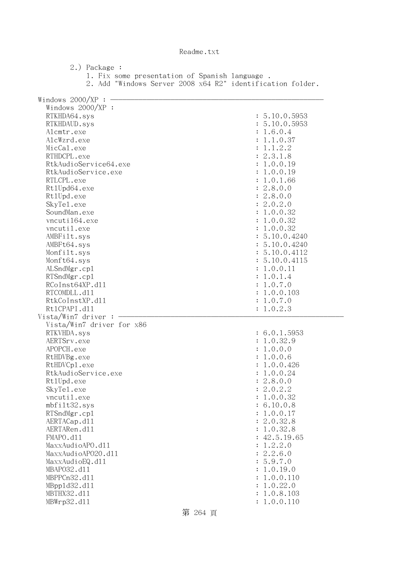2.) Package : 1. Fix some presentation of Spanish language . 2. Add "Windows Server 2008 x64 R2" identification folder. Windows  $2000/XP : -$  Windows 2000/XP : RTKHDA64.sys : 5.10.0.5953 RTKHDAUD.sys : 5.10.0.5953 Alcmtr.exe : 1.6.0.4 AlcWzrd.exe : 1.1.0.37  $\text{MicCal.}$ exe :  $1.1.2.2$ RTHDCPL.exe : 2.3.1.8 RtkAudioService64.exe : 1.0.0.19 RtkAudioService.exe : 1.0.0.19 RTLCPL.exe : 1.0.1.66 Rt1Upd64.exe : 2.8.0.0 RtlUpd.exe : 2.8.0.0 SkyTel.exe : 2.0.2.0 SoundMan.exe : 1.0.0.32 vncuti164.exe : 1.0.0.32 vncutil.exe : 1.0.0.32 AMBFilt.sys : 5.10.0.4240 AMBFt64.sys : 5.10.0.4240 Monfilt.sys : 5.10.0.4112 Monft64.sys : 5.10.0.4115 ALSndMgr.cpl : 1.0.0.11 RTSndMgr.cp1 : 1.0.1.4 RCoInst64XP.d11 : 1.0.7.0 RTCOMDLL.d11 : 1.0.0.103 RtkCoInstXP.dll : 1.0.7.0 RtlCPAPI.dll : 1.0.2.3  $Vista/Win7$  driver :  $-$  Vista/Win7 driver for x86 RTKVHDA.sys : 6.0.1.5953 AERTSrv.exe : 1.0.32.9 APOPCH.exe : 1.0.0.0 RtHDVBg.exe : 1.0.0.6 RtHDVCp1.exe : 1.0.0.426 RtkAudioService.exe : 1.0.0.24 RtlUpd.exe : 2.8.0.0 SkyTel.exe : 2.0.2.2 vncutil.exe : 1.0.0.32 mbfilt32.sys : 6.10.0.8 RTSndMgr.cp1 : 1.0.0.17 AERTACap.d11 : 2.0.32.8 AERTARen.d11 : 1.0.32.8 FMAPO.d11 : 42.5.19.65  $\text{MaxAudio}$ APO.dll  $\text{MaxAudio}$  MaxxAudioAPO20.dll : 2.2.6.0 MaxxAudioEQ.dl1 : 5.9.7.0 MBAPO32.dll : 1.0.19.0 MBPPCn32.d11 : 1.0.0.110 MBppld32.dll : 1.0.22.0 MBTHX32.dll : 1.0.8.103 MBWrp32.d11 : 1.0.0.110

第 264 頁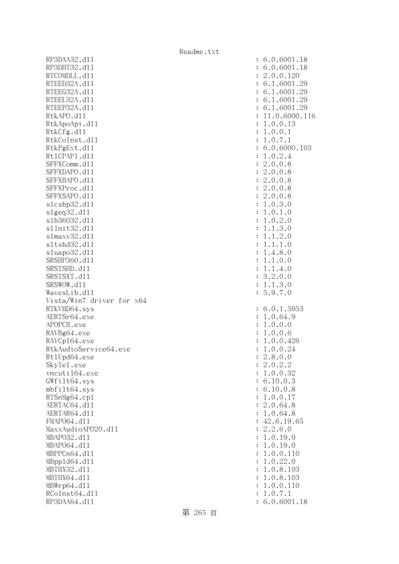RP3DAA32.d11 : 6.0.6001.18 RP3DHT32.d11 : 6.0.6001.18 RTCOMDLL.d11 : 2.0.0.120 RTEED32A.d11 : 6.1.6001.29 RTEEG32A.d11 : 6.1.6001.29 RTEEL32A.d11 : 6.1.6001.29 RTEEP32A.d11 : 6.1.6001.29 RtkAPO.d11 : 11.0.6000.116 RtkApoApi.dl1 : 1.0.0.13 RtkCfg.dl1 : 1.0.0.1 RtkCoInst.d11 : 1.0.7.1 RtkPgExt.dll : 6.0.6000.103 Rt1CPAPI.d11 : 1.0.2.4 SFFXComm.d11 : 2.0.0.8 SFFXDAPO.d11 : 2.0.0.8 SFFXHAPO.dll : 2.0.0.8 SFFXProc.d11 : 2.0.0.8 SFFXSAPO.dll : 2.0.0.8 slcshp32.dll : 1.0.3.0 slgeq32.dll : 1.0.1.0 slh36032.dll : 1.0.2.0 slInit32.dll : 1.1.3.0 slmaxv32.dll : 1.1.2.0 sltshd32.dl1 : 1.1.1.0 sluapo32.dll : 1.4.8.0 SRSHP360.dll : 1.1.0.0 SRSTSHD.d11 : 1.1.4.0 SRSTSXT.d11 : 3.2.0.0 SRSWOW.dll : 1.1.3.0 WavesLib.dll : 5.9.7.0 Vista/Win7 driver for x64 RTKVHD64.sys : 6.0.1.5953 AERTSr64.exe : 1.0.64.9 APOPCH.exe : 1.0.0.0 RAVBg64.exe : 1.0.0.6 RAVCp164.exe : 1.0.0.426 RtkAudioService64.exe : 1.0.0.24 Rt1Upd64.exe : 2.8.0.0 SkyTel.exe : 2.0.2.2 vncuti164.exe : 1.0.0.32 GWfilt64.sys : 6.10.0.3 mbfilt64.sys : 6.10.0.8 RTSnMg64.cp1 : 1.0.0.17 AERTAC64.d11 : 2.0.64.8 AERTAR64.d11 : 1.0.64.8 FMAPO64.d11 : 42.6.19.65<br>MaxxAudioAPO2O.d11 : 2.2.6.0 MaxxAudioAPO20.dll MBAPO32.dll : 1.0.19.0 MBAPO64.dll : 1.0.19.0 MBPPCn64.dll : 1.0.0.110 MBppld64.dll : 1.0.22.0 MBTHX32.dll : 1.0.8.103 MBTHX64.dll : 1.0.8.103 MBWrp64.dll : 1.0.0.110 RCoInst64.d11 : 1.0.7.1 RP3DAA64.d11 : 6.0.6001.18

第 265 頁

Readme.txt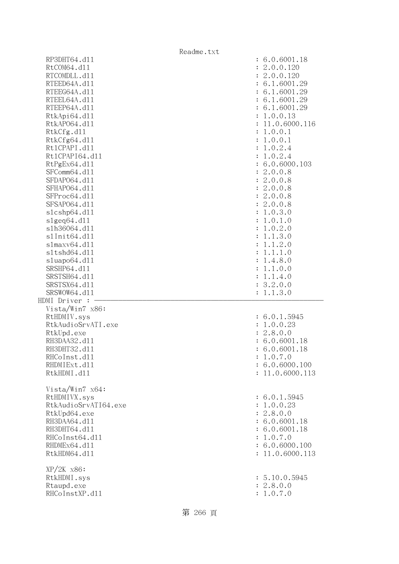|                      | Readme.txt                |
|----------------------|---------------------------|
| RP3DHT64.d11         | : 6.0.6001.18             |
| RtCOM64.d11          | 2.0.0.120<br>÷            |
| RTCOMDLL.d11         | 2.0.0.120                 |
| RTEED64A.d11         | : 6.1.6001.29             |
| RTEEG64A.d11         | : 6.1.6001.29             |
| RTEEL64A.d11         | : 6.1.6001.29             |
| RTEEP64A.d11         | : 6.1.6001.29             |
| RtkApi64.dl1         | 1.0.0.13                  |
| RtkAP064.d11         | 11.0.6000.116             |
| RtkCfg.d11           | 1.0.0.1                   |
| RtkCfg64.d11         | 1.0.0.1<br>$\ddot{\cdot}$ |
| Rt1CPAPI.d11         | 1.0.2.4<br>$\ddot{\cdot}$ |
| Rt1CPAPI64.d11       | 1.0.2.4                   |
| RtPgEx64.d11         | : 6.0.6000.103            |
| SFComm64.d11         | 2.0.0.8<br>÷              |
| SFDAP064.d11         | : 2.0.0.8                 |
| SFHAP064.d11         | 2.0.0.8<br>$\ddot{\cdot}$ |
| SFProc64.d11         | : 2.0.0.8                 |
| SFSAP064.d11         | 2.0.0.8<br>$\ddot{\cdot}$ |
| slcshp64.dll         | 1.0.3.0<br>$\ddot{\cdot}$ |
| slgeq64. d11         | 1.0.1.0<br>$\ddot{\cdot}$ |
| s1h36064.d11         | 1.0.2.0<br>:              |
| s1Init64.d11         | 1.1.3.0                   |
| s1maxv64.d11         | 1.1.2.0                   |
| s1tshd64.d11         | 1.1.1.0                   |
| sluapo64.d11         | 1.4.8.0                   |
| SRSHP64.d11          | 1.1.0.0                   |
| SRSTSH64.d11         | 1.1.4.0<br>$\ddot{\cdot}$ |
| SRSTSX64.d11         | 3.2.0.0<br>$\ddot{\cdot}$ |
| SRSWOW64.d11         | : 1.1.3.0                 |
| HDMI Driver :        |                           |
| Vista/Win7 x86:      |                           |
| RtHDMIV.sys          | : 6.0.1.5945              |
| RtkAudioSrvATI.exe   | : 1.0.0.23                |
| RtkUpd.exe           | : 2.8.0.0                 |
| RH3DAA32.d11         | : 6.0.6001.18             |
| RH3DHT32.d11         | : 6.0.6001.18             |
| RHCoInst.d11         | : 1.0.7.0                 |
| RHDMIExt.d11         | : 6.0.6000.100            |
| RtkHDMI.d11          | : 11.0.6000.113           |
|                      |                           |
| Vista/Win7 x64:      |                           |
| RtHDMIVX.sys         | : 6.0.1.5945              |
| RtkAudioSrvATI64.exe | : 1.0.0.23                |
| RtkUpd64.exe         | : 2.8.0.0                 |
| RH3DAA64.d11         | : 6.0.6001.18             |
| RH3DHT64.d11         | : 6.0.6001.18             |
| RHCoInst64.d11       | : 1.0.7.0                 |
| RHDMEx64.d11         | : 6.0.6000.100            |
| RtkHDM64.d11         | : 11.0.6000.113           |
|                      |                           |
| $XP/2K$ $x86$ :      |                           |
| RtkHDMI.sys          | : 5.10.0.5945             |
| Rtaupd.exe           | : 2.8.0.0                 |
| RHCoInstXP.d11       | : 1.0.7.0                 |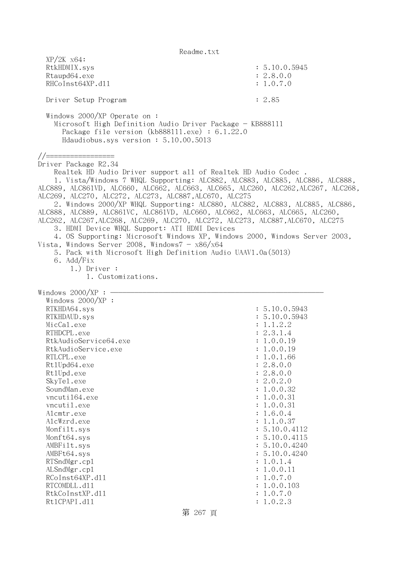| $XP/ZK$ $x64$ :<br>RtkHDMIX.sys<br>Rtaupd64.exe                                                                                                                                                                                                                                                           | : 5.10.0.5945<br>: 2.8.0.0 |
|-----------------------------------------------------------------------------------------------------------------------------------------------------------------------------------------------------------------------------------------------------------------------------------------------------------|----------------------------|
| RHCoInst64XP.d11                                                                                                                                                                                                                                                                                          | : 1.0.7.0                  |
| Driver Setup Program                                                                                                                                                                                                                                                                                      | : 2.85                     |
| Windows $2000/XP$ Operate on:<br>Microsoft High Definition Audio Driver Package - KB888111<br>Package file version (kb888111.exe) : 6.1.22.0<br>Hdaudiobus.sys version: 5.10.00.5013                                                                                                                      |                            |
| //===============<br>Driver Package R2.34<br>Realtek HD Audio Driver support all of Realtek HD Audio Codec.                                                                                                                                                                                               |                            |
| 1. Vista/Windows 7 WHQL Supporting: ALC882, ALC883, ALC885, ALC886, ALC888,<br>ALC889, ALC861VD, ALC660, ALC662, ALC663, ALC665, ALC260, ALC262, ALC267, ALC268,<br>ALC269, ALC270, ALC272, ALC273, ALC887, ALC670, ALC275<br>2. Windows 2000/XP WHQL Supporting: ALC880, ALC882, ALC883, ALC885, ALC886, |                            |
| ALC888, ALC889, ALC861VC, ALC861VD, ALC660, ALC662, ALC663, ALC665, ALC260,<br>ALC262, ALC267, ALC268, ALC269, ALC270, ALC272, ALC273, ALC887, ALC670, ALC275<br>3. HDMI Device WHQL Support: ATI HDMI Devices                                                                                            |                            |
| 4. OS Supporting: Microsoft Windows XP, Windows 2000, Windows Server 2003,<br>Vista, Windows Server 2008, Windows $7 - x86/x64$<br>5. Pack with Microsoft High Definition Audio UAAV1.0a(5013)                                                                                                            |                            |
| 6. Add/Fix<br>$1.)$ Driver :<br>1. Customizations.                                                                                                                                                                                                                                                        |                            |
|                                                                                                                                                                                                                                                                                                           |                            |
| Windows $2000/XP:$ -<br>Windows $2000/XP$ :                                                                                                                                                                                                                                                               |                            |
| RTKHDA64.sys                                                                                                                                                                                                                                                                                              | : 5.10.0.5943              |
| RTKHDAUD.sys                                                                                                                                                                                                                                                                                              | : 5.10.0.5943              |
| MicCal.exe                                                                                                                                                                                                                                                                                                | : 1.1.2.2                  |
| RTHDCPL.exe                                                                                                                                                                                                                                                                                               | : 2.3.1.4                  |
| RtkAudioService64.exe                                                                                                                                                                                                                                                                                     | : 1.0.0.19                 |
| RtkAudioService.exe                                                                                                                                                                                                                                                                                       | : 1.0.0.19                 |
| RTLCPL.exe                                                                                                                                                                                                                                                                                                | : 1.0.1.66                 |
| Rt1Upd64.exe                                                                                                                                                                                                                                                                                              | : 2.8.0.0                  |
| Rt1Upd.exe                                                                                                                                                                                                                                                                                                | : 2.8.0.0                  |
| SkyTe1.exe                                                                                                                                                                                                                                                                                                | : 2.0.2.0                  |
| SoundMan.exe                                                                                                                                                                                                                                                                                              | : 1.0.0.32                 |
| vncuti164.exe                                                                                                                                                                                                                                                                                             | : 1.0.0.31                 |
| vncutil.exe                                                                                                                                                                                                                                                                                               | : 1.0.0.31                 |
| Alcmtr.exe                                                                                                                                                                                                                                                                                                | : 1.6.0.4                  |
| AlcWzrd.exe                                                                                                                                                                                                                                                                                               | : 1.1.0.37                 |
| Monfilt.sys                                                                                                                                                                                                                                                                                               | : 5.10.0.4112              |
| Monft64.sys                                                                                                                                                                                                                                                                                               | : 5.10.0.4115              |
|                                                                                                                                                                                                                                                                                                           | : 5.10.0.4240              |
| AMBFilt.sys                                                                                                                                                                                                                                                                                               |                            |
| AMBFt64.sys                                                                                                                                                                                                                                                                                               | : 5.10.0.4240              |
| RTSndMgr.cp1                                                                                                                                                                                                                                                                                              | : 1.0.1.4<br>: 1.0.0.11    |
| ALSndMgr.cp1<br>RCoInst64XP.d11                                                                                                                                                                                                                                                                           |                            |
|                                                                                                                                                                                                                                                                                                           | : 1.0.7.0                  |
| RTCOMDLL.d11                                                                                                                                                                                                                                                                                              | : 1.0.0.103                |
| RtkCoInstXP.d11<br>Rt1CPAPI.d11                                                                                                                                                                                                                                                                           | : 1.0.7.0<br>: 1.0.2.3     |
|                                                                                                                                                                                                                                                                                                           |                            |

第 267 頁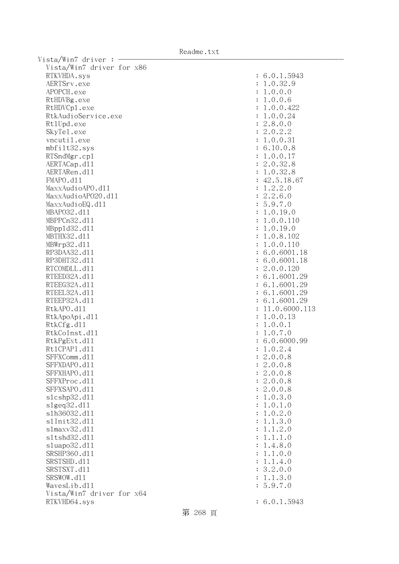Readme.txt

| Vista/Win7 driver:        |                      |               |
|---------------------------|----------------------|---------------|
| Vista/Win7 driver for x86 |                      |               |
| RTKVHDA.sys               |                      | : 6.0.1.5943  |
| AERTSrv.exe               |                      | : 1.0.32.9    |
| APOPCH.exe                |                      | : 1.0.0.0     |
| RtHDVBg.exe               |                      | : 1.0.0.6     |
| RtHDVCp1.exe              |                      | 1.0.0.422     |
| RtkAudioService.exe       |                      |               |
|                           |                      | 1.0.0.24      |
| Rt1Upd.exe                |                      | : 2.8.0.0     |
| SkyTe1.exe                |                      | : 2.0.2.2     |
| vncutil.exe               |                      | : 1.0.0.31    |
| mbfilt32.sys              |                      | : 6.10.0.8    |
| RTSndMgr.cp1              |                      | : 1.0.0.17    |
| AERTACap.d11              |                      | : 2.0.32.8    |
| AERTARen.d11              |                      | : 1.0.32.8    |
| FMAPO.d11                 |                      | : 42.5.18.67  |
| MaxxAudioAPO.dl1          | ÷                    | 1.2.2.0       |
| MaxxAudioAP020.d11        |                      | : 2.2.6.0     |
| MaxxAudioEQ.d11           | $\ddot{\phantom{a}}$ | 5.9.7.0       |
| MBAP032.d11               | $\ddot{\cdot}$       | 1.0.19.0      |
| MBPPCn32.d11              | $\ddot{\cdot}$       | 1.0.0.110     |
| MBpp1d32.d11              | $\ddot{\cdot}$       | 1.0.19.0      |
| MBTHX32.d11               | $\ddot{\cdot}$       | 1.0.8.102     |
| MBWrp32.d11               |                      | 1.0.0.110     |
| RP3DAA32.d11              |                      | : 6.0.6001.18 |
| RP3DHT32.d11              |                      | : 6.0.6001.18 |
| RTCOMDLL.d11              |                      | : 2.0.0.120   |
|                           |                      |               |
| RTEED32A.d11              |                      | : 6.1.6001.29 |
| RTEEG32A.d11              |                      | : 6.1.6001.29 |
| RTEEL32A.d11              |                      | : 6.1.6001.29 |
| RTEEP32A.d11              |                      | : 6.1.6001.29 |
| RtkAPO.d11                |                      | 11.0.6000.113 |
| RtkApoApi.d11             |                      | 1.0.0.13      |
| RtkCfg.d11                | ÷                    | 1.0.0.1       |
| RtkCoInst.d11             |                      | 1.0.7.0       |
| RtkPgExt.d11              |                      | : 6.0.6000.99 |
| Rt1CPAPI.d11              |                      | : 1.0.2.4     |
| SFFXComm.d11              |                      | 2.0.0.8       |
| SFFXDAPO.d11              |                      | : 2.0.0.8     |
| SFFXHAPO.d11              |                      | : 2.0.0.8     |
| SFFXProc.d11              |                      | : 2.0.0.8     |
| SFFXSAPO.d11              |                      | : 2.0.0.8     |
| s1cshp32.d11              | $\ddot{\cdot}$       | 1.0.3.0       |
| slgeq32.d11               | $\ddot{\cdot}$       | 1.0.1.0       |
| s1h36032.d11              |                      | 1.0.2.0       |
| s1Init32.d11              | $\ddot{\cdot}$       | 1.1.3.0       |
| s1maxv32.d11              | $\ddot{\cdot}$       | 1.1.2.0       |
| s1tshd32.d11              | $\ddot{\phantom{a}}$ | 1.1.1.0       |
|                           |                      |               |
| sluapo32.d11              | $\ddot{\cdot}$       | 1.4.8.0       |
| SRSHP360.d11              |                      | 1.1.0.0       |
| SRSTSHD.d11               | $\ddot{\phantom{a}}$ | 1.1.4.0       |
| SRSTSXT.d11               |                      | : 3.2.0.0     |
| SRSWOW.d11                |                      | : 1.1.3.0     |
| WavesLib.d11              |                      | 5.9.7.0       |
| Vista/Win7 driver for x64 |                      |               |
| RTKVHD64.sys              |                      | : 6.0.1.5943  |
|                           |                      |               |

第 268 頁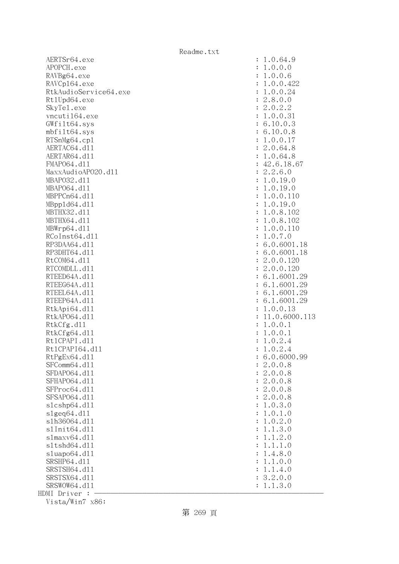AERTSr64.exe : 1.0.64.9 APOPCH.exe : 1.0.0.0 RAVBg64.exe : 1.0.0.6 RAVCp164.exe : 1.0.0.422 RtkAudioService64.exe : 1.0.0.24 Rt1Upd64.exe : 2.8.0.0 SkyTel.exe : 2.0.2.2 vncuti164.exe : 1.0.0.31 GWfilt64.sys : 6.10.0.3 mbfilt64.sys : 6.10.0.8 RTSnMg64.cpl : 1.0.0.17 AERTAC64.d11 : 2.0.64.8 AERTAR64.d11 : 1.0.64.8 FMAP064.d11 : 42.6.18.67 MaxxAudioAPO20.dll : 2.2.6.0 MBAPO32.dll : 1.0.19.0 MBAPO64.dll : 1.0.19.0 MBPPCn64.d11 : 1.0.0.110 MBppld64.dll : 1.0.19.0 MBTHX32.dll : 1.0.8.102 MBTHX64.d11 : 1.0.8.102 MBWrp64.dl1 : 1.0.0.110 RCoInst64.d11 : 1.0.7.0 RP3DAA64.d11 : 6.0.6001.18 RP3DHT64.d11 : 6.0.6001.18 RtCOM64.d11 : 2.0.0.120 RTCOMDLL.d11 : 2.0.0.120 RTEED64A.d11 : 6.1.6001.29 RTEEG64A.d11 : 6.1.6001.29 RTEEL64A.d11 : 6.1.6001.29 RTEEP64A.d11 : 6.1.6001.29 RtkApi64.d11 : 1.0.0.13 RtkAP064.d11 : 11.0.6000.113 RtkCfg.dl1 : 1.0.0.1 RtkCfg64.dl1 : 1.0.0.1 RtlCPAPI.dll : 1.0.2.4 Rt1CPAPI64.d11 : 1.0.2.4 RtPgEx64.dl1 : 6.0.6000.99 SFComm64.d11 : 2.0.0.8 SFDAPO64.dll : 2.0.0.8 SFHAPO64.dll : 2.0.0.8 SFProc64.dll : 2.0.0.8 SFSAP064.d11 : 2.0.0.8 slcshp64.dll : 1.0.3.0  $s1geq64. d11$  :  $1.0.1.0$ slh36064.dll : 1.0.2.0 slInit64.dl1 : 1.1.3.0 slmaxv64.dll : 1.1.2.0 sltshd64.dll : 1.1.1.0 sluapo64.dll : 1.4.8.0 SRSHP64.d11 : 1.1.0.0 SRSTSH64.d11 : 1.1.4.0 SRSTSX64.d11 : 3.2.0.0 SRSWOW64.d11 : 1.1.3.0 HDMI Driver :

Vista/Win7 x86:

第 269 頁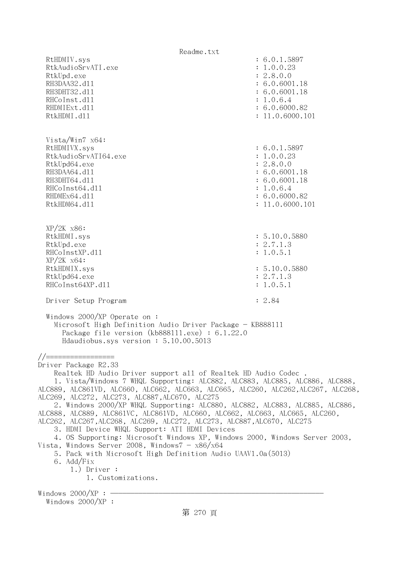Readme.txt RtHDMIV.sys : 6.0.1.5897 RtkAudioSrvATI.exe : 1.0.0.23 RtkUpd.exe : 2.8.0.0 RH3DAA32.d11 : 6.0.6001.18 RH3DHT32.d11 : 6.0.6001.18 RHCoInst.d11 : 1.0.6.4 RHDMIExt.d11 : 6.0.6000.82 RtkHDMI.d11 : 11.0.6000.101 Vista/Win7 x64: RtHDMIVX.sys : 6.0.1.5897 RtkAudioSrvATI64.exe : 1.0.0.23 RtkUpd64.exe : 2.8.0.0 RH3DAA64.d11 : 6.0.6001.18 RH3DHT64.d11 : 6.0.6001.18 RHCoInst64.d11 : 1.0.6.4 RHDMEx64.d11 : 6.0.6000.82 RtkHDM64.d11 : 11.0.6000.101 XP/2K x86: RtkHDMI.sys : 5.10.0.5880 RtkUpd.exe : 2.7.1.3 RHCoInstXP.d11 : 1.0.5.1 XP/2K x64: RtkHDMIX.sys : 5.10.0.5880 RtkUpd64.exe : 2.7.1.3 RHCoInst64XP.d11 : 1.0.5.1 Driver Setup Program : 2.84 Windows 2000/XP Operate on : Microsoft High Definition Audio Driver Package - KB888111 Package file version (kb888111.exe) : 6.1.22.0 Hdaudiobus.sys version : 5.10.00.5013 //================= Driver Package R2.33 Realtek HD Audio Driver support all of Realtek HD Audio Codec . 1. Vista/Windows 7 WHQL Supporting: ALC882, ALC883, ALC885, ALC886, ALC888, ALC889, ALC861VD, ALC660, ALC662, ALC663, ALC665, ALC260, ALC262,ALC267, ALC268, ALC269, ALC272, ALC273, ALC887,ALC670, ALC275 2. Windows 2000/XP WHQL Supporting: ALC880, ALC882, ALC883, ALC885, ALC886, ALC888, ALC889, ALC861VC, ALC861VD, ALC660, ALC662, ALC663, ALC665, ALC260, ALC262, ALC267,ALC268, ALC269, ALC272, ALC273, ALC887,ALC670, ALC275 3. HDMI Device WHQL Support: ATI HDMI Devices 4. OS Supporting: Microsoft Windows XP, Windows 2000, Windows Server 2003, Vista, Windows Server 2008, Windows $7 - x86/x64$  5. Pack with Microsoft High Definition Audio UAAV1.0a(5013) 6. Add/Fix 1.) Driver : 1. Customizations. Windows  $2000/XP : -$ Windows 2000/XP :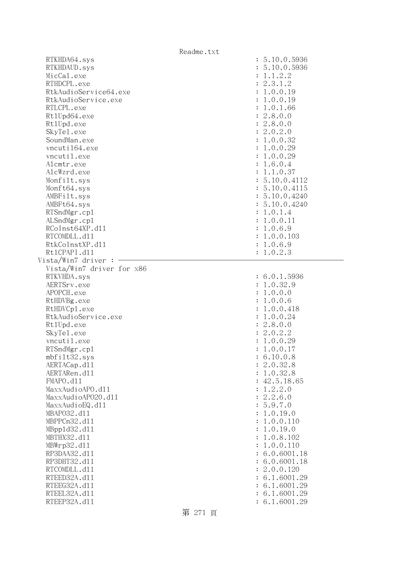| Readme.txt                          |                        |
|-------------------------------------|------------------------|
| RTKHDA64.sys                        | : 5.10.0.5936          |
| RTKHDAUD.sys                        | : 5.10.0.5936          |
| MicCal.exe                          | : 1.1.2.2              |
| RTHDCPL.exe                         | : 2.3.1.2              |
| RtkAudioService64.exe               | : 1.0.0.19             |
| RtkAudioService.exe                 | : 1.0.0.19             |
| RTLCPL.exe                          | : 1.0.1.66             |
| Rt1Upd64.exe                        | : 2.8.0.0              |
| Rt1Upd.exe                          | : 2.8.0.0              |
| SkyTe1.exe                          | : 2.0.2.0              |
| SoundMan.exe                        | : 1.0.0.32             |
| vncuti164.exe                       | : 1.0.0.29             |
| vncutil.exe                         | : 1.0.0.29             |
| Alcmtr.exe                          | : 1.6.0.4              |
| AlcWzrd.exe                         | : 1.1.0.37             |
| Monfilt.sys                         | : 5.10.0.4112          |
| Monft64.sys                         | : 5.10.0.4115          |
| AMBFilt.sys                         | : 5.10.0.4240          |
| AMBFt64.sys                         | : 5.10.0.4240          |
| RTSndMgr.cp1                        | : 1.0.1.4              |
| ALSndMgr.cp1                        | : 1.0.0.11             |
| RCoInst64XP.d11                     | : 1.0.6.9              |
| RTCOMDLL.d11                        | : 1.0.0.103            |
| RtkCoInstXP.d11                     |                        |
| Rt1CPAPI.d11                        | : 1.0.6.9<br>: 1.0.2.3 |
| Vista/Win7 driver :                 |                        |
| Vista/Win7 driver for x86           |                        |
| RTKVHDA.sys                         | : 6.0.1.5936           |
| AERTSrv.exe                         | : 1.0.32.9             |
| APOPCH.exe                          | : 1.0.0.0              |
| RtHDVBg.exe                         | : 1.0.0.6              |
|                                     | : 1.0.0.418            |
| RtHDVCp1.exe<br>RtkAudioService.exe | : 1.0.0.24             |
|                                     |                        |
| Rt1Upd.exe                          | : 2.8.0.0              |
| SkyTe1.exe<br>vncutil.exe           | : 2.0.2.2              |
|                                     | : 1.0.0.29             |
| RTSndMgr.cp1                        | 1.0.0.17               |
| mbfilt32.sys                        | 6.10.0.8               |
| AERTACap.d11                        | 2.0.32.8               |
| AERTARen.d11                        | 1.0.32.8               |
| FMAPO.d11                           | 42.5.18.65             |
| MaxxAudioAPO.dl1                    | 1.2.2.0                |
| MaxxAudioAP020.dll                  | 2.2.6.0                |
| MaxxAudioEQ.d11                     | 5.9.7.0                |
| MBAP032.d11                         | 1.0.19.0               |
| MBPPCn32.d11                        | 1.0.0.110              |
| MBpp1d32.d11                        | 1.0.19.0               |
| MBTHX32.d11                         | 1.0.8.102              |
| MBWrp32.d11                         | 1.0.0.110              |
| RP3DAA32.d11                        | 6.0.6001.18            |
| RP3DHT32.d11                        | 6.0.6001.18            |
| RTCOMDLL.d11                        | 2.0.0.120              |
| RTEED32A.d11                        | 6.1.6001.29            |
| RTEEG32A.d11                        | 6.1.6001.29            |
| RTEEL32A.d11                        | 6.1.6001.29            |
| RTEEP32A.d11                        | 6.1.6001.29            |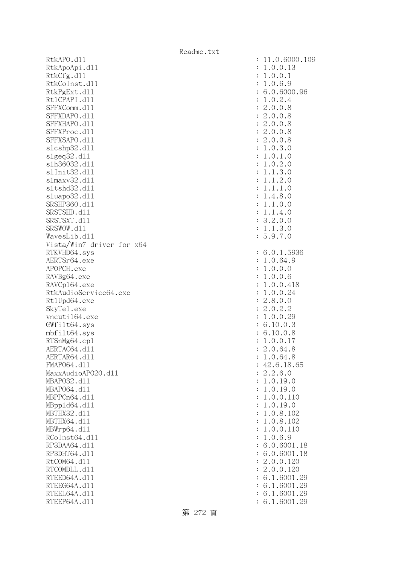RtkAPO.d11 : 11.0.6000.109 RtkApoApi.dll RtkCfg.dll RtkCoInst.dl1 RtkPgExt.dll Rt1CPAPI.d11 SFFXComm.dl1 SFFXDAPO.d11 SFFXHAPO.d11 SFFXProc.dl1 SFFXSAPO.d11  $slcshp32.d11$ slgeq32.dll s1h36032.dl1 s1Init32.d11 s1maxv32.d11 s1tshd32.d11 sluapo32.dl1 SRSHP360.d11 SRSTSHD.d11 SRSTSXT.d11 SRSWOW.dl1 WavesLib.dll Vista/Win7 driver for x64 RTKVHD64.sys AERTSr64.exe APOPCH.exe RAVBg64.exe RAVCp164.exe RtkAudioService64.exe Rt1Upd64.exe SkyTel.exe  $v$ ncuti $164$ .exe  $GWfilt64.sys$ mbfilt64.sys RTSnMg64.cp1 AERTAC64.d11 AERTAR64.d11 FMAP064.d11 MaxxAudioAPO20.dll MBAP032.d11 MBAP064.d11 MBPPCn64.d11 MBpp1d64.dl1 MBTHX32.d11 MBTHX64.d11 MBWrp64.dl1 RCoInst64.dl1 RP3DAA64.d11 RP3DHT64.d11 RtCOM64.dl1 RTCOMDLL.d11 RTEED64A.dl1 RTEEG64A.dl1 RTEEL64A.d11 RTEEP64A.d11

| $\ddot{\cdot}$ | 11.0.6000.10                                                                                                                                             |
|----------------|----------------------------------------------------------------------------------------------------------------------------------------------------------|
| $\ddot{\cdot}$ | .0.0.13<br>1                                                                                                                                             |
| $\ddot{\cdot}$ | 1                                                                                                                                                        |
| $\ddot{\cdot}$ | $.0.0.1$<br>$.0.6.9$<br>1                                                                                                                                |
| $\ddot{\cdot}$ |                                                                                                                                                          |
| $\ddot{\cdot}$ | 6.0.6000.96<br>1.0.2.4                                                                                                                                   |
| $\ddot{\cdot}$ |                                                                                                                                                          |
| $\ddot{\cdot}$ |                                                                                                                                                          |
| $\ddot{\cdot}$ |                                                                                                                                                          |
| $\ddot{\cdot}$ |                                                                                                                                                          |
| $\ddot{\cdot}$ |                                                                                                                                                          |
| $\ddot{\cdot}$ |                                                                                                                                                          |
| $\ddot{\cdot}$ |                                                                                                                                                          |
| $\ddot{\cdot}$ |                                                                                                                                                          |
| $\ddot{\cdot}$ |                                                                                                                                                          |
| $\ddot{\cdot}$ | $1.0.2.4$<br>$2.0.0.8$<br>$2.0.0.8$<br>$2.0.0.8$<br>$2.0.0.8$<br>$2.0.0.8$<br>$1.0.3.0$<br>$1.0.1.0$<br>$1.0.2.0$<br>$1.1.3.0$<br>$1.1.2.0$<br>$1.1.1.0$ |
| $\ddot{\cdot}$ | .1.1.0<br>1                                                                                                                                              |
| $\ddot{\cdot}$ | .4.8.0<br>1                                                                                                                                              |
| $\ddot{\cdot}$ | .1.0.0<br>1                                                                                                                                              |
| $\ddot{\cdot}$ | .1.4.0<br>1                                                                                                                                              |
| $\ddot{\cdot}$ | 3.2.0.0                                                                                                                                                  |
| $\ddot{\cdot}$ | 1.1.3.0                                                                                                                                                  |
| $\ddot{\cdot}$ | 5.9.7<br>$\cdot$ <sup>0</sup>                                                                                                                            |
|                |                                                                                                                                                          |
| $\ddot{\cdot}$ | 6.0.1.5936                                                                                                                                               |
| $\ddot{\cdot}$ | 1.0.64.9                                                                                                                                                 |
| $\ddot{\cdot}$ | .0.0.0<br>1                                                                                                                                              |
| $\ddot{\cdot}$ | .0.0.6<br>1                                                                                                                                              |
| $\ddot{\cdot}$ | .0.0.418<br>1                                                                                                                                            |
| $\ddot{\cdot}$ | .0.0.24<br>1                                                                                                                                             |
| $\ddot{\cdot}$ |                                                                                                                                                          |
| $\ddot{\cdot}$ | 2.8.0.0<br>2.0.2.2                                                                                                                                       |
| $\ddot{\cdot}$ | 1.0.0.29                                                                                                                                                 |
| $\ddot{\cdot}$ | 6.10.0.3<br>6.10.0.8                                                                                                                                     |
| $\vdots$       |                                                                                                                                                          |
|                | 1.0.0.17                                                                                                                                                 |
| $\ddot{\cdot}$ | 8<br>2.0.64<br>$\ddot{\phantom{0}}$                                                                                                                      |
| $\ddot{\cdot}$ | 1.0.64.8                                                                                                                                                 |
| $\ddot{\cdot}$ | 42.6.18.65                                                                                                                                               |
| $\ddot{\cdot}$ | 2.2.6.0                                                                                                                                                  |
| $\ddot{\cdot}$ | .0.19.0<br>$\mathbf 1$                                                                                                                                   |
| $\ddot{\cdot}$ | .0.19.0<br>1                                                                                                                                             |
| $\ddot{\cdot}$ | .0.0.110<br>1                                                                                                                                            |
| $\ddot{\cdot}$ | .0.19.0<br>1                                                                                                                                             |
| $\ddot{\cdot}$ | .0.8.102<br>1                                                                                                                                            |
| $\ddot{\cdot}$ | .0.8.102<br>1                                                                                                                                            |
| $\ddot{\cdot}$ | .0.0.110<br>1                                                                                                                                            |
| $\ddot{\cdot}$ | .0.6.9<br>1                                                                                                                                              |
| $\ddot{\cdot}$ | 6.0.6001.18                                                                                                                                              |
| $\ddot{\cdot}$ | 6.0.6001.18                                                                                                                                              |
| $\ddot{\cdot}$ | 2.0.0.120                                                                                                                                                |
| $\ddot{\cdot}$ | 2.0.0.120                                                                                                                                                |
| $\ddot{\cdot}$ | 6.1.6001.29                                                                                                                                              |
| $\ddot{\cdot}$ | 6.1.6001.29                                                                                                                                              |
| $\ddot{\cdot}$ | 6.1.6001.29                                                                                                                                              |
| $\ddot{\cdot}$ | 6.1.6001.29                                                                                                                                              |

第 272 頁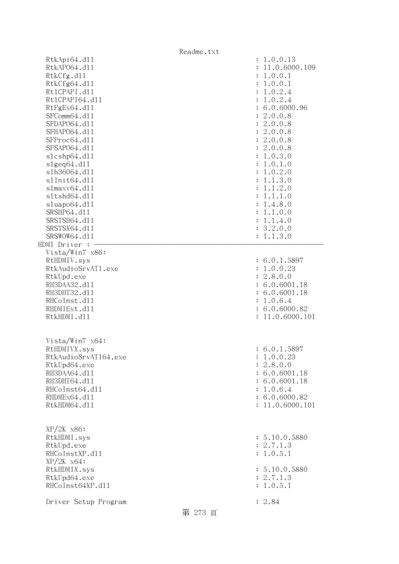Readme.txt RtkApi64.d11 : 1.0.0.13 RtkAP064.d11 : 11.0.6000.109 RtkCfg.dl1 : 1.0.0.1 RtkCfg64.dl1 : 1.0.0.1 Rt1CPAPI.d11 : 1.0.2.4 Rt1CPAPI64.d11 : 1.0.2.4 RtPgEx64.dl1 : 6.0.6000.96<br>SFComm64.dl1 : 2.0.0.8  $SFComm64. d11$  SFDAPO64.dll : 2.0.0.8 SFHAPO64.d11 : 2.0.0.8 SFProc64.d11 : 2.0.0.8 SFSAP064.d11 : 2.0.0.8 slcshp64.dll : 1.0.3.0 slgeq64.dll : 1.0.1.0 slh36064.dll : 1.0.2.0 slInit64.dll : 1.1.3.0 slmaxv64.dll : 1.1.2.0 sltshd64.dll : 1.1.1.0 sluapo64.dll : 1.4.8.0 SRSHP64.d11 : 1.1.0.0 SRSTSH64.d11 : 1.1.4.0 SRSTSX64.d11 : 3.2.0.0 SRSWOW64.d11 : 1.1.3.0 HDMI Driver : Vista/Win7 x86: RtHDMIV.sys : 6.0.1.5897 RtkAudioSrvATI.exe : 1.0.0.23 RtkUpd.exe : 2.8.0.0 RH3DAA32.dll : 6.0.6001.18 RH3DHT32.d11 : 6.0.6001.18 RHCoInst.d11 : 1.0.6.4 RHDMIExt.d11 : 6.0.6000.82 RtkHDMI.dl1 : 11.0.6000.101 Vista/Win7 x64: RtHDMIVX.sys : 6.0.1.5897 RtkAudioSrvATI64.exe : 1.0.0.23 RtkUpd64.exe : 2.8.0.0 RH3DAA64.d11 : 6.0.6001.18 RH3DHT64.d11 : 6.0.6001.18 RHCoInst64.d11 : 1.0.6.4 RHDMEx64.d11 : 6.0.6000.82 RtkHDM64.d11 : 11.0.6000.101 XP/2K x86: RtkHDMI.sys : 5.10.0.5880 RtkUpd.exe : 2.7.1.3 RHCoInstXP.d11 : 1.0.5.1 XP/2K x64: RtkHDMIX.sys : 5.10.0.5880 RtkUpd64.exe : 2.7.1.3 RHCoInst64XP.d11 : 1.0.5.1 Driver Setup Program : 2.84 第 273 頁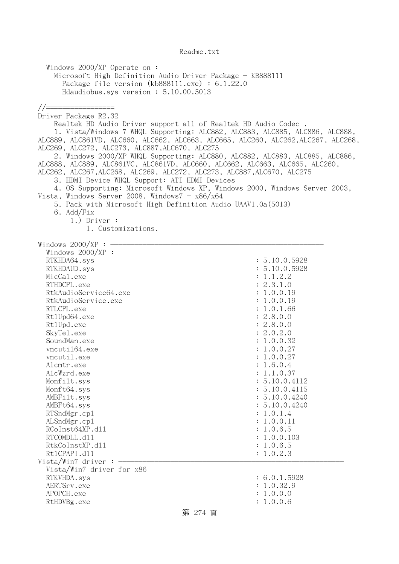Windows 2000/XP Operate on : Microsoft High Definition Audio Driver Package - KB888111 Package file version (kb888111.exe) : 6.1.22.0 Hdaudiobus.sys version : 5.10.00.5013 //================= Driver Package R2.32 Realtek HD Audio Driver support all of Realtek HD Audio Codec . 1. Vista/Windows 7 WHQL Supporting: ALC882, ALC883, ALC885, ALC886, ALC888, ALC889, ALC861VD, ALC660, ALC662, ALC663, ALC665, ALC260, ALC262,ALC267, ALC268, ALC269, ALC272, ALC273, ALC887,ALC670, ALC275 2. Windows 2000/XP WHQL Supporting: ALC880, ALC882, ALC883, ALC885, ALC886, ALC888, ALC889, ALC861VC, ALC861VD, ALC660, ALC662, ALC663, ALC665, ALC260, ALC262, ALC267,ALC268, ALC269, ALC272, ALC273, ALC887,ALC670, ALC275 3. HDMI Device WHQL Support: ATI HDMI Devices 4. OS Supporting: Microsoft Windows XP, Windows 2000, Windows Server 2003, Vista, Windows Server 2008, Windows $7 - x86/x64$  5. Pack with Microsoft High Definition Audio UAAV1.0a(5013) 6. Add/Fix 1.) Driver : 1. Customizations. Windows  $2000/XP:$  Windows 2000/XP : RTKHDA64.sys : 5.10.0.5928 RTKHDAUD.sys : 5.10.0.5928  $\text{MicCal.}$ exe :  $1.1.2.2$ RTHDCPL.exe : 2.3.1.0 RtkAudioService64.exe : 1.0.0.19 RtkAudioService.exe : 1.0.0.19 RTLCPL.exe : 1.0.1.66 Rt1Upd64.exe : 2.8.0.0 RtlUpd.exe : 2.8.0.0 SkyTel.exe : 2.0.2.0 SoundMan.exe : 1.0.0.32 vncuti164.exe : 1.0.0.27 vncutil.exe : 1.0.0.27 Alcmtr.exe : 1.6.0.4 AlcWzrd.exe : 1.1.0.37 Monfilt.sys : 5.10.0.4112 Monft64.sys : 5.10.0.4115 AMBFilt.sys : 5.10.0.4240 AMBFt64.sys : 5.10.0.4240 RTSndMgr.cp1 : 1.0.1.4 ALSndMgr.cp1 : 1.0.0.11 RCoInst64XP.d11 : 1.0.6.5 RTCOMDLL.d11 : 1.0.0.103 RtkCoInstXP.d11 : 1.0.6.5 RtlCPAPI.dll : 1.0.2.3  $Vista/Win7$  driver :  $-$  Vista/Win7 driver for x86 RTKVHDA.sys : 6.0.1.5928 AERTSrv.exe : 1.0.32.9 APOPCH.exe : 1.0.0.0 RtHDVBg.exe : 1.0.0.6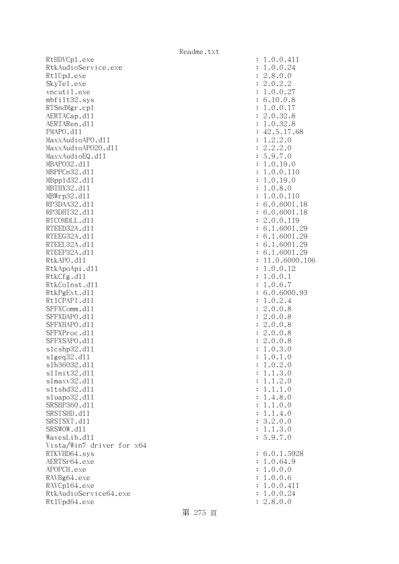RtHDVCp1.exe : 1.0.0.411 RtkAudioService.exe : 1.0.0.24 Rt1Upd.exe : 2.8.0.0 SkyTel.exe : 2.0.2.2 vncutil.exe : 1.0.0.27 mbfilt32.sys : 6.10.0.8 RTSndMgr.cpl : 1.0.0.17 AERTACap.d11 : 2.0.32.8 AERTARen.d11 : 1.0.32.8 FMAPO.d11 : 42.5.17.68 MaxxAudioAPO.dll : 1.2.2.0 MaxxAudioAPO20.dll : 2.2.2.0  $MaxAudioEQ. d11$  : 5.9.7.0 MBAP032.d11 : 1.0.19.0 MBPPCn32.d11 : 1.0.0.110 MBppld32.dll : 1.0.19.0 MBTHX32.dll : 1.0.8.0 MBWrp32.dll : 1.0.0.110 RP3DAA32.d11 : 6.0.6001.18 RP3DHT32.d11 : 6.0.6001.18 RTCOMDLL.d11 : 2.0.0.119 RTEED32A.d11 : 6.1.6001.29 RTEEG32A.d11 : 6.1.6001.29 RTEEL32A.d11 : 6.1.6001.29 RTEEP32A.d11 : 6.1.6001.29 RtkAPO.d11 : 11.0.6000.106 RtkApoApi.dl1 : 1.0.0.12 RtkCfg.dl1 : 1.0.0.1 RtkCoInst.dll : 1.0.6.7 RtkPgExt.d11 : 6.0.6000.93 Rt1CPAPI.d11 : 1.0.2.4 SFFXComm.d11 : 2.0.0.8 SFFXDAPO.dll : 2.0.0.8 SFFXHAPO.d11 : 2.0.0.8 SFFXProc.d11 : 2.0.0.8 SFFXSAPO.d11 : 2.0.0.8 slcshp32.dll : 1.0.3.0 slgeq32.dll : 1.0.1.0 slh36032.dll : 1.0.2.0 slInit32.dll : 1.1.3.0 slmaxv32.dll : 1.1.2.0 sltshd32.dll : 1.1.1.0 sluapo32.dll : 1.4.8.0 SRSHP360.d11 : 1.1.0.0 SRSTSHD.d11 : 1.1.4.0 SRSTSXT.d11 : 3.2.0.0 SRSWOW.dll : 1.1.3.0 WavesLib.dll : 5.9.7.0 Vista/Win7 driver for x64 RTKVHD64.sys : 6.0.1.5928 AERTSr64.exe : 1.0.64.9 APOPCH.exe : 1.0.0.0 RAVBg64.exe : 1.0.0.6 RAVCp164.exe : 1.0.0.411 RtkAudioService64.exe : 1.0.0.24 Rt1Upd64.exe : 2.8.0.0

## 第 275 頁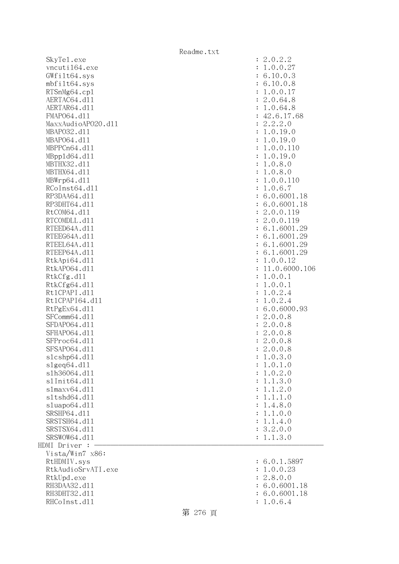SkyTel.exe vncuti164.exe  $GWfilt64.sys$  $mbfilt64.sys$ RTSnMg64.cp1 AERTAC64.dl1 AERTAR64.dl1 FMAP064.d11 MaxxAudioAP020.dll MBAP032.d11 MBAP064.dl1 MBPPCn64.d11 MBpp1d64.dl1 MBTHX32.d11 MBTHX64.d11 MBWrp64.dl1 RCoInst64.dl1 RP3DAA64.d11 RP3DHT64.d11 RtCOM64.d11 RTCOMDLL.d11 RTEED64A.dl1 RTEEG64A.dl1 RTEEL64A.d11 RTEEP64A.d11 RtkApi64.dll RtkAP064.dl1 RtkCfg.dl1 RtkCfg64.dl1 Rt1CPAPI.d11 Rt1CPAPI64.dl1 RtPgEx64.dl1 SFComm64.dl1 SFDAP064.d11 SFHAP064.d11 SFProc64.d11 SFSAP064.d11 slcshp64.dll slgeq64.dll slh36064.dl1 s1Init64.d11 slmaxv64.dll s1tshd64.d11  $sluapo64.d11$ SRSHP64.d11 SRSTSH64.d11 SRSTSX64.d11 SRSWOW64.d11 HDMI Driver : - Vista/Win7 x86: RtHDMIV.sys RtkAudioSrvATI.exe RtkUpd.exe RH3DAA32.d11 RH3DHT32.d11 RHCoInst.dl1 : 1.0.6.4

| $\ddot{\cdot}$<br>$\ddot{\cdot}$<br>$\ddot{\cdot}$<br>$\ddot{\cdot}$<br>$\ddot{\cdot}$<br>$\ddot{\cdot}$<br>$\ddot{\cdot}$<br>$\ddot{\cdot}$ | 2.0.2.2<br>1.0.0.27<br>6.10.0.3<br>6.10.0.8<br>1.0.0.17<br>2.0.64.8<br>1.0.64.8<br>42.6.17.68                                                                        |
|----------------------------------------------------------------------------------------------------------------------------------------------|----------------------------------------------------------------------------------------------------------------------------------------------------------------------|
| $\ddot{\cdot}$<br>$\ddot{\cdot}$<br>$\ddot{\cdot}$<br>$\ddot{\cdot}$<br>$\ddot{\cdot}$<br>$\ddot{\cdot}$                                     | $42.6.17.6$<br>$2.2.2.0$<br>$1.0.19.0$<br>$1.0.19.0$<br>$1.0.19.0$<br>$1.0.8.0$<br>$1.0.0.110$                                                                       |
| $\ddot{\cdot}$<br>$\ddot{\cdot}$<br>$\ddot{\cdot}$<br>$\ddot{\cdot}$<br>$\ddot{\cdot}$<br>$\ddot{\cdot}$<br>$\ddot{\cdot}$                   | $1.0.0.110$<br>$1.0.6.7$<br>6.0.6001.18<br>6.0.6001.18<br>2.0.0.119<br>2.0.0.119                                                                                     |
| $\ddot{\cdot}$<br>$\ddot{\cdot}$<br>$\ddot{\cdot}$<br>$\ddot{\cdot}$<br>$\ddot{\cdot}$<br>$\ddot{\cdot}$                                     | 6.1.6001.29<br>6.<br>1.6001.29<br>6.1.6001.29<br>6.1.6001.29<br>1.0.0.12<br>1.0.6000.106<br>$\mathbf 1$                                                              |
| $\ddot{\cdot}$<br>$\ddot{\cdot}$<br>$\ddot{\cdot}$<br>$\ddot{\cdot}$<br>$\ddot{\cdot}$<br>$\ddot{\cdot}$<br>$\ddot{\cdot}$                   | 1.0.0.1<br>1.0.0.1<br>$1.0.0.1$<br>$1.0.2.4$<br>$6.0.6000.93$<br>$2.0.0.8$<br>$2.0.0.8$<br>$2.0.0.8$<br>$2.0.0.8$<br>$2.0.0.8$                                       |
| $\ddot{\cdot}$<br>$\ddot{\cdot}$<br>$\ddot{\cdot}$<br>$\ddot{\cdot}$<br>$\ddot{\cdot}$<br>$\ddot{\cdot}$                                     | $\overline{c}$<br>.0.0.8<br>.0.3.0<br>1<br>$.0.1.0$<br>$.0.2.0$<br>1<br>1                                                                                            |
| $\ddot{\cdot}$<br>$\ddot{\cdot}$<br>$\ddot{\cdot}$<br>$\ddot{\cdot}$<br>$\ddot{\cdot}$<br>$\ddot{\cdot}$<br>$\ddot{\cdot}$<br>$\ddot{\cdot}$ | $.1.3.0$<br>$.1.2.0$<br>$.1.1.0$<br>1<br>1<br>$\mathbf 1$<br>1.4.8.0<br>.1.0.0<br>$\mathbf{1}$<br>1.4.0<br>$\ddot{\phantom{a}}$<br>$\mathbf 1$<br>3.2.0.0<br>1.1.3.0 |
| $\ddot{\cdot}$<br>$\ddot{\cdot}$<br>$\ddot{\cdot}$<br>$\ddot{\cdot}$<br>$\ddot{\cdot}$                                                       | 6.0.1.5897<br>.0.0.23<br>$\mathbf{1}$<br>2.8.0.0<br>6.0.6001.18<br>6.0.6001.18                                                                                       |

## 第 276 頁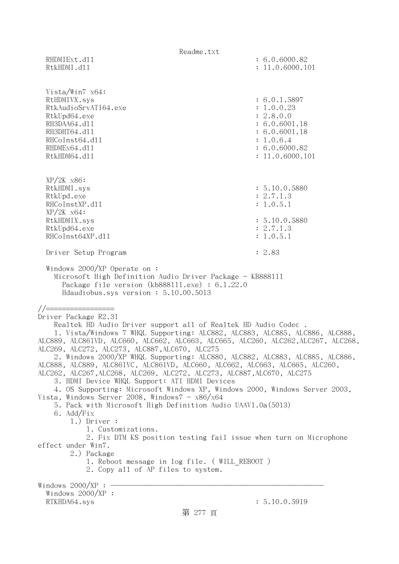Readme.txt RHDMIExt.d11 : 6.0.6000.82 RtkHDMI.dl1 : 11.0.6000.101 Vista/Win7 x64: RtHDMIVX.sys : 6.0.1.5897 RtkAudioSrvATI64.exe : 1.0.0.23 RtkUpd64.exe : 2.8.0.0 RH3DAA64.d11 : 6.0.6001.18 RH3DHT64.d11 : 6.0.6001.18 RHCoInst64.d11 : 1.0.6.4 RHDMEx64.d11 : 6.0.6000.82 RtkHDM64.d11 : 11.0.6000.101 XP/2K x86: RtkHDMI.sys : 5.10.0.5880 RtkUpd.exe : 2.7.1.3 RHCoInstXP.d11 : 1.0.5.1 XP/2K x64: RtkHDMIX.sys : 5.10.0.5880<br>RtkUpd64.exe : 2.7.1.3 RtkUpd64.exe RHCoInst64XP.d11 : 1.0.5.1 Driver Setup Program : 2.83 Windows 2000/XP Operate on : Microsoft High Definition Audio Driver Package - KB888111 Package file version (kb888111.exe) : 6.1.22.0 Hdaudiobus.sys version : 5.10.00.5013 //================= Driver Package R2.31 Realtek HD Audio Driver support all of Realtek HD Audio Codec . 1. Vista/Windows 7 WHQL Supporting: ALC882, ALC883, ALC885, ALC886, ALC888, ALC889, ALC861VD, ALC660, ALC662, ALC663, ALC665, ALC260, ALC262,ALC267, ALC268, ALC269, ALC272, ALC273, ALC887,ALC670, ALC275 2. Windows 2000/XP WHQL Supporting: ALC880, ALC882, ALC883, ALC885, ALC886, ALC888, ALC889, ALC861VC, ALC861VD, ALC660, ALC662, ALC663, ALC665, ALC260, ALC262, ALC267,ALC268, ALC269, ALC272, ALC273, ALC887,ALC670, ALC275 3. HDMI Device WHQL Support: ATI HDMI Devices 4. OS Supporting: Microsoft Windows XP, Windows 2000, Windows Server 2003, Vista, Windows Server 2008, Windows $7 - x86/x64$  5. Pack with Microsoft High Definition Audio UAAV1.0a(5013) 6. Add/Fix 1.) Driver : 1. Customizations. 2. Fix DTM KS position testing fail issue when turn on Microphone effect under Win7. 2.) Package 1. Reboot message in log file. ( WILL REBOOT ) 2. Copy all of AP files to system. Windows  $2000/XP : -$  Windows 2000/XP : RTKHDA64.sys : 5.10.0.5919 第 277 頁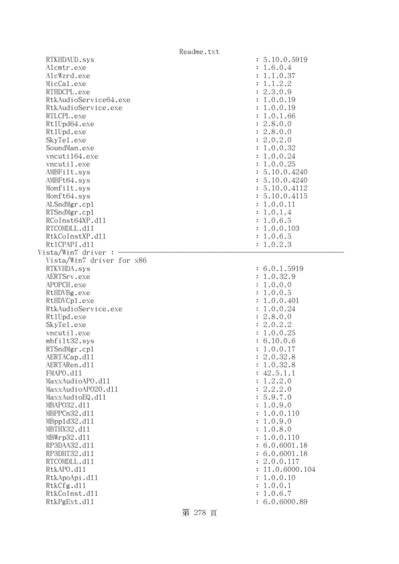| Readme.txt                |               |
|---------------------------|---------------|
| RTKHDAUD.sys              | : 5.10.0.5919 |
| Alcmtr.exe                | : 1.6.0.4     |
| AlcWzrd.exe               | : 1.1.0.37    |
| MicCal.exe                | : 1.1.2.2     |
| RTHDCPL.exe               | : 2.3.0.9     |
| RtkAudioService64.exe     | : 1.0.0.19    |
| RtkAudioService.exe       | : 1.0.0.19    |
| RTLCPL.exe                | : 1.0.1.66    |
| Rt1Upd64.exe              | : 2.8.0.0     |
| Rt1Upd.exe                | : 2.8.0.0     |
| SkyTe1.exe                | : 2.0.2.0     |
| SoundMan.exe              | : 1.0.0.32    |
| vncuti164.exe             | : 1.0.0.24    |
| vncutil.exe               | : 1.0.0.25    |
| AMBFilt.sys               | : 5.10.0.4240 |
| AMBFt64.sys               | : 5.10.0.4240 |
| Monfilt.sys               | : 5.10.0.4112 |
| Monft64.sys               | : 5.10.0.4115 |
| ALSndMgr.cp1              | : 1.0.0.11    |
| RTSndMgr.cp1              | : 1.0.1.4     |
| RCoInst64XP.d11           | : 1.0.6.5     |
| RTCOMDLL.d11              | : 1.0.0.103   |
| RtkCoInstXP.d11           | : 1.0.6.5     |
| Rt1CPAPI.d11              | : 1.0.2.3     |
| Vista/Win7 driver :       |               |
| Vista/Win7 driver for x86 |               |
| RTKVHDA.sys               | : 6.0.1.5919  |
| AERTSrv.exe               | : 1.0.32.9    |
| APOPCH.exe                | : 1.0.0.0     |
| RtHDVBg.exe               | : 1.0.0.5     |
| RtHDVCp1.exe              | : 1.0.0.401   |
| RtkAudioService.exe       | : 1.0.0.24    |
| Rt1Upd.exe                | : 2.8.0.0     |
| SkyTe1.exe                | : 2.0.2.2     |
| vncutil.exe               | : 1.0.0.25    |
| mbfilt32.sys              | : 6.10.0.6    |
| RTSndMgr.cp1              | 1.0.0.17      |
| AERTACap.d11              | 2.0.32.8      |
| AERTARen.d11              | 1.0.32.8      |
| FMAPO.d11                 | 42.5.1.1      |
| MaxxAudioAPO.dll          | 1.2.2.0       |
| MaxxAudioAP020.dll        | 2.2.2.0       |
| MaxxAudioEQ.d11           | 5.9.7.0       |
| MBAP032.d11               | 1.0.9.0       |
| MBPPCn32.d11              | 1.0.0.110     |
| MBpp1d32.d11              | 1.0.9.0       |
| MBTHX32.d11               | 1.0.8.0       |
| MBWrp32.d11               | 1.0.0.110     |
| RP3DAA32.d11              | 6.0.6001.18   |
| RP3DHT32.d11              | 6.0.6001.18   |
| RTCOMDLL.d11              | 2.0.0.117     |
| RtkAPO.d11                | 11.0.6000.104 |
| RtkApoApi.d11             | 1.0.0.10      |
| RtkCfg.d11                | 1.0.0.1       |
| RtkCoInst.d11             | 1.0.6.7       |
| RtkPgExt.d11              | 6.0.6000.89   |
|                           |               |

第 278 頁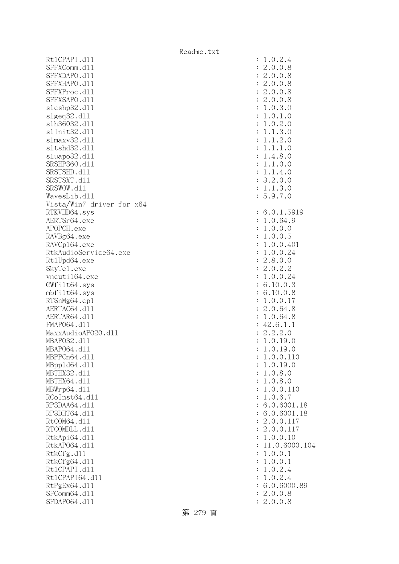Rt1CPAPI.d11 SFFXComm.dl1 SFFXDAPO.d11 SFFXHAPO.d11 SFFXProc.dl1 SFFXSAPO.d11 slcshp32.dl1 s1geq32.d11 slh36032.dl1 s1Init32.d11 slmaxv32.dl1 s1tshd32.d11 sluapo32.dll SRSHP360.d11 SRSTSHD.d11 SRSTSXT.d11 SRSWOW.d11 WavesLib.dl1 Vista/Win7 driver for x64 RTKVHD64.sys AERTSr64.exe APOPCH.exe RAVBg64.exe RAVCp164.exe RtkAudioService64.exe Rt1Upd64.exe SkyTe1.exe vncuti164.exe  $GWfilt64.sys$  $mbfilt64.sys$ RTSnMg64.cp1 AERTAC64.dl1 AERTAR64.d11 FMAP064.d11 MaxxAudioAPO20.dll MBAP032.d11 MBAP064.dl1 MBPPCn64.d11 MBpp1d64.dl1 MBTHX32.d11 MBTHX64.d11 MBWrp64.dl1 RCoInst64.dl1 RP3DAA64.d11 RP3DHT64.d11 RtCOM64.d11 RTCOMDLL.d11 RtkApi64.dll RtkAP064.dl1 RtkCfg.dl1 RtkCfg64.dl1 Rt1CPAPI.d11 Rt1CPAPI64.dl1 RtPgEx64.dl1 SFComm64.dl1 SFDAP064.d11

| $\ddot{\cdot}$<br>$\ddot{\cdot}$<br>$\ddot{\cdot}$<br>$\ddot{\cdot}$<br>$\ddot{\cdot}$<br>$\ddot{\cdot}$<br>$\ddot{\cdot}$<br>$\ddot{\cdot}$<br>$\ddot{\cdot}$<br>$\ddot{\cdot}$<br>$\ddot{\cdot}$<br>$\ddot{\cdot}$<br>$\ddot{\cdot}$<br>$\ddot{\cdot}$<br>$\ddot{\cdot}$<br>$\ddot{\cdot}$<br>$\ddot{\cdot}$<br>$\ddot{\cdot}$ | 1.0.2.4<br>2.0.0.8<br>2.0.0.8<br>2.0.0.8<br>2.0.0.8<br>2.0.0.8<br>1.0.3.0<br>1.0.1<br>$\cdot$ <sup>0</sup><br>0.2.0<br>1.<br>.3.0<br>$\mathbf 1$<br>1.<br>.2.0<br>$\mathbf 1$<br>1.<br>.1.0<br>1.<br>$\mathbf 1$<br>1.4.8.0<br>.0.0<br>1.<br>$\mathbf 1$<br>1.1.4.0<br>3.2.0.0<br>1.1.3.0<br>5.9.7.0 |
|----------------------------------------------------------------------------------------------------------------------------------------------------------------------------------------------------------------------------------------------------------------------------------------------------------------------------------|------------------------------------------------------------------------------------------------------------------------------------------------------------------------------------------------------------------------------------------------------------------------------------------------------|
| $\ddot{\cdot}$                                                                                                                                                                                                                                                                                                                   | 6.0.1.5919                                                                                                                                                                                                                                                                                           |
| $\ddot{\cdot}$                                                                                                                                                                                                                                                                                                                   | 1.0.64.9                                                                                                                                                                                                                                                                                             |
| $\ddot{\cdot}$                                                                                                                                                                                                                                                                                                                   | 1.0.0.0                                                                                                                                                                                                                                                                                              |
| $\ddot{\cdot}$<br>$\ddot{\cdot}$                                                                                                                                                                                                                                                                                                 | 1.0.0.5<br>1.0.0.401                                                                                                                                                                                                                                                                                 |
| $\ddot{\cdot}$                                                                                                                                                                                                                                                                                                                   | .0.0.24<br>1                                                                                                                                                                                                                                                                                         |
| $\ddot{\cdot}$                                                                                                                                                                                                                                                                                                                   | 2.8.0.0                                                                                                                                                                                                                                                                                              |
| $\ddot{\cdot}$                                                                                                                                                                                                                                                                                                                   | 2.0.2.2                                                                                                                                                                                                                                                                                              |
| $\ddot{\cdot}$                                                                                                                                                                                                                                                                                                                   | 1.0.0.24                                                                                                                                                                                                                                                                                             |
| $\ddot{\cdot}$                                                                                                                                                                                                                                                                                                                   | 6.10.0.3                                                                                                                                                                                                                                                                                             |
| $\ddot{\cdot}$                                                                                                                                                                                                                                                                                                                   | 10.0.8<br>6.                                                                                                                                                                                                                                                                                         |
| $\ddot{\cdot}$                                                                                                                                                                                                                                                                                                                   | 1.0.0.17                                                                                                                                                                                                                                                                                             |
| $\ddot{\cdot}$                                                                                                                                                                                                                                                                                                                   | 2.0.64.8                                                                                                                                                                                                                                                                                             |
| $\ddot{\cdot}$<br>$\ddot{\cdot}$                                                                                                                                                                                                                                                                                                 | 1.0.64.8<br>42.6.1.1                                                                                                                                                                                                                                                                                 |
| $\ddot{\cdot}$                                                                                                                                                                                                                                                                                                                   | 2.2.2.0                                                                                                                                                                                                                                                                                              |
| $\ddot{\cdot}$                                                                                                                                                                                                                                                                                                                   | 1.0.19.0                                                                                                                                                                                                                                                                                             |
| $\ddot{\cdot}$                                                                                                                                                                                                                                                                                                                   | 1.0.19.0                                                                                                                                                                                                                                                                                             |
| $\ddot{\cdot}$                                                                                                                                                                                                                                                                                                                   | 1<br>.0.0.110                                                                                                                                                                                                                                                                                        |
| $\ddot{\cdot}$                                                                                                                                                                                                                                                                                                                   | 1.0.19.0                                                                                                                                                                                                                                                                                             |
| $\ddot{\cdot}$                                                                                                                                                                                                                                                                                                                   | 1.0.8.0<br>1.0.8.0                                                                                                                                                                                                                                                                                   |
| $\ddot{\cdot}$<br>$\ddot{\cdot}$                                                                                                                                                                                                                                                                                                 | 1.0.0.110                                                                                                                                                                                                                                                                                            |
| $\ddot{\cdot}$                                                                                                                                                                                                                                                                                                                   | 1.0.6.7                                                                                                                                                                                                                                                                                              |
| $\ddot{\cdot}$                                                                                                                                                                                                                                                                                                                   | 6.0.6001.18                                                                                                                                                                                                                                                                                          |
| $\ddot{\cdot}$                                                                                                                                                                                                                                                                                                                   | 6.0.6001.18                                                                                                                                                                                                                                                                                          |
| $\ddot{\cdot}$                                                                                                                                                                                                                                                                                                                   | 2.0.0.117                                                                                                                                                                                                                                                                                            |
| $\ddot{\cdot}$                                                                                                                                                                                                                                                                                                                   | 2.0.0.117                                                                                                                                                                                                                                                                                            |
| $\ddot{\cdot}$                                                                                                                                                                                                                                                                                                                   | 1.0.0.10                                                                                                                                                                                                                                                                                             |
| $\ddot{\cdot}$<br>$\ddot{\cdot}$                                                                                                                                                                                                                                                                                                 | 11.0.6000.104<br>1.0.0.1                                                                                                                                                                                                                                                                             |
| $\vdots$                                                                                                                                                                                                                                                                                                                         | 1.0.0.1                                                                                                                                                                                                                                                                                              |
| $\vdots$                                                                                                                                                                                                                                                                                                                         | 1.0.2.4                                                                                                                                                                                                                                                                                              |
| $\vdots$                                                                                                                                                                                                                                                                                                                         | 1.0.2.4                                                                                                                                                                                                                                                                                              |
| $\ddot{\cdot}$                                                                                                                                                                                                                                                                                                                   | 6.0.6000.89                                                                                                                                                                                                                                                                                          |
| $\colon$                                                                                                                                                                                                                                                                                                                         | 2.0.0.8                                                                                                                                                                                                                                                                                              |
| $\colon$                                                                                                                                                                                                                                                                                                                         | 2.0.0.8                                                                                                                                                                                                                                                                                              |

第 279 頁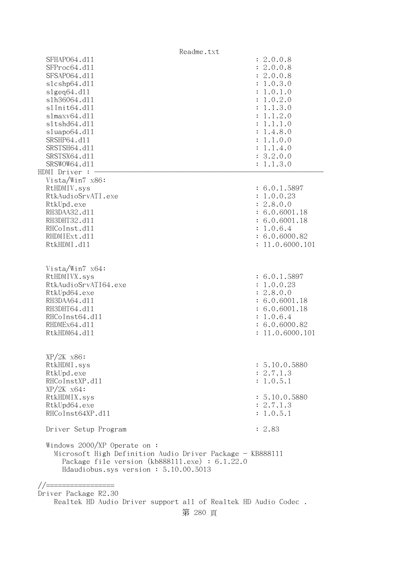Readme.txt SFHAPO64.dll : 2.0.0.8 SFProc64.d11 : 2.0.0.8 SFSAP064.d11 : 2.0.0.8 slcshp64.dll : 1.0.3.0 slgeq64.dll : 1.0.1.0 slh36064.dll : 1.0.2.0 slInit64.dl1 : 1.1.3.0 slmaxv64.dll : 1.1.2.0 sltshd64.dll : 1.1.1.0 sluapo64.dll : 1.4.8.0 SRSHP64.d11 : 1.1.0.0 SRSTSH64.d11 : 1.1.4.0 SRSTSX64.d11 : 3.2.0.0 SRSWOW64.d11 : 1.1.3.0 HDMI Driver : - Vista/Win7 x86: RtHDMIV.sys : 6.0.1.5897 RtkAudioSrvATI.exe : 1.0.0.23 RtkUpd.exe : 2.8.0.0 RH3DAA32.d11 : 6.0.6001.18 RH3DHT32.d11 : 6.0.6001.18 RHCoInst.dl1 : 1.0.6.4 RHDMIExt.d11 : 6.0.6000.82 RtkHDMI.dl1 : 11.0.6000.101 Vista/Win7 x64: RtHDMIVX.sys : 6.0.1.5897 RtkAudioSrvATI64.exe : 1.0.0.23 RtkUpd64.exe : 2.8.0.0 RH3DAA64.d11 : 6.0.6001.18 RH3DHT64.d11 : 6.0.6001.18 RHCoInst64.d11 : 1.0.6.4 RHDMEx64.d11 : 6.0.6000.82 RtkHDM64.d11 : 11.0.6000.101 XP/2K x86: RtkHDMI.sys : 5.10.0.5880 RtkUpd.exe : 2.7.1.3 RHCoInstXP.d11 : 1.0.5.1 XP/2K x64: RtkHDMIX.sys : 5.10.0.5880 RtkUpd64.exe : 2.7.1.3 RHCoInst64XP.d11 : 1.0.5.1 Driver Setup Program : 2.83 Windows 2000/XP Operate on : Microsoft High Definition Audio Driver Package - KB888111 Package file version (kb888111.exe) : 6.1.22.0 Hdaudiobus.sys version : 5.10.00.5013 //================= Driver Package R2.30 Realtek HD Audio Driver support all of Realtek HD Audio Codec .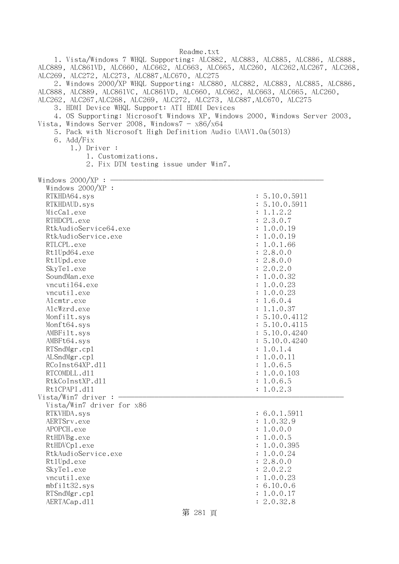1. Vista/Windows 7 WHQL Supporting: ALC882, ALC883, ALC885, ALC886, ALC888, ALC889, ALC861VD, ALC660, ALC662, ALC663, ALC665, ALC260, ALC262,ALC267, ALC268, ALC269, ALC272, ALC273, ALC887,ALC670, ALC275 2. Windows 2000/XP WHQL Supporting: ALC880, ALC882, ALC883, ALC885, ALC886, ALC888, ALC889, ALC861VC, ALC861VD, ALC660, ALC662, ALC663, ALC665, ALC260, ALC262, ALC267,ALC268, ALC269, ALC272, ALC273, ALC887,ALC670, ALC275 3. HDMI Device WHQL Support: ATI HDMI Devices 4. OS Supporting: Microsoft Windows XP, Windows 2000, Windows Server 2003, Vista, Windows Server 2008, Windows $7 - x86/x64$  5. Pack with Microsoft High Definition Audio UAAV1.0a(5013) 6. Add/Fix 1.) Driver : 1. Customizations. 2. Fix DTM testing issue under Win7. Windows  $2000/XP : -$  Windows 2000/XP : RTKHDA64.sys : 5.10.0.5911 RTKHDAUD.sys : 5.10.0.5911 MicCal.exe : 1.1.2.2 RTHDCPL.exe : 2.3.0.7 RtkAudioService64.exe : 1.0.0.19 RtkAudioService.exe : 1.0.0.19 RTLCPL.exe : 1.0.1.66 Rt1Upd64.exe : 2.8.0.0 RtlUpd.exe : 2.8.0.0 SkyTel.exe : 2.0.2.0 SoundMan.exe : 1.0.0.32 vncuti164.exe : 1.0.0.23 vncutil.exe : 1.0.0.23 Alcmtr.exe : 1.6.0.4 AlcWzrd.exe : 1.1.0.37 Monfilt.sys : 5.10.0.4112 Monft64.sys : 5.10.0.4115 AMBFilt.sys : 5.10.0.4240 AMBFt64.sys : 5.10.0.4240 RTSndMgr.cp1 : 1.0.1.4 ALSndMgr.cp1 : 1.0.0.11 RCoInst64XP.d11 : 1.0.6.5 RTCOMDLL.d11 : 1.0.0.103 RtkCoInstXP.d11 : 1.0.6.5 Rt1CPAPI.d11 : 1.0.2.3  $Vista/Win7$  driver :  $-$  Vista/Win7 driver for x86 RTKVHDA.sys : 6.0.1.5911 AERTSrv.exe : 1.0.32.9 APOPCH.exe : 1.0.0.0 RtHDVBg.exe : 1.0.0.5 RtHDVCp1.exe : 1.0.0.395 RtkAudioService.exe : 1.0.0.24 Rt1Upd.exe : 2.8.0.0 SkyTe1.exe : 2.0.2.2 vncutil.exe : 1.0.0.23 mbfilt32.sys : 6.10.0.6 RTSndMgr.cp1 : 1.0.0.17 AERTACap.d11 : 2.0.32.8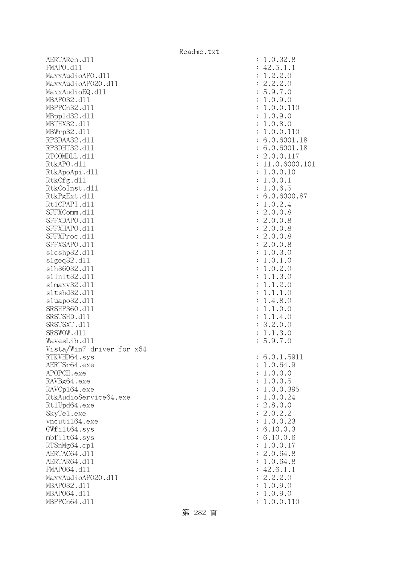AERTARen.d11 : 1.0.32.8 FMAPO.d11 : 42.5.1.1 MaxxAudioAPO.dll : 1.2.2.0 MaxxAudioAPO20.dll : 2.2.2.0 MaxxAudioEQ.dl1 : 5.9.7.0 MBAPO32.dll : 1.0.9.0 MBPPCn32.d11 : 1.0.0.110 MBppld32.dll : 1.0.9.0 MBTHX32.dll : 1.0.8.0 MBWrp32.dll : 1.0.0.110 RP3DAA32.d11 : 6.0.6001.18 RP3DHT32.d11 : 6.0.6001.18 RTCOMDLL.d11 : 2.0.0.117 RtkAPO.dl1 : 11.0.6000.101 RtkApoApi.dl1 : 1.0.0.10 : 1.0.0.10 RtkCfg.dl1 : 1.0.0.1 RtkCoInst.dl1 : 1.0.6.5 RtkPgExt.dll : 6.0.6000.87 Rt1CPAPI.d11 : 1.0.2.4 SFFXComm.d11 : 2.0.0.8 SFFXDAPO.d11 : 2.0.0.8 SFFXHAPO.d11 : 2.0.0.8 SFFXProc.d11 : 2.0.0.8 SFFXSAPO.dll : 2.0.0.8 slcshp32.dll : 1.0.3.0 slgeq32.dll : 1.0.1.0 slh36032.dll : 1.0.2.0 slInit32.dll : 1.1.3.0 slmaxv32.dll : 1.1.2.0 sltshd32.dll : 1.1.1.0 sluapo32.dll : 1.4.8.0 SRSHP360.d11 : 1.1.0.0 SRSTSHD.d11 : 1.1.4.0 SRSTSXT.d11 : 3.2.0.0 SRSWOW.d11 : 1.1.3.0 WavesLib.dl1 : 5.9.7.0 Vista/Win7 driver for x64 RTKVHD64.sys : 6.0.1.5911 AERTSr64.exe : 1.0.64.9 APOPCH.exe : 1.0.0.0 RAVBg64.exe : 1.0.0.5 RAVCp164.exe : 1.0.0.395 RtkAudioService64.exe : 1.0.0.24 Rt1Upd64.exe : 2.8.0.0 SkyTel.exe : 2.0.2.2 vncuti164.exe : 1.0.0.23 GWfilt64.sys : 6.10.0.3 mbfilt64.sys : 6.10.0.6 RTSnMg64.cp1 : 1.0.0.17 AERTAC64.d11 : 2.0.64.8 AERTAR64.d11 : 1.0.64.8 FMAP064.d11 : 42.6.1.1 MaxxAudioAPO20.dll : 2.2.2.0 MBAPO32.dll : 1.0.9.0 MBAPO64.dll : 1.0.9.0 MBPPCn64.dll : 1.0.0.110

第 282 頁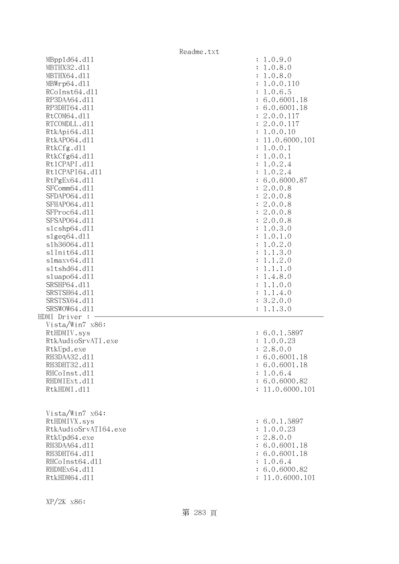|                      | Readme.txt                |
|----------------------|---------------------------|
| MBpp1d64.d11         | : 1.0.9.0                 |
| MBTHX32.d11          | 1.0.8.0<br>$\ddot{\cdot}$ |
| MBTHX64.d11          | 1.0.8.0                   |
| MBWrp64.dl1          | 1.0.0.110                 |
| RCoInst64.d11        | 1.0.6.5                   |
| RP3DAA64.d11         | 6.0.6001.18               |
| RP3DHT64.d11         | 6.0.6001.18               |
| RtCOM64.d11          | 2.0.0.117                 |
| RTCOMDLL.d11         | 2.0.0.117                 |
| RtkApi64.d11         | 1.0.0.10                  |
| RtkAP064.d11         | 11.0.6000.101             |
| RtkCfg.d11           | 1.0.0.1                   |
| RtkCfg64.d11         | 1.0.0.1<br>$\ddot{\cdot}$ |
| Rt1CPAPI.d11         | 1.0.2.4                   |
| Rt1CPAPI64.d11       | 1.0.2.4                   |
| RtPgEx64.d11         | 6.0.6000.87               |
| SFComm64.d11         | 2.0.0.8<br>$\ddot{\cdot}$ |
| SFDAP064.d11         | 2.0.0.8<br>$\ddot{\cdot}$ |
| SFHAP064.d11         | 2.0.0.8<br>$\ddot{\cdot}$ |
| SFProc64.d11         | 2.0.0.8<br>$\ddot{\cdot}$ |
| SFSAP064.d11         | 2.0.0.8<br>$\ddot{\cdot}$ |
| s1cshp64.d11         | 1.0.3.0<br>:              |
| $slgeq64$ .dll       | 1.0.1.0<br>:              |
| s1h36064.d11         | 1.0.2.0                   |
| s1Init64.d11         | 1.1.3.0                   |
| slmaxv64.d11         | 1.1.2.0                   |
| s1tshd64.d11         | 1.1.1.0                   |
| sluapo64.d11         | 1.4.8.0                   |
| SRSHP64.d11          | 1.1.0.0                   |
| SRSTSH64.d11         | 1.1.4.0<br>$\ddot{\cdot}$ |
| SRSTSX64.d11         | 3.2.0.0<br>:              |
| SRSWOW64.d11         | 1.1.3.0<br>$\ddot{\cdot}$ |
| HDMI Driver :        |                           |
| Vista/Win7 x86:      |                           |
| RtHDMIV.sys          | : 6.0.1.5897              |
| RtkAudioSrvATI.exe   | 1.0.0.23<br>÷             |
| RtkUpd.exe           | 2.8.0.0                   |
| RH3DAA32.d11         | : 6.0.6001.18             |
| RH3DHT32.d11         | : 6.0.6001.18             |
| RHCoInst.d11         | 1.0.6.4                   |
| RHDMIExt.d11         | : 6.0.6000.82             |
| RtkHDMI.d11          | : 11.0.6000.101           |
|                      |                           |
|                      |                           |
| Vista/Win7 x64:      |                           |
| RtHDMIVX.sys         | : 6.0.1.5897              |
| RtkAudioSrvATI64.exe | : 1.0.0.23                |
| RtkUpd64.exe         | : 2.8.0.0                 |
| RH3DAA64.d11         | : 6.0.6001.18             |
| RH3DHT64.d11         | 6.0.6001.18               |
| RHCoInst64.d11       | 1.0.6.4                   |
|                      |                           |
| RHDMEx64.d11         | : 6.0.6000.82             |
| RtkHDM64.d11         | 11.0.6000.101             |

XP/2K x86: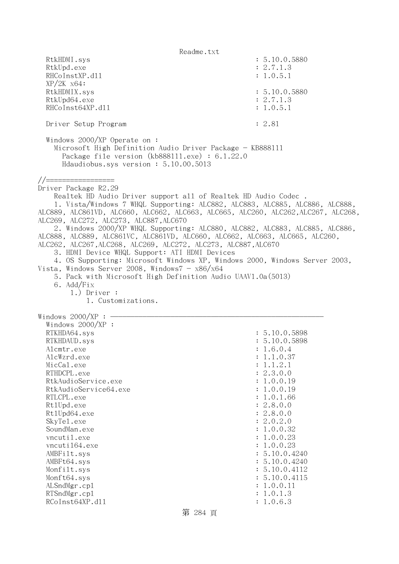Readme.txt RtkHDMI.sys : 5.10.0.5880 RtkUpd.exe : 2.7.1.3 RHCoInstXP.d11 : 1.0.5.1 XP/2K x64: RtkHDMIX.sys : 5.10.0.5880 RtkUpd64.exe : 2.7.1.3 RHCoInst64XP.d11 : 1.0.5.1 Driver Setup Program : 2.81 Windows 2000/XP Operate on : Microsoft High Definition Audio Driver Package - KB888111 Package file version (kb888111.exe) : 6.1.22.0 Hdaudiobus.sys version : 5.10.00.5013 //================= Driver Package R2.29 Realtek HD Audio Driver support all of Realtek HD Audio Codec . 1. Vista/Windows 7 WHQL Supporting: ALC882, ALC883, ALC885, ALC886, ALC888, ALC889, ALC861VD, ALC660, ALC662, ALC663, ALC665, ALC260, ALC262,ALC267, ALC268, ALC269, ALC272, ALC273, ALC887,ALC670 2. Windows 2000/XP WHQL Supporting: ALC880, ALC882, ALC883, ALC885, ALC886, ALC888, ALC889, ALC861VC, ALC861VD, ALC660, ALC662, ALC663, ALC665, ALC260, ALC262, ALC267,ALC268, ALC269, ALC272, ALC273, ALC887,ALC670 3. HDMI Device WHQL Support: ATI HDMI Devices 4. OS Supporting: Microsoft Windows XP, Windows 2000, Windows Server 2003, Vista, Windows Server 2008, Windows $7 - x86/x64$  5. Pack with Microsoft High Definition Audio UAAV1.0a(5013) 6. Add/Fix 1.) Driver : 1. Customizations. Windows  $2000/XP : -$  Windows 2000/XP : RTKHDA64.sys : 5.10.0.5898 RTKHDAUD.sys : 5.10.0.5898 Alcmtr.exe : 1.6.0.4 AlcWzrd.exe : 1.1.0.37 MicCal.exe : 1.1.2.1 RTHDCPL.exe : 2.3.0.0 RtkAudioService.exe : 1.0.0.19 RtkAudioService64.exe : 1.0.0.19 RTLCPL.exe : 1.0.1.66 Rt1Upd.exe : 2.8.0.0 Rt1Upd64.exe : 2.8.0.0 SkyTel.exe : 2.0.2.0 SoundMan.exe : 1.0.0.32 vncutil.exe : 1.0.0.23 vncuti164.exe : 1.0.0.23 AMBFilt.sys : 5.10.0.4240 AMBFt64.sys : 5.10.0.4240 Monfilt.sys : 5.10.0.4112 Monft64.sys : 5.10.0.4115 ALSndMgr.cp1 : 1.0.0.11 RTSndMgr.cp1 : 1.0.1.3 RCoInst64XP.d11 : 1.0.6.3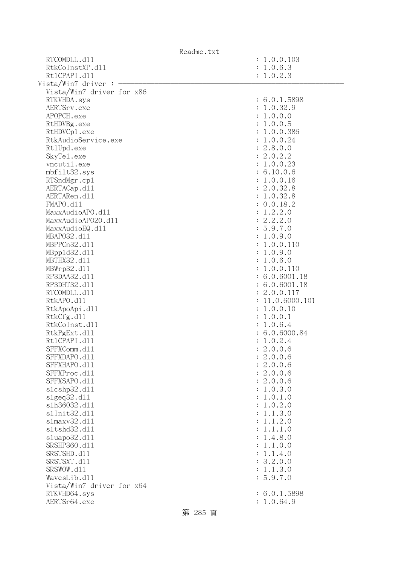| Readme.txt                |                           |
|---------------------------|---------------------------|
| RTCOMDLL.d11              | : 1.0.0.103               |
| RtkCoInstXP.d11           | : 1.0.6.3                 |
| Rt1CPAPI.d11              | : 1.0.2.3                 |
| Vista/Win7 driver :       |                           |
| Vista/Win7 driver for x86 |                           |
| RTKVHDA.sys               | : 6.0.1.5898              |
| AERTSrv.exe               | : 1.0.32.9                |
| APOPCH.exe                | : 1.0.0.0                 |
| RtHDVBg.exe               | : 1.0.0.5                 |
| RtHDVCp1.exe              | : 1.0.0.386               |
| RtkAudioService.exe       | : 1.0.0.24                |
| Rt1Upd.exe                | : 2.8.0.0                 |
| SkyTe1.exe                | : 2.0.2.2                 |
| vncutil.exe               | : 1.0.0.23                |
| mbfilt32.sys              | : 6.10.0.6                |
| RTSndMgr.cp1              | : 1.0.0.16                |
| AERTACap.d11              | : 2.0.32.8                |
| AERTARen.d11              | : 1.0.32.8                |
| FMAPO.d11                 | 0.0.18.2                  |
| MaxxAudioAPO.dll          | 1.2.2.0                   |
| MaxxAudioAP020.dll        | 2.2.2.0                   |
| MaxxAudioEQ.d11           | : 5.9.7.0                 |
| MBAP032.d11               | 1.0.9.0<br>$\ddot{\cdot}$ |
| MBPPCn32.d11              | 1.0.0.110                 |
| MBpp1d32.d11              | 1.0.9.0                   |
| MBTHX32.d11               | 1.0.6.0                   |
| MBWrp32.d11               | 1.0.0.110                 |
| RP3DAA32.d11              | 6.0.6001.18               |
| RP3DHT32.d11              | : 6.0.6001.18             |
| RTCOMDLL.d11              | 2.0.0.117                 |
| RtkAPO.d11                | 11.0.6000.101             |
| RtkApoApi.d11             | 1.0.0.10                  |
| RtkCfg.d11                | 1.0.0.1                   |
| RtkCoInst.d11             | 1.0.6.4                   |
| RtkPgExt.d11              | : 6.0.6000.84             |
| Rt1CPAPI.d11              | : 1.0.2.4                 |
| SFFXComm.d11              | 2.0.0.6                   |
| SFFXDAPO.d11              | 2.0.0.6                   |
| SFFXHAPO.d11              | 2.0.0.6                   |
| SFFXProc.d11              | 2.0.0.6                   |
| SFFXSAPO.d11              | 2.0.0.6                   |
| s1cshp32.d11              | 1.0.3.0                   |
| slgeq32. d11              | 1.0.1.0                   |
| s1h36032.d11              | 1.0.2.0                   |
| s1Init32.d11              | 1.1.3.0                   |
| s1maxv32.d11              | 1.1.2.0                   |
| s1tshd32.d11              | 1.1.1.0                   |
| sluapo32.d11              | 1.4.8.0                   |
| SRSHP360.d11              | 1.1.0.0                   |
| SRSTSHD.d11               | 1.1.4.0                   |
| SRSTSXT.d11               | 3.2.0.0                   |
| SRSWOW.d11                | 1.1.3.0                   |
| WavesLib.d11              | 5.9.7.0                   |
| Vista/Win7 driver for x64 |                           |
| RTKVHD64.sys              | : 6.0.1.5898              |
| AERTSr64.exe              | : 1.0.64.9                |
| 第 285 頁                   |                           |
|                           |                           |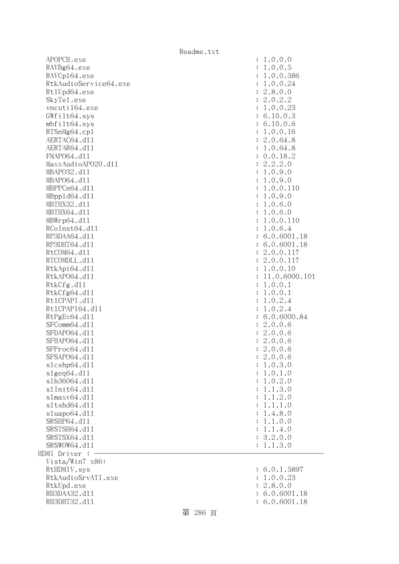| APOPCH.exe            | : 1.0.0.0                       |
|-----------------------|---------------------------------|
| RAVBg64.exe           | : 1.0.0.5                       |
| RAVCp164.exe          | 1.0.0.386<br>$\ddot{\cdot}$     |
| RtkAudioService64.exe | 1.0.0.24<br>$\ddot{\cdot}$      |
| Rt1Upd64.exe          | : 2.8.0.0                       |
| SkyTe1.exe            | : 2.0.2.2                       |
| vncuti164.exe         | : 1.0.0.23                      |
| GWfilt64.sys          | : 6.10.0.3                      |
| mbfilt64.sys          | : 6.10.0.6                      |
| RTSnMg64.cp1          | : 1.0.0.16                      |
| AERTAC64.d11          | : 2.0.64.8                      |
| AERTAR64.d11          | : 1.0.64.8                      |
| FMAP064.d11           | : 0.0.18.2                      |
| MaxxAudioAP020.dll    |                                 |
|                       | : 2.2.2.0                       |
| MBAP032.d11           | : 1.0.9.0                       |
| MBAP064.d11           | 1.0.9.0<br>$\ddot{\cdot}$       |
| MBPPCn64.d11          | 1.0.0.110<br>$\ddot{\cdot}$     |
| MBpp1d64.d11          | : 1.0.9.0                       |
| MBTHX32.d11           | : 1.0.6.0                       |
| MBTHX64.d11           | : 1.0.6.0                       |
| MBWrp64.d11           | : 1.0.0.110                     |
| RCoInst64.d11         | : 1.0.6.4                       |
| RP3DAA64.d11          | : 6.0.6001.18                   |
| RP3DHT64.d11          | : 6.0.6001.18                   |
| RtCOM64.d11           | : 2.0.0.117                     |
| RTCOMDLL.d11          | : 2.0.0.117                     |
| RtkApi64.d11          | : 1.0.0.10                      |
| RtkAP064.d11          | 11.0.6000.101<br>$\ddot{\cdot}$ |
| RtkCfg.d11            | : 1.0.0.1                       |
| RtkCfg64.d11          | : 1.0.0.1                       |
| Rt1CPAPI.d11          | 1.0.2.4<br>$\ddot{\cdot}$       |
| Rt1CPAPI64.d11        | 1.0.2.4<br>$\ddot{\cdot}$       |
| RtPgEx64.d11          | : 6.0.6000.84                   |
| SFComm64.d11          | : 2.0.0.6                       |
| SFDAP064.d11          | : 2.0.0.6                       |
| SFHAP064.d11          | : 2.0.0.6                       |
| SFProc64.d11          | : 2.0.0.6                       |
| SFSAP064.d11          | 2.0.0.6                         |
| s1cshp64.d11          | 1.0.3.0                         |
| slgeq64.d11           | 1.0.1.0<br>$\ddot{\cdot}$       |
| s1h36064.d11          | 1.0.2.0<br>$\ddot{\cdot}$       |
| s1Init64.d11          | 1.1.3.0<br>$\ddot{\cdot}$       |
| slmaxv64.d11          | 1.1.2.0<br>$\ddot{\cdot}$       |
| s1tshd64.d11          | 1.1.1.0<br>$\ddot{\cdot}$       |
| sluapo64.d11          | 1.4.8.0                         |
| SRSHP64.d11           | $\ddot{\cdot}$                  |
|                       | 1.1.0.0<br>$\ddot{\cdot}$       |
| SRSTSH64.d11          | 1.1.4.0<br>$\ddot{\cdot}$       |
| SRSTSX64.d11          | : 3.2.0.0                       |
| SRSWOW64.d11          | 1.1.3.0<br>$\ddot{\phantom{a}}$ |
| HDMI Driver :         |                                 |
| Vista/Win7 x86:       |                                 |
| RtHDMIV.sys           | : 6.0.1.5897                    |
| RtkAudioSrvATI.exe    | 1.0.0.23                        |
| RtkUpd.exe            | : 2.8.0.0                       |
| RH3DAA32.d11          | 6.0.6001.18                     |
| RH3DHT32.d11          | : 6.0.6001.18                   |

| :<br>$\ddot{\cdot}$<br>$\ddot{\cdot}$<br>$\ddot{\cdot}$<br>$\ddot{\cdot}$<br>$\ddot{\cdot}$<br>$\ddot{\cdot}$<br>$\ddot{\cdot}$<br>$\ddot{\cdot}$<br>$\ddot{\cdot}$<br>$\ddot{\cdot}$<br>$\ddot{\cdot}$<br>$\ddot{\cdot}$<br>$\ddot{\cdot}$<br>$\ddot{\cdot}$<br>$\ddot{\cdot}$<br>$\ddot{\cdot}$<br>$\ddot{\cdot}$<br>$\ddot{\cdot}$<br>$\ddot{\cdot}$<br>$\ddot{\cdot}$<br>$\ddot{\cdot}$<br>$\ddot{\cdot}$<br>$\ddot{\cdot}$<br>$\ddot{\cdot}$<br>$\ddot{\cdot}$<br>$\ddot{\cdot}$<br>$\ddot{\cdot}$<br>$\ddot{\cdot}$<br>$\ddot{\cdot}$<br>$\ddot{\cdot}$<br>$\ddot{\cdot}$<br>$\colon$<br>$\ddot{\cdot}$<br>$\ddot{\cdot}$<br>$\ddot{\cdot}$<br>$\ddot{\cdot}$<br>$\ddot{\cdot}$<br>$\ddot{\cdot}$<br>$\ddot{\cdot}$<br>$\ddot{\cdot}$<br>$\ddot{\cdot}$<br>$\ddot{\cdot}$<br>$\ddot{\cdot}$<br>$\ddot{\cdot}$ | 1.0.0.0<br>1.0.0.5<br>1.0.0.386<br>1.0.0.24<br>2.8.0.0<br>2.0.2.2<br>1.0.0.23<br>6.10.0.3<br>6.10.0.6<br>1.0.0.16<br>2.0.64.8<br>1.0.64.8<br>0.0.18.2<br>2.2.2.0<br>1.0.9.0<br>1.0.9.0<br>1.0.0.110<br>1.0.9.0<br>1.0.6.0<br>1.0.6.0<br>1.0.0.110<br>1.0.6.4<br>6.0.6001.18<br>6.0.6001.18<br>2.0.0.117<br>2.0.0.117<br>1.0.0.10<br>11.0.6000.101<br>1.0.0.1<br>1.0.0.1<br>1.0.2.4<br>1.0.2.4<br>6.0.6000.84<br>$\ddot{\phantom{0}}$<br>2.0.0.6<br>$\ddot{\phantom{0}}$<br>2.0.0.6<br>$\ddot{\phantom{0}}$<br>2.0.0.6<br>2.0.0.6<br>2.0.0.6<br>1.0.3.0<br>1.0.1<br>$\cdot$ <sup>0</sup><br>1.0.2.0<br>1.1.3.0<br>1.1.2.0<br>1.1.1.0<br>1.4.8.0<br>1.1.0.0<br>1.1.4.0<br>3.2.0.0<br>1.1.3.0 |
|---------------------------------------------------------------------------------------------------------------------------------------------------------------------------------------------------------------------------------------------------------------------------------------------------------------------------------------------------------------------------------------------------------------------------------------------------------------------------------------------------------------------------------------------------------------------------------------------------------------------------------------------------------------------------------------------------------------------------------------------------------------------------------------------------------------------|--------------------------------------------------------------------------------------------------------------------------------------------------------------------------------------------------------------------------------------------------------------------------------------------------------------------------------------------------------------------------------------------------------------------------------------------------------------------------------------------------------------------------------------------------------------------------------------------------------------------------------------------------------------------------------------------|
| $\ddot{\cdot}$                                                                                                                                                                                                                                                                                                                                                                                                                                                                                                                                                                                                                                                                                                                                                                                                      | 6.0.1.5897                                                                                                                                                                                                                                                                                                                                                                                                                                                                                                                                                                                                                                                                                 |
| $\ddot{\cdot}$                                                                                                                                                                                                                                                                                                                                                                                                                                                                                                                                                                                                                                                                                                                                                                                                      | 1.0.0.23                                                                                                                                                                                                                                                                                                                                                                                                                                                                                                                                                                                                                                                                                   |
| $\ddot{\cdot}$                                                                                                                                                                                                                                                                                                                                                                                                                                                                                                                                                                                                                                                                                                                                                                                                      | 2.8.0.0                                                                                                                                                                                                                                                                                                                                                                                                                                                                                                                                                                                                                                                                                    |

 $: 6.0.6001.18$  $: 6.0.6001.18$ 

第 286 頁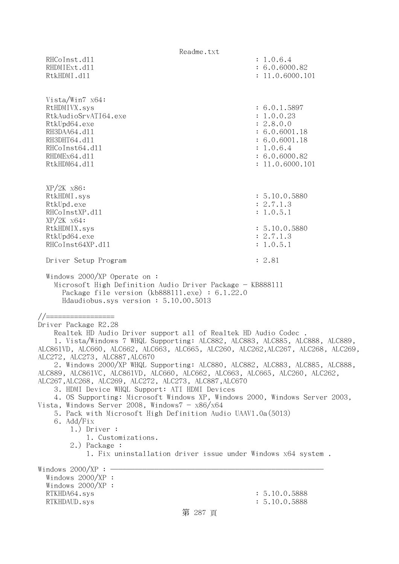Readme.txt RHCoInst.d11 : 1.0.6.4 RHDMIExt.d11 : 6.0.6000.82 RtkHDMI.d11 : 11.0.6000.101 Vista/Win7 x64: RtHDMIVX.sys : 6.0.1.5897 RtkAudioSrvATI64.exe : 1.0.0.23 RtkUpd64.exe : 2.8.0.0 RH3DAA64.d11 : 6.0.6001.18 RH3DHT64.d11 : 6.0.6001.18 RHCoInst64.dl1 : 1.0.6.4 RHDMEx64.d11 : 6.0.6000.82 RtkHDM64.d11 : 11.0.6000.101 XP/2K x86: RtkHDMI.sys : 5.10.0.5880 RtkUpd.exe : 2.7.1.3 RHCoInstXP.d11 : 1.0.5.1 XP/2K x64: RtkHDMIX.sys : 5.10.0.5880 RtkUpd64.exe : 2.7.1.3 RHCoInst64XP.d11 : 1.0.5.1 Driver Setup Program : 2.81 Windows 2000/XP Operate on : Microsoft High Definition Audio Driver Package - KB888111 Package file version (kb888111.exe) : 6.1.22.0 Hdaudiobus.sys version : 5.10.00.5013 //================= Driver Package R2.28 Realtek HD Audio Driver support all of Realtek HD Audio Codec . 1. Vista/Windows 7 WHQL Supporting: ALC882, ALC883, ALC885, ALC888, ALC889, ALC861VD, ALC660, ALC662, ALC663, ALC665, ALC260, ALC262,ALC267, ALC268, ALC269, ALC272, ALC273, ALC887,ALC670 2. Windows 2000/XP WHQL Supporting: ALC880, ALC882, ALC883, ALC885, ALC888, ALC889, ALC861VC, ALC861VD, ALC660, ALC662, ALC663, ALC665, ALC260, ALC262, ALC267,ALC268, ALC269, ALC272, ALC273, ALC887,ALC670 3. HDMI Device WHQL Support: ATI HDMI Devices 4. OS Supporting: Microsoft Windows XP, Windows 2000, Windows Server 2003, Vista, Windows Server 2008, Windows $7 - x86/x64$  5. Pack with Microsoft High Definition Audio UAAV1.0a(5013) 6. Add/Fix 1.) Driver : 1. Customizations. 2.) Package : 1. Fix uninstallation driver issue under Windows x64 system . Windows  $2000/XP : -$  Windows 2000/XP : Windows 2000/XP : RTKHDA64.sys : 5.10.0.5888 RTKHDAUD.sys : 5.10.0.5888 第 287 頁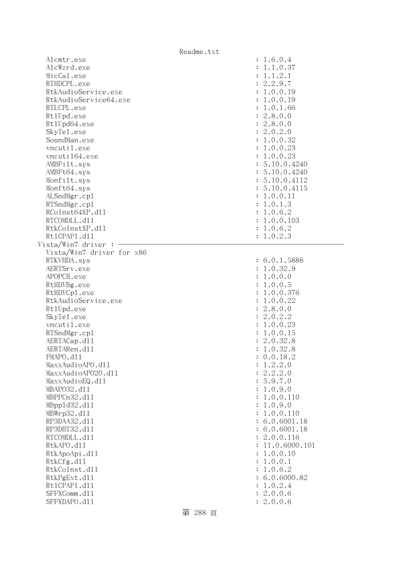| Alcmtr.exe                   | : 1.6.0.4          |
|------------------------------|--------------------|
| AlcWzrd.exe                  | 1.1.0.37           |
| MicCal.exe                   | : 1.1.2.1          |
| RTHDCPL.exe                  | : 2.2.9.7          |
| RtkAudioService.exe          | : 1.0.0.19         |
| RtkAudioService64.exe        | : 1.0.0.19         |
| RTLCPL.exe                   | : 1.0.1.66         |
| Rt1Upd.exe                   | : 2.8.0.0          |
| Rt1Upd64.exe                 | : 2.8.0.0          |
| SkyTe1.exe                   | : 2.0.2.0          |
|                              |                    |
| SoundMan.exe                 | : 1.0.0.32         |
| vncutil.exe                  | : 1.0.0.23         |
| vncuti164.exe                | : 1.0.0.23         |
| AMBFilt.sys                  | : 5.10.0.4240      |
| AMBFt64.sys                  | : 5.10.0.4240      |
| Monfilt.sys                  | : 5.10.0.4112      |
| Monft64.sys                  | : 5.10.0.4115      |
| ALSndMgr.cp1                 | : 1.0.0.11         |
| RTSndMgr.cp1                 | : 1.0.1.3          |
| RCoInst64XP.d11              | : 1.0.6.2          |
| RTCOMDLL.d11                 | : 1.0.0.103        |
| RtkCoInstXP.d11              | : 1.0.6.2          |
| Rt1CPAPI.d11                 | : 1.0.2.3          |
| Vista/Win7 driver :          |                    |
| Vista/Win7 driver for x86    |                    |
| RTKVHDA.sys                  | : 6.0.1.5888       |
|                              | : 1.0.32.9         |
|                              |                    |
| AERTSrv.exe                  |                    |
| APOPCH.exe                   | : 1.0.0.0          |
| RtHDVBg.exe                  | : 1.0.0.5          |
| RtHDVCp1.exe                 | : 1.0.0.376        |
| RtkAudioService.exe          | : 1.0.0.22         |
| Rt1Upd.exe                   | : 2.8.0.0          |
| SkyTe1.exe                   | : 2.0.2.2          |
| vncutil.exe                  | : 1.0.0.23         |
| RTSndMgr.cp1                 | : 1.0.0.15         |
| AERTACap.d11                 | : 2.0.32.8         |
| AERTARen.d11                 | : 1.0.32.8         |
| FMAPO.d11                    | : 0.0.18.2         |
| MaxxAudioAPO.dll             | 1.2.2.0            |
| MaxxAudioAP020.d11           | : 2.2.2.0          |
| MaxxAudioEQ.d11              | 5.9.7.0            |
| MBAP032.d11                  | 1.0.9.0            |
| MBPPCn32.d11                 | 1.0.0.110          |
|                              |                    |
| MBpp1d32.d11                 | 1.0.9.0            |
| MBWrp32.d11                  | 1.0.0.110          |
| RP3DAA32.d11                 | 6.0.6001.18        |
| RP3DHT32.d11                 | : 6.0.6001.18      |
| RTCOMDLL.d11                 | 2.0.0.116          |
| RtkAPO.d11                   | 11.0.6000.101      |
| RtkApoApi.d11                | 1.0.0.10           |
| RtkCfg.d11                   | 1.0.0.1            |
| RtkCoInst.d11                | 1.0.6.2            |
| RtkPgExt.d11                 | 6.0.6000.82        |
| Rt1CPAPI.d11                 | 1.0.2.4            |
| SFFXComm.d11<br>SFFXDAPO.d11 | 2.0.0.6<br>2.0.0.6 |

第 288 頁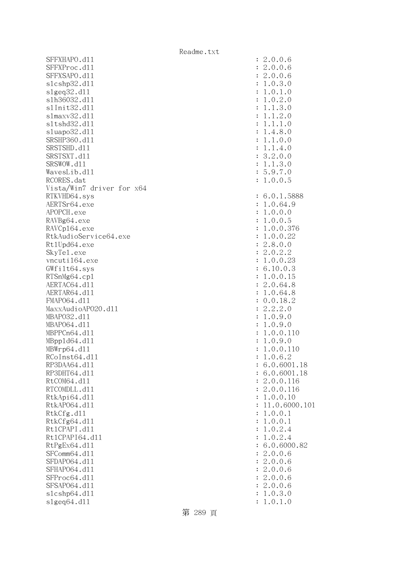SFFXHAPO.d11 SFFXProc.dl1 SFFXSAPO.d11 slcshp32.dl1 slgeq32.dl1 slh36032.dl1 s1Init32.d11 slmaxv32.dl1 s1tshd32.d11 sluapo32.dl1 SRSHP360.d11 SRSTSHD.d11 SRSTSXT.d11 SRSWOW.dl1 WavesLib.dll RCORES.dat Vista/Win7 driver for x64 RTKVHD64.sys AERTSr64.exe APOPCH.exe RAVBg64.exe RAVCp164.exe RtkAudioService64.exe Rt1Upd64.exe SkyTel.exe vncuti164.exe  $GWfilt64.sys$ RTSnMg64.cp1 AERTAC64.d11 AERTAR64.dl1 FMAP064.d11 MaxxAudioAPO20.dll MBAP032.d11 MBAP064.d11 MBPPCn64.dl1 MBpp1d64.dl1 MBWrp64.dl1 RCoInst64.dl1 RP3DAA64.dl1 RP3DHT64.d11 RtCOM64.d11 RTCOMDLL.d11 RtkApi64.dll RtkAP064.d11 : 11.0.6000.101 RtkCfg.dl1 RtkCfg64.dl1 Rt1CPAPI.d11 Rt1CPAPI64.d11 RtPgEx64.dl1 SFComm64.dl1 SFDAP064.d11 SFHAP064.d11 SFProc64.dl1 SFSAP064.d11 slcshp64.dl1 slgeq64.dll

| $\ddot{\cdot}$<br>$\ddot{\cdot}$<br>$\ddot{\cdot}$<br>$\vdots$<br>$\vdots$                                                                                                                                                                                                                                                                                                               | 2.0.0.6<br>2.0.0.6<br>2.0.0.6<br>1.0.3.0<br>$1.0.1.$<br>$1.0.2.$<br>$\circ$<br>$\ddot{\phantom{0}}$<br>$\overline{O}$<br>1.1.3.0<br>1.1.2.0<br>1.1.1.<br>$\overline{O}$<br>1.4.8.0<br>1.1.0.0<br>1.1.4.0<br>3.2.0.0<br>1.1.3.0                                                                                                        |
|------------------------------------------------------------------------------------------------------------------------------------------------------------------------------------------------------------------------------------------------------------------------------------------------------------------------------------------------------------------------------------------|---------------------------------------------------------------------------------------------------------------------------------------------------------------------------------------------------------------------------------------------------------------------------------------------------------------------------------------|
| $\vdots$                                                                                                                                                                                                                                                                                                                                                                                 | 5.9.7.0<br>1.0.0.5                                                                                                                                                                                                                                                                                                                    |
| $\ddot{\cdot}$<br>$\ddot{\cdot}$<br>$\ddot{\cdot}$<br>$\ddot{\cdot}$<br>$\ddot{\cdot}$<br>$\vdots$<br>$\vdots$<br>$\vdots$<br>$\ddot{\cdot}$<br>$\vdots$<br>$\vdots$<br>$\vdots$<br>$\vdots$<br>$\vdots$<br>$\vdots$<br>$\vdots$<br>$\vdots$<br>$\begin{array}{c} \n \vdots \\  \vdots \\  \vdots\n \end{array}$<br>$\ddot{\cdot}$<br>$\ddot{\cdot}$<br>$\ddot{\cdot}$<br>$\ddot{\cdot}$ | 6.0.1.5888<br>1.0.64.9<br>1.0.0.0<br>1.0.0.5<br>1.0.0.376<br>.0.0.22<br>$\mathbf 1$<br>2.8.0.0<br>$2.0.2.2$<br>1.0.0.23<br>6.10.0.3<br>1.0.0.15<br>2.0.64.8<br>$1.0.64.8$<br>0.0.18.2<br>2.2.2.0<br>1.0.9.0<br>1.0.9.0<br>1.0.0.110<br>1.0.9.0<br>1.0.0.110<br>$1.0.6$ .<br>$\overline{2}$<br>6.0.6001.18<br>6.0.6001.18<br>2.0.0.116 |
| $\ddot{\cdot}$<br>$\ddot{\cdot}$                                                                                                                                                                                                                                                                                                                                                         | 2.0.0.116<br>1.0.0.10                                                                                                                                                                                                                                                                                                                 |
| $\ddot{\cdot}$<br>$\ddot{\cdot}$                                                                                                                                                                                                                                                                                                                                                         | 11.0.6000.10<br>1.0.0.1                                                                                                                                                                                                                                                                                                               |
| $\ddot{\cdot}$                                                                                                                                                                                                                                                                                                                                                                           | 1.0.0.1                                                                                                                                                                                                                                                                                                                               |
| $\ddot{\cdot}$                                                                                                                                                                                                                                                                                                                                                                           | 1.0.2.4                                                                                                                                                                                                                                                                                                                               |
| $\ddot{\cdot}$<br>$\ddot{\cdot}$                                                                                                                                                                                                                                                                                                                                                         | 1.0.2.4<br>6.0.6000.82                                                                                                                                                                                                                                                                                                                |
| $\ddot{\cdot}$                                                                                                                                                                                                                                                                                                                                                                           | 2.0.0.6                                                                                                                                                                                                                                                                                                                               |
| $\ddot{\cdot}$                                                                                                                                                                                                                                                                                                                                                                           | 2.0.0.6                                                                                                                                                                                                                                                                                                                               |
| $\ddot{\cdot}$                                                                                                                                                                                                                                                                                                                                                                           | 2.0.0.6                                                                                                                                                                                                                                                                                                                               |
| $\ddot{\cdot}$<br>$\ddot{\cdot}$                                                                                                                                                                                                                                                                                                                                                         | 2.0.0.6<br>2.0.0.6                                                                                                                                                                                                                                                                                                                    |
| $\ddot{\cdot}$                                                                                                                                                                                                                                                                                                                                                                           | 1.0.3.0                                                                                                                                                                                                                                                                                                                               |
| $\ddot{\cdot}$                                                                                                                                                                                                                                                                                                                                                                           | 1.0.1.0                                                                                                                                                                                                                                                                                                                               |
|                                                                                                                                                                                                                                                                                                                                                                                          |                                                                                                                                                                                                                                                                                                                                       |

第 289 頁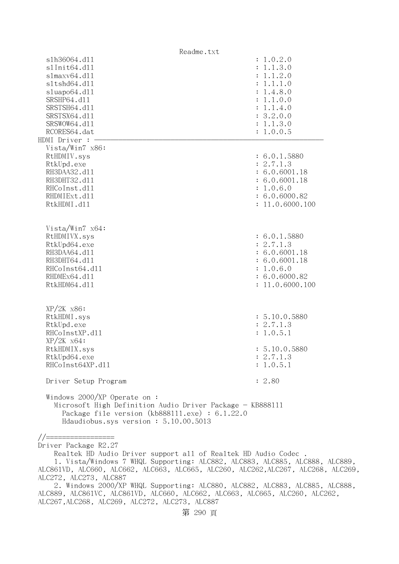| Readme.txt                                                |                 |
|-----------------------------------------------------------|-----------------|
| s1h36064.d11                                              | : 1.0.2.0       |
| s1Init64.d11                                              | : 1.1.3.0       |
| slmaxv64.d11                                              | : 1.1.2.0       |
| s1tshd64.d11                                              | : 1.1.1.0       |
| sluapo64.d11                                              | : 1.4.8.0       |
| SRSHP64.d11                                               | : 1.1.0.0       |
| SRSTSH64.d11                                              | : 1.1.4.0       |
| SRSTSX64.d11                                              | : 3.2.0.0       |
| SRSWOW64.d11                                              | : 1.1.3.0       |
| RCORES64.dat                                              | : 1.0.0.5       |
| HDMI Driver : -                                           |                 |
| Vista/Win7 x86:                                           |                 |
| RtHDMIV.sys                                               | : 6.0.1.5880    |
| RtkUpd.exe                                                | : 2.7.1.3       |
| RH3DAA32.d11                                              |                 |
|                                                           | : 6.0.6001.18   |
| RH3DHT32.d11                                              | : 6.0.6001.18   |
| RHCoInst.d11                                              | : 1.0.6.0       |
| RHDMIExt.d11                                              | : 6.0.6000.82   |
| RtkHDMI.d11                                               | : 11.0.6000.100 |
|                                                           |                 |
|                                                           |                 |
| Vista/Win7 $x64$ :                                        |                 |
| RtHDMIVX.sys                                              | : 6.0.1.5880    |
| RtkUpd64.exe                                              | : 2.7.1.3       |
| RH3DAA64.d11                                              | : 6.0.6001.18   |
| RH3DHT64.d11                                              | : 6.0.6001.18   |
| RHCoInst64.d11                                            | : 1.0.6.0       |
| RHDMEx64.d11                                              | : 6.0.6000.82   |
| RtkHDM64.d11                                              | : 11.0.6000.100 |
|                                                           |                 |
|                                                           |                 |
| $XP/2K$ $x86$ :                                           |                 |
| RtkHDMI.sys                                               | : 5.10.0.5880   |
| RtkUpd.exe                                                | : 2.7.1.3       |
| RHCoInstXP.d11                                            | : 1.0.5.1       |
| $XP/ZK$ $x64$ :                                           |                 |
| RtkHDMIX.sys                                              | : 5.10.0.5880   |
| RtkUpd64.exe                                              | : 2.7.1.3       |
| RHCoInst64XP.d11                                          | : 1.0.5.1       |
|                                                           |                 |
| Driver Setup Program                                      | : 2.80          |
|                                                           |                 |
| Windows 2000/XP Operate on:                               |                 |
| Microsoft High Definition Audio Driver Package - KB888111 |                 |
| Package file version (kb888111.exe) : 6.1.22.0            |                 |
| Hdaudiobus.sys version: 5.10.00.5013                      |                 |

//=================

Driver Package R2.27

 Realtek HD Audio Driver support all of Realtek HD Audio Codec . 1. Vista/Windows 7 WHQL Supporting: ALC882, ALC883, ALC885, ALC888, ALC889, ALC861VD, ALC660, ALC662, ALC663, ALC665, ALC260, ALC262,ALC267, ALC268, ALC269, ALC272, ALC273, ALC887

 2. Windows 2000/XP WHQL Supporting: ALC880, ALC882, ALC883, ALC885, ALC888, ALC889, ALC861VC, ALC861VD, ALC660, ALC662, ALC663, ALC665, ALC260, ALC262, ALC267,ALC268, ALC269, ALC272, ALC273, ALC887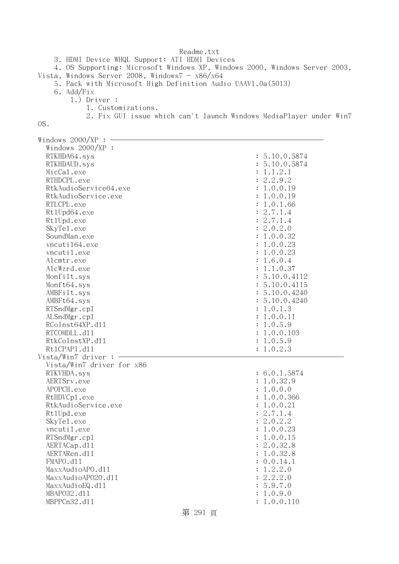Readme.txt 3. HDMI Device WHQL Support: ATI HDMI Devices 4. OS Supporting: Microsoft Windows XP, Windows 2000, Windows Server 2003, Vista, Windows Server 2008, Windows $7 - x86/x64$  5. Pack with Microsoft High Definition Audio UAAV1.0a(5013) 6. Add/Fix 1.) Driver : 1. Customizations. 2. Fix GUI issue which can't launch Windows MediaPlayer under Win7 OS. Windows  $2000/XP : -$  Windows 2000/XP : RTKHDA64.sys : 5.10.0.5874 RTKHDAUD.sys : 5.10.0.5874  $\text{MicCal.}$ exe : 1.1.2.1 RTHDCPL.exe : 2.2.9.2 RtkAudioService64.exe : 1.0.0.19 RtkAudioService.exe : 1.0.0.19 RTLCPL.exe : 1.0.1.66 Rt1Upd64.exe : 2.7.1.4 Rt1Upd.exe : 2.7.1.4 SkyTel.exe : 2.0.2.0 SoundMan.exe : 1.0.0.32 vncuti164.exe : 1.0.0.23 vncutil.exe : 1.0.0.23 Alcmtr.exe : 1.6.0.4 AlcWzrd.exe : 1.1.0.37 Monfilt.sys : 5.10.0.4112 Monft64.sys : 5.10.0.4115 AMBFilt.sys : 5.10.0.4240 AMBFt64.sys : 5.10.0.4240 RTSndMgr.cpl : 1.0.1.3 ALSndMgr.cp1 : 1.0.0.11 : 1.0.0.11 : 1.0.0.11 : 1.0.0.11 : 1.0.0.11 : 1.0.0.11 : 1.0.0.11 : 1.0.0.11 : 1.0.0.11 : 1.0.0.11 : 1.0.0.11 : 1.0.0.11 : 1.0.0.11 : 1.0.0.11 : 1.0.0.11 : 1.0.0.11 : 1.0.0.11 : 1.0.0.11 : 1.0.0.11 RCoInst64XP.d11 : 1.0.5.9 RTCOMDLL.d11 : 1.0.0.103 RtkCoInstXP.d11 : 1.0.5.9 Rt1CPAPI.d11 : 1.0.2.3  $Vista/Win7$  driver :  $-$  Vista/Win7 driver for x86 RTKVHDA.sys : 6.0.1.5874 AERTSrv.exe : 1.0.32.9 APOPCH.exe : 1.0.0.0 RtHDVCp1.exe : 1.0.0.366 RtkAudioService.exe : 1.0.0.21 RtlUpd.exe : 2.7.1.4 SkyTel.exe : 2.0.2.2 vncutil.exe : 1.0.0.23

第 291 頁

RTSndMgr.cp1 : 1.0.0.15 AERTACap.d11 : 2.0.32.8 AERTARen.d11 : 1.0.32.8 FMAPO.d11 : 0.0.14.1 MaxxAudioAPO.dll : 1.2.2.0 MaxxAudioAPO20.dll : 2.2.2.0 MaxxAudioEQ.dl1 : 5.9.7.0 MBAPO32.dll : 1.0.9.0 MBPPCn32.dll : 1.0.0.110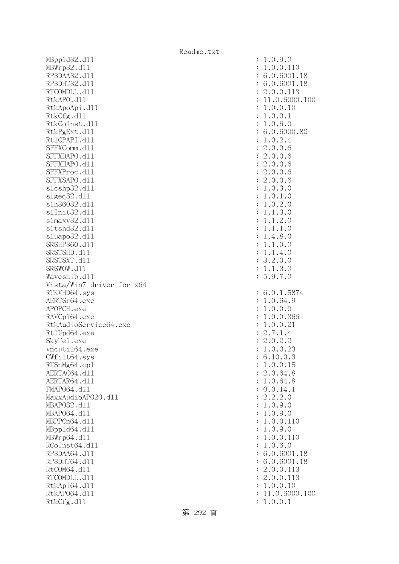MBppld32.dll : 1.0.9.0 MBWrp32.d11 : 1.0.0.110 RP3DAA32.d11 : 6.0.6001.18 RP3DHT32.d11 : 6.0.6001.18 RTCOMDLL.d11 : 2.0.0.113 RtkAPO.d11 : 11.0.6000.100 RtkApoApi.dl1 : 1.0.0.10 : 1.0.0.10 RtkCfg.dl1 : 1.0.0.1 RtkCoInst.dll : 1.0.6.0 RtkPgExt.dl1 : 6.0.6000.82 Rt1CPAPI.d11 : 1.0.2.4 SFFXComm.dll : 2.0.0.6 SFFXDAPO.dll : 2.0.0.6 SFFXHAPO.d11 : 2.0.0.6 SFFXProc.d11 : 2.0.0.6 SFFXSAPO.dll : 2.0.0.6 slcshp32.dll : 1.0.3.0 slgeq32.dll : 1.0.1.0 slh36032.dll : 1.0.2.0 slInit32.dll : 1.1.3.0 slmaxv32.dll : 1.1.2.0 sltshd32.dll : 1.1.1.0 sluapo32.dll : 1.4.8.0 SRSHP360.d11 : 1.1.0.0 SRSTSHD.d11 : 1.1.4.0 SRSTSXT.d11 : 3.2.0.0 SRSWOW.d11 : 1.1.3.0 WavesLib.dll : 5.9.7.0 Vista/Win7 driver for x64 RTKVHD64.sys : 6.0.1.5874 AERTSr64.exe : 1.0.64.9 APOPCH.exe : 1.0.0.0 RAVCp164.exe : 1.0.0.366 RtkAudioService64.exe : 1.0.0.21 Rt1Upd64.exe : 2.7.1.4 SkyTe1.exe : 2.0.2.2 vncuti164.exe : 1.0.0.23 GWfilt64.sys : 6.10.0.3 RTSnMg64.cp1 : 1.0.0.15 AERTAC64.d11 : 2.0.64.8 AERTAR64.d11 : 1.0.64.8 FMAP064.d11 : 0.0.14.1 MaxxAudioAPO20.dll : 2.2.2.0 MBAPO32.dll : 1.0.9.0 MBAPO64.dll : 1.0.9.0 MBPPCn64.dll : 1.0.0.110 MBppld64.dll : 1.0.9.0 MBWrp64.dll : 1.0.0.110  $RCoInst64. d11$  :  $1.0.6.0$ RP3DAA64.d11 : 6.0.6001.18 RP3DHT64.d11 : 6.0.6001.18 RtCOM64.d11 : 2.0.0.113 RTCOMDLL.d11 : 2.0.0.113 RtkApi64.dl1 : 1.0.0.10 : 1.0.0.10 RtkAP064.d11 : 11.0.6000.100 RtkCfg.dl1 : 1.0.0.1

第 292 頁

Readme.txt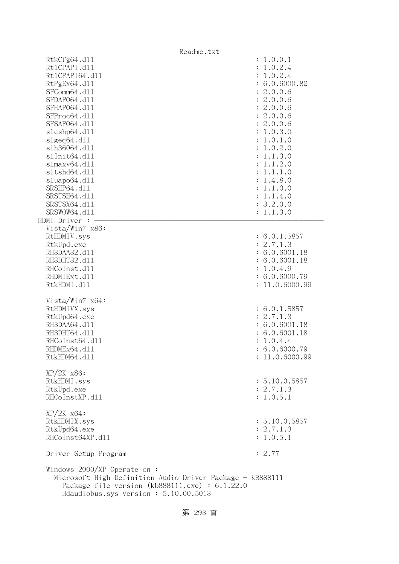|                                                                                                                                                                                               | Readme.txt                      |
|-----------------------------------------------------------------------------------------------------------------------------------------------------------------------------------------------|---------------------------------|
| RtkCfg64.d11                                                                                                                                                                                  | : 1.0.0.1                       |
| Rt1CPAPI.d11                                                                                                                                                                                  | 1.0.2.4<br>$\ddot{\cdot}$       |
| Rt1CPAPI64.d11                                                                                                                                                                                | 1.0.2.4                         |
| RtPgEx64.d11                                                                                                                                                                                  | : 6.0.6000.82                   |
| SFComm64.d11                                                                                                                                                                                  | : 2.0.0.6                       |
| SFDAP064.d11                                                                                                                                                                                  | : 2.0.0.6                       |
| SFHAP064.d11                                                                                                                                                                                  | : 2.0.0.6                       |
| SFProc64.d11                                                                                                                                                                                  | : 2.0.0.6                       |
| SFSAP064.d11                                                                                                                                                                                  | : 2.0.0.6                       |
| s1cshp64.d11                                                                                                                                                                                  | : 1.0.3.0                       |
| $slgeq64$ .dll                                                                                                                                                                                | : 1.0.1.0                       |
| s1h36064.d11                                                                                                                                                                                  | 1.0.2.0                         |
| s1Init64.d11                                                                                                                                                                                  | 1.1.3.0                         |
| slmaxv64. d11                                                                                                                                                                                 | 1.1.2.0                         |
| s1tshd64.d11                                                                                                                                                                                  | 1.1.1.0                         |
| sluapo64.d11                                                                                                                                                                                  | 1.4.8.0<br>$\ddot{\cdot}$       |
| SRSHP64.d11                                                                                                                                                                                   | 1.1.0.0                         |
| SRSTSH64.d11                                                                                                                                                                                  | 1.1.4.0<br>$\ddot{\cdot}$       |
| SRSTSX64.d11                                                                                                                                                                                  | : 3.2.0.0                       |
| SRSWOW64.d11                                                                                                                                                                                  | : 1.1.3.0                       |
| HDMI Driver :                                                                                                                                                                                 |                                 |
| Vista/Win7 x86:                                                                                                                                                                               |                                 |
| RtHDMIV.sys                                                                                                                                                                                   | : 6.0.1.5857                    |
| RtkUpd.exe                                                                                                                                                                                    | : 2.7.1.3                       |
| RH3DAA32.d11                                                                                                                                                                                  | : 6.0.6001.18                   |
| RH3DHT32.d11                                                                                                                                                                                  | : 6.0.6001.18                   |
| RHCoInst.d11                                                                                                                                                                                  | : 1.0.4.9                       |
| RHDMIExt.d11                                                                                                                                                                                  | : 6.0.6000.79                   |
| RtkHDMI.d11                                                                                                                                                                                   | : 11.0.6000.99                  |
|                                                                                                                                                                                               |                                 |
| Vista/Win7 x64:                                                                                                                                                                               |                                 |
| RtHDMIVX.sys                                                                                                                                                                                  | : 6.0.1.5857                    |
| RtkUpd64.exe                                                                                                                                                                                  | : 2.7.1.3                       |
| RH3DAA64.d11                                                                                                                                                                                  | : 6.0.6001.18                   |
| RH3DHT64.d11                                                                                                                                                                                  | : 6.0.6001.18                   |
| RHCoInst64.d11                                                                                                                                                                                | 1.0.4.4<br>$\ddot{\phantom{a}}$ |
| RHDMEx64.d11                                                                                                                                                                                  | : 6.0.6000.79                   |
| RtkHDM64.d11                                                                                                                                                                                  | : 11.0.6000.99                  |
|                                                                                                                                                                                               |                                 |
| XP/2K x86:                                                                                                                                                                                    |                                 |
| RtkHDMI.sys                                                                                                                                                                                   | : 5.10.0.5857                   |
| RtkUpd.exe                                                                                                                                                                                    | : 2.7.1.3                       |
| RHCoInstXP.d11                                                                                                                                                                                | : 1.0.5.1                       |
|                                                                                                                                                                                               |                                 |
| $XP/ZK$ $x64$ :                                                                                                                                                                               |                                 |
| RtkHDMIX.sys                                                                                                                                                                                  | : 5.10.0.5857                   |
| RtkUpd64.exe                                                                                                                                                                                  | : 2.7.1.3                       |
| RHCoInst64XP.d11                                                                                                                                                                              | : 1.0.5.1                       |
|                                                                                                                                                                                               |                                 |
| Driver Setup Program                                                                                                                                                                          | : 2.77                          |
| Windows $2000/XP$ Operate on:<br>Microsoft High Definition Audio Driver Package - KB888111<br>Package file version $(kb888111.\text{exe}) : 6.1.22.0$<br>Hdaudiobus.sys version: 5.10.00.5013 |                                 |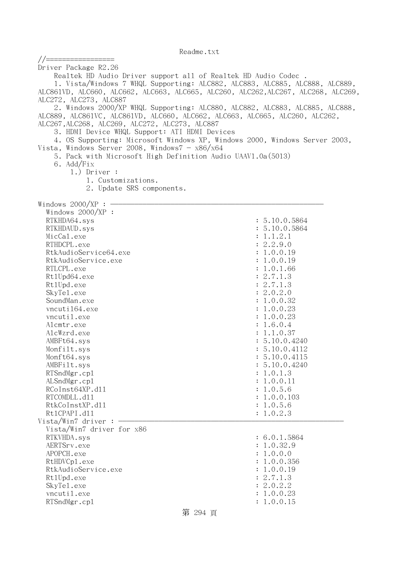| //=================                                                         |                                                                                   |
|-----------------------------------------------------------------------------|-----------------------------------------------------------------------------------|
| Driver Package R2.26                                                        |                                                                                   |
| Realtek HD Audio Driver support all of Realtek HD Audio Codec.              |                                                                                   |
|                                                                             | 1. Vista/Windows 7 WHQL Supporting: ALC882, ALC883, ALC885, ALC888, ALC889,       |
|                                                                             | ALC861VD, ALC660, ALC662, ALC663, ALC665, ALC260, ALC262, ALC267, ALC268, ALC269, |
| ALC272, ALC273, ALC887                                                      |                                                                                   |
|                                                                             | 2. Windows 2000/XP WHQL Supporting: ALC880, ALC882, ALC883, ALC885, ALC888,       |
| ALC889, ALC861VC, ALC861VD, ALC660, ALC662, ALC663, ALC665, ALC260, ALC262, |                                                                                   |
| ALC267, ALC268, ALC269, ALC272, ALC273, ALC887                              |                                                                                   |
| 3. HDMI Device WHQL Support: ATI HDMI Devices                               |                                                                                   |
|                                                                             | 4. OS Supporting: Microsoft Windows XP, Windows 2000, Windows Server 2003,        |
| Vista, Windows Server 2008, Windows $7 - x86/x64$                           |                                                                                   |
| 5. Pack with Microsoft High Definition Audio UAAV1.0a(5013)                 |                                                                                   |
| 6. Add/Fix                                                                  |                                                                                   |
| $1.)$ Driver :                                                              |                                                                                   |
| 1. Customizations.                                                          |                                                                                   |
| 2. Update SRS components.                                                   |                                                                                   |
| Windows $2000/XP$ : $\longrightarrow$                                       |                                                                                   |
| Windows 2000/XP :                                                           |                                                                                   |
| RTKHDA64.sys                                                                | : 5.10.0.5864                                                                     |
| RTKHDAUD.sys                                                                | : 5.10.0.5864                                                                     |
| MicCal.exe                                                                  | : 1.1.2.1                                                                         |
| RTHDCPL.exe                                                                 | : 2.2.9.0                                                                         |
| RtkAudioService64.exe                                                       | : 1.0.0.19                                                                        |
| RtkAudioService.exe                                                         | : 1.0.0.19                                                                        |
| RTLCPL.exe                                                                  | : 1.0.1.66                                                                        |
| Rt1Upd64.exe                                                                | : 2.7.1.3                                                                         |
| Rt1Upd.exe                                                                  | : 2.7.1.3                                                                         |
| SkyTe1.exe                                                                  | : 2.0.2.0                                                                         |
| SoundMan.exe                                                                | : 1.0.0.32                                                                        |
| vncuti164.exe                                                               | : 1.0.0.23                                                                        |
| vncutil.exe                                                                 | : 1.0.0.23                                                                        |
| Alcmtr.exe                                                                  | : 1.6.0.4                                                                         |
| AlcWzrd.exe                                                                 | : 1.1.0.37                                                                        |
| AMBFt64.sys                                                                 | : 5.10.0.4240                                                                     |
| Monfilt.sys                                                                 | : 5.10.0.4112                                                                     |
| Monft64.sys<br>AMBFilt.sys                                                  | : 5.10.0.4115<br>: 5.10.0.4240                                                    |
| RTSndMgr.cp1                                                                | : 1.0.1.3                                                                         |
| ALSndMgr.cp1                                                                | : 1.0.0.11                                                                        |
| RCoInst64XP.d11                                                             | : 1.0.5.6                                                                         |
| RTCOMDLL.d11                                                                | : 1.0.0.103                                                                       |
| RtkCoInstXP.d11                                                             | : 1.0.5.6                                                                         |
| Rt1CPAPI.d11                                                                | : 1.0.2.3                                                                         |
| Vista/Win7 driver:                                                          |                                                                                   |
| Vista/Win7 driver for x86                                                   |                                                                                   |
| RTKVHDA.sys                                                                 | : 6.0.1.5864                                                                      |
| AERTSrv.exe                                                                 | : 1.0.32.9                                                                        |
| APOPCH.exe                                                                  | : 1.0.0.0                                                                         |
| RtHDVCp1.exe                                                                | : 1.0.0.356                                                                       |
| RtkAudioService.exe                                                         | : 1.0.0.19                                                                        |
| Rt1Upd.exe                                                                  | : 2.7.1.3                                                                         |
| SkyTe1.exe                                                                  | : 2.0.2.2                                                                         |
| vncutil.exe                                                                 | : 1.0.0.23                                                                        |
| RTSndMgr.cp1                                                                | : 1.0.0.15                                                                        |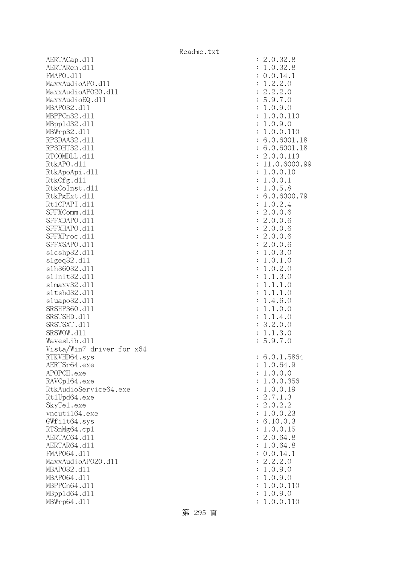AERTACap.d11 : 2.0.32.8 AERTARen.d11 : 1.0.32.8 FMAPO.d11 : 0.0.14.1 MaxxAudioAPO.dll : 1.2.2.0 MaxxAudioAPO20.dll : 2.2.2.0  $\text{MaxAudioEQ}.d11$  : 5.9.7.0 MBAPO32.dll : 1.0.9.0 MBPPCn32.d11 : 1.0.0.110 MBppld32.dll : 1.0.9.0 MBWrp32.dll : 1.0.0.110 RP3DAA32.d11 : 6.0.6001.18 RP3DHT32.d11 : 6.0.6001.18 RTCOMDLL.d11 : 2.0.0.113 RtkAPO.d11 : 11.0.6000.99 RtkApoApi.d11 : 1.0.0.10 : 1.0.0.10 RtkCfg.dl1 : 1.0.0.1 RtkCoInst.d11 : 1.0.5.8 RtkPgExt.dll : 6.0.6000.79 Rt1CPAPI.d11 : 1.0.2.4 SFFXComm.d11 : 2.0.0.6 SFFXDAPO.d11 : 2.0.0.6<br>SFFXHAPO.d11 : 2.0.0.6 SFFXHAPO.d11 SFFXProc.d11 : 2.0.0.6 SFFXSAPO.d11 : 2.0.0.6 slcshp32.dll : 1.0.3.0 slgeq32.dll : 1.0.1.0 slh36032.dll : 1.0.2.0 slInit32.dll : 1.1.3.0 slmaxv32.dl1 : 1.1.1.0 sltshd32.dll : 1.1.1.0 sluapo32.dl1 : 1.4.6.0 SRSHP360.d11 : 1.1.0.0 SRSTSHD.d11 : 1.1.4.0 SRSTSXT.d11 : 3.2.0.0 SRSWOW.d11 : 1.1.3.0 WavesLib.dl1 : 5.9.7.0 Vista/Win7 driver for x64 RTKVHD64.sys : 6.0.1.5864 AERTSr64.exe : 1.0.64.9 APOPCH.exe : 1.0.0.0 RAVCp164.exe : 1.0.0.356 RtkAudioService64.exe : 1.0.0.19 Rt1Upd64.exe : 2.7.1.3 SkyTe1.exe : 2.0.2.2 vncuti164.exe : 1.0.0.23 GWfilt64.sys : 6.10.0.3 RTSnMg64.cp1 : 1.0.0.15 AERTAC64.d11 : 2.0.64.8 AERTAR64.d11 : 1.0.64.8 FMAPO64.d11 : 0.0.14.1<br>
MaxxAudioAPO20.d11 : 2.2.2.0 MaxxAudioAP020.dll MBAPO32.dll : 1.0.9.0 MBAPO64.dll : 1.0.9.0 MBPPCn64.d11 : 1.0.0.110 MBppld64.dll : 1.0.9.0 MBWrp64.dll : 1.0.0.110

第 295 頁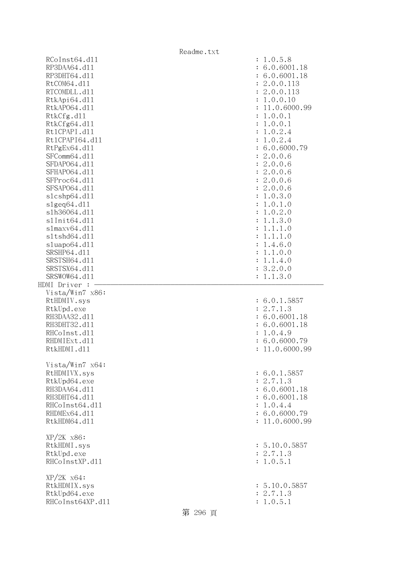|                              | Readme.txt                      |
|------------------------------|---------------------------------|
| RCoInst64.d11                | : 1.0.5.8                       |
| RP3DAA64.d11                 | : 6.0.6001.18                   |
| RP3DHT64.d11                 | : 6.0.6001.18                   |
| RtCOM64.d11                  | : 2.0.0.113                     |
| RTCOMDLL.d11                 | : 2.0.0.113                     |
| RtkApi64.dl1                 | : 1.0.0.10                      |
| RtkAP064.d11                 | : 11.0.6000.99                  |
| RtkCfg.d11                   | : 1.0.0.1                       |
| RtkCfg64.d11                 | : 1.0.0.1                       |
| Rt1CPAPI.d11                 | : 1.0.2.4                       |
| Rt1CPAPI64.d11               | : 1.0.2.4                       |
| RtPgEx64.d11<br>SFComm64.d11 | : 6.0.6000.79                   |
| SFDAP064.d11                 | : 2.0.0.6<br>: 2.0.0.6          |
| SFHAP064.d11                 | : 2.0.0.6                       |
| SFProc64.d11                 | : 2.0.0.6                       |
| SFSAP064.d11                 | : 2.0.0.6                       |
| s1cshp64.d11                 | : 1.0.3.0                       |
| slgeq64. d11                 | : 1.0.1.0                       |
| s1h36064.d11                 | : 1.0.2.0                       |
| s1Init64.d11                 | : 1.1.3.0                       |
| s1maxv64.d11                 | 1.1.1.0<br>$\ddot{\phantom{a}}$ |
| s1tshd64.d11                 | 1.1.1.0<br>$\ddot{\phantom{a}}$ |
| sluapo64.d11                 | : 1.4.6.0                       |
| SRSHP64.d11                  | : 1.1.0.0                       |
| SRSTSH64.d11                 | : 1.1.4.0                       |
| SRSTSX64.d11                 | : 3.2.0.0                       |
| SRSWOW64.d11                 | : 1.1.3.0                       |
| HDMI Driver :                |                                 |
| Vista/Win7 x86:              |                                 |
| RtHDMIV.sys                  | : 6.0.1.5857                    |
| RtkUpd.exe                   | : 2.7.1.3                       |
| RH3DAA32.d11                 | : 6.0.6001.18                   |
| RH3DHT32.d11                 | 6.0.6001.18                     |
| RHCoInst.d11                 | 1.0.4.9                         |
| RHDMIExt.d11                 | 6.0.6000.79                     |
| RtkHDMI.d11                  | : 11.0.6000.99                  |
|                              |                                 |
| Vista/Win7 x64:              |                                 |
| RtHDMIVX.sys                 | : 6.0.1.5857                    |
| RtkUpd64.exe<br>RH3DAA64.d11 | : 2.7.1.3                       |
| RH3DHT64.d11                 | : 6.0.6001.18<br>: 6.0.6001.18  |
| RHCoInst64.d11               | : 1.0.4.4                       |
| RHDMEx64.d11                 | : 6.0.6000.79                   |
| RtkHDM64.d11                 | : 11.0.6000.99                  |
|                              |                                 |
| $XP/2K$ $x86$ :              |                                 |
| RtkHDMI.sys                  | : 5.10.0.5857                   |
| RtkUpd.exe                   | : 2.7.1.3                       |
| RHCoInstXP.d11               | : 1.0.5.1                       |
|                              |                                 |
| $XP/ZK$ $x64$ :              |                                 |
| RtkHDMIX.sys                 | : 5.10.0.5857                   |
| RtkUpd64.exe                 | : 2.7.1.3                       |
| RHCoInst64XP.d11             | : 1.0.5.1                       |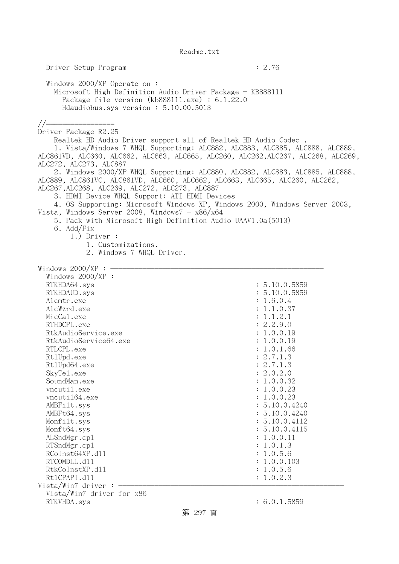Driver Setup Program : 2.76 Windows 2000/XP Operate on : Microsoft High Definition Audio Driver Package - KB888111 Package file version (kb888111.exe) : 6.1.22.0 Hdaudiobus.sys version : 5.10.00.5013 //================= Driver Package R2.25 Realtek HD Audio Driver support all of Realtek HD Audio Codec . 1. Vista/Windows 7 WHQL Supporting: ALC882, ALC883, ALC885, ALC888, ALC889, ALC861VD, ALC660, ALC662, ALC663, ALC665, ALC260, ALC262,ALC267, ALC268, ALC269, ALC272, ALC273, ALC887 2. Windows 2000/XP WHQL Supporting: ALC880, ALC882, ALC883, ALC885, ALC888, ALC889, ALC861VC, ALC861VD, ALC660, ALC662, ALC663, ALC665, ALC260, ALC262, ALC267,ALC268, ALC269, ALC272, ALC273, ALC887 3. HDMI Device WHQL Support: ATI HDMI Devices 4. OS Supporting: Microsoft Windows XP, Windows 2000, Windows Server 2003, Vista, Windows Server 2008, Windows $7 - x86/x64$  5. Pack with Microsoft High Definition Audio UAAV1.0a(5013) 6. Add/Fix 1.) Driver : 1. Customizations. 2. Windows 7 WHQL Driver. Windows  $2000/XP : -$  Windows 2000/XP : RTKHDA64.sys : 5.10.0.5859 RTKHDAUD.sys : 5.10.0.5859 Alcmtr.exe : 1.6.0.4 AlcWzrd.exe : 1.1.0.37 MicCal.exe : 1.1.2.1 RTHDCPL.exe : 2.2.9.0 RtkAudioService.exe : 1.0.0.19 RtkAudioService64.exe : 1.0.0.19 RTLCPL.exe : 1.0.1.66 Rt1Upd.exe : 2.7.1.3 Rt1Upd64.exe : 2.7.1.3 SkyTel.exe : 2.0.2.0 SoundMan.exe : 1.0.0.32 vncutil.exe : 1.0.0.23 vncuti164.exe : 1.0.0.23 AMBFilt.sys : 5.10.0.4240 AMBFt64.sys : 5.10.0.4240 Monfilt.sys : 5.10.0.4112 Monft64.sys : 5.10.0.4115 ALSndMgr.cp1 : 1.0.0.11 : 1.0.0.11 : 1.0.0.11 : 1.0.0.11 : 1.0.0.11 : 1.0.0.11 : 1.0.0.11 : 1.0.0.11 : 1.0.0.11 : 1.0.0.11 : 1.0.0.11 : 1.0.0.11 : 1.0.0.11 : 1.0.0.11 : 1.0.0.11 : 1.0.0.11 : 1.0.0.11 : 1.0.0.11 : 1.0.0.11 RTSndMgr.cp1 : 1.0.1.3 RCoInst64XP.d11 : 1.0.5.6 RTCOMDLL.d11 : 1.0.0.103 RtkCoInstXP.d11 : 1.0.5.6 Rt1CPAPI.d11 : 1.0.2.3  $Vista/Win7$  driver :  $-$  Vista/Win7 driver for x86 RTKVHDA.sys : 6.0.1.5859

第 297 頁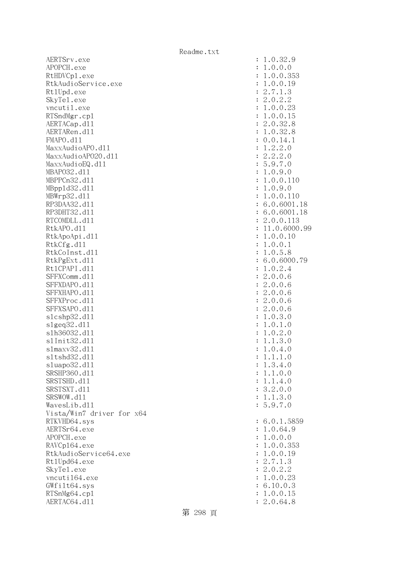AERTSrv.exe : 1.0.32.9 APOPCH.exe : 1.0.0.0 RtHDVCp1.exe : 1.0.0.353 RtkAudioService.exe : 1.0.0.19 RtlUpd.exe : 2.7.1.3 SkyTel.exe : 2.0.2.2 vncutil.exe : 1.0.0.23 RTSndMgr.cp1 : 1.0.0.15 AERTACap.d11 : 2.0.32.8 AERTARen.d11 : 1.0.32.8 FMAPO.d11 : 0.0.14.1 MaxxAudioAPO.dll : 1.2.2.0 MaxxAudioAPO20.dll : 2.2.2.0 MaxxAudioEQ.dl1 : 5.9.7.0 MBAPO32.dll : 1.0.9.0 MBPPCn32.dll : 1.0.0.110 MBppld32.dll : 1.0.9.0 MBWrp32.dll : 1.0.0.110 RP3DAA32.d11 : 6.0.6001.18 RP3DHT32.d11 : 6.0.6001.18 RTCOMDLL.d11 : 2.0.0.113 RtkAPO.d11 : 11.0.6000.99 RtkApoApi.d11 : 1.0.0.10 RtkCfg.dl1 : 1.0.0.1 RtkCoInst.dll : 1.0.5.8 RtkPgExt.dll : 6.0.6000.79 Rt1CPAPI.d11 : 1.0.2.4 SFFXComm.dl1 : 2.0.0.6<br>SFFXDAP0.dl1 : 2.0.0.6 SFFXDAPO.d11 SFFXHAPO.d11 : 2.0.0.6 SFFXProc.d11 : 2.0.0.6 SFFXSAPO.d11 : 2.0.0.6 slcshp32.dll : 1.0.3.0  $s1geq32. d11$  :  $1.0.1.0$  slh36032.dll : 1.0.2.0 s1Init32.d11 : 1.1.3.0 slmaxv32.dll : 1.0.4.0 sltshd32.dll : 1.1.1.0 sluapo32.dll : 1.3.4.0 SRSHP360.dll : 1.1.0.0 SRSTSHD.d11 : 1.1.4.0 SRSTSXT.dll : 3.2.0.0 SRSWOW.d11 : 1.1.3.0 WavesLib.dll : 5.9.7.0 Vista/Win7 driver for x64 RTKVHD64.sys : 6.0.1.5859 AERTSr64.exe : 1.0.64.9 APOPCH.exe : 1.0.0.0 RAVCp164.exe : 1.0.0.353 RtkAudioService64.exe : 1.0.0.19<br>Rt1Upd64.exe : 2.7.1.3 Rt1Upd64.exe SkyTe1.exe : 2.0.2.2 vncuti164.exe : 1.0.0.23 GWfilt64.sys : 6.10.0.3 RTSnMg64.cp1 : 1.0.0.15 AERTAC64.d11 : 2.0.64.8

第 298 頁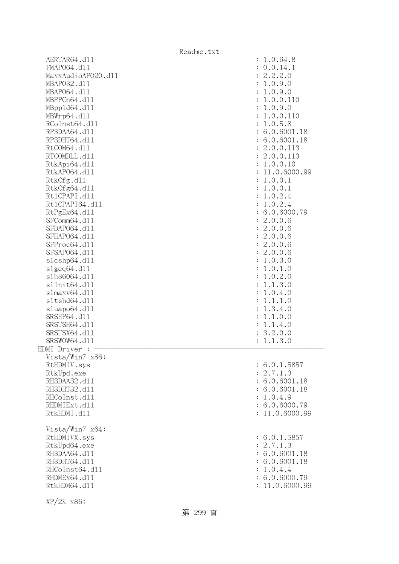|                    | Readme.txt                      |
|--------------------|---------------------------------|
| AERTAR64.d11       | : 1.0.64.8                      |
| FMAP064.d11        | : 0.0.14.1                      |
| MaxxAudioAP020.dll | : 2.2.2.0                       |
| MBAP032.d11        | : 1.0.9.0                       |
| MBAP064.d11        | : 1.0.9.0                       |
| MBPPCn64.d11       | : 1.0.0.110                     |
| MBpp1d64.d11       | : 1.0.9.0                       |
| MBWrp64.dl1        | : 1.0.0.110                     |
| RCoInst64.d11      | : 1.0.5.8                       |
| RP3DAA64.d11       | : 6.0.6001.18                   |
| RP3DHT64.d11       | : 6.0.6001.18                   |
| RtCOM64.d11        | : 2.0.0.113                     |
| RTCOMDLL.d11       | : 2.0.0.113                     |
| RtkApi64.dl1       | : 1.0.0.10                      |
| RtkAP064.d11       | : 11.0.6000.99                  |
| RtkCfg.d11         | : 1.0.0.1                       |
| RtkCfg64.d11       | : 1.0.0.1                       |
| Rt1CPAPI.d11       | : 1.0.2.4                       |
| Rt1CPAPI64.d11     | : 1.0.2.4                       |
| RtPgEx64.d11       | : 6.0.6000.79                   |
| SFComm64.d11       | : 2.0.0.6                       |
| SFDAP064.d11       | : 2.0.0.6                       |
| SFHAP064.d11       | : 2.0.0.6                       |
| SFProc64.d11       | : 2.0.0.6                       |
| SFSAP064.d11       | : 2.0.0.6                       |
| s1cshp64.d11       | : 1.0.3.0                       |
| s1geq64. d11       | : 1.0.1.0                       |
| s1h36064.d11       | : 1.0.2.0                       |
| s1Init64.d11       | 1.1.3.0<br>$\ddot{\cdot}$       |
| slmaxv64.dll       | 1.0.4.0<br>$\ddot{\cdot}$       |
| s1tshd64.d11       | 1.1.1.0                         |
| sluapo64.d11       | 1.3.4.0<br>$\ddot{\cdot}$       |
| SRSHP64.d11        | 1.1.0.0<br>$\ddot{\phantom{a}}$ |
| SRSTSH64.d11       | : 1.1.4.0                       |
| SRSTSX64.d11       | : 3.2.0.0                       |
| SRSWOW64.d11       | : 1.1.3.0                       |
| HDMI Driver :      |                                 |
| Vista/Win7 x86:    |                                 |
| RtHDMIV.sys        | : 6.0.1.5857                    |
| RtkUpd.exe         | : 2.7.1.3                       |
| RH3DAA32.d11       | : 6.0.6001.18                   |
| RH3DHT32.d11       | : 6.0.6001.18                   |
| RHCoInst.d11       | : 1.0.4.9                       |
| RHDMIExt.d11       | : 6.0.6000.79                   |
| RtkHDMI.d11        | : 11.0.6000.99                  |
|                    |                                 |
| Vista/Win7 x64:    |                                 |
| RtHDMIVX.sys       | : 6.0.1.5857                    |
| RtkUpd64.exe       | : 2.7.1.3                       |
| RH3DAA64.d11       | : 6.0.6001.18                   |
| RH3DHT64.d11       | : 6.0.6001.18                   |
| RHCoInst64.d11     | : 1.0.4.4                       |
| RHDMEx64.d11       | : 6.0.6000.79                   |
| RtkHDM64.d11       | : 11.0.6000.99                  |
|                    |                                 |

XP/2K x86: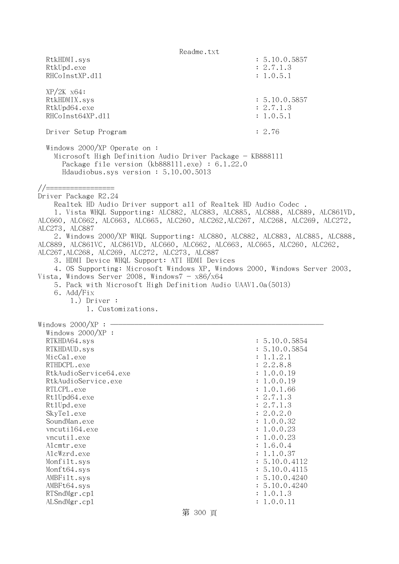Readme.txt RtkHDMI.sys : 5.10.0.5857 RtkUpd.exe : 2.7.1.3 RHCoInstXP.d11 : 1.0.5.1 XP/2K x64: RtkHDMIX.sys : 5.10.0.5857 RtkUpd64.exe : 2.7.1.3 RHCoInst64XP.d11 : 1.0.5.1 Driver Setup Program : 2.76 Windows 2000/XP Operate on : Microsoft High Definition Audio Driver Package - KB888111 Package file version (kb888111.exe) : 6.1.22.0 Hdaudiobus.sys version : 5.10.00.5013 //================= Driver Package R2.24 Realtek HD Audio Driver support all of Realtek HD Audio Codec . 1. Vista WHQL Supporting: ALC882, ALC883, ALC885, ALC888, ALC889, ALC861VD, ALC660, ALC662, ALC663, ALC665, ALC260, ALC262,ALC267, ALC268, ALC269, ALC272, ALC273, ALC887 2. Windows 2000/XP WHQL Supporting: ALC880, ALC882, ALC883, ALC885, ALC888, ALC889, ALC861VC, ALC861VD, ALC660, ALC662, ALC663, ALC665, ALC260, ALC262, ALC267,ALC268, ALC269, ALC272, ALC273, ALC887 3. HDMI Device WHQL Support: ATI HDMI Devices 4. OS Supporting: Microsoft Windows XP, Windows 2000, Windows Server 2003, Vista, Windows Server 2008, Windows $7 - x86/x64$  5. Pack with Microsoft High Definition Audio UAAV1.0a(5013) 6. Add/Fix 1.) Driver : 1. Customizations. Windows  $2000/XP:$  Windows 2000/XP : RTKHDA64.sys : 5.10.0.5854 RTKHDAUD.sys : 5.10.0.5854 MicCal.exe : 1.1.2.1 RTHDCPL.exe : 2.2.8.8 RtkAudioService64.exe : 1.0.0.19 RtkAudioService.exe : 1.0.0.19 RTLCPL.exe : 1.0.1.66 Rt1Upd64.exe : 2.7.1.3 Rt1Upd.exe : 2.7.1.3 SkyTel.exe : 2.0.2.0 SoundMan.exe : 1.0.0.32 vncuti164.exe : 1.0.0.23 vncutil.exe : 1.0.0.23 Alcmtr.exe : 1.6.0.4 AlcWzrd.exe : 1.1.0.37 Monfilt.sys : 5.10.0.4112 Monft64.sys : 5.10.0.4115 AMBFilt.sys : 5.10.0.4240 AMBFt64.sys : 5.10.0.4240 RTSndMgr.cp1 : 1.0.1.3 ALSndMgr.cp1 : 1.0.0.11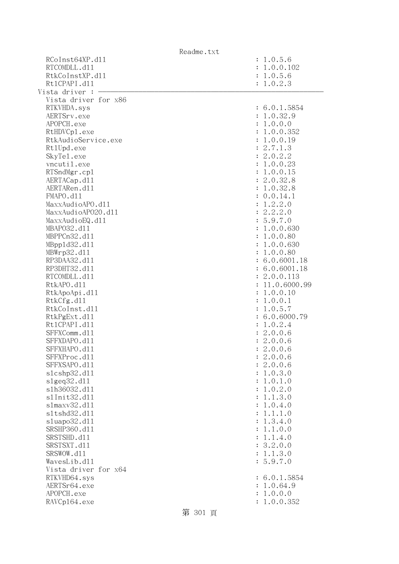|                      | Readme.txt |                           |
|----------------------|------------|---------------------------|
| RCoInst64XP.d11      |            | : 1.0.5.6                 |
| RTCOMDLL.d11         |            | : 1.0.0.102               |
| RtkCoInstXP.d11      |            | : 1.0.5.6                 |
| Rt1CPAPI.d11         |            | : 1.0.2.3                 |
| Vista driver :       |            |                           |
| Vista driver for x86 |            |                           |
| RTKVHDA.sys          |            | : 6.0.1.5854              |
| AERTSrv.exe          |            | : 1.0.32.9                |
| APOPCH.exe           |            | : 1.0.0.0                 |
| RtHDVCp1.exe         |            | : 1.0.0.352               |
| RtkAudioService.exe  |            | : 1.0.0.19                |
| Rt1Upd.exe           |            | : 2.7.1.3                 |
| SkyTe1.exe           |            | : 2.0.2.2                 |
| vncutil.exe          |            | : 1.0.0.23                |
| RTSndMgr.cp1         |            | : 1.0.0.15                |
| AERTACap.d11         |            | : 2.0.32.8                |
| AERTARen.d11         |            | : 1.0.32.8                |
| FMAPO.d11            |            | : 0.0.14.1                |
| MaxxAudioAPO.dl1     |            | : 1.2.2.0                 |
| MaxxAudioAP020.dll   |            | : 2.2.2.0                 |
| MaxxAudioEQ.d11      |            | : 5.9.7.0                 |
| MBAP032.d11          |            | : 1.0.0.630               |
| MBPPCn32.d11         |            | : 1.0.0.80                |
| MBpp1d32.d11         |            | : 1.0.0.630               |
| MBWrp32.d11          |            | : 1.0.0.80                |
| RP3DAA32.d11         |            | : 6.0.6001.18             |
| RP3DHT32.d11         |            | : 6.0.6001.18             |
| RTCOMDLL.d11         |            | : 2.0.0.113               |
| RtkAPO.d11           |            | : 11.0.6000.99            |
| RtkApoApi.d11        |            | : 1.0.0.10                |
| RtkCfg.d11           |            | : 1.0.0.1                 |
| RtkCoInst.d11        |            | : 1.0.5.7                 |
| RtkPgExt.d11         |            | : 6.0.6000.79             |
| Rt1CPAPI.d11         |            | : 1.0.2.4                 |
| SFFXComm.d11         |            | : 2.0.0.6                 |
| SFFXDAPO.d11         |            | : 2.0.0.6                 |
| SFFXHAPO.d11         |            | : 2.0.0.6                 |
| SFFXProc.d11         |            | : 2.0.0.6                 |
| SFFXSAPO.d11         |            | : 2.0.0.6                 |
| s1cshp32.d11         |            | 1.0.3.0<br>÷              |
| slgeq32.d11          |            | 1.0.1.0<br>$\ddot{\cdot}$ |
| s1h36032.d11         |            | 1.0.2.0<br>:              |
| s1Init32.d11         |            | : 1.1.3.0                 |
| $slmaxv32$ .dll      |            | : 1.0.4.0                 |
| s1tshd32.d11         |            | : 1.1.1.0                 |
| s1uapo32.d11         |            | : 1.3.4.0                 |
| SRSHP360.d11         |            | : 1.1.0.0                 |
| SRSTSHD.d11          |            | : 1.1.4.0                 |
| SRSTSXT.d11          |            | : 3.2.0.0                 |
| SRSWOW.d11           |            | : 1.1.3.0                 |
| WavesLib.dll         |            | : 5.9.7.0                 |
| Vista driver for x64 |            |                           |
| RTKVHD64.sys         |            | : 6.0.1.5854              |
| AERTSr64.exe         |            | : 1.0.64.9                |
| APOPCH.exe           |            | : 1.0.0.0                 |
| RAVCp164.exe         |            | 1.0.0.352                 |
|                      | 笠 201 三    |                           |

第 301 頁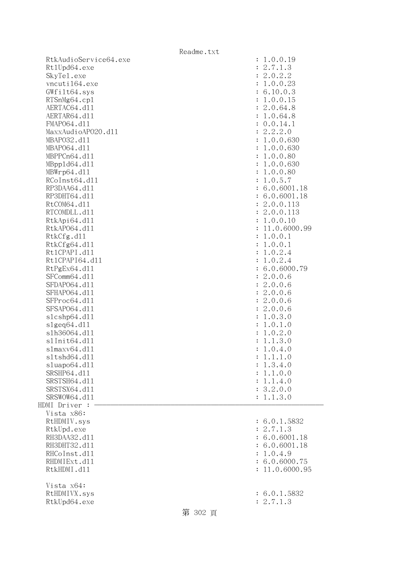|                       | Readme.txt |                                             |
|-----------------------|------------|---------------------------------------------|
| RtkAudioService64.exe |            | : 1.0.0.19                                  |
| Rt1Upd64.exe          |            | : 2.7.1.3                                   |
| SkyTe1.exe            |            | : 2.0.2.2                                   |
| vncuti164.exe         |            | : 1.0.0.23                                  |
| GWfilt64.sys          |            | : 6.10.0.3                                  |
| RTSnMg64.cp1          |            | : 1.0.0.15                                  |
| AERTAC64.d11          |            | : 2.0.64.8                                  |
| AERTAR64.d11          |            | : 1.0.64.8                                  |
| FMAP064.d11           |            | : 0.0.14.1                                  |
| MaxxAudioAP020.dll    |            | : 2.2.2.0                                   |
| MBAP032.d11           |            | : 1.0.0.630                                 |
| MBAP064.d11           |            | : 1.0.0.630                                 |
| MBPPCn64.d11          |            | : 1.0.0.80                                  |
| MBpp1d64.d11          |            | : 1.0.0.630                                 |
| MBWrp64.dl1           |            | : 1.0.0.80                                  |
| RCoInst64.d11         |            | : 1.0.5.7                                   |
| RP3DAA64.d11          |            | : 6.0.6001.18                               |
| RP3DHT64.d11          |            | : 6.0.6001.18                               |
| RtCOM64.d11           |            | : 2.0.0.113                                 |
| RTCOMDLL.d11          |            | : 2.0.0.113                                 |
| RtkApi64.d11          |            | : 1.0.0.10                                  |
| RtkAP064.d11          |            | : 11.0.6000.99                              |
| RtkCfg.d11            |            | : 1.0.0.1                                   |
| RtkCfg64.d11          |            | : 1.0.0.1                                   |
| Rt1CPAPI.d11          |            | 1.0.2.4<br>$\ddot{\cdot}$                   |
| Rt1CPAPI64.d11        |            | 1.0.2.4<br>$\ddot{\cdot}$                   |
| RtPgEx64.d11          |            | : 6.0.6000.79                               |
| SFComm64.d11          |            | : 2.0.0.6                                   |
| SFDAP064.d11          |            | : 2.0.0.6                                   |
| SFHAP064.d11          |            | : 2.0.0.6                                   |
| SFProc64.d11          |            | : 2.0.0.6                                   |
| SFSAP064.d11          |            | : 2.0.0.6                                   |
| s1cshp64.d11          |            | : 1.0.3.0                                   |
| slgeq64. d11          |            | : 1.0.1.0                                   |
| s1h36064.d11          |            | 1.0.2.0<br>$\ddot{\cdot}$                   |
| s1Init64.d11          |            | 1.1.3.0<br>$\ddot{\cdot}$                   |
| s1maxv64.d11          |            | 1.0.4.0                                     |
| s1tshd64.d11          |            | 1.1.1.0                                     |
| sluapo64.d11          |            | 1.3.4.0                                     |
| SRSHP64.d11           |            | $\ddot{\cdot}$<br>1.1.0.0<br>$\ddot{\cdot}$ |
| SRSTSH64.d11          |            | 1.1.4.0<br>$\ddot{\cdot}$                   |
| SRSTSX64.d11          |            | : 3.2.0.0                                   |
| SRSWOW64.d11          |            | 1.1.3.0                                     |
| HDMI Driver :         |            |                                             |
| Vista x86:            |            |                                             |
| RtHDMIV.sys           |            | : 6.0.1.5832                                |
| RtkUpd.exe            |            | : 2.7.1.3                                   |
| RH3DAA32.d11          |            | : 6.0.6001.18                               |
|                       |            |                                             |
| RH3DHT32.d11          |            | : 6.0.6001.18                               |
| RHCoInst.d11          |            | 1.0.4.9                                     |
| RHDMIExt.d11          |            | : 6.0.6000.75                               |
| RtkHDMI.d11           |            | : 11.0.6000.95                              |
| Vista x64:            |            |                                             |
| RtHDMIVX.sys          |            | : 6.0.1.5832                                |
| RtkUpd64.exe          |            | : 2.7.1.3                                   |
|                       | 第 302 頁    |                                             |
|                       |            |                                             |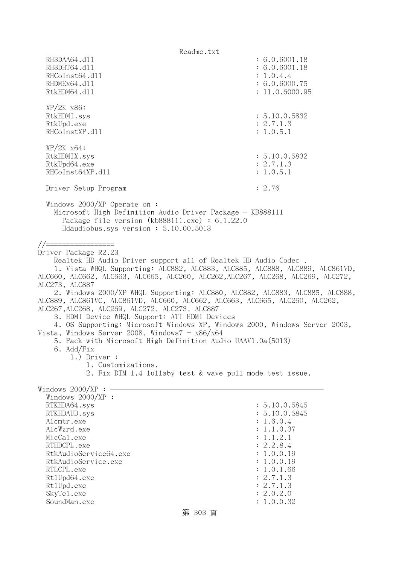Readme.txt RH3DAA64.d11 : 6.0.6001.18 RH3DHT64.d11 : 6.0.6001.18 RHCoInst64.d11 : 1.0.4.4 RHDMEx64.d11 : 6.0.6000.75 RtkHDM64.d11 : 11.0.6000.95 XP/2K x86: RtkHDMI.sys : 5.10.0.5832 RtkUpd.exe : 2.7.1.3 RHCoInstXP.d11 : 1.0.5.1 XP/2K x64: RtkHDMIX.sys : 5.10.0.5832 RtkUpd64.exe : 2.7.1.3 RHCoInst64XP.d11 : 1.0.5.1 Driver Setup Program : 2.76 Windows 2000/XP Operate on : Microsoft High Definition Audio Driver Package - KB888111 Package file version (kb888111.exe) : 6.1.22.0 Hdaudiobus.sys version : 5.10.00.5013 //================= Driver Package R2.23 Realtek HD Audio Driver support all of Realtek HD Audio Codec . 1. Vista WHQL Supporting: ALC882, ALC883, ALC885, ALC888, ALC889, ALC861VD, ALC660, ALC662, ALC663, ALC665, ALC260, ALC262,ALC267, ALC268, ALC269, ALC272, ALC273, ALC887 2. Windows 2000/XP WHQL Supporting: ALC880, ALC882, ALC883, ALC885, ALC888, ALC889, ALC861VC, ALC861VD, ALC660, ALC662, ALC663, ALC665, ALC260, ALC262, ALC267,ALC268, ALC269, ALC272, ALC273, ALC887 3. HDMI Device WHQL Support: ATI HDMI Devices 4. OS Supporting: Microsoft Windows XP, Windows 2000, Windows Server 2003, Vista, Windows Server 2008, Windows $7 - x86/x64$  5. Pack with Microsoft High Definition Audio UAAV1.0a(5013) 6. Add/Fix 1.) Driver : 1. Customizations. 2. Fix DTM 1.4 lullaby test & wave pull mode test issue. Windows  $2000/XP : -$  Windows 2000/XP : RTKHDA64.sys : 5.10.0.5845 RTKHDAUD.sys : 5.10.0.5845 Alcmtr.exe : 1.6.0.4 AlcWzrd.exe : 1.1.0.37  $\text{MicCal.}$ exe : 1.1.2.1 RTHDCPL.exe : 2.2.8.4 RtkAudioService64.exe : 1.0.0.19 RtkAudioService.exe : 1.0.0.19 RTLCPL.exe : 1.0.1.66 Rt1Upd64.exe : 2.7.1.3 Rt1Upd.exe : 2.7.1.3 SkyTel.exe : 2.0.2.0 SoundMan.exe : 1.0.0.32 第 303 頁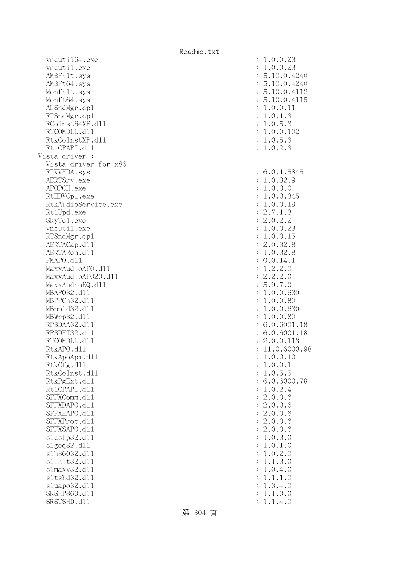|                      | Readme.txt                |
|----------------------|---------------------------|
| vncuti164.exe        | : 1.0.0.23                |
| vncutil.exe          | : 1.0.0.23                |
| AMBFilt.sys          | : 5.10.0.4240             |
| AMBFt64.sys          | : 5.10.0.4240             |
| Monfilt.sys          | : 5.10.0.4112             |
| Monft64.sys          | : 5.10.0.4115             |
| ALSndMgr.cp1         | : 1.0.0.11                |
| RTSndMgr.cp1         | : 1.0.1.3                 |
| RCoInst64XP.d11      | : 1.0.5.3                 |
|                      |                           |
| RTCOMDLL.d11         | : 1.0.0.102               |
| RtkCoInstXP.d11      | : 1.0.5.3                 |
| Rt1CPAPI.d11         | : 1.0.2.3                 |
| Vista driver :       |                           |
| Vista driver for x86 |                           |
| RTKVHDA.sys          | : 6.0.1.5845              |
| AERTSrv.exe          | : 1.0.32.9                |
| APOPCH.exe           | : 1.0.0.0                 |
| RtHDVCp1.exe         | : 1.0.0.345               |
| RtkAudioService.exe  | : 1.0.0.19                |
| Rt1Upd.exe           | : 2.7.1.3                 |
| SkyTe1.exe           | : 2.0.2.2                 |
| vncutil.exe          | : 1.0.0.23                |
| RTSndMgr.cp1         | : 1.0.0.15                |
| AERTACap.d11         | : 2.0.32.8                |
| AERTARen.d11         | : 1.0.32.8                |
| FMAPO.d11            |                           |
|                      | : 0.0.14.1                |
| MaxxAudioAPO.dll     | 1.2.2.0<br>$\ddot{\cdot}$ |
| MaxxAudioAP020.dll   | : 2.2.2.0                 |
| MaxxAudioEQ.d11      | : 5.9.7.0                 |
| MBAP032.d11          | : 1.0.0.630               |
| MBPPCn32.d11         | 1.0.0.80<br>÷             |
| MBpp1d32.d11         | : 1.0.0.630               |
| MBWrp32.d11          | : 1.0.0.80                |
| RP3DAA32.d11         | : 6.0.6001.18             |
| RP3DHT32.d11         | : 6.0.6001.18             |
| RTCOMDLL.d11         | : 2.0.0.113               |
| RtkAPO.d11           | 11.0.6000.98              |
| RtkApoApi.d11        | 1.0.0.10                  |
| RtkCfg.d11           | 1.0.0.1<br>:              |
| RtkCoInst.d11        | 1.0.5.5<br>:              |
| RtkPgExt.d11         | 6.0.6000.78               |
| Rt1CPAPI.d11         | 1.0.2.4<br>$\ddot{\cdot}$ |
| SFFXComm.d11         | 2.0.0.6<br>$\ddot{\cdot}$ |
| SFFXDAPO.d11         | 2.0.0.6<br>$\ddot{\cdot}$ |
| SFFXHAPO.d11         | 2.0.0.6<br>$\ddot{\cdot}$ |
| SFFXProc.d11         |                           |
|                      | 2.0.0.6<br>$\ddot{\cdot}$ |
| SFFXSAPO.d11         | 2.0.0.6<br>$\ddot{\cdot}$ |
| s1cshp32.d11         | 1.0.3.0<br>:              |
| $slgeq32$ .dll       | 1.0.1.0<br>:              |
| s1h36032.d11         | 1.0.2.0<br>:              |
| s1Init32.d11         | 1.1.3.0<br>:              |
| s1maxv32.d11         | 1.0.4.0<br>:              |
| s1tshd32.d11         | 1.1.1.0<br>$\ddot{\cdot}$ |
| s1uapo32.d11         | 1.3.4.0<br>:              |
| SRSHP360.d11         | 1.1.0.0<br>:              |
| SRSTSHD.d11          | 1.1.4.0                   |
|                      |                           |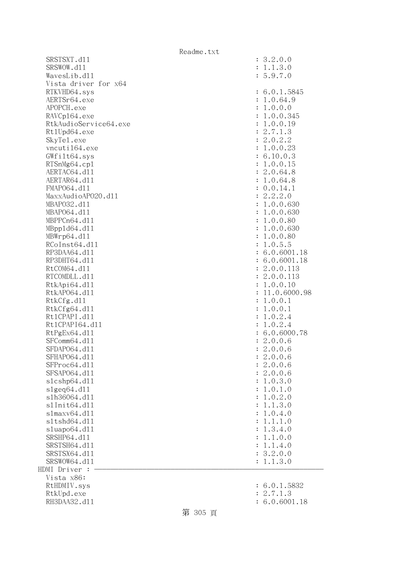SRSTSXT.d11 SRSWOW.d11 WavesLib.dll Vista driver for x64 RTKVHD64.sys AERTSr64.exe APOPCH.exe RAVCp164.exe RtkAudioService64.exe Rt1Upd64.exe SkyTe1.exe vncuti164.exe  $GWfilt64.sys$ RTSnMg64.cp1 AERTAC64.d11 AERTAR64.d11 FMAP064.d11 MaxxAudioAPO20.dll MBAP032.d11 MBAP064.d11 MBPPCn64.d11 MBpp1d64.dl1 MBWrp64.dl1 RCoInst64.dl1 RP3DAA64.d11 RP3DHT64.d11 RtCOM64.d11 RTCOMDLL.d11 RtkApi64.dl1 RtkAP064.dl1 RtkCfg.dl1 RtkCfg64.dl1 Rt1CPAPI.d11 Rt1CPAPI64.dl1 RtPgEx64.dl1 SFComm64.dl1 SFDAP064.d11 SFHAP064.d11 SFProc64.dl1 SFSAP064.d11  $slcshp64.d11$ slgeq64.dll s1h36064.dl1 s1Init64.d11 s1maxv64.dl1 s1tshd64.d11 sluapo64.dl1 SRSHP64.d11 SRSTSH64.d11 SRSTSX64.d11 SRSWOW64.d11  $HDMI$  Driver :  $-$  Vista x86: RtHDMIV.sys RtkUpd.exe : 2.7.1.3 RH3DAA32.d11 : 6.0.6001.18

| $\ddot{\cdot}$<br>$\ddot{\cdot}$<br>$\vdots$ | 3.2.0.0<br>1.1.3.0<br>5.9.7.0 |
|----------------------------------------------|-------------------------------|
|                                              |                               |
| $\ddot{\cdot}$                               | 6.0.1.5845                    |
| $\ddot{\cdot}$                               | 1.0.64.9                      |
| $\ddot{\cdot}$                               | 1.0.0.0                       |
| $\ddot{\cdot}$                               | 1.0.0.345                     |
| $\ddot{\cdot}$                               | 1.0.0.19                      |
| $\ddot{\cdot}$                               | 2.7.1.3                       |
| $\ddot{\cdot}$                               | 2.0.2.2                       |
| $\ddot{\cdot}$                               | 1.0.0.23                      |
| $\ddot{\cdot}$                               | 6.10.0.3                      |
| $\ddot{\cdot}$                               | 1.0.0.15                      |
| $\ddot{\cdot}$                               | 2.0.64.8                      |
| $\ddot{\cdot}$                               | 1.0.64.8                      |
| $\ddot{\cdot}$                               | 0.0.14.1                      |
| $\ddot{\cdot}$                               | 2.2.2.0                       |
| $\ddot{\cdot}$                               | 1.0.0.630                     |
| $\ddot{\cdot}$                               | 1.0.0.630                     |
| $\ddot{\cdot}$                               | 1.0.0.80                      |
| $\ddot{\cdot}$                               | 1.0.0.630                     |
| $\ddot{\cdot}$                               | 1.0.0.80                      |
| $\ddot{\cdot}$                               | 1.0.5.5                       |
| $\ddot{\cdot}$                               | 6.0.6001.18                   |
| $\ddot{\cdot}$                               | 6.0.6001.18                   |
| $\ddot{\cdot}$                               | 2.0.0.113                     |
| $\ddot{\cdot}$                               | 2.0.0.113                     |
| $\ddot{\cdot}$                               | 1.0.0.10                      |
| $\ddot{\cdot}$                               | 11.0.6000.98                  |
| $\ddot{\cdot}$                               | 1.0.0.1                       |
| $\ddot{\cdot}$                               | 1.0.0.1                       |
| $\ddot{\cdot}$                               | 1.0.2.4                       |
| $\ddot{\cdot}$                               | 1.0.2.4                       |
| $\ddot{\cdot}$                               | 6.0.6000.78                   |
| $\ddot{\cdot}$                               | 2.0.0.6                       |
| $\ddot{\cdot}$                               | 2.0.0.6                       |
|                                              | 2.0.0.6                       |
| $\ddot{\cdot}$                               | 2.0.0.6                       |
| $\ddot{\cdot}$                               | 2.0.0.6                       |
| $\ddot{\cdot}$                               | 1.0.3.0                       |
| $\ddot{\cdot}$                               | 1.0.1.0                       |
| $\ddot{\cdot}$                               | 1.0.2.0                       |
| $\ddot{\cdot}$                               | 1.1.3.0                       |
| $\ddot{\cdot}$                               | 1.0.4.0                       |
| $\ddot{\cdot}$                               | .1.1.0<br>$\mathbf 1$         |
| $\ddot{\cdot}$                               | 1.3.4.0                       |
| $\ddot{\cdot}$                               | 1.1.0.0                       |
| $\ddot{\cdot}$                               | 1.1.4.0                       |
| $\ddot{\cdot}$                               | 3.2.0.0                       |
| $\vdots$                                     | 1.1.3.0                       |
|                                              |                               |
| $\ddot{\cdot}$                               | 6.0.1.5832                    |
|                                              |                               |

- 
-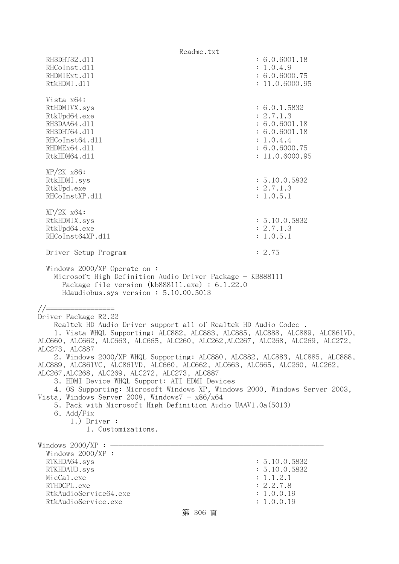| Readme.txt                                                                                                                                                                                    |                |  |
|-----------------------------------------------------------------------------------------------------------------------------------------------------------------------------------------------|----------------|--|
| RH3DHT32.d11                                                                                                                                                                                  | : 6.0.6001.18  |  |
| RHCoInst.d11                                                                                                                                                                                  | : 1.0.4.9      |  |
| RHDMIExt.d11                                                                                                                                                                                  | : 6.0.6000.75  |  |
| RtkHDMI.d11                                                                                                                                                                                   | : 11.0.6000.95 |  |
|                                                                                                                                                                                               |                |  |
| Vista x64:                                                                                                                                                                                    |                |  |
| RtHDMIVX.sys                                                                                                                                                                                  | : 6.0.1.5832   |  |
| RtkUpd64.exe                                                                                                                                                                                  | : 2.7.1.3      |  |
| RH3DAA64.d11                                                                                                                                                                                  | : 6.0.6001.18  |  |
| RH3DHT64.d11                                                                                                                                                                                  |                |  |
|                                                                                                                                                                                               | : 6.0.6001.18  |  |
| RHCoInst64.d11                                                                                                                                                                                | : 1.0.4.4      |  |
| RHDMEx64.d11                                                                                                                                                                                  | : 6.0.6000.75  |  |
| RtkHDM64.d11                                                                                                                                                                                  | : 11.0.6000.95 |  |
|                                                                                                                                                                                               |                |  |
| $XP/2K$ $x86$ :                                                                                                                                                                               |                |  |
| RtkHDMI.sys                                                                                                                                                                                   | : 5.10.0.5832  |  |
| RtkUpd.exe                                                                                                                                                                                    | : 2.7.1.3      |  |
| RHCoInstXP.d11                                                                                                                                                                                | : 1.0.5.1      |  |
|                                                                                                                                                                                               |                |  |
| $XP/2K$ $x64$ :                                                                                                                                                                               |                |  |
| RtkHDMIX.sys                                                                                                                                                                                  | : 5.10.0.5832  |  |
| RtkUpd64.exe                                                                                                                                                                                  | : 2.7.1.3      |  |
| RHCoInst64XP.d11                                                                                                                                                                              | : 1.0.5.1      |  |
|                                                                                                                                                                                               |                |  |
| Driver Setup Program                                                                                                                                                                          | : 2.75         |  |
| Windows $2000/XP$ Operate on:<br>Microsoft High Definition Audio Driver Package - KB888111<br>Package file version $(kb888111.\text{exe}) : 6.1.22.0$<br>Hdaudiobus.sys version: 5.10.00.5013 |                |  |
|                                                                                                                                                                                               |                |  |
| //===============                                                                                                                                                                             |                |  |
| Driver Package R2.22                                                                                                                                                                          |                |  |
| Realtek HD Audio Driver support all of Realtek HD Audio Codec.                                                                                                                                |                |  |
| 1. Vista WHQL Supporting: ALC882, ALC883, ALC885, ALC888, ALC889, ALC861VD,                                                                                                                   |                |  |
| ALC660, ALC662, ALC663, ALC665, ALC260, ALC262, ALC267, ALC268, ALC269, ALC272,                                                                                                               |                |  |
| ALC273, ALC887                                                                                                                                                                                |                |  |
| 2. Windows 2000/XP WHQL Supporting: ALC880, ALC882, ALC883, ALC885, ALC888,<br>ALC889, ALC861VC, ALC861VD, ALC660, ALC662, ALC663, ALC665, ALC260, ALC262,                                    |                |  |
| ALC267, ALC268, ALC269, ALC272, ALC273, ALC887                                                                                                                                                |                |  |
| 3. HDMI Device WHQL Support: ATI HDMI Devices                                                                                                                                                 |                |  |
| 4. OS Supporting: Microsoft Windows XP, Windows 2000, Windows Server 2003,                                                                                                                    |                |  |
| Vista, Windows Server 2008, Windows $7 - x86/x64$                                                                                                                                             |                |  |
| 5. Pack with Microsoft High Definition Audio UAAV1.0a(5013)                                                                                                                                   |                |  |
| 6. Add/Fix                                                                                                                                                                                    |                |  |
| $1.)$ Driver :                                                                                                                                                                                |                |  |
| 1. Customizations.                                                                                                                                                                            |                |  |
|                                                                                                                                                                                               |                |  |
| Windows $2000/XP$ : -                                                                                                                                                                         |                |  |
| Windows $2000/XP$ :                                                                                                                                                                           |                |  |
| RTKHDA64.sys                                                                                                                                                                                  | : 5.10.0.5832  |  |
| RTKHDAUD.sys                                                                                                                                                                                  | : 5.10.0.5832  |  |
| MicCal.exe                                                                                                                                                                                    | : 1.1.2.1      |  |
| RTHDCPL.exe                                                                                                                                                                                   | : 2.2.7.8      |  |
| RtkAudioService64.exe                                                                                                                                                                         | : 1.0.0.19     |  |
| RtkAudioService.exe                                                                                                                                                                           | : 1.0.0.19     |  |
|                                                                                                                                                                                               |                |  |
| 第 306 頁                                                                                                                                                                                       |                |  |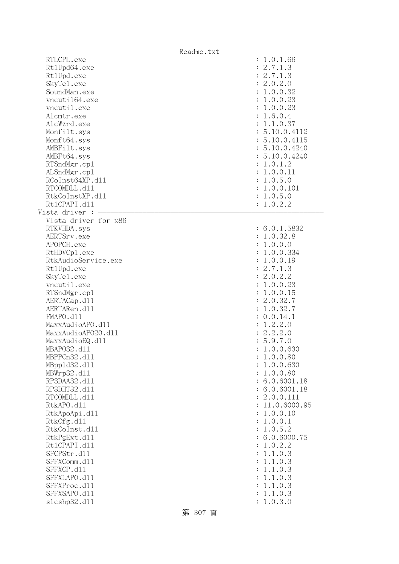|                                                                                                                                                                                                                                                                                                                                                                                                                                                                                                                                                                               | Readme.txt                                                                                                                                                                                                                                                                                                                                                                                                                                                                                                                                                                                                                                |
|-------------------------------------------------------------------------------------------------------------------------------------------------------------------------------------------------------------------------------------------------------------------------------------------------------------------------------------------------------------------------------------------------------------------------------------------------------------------------------------------------------------------------------------------------------------------------------|-------------------------------------------------------------------------------------------------------------------------------------------------------------------------------------------------------------------------------------------------------------------------------------------------------------------------------------------------------------------------------------------------------------------------------------------------------------------------------------------------------------------------------------------------------------------------------------------------------------------------------------------|
| RTLCPL.exe<br>Rt1Upd64.exe<br>Rt1Upd.exe<br>SkyTe1.exe<br>SoundMan.exe<br>vncuti164.exe<br>vncutil.exe<br>Alcmtr.exe<br>AlcWzrd.exe<br>Monfilt.sys<br>Monft64.sys<br>AMBFilt.sys<br>AMBFt64.sys<br>RTSndMgr.cp1<br>ALSndMgr.cp1<br>RCoInst64XP.d11<br>RTCOMDLL.d11<br>RtkCoInstXP.d11<br>Rt1CPAPI.d11<br>Vista driver :<br>Vista driver for x86                                                                                                                                                                                                                               | : 1.0.1.66<br>: 2.7.1.3<br>: 2.7.1.3<br>: 2.0.2.0<br>: 1.0.0.32<br>: 1.0.0.23<br>: 1.0.0.23<br>: 1.6.0.4<br>: 1.1.0.37<br>: 5.10.0.4112<br>: 5.10.0.4115<br>: 5.10.0.4240<br>: 5.10.0.4240<br>: 1.0.1.2<br>: 1.0.0.11<br>: 1.0.5.0<br>: 1.0.0.101<br>: 1.0.5.0<br>: 1.0.2.2                                                                                                                                                                                                                                                                                                                                                               |
| RTKVHDA.sys<br>AERTSrv.exe<br>APOPCH.exe<br>RtHDVCp1.exe<br>RtkAudioService.exe<br>Rt1Upd.exe<br>SkyTe1.exe<br>vncutil.exe<br>RTSndMgr.cp1<br>AERTACap.d11<br>AERTARen.d11<br>FMAPO.d11<br>MaxxAudioAPO.dl1<br>MaxxAudioAP020.dll<br>MaxxAudioEQ.d11<br>MBAP032.d11<br>MBPPCn32.d11<br>MBpp1d32.d11<br>MBWrp32.d11<br>RP3DAA32.d11<br>RP3DHT32.d11<br>RTCOMDLL.d11<br>RtkAPO.d11<br>RtkApoApi.d11<br>RtkCfg.d11<br>RtkCoInst.d11<br>RtkPgExt.d11<br>Rt1CPAPI.d11<br>SFCPStr.d11<br>SFFXComm.d11<br>SFFXCP.d11<br>SFFXLAPO.d11<br>SFFXProc.d11<br>SFFXSAPO.d11<br>s1cshp32.d11 | : 6.0.1.5832<br>: 1.0.32.8<br>: 1.0.0.0<br>: 1.0.0.334<br>1.0.0.19<br>$\ddot{\cdot}$<br>: 2.7.1.3<br>: 2.0.2.2<br>1.0.0.23<br>÷<br>1.0.0.15<br>÷<br>: 2.0.32.7<br>: 1.0.32.7<br>: 0.0.14.1<br>1.2.2.0<br>$\ddot{\cdot}$<br>: 2.2.2.0<br>: 5.9.7.0<br>1.0.0.630<br>1.0.0.80<br>1.0.0.630<br>1.0.0.80<br>$\ddot{\cdot}$<br>6.0.6001.18<br>: 6.0.6001.18<br>2.0.0.111<br>11.0.6000.95<br>1.0.0.10<br>1.0.0.1<br>$\ddot{\cdot}$<br>1.0.5.2<br>$\ddot{\cdot}$<br>: 6.0.6000.75<br>1.0.2.2<br>$\ddot{\cdot}$<br>1.1.0.3<br>$\ddot{\cdot}$<br>1.1.0.3<br>$\ddot{\cdot}$<br>1.1.0.3<br>1.1.0.3<br>1.1.0.3<br>$\ddot{\cdot}$<br>1.1.0.3<br>1.0.3.0 |

第 307 頁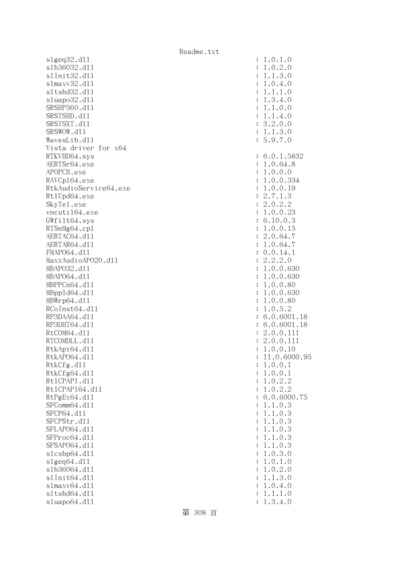slgeq32.dll slh36032.dl1 s1Init32.d11 slmaxv32.dl1 s1tshd32.d11 sluapo32.dl1 SRSHP360.d11 SRSTSHD.d11 SRSTSXT.d11 SRSWOW.dl1 WavesLib.dll Vista driver for x64 RTKVHD64.sys AERTSr64.exe APOPCH.exe RAVCp164.exe RtkAudioService64.exe Rt1Upd64.exe SkyTe1.exe vncuti164.exe  $GWfilt64.sys$  $RTSnMg64.cp1$ AERTAC64.d11 AERTAR64.d11 FMAP064.d11 MaxxAudioAP020.dll MBAP032.d11 MBAP064.d11 MBPPCn64.d11 MBpp1d64.dl1 MBWrp64.dl1 RCoInst64.dl1 RP3DAA64.d11 RP3DHT64.d11 RtCOM64.d11 RTCOMDLL.d11 RtkApi64.dll RtkAP064.dl1 : 11.0.6000.95 RtkCfg.dll RtkCfg64.dl1 Rt1CPAPI.d11 Rt1CPAPI64.dl1 RtPgEx64.dl1 SFComm64.dl1 SFCP64.d11 SFCPStr.dll SFLAP064.d11 SFProc64.d11 SFSAP064.d11 slcshp64.dll slgeq64.dll s1h36064.dl1 s1Init64.d11 slmaxv64.dll s1tshd64.d11 sluapo64.dl1

| $\ddot{\cdot}$<br>$\ddot{\cdot}$<br>$\ddot{\cdot}$<br>$\ddot{\cdot}$<br>$\ddot{\cdot}$<br>$\ddot{\cdot}$<br>$\ddot{\cdot}$<br>$\ddot{\cdot}$<br>$\ddot{\cdot}$<br>$\ddot{\cdot}$<br>$\ddot{\cdot}$                                                                                                                                                                                                                                                                                                                                                                                                                                                                                                    | .0.1.0<br>1<br>.0.2.0<br>1<br>$\cdot$ 1.<br>3.0<br>1<br>.0.4.0<br>1<br>$\cdot$ 1.<br>$\mathbf 1$<br>$\ddot{\phantom{0}}$<br>1<br>$\circ$<br>$4$ .<br>$\mathbf{1}$<br>3.<br>$\circ$<br>$\cdot$ 1.<br>$\theta$ .<br>$\mathbf 1$<br>$\circ$<br>$\mathbf 1$<br>$\cdot$ 1.<br>4.<br>$\circ$<br>2.<br>$\mathbf{0}$ .<br>3.<br>$\circ$<br>3.0<br>$\cdot$ 1.<br>$\mathbf 1$<br>5.9.<br>7.0                                                                                                                                                                                                                                                                                                                                                                                                                                                                                                                                                                                                                                                                                                                                                                                                                                                         |
|-------------------------------------------------------------------------------------------------------------------------------------------------------------------------------------------------------------------------------------------------------------------------------------------------------------------------------------------------------------------------------------------------------------------------------------------------------------------------------------------------------------------------------------------------------------------------------------------------------------------------------------------------------------------------------------------------------|--------------------------------------------------------------------------------------------------------------------------------------------------------------------------------------------------------------------------------------------------------------------------------------------------------------------------------------------------------------------------------------------------------------------------------------------------------------------------------------------------------------------------------------------------------------------------------------------------------------------------------------------------------------------------------------------------------------------------------------------------------------------------------------------------------------------------------------------------------------------------------------------------------------------------------------------------------------------------------------------------------------------------------------------------------------------------------------------------------------------------------------------------------------------------------------------------------------------------------------------|
| $\ddot{\cdot}$<br>$\ddot{\cdot}$<br>$\ddot{\cdot}$<br>$\ddot{\cdot}$<br>$\ddot{\cdot}$<br>$\ddot{\cdot}$<br>$\ddot{\cdot}$<br>$\ddot{\cdot}$<br>$\ddot{\cdot}$<br>$\ddot{\cdot}$<br>$\ddot{\cdot}$<br>$\ddot{\cdot}$<br>$\ddot{\cdot}$<br>$\ddot{\cdot}$<br>$\ddot{\cdot}$<br>$\ddot{\cdot}$<br>$\ddot{\cdot}$<br>$\ddot{\cdot}$<br>$\vdots$<br>:: :: :: ::<br>$\vdots$<br>$\ddot{\cdot}$<br>$\ddot{\cdot}$<br>$\ddot{\cdot}$<br>$\ddot{\cdot}$<br>$\ddot{\cdot}$<br>$\ddot{\cdot}$<br>$\ddot{\cdot}$<br>$\ddot{\cdot}$<br>$\ddot{\cdot}$<br>$\ddot{\cdot}$<br>$\ddot{\cdot}$<br>$\ddot{\cdot}$<br>$\ddot{\cdot}$<br>$\ddot{\cdot}$<br>$\ddot{\cdot}$<br>$\ddot{\cdot}$<br>$\ddot{\cdot}$<br>$\vdots$ | 6.0.1.5832<br>.0.64.8<br>$\mathbf 1$<br>.0.0.0<br>$\mathbf 1$<br>$\mathbf{1}$<br>.0.0.334<br>0.0.19<br>$\mathbf 1$<br>2.<br>7.<br>1.3<br>2.0.2.2<br>.0.0.23<br>$\mathbf 1$<br>10.0.3<br>6.<br>$1.0.0.15$<br>$2.0.64.7$<br>.0.64.7<br>$\mathbf 1$<br>$0.0.14.1$<br>$2.2.2.0$<br>.0.0.630<br>$\mathbf 1$<br>.0.0.630<br>$\mathbf 1$<br>$\mathbf{1}$<br>.0.0.80<br>.0.0.630<br>$\mathbf{1}$<br>0.0.80<br>$\mathbf 1$<br>$\ddot{\phantom{0}}$<br>$\mathbf 0$ .<br>5.2<br>$\mathbf 1$<br>$\ddot{\phantom{0}}$<br>0.6001.18<br>6.<br>0.6001.18<br>6.<br>2.<br>0.0.111<br>2.<br>0.0.11<br>$\mathbf 1$<br>.0.0.<br>$\mathbf 1$<br>10<br>1<br>1.0.6000.95<br>.0.0.1<br>1<br>0.0.1<br>1<br>$\ddot{\phantom{0}}$<br>2.<br>$0$ .<br>$\mathbf{c}$<br>1<br>$\overline{0}$ .<br>2.2<br>1<br>$0$ .<br>6000<br>6.<br>3<br>$\mathbf 1$<br>$\mathbf 1$<br>$0$ .<br>0.3<br>1<br>1<br>0.3<br>$\mathbf 1$<br>1<br>0.3<br>$\mathbf 1$<br>1<br>0.3<br>$\mathbf 1$<br>1<br>0.3<br>1<br>1<br>$0$ .<br>3.<br>1<br>$\mathcal{O}$<br>0.1<br>1<br>$\mathcal{O}$<br>2.<br>$0$ .<br>1<br>$\mathcal{O}$<br>1<br>3.<br>$\mathcal{O}$<br>1.<br>$0$ .<br>1<br>4.<br>$\mathcal{O}$<br>1<br>1.<br>$\mathcal{O}$<br>$\ddot{\phantom{0}}$<br>1.<br>3.<br>4.<br>$\overline{0}$<br>1 |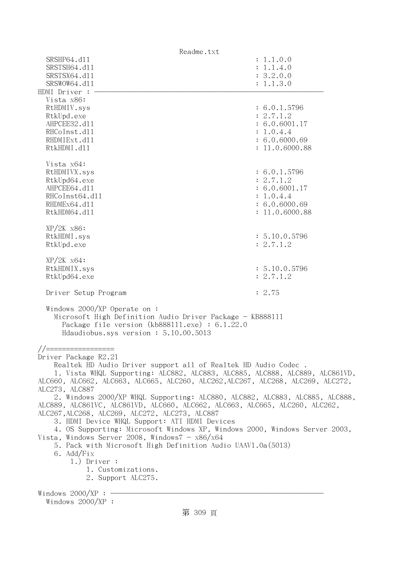| Readme.txt                                                                                                                                                                                                                                                                                                                                                                                                                                                                                                             |                                                                                            |  |
|------------------------------------------------------------------------------------------------------------------------------------------------------------------------------------------------------------------------------------------------------------------------------------------------------------------------------------------------------------------------------------------------------------------------------------------------------------------------------------------------------------------------|--------------------------------------------------------------------------------------------|--|
| SRSHP64.d11<br>SRSTSH64.d11<br>SRSTSX64.d11                                                                                                                                                                                                                                                                                                                                                                                                                                                                            | : 1.1.0.0<br>: 1.1.4.0<br>: 3.2.0.0                                                        |  |
| SRSWOW64.d11                                                                                                                                                                                                                                                                                                                                                                                                                                                                                                           | : 1.1.3.0                                                                                  |  |
| HDMI Driver :<br>Vista x86:<br>RtHDMIV.sys<br>RtkUpd.exe<br>AHPCEE32.d11<br>RHCoInst.d11<br>RHDMIExt.d11<br>RtkHDMI.d11                                                                                                                                                                                                                                                                                                                                                                                                | : 6.0.1.5796<br>: 2.7.1.2<br>: 6.0.6001.17<br>: 1.0.4.4<br>: 6.0.6000.69<br>: 11.0.6000.88 |  |
| Vista x64:<br>RtHDMIVX.sys<br>RtkUpd64.exe<br>AHPCEE64.d11<br>RHCoInst64.d11<br>RHDMEx64.d11<br>RtkHDM64.d11                                                                                                                                                                                                                                                                                                                                                                                                           | : 6.0.1.5796<br>: 2.7.1.2<br>: 6.0.6001.17<br>: 1.0.4.4<br>: 6.0.6000.69<br>: 11.0.6000.88 |  |
| $XP/2K$ $x86$ :<br>RtkHDMI.sys<br>RtkUpd.exe                                                                                                                                                                                                                                                                                                                                                                                                                                                                           | : 5.10.0.5796<br>: 2.7.1.2                                                                 |  |
| $XP/ZK$ $x64$ :<br>RtkHDMIX.sys<br>RtkUpd64.exe                                                                                                                                                                                                                                                                                                                                                                                                                                                                        | : 5.10.0.5796<br>: 2.7.1.2                                                                 |  |
| Driver Setup Program                                                                                                                                                                                                                                                                                                                                                                                                                                                                                                   | : 2.75                                                                                     |  |
| Windows $2000/XP$ Operate on:<br>Microsoft High Definition Audio Driver Package - KB888111<br>Package file version $(kb888111.\text{exe}) : 6.1.22.0$<br>Hdaudiobus.sys version: 5.10.00.5013                                                                                                                                                                                                                                                                                                                          |                                                                                            |  |
| Driver Package R2.21<br>Realtek HD Audio Driver support all of Realtek HD Audio Codec.<br>1. Vista WHQL Supporting: ALC882, ALC883, ALC885, ALC888, ALC889, ALC861VD,<br>ALC660, ALC662, ALC663, ALC665, ALC260, ALC262,ALC267, ALC268, ALC269, ALC272,<br>ALC273, ALC887                                                                                                                                                                                                                                              |                                                                                            |  |
| 2. Windows 2000/XP WHQL Supporting: ALC880, ALC882, ALC883, ALC885, ALC888,<br>ALC889, ALC861VC, ALC861VD, ALC660, ALC662, ALC663, ALC665, ALC260, ALC262,<br>ALC267, ALC268, ALC269, ALC272, ALC273, ALC887<br>3. HDMI Device WHQL Support: ATI HDMI Devices<br>4. OS Supporting: Microsoft Windows XP, Windows 2000, Windows Server 2003,<br>Vista, Windows Server 2008, Windows $7 - x86/x64$<br>5. Pack with Microsoft High Definition Audio UAAV1.0a (5013)<br>6. Add/Fix<br>$1.)$ Driver :<br>1. Customizations. |                                                                                            |  |
| 2. Support ALC275.<br>Windows $2000/XP:$ -<br>Windows $2000/XP$ :                                                                                                                                                                                                                                                                                                                                                                                                                                                      |                                                                                            |  |
| 第 309 頁                                                                                                                                                                                                                                                                                                                                                                                                                                                                                                                |                                                                                            |  |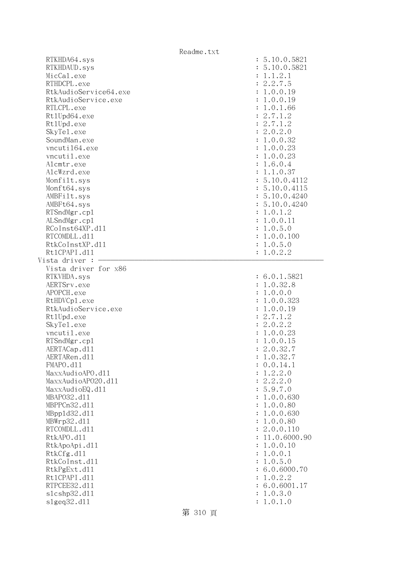| Readme.txt                             |                |               |
|----------------------------------------|----------------|---------------|
| RTKHDA64.sys                           |                | : 5.10.0.5821 |
| RTKHDAUD.sys                           |                | : 5.10.0.5821 |
| MicCal.exe                             |                | : 1.1.2.1     |
| RTHDCPL.exe                            |                | : 2.2.7.5     |
| RtkAudioService64.exe                  |                | : 1.0.0.19    |
| RtkAudioService.exe                    |                | : 1.0.0.19    |
| RTLCPL.exe                             |                | : 1.0.1.66    |
| Rt1Upd64.exe                           |                | : 2.7.1.2     |
| Rt1Upd.exe                             |                | : 2.7.1.2     |
| SkyTe1.exe                             |                | : 2.0.2.0     |
| SoundMan.exe                           |                | : 1.0.0.32    |
| vncuti164.exe                          |                | : 1.0.0.23    |
| vncutil.exe                            |                | : 1.0.0.23    |
| Alcmtr.exe                             |                | : 1.6.0.4     |
| AlcWzrd.exe                            |                | : 1.1.0.37    |
| Monfilt.sys                            |                | : 5.10.0.4112 |
| Monft64.sys                            |                | : 5.10.0.4115 |
| AMBFilt.sys                            |                | : 5.10.0.4240 |
| AMBFt64.sys                            |                | : 5.10.0.4240 |
| RTSndMgr.cp1                           |                | : 1.0.1.2     |
| ALSndMgr.cp1                           |                | : 1.0.0.11    |
| RCoInst64XP.d11                        |                |               |
|                                        |                | : 1.0.5.0     |
| RTCOMDLL.d11                           |                | : 1.0.0.100   |
| RtkCoInstXP.d11                        |                | : 1.0.5.0     |
| Rt1CPAPI.d11                           |                | : 1.0.2.2     |
| Vista driver :<br>Vista driver for x86 |                |               |
|                                        |                | : 6.0.1.5821  |
| RTKVHDA.sys<br>AERTSrv.exe             |                | : 1.0.32.8    |
| APOPCH.exe                             |                |               |
|                                        |                | : 1.0.0.0     |
| RtHDVCp1.exe                           |                | : 1.0.0.323   |
| RtkAudioService.exe                    |                | : 1.0.0.19    |
| Rt1Upd.exe                             |                | : 2.7.1.2     |
| SkyTe1.exe                             |                | : 2.0.2.2     |
| vncutil.exe                            |                | : 1.0.0.23    |
| RTSndMgr.cp1                           |                | 1.0.0.15      |
| AERTACap.d11                           |                | : 2.0.32.7    |
| AERTARen.d11                           |                | 1.0.32.7      |
| FMAPO.d11                              |                | 0.0.14.1      |
| MaxxAudioAPO.d11                       | $\ddot{\cdot}$ | 1.2.2.0       |
| MaxxAudioAP020.d11                     |                | : 2.2.2.0     |
| MaxxAudioEQ.d11                        |                | : 5.9.7.0     |
| MBAP032.d11                            | $\ddot{\cdot}$ | 1.0.0.630     |
| MBPPCn32.d11                           | $\ddot{\cdot}$ | 1.0.0.80      |
| MBpp1d32.d11                           |                | 1.0.0.630     |
| MBWrp32.d11                            | $\ddot{\cdot}$ | 1.0.0.80      |
| RTCOMDLL.d11                           | $\ddot{\cdot}$ | 2.0.0.110     |
| RtkAPO.d11                             |                | 11.0.6000.90  |
| RtkApoApi.d11                          | $\ddot{\cdot}$ | 1.0.0.10      |
| RtkCfg.d11                             | $\ddot{\cdot}$ | 1.0.0.1       |
| RtkCoInst.d11                          | $\ddot{\cdot}$ | 1.0.5.0       |
| RtkPgExt.d11                           |                | 6.0.6000.70   |
| Rt1CPAPI.d11                           | $\ddot{\cdot}$ | 1.0.2.2       |
| RTPCEE32.d11                           |                | 6.0.6001.17   |
| s1cshp32.d11                           |                | 1.0.3.0       |
| slgeq32.d11                            |                | 1.0.1.0       |

第 310 頁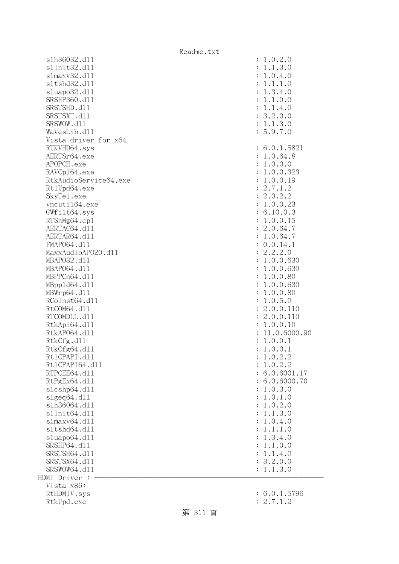s1h36032.dl1 s1Init32.d11 s1maxv32.d11 s1tshd32.d11 sluapo32.dl1 SRSHP360.d11 SRSTSHD.d11 SRSTSXT.d11 SRSWOW.d11 WavesLib.dl1 Vista driver for x64 RTKVHD64.sys AERTSr64.exe APOPCH.exe RAVCp164.exe RtkAudioService64.exe Rt1Upd64.exe SkyTel.exe vncuti164.exe  $GWfilt64.sys$ RTSnMg64.cp1 AERTAC64.d11 AERTAR64.d11 FMAP064.d11 MaxxAudioAPO20.dll MBAP032.d11 MBAP064.d11 MBPPCn64.d11 MBpp1d64.dl1 MBWrp64.dl1 RCoInst64.dl1 RtCOM64.dl1 RTCOMDLL.d11 RtkApi64.dll RtkAP064.d11 RtkCfg.dl1  $R$ tk $C$ fg $64$ .dll Rt1CPAPI.d11 Rt1CPAPI64.dl1 RTPCEE64.d11 RtPgEx64.dl1 slcshp64.dll slgeq64.dll s1h36064.dl1 s1Init64.d11 s1maxv64.dl1 s1tshd64.d11  $sluapo64.d11$ SRSHP64.d11 SRSTSH64.d11 SRSTSX64.d11 SRSWOW64.d11 HDMI Driver : - Vista x86: RtHDMIV.sys : 6.0.1.5796 RtkUpd.exe : 2.7.1.2

| $\ddot{\cdot}$<br>$\ddot{\cdot}$<br>$\ddot{\cdot}$<br>$\ddot{\cdot}$<br>$\ddot{\cdot}$<br>$\ddot{\cdot}$<br>$\ddot{\cdot}$<br>$\ddot{\cdot}$<br>$\ddot{\cdot}$<br>$\ddot{\cdot}$                                                                                                                                                                                                                                                                                                                                                                                                                                                                                                                                                                               | 1.0.2.0<br>.1.3.0<br>1<br>.0.4.0<br>1<br>$\cdot$ 1<br>.1.0<br>1<br>.3.4.0<br>$\mathbf 1$<br>.1.0.0<br>1<br>$\cdot$ 1<br>.4.0<br>1<br>3.2.0.0<br>.1.3.0<br>1<br>5.9.7.0                                                                                                                                                                                                                                                                                                                                                                                                                                                                                                                                                                                                                                                                                                                                                   |
|----------------------------------------------------------------------------------------------------------------------------------------------------------------------------------------------------------------------------------------------------------------------------------------------------------------------------------------------------------------------------------------------------------------------------------------------------------------------------------------------------------------------------------------------------------------------------------------------------------------------------------------------------------------------------------------------------------------------------------------------------------------|--------------------------------------------------------------------------------------------------------------------------------------------------------------------------------------------------------------------------------------------------------------------------------------------------------------------------------------------------------------------------------------------------------------------------------------------------------------------------------------------------------------------------------------------------------------------------------------------------------------------------------------------------------------------------------------------------------------------------------------------------------------------------------------------------------------------------------------------------------------------------------------------------------------------------|
| $\ddot{\cdot}$<br>$\ddot{\cdot}$<br>$\ddot{\cdot}$<br>$\ddot{\cdot}$<br>$\ddot{\cdot}$<br>$\ddot{\cdot}$<br>$\ddot{\cdot}$<br>$\ddot{\cdot}$<br>$\ddot{\cdot}$<br>$\ddot{\cdot}$<br>$\ddot{\cdot}$<br>$\ddot{\cdot}$<br>$\ddot{\cdot}$<br>$\ddot{\cdot}$<br>$\ddot{\cdot}$<br>$\ddot{\cdot}$<br>$\ddot{\cdot}$<br>$\ddot{\cdot}$<br>$\ddot{\cdot}$<br>$\ddot{\cdot}$<br>$\ddot{\cdot}$<br>$\ddot{\cdot}$<br>$\ddot{\cdot}$<br>$\ddot{\cdot}$<br>$\ddot{\cdot}$<br>$\ddot{\cdot}$<br>$\ddot{\cdot}$<br>$\ddot{\cdot}$<br>$\ddot{\cdot}$<br>$\ddot{\cdot}$<br>$\ddot{\cdot}$<br>$\ddot{\cdot}$<br>$\ddot{\cdot}$<br>$\ddot{\cdot}$<br>$\ddot{\cdot}$<br>$\ddot{\cdot}$<br>$\ddot{\cdot}$<br>$\ddot{\cdot}$<br>$\ddot{\cdot}$<br>$\ddot{\cdot}$<br>$\ddot{\cdot}$ | 6.0.1.5821<br>1.0.64.8<br>1.0.0.0<br>1.0.0.323<br>.0.0.19<br>1<br>.7.1<br>$\overline{c}$<br>$\ddot{\phantom{a}}$<br>$\overline{2}$<br>$2.0.2.2$<br>1.0.0.23<br>6.10.0.3<br>1.0.0.15<br>2.0.64.<br>$\overline{7}$<br>1.0.64.7<br>0.0.14.1<br>$2.2.2.0$<br>1.0.0.630<br>$\mathbf{c}$<br>1.0.0.630<br>1.0.0.80<br>1.0.0.630<br>$1.0.0.80$<br>$1.0.5.0$<br>$2.0.0.110$<br>$2.0.0.110$<br>$1.0.0.10$<br>11.0.6000.90<br>1.0.0.1<br>1.0.0.1<br>.0.2.2<br>1<br>1.0.2.2<br>6.0.6001.17<br>6.0.6000.<br>70<br>1.0.<br>3.0<br>1.0<br>$.0$ .<br>$\mathbf 1$<br>2.0<br>$.0$ .<br>1<br>1.3.0<br>$\ddot{\phantom{a}}$<br>1<br>$\ddot{\phantom{a}}$<br>0.4.0<br>1<br>$\ddot{\phantom{a}}$<br>.1.0<br>1<br>$\mathbf 1$<br>$\ddot{\phantom{0}}$<br>3.4.0<br>1<br>1.0.0<br>$\ddot{\phantom{a}}$<br>1<br>$\mathbf{1}$<br>$\ddot{\phantom{a}}$<br>.4.0<br>1<br>$\overline{c}$<br>$\ddot{\phantom{a}}$<br>.0.0<br>3<br>.3.0<br>$\cdot$ 1<br>1 |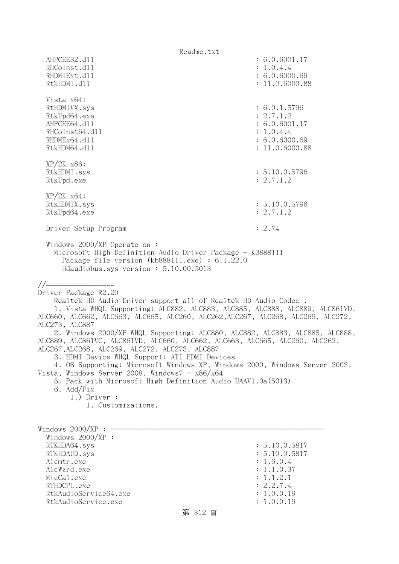Readme.txt AHPCEE32.d11 : 6.0.6001.17 RHCoInst.d11 : 1.0.4.4 RHDMIExt.d11 : 6.0.6000.69 RtkHDMI.d11 : 11.0.6000.88 Vista x64: RtHDMIVX.sys : 6.0.1.5796 RtkUpd64.exe : 2.7.1.2 AHPCEE64.d11 : 6.0.6001.17 RHCoInst64.dl1 : 1.0.4.4 RHDMEx64.d11 : 6.0.6000.69 RtkHDM64.d11 : 11.0.6000.88 XP/2K x86: RtkHDMI.sys : 5.10.0.5796 RtkUpd.exe : 2.7.1.2 XP/2K x64: RtkHDMIX.sys : 5.10.0.5796 RtkUpd64.exe : 2.7.1.2 Driver Setup Program : 2.74 Windows 2000/XP Operate on : Microsoft High Definition Audio Driver Package - KB888111 Package file version (kb888111.exe) : 6.1.22.0 Hdaudiobus.sys version : 5.10.00.5013 //================= Driver Package R2.20 Realtek HD Audio Driver support all of Realtek HD Audio Codec . 1. Vista WHQL Supporting: ALC882, ALC883, ALC885, ALC888, ALC889, ALC861VD, ALC660, ALC662, ALC663, ALC665, ALC260, ALC262,ALC267, ALC268, ALC269, ALC272, ALC273, ALC887 2. Windows 2000/XP WHQL Supporting: ALC880, ALC882, ALC883, ALC885, ALC888, ALC889, ALC861VC, ALC861VD, ALC660, ALC662, ALC663, ALC665, ALC260, ALC262, ALC267,ALC268, ALC269, ALC272, ALC273, ALC887 3. HDMI Device WHQL Support: ATI HDMI Devices 4. OS Supporting: Microsoft Windows XP, Windows 2000, Windows Server 2003, Vista, Windows Server 2008, Windows $7 - x86/x64$  5. Pack with Microsoft High Definition Audio UAAV1.0a(5013) 6. Add/Fix 1.) Driver : 1. Customizations. Windows  $2000/XP : -$  Windows 2000/XP : RTKHDA64.sys : 5.10.0.5817 RTKHDAUD.sys : 5.10.0.5817 Alcmtr.exe : 1.6.0.4 AlcWzrd.exe : 1.1.0.37  $\text{MicCal.}$ exe : 1.1.2.1 RTHDCPL.exe : 2.2.7.4 RtkAudioService64.exe : 1.0.0.19 RtkAudioService.exe : 1.0.0.19

## 第 312 頁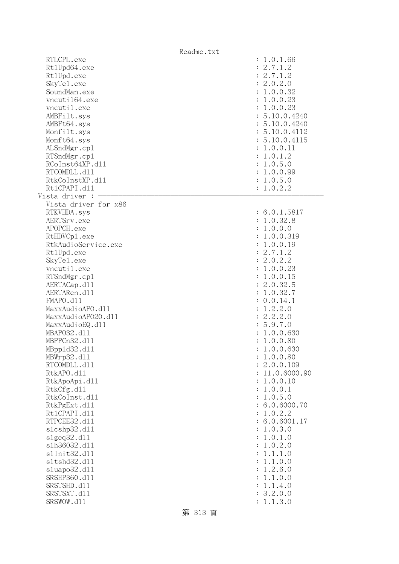|                                                                                                                                                                                                                                                                                                                                                                                                                                                                                                                                                                                                                                     | Readme.txt                                                                                                                                                                                                                                                                                                                                                                                                                                                                                                                                                                                                                                                                        |
|-------------------------------------------------------------------------------------------------------------------------------------------------------------------------------------------------------------------------------------------------------------------------------------------------------------------------------------------------------------------------------------------------------------------------------------------------------------------------------------------------------------------------------------------------------------------------------------------------------------------------------------|-----------------------------------------------------------------------------------------------------------------------------------------------------------------------------------------------------------------------------------------------------------------------------------------------------------------------------------------------------------------------------------------------------------------------------------------------------------------------------------------------------------------------------------------------------------------------------------------------------------------------------------------------------------------------------------|
| RTLCPL.exe<br>Rt1Upd64.exe<br>Rt1Upd.exe<br>SkyTe1.exe<br>SoundMan.exe<br>vncuti164.exe<br>vncutil.exe<br>AMBFilt.sys<br>AMBFt64.sys<br>Monfilt.sys<br>Monft64.sys<br>ALSndMgr.cp1<br>RTSndMgr.cp1<br>RCoInst64XP.d11<br>RTCOMDLL.d11<br>RtkCoInstXP.d11<br>Rt1CPAPI.d11<br>Vista driver :                                                                                                                                                                                                                                                                                                                                          | : 1.0.1.66<br>: 2.7.1.2<br>: 2.7.1.2<br>: 2.0.2.0<br>: 1.0.0.32<br>: 1.0.0.23<br>: 1.0.0.23<br>: 5.10.0.4240<br>: 5.10.0.4240<br>: 5.10.0.4112<br>: 5.10.0.4115<br>: 1.0.0.11<br>: 1.0.1.2<br>: 1.0.5.0<br>: 1.0.0.99<br>: 1.0.5.0<br>: 1.0.2.2                                                                                                                                                                                                                                                                                                                                                                                                                                   |
| Vista driver for x86<br>RTKVHDA.sys<br>AERTSrv.exe<br>APOPCH.exe<br>RtHDVCp1.exe<br>RtkAudioService.exe<br>Rt1Upd.exe<br>SkyTe1.exe<br>vncutil.exe<br>RTSndMgr.cp1<br>AERTACap.d11<br>AERTARen.d11<br>FMAPO.d11<br>MaxxAudioAPO.dll<br>MaxxAudioAP020.dll<br>MaxxAudioEQ.d11<br>MBAP032.d11<br>MBPPCn32.d11<br>MBpp1d32.d11<br>MBWrp32.d11<br>RTCOMDLL.d11<br>RtkAPO.d11<br>RtkApoApi.d11<br>RtkCfg.d11<br>RtkCoInst.d11<br>RtkPgExt.d11<br>Rt1CPAPI.d11<br>RTPCEE32.d11<br>s1cshp32.d11<br>slgeq32.d11<br>s1h36032.d11<br>s1Init32.d11<br>s1tshd32.d11<br>s1uapo32.d11<br>SRSHP360.d11<br>SRSTSHD.d11<br>SRSTSXT.d11<br>SRSWOW.d11 | : 6.0.1.5817<br>: 1.0.32.8<br>: 1.0.0.0<br>: 1.0.0.319<br>: 1.0.0.19<br>: 2.7.1.2<br>: 2.0.2.2<br>: 1.0.0.23<br>: 1.0.0.15<br>: 2.0.32.5<br>: 1.0.32.7<br>: 0.0.14.1<br>1.2.2.0<br>$\ddot{\cdot}$<br>: 2.2.2.0<br>: 5.9.7.0<br>: 1.0.0.630<br>1.0.0.80<br>1.0.0.630<br>1.0.0.80<br>2.0.0.109<br>11.0.6000.90<br>1.0.0.10<br>1.0.0.1<br>$\ddot{\cdot}$<br>1.0.5.0<br>$\ddot{\cdot}$<br>6.0.6000.70<br>1.0.2.2<br>$\ddot{\cdot}$<br>6.0.6001.17<br>1.0.3.0<br>$\ddot{\cdot}$<br>1.0.1.0<br>$\ddot{\cdot}$<br>1.0.2.0<br>:<br>1.1.1.0<br>1.1.0.0<br>$\ddot{\cdot}$<br>1.2.6.0<br>:<br>1.1.0.0<br>$\ddot{\cdot}$<br>1.1.4.0<br>$\ddot{\cdot}$<br>3.2.0.0<br>$\ddot{\cdot}$<br>1.1.3.0 |

第 313 頁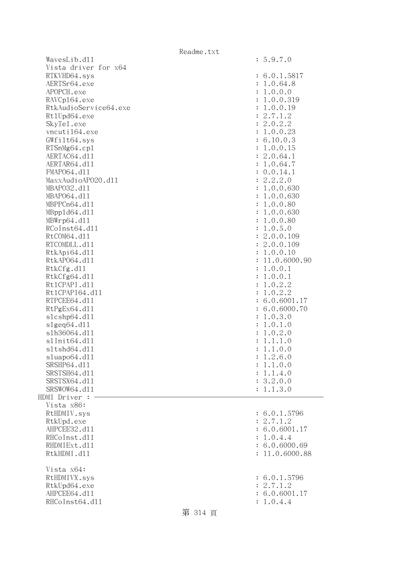|                       | Readme.txt |                           |
|-----------------------|------------|---------------------------|
| WavesLib.dl1          |            | : 5.9.7.0                 |
| Vista driver for x64  |            |                           |
| RTKVHD64.sys          |            | : 6.0.1.5817              |
| AERTSr64.exe          |            | : 1.0.64.8                |
| APOPCH.exe            |            | : 1.0.0.0                 |
| RAVCp164.exe          |            | : 1.0.0.319               |
| RtkAudioService64.exe |            | : 1.0.0.19                |
| Rt1Upd64.exe          |            | : 2.7.1.2                 |
| SkyTe1.exe            |            | : 2.0.2.2                 |
| vncuti164.exe         |            | : 1.0.0.23                |
|                       |            |                           |
| GWfilt64.sys          |            | : 6.10.0.3                |
| RTSnMg64.cp1          |            | : 1.0.0.15                |
| AERTAC64.d11          |            | : 2.0.64.1                |
| AERTAR64.d11          |            | : 1.0.64.7                |
| FMAP064.d11           |            | : 0.0.14.1                |
| MaxxAudioAP020.dll    |            | : 2.2.2.0                 |
| MBAP032.d11           |            | : 1.0.0.630               |
| MBAP064.d11           |            | : 1.0.0.630               |
| MBPPCn64.d11          |            | : 1.0.0.80                |
| MBpp1d64.d11          |            | : 1.0.0.630               |
| MBWrp64.dl1           |            | : 1.0.0.80                |
| RCoInst64.d11         |            | : 1.0.5.0                 |
| RtCOM64.d11           |            | : 2.0.0.109               |
| RTCOMDLL.d11          |            | : 2.0.0.109               |
| RtkApi64.dl1          |            | : 1.0.0.10                |
| RtkAP064.d11          |            | : 11.0.6000.90            |
|                       |            |                           |
| RtkCfg.d11            |            | : 1.0.0.1                 |
| RtkCfg64.d11          |            | : 1.0.0.1                 |
| Rt1CPAPI.d11          |            | 1.0.2.2<br>÷              |
| Rt1CPAPI64.d11        |            | : 1.0.2.2                 |
| RTPCEE64.d11          |            | : 6.0.6001.17             |
| RtPgEx64.d11          |            | : 6.0.6000.70             |
| s1cshp64.d11          |            | : 1.0.3.0                 |
| slgeq64. d11          |            | : 1.0.1.0                 |
| s1h36064.d11          |            | 1.0.2.0<br>$\ddot{\cdot}$ |
| s1Init64.d11          |            | 1.1.1.0<br>$\ddot{\cdot}$ |
| s1tshd64.d11          |            | 1.1.0.0                   |
| sluapo64.d11          |            | 1.2.6.0                   |
| SRSHP64.d11           |            | 1.1.0.0                   |
| SRSTSH64.d11          |            | 1.1.4.0<br>$\ddot{\cdot}$ |
| SRSTSX64.d11          |            | 3.2.0.0<br>÷              |
| SRSWOW64.d11          |            | 1.1.3.0                   |
| HDMI Driver :         |            |                           |
| Vista x86:            |            |                           |
| RtHDMIV.sys           |            | : 6.0.1.5796              |
| RtkUpd.exe            |            | : 2.7.1.2                 |
| AHPCEE32.d11          |            | : 6.0.6001.17             |
|                       |            |                           |
| RHCoInst.d11          |            | 1.0.4.4                   |
| RHDMIExt.d11          |            | : 6.0.6000.69             |
| RtkHDMI.d11           |            | : 11.0.6000.88            |
| Vista x64:            |            |                           |
| RtHDMIVX.sys          |            | : 6.0.1.5796              |
| RtkUpd64.exe          |            | : 2.7.1.2                 |
| AHPCEE64.d11          |            | : 6.0.6001.17             |
| RHCoInst64.d11        |            | 1.0.4.4                   |
|                       |            |                           |
|                       | 第 314 頁    |                           |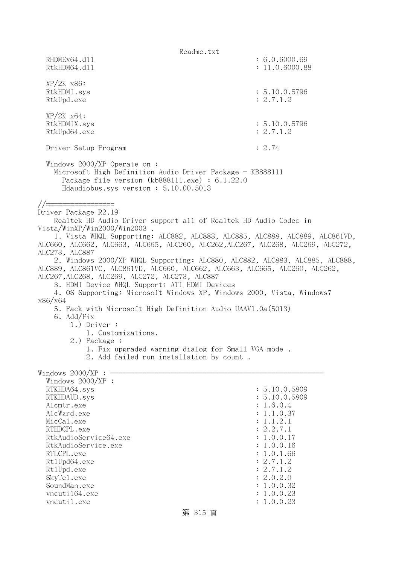Readme.txt RHDMEx64.d11 : 6.0.6000.69 RtkHDM64.d11 : 11.0.6000.88 XP/2K x86: RtkHDMI.sys : 5.10.0.5796 RtkUpd.exe : 2.7.1.2 XP/2K x64: RtkHDMIX.sys : 5.10.0.5796 RtkUpd64.exe : 2.7.1.2 Driver Setup Program : 2.74 Windows 2000/XP Operate on : Microsoft High Definition Audio Driver Package - KB888111 Package file version (kb888111.exe) : 6.1.22.0 Hdaudiobus.sys version : 5.10.00.5013 //================= Driver Package R2.19 Realtek HD Audio Driver support all of Realtek HD Audio Codec in Vista/WinXP/Win2000/Win2003 . 1. Vista WHQL Supporting: ALC882, ALC883, ALC885, ALC888, ALC889, ALC861VD, ALC660, ALC662, ALC663, ALC665, ALC260, ALC262,ALC267, ALC268, ALC269, ALC272, ALC273, ALC887 2. Windows 2000/XP WHQL Supporting: ALC880, ALC882, ALC883, ALC885, ALC888, ALC889, ALC861VC, ALC861VD, ALC660, ALC662, ALC663, ALC665, ALC260, ALC262, ALC267,ALC268, ALC269, ALC272, ALC273, ALC887 3. HDMI Device WHQL Support: ATI HDMI Devices 4. OS Supporting: Microsoft Windows XP, Windows 2000, Vista, Windows7 x86/x64 5. Pack with Microsoft High Definition Audio UAAV1.0a(5013) 6. Add/Fix 1.) Driver : 1. Customizations. 2.) Package : 1. Fix upgraded warning dialog for Small VGA mode . 2. Add failed run installation by count . Windows  $2000/XP : -$  Windows 2000/XP : RTKHDA64.sys : 5.10.0.5809 RTKHDAUD.sys : 5.10.0.5809 Alcmtr.exe : 1.6.0.4 AlcWzrd.exe : 1.1.0.37  $\text{MicCal.}$ exe : 1.1.2.1 RTHDCPL.exe : 2.2.7.1 RtkAudioService64.exe : 1.0.0.17 RtkAudioService.exe : 1.0.0.16 RTLCPL.exe : 1.0.1.66<br>Rt1Upd64.exe : 2.7.1.2 Rt1Upd64.exe RtlUpd.exe : 2.7.1.2 SkyTel.exe : 2.0.2.0 SoundMan.exe : 1.0.0.32 vncuti164.exe : 1.0.0.23 vncutil.exe : 1.0.0.23

## 第 315 頁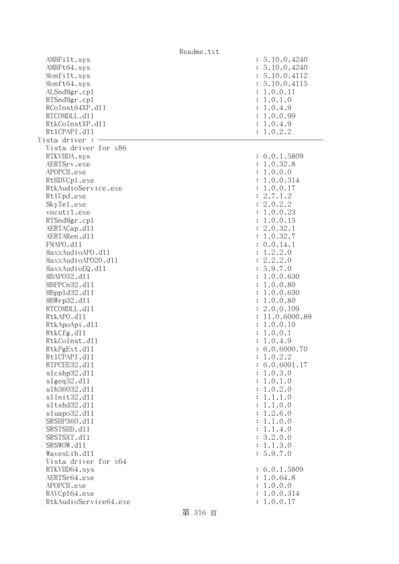|                       | Readme.txt |                             |
|-----------------------|------------|-----------------------------|
| AMBFilt.sys           |            | : 5.10.0.4240               |
| AMBFt64.sys           |            | : 5.10.0.4240               |
| Monfilt.sys           |            | : 5.10.0.4112               |
| Monft64.sys           |            | : 5.10.0.4115               |
| ALSndMgr.cp1          |            | : 1.0.0.11                  |
| RTSndMgr.cp1          |            | : 1.0.1.0                   |
| RCoInst64XP.d11       |            | : 1.0.4.9                   |
| RTCOMDLL.d11          |            | : 1.0.0.99                  |
| RtkCoInstXP.d11       |            |                             |
|                       |            | : 1.0.4.9                   |
| Rt1CPAPI.d11          |            | : 1.0.2.2                   |
| Vista driver :        |            |                             |
| Vista driver for x86  |            |                             |
| RTKVHDA.sys           |            | : 6.0.1.5809                |
| AERTSrv.exe           |            | : 1.0.32.8                  |
| APOPCH.exe            |            | : 1.0.0.0                   |
| RtHDVCp1.exe          |            | : 1.0.0.314                 |
| RtkAudioService.exe   |            | : 1.0.0.17                  |
| Rt1Upd.exe            |            | : 2.7.1.2                   |
| SkyTe1.exe            |            | : 2.0.2.2                   |
| vncutil.exe           |            | : 1.0.0.23                  |
| RTSndMgr.cp1          |            | : 1.0.0.15                  |
| AERTACap.d11          |            | : 2.0.32.1                  |
| AERTARen.d11          |            | : 1.0.32.7                  |
|                       |            |                             |
| FMAPO.d11             |            | : 0.0.14.1                  |
| MaxxAudioAPO.dll      |            | 1.2.2.0<br>$\ddot{\cdot}$   |
| MaxxAudioAP020.dll    |            | : 2.2.2.0                   |
| MaxxAudioEQ.d11       |            | : 5.9.7.0                   |
| MBAP032.d11           |            | : 1.0.0.630                 |
| MBPPCn32.d11          |            | 1.0.0.80<br>$\ddot{\cdot}$  |
| MBpp1d32.d11          |            | 1.0.0.630<br>$\ddot{\cdot}$ |
| MBWrp32.d11           |            | : 1.0.0.80                  |
| RTCOMDLL.d11          |            | : 2.0.0.109                 |
| RtkAPO.d11            |            | : 11.0.6000.89              |
| RtkApoApi.d11         |            | : 1.0.0.10                  |
| RtkCfg.d11            |            | 1.0.0.1<br>$\ddot{\cdot}$   |
| RtkCoInst.d11         |            | 1.0.4.9                     |
| RtkPgExt.d11          |            | : 6.0.6000.70               |
|                       |            |                             |
| Rt1CPAPI.d11          |            | 1.0.2.2                     |
| RTPCEE32.d11          |            | : 6.0.6001.17               |
| s1cshp32.d11          |            | 1.0.3.0<br>:                |
| slgeq32.d11           |            | 1.0.1.0<br>:                |
| s1h36032.d11          |            | 1.0.2.0<br>:                |
| s1Init32.d11          |            | 1.1.1.0<br>:                |
| s1tshd32.d11          |            | : 1.1.0.0                   |
| s1uapo32.d11          |            | : 1.2.6.0                   |
| SRSHP360.d11          |            | : 1.1.0.0                   |
| SRSTSHD.d11           |            | : 1.1.4.0                   |
| SRSTSXT.d11           |            | : 3.2.0.0                   |
| SRSWOW.d11            |            | : 1.1.3.0                   |
| WavesLib.dll          |            | : 5.9.7.0                   |
| Vista driver for x64  |            |                             |
| RTKVHD64.sys          |            | : 6.0.1.5809                |
| AERTSr64.exe          |            | : 1.0.64.8                  |
|                       |            |                             |
| APOPCH.exe            |            | : 1.0.0.0                   |
| RAVCp164.exe          |            | 1.0.0.314<br>:              |
| RtkAudioService64.exe |            | 1.0.0.17                    |
|                       | 第 316 頁    |                             |
|                       |            |                             |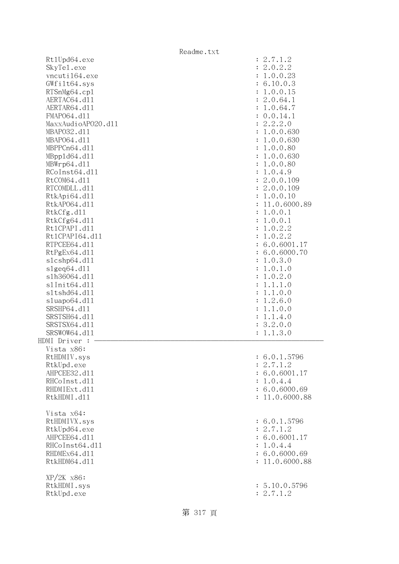| Rt1Upd64.exe       | : 2.7.1.2                       |
|--------------------|---------------------------------|
| SkyTel.exe         | : 2.0.2.2                       |
| vncuti164.exe      | : 1.0.0.23                      |
| GWfilt64.sys       | : 6.10.0.3                      |
| RTSnMg64.cp1       | : 1.0.0.15                      |
| AERTAC64.d11       | : 2.0.64.1                      |
| AERTAR64.d11       | : 1.0.64.7                      |
|                    |                                 |
| FMAP064.d11        | : 0.0.14.1                      |
| MaxxAudioAP020.dll | : 2.2.2.0                       |
| MBAP032.d11        | : 1.0.0.630                     |
| MBAP064.d11        | : 1.0.0.630                     |
| MBPPCn64.d11       | : 1.0.0.80                      |
| MBpp1d64.d11       | : 1.0.0.630                     |
| MBWrp64.dl1        | : 1.0.0.80                      |
| RCoInst64.d11      | : 1.0.4.9                       |
| RtCOM64.d11        | : 2.0.0.109                     |
| RTCOMDLL.d11       | : 2.0.0.109                     |
| RtkApi64.d11       | : 1.0.0.10                      |
| RtkAP064.d11       | 11.0.6000.89<br>$\ddot{\cdot}$  |
| RtkCfg.d11         | : 1.0.0.1                       |
| RtkCfg64.d11       | 1.0.0.1<br>$\ddot{\cdot}$       |
| Rt1CPAPI.d11       | 1.0.2.2<br>$\ddot{\cdot}$       |
| Rt1CPAPI64.d11     | 1.0.2.2<br>$\ddot{\cdot}$       |
| RTPCEE64.d11       | : 6.0.6001.17                   |
| RtPgEx64.d11       | : 6.0.6000.70                   |
| slcshp64.dll       | 1.0.3.0<br>$\ddot{\cdot}$       |
| slgeq64. d11       | 1.0.1.0<br>$\ddot{\cdot}$       |
| s1h36064.d11       | 1.0.2.0<br>$\ddot{\cdot}$       |
| s1Init64.d11       | 1.1.1.0<br>$\ddot{\cdot}$       |
| s1tshd64.d11       | 1.1.0.0<br>$\ddot{\cdot}$       |
|                    | $\ddot{\cdot}$                  |
| sluapo64.dll       | 1.2.6.0                         |
| SRSHP64.d11        | 1.1.0.0<br>$\ddot{\cdot}$       |
| SRSTSH64.d11       | : 1.1.4.0                       |
| SRSTSX64.d11       | 3.2.0.0<br>$\ddot{\cdot}$       |
| SRSWOW64.d11       | 1.1.3.0<br>$\ddot{\phantom{a}}$ |
| HDMI Driver :      |                                 |
| Vista x86:         |                                 |
| RtHDMIV.sys        | : 6.0.1.5796                    |
| RtkUpd.exe         | : 2.7.1.2                       |
| AHPCEE32.d11       | : 6.0.6001.17                   |
| RHCoInst.d11       | : 1.0.4.4                       |
| RHDMIExt.d11       | : 6.0.6000.69                   |
| RtkHDMI.d11        | : 11.0.6000.88                  |
|                    |                                 |
| Vista x64:         |                                 |
| RtHDMIVX.sys       | : 6.0.1.5796                    |
| RtkUpd64.exe       | : 2.7.1.2                       |
| AHPCEE64.d11       | : 6.0.6001.17                   |
| RHCoInst64.d11     | 1.0.4.4<br>$\ddot{\cdot}$       |
| RHDMEx64.d11       | : 6.0.6000.69                   |
| RtkHDM64.d11       | : 11.0.6000.88                  |
|                    |                                 |
| $XP/2K$ $x86$ :    |                                 |
| RtkHDMI.sys        | : 5.10.0.5796                   |
| RtkUpd.exe         | : 2.7.1.2                       |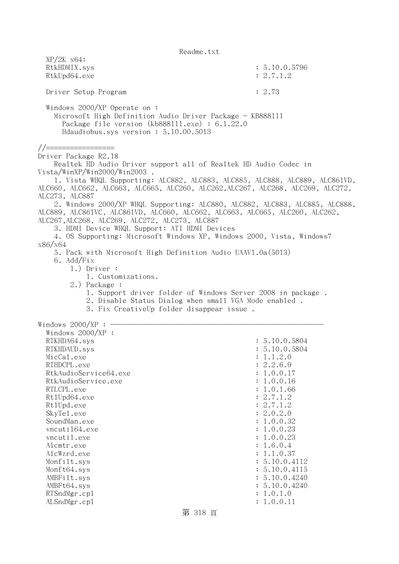| $XP/ZK$ $x64$ :<br>RtkHDMIX.sys<br>RtkUpd64.exe                                                                                                                                                                                                                                                                                        | : 5.10.0.5796<br>: 2.7.1.2     |
|----------------------------------------------------------------------------------------------------------------------------------------------------------------------------------------------------------------------------------------------------------------------------------------------------------------------------------------|--------------------------------|
|                                                                                                                                                                                                                                                                                                                                        |                                |
| Driver Setup Program                                                                                                                                                                                                                                                                                                                   | : 2.73                         |
| Windows $2000/XP$ Operate on:<br>Microsoft High Definition Audio Driver Package - KB888111<br>Package file version $(kb888111.\text{exe}) : 6.1.22.0$<br>Hdaudiobus.sys version: 5.10.00.5013                                                                                                                                          |                                |
| //==================                                                                                                                                                                                                                                                                                                                   |                                |
| Driver Package R2.18<br>Realtek HD Audio Driver support all of Realtek HD Audio Codec in<br>Vista/WinXP/Win2000/Win2003.<br>1. Vista WHQL Supporting: ALC882, ALC883, ALC885, ALC888, ALC889, ALC861VD,                                                                                                                                |                                |
| ALC660, ALC662, ALC663, ALC665, ALC260, ALC262, ALC267, ALC268, ALC269, ALC272,<br>ALC273, ALC887                                                                                                                                                                                                                                      |                                |
| 2. Windows 2000/XP WHQL Supporting: ALC880, ALC882, ALC883, ALC885, ALC888,<br>ALC889, ALC861VC, ALC861VD, ALC660, ALC662, ALC663, ALC665, ALC260, ALC262,<br>ALC267, ALC268, ALC269, ALC272, ALC273, ALC887<br>3. HDMI Device WHQL Support: ATI HDMI Devices<br>4. OS Supporting: Microsoft Windows XP, Windows 2000, Vista, Windows7 |                                |
| x86/x64<br>5. Pack with Microsoft High Definition Audio UAAV1.0a(5013)                                                                                                                                                                                                                                                                 |                                |
| 6. Add/Fix                                                                                                                                                                                                                                                                                                                             |                                |
| $1.)$ Driver :                                                                                                                                                                                                                                                                                                                         |                                |
| 1. Customizations.<br>2.) Package :                                                                                                                                                                                                                                                                                                    |                                |
| 1. Support driver folder of Windows Server 2008 in package.                                                                                                                                                                                                                                                                            |                                |
| 2. Disable Status Dialog when small VGA Mode enabled.                                                                                                                                                                                                                                                                                  |                                |
| 3. Fix CreativeUp folder disappear issue.                                                                                                                                                                                                                                                                                              |                                |
| Windows $2000/XP$ : -                                                                                                                                                                                                                                                                                                                  |                                |
| Windows $2000/XP$ :                                                                                                                                                                                                                                                                                                                    |                                |
| RTKHDA64.sys                                                                                                                                                                                                                                                                                                                           | : 5.10.0.5804                  |
| RTKHDAUD.sys                                                                                                                                                                                                                                                                                                                           | : 5.10.0.5804                  |
| MicCal.exe                                                                                                                                                                                                                                                                                                                             | : 1.1.2.0                      |
| RTHDCPL.exe                                                                                                                                                                                                                                                                                                                            | 2.2.6.9                        |
| RtkAudioService64.exe                                                                                                                                                                                                                                                                                                                  | 1.0.0.17                       |
| RtkAudioService.exe                                                                                                                                                                                                                                                                                                                    | 1.0.0.16                       |
| RTLCPL.exe                                                                                                                                                                                                                                                                                                                             | 1.0.1.66                       |
| Rt1Upd64.exe                                                                                                                                                                                                                                                                                                                           | : 2.7.1.2                      |
| Rt1Upd.exe                                                                                                                                                                                                                                                                                                                             | : 2.7.1.2                      |
| SkyTe1.exe                                                                                                                                                                                                                                                                                                                             | : 2.0.2.0                      |
| SoundMan.exe                                                                                                                                                                                                                                                                                                                           | 1.0.0.32                       |
| vncuti164.exe                                                                                                                                                                                                                                                                                                                          | : 1.0.0.23                     |
| vncutil.exe                                                                                                                                                                                                                                                                                                                            | : 1.0.0.23                     |
| Alcmtr.exe                                                                                                                                                                                                                                                                                                                             | : 1.6.0.4                      |
| AlcWzrd.exe                                                                                                                                                                                                                                                                                                                            | : 1.1.0.37<br>: 5.10.0.4112    |
| Monfilt.sys                                                                                                                                                                                                                                                                                                                            |                                |
| Monft64.sys<br>AMBFilt.sys                                                                                                                                                                                                                                                                                                             | : 5.10.0.4115<br>: 5.10.0.4240 |
| AMBFt64.sys                                                                                                                                                                                                                                                                                                                            | : 5.10.0.4240                  |
| RTSndMgr.cp1                                                                                                                                                                                                                                                                                                                           | : 1.0.1.0                      |
| ALSndMgr.cp1                                                                                                                                                                                                                                                                                                                           | : 1.0.0.11                     |
|                                                                                                                                                                                                                                                                                                                                        |                                |
| 第 318 頁                                                                                                                                                                                                                                                                                                                                |                                |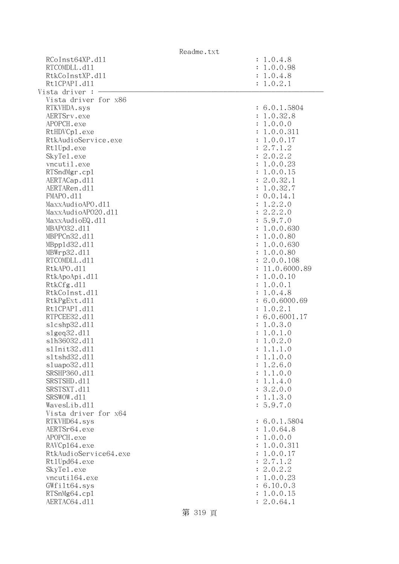|                              | Readme.txt                 |
|------------------------------|----------------------------|
| RCoInst64XP.d11              | : 1.0.4.8                  |
| RTCOMDLL.d11                 | : 1.0.0.98                 |
| RtkCoInstXP.d11              | : 1.0.4.8                  |
| Rt1CPAPI.d11                 | : 1.0.2.1                  |
| Vista driver :               |                            |
| Vista driver for x86         |                            |
| RTKVHDA.sys                  | : 6.0.1.5804               |
| AERTSrv.exe                  | : 1.0.32.8                 |
| APOPCH.exe                   | : 1.0.0.0                  |
| RtHDVCp1.exe                 | : 1.0.0.311                |
| RtkAudioService.exe          | : 1.0.0.17                 |
| Rt1Upd.exe                   | : 2.7.1.2                  |
| SkyTe1.exe                   | : 2.0.2.2                  |
| vncutil.exe                  | : 1.0.0.23                 |
| RTSndMgr.cp1                 | : 1.0.0.15                 |
| AERTACap.d11                 | : 2.0.32.1                 |
| AERTARen.d11                 | : 1.0.32.7                 |
| FMAPO.d11                    | : 0.0.14.1                 |
| MaxxAudioAPO.dll             | : 1.2.2.0                  |
| MaxxAudioAP020.dll           | : 2.2.2.0                  |
| MaxxAudioEQ.d11              | : 5.9.7.0                  |
| MBAP032.d11                  | : 1.0.0.630                |
| MBPPCn32.d11                 | : 1.0.0.80                 |
| MBpp1d32.d11                 | : 1.0.0.630                |
| MBWrp32.d11                  | : 1.0.0.80                 |
| RTCOMDLL.d11                 | : 2.0.0.108                |
| RtkAPO.d11                   | : 11.0.6000.89             |
| RtkApoApi.d11                | : 1.0.0.10                 |
| RtkCfg.d11                   | : 1.0.0.1                  |
| RtkCoInst.d11                | : 1.0.4.8                  |
| RtkPgExt.d11                 | : 6.0.6000.69              |
| Rt1CPAPI.d11                 | : 1.0.2.1                  |
| RTPCEE32.d11                 | : 6.0.6001.17              |
| s1cshp32.d11                 | : 1.0.3.0                  |
| s1geq32.d11                  | : 1.0.1.0                  |
| s1h36032.d11                 | 1.0.2.0                    |
| s1Init32.d11                 | : 1.1.1.0                  |
| s1tshd32.d11                 | : 1.1.0.0                  |
| s1uapo32.d11                 | : 1.2.6.0                  |
| SRSHP360.d11                 | : 1.1.0.0                  |
| SRSTSHD.d11                  | : 1.1.4.0                  |
| SRSTSXT.d11                  | : 3.2.0.0                  |
| SRSWOW.d11                   | : 1.1.3.0                  |
| WavesLib.d11                 | : 5.9.7.0                  |
| Vista driver for x64         |                            |
| RTKVHD64.sys                 | : 6.0.1.5804               |
| AERTSr64.exe                 | : 1.0.64.8                 |
| APOPCH.exe                   | : 1.0.0.0                  |
| RAVCp164.exe                 | : 1.0.0.311                |
| RtkAudioService64.exe        | : 1.0.0.17                 |
| Rt1Upd64.exe                 | : 2.7.1.2                  |
| SkyTe1.exe                   | : 2.0.2.2                  |
| vncuti164.exe                | : 1.0.0.23                 |
| GWfilt64.sys                 | : 6.10.0.3<br>1.0.0.15     |
| RTSnMg64.cp1<br>AERTAC64.d11 | $\ddot{\cdot}$<br>2.0.64.1 |
|                              |                            |

第 319 頁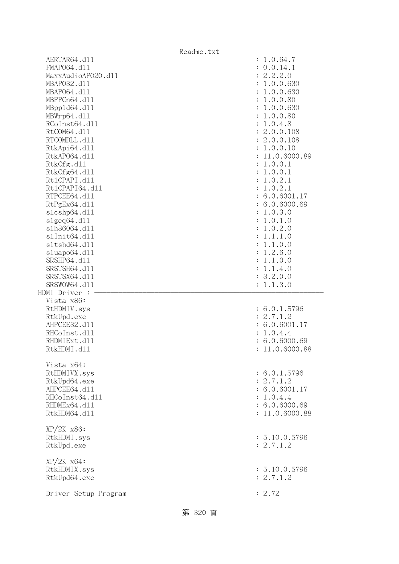|                      | Readme.txt                  |
|----------------------|-----------------------------|
| AERTAR64.d11         | : 1.0.64.7                  |
| FMAP064.d11          | : 0.0.14.1                  |
| MaxxAudioAP020.dll   | : 2.2.2.0                   |
| MBAP032.d11          | : 1.0.0.630                 |
| MBAP064.d11          | 1.0.0.630<br>$\ddot{\cdot}$ |
| MBPPCn64.d11         | 1.0.0.80<br>$\ddot{\cdot}$  |
| MBpp1d64.d11         | 1.0.0.630<br>$\ddot{\cdot}$ |
| MBWrp64.dl1          | 1.0.0.80<br>$\ddot{\cdot}$  |
| RCoInst64.d11        | 1.0.4.8<br>$\ddot{\cdot}$   |
| RtCOM64.d11          | : 2.0.0.108                 |
| RTCOMDLL.d11         | : 2.0.0.108                 |
| RtkApi64.dl1         | : 1.0.0.10                  |
| RtkAP064.d11         | : 11.0.6000.89              |
| RtkCfg.d11           | : 1.0.0.1                   |
|                      |                             |
| RtkCfg64.d11         | : 1.0.0.1                   |
| Rt1CPAPI.d11         | 1.0.2.1<br>$\ddot{\cdot}$   |
| Rt1CPAPI64.d11       | 1.0.2.1<br>÷                |
| RTPCEE64.d11         | : 6.0.6001.17               |
| RtPgEx64.d11         | : 6.0.6000.69               |
| slcshp64.dll         | : 1.0.3.0                   |
| s1geq64. d11         | 1.0.1.0<br>÷                |
| s1h36064.d11         | 1.0.2.0<br>$\ddot{\cdot}$   |
| s1Init64.d11         | 1.1.1.0<br>$\ddot{\cdot}$   |
| s1tshd64.d11         | 1.1.0.0<br>$\ddot{\cdot}$   |
| sluapo64.d11         | 1.2.6.0<br>$\ddot{\cdot}$   |
| SRSHP64.d11          | 1.1.0.0<br>$\ddot{\cdot}$   |
| SRSTSH64.d11         | 1.1.4.0<br>$\ddot{\cdot}$   |
| SRSTSX64.d11         | : 3.2.0.0                   |
| SRSWOW64.d11         | : 1.1.3.0                   |
| HDMI Driver :        |                             |
| Vista x86:           |                             |
| RtHDMIV.sys          | : 6.0.1.5796                |
| RtkUpd.exe           | : 2.7.1.2                   |
| AHPCEE32.d11         | : 6.0.6001.17               |
| RHCoInst.d11         | 1.0.4.4                     |
| RHDMIExt.d11         | : 6.0.6000.69               |
| RtkHDMI.d11          | 11.0.6000.88                |
|                      |                             |
| Vista x64:           |                             |
| RtHDMIVX.sys         | : 6.0.1.5796                |
| RtkUpd64.exe         | : 2.7.1.2                   |
| AHPCEE64.d11         | : 6.0.6001.17               |
| RHCoInst64.d11       | : 1.0.4.4                   |
| RHDMEx64.d11         | : 6.0.6000.69               |
| RtkHDM64.d11         | : 11.0.6000.88              |
|                      |                             |
| $XP/2K$ $x86$ :      |                             |
| RtkHDMI.sys          | : 5.10.0.5796               |
| RtkUpd.exe           | : 2.7.1.2                   |
|                      |                             |
| $XP/ZK$ $x64$ :      |                             |
| RtkHDMIX.sys         | : 5.10.0.5796               |
| RtkUpd64.exe         | : 2.7.1.2                   |
|                      |                             |
| Driver Setup Program | : 2.72                      |
|                      |                             |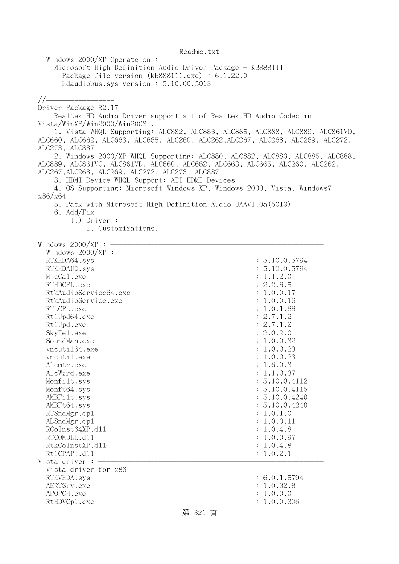Windows 2000/XP Operate on : Microsoft High Definition Audio Driver Package - KB888111 Package file version (kb888111.exe) : 6.1.22.0 Hdaudiobus.sys version : 5.10.00.5013 //================= Driver Package R2.17 Realtek HD Audio Driver support all of Realtek HD Audio Codec in Vista/WinXP/Win2000/Win2003 . 1. Vista WHQL Supporting: ALC882, ALC883, ALC885, ALC888, ALC889, ALC861VD, ALC660, ALC662, ALC663, ALC665, ALC260, ALC262,ALC267, ALC268, ALC269, ALC272, ALC273, ALC887 2. Windows 2000/XP WHQL Supporting: ALC880, ALC882, ALC883, ALC885, ALC888, ALC889, ALC861VC, ALC861VD, ALC660, ALC662, ALC663, ALC665, ALC260, ALC262, ALC267,ALC268, ALC269, ALC272, ALC273, ALC887 3. HDMI Device WHQL Support: ATI HDMI Devices 4. OS Supporting: Microsoft Windows XP, Windows 2000, Vista, Windows7 x86/x64 5. Pack with Microsoft High Definition Audio UAAV1.0a(5013) 6. Add/Fix 1.) Driver : 1. Customizations. Windows  $2000/XP:$  Windows 2000/XP : RTKHDA64.sys : 5.10.0.5794 RTKHDAUD.sys : 5.10.0.5794  $\text{MicCal.}$ exe :  $1.1.2.0$ RTHDCPL.exe : 2.2.6.5 RtkAudioService64.exe : 1.0.0.17 RtkAudioService.exe : 1.0.0.16 RTLCPL.exe : 1.0.1.66 Rt1Upd64.exe : 2.7.1.2 RtlUpd.exe : 2.7.1.2 SkyTel.exe : 2.0.2.0 SoundMan.exe : 1.0.0.32 vncuti164.exe : 1.0.0.23 vncutil.exe : 1.0.0.23 Alcmtr.exe : 1.6.0.3 AlcWzrd.exe : 1.1.0.37 Monfilt.sys : 5.10.0.4112 Monft64.sys : 5.10.0.4115 AMBFilt.sys : 5.10.0.4240 AMBFt64.sys : 5.10.0.4240 RTSndMgr.cp1 : 1.0.1.0 ALSndMgr.cp1 : 1.0.0.11 RCoInst64XP.dl1 : 1.0.4.8 RTCOMDLL.d11 : 1.0.0.97 RtkCoInstXP.dll : 1.0.4.8 RtlCPAPI.dll : 1.0.2.1 Vista driver : - Vista driver for x86 RTKVHDA.sys : 6.0.1.5794 AERTSrv.exe : 1.0.32.8 APOPCH.exe : 1.0.0.0 RtHDVCp1.exe : 1.0.0.306

Readme.txt

## 第 321 頁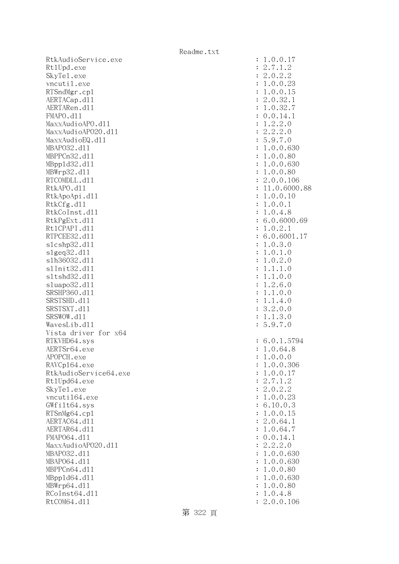RtkAudioService.exe Rt1Upd.exe SkyTe1.exe vncutil.exe RTSndMgr.cp1 AERTACap.d11 AERTARen.d11  $FMAPO. d11$ MaxxAudioAPO.dll MaxxAudioAPO20.dll MaxxAudioEQ.dll MBAP032.d11 MBPPCn32.d11 MBpp1d32.d11 MBWrp32.d11 RTCOMDLL.d11 RtkAPO.d11 : 11.0.6000.88 RtkApoApi.dl1 RtkCfg.dll RtkCoInst.dl1 RtkPgExt.dl1 Rt1CPAPI.d11 RTPCEE32.d11 slcshp32.dl1 slgeq32.dl1 s1h36032.d11 s1Init32.d11 s1tshd32.d11 sluapo32.dl1 SRSHP360.d11 SRSTSHD.d11 SRSTSXT.d11 SRSWOW.d11 WavesLib.dl1 Vista driver for x64 RTKVHD64.sys AERTSr64.exe APOPCH.exe RAVCp164.exe RtkAudioService64.exe Rt1Upd64.exe SkyTel.exe vncuti164.exe  $GWfilt64.sys$ RTSnMg64.cp1 AERTAC64.d11 AERTAR64.dl1 FMAP064.d11 MaxxAudioAPO20.dll MBAP032.d11 MBAP064.d11 MBPPCn64.d11 MBpp1d64.dl1 MBWrp64.dl1 RCoInst64.dl1 RtCOM64.d11

| $\ddot{\cdot}$<br>$\ddot{\cdot}$ | 1.0.0.17<br>2.7.1.2                 |
|----------------------------------|-------------------------------------|
| $\ddot{\cdot}$                   | 2.0.2.2<br>1.0.0.23                 |
| $\ddot{\cdot}$<br>$\ddot{\cdot}$ | 1.0.0.15                            |
| $\ddot{\cdot}$                   | 2.0.32.1                            |
| $\ddot{\cdot}$                   | 1.0.32.7                            |
| $\ddot{\cdot}$                   | 0.0.14.1                            |
| $\ddot{\cdot}$                   | 1.2.2.0                             |
| $\ddot{\cdot}$<br>$\ddot{\cdot}$ | $2.2.2.0$<br>5.9.7.0                |
| $\ddot{\cdot}$                   | 1.0.0.630                           |
| $\ddot{\cdot}$                   | 1.0.0.80                            |
| $\ddot{\cdot}$                   | 1.0.0.630                           |
| $\ddot{\cdot}$                   | 1.0.0.80                            |
| $\ddot{\cdot}$                   | 2.0.0.106                           |
| $\ddot{\cdot}$<br>$\ddot{\cdot}$ | 11.0.6000.88<br>1.0.0.10            |
| $\ddot{\cdot}$                   | 1.0.0.1                             |
| $\ddot{\cdot}$                   | 1.0.4.8                             |
| $\ddot{\cdot}$                   | 6.0.6000.69                         |
| $\ddot{\cdot}$                   | 1.0.2.1                             |
| $\ddot{\cdot}$                   | 6.0.6001<br>$\overline{7}$<br>1     |
| $\ddot{\cdot}$<br>$\ddot{\cdot}$ | 1.0.3.0<br>1.0.1.0                  |
| $\ddot{\cdot}$                   | 1.0.2.0                             |
| $\ddot{\cdot}$                   | 1.1.1.0                             |
| $\ddot{\cdot}$                   | 1.1.0.0                             |
| $\ddot{\cdot}$                   | 1.2.6.0                             |
| $\ddot{\cdot}$                   | 1.1.0.0<br>1.1.4.0                  |
| $\ddot{\cdot}$<br>$\ddot{\cdot}$ | 3.2.0.0                             |
| $\vdots$                         | 1.1.3.0                             |
| $\colon$                         | 5.9.7.0                             |
| $\ddot{\cdot}$                   | 6.0.1.5794                          |
| $\ddot{\cdot}$                   | 1.0.64.8                            |
|                                  | 1.0.0.0                             |
| $\ddot{\cdot}$                   | .0.0.306<br>1                       |
| $\ddot{\cdot}$<br>$\ddot{\cdot}$ | .0.0.1<br>$\mathbf 1$               |
| $\ddot{\cdot}$                   | $2.7.1.2$<br>$2.0.2.2$<br>$1.0.0.2$ |
| $\ddot{\cdot}$                   | .0.0.23                             |
| $\vdots$                         | 6.10.0.3                            |
|                                  | .0.0.15<br>$\mathbf 1$              |
| $\vdots$                         | 2.0.64.1<br>1.0.64.7                |
| $\ddot{\cdot}$                   | $1.0.64.7$<br>0.0.14.1              |
|                                  | 2.2.2.0                             |
| $\vdots$                         |                                     |
| $\ddot{\cdot}$                   | 1.0.0.630<br>1.0.0.630              |
| $\ddot{\cdot}$                   | 1.0.0.80                            |
| $\ddot{\cdot}$                   | 1.0.0.630<br>1.0.0.80               |
| $\ddot{\cdot}$<br>$\ddot{\cdot}$ | 1.0.4.8                             |
| $\ddot{\cdot}$                   | 2.0.0.106                           |
|                                  |                                     |

第 322 頁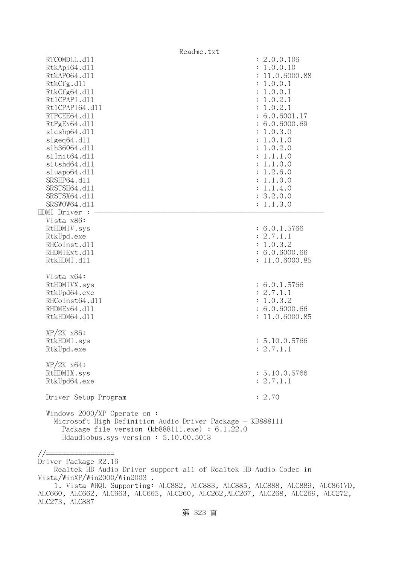| Readme.txt                                                                                                                                                                           |                |
|--------------------------------------------------------------------------------------------------------------------------------------------------------------------------------------|----------------|
| RTCOMDLL.d11                                                                                                                                                                         | : 2.0.0.106    |
| RtkApi64.dl1                                                                                                                                                                         | : 1.0.0.10     |
| RtkAP064.d11                                                                                                                                                                         | : 11.0.6000.88 |
| RtkCfg.d11                                                                                                                                                                           | : 1.0.0.1      |
| RtkCfg64.d11                                                                                                                                                                         | : 1.0.0.1      |
| Rt1CPAPI.d11                                                                                                                                                                         | : 1.0.2.1      |
| Rt1CPAPI64.d11                                                                                                                                                                       | : 1.0.2.1      |
| RTPCEE64.d11                                                                                                                                                                         | : 6.0.6001.17  |
| RtPgEx64.d11                                                                                                                                                                         | : 6.0.6000.69  |
| s1cshp64.d11                                                                                                                                                                         | : 1.0.3.0      |
| slgeq64. d11                                                                                                                                                                         | : 1.0.1.0      |
| s1h36064.d11                                                                                                                                                                         | : 1.0.2.0      |
| s1Init64.d11                                                                                                                                                                         | : 1.1.1.0      |
| s1tshd64.d11                                                                                                                                                                         | : 1.1.0.0      |
|                                                                                                                                                                                      |                |
| sluapo64.d11                                                                                                                                                                         | : 1.2.6.0      |
| SRSHP64.d11                                                                                                                                                                          | : 1.1.0.0      |
| SRSTSH64.d11                                                                                                                                                                         | : 1.1.4.0      |
| SRSTSX64.d11                                                                                                                                                                         | : 3.2.0.0      |
| SRSWOW64.d11                                                                                                                                                                         | : 1.1.3.0      |
| HDMI Driver :                                                                                                                                                                        |                |
| Vista x86:                                                                                                                                                                           |                |
| RtHDMIV.sys                                                                                                                                                                          | : 6.0.1.5766   |
| RtkUpd.exe                                                                                                                                                                           | : 2.7.1.1      |
| RHCoInst.d11                                                                                                                                                                         | : 1.0.3.2      |
| RHDMIExt.d11                                                                                                                                                                         | : 6.0.6000.66  |
| RtkHDMI.d11                                                                                                                                                                          | : 11.0.6000.85 |
| Vista x64:                                                                                                                                                                           |                |
| RtHDMIVX.sys                                                                                                                                                                         | : 6.0.1.5766   |
| RtkUpd64.exe                                                                                                                                                                         | : 2.7.1.1      |
| RHCoInst64.d11                                                                                                                                                                       | : 1.0.3.2      |
| RHDMEx64.d11                                                                                                                                                                         | : 6.0.6000.66  |
| RtkHDM64.d11                                                                                                                                                                         | : 11.0.6000.85 |
|                                                                                                                                                                                      |                |
| $XP/2K$ $x86$ :                                                                                                                                                                      |                |
| RtkHDMI.sys                                                                                                                                                                          | : 5.10.0.5766  |
| RtkUpd.exe                                                                                                                                                                           | : 2.7.1.1      |
| $XP/ZK$ $x64$ :                                                                                                                                                                      |                |
| RtHDMIX.sys                                                                                                                                                                          | : 5.10.0.5766  |
| RtkUpd64.exe                                                                                                                                                                         | : 2.7.1.1      |
| Driver Setup Program                                                                                                                                                                 | : 2.70         |
| Windows $2000/XP$ Operate on:<br>Microsoft High Definition Audio Driver Package - KB888111<br>Package file version (kb888111.exe) : 6.1.22.0<br>Hdaudiobus.sys version: 5.10.00.5013 |                |
|                                                                                                                                                                                      |                |
|                                                                                                                                                                                      |                |
| Driver Package R2.16                                                                                                                                                                 |                |
| Realtek HD Audio Driver support all of Realtek HD Audio Codec in                                                                                                                     |                |
| . Vista/WinXP/Win2000/Win2003                                                                                                                                                        |                |

 <sup>1.</sup> Vista WHQL Supporting: ALC882, ALC883, ALC885, ALC888, ALC889, ALC861VD, ALC660, ALC662, ALC663, ALC665, ALC260, ALC262,ALC267, ALC268, ALC269, ALC272, ALC273, ALC887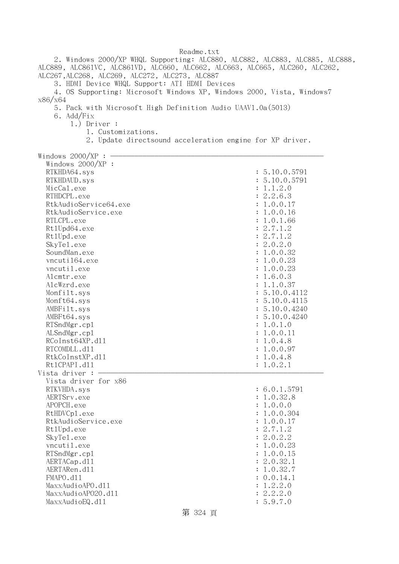Readme.txt 2. Windows 2000/XP WHQL Supporting: ALC880, ALC882, ALC883, ALC885, ALC888, ALC889, ALC861VC, ALC861VD, ALC660, ALC662, ALC663, ALC665, ALC260, ALC262, ALC267,ALC268, ALC269, ALC272, ALC273, ALC887 3. HDMI Device WHQL Support: ATI HDMI Devices 4. OS Supporting: Microsoft Windows XP, Windows 2000, Vista, Windows7 x86/x64 5. Pack with Microsoft High Definition Audio UAAV1.0a(5013) 6. Add/Fix 1.) Driver : 1. Customizations. 2. Update directsound acceleration engine for XP driver. Windows  $2000/XP : -$  Windows 2000/XP : RTKHDA64.sys : 5.10.0.5791 RTKHDAUD.sys : 5.10.0.5791  $\text{MicCal.}$ exe :  $1.1.2.0$ RTHDCPL.exe : 2.2.6.3 RtkAudioService64.exe : 1.0.0.17 RtkAudioService.exe : 1.0.0.16 RTLCPL.exe : 1.0.1.66 Rt1Upd64.exe : 2.7.1.2 Rt1Upd.exe : 2.7.1.2 SkyTel.exe : 2.0.2.0 SoundMan.exe : 1.0.0.32 vncuti164.exe : 1.0.0.23 vncutil.exe : 1.0.0.23 Alcmtr.exe : 1.6.0.3 AlcWzrd.exe : 1.1.0.37 Monfilt.sys : 5.10.0.4112 Monft64.sys : 5.10.0.4115 AMBFilt.sys : 5.10.0.4240 AMBFt64.sys : 5.10.0.4240 RTSndMgr.cp1 : 1.0.1.0 ALSndMgr.cp1 : 1.0.0.11 RCoInst64XP.d11 : 1.0.4.8 RTCOMDLL.d11 : 1.0.0.97 RtkCoInstXP.dll : 1.0.4.8 RtlCPAPI.dll : 1.0.2.1 Vista driver : - Vista driver for x86 RTKVHDA.sys : 6.0.1.5791 AERTSrv.exe : 1.0.32.8 APOPCH.exe : 1.0.0.0 RtHDVCp1.exe : 1.0.0.304 RtkAudioService.exe : 1.0.0.17 RtlUpd.exe : 2.7.1.2 SkyTel.exe : 2.0.2.2 vncutil.exe : 1.0.0.23 RTSndMgr.cp1 : 1.0.0.15 AERTACap.d11 : 2.0.32.1 AERTARen.d11 : 1.0.32.7 FMAPO.dll : 0.0.14.1 MaxxAudioAPO.dl1 : 1.2.2.0 MaxxAudioAPO20.dll : 2.2.2.0 MaxxAudioEQ.dl1 : 5.9.7.0

第 324 頁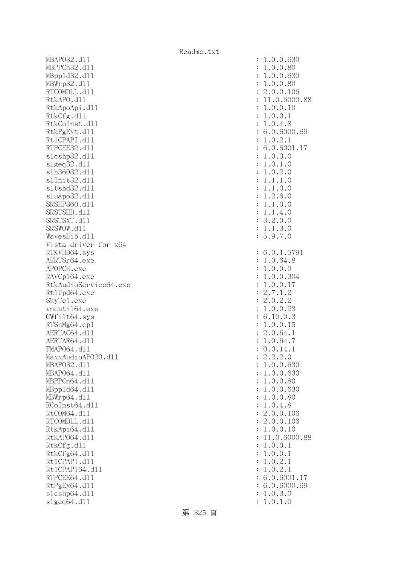MBAPO32.d11 : 1.0.0.630 : 1.0.0.630 MBPPCn32.d11 : 1.0.0.80 MBppld32.dll : 1.0.0.630 MBWrp32.d11 : 1.0.0.80 : 1.0.0.80 RTCOMDLL.d11 : 2.0.0.106 RtkAPO.d11 : 11.0.6000.88 RtkApoApi.dl1 : 1.0.0.10 : 1.0.0.10 RtkCfg.dl1 : 1.0.0.1 RtkCoInst.dl1 : 1.0.4.8 RtkPgExt.d11 : 6.0.6000.69 Rt1CPAPI.d11 : 1.0.2.1 RTPCEE32.d11 : 6.0.6001.17 slcshp32.dll : 1.0.3.0 slgeq32.dll : 1.0.1.0 slh36032.dll : 1.0.2.0 slInit32.dll : 1.1.1.0 sltshd32.dll : 1.1.0.0 sluapo32.dll : 1.2.6.0 SRSHP360.d11 : 1.1.0.0 SRSTSHD.d11 : 1.1.4.0 SRSTSXT.d11 : 3.2.0.0 SRSWOW.d11 : 1.1.3.0 WavesLib.dll : 5.9.7.0 Vista driver for x64 RTKVHD64.sys : 6.0.1.5791 AERTSr64.exe : 1.0.64.8 APOPCH.exe : 1.0.0.0 RAVCp164.exe : 1.0.0.304 RtkAudioService64.exe : 1.0.0.17 Rt1Upd64.exe : 2.7.1.2 SkyTe1.exe : 2.0.2.2 vncuti164.exe : 1.0.0.23 GWfilt64.sys : 6.10.0.3 RTSnMg64.cp1 : 1.0.0.15 AERTAC64.d11 : 2.0.64.1 AERTAR64.d11 : 1.0.64.7 FMAP064.d11 : 0.0.14.1  $\text{MaxAudio}$ APO2O.dll  $\text{maxAudio}$  MBAPO32.dll : 1.0.0.630 MBAP064.d11 : 1.0.0.630 : 1.0.0.630 MBPPCn64.d11 : 1.0.0.80 MBppld64.dll : 1.0.0.630 MBWrp64.dll : 1.0.0.80 RCoInst64.d11 : 1.0.4.8 RtCOM64.d11 : 2.0.0.106 RTCOMDLL.d11 : 2.0.0.106 RtkApi64.dl1 : 1.0.0.10 RtkAP064.d11 : 11.0.6000.88 RtkCfg.dl1 : 1.0.0.1 RtkCfg64.dl1 : 1.0.0.1 Rt1CPAPI.d11 : 1.0.2.1 Rt1CPAPI64.d11 : 1.0.2.1 RTPCEE64.d11 : 6.0.6001.17 RtPgEx64.d11 : 6.0.6000.69 slcshp64.dll : 1.0.3.0 slgeq64.dll : 1.0.1.0

第 325 頁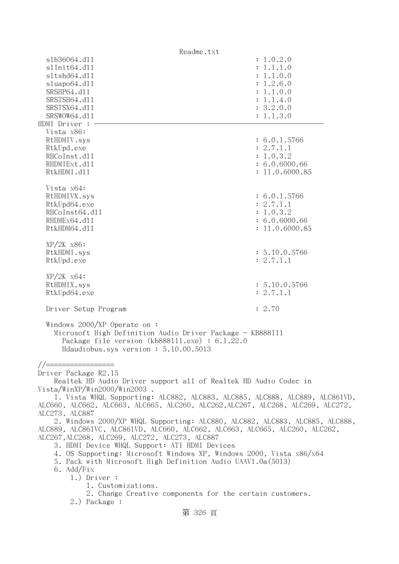| Readme.txt                                                                                                                                                                           |                |
|--------------------------------------------------------------------------------------------------------------------------------------------------------------------------------------|----------------|
| s1h36064.d11                                                                                                                                                                         | : 1.0.2.0      |
| s1Init64.d11                                                                                                                                                                         | : 1.1.1.0      |
| sltshd64.dll                                                                                                                                                                         | : 1.1.0.0      |
| sluapo64.dll                                                                                                                                                                         | : 1.2.6.0      |
| SRSHP64.d11                                                                                                                                                                          | : 1.1.0.0      |
| SRSTSH64.d11                                                                                                                                                                         | : 1.1.4.0      |
| SRSTSX64.d11                                                                                                                                                                         | : 3.2.0.0      |
| SRSWOW64.d11                                                                                                                                                                         | : 1.1.3.0      |
| HDMI Driver :                                                                                                                                                                        |                |
| Vista x86:                                                                                                                                                                           |                |
|                                                                                                                                                                                      | : 6.0.1.5766   |
| RtHDMIV.sys                                                                                                                                                                          |                |
| RtkUpd.exe                                                                                                                                                                           | : 2.7.1.1      |
| RHCoInst.d11                                                                                                                                                                         | : 1.0.3.2      |
| RHDMIExt.d11                                                                                                                                                                         | : 6.0.6000.66  |
| RtkHDMI.d11                                                                                                                                                                          | : 11.0.6000.85 |
|                                                                                                                                                                                      |                |
| Vista x64:                                                                                                                                                                           |                |
| RtHDMIVX.sys                                                                                                                                                                         | : 6.0.1.5766   |
| RtkUpd64.exe                                                                                                                                                                         | : 2.7.1.1      |
| RHCoInst64.d11                                                                                                                                                                       | : 1.0.3.2      |
| RHDMEx64.d11                                                                                                                                                                         | : 6.0.6000.66  |
| RtkHDM64.d11                                                                                                                                                                         | : 11.0.6000.85 |
|                                                                                                                                                                                      |                |
| $XP/2K$ $x86$ :                                                                                                                                                                      |                |
| RtkHDMI.sys                                                                                                                                                                          | : 5.10.0.5766  |
| RtkUpd.exe                                                                                                                                                                           | : 2.7.1.1      |
|                                                                                                                                                                                      |                |
|                                                                                                                                                                                      |                |
| $XP/2K$ $x64$ :                                                                                                                                                                      |                |
| RtHDMIX.sys                                                                                                                                                                          | : 5.10.0.5766  |
| RtkUpd64.exe                                                                                                                                                                         | : 2.7.1.1      |
|                                                                                                                                                                                      |                |
| Driver Setup Program                                                                                                                                                                 | : 2.70         |
| Windows $2000/XP$ Operate on:<br>Microsoft High Definition Audio Driver Package - KB888111<br>Package file version (kb888111.exe) : 6.1.22.0<br>Hdaudiobus.sys version: 5.10.00.5013 |                |
| $//=$ ========                                                                                                                                                                       |                |
| Driver Package R2.15                                                                                                                                                                 |                |
| Realtek HD Audio Driver support all of Realtek HD Audio Codec in                                                                                                                     |                |
| Vista/WinXP/Win2000/Win2003.                                                                                                                                                         |                |
| 1. Vista WHQL Supporting: ALC882, ALC883, ALC885, ALC888, ALC889, ALC861VD,                                                                                                          |                |
| ALC660, ALC662, ALC663, ALC665, ALC260, ALC262, ALC267, ALC268, ALC269, ALC272,                                                                                                      |                |
| ALC273, ALC887                                                                                                                                                                       |                |
|                                                                                                                                                                                      |                |
| 2. Windows 2000/XP WHQL Supporting: ALC880, ALC882, ALC883, ALC885, ALC888,                                                                                                          |                |
| ALC889, ALC861VC, ALC861VD, ALC660, ALC662, ALC663, ALC665, ALC260, ALC262,                                                                                                          |                |
| ALC267, ALC268, ALC269, ALC272, ALC273, ALC887                                                                                                                                       |                |
| 3. HDMI Device WHQL Support: ATI HDMI Devices                                                                                                                                        |                |
| 4. OS Supporting: Microsoft Windows XP, Windows 2000, Vista x86/x64                                                                                                                  |                |
| 5. Pack with Microsoft High Definition Audio UAAV1.0a(5013)                                                                                                                          |                |
| 6. Add/Fix                                                                                                                                                                           |                |
| $1.)$ Driver :                                                                                                                                                                       |                |
| 1. Customizations.                                                                                                                                                                   |                |
| 2. Change Creative components for the certain customers.                                                                                                                             |                |
| 2.) Package :                                                                                                                                                                        |                |
| 第 326 頁                                                                                                                                                                              |                |
|                                                                                                                                                                                      |                |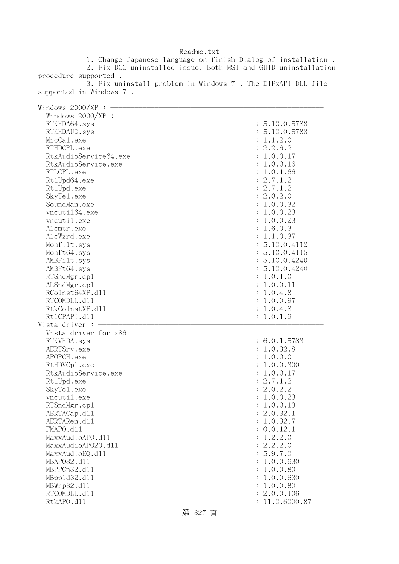1. Change Japanese language on finish Dialog of installation . 2. Fix DCC uninstalled issue. Both MSI and GUID uninstallation procedure supported . 3. Fix uninstall problem in Windows 7 . The DIFxAPI DLL file supported in Windows 7 . Windows  $2000/XP : -$  Windows 2000/XP : RTKHDA64.sys : 5.10.0.5783 RTKHDAUD.sys : 5.10.0.5783 MicCal.exe : 1.1.2.0 RTHDCPL.exe : 2.2.6.2 RtkAudioService64.exe : 1.0.0.17 RtkAudioService.exe : 1.0.0.16 RTLCPL.exe : 1.0.1.66 Rt1Upd64.exe : 2.7.1.2 RtlUpd.exe : 2.7.1.2 SkyTel.exe : 2.0.2.0 SoundMan.exe : 1.0.0.32 vncuti164.exe : 1.0.0.23 vncutil.exe : 1.0.0.23 Alcmtr.exe : 1.6.0.3 AlcWzrd.exe : 1.1.0.37 Monfilt.sys : 5.10.0.4112 Monft64.sys : 5.10.0.4115 AMBFilt.sys : 5.10.0.4240 AMBFt64.sys : 5.10.0.4240 RTSndMgr.cp1 : 1.0.1.0 ALSndMgr.cp1 : 1.0.0.11  $RCoInst64XP. d11$  :  $1.0.4.8$ RTCOMDLL.d11 : 1.0.0.97 RtkCoInstXP.d11 : 1.0.4.8 Rt1CPAPI.d11 : 1.0.1.9 Vista driver  $: -$  Vista driver for x86 RTKVHDA.sys : 6.0.1.5783 AERTSrv.exe : 1.0.32.8 APOPCH.exe : 1.0.0.0 RtHDVCp1.exe : 1.0.0.300 RtkAudioService.exe : 1.0.0.17 RtlUpd.exe : 2.7.1.2 SkyTel.exe : 2.0.2.2 vncutil.exe : 1.0.0.23 RTSndMgr.cpl : 1.0.0.13 AERTACap.d11 : 2.0.32.1 AERTARen.d11 : 1.0.32.7 FMAPO.dll : 0.0.12.1  $\text{MaxAudio}$ APO.dll  $\text{MaxAudio}$  $\text{MaxAudio}$ APO20.dll  $\text{MaxAudio}$ MaxxAudioEQ.dl1 : 5.9.7.0 MBAPO32.dll : 1.0.0.630 MBPPCn32.d11 : 1.0.0.80 MBppld32.dll : 1.0.0.630 MBWrp32.d11 : 1.0.0.80 RTCOMDLL.d11 : 2.0.0.106 RtkAPO.d11 : 11.0.6000.87

## Readme.txt

第 327 頁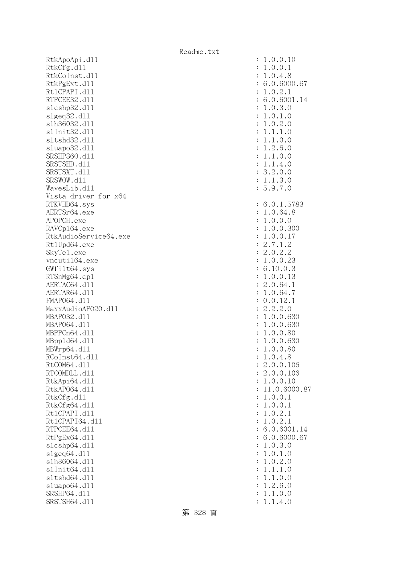RtkApoApi.dll RtkCfg.dll RtkCoInst.dl1 RtkPgExt.dll Rt1CPAPI.d11 RTPCEE32.d11 slcshp32.dl1 s1geq32.dl1 slh36032.dl1 s1Init32.d11 s1tshd32.d11 sluapo32.dll SRSHP360.d11 SRSTSHD.d11 SRSTSXT.d11 SRSWOW.d11 WavesLib.dl1 Vista driver for x64 RTKVHD64.sys AERTSr64.exe APOPCH.exe RAVCp164.exe RtkAudioService64.exe Rt1Upd64.exe SkyTel.exe vncuti164.exe  $GWfilt64.sys$ RTSnMg64.cp1 AERTAC64.d11 AERTAR64.dl1 FMAP064.d11 MaxxAudioAPO20.dll MBAP032.d11 MBAP064.d11 MBPPCn64.d11 MBpp1d64.dl1 MBWrp64.dl1 RCoInst64.dl1 RtCOM64.dl1 RTCOMDLL.d11 RtkApi64.dll RtkAP064.d11 RtkCfg.dll RtkCfg64.dl1 Rt1CPAPI.d11 Rt1CPAPI64.dl1 RTPCEE64.dl1  $RtPgEx64. d11$ slcshp64.dll slgeq64.dll slh36064.dl1 s1Init64.d11 s1tshd64.d11 sluapo64.dll SRSHP64.d11 SRSTSH64.d11

| $\ddot{\cdot}$<br>$\ddot{\cdot}$<br>$\ddot{\cdot}$<br>$\ddot{\cdot}$<br>$\ddot{\cdot}$<br>$\ddot{\cdot}$<br>$\ddot{\cdot}$<br>$\ddot{\cdot}$<br>$\ddot{\cdot}$<br>$\ddot{\cdot}$<br>$\ddot{\cdot}$<br>$\ddot{\cdot}$<br>$\ddot{\cdot}$<br>$\ddot{\cdot}$<br>$\vdots$<br>$\colon$<br>$\colon$ | .0.0.10<br>1<br>.0.0.1<br>1<br>.0.4.8<br>1<br>6.0.6000.67<br>.0.2.1<br>1<br>6.0.6001.14<br>.0.3.0<br>1<br>.0.1.0<br>$\mathbf 1$<br>.0.2.0<br>$\mathbf 1$<br>.1.1.0<br>1<br>.1.0.0<br>1<br>.2.6.0<br>$\mathbf 1$<br>.1.0.0<br>$\mathbf 1$<br>1.1.4.0<br>3.2.0.0<br>1.1.3.0<br>5.9.7.0 |
|----------------------------------------------------------------------------------------------------------------------------------------------------------------------------------------------------------------------------------------------------------------------------------------------|--------------------------------------------------------------------------------------------------------------------------------------------------------------------------------------------------------------------------------------------------------------------------------------|
| $\ddot{\cdot}$                                                                                                                                                                                                                                                                               | 6.0.1.5783                                                                                                                                                                                                                                                                           |
| $\ddot{\cdot}$                                                                                                                                                                                                                                                                               | .0.64.8<br>1                                                                                                                                                                                                                                                                         |
| $\ddot{\cdot}$                                                                                                                                                                                                                                                                               | $\mathbf 1$<br>.0.0.0<br>.0.0.300<br>$\mathbf 1$                                                                                                                                                                                                                                     |
| $\ddot{\cdot}$<br>$\ddot{\cdot}$                                                                                                                                                                                                                                                             | .0.0.17<br>$\mathbf 1$                                                                                                                                                                                                                                                               |
| $\ddot{\cdot}$                                                                                                                                                                                                                                                                               | 2.7.1<br>$\overline{c}$<br>$\ddot{\phantom{a}}$                                                                                                                                                                                                                                      |
| $\ddot{\cdot}$                                                                                                                                                                                                                                                                               | 2.0.2.2                                                                                                                                                                                                                                                                              |
| $\ddot{\cdot}$                                                                                                                                                                                                                                                                               | .0.0.23<br>1                                                                                                                                                                                                                                                                         |
| $\ddot{\cdot}$                                                                                                                                                                                                                                                                               | 6.10.0.3                                                                                                                                                                                                                                                                             |
| $\ddot{\cdot}$                                                                                                                                                                                                                                                                               | .0.0.13<br>1                                                                                                                                                                                                                                                                         |
| $\ddot{\cdot}$                                                                                                                                                                                                                                                                               | 2.0.64.1<br>1.0.64.7                                                                                                                                                                                                                                                                 |
| $\ddot{\cdot}$<br>$\ddot{\cdot}$                                                                                                                                                                                                                                                             | 0.0.12.1                                                                                                                                                                                                                                                                             |
| $\ddot{\cdot}$                                                                                                                                                                                                                                                                               | 2.2.2.0                                                                                                                                                                                                                                                                              |
| $\ddot{\cdot}$                                                                                                                                                                                                                                                                               | 1.0.0.630                                                                                                                                                                                                                                                                            |
| $\vdots$                                                                                                                                                                                                                                                                                     | $\mathbf{1}$<br>.0.0.630                                                                                                                                                                                                                                                             |
| $\vdots$                                                                                                                                                                                                                                                                                     | .0.0.80<br>$\mathbf 1$                                                                                                                                                                                                                                                               |
| $\ddot{\cdot}$                                                                                                                                                                                                                                                                               | .0.0.630<br>$\mathbf 1$                                                                                                                                                                                                                                                              |
| $\colon$                                                                                                                                                                                                                                                                                     | $\mathbf 1$<br>.0.0.80<br>$\overline{1}$<br>.0.4.8                                                                                                                                                                                                                                   |
| $\ddot{\cdot}$<br>$\ddot{\cdot}$                                                                                                                                                                                                                                                             | 2.0.0.106                                                                                                                                                                                                                                                                            |
| $\ddot{\cdot}$                                                                                                                                                                                                                                                                               | .0.0.106<br>$\overline{c}$                                                                                                                                                                                                                                                           |
| $\ddot{\cdot}$                                                                                                                                                                                                                                                                               | .0.0.10<br>$\mathbf 1$                                                                                                                                                                                                                                                               |
| $\ddot{\cdot}$                                                                                                                                                                                                                                                                               | 11.0.6000.87                                                                                                                                                                                                                                                                         |
| $\ddot{\cdot}$                                                                                                                                                                                                                                                                               | .0.0.1<br>1                                                                                                                                                                                                                                                                          |
| $\ddot{\cdot}$                                                                                                                                                                                                                                                                               | .0.0.1<br>1                                                                                                                                                                                                                                                                          |
| $\ddot{\cdot}$                                                                                                                                                                                                                                                                               | .0.2.1<br>1                                                                                                                                                                                                                                                                          |
| $\ddot{\cdot}$                                                                                                                                                                                                                                                                               | 1.0.2.1<br>6.0.6001.14                                                                                                                                                                                                                                                               |
| $\ddot{\cdot}$<br>$\ddot{\cdot}$                                                                                                                                                                                                                                                             | 6.0.6000.67                                                                                                                                                                                                                                                                          |
| $\ddot{\cdot}$                                                                                                                                                                                                                                                                               | .0.3.0<br>1                                                                                                                                                                                                                                                                          |
| $\ddot{\cdot}$                                                                                                                                                                                                                                                                               | .0.1.0<br>1                                                                                                                                                                                                                                                                          |
| $\ddot{\cdot}$                                                                                                                                                                                                                                                                               | .0.2.0<br>1                                                                                                                                                                                                                                                                          |
| $\ddot{\cdot}$                                                                                                                                                                                                                                                                               | .1.1.0<br>$\mathbf 1$                                                                                                                                                                                                                                                                |
| $\ddot{\cdot}$                                                                                                                                                                                                                                                                               | .1.0.0<br>1                                                                                                                                                                                                                                                                          |
| $\ddot{\cdot}$                                                                                                                                                                                                                                                                               | .2.6.0<br>1                                                                                                                                                                                                                                                                          |
| $\ddot{\cdot}$<br>$\ddot{\cdot}$                                                                                                                                                                                                                                                             | .1.0.0<br>1<br>1.1.4.0                                                                                                                                                                                                                                                               |
|                                                                                                                                                                                                                                                                                              |                                                                                                                                                                                                                                                                                      |

第 328 頁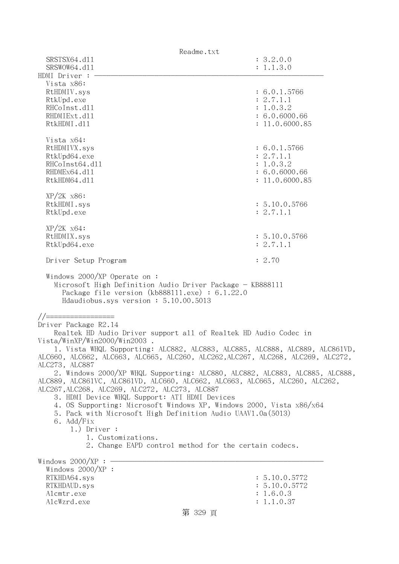| Readme.txt                                                                                                                                                                                    |                                 |  |  |
|-----------------------------------------------------------------------------------------------------------------------------------------------------------------------------------------------|---------------------------------|--|--|
| SRSTSX64.d11                                                                                                                                                                                  | : 3.2.0.0                       |  |  |
| SRSWOW64.d11                                                                                                                                                                                  | : 1.1.3.0                       |  |  |
| HDMI Driver :<br>Vista x86:                                                                                                                                                                   |                                 |  |  |
| RtHDMIV.sys                                                                                                                                                                                   | : 6.0.1.5766                    |  |  |
| RtkUpd.exe                                                                                                                                                                                    | : 2.7.1.1                       |  |  |
| RHCoInst.d11                                                                                                                                                                                  | : 1.0.3.2                       |  |  |
| RHDMIExt.d11<br>RtkHDMI.d11                                                                                                                                                                   | : 6.0.6000.66<br>: 11.0.6000.85 |  |  |
|                                                                                                                                                                                               |                                 |  |  |
| Vista x64:                                                                                                                                                                                    |                                 |  |  |
| RtHDMIVX.sys                                                                                                                                                                                  | : 6.0.1.5766                    |  |  |
| RtkUpd64.exe<br>RHCoInst64.d11                                                                                                                                                                | : 2.7.1.1<br>: 1.0.3.2          |  |  |
| RHDMEx64.d11                                                                                                                                                                                  | : 6.0.6000.66                   |  |  |
| RtkHDM64.d11                                                                                                                                                                                  | : 11.0.6000.85                  |  |  |
|                                                                                                                                                                                               |                                 |  |  |
| $XP/2K$ $x86$ :<br>RtkHDMI.sys                                                                                                                                                                | : 5.10.0.5766                   |  |  |
| RtkUpd.exe                                                                                                                                                                                    | : 2.7.1.1                       |  |  |
|                                                                                                                                                                                               |                                 |  |  |
| $XP/ZK$ $x64$ :                                                                                                                                                                               |                                 |  |  |
| RtHDMIX.sys<br>RtkUpd64.exe                                                                                                                                                                   | : 5.10.0.5766<br>: 2.7.1.1      |  |  |
|                                                                                                                                                                                               |                                 |  |  |
| Driver Setup Program                                                                                                                                                                          | : 2.70                          |  |  |
| Windows $2000/XP$ Operate on:<br>Microsoft High Definition Audio Driver Package - KB888111<br>Package file version $(kb888111.\text{exe}) : 6.1.22.0$<br>Hdaudiobus.sys version: 5.10.00.5013 |                                 |  |  |
| //=================                                                                                                                                                                           |                                 |  |  |
| Driver Package R2.14                                                                                                                                                                          |                                 |  |  |
| Realtek HD Audio Driver support all of Realtek HD Audio Codec in<br>Vista/WinXP/Win2000/Win2003.                                                                                              |                                 |  |  |
| 1. Vista WHQL Supporting: ALC882, ALC883, ALC885, ALC888, ALC889, ALC861VD,                                                                                                                   |                                 |  |  |
| ALC660, ALC662, ALC663, ALC665, ALC260, ALC262, ALC267, ALC268, ALC269, ALC272,                                                                                                               |                                 |  |  |
| ALC273, ALC887<br>2. Windows 2000/XP WHQL Supporting: ALC880, ALC882, ALC883, ALC885, ALC888,                                                                                                 |                                 |  |  |
| ALC889, ALC861VC, ALC861VD, ALC660, ALC662, ALC663, ALC665, ALC260, ALC262,                                                                                                                   |                                 |  |  |
| ALC267, ALC268, ALC269, ALC272, ALC273, ALC887                                                                                                                                                |                                 |  |  |
| 3. HDMI Device WHQL Support: ATI HDMI Devices<br>4. OS Supporting: Microsoft Windows XP, Windows 2000, Vista x86/x64                                                                          |                                 |  |  |
| 5. Pack with Microsoft High Definition Audio UAAV1.0a(5013)                                                                                                                                   |                                 |  |  |
| 6. Add/Fix                                                                                                                                                                                    |                                 |  |  |
| $1.)$ Driver :                                                                                                                                                                                |                                 |  |  |
| 1. Customizations.<br>2. Change EAPD control method for the certain codecs.                                                                                                                   |                                 |  |  |
|                                                                                                                                                                                               |                                 |  |  |
| Windows 2000/XP :                                                                                                                                                                             |                                 |  |  |
| Windows 2000/XP :<br>RTKHDA64.sys                                                                                                                                                             | : 5.10.0.5772                   |  |  |
| RTKHDAUD.sys                                                                                                                                                                                  | : 5.10.0.5772                   |  |  |
| Alcmtr.exe                                                                                                                                                                                    | : 1.6.0.3                       |  |  |
| AlcWzrd.exe                                                                                                                                                                                   | : 1.1.0.37                      |  |  |
| 第 329 頁                                                                                                                                                                                       |                                 |  |  |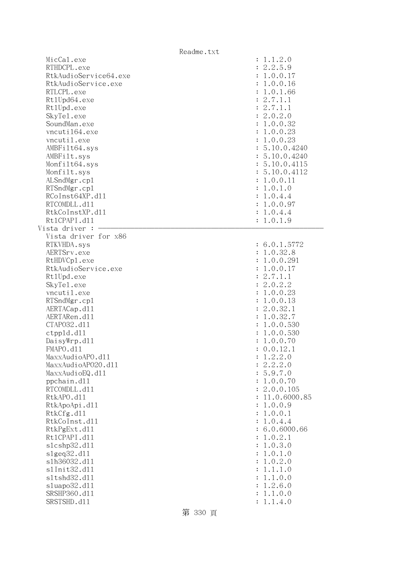|                                                                                                                                                                                                                                                                                                                                                                                                                                  | Readme.txt |                                                                                                                                                                                                                                                                                                                                                                                                                                                                                                                |
|----------------------------------------------------------------------------------------------------------------------------------------------------------------------------------------------------------------------------------------------------------------------------------------------------------------------------------------------------------------------------------------------------------------------------------|------------|----------------------------------------------------------------------------------------------------------------------------------------------------------------------------------------------------------------------------------------------------------------------------------------------------------------------------------------------------------------------------------------------------------------------------------------------------------------------------------------------------------------|
| MicCal.exe<br>RTHDCPL.exe<br>RtkAudioService64.exe<br>RtkAudioService.exe<br>RTLCPL.exe<br>Rt1Upd64.exe<br>Rt1Upd.exe<br>SkyTe1.exe<br>SoundMan.exe<br>vncuti164.exe<br>vncutil.exe<br>AMBFilt64.sys<br>AMBFilt.sys<br>Monfilt64.sys<br>Monfilt.sys<br>ALSndMgr.cp1<br>RTSndMgr.cp1<br>RCoInst64XP.d11<br>RTCOMDLL.d11                                                                                                           |            | : 1.1.2.0<br>: 2.2.5.9<br>: 1.0.0.17<br>: 1.0.0.16<br>: 1.0.1.66<br>: 2.7.1.1<br>: 2.7.1.1<br>: 2.0.2.0<br>: 1.0.0.32<br>: 1.0.0.23<br>: 1.0.0.23<br>: 5.10.0.4240<br>: 5.10.0.4240<br>: 5.10.0.4115<br>: 5.10.0.4112<br>: 1.0.0.11<br>: 1.0.1.0<br>: 1.0.4.4<br>: 1.0.0.97                                                                                                                                                                                                                                    |
| RtkCoInstXP.d11                                                                                                                                                                                                                                                                                                                                                                                                                  |            | : 1.0.4.4                                                                                                                                                                                                                                                                                                                                                                                                                                                                                                      |
| Rt1CPAPI.d11                                                                                                                                                                                                                                                                                                                                                                                                                     |            | : 1.0.1.9                                                                                                                                                                                                                                                                                                                                                                                                                                                                                                      |
| Vista driver :<br>Vista driver for x86<br>RTKVHDA.sys                                                                                                                                                                                                                                                                                                                                                                            |            | : 6.0.1.5772                                                                                                                                                                                                                                                                                                                                                                                                                                                                                                   |
| AERTSrv.exe<br>RtHDVCp1.exe<br>RtkAudioService.exe<br>Rt1Upd.exe<br>SkyTe1.exe<br>vncutil.exe<br>RTSndMgr.cp1<br>AERTACap.d11<br>AERTARen.d11<br>CTAP032.d11<br>ctpp1d.d11<br>DaisyWrp.dll<br>FMAPO.d11<br>MaxxAudioAPO.dll<br>MaxxAudioAP020.dll<br>MaxxAudioEQ.d11<br>ppchain.dll<br>RTCOMDLL.d11<br>RtkAPO.d11<br>RtkApoApi.d11<br>RtkCfg.d11<br>RtkCoInst.d11<br>RtkPgExt.d11<br>Rt1CPAPI.d11<br>s1cshp32.d11<br>slgeq32.d11 |            | : 1.0.32.8<br>: 1.0.0.291<br>: 1.0.0.17<br>: 2.7.1.1<br>: 2.0.2.2<br>: 1.0.0.23<br>: 1.0.0.13<br>: 2.0.32.1<br>: 1.0.32.7<br>: 1.0.0.530<br>: 1.0.0.530<br>1.0.0.70<br>: 0.0.12.1<br>1.2.2.0<br>2.2.2.0<br>$\ddot{\cdot}$<br>5.9.7.0<br>$\ddot{\cdot}$<br>1.0.0.70<br>$\ddot{\cdot}$<br>2.0.0.105<br>11.0.6000.85<br>1.0.0.9<br>$\ddot{\cdot}$<br>1.0.0.1<br>$\ddot{\cdot}$<br>1.0.4.4<br>$\ddot{\cdot}$<br>6.0.6000.66<br>1.0.2.1<br>$\ddot{\cdot}$<br>1.0.3.0<br>$\ddot{\cdot}$<br>1.0.1.0<br>$\ddot{\cdot}$ |
| s1h36032.d11<br>s1Init32.d11<br>s1tshd32.d11<br>s1uapo32.d11<br>SRSHP360.d11<br>SRSTSHD.d11                                                                                                                                                                                                                                                                                                                                      |            | 1.0.2.0<br>$\ddot{\cdot}$<br>1.1.1.0<br>1.1.0.0<br>1.2.6.0<br>$\ddot{\cdot}$<br>1.1.0.0<br>:<br>1.1.4.0                                                                                                                                                                                                                                                                                                                                                                                                        |
|                                                                                                                                                                                                                                                                                                                                                                                                                                  |            |                                                                                                                                                                                                                                                                                                                                                                                                                                                                                                                |

第 330 頁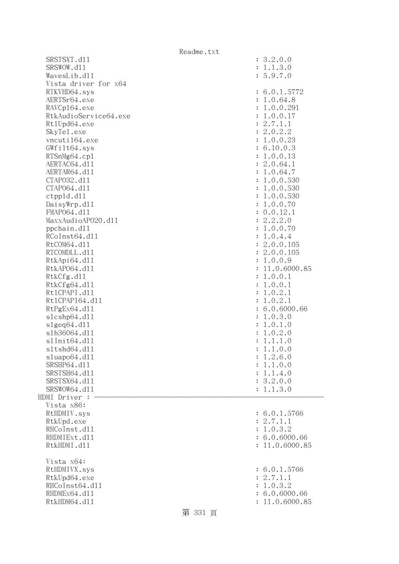|                       | Readme.txt                |
|-----------------------|---------------------------|
| SRSTSXT.d11           | : 3.2.0.0                 |
| SRSWOW.d11            | : 1.1.3.0                 |
| WavesLib.d11          | : 5.9.7.0                 |
| Vista driver for x64  |                           |
| RTKVHD64.sys          | : 6.0.1.5772              |
| AERTSr64.exe          | : 1.0.64.8                |
| RAVCp164.exe          | : 1.0.0.291               |
| RtkAudioService64.exe |                           |
|                       | : 1.0.0.17                |
| Rt1Upd64.exe          | : 2.7.1.1                 |
| SkyTe1.exe            | : 2.0.2.2                 |
| vncuti164.exe         | : 1.0.0.23                |
| GWfilt64.sys          | : 6.10.0.3                |
| RTSnMg64.cp1          | : 1.0.0.13                |
| AERTAC64.d11          | : 2.0.64.1                |
| AERTAR64.d11          | : 1.0.64.7                |
| CTAP032.d11           | : 1.0.0.530               |
| CTAP064.d11           | : 1.0.0.530               |
| ctpp1d.d11            | : 1.0.0.530               |
| DaisyWrp.dl1          | : 1.0.0.70                |
| FMAP064.d11           | : 0.0.12.1                |
| MaxxAudioAP020.dll    |                           |
|                       | : 2.2.2.0                 |
| ppchain.dll           | : 1.0.0.70                |
| RCoInst64.d11         | : 1.0.4.4                 |
| RtCOM64.d11           | : 2.0.0.105               |
| RTCOMDLL.d11          | : 2.0.0.105               |
| RtkApi64.dl1          | : 1.0.0.9                 |
| RtkAP064.d11          | : 11.0.6000.85            |
| RtkCfg.d11            | : 1.0.0.1                 |
| RtkCfg64.d11          | : 1.0.0.1                 |
| Rt1CPAPI.d11          | : 1.0.2.1                 |
| Rt1CPAPI64.d11        | : 1.0.2.1                 |
| RtPgEx64.d11          | : 6.0.6000.66             |
| s1cshp64.d11          | : 1.0.3.0                 |
| s1geq64. d11          | : 1.0.1.0                 |
| s1h36064.d11          | 1.0.2.0<br>$\ddot{\cdot}$ |
| s1Init64.d11          |                           |
|                       | 1.1.1.0<br>$\ddot{\cdot}$ |
| s1tshd64.d11          | 1.1.0.0                   |
| sluapo64.d11          | 1.2.6.0                   |
| SRSHP64.d11           | 1.1.0.0<br>$\ddot{\cdot}$ |
| SRSTSH64.d11          | 1.1.4.0<br>$\ddot{\cdot}$ |
| SRSTSX64.d11          | : 3.2.0.0                 |
| SRSWOW64.d11          | 1.1.3.0                   |
| HDMI Driver :         |                           |
| Vista x86:            |                           |
| RtHDMIV.sys           | : 6.0.1.5766              |
| RtkUpd.exe            | : 2.7.1.1                 |
| RHCoInst.d11          | : 1.0.3.2                 |
| RHDMIExt.d11          | : 6.0.6000.66             |
| RtkHDMI.d11           | 11.0.6000.85              |
|                       |                           |
| Vista x64:            |                           |
| RtHDMIVX.sys          | : 6.0.1.5766              |
| RtkUpd64.exe          | : 2.7.1.1                 |
| RHCoInst64.d11        | 1.0.3.2<br>$\ddot{\cdot}$ |
| RHDMEx64.d11          | 6.0.6000.66               |
| RtkHDM64.d11          | 11.0.6000.85              |
|                       |                           |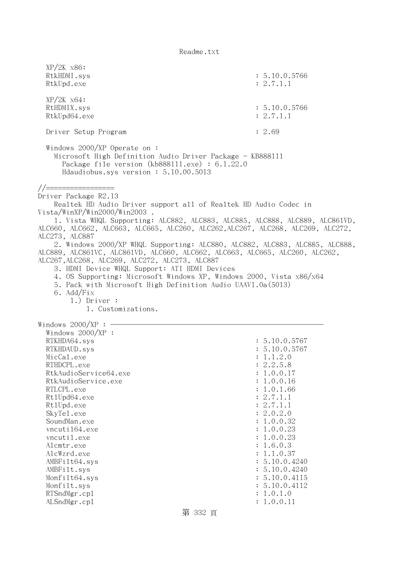| $XP/2K$ $x86$ :<br>RtkHDMI.sys<br>RtkUpd.exe                                                                                                                                                                                                                                                                                                                                                 | : 5.10.0.5766<br>: 2.7.1.1                                                  |
|----------------------------------------------------------------------------------------------------------------------------------------------------------------------------------------------------------------------------------------------------------------------------------------------------------------------------------------------------------------------------------------------|-----------------------------------------------------------------------------|
| $XP/ZK$ $x64$ :<br>RtHDMIX.sys<br>RtkUpd64.exe                                                                                                                                                                                                                                                                                                                                               | : 5.10.0.5766<br>: 2.7.1.1                                                  |
| Driver Setup Program                                                                                                                                                                                                                                                                                                                                                                         | : 2.69                                                                      |
| Windows $2000/XP$ Operate on:<br>Microsoft High Definition Audio Driver Package - KB888111<br>Package file version $(kb888111.\text{exe}) : 6.1.22.0$<br>Hdaudiobus.sys version: 5.10.00.5013                                                                                                                                                                                                |                                                                             |
| //===============<br>Driver Package R2.13<br>Realtek HD Audio Driver support all of Realtek HD Audio Codec in<br>Vista/WinXP/Win2000/Win2003.<br>ALC660, ALC662, ALC663, ALC665, ALC260, ALC262, ALC267, ALC268, ALC269, ALC272,                                                                                                                                                             | 1. Vista WHQL Supporting: ALC882, ALC883, ALC885, ALC888, ALC889, ALC861VD, |
| ALC273, ALC887<br>ALC889, ALC861VC, ALC861VD, ALC660, ALC662, ALC663, ALC665, ALC260, ALC262,<br>ALC267, ALC268, ALC269, ALC272, ALC273, ALC887<br>3. HDMI Device WHQL Support: ATI HDMI Devices<br>4. OS Supporting: Microsoft Windows XP, Windows 2000, Vista x86/x64<br>5. Pack with Microsoft High Definition Audio UAAV1.0a(5013)<br>6. Add/Fix<br>$1.)$ Driver :<br>1. Customizations. | 2. Windows 2000/XP WHQL Supporting: ALC880, ALC882, ALC883, ALC885, ALC888, |
| Windows $2000/XP:$ -                                                                                                                                                                                                                                                                                                                                                                         |                                                                             |
| Windows $2000/XP$ :                                                                                                                                                                                                                                                                                                                                                                          |                                                                             |
| RTKHDA64.sys                                                                                                                                                                                                                                                                                                                                                                                 | : 5.10.0.5767                                                               |
| RTKHDAUD.sys                                                                                                                                                                                                                                                                                                                                                                                 | : 5.10.0.5767                                                               |
| MicCal.exe                                                                                                                                                                                                                                                                                                                                                                                   | : 1.1.2.0                                                                   |
| RTHDCPL.exe                                                                                                                                                                                                                                                                                                                                                                                  | : 2.2.5.8                                                                   |
| RtkAudioService64.exe                                                                                                                                                                                                                                                                                                                                                                        | : 1.0.0.17                                                                  |
| RtkAudioService.exe                                                                                                                                                                                                                                                                                                                                                                          | : 1.0.0.16                                                                  |
| RTLCPL.exe                                                                                                                                                                                                                                                                                                                                                                                   | : 1.0.1.66<br>: 2.7.1.1                                                     |
| Rt1Upd64.exe<br>Rt1Upd.exe                                                                                                                                                                                                                                                                                                                                                                   | : 2.7.1.1                                                                   |
| SkyTe1.exe                                                                                                                                                                                                                                                                                                                                                                                   | : 2.0.2.0                                                                   |
| SoundMan.exe                                                                                                                                                                                                                                                                                                                                                                                 | : 1.0.0.32                                                                  |
| vncuti164.exe                                                                                                                                                                                                                                                                                                                                                                                | : 1.0.0.23                                                                  |
| vncutil.exe                                                                                                                                                                                                                                                                                                                                                                                  | : 1.0.0.23                                                                  |
| Alcmtr.exe                                                                                                                                                                                                                                                                                                                                                                                   | : 1.6.0.3                                                                   |
| AlcWzrd.exe                                                                                                                                                                                                                                                                                                                                                                                  | : 1.1.0.37                                                                  |
| AMBFilt64.sys                                                                                                                                                                                                                                                                                                                                                                                | : 5.10.0.4240                                                               |
| AMBFilt.sys                                                                                                                                                                                                                                                                                                                                                                                  | : 5.10.0.4240                                                               |
| Monfilt64.sys                                                                                                                                                                                                                                                                                                                                                                                | : 5.10.0.4115                                                               |
| Monfilt.sys                                                                                                                                                                                                                                                                                                                                                                                  | : 5.10.0.4112                                                               |
| RTSndMgr.cp1<br>ALSndMgr.cp1                                                                                                                                                                                                                                                                                                                                                                 | : 1.0.1.0<br>: 1.0.0.11                                                     |
|                                                                                                                                                                                                                                                                                                                                                                                              |                                                                             |
| 第 332 頁                                                                                                                                                                                                                                                                                                                                                                                      |                                                                             |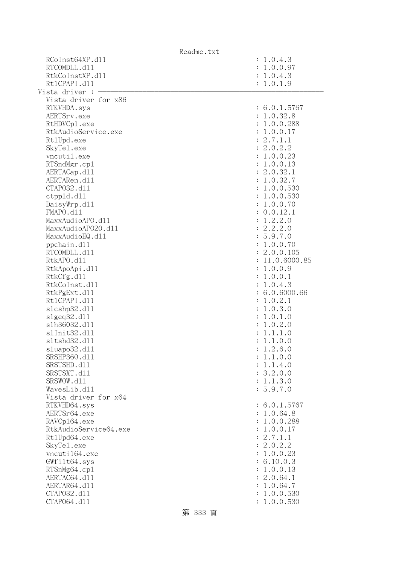|                       | Readme.txt                |
|-----------------------|---------------------------|
| RCoInst64XP.d11       | : 1.0.4.3                 |
| RTCOMDLL.d11          | : 1.0.0.97                |
| RtkCoInstXP.d11       | : 1.0.4.3                 |
| Rt1CPAPI.d11          | : 1.0.1.9                 |
| Vista driver :        |                           |
| Vista driver for x86  |                           |
| RTKVHDA.sys           | : 6.0.1.5767              |
| AERTSrv.exe           | : 1.0.32.8                |
| RtHDVCp1.exe          | : 1.0.0.288               |
| RtkAudioService.exe   | : 1.0.0.17                |
| Rt1Upd.exe            | : 2.7.1.1                 |
| SkyTe1.exe            | : 2.0.2.2                 |
| vncutil.exe           | : 1.0.0.23                |
| RTSndMgr.cp1          | : 1.0.0.13                |
| AERTACap.d11          | : 2.0.32.1                |
| AERTARen.d11          | : 1.0.32.7                |
| CTAP032.d11           | : 1.0.0.530               |
| ctpp1d.d11            | : 1.0.0.530               |
| DaisyWrp.dl1          | : 1.0.0.70                |
| FMAPO.d11             | : 0.0.12.1                |
| MaxxAudioAPO.dll      | 1.2.2.0<br>$\ddot{\cdot}$ |
| MaxxAudioAP020.dll    | : 2.2.2.0                 |
| MaxxAudioEQ.d11       | : 5.9.7.0                 |
| ppchain.dll           | : 1.0.0.70                |
| RTCOMDLL.d11          | : 2.0.0.105               |
| RtkAPO.d11            | : 11.0.6000.85            |
| RtkApoApi.d11         | : 1.0.0.9                 |
| RtkCfg.d11            | : 1.0.0.1                 |
| RtkCoInst.d11         | : 1.0.4.3                 |
| RtkPgExt.d11          | : 6.0.6000.66             |
| Rt1CPAPI.d11          | : 1.0.2.1                 |
| s1cshp32.d11          | : 1.0.3.0                 |
| slgeq32. d11          | : 1.0.1.0                 |
| s1h36032.d11          | : 1.0.2.0                 |
| s1Init32.d11          | 1.1.1.0<br>$\ddot{\cdot}$ |
| s1tshd32.d11          | 1.1.0.0<br>$\ddot{\cdot}$ |
| sluapo32.dll          | : 1.2.6.0                 |
| SRSHP360.d11          | : 1.1.0.0                 |
| SRSTSHD.d11           | : 1.1.4.0                 |
| SRSTSXT.d11           | : 3.2.0.0                 |
| SRSWOW.d11            | : 1.1.3.0                 |
| WavesLib.dll          | : 5.9.7.0                 |
| Vista driver for x64  |                           |
| RTKVHD64.sys          | : 6.0.1.5767              |
| AERTSr64.exe          | : 1.0.64.8                |
| RAVCp164.exe          | : 1.0.0.288               |
| RtkAudioService64.exe | : 1.0.0.17                |
| Rt1Upd64.exe          | : 2.7.1.1                 |
| SkyTe1.exe            | : 2.0.2.2                 |
| vncuti164.exe         | : 1.0.0.23                |
| GWfilt64.sys          | : 6.10.0.3                |
| RTSnMg64.cp1          | : 1.0.0.13                |
| AERTAC64.d11          | : 2.0.64.1                |
| AERTAR64.d11          | : 1.0.64.7                |
| CTAP032.d11           | 1.0.0.530                 |
| CTAP064.d11           | 1.0.0.530                 |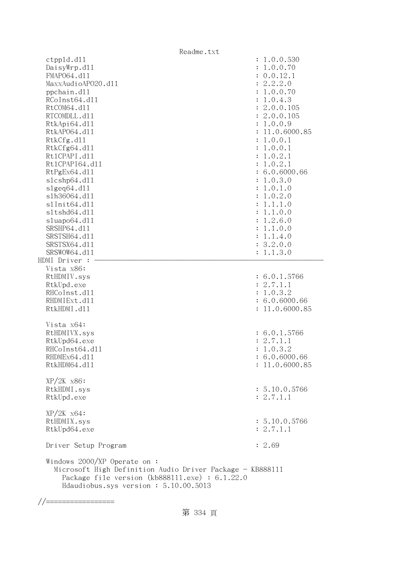|                                                                                                                                                                                               | Readme.txt                |
|-----------------------------------------------------------------------------------------------------------------------------------------------------------------------------------------------|---------------------------|
| ctpp1d.d11                                                                                                                                                                                    | : 1.0.0.530               |
| DaisyWrp.dl1                                                                                                                                                                                  | 1.0.0.70                  |
| FMAP064.d11                                                                                                                                                                                   | : 0.0.12.1                |
| MaxxAudioAP020.dll                                                                                                                                                                            | 2.2.2.0<br>$\ddot{\cdot}$ |
| ppchain.dll                                                                                                                                                                                   | 1.0.0.70                  |
| RCoInst64.d11                                                                                                                                                                                 | 1.0.4.3                   |
| RtCOM64.d11                                                                                                                                                                                   | 2.0.0.105                 |
| RTCOMDLL.d11                                                                                                                                                                                  | : 2.0.0.105               |
| RtkApi64.dl1                                                                                                                                                                                  | 1.0.0.9<br>÷              |
| RtkAP064.d11                                                                                                                                                                                  | 11.0.6000.85              |
| RtkCfg.d11                                                                                                                                                                                    | 1.0.0.1                   |
| RtkCfg64.d11                                                                                                                                                                                  | 1.0.0.1<br>÷              |
| Rt1CPAPI.d11                                                                                                                                                                                  | 1.0.2.1<br>$\ddot{\cdot}$ |
| Rt1CPAPI64.d11                                                                                                                                                                                | 1.0.2.1<br>$\ddot{\cdot}$ |
| RtPgEx64.d11                                                                                                                                                                                  | : 6.0.6000.66             |
|                                                                                                                                                                                               |                           |
| slcshp64.dll                                                                                                                                                                                  | 1.0.3.0<br>÷              |
| $slgeq64$ .dll                                                                                                                                                                                | 1.0.1.0<br>$\ddot{\cdot}$ |
| s1h36064.d11                                                                                                                                                                                  | 1.0.2.0<br>$\ddot{\cdot}$ |
| s1Init64.d11                                                                                                                                                                                  | 1.1.1.0                   |
| s1tshd64.d11                                                                                                                                                                                  | 1.1.0.0                   |
| sluapo64.d11                                                                                                                                                                                  | 1.2.6.0<br>:              |
| SRSHP64.d11                                                                                                                                                                                   | 1.1.0.0                   |
| SRSTSH64.d11                                                                                                                                                                                  | 1.1.4.0<br>$\ddot{\cdot}$ |
| SRSTSX64.d11                                                                                                                                                                                  | 3.2.0.0<br>$\ddot{\cdot}$ |
| SRSWOW64.d11                                                                                                                                                                                  | : 1.1.3.0                 |
| HDMI Driver :                                                                                                                                                                                 |                           |
| Vista x86:                                                                                                                                                                                    |                           |
| RtHDMIV.sys                                                                                                                                                                                   | : 6.0.1.5766              |
| RtkUpd.exe                                                                                                                                                                                    | : 2.7.1.1                 |
| RHCoInst.d11                                                                                                                                                                                  | : 1.0.3.2                 |
| RHDMIExt.d11                                                                                                                                                                                  | : 6.0.6000.66             |
| RtkHDMI.d11                                                                                                                                                                                   | : 11.0.6000.85            |
|                                                                                                                                                                                               |                           |
| Vista x64:                                                                                                                                                                                    |                           |
| RtHDMIVX.sys                                                                                                                                                                                  | : 6.0.1.5766              |
| RtkUpd64.exe                                                                                                                                                                                  | : 2.7.1.1                 |
| RHCoInst64.d11                                                                                                                                                                                | : 1.0.3.2                 |
| RHDMEx64.d11                                                                                                                                                                                  | : 6.0.6000.66             |
| RtkHDM64.d11                                                                                                                                                                                  | : 11.0.6000.85            |
|                                                                                                                                                                                               |                           |
| $XP/2K$ $x86$ :                                                                                                                                                                               |                           |
| RtkHDMI.sys                                                                                                                                                                                   | : 5.10.0.5766             |
| RtkUpd.exe                                                                                                                                                                                    | : 2.7.1.1                 |
|                                                                                                                                                                                               |                           |
| $XP/ZK$ $x64$ :                                                                                                                                                                               |                           |
| RtHDMIX.sys                                                                                                                                                                                   | : 5.10.0.5766             |
| RtkUpd64.exe                                                                                                                                                                                  | : 2.7.1.1                 |
| Driver Setup Program                                                                                                                                                                          | : 2.69                    |
|                                                                                                                                                                                               |                           |
| Windows $2000/XP$ Operate on:<br>Microsoft High Definition Audio Driver Package - KB888111<br>Package file version $(kb888111.\text{exe}) : 6.1.22.0$<br>Hdaudiobus.sys version: 5.10.00.5013 |                           |

//=================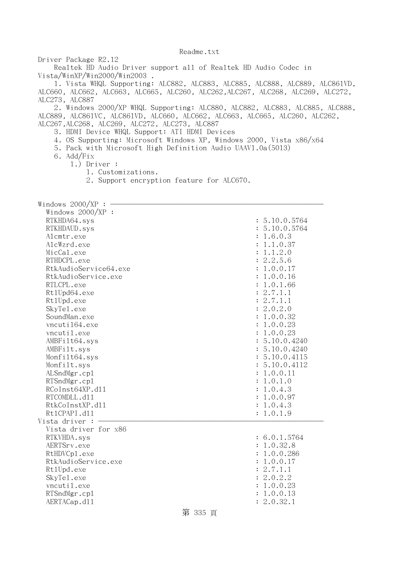Driver Package R2.12

 Realtek HD Audio Driver support all of Realtek HD Audio Codec in Vista/WinXP/Win2000/Win2003 .

 1. Vista WHQL Supporting: ALC882, ALC883, ALC885, ALC888, ALC889, ALC861VD, ALC660, ALC662, ALC663, ALC665, ALC260, ALC262,ALC267, ALC268, ALC269, ALC272, ALC273, ALC887

 2. Windows 2000/XP WHQL Supporting: ALC880, ALC882, ALC883, ALC885, ALC888, ALC889, ALC861VC, ALC861VD, ALC660, ALC662, ALC663, ALC665, ALC260, ALC262, ALC267,ALC268, ALC269, ALC272, ALC273, ALC887

- 3. HDMI Device WHQL Support: ATI HDMI Devices
- 4. OS Supporting: Microsoft Windows XP, Windows 2000, Vista x86/x64
- 5. Pack with Microsoft High Definition Audio UAAV1.0a(5013)
- 6. Add/Fix
	- 1.) Driver :
		- 1. Customizations.
		- 2. Support encryption feature for ALC670.

Windows  $2000/XP : -$  Windows 2000/XP : RTKHDA64.sys : 5.10.0.5764 RTKHDAUD.sys : 5.10.0.5764 Alcmtr.exe : 1.6.0.3 AlcWzrd.exe : 1.1.0.37  $\text{MicCal.}$ exe : 1.1.2.0 RTHDCPL.exe : 2.2.5.6 RtkAudioService64.exe : 1.0.0.17 RtkAudioService.exe : 1.0.0.16 RTLCPL.exe : 1.0.1.66  $Rt1Upd64$ .exe : 2.7.1.1 RtlUpd.exe : 2.7.1.1 SkyTel.exe : 2.0.2.0 SoundMan.exe : 1.0.0.32 vncuti164.exe : 1.0.0.23 vncutil.exe : 1.0.0.23 AMBFilt64.sys : 5.10.0.4240 AMBFilt.sys : 5.10.0.4240 Monfilt64.sys : 5.10.0.4115 Monfilt.sys : 5.10.0.4112 ALSndMgr.cp1 : 1.0.0.11 : 1.0.0.11 : 1.0.0.11 : 1.0.0.11 : 1.0.0.11 : 1.0.0.11 : 1.0.0.11 : 1.0.0.11 : 1.0.0.11 : 1.0.0.11 : 1.0.0.11 : 1.0.0.11 : 1.0.0.11 : 1.0.0.11 : 1.0.0.11 : 1.0.0.11 : 1.0.0.11 : 1.0.0.11 : 1.0.0.11 RTSndMgr.cp1 : 1.0.1.0  $RColnst64XP. d11$  :  $1.0.4.3$ RTCOMDLL.d11 : 1.0.0.97 RtkCoInstXP.d11 : 1.0.4.3 Rt1CPAPI.d11 : 1.0.1.9 Vista driver : - Vista driver for x86 RTKVHDA.sys : 6.0.1.5764 AERTSrv.exe : 1.0.32.8 RtHDVCp1.exe : 1.0.0.286 RtkAudioService.exe : 1.0.0.17 Rt1Upd.exe : 2.7.1.1 SkyTel.exe : 2.0.2.2 vncutil.exe : 1.0.0.23 RTSndMgr.cp1 : 1.0.0.13 AERTACap.d11 : 2.0.32.1

## 第 335 頁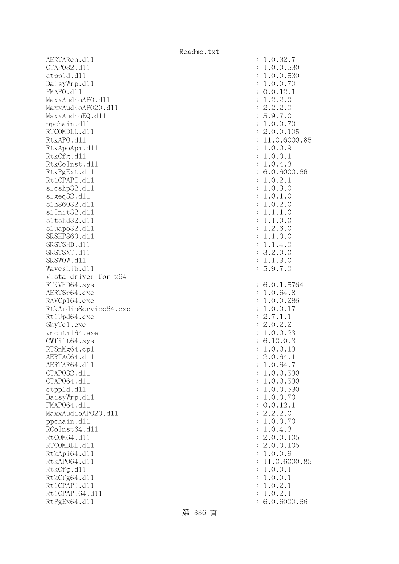AERTARen.d11 : 1.0.32.7 CTAPO32.dll : 1.0.0.530 ctppld.dll : 1.0.0.530 DaisyWrp.dl1 : 1.0.0.70 : 1.0.0.70 FMAPO.dll : 0.0.12.1  $\text{MaxAudio}$ APO.dll  $\qquad \qquad \text{MaxAudio}$ APO.dll  $\qquad \qquad \text{MaxAudio}$ MaxxAudioAP020.dll : 2.2.2.0 MaxxAudioEQ.dl1 : 5.9.7.0 ppchain.dll : 1.0.0.70 : 1.0.0.70 : 1.0.0.70 : 1.0.0.70 : 1.0.0.70 : 1.0.0.70 : 1.0.0.70 : 1.0.0.70 : 1.0.0.70 : 1.0.0.70 : 1.0.0.70 : 1.0.0.70 : 1.0.0.70 : 1.0.0.70 : 1.0.0.70 : 1.0.0.70 : 1.0.0.70 : 1.0.0.70 : 1.0.0.70 : RTCOMDLL.d11 : 2.0.0.105 RtkAPO.d11 : 11.0.6000.85 RtkApoApi.dll : 1.0.0.9 RtkCfg.dl1 : 1.0.0.1 RtkCoInst.dl1 : 1.0.4.3 RtkPgExt.d11 : 6.0.6000.66 Rt1CPAPI.d11 : 1.0.2.1 slcshp32.dll : 1.0.3.0 slgeq32.dll : 1.0.1.0 slh36032.dll : 1.0.2.0 slInit32.dll : 1.1.1.0 sltshd32.dll : 1.1.0.0 sluapo32.dll : 1.2.6.0 SRSHP360.d11 : 1.1.0.0 SRSTSHD.d11 : 1.1.4.0 SRSTSXT.d11 : 3.2.0.0 SRSWOW.d11 : 1.1.3.0 WavesLib.dll : 5.9.7.0 Vista driver for x64 RTKVHD64.sys : 6.0.1.5764 AERTSr64.exe : 1.0.64.8 RAVCp164.exe : 1.0.0.286 RtkAudioService64.exe : 1.0.0.17 Rt1Upd64.exe : 2.7.1.1 SkyTel.exe : 2.0.2.2 vncuti164.exe : 1.0.0.23 GWfilt64.sys : 6.10.0.3 RTSnMg64.cp1 : 1.0.0.13 AERTAC64.d11 : 2.0.64.1 AERTAR64.d11 : 1.0.64.7 CTAPO32.dll : 1.0.0.530 CTAPO64.dll : 1.0.0.530 ctppld.dll : 1.0.0.530 DaisyWrp.dl1 : 1.0.0.70 : 1.0.0.70 FMAP064.d11 : 0.0.12.1 MaxxAudioAPO20.dll : 2.2.2.0 ppchain.dll : 1.0.0.70 RCoInst64.d11 : 1.0.4.3 RtCOM64.d11 : 2.0.0.105 RTCOMDLL.d11 : 2.0.0.105 RtkApi64.dll : 1.0.0.9 RtkAP064.dl1 : 11.0.6000.85 RtkCfg.dl1 : 1.0.0.1 RtkCfg64.dl1 : 1.0.0.1 Rt1CPAPI.d11 : 1.0.2.1 Rt1CPAPI64.d11 : 1.0.2.1 RtPgEx64.d11 : 6.0.6000.66

第 336 頁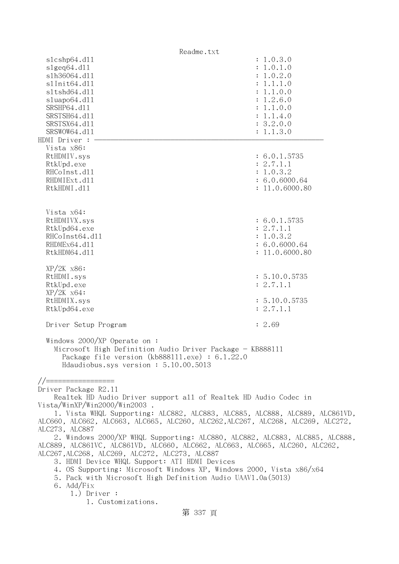| Readme.txt                                                                                                                                                                                                                                                                                                                                                                                                                                                                                                                                                                                                                                                                                                                                                                             |                                                                                                                                |  |
|----------------------------------------------------------------------------------------------------------------------------------------------------------------------------------------------------------------------------------------------------------------------------------------------------------------------------------------------------------------------------------------------------------------------------------------------------------------------------------------------------------------------------------------------------------------------------------------------------------------------------------------------------------------------------------------------------------------------------------------------------------------------------------------|--------------------------------------------------------------------------------------------------------------------------------|--|
| s1cshp64.d11<br>slgeq64.d11<br>s1h36064.d11<br>s1Init64.d11<br>s1tshd64.d11<br>sluapo64.dll<br>SRSHP64.d11<br>SRSTSH64.d11<br>SRSTSX64.d11<br>SRSWOW64.d11<br>HDMI Driver :                                                                                                                                                                                                                                                                                                                                                                                                                                                                                                                                                                                                            | : 1.0.3.0<br>: 1.0.1.0<br>: 1.0.2.0<br>: 1.1.1.0<br>: 1.1.0.0<br>: 1.2.6.0<br>: 1.1.0.0<br>: 1.1.4.0<br>: 3.2.0.0<br>: 1.1.3.0 |  |
| Vista x86:<br>RtHDMIV.sys<br>RtkUpd.exe<br>RHCoInst.d11<br>RHDMIExt.d11<br>RtkHDMI.d11                                                                                                                                                                                                                                                                                                                                                                                                                                                                                                                                                                                                                                                                                                 | : 6.0.1.5735<br>: 2.7.1.1<br>: 1.0.3.2<br>: 6.0.6000.64<br>: 11.0.6000.80                                                      |  |
| Vista x64:<br>RtHDMIVX.sys<br>RtkUpd64.exe<br>RHCoInst64.d11<br>RHDMEx64.d11<br>RtkHDM64.d11                                                                                                                                                                                                                                                                                                                                                                                                                                                                                                                                                                                                                                                                                           | : 6.0.1.5735<br>: 2.7.1.1<br>: 1.0.3.2<br>: 6.0.6000.64<br>: 11.0.6000.80                                                      |  |
| $XP/2K$ $x86$ :<br>RtHDMI.sys<br>RtkUpd.exe<br>$XP/ZK$ $x64$ :<br>RtHDMIX.sys<br>RtkUpd64.exe                                                                                                                                                                                                                                                                                                                                                                                                                                                                                                                                                                                                                                                                                          | : 5.10.0.5735<br>: 2.7.1.1<br>: 5.10.0.5735<br>: 2.7.1.1                                                                       |  |
| Driver Setup Program                                                                                                                                                                                                                                                                                                                                                                                                                                                                                                                                                                                                                                                                                                                                                                   | : 2.69                                                                                                                         |  |
| Windows $2000/XP$ Operate on:<br>Microsoft High Definition Audio Driver Package - KB888111<br>Package file version (kb888111.exe) : 6.1.22.0<br>Hdaudiobus.sys version: 5.10.00.5013                                                                                                                                                                                                                                                                                                                                                                                                                                                                                                                                                                                                   |                                                                                                                                |  |
| $// == =$<br>Driver Package R2.11<br>Realtek HD Audio Driver support all of Realtek HD Audio Codec in<br>Vista/WinXP/Win2000/Win2003.<br>1. Vista WHQL Supporting: ALC882, ALC883, ALC885, ALC888, ALC889, ALC861VD,<br>ALC660, ALC662, ALC663, ALC665, ALC260, ALC262, ALC267, ALC268, ALC269, ALC272,<br>ALC273, ALC887<br>2. Windows 2000/XP WHQL Supporting: ALC880, ALC882, ALC883, ALC885, ALC888,<br>ALC889, ALC861VC, ALC861VD, ALC660, ALC662, ALC663, ALC665, ALC260, ALC262,<br>ALC267, ALC268, ALC269, ALC272, ALC273, ALC887<br>3. HDMI Device WHQL Support: ATI HDMI Devices<br>4. OS Supporting: Microsoft Windows XP, Windows 2000, Vista x86/x64<br>5. Pack with Microsoft High Definition Audio UAAV1.0a(5013)<br>6. Add/Fix<br>$1.)$ Driver :<br>1. Customizations. |                                                                                                                                |  |
| 第 337 頁                                                                                                                                                                                                                                                                                                                                                                                                                                                                                                                                                                                                                                                                                                                                                                                |                                                                                                                                |  |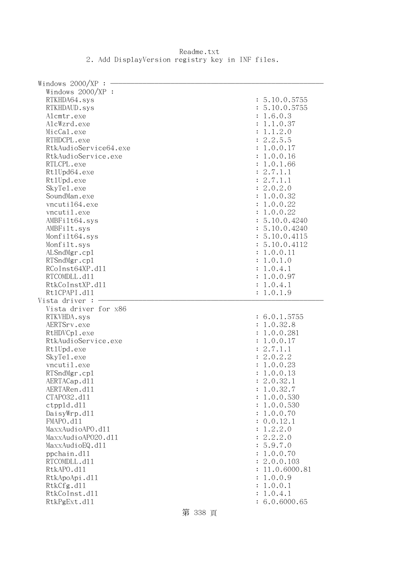Readme.txt 2. Add DisplayVersion registry key in INF files.

| Windows $2000/XP$ :           |                           |
|-------------------------------|---------------------------|
| Windows $2000/XP$ :           |                           |
| RTKHDA64.sys                  | : 5.10.0.5755             |
| RTKHDAUD.sys                  | : 5.10.0.5755             |
| Alcmtr.exe                    | : 1.6.0.3                 |
| AlcWzrd.exe                   | : 1.1.0.37                |
| MicCal.exe                    | : 1.1.2.0                 |
| RTHDCPL.exe                   | : 2.2.5.5                 |
| RtkAudioService64.exe         | : 1.0.0.17                |
|                               |                           |
| RtkAudioService.exe           | : 1.0.0.16                |
| RTLCPL.exe                    | : 1.0.1.66                |
| Rt1Upd64.exe                  | : 2.7.1.1                 |
| Rt1Upd.exe                    | : 2.7.1.1                 |
| SkyTe1.exe                    | : 2.0.2.0                 |
| SoundMan.exe                  | : 1.0.0.32                |
| vncuti164.exe                 | : 1.0.0.22                |
| vncutil.exe                   | : 1.0.0.22                |
| AMBFilt64.sys                 | : 5.10.0.4240             |
| AMBFilt.sys                   | : 5.10.0.4240             |
| Monfilt64.sys                 | : 5.10.0.4115             |
| Monfilt.sys                   | : 5.10.0.4112             |
| ALSndMgr.cp1                  | : 1.0.0.11                |
| RTSndMgr.cp1                  | : 1.0.1.0                 |
| RCoInst64XP.d11               | : 1.0.4.1                 |
|                               |                           |
| RTCOMDLL.d11                  | : 1.0.0.97                |
| RtkCoInstXP.d11               | : 1.0.4.1                 |
| Rt1CPAPI.d11                  | : 1.0.1.9                 |
|                               |                           |
| Vista driver :                |                           |
| Vista driver for x86          |                           |
| RTKVHDA.sys                   | : 6.0.1.5755              |
| AERTSrv.exe                   | : 1.0.32.8                |
| RtHDVCp1.exe                  | : 1.0.0.281               |
| RtkAudioService.exe           | : 1.0.0.17                |
|                               | : 2.7.1.1                 |
| Rt1Upd.exe                    |                           |
| SkyTe1.exe                    | : 2.0.2.2                 |
| vncutil.exe                   | : 1.0.0.23                |
| RTSndMgr.cp1                  | 1.0.0.13                  |
| AERTACap.d11                  | : 2.0.32.1                |
| AERTARen.d11                  | 1.0.32.7                  |
| CTAP032.d11                   | 1.0.0.530                 |
| ctpp1d.d11                    | 1.0.0.530                 |
| DaisyWrp.dll                  | 1.0.0.70                  |
| FMAPO.d11                     | 0.0.12.1                  |
| MaxxAudioAPO.d11              | 1.2.2.0                   |
| MaxxAudioAP020.dll            | 2.2.2.0<br>$\ddot{\cdot}$ |
| MaxxAudioEQ.d11               | 5.9.7.0                   |
| ppchain.dll                   | 1.0.0.70                  |
| RTCOMDLL.d11                  | 2.0.0.103                 |
| RtkAPO.d11                    | 11.0.6000.81              |
|                               | 1.0.0.9                   |
| RtkApoApi.d11                 |                           |
| RtkCfg.d11                    | 1.0.0.1                   |
| RtkCoInst.d11<br>RtkPgExt.d11 | 1.0.4.1<br>6.0.6000.65    |

第 338 頁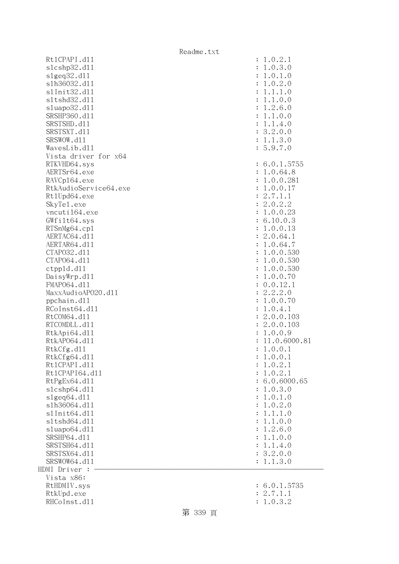| Rt1CPAPI.d11          | 1.0.2.1        |
|-----------------------|----------------|
| s1cshp32.d11          | : 1.0.3.0      |
| slgeq32.d11           | : 1.0.1.0      |
| s1h36032.d11          | : 1.0.2.0      |
| s1Init32.d11          | 1.1.1.0        |
| s1tshd32.d11          | 1.1.0.0        |
| sluapo32.d11          | 1.2.6.0        |
| SRSHP360.d11          | 1.1.0.0        |
| SRSTSHD.d11           | 1.1.4.0        |
| SRSTSXT.d11           | 3.2.0.0        |
| SRSWOW.d11            | : 1.1.3.0      |
| WavesLib.dll          | : 5.9.7.0      |
| Vista driver for x64  |                |
| RTKVHD64.sys          | : 6.0.1.5755   |
| AERTSr64.exe          | : 1.0.64.8     |
| RAVCp164.exe          | : 1.0.0.281    |
| RtkAudioService64.exe | : 1.0.0.17     |
| Rt1Upd64.exe          | : 2.7.1.1      |
| SkyTe1.exe            | : 2.0.2.2      |
| vncuti164.exe         | : 1.0.0.23     |
| GWfilt64.sys          | : 6.10.0.3     |
| RTSnMg64.cp1          | : 1.0.0.13     |
| AERTAC64.d11          | : 2.0.64.1     |
| AERTAR64.d11          | : 1.0.64.7     |
| CTAP032.d11           | : 1.0.0.530    |
| CTAP064.d11           | : 1.0.0.530    |
| ctpp1d.d11            | : 1.0.0.530    |
| DaisyWrp.dll          | : 1.0.0.70     |
| FMAP064.d11           | : 0.0.12.1     |
| MaxxAudioAP020.dll    | : 2.2.2.0      |
| ppchain.dll           | : 1.0.0.70     |
| RCoInst64.d11         | : 1.0.4.1      |
| RtCOM64.d11           | : 2.0.0.103    |
| RTCOMDLL.d11          | : 2.0.0.103    |
| RtkApi64.dl1          | : 1.0.0.9      |
| RtkAP064.d11          | : 11.0.6000.81 |
| RtkCfg.d11            | : 1.0.0.1      |
| RtkCfg64.d11          | : 1.0.0.1      |
| Rt1CPAPI.d11          | 1.0.2.1        |
| Rt1CPAPI64.d11        | 1.0.2.1        |
| RtPgEx64.d11          | 6.0.6000.65    |
| slcshp64.dll          | 1.0.3.0        |
| slgeq64. d11          | 1.0.1.0        |
| s1h36064.d11          | 1.0.2.0        |
| s1Init64.d11          | 1.1.1.0        |
| s1tshd64.d11          | 1.1.0.0        |
| sluapo64.dll          | 1.2.6.0        |
| SRSHP64.d11           | 1.1.0.0        |
| SRSTSH64.d11          | 1.1.4.0        |
| SRSTSX64.d11          | : 3.2.0.0      |
| SRSWOW64.d11          | : 1.1.3.0      |
| HDMI Driver :         |                |
| Vista x86:            |                |
| RtHDMIV.sys           | : 6.0.1.5735   |
| RtkUpd.exe            | : 2.7.1.1      |
| RHCoInst.d11          | : 1.0.3.2      |
|                       |                |

| $\ddot{\cdot}$                                                                                                                                                                                          | 6.0.1.5735                                                                                                                                                                    |
|---------------------------------------------------------------------------------------------------------------------------------------------------------------------------------------------------------|-------------------------------------------------------------------------------------------------------------------------------------------------------------------------------|
| $\colon$                                                                                                                                                                                                | 2.7.1.1                                                                                                                                                                       |
| $\colon$                                                                                                                                                                                                | 1.0.3.2                                                                                                                                                                       |
| $\ddot{\cdot}$                                                                                                                                                                                          | 6.0.1.5755                                                                                                                                                                    |
| $\ddot{\cdot}$                                                                                                                                                                                          | 1.0.64.8                                                                                                                                                                      |
| $\ddot{\cdot}$                                                                                                                                                                                          | 1.0.0.281                                                                                                                                                                     |
| $\ddot{\cdot}$                                                                                                                                                                                          | 1.0.0.17                                                                                                                                                                      |
| $\ddot{\cdot}$                                                                                                                                                                                          | 2.7.1.1                                                                                                                                                                       |
| $\ddot{\cdot}$                                                                                                                                                                                          | 2.0.2.2                                                                                                                                                                       |
| $\ddot{\cdot}$                                                                                                                                                                                          | 1.0.0.23                                                                                                                                                                      |
| $\ddot{\cdot}$                                                                                                                                                                                          | 6.10.0.3                                                                                                                                                                      |
| $\ddot{\cdot}$                                                                                                                                                                                          | 1.0.0.13                                                                                                                                                                      |
| $\ddot{\cdot}$                                                                                                                                                                                          | 2.0.64.1                                                                                                                                                                      |
| $\ddot{\cdot}$                                                                                                                                                                                          | 1.0.64.7                                                                                                                                                                      |
| $\ddot{\cdot}$                                                                                                                                                                                          | 1.0.0.530                                                                                                                                                                     |
| $\ddot{\cdot}$                                                                                                                                                                                          | 1.0.0.530                                                                                                                                                                     |
| $\ddot{\cdot}$                                                                                                                                                                                          | 1.0.0.530                                                                                                                                                                     |
| $\ddot{\cdot}$                                                                                                                                                                                          | 1.0.0.70                                                                                                                                                                      |
| $\ddot{\cdot}$                                                                                                                                                                                          | 0.0.12.1                                                                                                                                                                      |
| $\ddot{\cdot}$                                                                                                                                                                                          | 2.2.2.0                                                                                                                                                                       |
| $\ddot{\cdot}$                                                                                                                                                                                          | 1.0.0.70                                                                                                                                                                      |
| $\ddot{\cdot}$                                                                                                                                                                                          | 1.0.4.1                                                                                                                                                                       |
| $\ddot{\cdot}$                                                                                                                                                                                          | 2.0.0.103                                                                                                                                                                     |
| $\ddot{\cdot}$                                                                                                                                                                                          | 2.0.0.103                                                                                                                                                                     |
| $\ddot{\cdot}$                                                                                                                                                                                          | 1.0.0.9                                                                                                                                                                       |
| $\ddot{\cdot}$                                                                                                                                                                                          | 11.0.6000.81                                                                                                                                                                  |
| $\ddot{\cdot}$                                                                                                                                                                                          | 1.0.0.1                                                                                                                                                                       |
| $\ddot{\cdot}$                                                                                                                                                                                          | 1.0.0.1                                                                                                                                                                       |
| $\ddot{\phantom{0}}$                                                                                                                                                                                    | 1.0.2.1                                                                                                                                                                       |
| $\ddot{\cdot}$                                                                                                                                                                                          | 1.0.2.1                                                                                                                                                                       |
| $\ddot{\cdot}$                                                                                                                                                                                          | 6.0.6000.65                                                                                                                                                                   |
| $\ddot{\cdot}$                                                                                                                                                                                          | 1.0.3.0                                                                                                                                                                       |
| $\ddot{\cdot}$                                                                                                                                                                                          | 1.0.1.0                                                                                                                                                                       |
| $\ddot{\cdot}$                                                                                                                                                                                          | 1.0.2.0                                                                                                                                                                       |
| $\ddot{\cdot}$                                                                                                                                                                                          | 1.1.1.0                                                                                                                                                                       |
| $\ddot{\cdot}$                                                                                                                                                                                          | 1.1.0.0                                                                                                                                                                       |
| $\colon$                                                                                                                                                                                                | 1.2.6.0                                                                                                                                                                       |
| $\colon$                                                                                                                                                                                                | 1.1.0.0                                                                                                                                                                       |
| $\colon$                                                                                                                                                                                                | 1.1.4.0                                                                                                                                                                       |
| $\ddot{\phantom{0}}$                                                                                                                                                                                    | 3.2.0.0                                                                                                                                                                       |
| $\ddot{\cdot}$                                                                                                                                                                                          | 1.1.3.0                                                                                                                                                                       |
| $\ddot{\cdot}$<br>፡<br>$\ddot{\cdot}$<br>$\ddot{\cdot}$<br>$\ddot{\cdot}$<br>$\ddot{\cdot}$<br>$\ddot{\cdot}$<br>$\ddot{\cdot}$<br>$\ddot{\cdot}$<br>$\ddot{\cdot}$<br>$\ddot{\cdot}$<br>$\ddot{\cdot}$ | 1.0.2.1<br>.0.3.0<br>1<br>1.0.1<br>$\cdot$ 0<br>1.0.2.0<br>1.1<br>$\cdot$ 1<br>$\cdot$ 0<br>.0.0<br>1.1<br>1.2.6.0<br>1.1.0.0<br>1.1<br>.4.0<br>3.2.0.0<br>1.1.3.0<br>5.9.7.0 |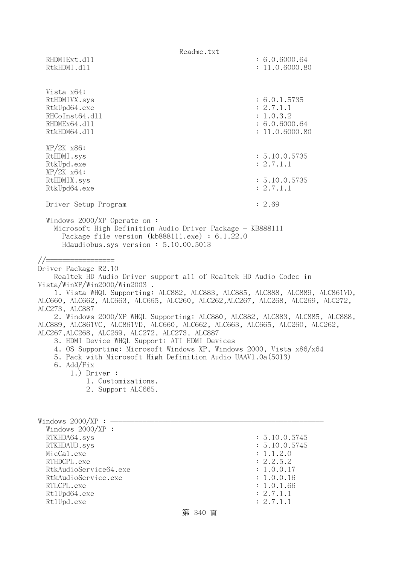|                                                                                                                                                                                                                                                                                                                                                                                                                                                                                                                                                                                                                                                                                                                                                                                                                         | Readme.txt                                                                                                                   |  |
|-------------------------------------------------------------------------------------------------------------------------------------------------------------------------------------------------------------------------------------------------------------------------------------------------------------------------------------------------------------------------------------------------------------------------------------------------------------------------------------------------------------------------------------------------------------------------------------------------------------------------------------------------------------------------------------------------------------------------------------------------------------------------------------------------------------------------|------------------------------------------------------------------------------------------------------------------------------|--|
| RHDMIExt.d11<br>RtkHDMI.d11                                                                                                                                                                                                                                                                                                                                                                                                                                                                                                                                                                                                                                                                                                                                                                                             | : 6.0.6000.64<br>: 11.0.6000.80                                                                                              |  |
| Vista x64:<br>RtHDMIVX.sys<br>RtkUpd64.exe<br>RHCoInst64.d11<br>RHDMEx64.d11<br>RtkHDM64.d11                                                                                                                                                                                                                                                                                                                                                                                                                                                                                                                                                                                                                                                                                                                            | : 6.0.1.5735<br>: 2.7.1.1<br>: 1.0.3.2<br>: 6.0.6000.64<br>: 11.0.6000.80                                                    |  |
| $XP/2K$ $x86$ :<br>RtHDMI.sys<br>RtkUpd.exe<br>$XP/ZK$ $x64$ :                                                                                                                                                                                                                                                                                                                                                                                                                                                                                                                                                                                                                                                                                                                                                          | : 5.10.0.5735<br>: 2.7.1.1                                                                                                   |  |
| RtHDMIX.sys<br>RtkUpd64.exe                                                                                                                                                                                                                                                                                                                                                                                                                                                                                                                                                                                                                                                                                                                                                                                             | : 5.10.0.5735<br>: 2.7.1.1                                                                                                   |  |
| Driver Setup Program                                                                                                                                                                                                                                                                                                                                                                                                                                                                                                                                                                                                                                                                                                                                                                                                    | : 2.69                                                                                                                       |  |
| Windows $2000/XP$ Operate on:<br>Microsoft High Definition Audio Driver Package - KB888111<br>Package file version (kb888111.exe) : 6.1.22.0<br>Hdaudiobus.sys version: 5.10.00.5013                                                                                                                                                                                                                                                                                                                                                                                                                                                                                                                                                                                                                                    |                                                                                                                              |  |
| //==================<br>Driver Package R2.10<br>Realtek HD Audio Driver support all of Realtek HD Audio Codec in<br>Vista/WinXP/Win2000/Win2003 .<br>1. Vista WHQL Supporting: ALC882, ALC883, ALC885, ALC888, ALC889, ALC861VD,<br>ALC660, ALC662, ALC663, ALC665, ALC260, ALC262,ALC267, ALC268, ALC269, ALC272,<br>ALC273, ALC887<br>2. Windows 2000/XP WHQL Supporting: ALC880, ALC882, ALC883, ALC885, ALC888,<br>ALC889, ALC861VC, ALC861VD, ALC660, ALC662, ALC663, ALC665, ALC260, ALC262,<br>ALC267, ALC268, ALC269, ALC272, ALC273, ALC887<br>3. HDMI Device WHQL Support: ATI HDMI Devices<br>4. OS Supporting: Microsoft Windows XP, Windows 2000, Vista x86/x64<br>5. Pack with Microsoft High Definition Audio UAAV1.0a(5013)<br>6. Add/Fix<br>$1.)$ Driver :<br>1. Customizations.<br>2. Support ALC665. |                                                                                                                              |  |
| Windows 2000/XP : $\cdot$<br>Windows $2000/XP$ :<br>RTKHDA64.sys<br>RTKHDAUD.sys<br>MicCal.exe<br>RTHDCPL.exe<br>RtkAudioService64.exe<br>RtkAudioService.exe<br>RTLCPL.exe<br>Rt1Upd64.exe<br>Rt1Upd.exe                                                                                                                                                                                                                                                                                                                                                                                                                                                                                                                                                                                                               | : 5.10.0.5745<br>: 5.10.0.5745<br>: 1.1.2.0<br>: 2.2.5.2<br>: 1.0.0.17<br>: 1.0.0.16<br>: 1.0.1.66<br>: 2.7.1.1<br>: 2.7.1.1 |  |

## 第 340 頁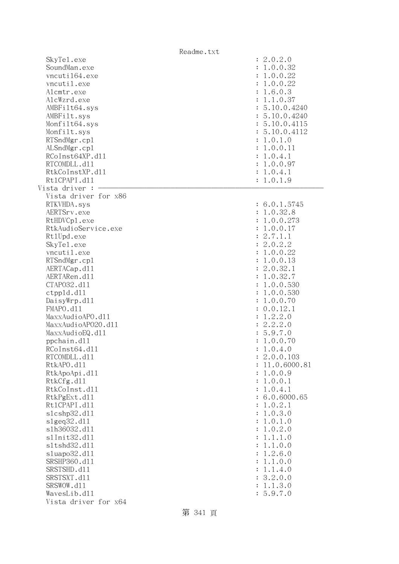|                                             | Readme.txt           |                                       |
|---------------------------------------------|----------------------|---------------------------------------|
| SkyTe1.exe<br>SoundMan.exe<br>vncuti164.exe |                      | : 2.0.2.0<br>: 1.0.0.32<br>: 1.0.0.22 |
| vncutil.exe                                 |                      | : 1.0.0.22                            |
| Alcmtr.exe                                  |                      | : 1.6.0.3                             |
| AlcWzrd.exe                                 |                      | : 1.1.0.37                            |
| AMBFilt64.sys                               |                      | : 5.10.0.4240                         |
| AMBFilt.sys                                 |                      | : 5.10.0.4240                         |
| Monfilt64.sys                               |                      | : 5.10.0.4115                         |
| Monfilt.sys                                 |                      | : 5.10.0.4112                         |
| RTSndMgr.cp1                                |                      | : 1.0.1.0                             |
| ALSndMgr.cp1                                |                      | : 1.0.0.11                            |
| RCoInst64XP.d11                             |                      | : 1.0.4.1                             |
| RTCOMDLL.d11                                |                      | : 1.0.0.97                            |
| RtkCoInstXP.d11                             |                      | : 1.0.4.1                             |
| Rt1CPAPI.d11                                |                      | : 1.0.1.9                             |
| Vista driver :                              |                      |                                       |
|                                             | Vista driver for x86 |                                       |
| RTKVHDA.sys                                 |                      | : 6.0.1.5745                          |
| AERTSrv.exe                                 |                      | : 1.0.32.8                            |
| RtHDVCp1.exe                                |                      | : 1.0.0.273                           |
| RtkAudioService.exe                         |                      | 1.0.0.17<br>$\ddot{\cdot}$            |
| Rt1Upd.exe                                  |                      | : 2.7.1.1                             |
| SkyTe1.exe                                  |                      | : 2.0.2.2                             |
| vncutil.exe                                 |                      | 1.0.0.22<br>÷                         |
| RTSndMgr.cp1                                |                      | 1.0.0.13<br>÷                         |
| AERTACap.d11                                |                      | : 2.0.32.1                            |
| AERTARen.d11                                |                      | : 1.0.32.7                            |
| CTAP032.d11                                 |                      | 1.0.0.530<br>÷                        |
| ctpp1d.d11                                  |                      | 1.0.0.530<br>÷                        |
| DaisyWrp.dll                                |                      | : 1.0.0.70                            |
| FMAPO.d11                                   |                      | : 0.0.12.1                            |
| MaxxAudioAPO.dll                            |                      | 1.2.2.0<br>$\ddot{\cdot}$             |
| MaxxAudioAP020.dll                          |                      | : 2.2.2.0                             |
| MaxxAudioEQ.d11                             |                      | : 5.9.7.0                             |
| ppchain.dll                                 |                      | 1.0.0.70                              |
| RCoInst64.d11                               |                      | 1.0.4.0                               |
| RTCOMDLL.d11                                |                      | 2.0.0.103                             |
| RtkAPO.d11                                  |                      | 11.0.6000.81                          |
| RtkApoApi.d11                               |                      | 1.0.0.9<br>$\ddot{\cdot}$             |
| RtkCfg.d11                                  |                      | 1.0.0.1<br>$\ddot{\cdot}$             |
| RtkCoInst.d11                               |                      | 1.0.4.1<br>$\ddot{\cdot}$             |
| RtkPgExt.d11                                |                      | 6.0.6000.65                           |
| Rt1CPAPI.d11                                |                      | 1.0.2.1<br>$\ddot{\cdot}$             |
| s1cshp32.d11                                |                      | 1.0.3.0<br>$\ddot{\cdot}$             |
| slgeq32.d11                                 |                      | 1.0.1.0<br>:                          |
| s1h36032.d11                                |                      | 1.0.2.0<br>:                          |
| s1Init32.d11<br>s1tshd32.d11                |                      | 1.1.1.0<br>$\ddot{\cdot}$<br>1.1.0.0  |
| s1uapo32.d11                                |                      | :<br>1.2.6.0                          |
| SRSHP360.d11                                |                      | :<br>1.1.0.0<br>$\ddot{\cdot}$        |
| SRSTSHD.d11                                 |                      | 1.1.4.0<br>$\ddot{\cdot}$             |
| SRSTSXT.d11                                 |                      | : 3.2.0.0                             |
| SRSWOW.d11                                  |                      | 1.1.3.0<br>$\ddot{\cdot}$             |
| WavesLib.dll                                |                      | 5.9.7.0                               |
|                                             | Vista driver for x64 |                                       |
|                                             |                      |                                       |

第 341 頁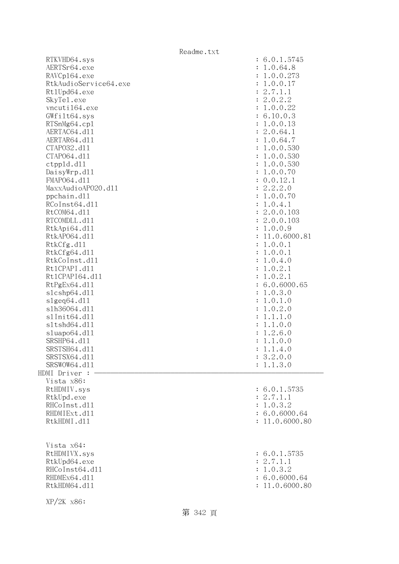|                       | Readme.txt                |
|-----------------------|---------------------------|
| RTKVHD64.sys          | : 6.0.1.5745              |
| AERTSr64.exe          | : 1.0.64.8                |
| RAVCp164.exe          | : 1.0.0.273               |
| RtkAudioService64.exe | : 1.0.0.17                |
| Rt1Upd64.exe          | : 2.7.1.1                 |
| SkyTe1.exe            | : 2.0.2.2                 |
| vncuti164.exe         | : 1.0.0.22                |
| GWfilt64.sys          | : 6.10.0.3                |
| RTSnMg64.cp1          | : 1.0.0.13                |
| AERTAC64.d11          | : 2.0.64.1                |
| AERTAR64.d11          | : 1.0.64.7                |
| CTAP032.d11           | : 1.0.0.530               |
| CTAP064.d11           | : 1.0.0.530               |
| ctpp1d.d11            | : 1.0.0.530               |
| DaisyWrp.dl1          | : 1.0.0.70                |
| FMAP064.d11           | : 0.0.12.1                |
| MaxxAudioAP020.d11    | : 2.2.2.0                 |
| ppchain.dll           | : 1.0.0.70                |
| RCoInst64.d11         | 1.0.4.1<br>$\ddot{\cdot}$ |
| RtCOM64.d11           | : 2.0.0.103               |
| RTCOMDLL.d11          | : 2.0.0.103               |
| RtkApi64.d11          | : 1.0.0.9                 |
| RtkAP064.d11          | : 11.0.6000.81            |
| RtkCfg.d11            | 1.0.0.1                   |
|                       | ÷                         |
| RtkCfg64.d11          | : 1.0.0.1                 |
| RtkCoInst.d11         | 1.0.4.0<br>÷              |
| Rt1CPAPI.d11          | 1.0.2.1<br>$\ddot{\cdot}$ |
| Rt1CPAPI64.d11        | 1.0.2.1<br>÷              |
| RtPgEx64.d11          | : 6.0.6000.65             |
| s1cshp64.d11          | 1.0.3.0<br>÷              |
| s1geq64. d11          | 1.0.1.0<br>$\ddot{\cdot}$ |
| s1h36064.d11          | 1.0.2.0<br>$\ddot{\cdot}$ |
| s1Init64.d11          | 1.1.1.0                   |
| s1tshd64.d11          | 1.1.0.0<br>$\ddot{\cdot}$ |
| sluapo64.d11          | 1.2.6.0<br>$\ddot{\cdot}$ |
| SRSHP64.d11           | 1.1.0.0<br>$\ddot{\cdot}$ |
| SRSTSH64.d11          | : 1.1.4.0                 |
| SRSTSX64.d11          | : 3.2.0.0                 |
| SRSWOW64.d11          | : 1.1.3.0                 |
| HDMI Driver :         |                           |
| Vista x86:            |                           |
| RtHDMIV.sys           | : 6.0.1.5735              |
| RtkUpd.exe            | : 2.7.1.1                 |
| RHCoInst.d11          | : 1.0.3.2                 |
| RHDMIExt.d11          | : 6.0.6000.64             |
| RtkHDMI.d11           | : 11.0.6000.80            |
|                       |                           |
|                       |                           |
| Vista x64:            |                           |
| RtHDMIVX.sys          | : 6.0.1.5735              |
| RtkUpd64.exe          | : 2.7.1.1                 |
| RHCoInst64.d11        | : 1.0.3.2                 |
| RHDMEx64.d11          | : 6.0.6000.64             |
| RtkHDM64.d11          | : 11.0.6000.80            |
|                       |                           |
| $XP/2K$ $x86$ :       |                           |

第 342 頁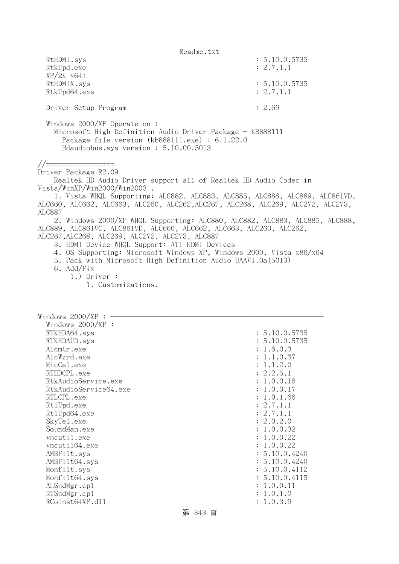Readme.txt RtHDMI.sys : 5.10.0.5735 RtkUpd.exe : 2.7.1.1 XP/2K x64: RtHDMIX.sys : 5.10.0.5735 RtkUpd64.exe : 2.7.1.1 Driver Setup Program : 2.69 Windows 2000/XP Operate on : Microsoft High Definition Audio Driver Package - KB888111 Package file version (kb888111.exe) : 6.1.22.0 Hdaudiobus.sys version : 5.10.00.5013 //================= Driver Package R2.09 Realtek HD Audio Driver support all of Realtek HD Audio Codec in Vista/WinXP/Win2000/Win2003 . 1. Vista WHQL Supporting: ALC882, ALC883, ALC885, ALC888, ALC889, ALC861VD, ALC660, ALC662, ALC663, ALC260, ALC262,ALC267, ALC268, ALC269, ALC272, ALC273, ALC887 2. Windows 2000/XP WHQL Supporting: ALC880, ALC882, ALC883, ALC885, ALC888, ALC889, ALC861VC, ALC861VD, ALC660, ALC662, ALC663, ALC260, ALC262, ALC267,ALC268, ALC269, ALC272, ALC273, ALC887 3. HDMI Device WHQL Support: ATI HDMI Devices 4. OS Supporting: Microsoft Windows XP, Windows 2000, Vista x86/x64 5. Pack with Microsoft High Definition Audio UAAV1.0a(5013) 6. Add/Fix 1.) Driver : 1. Customizations. Windows  $2000/XP$  : - Windows 2000/XP : RTKHDA64.sys : 5.10.0.5735 RTKHDAUD.sys : 5.10.0.5735 Alcmtr.exe : 1.6.0.3 AlcWzrd.exe : 1.1.0.37  $\text{MicCal.}$ exe :  $1.1.2.0$ RTHDCPL.exe : 2.2.5.1 RtkAudioService.exe : 1.0.0.16 RtkAudioService64.exe : 1.0.0.17 RTLCPL.exe : 1.0.1.66 Rt1Upd.exe : 2.7.1.1 Rt1Upd64.exe : 2.7.1.1 SkyTel.exe : 2.0.2.0 SoundMan.exe : 1.0.0.32 vncutil.exe : 1.0.0.22 vncuti164.exe : 1.0.0.22 AMBFilt.sys : 5.10.0.4240 AMBFilt64.sys : 5.10.0.4240 Monfilt.sys : 5.10.0.4112 Monfilt64.sys : 5.10.0.4115 ALSndMgr.cp1 : 1.0.0.11 RTSndMgr.cp1 : 1.0.1.0 RCoInst64XP.d11 : 1.0.3.9

第 343 頁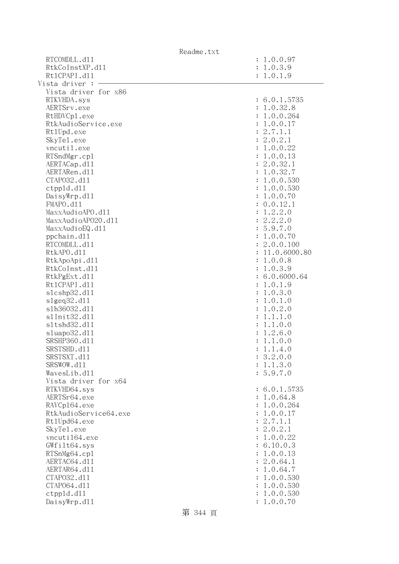|                       | Readme.txt |                           |
|-----------------------|------------|---------------------------|
| RTCOMDLL.d11          |            | : 1.0.0.97                |
| RtkCoInstXP.d11       |            | : 1.0.3.9                 |
| Rt1CPAPI.d11          |            | : 1.0.1.9                 |
| Vista driver :        |            |                           |
| Vista driver for x86  |            |                           |
| RTKVHDA.sys           |            | : 6.0.1.5735              |
| AERTSrv.exe           |            | : 1.0.32.8                |
| RtHDVCp1.exe          |            | : 1.0.0.264               |
| RtkAudioService.exe   |            | : 1.0.0.17                |
| Rt1Upd.exe            |            | : 2.7.1.1                 |
| SkyTe1.exe            |            | : 2.0.2.1                 |
| vncutil.exe           |            | : 1.0.0.22                |
| RTSndMgr.cp1          |            | : 1.0.0.13                |
| AERTACap.d11          |            | : 2.0.32.1                |
| AERTARen.d11          |            | : 1.0.32.7                |
| CTAP032.d11           |            |                           |
|                       |            | : 1.0.0.530               |
| ctpp1d.d11            |            | : 1.0.0.530               |
| DaisyWrp.dl1          |            | : 1.0.0.70                |
| FMAPO.d11             |            | : 0.0.12.1                |
| MaxxAudioAPO.dll      |            | 1.2.2.0<br>$\ddot{\cdot}$ |
| MaxxAudioAP020.dll    |            | : 2.2.2.0                 |
| MaxxAudioEQ.d11       |            | : 5.9.7.0                 |
| ppchain.dll           |            | : 1.0.0.70                |
| RTCOMDLL.d11          |            | : 2.0.0.100               |
| RtkAPO.d11            |            | : 11.0.6000.80            |
| RtkApoApi.d11         |            | : 1.0.0.8                 |
| RtkCoInst.d11         |            | : 1.0.3.9                 |
| RtkPgExt.d11          |            | : 6.0.6000.64             |
| Rt1CPAPI.d11          |            | : 1.0.1.9                 |
| s1cshp32.d11          |            | : 1.0.3.0                 |
| slgeq32. d11          |            | : 1.0.1.0                 |
| s1h36032.d11          |            | : 1.0.2.0                 |
| s1Init32.d11          |            | 1.1.1.0<br>$\ddot{\cdot}$ |
| s1tshd32.d11          |            | 1.1.0.0<br>$\ddot{\cdot}$ |
| sluapo32.dl1          |            | 1.2.6.0<br>$\ddot{\cdot}$ |
| SRSHP360.d11          |            | 1.1.0.0<br>$\ddot{\cdot}$ |
| SRSTSHD.d11           |            | : 1.1.4.0                 |
| SRSTSXT.d11           |            | : 3.2.0.0                 |
| SRSWOW.d11            |            | : 1.1.3.0                 |
| WavesLib.dll          |            | : 5.9.7.0                 |
| Vista driver for x64  |            |                           |
| RTKVHD64.sys          |            | : 6.0.1.5735              |
| AERTSr64.exe          |            | : 1.0.64.8                |
| RAVCp164.exe          |            | : 1.0.0.264               |
| RtkAudioService64.exe |            | : 1.0.0.17                |
| Rt1Upd64.exe          |            | : 2.7.1.1                 |
| SkyTe1.exe            |            | : 2.0.2.1                 |
| vncuti164.exe         |            | : 1.0.0.22                |
| GWfilt64.sys          |            | : 6.10.0.3                |
| RTSnMg64.cp1          |            | : 1.0.0.13                |
| AERTAC64.d11          |            | : 2.0.64.1                |
| AERTAR64.d11          |            | : 1.0.64.7                |
| CTAP032.d11           |            | : 1.0.0.530               |
| CTAP064.d11           |            | : 1.0.0.530               |
| ctpp1d.d11            |            | : 1.0.0.530               |
| DaisyWrp.dll          |            | : 1.0.0.70                |
|                       | 第 344 頁    |                           |
|                       |            |                           |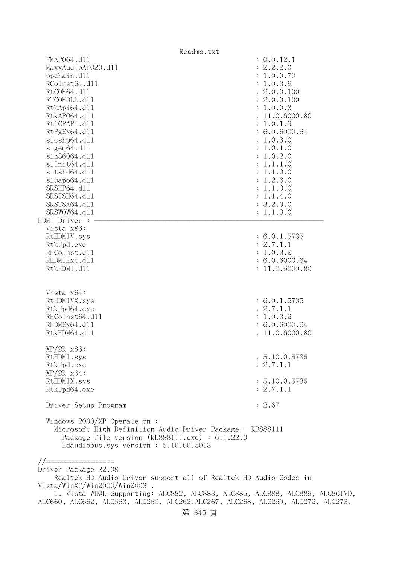| Readme.txt                                                                                                                                                                                    |                           |
|-----------------------------------------------------------------------------------------------------------------------------------------------------------------------------------------------|---------------------------|
| FMAP064.d11                                                                                                                                                                                   | : 0.0.12.1                |
| MaxxAudioAP020.d11                                                                                                                                                                            | 2.2.2.0<br>÷              |
| ppchain.dll                                                                                                                                                                                   | 1.0.0.70                  |
| RCoInst64.d11                                                                                                                                                                                 | 1.0.3.9                   |
| RtCOM64.d11                                                                                                                                                                                   | : 2.0.0.100               |
| RTCOMDLL.d11                                                                                                                                                                                  | : 2.0.0.100               |
| RtkApi64.dl1                                                                                                                                                                                  | : 1.0.0.8                 |
| RtkAP064.d11                                                                                                                                                                                  | 11.0.6000.80              |
| Rt1CPAPI.d11                                                                                                                                                                                  | 1.0.1.9                   |
| RtPgEx64.d11                                                                                                                                                                                  | : 6.0.6000.64             |
| s1cshp64.d11                                                                                                                                                                                  | : 1.0.3.0                 |
| s1geq64. d11                                                                                                                                                                                  | : 1.0.1.0                 |
| s1h36064.d11                                                                                                                                                                                  | 1.0.2.0                   |
| s1Init64.d11                                                                                                                                                                                  | 1.1.1.0                   |
| s1tshd64.d11                                                                                                                                                                                  | 1.1.0.0                   |
| sluapo64.d11                                                                                                                                                                                  | 1.2.6.0<br>$\ddot{\cdot}$ |
| SRSHP64.d11                                                                                                                                                                                   | 1.1.0.0<br>$\ddot{\cdot}$ |
| SRSTSH64.d11                                                                                                                                                                                  | 1.1.4.0<br>$\ddot{\cdot}$ |
| SRSTSX64.d11                                                                                                                                                                                  | 3.2.0.0<br>$\ddot{\cdot}$ |
| SRSWOW64.d11                                                                                                                                                                                  | : 1.1.3.0                 |
| HDMI Driver :                                                                                                                                                                                 |                           |
| Vista x86:                                                                                                                                                                                    |                           |
| RtHDMIV.sys                                                                                                                                                                                   | : 6.0.1.5735              |
| RtkUpd.exe                                                                                                                                                                                    | : 2.7.1.1                 |
| RHCoInst.d11                                                                                                                                                                                  | : 1.0.3.2                 |
| RHDMIExt.d11                                                                                                                                                                                  | : 6.0.6000.64             |
| RtkHDMI.d11                                                                                                                                                                                   | : 11.0.6000.80            |
|                                                                                                                                                                                               |                           |
|                                                                                                                                                                                               |                           |
| Vista x64:                                                                                                                                                                                    |                           |
| RtHDMIVX.sys                                                                                                                                                                                  | : 6.0.1.5735              |
| RtkUpd64.exe                                                                                                                                                                                  | : 2.7.1.1                 |
| RHCoInst64.d11                                                                                                                                                                                | : 1.0.3.2                 |
| RHDMEx64.d11                                                                                                                                                                                  | : 6.0.6000.64             |
| RtkHDM64.d11                                                                                                                                                                                  | 11.0.6000.80              |
|                                                                                                                                                                                               |                           |
| $XP/2K$ $x86$ :                                                                                                                                                                               |                           |
| RtHDMI.sys                                                                                                                                                                                    | : 5.10.0.5735             |
| RtkUpd.exe                                                                                                                                                                                    | : 2.7.1.1                 |
| $XP/ZK$ $x64$ :                                                                                                                                                                               |                           |
| RtHDMIX.sys                                                                                                                                                                                   | : 5.10.0.5735             |
| RtkUpd64.exe                                                                                                                                                                                  | : 2.7.1.1                 |
| Driver Setup Program                                                                                                                                                                          | : 2.67                    |
|                                                                                                                                                                                               |                           |
| Windows $2000/XP$ Operate on:<br>Microsoft High Definition Audio Driver Package - KB888111<br>Package file version $(kb888111.\text{exe}) : 6.1.22.0$<br>Hdaudiobus.sys version: 5.10.00.5013 |                           |
|                                                                                                                                                                                               |                           |
|                                                                                                                                                                                               |                           |

Driver Package R2.08

 Realtek HD Audio Driver support all of Realtek HD Audio Codec in Vista/WinXP/Win2000/Win2003 .

 1. Vista WHQL Supporting: ALC882, ALC883, ALC885, ALC888, ALC889, ALC861VD, ALC660, ALC662, ALC663, ALC260, ALC262,ALC267, ALC268, ALC269, ALC272, ALC273,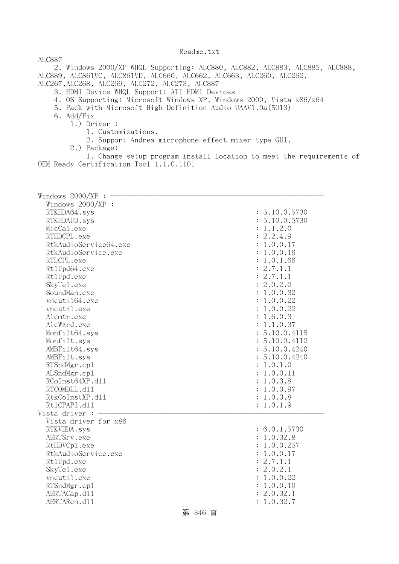ALC887 2. Windows 2000/XP WHQL Supporting: ALC880, ALC882, ALC883, ALC885, ALC888, ALC889, ALC861VC, ALC861VD, ALC660, ALC662, ALC663, ALC260, ALC262, ALC267,ALC268, ALC269, ALC272, ALC273, ALC887

- 3. HDMI Device WHQL Support: ATI HDMI Devices
- 4. OS Supporting: Microsoft Windows XP, Windows 2000, Vista x86/x64
- 5. Pack with Microsoft High Definition Audio UAAV1.0a(5013)
- 6. Add/Fix
	- 1.) Driver :
		- 1. Customizations.
		- 2. Support Andrea microphone effect mixer type GUI.
		- 2.) Package:

 1. Change setup program install location to meet the requirements of OEM Ready Certification Tool 1.1.0.1101

| Windows 2000/XP :     |               |
|-----------------------|---------------|
| Windows 2000/XP :     |               |
| RTKHDA64.sys          | : 5.10.0.5730 |
| RTKHDAUD.sys          | : 5.10.0.5730 |
| MicCal.exe            | : 1.1.2.0     |
| RTHDCPL.exe           | : 2.2.4.9     |
| RtkAudioService64.exe | : 1.0.0.17    |
| RtkAudioService.exe   | : 1.0.0.16    |
| RTLCPL.exe            | : 1.0.1.66    |
| Rt1Upd64.exe          | : 2.7.1.1     |
| Rt1Upd.exe            | : 2.7.1.1     |
| SkyTe1.exe            | : 2.0.2.0     |
| SoundMan.exe          | : 1.0.0.32    |
| vncuti164.exe         | : 1.0.0.22    |
| vncutil.exe           | : 1.0.0.22    |
| Alcmtr.exe            | : 1.6.0.3     |
| AlcWzrd.exe           | : 1.1.0.37    |
| Monfilt64.sys         | : 5.10.0.4115 |
| Monfilt.sys           | : 5.10.0.4112 |
| AMBFilt64.sys         | : 5.10.0.4240 |
| AMBFilt.sys           | : 5.10.0.4240 |
| RTSndMgr.cp1          | : 1.0.1.0     |
| ALSndMgr.cp1          | : 1.0.0.11    |
| RCoInst64XP.d11       | : 1.0.3.8     |
| RTCOMDLL.d11          | : 1.0.0.97    |
| RtkCoInstXP.d11       | : 1.0.3.8     |
| Rt1CPAPI.d11          | : 1.0.1.9     |
| Vista driver :        |               |
| Vista driver for x86  |               |
| RTKVHDA.sys           | : 6.0.1.5730  |
| AERTSrv.exe           | : 1.0.32.8    |
| RtHDVCp1.exe          | : 1.0.0.257   |
| RtkAudioService.exe   | : 1.0.0.17    |
| Rt1Upd.exe            | : 2.7.1.1     |
| SkyTe1.exe            | : 2.0.2.1     |
| vncutil.exe           | : 1.0.0.22    |
| RTSndMgr.cp1          | : 1.0.0.10    |
| AERTACap.d11          | : 2.0.32.1    |
| AERTARen.d11          | : 1.0.32.7    |
|                       |               |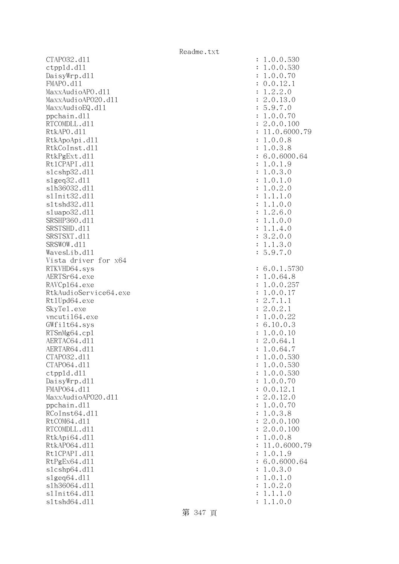CTAPO32.dll : 1.0.0.530 ctppld.dll : 1.0.0.530 DaisyWrp.dl1 : 1.0.0.70 : 1.0.0.70 FMAPO.dll : 0.0.12.1 MaxxAudioAPO.dll : 1.2.2.0 MaxxAudioAPO20.dll : 2.0.13.0 MaxxAudioEQ.dl1 : 5.9.7.0 ppchain.dll : 1.0.0.70 RTCOMDLL.d11 : 2.0.0.100 RtkAPO.d11 : 11.0.6000.79 RtkApoApi.dll : 1.0.0.8 RtkCoInst.d11 : 1.0.3.8 RtkPgExt.dl1 : 6.0.6000.64 Rt1CPAPI.d11 : 1.0.1.9 slcshp32.dll : 1.0.3.0 slgeq32.dll : 1.0.1.0 slh36032.dll : 1.0.2.0 slInit32.dll : 1.1.1.0 sltshd32.dll : 1.1.0.0 sluapo32.dl1 : 1.2.6.0 SRSHP360.d11 : 1.1.0.0 SRSTSHD.d11 : 1.1.4.0 SRSTSXT.d11 : 3.2.0.0 SRSWOW.d11 : 1.1.3.0 WavesLib.dl1 : 5.9.7.0 Vista driver for x64 RTKVHD64.sys : 6.0.1.5730 AERTSr64.exe : 1.0.64.8 RAVCp164.exe : 1.0.0.257 RtkAudioService64.exe : 1.0.0.17 Rt1Upd64.exe : 2.7.1.1 SkyTel.exe : 2.0.2.1 vncuti164.exe : 1.0.0.22 GWfilt64.sys : 6.10.0.3 RTSnMg64.cpl : 1.0.0.10 AERTAC64.d11 : 2.0.64.1 AERTAR64.d11 : 1.0.64.7 CTAPO32.dll : 1.0.0.530 CTAPO64.dll : 1.0.0.530 ctppld.dll : 1.0.0.530 DaisyWrp.dl1 : 1.0.0.70 : 1.0.0.70 FMAPO64.dll : 0.0.12.1 MaxxAudioAPO20.dl1 : 2.0.12.0 ppchain.dll : 1.0.0.70 : 1.0.0.70 : 1.0.0.70 : 1.0.0.70 : 1.0.0.70 : 1.0.0.70 : 1.0.0.70 : 1.0.0.70 : 1.0.0.70 RCoInst64.d11 : 1.0.3.8 RtCOM64.d11 : 2.0.0.100 RTCOMDLL.d11 : 2.0.0.100 RtkApi64.dl1 : 1.0.0.8 RtkAP064.dll : 11.0.6000.79 Rt1CPAPI.d11 : 1.0.1.9 RtPgEx64.dl1 : 6.0.6000.64 slcshp64.dll : 1.0.3.0 slgeq64.dll : 1.0.1.0 slh36064.dll : 1.0.2.0 slInit64.dll : 1.1.1.0 sltshd64.dll : 1.1.0.0

第 347 頁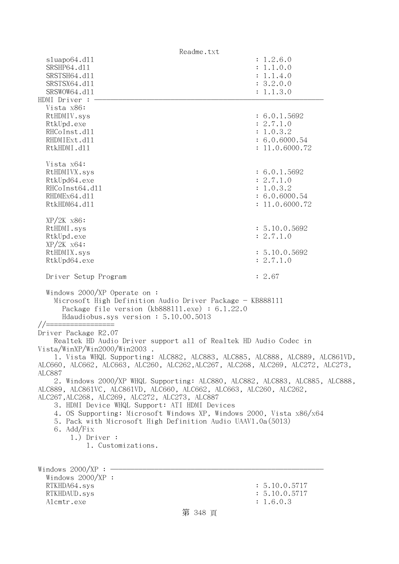| Readme.txt                                                                                                                                                                                                                                                                                                                                                                                                                                        |                                                                                                         |
|---------------------------------------------------------------------------------------------------------------------------------------------------------------------------------------------------------------------------------------------------------------------------------------------------------------------------------------------------------------------------------------------------------------------------------------------------|---------------------------------------------------------------------------------------------------------|
| sluapo64.d11                                                                                                                                                                                                                                                                                                                                                                                                                                      | : 1.2.6.0                                                                                               |
| SRSHP64.d11<br>SRSTSH64.d11                                                                                                                                                                                                                                                                                                                                                                                                                       | : 1.1.0.0<br>: 1.1.4.0                                                                                  |
| SRSTSX64.d11                                                                                                                                                                                                                                                                                                                                                                                                                                      | : 3.2.0.0                                                                                               |
| SRSWOW64.d11                                                                                                                                                                                                                                                                                                                                                                                                                                      | : 1.1.3.0                                                                                               |
| HDMI Driver :                                                                                                                                                                                                                                                                                                                                                                                                                                     |                                                                                                         |
| Vista x86:                                                                                                                                                                                                                                                                                                                                                                                                                                        |                                                                                                         |
| RtHDMIV.sys                                                                                                                                                                                                                                                                                                                                                                                                                                       | : 6.0.1.5692                                                                                            |
| RtkUpd.exe<br>RHCoInst.d11                                                                                                                                                                                                                                                                                                                                                                                                                        | : 2.7.1.0<br>: 1.0.3.2                                                                                  |
| RHDMIExt.d11                                                                                                                                                                                                                                                                                                                                                                                                                                      | : 6.0.6000.54                                                                                           |
| RtkHDMI.d11                                                                                                                                                                                                                                                                                                                                                                                                                                       | : 11.0.6000.72                                                                                          |
| Vista x64:<br>RtHDMIVX.sys<br>RtkUpd64.exe<br>RHCoInst64.d11<br>RHDMEx64.d11<br>RtkHDM64.d11<br>$XP/2K$ $x86$ :<br>RtHDMI.sys<br>RtkUpd.exe<br>$XP/ZK$ $x64$ :                                                                                                                                                                                                                                                                                    | : 6.0.1.5692<br>: 2.7.1.0<br>: 1.0.3.2<br>: 6.0.6000.54<br>: 11.0.6000.72<br>: 5.10.0.5692<br>: 2.7.1.0 |
| RtHDMIX.sys<br>RtkUpd64.exe                                                                                                                                                                                                                                                                                                                                                                                                                       | : 5.10.0.5692<br>: 2.7.1.0                                                                              |
| Driver Setup Program                                                                                                                                                                                                                                                                                                                                                                                                                              | : 2.67                                                                                                  |
| Windows $2000/XP$ Operate on:<br>Microsoft High Definition Audio Driver Package - KB888111<br>Package file version $(kb888111.\text{exe}) : 6.1.22.0$<br>Hdaudiobus.sys version: 5.10.00.5013                                                                                                                                                                                                                                                     |                                                                                                         |
| Driver Package R2.07                                                                                                                                                                                                                                                                                                                                                                                                                              |                                                                                                         |
| Realtek HD Audio Driver support all of Realtek HD Audio Codec in<br>Vista/WinXP/Win2000/Win2003.<br>1. Vista WHQL Supporting: ALC882, ALC883, ALC885, ALC888, ALC889, ALC861VD,                                                                                                                                                                                                                                                                   |                                                                                                         |
| ALC660, ALC662, ALC663, ALC260, ALC262, ALC267, ALC268, ALC269, ALC272, ALC273,<br>ALC887                                                                                                                                                                                                                                                                                                                                                         |                                                                                                         |
| 2. Windows 2000/XP WHQL Supporting: ALC880, ALC882, ALC883, ALC885, ALC888,<br>ALC889, ALC861VC, ALC861VD, ALC660, ALC662, ALC663, ALC260, ALC262,<br>ALC267, ALC268, ALC269, ALC272, ALC273, ALC887<br>3. HDMI Device WHQL Support: ATI HDMI Devices<br>4. OS Supporting: Microsoft Windows XP, Windows 2000, Vista x86/x64<br>5. Pack with Microsoft High Definition Audio UAAV1.0a(5013)<br>6. Add/Fix<br>$1.)$ Driver :<br>1. Customizations. |                                                                                                         |
| Windows $2000/XP$ :                                                                                                                                                                                                                                                                                                                                                                                                                               |                                                                                                         |
| Windows 2000/XP :                                                                                                                                                                                                                                                                                                                                                                                                                                 |                                                                                                         |
| RTKHDA64.sys                                                                                                                                                                                                                                                                                                                                                                                                                                      | : 5.10.0.5717                                                                                           |
| RTKHDAUD.sys                                                                                                                                                                                                                                                                                                                                                                                                                                      | : 5.10.0.5717                                                                                           |
| Alcmtr.exe                                                                                                                                                                                                                                                                                                                                                                                                                                        | : 1.6.0.3                                                                                               |
| 第 348 頁                                                                                                                                                                                                                                                                                                                                                                                                                                           |                                                                                                         |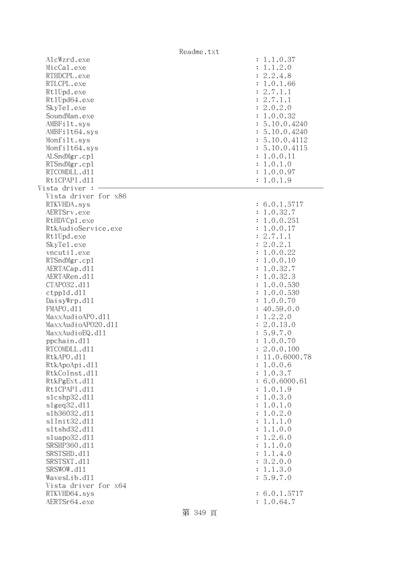|                              | Readme.txt |                                      |
|------------------------------|------------|--------------------------------------|
| AlcWzrd.exe                  |            | : 1.1.0.37                           |
| MicCal.exe                   |            | 1.1.2.0<br>$\ddot{\cdot}$            |
| RTHDCPL.exe                  |            | : 2.2.4.8                            |
| RTLCPL.exe                   |            | : 1.0.1.66                           |
| Rt1Upd.exe                   |            | 2.7.1.1<br>$\ddot{\cdot}$            |
| Rt1Upd64.exe                 |            | : 2.7.1.1                            |
| SkyTe1.exe                   |            | : 2.0.2.0                            |
| SoundMan.exe                 |            | : 1.0.0.32                           |
| AMBFilt.sys                  |            | : 5.10.0.4240                        |
| AMBFilt64.sys                |            | : 5.10.0.4240                        |
| Monfilt.sys                  |            | : 5.10.0.4112                        |
| Monfilt64.sys                |            | : 5.10.0.4115                        |
| ALSndMgr.cp1                 |            | : 1.0.0.11                           |
| RTSndMgr.cp1                 |            | 1.0.1.0<br>$\ddot{\cdot}$            |
| RTCOMDLL.d11                 |            | : 1.0.0.97                           |
| Rt1CPAPI.d11                 |            | : 1.0.1.9                            |
| Vista driver :               |            |                                      |
| Vista driver for x86         |            |                                      |
| RTKVHDA.sys                  |            | : 6.0.1.5717                         |
| AERTSrv.exe                  |            | : 1.0.32.7                           |
| RtHDVCp1.exe                 |            | : 1.0.0.251                          |
| RtkAudioService.exe          |            | : 1.0.0.17                           |
| Rt1Upd.exe                   |            | : 2.7.1.1                            |
| SkyTe1.exe                   |            | : 2.0.2.1                            |
| vncutil.exe                  |            | : 1.0.0.22                           |
| RTSndMgr.cp1                 |            | 1.0.0.10<br>÷                        |
| AERTACap.d11                 |            | 1.0.32.7<br>÷                        |
| AERTARen.d11                 |            | 1.0.32.3<br>÷                        |
| CTAP032.d11                  |            | 1.0.0.530<br>÷                       |
| ctpp1d.d11                   |            | 1.0.0.530<br>÷                       |
| DaisyWrp.dll                 |            | 1.0.0.70<br>$\ddot{\cdot}$           |
| FMAPO.d11                    |            | : 40.59.0.0                          |
| MaxxAudioAPO.dll             |            | : 1.2.2.0                            |
| MaxxAudioAP020.dll           |            | : 2.0.13.0                           |
| MaxxAudioEQ.d11              |            | : 5.9.7.0                            |
| ppchain.dll                  |            | 1.0.0.70                             |
| RTCOMDLL.d11                 |            | 2.0.0.100                            |
| RtkAPO.d11                   |            | 11.0.6000.78                         |
| RtkApoApi.d11                |            | 1.0.0.6<br>:                         |
| RtkCoInst.d11                |            | 1.0.3.7<br>$\ddot{\cdot}$            |
| RtkPgExt.d11<br>Rt1CPAPI.d11 |            | : 6.0.6000.61                        |
| s1cshp32.d11                 |            | 1.0.1.9                              |
| slgeq32.d11                  |            | 1.0.3.0<br>$\ddot{\cdot}$<br>1.0.1.0 |
| s1h36032.d11                 |            | :<br>1.0.2.0                         |
| s1Init32.d11                 |            | :<br>1.1.1.0<br>$\ddot{\cdot}$       |
| s1tshd32.d11                 |            | 1.1.0.0<br>$\ddot{\cdot}$            |
| sluapo32.d11                 |            | 1.2.6.0                              |
| SRSHP360.d11                 |            | :<br>1.1.0.0<br>:                    |
| SRSTSHD.d11                  |            | 1.1.4.0<br>÷                         |
| SRSTSXT.d11                  |            | : 3.2.0.0                            |
| SRSWOW.d11                   |            | : 1.1.3.0                            |
| WavesLib.dll                 |            | : 5.9.7.0                            |
| Vista driver for x64         |            |                                      |
| RTKVHD64.sys                 |            | : 6.0.1.5717                         |
| AERTSr64.exe                 |            | : 1.0.64.7                           |
|                              |            |                                      |
|                              | 第 349 頁    |                                      |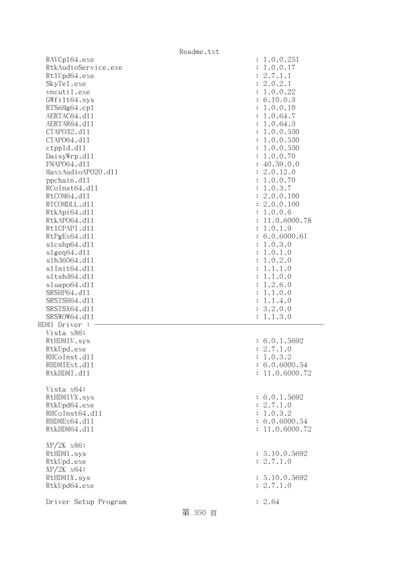|                      | Readme.txt |                             |
|----------------------|------------|-----------------------------|
| RAVCp164.exe         |            | : 1.0.0.251                 |
| RtkAudioService.exe  |            | 1.0.0.17<br>$\ddot{\cdot}$  |
| Rt1Upd64.exe         |            | : 2.7.1.1                   |
| SkyTe1.exe           |            | : 2.0.2.1                   |
| vncutil.exe          |            | 1.0.0.22<br>$\ddot{\cdot}$  |
| GWfilt64.sys         |            | : 6.10.0.3                  |
| RTSnMg64.cp1         |            | : 1.0.0.10                  |
| AERTAC64.d11         |            | 1.0.64.7<br>$\ddot{\cdot}$  |
| AERTAR64.d11         |            | 1.0.64.3<br>$\ddot{\cdot}$  |
| CTAP032.d11          |            | 1.0.0.530<br>$\ddot{\cdot}$ |
| CTAP064.d11          |            | 1.0.0.530<br>$\ddot{\cdot}$ |
| ctpp1d.d11           |            | 1.0.0.530<br>$\ddot{\cdot}$ |
| DaisyWrp.dl1         |            | 1.0.0.70<br>$\ddot{\cdot}$  |
| FMAP064.d11          |            | : 40.59.0.0                 |
| MaxxAudioAP020.dll   |            | : 2.0.12.0                  |
| ppchain.dll          |            | 1.0.0.70<br>$\ddot{\cdot}$  |
| RCoInst64.d11        |            | 1.0.3.7<br>$\ddot{\cdot}$   |
| RtCOM64.d11          |            | : 2.0.0.100                 |
| RTCOMDLL.d11         |            | : 2.0.0.100                 |
| RtkApi64.dl1         |            | 1.0.0.6<br>÷                |
| RtkAP064.d11         |            | 11.0.6000.78                |
| Rt1CPAPI.d11         |            | 1.0.1.9<br>÷                |
| RtPgEx64.d11         |            | : 6.0.6000.61               |
| s1cshp64.d11         |            | 1.0.3.0<br>÷                |
| s1geq64. d11         |            | 1.0.1.0<br>$\ddot{\cdot}$   |
| s1h36064.d11         |            | 1.0.2.0<br>$\ddot{\cdot}$   |
| s1Init64.d11         |            | 1.1.1.0<br>$\ddot{\cdot}$   |
| s1tshd64.d11         |            | 1.1.0.0<br>$\ddot{\cdot}$   |
| sluapo64.d11         |            | 1.2.6.0<br>$\ddot{\cdot}$   |
| SRSHP64.d11          |            | 1.1.0.0<br>$\ddot{\cdot}$   |
| SRSTSH64.d11         |            | 1.1.4.0<br>$\ddot{\cdot}$   |
| SRSTSX64.d11         |            | 3.2.0.0<br>$\ddot{\cdot}$   |
| SRSWOW64.d11         |            | 1.1.3.0                     |
| HDMI Driver :        |            |                             |
| Vista x86:           |            |                             |
| RtHDMIV.sys          |            | : 6.0.1.5692                |
| RtkUpd.exe           |            | : 2.7.1.0                   |
| RHCoInst.d11         |            | : 1.0.3.2                   |
| RHDMIExt.d11         |            | : 6.0.6000.54               |
| RtkHDMI.d11          |            | : 11.0.6000.72              |
|                      |            |                             |
| Vista x64:           |            |                             |
| RtHDMIVX.sys         |            | : 6.0.1.5692                |
| RtkUpd64.exe         |            | : 2.7.1.0                   |
| RHCoInst64.d11       |            | : 1.0.3.2                   |
| RHDMEx64.d11         |            | : 6.0.6000.54               |
| RtkHDM64.d11         |            | : 11.0.6000.72              |
|                      |            |                             |
| $XP/2K$ $x86$ :      |            |                             |
| RtHDMI.sys           |            | : 5.10.0.5692               |
| RtkUpd.exe           |            | : 2.7.1.0                   |
| $XP/ZK$ $x64$ :      |            |                             |
| RtHDMIX.sys          |            | : 5.10.0.5692               |
| RtkUpd64.exe         |            | : 2.7.1.0                   |
|                      |            |                             |
| Driver Setup Program |            | : 2.64                      |
|                      | 第 350 頁    |                             |
|                      |            |                             |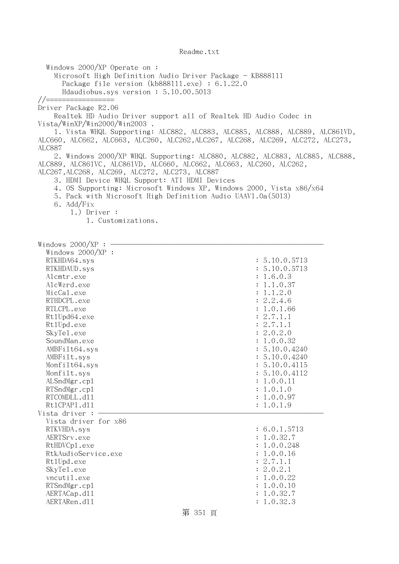Windows 2000/XP Operate on : Microsoft High Definition Audio Driver Package - KB888111 Package file version (kb888111.exe) : 6.1.22.0 Hdaudiobus.sys version : 5.10.00.5013 //================= Driver Package R2.06 Realtek HD Audio Driver support all of Realtek HD Audio Codec in Vista/WinXP/Win2000/Win2003 . 1. Vista WHQL Supporting: ALC882, ALC883, ALC885, ALC888, ALC889, ALC861VD, ALC660, ALC662, ALC663, ALC260, ALC262,ALC267, ALC268, ALC269, ALC272, ALC273, ALC887 2. Windows 2000/XP WHQL Supporting: ALC880, ALC882, ALC883, ALC885, ALC888, ALC889, ALC861VC, ALC861VD, ALC660, ALC662, ALC663, ALC260, ALC262, ALC267,ALC268, ALC269, ALC272, ALC273, ALC887 3. HDMI Device WHQL Support: ATI HDMI Devices 4. OS Supporting: Microsoft Windows XP, Windows 2000, Vista x86/x64 5. Pack with Microsoft High Definition Audio UAAV1.0a(5013) 6. Add/Fix 1.) Driver : 1. Customizations. Windows  $2000/XP : -$  Windows 2000/XP : RTKHDA64.sys : 5.10.0.5713 RTKHDAUD.sys : 5.10.0.5713 Alcmtr.exe : 1.6.0.3 AlcWzrd.exe : 1.1.0.37 MicCal.exe : 1.1.2.0 RTHDCPL.exe : 2.2.4.6 RTLCPL.exe : 1.0.1.66 Rt1Upd64.exe : 2.7.1.1 RtlUpd.exe : 2.7.1.1 SkyTel.exe : 2.0.2.0 SoundMan.exe : 1.0.0.32 AMBFilt64.sys : 5.10.0.4240 AMBFilt.sys : 5.10.0.4240 Monfilt64.sys : 5.10.0.4115 Monfilt.sys : 5.10.0.4112 ALSndMgr.cp1 : 1.0.0.11 : 1.0.0.11 : 1.0.0.11 : 1.0.0.11 : 1.0.0.11 : 1.0.0.11 : 1.0.0.11 : 1.0.0.11 : 1.0.0.11 : 1.0.0.11 : 1.0.0.11 : 1.0.0.11 : 1.0.0.11 : 1.0.0.11 : 1.0.0.11 : 1.0.0.11 : 1.0.0.11 : 1.0.0.11 : 1.0.0.11 RTSndMgr.cp1 : 1.0.1.0 RTCOMDLL.d11 : 1.0.0.97 Rt1CPAPI.d11 : 1.0.1.9 Vista driver : Vista driver for x86 RTKVHDA.sys : 6.0.1.5713 AERTSrv.exe : 1.0.32.7 RtHDVCp1.exe : 1.0.0.248 RtkAudioService.exe : 1.0.0.16 Rt1Upd.exe : 2.7.1.1 SkyTel.exe : 2.0.2.1 vncutil.exe : 1.0.0.22 RTSndMgr.cp1 : 1.0.0.10 AERTACap.d11 : 1.0.32.7 AERTARen.d11 : 1.0.32.3

第 351 頁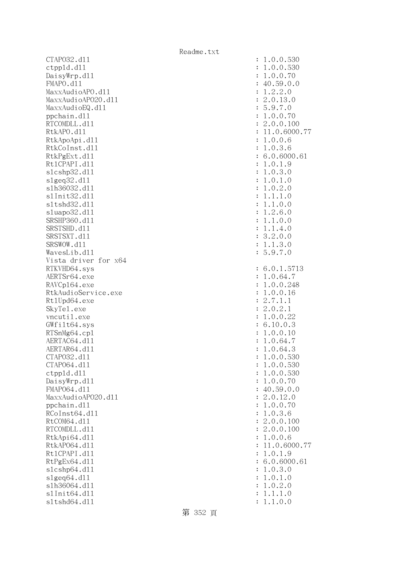CTAPO32.dll : 1.0.0.530 ctppld.dll : 1.0.0.530 DaisyWrp.dl1 : 1.0.0.70 : 1.0.0.70 FMAPO.d11 : 40.59.0.0 MaxxAudioAPO.dll : 1.2.2.0 MaxxAudioAPO20.dll : 2.0.13.0 MaxxAudioEQ.dl1 : 5.9.7.0 ppchain.dll : 1.0.0.70 RTCOMDLL.d11 : 2.0.0.100 RtkAPO.d11 : 11.0.6000.77 RtkApoApi.dll : 1.0.0.6 RtkCoInst.d11 : 1.0.3.6 RtkPgExt.d11 : 6.0.6000.61 Rt1CPAPI.d11 : 1.0.1.9 slcshp32.dll : 1.0.3.0 slgeq32.dll : 1.0.1.0 slh36032.dll : 1.0.2.0 slInit32.dll : 1.1.1.0 sltshd32.dll : 1.1.0.0 sluapo32.dl1 : 1.2.6.0 SRSHP360.d11 : 1.1.0.0 SRSTSHD.d11 : 1.1.4.0 SRSTSXT.d11 : 3.2.0.0 SRSWOW.d11 : 1.1.3.0 WavesLib.dl1 : 5.9.7.0 Vista driver for x64 RTKVHD64.sys : 6.0.1.5713 AERTSr64.exe : 1.0.64.7 RAVCp164.exe : 1.0.0.248 RtkAudioService.exe : 1.0.0.16 Rt1Upd64.exe : 2.7.1.1 SkyTel.exe : 2.0.2.1 vncutil.exe : 1.0.0.22 GWfilt64.sys : 6.10.0.3 RTSnMg64.cpl : 1.0.0.10 AERTAC64.d11 : 1.0.64.7 AERTAR64.d11 : 1.0.64.3 CTAPO32.dll : 1.0.0.530 CTAPO64.dll : 1.0.0.530 ctppld.dll : 1.0.0.530 DaisyWrp.dl1 : 1.0.0.70 : 1.0.0.70 FMAP064.d11 : 40.59.0.0 MaxxAudioAPO20.dl1 : 2.0.12.0 ppchain.dll : 1.0.0.70 : 1.0.0.70 : 1.0.0.70 : 1.0.0.70 : 1.0.0.70 : 1.0.0.70 : 1.0.0.70 : 1.0.0.70 : 1.0.0.70 RCoInst64.d11 : 1.0.3.6 RtCOM64.d11 : 2.0.0.100 RTCOMDLL.d11 : 2.0.0.100 RtkApi64.dll : 1.0.0.6 RtkAP064.d11 : 11.0.6000.77 Rt1CPAPI.d11 : 1.0.1.9 RtPgEx64.d11 : 6.0.6000.61 slcshp64.dll : 1.0.3.0 slgeq64.dll : 1.0.1.0 slh36064.dll : 1.0.2.0 slInit64.dll : 1.1.1.0 sltshd64.dll : 1.1.0.0

第 352 頁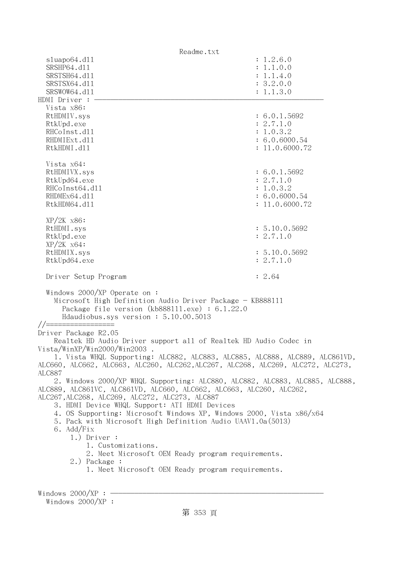| Readme.txt                                                                                                                                                                           |                |  |
|--------------------------------------------------------------------------------------------------------------------------------------------------------------------------------------|----------------|--|
| sluapo64.dll                                                                                                                                                                         | : 1.2.6.0      |  |
| SRSHP64.d11                                                                                                                                                                          | : 1.1.0.0      |  |
| SRSTSH64.d11                                                                                                                                                                         | : 1.1.4.0      |  |
| SRSTSX64.d11                                                                                                                                                                         | : 3.2.0.0      |  |
| SRSWOW64.d11                                                                                                                                                                         | : 1.1.3.0      |  |
|                                                                                                                                                                                      |                |  |
| HDMI Driver :                                                                                                                                                                        |                |  |
| Vista x86:                                                                                                                                                                           |                |  |
| RtHDMIV.sys                                                                                                                                                                          | : 6.0.1.5692   |  |
| RtkUpd.exe                                                                                                                                                                           | : 2.7.1.0      |  |
| RHCoInst.d11                                                                                                                                                                         | : 1.0.3.2      |  |
| RHDMIExt.d11                                                                                                                                                                         | : 6.0.6000.54  |  |
| RtkHDMI.d11                                                                                                                                                                          | : 11.0.6000.72 |  |
|                                                                                                                                                                                      |                |  |
| Vista x64:                                                                                                                                                                           |                |  |
|                                                                                                                                                                                      |                |  |
| RtHDMIVX.sys                                                                                                                                                                         | : 6.0.1.5692   |  |
| RtkUpd64.exe                                                                                                                                                                         | : 2.7.1.0      |  |
| RHCoInst64.d11                                                                                                                                                                       | : 1.0.3.2      |  |
| RHDMEx64.d11                                                                                                                                                                         | : 6.0.6000.54  |  |
| RtkHDM64.d11                                                                                                                                                                         | : 11.0.6000.72 |  |
|                                                                                                                                                                                      |                |  |
| $XP/2K$ $x86$ :                                                                                                                                                                      |                |  |
| RtHDMI.sys                                                                                                                                                                           | : 5.10.0.5692  |  |
| RtkUpd.exe                                                                                                                                                                           | : 2.7.1.0      |  |
| $XP/2K$ $x64$ :                                                                                                                                                                      |                |  |
|                                                                                                                                                                                      |                |  |
| RtHDMIX.sys                                                                                                                                                                          | : 5.10.0.5692  |  |
| RtkUpd64.exe                                                                                                                                                                         | : 2.7.1.0      |  |
|                                                                                                                                                                                      |                |  |
| Driver Setup Program                                                                                                                                                                 | : 2.64         |  |
| Windows $2000/XP$ Operate on:<br>Microsoft High Definition Audio Driver Package - KB888111<br>Package file version (kb888111.exe) : 6.1.22.0<br>Hdaudiobus.sys version: 5.10.00.5013 |                |  |
| //==================                                                                                                                                                                 |                |  |
| Driver Package R2.05                                                                                                                                                                 |                |  |
| Realtek HD Audio Driver support all of Realtek HD Audio Codec in                                                                                                                     |                |  |
| Vista/WinXP/Win2000/Win2003.                                                                                                                                                         |                |  |
| 1. Vista WHQL Supporting: ALC882, ALC883, ALC885, ALC888, ALC889, ALC861VD,                                                                                                          |                |  |
| ALC660, ALC662, ALC663, ALC260, ALC262, ALC267, ALC268, ALC269, ALC272, ALC273,<br><b>ALC887</b>                                                                                     |                |  |
| 2. Windows 2000/XP WHQL Supporting: ALC880, ALC882, ALC883, ALC885, ALC888,<br>ALC889, ALC861VC, ALC861VD, ALC660, ALC662, ALC663, ALC260, ALC262,                                   |                |  |
| ALC267, ALC268, ALC269, ALC272, ALC273, ALC887                                                                                                                                       |                |  |
|                                                                                                                                                                                      |                |  |
| 3. HDMI Device WHQL Support: ATI HDMI Devices                                                                                                                                        |                |  |
| 4. OS Supporting: Microsoft Windows XP, Windows 2000, Vista x86/x64                                                                                                                  |                |  |
| 5. Pack with Microsoft High Definition Audio UAAV1.0a(5013)                                                                                                                          |                |  |
| 6. Add/Fix                                                                                                                                                                           |                |  |
| $1.)$ Driver :                                                                                                                                                                       |                |  |
| 1. Customizations.                                                                                                                                                                   |                |  |
| 2. Meet Microsoft OEM Ready program requirements.                                                                                                                                    |                |  |
| 2.) Package :                                                                                                                                                                        |                |  |
| 1. Meet Microsoft OEM Ready program requirements.                                                                                                                                    |                |  |
|                                                                                                                                                                                      |                |  |
|                                                                                                                                                                                      |                |  |
| Windows $2000/XP$ :                                                                                                                                                                  |                |  |

Windows 2000/XP :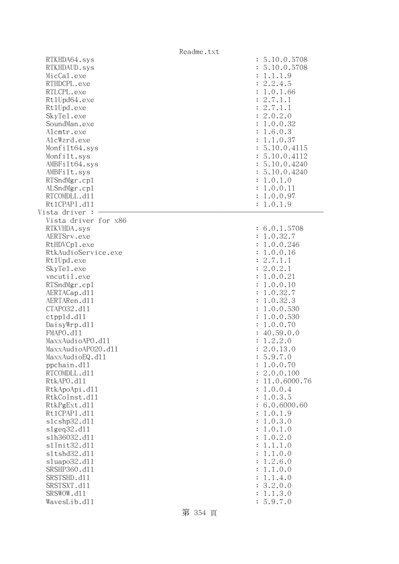|                                                                                                                                                                                                                                                  | Readme.txt                                                                                                                                                                                                                              |
|--------------------------------------------------------------------------------------------------------------------------------------------------------------------------------------------------------------------------------------------------|-----------------------------------------------------------------------------------------------------------------------------------------------------------------------------------------------------------------------------------------|
| RTKHDA64.sys<br>RTKHDAUD.sys<br>MicCal.exe<br>RTHDCPL.exe<br>RTLCPL.exe<br>Rt1Upd64.exe<br>Rt1Upd.exe<br>SkyTe1.exe<br>SoundMan.exe<br>Alcmtr.exe<br>AlcWzrd.exe<br>Monfilt64.sys<br>Monfilt.sys<br>AMBFilt64.sys<br>AMBFilt.sys<br>RTSndMgr.cp1 | : 5.10.0.5708<br>: 5.10.0.5708<br>: 1.1.1.9<br>: 2.2.4.5<br>: 1.0.1.66<br>: 2.7.1.1<br>: 2.7.1.1<br>: 2.0.2.0<br>: 1.0.0.32<br>: 1.6.0.3<br>: 1.1.0.37<br>: 5.10.0.4115<br>: 5.10.0.4112<br>: 5.10.0.4240<br>: 5.10.0.4240<br>: 1.0.1.0 |
| ALSndMgr.cp1                                                                                                                                                                                                                                     | : 1.0.0.11                                                                                                                                                                                                                              |
| RTCOMDLL.d11                                                                                                                                                                                                                                     | : 1.0.0.97                                                                                                                                                                                                                              |
| Rt1CPAPI.d11                                                                                                                                                                                                                                     | : 1.0.1.9                                                                                                                                                                                                                               |
| Vista driver :<br>Vista driver for x86<br>RTKVHDA.sys                                                                                                                                                                                            | : 6.0.1.5708                                                                                                                                                                                                                            |
| AERTSrv.exe                                                                                                                                                                                                                                      | : 1.0.32.7                                                                                                                                                                                                                              |
| RtHDVCp1.exe                                                                                                                                                                                                                                     | : 1.0.0.246                                                                                                                                                                                                                             |
| RtkAudioService.exe                                                                                                                                                                                                                              | : 1.0.0.16                                                                                                                                                                                                                              |
| Rt1Upd.exe                                                                                                                                                                                                                                       | : 2.7.1.1                                                                                                                                                                                                                               |
| SkyTe1.exe                                                                                                                                                                                                                                       | : 2.0.2.1                                                                                                                                                                                                                               |
| vncutil.exe                                                                                                                                                                                                                                      | : 1.0.0.21                                                                                                                                                                                                                              |
| RTSndMgr.cp1                                                                                                                                                                                                                                     | : 1.0.0.10                                                                                                                                                                                                                              |
| AERTACap.d11                                                                                                                                                                                                                                     | : 1.0.32.7                                                                                                                                                                                                                              |
| AERTARen.d11                                                                                                                                                                                                                                     | : 1.0.32.3                                                                                                                                                                                                                              |
| CTAP032.d11                                                                                                                                                                                                                                      | : 1.0.0.530                                                                                                                                                                                                                             |
| ctpp1d.d11                                                                                                                                                                                                                                       | : 1.0.0.530                                                                                                                                                                                                                             |
| DaisyWrp.dll<br>FMAPO.d11                                                                                                                                                                                                                        | : 1.0.0.70                                                                                                                                                                                                                              |
| MaxxAudioAPO.dll                                                                                                                                                                                                                                 | : 40.59.0.0<br>1.2.2.0                                                                                                                                                                                                                  |
| MaxxAudioAP020.dl1                                                                                                                                                                                                                               | 2.0.13.0                                                                                                                                                                                                                                |
| MaxxAudioEQ.d11                                                                                                                                                                                                                                  | 5.9.7.0                                                                                                                                                                                                                                 |
| ppchain.dll                                                                                                                                                                                                                                      | 1.0.0.70<br>$\ddot{\cdot}$                                                                                                                                                                                                              |
| RTCOMDLL.d11                                                                                                                                                                                                                                     | 2.0.0.100                                                                                                                                                                                                                               |
| RtkAPO.d11                                                                                                                                                                                                                                       | 11.0.6000.76                                                                                                                                                                                                                            |
| RtkApoApi.d11                                                                                                                                                                                                                                    | 1.0.0.4<br>$\ddot{\cdot}$                                                                                                                                                                                                               |
| RtkCoInst.d11                                                                                                                                                                                                                                    | 1.0.3.5<br>$\ddot{\cdot}$                                                                                                                                                                                                               |
| RtkPgExt.d11                                                                                                                                                                                                                                     | 6.0.6000.60                                                                                                                                                                                                                             |
| Rt1CPAPI.d11                                                                                                                                                                                                                                     | 1.0.1.9                                                                                                                                                                                                                                 |
| s1cshp32.d11                                                                                                                                                                                                                                     | 1.0.3.0<br>$\ddot{\cdot}$                                                                                                                                                                                                               |
| slgeq32.d11                                                                                                                                                                                                                                      | 1.0.1.0<br>$\ddot{\cdot}$                                                                                                                                                                                                               |
| s1h36032.d11                                                                                                                                                                                                                                     | 1.0.2.0<br>$\ddot{\cdot}$                                                                                                                                                                                                               |
| s1Init32.d11<br>s1tshd32.d11                                                                                                                                                                                                                     | 1.1.1.0<br>$\ddot{\cdot}$<br>1.1.0.0<br>$\ddot{\cdot}$                                                                                                                                                                                  |
| s1uapo32.d11                                                                                                                                                                                                                                     | 1.2.6.0<br>$\ddot{\cdot}$                                                                                                                                                                                                               |
| SRSHP360.d11                                                                                                                                                                                                                                     | 1.1.0.0<br>$\ddot{\cdot}$                                                                                                                                                                                                               |
| SRSTSHD.d11                                                                                                                                                                                                                                      | 1.1.4.0<br>$\ddot{\cdot}$                                                                                                                                                                                                               |
| SRSTSXT.d11                                                                                                                                                                                                                                      | 3.2.0.0                                                                                                                                                                                                                                 |
| SRSWOW.d11                                                                                                                                                                                                                                       | 1.1.3.0                                                                                                                                                                                                                                 |
| WavesLib.d11                                                                                                                                                                                                                                     | 5.9.7.0                                                                                                                                                                                                                                 |

第 354 頁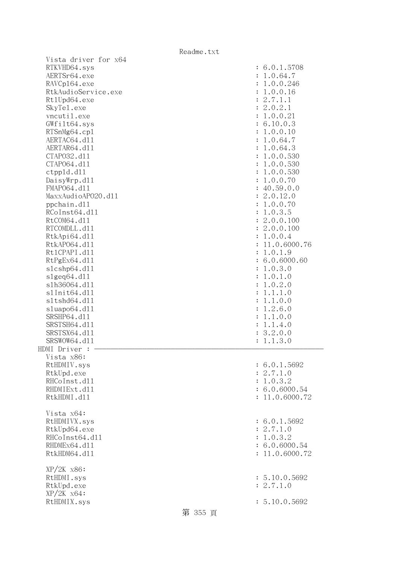| Vista driver for x64 |         |                           |
|----------------------|---------|---------------------------|
| RTKVHD64.sys         |         | : 6.0.1.5708              |
| AERTSr64.exe         |         | : 1.0.64.7                |
| RAVCp164.exe         |         | : 1.0.0.246               |
| RtkAudioService.exe  |         | : 1.0.0.16                |
|                      |         |                           |
| Rt1Upd64.exe         |         | : 2.7.1.1                 |
| SkyTe1.exe           |         | : 2.0.2.1                 |
| vncutil.exe          |         | : 1.0.0.21                |
| GWfilt64.sys         |         | : 6.10.0.3                |
| RTSnMg64.cp1         |         | : 1.0.0.10                |
| AERTAC64.d11         |         | : 1.0.64.7                |
| AERTAR64.d11         |         | : 1.0.64.3                |
|                      |         |                           |
| CTAP032.d11          |         | : 1.0.0.530               |
| CTAP064.d11          |         | : 1.0.0.530               |
| ctpp1d.d11           |         | : 1.0.0.530               |
| DaisyWrp.dll         |         | : 1.0.0.70                |
| FMAP064.d11          |         | : 40.59.0.0               |
| MaxxAudioAP020.dll   |         | : 2.0.12.0                |
| ppchain.dll          |         | : 1.0.0.70                |
| RCoInst64.d11        |         | : 1.0.3.5                 |
|                      |         |                           |
| RtCOM64.d11          |         | : 2.0.0.100               |
| RTCOMDLL.d11         |         | : 2.0.0.100               |
| RtkApi64.dl1         |         | : 1.0.0.4                 |
| RtkAP064.d11         |         | : 11.0.6000.76            |
| Rt1CPAPI.d11         |         | : 1.0.1.9                 |
| RtPgEx64.d11         |         | : 6.0.6000.60             |
| slcshp64.dll         |         | : 1.0.3.0                 |
| slgeq64. d11         |         | : 1.0.1.0                 |
| s1h36064.d11         |         | 1.0.2.0<br>$\ddot{\cdot}$ |
|                      |         |                           |
| s1Init64.d11         |         | 1.1.1.0<br>$\ddot{\cdot}$ |
| s1tshd64.d11         |         | 1.1.0.0<br>$\ddot{\cdot}$ |
| sluapo64.dll         |         | 1.2.6.0<br>$\ddot{\cdot}$ |
| SRSHP64.d11          |         | 1.1.0.0<br>$\ddot{\cdot}$ |
| SRSTSH64.d11         |         | : 1.1.4.0                 |
| SRSTSX64.d11         |         | : 3.2.0.0                 |
| SRSWOW64.d11         |         | 1.1.3.0<br>$\ddot{\cdot}$ |
| HDMI Driver :        |         |                           |
| Vista x86:           |         |                           |
| RtHDMIV.sys          |         | : 6.0.1.5692              |
|                      |         |                           |
| RtkUpd.exe           |         | : 2.7.1.0                 |
| RHCoInst.d11         |         | : 1.0.3.2                 |
| RHDMIExt.d11         |         | : 6.0.6000.54             |
| RtkHDMI.d11          |         | : 11.0.6000.72            |
|                      |         |                           |
| Vista x64:           |         |                           |
| RtHDMIVX.sys         |         |                           |
|                      |         |                           |
|                      |         | : 6.0.1.5692              |
| RtkUpd64.exe         |         | : 2.7.1.0                 |
| RHCoInst64.d11       |         | : 1.0.3.2                 |
| RHDMEx64.d11         |         | : 6.0.6000.54             |
| RtkHDM64.d11         |         | : 11.0.6000.72            |
|                      |         |                           |
| $XP/2K$ $x86$ :      |         |                           |
| RtHDMI.sys           |         | : 5.10.0.5692             |
| RtkUpd.exe           |         | : 2.7.1.0                 |
|                      |         |                           |
| $XP/ZK$ $x64$ :      |         |                           |
| RtHDMIX.sys          | 第 355 頁 | : 5.10.0.5692             |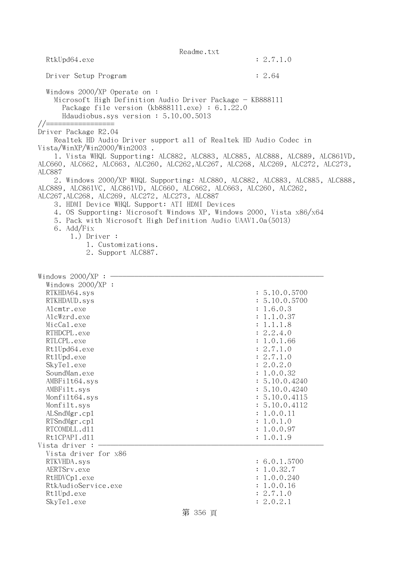| Readme.txt                                                                                                                                                                                                                                                                                                                                                       |                                                                                                                                                                                                                                                                                                                                                                                                                                                                                                                                                                    |                                                                                                                                                                                                                                                                                  |  |
|------------------------------------------------------------------------------------------------------------------------------------------------------------------------------------------------------------------------------------------------------------------------------------------------------------------------------------------------------------------|--------------------------------------------------------------------------------------------------------------------------------------------------------------------------------------------------------------------------------------------------------------------------------------------------------------------------------------------------------------------------------------------------------------------------------------------------------------------------------------------------------------------------------------------------------------------|----------------------------------------------------------------------------------------------------------------------------------------------------------------------------------------------------------------------------------------------------------------------------------|--|
| RtkUpd64.exe                                                                                                                                                                                                                                                                                                                                                     |                                                                                                                                                                                                                                                                                                                                                                                                                                                                                                                                                                    | : 2.7.1.0                                                                                                                                                                                                                                                                        |  |
| Driver Setup Program                                                                                                                                                                                                                                                                                                                                             |                                                                                                                                                                                                                                                                                                                                                                                                                                                                                                                                                                    | : 2.64                                                                                                                                                                                                                                                                           |  |
| Windows 2000/XP Operate on:<br>Microsoft High Definition Audio Driver Package - KB888111<br>Package file version $(kb888111.\text{exe}) : 6.1.22.0$<br>Hdaudiobus.sys version: 5.10.00.5013<br>//=================                                                                                                                                               |                                                                                                                                                                                                                                                                                                                                                                                                                                                                                                                                                                    |                                                                                                                                                                                                                                                                                  |  |
| Driver Package R2.04<br>Vista/WinXP/Win2000/Win2003.<br><b>ALC887</b>                                                                                                                                                                                                                                                                                            | Realtek HD Audio Driver support all of Realtek HD Audio Codec in<br>1. Vista WHQL Supporting: ALC882, ALC883, ALC885, ALC888, ALC889, ALC861VD,<br>ALC660, ALC662, ALC663, ALC260, ALC262, ALC267, ALC268, ALC269, ALC272, ALC273,<br>2. Windows 2000/XP WHQL Supporting: ALC880, ALC882, ALC883, ALC885, ALC888,<br>ALC889, ALC861VC, ALC861VD, ALC660, ALC662, ALC663, ALC260, ALC262,<br>ALC267, ALC268, ALC269, ALC272, ALC273, ALC887<br>3. HDMI Device WHQL Support: ATI HDMI Devices<br>4. OS Supporting: Microsoft Windows XP, Windows 2000, Vista x86/x64 |                                                                                                                                                                                                                                                                                  |  |
| 6. Add/Fix<br>$1.)$ Driver :                                                                                                                                                                                                                                                                                                                                     | 5. Pack with Microsoft High Definition Audio UAAV1.0a(5013)<br>1. Customizations.<br>2. Support ALC887.                                                                                                                                                                                                                                                                                                                                                                                                                                                            |                                                                                                                                                                                                                                                                                  |  |
| Windows $2000/XP$ :<br>Windows $2000/XP$ :<br>RTKHDA64.sys<br>RTKHDAUD.sys<br>Alcmtr.exe<br>AlcWzrd.exe<br>MicCal.exe<br>RTHDCPL.exe<br>RTLCPL.exe<br>Rt1Upd64.exe<br>Rt1Upd.exe<br>SkyTe1.exe<br>SoundMan.exe<br>AMBFilt64.sys<br>AMBFilt.sys<br>Monfilt64.sys<br>Monfilt.sys<br>ALSndMgr.cp1<br>RTSndMgr.cp1<br>RTCOMDLL.d11<br>Rt1CPAPI.d11<br>Vista driver : |                                                                                                                                                                                                                                                                                                                                                                                                                                                                                                                                                                    | : 5.10.0.5700<br>: 5.10.0.5700<br>: 1.6.0.3<br>: 1.1.0.37<br>: 1.1.1.8<br>: 2.2.4.0<br>: 1.0.1.66<br>: 2.7.1.0<br>: 2.7.1.0<br>: 2.0.2.0<br>: 1.0.0.32<br>: 5.10.0.4240<br>: 5.10.0.4240<br>: 5.10.0.4115<br>: 5.10.0.4112<br>: 1.0.0.11<br>: 1.0.1.0<br>: 1.0.0.97<br>: 1.0.1.9 |  |
| Vista driver for x86<br>RTKVHDA.sys<br>AERTSrv.exe<br>RtHDVCp1.exe<br>RtkAudioService.exe<br>Rt1Upd.exe<br>SkyTe1.exe                                                                                                                                                                                                                                            | 第 356 頁                                                                                                                                                                                                                                                                                                                                                                                                                                                                                                                                                            | : 6.0.1.5700<br>: 1.0.32.7<br>: 1.0.0.240<br>: 1.0.0.16<br>: 2.7.1.0<br>: 2.0.2.1                                                                                                                                                                                                |  |
|                                                                                                                                                                                                                                                                                                                                                                  |                                                                                                                                                                                                                                                                                                                                                                                                                                                                                                                                                                    |                                                                                                                                                                                                                                                                                  |  |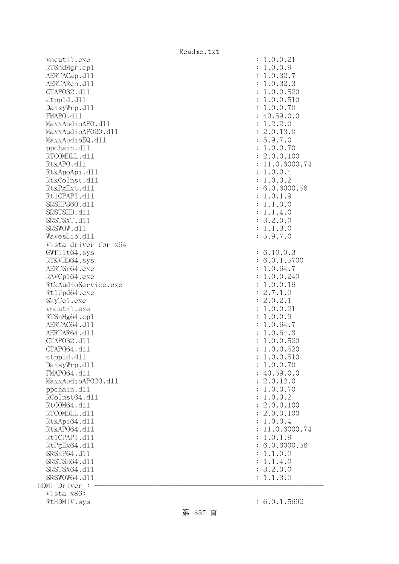vncutil.exe : 1.0.0.21 RTSndMgr.cp1 : 1.0.0.9 AERTACap.d11 : 1.0.32.7 AERTARen.d11 : 1.0.32.3 CTAPO32.dll : 1.0.0.520 ctppld.dll : 1.0.0.510 DaisyWrp.dl1 : 1.0.0.70 : 1.0.0.70 FMAPO.d11 : 40.59.0.0  $\text{MaxAudio}$ APO.dll  $\qquad \qquad \text{MaxAudio}$ APO.dll  $\qquad \qquad \text{MaxAudio}$ MaxxAudioAPO2O.dl1 : 2.0.13.0 MaxxAudioEQ.dl1 : 5.9.7.0 ppchain.dll : 1.0.0.70 RTCOMDLL.d11 : 2.0.0.100 RtkAPO.d11 : 11.0.6000.74 RtkApoApi.dll : 1.0.0.4 RtkCoInst.d11 : 1.0.3.2 RtkPgExt.dll : 6.0.6000.56 RtlCPAPI.dll : 1.0.1.9 SRSHP360.d11 : 1.1.0.0 SRSTSHD.d11 : 1.1.4.0 SRSTSXT.d11 : 3.2.0.0 SRSWOW.d11 : 1.1.3.0 WavesLib.dll : 5.9.7.0 Vista driver for x64 GWfilt64.sys : 6.10.0.3 RTKVHD64.sys : 6.0.1.5700 AERTSr64.exe : 1.0.64.7 RAVCp164.exe : 1.0.0.240 RtkAudioService.exe : 1.0.0.16 Rt1Upd64.exe : 2.7.1.0 SkyTel.exe : 2.0.2.1 vncutil.exe : 1.0.0.21 RTSnMg64.cp1 : 1.0.0.9 AERTAC64.d11 : 1.0.64.7 AERTAR64.d11 : 1.0.64.3 CTAPO32.dll : 1.0.0.520 CTAPO64.dll : 1.0.0.520 ctppld.dll : 1.0.0.510 DaisyWrp.dl1 : 1.0.0.70 : 1.0.0.70 FMAP064.d11 : 40.59.0.0 MaxxAudioAPO20.dll : 2.0.12.0 ppchain.dll : 1.0.0.70 RCoInst64.dl1 : 1.0.3.2 RtCOM64.d11 : 2.0.0.100 RTCOMDLL.d11 : 2.0.0.100 RtkApi64.dl1 : 1.0.0.4 RtkAP064.d11 : 11.0.6000.74 Rt1CPAPI.d11 : 1.0.1.9 RtPgEx64.dll : 6.0.6000.56 SRSHP64.d11 : 1.1.0.0 SRSTSH64.d11 : 1.1.4.0 SRSTSX64.d11 : 3.2.0.0 SRSWOW64.dll : 1.1.3.0 HDMI Driver : - Vista x86: RtHDMIV.sys : 6.0.1.5692

第 357 頁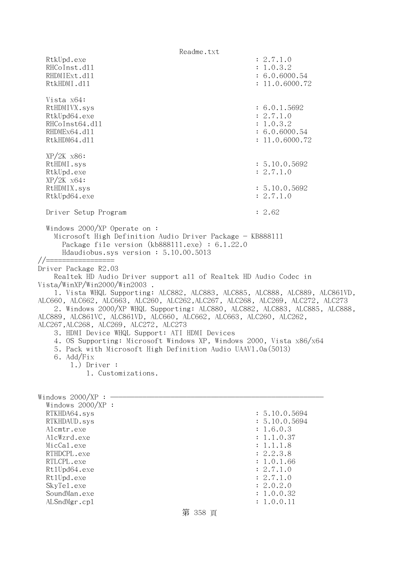Readme.txt RtkUpd.exe : 2.7.1.0 RHCoInst.d11 : 1.0.3.2 RHDMIExt.d11 : 6.0.6000.54 RtkHDMI.d11 : 11.0.6000.72 Vista x64: RtHDMIVX.sys : 6.0.1.5692 RtkUpd64.exe : 2.7.1.0 RHCoInst64.d11 : 1.0.3.2 RHDMEx64.d11 : 6.0.6000.54 RtkHDM64.d11 : 11.0.6000.72 XP/2K x86: RtHDMI.sys : 5.10.0.5692 RtkUpd.exe : 2.7.1.0 XP/2K x64: RtHDMIX.sys : 5.10.0.5692 RtkUpd64.exe : 2.7.1.0 Driver Setup Program : 2.62 Windows 2000/XP Operate on : Microsoft High Definition Audio Driver Package - KB888111 Package file version (kb888111.exe) : 6.1.22.0 Hdaudiobus.sys version : 5.10.00.5013 //================= Driver Package R2.03 Realtek HD Audio Driver support all of Realtek HD Audio Codec in Vista/WinXP/Win2000/Win2003 . 1. Vista WHQL Supporting: ALC882, ALC883, ALC885, ALC888, ALC889, ALC861VD, ALC660, ALC662, ALC663, ALC260, ALC262,ALC267, ALC268, ALC269, ALC272, ALC273 2. Windows 2000/XP WHQL Supporting: ALC880, ALC882, ALC883, ALC885, ALC888, ALC889, ALC861VC, ALC861VD, ALC660, ALC662, ALC663, ALC260, ALC262, ALC267,ALC268, ALC269, ALC272, ALC273 3. HDMI Device WHQL Support: ATI HDMI Devices 4. OS Supporting: Microsoft Windows XP, Windows 2000, Vista x86/x64 5. Pack with Microsoft High Definition Audio UAAV1.0a(5013) 6. Add/Fix 1.) Driver : 1. Customizations. Windows  $2000/XP : -$  Windows 2000/XP : RTKHDA64.sys : 5.10.0.5694 RTKHDAUD.sys : 5.10.0.5694 Alcmtr.exe : 1.6.0.3 AlcWzrd.exe : 1.1.0.37 MicCal.exe : 1.1.1.8 RTHDCPL.exe : 2.2.3.8 RTLCPL.exe : 1.0.1.66<br>Rt1Upd64.exe : 2.7.1.0 Rt1Upd64.exe RtlUpd.exe : 2.7.1.0 SkyTel.exe : 2.0.2.0 SoundMan.exe : 1.0.0.32 ALSndMgr.cp1 : 1.0.0.11

## 第 358 頁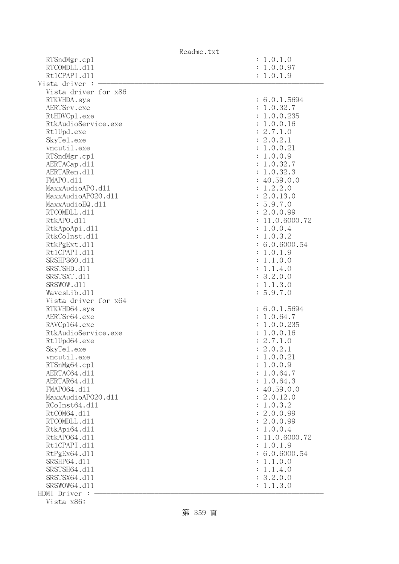| Readme.txt           |                              |
|----------------------|------------------------------|
| RTSndMgr.cp1         | : 1.0.1.0                    |
| RTCOMDLL.d11         | : 1.0.0.97                   |
| Rt1CPAPI.d11         | : 1.0.1.9                    |
| Vista driver :       |                              |
| Vista driver for x86 |                              |
| RTKVHDA.sys          | : 6.0.1.5694                 |
| AERTSrv.exe          | : 1.0.32.7                   |
| RtHDVCp1.exe         | : 1.0.0.235                  |
| RtkAudioService.exe  | : 1.0.0.16                   |
| Rt1Upd.exe           | : 2.7.1.0                    |
| SkyTe1.exe           | : 2.0.2.1                    |
| vncutil.exe          | : 1.0.0.21                   |
| RTSndMgr.cp1         | : 1.0.0.9                    |
| AERTACap.d11         | : 1.0.32.7                   |
| AERTARen.d11         | : 1.0.32.3                   |
| FMAPO.d11            | : 40.59.0.0                  |
| MaxxAudioAPO.dl1     | : 1.2.2.0                    |
| MaxxAudioAP020.dll   | : 2.0.13.0                   |
| MaxxAudioEQ.d11      | : 5.9.7.0                    |
| RTCOMDLL.d11         |                              |
|                      | : 2.0.0.99<br>: 11.0.6000.72 |
| RtkAPO.d11           |                              |
| RtkApoApi.d11        | : 1.0.0.4                    |
| RtkCoInst.d11        | : 1.0.3.2                    |
| RtkPgExt.d11         | : 6.0.6000.54                |
| Rt1CPAPI.d11         | : 1.0.1.9                    |
| SRSHP360.d11         | : 1.1.0.0                    |
| SRSTSHD.d11          | : 1.1.4.0                    |
| SRSTSXT.d11          | : 3.2.0.0                    |
| SRSWOW.d11           | : 1.1.3.0                    |
| WavesLib.dll         | : 5.9.7.0                    |
| Vista driver for x64 |                              |
| RTKVHD64.sys         | : 6.0.1.5694                 |
| AERTSr64.exe         | : 1.0.64.7                   |
| RAVCp164.exe         | : 1.0.0.235                  |
| RtkAudioService.exe  | : 1.0.0.16                   |
| Rt1Upd64.exe         | : 2.7.1.0                    |
| SkyTe1.exe           | : 2.0.2.1                    |
| vncutil.exe          | : 1.0.0.21                   |
| RTSnMg64.cp1         | 1.0.0.9<br>$\ddot{\cdot}$    |
| AERTAC64.d11         | 1.0.64.7<br>$\ddot{\cdot}$   |
| AERTAR64.d11         | 1.0.64.3<br>$\ddot{\cdot}$   |
| FMAP064.d11          | : 40.59.0.0                  |
| MaxxAudioAP020.dll   | : 2.0.12.0                   |
| RCoInst64.d11        | 1.0.3.2<br>$\ddot{\cdot}$    |
| RtCOM64.d11          | 2.0.0.99<br>$\ddot{\cdot}$   |
| RTCOMDLL.d11         | : 2.0.0.99                   |
| RtkApi64.dl1         | 1.0.0.4<br>$\ddot{\cdot}$    |
| RtkAP064.d11         | 11.0.6000.72                 |
| Rt1CPAPI.d11         | 1.0.1.9<br>$\ddot{\cdot}$    |
| RtPgEx64.d11         | : 6.0.6000.54                |
| SRSHP64.d11          | 1.1.0.0<br>$\ddot{\cdot}$    |
| SRSTSH64.d11         | 1.1.4.0<br>$\ddot{\cdot}$    |
| SRSTSX64.d11         | : 3.2.0.0                    |
| SRSWOW64.d11         | 1.1.3.0                      |
| HDMI Driver :        |                              |
|                      |                              |

Vista x86:

第 359 頁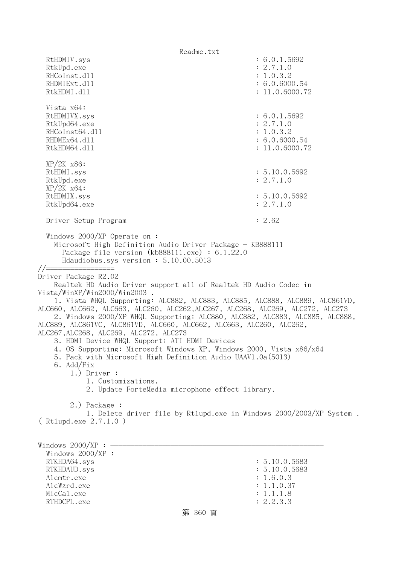Readme.txt RtHDMIV.sys : 6.0.1.5692 RtkUpd.exe : 2.7.1.0 RHCoInst.d11 : 1.0.3.2 RHDMIExt.d11 : 6.0.6000.54 RtkHDMI.d11 : 11.0.6000.72 Vista x64: RtHDMIVX.sys : 6.0.1.5692 RtkUpd64.exe : 2.7.1.0 RHCoInst64.d11 : 1.0.3.2 RHDMEx64.d11 : 6.0.6000.54 RtkHDM64.d11 : 11.0.6000.72 XP/2K x86: RtHDMI.sys : 5.10.0.5692 RtkUpd.exe : 2.7.1.0 XP/2K x64: RtHDMIX.sys : 5.10.0.5692 RtkUpd64.exe : 2.7.1.0 Driver Setup Program : 2.62 Windows 2000/XP Operate on : Microsoft High Definition Audio Driver Package - KB888111 Package file version (kb888111.exe) : 6.1.22.0 Hdaudiobus.sys version : 5.10.00.5013 //================= Driver Package R2.02 Realtek HD Audio Driver support all of Realtek HD Audio Codec in Vista/WinXP/Win2000/Win2003 . 1. Vista WHQL Supporting: ALC882, ALC883, ALC885, ALC888, ALC889, ALC861VD, ALC660, ALC662, ALC663, ALC260, ALC262,ALC267, ALC268, ALC269, ALC272, ALC273 2. Windows 2000/XP WHQL Supporting: ALC880, ALC882, ALC883, ALC885, ALC888, ALC889, ALC861VC, ALC861VD, ALC660, ALC662, ALC663, ALC260, ALC262, ALC267,ALC268, ALC269, ALC272, ALC273 3. HDMI Device WHQL Support: ATI HDMI Devices 4. OS Supporting: Microsoft Windows XP, Windows 2000, Vista x86/x64 5. Pack with Microsoft High Definition Audio UAAV1.0a(5013) 6. Add/Fix 1.) Driver : 1. Customizations. 2. Update ForteMedia microphone effect library. 2.) Package : 1. Delete driver file by Rtlupd.exe in Windows 2000/2003/XP System . ( Rtlupd.exe 2.7.1.0 ) Windows  $2000/XP : -$  Windows 2000/XP : RTKHDA64.sys : 5.10.0.5683 RTKHDAUD.sys : 5.10.0.5683 Alcmtr.exe : 1.6.0.3 AlcWzrd.exe : 1.1.0.37 MicCal.exe : 1.1.1.8 RTHDCPL.exe : 2.2.3.3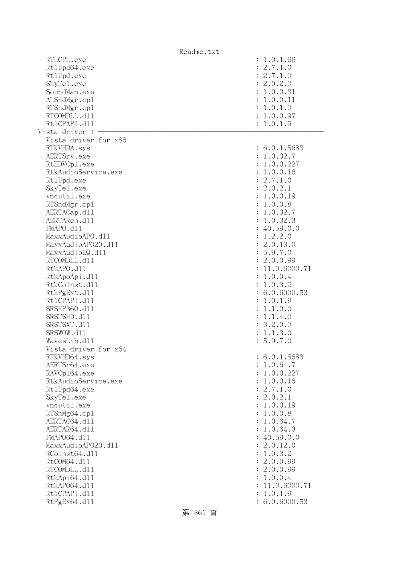|                              | Readme.txt |                |                         |
|------------------------------|------------|----------------|-------------------------|
| RTLCPL.exe                   |            |                | : 1.0.1.66              |
| Rt1Upd64.exe                 |            |                | : 2.7.1.0               |
| Rt1Upd.exe                   |            |                | : 2.7.1.0               |
| SkyTe1.exe                   |            |                | : 2.0.2.0               |
| SoundMan.exe                 |            |                | : 1.0.0.31              |
| ALSndMgr.cp1                 |            |                | : 1.0.0.11              |
| RTSndMgr.cp1                 |            |                | : 1.0.1.0               |
| RTCOMDLL.d11                 |            |                | : 1.0.0.97              |
| Rt1CPAPI.d11                 |            |                | : 1.0.1.9               |
| Vista driver :               |            |                |                         |
| Vista driver for x86         |            |                |                         |
| RTKVHDA.sys                  |            |                | : 6.0.1.5683            |
| AERTSrv.exe                  |            |                | : 1.0.32.7              |
| RtHDVCp1.exe                 |            |                | : 1.0.0.227             |
| RtkAudioService.exe          |            |                | : 1.0.0.16              |
| Rt1Upd.exe                   |            |                | : 2.7.1.0               |
| SkyTe1.exe                   |            |                | : 2.0.2.1               |
| vncutil.exe                  |            |                | : 1.0.0.19              |
| RTSndMgr.cp1                 |            |                | : 1.0.0.8               |
| AERTACap.d11                 |            |                | : 1.0.32.7              |
| AERTARen.d11                 |            |                | : 1.0.32.3              |
| FMAPO.d11                    |            |                | : 40.59.0.0             |
| MaxxAudioAPO.dll             |            |                | : 1.2.2.0               |
| MaxxAudioAP020.d11           |            |                | : 2.0.13.0              |
| MaxxAudioEQ.d11              |            |                | : 5.9.7.0               |
| RTCOMDLL.d11                 |            |                | : 2.0.0.99              |
| RtkAPO.d11                   |            |                | : 11.0.6000.71          |
| RtkApoApi.d11                |            |                | : 1.0.0.4               |
| RtkCoInst.d11                |            |                | : 1.0.3.2               |
| RtkPgExt.d11                 |            |                | : 6.0.6000.53           |
| Rt1CPAPI.d11                 |            |                | : 1.0.1.9               |
| SRSHP360.d11                 |            | $\ddot{\cdot}$ | 1.1.0.0                 |
| SRSTSHD.d11                  |            |                | : 1.1.4.0               |
| SRSTSXT.d11                  |            |                | : 3.2.0.0               |
| SRSWOW.d11                   |            |                | : 1.1.3.0               |
| WavesLib.d11                 |            |                | : 5.9.7.0               |
| Vista driver for x64         |            |                |                         |
|                              |            |                |                         |
| RTKVHD64.sys                 |            |                | : 6.0.1.5683            |
| AERTSr64.exe<br>RAVCp164.exe |            |                | : 1.0.64.7              |
| RtkAudioService.exe          |            |                | : 1.0.0.227             |
| Rt1Upd64.exe                 |            |                | : 1.0.0.16<br>: 2.7.1.0 |
|                              |            |                | : 2.0.2.1               |
| SkyTe1.exe                   |            |                |                         |
| vncutil.exe                  |            |                | : 1.0.0.19              |
| RTSnMg64.cp1                 |            |                | : 1.0.0.8               |
| AERTAC64.d11                 |            |                | : 1.0.64.7              |
| AERTAR64.d11                 |            |                | : 1.0.64.3              |
| FMAP064.d11                  |            |                | : 40.59.0.0             |
| MaxxAudioAP020.dll           |            |                | : 2.0.12.0              |
| RCoInst64.d11                |            |                | : 1.0.3.2               |
| RtCOM64.d11                  |            |                | : 2.0.0.99              |
| RTCOMDLL.d11                 |            |                | : 2.0.0.99              |
| RtkApi64.d11                 |            |                | : 1.0.0.4               |
| RtkAP064.d11                 |            |                | 11.0.6000.71            |
| Rt1CPAPI.d11                 |            | $\ddot{\cdot}$ | 1.0.1.9                 |
| RtPgEx64.d11                 |            |                | : 6.0.6000.53           |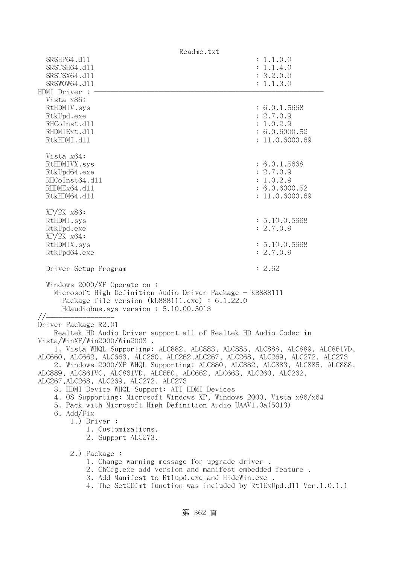| Readme.txt                                                                                                                                                                                    |                            |  |
|-----------------------------------------------------------------------------------------------------------------------------------------------------------------------------------------------|----------------------------|--|
| SRSHP64.d11                                                                                                                                                                                   | : 1.1.0.0                  |  |
| SRSTSH64.d11                                                                                                                                                                                  | : 1.1.4.0                  |  |
| SRSTSX64.d11                                                                                                                                                                                  | : 3.2.0.0                  |  |
| SRSWOW64.d11                                                                                                                                                                                  | : 1.1.3.0                  |  |
| HDMI Driver :<br>Vista x86:                                                                                                                                                                   |                            |  |
| RtHDMIV.sys                                                                                                                                                                                   | : 6.0.1.5668               |  |
| RtkUpd.exe                                                                                                                                                                                    | : 2.7.0.9                  |  |
| RHCoInst.d11                                                                                                                                                                                  | : 1.0.2.9                  |  |
| RHDMIExt.d11                                                                                                                                                                                  | : 6.0.6000.52              |  |
| RtkHDMI.d11                                                                                                                                                                                   | : 11.0.6000.69             |  |
|                                                                                                                                                                                               |                            |  |
| Vista x64:                                                                                                                                                                                    |                            |  |
| RtHDMIVX.sys                                                                                                                                                                                  | : 6.0.1.5668               |  |
| RtkUpd64.exe<br>RHCoInst64.d11                                                                                                                                                                | : 2.7.0.9<br>: 1.0.2.9     |  |
| RHDMEx64.d11                                                                                                                                                                                  | : 6.0.6000.52              |  |
| RtkHDM64.d11                                                                                                                                                                                  | : 11.0.6000.69             |  |
|                                                                                                                                                                                               |                            |  |
| $XP/2K$ $x86$ :                                                                                                                                                                               |                            |  |
| RtHDMI.sys                                                                                                                                                                                    | : 5.10.0.5668              |  |
| RtkUpd.exe                                                                                                                                                                                    | : 2.7.0.9                  |  |
| $XP/ZK$ $x64$ :                                                                                                                                                                               |                            |  |
| RtHDMIX.sys                                                                                                                                                                                   | : 5.10.0.5668<br>: 2.7.0.9 |  |
| RtkUpd64.exe                                                                                                                                                                                  |                            |  |
| Driver Setup Program                                                                                                                                                                          | : 2.62                     |  |
| Windows $2000/XP$ Operate on:<br>Microsoft High Definition Audio Driver Package - KB888111<br>Package file version $(kb888111.\text{exe}) : 6.1.22.0$<br>Hdaudiobus.sys version: 5.10.00.5013 |                            |  |
| //==================                                                                                                                                                                          |                            |  |
| Driver Package R2.01<br>Realtek HD Audio Driver support all of Realtek HD Audio Codec in                                                                                                      |                            |  |
| Vista/WinXP/Win2000/Win2003.                                                                                                                                                                  |                            |  |
| 1. Vista WHQL Supporting: ALC882, ALC883, ALC885, ALC888, ALC889, ALC861VD,                                                                                                                   |                            |  |
| ALC660, ALC662, ALC663, ALC260, ALC262, ALC267, ALC268, ALC269, ALC272, ALC273                                                                                                                |                            |  |
| 2. Windows 2000/XP WHQL Supporting: ALC880, ALC882, ALC883, ALC885, ALC888,                                                                                                                   |                            |  |
| ALC889, ALC861VC, ALC861VD, ALC660, ALC662, ALC663, ALC260, ALC262,                                                                                                                           |                            |  |
| ALC267, ALC268, ALC269, ALC272, ALC273<br>3. HDMI Device WHQL Support: ATI HDMI Devices                                                                                                       |                            |  |
| 4. OS Supporting: Microsoft Windows XP, Windows 2000, Vista x86/x64                                                                                                                           |                            |  |
| 5. Pack with Microsoft High Definition Audio UAAV1.0a(5013)                                                                                                                                   |                            |  |
| 6. Add/Fix                                                                                                                                                                                    |                            |  |
| $1.)$ Driver :                                                                                                                                                                                |                            |  |
| 1. Customizations.                                                                                                                                                                            |                            |  |
| 2. Support ALC273.                                                                                                                                                                            |                            |  |
| 2.) Package :                                                                                                                                                                                 |                            |  |
| 1. Change warning message for upgrade driver.                                                                                                                                                 |                            |  |
| 2. ChCfg.exe add version and manifest embedded feature.                                                                                                                                       |                            |  |
| 3. Add Manifest to Rtlupd.exe and HideWin.exe.                                                                                                                                                |                            |  |
| 4. The SetCDfmt function was included by Rt1ExUpd.d11 Ver.1.0.1.1                                                                                                                             |                            |  |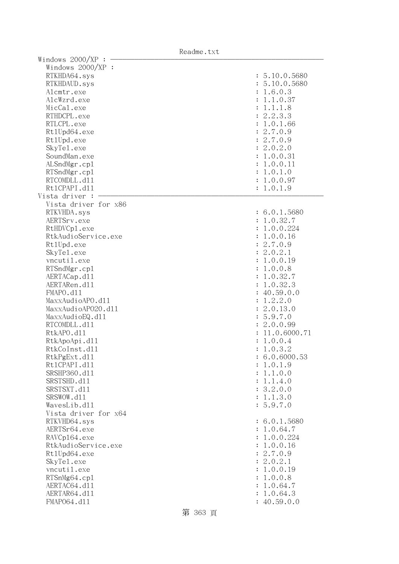| Windows 2000/XP      |                |
|----------------------|----------------|
| Windows $2000/XP$ :  |                |
| RTKHDA64.sys         | : 5.10.0.5680  |
| RTKHDAUD.sys         | : 5.10.0.5680  |
| Alcmtr.exe           | : 1.6.0.3      |
| AlcWzrd.exe          | 1.1.0.37       |
| MicCal.exe           | 1.1.1.8        |
| RTHDCPL.exe          | 2.2.3.3        |
| RTLCPL.exe           | 1.0.1.66       |
| Rt1Upd64.exe         | 2.7.0.9        |
|                      |                |
| Rt1Upd.exe           | : 2.7.0.9      |
| SkyTe1.exe           | : 2.0.2.0      |
| SoundMan.exe         | : 1.0.0.31     |
| ALSndMgr.cp1         | : 1.0.0.11     |
| RTSndMgr.cp1         | : 1.0.1.0      |
| RTCOMDLL.d11         | : 1.0.0.97     |
| Rt1CPAPI.d11         | : 1.0.1.9      |
| Vista driver :       |                |
| Vista driver for x86 |                |
| RTKVHDA.sys          | : 6.0.1.5680   |
| AERTSrv.exe          | : 1.0.32.7     |
| RtHDVCp1.exe         | : 1.0.0.224    |
| RtkAudioService.exe  | : 1.0.0.16     |
| Rt1Upd.exe           | : 2.7.0.9      |
| SkyTe1.exe           | : 2.0.2.1      |
| vncutil.exe          | : 1.0.0.19     |
| RTSndMgr.cp1         | : 1.0.0.8      |
| AERTACap.d11         | : 1.0.32.7     |
| AERTARen.d11         | : 1.0.32.3     |
| FMAPO.d11            | : 40.59.0.0    |
| MaxxAudioAPO.dll     | 1.2.2.0        |
| MaxxAudioAP020.dll   | : 2.0.13.0     |
| MaxxAudioEQ.d11      | : 5.9.7.0      |
| RTCOMDLL.d11         | : 2.0.0.99     |
| RtkAPO.d11           | : 11.0.6000.71 |
|                      |                |
| RtkApoApi.d11        | : 1.0.0.4      |
| RtkCoInst.d11        | 1.0.3.2        |
| RtkPgExt.d11         | : 6.0.6000.53  |
| Rt1CPAPI.d11         | : 1.0.1.9      |
| SRSHP360.d11         | : 1.1.0.0      |
| SRSTSHD.d11          | : 1.1.4.0      |
| SRSTSXT.d11          | : 3.2.0.0      |
| SRSWOW.d11           | : 1.1.3.0      |
| WavesLib.dll         | : 5.9.7.0      |
| Vista driver for x64 |                |
| RTKVHD64.sys         | : 6.0.1.5680   |
| AERTSr64.exe         | : 1.0.64.7     |
| RAVCp164.exe         | : 1.0.0.224    |
| RtkAudioService.exe  | : 1.0.0.16     |
| Rt1Upd64.exe         | : 2.7.0.9      |
| SkyTe1.exe           | : 2.0.2.1      |
| vncutil.exe          | : 1.0.0.19     |
| RTSnMg64.cp1         | : 1.0.0.8      |
| AERTAC64.d11         | 1.0.64.7       |
| AERTAR64.d11         | 1.0.64.3       |
| FMAP064.d11          | : 40.59.0.0    |

Readme.txt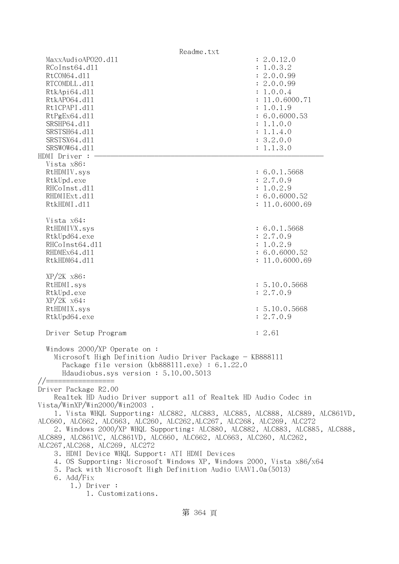| Readme.txt                                                                                                                                                                                                                                                                                                                                                                                                                                                                                                                                                                                                                                                                                                                        |                                                                                                                                                                      |
|-----------------------------------------------------------------------------------------------------------------------------------------------------------------------------------------------------------------------------------------------------------------------------------------------------------------------------------------------------------------------------------------------------------------------------------------------------------------------------------------------------------------------------------------------------------------------------------------------------------------------------------------------------------------------------------------------------------------------------------|----------------------------------------------------------------------------------------------------------------------------------------------------------------------|
| MaxxAudioAP020.d11<br>RCoInst64.d11<br>RtCOM64.d11<br>RTCOMDLL.d11<br>RtkApi64.dl1<br>RtkAP064.d11<br>Rt1CPAPI.d11<br>RtPgEx64.d11<br>SRSHP64.d11<br>SRSTSH64.d11<br>SRSTSX64.d11<br>SRSWOW64.d11<br>HDMI Driver : -                                                                                                                                                                                                                                                                                                                                                                                                                                                                                                              | : 2.0.12.0<br>: 1.0.3.2<br>: 2.0.0.99<br>: 2.0.0.99<br>: 1.0.0.4<br>: 11.0.6000.71<br>: 1.0.1.9<br>: 6.0.6000.53<br>: 1.1.0.0<br>: 1.1.4.0<br>: 3.2.0.0<br>: 1.1.3.0 |
| Vista x86:<br>RtHDMIV.sys<br>RtkUpd.exe<br>RHCoInst.d11<br>RHDMIExt.d11<br>RtkHDMI.d11                                                                                                                                                                                                                                                                                                                                                                                                                                                                                                                                                                                                                                            | : 6.0.1.5668<br>: 2.7.0.9<br>: 1.0.2.9<br>: 6.0.6000.52<br>: 11.0.6000.69                                                                                            |
| Vista x64:<br>RtHDMIVX.sys<br>RtkUpd64.exe<br>RHCoInst64.d11<br>RHDMEx64.d11<br>RtkHDM64.d11                                                                                                                                                                                                                                                                                                                                                                                                                                                                                                                                                                                                                                      | : 6.0.1.5668<br>: 2.7.0.9<br>: 1.0.2.9<br>: 6.0.6000.52<br>: 11.0.6000.69                                                                                            |
| $XP/2K$ $x86$ :<br>RtHDMI.sys<br>RtkUpd.exe<br>$XP/ZK$ $x64$ :<br>RtHDMIX.sys<br>RtkUpd64.exe                                                                                                                                                                                                                                                                                                                                                                                                                                                                                                                                                                                                                                     | : 5.10.0.5668<br>: 2.7.0.9<br>: 5.10.0.5668<br>: 2.7.0.9                                                                                                             |
| Driver Setup Program<br>Windows 2000/XP Operate on:<br>Microsoft High Definition Audio Driver Package - KB888111<br>Package file version $(kb888111.\text{exe}) : 6.1.22.0$<br>Hdaudiobus.sys version: 5.10.00.5013                                                                                                                                                                                                                                                                                                                                                                                                                                                                                                               | : 2.61                                                                                                                                                               |
| $// ==$<br>Driver Package R2.00<br>Realtek HD Audio Driver support all of Realtek HD Audio Codec in<br>Vista/WinXP/Win2000/Win2003.<br>1. Vista WHQL Supporting: ALC882, ALC883, ALC885, ALC888, ALC889, ALC861VD,<br>ALC660, ALC662, ALC663, ALC260, ALC262, ALC267, ALC268, ALC269, ALC272<br>2. Windows 2000/XP WHQL Supporting: ALC880, ALC882, ALC883, ALC885, ALC888,<br>ALC889, ALC861VC, ALC861VD, ALC660, ALC662, ALC663, ALC260, ALC262,<br>ALC267, ALC268, ALC269, ALC272<br>3. HDMI Device WHQL Support: ATI HDMI Devices<br>4. OS Supporting: Microsoft Windows XP, Windows 2000, Vista x86/x64<br>5. Pack with Microsoft High Definition Audio UAAV1.0a(5013)<br>6. Add/Fix<br>$1.)$ Driver :<br>1. Customizations. |                                                                                                                                                                      |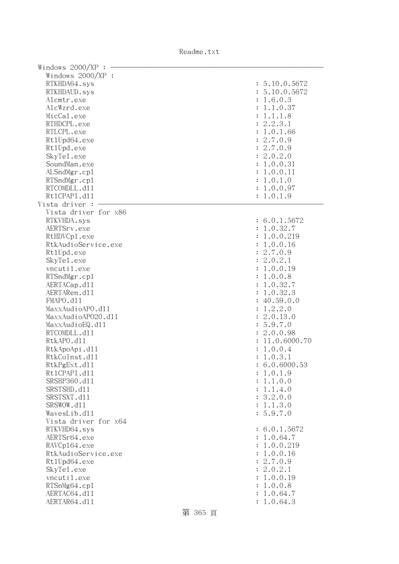Readme.txt

| Windows 2000/XP      |                |
|----------------------|----------------|
| Windows $2000/XP$ :  |                |
| RTKHDA64.sys         | : 5.10.0.5672  |
| RTKHDAUD.sys         | : 5.10.0.5672  |
| Alcmtr.exe           | : 1.6.0.3      |
| AlcWzrd.exe          | 1.1.0.37       |
| MicCal.exe           | 1.1.1.8        |
|                      |                |
| RTHDCPL.exe          | 2.2.3.1        |
| RTLCPL.exe           | 1.0.1.66       |
| Rt1Upd64.exe         | 2.7.0.9        |
| Rt1Upd.exe           | : 2.7.0.9      |
| SkyTe1.exe           | : 2.0.2.0      |
| SoundMan.exe         | : 1.0.0.31     |
| ALSndMgr.cp1         | : 1.0.0.11     |
| RTSndMgr.cp1         | : 1.0.1.0      |
| RTCOMDLL.d11         | : 1.0.0.97     |
| Rt1CPAPI.d11         | : 1.0.1.9      |
| Vista driver :       |                |
| Vista driver for x86 |                |
| RTKVHDA.sys          | : 6.0.1.5672   |
| AERTSrv.exe          | : 1.0.32.7     |
| RtHDVCp1.exe         | : 1.0.0.219    |
| RtkAudioService.exe  | : 1.0.0.16     |
| Rt1Upd.exe           | : 2.7.0.9      |
| SkyTe1.exe           | : 2.0.2.1      |
| vncutil.exe          | : 1.0.0.19     |
|                      |                |
| RTSndMgr.cp1         | : 1.0.0.8      |
| AERTACap.d11         | : 1.0.32.7     |
| AERTARen.d11         | : 1.0.32.3     |
| FMAPO.d11            | : 40.59.0.0    |
| MaxxAudioAPO.dll     | 1.2.2.0        |
| MaxxAudioAP020.dll   | : 2.0.13.0     |
| MaxxAudioEQ.d11      | : 5.9.7.0      |
| RTCOMDLL.d11         | : 2.0.0.98     |
| RtkAPO.d11           | : 11.0.6000.70 |
| RtkApoApi.d11        | : 1.0.0.4      |
| RtkCoInst.d11        | 1.0.3.1        |
| RtkPgExt.d11         | : 6.0.6000.53  |
| Rt1CPAPI.d11         | : 1.0.1.9      |
| SRSHP360.d11         | : 1.1.0.0      |
| SRSTSHD.d11          | : 1.1.4.0      |
| SRSTSXT.d11          | : 3.2.0.0      |
| SRSWOW.d11           | : 1.1.3.0      |
| WavesLib.dll         | : 5.9.7.0      |
| Vista driver for x64 |                |
| RTKVHD64.sys         | : 6.0.1.5672   |
|                      |                |
| AERTSr64.exe         | : 1.0.64.7     |
| RAVCp164.exe         | : 1.0.0.219    |
| RtkAudioService.exe  | : 1.0.0.16     |
| Rt1Upd64.exe         | : 2.7.0.9      |
| SkyTe1.exe           | : 2.0.2.1      |
| vncutil.exe          | : 1.0.0.19     |
| RTSnMg64.cp1         | : 1.0.0.8      |
| AERTAC64.d11         | 1.0.64.7       |
| AERTAR64.d11         | : 1.0.64.3     |

第 365 頁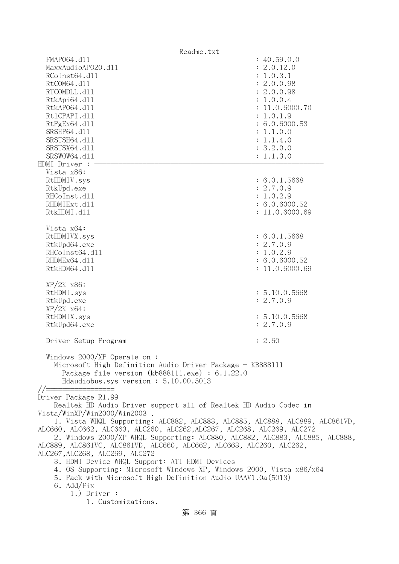| Readme.txt                                                                                                                                                                                                                                                                                                                                                                                                                                                                                                                                                                                                                                                                                                            |                                                                                                                                                                                     |  |  |
|-----------------------------------------------------------------------------------------------------------------------------------------------------------------------------------------------------------------------------------------------------------------------------------------------------------------------------------------------------------------------------------------------------------------------------------------------------------------------------------------------------------------------------------------------------------------------------------------------------------------------------------------------------------------------------------------------------------------------|-------------------------------------------------------------------------------------------------------------------------------------------------------------------------------------|--|--|
| FMAP064.d11<br>MaxxAudioAP020.d11<br>RCoInst64.d11<br>RtCOM64.d11<br>RTCOMDLL.d11<br>RtkApi64.dl1<br>RtkAP064.d11<br>Rt1CPAPI.d11<br>RtPgEx64.d11<br>SRSHP64.d11<br>SRSTSH64.d11<br>SRSTSX64.d11<br>SRSWOW64.d11<br>HDMI Driver :                                                                                                                                                                                                                                                                                                                                                                                                                                                                                     | : 40.59.0.0<br>: 2.0.12.0<br>: 1.0.3.1<br>: 2.0.0.98<br>: 2.0.0.98<br>: 1.0.0.4<br>: 11.0.6000.70<br>: 1.0.1.9<br>: 6.0.6000.53<br>: 1.1.0.0<br>: 1.1.4.0<br>: 3.2.0.0<br>: 1.1.3.0 |  |  |
| Vista x86:<br>RtHDMIV.sys<br>RtkUpd.exe<br>RHCoInst.d11<br>RHDMIExt.d11<br>RtkHDMI.d11<br>Vista x64:                                                                                                                                                                                                                                                                                                                                                                                                                                                                                                                                                                                                                  | : 6.0.1.5668<br>: 2.7.0.9<br>: 1.0.2.9<br>: 6.0.6000.52<br>: 11.0.6000.69                                                                                                           |  |  |
| RtHDMIVX.sys<br>RtkUpd64.exe<br>RHCoInst64.d11<br>RHDMEx64.d11<br>RtkHDM64.d11                                                                                                                                                                                                                                                                                                                                                                                                                                                                                                                                                                                                                                        | : 6.0.1.5668<br>: 2.7.0.9<br>: 1.0.2.9<br>: 6.0.6000.52<br>: 11.0.6000.69                                                                                                           |  |  |
| $XP/2K$ $x86$ :<br>RtHDMI.sys<br>RtkUpd.exe<br>$XP/ZK$ $x64$ :<br>RtHDMIX.sys<br>RtkUpd64.exe                                                                                                                                                                                                                                                                                                                                                                                                                                                                                                                                                                                                                         | : 5.10.0.5668<br>: 2.7.0.9<br>: 5.10.0.5668<br>: 2.7.0.9                                                                                                                            |  |  |
| Driver Setup Program                                                                                                                                                                                                                                                                                                                                                                                                                                                                                                                                                                                                                                                                                                  | : 2.60                                                                                                                                                                              |  |  |
| Windows 2000/XP Operate on:<br>Microsoft High Definition Audio Driver Package - KB888111<br>Package file version $(kb888111.\text{exe}) : 6.1.22.0$<br>Hdaudiobus.sys version: 5.10.00.5013<br>$//=$                                                                                                                                                                                                                                                                                                                                                                                                                                                                                                                  |                                                                                                                                                                                     |  |  |
| Driver Package R1.99<br>Realtek HD Audio Driver support all of Realtek HD Audio Codec in<br>Vista/WinXP/Win2000/Win2003<br>1. Vista WHQL Supporting: ALC882, ALC883, ALC885, ALC888, ALC889, ALC861VD,<br>ALC660, ALC662, ALC663, ALC260, ALC262,ALC267, ALC268, ALC269, ALC272<br>2. Windows 2000/XP WHQL Supporting: ALC880, ALC882, ALC883, ALC885, ALC888,<br>ALC889, ALC861VC, ALC861VD, ALC660, ALC662, ALC663, ALC260, ALC262,<br>ALC267, ALC268, ALC269, ALC272<br>3. HDMI Device WHQL Support: ATI HDMI Devices<br>4. OS Supporting: Microsoft Windows XP, Windows 2000, Vista x86/x64<br>5. Pack with Microsoft High Definition Audio UAAV1.0a (5013)<br>6. Add/Fix<br>$1.)$ Driver :<br>1. Customizations. |                                                                                                                                                                                     |  |  |
| 第 366 頁                                                                                                                                                                                                                                                                                                                                                                                                                                                                                                                                                                                                                                                                                                               |                                                                                                                                                                                     |  |  |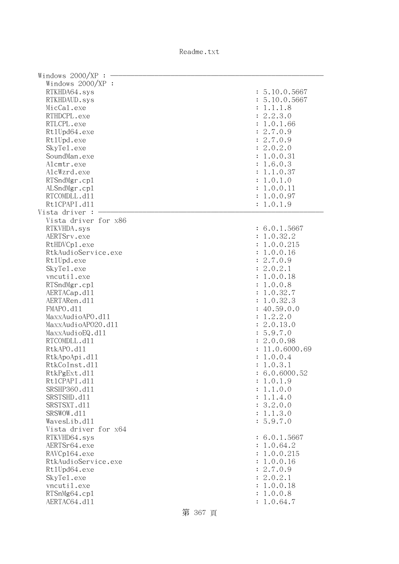Readme.txt

| Windows 2000/XP      |                |
|----------------------|----------------|
| Windows $2000/XP$ :  |                |
| RTKHDA64.sys         | : 5.10.0.5667  |
| RTKHDAUD.sys         | : 5.10.0.5667  |
| MicCal.exe           | 1.1.1.8        |
|                      |                |
| RTHDCPL.exe          | 2.2.3.0        |
| RTLCPL.exe           | 1.0.1.66       |
| Rt1Upd64.exe         | 2.7.0.9        |
| Rt1Upd.exe           | : 2.7.0.9      |
| SkyTe1.exe           | 2.0.2.0        |
| SoundMan.exe         | : 1.0.0.31     |
| Alcmtr.exe           | : 1.6.0.3      |
| AlcWzrd.exe          | : 1.1.0.37     |
| RTSndMgr.cp1         | : 1.0.1.0      |
| ALSndMgr.cp1         | : 1.0.0.11     |
| RTCOMDLL.d11         | : 1.0.0.97     |
| Rt1CPAPI.d11         | : 1.0.1.9      |
| Vista driver :       |                |
|                      |                |
| Vista driver for x86 |                |
| RTKVHDA.sys          | : 6.0.1.5667   |
| AERTSrv.exe          | : 1.0.32.2     |
| RtHDVCp1.exe         | : 1.0.0.215    |
| RtkAudioService.exe  | : 1.0.0.16     |
| Rt1Upd.exe           | : 2.7.0.9      |
| SkyTe1.exe           | : 2.0.2.1      |
| vncutil.exe          | : 1.0.0.18     |
| RTSndMgr.cp1         | : 1.0.0.8      |
| AERTACap.d11         | : 1.0.32.7     |
| AERTARen.d11         | 1.0.32.3       |
| FMAPO.d11            | : 40.59.0.0    |
| MaxxAudioAPO.d11     | 1.2.2.0        |
| MaxxAudioAP020.dll   | : 2.0.13.0     |
| MaxxAudioEQ.d11      | : 5.9.7.0      |
|                      |                |
| RTCOMDLL.d11         | : 2.0.0.98     |
| RtkAPO.d11           | : 11.0.6000.69 |
| RtkApoApi.d11        | : 1.0.0.4      |
| RtkCoInst.d11        | 1.0.3.1        |
| RtkPgExt.d11         | : 6.0.6000.52  |
| Rt1CPAPI.d11         | : 1.0.1.9      |
| SRSHP360.d11         | : 1.1.0.0      |
| SRSTSHD.d11          | : 1.1.4.0      |
| SRSTSXT.d11          | : 3.2.0.0      |
| SRSWOW.d11           | : 1.1.3.0      |
| WavesLib.d11         | : 5.9.7.0      |
| Vista driver for x64 |                |
| RTKVHD64.sys         | : 6.0.1.5667   |
| AERTSr64.exe         | : 1.0.64.2     |
| RAVCp164.exe         | : 1.0.0.215    |
| RtkAudioService.exe  | : 1.0.0.16     |
| Rt1Upd64.exe         | : 2.7.0.9      |
|                      | : 2.0.2.1      |
| SkyTe1.exe           |                |
| vncutil.exe          | : 1.0.0.18     |
| RTSnMg64.cp1         | 1.0.0.8        |
| AERTAC64.d11         | : 1.0.64.7     |

第 367 頁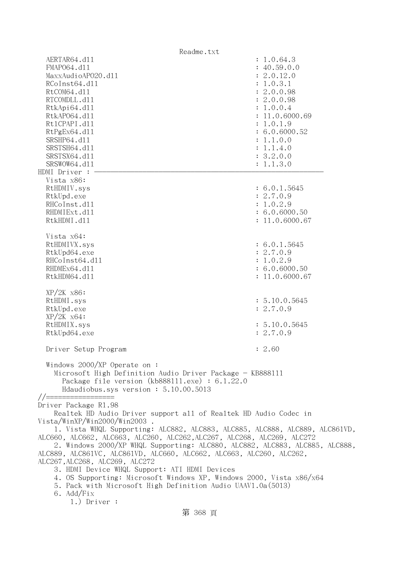| Readme.txt                                                                                                                                                                                                                                                                                                                                                                                                                                                                                                                                                                                                                                                                                      |                                                                                                                                                                                                   |
|-------------------------------------------------------------------------------------------------------------------------------------------------------------------------------------------------------------------------------------------------------------------------------------------------------------------------------------------------------------------------------------------------------------------------------------------------------------------------------------------------------------------------------------------------------------------------------------------------------------------------------------------------------------------------------------------------|---------------------------------------------------------------------------------------------------------------------------------------------------------------------------------------------------|
| AERTAR64.d11<br>FMAP064.d11<br>MaxxAudioAP020.d11<br>RCoInst64.d11<br>RtCOM64.d11<br>RTCOMDLL.d11<br>RtkApi64.dl1<br>RtkAP064.d11<br>Rt1CPAPI.d11<br>RtPgEx64.d11<br>SRSHP64.d11<br>SRSTSH64.d11<br>SRSTSX64.d11<br>SRSWOW64.d11<br>HDMI Driver : -                                                                                                                                                                                                                                                                                                                                                                                                                                             | : 1.0.64.3<br>: 40.59.0.0<br>: 2.0.12.0<br>: 1.0.3.1<br>: 2.0.0.98<br>: 2.0.0.98<br>: 1.0.0.4<br>: 11.0.6000.69<br>: 1.0.1.9<br>: 6.0.6000.52<br>: 1.1.0.0<br>: 1.1.4.0<br>: 3.2.0.0<br>: 1.1.3.0 |
| Vista x86:<br>RtHDMIV.sys<br>RtkUpd.exe<br>RHCoInst.d11<br>RHDMIExt.d11<br>RtkHDMI.d11                                                                                                                                                                                                                                                                                                                                                                                                                                                                                                                                                                                                          | : 6.0.1.5645<br>: 2.7.0.9<br>: 1.0.2.9<br>: 6.0.6000.50<br>: 11.0.6000.67                                                                                                                         |
| Vista x64:<br>RtHDMIVX.sys<br>RtkUpd64.exe<br>RHCoInst64.d11<br>RHDMEx64.d11<br>RtkHDM64.d11                                                                                                                                                                                                                                                                                                                                                                                                                                                                                                                                                                                                    | : 6.0.1.5645<br>: 2.7.0.9<br>: 1.0.2.9<br>: 6.0.6000.50<br>: 11.0.6000.67                                                                                                                         |
| $XP/2K$ $x86$ :<br>RtHDMI.sys<br>RtkUpd.exe<br>$XP/2K$ $x64$ :<br>RtHDMIX.sys<br>RtkUpd64.exe                                                                                                                                                                                                                                                                                                                                                                                                                                                                                                                                                                                                   | : 5.10.0.5645<br>: 2.7.0.9<br>: 5.10.0.5645<br>: 2.7.0.9                                                                                                                                          |
| Driver Setup Program<br>Windows 2000/XP Operate on:<br>Microsoft High Definition Audio Driver Package - KB888111<br>Package file version (kb888111.exe) : $6.1.22.0$<br>Hdaudiobus.sys version: 5.10.00.5013                                                                                                                                                                                                                                                                                                                                                                                                                                                                                    | 2.60                                                                                                                                                                                              |
| Driver Package R1.98<br>Realtek HD Audio Driver support all of Realtek HD Audio Codec in<br>Vista/WinXP/Win2000/Win2003 .<br>1. Vista WHQL Supporting: ALC882, ALC883, ALC885, ALC888, ALC889, ALC861VD,<br>ALC660, ALC662, ALC663, ALC260, ALC262,ALC267, ALC268, ALC269, ALC272<br>2. Windows 2000/XP WHQL Supporting: ALC880, ALC882, ALC883, ALC885, ALC888,<br>ALC889, ALC861VC, ALC861VD, ALC660, ALC662, ALC663, ALC260, ALC262,<br>ALC267,ALC268, ALC269, ALC272<br>3. HDMI Device WHQL Support: ATI HDMI Devices<br>4. OS Supporting: Microsoft Windows XP, Windows 2000, Vista x86/x64<br>5. Pack with Microsoft High Definition Audio UAAV1.0a(5013)<br>6. Add/Fix<br>$1.)$ Driver : |                                                                                                                                                                                                   |
| 第 368 頁                                                                                                                                                                                                                                                                                                                                                                                                                                                                                                                                                                                                                                                                                         |                                                                                                                                                                                                   |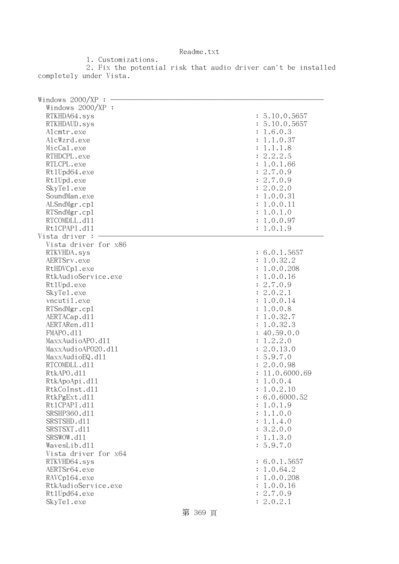1. Customizations. 2. Fix the potential risk that audio driver can't be installed completely under Vista.

| Windows 2000/XP      |                |
|----------------------|----------------|
| Windows $2000/XP$ :  |                |
| RTKHDA64.sys         | : 5.10.0.5657  |
| RTKHDAUD.sys         | : 5.10.0.5657  |
| Alcmtr.exe           | : 1.6.0.3      |
| AlcWzrd.exe          | : 1.1.0.37     |
| MicCal.exe           | : 1.1.1.8      |
| RTHDCPL.exe          | : 2.2.2.5      |
| RTLCPL.exe           |                |
|                      | : 1.0.1.66     |
| Rt1Upd64.exe         | : 2.7.0.9      |
| Rt1Upd.exe           | : 2.7.0.9      |
| SkyTe1.exe           | : 2.0.2.0      |
| SoundMan.exe         | : 1.0.0.31     |
| ALSndMgr.cp1         | : 1.0.0.11     |
| RTSndMgr.cp1         | : 1.0.1.0      |
| RTCOMDLL.d11         | : 1.0.0.97     |
| Rt1CPAPI.d11         | : 1.0.1.9      |
| Vista driver :       |                |
| Vista driver for x86 |                |
| RTKVHDA.sys          | : 6.0.1.5657   |
| AERTSrv.exe          | : 1.0.32.2     |
| RtHDVCp1.exe         | : 1.0.0.208    |
| RtkAudioService.exe  | : 1.0.0.16     |
| Rt1Upd.exe           | : 2.7.0.9      |
| SkyTe1.exe           | : 2.0.2.1      |
| vncutil.exe          | : 1.0.0.14     |
| RTSndMgr.cp1         | : 1.0.0.8      |
| AERTACap.d11         | : 1.0.32.7     |
| AERTARen.d11         | : 1.0.32.3     |
| FMAPO.d11            | : 40.59.0.0    |
| MaxxAudioAPO.dll     | : 1.2.2.0      |
| MaxxAudioAP020.dll   | : 2.0.13.0     |
| MaxxAudioEQ.d11      | : 5.9.7.0      |
| RTCOMDLL.d11         | : 2.0.0.98     |
| RtkAPO.d11           | : 11.0.6000.69 |
| RtkApoApi.d11        | : 1.0.0.4      |
| RtkCoInst.d11        | 1.0.2.10       |
| RtkPgExt.d11         | : 6.0.6000.52  |
|                      |                |
| Rt1CPAPI.d11         | : 1.0.1.9      |
| SRSHP360.d11         | : 1.1.0.0      |
| SRSTSHD.d11          | : 1.1.4.0      |
| SRSTSXT.d11          | : 3.2.0.0      |
| SRSWOW.d11           | : 1.1.3.0      |
| WavesLib.dll         | : 5.9.7.0      |
| Vista driver for x64 |                |
| RTKVHD64.sys         | : 6.0.1.5657   |
| AERTSr64.exe         | : 1.0.64.2     |
| RAVCp164.exe         | : 1.0.0.208    |
| RtkAudioService.exe  | : 1.0.0.16     |
| Rt1Upd64.exe         | : 2.7.0.9      |
| SkyTe1.exe           | : 2.0.2.1      |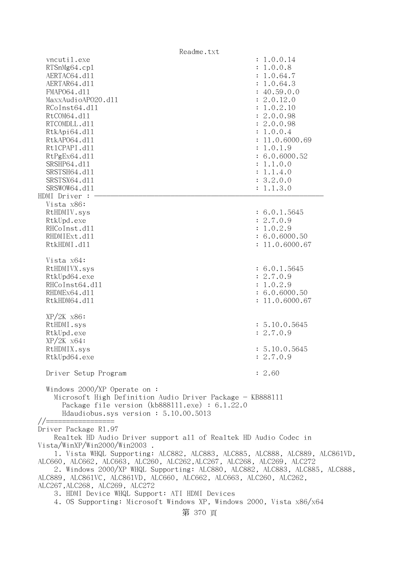| Readme.txt                                                                                                                                                                                                                                                                                                                                                                                                                                                                                                                                                                                                     |                                                                                                                                                                                                                                             |
|----------------------------------------------------------------------------------------------------------------------------------------------------------------------------------------------------------------------------------------------------------------------------------------------------------------------------------------------------------------------------------------------------------------------------------------------------------------------------------------------------------------------------------------------------------------------------------------------------------------|---------------------------------------------------------------------------------------------------------------------------------------------------------------------------------------------------------------------------------------------|
| vncutil.exe<br>RTSnMg64.cp1<br>AERTAC64.d11<br>AERTAR64.d11<br>FMAP064.d11<br>MaxxAudioAP020.dll<br>RCoInst64.d11<br>RtCOM64.d11<br>RTCOMDLL.d11<br>RtkApi64.d11<br>RtkAP064.d11<br>Rt1CPAPI.d11<br>RtPgEx64.d11<br>SRSHP64.d11<br>SRSTSH64.d11<br>SRSTSX64.d11<br>SRSWOW64.d11                                                                                                                                                                                                                                                                                                                                | : 1.0.0.14<br>: 1.0.0.8<br>: 1.0.64.7<br>: 1.0.64.3<br>: 40.59.0.0<br>: 2.0.12.0<br>: 1.0.2.10<br>: 2.0.0.98<br>: 2.0.0.98<br>: 1.0.0.4<br>: 11.0.6000.69<br>: 1.0.1.9<br>: 6.0.6000.52<br>: 1.1.0.0<br>: 1.1.4.0<br>: 3.2.0.0<br>: 1.1.3.0 |
| HDMI Driver :<br>Vista x86:<br>RtHDMIV.sys<br>RtkUpd.exe<br>RHCoInst.d11<br>RHDMIExt.d11<br>RtkHDMI.d11                                                                                                                                                                                                                                                                                                                                                                                                                                                                                                        | : 6.0.1.5645<br>: 2.7.0.9<br>: 1.0.2.9<br>: 6.0.6000.50<br>: 11.0.6000.67                                                                                                                                                                   |
| Vista x64:<br>RtHDMIVX.sys<br>RtkUpd64.exe<br>RHCoInst64.d11<br>RHDMEx64.d11<br>RtkHDM64.d11                                                                                                                                                                                                                                                                                                                                                                                                                                                                                                                   | : 6.0.1.5645<br>: 2.7.0.9<br>: 1.0.2.9<br>: 6.0.6000.50<br>: 11.0.6000.67                                                                                                                                                                   |
| $XP/ZK$ $x86$ :<br>RtHDMI.sys<br>RtkUpd.exe<br>$XP/ZK$ $x64$ :<br>RtHDMIX.sys<br>RtkUpd64.exe                                                                                                                                                                                                                                                                                                                                                                                                                                                                                                                  | : 5.10.0.5645<br>: 2.7.0.9<br>: 5.10.0.5645<br>: 2.7.0.9                                                                                                                                                                                    |
| Driver Setup Program<br>Windows $2000/XP$ Operate on:<br>Microsoft High Definition Audio Driver Package - KB888111<br>Package file version $(kb888111.\text{exe}) : 6.1.22.0$<br>Hdaudiobus.sys version: 5.10.00.5013                                                                                                                                                                                                                                                                                                                                                                                          | : 2.60                                                                                                                                                                                                                                      |
| $// == =$<br>Driver Package R1.97<br>Realtek HD Audio Driver support all of Realtek HD Audio Codec in<br>Vista/WinXP/Win2000/Win2003.<br>1. Vista WHQL Supporting: ALC882, ALC883, ALC885, ALC888, ALC889, ALC861VD,<br>ALC660, ALC662, ALC663, ALC260, ALC262, ALC267, ALC268, ALC269, ALC272<br>2. Windows 2000/XP WHQL Supporting: ALC880, ALC882, ALC883, ALC885, ALC888,<br>ALC889, ALC861VC, ALC861VD, ALC660, ALC662, ALC663, ALC260, ALC262,<br>ALC267, ALC268, ALC269, ALC272<br>3. HDMI Device WHQL Support: ATI HDMI Devices<br>4. OS Supporting: Microsoft Windows XP, Windows 2000, Vista x86/x64 |                                                                                                                                                                                                                                             |

第 370 頁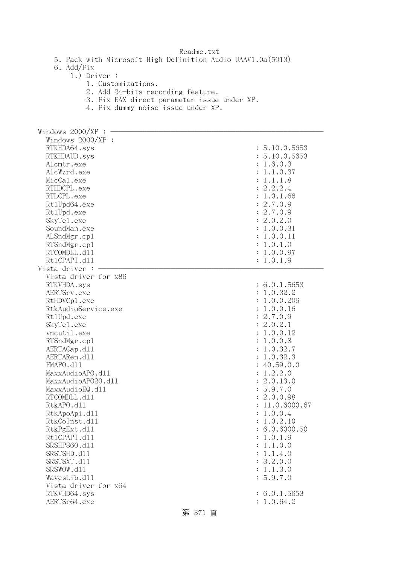5. Pack with Microsoft High Definition Audio UAAV1.0a(5013)

6. Add/Fix

## 1.) Driver :

- 1. Customizations.
- 2. Add 24-bits recording feature.
- 3. Fix EAX direct parameter issue under XP.
- 4. Fix dummy noise issue under XP.

| Windows 2000/XP      |                |
|----------------------|----------------|
| Windows $2000/XP$ :  |                |
| RTKHDA64.sys         | : 5.10.0.5653  |
| RTKHDAUD.sys         | : 5.10.0.5653  |
| Alcmtr.exe           | : 1.6.0.3      |
| AlcWzrd.exe          | : 1.1.0.37     |
| MicCal.exe           | : 1.1.1.8      |
| RTHDCPL.exe          | 2.2.2.4        |
|                      |                |
| RTLCPL.exe           | 1.0.1.66       |
| Rt1Upd64.exe         | 2.7.0.9        |
| Rt1Upd.exe           | : 2.7.0.9      |
| SkyTe1.exe           | : 2.0.2.0      |
| SoundMan.exe         | : 1.0.0.31     |
| ALSndMgr.cp1         | : 1.0.0.11     |
| RTSndMgr.cp1         | : 1.0.1.0      |
| RTCOMDLL.d11         | : 1.0.0.97     |
| Rt1CPAPI.d11         | : 1.0.1.9      |
| Vista driver :       |                |
| Vista driver for x86 |                |
| RTKVHDA.sys          | : 6.0.1.5653   |
| AERTSrv.exe          | : 1.0.32.2     |
| RtHDVCp1.exe         | : 1.0.0.206    |
| RtkAudioService.exe  | : 1.0.0.16     |
| Rt1Upd.exe           | : 2.7.0.9      |
| SkyTe1.exe           | : 2.0.2.1      |
| vncutil.exe          | : 1.0.0.12     |
| RTSndMgr.cp1         | : 1.0.0.8      |
| AERTACap.d11         | : 1.0.32.7     |
| AERTARen.d11         | : 1.0.32.3     |
| FMAPO.d11            | : 40.59.0.0    |
| MaxxAudioAPO.dll     | : 1.2.2.0      |
| MaxxAudioAP020.dll   | : 2.0.13.0     |
| MaxxAudioEQ.d11      | : 5.9.7.0      |
| RTCOMDLL.d11         | : 2.0.0.98     |
| RtkAPO.d11           | : 11.0.6000.67 |
| RtkApoApi.d11        | : 1.0.0.4      |
| RtkCoInst.d11        | 1.0.2.10       |
| RtkPgExt.d11         | : 6.0.6000.50  |
| Rt1CPAPI.d11         | : 1.0.1.9      |
| SRSHP360.d11         | : 1.1.0.0      |
| SRSTSHD.d11          | : 1.1.4.0      |
| SRSTSXT.d11          | : 3.2.0.0      |
| SRSWOW.d11           | : 1.1.3.0      |
| WavesLib.dl1         | : 5.9.7.0      |
| Vista driver for x64 |                |
|                      |                |
| RTKVHD64.sys         | : 6.0.1.5653   |
| AERTSr64.exe         | : 1.0.64.2     |
|                      | 第 371 頁        |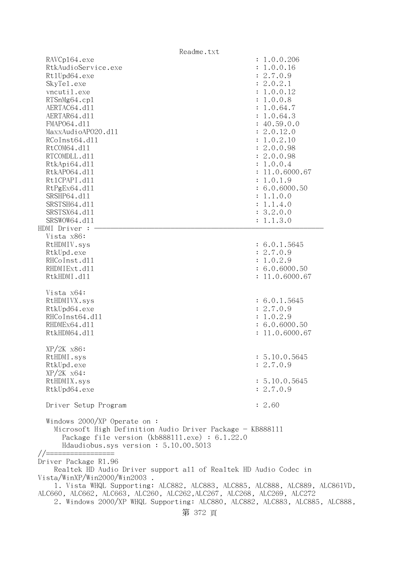| Readme.txt                                                                                                                                                                                                                                                                                                                                                            |                                                                                                                                                                                                                                                                                                    |
|-----------------------------------------------------------------------------------------------------------------------------------------------------------------------------------------------------------------------------------------------------------------------------------------------------------------------------------------------------------------------|----------------------------------------------------------------------------------------------------------------------------------------------------------------------------------------------------------------------------------------------------------------------------------------------------|
| RAVCp164.exe<br>RtkAudioService.exe<br>Rt1Upd64.exe<br>SkyTe1.exe<br>vncutil.exe<br>RTSnMg64.cp1<br>AERTAC64.d11<br>AERTAR64.d11<br>FMAP064.d11<br>MaxxAudioAP020.d11<br>RCoInst64.d11<br>RtCOM64.d11<br>RTCOMDLL.d11<br>RtkApi64.dl1<br>RtkAP064.d11<br>Rt1CPAPI.d11<br>RtPgEx64.d11<br>SRSHP64.d11<br>SRSTSH64.d11<br>SRSTSX64.d11<br>SRSWOW64.d11<br>HDMI Driver : | : 1.0.0.206<br>: 1.0.0.16<br>: 2.7.0.9<br>: 2.0.2.1<br>: 1.0.0.12<br>: 1.0.0.8<br>: 1.0.64.7<br>: 1.0.64.3<br>: 40.59.0.0<br>: 2.0.12.0<br>: 1.0.2.10<br>: 2.0.0.98<br>: 2.0.0.98<br>: 1.0.0.4<br>: 11.0.6000.67<br>: 1.0.1.9<br>: 6.0.6000.50<br>: 1.1.0.0<br>: 1.1.4.0<br>: 3.2.0.0<br>: 1.1.3.0 |
| Vista x86:<br>RtHDMIV.sys<br>RtkUpd.exe<br>RHCoInst.d11<br>RHDMIExt.d11<br>RtkHDMI.d11                                                                                                                                                                                                                                                                                | : 6.0.1.5645<br>: 2.7.0.9<br>: 1.0.2.9<br>: 6.0.6000.50<br>: 11.0.6000.67                                                                                                                                                                                                                          |
| Vista x64:<br>RtHDMIVX.sys<br>RtkUpd64.exe<br>RHCoInst64.d11<br>RHDMEx64.d11<br>RtkHDM64.d11                                                                                                                                                                                                                                                                          | : 6.0.1.5645<br>: 2.7.0.9<br>: 1.0.2.9<br>: 6.0.6000.50<br>: 11.0.6000.67                                                                                                                                                                                                                          |
| XP/2K x86:<br>RtHDMI.sys<br>RtkUpd.exe<br>$XP/ZK$ $x64$ :<br>RtHDMIX.sys<br>RtkUpd64.exe                                                                                                                                                                                                                                                                              | : 5.10.0.5645<br>: 2.7.0.9<br>: 5.10.0.5645<br>: 2.7.0.9                                                                                                                                                                                                                                           |
| Driver Setup Program                                                                                                                                                                                                                                                                                                                                                  | : 2.60                                                                                                                                                                                                                                                                                             |
| Windows $2000/XP$ Operate on:<br>Microsoft High Definition Audio Driver Package - KB888111<br>Package file version $(kb888111.\text{exe}) : 6.1.22.0$<br>Hdaudiobus.sys version: 5.10.00.5013                                                                                                                                                                         |                                                                                                                                                                                                                                                                                                    |
| Driver Package R1.96<br>Realtek HD Audio Driver support all of Realtek HD Audio Codec in<br>Vista/WinXP/Win2000/Win2003<br>1. Vista WHQL Supporting: ALC882, ALC883, ALC885, ALC888, ALC889, ALC861VD,<br>ALC660, ALC662, ALC663, ALC260, ALC262, ALC267, ALC268, ALC269, ALC272                                                                                      |                                                                                                                                                                                                                                                                                                    |

2. Windows 2000/XP WHQL Supporting: ALC880, ALC882, ALC883, ALC885, ALC888,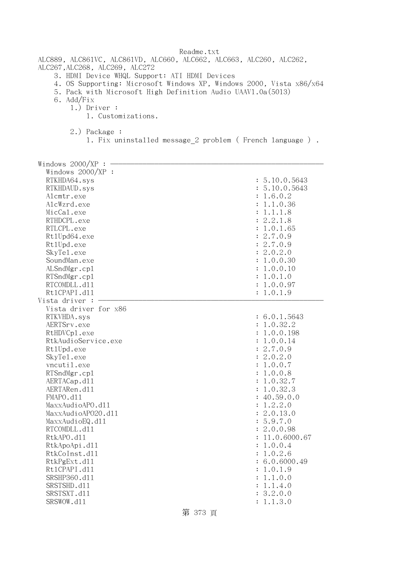| Readme.txt                                                                                                                         |                                                         |
|------------------------------------------------------------------------------------------------------------------------------------|---------------------------------------------------------|
| ALC889, ALC861VC, ALC861VD, ALC660, ALC662, ALC663, ALC260, ALC262,<br>ALC267, ALC268, ALC269, ALC272                              |                                                         |
| 3. HDMI Device WHQL Support: ATI HDMI Devices                                                                                      |                                                         |
| 4. OS Supporting: Microsoft Windows XP, Windows 2000, Vista x86/x64<br>5. Pack with Microsoft High Definition Audio UAAV1.0a(5013) |                                                         |
| 6. Add/Fix                                                                                                                         |                                                         |
| $1.)$ Driver :                                                                                                                     |                                                         |
| 1. Customizations.                                                                                                                 |                                                         |
|                                                                                                                                    |                                                         |
| 2.) Package :                                                                                                                      |                                                         |
|                                                                                                                                    | 1. Fix uninstalled message 2 problem (French language). |
|                                                                                                                                    |                                                         |
| Windows $2000/XP$ :                                                                                                                |                                                         |
| Windows 2000/XP :                                                                                                                  |                                                         |
| RTKHDA64.sys                                                                                                                       | : 5.10.0.5643                                           |
|                                                                                                                                    | : 5.10.0.5643                                           |
| RTKHDAUD.sys                                                                                                                       |                                                         |
| Alcmtr.exe                                                                                                                         | : 1.6.0.2                                               |
| AlcWzrd.exe                                                                                                                        | : 1.1.0.36                                              |
| MicCal.exe                                                                                                                         | : 1.1.1.8                                               |
| RTHDCPL.exe                                                                                                                        | : 2.2.1.8                                               |
| RTLCPL.exe                                                                                                                         | : 1.0.1.65                                              |
| Rt1Upd64.exe                                                                                                                       | : 2.7.0.9                                               |
| Rt1Upd.exe                                                                                                                         | : 2.7.0.9                                               |
| SkyTe1.exe                                                                                                                         | : 2.0.2.0                                               |
| SoundMan.exe                                                                                                                       | : 1.0.0.30                                              |
| ALSndMgr.cp1                                                                                                                       | : 1.0.0.10                                              |
| RTSndMgr.cp1                                                                                                                       | : 1.0.1.0                                               |
| RTCOMDLL.d11                                                                                                                       | : 1.0.0.97                                              |
| Rt1CPAPI.d11                                                                                                                       | : 1.0.1.9                                               |
| Vista driver :                                                                                                                     |                                                         |
| Vista driver for x86                                                                                                               |                                                         |
| RTKVHDA.sys                                                                                                                        | : 6.0.1.5643                                            |
| AERTSrv.exe                                                                                                                        | : 1.0.32.2                                              |
| RtHDVCp1.exe                                                                                                                       | : 1.0.0.198                                             |
| RtkAudioService.exe                                                                                                                | : 1.0.0.14                                              |
| Rt1Upd.exe                                                                                                                         | : 2.7.0.9                                               |
| SkyTe1.exe                                                                                                                         | 2.0.2.0                                                 |
| vncutil.exe                                                                                                                        | 1.0.0.7<br>:                                            |
| RTSndMgr.cp1                                                                                                                       | 1.0.0.8                                                 |
| AERTACap.d11                                                                                                                       | 1.0.32.7                                                |
| AERTARen.d11                                                                                                                       | 1.0.32.3<br>:                                           |
| FMAPO.d11                                                                                                                          | 40.59.0.0                                               |
| MaxxAudioAPO.dll                                                                                                                   | 1.2.2.0                                                 |
| MaxxAudioAP020.dll                                                                                                                 | 2.0.13.0                                                |
| MaxxAudioEQ.d11                                                                                                                    | 5.9.7.0<br>$\ddot{\cdot}$                               |
| RTCOMDLL.d11                                                                                                                       | 2.0.0.98<br>$\ddot{\cdot}$                              |
| RtkAPO.d11                                                                                                                         | 11.0.6000.67                                            |
| RtkApoApi.d11                                                                                                                      | 1.0.0.4<br>$\ddot{\cdot}$                               |
| RtkCoInst.d11                                                                                                                      | 1.0.2.6<br>$\ddot{\cdot}$                               |
| RtkPgExt.d11                                                                                                                       | 6.0.6000.49                                             |
| Rt1CPAPI.d11                                                                                                                       | 1.0.1.9                                                 |
| SRSHP360.d11                                                                                                                       | 1.1.0.0                                                 |
| SRSTSHD.d11                                                                                                                        | 1.1.4.0<br>$\ddot{\cdot}$                               |
| SRSTSXT.d11                                                                                                                        | 3.2.0.0                                                 |
| SRSWOW.d11                                                                                                                         | 1.1.3.0<br>$\ddot{\cdot}$                               |
|                                                                                                                                    |                                                         |

第 373 頁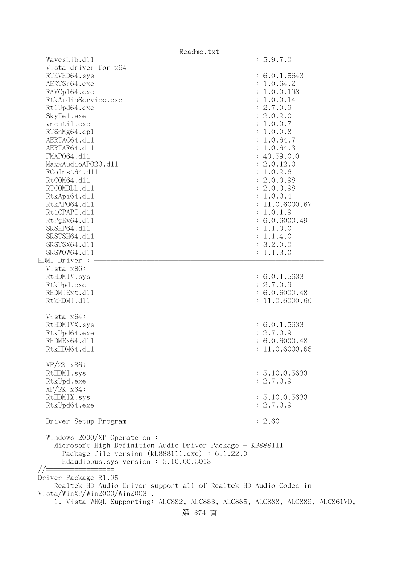| Readme.txt                                                                                                                                                                           |                |
|--------------------------------------------------------------------------------------------------------------------------------------------------------------------------------------|----------------|
| WavesLib.dl1                                                                                                                                                                         | : 5.9.7.0      |
| Vista driver for x64                                                                                                                                                                 |                |
| RTKVHD64.sys                                                                                                                                                                         | : 6.0.1.5643   |
| AERTSr64.exe                                                                                                                                                                         | : 1.0.64.2     |
| RAVCp164.exe                                                                                                                                                                         | : 1.0.0.198    |
| RtkAudioService.exe                                                                                                                                                                  | : 1.0.0.14     |
| Rt1Upd64.exe                                                                                                                                                                         | : 2.7.0.9      |
| SkyTe1.exe                                                                                                                                                                           | : 2.0.2.0      |
| vncutil.exe                                                                                                                                                                          | : 1.0.0.7      |
|                                                                                                                                                                                      |                |
| RTSnMg64.cp1                                                                                                                                                                         | : 1.0.0.8      |
| AERTAC64.d11                                                                                                                                                                         | : 1.0.64.7     |
| AERTAR64.d11                                                                                                                                                                         | : 1.0.64.3     |
| FMAP064.d11                                                                                                                                                                          | : 40.59.0.0    |
| MaxxAudioAP020.d11                                                                                                                                                                   | : 2.0.12.0     |
| RCoInst64.d11                                                                                                                                                                        | : 1.0.2.6      |
| RtCOM64.d11                                                                                                                                                                          | : 2.0.0.98     |
| RTCOMDLL.d11                                                                                                                                                                         | : 2.0.0.98     |
| RtkApi64.dl1                                                                                                                                                                         | : 1.0.0.4      |
| RtkAP064.d11                                                                                                                                                                         | : 11.0.6000.67 |
| Rt1CPAPI.d11                                                                                                                                                                         | : 1.0.1.9      |
| RtPgEx64.d11                                                                                                                                                                         | : 6.0.6000.49  |
| SRSHP64.d11                                                                                                                                                                          | : 1.1.0.0      |
| SRSTSH64.d11                                                                                                                                                                         | : 1.1.4.0      |
|                                                                                                                                                                                      |                |
| SRSTSX64.d11                                                                                                                                                                         | : 3.2.0.0      |
| SRSWOW64.d11                                                                                                                                                                         | : 1.1.3.0      |
| HDMI Driver :                                                                                                                                                                        |                |
| Vista x86:                                                                                                                                                                           |                |
| RtHDMIV.sys                                                                                                                                                                          | : 6.0.1.5633   |
| RtkUpd.exe                                                                                                                                                                           | : 2.7.0.9      |
| RHDMIExt.d11                                                                                                                                                                         | : 6.0.6000.48  |
| RtkHDMI.d11                                                                                                                                                                          | : 11.0.6000.66 |
|                                                                                                                                                                                      |                |
| Vista x64:                                                                                                                                                                           |                |
| RtHDMIVX.sys                                                                                                                                                                         | : 6.0.1.5633   |
| RtkUpd64.exe                                                                                                                                                                         | : 2.7.0.9      |
| RHDMEx64.d11                                                                                                                                                                         | : 6.0.6000.48  |
| RtkHDM64.d11                                                                                                                                                                         | 11.0.6000.66   |
|                                                                                                                                                                                      |                |
| $XP/2K$ $x86$ :                                                                                                                                                                      |                |
| RtHDMI.sys                                                                                                                                                                           | : 5.10.0.5633  |
| RtkUpd.exe                                                                                                                                                                           | : 2.7.0.9      |
|                                                                                                                                                                                      |                |
| $XP/ZK$ $x64$ :                                                                                                                                                                      |                |
| RtHDMIX.sys                                                                                                                                                                          | : 5.10.0.5633  |
| RtkUpd64.exe                                                                                                                                                                         | : 2.7.0.9      |
|                                                                                                                                                                                      |                |
| Driver Setup Program                                                                                                                                                                 | : 2.60         |
| Windows $2000/XP$ Operate on:<br>Microsoft High Definition Audio Driver Package - KB888111<br>Package file version (kb888111.exe) : 6.1.22.0<br>Hdaudiobus.sys version: 5.10.00.5013 |                |
|                                                                                                                                                                                      |                |
| Driver Package R1.95                                                                                                                                                                 |                |
| Realtek HD Audio Driver support all of Realtek HD Audio Codec in                                                                                                                     |                |
| . Vista/WinXP/Win2000/Win2003                                                                                                                                                        |                |
| 1. Vista WHQL Supporting: ALC882, ALC883, ALC885, ALC888, ALC889, ALC861VD,                                                                                                          |                |
| 第 374 頁                                                                                                                                                                              |                |
|                                                                                                                                                                                      |                |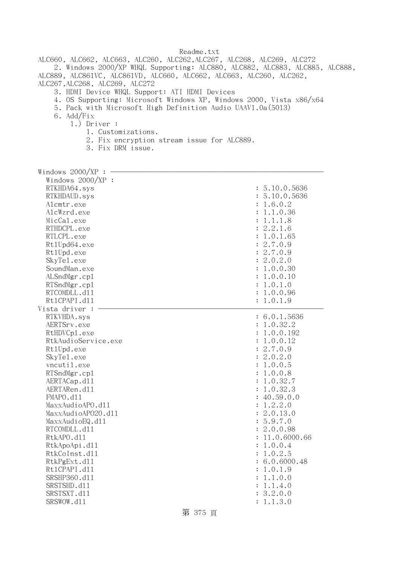ALC660, ALC662, ALC663, ALC260, ALC262,ALC267, ALC268, ALC269, ALC272 2. Windows 2000/XP WHQL Supporting: ALC880, ALC882, ALC883, ALC885, ALC888, ALC889, ALC861VC, ALC861VD, ALC660, ALC662, ALC663, ALC260, ALC262, ALC267,ALC268, ALC269, ALC272

- 3. HDMI Device WHQL Support: ATI HDMI Devices
- 4. OS Supporting: Microsoft Windows XP, Windows 2000, Vista x86/x64
- 5. Pack with Microsoft High Definition Audio UAAV1.0a(5013)
- 6. Add/Fix
	- 1.) Driver :
		- 1. Customizations.
			- 2. Fix encryption stream issue for ALC889.
		- 3. Fix DRM issue.

| Windows $2000/XP$ : |                             |
|---------------------|-----------------------------|
| Windows 2000/XP :   |                             |
| RTKHDA64.sys        | : 5.10.0.5636               |
| RTKHDAUD.sys        | : 5.10.0.5636               |
| Alcmtr.exe          | : 1.6.0.2                   |
| AlcWzrd.exe         | 1.1.0.36                    |
| MicCal.exe          | 1.1.1.8<br>$\ddot{\cdot}$   |
| RTHDCPL.exe         | 2.2.1.6                     |
| RTLCPL.exe          | 1.0.1.65                    |
| Rt1Upd64.exe        | 2.7.0.9                     |
|                     | : 2.7.0.9                   |
| Rt1Upd.exe          | : 2.0.2.0                   |
| SkyTe1.exe          |                             |
| SoundMan.exe        | 1.0.0.30<br>:               |
| ALSndMgr.cp1        | 1.0.0.10<br>$\ddot{\cdot}$  |
| RTSndMgr.cp1        | : 1.0.1.0                   |
| RTCOMDLL.d11        | 1.0.0.96<br>$\ddot{\cdot}$  |
| Rt1CPAPI.d11        | : 1.0.1.9                   |
| Vista driver :      |                             |
| RTKVHDA.sys         | : 6.0.1.5636                |
| AERTSrv.exe         | : 1.0.32.2                  |
| RtHDVCp1.exe        | : 1.0.0.192                 |
| RtkAudioService.exe | 1.0.0.12                    |
| Rt1Upd.exe          | : 2.7.0.9                   |
| SkyTe1.exe          | : 2.0.2.0                   |
| vncutil.exe         | 1.0.0.5<br>$\ddot{\cdot}$   |
| RTSndMgr.cp1        | 1.0.0.8<br>$\ddot{\cdot}$   |
| AERTACap.d11        | 1.0.32.7<br>$\ddot{\cdot}$  |
| AERTARen.d11        | : 1.0.32.3                  |
| FMAPO.d11           | 40.59.0.0<br>$\ddot{\cdot}$ |
| MaxxAudioAPO.d11    | 1.2.2.0<br>:                |
| MaxxAudioAP020.dll  | 2.0.13.0                    |
| MaxxAudioEQ.d11     | : 5.9.7.0                   |
| RTCOMDLL.d11        | : 2.0.0.98                  |
| RtkAPO.d11          | 11.0.6000.66                |
| RtkApoApi.d11       | : 1.0.0.4                   |
| RtkCoInst.d11       | : 1.0.2.5                   |
| RtkPgExt.d11        | : 6.0.6000.48               |
| Rt1CPAPI.d11        | 1.0.1.9<br>:                |
| SRSHP360.d11        | 1.1.0.0                     |
| SRSTSHD.d11         | : 1.1.4.0                   |
| SRSTSXT.d11         | : 3.2.0.0                   |
| SRSWOW.d11          | : 1.1.3.0                   |
|                     |                             |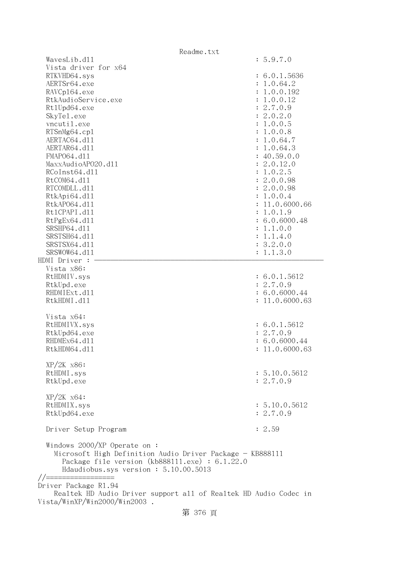| Readme.txt                                                       |                |
|------------------------------------------------------------------|----------------|
| WavesLib.d11                                                     | : 5.9.7.0      |
| Vista driver for x64                                             |                |
| RTKVHD64.sys                                                     | : 6.0.1.5636   |
| AERTSr64.exe                                                     | : 1.0.64.2     |
| RAVCp164.exe                                                     | : 1.0.0.192    |
| RtkAudioService.exe                                              | : 1.0.0.12     |
| Rt1Upd64.exe                                                     | : 2.7.0.9      |
| SkyTe1.exe                                                       | : 2.0.2.0      |
| vncutil.exe                                                      | : 1.0.0.5      |
| RTSnMg64.cp1                                                     | : 1.0.0.8      |
| AERTAC64.d11                                                     | : 1.0.64.7     |
| AERTAR64.d11                                                     | : 1.0.64.3     |
| FMAP064.d11                                                      | : 40.59.0.0    |
| MaxxAudioAP020.dll                                               | : 2.0.12.0     |
| RCoInst64.d11                                                    | : 1.0.2.5      |
| RtCOM64.d11                                                      | : 2.0.0.98     |
| RTCOMDLL.d11                                                     | : 2.0.0.98     |
| RtkApi64.dl1                                                     | : 1.0.0.4      |
| RtkAP064.d11                                                     | : 11.0.6000.66 |
| Rt1CPAPI.d11                                                     | : 1.0.1.9      |
| RtPgEx64.d11                                                     | : 6.0.6000.48  |
| SRSHP64.d11                                                      |                |
| SRSTSH64.d11                                                     | : 1.1.0.0      |
|                                                                  | : 1.1.4.0      |
| SRSTSX64.d11                                                     | : 3.2.0.0      |
| SRSWOW64.d11                                                     | : 1.1.3.0      |
| HDMI Driver :                                                    |                |
| Vista x86:                                                       |                |
| RtHDMIV.sys                                                      | : 6.0.1.5612   |
| RtkUpd.exe                                                       | : 2.7.0.9      |
| RHDMIExt.d11                                                     | : 6.0.6000.44  |
| RtkHDMI.d11                                                      | : 11.0.6000.63 |
|                                                                  |                |
| Vista x64:                                                       |                |
| RtHDMIVX.sys                                                     | : 6.0.1.5612   |
| RtkUpd64.exe                                                     | : 2.7.0.9      |
| RHDMEx64.d11                                                     | : 6.0.6000.44  |
| RtkHDM64.d11                                                     | : 11.0.6000.63 |
|                                                                  |                |
| $XP/2K$ $x86$ :                                                  |                |
| RtHDMI.sys                                                       | : 5.10.0.5612  |
| RtkUpd.exe                                                       | : 2.7.0.9      |
|                                                                  |                |
| $XP/ZK$ $x64$ :                                                  |                |
| RtHDMIX.sys                                                      | : 5.10.0.5612  |
| RtkUpd64.exe                                                     | : 2.7.0.9      |
| Driver Setup Program                                             | : 2.59         |
|                                                                  |                |
| Windows 2000/XP Operate on :                                     |                |
| Microsoft High Definition Audio Driver Package - KB888111        |                |
| Package file version $(kb888111.\text{exe}) : 6.1.22.0$          |                |
| Hdaudiobus.sys version: 5.10.00.5013                             |                |
|                                                                  |                |
| Driver Package R1.94                                             |                |
| Realtek HD Audio Driver support all of Realtek HD Audio Codec in |                |
| . Vista/WinXP/Win2000/Win2003                                    |                |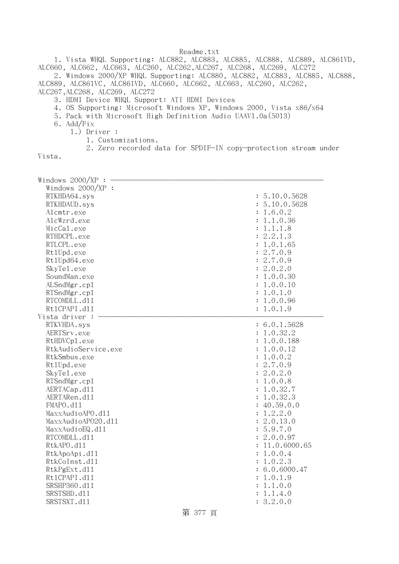1. Vista WHQL Supporting: ALC882, ALC883, ALC885, ALC888, ALC889, ALC861VD, ALC660, ALC662, ALC663, ALC260, ALC262,ALC267, ALC268, ALC269, ALC272

 2. Windows 2000/XP WHQL Supporting: ALC880, ALC882, ALC883, ALC885, ALC888, ALC889, ALC861VC, ALC861VD, ALC660, ALC662, ALC663, ALC260, ALC262, ALC267,ALC268, ALC269, ALC272

- 3. HDMI Device WHQL Support: ATI HDMI Devices
- 4. OS Supporting: Microsoft Windows XP, Windows 2000, Vista x86/x64
- 5. Pack with Microsoft High Definition Audio UAAV1.0a(5013)
- 6. Add/Fix
	- 1.) Driver :
		- 1. Customizations.
		- 2. Zero recorded data for SPDIF-IN copy-protection stream under

Vista.

| Windows 2000/XP     |                            |
|---------------------|----------------------------|
| Windows 2000/XP :   |                            |
| RTKHDA64.sys        | : 5.10.0.5628              |
| RTKHDAUD.sys        | : 5.10.0.5628              |
| Alcmtr.exe          | : 1.6.0.2                  |
| AlcWzrd.exe         | 1.1.0.36<br>$\ddot{\cdot}$ |
| MicCal.exe          | 1.1.1.8<br>$\ddot{\cdot}$  |
| RTHDCPL.exe         | : 2.2.1.3                  |
| RTLCPL.exe          | 1.0.1.65                   |
| Rt1Upd.exe          | 2.7.0.9<br>$\ddot{\cdot}$  |
| Rt1Upd64.exe        | : 2.7.0.9                  |
| SkyTe1.exe          | : 2.0.2.0                  |
| SoundMan.exe        | : 1.0.0.30                 |
| ALSndMgr.cp1        | $\ddot{\cdot}$<br>1.0.0.10 |
| RTSndMgr.cp1        | 1.0.1.0<br>$\ddot{\cdot}$  |
| RTCOMDLL.d11        | 1.0.0.96<br>$\ddot{\cdot}$ |
| Rt1CPAPI.d11        | : 1.0.1.9                  |
| Vista driver :      |                            |
| RTKVHDA.sys         | : 6.0.1.5628               |
| AERTSrv.exe         | : 1.0.32.2                 |
| RtHDVCp1.exe        | : 1.0.0.188                |
| RtkAudioService.exe | 1.0.0.12                   |
| RtkSmbus.exe        | 1.0.0.2<br>$\ddot{\cdot}$  |
| Rt1Upd.exe          | 2.7.0.9<br>$\ddot{\cdot}$  |
| SkyTe1.exe          | 2.0.2.0<br>$\ddot{\cdot}$  |
| RTSndMgr.cp1        | 1.0.0.8                    |
| AERTACap.d11        | 1.0.32.7<br>$\ddot{\cdot}$ |
| AERTARen.d11        | 1.0.32.3<br>$\ddot{\cdot}$ |
| FMAPO.d11           | : 40.59.0.0                |
| MaxxAudioAPO.dl1    | 1.2.2.0<br>:               |
| MaxxAudioAP020.dll  | 2.0.13.0<br>$\ddot{\cdot}$ |
| MaxxAudioEQ.d11     | : 5.9.7.0                  |
| RTCOMDLL.d11        | : 2.0.0.97                 |
| RtkAPO.d11          | : 11.0.6000.65             |
| RtkApoApi.d11       | 1.0.0.4<br>:               |
| RtkCoInst.d11       | 1.0.2.3<br>$\ddot{\cdot}$  |
| RtkPgExt.d11        | : 6.0.6000.47              |
| Rt1CPAPI.d11        | : 1.0.1.9                  |
| SRSHP360.d11        | : 1.1.0.0                  |
| SRSTSHD.d11         | 1.1.4.0<br>$\ddot{\cdot}$  |
| SRSTSXT.d11         | : 3.2.0.0                  |
|                     |                            |

第 377 頁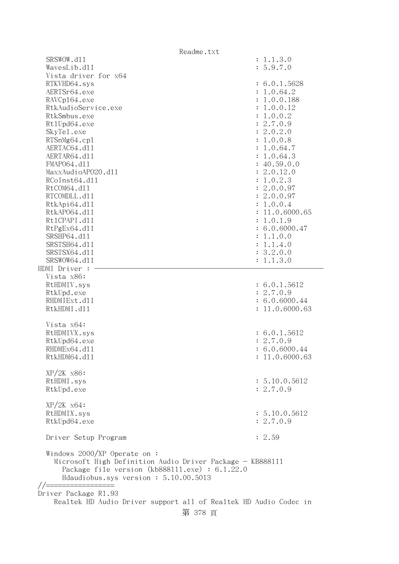|                                                                                                                                                                                               | Readme.txt                                                       |
|-----------------------------------------------------------------------------------------------------------------------------------------------------------------------------------------------|------------------------------------------------------------------|
| SRSWOW.d11                                                                                                                                                                                    | : 1.1.3.0                                                        |
| WavesLib.dll                                                                                                                                                                                  | : 5.9.7.0                                                        |
| Vista driver for x64                                                                                                                                                                          |                                                                  |
| RTKVHD64.sys                                                                                                                                                                                  | : 6.0.1.5628                                                     |
| AERTSr64.exe                                                                                                                                                                                  | : 1.0.64.2                                                       |
| RAVCp164.exe                                                                                                                                                                                  | : 1.0.0.188                                                      |
| RtkAudioService.exe                                                                                                                                                                           | : 1.0.0.12                                                       |
| RtkSmbus.exe                                                                                                                                                                                  | : 1.0.0.2                                                        |
| Rt1Upd64.exe                                                                                                                                                                                  | : 2.7.0.9                                                        |
| SkyTe1.exe                                                                                                                                                                                    | : 2.0.2.0                                                        |
| RTSnMg64.cp1                                                                                                                                                                                  | : 1.0.0.8                                                        |
| AERTAC64.d11                                                                                                                                                                                  | : 1.0.64.7                                                       |
| AERTAR64.d11                                                                                                                                                                                  | : 1.0.64.3                                                       |
| FMAP064.d11<br>MaxxAudioAP020.dll                                                                                                                                                             | : 40.59.0.0<br>: 2.0.12.0                                        |
| RCoInst64.d11                                                                                                                                                                                 | : 1.0.2.3                                                        |
| RtCOM64.d11                                                                                                                                                                                   | : 2.0.0.97                                                       |
| RTCOMDLL.d11                                                                                                                                                                                  | : 2.0.0.97                                                       |
| RtkApi64.dl1                                                                                                                                                                                  | : 1.0.0.4                                                        |
| RtkAP064.d11                                                                                                                                                                                  | : 11.0.6000.65                                                   |
| Rt1CPAPI.d11                                                                                                                                                                                  | : 1.0.1.9                                                        |
| RtPgEx64.d11                                                                                                                                                                                  | : 6.0.6000.47                                                    |
| SRSHP64.d11                                                                                                                                                                                   | : 1.1.0.0                                                        |
| SRSTSH64.d11                                                                                                                                                                                  | : 1.1.4.0                                                        |
| SRSTSX64.d11                                                                                                                                                                                  | : 3.2.0.0                                                        |
| SRSWOW64.d11                                                                                                                                                                                  | : 1.1.3.0                                                        |
| HDMI Driver :                                                                                                                                                                                 |                                                                  |
| Vista x86:                                                                                                                                                                                    |                                                                  |
| RtHDMIV.sys                                                                                                                                                                                   | : 6.0.1.5612                                                     |
| RtkUpd.exe                                                                                                                                                                                    | : 2.7.0.9                                                        |
| RHDMIExt.d11                                                                                                                                                                                  | : 6.0.6000.44                                                    |
| RtkHDMI.d11                                                                                                                                                                                   | : 11.0.6000.63                                                   |
| Vista x64:                                                                                                                                                                                    |                                                                  |
| RtHDMIVX.sys                                                                                                                                                                                  | : 6.0.1.5612                                                     |
| RtkUpd64.exe                                                                                                                                                                                  | : 2.7.0.9                                                        |
| RHDMEx64.d11                                                                                                                                                                                  | : 6.0.6000.44                                                    |
| RtkHDM64.d11                                                                                                                                                                                  | : 11.0.6000.63                                                   |
|                                                                                                                                                                                               |                                                                  |
| $XP/2K$ $x86$ :                                                                                                                                                                               |                                                                  |
| RtHDMI.sys                                                                                                                                                                                    | : 5.10.0.5612                                                    |
| RtkUpd.exe                                                                                                                                                                                    | : 2.7.0.9                                                        |
| $XP/ZK$ $x64$ :                                                                                                                                                                               |                                                                  |
| RtHDMIX.sys                                                                                                                                                                                   | : 5.10.0.5612                                                    |
| RtkUpd64.exe                                                                                                                                                                                  | : 2.7.0.9                                                        |
|                                                                                                                                                                                               |                                                                  |
| Driver Setup Program                                                                                                                                                                          | : 2.59                                                           |
| Windows $2000/XP$ Operate on:<br>Microsoft High Definition Audio Driver Package - KB888111<br>Package file version $(kb888111.\text{exe}) : 6.1.22.0$<br>Hdaudiobus.sys version: 5.10.00.5013 |                                                                  |
| Driver Package R1.93                                                                                                                                                                          |                                                                  |
|                                                                                                                                                                                               | Realtek HD Audio Driver support all of Realtek HD Audio Codec in |
|                                                                                                                                                                                               |                                                                  |
|                                                                                                                                                                                               | 第 378 頁                                                          |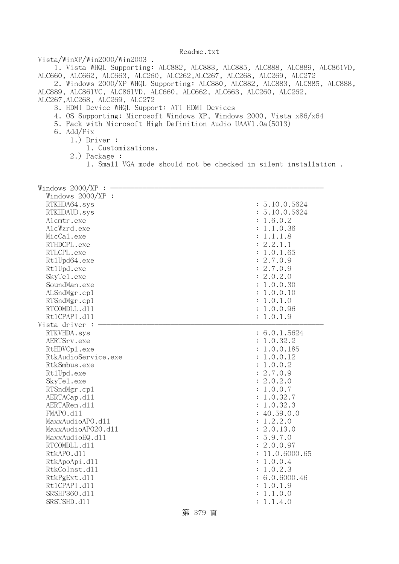Vista/WinXP/Win2000/Win2003 .

 1. Vista WHQL Supporting: ALC882, ALC883, ALC885, ALC888, ALC889, ALC861VD, ALC660, ALC662, ALC663, ALC260, ALC262,ALC267, ALC268, ALC269, ALC272

 2. Windows 2000/XP WHQL Supporting: ALC880, ALC882, ALC883, ALC885, ALC888, ALC889, ALC861VC, ALC861VD, ALC660, ALC662, ALC663, ALC260, ALC262,

ALC267,ALC268, ALC269, ALC272

- 3. HDMI Device WHQL Support: ATI HDMI Devices
- 4. OS Supporting: Microsoft Windows XP, Windows 2000, Vista x86/x64
- 5. Pack with Microsoft High Definition Audio UAAV1.0a(5013)
- 6. Add/Fix
	- 1.) Driver :
		- 1. Customizations.
	- 2.) Package :
		- 1. Small VGA mode should not be checked in silent installation .

| Windows 2000/XP     |                            |
|---------------------|----------------------------|
| Windows 2000/XP :   |                            |
| RTKHDA64.sys        | : 5.10.0.5624              |
| RTKHDAUD.sys        | : 5.10.0.5624              |
| Alcmtr.exe          | 1.6.0.2                    |
| AlcWzrd.exe         | 1.1.0.36<br>$\ddot{\cdot}$ |
| MicCal.exe          | 1.1.1.8<br>$\ddot{\cdot}$  |
| RTHDCPL.exe         | 2.2.1.1                    |
| RTLCPL.exe          | : 1.0.1.65                 |
| Rt1Upd64.exe        | : 2.7.0.9                  |
| Rt1Upd.exe          | : 2.7.0.9                  |
| SkyTe1.exe          | : 2.0.2.0                  |
| SoundMan.exe        | : 1.0.0.30                 |
| ALSndMgr.cp1        | : 1.0.0.10                 |
| RTSndMgr.cp1        | 1.0.1.0<br>$\ddot{\cdot}$  |
| RTCOMDLL.d11        | : 1.0.0.96                 |
| Rt1CPAPI.d11        | : 1.0.1.9                  |
| Vista driver :      |                            |
| RTKVHDA.sys         | : 6.0.1.5624               |
| AERTSrv.exe         | 1.0.32.2<br>$\ddot{\cdot}$ |
| RtHDVCp1.exe        | 1.0.0.185                  |
| RtkAudioService.exe | 1.0.0.12<br>$\ddot{\cdot}$ |
| RtkSmbus.exe        | 1.0.0.2                    |
| Rt1Upd.exe          | : 2.7.0.9                  |
| SkyTe1.exe          | : 2.0.2.0                  |
| RTSndMgr.cp1        | 1.0.0.7<br>$\ddot{\cdot}$  |
| AERTACap.d11        | 1.0.32.7<br>$\ddot{\cdot}$ |
| AERTARen.d11        | 1.0.32.3                   |
| FMAPO.d11           | 40.59.0.0                  |
| MaxxAudioAPO.dl1    | : 1.2.2.0                  |
| MaxxAudioAP020.dll  | : 2.0.13.0                 |
| MaxxAudioEQ.d11     | : 5.9.7.0                  |
| RTCOMDLL.d11        | : 2.0.0.97                 |
| RtkAPO.d11          | 11.0.6000.65               |
| RtkApoApi.d11       | 1.0.0.4<br>$\ddot{\cdot}$  |
| RtkCoInst.d11       | 1.0.2.3<br>$\ddot{\cdot}$  |
| RtkPgExt.d11        | : 6.0.6000.46              |
| Rt1CPAPI.d11        | : 1.0.1.9                  |
| SRSHP360.d11        | : 1.1.0.0                  |
| SRSTSHD.d11         | 1.1.4.0<br>$\ddot{\cdot}$  |

第 379 頁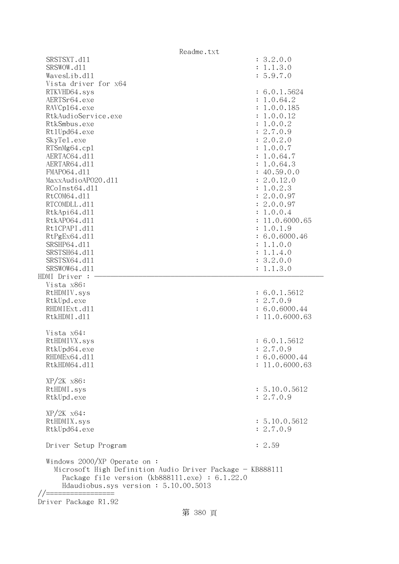|                                                                                                 | Readme.txt     |
|-------------------------------------------------------------------------------------------------|----------------|
| SRSTSXT.d11                                                                                     | : 3.2.0.0      |
| SRSWOW.d11                                                                                      | : 1.1.3.0      |
| WavesLib.d11                                                                                    | : 5.9.7.0      |
| Vista driver for x64                                                                            |                |
| RTKVHD64.sys                                                                                    | : 6.0.1.5624   |
| AERTSr64.exe                                                                                    | : 1.0.64.2     |
| RAVCp164.exe                                                                                    | : 1.0.0.185    |
| RtkAudioService.exe                                                                             | : 1.0.0.12     |
| RtkSmbus.exe                                                                                    | : 1.0.0.2      |
| Rt1Upd64.exe                                                                                    | : 2.7.0.9      |
| SkyTe1.exe                                                                                      | : 2.0.2.0      |
| RTSnMg64.cp1                                                                                    | : 1.0.0.7      |
| AERTAC64.d11                                                                                    | : 1.0.64.7     |
| AERTAR64.d11                                                                                    | : 1.0.64.3     |
| FMAP064.d11                                                                                     | : 40.59.0.0    |
| MaxxAudioAP020.d11                                                                              | : 2.0.12.0     |
| RCoInst64.d11                                                                                   | : 1.0.2.3      |
| RtCOM64.d11                                                                                     | : 2.0.0.97     |
| RTCOMDLL.d11                                                                                    | : 2.0.0.97     |
| RtkApi64.d11                                                                                    | : 1.0.0.4      |
| RtkAP064.d11                                                                                    | : 11.0.6000.65 |
| Rt1CPAPI.d11                                                                                    | : 1.0.1.9      |
| RtPgEx64.d11                                                                                    | : 6.0.6000.46  |
| SRSHP64.d11                                                                                     | : 1.1.0.0      |
| SRSTSH64.d11                                                                                    | : 1.1.4.0      |
| SRSTSX64.d11                                                                                    | : 3.2.0.0      |
| SRSWOW64.d11                                                                                    | : 1.1.3.0      |
| HDMI Driver :                                                                                   |                |
| Vista x86:                                                                                      |                |
| RtHDMIV.sys                                                                                     | : 6.0.1.5612   |
| RtkUpd.exe                                                                                      | : 2.7.0.9      |
| RHDMIExt.d11                                                                                    | : 6.0.6000.44  |
| RtkHDMI.d11                                                                                     | : 11.0.6000.63 |
| Vista x64:                                                                                      |                |
| RtHDMIVX.sys                                                                                    | : 6.0.1.5612   |
| RtkUpd64.exe                                                                                    | : 2.7.0.9      |
| RHDMEx64.d11                                                                                    | : 6.0.6000.44  |
| RtkHDM64.d11                                                                                    | : 11.0.6000.63 |
|                                                                                                 |                |
| $XP/2K$ $x86$ :                                                                                 |                |
| RtHDMI.sys                                                                                      | : 5.10.0.5612  |
| RtkUpd.exe                                                                                      | : 2.7.0.9      |
|                                                                                                 |                |
| $XP/ZK$ $x64$ :                                                                                 |                |
| RtHDMIX.sys                                                                                     | : 5.10.0.5612  |
| RtkUpd64.exe                                                                                    | : 2.7.0.9      |
|                                                                                                 |                |
| Driver Setup Program                                                                            | : 2.59         |
| Windows $2000/XP$ Operate on:<br>Microsoft High Definition Audio Driver Package - KB888111      |                |
| Package file version $(kb888111.\text{exe}) : 6.1.22.0$<br>Hdaudiobus.sys version: 5.10.00.5013 |                |
|                                                                                                 |                |

Driver Package R1.92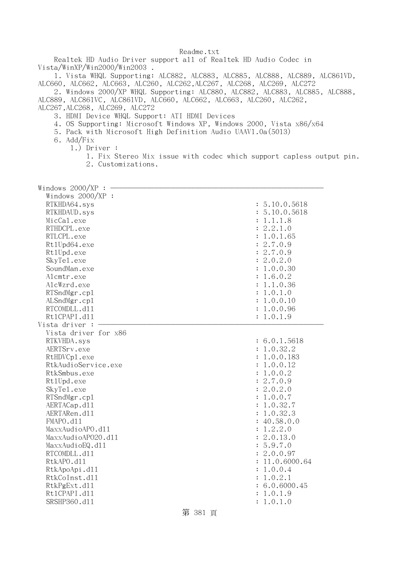Realtek HD Audio Driver support all of Realtek HD Audio Codec in Vista/WinXP/Win2000/Win2003 .

 1. Vista WHQL Supporting: ALC882, ALC883, ALC885, ALC888, ALC889, ALC861VD, ALC660, ALC662, ALC663, ALC260, ALC262,ALC267, ALC268, ALC269, ALC272

 2. Windows 2000/XP WHQL Supporting: ALC880, ALC882, ALC883, ALC885, ALC888, ALC889, ALC861VC, ALC861VD, ALC660, ALC662, ALC663, ALC260, ALC262,

ALC267,ALC268, ALC269, ALC272

- 3. HDMI Device WHQL Support: ATI HDMI Devices
- 4. OS Supporting: Microsoft Windows XP, Windows 2000, Vista x86/x64
- 5. Pack with Microsoft High Definition Audio UAAV1.0a(5013)
- 6. Add/Fix
	- 1.) Driver :
		- 1. Fix Stereo Mix issue with codec which support capless output pin. 2. Customizations.

| Windows 2000/XP      |                                 |
|----------------------|---------------------------------|
| Windows 2000/XP :    |                                 |
| RTKHDA64.sys         | : 5.10.0.5618                   |
| RTKHDAUD.sys         | : 5.10.0.5618                   |
| MicCal.exe           | 1.1.1.8<br>$\ddot{\phantom{a}}$ |
| RTHDCPL.exe          | 2.2.1.0<br>$\ddot{\cdot}$       |
| RTLCPL.exe           | 1.0.1.65<br>$\ddot{\cdot}$      |
| Rt1Upd64.exe         | : 2.7.0.9                       |
| Rt1Upd.exe           | : 2.7.0.9                       |
| SkyTe1.exe           | : 2.0.2.0                       |
| SoundMan.exe         | 1.0.0.30<br>:                   |
| Alcmtr.exe           | 1.6.0.2<br>$\ddot{\cdot}$       |
| AlcWzrd.exe          | : 1.1.0.36                      |
| RTSndMgr.cp1         | 1.0.1.0<br>$\ddot{\cdot}$       |
| ALSndMgr.cp1         | : 1.0.0.10                      |
| RTCOMDLL.d11         | : 1.0.0.96                      |
| Rt1CPAPI.d11         | : 1.0.1.9                       |
| Vista driver :       |                                 |
| Vista driver for x86 |                                 |
| RTKVHDA.sys          | : 6.0.1.5618                    |
| AERTSrv.exe          | : 1.0.32.2                      |
| RtHDVCp1.exe         | : 1.0.0.183                     |
| RtkAudioService.exe  | : 1.0.0.12                      |
| RtkSmbus.exe         | 1.0.0.2<br>$\ddot{\cdot}$       |
| Rt1Upd.exe           | : 2.7.0.9                       |
| SkyTe1.exe           | 2.0.2.0<br>$\ddot{\cdot}$       |
| RTSndMgr.cp1         | : 1.0.0.7                       |
| AERTACap.d11         | 1.0.32.7                        |
| AERTARen.d11         | : 1.0.32.3                      |
| FMAPO.d11            | : 40.58.0.0                     |
| MaxxAudioAPO.dl1     | 1.2.2.0<br>$\ddot{\cdot}$       |
| MaxxAudioAP020.dll   | 2.0.13.0                        |
| MaxxAudioEQ.d11      | 5.9.7.0<br>$\ddot{\cdot}$       |
| RTCOMDLL.d11         | 2.0.0.97                        |
| RtkAPO.d11           | : 11.0.6000.64                  |
| RtkApoApi.d11        | : 1.0.0.4                       |
| RtkCoInst.d11        | : 1.0.2.1                       |
| RtkPgExt.d11         | : 6.0.6000.45                   |
| Rt1CPAPI.d11         | 1.0.1.9<br>$\ddot{\cdot}$       |
| SRSHP360.d11         | : 1.0.1.0                       |
|                      |                                 |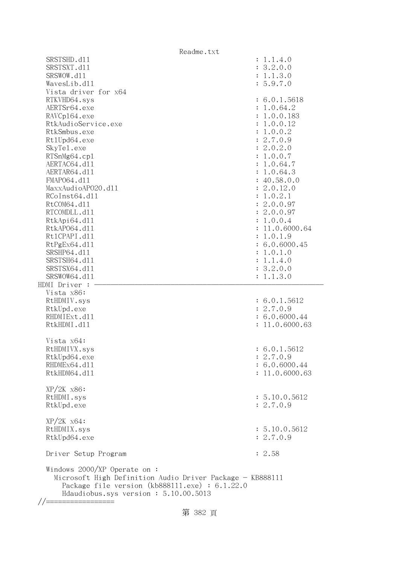|                                                                                                                                                                                              | Readme.txt             |
|----------------------------------------------------------------------------------------------------------------------------------------------------------------------------------------------|------------------------|
| SRSTSHD.d11                                                                                                                                                                                  | : 1.1.4.0              |
| SRSTSXT.d11<br>SRSWOW.d11                                                                                                                                                                    | : 3.2.0.0<br>: 1.1.3.0 |
| WavesLib.d11                                                                                                                                                                                 | : 5.9.7.0              |
| Vista driver for x64                                                                                                                                                                         |                        |
| RTKVHD64.sys                                                                                                                                                                                 | : 6.0.1.5618           |
| AERTSr64.exe                                                                                                                                                                                 | : 1.0.64.2             |
| RAVCp164.exe                                                                                                                                                                                 | : 1.0.0.183            |
| RtkAudioService.exe                                                                                                                                                                          | : 1.0.0.12             |
| RtkSmbus.exe                                                                                                                                                                                 | : 1.0.0.2              |
| Rt1Upd64.exe                                                                                                                                                                                 | : 2.7.0.9              |
| SkyTe1.exe                                                                                                                                                                                   | : 2.0.2.0              |
| RTSnMg64.cp1                                                                                                                                                                                 | : 1.0.0.7              |
| AERTAC64.d11                                                                                                                                                                                 | : 1.0.64.7             |
| AERTAR64.d11                                                                                                                                                                                 | : 1.0.64.3             |
| FMAP064.d11                                                                                                                                                                                  | : 40.58.0.0            |
| MaxxAudioAP020.dll                                                                                                                                                                           | : 2.0.12.0             |
| RCoInst64.d11                                                                                                                                                                                | : 1.0.2.1              |
| RtCOM64.d11                                                                                                                                                                                  | : 2.0.0.97             |
| RTCOMDLL.d11                                                                                                                                                                                 | : 2.0.0.97             |
| RtkApi64.d11                                                                                                                                                                                 | : 1.0.0.4              |
| RtkAP064.d11                                                                                                                                                                                 | : 11.0.6000.64         |
| Rt1CPAPI.d11                                                                                                                                                                                 | : 1.0.1.9              |
| RtPgEx64.d11                                                                                                                                                                                 | : 6.0.6000.45          |
| SRSHP64.d11                                                                                                                                                                                  | : 1.0.1.0              |
| SRSTSH64.d11                                                                                                                                                                                 | : 1.1.4.0              |
| SRSTSX64.d11                                                                                                                                                                                 | : 3.2.0.0              |
| SRSWOW64.d11                                                                                                                                                                                 | : 1.1.3.0              |
| HDMI Driver :<br>Vista x86:                                                                                                                                                                  |                        |
| RtHDMIV.sys                                                                                                                                                                                  | : 6.0.1.5612           |
| RtkUpd.exe                                                                                                                                                                                   | : 2.7.0.9              |
| RHDMIExt.d11                                                                                                                                                                                 | : 6.0.6000.44          |
| RtkHDMI.d11                                                                                                                                                                                  | : 11.0.6000.63         |
|                                                                                                                                                                                              |                        |
| Vista x64:                                                                                                                                                                                   |                        |
| RtHDMIVX.sys                                                                                                                                                                                 | : 6.0.1.5612           |
| RtkUpd64.exe                                                                                                                                                                                 | : 2.7.0.9              |
| RHDMEx64.d11                                                                                                                                                                                 | : 6.0.6000.44          |
| RtkHDM64.d11                                                                                                                                                                                 | : 11.0.6000.63         |
|                                                                                                                                                                                              |                        |
| XP/2K x86:                                                                                                                                                                                   |                        |
| RtHDMI.sys                                                                                                                                                                                   | : 5.10.0.5612          |
| RtkUpd.exe                                                                                                                                                                                   | : 2.7.0.9              |
| XP/2K x64:                                                                                                                                                                                   |                        |
| RtHDMIX.sys                                                                                                                                                                                  | : 5.10.0.5612          |
| RtkUpd64.exe                                                                                                                                                                                 | : 2.7.0.9              |
|                                                                                                                                                                                              |                        |
| Driver Setup Program                                                                                                                                                                         | : 2.58                 |
| Windows 2000/XP Operate on :<br>Microsoft High Definition Audio Driver Package - KB888111<br>Package file version $(kb888111.\text{exe}) : 6.1.22.0$<br>Hdaudiobus.sys version: 5.10.00.5013 |                        |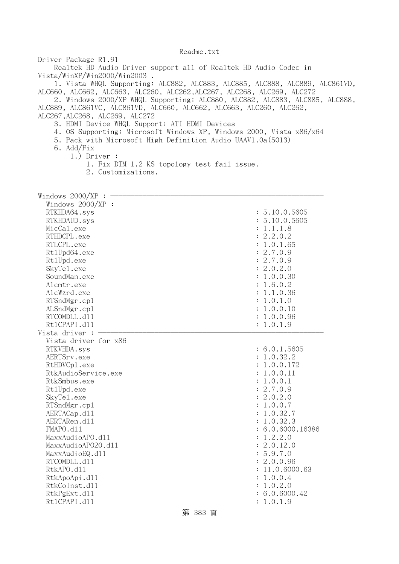Driver Package R1.91 Realtek HD Audio Driver support all of Realtek HD Audio Codec in Vista/WinXP/Win2000/Win2003 . 1. Vista WHQL Supporting: ALC882, ALC883, ALC885, ALC888, ALC889, ALC861VD, ALC660, ALC662, ALC663, ALC260, ALC262,ALC267, ALC268, ALC269, ALC272 2. Windows 2000/XP WHQL Supporting: ALC880, ALC882, ALC883, ALC885, ALC888, ALC889, ALC861VC, ALC861VD, ALC660, ALC662, ALC663, ALC260, ALC262, ALC267,ALC268, ALC269, ALC272 3. HDMI Device WHQL Support: ATI HDMI Devices 4. OS Supporting: Microsoft Windows XP, Windows 2000, Vista x86/x64 5. Pack with Microsoft High Definition Audio UAAV1.0a(5013) 6. Add/Fix 1.) Driver : 1. Fix DTM 1.2 KS topology test fail issue. 2. Customizations. Windows  $2000/XP : -$  Windows 2000/XP : RTKHDA64.sys : 5.10.0.5605 RTKHDAUD.sys : 5.10.0.5605 MicCal.exe : 1.1.1.8 RTHDCPL.exe : 2.2.0.2 RTLCPL.exe : 1.0.1.65 Rt1Upd64.exe : 2.7.0.9 RtlUpd.exe : 2.7.0.9 SkyTel.exe : 2.0.2.0 SoundMan.exe : 1.0.0.30 Alcmtr.exe : 1.6.0.2 AlcWzrd.exe : 1.1.0.36 RTSndMgr.cp1 : 1.0.1.0 ALSndMgr.cp1 : 1.0.0.10 RTCOMDLL.d11 : 1.0.0.96 Rt1CPAPI.d11 : 1.0.1.9 Vista driver  $: -$  Vista driver for x86 RTKVHDA.sys : 6.0.1.5605 AERTSrv.exe : 1.0.32.2 RtHDVCp1.exe : 1.0.0.172 RtkAudioService.exe : 1.0.0.11 RtkSmbus.exe : 1.0.0.1 RtlUpd.exe : 2.7.0.9 SkyTel.exe : 2.0.2.0 RTSndMgr.cp1 : 1.0.0.7 AERTACap.d11 : 1.0.32.7 AERTARen.d11 : 1.0.32.3 FMAPO.dll : 6.0.6000.16386  $\text{MaxAudio}$ APO.dll  $\text{MaxAudio}$  $\text{MaxAudio}$ APO2O.dll : 2.0.12.0 MaxxAudioEQ.dl1 : 5.9.7.0 RTCOMDLL.d11 : 2.0.0.96 RtkAPO.d11 : 11.0.6000.63 RtkApoApi.dll : 1.0.0.4 RtkCoInst.dll : 1.0.2.0 RtkPgExt.dll : 6.0.6000.42 Rt1CPAPI.d11 : 1.0.1.9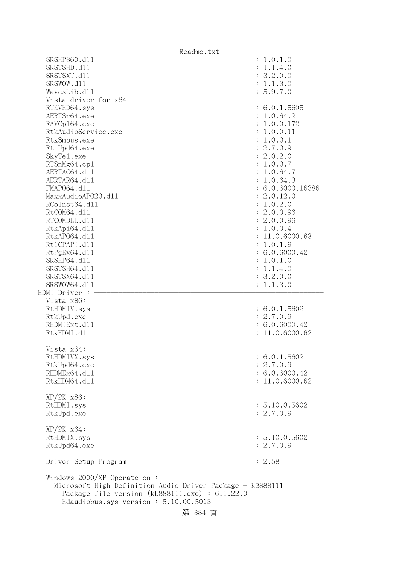|                                                                       | Readme.txt                                                                                                           |
|-----------------------------------------------------------------------|----------------------------------------------------------------------------------------------------------------------|
| SRSHP360.d11                                                          | : 1.0.1.0                                                                                                            |
| SRSTSHD.d11                                                           | : 1.1.4.0                                                                                                            |
| SRSTSXT.d11                                                           | : 3.2.0.0                                                                                                            |
| SRSWOW.d11                                                            | : 1.1.3.0                                                                                                            |
| WavesLib.d11                                                          | : 5.9.7.0                                                                                                            |
| Vista driver for x64                                                  |                                                                                                                      |
| RTKVHD64.sys                                                          | : 6.0.1.5605                                                                                                         |
| AERTSr64.exe                                                          | : 1.0.64.2                                                                                                           |
| RAVCp164.exe                                                          | : 1.0.0.172                                                                                                          |
| RtkAudioService.exe                                                   | : 1.0.0.11                                                                                                           |
| RtkSmbus.exe                                                          | : 1.0.0.1                                                                                                            |
| Rt1Upd64.exe                                                          | : 2.7.0.9                                                                                                            |
| SkyTe1.exe                                                            | : 2.0.2.0                                                                                                            |
| RTSnMg64.cp1                                                          | : 1.0.0.7                                                                                                            |
| AERTAC64.d11                                                          | : 1.0.64.7                                                                                                           |
| AERTAR64.d11                                                          | : 1.0.64.3                                                                                                           |
| FMAP064.d11                                                           | : 6.0.6000.16386                                                                                                     |
| MaxxAudioAP020.dll                                                    | : 2.0.12.0                                                                                                           |
| RCoInst64.d11                                                         | : 1.0.2.0                                                                                                            |
| RtCOM64.d11                                                           | : 2.0.0.96                                                                                                           |
| RTCOMDLL.d11                                                          | : 2.0.0.96                                                                                                           |
| RtkApi64.dl1                                                          | : 1.0.0.4                                                                                                            |
| RtkAP064.d11                                                          | : 11.0.6000.63                                                                                                       |
| Rt1CPAPI.d11                                                          | : 1.0.1.9                                                                                                            |
| RtPgEx64.d11                                                          | : 6.0.6000.42                                                                                                        |
| SRSHP64.d11                                                           | : 1.0.1.0                                                                                                            |
| SRSTSH64.d11                                                          | : 1.1.4.0                                                                                                            |
| SRSTSX64.d11                                                          | : 3.2.0.0                                                                                                            |
| SRSWOW64.d11                                                          | : 1.1.3.0                                                                                                            |
| HDMI Driver :                                                         |                                                                                                                      |
| Vista x86:                                                            |                                                                                                                      |
| RtHDMIV.sys                                                           | : 6.0.1.5602                                                                                                         |
| RtkUpd.exe                                                            | : 2.7.0.9                                                                                                            |
| RHDMIExt.d11                                                          | : 6.0.6000.42                                                                                                        |
| RtkHDMI.d11                                                           | : 11.0.6000.62                                                                                                       |
|                                                                       |                                                                                                                      |
| Vista x64:                                                            |                                                                                                                      |
|                                                                       |                                                                                                                      |
| RtHDMIVX.sys                                                          | : 6.0.1.5602                                                                                                         |
| RtkUpd64.exe                                                          | : 2.7.0.9                                                                                                            |
| RHDMEx64.d11                                                          | : 6.0.6000.42                                                                                                        |
| RtkHDM64.d11                                                          | : 11.0.6000.62                                                                                                       |
|                                                                       |                                                                                                                      |
| $XP/2K$ $x86$ :                                                       |                                                                                                                      |
| RtHDMI.sys                                                            | : 5.10.0.5602                                                                                                        |
| RtkUpd.exe                                                            | : 2.7.0.9                                                                                                            |
|                                                                       |                                                                                                                      |
| $XP/ZK$ $x64$ :                                                       |                                                                                                                      |
| RtHDMIX.sys                                                           | : 5.10.0.5602                                                                                                        |
| RtkUpd64.exe                                                          | : 2.7.0.9                                                                                                            |
| Driver Setup Program                                                  | : 2.58                                                                                                               |
| Windows $2000/XP$ Operate on:<br>Hdaudiobus.sys version: 5.10.00.5013 | Microsoft High Definition Audio Driver Package - KB888111<br>Package file version $(kb888111.\text{exe}) : 6.1.22.0$ |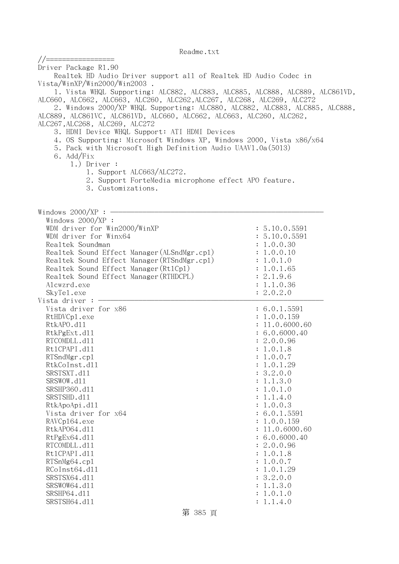| //=================                                                                                                                                   |                                 |
|-------------------------------------------------------------------------------------------------------------------------------------------------------|---------------------------------|
| Driver Package R1.90                                                                                                                                  |                                 |
| Realtek HD Audio Driver support all of Realtek HD Audio Codec in                                                                                      |                                 |
| Vista/WinXP/Win2000/Win2003.                                                                                                                          |                                 |
| 1. Vista WHQL Supporting: ALC882, ALC883, ALC885, ALC888, ALC889, ALC861VD,                                                                           |                                 |
| ALC660, ALC662, ALC663, ALC260, ALC262, ALC267, ALC268, ALC269, ALC272<br>2. Windows 2000/XP WHQL Supporting: ALC880, ALC882, ALC883, ALC885, ALC888, |                                 |
| ALC889, ALC861VC, ALC861VD, ALC660, ALC662, ALC663, ALC260, ALC262,                                                                                   |                                 |
| ALC267, ALC268, ALC269, ALC272                                                                                                                        |                                 |
| 3. HDMI Device WHQL Support: ATI HDMI Devices                                                                                                         |                                 |
| 4. OS Supporting: Microsoft Windows XP, Windows 2000, Vista x86/x64                                                                                   |                                 |
| 5. Pack with Microsoft High Definition Audio UAAV1.0a(5013)                                                                                           |                                 |
| 6. Add/Fix                                                                                                                                            |                                 |
| $1.)$ Driver :<br>1. Support ALC663/ALC272.                                                                                                           |                                 |
| 2. Support ForteMedia microphone effect APO feature.                                                                                                  |                                 |
| 3. Customizations.                                                                                                                                    |                                 |
|                                                                                                                                                       |                                 |
|                                                                                                                                                       |                                 |
| Windows $2000/XP:$ -                                                                                                                                  |                                 |
| Windows 2000/XP :                                                                                                                                     |                                 |
| WDM driver for Win2000/WinXP<br>WDM driver for Winx64                                                                                                 | : 5.10.0.5591<br>: 5.10.0.5591  |
| Realtek Soundman                                                                                                                                      | : 1.0.0.30                      |
| Realtek Sound Effect Manager (ALSndMgr.cp1)                                                                                                           | : 1.0.0.10                      |
| Realtek Sound Effect Manager (RTSndMgr.cp1)                                                                                                           | : 1.0.1.0                       |
| Realtek Sound Effect Manager (Rt1Cp1)                                                                                                                 | : 1.0.1.65                      |
| Realtek Sound Effect Manager (RTHDCPL)                                                                                                                | : 2.1.9.6                       |
| Alcwzrd.exe                                                                                                                                           | : 1.1.0.36                      |
| SkyTe1.exe<br>Vista driver : $-$                                                                                                                      | : 2.0.2.0                       |
| Vista driver for x86                                                                                                                                  | : 6.0.1.5591                    |
| RtHDVCp1.exe                                                                                                                                          | : 1.0.0.159                     |
| RtkAPO.d11                                                                                                                                            | : 11.0.6000.60                  |
| RtkPgExt.d11                                                                                                                                          | : 6.0.6000.40                   |
| RTCOMDLL.d11                                                                                                                                          | : 2.0.0.96                      |
| Rt1CPAPI.d11                                                                                                                                          | : 1.0.1.8                       |
| RTSndMgr.cp1                                                                                                                                          | : 1.0.0.7                       |
| RtkCoInst.d11<br>SRSTSXT.d11                                                                                                                          | : 1.0.1.29<br>: 3.2.0.0         |
| SRSWOW.d11                                                                                                                                            | : 1.1.3.0                       |
| SRSHP360.d11                                                                                                                                          | : 1.0.1.0                       |
| SRSTSHD.d11                                                                                                                                           | : 1.1.4.0                       |
| RtkApoApi.d11                                                                                                                                         | : 1.0.0.3                       |
| Vista driver for x64                                                                                                                                  | : 6.0.1.5591                    |
| RAVCp164.exe<br>RtkAP064.d11                                                                                                                          | : 1.0.0.159                     |
| RtPgEx64.d11                                                                                                                                          | : 11.0.6000.60<br>: 6.0.6000.40 |
| RTCOMDLL.d11                                                                                                                                          | : 2.0.0.96                      |
| Rt1CPAPI.d11                                                                                                                                          | : 1.0.1.8                       |
| RTSnMg64.cp1                                                                                                                                          | : 1.0.0.7                       |
| RCoInst64.d11                                                                                                                                         | : 1.0.1.29                      |
| SRSTSX64.d11                                                                                                                                          | : 3.2.0.0                       |
| SRSWOW64.d11                                                                                                                                          | : 1.1.3.0                       |
| SRSHP64.d11<br>SRSTSH64.d11                                                                                                                           | : 1.0.1.0<br>: 1.1.4.0          |
|                                                                                                                                                       |                                 |

第 385 頁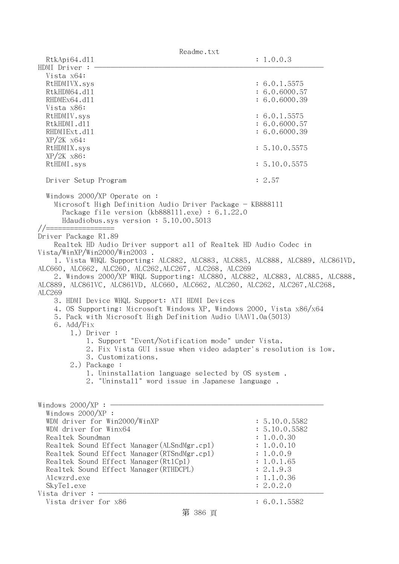| Readme.txt                                                                  |               |  |
|-----------------------------------------------------------------------------|---------------|--|
| RtkApi64.d11                                                                | : 1.0.0.3     |  |
| HDMI Driver :                                                               |               |  |
| Vista x64:                                                                  |               |  |
| RtHDMIVX.sys                                                                | : 6.0.1.5575  |  |
| RtkHDM64.d11                                                                | : 6.0.6000.57 |  |
| RHDMEx64.d11                                                                | : 6.0.6000.39 |  |
| Vista x86:                                                                  |               |  |
| RtHDMIV.sys                                                                 | : 6.0.1.5575  |  |
| RtkHDMI.d11                                                                 | : 6.0.6000.57 |  |
| RHDMIExt.d11                                                                | : 6.0.6000.39 |  |
| $XP/ZK$ $x64$ :                                                             |               |  |
| RtHDMIX.sys                                                                 | : 5.10.0.5575 |  |
| $XP/2K$ $x86$ :                                                             |               |  |
| RtHDMI.sys                                                                  | : 5.10.0.5575 |  |
|                                                                             |               |  |
| Driver Setup Program                                                        | : 2.57        |  |
| Windows $2000/XP$ Operate on:                                               |               |  |
| Microsoft High Definition Audio Driver Package - KB888111                   |               |  |
| Package file version $(kb888111.\text{exe}) : 6.1.22.0$                     |               |  |
| Hdaudiobus.sys version: 5.10.00.5013                                        |               |  |
| //================                                                          |               |  |
| Driver Package R1.89                                                        |               |  |
| Realtek HD Audio Driver support all of Realtek HD Audio Codec in            |               |  |
| Vista/WinXP/Win2000/Win2003.                                                |               |  |
| 1. Vista WHQL Supporting: ALC882, ALC883, ALC885, ALC888, ALC889, ALC861VD, |               |  |
| ALC660, ALC662, ALC260, ALC262, ALC267, ALC268, ALC269                      |               |  |
| 2. Windows 2000/XP WHQL Supporting: ALC880, ALC882, ALC883, ALC885, ALC888, |               |  |
| ALC889, ALC861VC, ALC861VD, ALC660, ALC662, ALC260, ALC262, ALC267, ALC268, |               |  |
| ALC269                                                                      |               |  |
| 3. HDMI Device WHQL Support: ATI HDMI Devices                               |               |  |
| 4. OS Supporting: Microsoft Windows XP, Windows 2000, Vista x86/x64         |               |  |
| 5. Pack with Microsoft High Definition Audio UAAV1.0a(5013)                 |               |  |
| 6. Add/Fix                                                                  |               |  |
| $1.)$ Driver :                                                              |               |  |
| 1. Support "Event/Notification mode" under Vista.                           |               |  |
| 2. Fix Vista GUI issue when video adapter's resolution is low.              |               |  |
| 3. Customizations.                                                          |               |  |
| 2.) Package :                                                               |               |  |
|                                                                             |               |  |
| 1. Uninstallation language selected by OS system.                           |               |  |
| 2. "Uninstall" word issue in Japanese language.                             |               |  |
|                                                                             |               |  |
| Windows $2000/XP:$                                                          |               |  |
| Windows 2000/XP :                                                           |               |  |
| WDM driver for Win2000/WinXP                                                | : 5.10.0.5582 |  |
| WDM driver for Winx64                                                       | : 5.10.0.5582 |  |
| Realtek Soundman                                                            | : 1.0.0.30    |  |
| Realtek Sound Effect Manager (ALSndMgr.cp1)                                 | : 1.0.0.10    |  |
| Realtek Sound Effect Manager (RTSndMgr.cp1)                                 | : 1.0.0.9     |  |
| Realtek Sound Effect Manager (Rt1Cp1)                                       | : 1.0.1.65    |  |
| Realtek Sound Effect Manager (RTHDCPL)                                      | : 2.1.9.3     |  |
| Alcwzrd.exe                                                                 | : 1.1.0.36    |  |
| SkyTe1.exe                                                                  | : 2.0.2.0     |  |
| Vista driver :                                                              |               |  |
| Vista driver for x86                                                        | : 6.0.1.5582  |  |

第 386 頁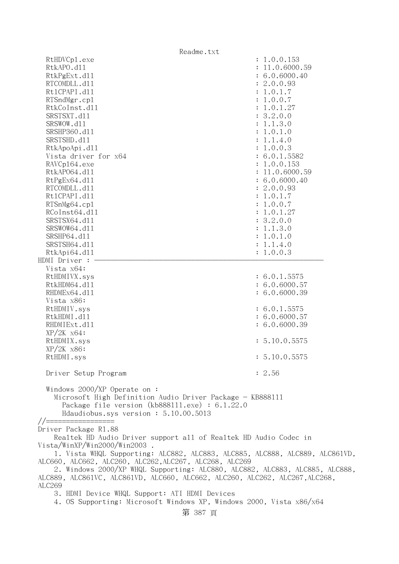| Readme.txt                                                                                                                                                                                                 |                |  |
|------------------------------------------------------------------------------------------------------------------------------------------------------------------------------------------------------------|----------------|--|
| RtHDVCp1.exe                                                                                                                                                                                               | : 1.0.0.153    |  |
| RtkAPO.d11                                                                                                                                                                                                 | : 11.0.6000.59 |  |
| RtkPgExt.d11                                                                                                                                                                                               | : 6.0.6000.40  |  |
| RTCOMDLL.d11                                                                                                                                                                                               | : 2.0.0.93     |  |
| Rt1CPAPI.d11                                                                                                                                                                                               | : 1.0.1.7      |  |
| RTSndMgr.cp1                                                                                                                                                                                               | : 1.0.0.7      |  |
| RtkCoInst.d11                                                                                                                                                                                              | : 1.0.1.27     |  |
| SRSTSXT.d11                                                                                                                                                                                                | : 3.2.0.0      |  |
| SRSWOW.d11                                                                                                                                                                                                 | : 1.1.3.0      |  |
| SRSHP360.d11                                                                                                                                                                                               | : 1.0.1.0      |  |
| SRSTSHD.d11                                                                                                                                                                                                | : 1.1.4.0      |  |
| RtkApoApi.d11                                                                                                                                                                                              | : 1.0.0.3      |  |
| Vista driver for x64                                                                                                                                                                                       | : 6.0.1.5582   |  |
| RAVCp164.exe                                                                                                                                                                                               | : 1.0.0.153    |  |
| RtkAP064.d11                                                                                                                                                                                               | : 11.0.6000.59 |  |
|                                                                                                                                                                                                            |                |  |
| RtPgEx64.d11                                                                                                                                                                                               | : 6.0.6000.40  |  |
| RTCOMDLL.d11                                                                                                                                                                                               | : 2.0.0.93     |  |
| Rt1CPAPI.d11                                                                                                                                                                                               | : 1.0.1.7      |  |
| RTSnMg64.cp1                                                                                                                                                                                               | : 1.0.0.7      |  |
| RCoInst64.d11                                                                                                                                                                                              | : 1.0.1.27     |  |
| SRSTSX64.d11                                                                                                                                                                                               | : 3.2.0.0      |  |
| SRSWOW64.d11                                                                                                                                                                                               | : 1.1.3.0      |  |
| SRSHP64.d11                                                                                                                                                                                                | : 1.0.1.0      |  |
| SRSTSH64.d11                                                                                                                                                                                               | : 1.1.4.0      |  |
| RtkApi64.d11                                                                                                                                                                                               | : 1.0.0.3      |  |
| HDMI Driver :                                                                                                                                                                                              |                |  |
| Vista x64:                                                                                                                                                                                                 |                |  |
| RtHDMIVX.sys                                                                                                                                                                                               | : 6.0.1.5575   |  |
| RtkHDM64.d11                                                                                                                                                                                               | : 6.0.6000.57  |  |
| RHDMEx64.d11                                                                                                                                                                                               | : 6.0.6000.39  |  |
| Vista x86:                                                                                                                                                                                                 |                |  |
| RtHDMIV.sys                                                                                                                                                                                                | : 6.0.1.5575   |  |
| RtkHDMI.d11                                                                                                                                                                                                | : 6.0.6000.57  |  |
| RHDMIExt.d11                                                                                                                                                                                               | : 6.0.6000.39  |  |
| $XP/ZK$ $x64$ :                                                                                                                                                                                            |                |  |
| RtHDMIX.sys                                                                                                                                                                                                | : 5.10.0.5575  |  |
| $XP/2K$ $x86$ :                                                                                                                                                                                            |                |  |
| RtHDMI.sys                                                                                                                                                                                                 | : 5.10.0.5575  |  |
| Driver Setup Program                                                                                                                                                                                       | : 2.56         |  |
| Windows $2000/XP$ Operate on:<br>Microsoft High Definition Audio Driver Package - KB888111<br>Package file version $(kb888111.\text{exe}) : 6.1.22.0$<br>Hdaudiobus.sys version: 5.10.00.5013<br>$// == =$ |                |  |
| Driver Package R1.88                                                                                                                                                                                       |                |  |
| Realtek HD Audio Driver support all of Realtek HD Audio Codec in                                                                                                                                           |                |  |
| Vista/WinXP/Win2000/Win2003.                                                                                                                                                                               |                |  |
| 1. Vista WHQL Supporting: ALC882, ALC883, ALC885, ALC888, ALC889, ALC861VD,                                                                                                                                |                |  |
| ALC660, ALC662, ALC260, ALC262, ALC267, ALC268, ALC269                                                                                                                                                     |                |  |
| 2. Windows 2000/XP WHQL Supporting: ALC880, ALC882, ALC883, ALC885, ALC888,                                                                                                                                |                |  |
| ALC889, ALC861VC, ALC861VD, ALC660, ALC662, ALC260, ALC262, ALC267, ALC268,                                                                                                                                |                |  |
| ALC269                                                                                                                                                                                                     |                |  |
| 3. HDMI Device WHQL Support: ATI HDMI Devices                                                                                                                                                              |                |  |
| 4. OS Supporting: Microsoft Windows XP, Windows 2000, Vista x86/x64                                                                                                                                        |                |  |
|                                                                                                                                                                                                            |                |  |
| 第 387 頁                                                                                                                                                                                                    |                |  |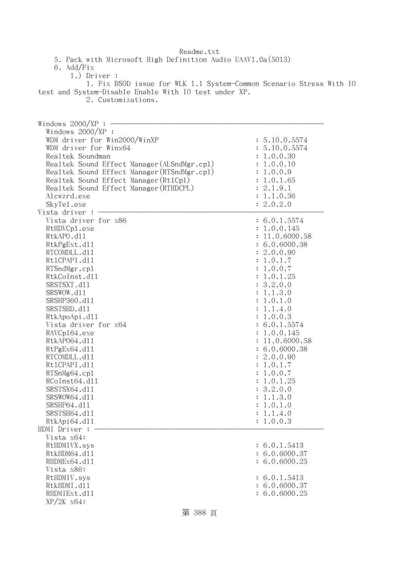| Readme.txt                                                          |                                 |  |
|---------------------------------------------------------------------|---------------------------------|--|
| 5. Pack with Microsoft High Definition Audio UAAV1.0a(5013)         |                                 |  |
| 6. Add/Fix                                                          |                                 |  |
| $1.)$ Driver :                                                      |                                 |  |
| 1. Fix BSOD issue for WLK 1.1 System-Common Scenario Stress With IO |                                 |  |
| test and System-Disable Enable With IO test under XP.               |                                 |  |
| 2. Customizations.                                                  |                                 |  |
|                                                                     |                                 |  |
|                                                                     |                                 |  |
| Windows $2000/XP:$ -                                                |                                 |  |
| Windows 2000/XP :                                                   |                                 |  |
| WDM driver for Win2000/WinXP                                        | : 5.10.0.5574                   |  |
| WDM driver for Winx64                                               | : 5.10.0.5574                   |  |
| Realtek Soundman                                                    | : 1.0.0.30                      |  |
| Realtek Sound Effect Manager (ALSndMgr.cp1)                         | : 1.0.0.10                      |  |
| Realtek Sound Effect Manager (RTSndMgr.cp1)                         | : 1.0.0.9                       |  |
| Realtek Sound Effect Manager (Rt1Cp1)                               | : 1.0.1.65                      |  |
| Realtek Sound Effect Manager (RTHDCPL)                              | : 2.1.9.1                       |  |
| Alcwzrd.exe                                                         | : 1.1.0.36                      |  |
| SkyTe1.exe                                                          | : 2.0.2.0                       |  |
| Vista driver : $-$                                                  |                                 |  |
| Vista driver for x86                                                | : 6.0.1.5574                    |  |
| RtHDVCp1.exe                                                        | : 1.0.0.145                     |  |
| RtkAPO.d11                                                          | : 11.0.6000.58                  |  |
| RtkPgExt.d11                                                        | : 6.0.6000.38                   |  |
| RTCOMDLL.d11                                                        | : 2.0.0.90                      |  |
| Rt1CPAPI.d11                                                        | : 1.0.1.7                       |  |
| RTSndMgr.cp1                                                        | : 1.0.0.7                       |  |
| RtkCoInst.d11                                                       | : 1.0.1.25                      |  |
| SRSTSXT.d11                                                         | : 3.2.0.0                       |  |
| SRSWOW.d11                                                          | : 1.1.3.0                       |  |
| SRSHP360.d11                                                        | : 1.0.1.0                       |  |
| SRSTSHD.d11                                                         | : 1.1.4.0                       |  |
| RtkApoApi.d11                                                       | : 1.0.0.3                       |  |
| Vista driver for x64                                                | : 6.0.1.5574<br>: 1.0.0.145     |  |
| RAVCp164.exe<br>RtkAP064.d11                                        |                                 |  |
| RtPgEx64.d11                                                        | : 11.0.6000.58<br>: 6.0.6000.38 |  |
| RTCOMDLL.d11                                                        | : 2.0.0.90                      |  |
| Rt1CPAPI.d11                                                        | : 1.0.1.7                       |  |
| RTSnMg64.cp1                                                        | : 1.0.0.7                       |  |
| RCoInst64.d11                                                       | : 1.0.1.25                      |  |
| SRSTSX64.d11                                                        | : 3.2.0.0                       |  |
| SRSWOW64.d11                                                        | : 1.1.3.0                       |  |
| SRSHP64.d11                                                         | : 1.0.1.0                       |  |
| SRSTSH64.d11                                                        | : 1.1.4.0                       |  |
| RtkApi64.dl1                                                        | : 1.0.0.3                       |  |
| HDMI Driver :                                                       |                                 |  |
| Vista x64:                                                          |                                 |  |
| RtHDMIVX.sys                                                        | : 6.0.1.5413                    |  |
| RtkHDM64.d11                                                        | : 6.0.6000.37                   |  |
| RHDMEx64.d11                                                        | : 6.0.6000.25                   |  |
| Vista x86:                                                          |                                 |  |
| RtHDMIV.sys                                                         | : 6.0.1.5413                    |  |
| RtkHDMI.d11                                                         | : 6.0.6000.37                   |  |
| RHDMIExt.d11                                                        | : 6.0.6000.25                   |  |
| $XP/ZK$ $x64$ :                                                     |                                 |  |
|                                                                     |                                 |  |

第 388 頁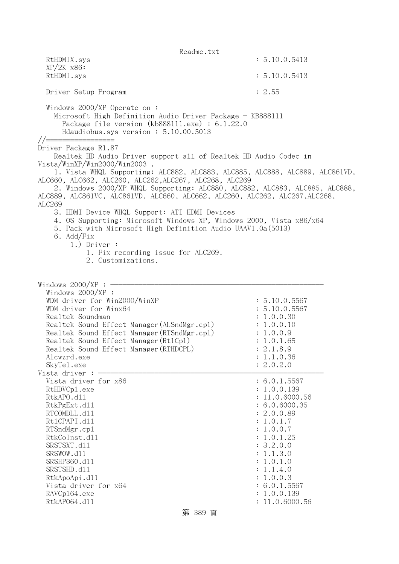Readme.txt RtHDMIX.sys : 5.10.0.5413 XP/2K x86: RtHDMI.sys : 5.10.0.5413 Driver Setup Program : 2.55 Windows 2000/XP Operate on : Microsoft High Definition Audio Driver Package - KB888111 Package file version (kb888111.exe) : 6.1.22.0 Hdaudiobus.sys version : 5.10.00.5013 //================= Driver Package R1.87 Realtek HD Audio Driver support all of Realtek HD Audio Codec in Vista/WinXP/Win2000/Win2003 . 1. Vista WHQL Supporting: ALC882, ALC883, ALC885, ALC888, ALC889, ALC861VD, ALC660, ALC662, ALC260, ALC262,ALC267, ALC268, ALC269 2. Windows 2000/XP WHQL Supporting: ALC880, ALC882, ALC883, ALC885, ALC888, ALC889, ALC861VC, ALC861VD, ALC660, ALC662, ALC260, ALC262, ALC267,ALC268, ALC269 3. HDMI Device WHQL Support: ATI HDMI Devices 4. OS Supporting: Microsoft Windows XP, Windows 2000, Vista x86/x64 5. Pack with Microsoft High Definition Audio UAAV1.0a(5013) 6. Add/Fix 1.) Driver : 1. Fix recording issue for ALC269. 2. Customizations. Windows  $2000/XP : -$  Windows 2000/XP : WDM driver for Win2000/WinXP : 5.10.0.5567 WDM driver for Winx64 : 5.10.0.5567 Realtek Soundman : 1.0.0.30 Realtek Sound Effect Manager(ALSndMgr.cpl) : 1.0.0.10 Realtek Sound Effect Manager (RTSndMgr.cp1) : 1.0.0.9 Realtek Sound Effect Manager (Rt1Cp1) : 1.0.1.65 Realtek Sound Effect Manager (RTHDCPL) : 2.1.8.9 Alcwzrd.exe : 1.1.0.36 SkyTe1.exe : 2.0.2.0 Vista driver  $: -$ Vista driver for  $x86$  : 6.0.1.5567 RtHDVCp1.exe : 1.0.0.139 RtkAPO.d11 : 11.0.6000.56 RtkPgExt.dll : 6.0.6000.35 RTCOMDLL.d11 : 2.0.0.89 Rt1CPAPI.d11 : 1.0.1.7 RTSndMgr.cpl : 1.0.0.7 RtkCoInst.dl1 : 1.0.1.25 SRSTSXT.d11 : 3.2.0.0 SRSWOW.dll : 1.1.3.0 SRSHP360.d11 : 1.0.1.0 SRSTSHD.d11 : 1.1.4.0 RtkApoApi.dll : 1.0.0.3 Vista driver for  $x64$  : 6.0.1.5567 RAVCp164.exe : 1.0.0.139 RtkAP064.d11 : 11.0.6000.56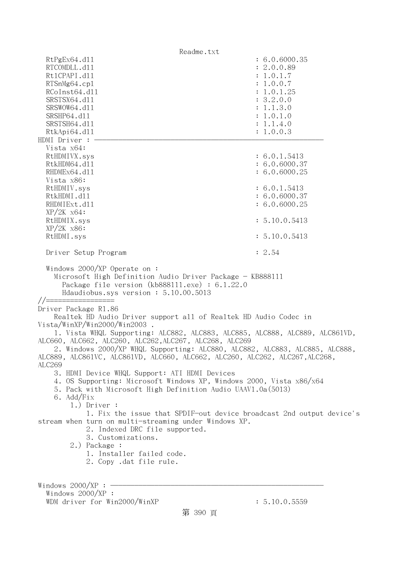Readme.txt RtPgEx64.dll : 6.0.6000.35 RTCOMDLL.d11 : 2.0.0.89 Rt1CPAPI.d11 : 1.0.1.7 RTSnMg64.cp1 : 1.0.0.7 RCoInst64.d11 : 1.0.1.25 SRSTSX64.d11 : 3.2.0.0 SRSWOW64.d11 : 1.1.3.0 SRSHP64.d11 : 1.0.1.0 SRSTSH64.d11 : 1.1.4.0 RtkApi64.dll : 1.0.0.3 HDMI Driver : - Vista x64: RtHDMIVX.sys : 6.0.1.5413 RtkHDM64.d11 : 6.0.6000.37 RHDMEx64.d11 : 6.0.6000.25 Vista x86: RtHDMIV.sys : 6.0.1.5413 RtkHDMI.d11 : 6.0.6000.37 RHDMIExt.d11 : 6.0.6000.25 XP/2K x64: RtHDMIX.sys : 5.10.0.5413 XP/2K x86: RtHDMI.sys : 5.10.0.5413 Driver Setup Program : 2.54 Windows 2000/XP Operate on : Microsoft High Definition Audio Driver Package - KB888111 Package file version (kb888111.exe) : 6.1.22.0 Hdaudiobus.sys version : 5.10.00.5013  $//==$ Driver Package R1.86 Realtek HD Audio Driver support all of Realtek HD Audio Codec in Vista/WinXP/Win2000/Win2003 . 1. Vista WHQL Supporting: ALC882, ALC883, ALC885, ALC888, ALC889, ALC861VD, ALC660, ALC662, ALC260, ALC262,ALC267, ALC268, ALC269 2. Windows 2000/XP WHQL Supporting: ALC880, ALC882, ALC883, ALC885, ALC888, ALC889, ALC861VC, ALC861VD, ALC660, ALC662, ALC260, ALC262, ALC267,ALC268, ALC269 3. HDMI Device WHQL Support: ATI HDMI Devices 4. OS Supporting: Microsoft Windows XP, Windows 2000, Vista x86/x64 5. Pack with Microsoft High Definition Audio UAAV1.0a(5013) 6. Add/Fix 1.) Driver : 1. Fix the issue that SPDIF-out device broadcast 2nd output device's stream when turn on multi-streaming under Windows XP. 2. Indexed DRC file supported. 3. Customizations. 2.) Package : 1. Installer failed code. 2. Copy .dat file rule. Windows  $2000/XP : -$  Windows 2000/XP : WDM driver for Win2000/WinXP : 5.10.0.5559

第 390 頁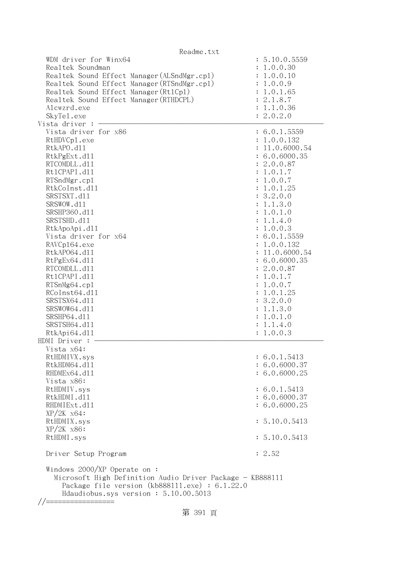| Readme.txt                                                                                                                                                                                                                                                                                                                                                                                                                               |                                                                                                                                                                                                                                                                                                                                                                                |
|------------------------------------------------------------------------------------------------------------------------------------------------------------------------------------------------------------------------------------------------------------------------------------------------------------------------------------------------------------------------------------------------------------------------------------------|--------------------------------------------------------------------------------------------------------------------------------------------------------------------------------------------------------------------------------------------------------------------------------------------------------------------------------------------------------------------------------|
| WDM driver for Winx64<br>Realtek Soundman<br>Realtek Sound Effect Manager (ALSndMgr.cp1)<br>Realtek Sound Effect Manager (RTSndMgr.cp1)<br>Realtek Sound Effect Manager (Rt1Cp1)<br>Realtek Sound Effect Manager (RTHDCPL)<br>Alcwzrd.exe<br>SkyTe1.exe<br>Vista driver : $-$                                                                                                                                                            | : 5.10.0.5559<br>: 1.0.0.30<br>: 1.0.0.10<br>: 1.0.0.9<br>: 1.0.1.65<br>: 2.1.8.7<br>: 1.1.0.36<br>: 2.0.2.0                                                                                                                                                                                                                                                                   |
|                                                                                                                                                                                                                                                                                                                                                                                                                                          |                                                                                                                                                                                                                                                                                                                                                                                |
| Vista driver for x86<br>RtHDVCp1.exe<br>RtkAPO.d11<br>RtkPgExt.d11<br>RTCOMDLL.d11<br>Rt1CPAPI.d11<br>RTSndMgr.cp1<br>RtkCoInst.d11<br>SRSTSXT.d11<br>SRSWOW.d11<br>SRSHP360.d11<br>SRSTSHD.d11<br>RtkApoApi.d11<br>Vista driver for x64<br>RAVCp164.exe<br>RtkAP064.d11<br>RtPgEx64.d11<br>RTCOMDLL.d11<br>Rt1CPAPI.d11<br>RTSnMg64.cp1<br>RCoInst64.d11<br>SRSTSX64.d11<br>SRSWOW64.d11<br>SRSHP64.d11<br>SRSTSH64.d11<br>RtkApi64.dl1 | : 6.0.1.5559<br>: 1.0.0.132<br>: 11.0.6000.54<br>: 6.0.6000.35<br>: 2.0.0.87<br>: 1.0.1.7<br>: 1.0.0.7<br>: 1.0.1.25<br>: 3.2.0.0<br>: 1.1.3.0<br>: 1.0.1.0<br>: 1.1.4.0<br>: 1.0.0.3<br>: 6.0.1.5559<br>: 1.0.0.132<br>: 11.0.6000.54<br>: 6.0.6000.35<br>: 2.0.0.87<br>: 1.0.1.7<br>: 1.0.0.7<br>: 1.0.1.25<br>: 3.2.0.0<br>: 1.1.3.0<br>: 1.0.1.0<br>: 1.1.4.0<br>: 1.0.0.3 |
| HDMI Driver :                                                                                                                                                                                                                                                                                                                                                                                                                            |                                                                                                                                                                                                                                                                                                                                                                                |
| Vista x64:<br>RtHDMIVX.sys<br>RtkHDM64.d11<br>RHDMEx64.d11<br>Vista x86:                                                                                                                                                                                                                                                                                                                                                                 | : 6.0.1.5413<br>: 6.0.6000.37<br>: 6.0.6000.25                                                                                                                                                                                                                                                                                                                                 |
| RtHDMIV.sys<br>RtkHDMI.d11<br>RHDMIExt.d11<br>$XP/ZK$ $x64$ :                                                                                                                                                                                                                                                                                                                                                                            | : 6.0.1.5413<br>: 6.0.6000.37<br>: 6.0.6000.25                                                                                                                                                                                                                                                                                                                                 |
| RtHDMIX.sys                                                                                                                                                                                                                                                                                                                                                                                                                              | : 5.10.0.5413                                                                                                                                                                                                                                                                                                                                                                  |
| $XP/2K$ $x86$ :                                                                                                                                                                                                                                                                                                                                                                                                                          |                                                                                                                                                                                                                                                                                                                                                                                |
| RtHDMI.sys                                                                                                                                                                                                                                                                                                                                                                                                                               | : 5.10.0.5413                                                                                                                                                                                                                                                                                                                                                                  |
| Driver Setup Program                                                                                                                                                                                                                                                                                                                                                                                                                     | : 2.52                                                                                                                                                                                                                                                                                                                                                                         |
| Windows 2000/XP Operate on :<br>Microsoft High Definition Audio Driver Package - KB888111<br>Package file version $(kb888111.\text{exe}) : 6.1.22.0$<br>Hdaudiobus.sys version: 5.10.00.5013                                                                                                                                                                                                                                             |                                                                                                                                                                                                                                                                                                                                                                                |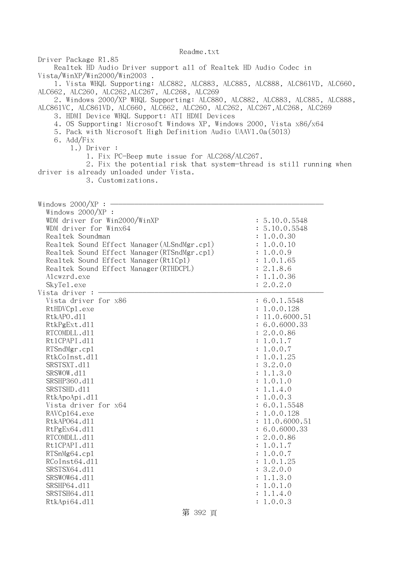Driver Package R1.85 Realtek HD Audio Driver support all of Realtek HD Audio Codec in Vista/WinXP/Win2000/Win2003 . 1. Vista WHQL Supporting: ALC882, ALC883, ALC885, ALC888, ALC861VD, ALC660, ALC662, ALC260, ALC262,ALC267, ALC268, ALC269 2. Windows 2000/XP WHQL Supporting: ALC880, ALC882, ALC883, ALC885, ALC888, ALC861VC, ALC861VD, ALC660, ALC662, ALC260, ALC262, ALC267,ALC268, ALC269 3. HDMI Device WHQL Support: ATI HDMI Devices 4. OS Supporting: Microsoft Windows XP, Windows 2000, Vista x86/x64 5. Pack with Microsoft High Definition Audio UAAV1.0a(5013) 6. Add/Fix 1.) Driver : 1. Fix PC-Beep mute issue for ALC268/ALC267. 2. Fix the potential risk that system-thread is still running when driver is already unloaded under Vista. 3. Customizations. Windows  $2000/XP : -$  Windows 2000/XP : WDM driver for Win2000/WinXP : 5.10.0.5548 WDM driver for Winx64 : 5.10.0.5548 Realtek Soundman : 1.0.0.30 Realtek Sound Effect Manager (ALSndMgr.cpl) : 1.0.0.10 Realtek Sound Effect Manager(RTSndMgr.cpl) : 1.0.0.9 Realtek Sound Effect Manager(Rt1Cp1) : 1.0.1.65 Realtek Sound Effect Manager(RTHDCPL) : 2.1.8.6 Alcwzrd.exe : 1.1.0.36 SkyTel.exe : 2.0.2.0 Vista driver : -Vista driver for x86 : 6.0.1.5548 RtHDVCp1.exe : 1.0.0.128 RtkAPO.d11 : 11.0.6000.51 RtkPgExt.dll : 6.0.6000.33 RTCOMDLL.d11 : 2.0.0.86 RtlCPAPI.dll : 1.0.1.7 RTSndMgr.cp1 : 1.0.0.7 RtkCoInst.dl1 : 1.0.1.25 SRSTSXT.d11 : 3.2.0.0 SRSWOW.d11 : 1.1.3.0 SRSHP360.dll : 1.0.1.0 SRSTSHD.d11 : 1.1.4.0 RtkApoApi.dll : 1.0.0.3 Vista driver for  $x64$  : 6.0.1.5548 RAVCp164.exe : 1.0.0.128 RtkAP064.d11 : 11.0.6000.51 RtPgEx64.d11 : 6.0.6000.33 RTCOMDLL.d11 : 2.0.0.86 RtlCPAPI.dll : 1.0.1.7 RTSnMg64.cpl : 1.0.0.7 RCoInst64.dl1 : 1.0.1.25 SRSTSX64.dl1 : 3.2.0.0 SRSWOW64.d11 : 1.1.3.0 SRSHP64.d11 : 1.0.1.0 SRSTSH64.d11 : 1.1.4.0 RtkApi64.dll : 1.0.0.3

第 392 頁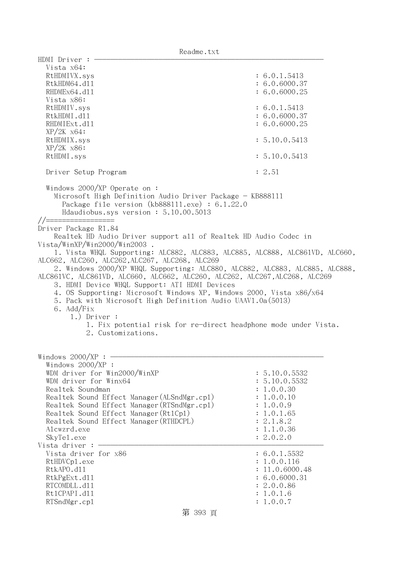| HDMI Driver $:$ $-$<br>Vista x64:<br>RtHDMIVX.sys                                                                                                                                                                    | : 6.0.1.5413                                                    |
|----------------------------------------------------------------------------------------------------------------------------------------------------------------------------------------------------------------------|-----------------------------------------------------------------|
| RtkHDM64.d11                                                                                                                                                                                                         | : 6.0.6000.37                                                   |
| RHDMEx64.d11                                                                                                                                                                                                         | : 6.0.6000.25                                                   |
| Vista x86:                                                                                                                                                                                                           |                                                                 |
| RtHDMIV.sys                                                                                                                                                                                                          | : 6.0.1.5413                                                    |
| RtkHDMI.d11<br>RHDMIExt.d11                                                                                                                                                                                          | : 6.0.6000.37<br>: 6.0.6000.25                                  |
| $XP/ZK$ $x64$ :                                                                                                                                                                                                      |                                                                 |
| RtHDMIX.sys                                                                                                                                                                                                          | : 5.10.0.5413                                                   |
| $XP/2K$ $x86$ :<br>RtHDMI.sys                                                                                                                                                                                        | : 5.10.0.5413                                                   |
| Driver Setup Program                                                                                                                                                                                                 | : 2.51                                                          |
| Windows $2000/XP$ Operate on:<br>Microsoft High Definition Audio Driver Package - KB888111<br>Package file version $(kb888111.\text{exe}) : 6.1.22.0$<br>Hdaudiobus.sys version: 5.10.00.5013<br>//================= |                                                                 |
| Driver Package R1.84                                                                                                                                                                                                 |                                                                 |
| Realtek HD Audio Driver support all of Realtek HD Audio Codec in                                                                                                                                                     |                                                                 |
| Vista/WinXP/Win2000/Win2003.<br>1. Vista WHQL Supporting: ALC882, ALC883, ALC885, ALC888, ALC861VD, ALC660,                                                                                                          |                                                                 |
| ALC662, ALC260, ALC262, ALC267, ALC268, ALC269                                                                                                                                                                       |                                                                 |
| 2. Windows 2000/XP WHQL Supporting: ALC880, ALC882, ALC883, ALC885, ALC888,                                                                                                                                          |                                                                 |
| ALC861VC, ALC861VD, ALC660, ALC662, ALC260, ALC262, ALC267, ALC268, ALC269                                                                                                                                           |                                                                 |
| 3. HDMI Device WHQL Support: ATI HDMI Devices                                                                                                                                                                        |                                                                 |
| 4. OS Supporting: Microsoft Windows XP, Windows 2000, Vista x86/x64                                                                                                                                                  |                                                                 |
| 5. Pack with Microsoft High Definition Audio UAAV1.0a(5013)                                                                                                                                                          |                                                                 |
| 6. Add/Fix                                                                                                                                                                                                           |                                                                 |
| $1.)$ Driver :                                                                                                                                                                                                       | 1. Fix potential risk for re-direct headphone mode under Vista. |
| 2. Customizations.                                                                                                                                                                                                   |                                                                 |
|                                                                                                                                                                                                                      |                                                                 |
|                                                                                                                                                                                                                      |                                                                 |
| Windows $2000/XP$ :                                                                                                                                                                                                  |                                                                 |
| Windows $2000/XP$ :                                                                                                                                                                                                  |                                                                 |
| WDM driver for Win2000/WinXP<br>WDM driver for Winx64                                                                                                                                                                | : 5.10.0.5532<br>: 5.10.0.5532                                  |
| Realtek Soundman                                                                                                                                                                                                     | : 1.0.0.30                                                      |
| Realtek Sound Effect Manager (ALSndMgr.cp1)                                                                                                                                                                          | : 1.0.0.10                                                      |
| Realtek Sound Effect Manager (RTSndMgr.cp1)                                                                                                                                                                          | : 1.0.0.9                                                       |
| Realtek Sound Effect Manager (Rt1Cp1)                                                                                                                                                                                | : 1.0.1.65                                                      |
| Realtek Sound Effect Manager (RTHDCPL)                                                                                                                                                                               | : 2.1.8.2                                                       |
| Alcwzrd.exe                                                                                                                                                                                                          | : 1.1.0.36                                                      |
| SkyTe1.exe                                                                                                                                                                                                           | : 2.0.2.0                                                       |
| Vista driver :                                                                                                                                                                                                       |                                                                 |
| Vista driver for x86                                                                                                                                                                                                 | : 6.0.1.5532                                                    |
| RtHDVCp1.exe                                                                                                                                                                                                         | : 1.0.0.116                                                     |
| RtkAPO.d11                                                                                                                                                                                                           | : 11.0.6000.48                                                  |
| RtkPgExt.d11                                                                                                                                                                                                         | : 6.0.6000.31                                                   |
| RTCOMDLL.d11                                                                                                                                                                                                         | : 2.0.0.86                                                      |
| Rt1CPAPI.d11                                                                                                                                                                                                         | : 1.0.1.6                                                       |
| RTSndMgr.cp1                                                                                                                                                                                                         | : 1.0.0.7                                                       |

第 393 頁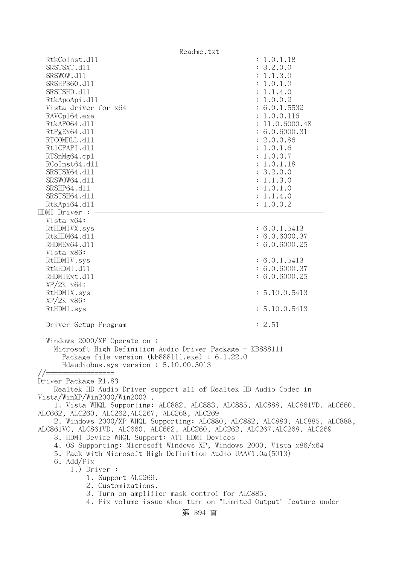| Readme.txt                                                                                                                                                                                                                                                                                                                                                                  |                                                                                                                                                                                                                                                                      |  |
|-----------------------------------------------------------------------------------------------------------------------------------------------------------------------------------------------------------------------------------------------------------------------------------------------------------------------------------------------------------------------------|----------------------------------------------------------------------------------------------------------------------------------------------------------------------------------------------------------------------------------------------------------------------|--|
| RtkCoInst.d11<br>SRSTSXT.d11<br>SRSWOW.d11<br>SRSHP360.d11<br>SRSTSHD.d11<br>RtkApoApi.d11<br>Vista driver for x64<br>RAVCp164.exe<br>RtkAP064.d11<br>RtPgEx64.d11<br>RTCOMDLL.d11<br>Rt1CPAPI.d11<br>RTSnMg64.cp1<br>RCoInst64.d11<br>SRSTSX64.d11<br>SRSWOW64.d11<br>SRSHP64.d11<br>SRSTSH64.d11<br>RtkApi64.dl1                                                          | : 1.0.1.18<br>: 3.2.0.0<br>: 1.1.3.0<br>: 1.0.1.0<br>: 1.1.4.0<br>: 1.0.0.2<br>: 6.0.1.5532<br>: 1.0.0.116<br>: 11.0.6000.48<br>: 6.0.6000.31<br>: 2.0.0.86<br>: 1.0.1.6<br>: 1.0.0.7<br>: 1.0.1.18<br>: 3.2.0.0<br>: 1.1.3.0<br>: 1.0.1.0<br>: 1.1.4.0<br>: 1.0.0.2 |  |
| HDMI Driver :                                                                                                                                                                                                                                                                                                                                                               |                                                                                                                                                                                                                                                                      |  |
| Vista x64:<br>RtHDMIVX.sys<br>RtkHDM64.d11<br>RHDMEx64.d11<br>Vista x86:                                                                                                                                                                                                                                                                                                    | : 6.0.1.5413<br>: 6.0.6000.37<br>: 6.0.6000.25                                                                                                                                                                                                                       |  |
| RtHDMIV.sys<br>RtkHDMI.d11<br>RHDMIExt.d11                                                                                                                                                                                                                                                                                                                                  | : 6.0.1.5413<br>: 6.0.6000.37<br>: 6.0.6000.25                                                                                                                                                                                                                       |  |
| $XP/2K$ $x64$ :<br>RtHDMIX.sys<br>$XP/2K$ $x86$ :                                                                                                                                                                                                                                                                                                                           | : 5.10.0.5413                                                                                                                                                                                                                                                        |  |
| RtHDMI.sys                                                                                                                                                                                                                                                                                                                                                                  | : 5.10.0.5413                                                                                                                                                                                                                                                        |  |
| Driver Setup Program                                                                                                                                                                                                                                                                                                                                                        | : 2.51                                                                                                                                                                                                                                                               |  |
| Windows 2000/XP Operate on:<br>Microsoft High Definition Audio Driver Package - KB888111<br>Package file version (kb888111.exe) : 6.1.22.0<br>Hdaudiobus.sys version: 5.10.00.5013                                                                                                                                                                                          |                                                                                                                                                                                                                                                                      |  |
| $//==$<br>Driver Package R1.83<br>Realtek HD Audio Driver support all of Realtek HD Audio Codec in                                                                                                                                                                                                                                                                          |                                                                                                                                                                                                                                                                      |  |
| Vista/WinXP/Win2000/Win2003.<br>1. Vista WHQL Supporting: ALC882, ALC883, ALC885, ALC888, ALC861VD, ALC660,<br>ALC662, ALC260, ALC262, ALC267, ALC268, ALC269<br>2. Windows 2000/XP WHQL Supporting: ALC880, ALC882, ALC883, ALC885, ALC888,<br>ALC861VC, ALC861VD, ALC660, ALC662, ALC260, ALC262, ALC267, ALC268, ALC269<br>3. HDMI Device WHQL Support: ATI HDMI Devices |                                                                                                                                                                                                                                                                      |  |
| 4. OS Supporting: Microsoft Windows XP, Windows 2000, Vista x86/x64<br>5. Pack with Microsoft High Definition Audio UAAV1.0a(5013)<br>6. Add/Fix                                                                                                                                                                                                                            |                                                                                                                                                                                                                                                                      |  |
| $1.)$ Driver :<br>1. Support ALC269.<br>2. Customizations.                                                                                                                                                                                                                                                                                                                  |                                                                                                                                                                                                                                                                      |  |
| 3. Turn on amplifier mask control for ALC885.<br>4. Fix volume issue when turn on "Limited Output" feature under<br>第 394 頁                                                                                                                                                                                                                                                 |                                                                                                                                                                                                                                                                      |  |
|                                                                                                                                                                                                                                                                                                                                                                             |                                                                                                                                                                                                                                                                      |  |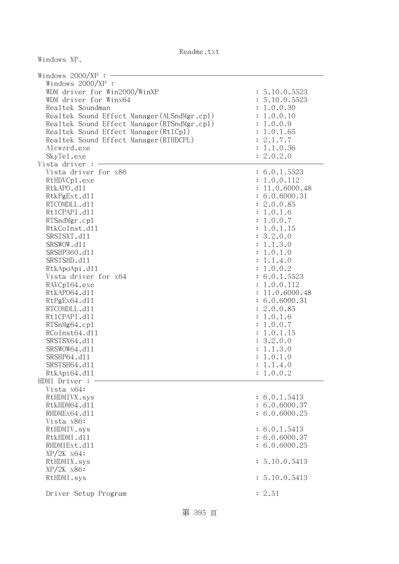| Windows $2000/XP$ :                         |                |
|---------------------------------------------|----------------|
| Windows 2000/XP :                           |                |
| WDM driver for Win2000/WinXP                | : 5.10.0.5523  |
| WDM driver for Winx64                       | : 5.10.0.5523  |
| Realtek Soundman                            | : 1.0.0.30     |
| Realtek Sound Effect Manager (ALSndMgr.cp1) | : 1.0.0.10     |
| Realtek Sound Effect Manager (RTSndMgr.cp1) | : 1.0.0.9      |
| Realtek Sound Effect Manager (Rt1Cp1)       | : 1.0.1.65     |
| Realtek Sound Effect Manager (RTHDCPL)      | : 2.1.7.7      |
| Alcwzrd.exe                                 | : 1.1.0.36     |
| SkyTe1.exe                                  | : 2.0.2.0      |
| Vista driver :                              |                |
| Vista driver for x86                        | : 6.0.1.5523   |
| RtHDVCp1.exe                                | : 1.0.0.112    |
| RtkAPO.d11                                  | : 11.0.6000.48 |
| RtkPgExt.d11                                | : 6.0.6000.31  |
| RTCOMDLL.d11                                | : 2.0.0.85     |
| Rt1CPAPI.d11                                | : 1.0.1.6      |
| RTSndMgr.cp1                                | : 1.0.0.7      |
| RtkCoInst.d11                               | : 1.0.1.15     |
| SRSTSXT.d11                                 | : 3.2.0.0      |
| SRSWOW.d11                                  | : 1.1.3.0      |
| SRSHP360.d11                                | : 1.0.1.0      |
| SRSTSHD.d11                                 | : 1.1.4.0      |
| RtkApoApi.d11                               | : 1.0.0.2      |
| Vista driver for x64                        | : 6.0.1.5523   |
| RAVCp164.exe                                | : 1.0.0.112    |
| RtkAP064.d11                                | : 11.0.6000.48 |
| RtPgEx64.d11                                | : 6.0.6000.31  |
| RTCOMDLL.d11                                | : 2.0.0.85     |
|                                             |                |
| Rt1CPAPI.d11                                | : 1.0.1.6      |
| RTSnMg64.cp1                                | : 1.0.0.7      |
| RCoInst64.d11                               | : 1.0.1.15     |
| SRSTSX64.d11                                | : 3.2.0.0      |
| SRSWOW64.d11                                | : 1.1.3.0      |
| SRSHP64.d11                                 | : 1.0.1.0      |
| SRSTSH64.d11                                | : 1.1.4.0      |
| RtkApi64.dl1                                | : 1.0.0.2      |
| HDMI Driver :                               |                |
| Vista x64:                                  |                |
| RtHDMIVX.sys                                | : 6.0.1.5413   |
| RtkHDM64.d11                                | : 6.0.6000.37  |
| RHDMEx64.d11                                | : 6.0.6000.25  |
| Vista x86:                                  |                |
| RtHDMIV.sys                                 | : 6.0.1.5413   |
| RtkHDMI.d11                                 | : 6.0.6000.37  |
| RHDMIExt.d11                                | : 6.0.6000.25  |
| $XP/ZK$ $x64$ :                             |                |
| RtHDMIX.sys                                 | : 5.10.0.5413  |
| $XP/2K$ $x86$ :                             |                |
| RtHDMI.sys                                  | : 5.10.0.5413  |
|                                             |                |
| Driver Setup Program                        | : 2.51         |

Windows XP.

第 395 頁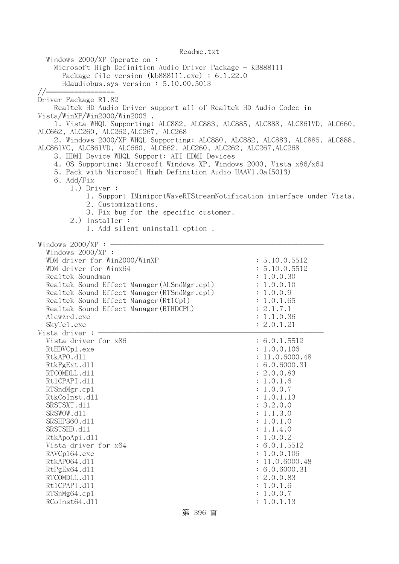Readme.txt Windows 2000/XP Operate on : Microsoft High Definition Audio Driver Package - KB888111 Package file version (kb888111.exe) : 6.1.22.0 Hdaudiobus.sys version : 5.10.00.5013 //================= Driver Package R1.82 Realtek HD Audio Driver support all of Realtek HD Audio Codec in Vista/WinXP/Win2000/Win2003 . 1. Vista WHQL Supporting: ALC882, ALC883, ALC885, ALC888, ALC861VD, ALC660, ALC662, ALC260, ALC262,ALC267, ALC268 2. Windows 2000/XP WHQL Supporting: ALC880, ALC882, ALC883, ALC885, ALC888, ALC861VC, ALC861VD, ALC660, ALC662, ALC260, ALC262, ALC267,ALC268 3. HDMI Device WHQL Support: ATI HDMI Devices 4. OS Supporting: Microsoft Windows XP, Windows 2000, Vista x86/x64 5. Pack with Microsoft High Definition Audio UAAV1.0a(5013) 6. Add/Fix 1.) Driver : 1. Support IMiniportWaveRTStreamNotification interface under Vista. 2. Customizations. 3. Fix bug for the specific customer. 2.) Installer : 1. Add silent uninstall option . Windows  $2000/XP:$  - Windows 2000/XP : WDM driver for Win2000/WinXP : 5.10.0.5512 WDM driver for  $Winx64$  : 5.10.0.5512 Realtek Soundman : 1.0.0.30 Realtek Sound Effect Manager (ALSndMgr.cpl) : 1.0.0.10 Realtek Sound Effect Manager(RTSndMgr.cpl) : 1.0.0.9 Realtek Sound Effect Manager (Rt1Cp1) : 1.0.1.65 Realtek Sound Effect Manager (RTHDCPL) : 2.1.7.1 Alcwzrd.exe : 1.1.0.36 SkyTel.exe : 2.0.1.21 Vista driver  $:-$ Vista driver for  $x86$  : 6.0.1.5512 RtHDVCp1.exe : 1.0.0.106 RtkAPO.d11 : 11.0.6000.48 RtkPgExt.dll : 6.0.6000.31 RTCOMDLL.d11 : 2.0.0.83 Rt1CPAPI.d11 : 1.0.1.6 RTSndMgr.cp1 : 1.0.0.7 RtkCoInst.d11 : 1.0.1.13 SRSTSXT.d11 : 3.2.0.0 SRSWOW.d11 : 1.1.3.0 SRSHP360.d11 : 1.0.1.0 SRSTSHD.d11 : 1.1.4.0 RtkApoApi.dll : 1.0.0.2 Vista driver for  $x64$  : 6.0.1.5512 RAVCp164.exe : 1.0.0.106 RtkAP064.dl1 : 11.0.6000.48 RtPgEx64.dll : 6.0.6000.31 RTCOMDLL.d11 : 2.0.0.83 RtlCPAPI.dll : 1.0.1.6 RTSnMg64.cpl : 1.0.0.7 RCoInst64.d11 : 1.0.1.13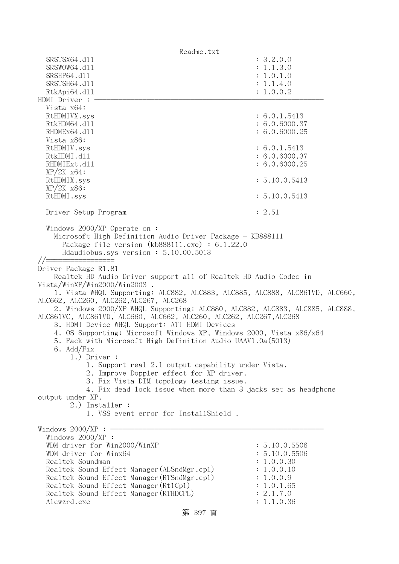Readme.txt SRSTSX64.d11 : 3.2.0.0 SRSWOW64.d11 : 1.1.3.0 SRSHP64.d11 : 1.0.1.0 SRSTSH64.d11 : 1.1.4.0 RtkApi64.dll : 1.0.0.2 HDMI Driver : - Vista x64: RtHDMIVX.sys : 6.0.1.5413 RtkHDM64.d11 : 6.0.6000.37 RHDMEx64.d11 : 6.0.6000.25 Vista x86: RtHDMIV.sys : 6.0.1.5413 RtkHDMI.d11 : 6.0.6000.37 RHDMIExt.d11 : 6.0.6000.25 XP/2K x64: RtHDMIX.sys : 5.10.0.5413 XP/2K x86: RtHDMI.sys : 5.10.0.5413 Driver Setup Program : 2.51 Windows 2000/XP Operate on : Microsoft High Definition Audio Driver Package - KB888111 Package file version (kb888111.exe) : 6.1.22.0 Hdaudiobus.sys version : 5.10.00.5013 //================= Driver Package R1.81 Realtek HD Audio Driver support all of Realtek HD Audio Codec in Vista/WinXP/Win2000/Win2003 . 1. Vista WHQL Supporting: ALC882, ALC883, ALC885, ALC888, ALC861VD, ALC660, ALC662, ALC260, ALC262,ALC267, ALC268 2. Windows 2000/XP WHQL Supporting: ALC880, ALC882, ALC883, ALC885, ALC888, ALC861VC, ALC861VD, ALC660, ALC662, ALC260, ALC262, ALC267,ALC268 3. HDMI Device WHQL Support: ATI HDMI Devices 4. OS Supporting: Microsoft Windows XP, Windows 2000, Vista x86/x64 5. Pack with Microsoft High Definition Audio UAAV1.0a(5013) 6. Add/Fix 1.) Driver : 1. Support real 2.1 output capability under Vista. 2. Improve Doppler effect for XP driver. 3. Fix Vista DTM topology testing issue. 4. Fix dead lock issue when more than 3 jacks set as headphone output under XP. 2.) Installer : 1. VSS event error for InstallShield . Windows  $2000/XP : -$  Windows 2000/XP : WDM driver for  $Win2000/WinXP$  : 5.10.0.5506 WDM driver for Winx64 : 5.10.0.5506 Realtek Soundman  $\ddot{\textbf{i}}$  1.0.0.30 Realtek Sound Effect Manager(ALSndMgr.cpl) : 1.0.0.10 Realtek Sound Effect Manager (RTSndMgr.cpl) : 1.0.0.9 Realtek Sound Effect Manager (Rt1Cp1) : 1.0.1.65 Realtek Sound Effect Manager(RTHDCPL) : 2.1.7.0 Alcwzrd.exe : 1.1.0.36

第 397 頁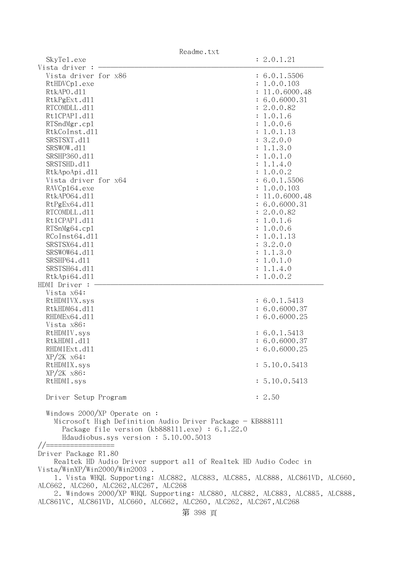| SkyTe1.exe                                                                  | : 2.0.1.21     |
|-----------------------------------------------------------------------------|----------------|
| Vista driver                                                                |                |
| Vista driver for x86                                                        | : 6.0.1.5506   |
| RtHDVCp1.exe                                                                | : 1.0.0.103    |
| RtkAPO.d11                                                                  | : 11.0.6000.48 |
| RtkPgExt.d11                                                                | : 6.0.6000.31  |
| RTCOMDLL.d11                                                                | : 2.0.0.82     |
| Rt1CPAPI.d11                                                                | : 1.0.1.6      |
| RTSndMgr.cp1                                                                | : 1.0.0.6      |
|                                                                             |                |
| RtkCoInst.d11                                                               | : 1.0.1.13     |
| SRSTSXT.d11                                                                 | : 3.2.0.0      |
| SRSWOW.d11                                                                  | : 1.1.3.0      |
| SRSHP360.d11                                                                | : 1.0.1.0      |
| SRSTSHD.d11                                                                 | : 1.1.4.0      |
| RtkApoApi.d11                                                               | : 1.0.0.2      |
| Vista driver for x64                                                        | : 6.0.1.5506   |
| RAVCp164.exe                                                                | : 1.0.0.103    |
| RtkAP064.d11                                                                | : 11.0.6000.48 |
| RtPgEx64.d11                                                                | : 6.0.6000.31  |
| RTCOMDLL.d11                                                                | : 2.0.0.82     |
| Rt1CPAPI.d11                                                                | : 1.0.1.6      |
| RTSnMg64.cp1                                                                | : 1.0.0.6      |
| RCoInst64.d11                                                               | : 1.0.1.13     |
| SRSTSX64.d11                                                                | : 3.2.0.0      |
| SRSWOW64.d11                                                                |                |
|                                                                             | : 1.1.3.0      |
| SRSHP64.d11                                                                 | : 1.0.1.0      |
| SRSTSH64.d11                                                                | : 1.1.4.0      |
| RtkApi64.dl1                                                                | : 1.0.0.2      |
| HDMI Driver :                                                               |                |
| Vista x64:                                                                  |                |
| RtHDMIVX.sys                                                                | : 6.0.1.5413   |
| RtkHDM64.d11                                                                | : 6.0.6000.37  |
| RHDMEx64.d11                                                                | : 6.0.6000.25  |
| Vista x86:                                                                  |                |
| RtHDMIV.sys                                                                 | : 6.0.1.5413   |
| RtkHDMI.d11                                                                 | : 6.0.6000.37  |
| RHDMIExt.d11                                                                | : 6.0.6000.25  |
| $XP/ZK$ $x64$ :                                                             |                |
| RtHDMIX.sys                                                                 | : 5.10.0.5413  |
| $XP/2K$ $x86$ :                                                             |                |
| RtHDMI.sys                                                                  | : 5.10.0.5413  |
|                                                                             |                |
|                                                                             | : 2.50         |
| Driver Setup Program                                                        |                |
|                                                                             |                |
| Windows $2000/XP$ Operate on:                                               |                |
| Microsoft High Definition Audio Driver Package - KB888111                   |                |
| Package file version $(kb888111.\text{exe}) : 6.1.22.0$                     |                |
| Hdaudiobus.sys version: 5.10.00.5013                                        |                |
| //======                                                                    |                |
| Driver Package R1.80                                                        |                |
| Realtek HD Audio Driver support all of Realtek HD Audio Codec in            |                |
| Vista/WinXP/Win2000/Win2003.                                                |                |
| 1. Vista WHQL Supporting: ALC882, ALC883, ALC885, ALC888, ALC861VD, ALC660, |                |
| ALC662, ALC260, ALC262, ALC267, ALC268                                      |                |
| 2. Windows 2000/XP WHQL Supporting: ALC880, ALC882, ALC883, ALC885, ALC888, |                |

ALC861VC, ALC861VD, ALC660, ALC662, ALC260, ALC262, ALC267,ALC268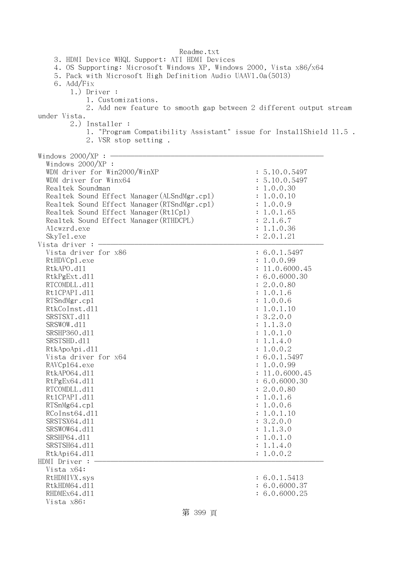Readme.txt 3. HDMI Device WHQL Support: ATI HDMI Devices 4. OS Supporting: Microsoft Windows XP, Windows 2000, Vista x86/x64 5. Pack with Microsoft High Definition Audio UAAV1.0a(5013) 6. Add/Fix 1.) Driver : 1. Customizations. 2. Add new feature to smooth gap between 2 different output stream under Vista. 2.) Installer : 1. "Program Compatibility Assistant" issue for InstallShield 11.5 . 2. VSR stop setting . Windows  $2000/XP : -$  Windows 2000/XP : WDM driver for Win2000/WinXP : 5.10.0.5497 WDM driver for Winx64 : 5.10.0.5497 Realtek Soundman  $\ddot{\textbf{i}}$  1.0.0.30 Realtek Sound Effect Manager (ALSndMgr.cpl) : 1.0.0.10 Realtek Sound Effect Manager(RTSndMgr.cpl) : 1.0.0.9 Realtek Sound Effect Manager(Rt1Cp1) : 1.0.1.65 Realtek Sound Effect Manager (RTHDCPL) : 2.1.6.7 Alcwzrd.exe : 1.1.0.36 SkyTel.exe : 2.0.1.21 Vista driver :  $-$ Vista driver for  $x86$  : 6.0.1.5497 RtHDVCp1.exe : 1.0.0.99 RtkAPO.d11 : 11.0.6000.45 RtkPgExt.dll : 6.0.6000.30 RTCOMDLL.d11 : 2.0.0.80 Rt1CPAPI.d11 : 1.0.1.6 RTSndMgr.cp1 : 1.0.0.6 RtkCoInst.dl1 : 1.0.1.10 : 1.0.1.10 SRSTSXT.d11 : 3.2.0.0 SRSWOW.d11 : 1.1.3.0 SRSHP360.d11 : 1.0.1.0 SRSTSHD.d11 : 1.1.4.0 RtkApoApi.dll : 1.0.0.2 Vista driver for x64 : 6.0.1.5497 RAVCp164.exe : 1.0.0.99 RtkAP064.d11 : 11.0.6000.45 RtPgEx64.dll : 6.0.6000.30 RTCOMDLL.d11 : 2.0.0.80 Rt1CPAPI.d11 : 1.0.1.6 RTSnMg64.cpl : 1.0.0.6 RCoInst64.d11 : 1.0.1.10 SRSTSX64.d11 : 3.2.0.0 SRSWOW64.dl1 : 1.1.3.0 SRSHP64.d11 : 1.0.1.0 SRSTSH64.d11 : 1.1.4.0 RtkApi64.dll : 1.0.0.2 HDMI Driver : - Vista x64: RtHDMIVX.sys : 6.0.1.5413 RtkHDM64.d11 : 6.0.6000.37 RHDMEx64.d11 : 6.0.6000.25 Vista x86: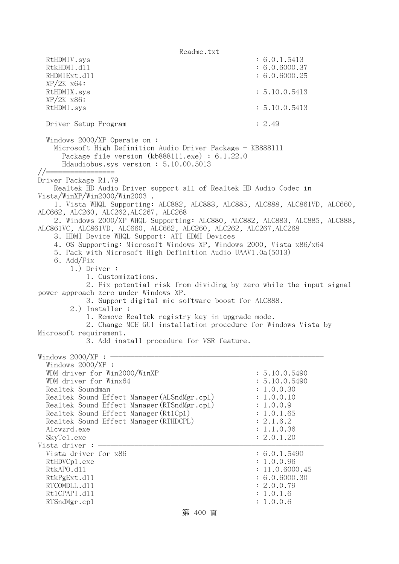Readme.txt RtHDMIV.sys : 6.0.1.5413 RtkHDMI.d11 : 6.0.6000.37 RHDMIExt.d11 : 6.0.6000.25 XP/2K x64: RtHDMIX.sys : 5.10.0.5413 XP/2K x86: RtHDMI.sys : 5.10.0.5413 Driver Setup Program : 2.49 Windows 2000/XP Operate on : Microsoft High Definition Audio Driver Package - KB888111 Package file version (kb888111.exe) : 6.1.22.0 Hdaudiobus.sys version : 5.10.00.5013 //================= Driver Package R1.79 Realtek HD Audio Driver support all of Realtek HD Audio Codec in Vista/WinXP/Win2000/Win2003 . 1. Vista WHQL Supporting: ALC882, ALC883, ALC885, ALC888, ALC861VD, ALC660, ALC662, ALC260, ALC262,ALC267, ALC268 2. Windows 2000/XP WHQL Supporting: ALC880, ALC882, ALC883, ALC885, ALC888, ALC861VC, ALC861VD, ALC660, ALC662, ALC260, ALC262, ALC267,ALC268 3. HDMI Device WHQL Support: ATI HDMI Devices 4. OS Supporting: Microsoft Windows XP, Windows 2000, Vista x86/x64 5. Pack with Microsoft High Definition Audio UAAV1.0a(5013) 6. Add/Fix 1.) Driver : 1. Customizations. 2. Fix potential risk from dividing by zero while the input signal power approach zero under Windows XP. 3. Support digital mic software boost for ALC888. 2.) Installer : 1. Remove Realtek registry key in upgrade mode. 2. Change MCE GUI installation procedure for Windows Vista by Microsoft requirement. 3. Add install procedure for VSR feature. Windows  $2000/XP : -$  Windows 2000/XP : WDM driver for Win2000/WinXP : 5.10.0.5490 WDM driver for Winx64 : 5.10.0.5490 Realtek Soundman : 1.0.0.30 Realtek Sound Effect Manager (ALSndMgr.cpl) : 1.0.0.10 Realtek Sound Effect Manager (RTSndMgr.cpl) : 1.0.0.9 Realtek Sound Effect Manager (Rt1Cp1) : 1.0.1.65 Realtek Sound Effect Manager (RTHDCPL) : 2.1.6.2 Alcwzrd.exe : 1.1.0.36 SkyTel.exe : 2.0.1.20 Vista driver :  $-$ Vista driver for  $x86$  : 6.0.1.5490 : 6.0.1.5490 RtHDVCp1.exe : 1.0.0.96 RtkAPO.d11 : 11.0.6000.45 RtkPgExt.d11 : 6.0.6000.30 RTCOMDLL.d11 : 2.0.0.79 Rt1CPAPI.d11 : 1.0.1.6 RTSndMgr.cpl : 1.0.0.6

### 第 400 頁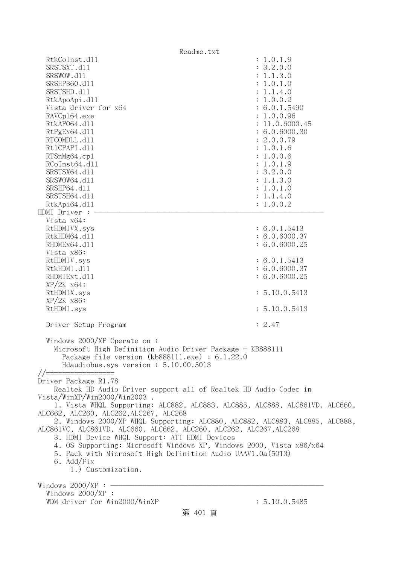| Readme.txt                                                                                                                                                                                                                                                                                                                                                                                                                                                                                                                           |                                                                                                                                                                                                                                                                   |
|--------------------------------------------------------------------------------------------------------------------------------------------------------------------------------------------------------------------------------------------------------------------------------------------------------------------------------------------------------------------------------------------------------------------------------------------------------------------------------------------------------------------------------------|-------------------------------------------------------------------------------------------------------------------------------------------------------------------------------------------------------------------------------------------------------------------|
| RtkCoInst.d11<br>SRSTSXT.d11<br>SRSWOW.d11<br>SRSHP360.d11<br>SRSTSHD.d11<br>RtkApoApi.d11<br>Vista driver for x64<br>RAVCp164.exe<br>RtkAP064.d11<br>RtPgEx64.d11<br>RTCOMDLL.d11<br>Rt1CPAPI.d11<br>RTSnMg64.cp1<br>RCoInst64.d11<br>SRSTSX64.d11<br>SRSWOW64.d11<br>SRSHP64.d11<br>SRSTSH64.d11<br>RtkApi64.dl1                                                                                                                                                                                                                   | : 1.0.1.9<br>: 3.2.0.0<br>: 1.1.3.0<br>: 1.0.1.0<br>: 1.1.4.0<br>: 1.0.0.2<br>: 6.0.1.5490<br>: 1.0.0.96<br>: 11.0.6000.45<br>: 6.0.6000.30<br>: 2.0.0.79<br>: 1.0.1.6<br>: 1.0.0.6<br>: 1.0.1.9<br>: 3.2.0.0<br>: 1.1.3.0<br>: 1.0.1.0<br>: 1.1.4.0<br>: 1.0.0.2 |
| HDMI Driver :<br>Vista x64:<br>RtHDMIVX.sys<br>RtkHDM64.d11<br>RHDMEx64.d11                                                                                                                                                                                                                                                                                                                                                                                                                                                          | : 6.0.1.5413<br>: 6.0.6000.37<br>: 6.0.6000.25                                                                                                                                                                                                                    |
| Vista x86:<br>RtHDMIV.sys<br>RtkHDMI.d11<br>RHDMIExt.d11<br>$XP/ZK$ $x64$ :<br>RtHDMIX.sys                                                                                                                                                                                                                                                                                                                                                                                                                                           | : 6.0.1.5413<br>: 6.0.6000.37<br>: 6.0.6000.25<br>: 5.10.0.5413                                                                                                                                                                                                   |
| $XP/2K$ $x86$ :<br>RtHDMI.sys<br>Driver Setup Program                                                                                                                                                                                                                                                                                                                                                                                                                                                                                | : 5.10.0.5413<br>: 2.47                                                                                                                                                                                                                                           |
| Windows $2000/XP$ Operate on:<br>Microsoft High Definition Audio Driver Package - KB888111<br>Package file version $(kb888111.\text{exe}) : 6.1.22.0$<br>Hdaudiobus.sys version: 5.10.00.5013<br>//=======<br>Driver Package R1.78<br>Realtek HD Audio Driver support all of Realtek HD Audio Codec in                                                                                                                                                                                                                               |                                                                                                                                                                                                                                                                   |
| Vista/WinXP/Win2000/Win2003<br>1. Vista WHQL Supporting: ALC882, ALC883, ALC885, ALC888, ALC861VD, ALC660,<br>ALC662, ALC260, ALC262, ALC267, ALC268<br>2. Windows 2000/XP WHQL Supporting: ALC880, ALC882, ALC883, ALC885, ALC888,<br>ALC861VC, ALC861VD, ALC660, ALC662, ALC260, ALC262, ALC267, ALC268<br>3. HDMI Device WHQL Support: ATI HDMI Devices<br>4. OS Supporting: Microsoft Windows XP, Windows 2000, Vista x86/x64<br>5. Pack with Microsoft High Definition Audio UAAV1.0a(5013)<br>6. Add/Fix<br>1.) Customization. |                                                                                                                                                                                                                                                                   |
| Windows $2000/XP:$ -<br>Windows 2000/XP :<br>WDM driver for Win2000/WinXP<br>第 401 頁                                                                                                                                                                                                                                                                                                                                                                                                                                                 | : 5.10.0.5485                                                                                                                                                                                                                                                     |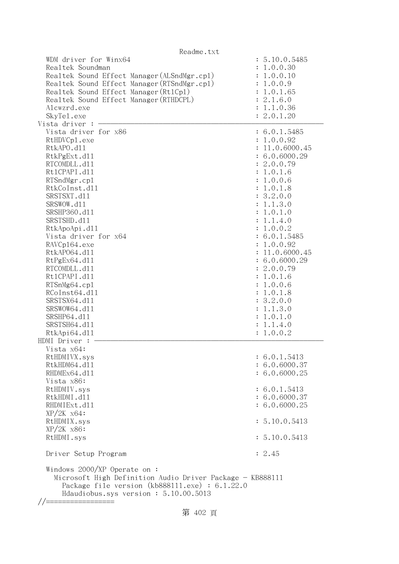| Readme.txt                                                                                                                                                                                                                                                                                                                                                                                                                               |                                                                                                                                                                                                                                                                                                                                                                            |
|------------------------------------------------------------------------------------------------------------------------------------------------------------------------------------------------------------------------------------------------------------------------------------------------------------------------------------------------------------------------------------------------------------------------------------------|----------------------------------------------------------------------------------------------------------------------------------------------------------------------------------------------------------------------------------------------------------------------------------------------------------------------------------------------------------------------------|
| WDM driver for Winx64<br>Realtek Soundman<br>Realtek Sound Effect Manager (ALSndMgr.cp1)<br>Realtek Sound Effect Manager (RTSndMgr.cp1)<br>Realtek Sound Effect Manager (Rt1Cp1)<br>Realtek Sound Effect Manager (RTHDCPL)<br>Alcwzrd.exe<br>SkyTe1.exe<br>Vista driver : $-$                                                                                                                                                            | : 5.10.0.5485<br>: 1.0.0.30<br>: 1.0.0.10<br>: 1.0.0.9<br>: 1.0.1.65<br>: 2.1.6.0<br>: 1.1.0.36<br>: 2.0.1.20                                                                                                                                                                                                                                                              |
|                                                                                                                                                                                                                                                                                                                                                                                                                                          |                                                                                                                                                                                                                                                                                                                                                                            |
| Vista driver for x86<br>RtHDVCp1.exe<br>RtkAPO.d11<br>RtkPgExt.d11<br>RTCOMDLL.d11<br>Rt1CPAPI.d11<br>RTSndMgr.cp1<br>RtkCoInst.d11<br>SRSTSXT.d11<br>SRSWOW.d11<br>SRSHP360.d11<br>SRSTSHD.d11<br>RtkApoApi.d11<br>Vista driver for x64<br>RAVCp164.exe<br>RtkAP064.d11<br>RtPgEx64.d11<br>RTCOMDLL.d11<br>Rt1CPAPI.d11<br>RTSnMg64.cp1<br>RCoInst64.d11<br>SRSTSX64.d11<br>SRSWOW64.d11<br>SRSHP64.d11<br>SRSTSH64.d11<br>RtkApi64.dl1 | : 6.0.1.5485<br>: 1.0.0.92<br>: 11.0.6000.45<br>: 6.0.6000.29<br>: 2.0.0.79<br>: 1.0.1.6<br>: 1.0.0.6<br>: 1.0.1.8<br>: 3.2.0.0<br>: 1.1.3.0<br>: 1.0.1.0<br>: 1.1.4.0<br>: 1.0.0.2<br>: 6.0.1.5485<br>: 1.0.0.92<br>: 11.0.6000.45<br>: 6.0.6000.29<br>: 2.0.0.79<br>: 1.0.1.6<br>: 1.0.0.6<br>: 1.0.1.8<br>: 3.2.0.0<br>: 1.1.3.0<br>: 1.0.1.0<br>: 1.1.4.0<br>: 1.0.0.2 |
| HDMI Driver :                                                                                                                                                                                                                                                                                                                                                                                                                            |                                                                                                                                                                                                                                                                                                                                                                            |
| Vista x64:<br>RtHDMIVX.sys<br>RtkHDM64.d11<br>RHDMEx64.d11<br>Vista x86:                                                                                                                                                                                                                                                                                                                                                                 | : 6.0.1.5413<br>: 6.0.6000.37<br>: 6.0.6000.25                                                                                                                                                                                                                                                                                                                             |
| RtHDMIV.sys<br>RtkHDMI.d11<br>RHDMIExt.d11<br>$XP/ZK$ $x64$ :                                                                                                                                                                                                                                                                                                                                                                            | : 6.0.1.5413<br>: 6.0.6000.37<br>: 6.0.6000.25                                                                                                                                                                                                                                                                                                                             |
| RtHDMIX.sys                                                                                                                                                                                                                                                                                                                                                                                                                              | : 5.10.0.5413                                                                                                                                                                                                                                                                                                                                                              |
| $XP/2K$ $x86$ :                                                                                                                                                                                                                                                                                                                                                                                                                          |                                                                                                                                                                                                                                                                                                                                                                            |
| RtHDMI.sys                                                                                                                                                                                                                                                                                                                                                                                                                               | : 5.10.0.5413                                                                                                                                                                                                                                                                                                                                                              |
| Driver Setup Program                                                                                                                                                                                                                                                                                                                                                                                                                     | : 2.45                                                                                                                                                                                                                                                                                                                                                                     |
| Windows 2000/XP Operate on :<br>Microsoft High Definition Audio Driver Package - KB888111<br>Package file version $(kb888111.\text{exe}) : 6.1.22.0$<br>Hdaudiobus.sys version: 5.10.00.5013                                                                                                                                                                                                                                             |                                                                                                                                                                                                                                                                                                                                                                            |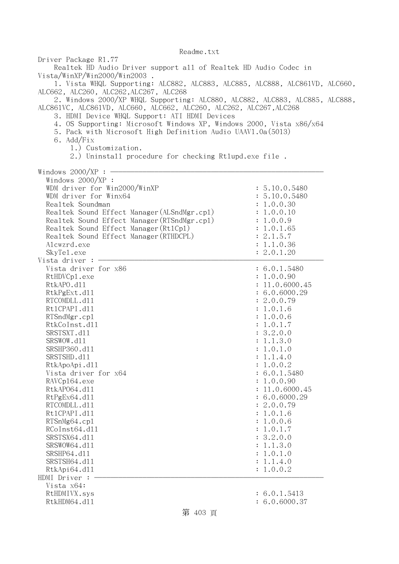| Driver Package R1.77<br>Realtek HD Audio Driver support all of Realtek HD Audio Codec in<br>Vista/WinXP/Win2000/Win2003.<br>1. Vista WHQL Supporting: ALC882, ALC883, ALC885, ALC888, ALC861VD, ALC660,<br>ALC662, ALC260, ALC262, ALC267, ALC268<br>2. Windows 2000/XP WHQL Supporting: ALC880, ALC882, ALC883, ALC885, ALC888,<br>ALC861VC, ALC861VD, ALC660, ALC662, ALC260, ALC262, ALC267, ALC268<br>3. HDMI Device WHQL Support: ATI HDMI Devices<br>4. OS Supporting: Microsoft Windows XP, Windows 2000, Vista x86/x64<br>5. Pack with Microsoft High Definition Audio UAAV1.0a(5013)<br>6. Add/Fix<br>1.) Customization.<br>2.) Uninstall procedure for checking Rtlupd.exe file.<br>Windows $2000/XP:$ - |                                                                                                                                                                                                                                                                                                                                                                          |
|--------------------------------------------------------------------------------------------------------------------------------------------------------------------------------------------------------------------------------------------------------------------------------------------------------------------------------------------------------------------------------------------------------------------------------------------------------------------------------------------------------------------------------------------------------------------------------------------------------------------------------------------------------------------------------------------------------------------|--------------------------------------------------------------------------------------------------------------------------------------------------------------------------------------------------------------------------------------------------------------------------------------------------------------------------------------------------------------------------|
| Windows 2000/XP :<br>WDM driver for Win2000/WinXP<br>WDM driver for Winx64<br>Realtek Soundman<br>Realtek Sound Effect Manager (ALSndMgr.cp1)<br>Realtek Sound Effect Manager (RTSndMgr.cp1)<br>Realtek Sound Effect Manager (Rt1Cp1)<br>Realtek Sound Effect Manager (RTHDCPL)<br>Alcwzrd.exe<br>SkyTe1.exe<br>Vista driver : -                                                                                                                                                                                                                                                                                                                                                                                   | : 5.10.0.5480<br>: 5.10.0.5480<br>: 1.0.0.30<br>: 1.0.0.10<br>: 1.0.0.9<br>: 1.0.1.65<br>: 2.1.5.7<br>: 1.1.0.36<br>: 2.0.1.20                                                                                                                                                                                                                                           |
| Vista driver for x86<br>RtHDVCp1.exe<br>RtkAPO.d11<br>RtkPgExt.d11<br>RTCOMDLL.d11<br>Rt1CPAPI.d11<br>RTSndMgr.cp1<br>RtkCoInst.d11<br>SRSTSXT.d11<br>SRSWOW.d11<br>SRSHP360.d11<br>SRSTSHD.d11<br>RtkApoApi.d11<br>Vista driver for x64<br>RAVCp164.exe<br>RtkAP064.d11<br>RtPgEx64.d11<br>RTCOMDLL.d11<br>Rt1CPAPI.d11<br>RTSnMg64.cp1<br>RCoInst64.d11<br>SRSTSX64.d11<br>SRSWOW64.d11<br>SRSHP64.d11<br>SRSTSH64.d11<br>RtkApi64.dl1<br>HDMI Driver :<br>Vista x64:                                                                                                                                                                                                                                            | : 6.0.1.5480<br>: 1.0.0.90<br>: 11.0.6000.45<br>: 6.0.6000.29<br>: 2.0.0.79<br>: 1.0.1.6<br>: 1.0.0.6<br>: 1.0.1.7<br>: 3.2.0.0<br>: 1.1.3.0<br>: 1.0.1.0<br>: 1.1.4.0<br>1.0.0.2<br>: 6.0.1.5480<br>: 1.0.0.90<br>: 11.0.6000.45<br>: 6.0.6000.29<br>: 2.0.0.79<br>: 1.0.1.6<br>: 1.0.0.6<br>: 1.0.1.7<br>: 3.2.0.0<br>: 1.1.3.0<br>: 1.0.1.0<br>: 1.1.4.0<br>: 1.0.0.2 |
| RtHDMIVX.sys<br>RtkHDM64.d11                                                                                                                                                                                                                                                                                                                                                                                                                                                                                                                                                                                                                                                                                       | : 6.0.1.5413<br>: 6.0.6000.37                                                                                                                                                                                                                                                                                                                                            |

# 第 403 頁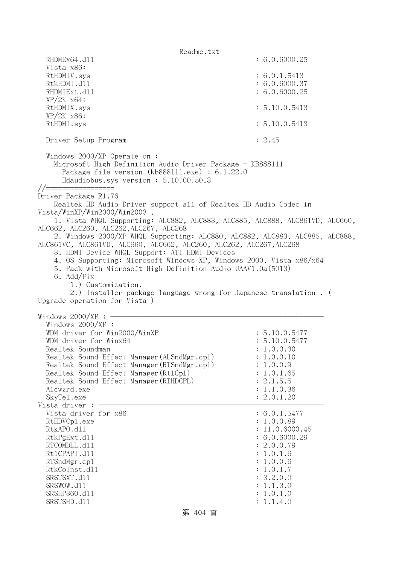Readme.txt RHDMEx64.d11 : 6.0.6000.25 Vista x86: RtHDMIV.sys : 6.0.1.5413 RtkHDMI.d11 : 6.0.6000.37 RHDMIExt.d11 : 6.0.6000.25  $XP/2K$   $x64$ : RtHDMIX.sys : 5.10.0.5413 XP/2K x86: RtHDMI.sys : 5.10.0.5413 Driver Setup Program : 2.45 Windows 2000/XP Operate on : Microsoft High Definition Audio Driver Package - KB888111 Package file version (kb888111.exe) : 6.1.22.0 Hdaudiobus.sys version : 5.10.00.5013 //================= Driver Package R1.76 Realtek HD Audio Driver support all of Realtek HD Audio Codec in Vista/WinXP/Win2000/Win2003 . 1. Vista WHQL Supporting: ALC882, ALC883, ALC885, ALC888, ALC861VD, ALC660, ALC662, ALC260, ALC262,ALC267, ALC268 2. Windows 2000/XP WHQL Supporting: ALC880, ALC882, ALC883, ALC885, ALC888, ALC861VC, ALC861VD, ALC660, ALC662, ALC260, ALC262, ALC267,ALC268 3. HDMI Device WHQL Support: ATI HDMI Devices 4. OS Supporting: Microsoft Windows XP, Windows 2000, Vista x86/x64 5. Pack with Microsoft High Definition Audio UAAV1.0a(5013) 6. Add/Fix 1.) Customization. 2.) Installer package language wrong for Japanese translation . ( Upgrade operation for Vista ) Windows  $2000/XP : -$  Windows 2000/XP : WDM driver for Win2000/WinXP : 5.10.0.5477 WDM driver for Winx64 : 5.10.0.5477 Realtek Soundman : 1.0.0.30 Realtek Sound Effect Manager(ALSndMgr.cpl) : 1.0.0.10 Realtek Sound Effect Manager (RTSndMgr.cp1) : 1.0.0.9 Realtek Sound Effect Manager (Rt1Cp1) : 1.0.1.65 Realtek Sound Effect Manager(RTHDCPL) : 2.1.5.5 Alcwzrd.exe : 1.1.0.36 SkyTel.exe : 2.0.1.20 : 2.0.1.20 Vista driver :  $-$ Vista driver for  $x86$  : 6.0.1.5477 RtHDVCp1.exe : 1.0.0.89 RtkAPO.d11 : 11.0.6000.45 RtkPgExt.dll : 6.0.6000.29 RTCOMDLL.d11 : 2.0.0.79 Rt1CPAPI.d11 : 1.0.1.6 RTSndMgr.cpl : 1.0.0.6 RtkCoInst.dll : 1.0.1.7 SRSTSXT.d11 : 3.2.0.0 SRSWOW.d11 : 1.1.3.0 SRSHP360.d11 : 1.0.1.0 SRSTSHD.d11 : 1.1.4.0

第 404 頁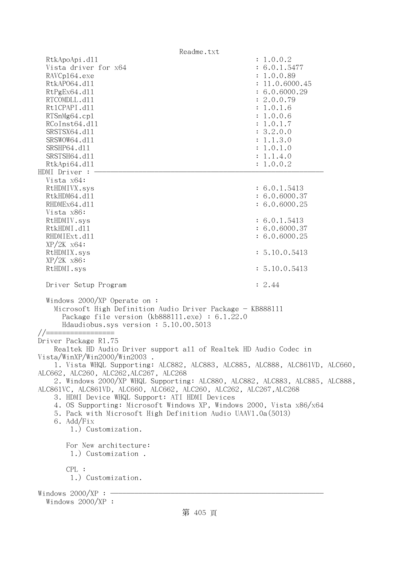Readme.txt RtkApoApi.dll : 1.0.0.2 Vista driver for x64 : 6.0.1.5477 RAVCp164.exe : 1.0.0.89 RtkAP064.dl1 : 11.0.6000.45 RtPgEx64.dll : 6.0.6000.29 RTCOMDLL.d11 : 2.0.0.79 RtlCPAPI.dll : 1.0.1.6 RTSnMg64.cpl : 1.0.0.6 RCoInst64.d11 : 1.0.1.7 SRSTSX64.dl1 : 3.2.0.0 SRSWOW64.d11 : 1.1.3.0 SRSHP64.d11 : 1.0.1.0 SRSTSH64.d11 : 1.1.4.0 RtkApi64.dl1 : 1.0.0.2  $HDMI$  Driver : - Vista x64: RtHDMIVX.sys : 6.0.1.5413 RtkHDM64.d11 : 6.0.6000.37 RHDMEx64.d11 : 6.0.6000.25 Vista x86: RtHDMIV.sys : 6.0.1.5413 RtkHDMI.d11 : 6.0.6000.37 RHDMIExt.d11 : 6.0.6000.25 XP/2K x64: RtHDMIX.sys : 5.10.0.5413 XP/2K x86: RtHDMI.sys : 5.10.0.5413 Driver Setup Program : 2.44 Windows 2000/XP Operate on : Microsoft High Definition Audio Driver Package - KB888111 Package file version (kb888111.exe) : 6.1.22.0 Hdaudiobus.sys version : 5.10.00.5013 //================= Driver Package R1.75 Realtek HD Audio Driver support all of Realtek HD Audio Codec in Vista/WinXP/Win2000/Win2003 . 1. Vista WHQL Supporting: ALC882, ALC883, ALC885, ALC888, ALC861VD, ALC660, ALC662, ALC260, ALC262,ALC267, ALC268 2. Windows 2000/XP WHQL Supporting: ALC880, ALC882, ALC883, ALC885, ALC888, ALC861VC, ALC861VD, ALC660, ALC662, ALC260, ALC262, ALC267,ALC268 3. HDMI Device WHQL Support: ATI HDMI Devices 4. OS Supporting: Microsoft Windows XP, Windows 2000, Vista x86/x64 5. Pack with Microsoft High Definition Audio UAAV1.0a(5013) 6. Add/Fix 1.) Customization. For New architecture: 1.) Customization . CPL : 1.) Customization. Windows  $2000/XP : -$ Windows 2000/XP :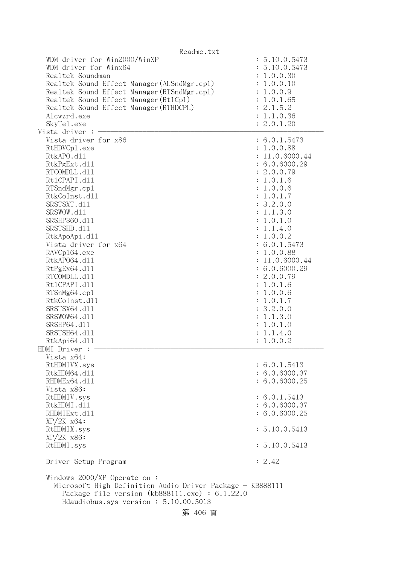| Readme.txt                                                                                                                                                                                                                                                                                                                                                                                                                                                |                                                                                                                                                                                                                                                                                                                                                                            |
|-----------------------------------------------------------------------------------------------------------------------------------------------------------------------------------------------------------------------------------------------------------------------------------------------------------------------------------------------------------------------------------------------------------------------------------------------------------|----------------------------------------------------------------------------------------------------------------------------------------------------------------------------------------------------------------------------------------------------------------------------------------------------------------------------------------------------------------------------|
| WDM driver for Win2000/WinXP<br>WDM driver for Winx64<br>Realtek Soundman<br>Realtek Sound Effect Manager (ALSndMgr.cp1)<br>Realtek Sound Effect Manager (RTSndMgr.cp1)<br>Realtek Sound Effect Manager (Rt1Cp1)<br>Realtek Sound Effect Manager (RTHDCPL)<br>Alcwzrd.exe<br>SkyTe1.exe<br>Vista driver : -                                                                                                                                               | : 5.10.0.5473<br>: 5.10.0.5473<br>: 1.0.0.30<br>: 1.0.0.10<br>: 1.0.0.9<br>: 1.0.1.65<br>: 2.1.5.2<br>: 1.1.0.36<br>: 2.0.1.20                                                                                                                                                                                                                                             |
| Vista driver for x86<br>RtHDVCp1.exe<br>RtkAPO.d11<br>RtkPgExt.d11<br>RTCOMDLL.d11<br>Rt1CPAPI.d11<br>RTSndMgr.cp1<br>RtkCoInst.d11<br>SRSTSXT.d11<br>SRSWOW.d11<br>SRSHP360.d11<br>SRSTSHD.d11<br>RtkApoApi.d11<br>Vista driver for x64<br>RAVCp164.exe<br>RtkAP064.d11<br>RtPgEx64.d11<br>RTCOMDLL.d11<br>Rt1CPAPI.d11<br>RTSnMg64.cp1<br>RtkCoInst.d11<br>SRSTSX64.d11<br>SRSWOW64.d11<br>SRSHP64.d11<br>SRSTSH64.d11<br>RtkApi64.d11<br>HDMI Driver : | : 6.0.1.5473<br>: 1.0.0.88<br>: 11.0.6000.44<br>: 6.0.6000.29<br>: 2.0.0.79<br>: 1.0.1.6<br>: 1.0.0.6<br>: 1.0.1.7<br>: 3.2.0.0<br>: 1.1.3.0<br>: 1.0.1.0<br>: 1.1.4.0<br>: 1.0.0.2<br>: 6.0.1.5473<br>: 1.0.0.88<br>: 11.0.6000.44<br>: 6.0.6000.29<br>: 2.0.0.79<br>: 1.0.1.6<br>: 1.0.0.6<br>: 1.0.1.7<br>: 3.2.0.0<br>: 1.1.3.0<br>: 1.0.1.0<br>: 1.1.4.0<br>: 1.0.0.2 |
| Vista x64:                                                                                                                                                                                                                                                                                                                                                                                                                                                |                                                                                                                                                                                                                                                                                                                                                                            |
| RtHDMIVX.sys<br>RtkHDM64.d11<br>RHDMEx64.d11<br>Vista x86:                                                                                                                                                                                                                                                                                                                                                                                                | : 6.0.1.5413<br>: 6.0.6000.37<br>: 6.0.6000.25                                                                                                                                                                                                                                                                                                                             |
| RtHDMIV.sys<br>RtkHDMI.d11<br>RHDMIExt.d11<br>$XP/ZK$ $x64$ :                                                                                                                                                                                                                                                                                                                                                                                             | : 6.0.1.5413<br>: 6.0.6000.37<br>: 6.0.6000.25                                                                                                                                                                                                                                                                                                                             |
| RtHDMIX.sys<br>$XP/2K$ $x86$ :                                                                                                                                                                                                                                                                                                                                                                                                                            | : 5.10.0.5413                                                                                                                                                                                                                                                                                                                                                              |
| RtHDMI.sys                                                                                                                                                                                                                                                                                                                                                                                                                                                | : 5.10.0.5413                                                                                                                                                                                                                                                                                                                                                              |
| Driver Setup Program                                                                                                                                                                                                                                                                                                                                                                                                                                      | : 2.42                                                                                                                                                                                                                                                                                                                                                                     |
| Windows 2000/XP Operate on :<br>Microsoft High Definition Audio Driver Package - KB888111<br>Package file version (kb888111.exe) : $6.1.22.0$<br>Hdaudiobus.sys version: 5.10.00.5013                                                                                                                                                                                                                                                                     |                                                                                                                                                                                                                                                                                                                                                                            |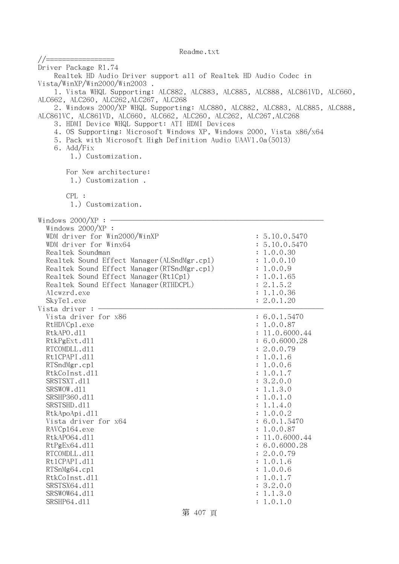//================= Driver Package R1.74 Realtek HD Audio Driver support all of Realtek HD Audio Codec in Vista/WinXP/Win2000/Win2003 . 1. Vista WHQL Supporting: ALC882, ALC883, ALC885, ALC888, ALC861VD, ALC660, ALC662, ALC260, ALC262,ALC267, ALC268 2. Windows 2000/XP WHQL Supporting: ALC880, ALC882, ALC883, ALC885, ALC888, ALC861VC, ALC861VD, ALC660, ALC662, ALC260, ALC262, ALC267,ALC268 3. HDMI Device WHQL Support: ATI HDMI Devices 4. OS Supporting: Microsoft Windows XP, Windows 2000, Vista x86/x64 5. Pack with Microsoft High Definition Audio UAAV1.0a(5013) 6. Add/Fix 1.) Customization. For New architecture: 1.) Customization . CPL : 1.) Customization. Windows  $2000/XP : -$  Windows 2000/XP : WDM driver for Win2000/WinXP : 5.10.0.5470 WDM driver for Winx64 : 5.10.0.5470 Realtek Soundman : 1.0.0.30 Realtek Sound Effect Manager(ALSndMgr.cpl) : 1.0.0.10 Realtek Sound Effect Manager(RTSndMgr.cpl) : 1.0.0.9 Realtek Sound Effect Manager (Rt1Cp1) : 1.0.1.65 Realtek Sound Effect Manager (RTHDCPL) : 2.1.5.2 Alcwzrd.exe : 1.1.0.36 SkyTel.exe : 2.0.1.20 Vista driver : -Vista driver for  $x86$   $\hspace{1.5cm}$  : 6.0.1.5470 RtHDVCp1.exe : 1.0.0.87 RtkAPO.d11 : 11.0.6000.44 RtkPgExt.dll : 6.0.6000.28 RTCOMDLL.d11 : 2.0.0.79 RtlCPAPI.dll : 1.0.1.6 RTSndMgr.cpl : 1.0.0.6 RtkCoInst.d11 : 1.0.1.7 SRSTSXT.d11 : 3.2.0.0 SRSWOW.d11 : 1.1.3.0 SRSHP360.d11 : 1.0.1.0 SRSTSHD.d11 : 1.1.4.0 RtkApoApi.dll : 1.0.0.2 Vista driver for  $x64$  : 6.0.1.5470 RAVCp164.exe : 1.0.0.87 RtkAP064.d11 : 11.0.6000.44 RtPgEx64.dll : 6.0.6000.28 RTCOMDLL.d11 : 2.0.0.79 RtlCPAPI.dll : 1.0.1.6 RTSnMg64.cpl : 1.0.0.6 RtkCoInst.d11 : 1.0.1.7 SRSTSX64.dl1 : 3.2.0.0 SRSWOW64.d11 : 1.1.3.0 SRSHP64.d11 : 1.0.1.0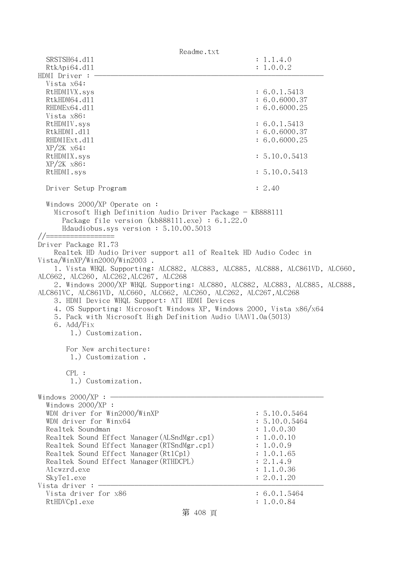| Readme.txt                                                                                                                                                                                                                                                                                                                                                                                                                                                                                                                                                                                                                                                                                                                                                                                                                                                 |                                                                                                                                |
|------------------------------------------------------------------------------------------------------------------------------------------------------------------------------------------------------------------------------------------------------------------------------------------------------------------------------------------------------------------------------------------------------------------------------------------------------------------------------------------------------------------------------------------------------------------------------------------------------------------------------------------------------------------------------------------------------------------------------------------------------------------------------------------------------------------------------------------------------------|--------------------------------------------------------------------------------------------------------------------------------|
| SRSTSH64.d11                                                                                                                                                                                                                                                                                                                                                                                                                                                                                                                                                                                                                                                                                                                                                                                                                                               | : 1.1.4.0                                                                                                                      |
| RtkApi64.dl1                                                                                                                                                                                                                                                                                                                                                                                                                                                                                                                                                                                                                                                                                                                                                                                                                                               | : 1.0.0.2                                                                                                                      |
| HDMI Driver :                                                                                                                                                                                                                                                                                                                                                                                                                                                                                                                                                                                                                                                                                                                                                                                                                                              |                                                                                                                                |
| Vista x64:                                                                                                                                                                                                                                                                                                                                                                                                                                                                                                                                                                                                                                                                                                                                                                                                                                                 |                                                                                                                                |
| RtHDMIVX.sys                                                                                                                                                                                                                                                                                                                                                                                                                                                                                                                                                                                                                                                                                                                                                                                                                                               | : 6.0.1.5413                                                                                                                   |
| RtkHDM64.d11<br>RHDMEx64.d11                                                                                                                                                                                                                                                                                                                                                                                                                                                                                                                                                                                                                                                                                                                                                                                                                               | : 6.0.6000.37<br>: 6.0.6000.25                                                                                                 |
| Vista x86:                                                                                                                                                                                                                                                                                                                                                                                                                                                                                                                                                                                                                                                                                                                                                                                                                                                 |                                                                                                                                |
| RtHDMIV.sys                                                                                                                                                                                                                                                                                                                                                                                                                                                                                                                                                                                                                                                                                                                                                                                                                                                | : 6.0.1.5413                                                                                                                   |
| RtkHDMI.d11                                                                                                                                                                                                                                                                                                                                                                                                                                                                                                                                                                                                                                                                                                                                                                                                                                                | : 6.0.6000.37                                                                                                                  |
| RHDMIExt.d11                                                                                                                                                                                                                                                                                                                                                                                                                                                                                                                                                                                                                                                                                                                                                                                                                                               | : 6.0.6000.25                                                                                                                  |
| $XP/2K$ $x64$ :                                                                                                                                                                                                                                                                                                                                                                                                                                                                                                                                                                                                                                                                                                                                                                                                                                            |                                                                                                                                |
| RtHDMIX.sys                                                                                                                                                                                                                                                                                                                                                                                                                                                                                                                                                                                                                                                                                                                                                                                                                                                | : 5.10.0.5413                                                                                                                  |
| $XP/2K$ $x86$ :                                                                                                                                                                                                                                                                                                                                                                                                                                                                                                                                                                                                                                                                                                                                                                                                                                            |                                                                                                                                |
| RtHDMI.sys                                                                                                                                                                                                                                                                                                                                                                                                                                                                                                                                                                                                                                                                                                                                                                                                                                                 | : 5.10.0.5413                                                                                                                  |
|                                                                                                                                                                                                                                                                                                                                                                                                                                                                                                                                                                                                                                                                                                                                                                                                                                                            |                                                                                                                                |
| Driver Setup Program                                                                                                                                                                                                                                                                                                                                                                                                                                                                                                                                                                                                                                                                                                                                                                                                                                       | : 2.40                                                                                                                         |
| Windows $2000/XP$ Operate on:<br>Microsoft High Definition Audio Driver Package - KB888111<br>Package file version $(kb888111.\text{exe}) : 6.1.22.0$<br>Hdaudiobus.sys version: 5.10.00.5013<br>//==================<br>Driver Package R1.73<br>Realtek HD Audio Driver support all of Realtek HD Audio Codec in<br>Vista/WinXP/Win2000/Win2003.<br>1. Vista WHQL Supporting: ALC882, ALC883, ALC885, ALC888, ALC861VD, ALC660,<br>ALC662, ALC260, ALC262, ALC267, ALC268<br>2. Windows 2000/XP WHQL Supporting: ALC880, ALC882, ALC883, ALC885, ALC888,<br>ALC861VC, ALC861VD, ALC660, ALC662, ALC260, ALC262, ALC267, ALC268<br>3. HDMI Device WHQL Support: ATI HDMI Devices<br>4. OS Supporting: Microsoft Windows XP, Windows 2000, Vista x86/x64<br>5. Pack with Microsoft High Definition Audio UAAV1.0a(5013)<br>6. Add/Fix<br>1.) Customization. |                                                                                                                                |
| For New architecture:<br>1.) Customization.                                                                                                                                                                                                                                                                                                                                                                                                                                                                                                                                                                                                                                                                                                                                                                                                                |                                                                                                                                |
| CPL:                                                                                                                                                                                                                                                                                                                                                                                                                                                                                                                                                                                                                                                                                                                                                                                                                                                       |                                                                                                                                |
| 1.) Customization.                                                                                                                                                                                                                                                                                                                                                                                                                                                                                                                                                                                                                                                                                                                                                                                                                                         |                                                                                                                                |
| Windows 2000/XP :<br>Windows $2000/XP$ :<br>WDM driver for Win2000/WinXP<br>WDM driver for Winx64<br>Realtek Soundman<br>Realtek Sound Effect Manager (ALSndMgr.cp1)<br>Realtek Sound Effect Manager (RTSndMgr.cp1)<br>Realtek Sound Effect Manager (Rt1Cp1)<br>Realtek Sound Effect Manager (RTHDCPL)<br>Alcwzrd.exe<br>SkyTe1.exe<br>Vista driver                                                                                                                                                                                                                                                                                                                                                                                                                                                                                                        | : 5.10.0.5464<br>: 5.10.0.5464<br>: 1.0.0.30<br>: 1.0.0.10<br>: 1.0.0.9<br>: 1.0.1.65<br>: 2.1.4.9<br>: 1.1.0.36<br>: 2.0.1.20 |
| Vista driver for x86                                                                                                                                                                                                                                                                                                                                                                                                                                                                                                                                                                                                                                                                                                                                                                                                                                       | : 6.0.1.5464                                                                                                                   |
| RtHDVCp1.exe                                                                                                                                                                                                                                                                                                                                                                                                                                                                                                                                                                                                                                                                                                                                                                                                                                               | : 1.0.0.84                                                                                                                     |

第 408 頁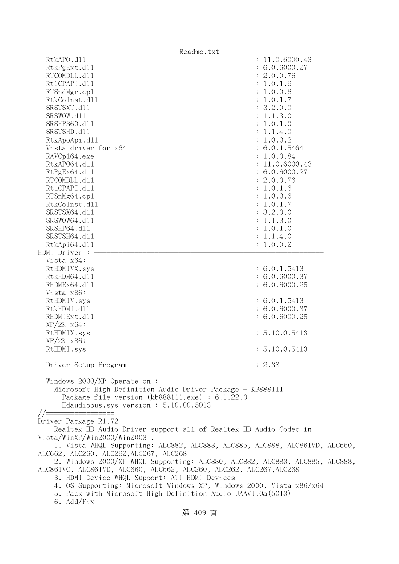| Readme.txt                                                                                                                                                                             |                |
|----------------------------------------------------------------------------------------------------------------------------------------------------------------------------------------|----------------|
| RtkAPO.d11                                                                                                                                                                             | : 11.0.6000.43 |
| RtkPgExt.d11                                                                                                                                                                           | : 6.0.6000.27  |
| RTCOMDLL.d11                                                                                                                                                                           | : 2.0.0.76     |
| Rt1CPAPI.d11                                                                                                                                                                           | : 1.0.1.6      |
| RTSndMgr.cp1                                                                                                                                                                           | : 1.0.0.6      |
| RtkCoInst.d11                                                                                                                                                                          | : 1.0.1.7      |
| SRSTSXT.d11                                                                                                                                                                            | : 3.2.0.0      |
| SRSWOW.d11                                                                                                                                                                             | : 1.1.3.0      |
| SRSHP360.d11                                                                                                                                                                           | : 1.0.1.0      |
| SRSTSHD.d11                                                                                                                                                                            | : 1.1.4.0      |
| RtkApoApi.d11                                                                                                                                                                          | : 1.0.0.2      |
| Vista driver for x64                                                                                                                                                                   | : 6.0.1.5464   |
| RAVCp164.exe                                                                                                                                                                           | : 1.0.0.84     |
| RtkAP064.d11                                                                                                                                                                           | : 11.0.6000.43 |
| RtPgEx64.d11                                                                                                                                                                           | : 6.0.6000.27  |
| RTCOMDLL.d11                                                                                                                                                                           | : 2.0.0.76     |
| Rt1CPAPI.d11                                                                                                                                                                           | : 1.0.1.6      |
| RTSnMg64.cp1                                                                                                                                                                           | : 1.0.0.6      |
| RtkCoInst.d11                                                                                                                                                                          |                |
|                                                                                                                                                                                        | : 1.0.1.7      |
| SRSTSX64.d11                                                                                                                                                                           | : 3.2.0.0      |
| SRSWOW64.d11                                                                                                                                                                           | : 1.1.3.0      |
| SRSHP64.d11                                                                                                                                                                            | : 1.0.1.0      |
| SRSTSH64.d11                                                                                                                                                                           | : 1.1.4.0      |
| RtkApi64.dl1                                                                                                                                                                           | : 1.0.0.2      |
| HDMI Driver :<br>Vista x64:                                                                                                                                                            |                |
|                                                                                                                                                                                        | : 6.0.1.5413   |
| RtHDMIVX.sys                                                                                                                                                                           |                |
| RtkHDM64.d11                                                                                                                                                                           | : 6.0.6000.37  |
| RHDMEx64.d11                                                                                                                                                                           | : 6.0.6000.25  |
| Vista x86:                                                                                                                                                                             |                |
| RtHDMIV.sys                                                                                                                                                                            | : 6.0.1.5413   |
| RtkHDMI.d11                                                                                                                                                                            | : 6.0.6000.37  |
| RHDMIExt.d11                                                                                                                                                                           | : 6.0.6000.25  |
| $XP/ZK$ $x64$ :                                                                                                                                                                        |                |
| RtHDMIX.sys                                                                                                                                                                            | : 5.10.0.5413  |
| $XP/2K$ $x86$ :                                                                                                                                                                        |                |
| RtHDMI.sys                                                                                                                                                                             | : 5.10.0.5413  |
| Driver Setup Program                                                                                                                                                                   | : 2.38         |
|                                                                                                                                                                                        |                |
| Windows 2000/XP Operate on:<br>Microsoft High Definition Audio Driver Package - KB888111<br>Package file version (kb888111.exe) : $6.1.22.0$<br>Hdaudiobus.sys version: $5.10.00.5013$ |                |
| Driver Package R1.72                                                                                                                                                                   |                |
| Realtek HD Audio Driver support all of Realtek HD Audio Codec in                                                                                                                       |                |
| Vista/WinXP/Win2000/Win2003 .                                                                                                                                                          |                |
| 1. Vista WHQL Supporting: ALC882, ALC883, ALC885, ALC888, ALC861VD, ALC660,                                                                                                            |                |
| ALC662, ALC260, ALC262, ALC267, ALC268                                                                                                                                                 |                |
| 2. Windows 2000/XP WHQL Supporting: ALC880, ALC882, ALC883, ALC885, ALC888,                                                                                                            |                |
| ALC861VC, ALC861VD, ALC660, ALC662, ALC260, ALC262, ALC267, ALC268                                                                                                                     |                |
| 3. HDMI Device WHQL Support: ATI HDMI Devices                                                                                                                                          |                |
| 4. OS Supporting: Microsoft Windows XP, Windows 2000, Vista x86/x64                                                                                                                    |                |
| 5. Pack with Microsoft High Definition Audio UAAV1.0a(5013)                                                                                                                            |                |

6. Add/Fix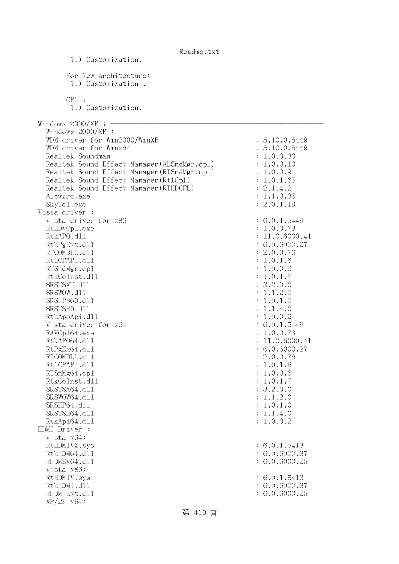| Readme.txt                                  |                           |
|---------------------------------------------|---------------------------|
| 1.) Customization.                          |                           |
| For New architecture:                       |                           |
| 1.) Customization.                          |                           |
|                                             |                           |
| CPL:                                        |                           |
| 1.) Customization.                          |                           |
|                                             |                           |
| Windows $2000/XP:$ –                        |                           |
| Windows $2000/XP$ :                         |                           |
| WDM driver for Win2000/WinXP                | : 5.10.0.5449             |
| WDM driver for Winx64                       | : 5.10.0.5449             |
| Realtek Soundman                            | : 1.0.0.30                |
| Realtek Sound Effect Manager (ALSndMgr.cp1) | : 1.0.0.10                |
| Realtek Sound Effect Manager (RTSndMgr.cp1) | : 1.0.0.9                 |
| Realtek Sound Effect Manager (Rt1Cp1)       | : 1.0.1.65                |
| Realtek Sound Effect Manager (RTHDCPL)      | : 2.1.4.2                 |
| Alcwzrd.exe                                 | 1.1.0.36                  |
| SkyTe1.exe                                  | : 2.0.1.19                |
| Vista driver :                              |                           |
| Vista driver for x86                        | : 6.0.1.5449              |
| RtHDVCp1.exe                                | : 1.0.0.73                |
| RtkAPO.d11                                  | : 11.0.6000.41            |
| RtkPgExt.d11                                | : 6.0.6000.27             |
| RTCOMDLL.d11                                | : 2.0.0.76                |
| Rt1CPAPI.d11                                | : 1.0.1.6                 |
| RTSndMgr.cp1                                | : 1.0.0.6                 |
| RtkCoInst.d11                               | : 1.0.1.7                 |
| SRSTSXT.d11                                 | : 3.2.0.0                 |
| SRSWOW.d11                                  | 1.1.2.0                   |
| SRSHP360.d11                                | 1.0.1.0                   |
| SRSTSHD.d11                                 | : 1.1.4.0                 |
| RtkApoApi.d11                               | : 1.0.0.2                 |
| Vista driver for x64                        | : 6.0.1.5449              |
| RAVCp164.exe                                | 1.0.0.73                  |
| RtkAP064.d11                                | : 11.0.6000.41            |
| RtPgEx64.d11                                | : 6.0.6000.27             |
| RTCOMDLL.d11                                | 2.0.0.76                  |
| Rt1CPAPI.d11                                | 1.0.1.6                   |
| RTSnMg64.cp1                                | 1.0.0.6                   |
| RtkCoInst.d11                               | 1.0.1.7<br>$\ddot{\cdot}$ |
| SRSTSX64.d11                                | 3.2.0.0<br>$\ddot{\cdot}$ |
| SRSWOW64.d11                                | 1.1.2.0<br>$\ddot{\cdot}$ |
| SRSHP64.d11                                 | 1.0.1.0<br>$\ddot{\cdot}$ |
| SRSTSH64.d11                                | 1.1.4.0<br>$\ddot{\cdot}$ |
| RtkApi64.dl1                                | 1.0.0.2                   |
| HDMI Driver :                               |                           |
| Vista x64:                                  |                           |
| RtHDMIVX.sys                                | : 6.0.1.5413              |
| RtkHDM64.d11                                | : 6.0.6000.37             |
| RHDMEx64.d11                                | : 6.0.6000.25             |
| Vista x86:                                  |                           |
| RtHDMIV.sys                                 | : 6.0.1.5413              |
| RtkHDMI.d11                                 | : 6.0.6000.37             |
| RHDMIExt.d11<br>$XP/ZK$ $x64$ :             | : 6.0.6000.25             |
|                                             |                           |

# 第 410 頁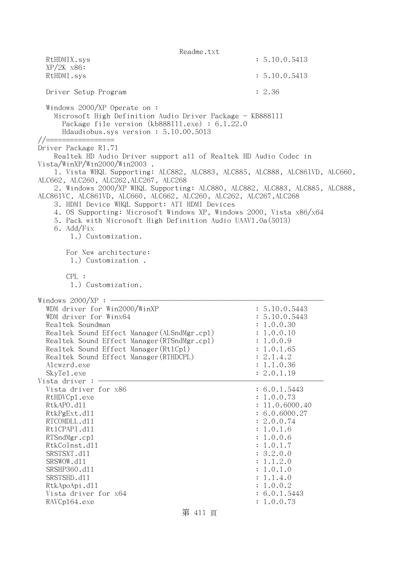Readme.txt RtHDMIX.sys : 5.10.0.5413 XP/2K x86: RtHDMI.sys : 5.10.0.5413 Driver Setup Program : 2.36 Windows 2000/XP Operate on : Microsoft High Definition Audio Driver Package - KB888111 Package file version (kb888111.exe) : 6.1.22.0 Hdaudiobus.sys version : 5.10.00.5013 //================= Driver Package R1.71 Realtek HD Audio Driver support all of Realtek HD Audio Codec in Vista/WinXP/Win2000/Win2003 . 1. Vista WHQL Supporting: ALC882, ALC883, ALC885, ALC888, ALC861VD, ALC660, ALC662, ALC260, ALC262,ALC267, ALC268 2. Windows 2000/XP WHQL Supporting: ALC880, ALC882, ALC883, ALC885, ALC888, ALC861VC, ALC861VD, ALC660, ALC662, ALC260, ALC262, ALC267,ALC268 3. HDMI Device WHQL Support: ATI HDMI Devices 4. OS Supporting: Microsoft Windows XP, Windows 2000, Vista x86/x64 5. Pack with Microsoft High Definition Audio UAAV1.0a(5013) 6. Add/Fix 1.) Customization. For New architecture: 1.) Customization . CPL : 1.) Customization. Windows  $2000/XP : -$ WDM driver for Win2000/WinXP : 5.10.0.5443 WDM driver for Winx64 : 5.10.0.5443 Realtek Soundman  $\ddot{\textbf{i}}$  1.0.0.30 Realtek Sound Effect Manager (ALSndMgr.cpl) : 1.0.0.10 Realtek Sound Effect Manager(RTSndMgr.cpl) : 1.0.0.9 Realtek Sound Effect Manager (Rt1Cp1) : 1.0.1.65 Realtek Sound Effect Manager (RTHDCPL) : 2.1.4.2 Alcwzrd.exe : 1.1.0.36 SkyTel.exe : 2.0.1.19 Vista driver :  $-$ Vista driver for  $x86$  : 6.0.1.5443 RtHDVCp1.exe : 1.0.0.73 RtkAPO.d11 : 11.0.6000.40 RtkPgExt.dll : 6.0.6000.27 RTCOMDLL.d11 : 2.0.0.74 Rt1CPAPI.d11 : 1.0.1.6 RTSndMgr.cp1 : 1.0.0.6 RtkCoInst.dll : 1.0.1.7 SRSTSXT.d11 : 3.2.0.0 SRSWOW.d11 : 1.1.2.0 SRSHP360.dll : 1.0.1.0 SRSTSHD.d11 : 1.1.4.0 RtkApoApi.dll : 1.0.0.2 Vista driver for  $x64$  : 6.0.1.5443 RAVCp164.exe : 1.0.0.73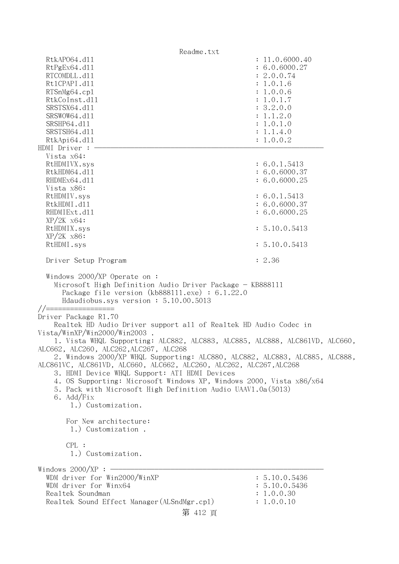Readme.txt RtkAPO64.d11 : 11.0.6000.40 RtPgEx64.dll : 6.0.6000.27 RTCOMDLL.d11 : 2.0.0.74 Rt1CPAPI.d11 : 1.0.1.6 RTSnMg64.cp1 : 1.0.0.6 RtkCoInst.dl1 : 1.0.1.7 SRSTSX64.dl1 : 3.2.0.0 SRSWOW64.d11 : 1.1.2.0 SRSHP64.d11 : 1.0.1.0 SRSTSH64.d11 : 1.1.4.0 RtkApi64.d11 : 1.0.0.2 HDMI Driver : - Vista x64: RtHDMIVX.sys : 6.0.1.5413 RtkHDM64.d11 : 6.0.6000.37 RHDMEx64.d11 : 6.0.6000.25 Vista x86: RtHDMIV.sys : 6.0.1.5413 RtkHDMI.d11 : 6.0.6000.37 RHDMIExt.d11 : 6.0.6000.25 XP/2K x64: RtHDMIX.sys : 5.10.0.5413 XP/2K x86: RtHDMI.sys : 5.10.0.5413 Driver Setup Program : 2.36 Windows 2000/XP Operate on : Microsoft High Definition Audio Driver Package - KB888111 Package file version (kb888111.exe) : 6.1.22.0 Hdaudiobus.sys version : 5.10.00.5013 //================= Driver Package R1.70 Realtek HD Audio Driver support all of Realtek HD Audio Codec in Vista/WinXP/Win2000/Win2003 . 1. Vista WHQL Supporting: ALC882, ALC883, ALC885, ALC888, ALC861VD, ALC660, ALC662, ALC260, ALC262,ALC267, ALC268 2. Windows 2000/XP WHQL Supporting: ALC880, ALC882, ALC883, ALC885, ALC888, ALC861VC, ALC861VD, ALC660, ALC662, ALC260, ALC262, ALC267,ALC268 3. HDMI Device WHQL Support: ATI HDMI Devices 4. OS Supporting: Microsoft Windows XP, Windows 2000, Vista x86/x64 5. Pack with Microsoft High Definition Audio UAAV1.0a(5013) 6. Add/Fix 1.) Customization. For New architecture: 1.) Customization . CPL : 1.) Customization. Windows  $2000/XP:$  -WDM driver for Win2000/WinXP : 5.10.0.5436 WDM driver for Winx64 : 5.10.0.5436 Realtek Soundman  $\ddot{1}$ .0.0.30  $\ddot{1}$ Realtek Sound Effect Manager (ALSndMgr.cpl) : 1.0.0.10 第 412 頁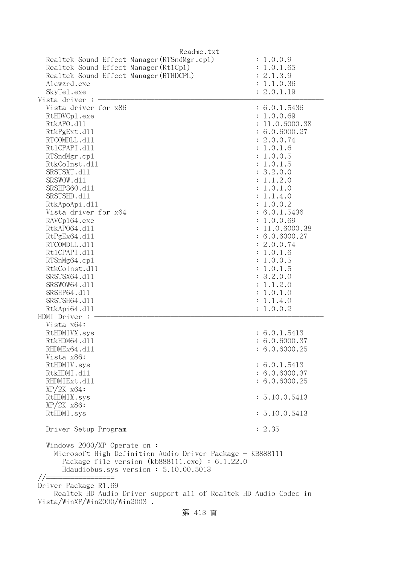| Readme.txt                                                                                                                                            |                |
|-------------------------------------------------------------------------------------------------------------------------------------------------------|----------------|
| Realtek Sound Effect Manager (RTSndMgr.cp1)                                                                                                           | : 1.0.0.9      |
| Realtek Sound Effect Manager (Rt1Cp1)                                                                                                                 | : 1.0.1.65     |
| Realtek Sound Effect Manager (RTHDCPL)                                                                                                                | : 2.1.3.9      |
| Alcwzrd.exe                                                                                                                                           | : 1.1.0.36     |
| SkyTe1.exe                                                                                                                                            | : 2.0.1.19     |
| Vista driver                                                                                                                                          |                |
|                                                                                                                                                       |                |
| Vista driver for x86                                                                                                                                  | : 6.0.1.5436   |
| RtHDVCp1.exe                                                                                                                                          | : 1.0.0.69     |
| RtkAPO.d11                                                                                                                                            | : 11.0.6000.38 |
| RtkPgExt.d11                                                                                                                                          | : 6.0.6000.27  |
| RTCOMDLL.d11                                                                                                                                          | : 2.0.0.74     |
| Rt1CPAPI.d11                                                                                                                                          | : 1.0.1.6      |
| RTSndMgr.cp1                                                                                                                                          | : 1.0.0.5      |
| RtkCoInst.d11                                                                                                                                         | : 1.0.1.5      |
| SRSTSXT.d11                                                                                                                                           | : 3.2.0.0      |
| SRSWOW.d11                                                                                                                                            | : 1.1.2.0      |
| SRSHP360.d11                                                                                                                                          | : 1.0.1.0      |
| SRSTSHD.d11                                                                                                                                           | : 1.1.4.0      |
|                                                                                                                                                       | : 1.0.0.2      |
| RtkApoApi.d11                                                                                                                                         |                |
| Vista driver for x64                                                                                                                                  | : 6.0.1.5436   |
| RAVCp164.exe                                                                                                                                          | : 1.0.0.69     |
| RtkAP064.d11                                                                                                                                          | : 11.0.6000.38 |
| RtPgEx64.d11                                                                                                                                          | : 6.0.6000.27  |
| RTCOMDLL.d11                                                                                                                                          | : 2.0.0.74     |
| Rt1CPAPI.d11                                                                                                                                          | : 1.0.1.6      |
| RTSnMg64.cp1                                                                                                                                          | : 1.0.0.5      |
| RtkCoInst.d11                                                                                                                                         | : 1.0.1.5      |
| SRSTSX64.d11                                                                                                                                          | : 3.2.0.0      |
| SRSWOW64.d11                                                                                                                                          | : 1.1.2.0      |
| SRSHP64.d11                                                                                                                                           | : 1.0.1.0      |
| SRSTSH64.d11                                                                                                                                          | : 1.1.4.0      |
|                                                                                                                                                       |                |
| RtkApi64.dl1                                                                                                                                          | : 1.0.0.2      |
| HDMI Driver :                                                                                                                                         |                |
| Vista x64:                                                                                                                                            |                |
| RtHDMIVX.sys                                                                                                                                          | : 6.0.1.5413   |
| RtkHDM64.d11                                                                                                                                          | : 6.0.6000.37  |
| RHDMEx64.d11                                                                                                                                          | : 6.0.6000.25  |
| Vista x86:                                                                                                                                            |                |
| RtHDMIV.sys                                                                                                                                           | : 6.0.1.5413   |
| RtkHDMI.d11                                                                                                                                           | : 6.0.6000.37  |
| RHDMIExt.d11                                                                                                                                          | : 6.0.6000.25  |
| $XP/ZK$ $x64$ :                                                                                                                                       |                |
| RtHDMIX.sys                                                                                                                                           | : 5.10.0.5413  |
| $XP/2K$ $x86$ :                                                                                                                                       |                |
| RtHDMI.sys                                                                                                                                            | : 5.10.0.5413  |
|                                                                                                                                                       |                |
| Driver Setup Program                                                                                                                                  | : 2.35         |
|                                                                                                                                                       |                |
| Windows $2000/XP$ Operate on:<br>Microsoft High Definition Audio Driver Package - KB888111<br>Package file version $(kb888111.\text{exe}) : 6.1.22.0$ |                |
| Hdaudiobus.sys version: 5.10.00.5013                                                                                                                  |                |
|                                                                                                                                                       |                |
| Driver Package R1.69                                                                                                                                  |                |
| Realtek HD Audio Driver support all of Realtek HD Audio Codec in                                                                                      |                |
| Vista/WinXP/Win2000/Win2003.                                                                                                                          |                |
| 笠 419 〒                                                                                                                                               |                |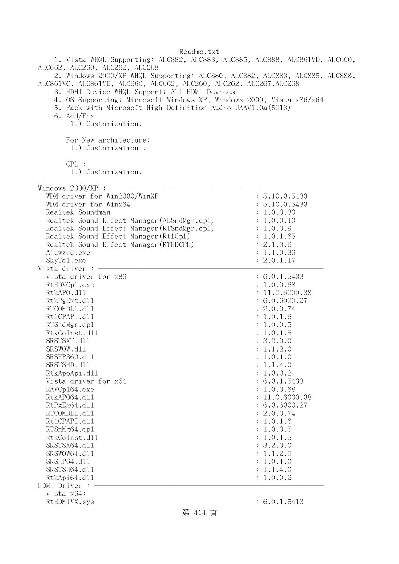1. Vista WHQL Supporting: ALC882, ALC883, ALC885, ALC888, ALC861VD, ALC660, ALC662, ALC260, ALC262, ALC268 2. Windows 2000/XP WHQL Supporting: ALC880, ALC882, ALC883, ALC885, ALC888, ALC861VC, ALC861VD, ALC660, ALC662, ALC260, ALC262, ALC267,ALC268

3. HDMI Device WHQL Support: ATI HDMI Devices

4. OS Supporting: Microsoft Windows XP, Windows 2000, Vista x86/x64

5. Pack with Microsoft High Definition Audio UAAV1.0a(5013)

6. Add/Fix

1.) Customization.

For New architecture:

1.) Customization .

CPL :

1.) Customization.

| $W$ indowe 2000/VP |
|--------------------|

| Windows $2000/XP:$ -                                                                                                                                                                                                                                                                                      |                                                                                                                              |
|-----------------------------------------------------------------------------------------------------------------------------------------------------------------------------------------------------------------------------------------------------------------------------------------------------------|------------------------------------------------------------------------------------------------------------------------------|
| WDM driver for Win2000/WinXP<br>WDM driver for Winx64<br>Realtek Soundman<br>Realtek Sound Effect Manager (ALSndMgr.cp1)<br>Realtek Sound Effect Manager (RTSndMgr.cp1)<br>Realtek Sound Effect Manager (Rt1Cp1)<br>Realtek Sound Effect Manager (RTHDCPL)<br>Alcwzrd.exe<br>SkyTe1.exe<br>Vista driver : | : 5.10.0.5433<br>: 5.10.0.5433<br>: 1.0.0.30<br>: 1.0.0.10<br>: 1.0.0.9<br>1.0.1.65<br>: 2.1.3.6<br>: 1.1.0.36<br>: 2.0.1.17 |
| Vista driver for x86                                                                                                                                                                                                                                                                                      | : 6.0.1.5433                                                                                                                 |
| RtHDVCp1.exe                                                                                                                                                                                                                                                                                              | : 1.0.0.68                                                                                                                   |
| RtkAPO.d11                                                                                                                                                                                                                                                                                                | : 11.0.6000.38                                                                                                               |
| RtkPgExt.d11                                                                                                                                                                                                                                                                                              | : 6.0.6000.27                                                                                                                |
| RTCOMDLL.d11                                                                                                                                                                                                                                                                                              | : 2.0.0.74                                                                                                                   |
| Rt1CPAPI.d11                                                                                                                                                                                                                                                                                              | : 1.0.1.6                                                                                                                    |
| RTSndMgr.cp1                                                                                                                                                                                                                                                                                              | : 1.0.0.5                                                                                                                    |
| RtkCoInst.d11                                                                                                                                                                                                                                                                                             | : 1.0.1.5                                                                                                                    |
| SRSTSXT.d11                                                                                                                                                                                                                                                                                               | : 3.2.0.0                                                                                                                    |
| SRSWOW.d11                                                                                                                                                                                                                                                                                                | 1.1.2.0<br>$\ddot{\cdot}$                                                                                                    |
| SRSHP360.d11                                                                                                                                                                                                                                                                                              | 1.0.1.0<br>$\ddot{\cdot}$                                                                                                    |
| SRSTSHD.d11                                                                                                                                                                                                                                                                                               | : 1.1.4.0                                                                                                                    |
| RtkApoApi.d11                                                                                                                                                                                                                                                                                             | : 1.0.0.2                                                                                                                    |
| Vista driver for x64                                                                                                                                                                                                                                                                                      | : 6.0.1.5433                                                                                                                 |
| RAVCp164.exe                                                                                                                                                                                                                                                                                              | : 1.0.0.68                                                                                                                   |
| RtkAP064.d11                                                                                                                                                                                                                                                                                              | : 11.0.6000.38                                                                                                               |
| RtPgEx64.d11                                                                                                                                                                                                                                                                                              | : 6.0.6000.27                                                                                                                |
| RTCOMDLL.d11                                                                                                                                                                                                                                                                                              | : 2.0.0.74                                                                                                                   |
| Rt1CPAPI.d11                                                                                                                                                                                                                                                                                              | : 1.0.1.6                                                                                                                    |
| RTSnMg64.cp1                                                                                                                                                                                                                                                                                              | : 1.0.0.5                                                                                                                    |
| RtkCoInst.d11                                                                                                                                                                                                                                                                                             | : 1.0.1.5                                                                                                                    |
| SRSTSX64.d11                                                                                                                                                                                                                                                                                              | : 3.2.0.0                                                                                                                    |
| SRSWOW64.d11                                                                                                                                                                                                                                                                                              | : 1.1.2.0                                                                                                                    |
| SRSHP64.d11                                                                                                                                                                                                                                                                                               | : 1.0.1.0                                                                                                                    |
| SRSTSH64.d11                                                                                                                                                                                                                                                                                              | : 1.1.4.0                                                                                                                    |
| RtkApi64.dll                                                                                                                                                                                                                                                                                              | : 1.0.0.2                                                                                                                    |
| HDMI Driver :                                                                                                                                                                                                                                                                                             |                                                                                                                              |
| Vista x64:                                                                                                                                                                                                                                                                                                |                                                                                                                              |
| RtHDMIVX.sys                                                                                                                                                                                                                                                                                              | : 6.0.1.5413                                                                                                                 |

第 414 頁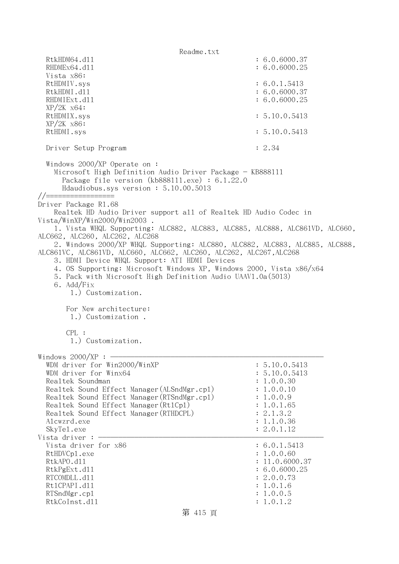Readme.txt RtkHDM64.d11 : 6.0.6000.37 RHDMEx64.d11 : 6.0.6000.25 Vista x86: RtHDMIV.sys : 6.0.1.5413 RtkHDMI.d11 : 6.0.6000.37 RHDMIExt.d11 : 6.0.6000.25 XP/2K x64: RtHDMIX.sys : 5.10.0.5413 XP/2K x86: RtHDMI.sys : 5.10.0.5413 Driver Setup Program : 2.34 Windows 2000/XP Operate on : Microsoft High Definition Audio Driver Package - KB888111 Package file version (kb888111.exe) : 6.1.22.0 Hdaudiobus.sys version : 5.10.00.5013 //================= Driver Package R1.68 Realtek HD Audio Driver support all of Realtek HD Audio Codec in Vista/WinXP/Win2000/Win2003 . 1. Vista WHQL Supporting: ALC882, ALC883, ALC885, ALC888, ALC861VD, ALC660, ALC662, ALC260, ALC262, ALC268 2. Windows 2000/XP WHQL Supporting: ALC880, ALC882, ALC883, ALC885, ALC888, ALC861VC, ALC861VD, ALC660, ALC662, ALC260, ALC262, ALC267,ALC268 3. HDMI Device WHQL Support: ATI HDMI Devices 4. OS Supporting: Microsoft Windows XP, Windows 2000, Vista x86/x64 5. Pack with Microsoft High Definition Audio UAAV1.0a(5013) 6. Add/Fix 1.) Customization. For New architecture: 1.) Customization . CPL : 1.) Customization. Windows  $2000/XP : -$ WDM driver for Win2000/WinXP : 5.10.0.5413 WDM driver for Winx64 : 5.10.0.5413 Realtek Soundman : 1.0.0.30 Realtek Sound Effect Manager (ALSndMgr.cpl) : 1.0.0.10 Realtek Sound Effect Manager (RTSndMgr.cp1) : 1.0.0.9 Realtek Sound Effect Manager (Rt1Cp1) : 1.0.1.65 Realtek Sound Effect Manager (RTHDCPL) : 2.1.3.2 Alcwzrd.exe : 1.1.0.36 SkyTel.exe : 2.0.1.12 Vista driver :  $-$ Vista driver for  $x86$  : 6.0.1.5413 RtHDVCp1.exe : 1.0.0.60 RtkAPO.d11 : 11.0.6000.37 RtkPgExt.d11 : 6.0.6000.25 RTCOMDLL.d11 : 2.0.0.73 RtlCPAPI.dll : 1.0.1.6 RTSndMgr.cp1 : 1.0.0.5 RtkCoInst.d11 : 1.0.1.2

#### 第 415 頁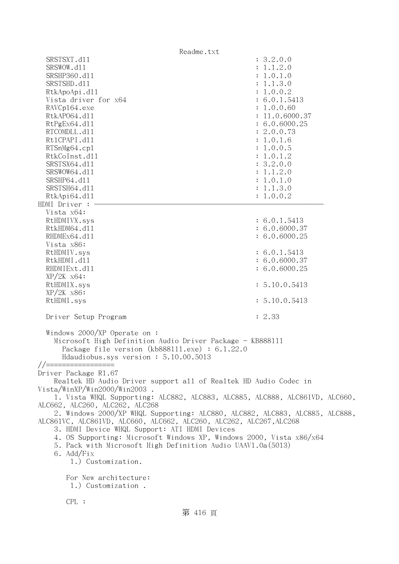| Readme.txt                                                                                                           |                |
|----------------------------------------------------------------------------------------------------------------------|----------------|
| SRSTSXT.d11                                                                                                          | : 3.2.0.0      |
| SRSWOW.d11                                                                                                           | : 1.1.2.0      |
| SRSHP360.d11                                                                                                         | : 1.0.1.0      |
| SRSTSHD.d11                                                                                                          | : 1.1.3.0      |
| RtkApoApi.d11                                                                                                        | : 1.0.0.2      |
| Vista driver for x64                                                                                                 | : 6.0.1.5413   |
| RAVCp164.exe                                                                                                         | : 1.0.0.60     |
| RtkAP064.d11                                                                                                         | : 11.0.6000.37 |
| RtPgEx64.d11                                                                                                         | : 6.0.6000.25  |
| RTCOMDLL.d11                                                                                                         | : 2.0.0.73     |
| Rt1CPAPI.d11                                                                                                         | : 1.0.1.6      |
| RTSnMg64.cp1                                                                                                         | : 1.0.0.5      |
| RtkCoInst.d11                                                                                                        | : 1.0.1.2      |
| SRSTSX64.d11                                                                                                         | : 3.2.0.0      |
| SRSWOW64.d11                                                                                                         | : 1.1.2.0      |
| SRSHP64.d11                                                                                                          | : 1.0.1.0      |
| SRSTSH64.d11                                                                                                         | : 1.1.3.0      |
| RtkApi64.d11<br>HDMI Driver :                                                                                        | : 1.0.0.2      |
| Vista x64:                                                                                                           |                |
| RtHDMIVX.sys                                                                                                         | : 6.0.1.5413   |
| RtkHDM64.d11                                                                                                         | : 6.0.6000.37  |
| RHDMEx64.d11                                                                                                         | : 6.0.6000.25  |
| Vista x86:                                                                                                           |                |
| RtHDMIV.sys                                                                                                          | : 6.0.1.5413   |
| RtkHDMI.d11                                                                                                          | : 6.0.6000.37  |
| RHDMIExt.d11                                                                                                         | : 6.0.6000.25  |
| $XP/ZK$ $x64$ :                                                                                                      |                |
| RtHDMIX.sys                                                                                                          | : 5.10.0.5413  |
| $XP/2K$ $x86$ :                                                                                                      |                |
| RtHDMI.sys                                                                                                           | : 5.10.0.5413  |
| Driver Setup Program                                                                                                 | : 2.33         |
| Windows $2000/XP$ Operate on:                                                                                        |                |
| Microsoft High Definition Audio Driver Package - KB888111                                                            |                |
| Package file version (kb888111.exe) : 6.1.22.0                                                                       |                |
| Hdaudiobus.sys version: 5.10.00.5013                                                                                 |                |
| $1/1 =$                                                                                                              |                |
| Driver Package R1.67                                                                                                 |                |
| Realtek HD Audio Driver support all of Realtek HD Audio Codec in                                                     |                |
| Vista/WinXP/Win2000/Win2003.                                                                                         |                |
| 1. Vista WHQL Supporting: ALC882, ALC883, ALC885, ALC888, ALC861VD, ALC660,                                          |                |
| ALC662, ALC260, ALC262, ALC268                                                                                       |                |
| 2. Windows 2000/XP WHQL Supporting: ALC880, ALC882, ALC883, ALC885, ALC888,                                          |                |
| ALC861VC, ALC861VD, ALC660, ALC662, ALC260, ALC262, ALC267, ALC268                                                   |                |
| 3. HDMI Device WHQL Support: ATI HDMI Devices<br>4. OS Supporting: Microsoft Windows XP, Windows 2000, Vista x86/x64 |                |
| 5. Pack with Microsoft High Definition Audio UAAV1.0a(5013)                                                          |                |
| 6. Add/Fix                                                                                                           |                |
| 1.) Customization.                                                                                                   |                |
|                                                                                                                      |                |
| For New architecture:                                                                                                |                |
| 1.) Customization.                                                                                                   |                |
| CPL:                                                                                                                 |                |
| 第 416 頁                                                                                                              |                |
|                                                                                                                      |                |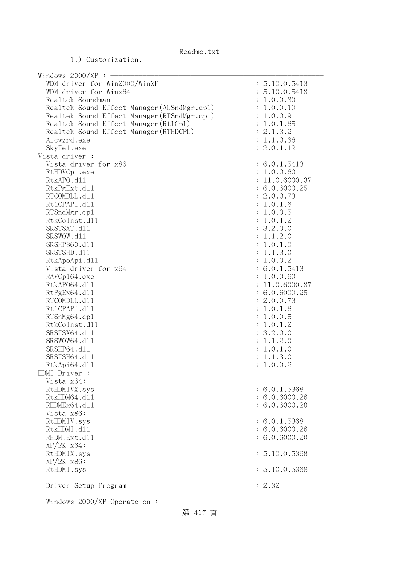| Windows $2000/XP$ :<br>WDM driver for Win2000/WinXP<br>WDM driver for Winx64<br>Realtek Soundman<br>Realtek Sound Effect Manager (ALSndMgr.cp1)<br>Realtek Sound Effect Manager (RTSndMgr.cp1)<br>Realtek Sound Effect Manager (Rt1Cp1)<br>Realtek Sound Effect Manager (RTHDCPL)<br>Alcwzrd.exe<br>SkyTe1.exe<br>Vista driver :                                                                                                                          | : 5.10.0.5413<br>: 5.10.0.5413<br>: 1.0.0.30<br>: 1.0.0.10<br>: 1.0.0.9<br>: 1.0.1.65<br>: 2.1.3.2<br>: 1.1.0.36<br>: 2.0.1.12                                                                                                                                                                                                                                           |
|-----------------------------------------------------------------------------------------------------------------------------------------------------------------------------------------------------------------------------------------------------------------------------------------------------------------------------------------------------------------------------------------------------------------------------------------------------------|--------------------------------------------------------------------------------------------------------------------------------------------------------------------------------------------------------------------------------------------------------------------------------------------------------------------------------------------------------------------------|
| Vista driver for x86<br>RtHDVCp1.exe<br>RtkAPO.d11<br>RtkPgExt.d11<br>RTCOMDLL.d11<br>Rt1CPAPI.d11<br>RTSndMgr.cp1<br>RtkCoInst.d11<br>SRSTSXT.d11<br>SRSWOW.d11<br>SRSHP360.d11<br>SRSTSHD.d11<br>RtkApoApi.d11<br>Vista driver for x64<br>RAVCp164.exe<br>RtkAP064.d11<br>RtPgEx64.d11<br>RTCOMDLL.d11<br>Rt1CPAPI.d11<br>RTSnMg64.cp1<br>RtkCoInst.d11<br>SRSTSX64.d11<br>SRSWOW64.d11<br>SRSHP64.d11<br>SRSTSH64.d11<br>RtkApi64.d11<br>HDMI Driver : | : 6.0.1.5413<br>: 1.0.0.60<br>: 11.0.6000.37<br>: 6.0.6000.25<br>: 2.0.0.73<br>: 1.0.1.6<br>: 1.0.0.5<br>: 1.0.1.2<br>: 3.2.0.0<br>: 1.1.2.0<br>: 1.0.1.0<br>: 1.1.3.0<br>: 1.0.0.2<br>: 6.0.1.5413<br>: 1.0.0.60<br>: 11.0.6000.37<br>: 6.0.6000.25<br>: 2.0.0.73<br>: 1.0.1.6<br>: 1.0.0.5<br>: 1.0.1.2<br>: 3.2.0.0<br>: 1.1.2.0<br>: 1.0.1.0<br>: 1.1.3.0<br>1.0.0.2 |
| Vista x64:<br>RtHDMIVX.sys<br>RtkHDM64.d11<br>RHDMEx64.d11<br>Vista x86:<br>RtHDMIV.sys<br>RtkHDMI.d11<br>RHDMIExt.d11<br>$XP/ZK$ $x64$ :<br>RtHDMIX.sys<br>$XP/2K$ $x86$ :<br>RtHDMI.sys<br>Driver Setup Program                                                                                                                                                                                                                                         | : 6.0.1.5368<br>: 6.0.6000.26<br>: 6.0.6000.20<br>: 6.0.1.5368<br>: 6.0.6000.26<br>: 6.0.6000.20<br>: 5.10.0.5368<br>: 5.10.0.5368<br>: 2.32                                                                                                                                                                                                                             |
| Windows $2000/XP$ Operate on:                                                                                                                                                                                                                                                                                                                                                                                                                             |                                                                                                                                                                                                                                                                                                                                                                          |

1.) Customization.

第 417 頁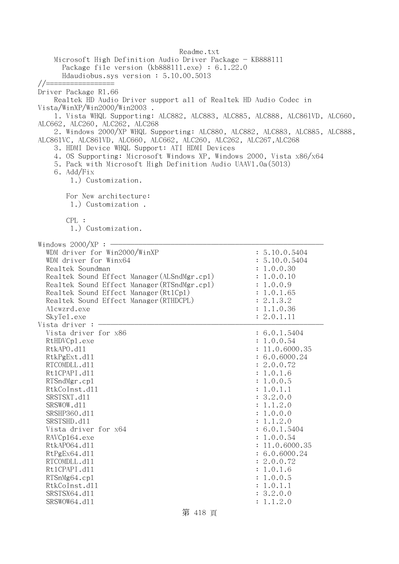Readme.txt Microsoft High Definition Audio Driver Package - KB888111 Package file version (kb888111.exe) : 6.1.22.0 Hdaudiobus.sys version : 5.10.00.5013 //================= Driver Package R1.66 Realtek HD Audio Driver support all of Realtek HD Audio Codec in Vista/WinXP/Win2000/Win2003 . 1. Vista WHQL Supporting: ALC882, ALC883, ALC885, ALC888, ALC861VD, ALC660, ALC662, ALC260, ALC262, ALC268 2. Windows 2000/XP WHQL Supporting: ALC880, ALC882, ALC883, ALC885, ALC888, ALC861VC, ALC861VD, ALC660, ALC662, ALC260, ALC262, ALC267,ALC268 3. HDMI Device WHQL Support: ATI HDMI Devices 4. OS Supporting: Microsoft Windows XP, Windows 2000, Vista x86/x64 5. Pack with Microsoft High Definition Audio UAAV1.0a(5013) 6. Add/Fix 1.) Customization. For New architecture: 1.) Customization . CPL : 1.) Customization. Windows  $2000/XP$  :  $-$ WDM driver for Win2000/WinXP : 5.10.0.5404 WDM driver for Winx64 : 5.10.0.5404 Realtek Soundman : 1.0.0.30 Realtek Sound Effect Manager (ALSndMgr.cpl) : 1.0.0.10 Realtek Sound Effect Manager (RTSndMgr.cpl) : 1.0.0.9 Realtek Sound Effect Manager(Rt1Cp1) : 1.0.1.65 Realtek Sound Effect Manager(RTHDCPL) : 2.1.3.2 Alcwzrd.exe : 1.1.0.36 SkyTel.exe : 2.0.1.11 Vista driver  $: -$ Vista driver for  $x86$  : 6.0.1.5404 RtHDVCp1.exe : 1.0.0.54 RtkAPO.d11 : 11.0.6000.35 RtkPgExt.dll : 6.0.6000.24 RTCOMDLL.d11 : 2.0.0.72 Rt1CPAPI.d11 : 1.0.1.6 RTSndMgr.cp1 : 1.0.0.5 RtkCoInst.d11 : 1.0.1.1 SRSTSXT.dll : 3.2.0.0 SRSWOW.d11 : 1.1.2.0 SRSHP360.d11 : 1.0.0.0 SRSTSHD.d11 : 1.1.2.0 Vista driver for x64 : 6.0.1.5404 RAVCp164.exe : 1.0.0.54 RtkAP064.d11 : 11.0.6000.35 RtPgEx64.dl1 : 6.0.6000.24 RTCOMDLL.d11 : 2.0.0.72 Rt1CPAPI.d11 : 1.0.1.6 RTSnMg64.cpl : 1.0.0.5 RtkCoInst.dl1 : 1.0.1.1 SRSTSX64.d11 : 3.2.0.0 SRSWOW64.d11 : 1.1.2.0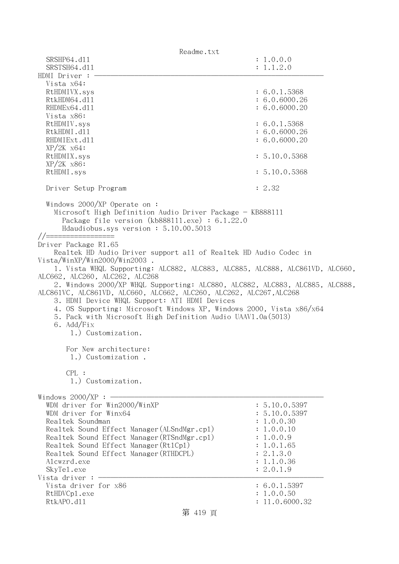| Readme.txt                                                                                                                                                                                                     |                |
|----------------------------------------------------------------------------------------------------------------------------------------------------------------------------------------------------------------|----------------|
| SRSHP64.d11                                                                                                                                                                                                    | : 1.0.0.0      |
| SRSTSH64.d11                                                                                                                                                                                                   | : 1.1.2.0      |
| HDMI Driver :                                                                                                                                                                                                  |                |
| Vista x64:                                                                                                                                                                                                     |                |
| RtHDMIVX.sys                                                                                                                                                                                                   | : 6.0.1.5368   |
| RtkHDM64.d11                                                                                                                                                                                                   | : 6.0.6000.26  |
| RHDMEx64.d11                                                                                                                                                                                                   | : 6.0.6000.20  |
| Vista x86:                                                                                                                                                                                                     |                |
| RtHDMIV.sys                                                                                                                                                                                                    | : 6.0.1.5368   |
| RtkHDMI.d11                                                                                                                                                                                                    | : 6.0.6000.26  |
| RHDMIExt.d11<br>$XP/ZK$ $x64$ :                                                                                                                                                                                | : 6.0.6000.20  |
| RtHDMIX.sys                                                                                                                                                                                                    | : 5.10.0.5368  |
| $XP/2K$ $x86$ :                                                                                                                                                                                                |                |
| RtHDMI.sys                                                                                                                                                                                                     | : 5.10.0.5368  |
|                                                                                                                                                                                                                |                |
| Driver Setup Program                                                                                                                                                                                           | : 2.32         |
| Windows $2000/XP$ Operate on:<br>Microsoft High Definition Audio Driver Package - KB888111<br>Package file version (kb888111.exe) : $6.1.22.0$<br>Hdaudiobus.sys version: 5.10.00.5013<br>//================== |                |
| Driver Package R1.65                                                                                                                                                                                           |                |
| Realtek HD Audio Driver support all of Realtek HD Audio Codec in                                                                                                                                               |                |
| Vista/WinXP/Win2000/Win2003.                                                                                                                                                                                   |                |
| 1. Vista WHQL Supporting: ALC882, ALC883, ALC885, ALC888, ALC861VD, ALC660,                                                                                                                                    |                |
| ALC662, ALC260, ALC262, ALC268                                                                                                                                                                                 |                |
| 2. Windows 2000/XP WHQL Supporting: ALC880, ALC882, ALC883, ALC885, ALC888,                                                                                                                                    |                |
| ALC861VC, ALC861VD, ALC660, ALC662, ALC260, ALC262, ALC267, ALC268                                                                                                                                             |                |
| 3. HDMI Device WHQL Support: ATI HDMI Devices                                                                                                                                                                  |                |
| 4. OS Supporting: Microsoft Windows XP, Windows 2000, Vista x86/x64                                                                                                                                            |                |
| 5. Pack with Microsoft High Definition Audio UAAV1.0a(5013)                                                                                                                                                    |                |
| 6. Add/Fix                                                                                                                                                                                                     |                |
| 1.) Customization.                                                                                                                                                                                             |                |
| For New architecture:                                                                                                                                                                                          |                |
| 1.) Customization.                                                                                                                                                                                             |                |
|                                                                                                                                                                                                                |                |
| CPL:                                                                                                                                                                                                           |                |
| 1.) Customization.                                                                                                                                                                                             |                |
|                                                                                                                                                                                                                |                |
| Windows $2000/XP:$ -                                                                                                                                                                                           |                |
| WDM driver for Win2000/WinXP                                                                                                                                                                                   | : 5.10.0.5397  |
| WDM driver for Winx64                                                                                                                                                                                          | : 5.10.0.5397  |
| Realtek Soundman                                                                                                                                                                                               | : 1.0.0.30     |
| Realtek Sound Effect Manager (ALSndMgr.cp1)                                                                                                                                                                    | : 1.0.0.10     |
| Realtek Sound Effect Manager (RTSndMgr.cp1)                                                                                                                                                                    | : 1.0.0.9      |
| Realtek Sound Effect Manager (Rt1Cp1)                                                                                                                                                                          | : 1.0.1.65     |
| Realtek Sound Effect Manager (RTHDCPL)                                                                                                                                                                         | : 2.1.3.0      |
| Alcwzrd.exe                                                                                                                                                                                                    | : 1.1.0.36     |
| SkyTel.exe                                                                                                                                                                                                     | : 2.0.1.9      |
| Vista driver                                                                                                                                                                                                   |                |
| Vista driver for x86                                                                                                                                                                                           | : 6.0.1.5397   |
| RtHDVCp1.exe<br>RtkAPO.d11                                                                                                                                                                                     | : 1.0.0.50     |
|                                                                                                                                                                                                                | : 11.0.6000.32 |

## 第 419 頁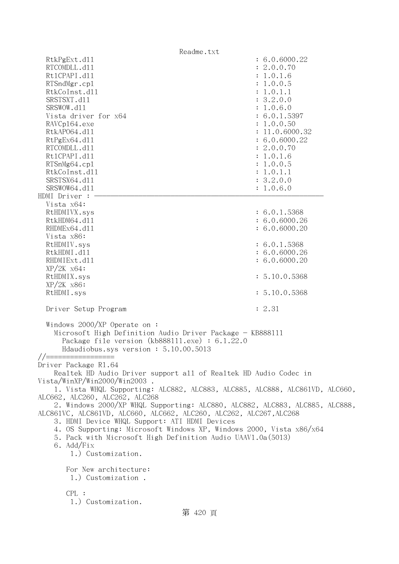Readme.txt RtkPgExt.d11 : 6.0.6000.22 RTCOMDLL.d11 : 2.0.0.70 Rt1CPAPI.d11 : 1.0.1.6 RTSndMgr.cp1 : 1.0.0.5 RtkCoInst.dl1 : 1.0.1.1 SRSTSXT.d11 : 3.2.0.0 SRSWOW.d11 : 1.0.6.0 Vista driver for  $x64$  : 6.0.1.5397 RAVCp164.exe : 1.0.0.50 RtkAP064.d11 : 11.0.6000.32 RtPgEx64.d11 : 6.0.6000.22 RTCOMDLL.d11 : 2.0.0.70 Rt1CPAPI.d11 : 1.0.1.6 RTSnMg64.cpl : 1.0.0.5 RtkCoInst.dl1 : 1.0.1.1 SRSTSX64.d11 : 3.2.0.0 SRSWOW64.d11 : 1.0.6.0 HDMI Driver : - Vista x64: RtHDMIVX.sys : 6.0.1.5368 RtkHDM64.d11 : 6.0.6000.26 RHDMEx64.d11 : 6.0.6000.20 Vista x86: RtHDMIV.sys : 6.0.1.5368 RtkHDMI.d11 : 6.0.6000.26 RHDMIExt.d11 : 6.0.6000.20 XP/2K x64: RtHDMIX.sys : 5.10.0.5368 XP/2K x86: RtHDMI.sys : 5.10.0.5368 Driver Setup Program : 2.31 Windows 2000/XP Operate on : Microsoft High Definition Audio Driver Package - KB888111 Package file version (kb888111.exe) : 6.1.22.0 Hdaudiobus.sys version : 5.10.00.5013  $// ==$ Driver Package R1.64 Realtek HD Audio Driver support all of Realtek HD Audio Codec in Vista/WinXP/Win2000/Win2003 . 1. Vista WHQL Supporting: ALC882, ALC883, ALC885, ALC888, ALC861VD, ALC660, ALC662, ALC260, ALC262, ALC268 2. Windows 2000/XP WHQL Supporting: ALC880, ALC882, ALC883, ALC885, ALC888, ALC861VC, ALC861VD, ALC660, ALC662, ALC260, ALC262, ALC267,ALC268 3. HDMI Device WHQL Support: ATI HDMI Devices 4. OS Supporting: Microsoft Windows XP, Windows 2000, Vista x86/x64 5. Pack with Microsoft High Definition Audio UAAV1.0a(5013) 6. Add/Fix 1.) Customization. For New architecture: 1.) Customization . CPL : 1.) Customization. 第 420 頁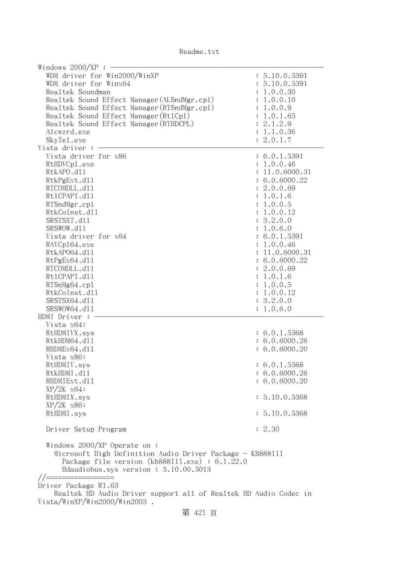| Readme.txt |  |
|------------|--|
|------------|--|

| Windows $2000/XP$ :<br>WDM driver for Win2000/WinXP              | : 5.10.0.5391           |
|------------------------------------------------------------------|-------------------------|
| WDM driver for Winx64                                            | : 5.10.0.5391           |
| Realtek Soundman                                                 | : 1.0.0.30              |
| Realtek Sound Effect Manager (ALSndMgr.cp1)                      | : 1.0.0.10              |
| Realtek Sound Effect Manager (RTSndMgr.cp1)                      | : 1.0.0.9               |
| Realtek Sound Effect Manager (Rt1Cp1)                            | 1.0.1.65                |
| Realtek Sound Effect Manager (RTHDCPL)                           | : 2.1.2.9               |
| Alcwzrd.exe                                                      | : 1.1.0.36              |
| SkyTe1.exe<br>Vista driver :                                     | : 2.0.1.7               |
| Vista driver for x86                                             |                         |
|                                                                  | : 6.0.1.5391            |
| RtHDVCp1.exe                                                     | : 1.0.0.46              |
| RtkAPO.d11                                                       | : 11.0.6000.31          |
| RtkPgExt.d11                                                     | : 6.0.6000.22           |
| RTCOMDLL.d11                                                     | : 2.0.0.69              |
| Rt1CPAPI.d11                                                     | : 1.0.1.6               |
| RTSndMgr.cp1                                                     | : 1.0.0.5               |
| RtkCoInst.d11                                                    | : 1.0.0.12              |
| SRSTSXT.d11                                                      | : 3.2.0.0               |
| SRSWOW.d11<br>Vista driver for x64                               | : 1.0.6.0               |
|                                                                  | : 6.0.1.5391            |
| RAVCp164.exe<br>RtkAP064.d11                                     | : 1.0.0.46              |
|                                                                  | : 11.0.6000.31          |
| RtPgEx64.d11                                                     | : 6.0.6000.22           |
| RTCOMDLL.d11                                                     | : 2.0.0.69              |
| Rt1CPAPI.d11                                                     | : 1.0.1.6               |
| RTSnMg64.cp1                                                     | : 1.0.0.5               |
| RtkCoInst.d11<br>SRSTSX64.d11                                    | : 1.0.0.12<br>: 3.2.0.0 |
| SRSWOW64.d11                                                     |                         |
| HDMI Driver :                                                    | : 1.0.6.0               |
| Vista x64:                                                       |                         |
| RtHDMIVX.sys                                                     | : 6.0.1.5368            |
| RtkHDM64.d11                                                     | : 6.0.6000.26           |
| RHDMEx64.d11                                                     | : 6.0.6000.20           |
| Vista x86:                                                       |                         |
| RtHDMIV.sys                                                      | : 6.0.1.5368            |
| RtkHDMI.d11                                                      | : 6.0.6000.26           |
| RHDMIExt.d11                                                     | : 6.0.6000.20           |
| $XP/ZK$ $x64$ :                                                  |                         |
| RtHDMIX.sys                                                      | : 5.10.0.5368           |
| $XP/2K$ $x86$ :                                                  |                         |
| RtHDMI.sys                                                       | : 5.10.0.5368           |
|                                                                  |                         |
| Driver Setup Program                                             | : 2.30                  |
| Windows 2000/XP Operate on:                                      |                         |
| Microsoft High Definition Audio Driver Package - KB888111        |                         |
| Package file version $(kb888111.\text{exe}) : 6.1.22.0$          |                         |
| Hdaudiobus.sys version: 5.10.00.5013                             |                         |
| //=====                                                          |                         |
| Driver Package R1.63                                             |                         |
| Realtek HD Audio Driver support all of Realtek HD Audio Codec in |                         |
| Vista/WinXP/Win2000/Win2003.                                     |                         |
| 竺<br>101                                                         |                         |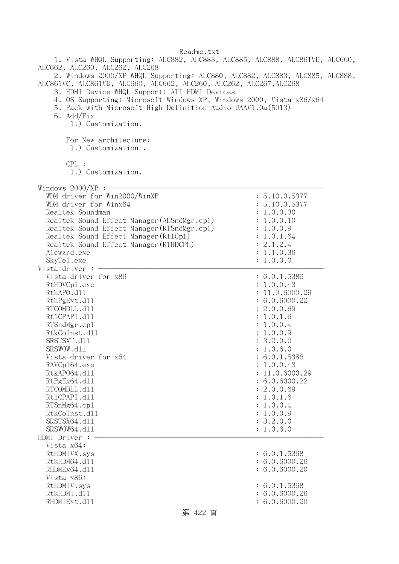1. Vista WHQL Supporting: ALC882, ALC883, ALC885, ALC888, ALC861VD, ALC660, ALC662, ALC260, ALC262, ALC268 2. Windows 2000/XP WHQL Supporting: ALC880, ALC882, ALC883, ALC885, ALC888,

ALC861VC, ALC861VD, ALC660, ALC662, ALC260, ALC262, ALC267,ALC268

3. HDMI Device WHQL Support: ATI HDMI Devices

4. OS Supporting: Microsoft Windows XP, Windows 2000, Vista x86/x64

5. Pack with Microsoft High Definition Audio UAAV1.0a(5013)

6. Add/Fix

1.) Customization.

For New architecture:

1.) Customization .

CPL :

1.) Customization.

| $W_{i}$ adows 2000/VD |  |
|-----------------------|--|

| Windows $2000/XP:$ -                        |                |
|---------------------------------------------|----------------|
| WDM driver for Win2000/WinXP                | : 5.10.0.5377  |
| WDM driver for Winx64                       | : 5.10.0.5377  |
| Realtek Soundman                            | : 1.0.0.30     |
| Realtek Sound Effect Manager (ALSndMgr.cp1) | : 1.0.0.10     |
| Realtek Sound Effect Manager (RTSndMgr.cp1) | : 1.0.0.9      |
| Realtek Sound Effect Manager (Rt1Cp1)       | : 1.0.1.64     |
| Realtek Sound Effect Manager (RTHDCPL)      | : 2.1.2.4      |
| Alcwzrd.exe                                 | : 1.1.0.36     |
| SkyTe1.exe                                  | : 1.0.0.0      |
| Vista driver : -                            |                |
| Vista driver for x86                        | : 6.0.1.5386   |
| RtHDVCp1.exe                                | : 1.0.0.43     |
| RtkAPO.d11                                  | : 11.0.6000.29 |
| RtkPgExt.d11                                | : 6.0.6000.22  |
| RTCOMDLL.d11                                | : 2.0.0.69     |
| Rt1CPAPI.d11                                | : 1.0.1.6      |
| RTSndMgr.cp1                                | : 1.0.0.4      |
| RtkCoInst.d11                               | : 1.0.0.9      |
| SRSTSXT.d11                                 | : 3.2.0.0      |
| SRSWOW.d11                                  | : 1.0.6.0      |
| Vista driver for x64                        | : 6.0.1.5386   |
| RAVCp164.exe                                | : 1.0.0.43     |
| RtkAP064.d11                                | : 11.0.6000.29 |
| RtPgEx64.d11                                | : 6.0.6000.22  |
| RTCOMDLL.d11                                | : 2.0.0.69     |
| Rt1CPAPI.d11                                | : 1.0.1.6      |
| RTSnMg64.cp1                                | : 1.0.0.4      |
| RtkCoInst.d11                               | : 1.0.0.9      |
| SRSTSX64.d11                                | : 3.2.0.0      |
| SRSWOW64.d11                                | : 1.0.6.0      |
| HDMI Driver :                               |                |
| Vista x64:                                  |                |
| RtHDMIVX.sys                                | : 6.0.1.5368   |
| RtkHDM64.d11                                | : 6.0.6000.26  |
| RHDMEx64.d11                                | : 6.0.6000.20  |
| Vista x86:                                  |                |
| RtHDMIV.sys                                 | : 6.0.1.5368   |
| RtkHDMI.d11                                 | : 6.0.6000.26  |
| RHDMIExt.d11                                | : 6.0.6000.20  |

## 第 422 頁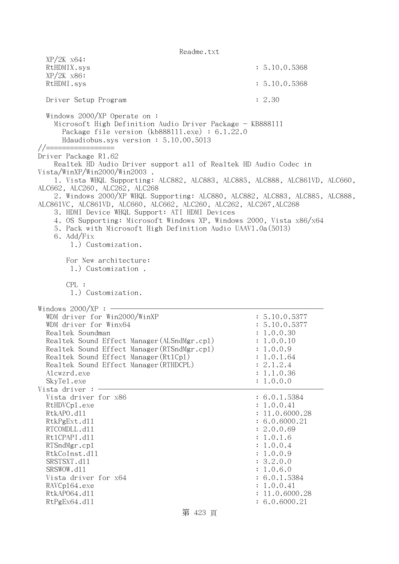Readme.txt XP/2K x64: RtHDMIX.sys : 5.10.0.5368 XP/2K x86: RtHDMI.sys : 5.10.0.5368 Driver Setup Program : 2.30 Windows 2000/XP Operate on : Microsoft High Definition Audio Driver Package - KB888111 Package file version (kb888111.exe) : 6.1.22.0 Hdaudiobus.sys version : 5.10.00.5013 //================= Driver Package R1.62 Realtek HD Audio Driver support all of Realtek HD Audio Codec in Vista/WinXP/Win2000/Win2003 . 1. Vista WHQL Supporting: ALC882, ALC883, ALC885, ALC888, ALC861VD, ALC660, ALC662, ALC260, ALC262, ALC268 2. Windows 2000/XP WHQL Supporting: ALC880, ALC882, ALC883, ALC885, ALC888, ALC861VC, ALC861VD, ALC660, ALC662, ALC260, ALC262, ALC267,ALC268 3. HDMI Device WHQL Support: ATI HDMI Devices 4. OS Supporting: Microsoft Windows XP, Windows 2000, Vista x86/x64 5. Pack with Microsoft High Definition Audio UAAV1.0a(5013) 6. Add/Fix 1.) Customization. For New architecture: 1.) Customization . CPL: 1.) Customization. Windows  $2000/XP:$ WDM driver for Win2000/WinXP : 5.10.0.5377 WDM driver for Winx64 : 5.10.0.5377 Realtek Soundman : 1.0.0.30 Realtek Sound Effect Manager (ALSndMgr.cpl) : 1.0.0.10 Realtek Sound Effect Manager(RTSndMgr.cpl) : 1.0.0.9 Realtek Sound Effect Manager (Rt1Cp1) : 1.0.1.64 Realtek Sound Effect Manager (RTHDCPL) : 2.1.2.4 Alcwzrd.exe : 1.1.0.36 SkyTel.exe : 1.0.0.0 Vista driver :  $-$ Vista driver for x86 : 6.0.1.5384 RtHDVCp1.exe : 1.0.0.41 RtkAPO.d11 : 11.0.6000.28 RtkPgExt.dll : 6.0.6000.21 RTCOMDLL.d11 : 2.0.0.69 Rt1CPAPI.d11 : 1.0.1.6 RTSndMgr.cpl  $\qquad \qquad$  : 1.0.0.4 RtkCoInst.dl1 : 1.0.0.9 SRSTSXT.d11 : 3.2.0.0 SRSWOW.d11 : 1.0.6.0 Vista driver for x64 : 6.0.1.5384 RAVCp164.exe : 1.0.0.41 RtkAP064.d11 : 11.0.6000.28 RtPgEx64.d11 : 6.0.6000.21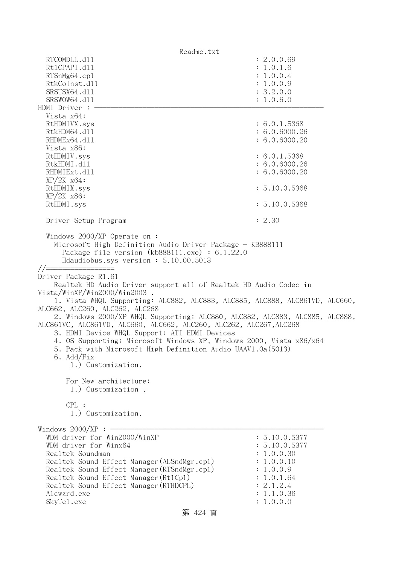Readme.txt RTCOMDLL.d11 : 2.0.0.69 Rt1CPAPI.d11 : 1.0.1.6 RTSnMg64.cpl : 1.0.0.4 RtkCoInst.dl1 : 1.0.0.9 SRSTSX64.d11 : 3.2.0.0 SRSWOW64.d11 : 1.0.6.0 HDMI Driver : - Vista x64: RtHDMIVX.sys : 6.0.1.5368 RtkHDM64.d11 : 6.0.6000.26 RHDMEx64.d11 : 6.0.6000.20 Vista x86: RtHDMIV.sys : 6.0.1.5368 RtkHDMI.d11 : 6.0.6000.26 RHDMIExt.d11 : 6.0.6000.20 XP/2K x64: RtHDMIX.sys : 5.10.0.5368 XP/2K x86: RtHDMI.sys : 5.10.0.5368 Driver Setup Program : 2.30 Windows 2000/XP Operate on : Microsoft High Definition Audio Driver Package - KB888111 Package file version (kb888111.exe) : 6.1.22.0 Hdaudiobus.sys version : 5.10.00.5013 //================= Driver Package R1.61 Realtek HD Audio Driver support all of Realtek HD Audio Codec in Vista/WinXP/Win2000/Win2003 . 1. Vista WHQL Supporting: ALC882, ALC883, ALC885, ALC888, ALC861VD, ALC660, ALC662, ALC260, ALC262, ALC268 2. Windows 2000/XP WHQL Supporting: ALC880, ALC882, ALC883, ALC885, ALC888, ALC861VC, ALC861VD, ALC660, ALC662, ALC260, ALC262, ALC267,ALC268 3. HDMI Device WHQL Support: ATI HDMI Devices 4. OS Supporting: Microsoft Windows XP, Windows 2000, Vista x86/x64 5. Pack with Microsoft High Definition Audio UAAV1.0a(5013) 6. Add/Fix 1.) Customization. For New architecture: 1.) Customization . CPL : 1.) Customization. Windows  $2000/XP : -$ WDM driver for Win2000/WinXP : 5.10.0.5377 WDM driver for  $W$ inx64 : 5.10.0.5377 Realtek Soundman  $\ddot{\textbf{i}}$  1.0.0.30 Realtek Sound Effect Manager (ALSndMgr.cpl) : 1.0.0.10 Realtek Sound Effect Manager (RTSndMgr.cpl) : 1.0.0.9 Realtek Sound Effect Manager (Rt1Cp1) : 1.0.1.64 Realtek Sound Effect Manager (RTHDCPL) : 2.1.2.4 Alcwzrd.exe : 1.1.0.36 SkyTel.exe : 1.0.0.0

第 424 頁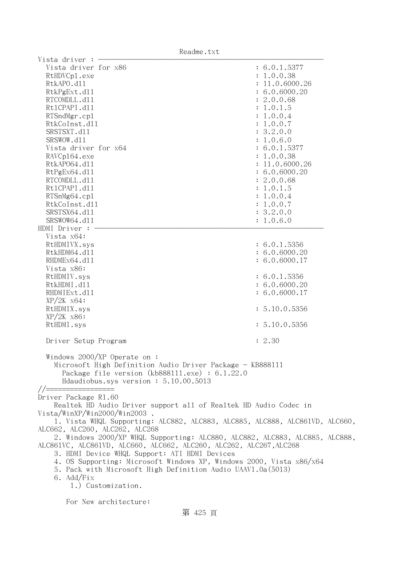|                                                                                                                                                                                                                                                                                                                                                                                                                                                                                                                                                                                                              | Readme.txt                                                                                                                                                                                                |                                                                                                                                                                                                                                                                                              |
|--------------------------------------------------------------------------------------------------------------------------------------------------------------------------------------------------------------------------------------------------------------------------------------------------------------------------------------------------------------------------------------------------------------------------------------------------------------------------------------------------------------------------------------------------------------------------------------------------------------|-----------------------------------------------------------------------------------------------------------------------------------------------------------------------------------------------------------|----------------------------------------------------------------------------------------------------------------------------------------------------------------------------------------------------------------------------------------------------------------------------------------------|
| Vista driver<br>Vista driver for x86<br>RtHDVCp1.exe<br>RtkAPO.d11<br>RtkPgExt.d11<br>RTCOMDLL.d11<br>Rt1CPAPI.d11<br>RTSndMgr.cp1<br>RtkCoInst.d11<br>SRSTSXT.d11<br>SRSWOW.d11<br>Vista driver for x64<br>RAVCp164.exe<br>RtkAP064.d11<br>RtPgEx64.d11<br>RTCOMDLL.d11<br>Rt1CPAPI.d11<br>RTSnMg64.cp1<br>RtkCoInst.d11<br>SRSTSX64.d11<br>SRSWOW64.d11                                                                                                                                                                                                                                                    |                                                                                                                                                                                                           | : 6.0.1.5377<br>: 1.0.0.38<br>: 11.0.6000.26<br>: 6.0.6000.20<br>: 2.0.0.68<br>: 1.0.1.5<br>: 1.0.0.4<br>: 1.0.0.7<br>: 3.2.0.0<br>: 1.0.6.0<br>: 6.0.1.5377<br>: 1.0.0.38<br>: 11.0.6000.26<br>: 6.0.6000.20<br>: 2.0.0.68<br>: 1.0.1.5<br>: 1.0.0.4<br>: 1.0.0.7<br>: 3.2.0.0<br>: 1.0.6.0 |
| HDMI Driver :<br>Vista x64:<br>RtHDMIVX.sys<br>RtkHDM64.d11<br>RHDMEx64.d11<br>Vista x86:<br>RtHDMIV.sys<br>RtkHDMI.d11<br>RHDMIExt.d11<br>$XP/ZK$ $x64$ :<br>RtHDMIX.sys<br>$XP/2K$ $x86$ :<br>RtHDMI.sys<br>Driver Setup Program                                                                                                                                                                                                                                                                                                                                                                           |                                                                                                                                                                                                           | : 6.0.1.5356<br>: 6.0.6000.20<br>: 6.0.6000.17<br>: 6.0.1.5356<br>: 6.0.6000.20<br>: 6.0.6000.17<br>: 5.10.0.5356<br>: 5.10.0.5356<br>: 2.30                                                                                                                                                 |
| Windows $2000/XP$ Operate on:<br>Microsoft High Definition Audio Driver Package - KB888111<br>Package file version $(kb888111.\text{exe}) : 6.1.22.0$<br>Hdaudiobus.sys version: 5.10.00.5013<br>$//=====$<br>Driver Package R1.60<br>Realtek HD Audio Driver support all of Realtek HD Audio Codec in<br>Vista/WinXP/Win2000/Win2003.<br>1. Vista WHQL Supporting: ALC882, ALC883, ALC885, ALC888, ALC861VD, ALC660,<br>ALC662, ALC260, ALC262, ALC268<br>2. Windows 2000/XP WHQL Supporting: ALC880, ALC882, ALC883, ALC885, ALC888,<br>ALC861VC, ALC861VD, ALC660, ALC662, ALC260, ALC262, ALC267, ALC268 |                                                                                                                                                                                                           |                                                                                                                                                                                                                                                                                              |
| 6. Add/Fix                                                                                                                                                                                                                                                                                                                                                                                                                                                                                                                                                                                                   | 3. HDMI Device WHQL Support: ATI HDMI Devices<br>4. OS Supporting: Microsoft Windows XP, Windows 2000, Vista x86/x64<br>5. Pack with Microsoft High Definition Audio UAAV1.0a(5013)<br>1.) Customization. |                                                                                                                                                                                                                                                                                              |

For New architecture: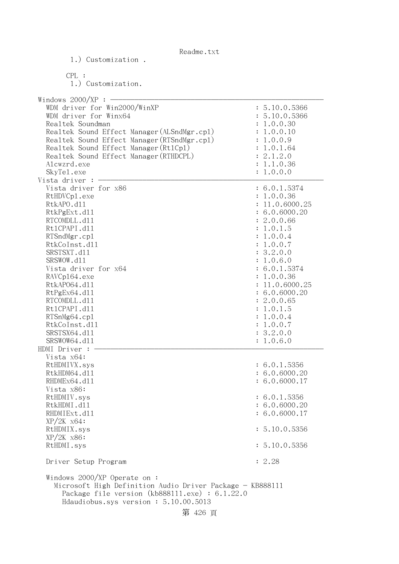| Readme.txt |  |
|------------|--|
|------------|--|

1.) Customization .

 CPL : 1.) Customization. Windows  $2000/XP : -$ WDM driver for Win2000/WinXP : 5.10.0.5366 WDM driver for Winx64 : 5.10.0.5366 Realtek Soundman : 1.0.0.30 Realtek Sound Effect Manager (ALSndMgr.cpl) : 1.0.0.10 Realtek Sound Effect Manager (RTSndMgr.cpl) : 1.0.0.9 Realtek Sound Effect Manager(Rt1Cp1) : 1.0.1.64 Realtek Sound Effect Manager(RTHDCPL) : 2.1.2.0 Alcwzrd.exe : 1.1.0.36 SkyTel.exe : 1.0.0.0 Vista driver  $: -$ Vista driver for x86 : 6.0.1.5374 RtHDVCp1.exe : 1.0.0.36 RtkAPO.d11 : 11.0.6000.25 RtkPgExt.dll : 6.0.6000.20 RTCOMDLL.d11 : 2.0.0.66 Rt1CPAPI.d11 : 1.0.1.5 RTSndMgr.cp1 : 1.0.0.4 RtkCoInst.dl1 : 1.0.0.7 SRSTSXT.d11 : 3.2.0.0 SRSWOW.d11 : 1.0.6.0 Vista driver for  $x64$  : 6.0.1.5374 RAVCp164.exe : 1.0.0.36 RtkAP064.d11 : 11.0.6000.25 RtPgEx64.dll : 6.0.6000.20 RTCOMDLL.d11 : 2.0.0.65 RtlCPAPI.dll : 1.0.1.5 RTSnMg64.cp1 : 1.0.0.4 RtkCoInst.dl1 : 1.0.0.7 SRSTSX64.d11 : 3.2.0.0 SRSWOW64.d11 : 1.0.6.0 HDMI Driver : - Vista x64: RtHDMIVX.sys : 6.0.1.5356 RtkHDM64.d11 : 6.0.6000.20 RHDMEx64.d11 : 6.0.6000.17 Vista x86: RtHDMIV.sys : 6.0.1.5356 RtkHDMI.d11 : 6.0.6000.20 RHDMIExt.d11 : 6.0.6000.17 XP/2K x64: RtHDMIX.sys : 5.10.0.5356 XP/2K x86: RtHDMI.sys : 5.10.0.5356 Driver Setup Program : 2.28 Windows 2000/XP Operate on : Microsoft High Definition Audio Driver Package - KB888111 Package file version (kb888111.exe) : 6.1.22.0 Hdaudiobus.sys version : 5.10.00.5013 第 426 頁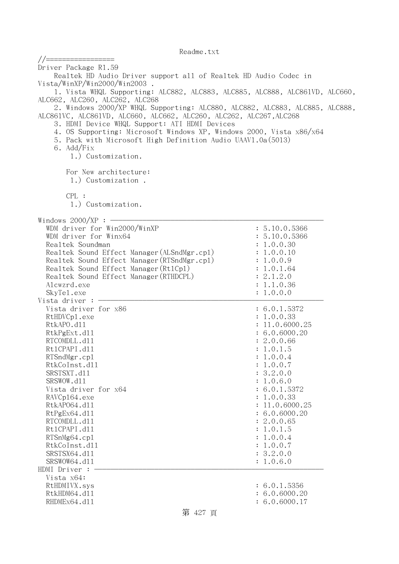//================= Driver Package R1.59 Realtek HD Audio Driver support all of Realtek HD Audio Codec in Vista/WinXP/Win2000/Win2003 . 1. Vista WHQL Supporting: ALC882, ALC883, ALC885, ALC888, ALC861VD, ALC660, ALC662, ALC260, ALC262, ALC268 2. Windows 2000/XP WHQL Supporting: ALC880, ALC882, ALC883, ALC885, ALC888, ALC861VC, ALC861VD, ALC660, ALC662, ALC260, ALC262, ALC267,ALC268 3. HDMI Device WHQL Support: ATI HDMI Devices 4. OS Supporting: Microsoft Windows XP, Windows 2000, Vista x86/x64 5. Pack with Microsoft High Definition Audio UAAV1.0a(5013) 6. Add/Fix 1.) Customization. For New architecture: 1.) Customization . CPL : 1.) Customization. Windows  $2000/XP:$  -WDM driver for Win2000/WinXP : 5.10.0.5366 WDM driver for Winx64 : 5.10.0.5366 Realtek Soundman  $\ddot{\textbf{i}}$  1.0.0.30 Realtek Sound Effect Manager (ALSndMgr.cpl) : 1.0.0.10 Realtek Sound Effect Manager(RTSndMgr.cpl) : 1.0.0.9 Realtek Sound Effect Manager(Rt1Cp1) : 1.0.1.64 Realtek Sound Effect Manager(RTHDCPL) : 2.1.2.0 Alcwzrd.exe : 1.1.0.36 SkyTel.exe : 1.0.0.0 Vista driver :  $-$ Vista driver for x86 : 6.0.1.5372 RtHDVCp1.exe : 1.0.0.33 RtkAPO.d11 : 11.0.6000.25 RtkPgExt.dll : 6.0.6000.20 RTCOMDLL.d11 : 2.0.0.66 Rt1CPAPI.d11 : 1.0.1.5 RTSndMgr.cp1 : 1.0.0.4 RtkCoInst.dl1 : 1.0.0.7 SRSTSXT.d11 : 3.2.0.0 SRSWOW.d11 : 1.0.6.0 Vista driver for  $x64$  : 6.0.1.5372 RAVCp164.exe : 1.0.0.33 RtkAP064.d11 : 11.0.6000.25 RtPgEx64.d11 : 6.0.6000.20 RTCOMDLL.d11 : 2.0.0.65 Rt1CPAPI.d11 : 1.0.1.5 RTSnMg64.cpl : 1.0.0.4 RtkCoInst.dll : 1.0.0.7 SRSTSX64.d11 : 3.2.0.0 SRSWOW64.d11 : 1.0.6.0 HDMI Driver : - Vista x64: RtHDMIVX.sys : 6.0.1.5356 RtkHDM64.d11 : 6.0.6000.20 RHDMEx64.d11 : 6.0.6000.17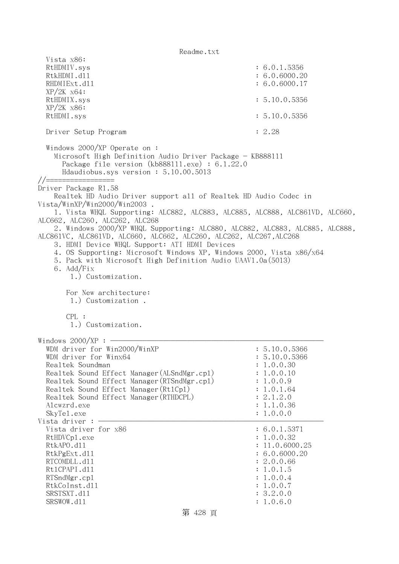| Vista x86:<br>RtHDMIV.sys<br>RtkHDMI.d11<br>RHDMIExt.d11<br>$XP/2K$ $x64$ :                                                                                                                                                                                                                                                                                                                                                                                                                                                                                                                                                                                                                                                                                                                                                               | : 6.0.1.5356<br>: 6.0.6000.20<br>: 6.0.6000.17                                                                                               |
|-------------------------------------------------------------------------------------------------------------------------------------------------------------------------------------------------------------------------------------------------------------------------------------------------------------------------------------------------------------------------------------------------------------------------------------------------------------------------------------------------------------------------------------------------------------------------------------------------------------------------------------------------------------------------------------------------------------------------------------------------------------------------------------------------------------------------------------------|----------------------------------------------------------------------------------------------------------------------------------------------|
| RtHDMIX.sys<br>$XP/2K$ $x86$ :                                                                                                                                                                                                                                                                                                                                                                                                                                                                                                                                                                                                                                                                                                                                                                                                            | : 5.10.0.5356                                                                                                                                |
| RtHDMI.sys                                                                                                                                                                                                                                                                                                                                                                                                                                                                                                                                                                                                                                                                                                                                                                                                                                | : 5.10.0.5356                                                                                                                                |
| Driver Setup Program                                                                                                                                                                                                                                                                                                                                                                                                                                                                                                                                                                                                                                                                                                                                                                                                                      | : 2.28                                                                                                                                       |
| Windows $2000/XP$ Operate on:<br>Microsoft High Definition Audio Driver Package - KB888111<br>Package file version $(kb888111.\text{exe}) : 6.1.22.0$<br>Hdaudiobus.sys version: 5.10.00.5013<br>//========<br>Driver Package R1.58<br>Realtek HD Audio Driver support all of Realtek HD Audio Codec in<br>Vista/WinXP/Win2000/Win2003.<br>1. Vista WHQL Supporting: ALC882, ALC883, ALC885, ALC888, ALC861VD, ALC660,<br>ALC662, ALC260, ALC262, ALC268<br>2. Windows 2000/XP WHQL Supporting: ALC880, ALC882, ALC883, ALC885, ALC888,<br>ALC861VC, ALC861VD, ALC660, ALC662, ALC260, ALC262, ALC267, ALC268<br>3. HDMI Device WHQL Support: ATI HDMI Devices<br>4. OS Supporting: Microsoft Windows XP, Windows 2000, Vista x86/x64<br>5. Pack with Microsoft High Definition Audio UAAV1.0a (5013)<br>6. Add/Fix<br>1.) Customization. |                                                                                                                                              |
| For New architecture:<br>1.) Customization.<br>CPL:                                                                                                                                                                                                                                                                                                                                                                                                                                                                                                                                                                                                                                                                                                                                                                                       |                                                                                                                                              |
| 1.) Customization.                                                                                                                                                                                                                                                                                                                                                                                                                                                                                                                                                                                                                                                                                                                                                                                                                        |                                                                                                                                              |
| Windows $2000/XP:$ -<br>WDM driver for Win2000/WinXP<br>WDM driver for Winx64<br>Realtek Soundman<br>Realtek Sound Effect Manager (ALSndMgr.cp1)<br>Realtek Sound Effect Manager (RTSndMgr.cp1)<br>Realtek Sound Effect Manager (Rt1Cp1)<br>Realtek Sound Effect Manager (RTHDCPL)<br>Alcwzrd.exe<br>SkyTe1.exe                                                                                                                                                                                                                                                                                                                                                                                                                                                                                                                           | : 5.10.0.5366<br>: 5.10.0.5366<br>: 1.0.0.30<br>: 1.0.0.10<br>: 1.0.0.9<br>: 1.0.1.64<br>: 2.1.2.0<br>: 1.1.0.36<br>: 1.0.0.0                |
| Vista driver :<br>Vista driver for x86<br>RtHDVCp1.exe<br>RtkAPO.d11<br>RtkPgExt.d11<br>RTCOMDLL.d11<br>Rt1CPAPI.d11<br>RTSndMgr.cp1<br>RtkCoInst.d11<br>SRSTSXT.d11<br>SRSWOW.d11                                                                                                                                                                                                                                                                                                                                                                                                                                                                                                                                                                                                                                                        | : 6.0.1.5371<br>: 1.0.0.32<br>: 11.0.6000.25<br>: 6.0.6000.20<br>: 2.0.0.66<br>: 1.0.1.5<br>: 1.0.0.4<br>: 1.0.0.7<br>: 3.2.0.0<br>: 1.0.6.0 |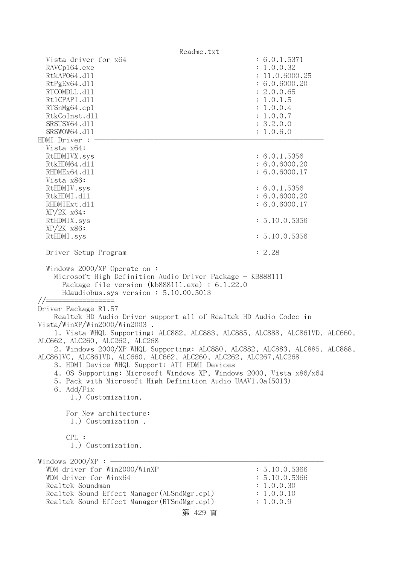Readme.txt Vista driver for  $x64$  : 6.0.1.5371 RAVCp164.exe : 1.0.0.32 RtkAP064.d11 : 11.0.6000.25 RtPgEx64.dl1 : 6.0.6000.20 RTCOMDLL.d11 : 2.0.0.65 Rt1CPAPI.d11 : 1.0.1.5 RTSnMg64.cpl : 1.0.0.4 RtkCoInst.dll : 1.0.0.7 SRSTSX64.d11 : 3.2.0.0 SRSWOW64.d11 : 1.0.6.0 HDMI Driver : - Vista x64: RtHDMIVX.sys : 6.0.1.5356 RtkHDM64.dl1 : 6.0.6000.20 RHDMEx64.d11 : 6.0.6000.17 Vista x86: RtHDMIV.sys : 6.0.1.5356 RtkHDMI.d11 : 6.0.6000.20 RHDMIExt.d11 : 6.0.6000.17 XP/2K x64: RtHDMIX.sys : 5.10.0.5356 XP/2K x86: RtHDMI.sys : 5.10.0.5356 Driver Setup Program : 2.28 Windows 2000/XP Operate on : Microsoft High Definition Audio Driver Package - KB888111 Package file version (kb888111.exe) : 6.1.22.0 Hdaudiobus.sys version : 5.10.00.5013 //================= Driver Package R1.57 Realtek HD Audio Driver support all of Realtek HD Audio Codec in Vista/WinXP/Win2000/Win2003 . 1. Vista WHQL Supporting: ALC882, ALC883, ALC885, ALC888, ALC861VD, ALC660, ALC662, ALC260, ALC262, ALC268 2. Windows 2000/XP WHQL Supporting: ALC880, ALC882, ALC883, ALC885, ALC888, ALC861VC, ALC861VD, ALC660, ALC662, ALC260, ALC262, ALC267,ALC268 3. HDMI Device WHQL Support: ATI HDMI Devices 4. OS Supporting: Microsoft Windows XP, Windows 2000, Vista x86/x64 5. Pack with Microsoft High Definition Audio UAAV1.0a(5013) 6. Add/Fix 1.) Customization. For New architecture: 1.) Customization . CPL : 1.) Customization. Windows  $2000/XP : -$ WDM driver for Win2000/WinXP : 5.10.0.5366 WDM driver for Winx64 : 5.10.0.5366 Realtek Soundman : 1.0.0.30 Realtek Sound Effect Manager(ALSndMgr.cp1) : 1.0.0.10 Realtek Sound Effect Manager (RTSndMgr.cpl) : 1.0.0.9 第 429 頁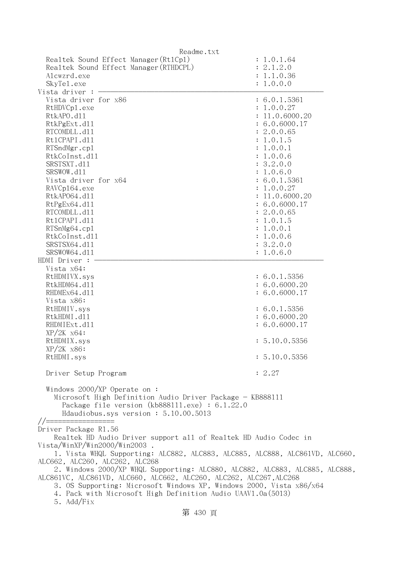| Readme.txt                                                                                                                                                                                                                                                                                                                                                                                                                                                                                                                                        |                                                                                                                                                                                                                                                                                              |  |
|---------------------------------------------------------------------------------------------------------------------------------------------------------------------------------------------------------------------------------------------------------------------------------------------------------------------------------------------------------------------------------------------------------------------------------------------------------------------------------------------------------------------------------------------------|----------------------------------------------------------------------------------------------------------------------------------------------------------------------------------------------------------------------------------------------------------------------------------------------|--|
| Realtek Sound Effect Manager (Rt1Cp1)<br>Realtek Sound Effect Manager (RTHDCPL)<br>Alcwzrd.exe<br>SkyTe1.exe<br>Vista driver :                                                                                                                                                                                                                                                                                                                                                                                                                    | : 1.0.1.64<br>: 2.1.2.0<br>: 1.1.0.36<br>: 1.0.0.0                                                                                                                                                                                                                                           |  |
| Vista driver for x86<br>RtHDVCp1.exe<br>RtkAPO.d11<br>RtkPgExt.d11<br>RTCOMDLL.d11<br>Rt1CPAPI.d11<br>RTSndMgr.cp1<br>RtkCoInst.d11<br>SRSTSXT.d11<br>SRSWOW.d11<br>Vista driver for x64<br>RAVCp164.exe<br>RtkAP064.d11<br>RtPgEx64.d11<br>RTCOMDLL.d11<br>Rt1CPAPI.d11<br>RTSnMg64.cp1<br>RtkCoInst.d11<br>SRSTSX64.d11<br>SRSWOW64.d11                                                                                                                                                                                                         | : 6.0.1.5361<br>: 1.0.0.27<br>: 11.0.6000.20<br>: 6.0.6000.17<br>: 2.0.0.65<br>: 1.0.1.5<br>: 1.0.0.1<br>: 1.0.0.6<br>: 3.2.0.0<br>: 1.0.6.0<br>: 6.0.1.5361<br>: 1.0.0.27<br>: 11.0.6000.20<br>: 6.0.6000.17<br>: 2.0.0.65<br>: 1.0.1.5<br>: 1.0.0.1<br>: 1.0.0.6<br>: 3.2.0.0<br>: 1.0.6.0 |  |
| HDMI Driver :<br>Vista x64:<br>RtHDMIVX.sys<br>RtkHDM64.d11<br>RHDMEx64.d11<br>Vista x86:<br>RtHDMIV.sys<br>RtkHDMI.d11<br>RHDMIExt.d11<br>$XP/ZK$ $x64$ :<br>RtHDMIX.sys<br>XP/2K x86:<br>RtHDMI.sys                                                                                                                                                                                                                                                                                                                                             | : 6.0.1.5356<br>: 6.0.6000.20<br>: 6.0.6000.17<br>: 6.0.1.5356<br>: 6.0.6000.20<br>: 6.0.6000.17<br>: 5.10.0.5356<br>: 5.10.0.5356                                                                                                                                                           |  |
| Driver Setup Program                                                                                                                                                                                                                                                                                                                                                                                                                                                                                                                              | : 2.27                                                                                                                                                                                                                                                                                       |  |
| Windows 2000/XP Operate on:<br>Microsoft High Definition Audio Driver Package - KB888111<br>Package file version $(kb888111.\text{exe}) : 6.1.22.0$<br>Hdaudiobus.sys version: 5.10.00.5013<br>//=====                                                                                                                                                                                                                                                                                                                                            |                                                                                                                                                                                                                                                                                              |  |
| Driver Package R1.56<br>Realtek HD Audio Driver support all of Realtek HD Audio Codec in<br>Vista/WinXP/Win2000/Win2003<br>1. Vista WHQL Supporting: ALC882, ALC883, ALC885, ALC888, ALC861VD, ALC660,<br>ALC662, ALC260, ALC262, ALC268<br>2. Windows 2000/XP WHQL Supporting: ALC880, ALC882, ALC883, ALC885, ALC888,<br>ALC861VC, ALC861VD, ALC660, ALC662, ALC260, ALC262, ALC267, ALC268<br>3. OS Supporting: Microsoft Windows XP, Windows 2000, Vista x86/x64<br>4. Pack with Microsoft High Definition Audio UAAV1.0a(5013)<br>5. Add/Fix |                                                                                                                                                                                                                                                                                              |  |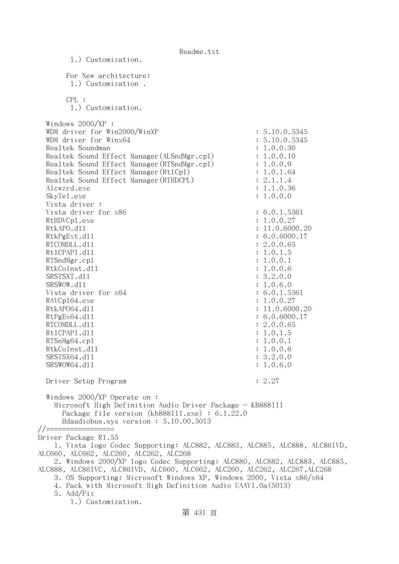Readme.txt 1.) Customization. For New architecture: 1.) Customization . CPL : 1.) Customization. Windows 2000/XP : WDM driver for Win2000/WinXP : 5.10.0.5345 WDM driver for Winx64 : 5.10.0.5345 Realtek Soundman : 1.0.0.30 Realtek Sound Effect Manager (ALSndMgr.cpl) : 1.0.0.10 Realtek Sound Effect Manager (RTSndMgr.cp1) : 1.0.0.9 Realtek Sound Effect Manager (Rt1Cp1) : 1.0.1.64 Realtek Sound Effect Manager(RTHDCPL) : 2.1.1.4 Alcwzrd.exe : 1.1.0.36 SkyTel.exe : 1.0.0.0 Vista driver : Vista driver for  $x86$  : 6.0.1.5361 RtHDVCp1.exe : 1.0.0.27 RtkAPO.d11 : 11.0.6000.20 : 11.0.6000.20 RtkPgExt.d11 : 6.0.6000.17 RTCOMDLL.d11 : 2.0.0.65 RtlCPAPI.dll : 1.0.1.5 RTSndMgr.cp1 : 1.0.0.1 RtkCoInst.dll : 1.0.0.6 SRSTSXT.d11 : 3.2.0.0 SRSWOW.dll : 1.0.6.0 Vista driver for  $x64$  : 6.0.1.5361 : 6.0.1.5361 RAVCp164.exe : 1.0.0.27 RtkAP064.dl1 : 11.0.6000.20 RtPgEx64.d11 : 6.0.6000.17 RTCOMDLL.d11 : 2.0.0.65 Rt1CPAPI.d11 : 1.0.1.5 RTSnMg64.cpl : 1.0.0.1 RtkCoInst.dll : 1.0.0.6 SRSTSX64.d11 : 3.2.0.0 SRSWOW64.d11 : 1.0.6.0 Driver Setup Program : 2.27 Windows 2000/XP Operate on : Microsoft High Definition Audio Driver Package - KB888111 Package file version (kb888111.exe) : 6.1.22.0 Hdaudiobus.sys version : 5.10.00.5013 //================= Driver Package R1.55 1. Vista logo Codec Supporting: ALC882, ALC883, ALC885, ALC888, ALC861VD, ALC660, ALC662, ALC260, ALC262, ALC268 2. Windows 2000/XP logo Codec Supporting: ALC880, ALC882, ALC883, ALC885, ALC888, ALC861VC, ALC861VD, ALC660, ALC662, ALC260, ALC262, ALC267,ALC268 3. OS Supporting: Microsoft Windows XP, Windows 2000, Vista x86/x64 4. Pack with Microsoft High Definition Audio UAAV1.0a(5013) 5. Add/Fix 1.) Customization.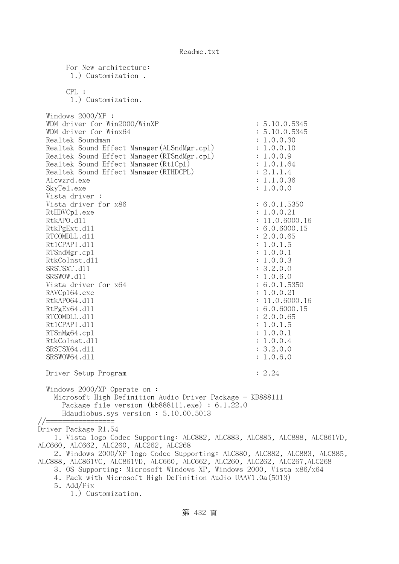For New architecture: 1.) Customization . CPL : 1.) Customization. Windows 2000/XP : WDM driver for Win2000/WinXP : 5.10.0.5345 WDM driver for Winx64 : 5.10.0.5345 Realtek Soundman  $\qquad \qquad : 1.0.0.30$ Realtek Sound Effect Manager(ALSndMgr.cp1) : 1.0.0.10 Realtek Sound Effect Manager (RTSndMgr.cpl) : 1.0.0.9 Realtek Sound Effect Manager (Rt1Cp1) : 1.0.1.64 Realtek Sound Effect Manager (RTHDCPL) : 2.1.1.4 Alcwzrd.exe : 1.1.0.36 SkyTel.exe : 1.0.0.0 Vista driver : Vista driver for x86 : 6.0.1.5350 RtHDVCp1.exe : 1.0.0.21 RtkAPO.d11 : 11.0.6000.16 RtkPgExt.dll : 6.0.6000.15 RTCOMDLL.d11 : 2.0.0.65 Rt1CPAPI.d11 : 1.0.1.5 RTSndMgr.cpl : 1.0.0.1 RtkCoInst.dll : 1.0.0.3 SRSTSXT.d11 : 3.2.0.0 SRSWOW.d11 : 1.0.6.0 Vista driver for x64 : 6.0.1.5350 RAVCp164.exe : 1.0.0.21 RtkAP064.d11 : 11.0.6000.16 RtPgEx64.dll : 6.0.6000.15 RTCOMDLL.d11 : 2.0.0.65 Rt1CPAPI.d11 : 1.0.1.5 RTSnMg64.cpl : 1.0.0.1 RtkCoInst.dll : 1.0.0.4 SRSTSX64.d11 : 3.2.0.0 SRSWOW64.d11 : 1.0.6.0 Driver Setup Program : 2.24 Windows 2000/XP Operate on : Microsoft High Definition Audio Driver Package - KB888111 Package file version (kb888111.exe) : 6.1.22.0 Hdaudiobus.sys version : 5.10.00.5013 //================= Driver Package R1.54 1. Vista logo Codec Supporting: ALC882, ALC883, ALC885, ALC888, ALC861VD, ALC660, ALC662, ALC260, ALC262, ALC268 2. Windows 2000/XP logo Codec Supporting: ALC880, ALC882, ALC883, ALC885, ALC888, ALC861VC, ALC861VD, ALC660, ALC662, ALC260, ALC262, ALC267,ALC268 3. OS Supporting: Microsoft Windows XP, Windows 2000, Vista x86/x64 4. Pack with Microsoft High Definition Audio UAAV1.0a(5013) 5. Add/Fix 1.) Customization.

第 432 頁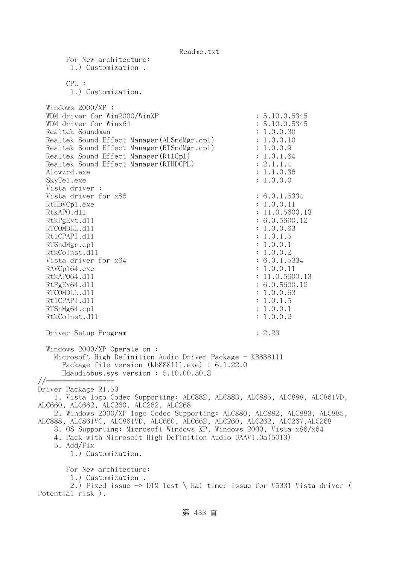For New architecture: 1.) Customization . CPL : 1.) Customization. Windows 2000/XP : WDM driver for Win2000/WinXP : 5.10.0.5345 WDM driver for Winx64 : 5.10.0.5345 Realtek Soundman  $\ddot{\textbf{i}}$  1.0.0.30 Realtek Sound Effect Manager (ALSndMgr.cpl) : 1.0.0.10 Realtek Sound Effect Manager(RTSndMgr.cpl) : 1.0.0.9 Realtek Sound Effect Manager(Rt1Cp1) : 1.0.1.64 Realtek Sound Effect Manager (RTHDCPL) : 2.1.1.4 Alcwzrd.exe : 1.1.0.36 SkyTel.exe : 1.0.0.0 Vista driver : Vista driver for x86 : 6.0.1.5334 RtHDVCp1.exe : 1.0.0.11 RtkAPO.d11 : 11.0.5600.13 RtkPgExt.dll : 6.0.5600.12 RTCOMDLL.d11 : 1.0.0.63 Rt1CPAPI.d11 : 1.0.1.5 RTSndMgr.cp1 : 1.0.0.1 RtkCoInst.dll : 1.0.0.2 Vista driver for x64 : 6.0.1.5334 RAVCp164.exe : 1.0.0.11 RtkAP064.dl1 : 11.0.5600.13 RtPgEx64.d11 : 6.0.5600.12 RTCOMDLL.d11 : 1.0.0.63 Rt1CPAPI.d11 : 1.0.1.5 RTSnMg64.cpl : 1.0.0.1 RtkCoInst.d11 : 1.0.0.2 Driver Setup Program : 2.23 Windows 2000/XP Operate on : Microsoft High Definition Audio Driver Package - KB888111 Package file version (kb888111.exe) : 6.1.22.0 Hdaudiobus.sys version : 5.10.00.5013 //================= Driver Package R1.53 1. Vista logo Codec Supporting: ALC882, ALC883, ALC885, ALC888, ALC861VD, ALC660, ALC662, ALC260, ALC262, ALC268 2. Windows 2000/XP logo Codec Supporting: ALC880, ALC882, ALC883, ALC885, ALC888, ALC861VC, ALC861VD, ALC660, ALC662, ALC260, ALC262, ALC267,ALC268 3. OS Supporting: Microsoft Windows XP, Windows 2000, Vista x86/x64 4. Pack with Microsoft High Definition Audio UAAV1.0a(5013) 5. Add/Fix 1.) Customization. For New architecture: 1.) Customization . 2.) Fixed issue  $\rightarrow$  DTM Test \ Hal timer issue for V5331 Vista driver ( Potential risk ).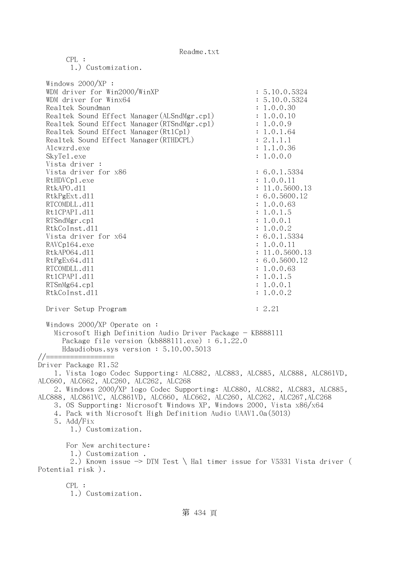1.) Customization. Windows 2000/XP : WDM driver for Win2000/WinXP : 5.10.0.5324 WDM driver for Winx64 : 5.10.0.5324 Realtek Soundman : 1.0.0.30 Realtek Sound Effect Manager(ALSndMgr.cpl) : 1.0.0.10 Realtek Sound Effect Manager (RTSndMgr.cpl) : 1.0.0.9 Realtek Sound Effect Manager (Rt1Cp1) : 1.0.1.64 Realtek Sound Effect Manager (RTHDCPL) : 2.1.1.1 Alcwzrd.exe : 1.1.0.36 SkyTel.exe : 1.0.0.0 Vista driver : Vista driver for x86 : 6.0.1.5334 RtHDVCp1.exe : 1.0.0.11 RtkAPO.d11 : 11.0.5600.13 RtkPgExt.dll : 6.0.5600.12 RTCOMDLL.d11 : 1.0.0.63 RtlCPAPI.dll : 1.0.1.5 RTSndMgr.cpl : 1.0.0.1 RtkCoInst.dll : 1.0.0.2 Vista driver for  $x64$  : 6.0.1.5334 RAVCp164.exe : 1.0.0.11 RtkAP064.dl1 : 11.0.5600.13 RtPgEx64.d11 : 6.0.5600.12 RTCOMDLL.d11 : 1.0.0.63 Rt1CPAPI.d11 : 1.0.1.5 RTSnMg64.cpl : 1.0.0.1 RtkCoInst.dll : 1.0.0.2 Driver Setup Program : 2.21 Windows 2000/XP Operate on : Microsoft High Definition Audio Driver Package - KB888111 Package file version (kb888111.exe) : 6.1.22.0 Hdaudiobus.sys version : 5.10.00.5013 //================= Driver Package R1.52 1. Vista logo Codec Supporting: ALC882, ALC883, ALC885, ALC888, ALC861VD, ALC660, ALC662, ALC260, ALC262, ALC268 2. Windows 2000/XP logo Codec Supporting: ALC880, ALC882, ALC883, ALC885, ALC888, ALC861VC, ALC861VD, ALC660, ALC662, ALC260, ALC262, ALC267,ALC268 3. OS Supporting: Microsoft Windows XP, Windows 2000, Vista x86/x64 4. Pack with Microsoft High Definition Audio UAAV1.0a(5013) 5. Add/Fix 1.) Customization. For New architecture: 1.) Customization . 2.) Known issue  $\rightarrow$  DTM Test \ Hal timer issue for V5331 Vista driver ( Potential risk ). CPL :

1.) Customization.

CPL :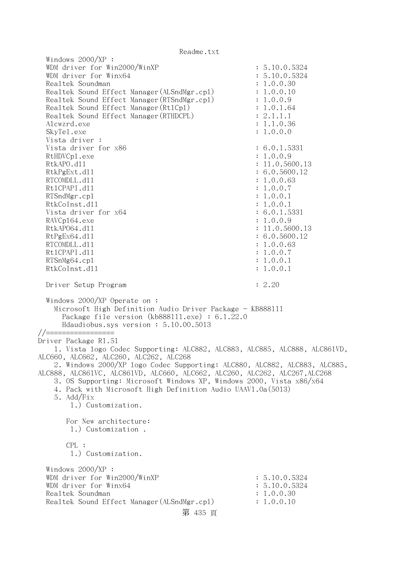| Readille. LAL                                                                                                                                                                                                                                                                                                                                                                                                                                                                                                                                                                                                                                       |                                                                                                                                                                                                                                        |
|-----------------------------------------------------------------------------------------------------------------------------------------------------------------------------------------------------------------------------------------------------------------------------------------------------------------------------------------------------------------------------------------------------------------------------------------------------------------------------------------------------------------------------------------------------------------------------------------------------------------------------------------------------|----------------------------------------------------------------------------------------------------------------------------------------------------------------------------------------------------------------------------------------|
| Windows $2000/XP$ :<br>WDM driver for Win2000/WinXP<br>WDM driver for Winx64<br>Realtek Soundman<br>Realtek Sound Effect Manager (ALSndMgr.cp1)<br>Realtek Sound Effect Manager (RTSndMgr.cp1)<br>Realtek Sound Effect Manager (Rt1Cp1)<br>Realtek Sound Effect Manager (RTHDCPL)<br>Alcwzrd.exe<br>SkyTe1.exe<br>Vista driver :                                                                                                                                                                                                                                                                                                                    | : 5.10.0.5324<br>: 5.10.0.5324<br>: 1.0.0.30<br>: 1.0.0.10<br>: 1.0.0.9<br>: 1.0.1.64<br>: 2.1.1.1<br>: 1.1.0.36<br>: 1.0.0.0                                                                                                          |
| Vista driver for x86<br>RtHDVCp1.exe<br>RtkAPO.d11<br>RtkPgExt.d11<br>RTCOMDLL.d11<br>Rt1CPAPI.d11<br>RTSndMgr.cp1<br>RtkCoInst.d11<br>Vista driver for x64<br>RAVCp164.exe<br>RtkAP064.d11<br>RtPgEx64.d11<br>RTCOMDLL.d11<br>Rt1CPAPI.d11<br>RTSnMg64.cp1<br>RtkCoInst.d11                                                                                                                                                                                                                                                                                                                                                                        | : 6.0.1.5331<br>: 1.0.0.9<br>: 11.0.5600.13<br>: 6.0.5600.12<br>: 1.0.0.63<br>: 1.0.0.7<br>: 1.0.0.1<br>: 1.0.0.1<br>: 6.0.1.5331<br>: 1.0.0.9<br>: 11.0.5600.13<br>: 6.0.5600.12<br>: 1.0.0.63<br>: 1.0.0.7<br>: 1.0.0.1<br>: 1.0.0.1 |
| Driver Setup Program                                                                                                                                                                                                                                                                                                                                                                                                                                                                                                                                                                                                                                | : 2.20                                                                                                                                                                                                                                 |
| Windows $2000/XP$ Operate on:<br>Microsoft High Definition Audio Driver Package - KB888111<br>Package file version (kb888111.exe) : $6.1.22.0$<br>Hdaudiobus.sys version: 5.10.00.5013<br>Driver Package R1.51<br>1. Vista logo Codec Supporting: ALC882, ALC883, ALC885, ALC888, ALC861VD,<br>ALC660, ALC662, ALC260, ALC262, ALC268<br>2. Windows 2000/XP logo Codec Supporting: ALC880, ALC882, ALC883, ALC885,<br>ALC888, ALC861VC, ALC861VD, ALC660, ALC662, ALC260, ALC262, ALC267,ALC268<br>3. OS Supporting: Microsoft Windows XP, Windows 2000, Vista x86/x64<br>4. Pack with Microsoft High Definition Audio UAAV1.0a(5013)<br>5. Add/Fix |                                                                                                                                                                                                                                        |
| 1.) Customization.<br>For New architecture:                                                                                                                                                                                                                                                                                                                                                                                                                                                                                                                                                                                                         |                                                                                                                                                                                                                                        |
| 1.) Customization.                                                                                                                                                                                                                                                                                                                                                                                                                                                                                                                                                                                                                                  |                                                                                                                                                                                                                                        |
| CPL:<br>1.) Customization.                                                                                                                                                                                                                                                                                                                                                                                                                                                                                                                                                                                                                          |                                                                                                                                                                                                                                        |
| Windows $2000/XP$ :<br>WDM driver for Win2000/WinXP<br>WDM driver for Winx64<br>Realtek Soundman<br>Realtek Sound Effect Manager (ALSndMgr.cp1)<br>第 435 頁                                                                                                                                                                                                                                                                                                                                                                                                                                                                                          | : 5.10.0.5324<br>: 5.10.0.5324<br>: 1.0.0.30<br>: 1.0.0.10                                                                                                                                                                             |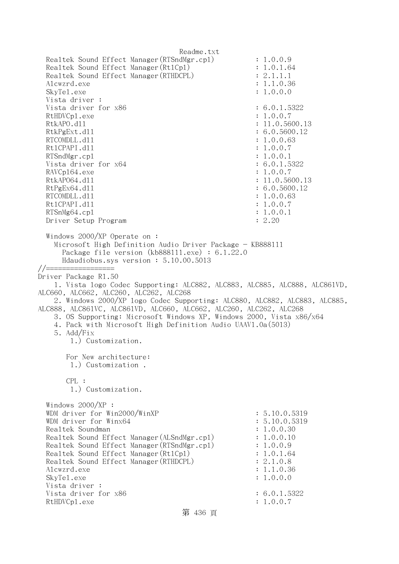Readme.txt Realtek Sound Effect Manager(RTSndMgr.cpl) : 1.0.0.9 Realtek Sound Effect Manager (Rt1Cp1) : 1.0.1.64 Realtek Sound Effect Manager(RTHDCPL) : 2.1.1.1 Alcwzrd.exe : 1.1.0.36 SkyTel.exe : 1.0.0.0 Vista driver : Vista driver for x86 : 6.0.1.5322 RtHDVCp1.exe : 1.0.0.7 RtkAPO.d11 : 11.0.5600.13 RtkPgExt.dll : 6.0.5600.12 RTCOMDLL.d11 : 1.0.0.63 Rt1CPAPI.d11 : 1.0.0.7 RTSndMgr.cp1 : 1.0.0.1 Vista driver for x64 : 6.0.1.5322 RAVCp164.exe : 1.0.0.7 RtkAP064.d11 : 11.0.5600.13 RtPgEx64.d11 : 6.0.5600.12 RTCOMDLL.d11 : 1.0.0.63 RtlCPAPI.dll : 1.0.0.7 RTSnMg64.cp1 : 1.0.0.1 Driver Setup Program : 2.20 Windows 2000/XP Operate on : Microsoft High Definition Audio Driver Package - KB888111 Package file version (kb888111.exe) : 6.1.22.0 Hdaudiobus.sys version : 5.10.00.5013 //================= Driver Package R1.50 1. Vista logo Codec Supporting: ALC882, ALC883, ALC885, ALC888, ALC861VD, ALC660, ALC662, ALC260, ALC262, ALC268 2. Windows 2000/XP logo Codec Supporting: ALC880, ALC882, ALC883, ALC885, ALC888, ALC861VC, ALC861VD, ALC660, ALC662, ALC260, ALC262, ALC268 3. OS Supporting: Microsoft Windows XP, Windows 2000, Vista x86/x64 4. Pack with Microsoft High Definition Audio UAAV1.0a(5013) 5. Add/Fix 1.) Customization. For New architecture: 1.) Customization . CPL : 1.) Customization. Windows 2000/XP : WDM driver for Win2000/WinXP : 5.10.0.5319 WDM driver for Winx64 : 5.10.0.5319 Realtek Soundman : 1.0.0.30 Realtek Sound Effect Manager(ALSndMgr.cpl) : 1.0.0.10 Realtek Sound Effect Manager(RTSndMgr.cpl) : 1.0.0.9 Realtek Sound Effect Manager (Rt1Cp1) : 1.0.1.64 Realtek Sound Effect Manager (RTHDCPL) : 2.1.0.8 Alcwzrd.exe : 1.1.0.36 SkyTel.exe : 1.0.0.0 Vista driver : Vista driver for  $x86$  : 6.0.1.5322 RtHDVCp1.exe : 1.0.0.7

第 436 頁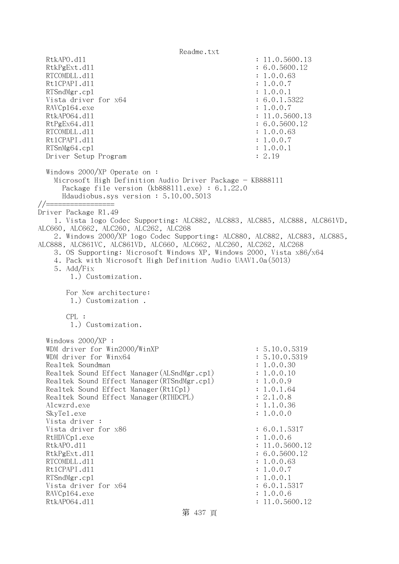Readme.txt RtkAPO.d11 : 11.0.5600.13 RtkPgExt.d11 : 6.0.5600.12 RTCOMDLL.d11 : 1.0.0.63 Rt1CPAPI.d11 : 1.0.0.7 RTSndMgr.cp1 : 1.0.0.1 Vista driver for  $x64$  : 6.0.1.5322 RAVCp164.exe : 1.0.0.7 RtkAP064.d11 : 11.0.5600.13 RtPgEx64.d11 : 6.0.5600.12 RTCOMDLL.d11 : 1.0.0.63 Rt1CPAPI.d11 : 1.0.0.7 RTSnMg64.cp1 : 1.0.0.1 Driver Setup Program : 2.19 Windows 2000/XP Operate on : Microsoft High Definition Audio Driver Package - KB888111 Package file version (kb888111.exe) : 6.1.22.0 Hdaudiobus.sys version : 5.10.00.5013 //================= Driver Package R1.49 1. Vista logo Codec Supporting: ALC882, ALC883, ALC885, ALC888, ALC861VD, ALC660, ALC662, ALC260, ALC262, ALC268 2. Windows 2000/XP logo Codec Supporting: ALC880, ALC882, ALC883, ALC885, ALC888, ALC861VC, ALC861VD, ALC660, ALC662, ALC260, ALC262, ALC268 3. OS Supporting: Microsoft Windows XP, Windows 2000, Vista x86/x64 4. Pack with Microsoft High Definition Audio UAAV1.0a(5013) 5. Add/Fix 1.) Customization. For New architecture: 1.) Customization . CPL : 1.) Customization. Windows 2000/XP : WDM driver for Win2000/WinXP : 5.10.0.5319 WDM driver for Winx64 : 5.10.0.5319 Realtek Soundman : 1.0.0.30 Realtek Sound Effect Manager (ALSndMgr.cpl) : 1.0.0.10 Realtek Sound Effect Manager(RTSndMgr.cpl) : 1.0.0.9 Realtek Sound Effect Manager(Rt1Cp1) : 1.0.1.64 Realtek Sound Effect Manager(RTHDCPL) : 2.1.0.8 Alcwzrd.exe : 1.1.0.36 SkyTel.exe : 1.0.0.0 Vista driver : Vista driver for x86 : 6.0.1.5317 RtHDVCp1.exe : 1.0.0.6 RtkAPO.dll : 11.0.5600.12 RtkPgExt.dll : 6.0.5600.12 RTCOMDLL.d11 : 1.0.0.63 RtlCPAPI.dll : 1.0.0.7 RTSndMgr.cp1 : 1.0.0.1 Vista driver for x64 : 6.0.1.5317 RAVCp164.exe : 1.0.0.6 RtkAP064.d11 : 11.0.5600.12

## 第 437 頁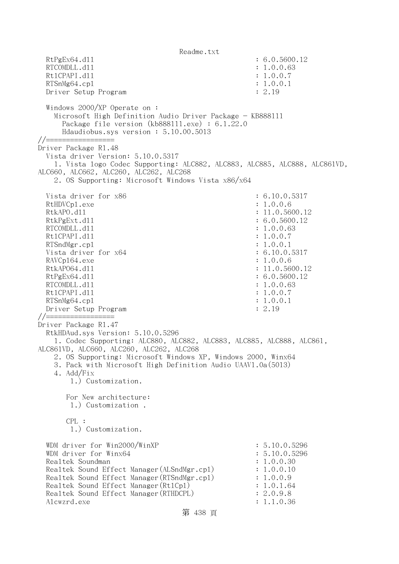Readme.txt RtPgEx64.d11 : 6.0.5600.12 RTCOMDLL.d11 : 1.0.0.63 Rt1CPAPI.d11 : 1.0.0.7 RTSnMg64.cpl : 1.0.0.1 Driver Setup Program : 2.19 Windows 2000/XP Operate on : Microsoft High Definition Audio Driver Package - KB888111 Package file version (kb888111.exe) : 6.1.22.0 Hdaudiobus.sys version : 5.10.00.5013 //================= Driver Package R1.48 Vista driver Version: 5.10.0.5317 1. Vista logo Codec Supporting: ALC882, ALC883, ALC885, ALC888, ALC861VD, ALC660, ALC662, ALC260, ALC262, ALC268 2. OS Supporting: Microsoft Windows Vista x86/x64 Vista driver for x86 : 6.10.0.5317 RtHDVCp1.exe : 1.0.0.6 RtkAPO.d11 : 11.0.5600.12 RtkPgExt.dll : 6.0.5600.12 RTCOMDLL.d11 : 1.0.0.63 Rt1CPAPI.d11 : 1.0.0.7 RTSndMgr.cpl : 1.0.0.1 Vista driver for x64 : 6.10.0.5317 RAVCp164.exe : 1.0.0.6 RtkAP064.d11 : 11.0.5600.12 RtPgEx64.d11 : 6.0.5600.12 RTCOMDLL.d11 : 1.0.0.63 Rt1CPAPI.d11 : 1.0.0.7 RTSnMg64.cpl : 1.0.0.1 Driver Setup Program : 2.19 //================= Driver Package R1.47 RtkHDAud.sys Version: 5.10.0.5296 1. Codec Supporting: ALC880, ALC882, ALC883, ALC885, ALC888, ALC861, ALC861VD, ALC660, ALC260, ALC262, ALC268 2. OS Supporting: Microsoft Windows XP, Windows 2000, Winx64 3. Pack with Microsoft High Definition Audio UAAV1.0a(5013) 4. Add/Fix 1.) Customization. For New architecture: 1.) Customization . CPL : 1.) Customization. WDM driver for  $Win2000/WinXP$  : 5.10.0.5296 WDM driver for Winx64 : 5.10.0.5296 Realtek Soundman : 1.0.0.30 Realtek Sound Effect Manager (ALSndMgr.cpl) : 1.0.0.10 Realtek Sound Effect Manager (RTSndMgr.cpl) : 1.0.0.9 Realtek Sound Effect Manager (Rt1Cp1) : 1.0.1.64 Realtek Sound Effect Manager(RTHDCPL) : 2.0.9.8 Alcwzrd.exe : 1.1.0.36

```
第 438 頁
```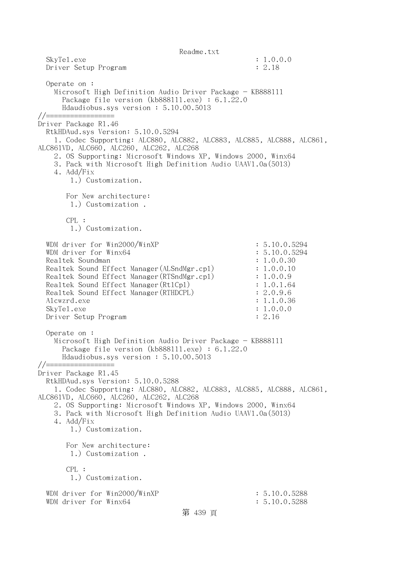Readme.txt SkyTel.exe : 1.0.0.0 Driver Setup Program : 2.18 Operate on : Microsoft High Definition Audio Driver Package - KB888111 Package file version (kb888111.exe) : 6.1.22.0 Hdaudiobus.sys version : 5.10.00.5013 //================= Driver Package R1.46 RtkHDAud.sys Version: 5.10.0.5294 1. Codec Supporting: ALC880, ALC882, ALC883, ALC885, ALC888, ALC861, ALC861VD, ALC660, ALC260, ALC262, ALC268 2. OS Supporting: Microsoft Windows XP, Windows 2000, Winx64 3. Pack with Microsoft High Definition Audio UAAV1.0a(5013) 4. Add/Fix 1.) Customization. For New architecture: 1.) Customization . CPL : 1.) Customization. WDM driver for Win2000/WinXP : 5.10.0.5294 WDM driver for Winx64 : 5.10.0.5294 Realtek Soundman  $\ddot{\textbf{i}}$  1.0.0.30 Realtek Sound Effect Manager(ALSndMgr.cpl) : 1.0.0.10 Realtek Sound Effect Manager (RTSndMgr.cpl) : 1.0.0.9 Realtek Sound Effect Manager (Rt1Cp1) : 1.0.1.64 Realtek Sound Effect Manager (RTHDCPL) : 2.0.9.6 Alcwzrd.exe : 1.1.0.36 SkyTe1.exe : 1.0.0.0 Driver Setup Program : 2.16 Operate on : Microsoft High Definition Audio Driver Package - KB888111 Package file version (kb888111.exe) : 6.1.22.0 Hdaudiobus.sys version : 5.10.00.5013 //================= Driver Package R1.45 RtkHDAud.sys Version: 5.10.0.5288 1. Codec Supporting: ALC880, ALC882, ALC883, ALC885, ALC888, ALC861, ALC861VD, ALC660, ALC260, ALC262, ALC268 2. OS Supporting: Microsoft Windows XP, Windows 2000, Winx64 3. Pack with Microsoft High Definition Audio UAAV1.0a(5013) 4. Add/Fix 1.) Customization. For New architecture: 1.) Customization . CPL : 1.) Customization. WDM driver for Win2000/WinXP : 5.10.0.5288 WDM driver for Winx64 : 5.10.0.5288

第 439 頁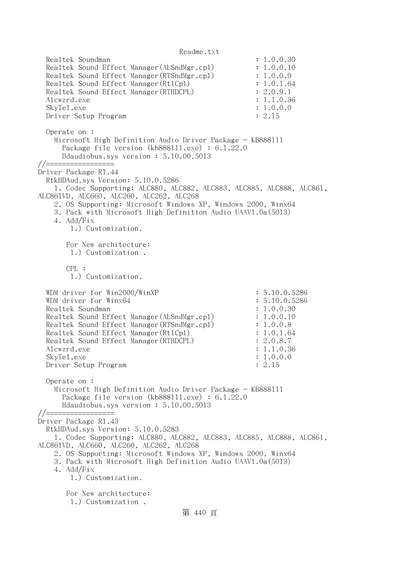Readme.txt Realtek Soundman : 1.0.0.30 Realtek Sound Effect Manager (ALSndMgr.cpl) : 1.0.0.10 Realtek Sound Effect Manager(RTSndMgr.cpl) : 1.0.0.9 Realtek Sound Effect Manager (Rt1Cp1) : 1.0.1.64 Realtek Sound Effect Manager(RTHDCPL) : 2.0.9.1 Alcwzrd.exe : 1.1.0.36 SkyTe1.exe : 1.0.0.0 Driver Setup Program : 2.15 Operate on : Microsoft High Definition Audio Driver Package - KB888111 Package file version (kb888111.exe) : 6.1.22.0 Hdaudiobus.sys version : 5.10.00.5013 //================= Driver Package R1.44 RtkHDAud.sys Version: 5.10.0.5286 1. Codec Supporting: ALC880, ALC882, ALC883, ALC885, ALC888, ALC861, ALC861VD, ALC660, ALC260, ALC262, ALC268 2. OS Supporting: Microsoft Windows XP, Windows 2000, Winx64 3. Pack with Microsoft High Definition Audio UAAV1.0a(5013) 4. Add/Fix 1.) Customization. For New architecture: 1.) Customization .  $CPI.$ : 1.) Customization. WDM driver for Win2000/WinXP : 5.10.0.5286 WDM driver for Winx64 : 5.10.0.5286 Realtek Soundman : 1.0.0.30 Realtek Sound Effect Manager (ALSndMgr.cpl) : 1.0.0.10 Realtek Sound Effect Manager(RTSndMgr.cpl) : 1.0.0.8 Realtek Sound Effect Manager (Rt1Cp1) : 1.0.1.64 Realtek Sound Effect Manager (RTHDCPL) : 2.0.8.7 Alcwzrd.exe : 1.1.0.36 SkyTel.exe : 1.0.0.0 Driver Setup Program : 2.15 Operate on : Microsoft High Definition Audio Driver Package - KB888111 Package file version (kb888111.exe) : 6.1.22.0 Hdaudiobus.sys version : 5.10.00.5013 //================= Driver Package R1.43 RtkHDAud.sys Version: 5.10.0.5283 1. Codec Supporting: ALC880, ALC882, ALC883, ALC885, ALC888, ALC861, ALC861VD, ALC660, ALC260, ALC262, ALC268 2. OS Supporting: Microsoft Windows XP, Windows 2000, Winx64 3. Pack with Microsoft High Definition Audio UAAV1.0a(5013) 4. Add/Fix 1.) Customization. For New architecture: 1.) Customization .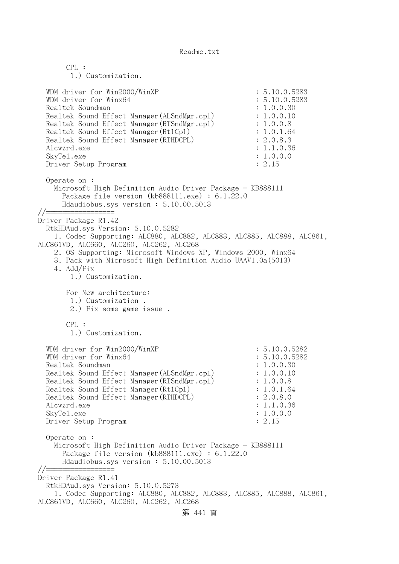CPL : 1.) Customization. WDM driver for Win2000/WinXP : 5.10.0.5283 WDM driver for Winx64 : 5.10.0.5283 Realtek Soundman : 1.0.0.30 Realtek Sound Effect Manager (ALSndMgr.cpl) : 1.0.0.10 Realtek Sound Effect Manager (RTSndMgr.cpl) : 1.0.0.8 Realtek Sound Effect Manager (Rt1Cp1) : 1.0.1.64 Realtek Sound Effect Manager (RTHDCPL) : 2.0.8.3 Alcwzrd.exe : 1.1.0.36 SkyTel.exe : 1.0.0.0 Driver Setup Program : 2.15 Operate on : Microsoft High Definition Audio Driver Package - KB888111 Package file version (kb888111.exe) : 6.1.22.0 Hdaudiobus.sys version : 5.10.00.5013 //================= Driver Package R1.42 RtkHDAud.sys Version: 5.10.0.5282 1. Codec Supporting: ALC880, ALC882, ALC883, ALC885, ALC888, ALC861, ALC861VD, ALC660, ALC260, ALC262, ALC268 2. OS Supporting: Microsoft Windows XP, Windows 2000, Winx64 3. Pack with Microsoft High Definition Audio UAAV1.0a(5013) 4. Add/Fix 1.) Customization. For New architecture: 1.) Customization . 2.) Fix some game issue . CPL : 1.) Customization. WDM driver for Win2000/WinXP : 5.10.0.5282 WDM driver for Winx64 : 5.10.0.5282 Realtek Soundman : 1.0.0.30 Realtek Sound Effect Manager (ALSndMgr.cpl) : 1.0.0.10 Realtek Sound Effect Manager(RTSndMgr.cpl) : 1.0.0.8 Realtek Sound Effect Manager(Rt1Cp1) : 1.0.1.64 Realtek Sound Effect Manager(RTHDCPL) : 2.0.8.0 Alcwzrd.exe : 1.1.0.36 SkyTel.exe : 1.0.0.0 Driver Setup Program : 2.15 Operate on : Microsoft High Definition Audio Driver Package - KB888111 Package file version (kb888111.exe) : 6.1.22.0 Hdaudiobus.sys version : 5.10.00.5013 //================= Driver Package R1.41 RtkHDAud.sys Version: 5.10.0.5273 1. Codec Supporting: ALC880, ALC882, ALC883, ALC885, ALC888, ALC861, ALC861VD, ALC660, ALC260, ALC262, ALC268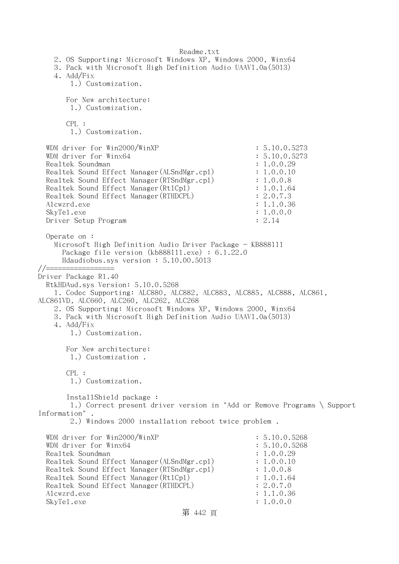Readme.txt 2. OS Supporting: Microsoft Windows XP, Windows 2000, Winx64 3. Pack with Microsoft High Definition Audio UAAV1.0a(5013) 4. Add/Fix 1.) Customization. For New architecture: 1.) Customization. CPL : 1.) Customization. WDM driver for Win2000/WinXP : 5.10.0.5273 WDM driver for Winx64 : 5.10.0.5273 Realtek Soundman : 1.0.0.29 Realtek Sound Effect Manager (ALSndMgr.cpl) : 1.0.0.10 Realtek Sound Effect Manager (RTSndMgr.cpl) : 1.0.0.8 Realtek Sound Effect Manager (Rt1Cp1) : 1.0.1.64 Realtek Sound Effect Manager (RTHDCPL) : 2.0.7.3 Alcwzrd.exe : 1.1.0.36 SkyTel.exe : 1.0.0.0 Driver Setup Program : 2.14 Operate on : Microsoft High Definition Audio Driver Package - KB888111 Package file version (kb888111.exe) : 6.1.22.0 Hdaudiobus.sys version : 5.10.00.5013 //================= Driver Package R1.40 RtkHDAud.sys Version: 5.10.0.5268 1. Codec Supporting: ALC880, ALC882, ALC883, ALC885, ALC888, ALC861, ALC861VD, ALC660, ALC260, ALC262, ALC268 2. OS Supporting: Microsoft Windows XP, Windows 2000, Winx64 3. Pack with Microsoft High Definition Audio UAAV1.0a(5013) 4. Add/Fix 1.) Customization. For New architecture: 1.) Customization . CPL : 1.) Customization. InstallShield package : 1.) Correct present driver version in "Add or Remove Programs \ Support Information" . 2.) Windows 2000 installation reboot twice problem . WDM driver for Win2000/WinXP : 5.10.0.5268 WDM driver for Winx64 : 5.10.0.5268 Realtek Soundman  $\qquad \qquad \qquad : 1.0.0.29$ Realtek Sound Effect Manager (ALSndMgr.cpl) : 1.0.0.10 Realtek Sound Effect Manager (RTSndMgr.cpl) : 1.0.0.8 Realtek Sound Effect Manager (Rt1Cp1) : 1.0.1.64 Realtek Sound Effect Manager (RTHDCPL) : 2.0.7.0 Alcwzrd.exe : 1.1.0.36 SkyTel.exe : 1.0.0.0

第 442 頁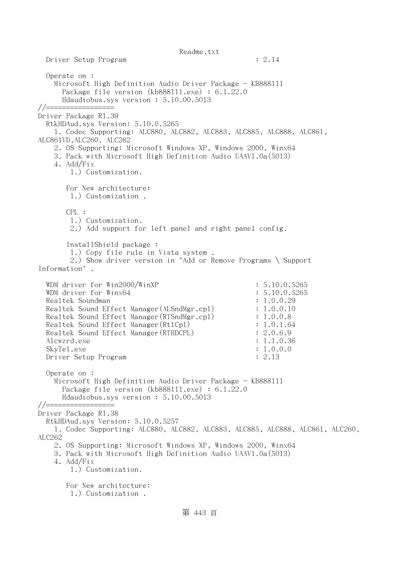Readme.txt Driver Setup Program : 2.14 Operate on : Microsoft High Definition Audio Driver Package - KB888111 Package file version (kb888111.exe) : 6.1.22.0 Hdaudiobus.sys version : 5.10.00.5013  $// == ==$ Driver Package R1.39 RtkHDAud.sys Version: 5.10.0.5265 1. Codec Supporting: ALC880, ALC882, ALC883, ALC885, ALC888, ALC861, ALC861VD,ALC260, ALC262 2. OS Supporting: Microsoft Windows XP, Windows 2000, Winx64 3. Pack with Microsoft High Definition Audio UAAV1.0a(5013) 4. Add/Fix 1.) Customization. For New architecture: 1.) Customization . CPL : 1.) Customization. 2.) Add support for left panel and right panel config. InstallShield package : 1.) Copy file rule in Vista system . 2.) Show driver version in "Add or Remove Programs \ Support Information" . WDM driver for Win2000/WinXP : 5.10.0.5265 WDM driver for Winx64 : 5.10.0.5265 Realtek Soundman : 1.0.0.29 Realtek Sound Effect Manager (ALSndMgr.cpl) : 1.0.0.10 Realtek Sound Effect Manager(RTSndMgr.cpl) : 1.0.0.8 Realtek Sound Effect Manager(Rt1Cp1) : 1.0.1.64 Realtek Sound Effect Manager (RTHDCPL) : 2.0.6.9 Alcwzrd.exe : 1.1.0.36 SkyTel.exe : 1.0.0.0 Driver Setup Program : 2.13 Operate on : Microsoft High Definition Audio Driver Package - KB888111 Package file version (kb888111.exe) : 6.1.22.0 Hdaudiobus.sys version : 5.10.00.5013 //================= Driver Package R1.38 RtkHDAud.sys Version: 5.10.0.5257 1. Codec Supporting: ALC880, ALC882, ALC883, ALC885, ALC888, ALC861, ALC260, ALC262 2. OS Supporting: Microsoft Windows XP, Windows 2000, Winx64 3. Pack with Microsoft High Definition Audio UAAV1.0a(5013) 4. Add/Fix 1.) Customization. For New architecture: 1.) Customization .

## 第 443 頁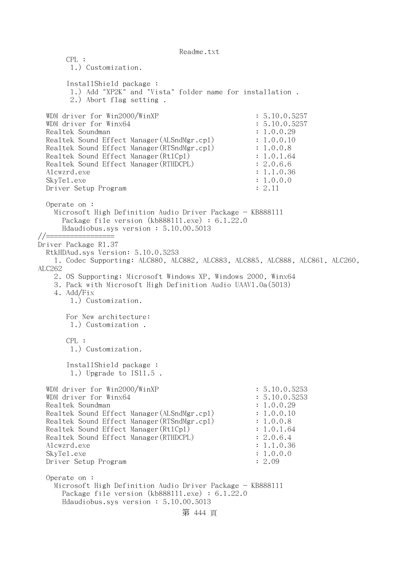CPL : 1.) Customization. InstallShield package : 1.) Add "XP2K" and "Vista" folder name for installation . 2.) Abort flag setting . WDM driver for Win2000/WinXP : 5.10.0.5257 WDM driver for Winx64 : 5.10.0.5257 Realtek Soundman : 1.0.0.29 Realtek Sound Effect Manager (ALSndMgr.cpl) : 1.0.0.10 Realtek Sound Effect Manager(RTSndMgr.cpl) : 1.0.0.8 Realtek Sound Effect Manager(Rt1Cp1) : 1.0.1.64 Realtek Sound Effect Manager (RTHDCPL) : 2.0.6.6 Alcwzrd.exe : 1.1.0.36 SkyTel.exe : 1.0.0.0 Driver Setup Program : 2.11 Operate on : Microsoft High Definition Audio Driver Package - KB888111 Package file version (kb888111.exe) : 6.1.22.0 Hdaudiobus.sys version : 5.10.00.5013 //================= Driver Package R1.37 RtkHDAud.sys Version: 5.10.0.5253 1. Codec Supporting: ALC880, ALC882, ALC883, ALC885, ALC888, ALC861, ALC260, ALC262 2. OS Supporting: Microsoft Windows XP, Windows 2000, Winx64 3. Pack with Microsoft High Definition Audio UAAV1.0a(5013) 4. Add/Fix 1.) Customization. For New architecture: 1.) Customization . CPL : 1.) Customization. InstallShield package : 1.) Upgrade to IS11.5 . WDM driver for Win2000/WinXP : 5.10.0.5253 WDM driver for Winx64 : 5.10.0.5253 Realtek Soundman : 1.0.0.29 Realtek Sound Effect Manager (ALSndMgr.cpl) : 1.0.0.10 Realtek Sound Effect Manager(RTSndMgr.cpl) : 1.0.0.8 Realtek Sound Effect Manager(Rt1Cp1) : 1.0.1.64 Realtek Sound Effect Manager(RTHDCPL) : 2.0.6.4 Alcwzrd.exe : 1.1.0.36 SkyTel.exe : 1.0.0.0 Driver Setup Program : 2.09 Operate on : Microsoft High Definition Audio Driver Package - KB888111 Package file version (kb888111.exe) : 6.1.22.0 Hdaudiobus.sys version : 5.10.00.5013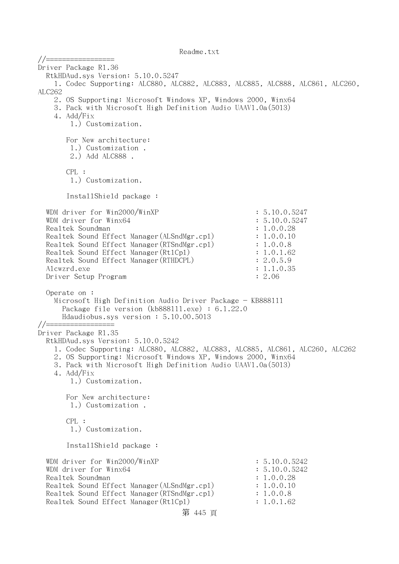//================= Driver Package R1.36 RtkHDAud.sys Version: 5.10.0.5247 1. Codec Supporting: ALC880, ALC882, ALC883, ALC885, ALC888, ALC861, ALC260, ALC262 2. OS Supporting: Microsoft Windows XP, Windows 2000, Winx64 3. Pack with Microsoft High Definition Audio UAAV1.0a(5013) 4. Add/Fix 1.) Customization. For New architecture: 1.) Customization . 2.) Add ALC888 . CPL : 1.) Customization. InstallShield package : WDM driver for  $Win2000/WinXP$  : 5.10.0.5247 WDM driver for Winx64 : 5.10.0.5247 Realtek Soundman : 1.0.0.28 Realtek Sound Effect Manager (ALSndMgr.cpl) : 1.0.0.10 Realtek Sound Effect Manager (RTSndMgr.cpl) : 1.0.0.8 Realtek Sound Effect Manager (Rt1Cp1) : 1.0.1.62 Realtek Sound Effect Manager(RTHDCPL) : 2.0.5.9 Alcwzrd.exe : 1.1.0.35 Driver Setup Program : 2.06 Operate on : Microsoft High Definition Audio Driver Package - KB888111 Package file version (kb888111.exe) : 6.1.22.0 Hdaudiobus.sys version : 5.10.00.5013 //================= Driver Package R1.35 RtkHDAud.sys Version: 5.10.0.5242 1. Codec Supporting: ALC880, ALC882, ALC883, ALC885, ALC861, ALC260, ALC262 2. OS Supporting: Microsoft Windows XP, Windows 2000, Winx64 3. Pack with Microsoft High Definition Audio UAAV1.0a(5013) 4. Add/Fix 1.) Customization. For New architecture: 1.) Customization . CPL : 1.) Customization. InstallShield package : WDM driver for Win2000/WinXP : 5.10.0.5242 WDM driver for Winx64 : 5.10.0.5242 Realtek Soundman : 1.0.0.28 Realtek Sound Effect Manager (ALSndMgr.cpl) : 1.0.0.10 Realtek Sound Effect Manager(RTSndMgr.cpl) : 1.0.0.8 Realtek Sound Effect Manager(Rt1Cp1) : 1.0.1.62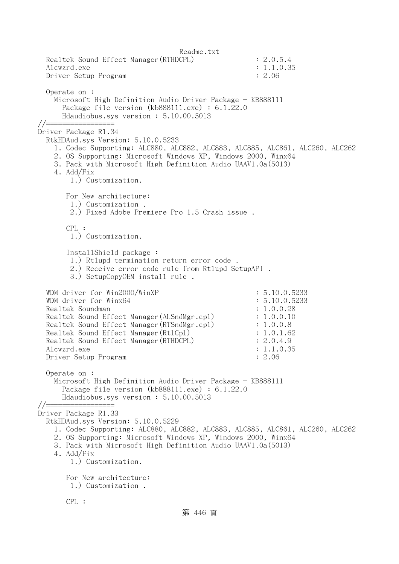Readme.txt Realtek Sound Effect Manager(RTHDCPL) : 2.0.5.4 Alcwzrd.exe : 1.1.0.35 Driver Setup Program : 2.06 Operate on : Microsoft High Definition Audio Driver Package - KB888111 Package file version (kb888111.exe) : 6.1.22.0 Hdaudiobus.sys version : 5.10.00.5013 //================= Driver Package R1.34 RtkHDAud.sys Version: 5.10.0.5233 1. Codec Supporting: ALC880, ALC882, ALC883, ALC885, ALC861, ALC260, ALC262 2. OS Supporting: Microsoft Windows XP, Windows 2000, Winx64 3. Pack with Microsoft High Definition Audio UAAV1.0a(5013) 4. Add/Fix 1.) Customization. For New architecture: 1.) Customization . 2.) Fixed Adobe Premiere Pro 1.5 Crash issue . CPL : 1.) Customization. InstallShield package : 1.) Rtlupd termination return error code . 2.) Receive error code rule from Rtlupd SetupAPI . 3.) SetupCopyOEM install rule . WDM driver for Win2000/WinXP : 5.10.0.5233 WDM driver for Winx64 : 5.10.0.5233 Realtek Soundman : 1.0.0.28 Realtek Sound Effect Manager (ALSndMgr.cpl) : 1.0.0.10 Realtek Sound Effect Manager(RTSndMgr.cpl) : 1.0.0.8 Realtek Sound Effect Manager (Rt1Cp1) : 1.0.1.62 Realtek Sound Effect Manager (RTHDCPL) : 2.0.4.9 Alcwzrd.exe : 1.1.0.35 Driver Setup Program : 2.06 Operate on : Microsoft High Definition Audio Driver Package - KB888111 Package file version (kb888111.exe) : 6.1.22.0 Hdaudiobus.sys version : 5.10.00.5013 //================= Driver Package R1.33 RtkHDAud.sys Version: 5.10.0.5229 1. Codec Supporting: ALC880, ALC882, ALC883, ALC885, ALC861, ALC260, ALC262 2. OS Supporting: Microsoft Windows XP, Windows 2000, Winx64 3. Pack with Microsoft High Definition Audio UAAV1.0a(5013) 4. Add/Fix 1.) Customization. For New architecture: 1.) Customization . CPL : 第 446 頁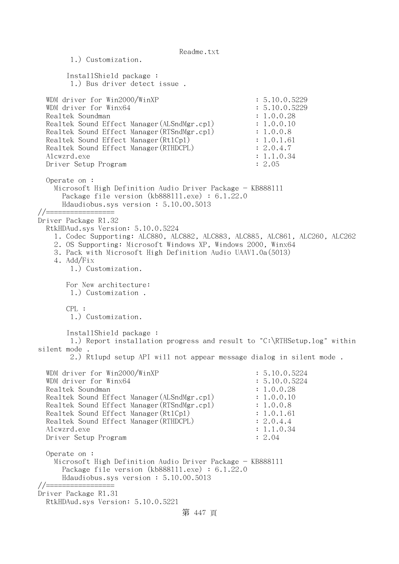Readme.txt 1.) Customization. InstallShield package : 1.) Bus driver detect issue . WDM driver for Win2000/WinXP : 5.10.0.5229 WDM driver for Winx64 : 5.10.0.5229 Realtek Soundman : 1.0.0.28 Realtek Sound Effect Manager(ALSndMgr.cpl) : 1.0.0.10 Realtek Sound Effect Manager (RTSndMgr.cp1) : 1.0.0.8 Realtek Sound Effect Manager (Rt1Cp1) : 1.0.1.61 Realtek Sound Effect Manager(RTHDCPL) : 2.0.4.7 Alcwzrd.exe : 1.1.0.34 Driver Setup Program : 2.05 Operate on : Microsoft High Definition Audio Driver Package - KB888111 Package file version (kb888111.exe) : 6.1.22.0 Hdaudiobus.sys version : 5.10.00.5013 //================= Driver Package R1.32 RtkHDAud.sys Version: 5.10.0.5224 1. Codec Supporting: ALC880, ALC882, ALC883, ALC885, ALC861, ALC260, ALC262 2. OS Supporting: Microsoft Windows XP, Windows 2000, Winx64 3. Pack with Microsoft High Definition Audio UAAV1.0a(5013) 4. Add/Fix 1.) Customization. For New architecture: 1.) Customization . CPL : 1.) Customization. InstallShield package : 1.) Report installation progress and result to "C:\RTHSetup.log" within silent mode . 2.) Rtlupd setup API will not appear message dialog in silent mode . WDM driver for Win2000/WinXP : 5.10.0.5224 WDM driver for Winx64 : 5.10.0.5224 Realtek Soundman  $\ddot{\textbf{i}}$  1.0.0.28 Realtek Sound Effect Manager (ALSndMgr.cpl) : 1.0.0.10 Realtek Sound Effect Manager (RTSndMgr.cpl) : 1.0.0.8 Realtek Sound Effect Manager (Rt1Cp1) : 1.0.1.61 Realtek Sound Effect Manager (RTHDCPL) : 2.0.4.4 Alcwzrd.exe : 1.1.0.34 Driver Setup Program : 2.04 Operate on : Microsoft High Definition Audio Driver Package - KB888111 Package file version (kb888111.exe) : 6.1.22.0 Hdaudiobus.sys version : 5.10.00.5013 //================= Driver Package R1.31 RtkHDAud.sys Version: 5.10.0.5221 第 447 頁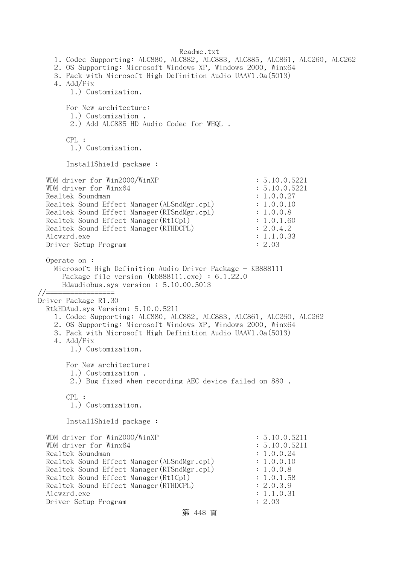Readme.txt 1. Codec Supporting: ALC880, ALC882, ALC883, ALC885, ALC861, ALC260, ALC262 2. OS Supporting: Microsoft Windows XP, Windows 2000, Winx64 3. Pack with Microsoft High Definition Audio UAAV1.0a(5013) 4. Add/Fix 1.) Customization. For New architecture: 1.) Customization . 2.) Add ALC885 HD Audio Codec for WHQL . CPL : 1.) Customization. InstallShield package : WDM driver for Win2000/WinXP : 5.10.0.5221 WDM driver for Winx64 : 5.10.0.5221 Realtek Soundman  $\ddot{\textbf{i}}$  1.0.0.27 Realtek Sound Effect Manager(ALSndMgr.cpl) : 1.0.0.10 Realtek Sound Effect Manager (RTSndMgr.cpl) : 1.0.0.8 Realtek Sound Effect Manager (Rt1Cp1) : 1.0.1.60 Realtek Sound Effect Manager (RTHDCPL) : 2.0.4.2 Alcwzrd.exe : 1.1.0.33 Driver Setup Program : 2.03 Operate on : Microsoft High Definition Audio Driver Package - KB888111 Package file version (kb888111.exe) : 6.1.22.0 Hdaudiobus.sys version : 5.10.00.5013 //================= Driver Package R1.30 RtkHDAud.sys Version: 5.10.0.5211 1. Codec Supporting: ALC880, ALC882, ALC883, ALC861, ALC260, ALC262 2. OS Supporting: Microsoft Windows XP, Windows 2000, Winx64 3. Pack with Microsoft High Definition Audio UAAV1.0a(5013) 4. Add/Fix 1.) Customization. For New architecture: 1.) Customization . 2.) Bug fixed when recording AEC device failed on 880 . CPL : 1.) Customization. InstallShield package : WDM driver for Win2000/WinXP : 5.10.0.5211 WDM driver for  $W$ inx64 : 5.10.0.5211 Realtek Soundman  $\ddot{\textbf{i}}$  1.0.0.24 Realtek Sound Effect Manager (ALSndMgr.cpl) : 1.0.0.10 Realtek Sound Effect Manager(RTSndMgr.cpl) : 1.0.0.8 Realtek Sound Effect Manager (Rt1Cp1) : 1.0.1.58 Realtek Sound Effect Manager (RTHDCPL) : 2.0.3.9 Alcwzrd.exe : 1.1.0.31 Driver Setup Program : 2.03

```
第 448 頁
```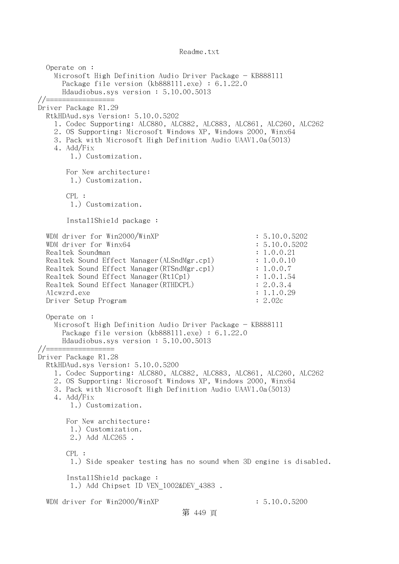Operate on : Microsoft High Definition Audio Driver Package - KB888111 Package file version (kb888111.exe) : 6.1.22.0 Hdaudiobus.sys version : 5.10.00.5013 //================= Driver Package R1.29 RtkHDAud.sys Version: 5.10.0.5202 1. Codec Supporting: ALC880, ALC882, ALC883, ALC861, ALC260, ALC262 2. OS Supporting: Microsoft Windows XP, Windows 2000, Winx64 3. Pack with Microsoft High Definition Audio UAAV1.0a(5013) 4. Add/Fix 1.) Customization. For New architecture: 1.) Customization. CPL : 1.) Customization. InstallShield package : WDM driver for Win2000/WinXP : 5.10.0.5202 WDM driver for Winx64 : 5.10.0.5202 Realtek Soundman : 1.0.0.21 Realtek Sound Effect Manager(ALSndMgr.cpl) : 1.0.0.10 Realtek Sound Effect Manager(RTSndMgr.cpl) : 1.0.0.7 Realtek Sound Effect Manager (Rt1Cp1) : 1.0.1.54 Realtek Sound Effect Manager (RTHDCPL) : 2.0.3.4 Alcwzrd.exe : 1.1.0.29 Driver Setup Program : 2.02c Operate on : Microsoft High Definition Audio Driver Package - KB888111 Package file version (kb888111.exe) : 6.1.22.0 Hdaudiobus.sys version : 5.10.00.5013 //================= Driver Package R1.28 RtkHDAud.sys Version: 5.10.0.5200 1. Codec Supporting: ALC880, ALC882, ALC883, ALC861, ALC260, ALC262 2. OS Supporting: Microsoft Windows XP, Windows 2000, Winx64 3. Pack with Microsoft High Definition Audio UAAV1.0a(5013) 4. Add/Fix 1.) Customization. For New architecture: 1.) Customization. 2.) Add ALC265 . CPL : 1.) Side speaker testing has no sound when 3D engine is disabled. InstallShield package : 1.) Add Chipset ID VEN 1002&DEV 4383. WDM driver for Win2000/WinXP : 5.10.0.5200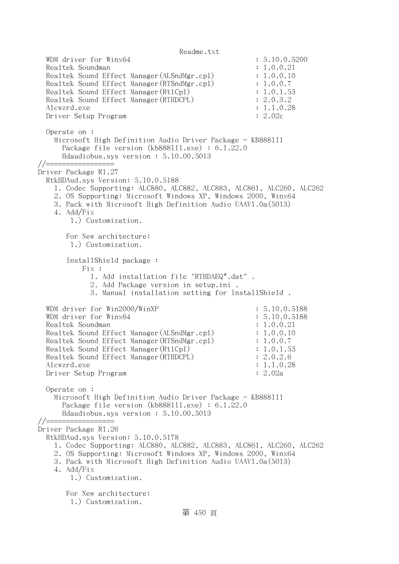Readme.txt WDM driver for Winx64 : 5.10.0.5200 Realtek Soundman  $\qquad \qquad \qquad : 1.0.0.21$ Realtek Sound Effect Manager(ALSndMgr.cp1) : 1.0.0.10 Realtek Sound Effect Manager (RTSndMgr.cpl) : 1.0.0.7 Realtek Sound Effect Manager(Rt1Cp1) : 1.0.1.53 Realtek Sound Effect Manager (RTHDCPL) : 2.0.3.2 Alcwzrd.exe : 1.1.0.28 Driver Setup Program : 2.02c Operate on : Microsoft High Definition Audio Driver Package - KB888111 Package file version (kb888111.exe) : 6.1.22.0 Hdaudiobus.sys version : 5.10.00.5013 //================= Driver Package R1.27 RtkHDAud.sys Version: 5.10.0.5188 1. Codec Supporting: ALC880, ALC882, ALC883, ALC861, ALC260, ALC262 2. OS Supporting: Microsoft Windows XP, Windows 2000, Winx64 3. Pack with Microsoft High Definition Audio UAAV1.0a(5013) 4. Add/Fix 1.) Customization. For New architecture: 1.) Customization. InstallShield package : Fix : 1. Add installation file "RTHDAEQ\*.dat" . 2. Add Package version in setup.ini . 3. Manual installation setting for InstallShield . WDM driver for Win2000/WinXP : 5.10.0.5188 WDM driver for Winx64 : 5.10.0.5188 Realtek Soundman  $\qquad \qquad \qquad : 1.0.0.21$ Realtek Sound Effect Manager (ALSndMgr.cpl) : 1.0.0.10 Realtek Sound Effect Manager(RTSndMgr.cpl) : 1.0.0.7 Realtek Sound Effect Manager (Rt1Cp1) : 1.0.1.53 Realtek Sound Effect Manager (RTHDCPL) : 2.0.2.6 Alcwzrd.exe : 1.1.0.28 Driver Setup Program : 2.02a Operate on : Microsoft High Definition Audio Driver Package - KB888111 Package file version (kb888111.exe) : 6.1.22.0 Hdaudiobus.sys version : 5.10.00.5013 //================= Driver Package R1.26 RtkHDAud.sys Version: 5.10.0.5178 1. Codec Supporting: ALC880, ALC882, ALC883, ALC861, ALC260, ALC262 2. OS Supporting: Microsoft Windows XP, Windows 2000, Winx64 3. Pack with Microsoft High Definition Audio UAAV1.0a(5013) 4. Add/Fix 1.) Customization. For New architecture: 1.) Customization.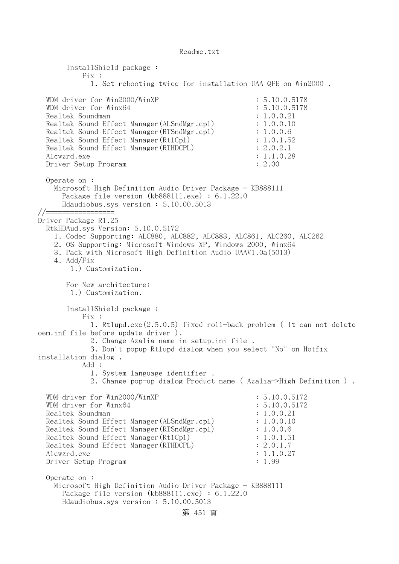InstallShield package : Fix : 1. Set rebooting twice for installation UAA QFE on Win2000 . WDM driver for Win2000/WinXP : 5.10.0.5178 WDM driver for Winx64 : 5.10.0.5178 Realtek Soundman : 1.0.0.21 Realtek Sound Effect Manager(ALSndMgr.cpl) : 1.0.0.10 Realtek Sound Effect Manager (RTSndMgr.cpl) : 1.0.0.6 Realtek Sound Effect Manager (Rt1Cp1) : 1.0.1.52 Realtek Sound Effect Manager(RTHDCPL) : 2.0.2.1 Alcwzrd.exe : 1.1.0.28 Driver Setup Program : 2.00 Operate on : Microsoft High Definition Audio Driver Package - KB888111 Package file version (kb888111.exe) : 6.1.22.0 Hdaudiobus.sys version : 5.10.00.5013 //================= Driver Package R1.25 RtkHDAud.sys Version: 5.10.0.5172 1. Codec Supporting: ALC880, ALC882, ALC883, ALC861, ALC260, ALC262 2. OS Supporting: Microsoft Windows XP, Windows 2000, Winx64 3. Pack with Microsoft High Definition Audio UAAV1.0a(5013) 4. Add/Fix 1.) Customization. For New architecture: 1.) Customization. InstallShield package : Fix : 1. Rtlupd.exe(2.5.0.5) fixed roll-back problem ( It can not delete oem.inf file before update driver ). 2. Change Azalia name in setup.ini file . 3. Don't popup Rtlupd dialog when you select "No" on Hotfix installation dialog . Add : 1. System language identifier . 2. Change pop-up dialog Product name ( Azalia->High Definition ) . WDM driver for Win2000/WinXP : 5.10.0.5172 WDM driver for Winx64 : 5.10.0.5172 Realtek Soundman : 1.0.0.21<br>Realtek Sound Effect Manager (ALSndMgr.cpl) : 1.0.0.10 Realtek Sound Effect Manager (ALSndMgr.cpl) Realtek Sound Effect Manager (RTSndMgr.cpl) : 1.0.0.6 Realtek Sound Effect Manager(Rt1Cp1) : 1.0.1.51 Realtek Sound Effect Manager(RTHDCPL) : 2.0.1.7 Alcwzrd.exe : 1.1.0.27 Driver Setup Program : 1.99 Operate on : Microsoft High Definition Audio Driver Package - KB888111 Package file version (kb888111.exe) : 6.1.22.0 Hdaudiobus.sys version : 5.10.00.5013 第 451 頁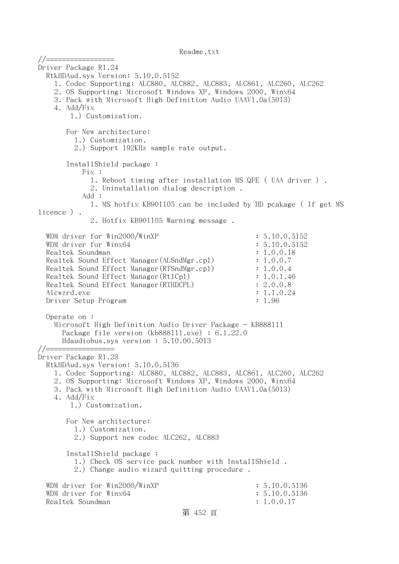//================= Driver Package R1.24 RtkHDAud.sys Version: 5.10.0.5152 1. Codec Supporting: ALC880, ALC882, ALC883, ALC861, ALC260, ALC262 2. OS Supporting: Microsoft Windows XP, Windows 2000, Winx64 3. Pack with Microsoft High Definition Audio UAAV1.0a(5013) 4. Add/Fix 1.) Customization. For New architecture: 1.) Customization. 2.) Support 192KHz sample rate output. InstallShield package : Fix : 1. Reboot timing after installation MS QFE ( UAA driver ) . 2. Uninstallation dialog description . Add : 1. MS hotfix KB901105 can be included by HD pcakage ( If get MS licence ) . 2. Hotfix KB901105 Warning message . WDM driver for Win2000/WinXP : 5.10.0.5152 WDM driver for Winx64 : 5.10.0.5152 Realtek Soundman : 1.0.0.18 Realtek Sound Effect Manager(ALSndMgr.cpl) : 1.0.0.7 Realtek Sound Effect Manager(RTSndMgr.cpl) : 1.0.0.4 Realtek Sound Effect Manager (Rt1Cp1) : 1.0.1.46 Realtek Sound Effect Manager (RTHDCPL) : 2.0.0.8 Alcwzrd.exe : 1.1.0.24 Driver Setup Program : 1.96 Operate on : Microsoft High Definition Audio Driver Package - KB888111 Package file version (kb888111.exe) : 6.1.22.0 Hdaudiobus.sys version : 5.10.00.5013 //================= Driver Package R1.23 RtkHDAud.sys Version: 5.10.0.5136 1. Codec Supporting: ALC880, ALC882, ALC883, ALC861, ALC260, ALC262 2. OS Supporting: Microsoft Windows XP, Windows 2000, Winx64 3. Pack with Microsoft High Definition Audio UAAV1.0a(5013) 4. Add/Fix 1.) Customization. For New architecture: 1.) Customization. 2.) Support new codec ALC262, ALC883 InstallShield package : 1.) Check OS service pack number with InstallShield . 2.) Change audio wizard quitting procedure . WDM driver for Win2000/WinXP : 5.10.0.5136 WDM driver for Winx64 : 5.10.0.5136 Realtek Soundman  $\ddot{\textbf{i}}$  1.0.0.17

## 第 452 頁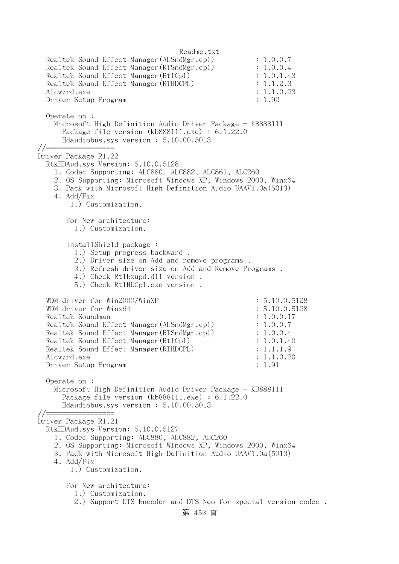Readme.txt Realtek Sound Effect Manager(ALSndMgr.cpl) : 1.0.0.7 Realtek Sound Effect Manager (RTSndMgr.cpl) : 1.0.0.4 Realtek Sound Effect Manager (Rt1Cp1) : 1.0.1.43 Realtek Sound Effect Manager (RTHDCPL) : 1.1.2.3 Alcwzrd.exe : 1.1.0.23 Driver Setup Program : 1.92 Operate on : Microsoft High Definition Audio Driver Package - KB888111 Package file version (kb888111.exe) : 6.1.22.0 Hdaudiobus.sys version : 5.10.00.5013 //================= Driver Package R1.22 RtkHDAud.sys Version: 5.10.0.5128 1. Codec Supporting: ALC880, ALC882, ALC861, ALC260 2. OS Supporting: Microsoft Windows XP, Windows 2000, Winx64 3. Pack with Microsoft High Definition Audio UAAV1.0a(5013) 4. Add/Fix 1.) Customization. For New architecture: 1.) Customization. InstallShield package : 1.) Setup progress backward . 2.) Driver size on Add and remove programs . 3.) Refresh driver size on Add and Remove Programs . 4.) Check RtlExupd.dll version . 5.) Check RtlHDCpl.exe version . WDM driver for Win2000/WinXP : 5.10.0.5128 WDM driver for Winx64 : 5.10.0.5128 Realtek Soundman : 1.0.0.17 Realtek Sound Effect Manager(ALSndMgr.cpl) : 1.0.0.7 Realtek Sound Effect Manager (RTSndMgr.cp1) : 1.0.0.4 Realtek Sound Effect Manager (Rt1Cp1) : 1.0.1.40 Realtek Sound Effect Manager (RTHDCPL) : 1.1.1.9 Alcwzrd.exe : 1.1.0.20 Driver Setup Program : 1.91 Operate on : Microsoft High Definition Audio Driver Package - KB888111 Package file version (kb888111.exe) : 6.1.22.0 Hdaudiobus.sys version : 5.10.00.5013 //================= Driver Package R1.21 RtkHDAud.sys Version: 5.10.0.5127 1. Codec Supporting: ALC880, ALC882, ALC260 2. OS Supporting: Microsoft Windows XP, Windows 2000, Winx64 3. Pack with Microsoft High Definition Audio UAAV1.0a(5013) 4. Add/Fix 1.) Customization. For New architecture: 1.) Customization. 2.) Support DTS Encoder and DTS Neo for special version codec .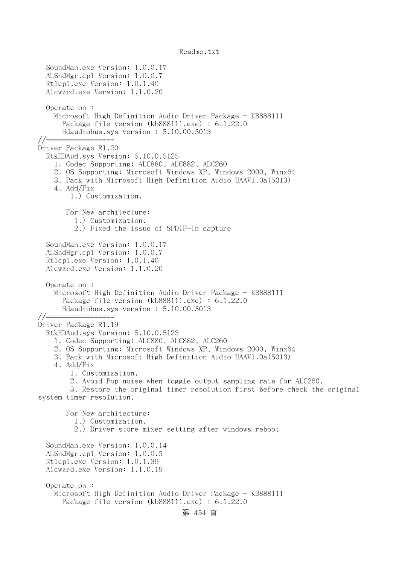SoundMan.exe Version: 1.0.0.17 ALSndMgr.cpl Version: 1.0.0.7 Rtlcpl.exe Version: 1.0.1.40 Alcwzrd.exe Version: 1.1.0.20 Operate on : Microsoft High Definition Audio Driver Package - KB888111 Package file version (kb888111.exe) : 6.1.22.0 Hdaudiobus.sys version : 5.10.00.5013 //================= Driver Package R1.20 RtkHDAud.sys Version: 5.10.0.5125 1. Codec Supporting: ALC880, ALC882, ALC260 2. OS Supporting: Microsoft Windows XP, Windows 2000, Winx64 3. Pack with Microsoft High Definition Audio UAAV1.0a(5013) 4. Add/Fix 1.) Customization. For New architecture: 1.) Customization. 2.) Fixed the issue of SPDIF-In capture SoundMan.exe Version: 1.0.0.17 ALSndMgr.cpl Version: 1.0.0.7 Rtlcpl.exe Version: 1.0.1.40 Alcwzrd.exe Version: 1.1.0.20 Operate on : Microsoft High Definition Audio Driver Package - KB888111 Package file version (kb888111.exe) : 6.1.22.0 Hdaudiobus.sys version : 5.10.00.5013 //================= Driver Package R1.19 RtkHDAud.sys Version: 5.10.0.5123 1. Codec Supporting: ALC880, ALC882, ALC260 2. OS Supporting: Microsoft Windows XP, Windows 2000, Winx64 3. Pack with Microsoft High Definition Audio UAAV1.0a(5013) 4. Add/Fix 1. Customization. 2. Avoid Pop noise when toggle output sampling rate for ALC260. 3. Restore the original timer resolution first before check the original system timer resolution. For New architecture: 1.) Customization. 2.) Driver store mixer setting after windows reboot SoundMan.exe Version: 1.0.0.14 ALSndMgr.cpl Version: 1.0.0.5 Rtlcpl.exe Version: 1.0.1.39 Alcwzrd.exe Version: 1.1.0.19 Operate on : Microsoft High Definition Audio Driver Package - KB888111 Package file version (kb888111.exe) : 6.1.22.0 第 454 頁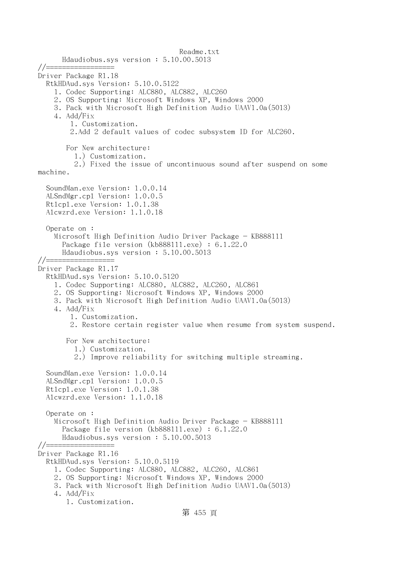Readme.txt Hdaudiobus.sys version : 5.10.00.5013 //================= Driver Package R1.18 RtkHDAud.sys Version: 5.10.0.5122 1. Codec Supporting: ALC880, ALC882, ALC260 2. OS Supporting: Microsoft Windows XP, Windows 2000 3. Pack with Microsoft High Definition Audio UAAV1.0a(5013) 4. Add/Fix 1. Customization. 2.Add 2 default values of codec subsystem ID for ALC260. For New architecture: 1.) Customization. 2.) Fixed the issue of uncontinuous sound after suspend on some machine. SoundMan.exe Version: 1.0.0.14 ALSndMgr.cpl Version: 1.0.0.5 Rtlcpl.exe Version: 1.0.1.38 Alcwzrd.exe Version: 1.1.0.18 Operate on : Microsoft High Definition Audio Driver Package - KB888111 Package file version (kb888111.exe) : 6.1.22.0 Hdaudiobus.sys version : 5.10.00.5013 //================= Driver Package R1.17 RtkHDAud.sys Version: 5.10.0.5120 1. Codec Supporting: ALC880, ALC882, ALC260, ALC861 2. OS Supporting: Microsoft Windows XP, Windows 2000 3. Pack with Microsoft High Definition Audio UAAV1.0a(5013) 4. Add/Fix 1. Customization. 2. Restore certain register value when resume from system suspend. For New architecture: 1.) Customization. 2.) Improve reliability for switching multiple streaming. SoundMan.exe Version: 1.0.0.14 ALSndMgr.cpl Version: 1.0.0.5 Rtlcpl.exe Version: 1.0.1.38 Alcwzrd.exe Version: 1.1.0.18 Operate on : Microsoft High Definition Audio Driver Package - KB888111 Package file version (kb888111.exe) : 6.1.22.0 Hdaudiobus.sys version : 5.10.00.5013  $//==$ Driver Package R1.16 RtkHDAud.sys Version: 5.10.0.5119 1. Codec Supporting: ALC880, ALC882, ALC260, ALC861 2. OS Supporting: Microsoft Windows XP, Windows 2000 3. Pack with Microsoft High Definition Audio UAAV1.0a(5013) 4. Add/Fix 1. Customization.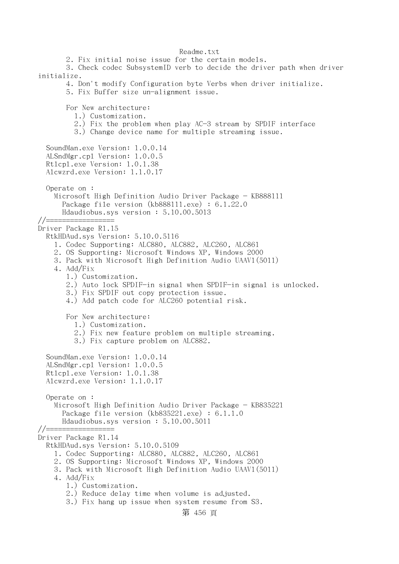Readme.txt 2. Fix initial noise issue for the certain models. 3. Check codec SubsystemID verb to decide the driver path when driver initialize. 4. Don't modify Configuration byte Verbs when driver initialize. 5. Fix Buffer size un-alignment issue. For New architecture: 1.) Customization. 2.) Fix the problem when play AC-3 stream by SPDIF interface 3.) Change device name for multiple streaming issue. SoundMan.exe Version: 1.0.0.14 ALSndMgr.cpl Version: 1.0.0.5 Rtlcpl.exe Version: 1.0.1.38 Alcwzrd.exe Version: 1.1.0.17 Operate on : Microsoft High Definition Audio Driver Package - KB888111 Package file version (kb888111.exe) : 6.1.22.0 Hdaudiobus.sys version : 5.10.00.5013 //================= Driver Package R1.15 RtkHDAud.sys Version: 5.10.0.5116 1. Codec Supporting: ALC880, ALC882, ALC260, ALC861 2. OS Supporting: Microsoft Windows XP, Windows 2000 3. Pack with Microsoft High Definition Audio UAAV1(5011) 4. Add/Fix 1.) Customization. 2.) Auto lock SPDIF-in signal when SPDIF-in signal is unlocked. 3.) Fix SPDIF out copy protection issue. 4.) Add patch code for ALC260 potential risk. For New architecture: 1.) Customization. 2.) Fix new feature problem on multiple streaming. 3.) Fix capture problem on ALC882. SoundMan.exe Version: 1.0.0.14 ALSndMgr.cpl Version: 1.0.0.5 Rtlcpl.exe Version: 1.0.1.38 Alcwzrd.exe Version: 1.1.0.17 Operate on : Microsoft High Definition Audio Driver Package - KB835221 Package file version (kb835221.exe) : 6.1.1.0 Hdaudiobus.sys version : 5.10.00.5011 //================= Driver Package R1.14 RtkHDAud.sys Version: 5.10.0.5109 1. Codec Supporting: ALC880, ALC882, ALC260, ALC861 2. OS Supporting: Microsoft Windows XP, Windows 2000 3. Pack with Microsoft High Definition Audio UAAV1(5011) 4. Add/Fix 1.) Customization. 2.) Reduce delay time when volume is adjusted. 3.) Fix hang up issue when system resume from S3.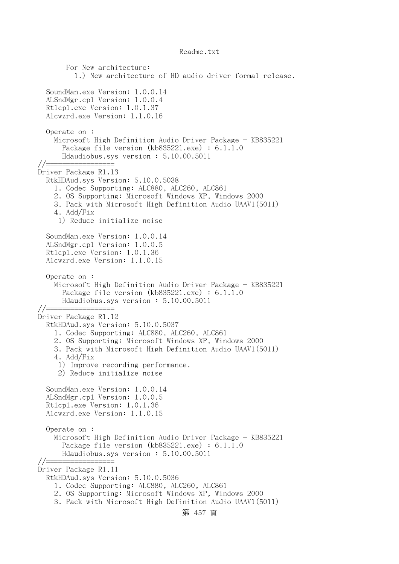For New architecture: 1.) New architecture of HD audio driver formal release. SoundMan.exe Version: 1.0.0.14 ALSndMgr.cpl Version: 1.0.0.4 Rtlcpl.exe Version: 1.0.1.37 Alcwzrd.exe Version: 1.1.0.16 Operate on : Microsoft High Definition Audio Driver Package - KB835221 Package file version (kb835221.exe) : 6.1.1.0 Hdaudiobus.sys version : 5.10.00.5011  $// == == ==$ Driver Package R1.13 RtkHDAud.sys Version: 5.10.0.5038 1. Codec Supporting: ALC880, ALC260, ALC861 2. OS Supporting: Microsoft Windows XP, Windows 2000 3. Pack with Microsoft High Definition Audio UAAV1(5011) 4. Add/Fix 1) Reduce initialize noise SoundMan.exe Version: 1.0.0.14 ALSndMgr.cpl Version: 1.0.0.5 Rtlcpl.exe Version: 1.0.1.36 Alcwzrd.exe Version: 1.1.0.15 Operate on : Microsoft High Definition Audio Driver Package - KB835221 Package file version (kb835221.exe) : 6.1.1.0 Hdaudiobus.sys version : 5.10.00.5011 //================= Driver Package R1.12 RtkHDAud.sys Version: 5.10.0.5037 1. Codec Supporting: ALC880, ALC260, ALC861 2. OS Supporting: Microsoft Windows XP, Windows 2000 3. Pack with Microsoft High Definition Audio UAAV1(5011) 4. Add/Fix 1) Improve recording performance. 2) Reduce initialize noise SoundMan.exe Version: 1.0.0.14 ALSndMgr.cpl Version: 1.0.0.5 Rtlcpl.exe Version: 1.0.1.36 Alcwzrd.exe Version: 1.1.0.15 Operate on : Microsoft High Definition Audio Driver Package - KB835221 Package file version (kb835221.exe) : 6.1.1.0 Hdaudiobus.sys version : 5.10.00.5011  $// == =$ Driver Package R1.11 RtkHDAud.sys Version: 5.10.0.5036 1. Codec Supporting: ALC880, ALC260, ALC861 2. OS Supporting: Microsoft Windows XP, Windows 2000 3. Pack with Microsoft High Definition Audio UAAV1(5011) 第 457 頁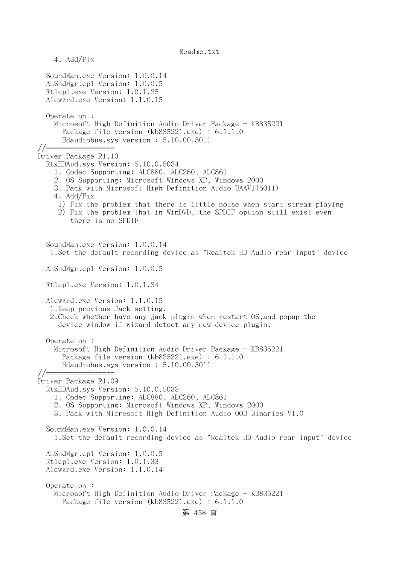4. Add/Fix SoundMan.exe Version: 1.0.0.14 ALSndMgr.cpl Version: 1.0.0.5 Rtlcpl.exe Version: 1.0.1.35 Alcwzrd.exe Version: 1.1.0.15 Operate on : Microsoft High Definition Audio Driver Package - KB835221 Package file version (kb835221.exe) : 6.1.1.0 Hdaudiobus.sys version : 5.10.00.5011 //================= Driver Package R1.10 RtkHDAud.sys Version: 5.10.0.5034 1. Codec Supporting: ALC880, ALC260, ALC861 2. OS Supporting: Microsoft Windows XP, Windows 2000 3. Pack with Microsoft High Definition Audio UAAV1(5011) 4. Add/Fix 1) Fix the problem that there is little noise when start stream playing 2) Fix the problem that in WinDVD, the SPDIF option still exist even there is no SPDIF SoundMan.exe Version: 1.0.0.14 1.Set the default recording device as "Realtek HD Audio rear input" device ALSndMgr.cpl Version: 1.0.0.5 Rtlcpl.exe Version: 1.0.1.34 Alcwzrd.exe Version: 1.1.0.15 1.Keep previous Jack setting. 2.Check whether have any jack plugin when restart OS,and popup the device window if wizard detect any new device plugin. Operate on : Microsoft High Definition Audio Driver Package - KB835221 Package file version (kb835221.exe) : 6.1.1.0 Hdaudiobus.sys version : 5.10.00.5011 //================= Driver Package R1.09 RtkHDAud.sys Version: 5.10.0.5033 1. Codec Supporting: ALC880, ALC260, ALC861 2. OS Supporting: Microsoft Windows XP, Windows 2000 3. Pack with Microsoft High Definition Audio OOB Binaries V1.0 SoundMan.exe Version: 1.0.0.14 1.Set the default recording device as "Realtek HD Audio rear input" device ALSndMgr.cpl Version: 1.0.0.5 Rtlcpl.exe Version: 1.0.1.33 Alcwzrd.exe Version: 1.1.0.14 Operate on : Microsoft High Definition Audio Driver Package - KB835221 Package file version (kb835221.exe) : 6.1.1.0 第 458 頁

Readme.txt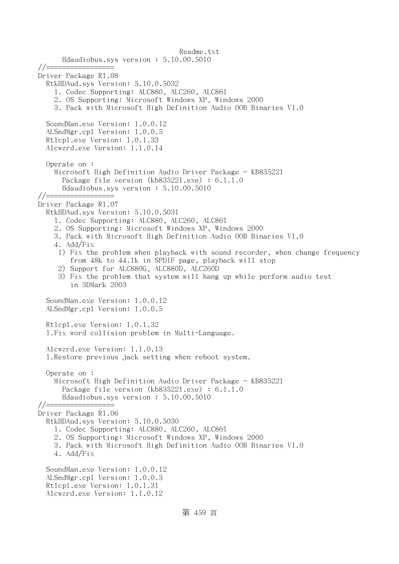Readme.txt Hdaudiobus.sys version : 5.10.00.5010 //================= Driver Package R1.08 RtkHDAud.sys Version: 5.10.0.5032 1. Codec Supporting: ALC880, ALC260, ALC861 2. OS Supporting: Microsoft Windows XP, Windows 2000 3. Pack with Microsoft High Definition Audio OOB Binaries V1.0 SoundMan.exe Version: 1.0.0.12 ALSndMgr.cpl Version: 1.0.0.5 Rtlcpl.exe Version: 1.0.1.33 Alcwzrd.exe Version: 1.1.0.14 Operate on : Microsoft High Definition Audio Driver Package - KB835221 Package file version (kb835221.exe) : 6.1.1.0 Hdaudiobus.sys version : 5.10.00.5010 //================= Driver Package R1.07 RtkHDAud.sys Version: 5.10.0.5031 1. Codec Supporting: ALC880, ALC260, ALC861 2. OS Supporting: Microsoft Windows XP, Windows 2000 3. Pack with Microsoft High Definition Audio OOB Binaries V1.0 4. Add/Fix 1) Fix the problem when playback with sound recorder, when change frequency from 48k to 44.1k in SPDIF page, playback will stop 2) Support for ALC880G, ALC880D, ALC260D 3) Fix the problem that system will hang up while perform audio test in 3DMark 2003 SoundMan.exe Version: 1.0.0.12 ALSndMgr.cpl Version: 1.0.0.5 Rtlcpl.exe Version: 1.0.1.32 1.Fix word collision problem in Multi-Language. Alcwzrd.exe Version: 1.1.0.13 1.Restore previous jack setting when reboot system. Operate on : Microsoft High Definition Audio Driver Package - KB835221 Package file version (kb835221.exe) : 6.1.1.0 Hdaudiobus.sys version : 5.10.00.5010 //================= Driver Package R1.06 RtkHDAud.sys Version: 5.10.0.5030 1. Codec Supporting: ALC880, ALC260, ALC861 2. OS Supporting: Microsoft Windows XP, Windows 2000 3. Pack with Microsoft High Definition Audio OOB Binaries V1.0 4. Add/Fix SoundMan.exe Version: 1.0.0.12 ALSndMgr.cpl Version: 1.0.0.3 Rtlcpl.exe Version: 1.0.1.31 Alcwzrd.exe Version: 1.1.0.12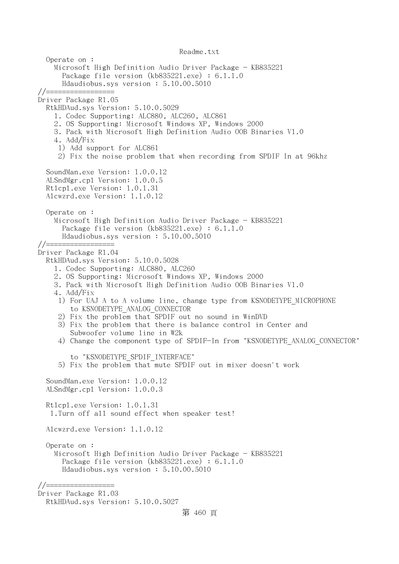Readme.txt Operate on : Microsoft High Definition Audio Driver Package - KB835221 Package file version (kb835221.exe) : 6.1.1.0 Hdaudiobus.sys version : 5.10.00.5010 //================= Driver Package R1.05 RtkHDAud.sys Version: 5.10.0.5029 1. Codec Supporting: ALC880, ALC260, ALC861 2. OS Supporting: Microsoft Windows XP, Windows 2000 3. Pack with Microsoft High Definition Audio OOB Binaries V1.0 4. Add/Fix 1) Add support for ALC861 2) Fix the noise problem that when recording from SPDIF In at 96khz SoundMan.exe Version: 1.0.0.12 ALSndMgr.cpl Version: 1.0.0.5 Rtlcpl.exe Version: 1.0.1.31 Alcwzrd.exe Version: 1.1.0.12 Operate on : Microsoft High Definition Audio Driver Package - KB835221 Package file version (kb835221.exe) : 6.1.1.0 Hdaudiobus.sys version : 5.10.00.5010 //================= Driver Package R1.04 RtkHDAud.sys Version: 5.10.0.5028 1. Codec Supporting: ALC880, ALC260 2. OS Supporting: Microsoft Windows XP, Windows 2000 3. Pack with Microsoft High Definition Audio OOB Binaries V1.0 4. Add/Fix 1) For UAJ A to A volume line, change type from KSNODETYPE MICROPHONE to KSNODETYPE\_ANALOG\_CONNECTOR 2) Fix the problem that SPDIF out no sound in WinDVD 3) Fix the problem that there is balance control in Center and Subwoofer volume line in W2k 4) Change the component type of SPDIF-In from "KSNODETYPE ANALOG CONNECTOR" to "KSNODETYPE\_SPDIF\_INTERFACE" 5) Fix the problem that mute SPDIF out in mixer doesn't work SoundMan.exe Version: 1.0.0.12 ALSndMgr.cpl Version: 1.0.0.3 Rtlcpl.exe Version: 1.0.1.31 1.Turn off all sound effect when speaker test! Alcwzrd.exe Version: 1.1.0.12 Operate on : Microsoft High Definition Audio Driver Package - KB835221 Package file version (kb835221.exe) : 6.1.1.0 Hdaudiobus.sys version : 5.10.00.5010 //================= Driver Package R1.03 RtkHDAud.sys Version: 5.10.0.5027